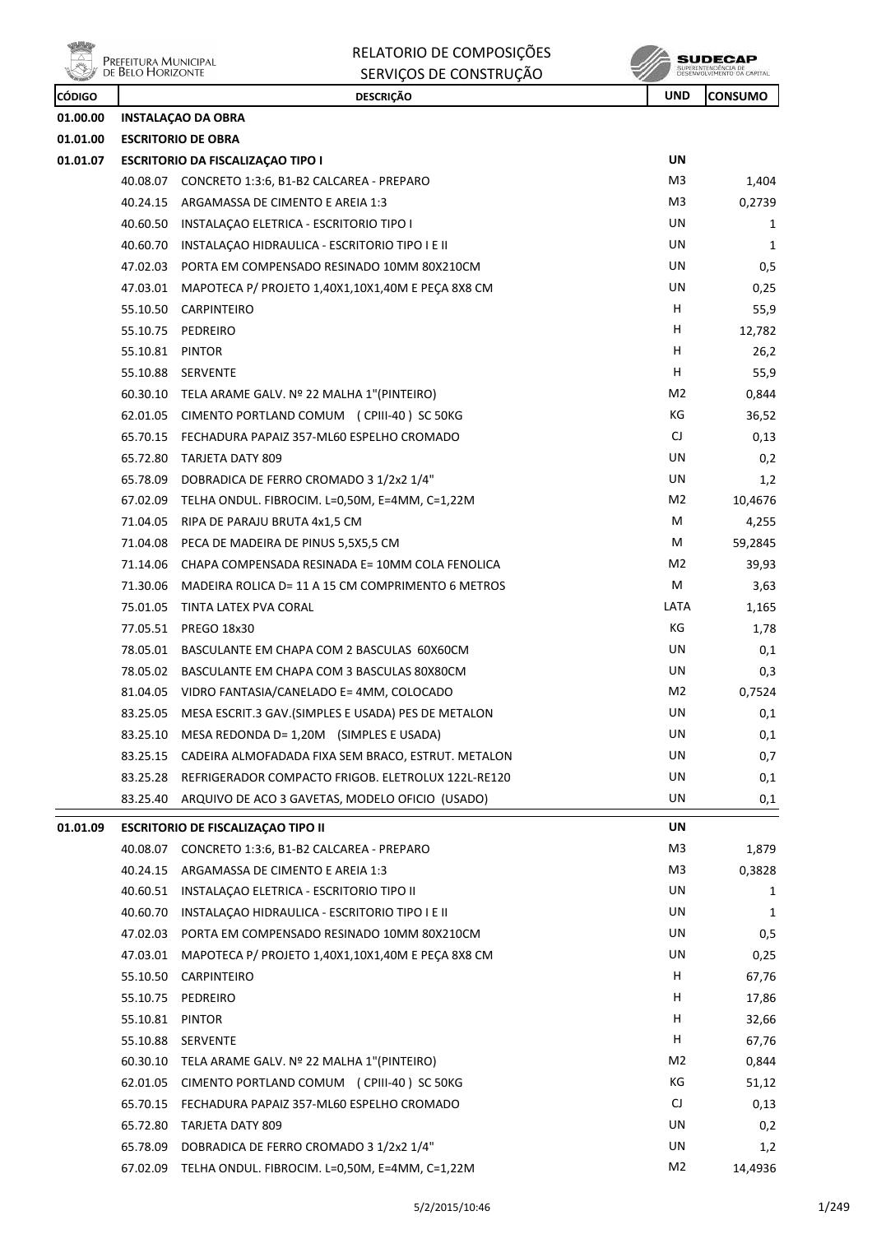

| RELATORIO DE COMPOSIÇÕES |
|--------------------------|
| SERVICOS DE CONSTRUIÇÃO  |

**SUDECAP** 

|               | <b>WELL</b> DEED FROM ZONTE | SERVIÇUS DE CUNSTRUÇAU                                       |                |                |
|---------------|-----------------------------|--------------------------------------------------------------|----------------|----------------|
| <b>CÓDIGO</b> |                             | <b>DESCRIÇÃO</b>                                             | <b>UND</b>     | <b>CONSUMO</b> |
| 01.00.00      |                             | <b>INSTALACAO DA OBRA</b>                                    |                |                |
| 01.01.00      |                             | <b>ESCRITORIO DE OBRA</b>                                    |                |                |
| 01.01.07      |                             | <b>ESCRITORIO DA FISCALIZAÇÃO TIPO I</b>                     | UN             |                |
|               |                             | 40.08.07 CONCRETO 1:3:6, B1-B2 CALCAREA - PREPARO            | M3             | 1,404          |
|               |                             | 40.24.15 ARGAMASSA DE CIMENTO E AREIA 1:3                    | M3             | 0,2739         |
|               | 40.60.50                    | INSTALAÇÃO ELETRICA - ESCRITORIO TIPO I                      | UN             | 1              |
|               | 40.60.70                    | INSTALAÇÃO HIDRAULICA - ESCRITORIO TIPO I E II               | UN             | 1              |
|               |                             | 47.02.03 PORTA EM COMPENSADO RESINADO 10MM 80X210CM          | UN             | 0,5            |
|               | 47.03.01                    | MAPOTECA P/ PROJETO 1,40X1,10X1,40M E PEÇA 8X8 CM            | UN             | 0,25           |
|               |                             | 55.10.50 CARPINTEIRO                                         | H              | 55,9           |
|               |                             | 55.10.75 PEDREIRO                                            | H              | 12,782         |
|               | 55.10.81                    | <b>PINTOR</b>                                                | H              | 26,2           |
|               | 55.10.88                    | SERVENTE                                                     | H              | 55,9           |
|               |                             | 60.30.10 TELA ARAME GALV. Nº 22 MALHA 1"(PINTEIRO)           | M2             | 0,844          |
|               |                             | 62.01.05 CIMENTO PORTLAND COMUM (CPIII-40) SC 50KG           | КG             | 36,52          |
|               |                             | 65.70.15 FECHADURA PAPAIZ 357-ML60 ESPELHO CROMADO           | CJ             | 0,13           |
|               |                             | 65.72.80 TARJETA DATY 809                                    | UN             | 0,2            |
|               | 65.78.09                    | DOBRADICA DE FERRO CROMADO 3 1/2x2 1/4"                      | UN             | 1,2            |
|               | 67.02.09                    | TELHA ONDUL. FIBROCIM. L=0,50M, E=4MM, C=1,22M               | M2             | 10,4676        |
|               | 71.04.05                    | RIPA DE PARAJU BRUTA 4x1,5 CM                                | м              | 4,255          |
|               | 71.04.08                    | PECA DE MADEIRA DE PINUS 5,5X5,5 CM                          | м              | 59,2845        |
|               | 71.14.06                    | CHAPA COMPENSADA RESINADA E= 10MM COLA FENOLICA              | M2             | 39,93          |
|               | 71.30.06                    | MADEIRA ROLICA D= 11 A 15 CM COMPRIMENTO 6 METROS            | M              | 3,63           |
|               | 75.01.05                    | TINTA LATEX PVA CORAL                                        | LATA           | 1,165          |
|               | 77.05.51                    | <b>PREGO 18x30</b>                                           | КG             | 1,78           |
|               | 78.05.01                    | BASCULANTE EM CHAPA COM 2 BASCULAS 60X60CM                   | UN             | 0,1            |
|               |                             | 78.05.02 BASCULANTE EM CHAPA COM 3 BASCULAS 80X80CM          | UN             | 0,3            |
|               | 81.04.05                    | VIDRO FANTASIA/CANELADO E= 4MM, COLOCADO                     | M2             | 0,7524         |
|               |                             | 83.25.05 MESA ESCRIT.3 GAV. (SIMPLES E USADA) PES DE METALON | UN             | 0,1            |
|               | 83.25.10                    | MESA REDONDA D= 1,20M (SIMPLES E USADA)                      | UN             | 0,1            |
|               | 83.25.15                    | CADEIRA ALMOFADADA FIXA SEM BRACO, ESTRUT. METALON           | UN             | 0,7            |
|               | 83.25.28                    | REFRIGERADOR COMPACTO FRIGOB. ELETROLUX 122L-RE120           | UN             | 0,1            |
|               | 83.25.40                    | ARQUIVO DE ACO 3 GAVETAS, MODELO OFICIO (USADO)              | UN             | 0,1            |
| 01.01.09      |                             | <b>ESCRITORIO DE FISCALIZAÇÃO TIPO II</b>                    | UN             |                |
|               | 40.08.07                    | CONCRETO 1:3:6, B1-B2 CALCAREA - PREPARO                     | M3             | 1,879          |
|               | 40.24.15                    | ARGAMASSA DE CIMENTO E AREIA 1:3                             | M3             | 0,3828         |
|               | 40.60.51                    | INSTALAÇÃO ELETRICA - ESCRITORIO TIPO II                     | UN             | 1              |
|               | 40.60.70                    | INSTALAÇÃO HIDRAULICA - ESCRITORIO TIPO I E II               | UN             | 1              |
|               | 47.02.03                    | PORTA EM COMPENSADO RESINADO 10MM 80X210CM                   | UN             | 0,5            |
|               | 47.03.01                    | MAPOTECA P/ PROJETO 1,40X1,10X1,40M E PECA 8X8 CM            | UN             | 0,25           |
|               | 55.10.50                    | CARPINTEIRO                                                  | H.             | 67,76          |
|               | 55.10.75                    | PEDREIRO                                                     | H              | 17,86          |
|               | 55.10.81                    | <b>PINTOR</b>                                                | H              | 32,66          |
|               | 55.10.88                    | SERVENTE                                                     | H              | 67,76          |
|               |                             | 60.30.10 TELA ARAME GALV. Nº 22 MALHA 1"(PINTEIRO)           | M <sub>2</sub> | 0,844          |
|               | 62.01.05                    | CIMENTO PORTLAND COMUM (CPIII-40) SC 50KG                    | КG             | 51,12          |
|               | 65.70.15                    | FECHADURA PAPAIZ 357-ML60 ESPELHO CROMADO                    | CJ             | 0,13           |
|               | 65.72.80                    | <b>TARJETA DATY 809</b>                                      | UN             | 0,2            |
|               |                             | 65.78.09 DOBRADICA DE FERRO CROMADO 3 1/2x2 1/4"             | UN             | 1,2            |
|               |                             | 67.02.09 TELHA ONDUL. FIBROCIM. L=0,50M, E=4MM, C=1,22M      | M2             | 14,4936        |
|               |                             |                                                              |                |                |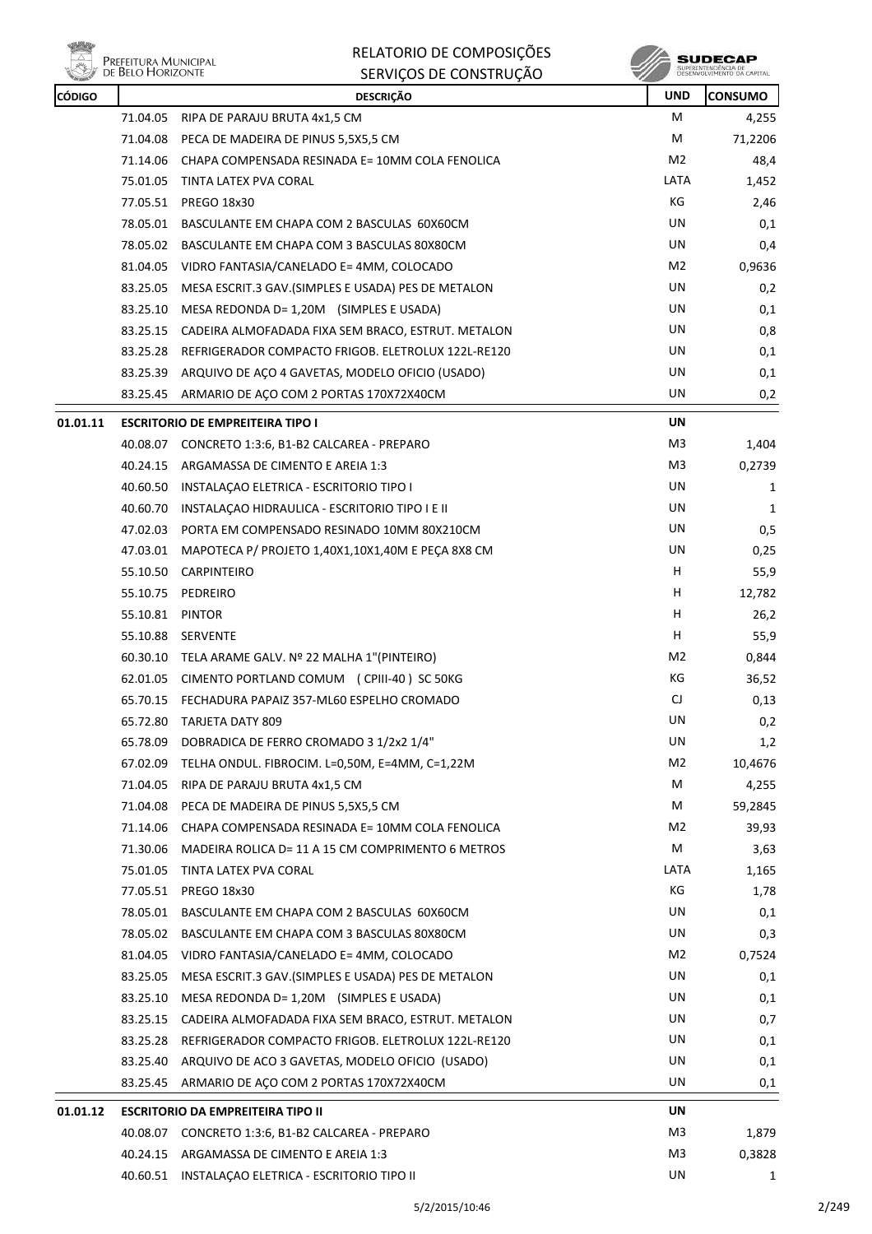

| RELATORIO DE COMPOSIÇÕES |
|--------------------------|
| SERVIÇOS DE CONSTRUÇÃO   |

**SUDECAP**<br>SUPERINTENDÉNCIA DE<br>DESENVOLVIMENTO OA CAPITAL

| <b>CÓDIGO</b> |                 | <b>DESCRIÇÃO</b>                                             | <b>UND</b>     | <b>CONSUMO</b> |
|---------------|-----------------|--------------------------------------------------------------|----------------|----------------|
|               |                 | 71.04.05 RIPA DE PARAJU BRUTA 4x1,5 CM                       | М              | 4,255          |
|               |                 | 71.04.08 PECA DE MADEIRA DE PINUS 5,5X5,5 CM                 | М              | 71,2206        |
|               | 71.14.06        | CHAPA COMPENSADA RESINADA E= 10MM COLA FENOLICA              | M2             | 48,4           |
|               | 75.01.05        | TINTA LATEX PVA CORAL                                        | LATA           | 1,452          |
|               |                 | 77.05.51 PREGO 18x30                                         | KG             | 2,46           |
|               | 78.05.01        | BASCULANTE EM CHAPA COM 2 BASCULAS 60X60CM                   | UN             | 0,1            |
|               | 78.05.02        | BASCULANTE EM CHAPA COM 3 BASCULAS 80X80CM                   | UN             | 0,4            |
|               |                 | 81.04.05 VIDRO FANTASIA/CANELADO E= 4MM, COLOCADO            | M2             | 0,9636         |
|               | 83.25.05        | MESA ESCRIT.3 GAV.(SIMPLES E USADA) PES DE METALON           | UN             | 0,2            |
|               | 83.25.10        | MESA REDONDA D= 1,20M (SIMPLES E USADA)                      | UN             | 0,1            |
|               |                 | 83.25.15 CADEIRA ALMOFADADA FIXA SEM BRACO, ESTRUT. METALON  | UN             | 0,8            |
|               |                 | 83.25.28 REFRIGERADOR COMPACTO FRIGOB. ELETROLUX 122L-RE120  | UN             | 0,1            |
|               |                 | 83.25.39 ARQUIVO DE AÇO 4 GAVETAS, MODELO OFICIO (USADO)     | UN             | 0,1            |
|               | 83.25.45        | ARMARIO DE AÇO COM 2 PORTAS 170X72X40CM                      | UN             | 0,2            |
| 01.01.11      |                 | <b>ESCRITORIO DE EMPREITEIRA TIPO I</b>                      | UN             |                |
|               | 40.08.07        | CONCRETO 1:3:6, B1-B2 CALCAREA - PREPARO                     | M3             | 1,404          |
|               |                 | 40.24.15 ARGAMASSA DE CIMENTO E AREIA 1:3                    | M3             | 0,2739         |
|               |                 | 40.60.50 INSTALAÇÃO ELETRICA - ESCRITORIO TIPO I             | UN             | 1              |
|               | 40.60.70        | INSTALAÇÃO HIDRAULICA - ESCRITORIO TIPO I E II               | UN             | 1              |
|               |                 | 47.02.03 PORTA EM COMPENSADO RESINADO 10MM 80X210CM          | UN             | 0,5            |
|               | 47.03.01        | MAPOTECA P/ PROJETO 1,40X1,10X1,40M E PECA 8X8 CM            | UN             | 0,25           |
|               |                 | 55.10.50 CARPINTEIRO                                         | H.             | 55,9           |
|               |                 | 55.10.75 PEDREIRO                                            | H              | 12,782         |
|               | 55.10.81 PINTOR |                                                              | н              | 26,2           |
|               | 55.10.88        | <b>SERVENTE</b>                                              | H              | 55,9           |
|               |                 | 60.30.10 TELA ARAME GALV. Nº 22 MALHA 1"(PINTEIRO)           | M2             | 0,844          |
|               | 62.01.05        | CIMENTO PORTLAND COMUM (CPIII-40) SC 50KG                    | КG             | 36,52          |
|               |                 | 65.70.15 FECHADURA PAPAIZ 357-ML60 ESPELHO CROMADO           | CJ             | 0,13           |
|               |                 | 65.72.80 TARJETA DATY 809                                    | UN             | 0,2            |
|               | 65.78.09        | DOBRADICA DE FERRO CROMADO 3 1/2x2 1/4"                      | UN             | 1,2            |
|               |                 | $67.02.09$ TELHA ONDUL. FIBROCIM. L=0,50M, E=4MM, C=1,22M    | M <sub>2</sub> | 10,4676        |
|               | 71.04.05        | RIPA DE PARAJU BRUTA 4x1,5 CM                                | M              | 4,255          |
|               | 71.04.08        | PECA DE MADEIRA DE PINUS 5,5X5,5 CM                          | М              | 59,2845        |
|               |                 | 71.14.06 CHAPA COMPENSADA RESINADA E= 10MM COLA FENOLICA     | M2             | 39,93          |
|               | 71.30.06        | MADEIRA ROLICA D= 11 A 15 CM COMPRIMENTO 6 METROS            | М              | 3,63           |
|               |                 | 75.01.05 TINTA LATEX PVA CORAL                               | LATA           | 1,165          |
|               | 77.05.51        | PREGO 18x30                                                  | КG             | 1,78           |
|               | 78.05.01        | BASCULANTE EM CHAPA COM 2 BASCULAS 60X60CM                   | UN             | 0,1            |
|               |                 | 78.05.02 BASCULANTE EM CHAPA COM 3 BASCULAS 80X80CM          | UN             | 0,3            |
|               |                 | 81.04.05 VIDRO FANTASIA/CANELADO E= 4MM, COLOCADO            | M2             | 0,7524         |
|               |                 | 83.25.05 MESA ESCRIT.3 GAV. (SIMPLES E USADA) PES DE METALON | UN             | 0,1            |
|               | 83.25.10        | MESA REDONDA D= 1,20M (SIMPLES E USADA)                      | UN             | 0,1            |
|               | 83.25.15        | CADEIRA ALMOFADADA FIXA SEM BRACO, ESTRUT. METALON           | UN             | 0,7            |
|               | 83.25.28        | REFRIGERADOR COMPACTO FRIGOB. ELETROLUX 122L-RE120           | UN             | 0,1            |
|               | 83.25.40        | ARQUIVO DE ACO 3 GAVETAS, MODELO OFICIO (USADO)              | UN             | 0,1            |
|               |                 | 83.25.45 ARMARIO DE AÇO COM 2 PORTAS 170X72X40CM             | UN             | 0,1            |
| 01.01.12      |                 | <b>ESCRITORIO DA EMPREITEIRA TIPO II</b>                     | UN             |                |
|               |                 | 40.08.07 CONCRETO 1:3:6, B1-B2 CALCAREA - PREPARO            | M3             | 1,879          |
|               |                 | 40.24.15 ARGAMASSA DE CIMENTO E AREIA 1:3                    | M3             | 0,3828         |
|               |                 | 40.60.51 INSTALAÇÃO ELETRICA - ESCRITORIO TIPO II            | UN             | $\mathbf{1}$   |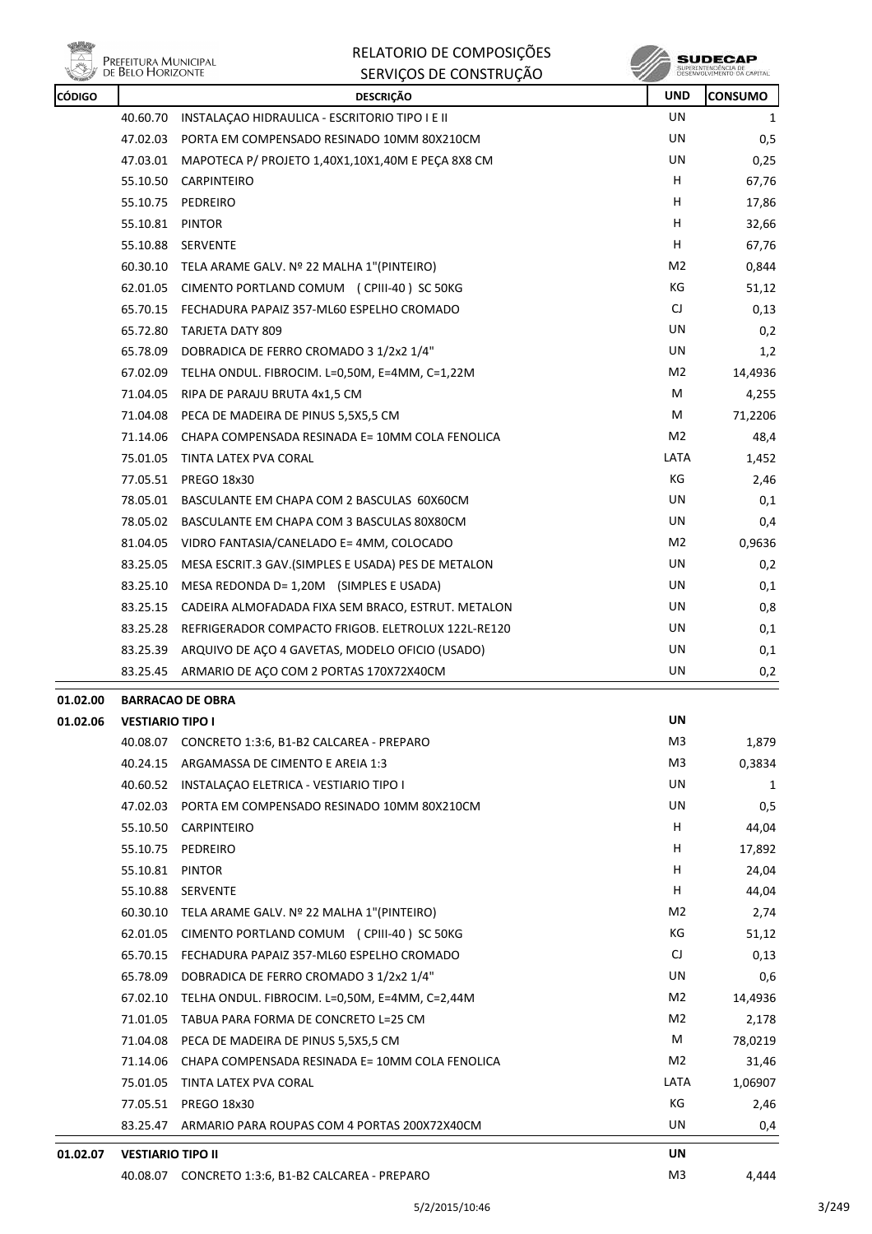

 $\begin{array}{c} \textbf{SUBECAP} \\ \textbf{SUBREINTEROÉNCIA DE} \\ \textbf{DESEWOUNIENTO OA CAPTIAL} \end{array}$ 

|                          | <b>DESCRIÇÃO</b>                                   | <b>UND</b>                                                                                                                                                                                                                                                                                                                                                                                                                                                                                                                                                                                                                                                                                                                                                                                                                                                                                                                                                                                                                                                                                                                                                                                                                                                                                             | <b>CONSUMO</b>                         |
|--------------------------|----------------------------------------------------|--------------------------------------------------------------------------------------------------------------------------------------------------------------------------------------------------------------------------------------------------------------------------------------------------------------------------------------------------------------------------------------------------------------------------------------------------------------------------------------------------------------------------------------------------------------------------------------------------------------------------------------------------------------------------------------------------------------------------------------------------------------------------------------------------------------------------------------------------------------------------------------------------------------------------------------------------------------------------------------------------------------------------------------------------------------------------------------------------------------------------------------------------------------------------------------------------------------------------------------------------------------------------------------------------------|----------------------------------------|
|                          |                                                    | UN                                                                                                                                                                                                                                                                                                                                                                                                                                                                                                                                                                                                                                                                                                                                                                                                                                                                                                                                                                                                                                                                                                                                                                                                                                                                                                     | 1                                      |
|                          | PORTA EM COMPENSADO RESINADO 10MM 80X210CM         | UN                                                                                                                                                                                                                                                                                                                                                                                                                                                                                                                                                                                                                                                                                                                                                                                                                                                                                                                                                                                                                                                                                                                                                                                                                                                                                                     | 0,5                                    |
|                          |                                                    | UN                                                                                                                                                                                                                                                                                                                                                                                                                                                                                                                                                                                                                                                                                                                                                                                                                                                                                                                                                                                                                                                                                                                                                                                                                                                                                                     | 0,25                                   |
|                          |                                                    | H.                                                                                                                                                                                                                                                                                                                                                                                                                                                                                                                                                                                                                                                                                                                                                                                                                                                                                                                                                                                                                                                                                                                                                                                                                                                                                                     | 67,76                                  |
|                          |                                                    | H.                                                                                                                                                                                                                                                                                                                                                                                                                                                                                                                                                                                                                                                                                                                                                                                                                                                                                                                                                                                                                                                                                                                                                                                                                                                                                                     | 17,86                                  |
|                          | PINTOR                                             | н                                                                                                                                                                                                                                                                                                                                                                                                                                                                                                                                                                                                                                                                                                                                                                                                                                                                                                                                                                                                                                                                                                                                                                                                                                                                                                      | 32,66                                  |
|                          |                                                    | H.                                                                                                                                                                                                                                                                                                                                                                                                                                                                                                                                                                                                                                                                                                                                                                                                                                                                                                                                                                                                                                                                                                                                                                                                                                                                                                     | 67,76                                  |
|                          |                                                    | M2                                                                                                                                                                                                                                                                                                                                                                                                                                                                                                                                                                                                                                                                                                                                                                                                                                                                                                                                                                                                                                                                                                                                                                                                                                                                                                     | 0,844                                  |
|                          | CIMENTO PORTLAND COMUM (CPIII-40) SC 50KG          | КG                                                                                                                                                                                                                                                                                                                                                                                                                                                                                                                                                                                                                                                                                                                                                                                                                                                                                                                                                                                                                                                                                                                                                                                                                                                                                                     | 51,12                                  |
|                          |                                                    | CJ                                                                                                                                                                                                                                                                                                                                                                                                                                                                                                                                                                                                                                                                                                                                                                                                                                                                                                                                                                                                                                                                                                                                                                                                                                                                                                     | 0,13                                   |
|                          |                                                    | UN                                                                                                                                                                                                                                                                                                                                                                                                                                                                                                                                                                                                                                                                                                                                                                                                                                                                                                                                                                                                                                                                                                                                                                                                                                                                                                     | 0,2                                    |
|                          |                                                    | UN                                                                                                                                                                                                                                                                                                                                                                                                                                                                                                                                                                                                                                                                                                                                                                                                                                                                                                                                                                                                                                                                                                                                                                                                                                                                                                     | 1,2                                    |
|                          |                                                    | M2                                                                                                                                                                                                                                                                                                                                                                                                                                                                                                                                                                                                                                                                                                                                                                                                                                                                                                                                                                                                                                                                                                                                                                                                                                                                                                     | 14,4936                                |
| 71.04.05                 | RIPA DE PARAJU BRUTA 4x1,5 CM                      | М                                                                                                                                                                                                                                                                                                                                                                                                                                                                                                                                                                                                                                                                                                                                                                                                                                                                                                                                                                                                                                                                                                                                                                                                                                                                                                      | 4,255                                  |
|                          |                                                    | М                                                                                                                                                                                                                                                                                                                                                                                                                                                                                                                                                                                                                                                                                                                                                                                                                                                                                                                                                                                                                                                                                                                                                                                                                                                                                                      | 71,2206                                |
|                          |                                                    | M2                                                                                                                                                                                                                                                                                                                                                                                                                                                                                                                                                                                                                                                                                                                                                                                                                                                                                                                                                                                                                                                                                                                                                                                                                                                                                                     | 48,4                                   |
|                          |                                                    | LATA                                                                                                                                                                                                                                                                                                                                                                                                                                                                                                                                                                                                                                                                                                                                                                                                                                                                                                                                                                                                                                                                                                                                                                                                                                                                                                   | 1,452                                  |
|                          |                                                    | КG                                                                                                                                                                                                                                                                                                                                                                                                                                                                                                                                                                                                                                                                                                                                                                                                                                                                                                                                                                                                                                                                                                                                                                                                                                                                                                     | 2,46                                   |
|                          | BASCULANTE EM CHAPA COM 2 BASCULAS 60X60CM         | UN                                                                                                                                                                                                                                                                                                                                                                                                                                                                                                                                                                                                                                                                                                                                                                                                                                                                                                                                                                                                                                                                                                                                                                                                                                                                                                     | 0,1                                    |
|                          |                                                    |                                                                                                                                                                                                                                                                                                                                                                                                                                                                                                                                                                                                                                                                                                                                                                                                                                                                                                                                                                                                                                                                                                                                                                                                                                                                                                        | 0,4                                    |
|                          |                                                    | M2                                                                                                                                                                                                                                                                                                                                                                                                                                                                                                                                                                                                                                                                                                                                                                                                                                                                                                                                                                                                                                                                                                                                                                                                                                                                                                     | 0,9636                                 |
|                          |                                                    |                                                                                                                                                                                                                                                                                                                                                                                                                                                                                                                                                                                                                                                                                                                                                                                                                                                                                                                                                                                                                                                                                                                                                                                                                                                                                                        | 0,2                                    |
|                          | MESA REDONDA D= $1,20M$ (SIMPLES E USADA)          |                                                                                                                                                                                                                                                                                                                                                                                                                                                                                                                                                                                                                                                                                                                                                                                                                                                                                                                                                                                                                                                                                                                                                                                                                                                                                                        | 0,1                                    |
|                          |                                                    |                                                                                                                                                                                                                                                                                                                                                                                                                                                                                                                                                                                                                                                                                                                                                                                                                                                                                                                                                                                                                                                                                                                                                                                                                                                                                                        | 0,8                                    |
|                          |                                                    |                                                                                                                                                                                                                                                                                                                                                                                                                                                                                                                                                                                                                                                                                                                                                                                                                                                                                                                                                                                                                                                                                                                                                                                                                                                                                                        | 0,1                                    |
|                          |                                                    |                                                                                                                                                                                                                                                                                                                                                                                                                                                                                                                                                                                                                                                                                                                                                                                                                                                                                                                                                                                                                                                                                                                                                                                                                                                                                                        | 0,1                                    |
|                          |                                                    |                                                                                                                                                                                                                                                                                                                                                                                                                                                                                                                                                                                                                                                                                                                                                                                                                                                                                                                                                                                                                                                                                                                                                                                                                                                                                                        | 0,2                                    |
|                          |                                                    |                                                                                                                                                                                                                                                                                                                                                                                                                                                                                                                                                                                                                                                                                                                                                                                                                                                                                                                                                                                                                                                                                                                                                                                                                                                                                                        |                                        |
|                          |                                                    | UN                                                                                                                                                                                                                                                                                                                                                                                                                                                                                                                                                                                                                                                                                                                                                                                                                                                                                                                                                                                                                                                                                                                                                                                                                                                                                                     |                                        |
|                          |                                                    | M3                                                                                                                                                                                                                                                                                                                                                                                                                                                                                                                                                                                                                                                                                                                                                                                                                                                                                                                                                                                                                                                                                                                                                                                                                                                                                                     | 1,879                                  |
|                          |                                                    | M3                                                                                                                                                                                                                                                                                                                                                                                                                                                                                                                                                                                                                                                                                                                                                                                                                                                                                                                                                                                                                                                                                                                                                                                                                                                                                                     | 0,3834                                 |
| 40.60.52                 | INSTALAÇÃO ELETRICA - VESTIARIO TIPO I             | UN                                                                                                                                                                                                                                                                                                                                                                                                                                                                                                                                                                                                                                                                                                                                                                                                                                                                                                                                                                                                                                                                                                                                                                                                                                                                                                     | 1                                      |
| 47.02.03                 | PORTA EM COMPENSADO RESINADO 10MM 80X210CM         | UN                                                                                                                                                                                                                                                                                                                                                                                                                                                                                                                                                                                                                                                                                                                                                                                                                                                                                                                                                                                                                                                                                                                                                                                                                                                                                                     | 0,5                                    |
|                          |                                                    | H                                                                                                                                                                                                                                                                                                                                                                                                                                                                                                                                                                                                                                                                                                                                                                                                                                                                                                                                                                                                                                                                                                                                                                                                                                                                                                      | 44,04                                  |
| 55.10.75                 |                                                    | H.                                                                                                                                                                                                                                                                                                                                                                                                                                                                                                                                                                                                                                                                                                                                                                                                                                                                                                                                                                                                                                                                                                                                                                                                                                                                                                     | 17,892                                 |
|                          |                                                    |                                                                                                                                                                                                                                                                                                                                                                                                                                                                                                                                                                                                                                                                                                                                                                                                                                                                                                                                                                                                                                                                                                                                                                                                                                                                                                        |                                        |
| 55.10.81 PINTOR          |                                                    | н                                                                                                                                                                                                                                                                                                                                                                                                                                                                                                                                                                                                                                                                                                                                                                                                                                                                                                                                                                                                                                                                                                                                                                                                                                                                                                      | 24,04                                  |
| 55.10.88                 | <b>SERVENTE</b>                                    | н                                                                                                                                                                                                                                                                                                                                                                                                                                                                                                                                                                                                                                                                                                                                                                                                                                                                                                                                                                                                                                                                                                                                                                                                                                                                                                      | 44,04                                  |
|                          | 60.30.10 TELA ARAME GALV. Nº 22 MALHA 1"(PINTEIRO) | M2                                                                                                                                                                                                                                                                                                                                                                                                                                                                                                                                                                                                                                                                                                                                                                                                                                                                                                                                                                                                                                                                                                                                                                                                                                                                                                     | 2,74                                   |
|                          | 62.01.05 CIMENTO PORTLAND COMUM (CPIII-40) SC 50KG | КG                                                                                                                                                                                                                                                                                                                                                                                                                                                                                                                                                                                                                                                                                                                                                                                                                                                                                                                                                                                                                                                                                                                                                                                                                                                                                                     | 51,12                                  |
|                          | 65.70.15 FECHADURA PAPAIZ 357-ML60 ESPELHO CROMADO | CJ                                                                                                                                                                                                                                                                                                                                                                                                                                                                                                                                                                                                                                                                                                                                                                                                                                                                                                                                                                                                                                                                                                                                                                                                                                                                                                     | 0,13                                   |
|                          | 65.78.09 DOBRADICA DE FERRO CROMADO 3 1/2x2 1/4"   | UN                                                                                                                                                                                                                                                                                                                                                                                                                                                                                                                                                                                                                                                                                                                                                                                                                                                                                                                                                                                                                                                                                                                                                                                                                                                                                                     | 0,6                                    |
| 67.02.10                 | TELHA ONDUL. FIBROCIM. L=0,50M, E=4MM, C=2,44M     | M2                                                                                                                                                                                                                                                                                                                                                                                                                                                                                                                                                                                                                                                                                                                                                                                                                                                                                                                                                                                                                                                                                                                                                                                                                                                                                                     | 14,4936                                |
|                          | 71.01.05 TABUA PARA FORMA DE CONCRETO L=25 CM      | M2                                                                                                                                                                                                                                                                                                                                                                                                                                                                                                                                                                                                                                                                                                                                                                                                                                                                                                                                                                                                                                                                                                                                                                                                                                                                                                     | 2,178                                  |
|                          | 71.04.08 PECA DE MADEIRA DE PINUS 5,5X5,5 CM       | М                                                                                                                                                                                                                                                                                                                                                                                                                                                                                                                                                                                                                                                                                                                                                                                                                                                                                                                                                                                                                                                                                                                                                                                                                                                                                                      | 78,0219                                |
| 71.14.06                 | CHAPA COMPENSADA RESINADA E= 10MM COLA FENOLICA    | M2                                                                                                                                                                                                                                                                                                                                                                                                                                                                                                                                                                                                                                                                                                                                                                                                                                                                                                                                                                                                                                                                                                                                                                                                                                                                                                     | 31,46                                  |
|                          | 75.01.05 TINTA LATEX PVA CORAL                     | LATA                                                                                                                                                                                                                                                                                                                                                                                                                                                                                                                                                                                                                                                                                                                                                                                                                                                                                                                                                                                                                                                                                                                                                                                                                                                                                                   | 1,06907                                |
| 77.05.51                 | PREGO 18x30                                        | КG                                                                                                                                                                                                                                                                                                                                                                                                                                                                                                                                                                                                                                                                                                                                                                                                                                                                                                                                                                                                                                                                                                                                                                                                                                                                                                     | 2,46                                   |
| 83.25.47                 | ARMARIO PARA ROUPAS COM 4 PORTAS 200X72X40CM       | UN                                                                                                                                                                                                                                                                                                                                                                                                                                                                                                                                                                                                                                                                                                                                                                                                                                                                                                                                                                                                                                                                                                                                                                                                                                                                                                     | 0,4                                    |
| <b>VESTIARIO TIPO II</b> |                                                    | UN                                                                                                                                                                                                                                                                                                                                                                                                                                                                                                                                                                                                                                                                                                                                                                                                                                                                                                                                                                                                                                                                                                                                                                                                                                                                                                     |                                        |
|                          | 83.25.45                                           | 40.60.70 INSTALAÇÃO HIDRAULICA - ESCRITORIO TIPO I E II<br>47.02.03<br>47.03.01 MAPOTECA P/ PROJETO 1,40X1,10X1,40M E PECA 8X8 CM<br>55.10.50 CARPINTEIRO<br>55.10.75 PEDREIRO<br>55.10.81<br>55.10.88 SERVENTE<br>60.30.10 TELA ARAME GALV. Nº 22 MALHA 1"(PINTEIRO)<br>62.01.05<br>65.70.15 FECHADURA PAPAIZ 357-ML60 ESPELHO CROMADO<br>65.72.80 TARJETA DATY 809<br>65.78.09 DOBRADICA DE FERRO CROMADO 3 1/2x2 1/4"<br>67.02.09 TELHA ONDUL. FIBROCIM. L=0,50M, E=4MM, C=1,22M<br>71.04.08 PECA DE MADEIRA DE PINUS 5,5X5,5 CM<br>71.14.06 CHAPA COMPENSADA RESINADA E= 10MM COLA FENOLICA<br>75.01.05 TINTA LATEX PVA CORAL<br>77.05.51<br>PREGO 18x30<br>78.05.01<br>78.05.02 BASCULANTE EM CHAPA COM 3 BASCULAS 80X80CM<br>81.04.05 VIDRO FANTASIA/CANELADO E= 4MM, COLOCADO<br>83.25.05<br>MESA ESCRIT.3 GAV.(SIMPLES E USADA) PES DE METALON<br>83.25.10<br>83.25.15 CADEIRA ALMOFADADA FIXA SEM BRACO, ESTRUT. METALON<br>83.25.28<br>REFRIGERADOR COMPACTO FRIGOB. ELETROLUX 122L-RE120<br>83.25.39 ARQUIVO DE AÇO 4 GAVETAS, MODELO OFICIO (USADO)<br>ARMARIO DE AÇO COM 2 PORTAS 170X72X40CM<br><b>BARRACAO DE OBRA</b><br><b>VESTIARIO TIPO I</b><br>40.08.07 CONCRETO 1:3:6, B1-B2 CALCAREA - PREPARO<br>40.24.15 ARGAMASSA DE CIMENTO E AREIA 1:3<br>55.10.50 CARPINTEIRO<br>PEDREIRO | UN<br>UN<br>UN<br>UN<br>UN<br>UN<br>UN |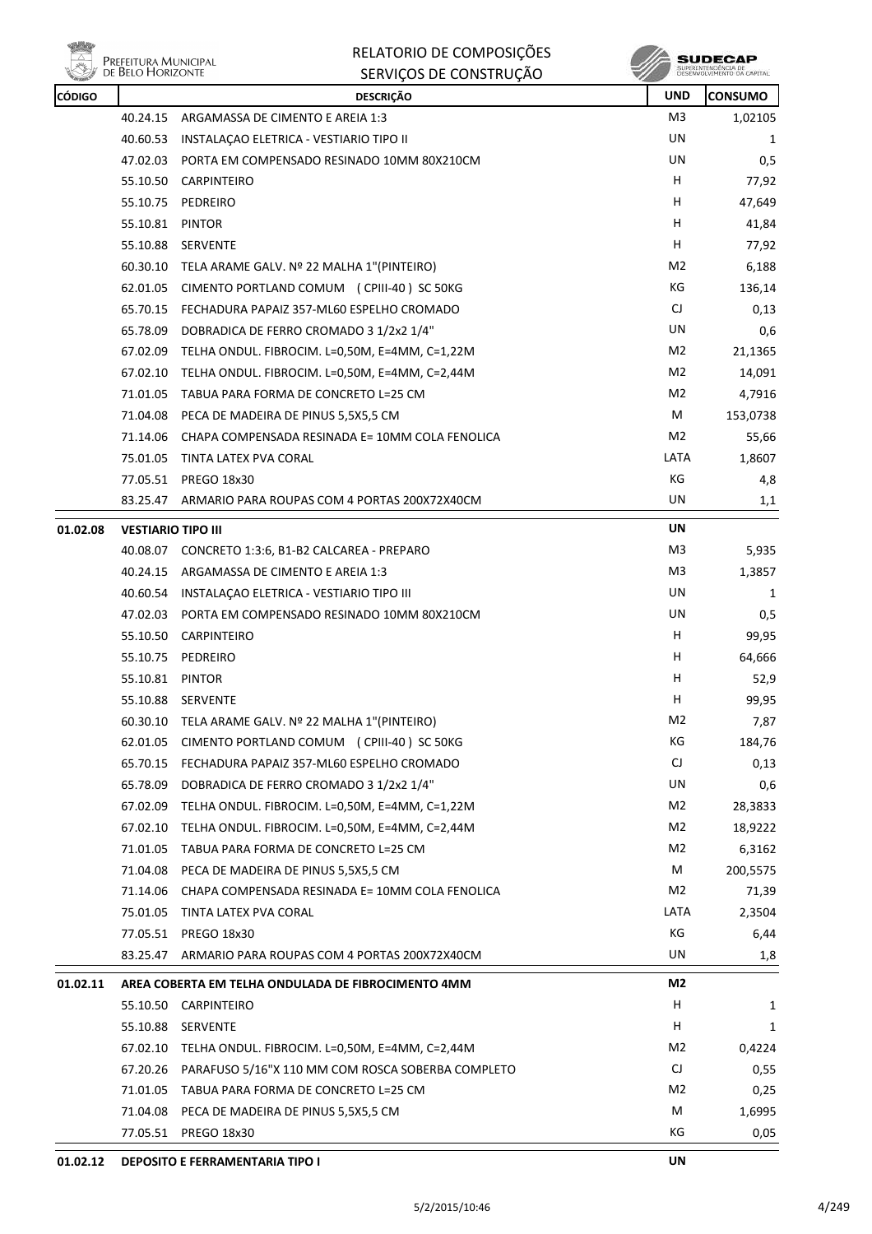



| <b>CÓDIGO</b> |                           | <b>DESCRIÇÃO</b>                                           | <b>UND</b>             | <b>CONSUMO</b> |
|---------------|---------------------------|------------------------------------------------------------|------------------------|----------------|
|               | 40.24.15                  | ARGAMASSA DE CIMENTO E AREIA 1:3                           | M3                     | 1,02105        |
|               | 40.60.53                  | INSTALAÇÃO ELETRICA - VESTIARIO TIPO II                    | UN                     | 1              |
|               |                           | 47.02.03 PORTA EM COMPENSADO RESINADO 10MM 80X210CM        | UN                     | 0,5            |
|               |                           | 55.10.50 CARPINTEIRO                                       | H                      | 77,92          |
|               |                           | 55.10.75 PEDREIRO                                          | H                      | 47,649         |
|               | 55.10.81 PINTOR           |                                                            | H                      | 41,84          |
|               | 55.10.88                  | SERVENTE                                                   | H.                     | 77,92          |
|               |                           | 60.30.10 TELA ARAME GALV. Nº 22 MALHA 1"(PINTEIRO)         | M2                     | 6,188          |
|               | 62.01.05                  | CIMENTO PORTLAND COMUM (CPIII-40) SC 50KG                  | КG                     | 136,14         |
|               |                           | 65.70.15 FECHADURA PAPAIZ 357-ML60 ESPELHO CROMADO         | $\mathsf{C}\mathsf{J}$ | 0,13           |
|               |                           | 65.78.09 DOBRADICA DE FERRO CROMADO 3 1/2x2 1/4"           | UN                     | 0,6            |
|               |                           | 67.02.09 TELHA ONDUL. FIBROCIM. L=0,50M, E=4MM, C=1,22M    | M2                     | 21,1365        |
|               | 67.02.10                  | TELHA ONDUL. FIBROCIM. L=0,50M, E=4MM, C=2,44M             | M <sub>2</sub>         | 14,091         |
|               | 71.01.05                  | TABUA PARA FORMA DE CONCRETO L=25 CM                       | M2                     | 4,7916         |
|               |                           | 71.04.08 PECA DE MADEIRA DE PINUS 5,5X5,5 CM               | M                      | 153,0738       |
|               | 71.14.06                  | CHAPA COMPENSADA RESINADA E= 10MM COLA FENOLICA            | M2                     | 55,66          |
|               | 75.01.05                  | TINTA LATEX PVA CORAL                                      | LATA                   | 1,8607         |
|               | 77.05.51                  | <b>PREGO 18x30</b>                                         | КG                     | 4,8            |
|               | 83.25.47                  | ARMARIO PARA ROUPAS COM 4 PORTAS 200X72X40CM               | UN                     | 1,1            |
| 01.02.08      | <b>VESTIARIO TIPO III</b> |                                                            | <b>UN</b>              |                |
|               | 40.08.07                  | CONCRETO 1:3:6, B1-B2 CALCAREA - PREPARO                   | M <sub>3</sub>         | 5,935          |
|               |                           | 40.24.15 ARGAMASSA DE CIMENTO E AREIA 1:3                  | M3                     | 1,3857         |
|               |                           | 40.60.54 INSTALAÇÃO ELETRICA - VESTIARIO TIPO III          | UN                     | 1              |
|               |                           | 47.02.03 PORTA EM COMPENSADO RESINADO 10MM 80X210CM        | UN                     | 0,5            |
|               | 55.10.50                  | CARPINTEIRO                                                | H.                     | 99,95          |
|               | 55.10.75                  | PEDREIRO                                                   | H                      | 64,666         |
|               | 55.10.81 PINTOR           |                                                            | H                      | 52,9           |
|               |                           | 55.10.88 SERVENTE                                          | H.                     | 99,95          |
|               |                           | 60.30.10 TELA ARAME GALV. Nº 22 MALHA 1"(PINTEIRO)         | M2                     | 7,87           |
|               |                           | 62.01.05 CIMENTO PORTLAND COMUM (CPIII-40) SC 50KG         | KG                     | 184,76         |
|               |                           | 65.70.15 FECHADURA PAPAIZ 357-ML60 ESPELHO CROMADO         | CJ                     | 0,13           |
|               | 65.78.09                  | DOBRADICA DE FERRO CROMADO 3 1/2x2 1/4"                    | UN                     | 0,6            |
|               | 67.02.09                  | TELHA ONDUL. FIBROCIM. L=0,50M, E=4MM, C=1,22M             | M <sub>2</sub>         | 28,3833        |
|               | 67.02.10                  | TELHA ONDUL. FIBROCIM. L=0,50M, E=4MM, C=2,44M             | M2                     | 18,9222        |
|               | 71.01.05                  | TABUA PARA FORMA DE CONCRETO L=25 CM                       | M <sub>2</sub>         | 6,3162         |
|               |                           | 71.04.08 PECA DE MADEIRA DE PINUS 5,5X5,5 CM               | M                      | 200,5575       |
|               | 71.14.06                  | CHAPA COMPENSADA RESINADA E= 10MM COLA FENOLICA            | M <sub>2</sub>         | 71,39          |
|               | 75.01.05                  | TINTA LATEX PVA CORAL                                      | LATA                   | 2,3504         |
|               |                           | 77.05.51 PREGO 18x30                                       | КG                     | 6,44           |
|               | 83.25.47                  | ARMARIO PARA ROUPAS COM 4 PORTAS 200X72X40CM               | UN                     | 1,8            |
| 01.02.11      |                           | AREA COBERTA EM TELHA ONDULADA DE FIBROCIMENTO 4MM         | M2                     |                |
|               | 55.10.50                  | CARPINTEIRO                                                | H                      | 1              |
|               | 55.10.88                  | SERVENTE                                                   | H                      | 1              |
|               |                           | $67.02.10$ TELHA ONDUL. FIBROCIM. L=0,50M, E=4MM, C=2,44M  | M2                     | 0,4224         |
|               |                           | 67.20.26 PARAFUSO 5/16"X 110 MM COM ROSCA SOBERBA COMPLETO | CJ                     | 0,55           |
|               |                           | 71.01.05 TABUA PARA FORMA DE CONCRETO L=25 CM              | M2                     | 0,25           |
|               |                           | 71.04.08 PECA DE MADEIRA DE PINUS 5,5X5,5 CM               | M                      | 1,6995         |
|               | 77.05.51                  | PREGO 18x30                                                | КG                     | 0,05           |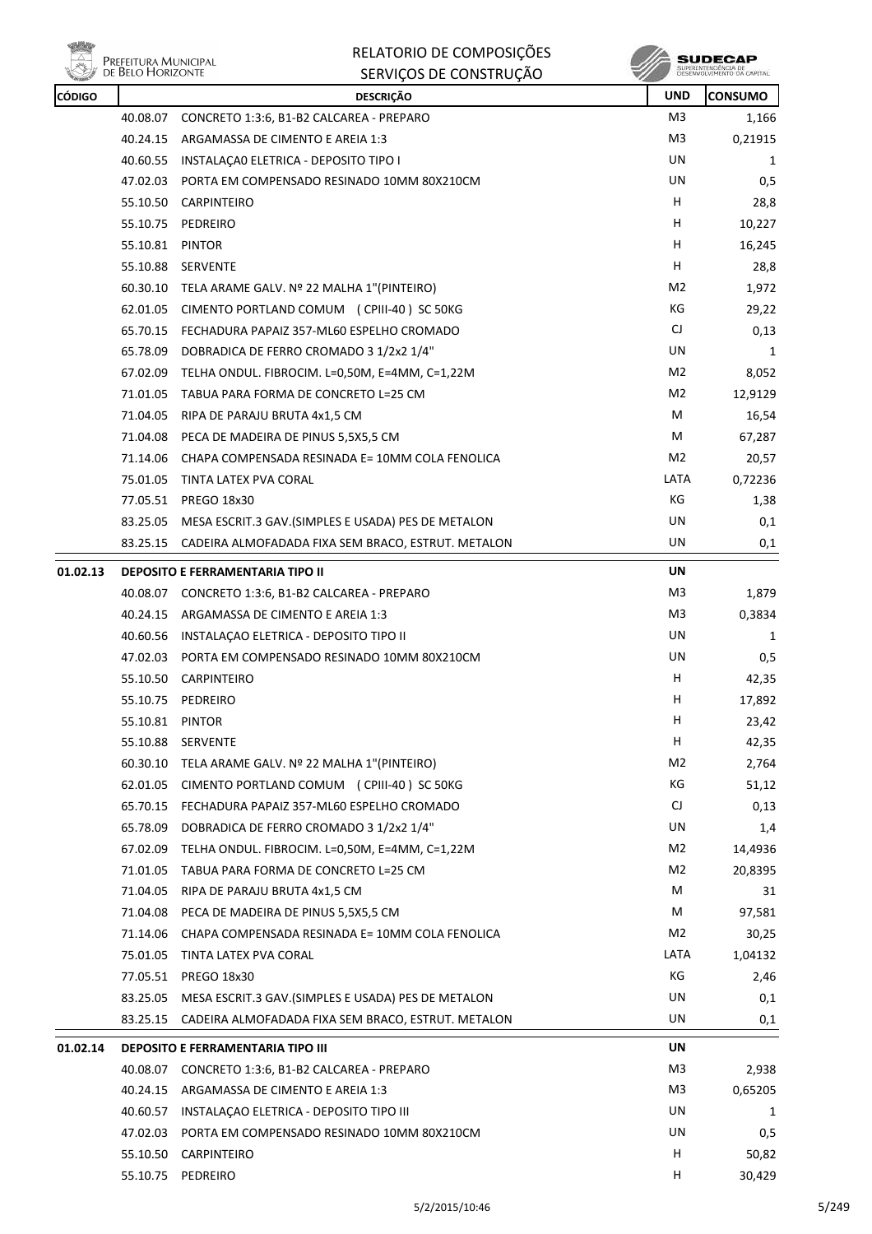



| <b>CÓDIGO</b> |                 | <b>DESCRIÇÃO</b>                                             | <b>UND</b> | <b>CONSUMO</b> |
|---------------|-----------------|--------------------------------------------------------------|------------|----------------|
|               |                 | 40.08.07 CONCRETO 1:3:6, B1-B2 CALCAREA - PREPARO            | M3         | 1,166          |
|               |                 | 40.24.15 ARGAMASSA DE CIMENTO E AREIA 1:3                    | M3         | 0,21915        |
|               |                 | 40.60.55 INSTALACA0 ELETRICA - DEPOSITO TIPO I               | UN         | 1              |
|               |                 | 47.02.03 PORTA EM COMPENSADO RESINADO 10MM 80X210CM          | UN         | 0,5            |
|               | 55.10.50        | CARPINTEIRO                                                  | H.         | 28,8           |
|               |                 | 55.10.75 PEDREIRO                                            | H          | 10,227         |
|               | 55.10.81        | PINTOR                                                       | H          | 16,245         |
|               |                 | 55.10.88 SERVENTE                                            | H.         | 28,8           |
|               |                 | 60.30.10 TELA ARAME GALV. Nº 22 MALHA 1"(PINTEIRO)           | M2         | 1,972          |
|               |                 | 62.01.05 CIMENTO PORTLAND COMUM (CPIII-40) SC 50KG           | КG         | 29,22          |
|               |                 | 65.70.15 FECHADURA PAPAIZ 357-ML60 ESPELHO CROMADO           | CJ         | 0,13           |
|               | 65.78.09        | DOBRADICA DE FERRO CROMADO 3 1/2x2 1/4"                      | UN         | 1              |
|               |                 | 67.02.09 TELHA ONDUL. FIBROCIM. L=0,50M, E=4MM, C=1,22M      | M2         | 8,052          |
|               |                 | 71.01.05 TABUA PARA FORMA DE CONCRETO L=25 CM                | M2         | 12,9129        |
|               |                 | 71.04.05 RIPA DE PARAJU BRUTA 4x1,5 CM                       | М          | 16,54          |
|               |                 | 71.04.08 PECA DE MADEIRA DE PINUS 5,5X5,5 CM                 | М          | 67,287         |
|               | 71.14.06        | CHAPA COMPENSADA RESINADA E= 10MM COLA FENOLICA              | M2         | 20,57          |
|               |                 | 75.01.05 TINTA LATEX PVA CORAL                               | LATA       | 0,72236        |
|               |                 | 77.05.51 PREGO 18x30                                         | КG         | 1,38           |
|               |                 | 83.25.05 MESA ESCRIT.3 GAV. (SIMPLES E USADA) PES DE METALON | UN         | 0,1            |
|               | 83.25.15        | CADEIRA ALMOFADADA FIXA SEM BRACO, ESTRUT. METALON           | UN         | 0,1            |
| 01.02.13      |                 | <b>DEPOSITO E FERRAMENTARIA TIPO II</b>                      | UN         |                |
|               |                 | 40.08.07 CONCRETO 1:3:6, B1-B2 CALCAREA - PREPARO            | M3         | 1,879          |
|               | 40.24.15        | ARGAMASSA DE CIMENTO E AREIA 1:3                             | M3         | 0,3834         |
|               |                 | 40.60.56 INSTALAÇÃO ELETRICA - DEPOSITO TIPO II              | UN         | 1              |
|               |                 | 47.02.03 PORTA EM COMPENSADO RESINADO 10MM 80X210CM          | UN         | 0,5            |
|               |                 | 55.10.50 CARPINTEIRO                                         | H          | 42,35          |
|               |                 | 55.10.75 PEDREIRO                                            | н          | 17,892         |
|               | 55.10.81 PINTOR |                                                              | H          | 23,42          |
|               |                 | 55.10.88 SERVENTE                                            | H          | 42,35          |
|               |                 | 60.30.10 TELA ARAME GALV. Nº 22 MALHA 1"(PINTEIRO)           | M2         | 2,764          |
|               |                 | 62.01.05 CIMENTO PORTLAND COMUM (CPIII-40) SC 50KG           | КG         | 51,12          |
|               |                 | 65.70.15 FECHADURA PAPAIZ 357-ML60 ESPELHO CROMADO           | CJ         | 0,13           |
|               |                 | 65.78.09 DOBRADICA DE FERRO CROMADO 3 1/2x2 1/4"             | UN         | 1,4            |
|               |                 | 67.02.09 TELHA ONDUL. FIBROCIM. L=0,50M, E=4MM, C=1,22M      | M2         | 14,4936        |
|               | 71.01.05        | TABUA PARA FORMA DE CONCRETO L=25 CM                         | M2         | 20,8395        |
|               |                 | 71.04.05 RIPA DE PARAJU BRUTA 4x1,5 CM                       | М          | 31             |
|               |                 | 71.04.08 PECA DE MADEIRA DE PINUS 5,5X5,5 CM                 | М          | 97,581         |
|               |                 | 71.14.06 CHAPA COMPENSADA RESINADA E= 10MM COLA FENOLICA     | M2         | 30,25          |
|               |                 | 75.01.05 TINTA LATEX PVA CORAL                               | LATA       | 1,04132        |
|               |                 | 77.05.51 PREGO 18x30                                         | КG         | 2,46           |
|               |                 | 83.25.05 MESA ESCRIT.3 GAV. (SIMPLES E USADA) PES DE METALON | UN         | 0,1            |
|               | 83.25.15        | CADEIRA ALMOFADADA FIXA SEM BRACO, ESTRUT. METALON           | UN         | 0,1            |
| 01.02.14      |                 | <b>DEPOSITO E FERRAMENTARIA TIPO III</b>                     | UN         |                |
|               |                 | 40.08.07 CONCRETO 1:3:6, B1-B2 CALCAREA - PREPARO            | M3         | 2,938          |
|               |                 | 40.24.15 ARGAMASSA DE CIMENTO E AREIA 1:3                    | M3         | 0,65205        |
|               |                 | 40.60.57 INSTALAÇÃO ELETRICA - DEPOSITO TIPO III             | UN         | 1              |
|               |                 | 47.02.03 PORTA EM COMPENSADO RESINADO 10MM 80X210CM          | UN         | 0,5            |
|               |                 | 55.10.50 CARPINTEIRO                                         | H          | 50,82          |
|               |                 | 55.10.75 PEDREIRO                                            | H          | 30,429         |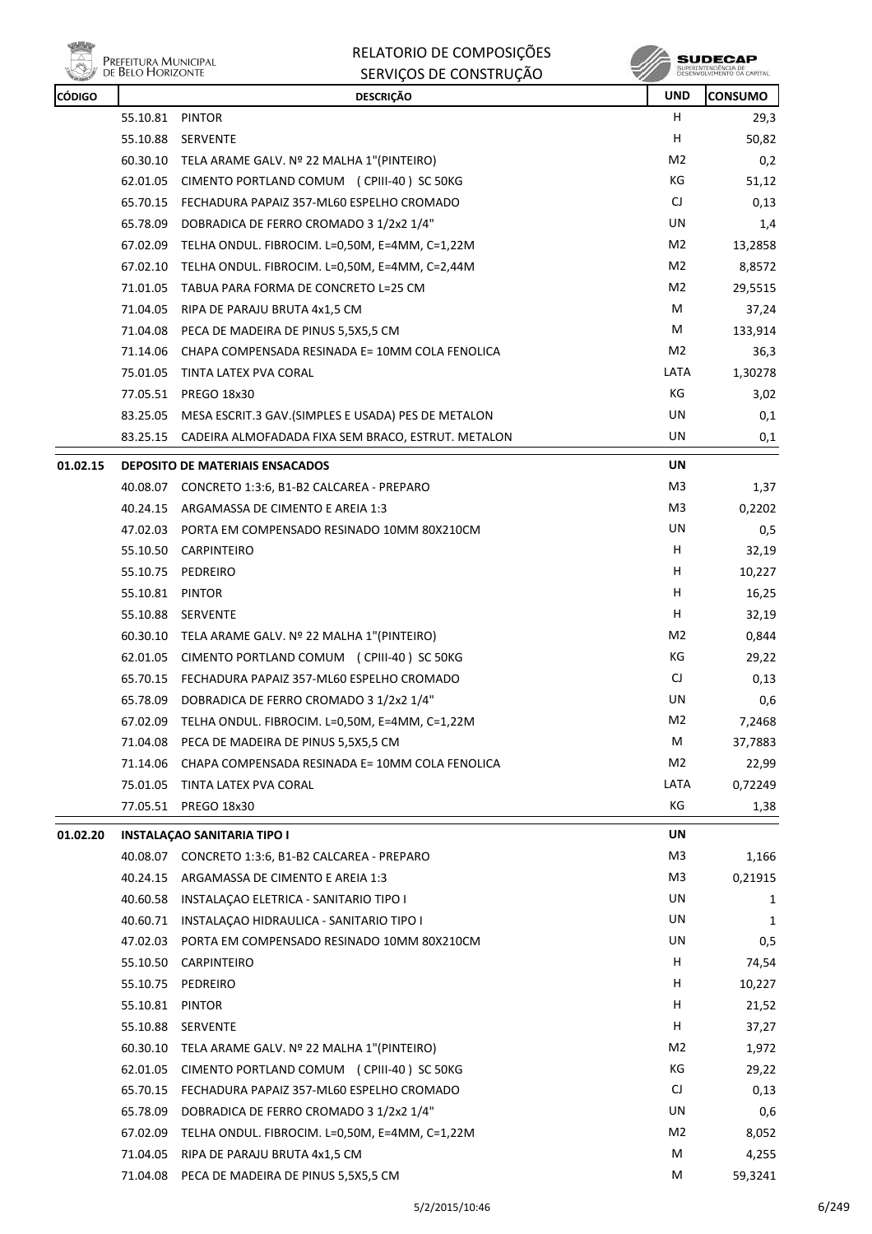

| RELATORIO DE COMPOSIÇÕES |
|--------------------------|
| SERVIÇOS DE CONSTRUÇÃO   |

**SUDECAP**<br>SUPERINTENCÉNCIA DE<br>DESERVOLVEMENTO OA CAPITAL

| CÓDIGO   |                 | <b>DESCRIÇÃO</b>                                                                            | <b>UND</b>     | <b>CONSUMO</b> |
|----------|-----------------|---------------------------------------------------------------------------------------------|----------------|----------------|
|          | 55.10.81        | PINTOR                                                                                      | н              | 29,3           |
|          | 55.10.88        | <b>SERVENTE</b>                                                                             | H              | 50,82          |
|          |                 | 60.30.10 TELA ARAME GALV. Nº 22 MALHA 1"(PINTEIRO)                                          | M2             | 0,2            |
|          | 62.01.05        | CIMENTO PORTLAND COMUM (CPIII-40) SC 50KG                                                   | КG             | 51,12          |
|          |                 | 65.70.15 FECHADURA PAPAIZ 357-ML60 ESPELHO CROMADO                                          | CJ             | 0,13           |
|          | 65.78.09        | DOBRADICA DE FERRO CROMADO 3 1/2x2 1/4"                                                     | UN             | 1,4            |
|          | 67.02.09        | TELHA ONDUL. FIBROCIM. L=0,50M, E=4MM, C=1,22M                                              | M2             | 13,2858        |
|          | 67.02.10        | TELHA ONDUL. FIBROCIM. L=0,50M, E=4MM, C=2,44M                                              | M2             | 8,8572         |
|          | 71.01.05        | TABUA PARA FORMA DE CONCRETO L=25 CM                                                        | M2             | 29,5515        |
|          | 71.04.05        | RIPA DE PARAJU BRUTA 4x1,5 CM                                                               | M              | 37,24          |
|          | 71.04.08        | PECA DE MADEIRA DE PINUS 5,5X5,5 CM                                                         | M              | 133,914        |
|          |                 | 71.14.06 CHAPA COMPENSADA RESINADA E= 10MM COLA FENOLICA                                    | M2             | 36,3           |
|          | 75.01.05        | TINTA LATEX PVA CORAL                                                                       | LATA           | 1,30278        |
|          | 77.05.51        | PREGO 18x30                                                                                 | КG             | 3,02           |
|          | 83.25.05        | MESA ESCRIT.3 GAV.(SIMPLES E USADA) PES DE METALON                                          | UN             | 0,1            |
|          |                 | 83.25.15 CADEIRA ALMOFADADA FIXA SEM BRACO, ESTRUT. METALON                                 | UN             | 0,1            |
|          |                 |                                                                                             | <b>UN</b>      |                |
| 01.02.15 |                 | <b>DEPOSITO DE MATERIAIS ENSACADOS</b><br>40.08.07 CONCRETO 1:3:6, B1-B2 CALCAREA - PREPARO | M <sub>3</sub> |                |
|          |                 |                                                                                             | M3             | 1,37           |
|          |                 | 40.24.15 ARGAMASSA DE CIMENTO E AREIA 1:3                                                   | UN             | 0,2202         |
|          |                 | 47.02.03 PORTA EM COMPENSADO RESINADO 10MM 80X210CM                                         |                | 0,5            |
|          | 55.10.50        | <b>CARPINTEIRO</b>                                                                          | H              | 32,19          |
|          |                 | 55.10.75 PEDREIRO                                                                           | Н.             | 10,227         |
|          | 55.10.81 PINTOR |                                                                                             | H              | 16,25          |
|          |                 | 55.10.88 SERVENTE                                                                           | H              | 32,19          |
|          |                 | 60.30.10 TELA ARAME GALV. Nº 22 MALHA 1"(PINTEIRO)                                          | M2             | 0,844          |
|          | 62.01.05        | CIMENTO PORTLAND COMUM (CPIII-40) SC 50KG                                                   | КG             | 29,22          |
|          |                 | 65.70.15 FECHADURA PAPAIZ 357-ML60 ESPELHO CROMADO                                          | CJ             | 0,13           |
|          | 65.78.09        | DOBRADICA DE FERRO CROMADO 3 1/2x2 1/4"                                                     | UN             | 0,6            |
|          | 67.02.09        | TELHA ONDUL. FIBROCIM. L=0,50M, E=4MM, C=1,22M                                              | M <sub>2</sub> | 7,2468         |
|          | 71.04.08        | PECA DE MADEIRA DE PINUS 5,5X5,5 CM                                                         | М              | 37,7883        |
|          | 71.14.06        | CHAPA COMPENSADA RESINADA E= 10MM COLA FENOLICA                                             | M <sub>2</sub> | 22,99          |
|          | 75.01.05        | TINTA LATEX PVA CORAL                                                                       | LATA           | 0,72249        |
|          | 77.05.51        | PREGO 18x30                                                                                 | КG             | 1,38           |
| 01.02.20 |                 | <b>INSTALAÇÃO SANITARIA TIPO I</b>                                                          | UN             |                |
|          | 40.08.07        | CONCRETO 1:3:6, B1-B2 CALCAREA - PREPARO                                                    | M <sub>3</sub> | 1,166          |
|          | 40.24.15        | ARGAMASSA DE CIMENTO E AREIA 1:3                                                            | M <sub>3</sub> | 0,21915        |
|          | 40.60.58        | INSTALACAO ELETRICA - SANITARIO TIPO I                                                      | UN             | 1              |
|          |                 | 40.60.71 INSTALAÇÃO HIDRAULICA - SANITARIO TIPO I                                           | UN             | 1              |
|          |                 | 47.02.03 PORTA EM COMPENSADO RESINADO 10MM 80X210CM                                         | UN             | 0, 5           |
|          | 55.10.50        | CARPINTEIRO                                                                                 | H              | 74,54          |
|          | 55.10.75        | PEDREIRO                                                                                    | H              | 10,227         |
|          | 55.10.81        | <b>PINTOR</b>                                                                               | H              | 21,52          |
|          | 55.10.88        | SERVENTE                                                                                    | H              | 37,27          |
|          | 60.30.10        | TELA ARAME GALV. Nº 22 MALHA 1"(PINTEIRO)                                                   | M2             | 1,972          |
|          | 62.01.05        | CIMENTO PORTLAND COMUM (CPIII-40) SC 50KG                                                   | КG             | 29,22          |
|          | 65.70.15        | FECHADURA PAPAIZ 357-ML60 ESPELHO CROMADO                                                   | CJ             | 0,13           |
|          | 65.78.09        | DOBRADICA DE FERRO CROMADO 3 1/2x2 1/4"                                                     | UN             | 0,6            |
|          | 67.02.09        | TELHA ONDUL. FIBROCIM. L=0,50M, E=4MM, C=1,22M                                              | M <sub>2</sub> | 8,052          |
|          | 71.04.05        | RIPA DE PARAJU BRUTA 4x1,5 CM                                                               | М              | 4,255          |
|          | 71.04.08        | PECA DE MADEIRA DE PINUS 5,5X5,5 CM                                                         | м              | 59,3241        |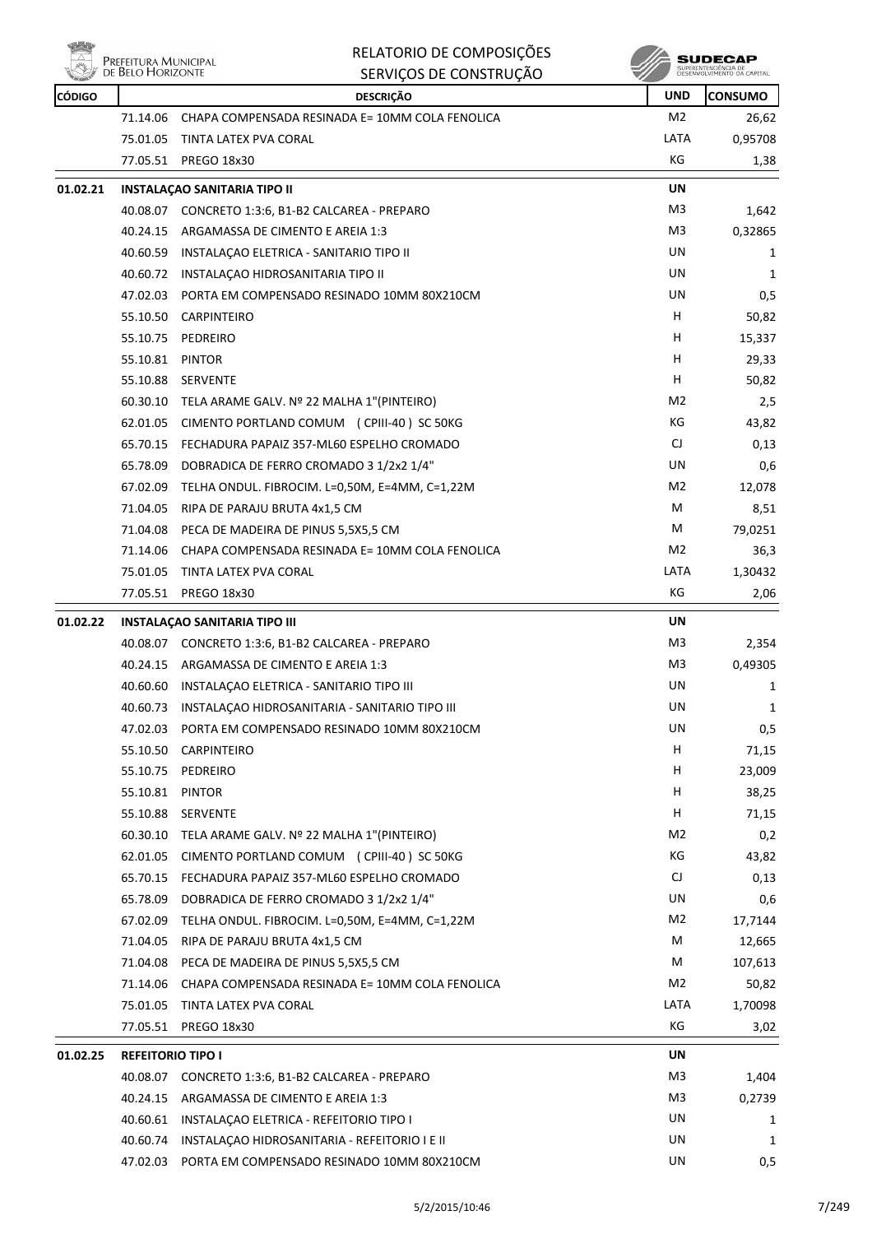

| RELATORIO DE COMPOSIÇÕES |
|--------------------------|
|--------------------------|

|               | <b>I KELLITUKA INTURIUI F</b><br>DE BELO HORIZONTE | SERVIÇOS DE CONSTRUÇÃO                              |                | SUPERINTENDÊNCIA DE<br>DESENVOLVIMENTO DA CAPITAL |
|---------------|----------------------------------------------------|-----------------------------------------------------|----------------|---------------------------------------------------|
| <b>CÓDIGO</b> |                                                    | <b>DESCRIÇÃO</b>                                    | <b>UND</b>     | <b>CONSUMO</b>                                    |
|               | 71.14.06                                           | CHAPA COMPENSADA RESINADA E= 10MM COLA FENOLICA     | M <sub>2</sub> | 26,62                                             |
|               | 75.01.05                                           | TINTA LATEX PVA CORAL                               | LATA           | 0,95708                                           |
|               | 77.05.51                                           | <b>PREGO 18x30</b>                                  | KG             | 1,38                                              |
| 01.02.21      |                                                    | <b>INSTALAÇÃO SANITARIA TIPO II</b>                 | UN             |                                                   |
|               |                                                    | 40.08.07 CONCRETO 1:3:6, B1-B2 CALCAREA - PREPARO   | M3             | 1,642                                             |
|               | 40.24.15                                           | ARGAMASSA DE CIMENTO E AREIA 1:3                    | M3             | 0,32865                                           |
|               | 40.60.59                                           | INSTALAÇÃO ELETRICA - SANITARIO TIPO II             | UN             | 1                                                 |
|               | 40.60.72                                           | INSTALAÇÃO HIDROSANITARIA TIPO II                   | UN             | 1                                                 |
|               | 47.02.03                                           | PORTA EM COMPENSADO RESINADO 10MM 80X210CM          | UN             | 0,5                                               |
|               | 55.10.50                                           | <b>CARPINTEIRO</b>                                  | H              | 50,82                                             |
|               | 55.10.75                                           | PEDREIRO                                            | H              | 15,337                                            |
|               | 55.10.81                                           | <b>PINTOR</b>                                       | H.             | 29,33                                             |
|               | 55.10.88                                           | <b>SERVENTE</b>                                     | H              | 50,82                                             |
|               | 60.30.10                                           | TELA ARAME GALV. Nº 22 MALHA 1"(PINTEIRO)           | M2             | 2,5                                               |
|               | 62.01.05                                           | CIMENTO PORTLAND COMUM (CPIII-40) SC 50KG           | КG             | 43,82                                             |
|               | 65.70.15                                           | FECHADURA PAPAIZ 357-ML60 ESPELHO CROMADO           | CJ             | 0,13                                              |
|               | 65.78.09                                           | DOBRADICA DE FERRO CROMADO 3 1/2x2 1/4"             | UN             | 0,6                                               |
|               | 67.02.09                                           | TELHA ONDUL. FIBROCIM. L=0,50M, E=4MM, C=1,22M      | M2             | 12,078                                            |
|               | 71.04.05                                           | RIPA DE PARAJU BRUTA 4x1,5 CM                       | М              | 8,51                                              |
|               | 71.04.08                                           | PECA DE MADEIRA DE PINUS 5,5X5,5 CM                 | М              | 79,0251                                           |
|               | 71.14.06                                           | CHAPA COMPENSADA RESINADA E= 10MM COLA FENOLICA     | M2             | 36,3                                              |
|               | 75.01.05                                           | TINTA LATEX PVA CORAL                               | LATA           | 1,30432                                           |
|               | 77.05.51                                           | <b>PREGO 18x30</b>                                  | KG             | 2,06                                              |
| 01.02.22      |                                                    | <b>INSTALAÇÃO SANITARIA TIPO III</b>                | UN             |                                                   |
|               |                                                    | 40.08.07 CONCRETO 1:3:6, B1-B2 CALCAREA - PREPARO   | M3             | 2,354                                             |
|               | 40.24.15                                           | ARGAMASSA DE CIMENTO E AREIA 1:3                    | M3             | 0,49305                                           |
|               | 40.60.60                                           | INSTALAÇÃO ELETRICA - SANITARIO TIPO III            | UN             | 1                                                 |
|               | 40.60.73                                           | INSTALAÇÃO HIDROSANITARIA - SANITARIO TIPO III      | UN             | 1                                                 |
|               | 47.02.03                                           | PORTA EM COMPENSADO RESINADO 10MM 80X210CM          | UN             | 0,5                                               |
|               | 55.10.50                                           | <b>CARPINTEIRO</b>                                  | н              | 71,15                                             |
|               | 55.10.75                                           | PEDREIRO                                            | H              | 23,009                                            |
|               | 55.10.81                                           | <b>PINTOR</b>                                       | н              | 38,25                                             |
|               | 55.10.88                                           | SERVENTE                                            | н              | 71,15                                             |
|               | 60.30.10                                           | TELA ARAME GALV. Nº 22 MALHA 1"(PINTEIRO)           | M2             | 0,2                                               |
|               | 62.01.05                                           | CIMENTO PORTLAND COMUM (CPIII-40) SC 50KG           | КG             | 43,82                                             |
|               | 65.70.15                                           | FECHADURA PAPAIZ 357-ML60 ESPELHO CROMADO           | CJ             | 0,13                                              |
|               | 65.78.09                                           | DOBRADICA DE FERRO CROMADO 3 1/2x2 1/4"             | UN             | 0,6                                               |
|               | 67.02.09                                           | TELHA ONDUL. FIBROCIM. L=0,50M, E=4MM, C=1,22M      | M2             | 17,7144                                           |
|               | 71.04.05                                           | RIPA DE PARAJU BRUTA 4x1,5 CM                       | М              | 12,665                                            |
|               | 71.04.08                                           | PECA DE MADEIRA DE PINUS 5,5X5,5 CM                 | M              | 107,613                                           |
|               | 71.14.06                                           | CHAPA COMPENSADA RESINADA E= 10MM COLA FENOLICA     | M2             | 50,82                                             |
|               | 75.01.05                                           | TINTA LATEX PVA CORAL                               | LATA           | 1,70098                                           |
|               | 77.05.51                                           | PREGO 18x30                                         | КG             | 3,02                                              |
| 01.02.25      | <b>REFEITORIO TIPO I</b>                           |                                                     | UN             |                                                   |
|               | 40.08.07                                           | CONCRETO 1:3:6, B1-B2 CALCAREA - PREPARO            | M3             | 1,404                                             |
|               | 40.24.15                                           | ARGAMASSA DE CIMENTO E AREIA 1:3                    | M3             | 0,2739                                            |
|               | 40.60.61                                           | INSTALAÇÃO ELETRICA - REFEITORIO TIPO I             | UN             | 1                                                 |
|               | 40.60.74                                           | INSTALAÇÃO HIDROSANITARIA - REFEITORIO I E II       | UN             | 1                                                 |
|               |                                                    | 47.02.03 PORTA EM COMPENSADO RESINADO 10MM 80X210CM | UN             | 0,5                                               |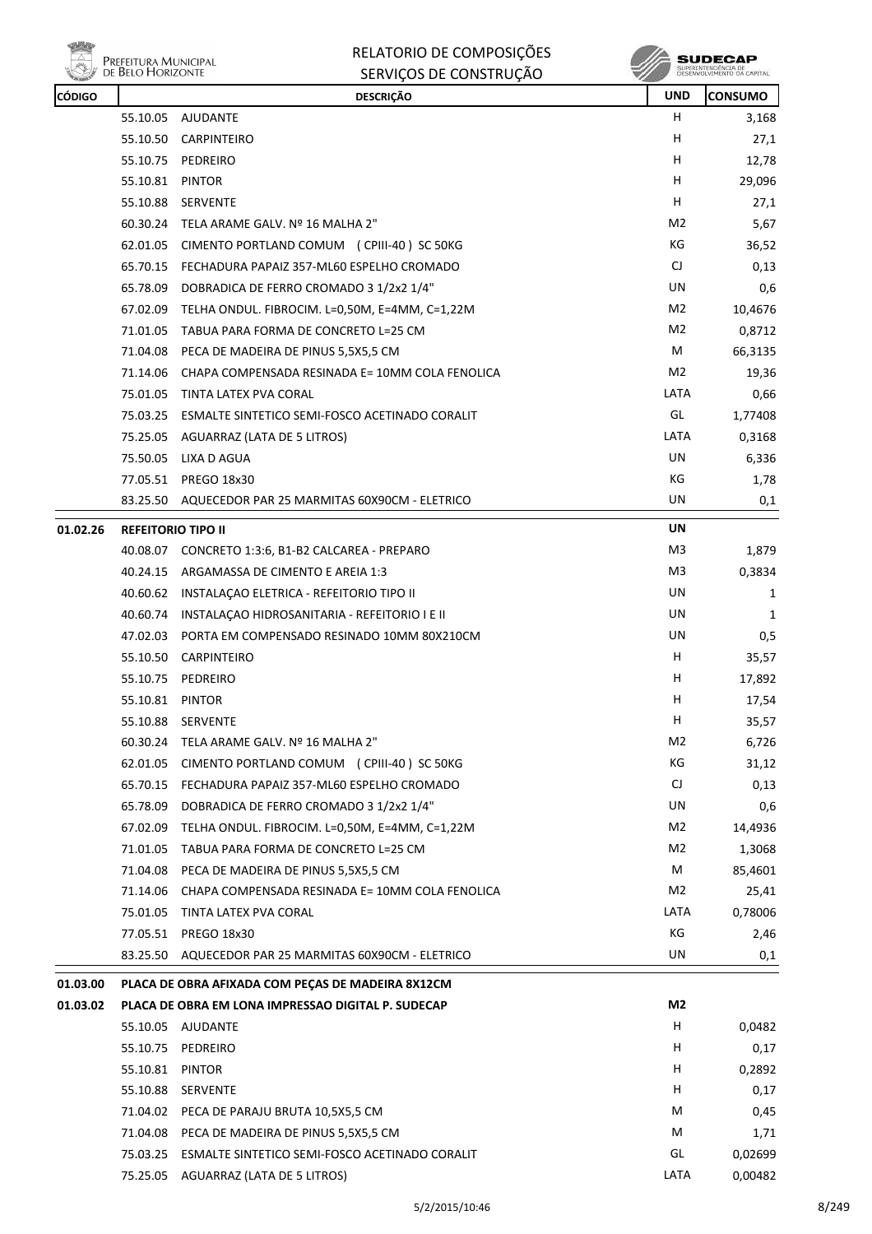

| RELATORIO DE COMPOSIÇÕES |
|--------------------------|
| SERVIÇOS DE CONSTRUÇÃO   |

| CÓDIGO   |                           | <b>DESCRIÇÃO</b>                                         | <b>UND</b>     | <b>CONSUMO</b> |
|----------|---------------------------|----------------------------------------------------------|----------------|----------------|
|          |                           | 55.10.05 AJUDANTE                                        | н              | 3,168          |
|          |                           | 55.10.50 CARPINTEIRO                                     | н              | 27,1           |
|          | 55.10.75                  | PEDREIRO                                                 | н              | 12,78          |
|          | 55.10.81 PINTOR           |                                                          | н              | 29,096         |
|          | 55.10.88                  | SERVENTE                                                 | н              | 27,1           |
|          |                           | 60.30.24 TELA ARAME GALV. Nº 16 MALHA 2"                 | M2             | 5,67           |
|          | 62.01.05                  | CIMENTO PORTLAND COMUM (CPIII-40) SC 50KG                | KG             | 36,52          |
|          |                           | 65.70.15 FECHADURA PAPAIZ 357-ML60 ESPELHO CROMADO       | CJ             | 0,13           |
|          | 65.78.09                  | DOBRADICA DE FERRO CROMADO 3 1/2x2 1/4"                  | UN             | 0,6            |
|          | 67.02.09                  | TELHA ONDUL. FIBROCIM. L=0,50M, E=4MM, C=1,22M           | M2             | 10,4676        |
|          | 71.01.05                  | TABUA PARA FORMA DE CONCRETO L=25 CM                     | M2             | 0,8712         |
|          | 71.04.08                  | PECA DE MADEIRA DE PINUS 5,5X5,5 CM                      | М              | 66,3135        |
|          |                           | 71.14.06 CHAPA COMPENSADA RESINADA E= 10MM COLA FENOLICA | M2             | 19,36          |
|          | 75.01.05                  | TINTA LATEX PVA CORAL                                    | LATA           | 0,66           |
|          |                           | 75.03.25 ESMALTE SINTETICO SEMI-FOSCO ACETINADO CORALIT  | GL             | 1,77408        |
|          |                           | 75.25.05 AGUARRAZ (LATA DE 5 LITROS)                     | LATA           | 0,3168         |
|          | 75.50.05                  | LIXA D AGUA                                              | UN             | 6,336          |
|          |                           | 77.05.51 PREGO 18x30                                     | КG             | 1,78           |
|          |                           | 83.25.50 AQUECEDOR PAR 25 MARMITAS 60X90CM - ELETRICO    | UN             | 0,1            |
| 01.02.26 | <b>REFEITORIO TIPO II</b> |                                                          | UN             |                |
|          |                           | 40.08.07 CONCRETO 1:3:6, B1-B2 CALCAREA - PREPARO        | M3             | 1,879          |
|          | 40.24.15                  | ARGAMASSA DE CIMENTO E AREIA 1:3                         | M <sub>3</sub> | 0,3834         |
|          |                           | 40.60.62 INSTALAÇÃO ELETRICA - REFEITORIO TIPO II        | UN             | 1              |
|          | 40.60.74                  | INSTALAÇÃO HIDROSANITARIA - REFEITORIO I E II            | UN             | 1              |
|          |                           | 47.02.03 PORTA EM COMPENSADO RESINADO 10MM 80X210CM      | UN             | 0,5            |
|          | 55.10.50                  | <b>CARPINTEIRO</b>                                       | H              | 35,57          |
|          | 55.10.75                  | PEDREIRO                                                 | н              | 17,892         |
|          | 55.10.81 PINTOR           |                                                          | н              | 17,54          |
|          |                           | 55.10.88 SERVENTE                                        | н              | 35,57          |
|          |                           | 60.30.24 TELA ARAME GALV. Nº 16 MALHA 2"                 | M <sub>2</sub> | 6,726          |
|          | 62.01.05                  | CIMENTO PORTLAND COMUM (CPIII-40) SC 50KG                | КG             | 31,12          |
|          | 65.70.15                  | FECHADURA PAPAIZ 357-ML60 ESPELHO CROMADO                | CJ             | 0,13           |
|          | 65.78.09                  | DOBRADICA DE FERRO CROMADO 3 1/2x2 1/4"                  | UN             | 0,6            |
|          |                           | 67.02.09 TELHA ONDUL. FIBROCIM. L=0,50M, E=4MM, C=1,22M  | M2             | 14,4936        |
|          |                           | 71.01.05 TABUA PARA FORMA DE CONCRETO L=25 CM            | M2             | 1,3068         |
|          |                           | 71.04.08 PECA DE MADEIRA DE PINUS 5,5X5,5 CM             | М              | 85,4601        |
|          |                           | 71.14.06 CHAPA COMPENSADA RESINADA E= 10MM COLA FENOLICA | M2             | 25,41          |
|          | 75.01.05                  | TINTA LATEX PVA CORAL                                    | LATA           | 0,78006        |
|          |                           | 77.05.51 PREGO 18x30                                     | KG             | 2,46           |
|          |                           | 83.25.50 AQUECEDOR PAR 25 MARMITAS 60X90CM - ELETRICO    | UN             | 0,1            |
| 01.03.00 |                           | PLACA DE OBRA AFIXADA COM PEÇAS DE MADEIRA 8X12CM        |                |                |
| 01.03.02 |                           | PLACA DE OBRA EM LONA IMPRESSAO DIGITAL P. SUDECAP       | M2             |                |
|          |                           | 55.10.05 AJUDANTE                                        | н              | 0,0482         |
|          | 55.10.75                  | PEDREIRO                                                 | н              | 0,17           |
|          | 55.10.81 PINTOR           |                                                          | H              | 0,2892         |
|          |                           | 55.10.88 SERVENTE                                        | н              | 0,17           |
|          |                           | 71.04.02 PECA DE PARAJU BRUTA 10,5X5,5 CM                | М              | 0,45           |
|          |                           | 71.04.08 PECA DE MADEIRA DE PINUS 5,5X5,5 CM             | M              | 1,71           |
|          |                           | 75.03.25 ESMALTE SINTETICO SEMI-FOSCO ACETINADO CORALIT  | GL             | 0,02699        |
|          |                           | 75.25.05 AGUARRAZ (LATA DE 5 LITROS)                     | LATA           | 0,00482        |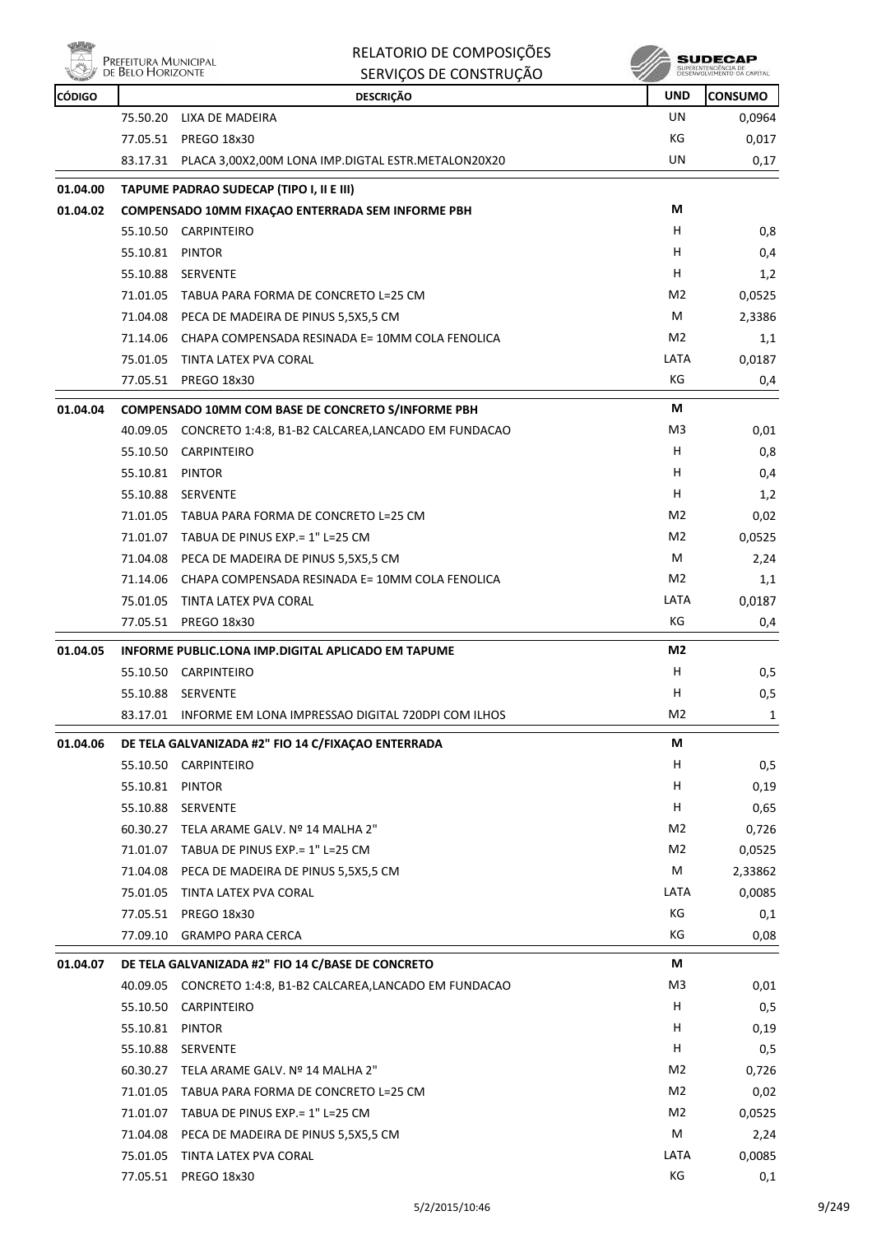|               | Prefeitura Municipal<br>de Belo Horizonte | RELATORIO DE COMPOSIÇÕES                                     |                  | SUDECAP<br>SUPERINTENDÊNCIA DE<br>DESENVOLVIMENTO DA CAPITAL |
|---------------|-------------------------------------------|--------------------------------------------------------------|------------------|--------------------------------------------------------------|
|               |                                           | SERVIÇOS DE CONSTRUÇÃO                                       |                  |                                                              |
| <b>CÓDIGO</b> |                                           | <b>DESCRIÇÃO</b>                                             | <b>UND</b><br>UN | <b>CONSUMO</b>                                               |
|               | 75.50.20<br>77.05.51                      | LIXA DE MADEIRA<br><b>PREGO 18x30</b>                        | КG               | 0,0964<br>0,017                                              |
|               | 83.17.31                                  | PLACA 3,00X2,00M LONA IMP.DIGTAL ESTR.METALON20X20           | UN               | 0,17                                                         |
|               |                                           |                                                              |                  |                                                              |
| 01.04.00      |                                           | TAPUME PADRAO SUDECAP (TIPO I, II E III)                     |                  |                                                              |
| 01.04.02      |                                           | COMPENSADO 10MM FIXAÇÃO ENTERRADA SEM INFORME PBH            | М                |                                                              |
|               | 55.10.50                                  | CARPINTEIRO                                                  | н                | 0,8                                                          |
|               | 55.10.81                                  | PINTOR                                                       | н                | 0,4                                                          |
|               | 55.10.88                                  | <b>SERVENTE</b>                                              | н                | 1,2                                                          |
|               |                                           | 71.01.05 TABUA PARA FORMA DE CONCRETO L=25 CM                | M <sub>2</sub>   | 0,0525                                                       |
|               |                                           | 71.04.08 PECA DE MADEIRA DE PINUS 5,5X5,5 CM                 | M                | 2,3386                                                       |
|               | 71.14.06                                  | CHAPA COMPENSADA RESINADA E= 10MM COLA FENOLICA              | M <sub>2</sub>   | 1,1                                                          |
|               | 75.01.05                                  | TINTA LATEX PVA CORAL                                        | LATA             | 0,0187                                                       |
|               | 77.05.51                                  | PREGO 18x30                                                  | КG               | 0,4                                                          |
| 01.04.04      |                                           | COMPENSADO 10MM COM BASE DE CONCRETO S/INFORME PBH           | М                |                                                              |
|               | 40.09.05                                  | CONCRETO 1:4:8, B1-B2 CALCAREA, LANCADO EM FUNDACAO          | M3               | 0,01                                                         |
|               | 55.10.50                                  | <b>CARPINTEIRO</b>                                           | н                | 0,8                                                          |
|               | 55.10.81                                  | PINTOR                                                       | н                | 0,4                                                          |
|               |                                           | 55.10.88 SERVENTE                                            | н                | 1,2                                                          |
|               |                                           | 71.01.05 TABUA PARA FORMA DE CONCRETO L=25 CM                | M <sub>2</sub>   | 0,02                                                         |
|               |                                           | 71.01.07 TABUA DE PINUS EXP.= 1" L=25 CM                     | M <sub>2</sub>   | 0,0525                                                       |
|               |                                           | 71.04.08 PECA DE MADEIRA DE PINUS 5,5X5,5 CM                 | M                | 2,24                                                         |
|               | 71.14.06                                  | CHAPA COMPENSADA RESINADA E= 10MM COLA FENOLICA              | M <sub>2</sub>   | 1,1                                                          |
|               |                                           | 75.01.05 TINTA LATEX PVA CORAL                               | LATA             | 0,0187                                                       |
|               | 77.05.51                                  | PREGO 18x30                                                  | КG               | 0,4                                                          |
| 01.04.05      |                                           | INFORME PUBLIC.LONA IMP.DIGITAL APLICADO EM TAPUME           | M <sub>2</sub>   |                                                              |
|               |                                           | 55.10.50 CARPINTEIRO                                         | н                | 0,5                                                          |
|               |                                           | 55.10.88 SERVENTE                                            | н                | 0,5                                                          |
|               |                                           | 83.17.01 INFORME EM LONA IMPRESSAO DIGITAL 720DPI COM ILHOS  | M2               | 1                                                            |
| 01.04.06      |                                           | DE TELA GALVANIZADA #2" FIO 14 C/FIXACAO ENTERRADA           | М                |                                                              |
|               |                                           | 55.10.50 CARPINTEIRO                                         | н                | 0,5                                                          |
|               | 55.10.81 PINTOR                           |                                                              | н                | 0,19                                                         |
|               |                                           | 55.10.88 SERVENTE                                            | н                | 0,65                                                         |
|               |                                           | 60.30.27 TELA ARAME GALV. Nº 14 MALHA 2"                     | M2               | 0,726                                                        |
|               |                                           | 71.01.07 TABUA DE PINUS EXP.= 1" L=25 CM                     | M <sub>2</sub>   | 0,0525                                                       |
|               |                                           | 71.04.08 PECA DE MADEIRA DE PINUS 5,5X5,5 CM                 | M                | 2,33862                                                      |
|               |                                           | 75.01.05 TINTA LATEX PVA CORAL                               | LATA             | 0,0085                                                       |
|               |                                           | 77.05.51 PREGO 18x30                                         | КG               | 0,1                                                          |
|               | 77.09.10                                  | <b>GRAMPO PARA CERCA</b>                                     | КG               | 0,08                                                         |
|               |                                           |                                                              |                  |                                                              |
| 01.04.07      |                                           | DE TELA GALVANIZADA #2" FIO 14 C/BASE DE CONCRETO            | М                |                                                              |
|               |                                           | 40.09.05 CONCRETO 1:4:8, B1-B2 CALCAREA, LANCADO EM FUNDACAO | M3               | 0,01                                                         |
|               |                                           | 55.10.50 CARPINTEIRO                                         | H                | 0,5                                                          |
|               | 55.10.81 PINTOR                           |                                                              | H                | 0,19                                                         |
|               |                                           | 55.10.88 SERVENTE                                            | H.               | 0,5                                                          |
|               |                                           | 60.30.27 TELA ARAME GALV. Nº 14 MALHA 2"                     | M2               | 0,726                                                        |
|               |                                           | 71.01.05 TABUA PARA FORMA DE CONCRETO L=25 CM                | M2               | 0,02                                                         |
|               |                                           | 71.01.07 TABUA DE PINUS EXP. = 1" L=25 CM                    | M2               | 0,0525                                                       |
|               |                                           | 71.04.08 PECA DE MADEIRA DE PINUS 5,5X5,5 CM                 | М                | 2,24                                                         |
|               |                                           | 75.01.05 TINTA LATEX PVA CORAL                               | LATA             | 0,0085                                                       |
|               |                                           | 77.05.51 PREGO 18x30                                         | КG               | 0,1                                                          |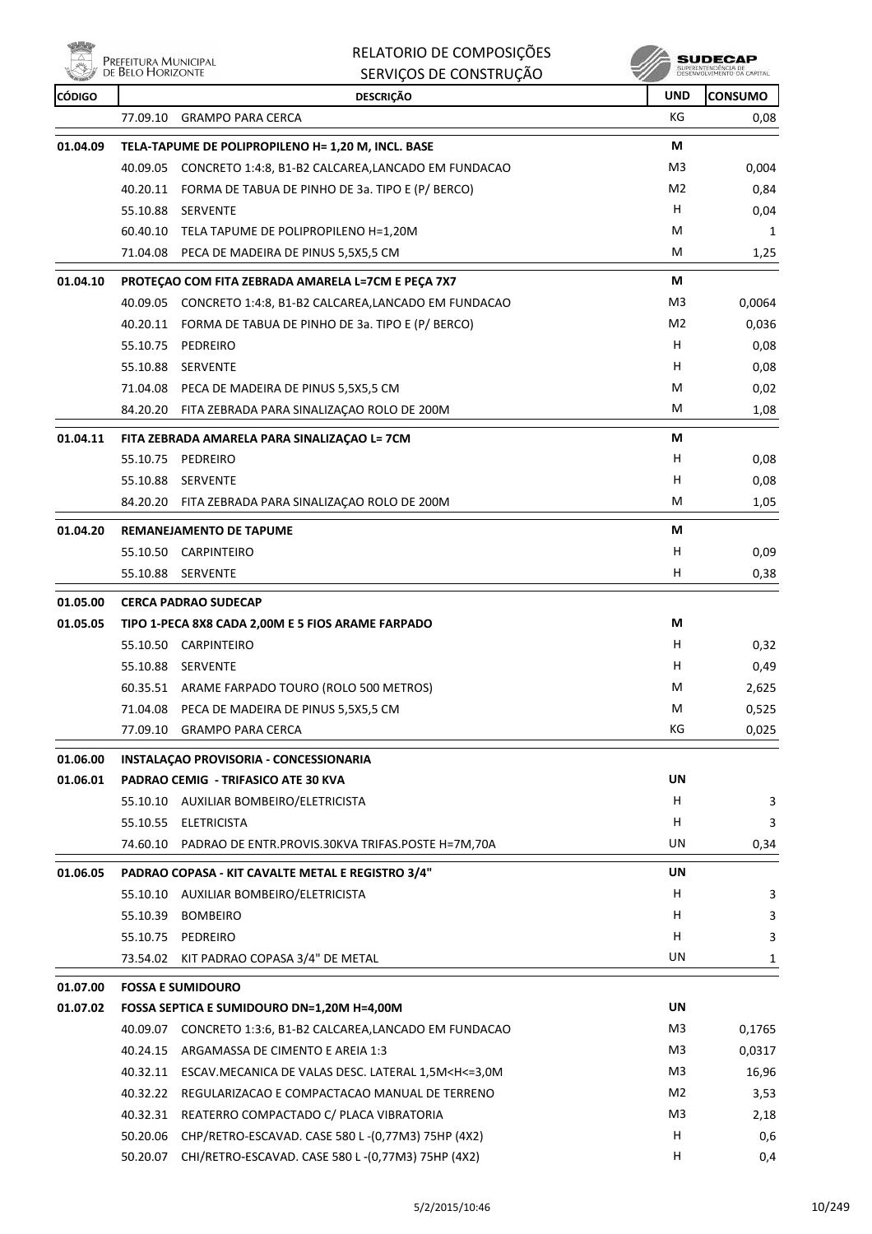**vibit** e<br>Prefeitura Municipal<br>// de Belo Horizonte ₩

## RELATORIO DE COMPOSIÇÕES SERVIÇOS DE CONSTRUÇÃO

**SUDECAP** 

| <b>CÓDIGO</b> |          | <b>DESCRIÇÃO</b>                                                                                         | <b>UND</b> | <b>CONSUMO</b> |
|---------------|----------|----------------------------------------------------------------------------------------------------------|------------|----------------|
|               | 77.09.10 | <b>GRAMPO PARA CERCA</b>                                                                                 | КG         | 0,08           |
| 01.04.09      |          | TELA-TAPUME DE POLIPROPILENO H= 1,20 M, INCL. BASE                                                       | М          |                |
|               |          | 40.09.05 CONCRETO 1:4:8, B1-B2 CALCAREA, LANCADO EM FUNDACAO                                             | M3         | 0,004          |
|               |          | 40.20.11 FORMA DE TABUA DE PINHO DE 3a. TIPO E (P/ BERCO)                                                | M2         | 0,84           |
|               | 55.10.88 | <b>SERVENTE</b>                                                                                          | н          | 0,04           |
|               |          | 60.40.10 TELA TAPUME DE POLIPROPILENO H=1,20M                                                            | M          | 1              |
|               |          | 71.04.08 PECA DE MADEIRA DE PINUS 5,5X5,5 CM                                                             | М          | 1,25           |
| 01.04.10      |          | PROTEÇAO COM FITA ZEBRADA AMARELA L=7CM E PEÇA 7X7                                                       | М          |                |
|               |          | 40.09.05 CONCRETO 1:4:8, B1-B2 CALCAREA, LANCADO EM FUNDACAO                                             | M3         | 0,0064         |
|               |          | 40.20.11 FORMA DE TABUA DE PINHO DE 3a. TIPO E (P/ BERCO)                                                | M2         | 0,036          |
|               |          | 55.10.75 PEDREIRO                                                                                        | н          | 0,08           |
|               | 55.10.88 | <b>SERVENTE</b>                                                                                          | н          | 0,08           |
|               |          | 71.04.08 PECA DE MADEIRA DE PINUS 5,5X5,5 CM                                                             | М          | 0,02           |
|               |          | 84.20.20 FITA ZEBRADA PARA SINALIZAÇÃO ROLO DE 200M                                                      | М          | 1,08           |
| 01.04.11      |          | FITA ZEBRADA AMARELA PARA SINALIZAÇÃO L= 7CM                                                             | М          |                |
|               |          | 55.10.75 PEDREIRO                                                                                        | н          | 0,08           |
|               |          | 55.10.88 SERVENTE                                                                                        | н          | 0,08           |
|               | 84.20.20 | FITA ZEBRADA PARA SINALIZAÇÃO ROLO DE 200M                                                               | М          | 1,05           |
| 01.04.20      |          | <b>REMANEJAMENTO DE TAPUME</b>                                                                           | М          |                |
|               |          | 55.10.50 CARPINTEIRO                                                                                     | н          | 0,09           |
|               |          | 55.10.88 SERVENTE                                                                                        | н          | 0,38           |
| 01.05.00      |          | <b>CERCA PADRAO SUDECAP</b>                                                                              |            |                |
| 01.05.05      |          | TIPO 1-PECA 8X8 CADA 2,00M E 5 FIOS ARAME FARPADO                                                        | M          |                |
|               |          | 55.10.50 CARPINTEIRO                                                                                     | н          | 0,32           |
|               |          | 55.10.88 SERVENTE                                                                                        | н          | 0,49           |
|               |          | 60.35.51 ARAME FARPADO TOURO (ROLO 500 METROS)                                                           | М          | 2,625          |
|               |          | 71.04.08 PECA DE MADEIRA DE PINUS 5,5X5,5 CM                                                             | M          | 0,525          |
|               |          | 77.09.10 GRAMPO PARA CERCA                                                                               | КG         | 0,025          |
| 01.06.00      |          | INSTALACAO PROVISORIA - CONCESSIONARIA                                                                   |            |                |
| 01.06.01      |          | PADRAO CEMIG - TRIFASICO ATE 30 KVA                                                                      | UN         |                |
|               |          | 55.10.10 AUXILIAR BOMBEIRO/ELETRICISTA                                                                   | н          | 3              |
|               |          | 55.10.55 ELETRICISTA                                                                                     | н          | 3              |
|               |          | 74.60.10 PADRAO DE ENTR.PROVIS.30KVA TRIFAS.POSTE H=7M,70A                                               | UN         | 0,34           |
| 01.06.05      |          | PADRAO COPASA - KIT CAVALTE METAL E REGISTRO 3/4"                                                        | UN         |                |
|               |          | 55.10.10 AUXILIAR BOMBEIRO/ELETRICISTA                                                                   | н          | 3              |
|               |          | 55.10.39 BOMBEIRO                                                                                        | н          | 3              |
|               |          | 55.10.75 PEDREIRO                                                                                        | н          | 3              |
|               |          | 73.54.02 KIT PADRAO COPASA 3/4" DE METAL                                                                 | UN         | 1              |
| 01.07.00      |          | <b>FOSSA E SUMIDOURO</b>                                                                                 |            |                |
| 01.07.02      |          | FOSSA SEPTICA E SUMIDOURO DN=1,20M H=4,00M                                                               | UN         |                |
|               |          | 40.09.07 CONCRETO 1:3:6, B1-B2 CALCAREA,LANCADO EM FUNDACAO                                              | M3         | 0,1765         |
|               | 40.24.15 | ARGAMASSA DE CIMENTO E AREIA 1:3                                                                         | M3         | 0,0317         |
|               |          | 40.32.11 ESCAV.MECANICA DE VALAS DESC. LATERAL 1,5M <h<=3,0m< td=""><td>M3</td><td>16,96</td></h<=3,0m<> | M3         | 16,96          |
|               | 40.32.22 | REGULARIZACAO E COMPACTACAO MANUAL DE TERRENO                                                            | M2         | 3,53           |
|               | 40.32.31 | REATERRO COMPACTADO C/ PLACA VIBRATORIA                                                                  | M3         | 2,18           |
|               |          | 50.20.06 CHP/RETRO-ESCAVAD. CASE 580 L-(0,77M3) 75HP (4X2)                                               | н          | 0,6            |
|               | 50.20.07 | CHI/RETRO-ESCAVAD. CASE 580 L-(0,77M3) 75HP (4X2)                                                        | н          | 0,4            |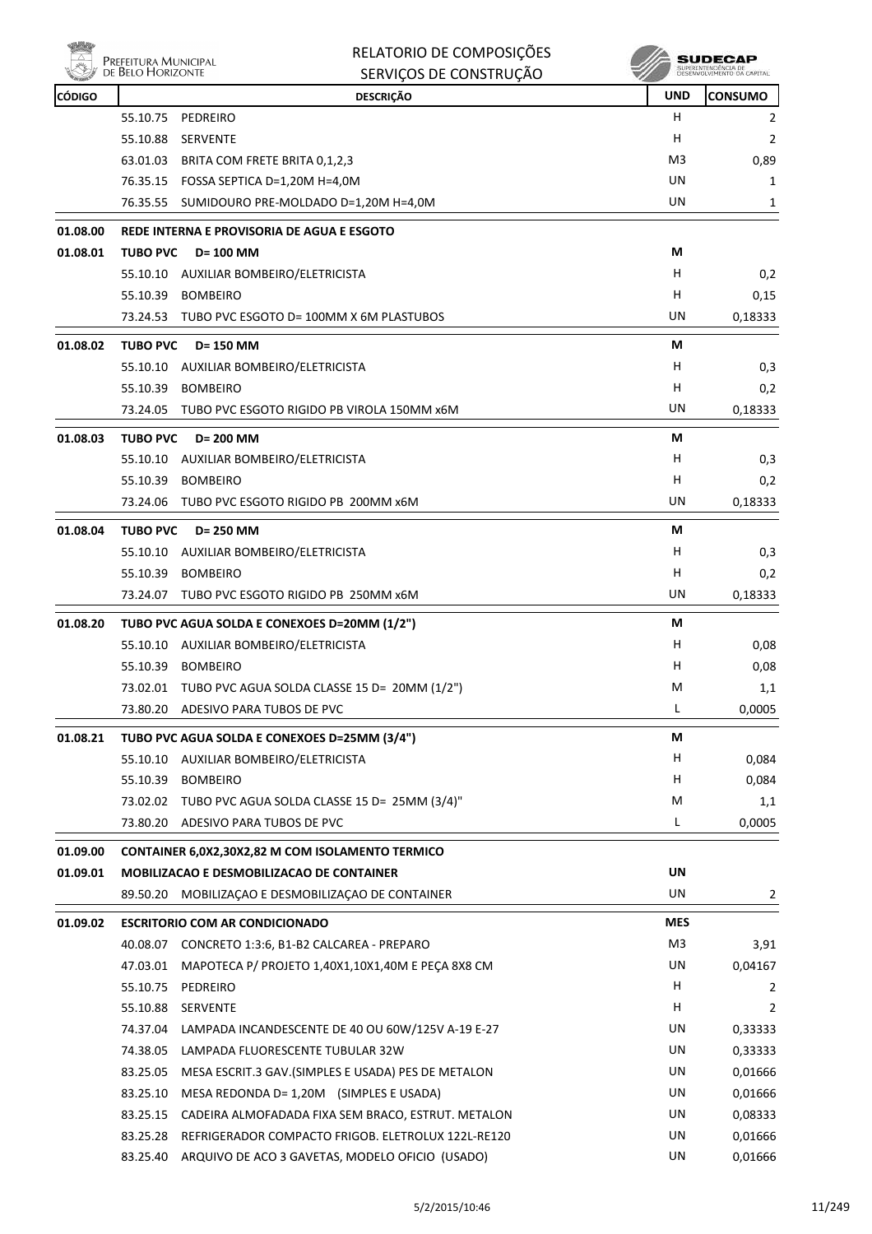|               |                                           | RELATORIO DE COMPOSIÇÕES                              |                | SUDECAP                                           |
|---------------|-------------------------------------------|-------------------------------------------------------|----------------|---------------------------------------------------|
|               | Prefeitura Municipal<br>de Belo Horizonte | SERVIÇOS DE CONSTRUÇÃO                                |                | SUPERINTENDÊNCIA DE<br>DESENVOLVIMENTO DA CAPITAL |
| <b>CÓDIGO</b> |                                           | <b>DESCRIÇÃO</b>                                      | <b>UND</b>     | <b>CONSUMO</b>                                    |
|               | 55.10.75                                  | PEDREIRO                                              | н              | 2                                                 |
|               | 55.10.88                                  | <b>SERVENTE</b>                                       | н              | 2                                                 |
|               | 63.01.03                                  | BRITA COM FRETE BRITA 0,1,2,3                         | M <sub>3</sub> | 0,89                                              |
|               |                                           | 76.35.15  FOSSA SEPTICA D=1,20M H=4,0M                | UN             | 1                                                 |
|               | 76.35.55                                  | SUMIDOURO PRE-MOLDADO D=1,20M H=4,0M                  | UN             | 1                                                 |
| 01.08.00      |                                           | REDE INTERNA E PROVISORIA DE AGUA E ESGOTO            |                |                                                   |
| 01.08.01      | <b>TUBO PVC</b>                           | <b>D= 100 MM</b>                                      | М              |                                                   |
|               | 55.10.10                                  | AUXILIAR BOMBEIRO/ELETRICISTA                         | н              | 0,2                                               |
|               | 55.10.39                                  | <b>BOMBEIRO</b>                                       | н              | 0,15                                              |
|               | 73.24.53                                  | TUBO PVC ESGOTO D= 100MM X 6M PLASTUBOS               | UN             | 0,18333                                           |
| 01.08.02      | <b>TUBO PVC</b>                           | D= 150 MM                                             | М              |                                                   |
|               | 55.10.10                                  | AUXILIAR BOMBEIRO/ELETRICISTA                         | н              | 0,3                                               |
|               | 55.10.39                                  | <b>BOMBEIRO</b>                                       | н              | 0,2                                               |
|               | 73.24.05                                  | TUBO PVC ESGOTO RIGIDO PB VIROLA 150MM x6M            | UN             | 0,18333                                           |
| 01.08.03      | <b>TUBO PVC</b>                           | D= 200 MM                                             | М              |                                                   |
|               | 55.10.10                                  | AUXILIAR BOMBEIRO/ELETRICISTA                         | н              | 0,3                                               |
|               | 55.10.39                                  | <b>BOMBEIRO</b>                                       | н              | 0,2                                               |
|               | 73.24.06                                  | TUBO PVC ESGOTO RIGIDO PB 200MM x6M                   | UN             | 0,18333                                           |
| 01.08.04      | <b>TUBO PVC</b>                           | D= 250 MM                                             | М              |                                                   |
|               | 55.10.10                                  | AUXILIAR BOMBEIRO/ELETRICISTA                         | н              | 0,3                                               |
|               | 55.10.39                                  | <b>BOMBEIRO</b>                                       | н              | 0,2                                               |
|               | 73.24.07                                  | TUBO PVC ESGOTO RIGIDO PB 250MM x6M                   | UN             | 0,18333                                           |
| 01.08.20      |                                           | TUBO PVC AGUA SOLDA E CONEXOES D=20MM (1/2")          | М              |                                                   |
|               | 55.10.10                                  | AUXILIAR BOMBEIRO/ELETRICISTA                         | н              | 0,08                                              |
|               | 55.10.39                                  | <b>BOMBEIRO</b>                                       | н              | 0,08                                              |
|               |                                           | 73.02.01 TUBO PVC AGUA SOLDA CLASSE 15 D= 20MM (1/2") | M              | 1,1                                               |
|               | 73.80.20                                  | ADESIVO PARA TUBOS DE PVC                             | L              | 0,0005                                            |
| 01.08.21      |                                           | TUBO PVC AGUA SOLDA E CONEXOES D=25MM (3/4")          | М              |                                                   |
|               | 55.10.10                                  | AUXILIAR BOMBEIRO/ELETRICISTA                         | H              | 0,084                                             |
|               | 55.10.39                                  | <b>BOMBEIRO</b>                                       | Н              | 0,084                                             |
|               |                                           | 73.02.02 TUBO PVC AGUA SOLDA CLASSE 15 D= 25MM (3/4)" | M              | 1,1                                               |
|               |                                           | 73.80.20 ADESIVO PARA TUBOS DE PVC                    | L              | 0,0005                                            |
| 01.09.00      |                                           | CONTAINER 6,0X2,30X2,82 M COM ISOLAMENTO TERMICO      |                |                                                   |
| 01.09.01      |                                           | <b>MOBILIZACAO E DESMOBILIZACAO DE CONTAINER</b>      | UN             |                                                   |
|               | 89.50.20                                  | MOBILIZAÇÃO E DESMOBILIZAÇÃO DE CONTAINER             | UN             | 2                                                 |
| 01.09.02      |                                           | <b>ESCRITORIO COM AR CONDICIONADO</b>                 | <b>MES</b>     |                                                   |
|               | 40.08.07                                  | CONCRETO 1:3:6, B1-B2 CALCAREA - PREPARO              | M <sub>3</sub> | 3,91                                              |
|               | 47.03.01                                  | MAPOTECA P/ PROJETO 1,40X1,10X1,40M E PECA 8X8 CM     | UN             | 0,04167                                           |
|               | 55.10.75                                  | PEDREIRO                                              | Н              | 2                                                 |
|               | 55.10.88                                  | SERVENTE                                              | H              | 2                                                 |
|               | 74.37.04                                  | LAMPADA INCANDESCENTE DE 40 OU 60W/125V A-19 E-27     | UN             | 0,33333                                           |
|               | 74.38.05                                  | LAMPADA FLUORESCENTE TUBULAR 32W                      | UN             | 0,33333                                           |
|               | 83.25.05                                  | MESA ESCRIT.3 GAV.(SIMPLES E USADA) PES DE METALON    | UN             | 0,01666                                           |
|               | 83.25.10                                  | MESA REDONDA D= 1,20M (SIMPLES E USADA)               | UN             | 0,01666                                           |
|               | 83.25.15                                  | CADEIRA ALMOFADADA FIXA SEM BRACO, ESTRUT. METALON    | UN             | 0,08333                                           |
|               | 83.25.28                                  | REFRIGERADOR COMPACTO FRIGOB. ELETROLUX 122L-RE120    | UN             | 0,01666                                           |
|               | 83.25.40                                  | ARQUIVO DE ACO 3 GAVETAS, MODELO OFICIO (USADO)       | UN             | 0,01666                                           |

ú.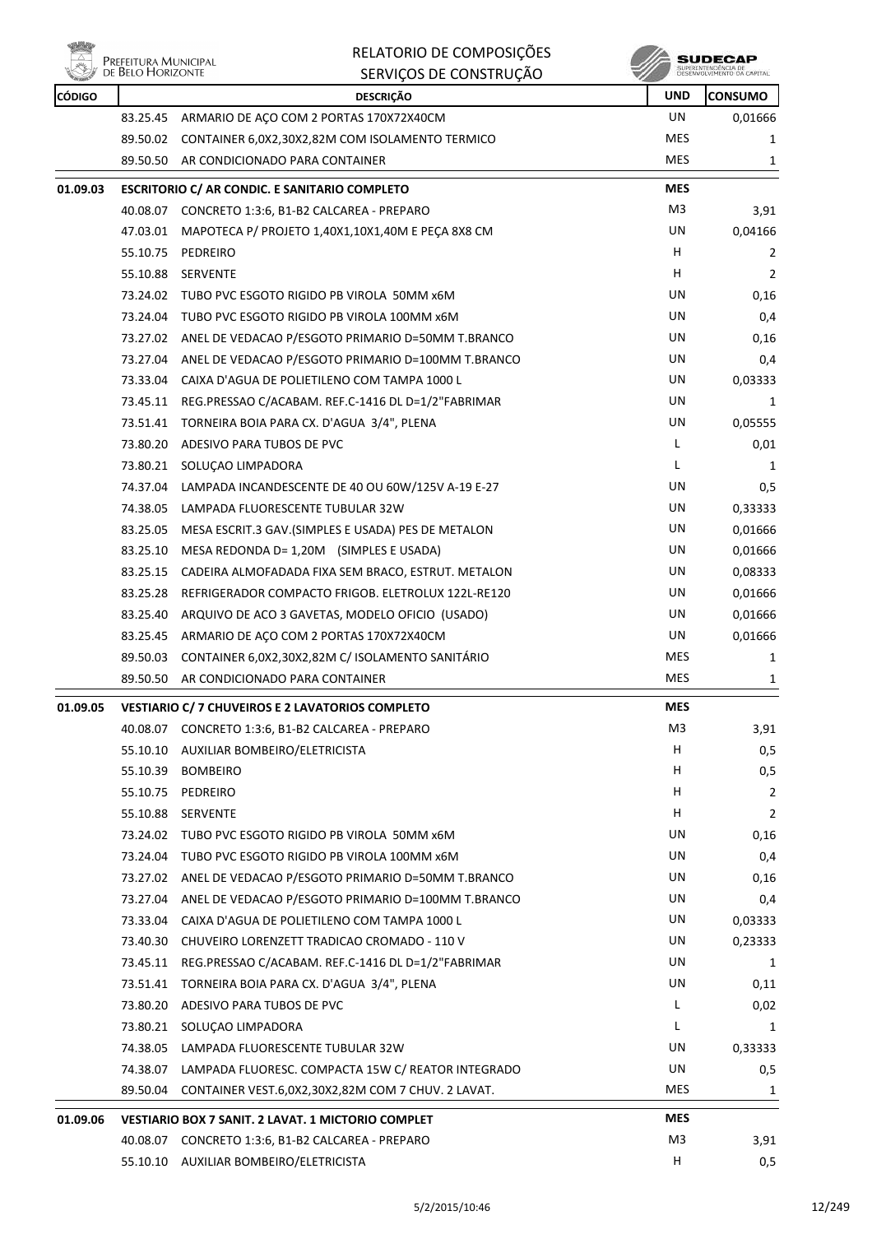

# **PREFEITURA MUNICIPAL**<br>DE BELO HORIZONTE

#### RELATORIO DE COMPOSIÇÕES SERVIÇOS DE CONSTRUÇÃO



| <b>CÓDIGO</b> | <b>WELL</b> DE DEED FROM EDITIE | SERVIÇUS DE CUNSTRUÇÃO<br><b>DESCRICÃO</b>                  | <b>UND</b> | PESEMANTATION IN PM CHEFI-<br><b>CONSUMO</b> |
|---------------|---------------------------------|-------------------------------------------------------------|------------|----------------------------------------------|
|               |                                 | 83.25.45 ARMARIO DE AÇO COM 2 PORTAS 170X72X40CM            | <b>UN</b>  | 0,01666                                      |
|               |                                 | 89.50.02 CONTAINER 6,0X2,30X2,82M COM ISOLAMENTO TERMICO    | MES        | 1                                            |
|               |                                 | 89.50.50 AR CONDICIONADO PARA CONTAINER                     | <b>MES</b> | 1                                            |
| 01.09.03      |                                 | <b>ESCRITORIO C/ AR CONDIC. E SANITARIO COMPLETO</b>        | <b>MES</b> |                                              |
|               |                                 | 40.08.07 CONCRETO 1:3:6, B1-B2 CALCAREA - PREPARO           | M3         | 3,91                                         |
|               |                                 | 47.03.01 MAPOTECA P/ PROJETO 1,40X1,10X1,40M E PECA 8X8 CM  | UN         | 0,04166                                      |
|               | 55.10.75                        | PEDREIRO                                                    | H.         | 2                                            |
|               |                                 | 55.10.88 SERVENTE                                           | H          | 2                                            |
|               |                                 | 73.24.02 TUBO PVC ESGOTO RIGIDO PB VIROLA 50MM x6M          | UN         | 0,16                                         |
|               |                                 | 73.24.04 TUBO PVC ESGOTO RIGIDO PB VIROLA 100MM x6M         | UN         | 0,4                                          |
|               |                                 | 73.27.02 ANEL DE VEDACAO P/ESGOTO PRIMARIO D=50MM T.BRANCO  | UN         | 0,16                                         |
|               | 73.27.04                        | ANEL DE VEDACAO P/ESGOTO PRIMARIO D=100MM T.BRANCO          | UN         | 0,4                                          |
|               |                                 | 73.33.04 CAIXA D'AGUA DE POLIETILENO COM TAMPA 1000 L       | UN         | 0,03333                                      |
|               |                                 | 73.45.11 REG.PRESSAO C/ACABAM. REF.C-1416 DL D=1/2"FABRIMAR | UN         | 1                                            |
|               |                                 | 73.51.41 TORNEIRA BOIA PARA CX. D'AGUA 3/4", PLENA          | UN         | 0,05555                                      |
|               | 73.80.20                        | ADESIVO PARA TUBOS DE PVC                                   | L          | 0,01                                         |
|               | 73.80.21                        | SOLUCAO LIMPADORA                                           | L          | 1                                            |
|               |                                 | 74.37.04 LAMPADA INCANDESCENTE DE 40 OU 60W/125V A-19 E-27  | UN         | 0,5                                          |
|               | 74.38.05                        | LAMPADA FLUORESCENTE TUBULAR 32W                            | UN         | 0,33333                                      |
|               | 83.25.05                        | MESA ESCRIT.3 GAV.(SIMPLES E USADA) PES DE METALON          | UN         | 0,01666                                      |
|               | 83.25.10                        | MESA REDONDA D= 1,20M (SIMPLES E USADA)                     | UN         | 0,01666                                      |
|               | 83.25.15                        | CADEIRA ALMOFADADA FIXA SEM BRACO, ESTRUT. METALON          | UN         | 0,08333                                      |
|               | 83.25.28                        | REFRIGERADOR COMPACTO FRIGOB. ELETROLUX 122L-RE120          | UN         | 0,01666                                      |
|               | 83.25.40                        | ARQUIVO DE ACO 3 GAVETAS, MODELO OFICIO (USADO)             | UN         | 0,01666                                      |
|               |                                 | 83.25.45 ARMARIO DE AÇO COM 2 PORTAS 170X72X40CM            | UN         | 0,01666                                      |
|               | 89.50.03                        | CONTAINER 6,0X2,30X2,82M C/ ISOLAMENTO SANITÁRIO            | <b>MES</b> | 1                                            |
|               |                                 | 89.50.50 AR CONDICIONADO PARA CONTAINER                     | <b>MES</b> | 1                                            |
| 01.09.05      |                                 | VESTIARIO C/ 7 CHUVEIROS E 2 LAVATORIOS COMPLETO            | <b>MES</b> |                                              |
|               |                                 | 40.08.07 CONCRETO 1:3:6, B1-B2 CALCAREA - PREPARO           | M3         | 3,91                                         |
|               |                                 | 55.10.10 AUXILIAR BOMBEIRO/ELETRICISTA                      | H          | 0,5                                          |
|               | 55.10.39                        | <b>BOMBEIRO</b>                                             | Н          | 0,5                                          |
|               | 55.10.75                        | PEDREIRO                                                    | H          | 2                                            |
|               | 55.10.88                        | <b>SERVENTE</b>                                             | н          | 2                                            |
|               | 73.24.02                        | TUBO PVC ESGOTO RIGIDO PB VIROLA 50MM x6M                   | UN         | 0,16                                         |
|               |                                 | 73.24.04 TUBO PVC ESGOTO RIGIDO PB VIROLA 100MM x6M         | UN         | 0,4                                          |
|               | 73.27.02                        | ANEL DE VEDACAO P/ESGOTO PRIMARIO D=50MM T.BRANCO           | UN         | 0,16                                         |
|               |                                 | 73.27.04 ANEL DE VEDACAO P/ESGOTO PRIMARIO D=100MM T.BRANCO | UN         | 0,4                                          |
|               | 73.33.04                        | CAIXA D'AGUA DE POLIETILENO COM TAMPA 1000 L                | UN         | 0,03333                                      |
|               | 73.40.30                        | CHUVEIRO LORENZETT TRADICAO CROMADO - 110 V                 | UN         | 0,23333                                      |
|               | 73.45.11                        | REG.PRESSAO C/ACABAM. REF.C-1416 DL D=1/2"FABRIMAR          | UN         | $\mathbf{1}$                                 |
|               | 73.51.41                        | TORNEIRA BOIA PARA CX. D'AGUA 3/4", PLENA                   | UN         | 0,11                                         |
|               | 73.80.20                        | ADESIVO PARA TUBOS DE PVC                                   | L          | 0,02                                         |
|               | 73.80.21                        | SOLUÇÃO LIMPADORA                                           | L          | 1                                            |
|               |                                 | 74.38.05 LAMPADA FLUORESCENTE TUBULAR 32W                   | UN         | 0,33333                                      |
|               | 74.38.07                        | LAMPADA FLUORESC. COMPACTA 15W C/ REATOR INTEGRADO          | UN         | 0,5                                          |
|               | 89.50.04                        | CONTAINER VEST.6,0X2,30X2,82M COM 7 CHUV. 2 LAVAT.          | MES        | 1                                            |
| 01.09.06      |                                 | <b>VESTIARIO BOX 7 SANIT. 2 LAVAT. 1 MICTORIO COMPLET</b>   | <b>MES</b> |                                              |
|               |                                 | 40.08.07 CONCRETO 1:3:6, B1-B2 CALCAREA - PREPARO           | M3         | 3,91                                         |
|               |                                 | 55.10.10 AUXILIAR BOMBEIRO/ELETRICISTA                      | н          | 0,5                                          |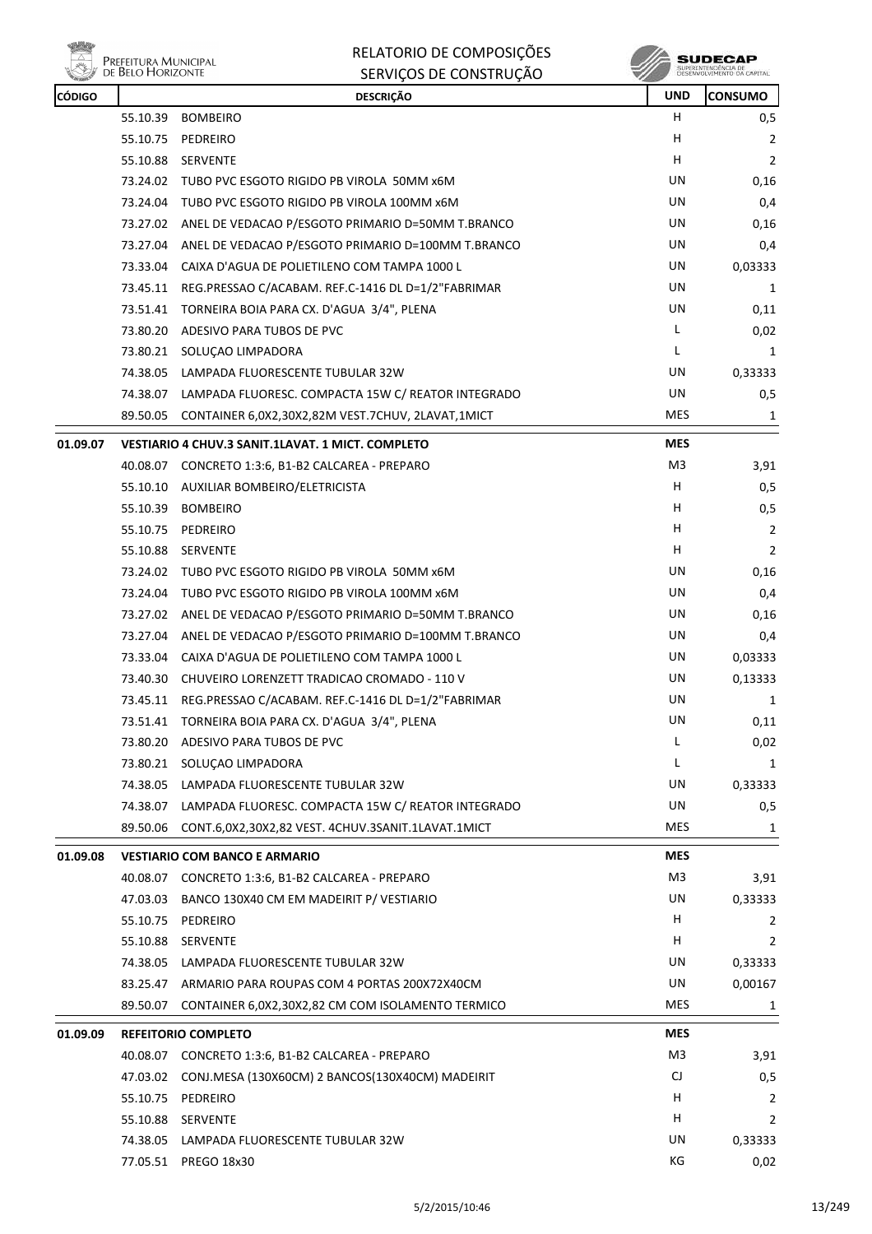

| RELATORIO DE COMPOSIÇÕES |
|--------------------------|
| SERVIÇOS DE CONSTRUÇÃO   |

 $\begin{array}{c} \textbf{SUBECAP} \\ \textbf{SUBREINTEROÉNCIA DE} \\ \textbf{DESEWOUNIENTO OA CAPTIAL} \end{array}$ 

| <b>CÓDIGO</b> |          | <b>DESCRIÇÃO</b>                                            | <b>UND</b> | <b>CONSUMO</b> |
|---------------|----------|-------------------------------------------------------------|------------|----------------|
|               | 55.10.39 | <b>BOMBEIRO</b>                                             | H.         | 0,5            |
|               |          | 55.10.75 PEDREIRO                                           | н          | 2              |
|               | 55.10.88 | <b>SERVENTE</b>                                             | н          | $\overline{2}$ |
|               |          | 73.24.02 TUBO PVC ESGOTO RIGIDO PB VIROLA 50MM x6M          | UN         | 0,16           |
|               |          | 73.24.04 TUBO PVC ESGOTO RIGIDO PB VIROLA 100MM x6M         | UN         | 0,4            |
|               |          | 73.27.02 ANEL DE VEDACAO P/ESGOTO PRIMARIO D=50MM T.BRANCO  | UN         | 0,16           |
|               |          | 73.27.04 ANEL DE VEDACAO P/ESGOTO PRIMARIO D=100MM T.BRANCO | UN         | 0,4            |
|               |          | 73.33.04 CAIXA D'AGUA DE POLIETILENO COM TAMPA 1000 L       | UN         | 0,03333        |
|               | 73.45.11 | REG.PRESSAO C/ACABAM. REF.C-1416 DL D=1/2"FABRIMAR          | UN         | 1              |
|               |          | 73.51.41 TORNEIRA BOIA PARA CX. D'AGUA 3/4", PLENA          | UN         | 0,11           |
|               |          | 73.80.20 ADESIVO PARA TUBOS DE PVC                          | L          | 0,02           |
|               |          | 73.80.21 SOLUÇAO LIMPADORA                                  | L          | 1              |
|               | 74.38.05 | LAMPADA FLUORESCENTE TUBULAR 32W                            | UN         | 0,33333        |
|               |          | 74.38.07 LAMPADA FLUORESC. COMPACTA 15W C/ REATOR INTEGRADO | UN         | 0,5            |
|               | 89.50.05 | CONTAINER 6,0X2,30X2,82M VEST.7CHUV, 2LAVAT,1MICT           | <b>MES</b> | $\mathbf{1}$   |
| 01.09.07      |          | VESTIARIO 4 CHUV.3 SANIT.1LAVAT. 1 MICT. COMPLETO           | <b>MES</b> |                |
|               |          | 40.08.07 CONCRETO 1:3:6, B1-B2 CALCAREA - PREPARO           | M3         | 3,91           |
|               |          | 55.10.10 AUXILIAR BOMBEIRO/ELETRICISTA                      | H          | 0,5            |
|               |          | 55.10.39 BOMBEIRO                                           | н          | 0,5            |
|               | 55.10.75 | PEDREIRO                                                    | н          | $\overline{2}$ |
|               |          | 55.10.88 SERVENTE                                           | н          | $\overline{2}$ |
|               |          | 73.24.02 TUBO PVC ESGOTO RIGIDO PB VIROLA 50MM x6M          | UN         | 0,16           |
|               |          | 73.24.04 TUBO PVC ESGOTO RIGIDO PB VIROLA 100MM x6M         | UN         | 0,4            |
|               |          | 73.27.02 ANEL DE VEDACAO P/ESGOTO PRIMARIO D=50MM T.BRANCO  | UN         | 0,16           |
|               | 73.27.04 | ANEL DE VEDACAO P/ESGOTO PRIMARIO D=100MM T.BRANCO          | UN         | 0,4            |
|               |          | 73.33.04 CAIXA D'AGUA DE POLIETILENO COM TAMPA 1000 L       | UN         | 0,03333        |
|               |          | 73.40.30 CHUVEIRO LORENZETT TRADICAO CROMADO - 110 V        | UN         | 0,13333        |
|               | 73.45.11 | REG.PRESSAO C/ACABAM. REF.C-1416 DL D=1/2"FABRIMAR          | UN         | 1              |
|               |          | 73.51.41 TORNEIRA BOIA PARA CX. D'AGUA 3/4", PLENA          | UN         | 0,11           |
|               |          | 73.80.20 ADESIVO PARA TUBOS DE PVC                          | L          | 0,02           |
|               |          | 73.80.21 SOLUÇAO LIMPADORA                                  | L          | 1              |
|               | 74.38.05 | LAMPADA FLUORESCENTE TUBULAR 32W                            | UN         | 0,33333        |
|               | 74.38.07 | LAMPADA FLUORESC. COMPACTA 15W C/ REATOR INTEGRADO          | UN         | 0,5            |
|               | 89.50.06 | CONT.6,0X2,30X2,82 VEST. 4CHUV.3SANIT.1LAVAT.1MICT          | <b>MES</b> | 1              |
| 01.09.08      |          | <b>VESTIARIO COM BANCO E ARMARIO</b>                        | <b>MES</b> |                |
|               | 40.08.07 | CONCRETO 1:3:6, B1-B2 CALCAREA - PREPARO                    | M3         | 3,91           |
|               | 47.03.03 | BANCO 130X40 CM EM MADEIRIT P/ VESTIARIO                    | UN         | 0,33333        |
|               |          | 55.10.75 PEDREIRO                                           | H.         | 2              |
|               | 55.10.88 | SERVENTE                                                    | н          | 2              |
|               | 74.38.05 | LAMPADA FLUORESCENTE TUBULAR 32W                            | UN         | 0,33333        |
|               |          | 83.25.47 ARMARIO PARA ROUPAS COM 4 PORTAS 200X72X40CM       | UN         | 0,00167        |
|               | 89.50.07 | CONTAINER 6,0X2,30X2,82 CM COM ISOLAMENTO TERMICO           | <b>MES</b> | 1              |
| 01.09.09      |          | <b>REFEITORIO COMPLETO</b>                                  | <b>MES</b> |                |
|               |          | 40.08.07 CONCRETO 1:3:6, B1-B2 CALCAREA - PREPARO           | M3         | 3,91           |
|               | 47.03.02 | CONJ.MESA (130X60CM) 2 BANCOS(130X40CM) MADEIRIT            | CJ         | 0,5            |
|               |          | 55.10.75 PEDREIRO                                           | н          | 2              |
|               |          | 55.10.88 SERVENTE                                           | н          | 2              |
|               |          | 74.38.05 LAMPADA FLUORESCENTE TUBULAR 32W                   | UN         | 0,33333        |
|               |          | 77.05.51 PREGO 18x30                                        | КG         | 0,02           |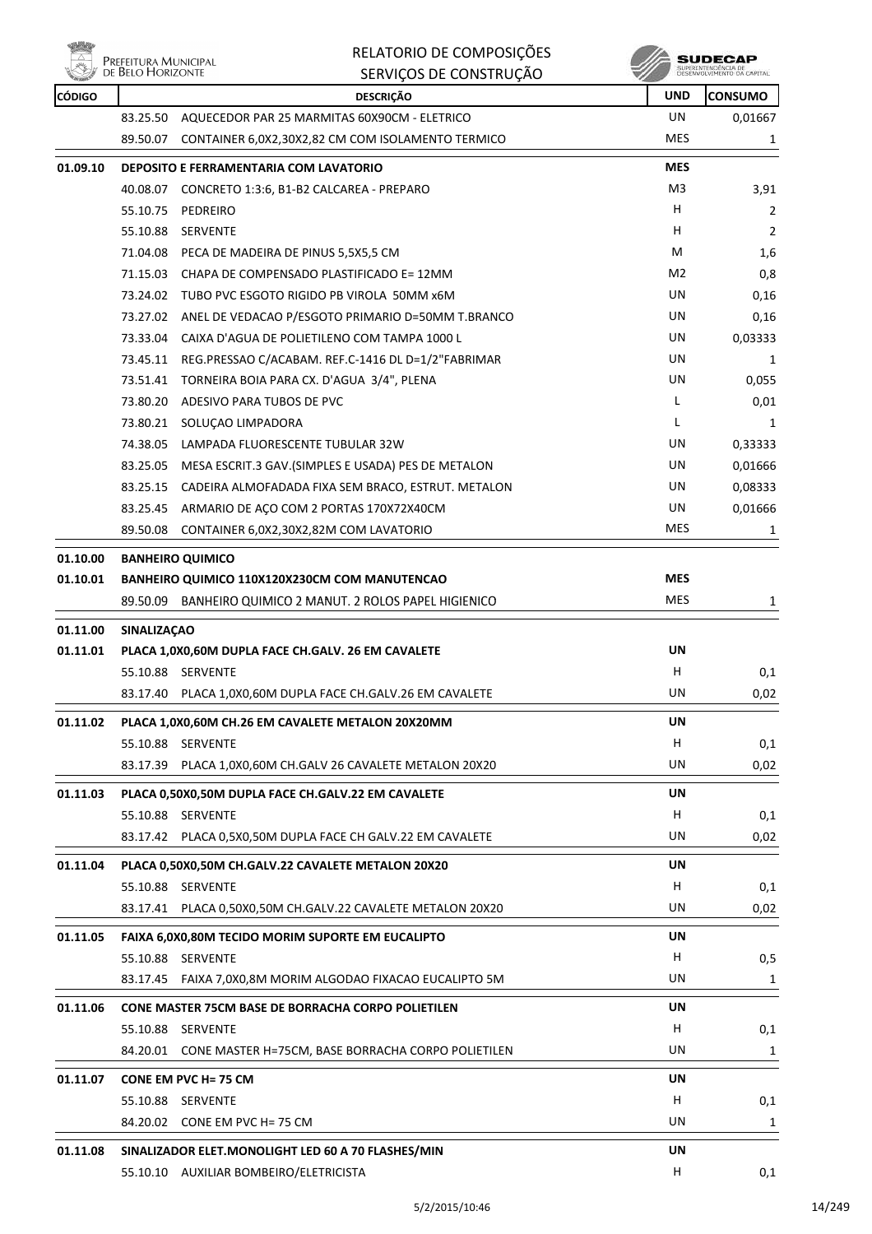

|               | PREFEITURA MUNICIPAL<br>DE BELO HORIZONTE | RELATORIO DE COMPOSIÇÕES<br>SERVIÇOS DE CONSTRUÇÃO    |                | SUDECAP<br>JESEWIDLVIMENTO OA CAPITAL |
|---------------|-------------------------------------------|-------------------------------------------------------|----------------|---------------------------------------|
| <b>CÓDIGO</b> |                                           | <b>DESCRIÇÃO</b>                                      | <b>UND</b>     | <b>ICONSUMO</b>                       |
|               | 83.25.50                                  | AQUECEDOR PAR 25 MARMITAS 60X90CM - ELETRICO          | UN             | 0,01667                               |
|               | 89.50.07                                  | CONTAINER 6,0X2,30X2,82 CM COM ISOLAMENTO TERMICO     | <b>MES</b>     |                                       |
| 01.09.10      |                                           | <b>DEPOSITO E FERRAMENTARIA COM LAVATORIO</b>         | <b>MES</b>     |                                       |
|               | 40.08.07                                  | CONCRETO 1:3:6, B1-B2 CALCAREA - PREPARO              | M <sub>3</sub> | 3,91                                  |
|               | 55.10.75                                  | PEDREIRO                                              | н              | 2                                     |
|               | 55.10.88                                  | <b>SERVENTE</b>                                       | н              | 2                                     |
|               |                                           | <b>74 04 00 - BECA BE MAREIRA BE BINITE EVE E CMA</b> | <b>A</b>       | $\sim$                                |

| 01.10.01 |          | BANHEIRO QUIMICO 110X120X230CM COM MANUTENCAO       | <b>MES</b>     |              |
|----------|----------|-----------------------------------------------------|----------------|--------------|
| 01.10.00 |          | <b>BANHEIRO QUIMICO</b>                             |                |              |
|          | 89.50.08 | CONTAINER 6,0X2,30X2,82M COM LAVATORIO              | MES            | 1            |
|          | 83.25.45 | ARMARIO DE AÇO COM 2 PORTAS 170X72X40CM             | UN.            | 0,01666      |
|          | 83.25.15 | CADEIRA ALMOFADADA FIXA SEM BRACO, ESTRUT. METALON  | UN.            | 0,08333      |
|          | 83.25.05 | MESA ESCRIT.3 GAV. (SIMPLES E USADA) PES DE METALON | UN             | 0,01666      |
|          | 74.38.05 | LAMPADA FLUORESCENTE TUBULAR 32W                    | UN             | 0,33333      |
|          | 73.80.21 | SOLUÇÃO LIMPADORA                                   | L              | $\mathbf{1}$ |
|          | 73.80.20 | ADESIVO PARA TUBOS DE PVC                           | L              | 0,01         |
|          | 73.51.41 | TORNEIRA BOIA PARA CX. D'AGUA 3/4", PLENA           | UN.            | 0,055        |
|          | 73.45.11 | REG.PRESSAO C/ACABAM. REF.C-1416 DL D=1/2"FABRIMAR  | UN.            | 1            |
|          | 73.33.04 | CAIXA D'AGUA DE POLIETILENO COM TAMPA 1000 L        | UN.            | 0,03333      |
|          | 73.27.02 | ANEL DE VEDACAO P/ESGOTO PRIMARIO D=50MM T.BRANCO   | UN.            | 0,16         |
|          | 73.24.02 | TUBO PVC ESGOTO RIGIDO PB VIROLA 50MM x6M           | UN.            | 0,16         |
|          | 71.15.03 | CHAPA DE COMPENSADO PLASTIFICADO E= 12MM            | M <sub>2</sub> | 0,8          |
|          | 71.04.08 | PECA DE MADEIRA DE PINUS 5,5X5,5 CM                 | M              | 1,6          |
|          |          |                                                     |                |              |

|          | BANHEIRO QUIMICO 2 MANUT. 2 ROLOS PAPEL HIGIENICO<br>89.50.09 | <b>MES</b> | $\mathbf 1$ |
|----------|---------------------------------------------------------------|------------|-------------|
| 01.11.00 | <b>SINALIZACAO</b>                                            |            |             |
| 01.11.01 | PLACA 1,0X0,60M DUPLA FACE CH.GALV. 26 EM CAVALETE            | <b>UN</b>  |             |
|          | 55.10.88 SERVENTE                                             | H          | 0,1         |
|          | 83.17.40 PLACA 1,0X0,60M DUPLA FACE CH.GALV.26 EM CAVALETE    | UN         | 0,02        |
| 01.11.02 | PLACA 1,0X0,60M CH.26 EM CAVALETE METALON 20X20MM             | <b>UN</b>  |             |
|          | 55.10.88 SERVENTE                                             | H          | 0,1         |
|          | 83.17.39 PLACA 1,0X0,60M CH.GALV 26 CAVALETE METALON 20X20    | UN         | 0,02        |
| 01.11.03 | PLACA 0,50X0,50M DUPLA FACE CH.GALV.22 EM CAVALETE            | <b>UN</b>  |             |
|          | 55.10.88 SERVENTE                                             | н          | 0,1         |
|          | 83.17.42<br>PLACA 0,5X0,50M DUPLA FACE CH GALV.22 EM CAVALETE | UN         | 0,02        |
| 01.11.04 | PLACA 0,50X0,50M CH.GALV.22 CAVALETE METALON 20X20            | <b>UN</b>  |             |
|          | 55.10.88 SERVENTE                                             | H          | 0,1         |
|          | 83.17.41 PLACA 0,50X0,50M CH.GALV.22 CAVALETE METALON 20X20   | UN         | 0,02        |
| 01.11.05 | FAIXA 6,0X0,80M TECIDO MORIM SUPORTE EM EUCALIPTO             | <b>UN</b>  |             |
|          | 55.10.88 SERVENTE                                             | H          | 0,5         |
|          | 83.17.45 FAIXA 7,0X0,8M MORIM ALGODAO FIXACAO EUCALIPTO 5M    | <b>UN</b>  | 1           |
| 01.11.06 | <b>CONE MASTER 75CM BASE DE BORRACHA CORPO POLIETILEN</b>     | <b>UN</b>  |             |
|          | 55.10.88<br><b>SERVENTE</b>                                   | н          | 0,1         |
|          | 84.20.01 CONE MASTER H=75CM, BASE BORRACHA CORPO POLIETILEN   | UN         | 1           |
| 01.11.07 | CONE EM PVC H= 75 CM                                          | UN         |             |
|          | 55.10.88 SERVENTE                                             | н          | 0,1         |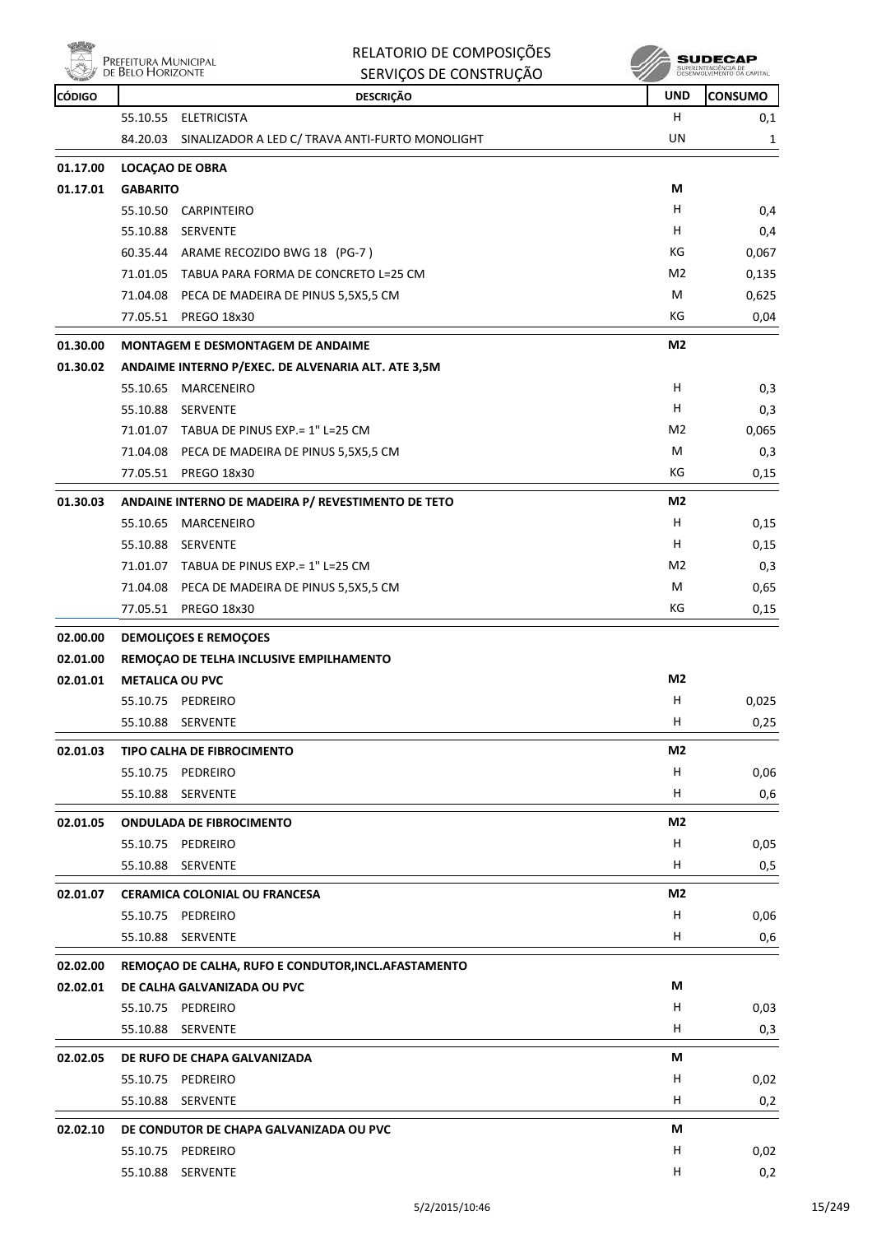

|          | Prefeitura Municipal<br>de Belo Horizonte | RELATORIO DE COMPOSIÇÕES<br>SERVIÇOS DE CONSTRUÇÃO               |                | SUDECAP<br>SUPERINTENDÊNCIA DE<br>DESENVOLVIMENTO DA CAPITAL |
|----------|-------------------------------------------|------------------------------------------------------------------|----------------|--------------------------------------------------------------|
| CÓDIGO   |                                           | <b>DESCRIÇÃO</b>                                                 | <b>UND</b>     | <b>CONSUMO</b>                                               |
|          | 55.10.55                                  | <b>ELETRICISTA</b>                                               | н              | 0,1                                                          |
|          | 84.20.03                                  | SINALIZADOR A LED C/ TRAVA ANTI-FURTO MONOLIGHT                  | UN             | 1                                                            |
| 01.17.00 |                                           | LOCAÇÃO DE OBRA                                                  |                |                                                              |
| 01.17.01 | <b>GABARITO</b>                           |                                                                  | М              |                                                              |
|          | 55.10.50                                  | CARPINTEIRO                                                      | н              | 0,4                                                          |
|          | 55.10.88                                  | SERVENTE                                                         | H              | 0,4                                                          |
|          |                                           | 60.35.44 ARAME RECOZIDO BWG 18 (PG-7)                            | КG             | 0,067                                                        |
|          | 71.01.05                                  | TABUA PARA FORMA DE CONCRETO L=25 CM                             | M <sub>2</sub> | 0,135                                                        |
|          |                                           | 71.04.08 PECA DE MADEIRA DE PINUS 5,5X5,5 CM                     | M              | 0,625                                                        |
|          |                                           | 77.05.51 PREGO 18x30                                             | КG             | 0,04                                                         |
| 01.30.00 |                                           | <b>MONTAGEM E DESMONTAGEM DE ANDAIME</b>                         | M2             |                                                              |
| 01.30.02 |                                           | ANDAIME INTERNO P/EXEC. DE ALVENARIA ALT. ATE 3,5M               |                |                                                              |
|          | 55.10.65                                  | <b>MARCENEIRO</b>                                                | H              | 0,3                                                          |
|          | 55.10.88                                  | SERVENTE                                                         | н              | 0,3                                                          |
|          |                                           | 71.01.07 TABUA DE PINUS EXP. = 1" L=25 CM                        | M <sub>2</sub> | 0,065                                                        |
|          |                                           | 71.04.08 PECA DE MADEIRA DE PINUS 5,5X5,5 CM                     | M              | 0,3                                                          |
|          |                                           | 77.05.51 PREGO 18x30                                             | КG             | 0,15                                                         |
| 01.30.03 |                                           |                                                                  | M2             |                                                              |
|          | 55.10.65                                  | ANDAINE INTERNO DE MADEIRA P/ REVESTIMENTO DE TETO<br>MARCENEIRO | н              | 0,15                                                         |
|          | 55.10.88                                  | SERVENTE                                                         | H              | 0,15                                                         |
|          |                                           | 71.01.07 TABUA DE PINUS EXP.= 1" L=25 CM                         | M <sub>2</sub> | 0,3                                                          |
|          | 71.04.08                                  | PECA DE MADEIRA DE PINUS 5,5X5,5 CM                              | м              | 0,65                                                         |
|          | 77.05.51                                  | PREGO 18x30                                                      | KG             | 0,15                                                         |
| 02.00.00 |                                           | <b>DEMOLIÇOES E REMOÇOES</b>                                     |                |                                                              |
| 02.01.00 |                                           | REMOÇÃO DE TELHA INCLUSIVE EMPILHAMENTO                          |                |                                                              |
| 02.01.01 | <b>METALICA OU PVC</b>                    |                                                                  | M <sub>2</sub> |                                                              |
|          | 55.10.75                                  | PEDREIRO                                                         | $\sf H$        | 0,025                                                        |
|          | 55.10.88                                  | <b>SERVENTE</b>                                                  | Н.             | 0,25                                                         |
|          |                                           |                                                                  | M2             |                                                              |
| 02.01.03 |                                           | TIPO CALHA DE FIBROCIMENTO<br>55.10.75 PEDREIRO                  | H              |                                                              |
|          | 55.10.88                                  | <b>SERVENTE</b>                                                  | H              | 0,06<br>0,6                                                  |
|          |                                           |                                                                  |                |                                                              |
| 02.01.05 |                                           | <b>ONDULADA DE FIBROCIMENTO</b>                                  | M2             |                                                              |
|          |                                           | 55.10.75 PEDREIRO                                                | H              | 0,05                                                         |
|          | 55.10.88                                  | <b>SERVENTE</b>                                                  | H              | 0,5                                                          |
| 02.01.07 |                                           | <b>CERAMICA COLONIAL OU FRANCESA</b>                             | M2             |                                                              |
|          |                                           | 55.10.75 PEDREIRO                                                | н              | 0,06                                                         |
|          | 55.10.88                                  | <b>SERVENTE</b>                                                  | H              | 0,6                                                          |
| 02.02.00 |                                           | REMOÇAO DE CALHA, RUFO E CONDUTOR, INCL. AFASTAMENTO             |                |                                                              |
| 02.02.01 |                                           | DE CALHA GALVANIZADA OU PVC                                      | М              |                                                              |
|          |                                           | 55.10.75 PEDREIRO                                                | H              | 0,03                                                         |
|          | 55.10.88                                  | <b>SERVENTE</b>                                                  | H              | 0,3                                                          |
| 02.02.05 |                                           | DE RUFO DE CHAPA GALVANIZADA                                     | М              |                                                              |
|          | 55.10.75                                  | PEDREIRO                                                         | H              | 0,02                                                         |
|          | 55.10.88                                  | <b>SERVENTE</b>                                                  | H              | 0,2                                                          |
| 02.02.10 |                                           | DE CONDUTOR DE CHAPA GALVANIZADA OU PVC                          | М              |                                                              |
|          | 55.10.75                                  | PEDREIRO                                                         | н              | 0,02                                                         |
|          | 55.10.88                                  | SERVENTE                                                         | H              | 0,2                                                          |
|          |                                           |                                                                  |                |                                                              |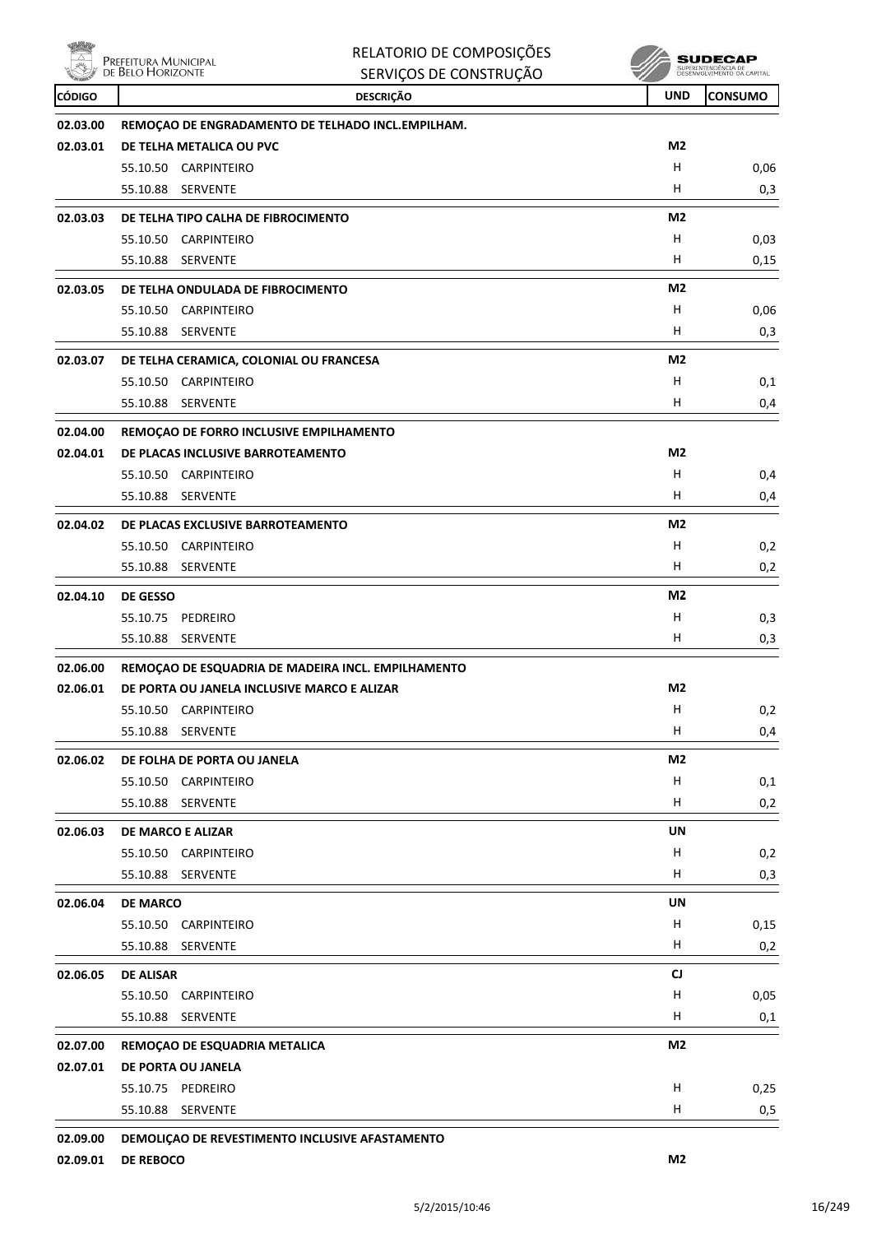| <b>UND</b><br><b>CONSUMO</b><br><b>CÓDIGO</b><br><b>DESCRIÇÃO</b><br>REMOÇAO DE ENGRADAMENTO DE TELHADO INCL.EMPILHAM.<br>02.03.00<br>M <sub>2</sub><br>02.03.01<br>DE TELHA METALICA OU PVC<br>н<br>55.10.50<br>CARPINTEIRO<br>0,06<br>55.10.88<br>SERVENTE<br>H<br>0,3<br>M <sub>2</sub><br>02.03.03<br>DE TELHA TIPO CALHA DE FIBROCIMENTO<br>н<br>55.10.50<br><b>CARPINTEIRO</b><br>0,03<br>н<br><b>SERVENTE</b><br>55.10.88<br>0,15<br>M2<br>02.03.05<br>DE TELHA ONDULADA DE FIBROCIMENTO<br>н<br>55.10.50<br>CARPINTEIRO<br>0,06<br>н<br>55.10.88<br>SERVENTE<br>0,3<br>M2<br>02.03.07<br>DE TELHA CERAMICA, COLONIAL OU FRANCESA<br>H.<br>55.10.50 CARPINTEIRO<br>0,1<br>н<br>55.10.88<br><b>SERVENTE</b><br>0,4<br>02.04.00<br>REMOÇÃO DE FORRO INCLUSIVE EMPILHAMENTO<br>M2<br>02.04.01<br>DE PLACAS INCLUSIVE BARROTEAMENTO<br>н<br>55.10.50 CARPINTEIRO<br>0,4<br>н<br>55.10.88<br>SERVENTE<br>0,4<br>02.04.02<br>M2<br>DE PLACAS EXCLUSIVE BARROTEAMENTO<br>н<br>55.10.50<br>CARPINTEIRO<br>0,2<br>н<br>55.10.88<br>0,2<br>SERVENTE<br>M2<br>02.04.10<br><b>DE GESSO</b><br>н<br>55.10.75<br>PEDREIRO<br>0,3<br>н<br>55.10.88<br><b>SERVENTE</b><br>0,3<br>02.06.00<br>REMOÇAO DE ESQUADRIA DE MADEIRA INCL. EMPILHAMENTO<br>M2<br>02.06.01<br>DE PORTA OU JANELA INCLUSIVE MARCO E ALIZAR<br>H<br>0,2<br>55.10.50 CARPINTEIRO<br>H<br>55.10.88 SERVENTE<br>0,4<br>M2<br>02.06.02<br>DE FOLHA DE PORTA OU JANELA<br>н<br>55.10.50 CARPINTEIRO<br>0,1<br>н<br>55.10.88 SERVENTE<br>0,2<br><b>UN</b><br>02.06.03<br><b>DE MARCO E ALIZAR</b><br>н<br>55.10.50 CARPINTEIRO<br>0,2<br>H.<br>55.10.88 SERVENTE<br>UN<br>02.06.04<br><b>DE MARCO</b><br>55.10.50 CARPINTEIRO<br>H<br>H<br>55.10.88 SERVENTE<br>0,2<br>CJ<br>02.06.05<br><b>DE ALISAR</b><br>55.10.50 CARPINTEIRO<br>H<br>0,05<br>H.<br>55.10.88 SERVENTE<br>0,1<br>M2<br>02.07.00<br>REMOÇAO DE ESQUADRIA METALICA<br>02.07.01<br>DE PORTA OU JANELA<br>55.10.75 PEDREIRO<br>H<br>0,25<br>H<br>55.10.88 SERVENTE<br>0,5<br>02.09.00<br>DEMOLIÇAO DE REVESTIMENTO INCLUSIVE AFASTAMENTO | 雅物 | RELATORIO DE COMPOSIÇÕES<br>PREFEITURA MUNICIPAL<br>DE BELO HORIZONTE<br>SERVIÇOS DE CONSTRUÇÃO | SUDECAP |
|---------------------------------------------------------------------------------------------------------------------------------------------------------------------------------------------------------------------------------------------------------------------------------------------------------------------------------------------------------------------------------------------------------------------------------------------------------------------------------------------------------------------------------------------------------------------------------------------------------------------------------------------------------------------------------------------------------------------------------------------------------------------------------------------------------------------------------------------------------------------------------------------------------------------------------------------------------------------------------------------------------------------------------------------------------------------------------------------------------------------------------------------------------------------------------------------------------------------------------------------------------------------------------------------------------------------------------------------------------------------------------------------------------------------------------------------------------------------------------------------------------------------------------------------------------------------------------------------------------------------------------------------------------------------------------------------------------------------------------------------------------------------------------------------------------------------------------------------------------------------------------------------------------------------------------------------------------------------------------------------------------------------------------------------------------------|----|-------------------------------------------------------------------------------------------------|---------|
|                                                                                                                                                                                                                                                                                                                                                                                                                                                                                                                                                                                                                                                                                                                                                                                                                                                                                                                                                                                                                                                                                                                                                                                                                                                                                                                                                                                                                                                                                                                                                                                                                                                                                                                                                                                                                                                                                                                                                                                                                                                               |    |                                                                                                 |         |
|                                                                                                                                                                                                                                                                                                                                                                                                                                                                                                                                                                                                                                                                                                                                                                                                                                                                                                                                                                                                                                                                                                                                                                                                                                                                                                                                                                                                                                                                                                                                                                                                                                                                                                                                                                                                                                                                                                                                                                                                                                                               |    |                                                                                                 |         |
|                                                                                                                                                                                                                                                                                                                                                                                                                                                                                                                                                                                                                                                                                                                                                                                                                                                                                                                                                                                                                                                                                                                                                                                                                                                                                                                                                                                                                                                                                                                                                                                                                                                                                                                                                                                                                                                                                                                                                                                                                                                               |    |                                                                                                 |         |
|                                                                                                                                                                                                                                                                                                                                                                                                                                                                                                                                                                                                                                                                                                                                                                                                                                                                                                                                                                                                                                                                                                                                                                                                                                                                                                                                                                                                                                                                                                                                                                                                                                                                                                                                                                                                                                                                                                                                                                                                                                                               |    |                                                                                                 |         |
|                                                                                                                                                                                                                                                                                                                                                                                                                                                                                                                                                                                                                                                                                                                                                                                                                                                                                                                                                                                                                                                                                                                                                                                                                                                                                                                                                                                                                                                                                                                                                                                                                                                                                                                                                                                                                                                                                                                                                                                                                                                               |    |                                                                                                 |         |
|                                                                                                                                                                                                                                                                                                                                                                                                                                                                                                                                                                                                                                                                                                                                                                                                                                                                                                                                                                                                                                                                                                                                                                                                                                                                                                                                                                                                                                                                                                                                                                                                                                                                                                                                                                                                                                                                                                                                                                                                                                                               |    |                                                                                                 |         |
|                                                                                                                                                                                                                                                                                                                                                                                                                                                                                                                                                                                                                                                                                                                                                                                                                                                                                                                                                                                                                                                                                                                                                                                                                                                                                                                                                                                                                                                                                                                                                                                                                                                                                                                                                                                                                                                                                                                                                                                                                                                               |    |                                                                                                 |         |
|                                                                                                                                                                                                                                                                                                                                                                                                                                                                                                                                                                                                                                                                                                                                                                                                                                                                                                                                                                                                                                                                                                                                                                                                                                                                                                                                                                                                                                                                                                                                                                                                                                                                                                                                                                                                                                                                                                                                                                                                                                                               |    |                                                                                                 |         |
|                                                                                                                                                                                                                                                                                                                                                                                                                                                                                                                                                                                                                                                                                                                                                                                                                                                                                                                                                                                                                                                                                                                                                                                                                                                                                                                                                                                                                                                                                                                                                                                                                                                                                                                                                                                                                                                                                                                                                                                                                                                               |    |                                                                                                 |         |
|                                                                                                                                                                                                                                                                                                                                                                                                                                                                                                                                                                                                                                                                                                                                                                                                                                                                                                                                                                                                                                                                                                                                                                                                                                                                                                                                                                                                                                                                                                                                                                                                                                                                                                                                                                                                                                                                                                                                                                                                                                                               |    |                                                                                                 |         |
|                                                                                                                                                                                                                                                                                                                                                                                                                                                                                                                                                                                                                                                                                                                                                                                                                                                                                                                                                                                                                                                                                                                                                                                                                                                                                                                                                                                                                                                                                                                                                                                                                                                                                                                                                                                                                                                                                                                                                                                                                                                               |    |                                                                                                 |         |
|                                                                                                                                                                                                                                                                                                                                                                                                                                                                                                                                                                                                                                                                                                                                                                                                                                                                                                                                                                                                                                                                                                                                                                                                                                                                                                                                                                                                                                                                                                                                                                                                                                                                                                                                                                                                                                                                                                                                                                                                                                                               |    |                                                                                                 |         |
|                                                                                                                                                                                                                                                                                                                                                                                                                                                                                                                                                                                                                                                                                                                                                                                                                                                                                                                                                                                                                                                                                                                                                                                                                                                                                                                                                                                                                                                                                                                                                                                                                                                                                                                                                                                                                                                                                                                                                                                                                                                               |    |                                                                                                 |         |
|                                                                                                                                                                                                                                                                                                                                                                                                                                                                                                                                                                                                                                                                                                                                                                                                                                                                                                                                                                                                                                                                                                                                                                                                                                                                                                                                                                                                                                                                                                                                                                                                                                                                                                                                                                                                                                                                                                                                                                                                                                                               |    |                                                                                                 |         |
|                                                                                                                                                                                                                                                                                                                                                                                                                                                                                                                                                                                                                                                                                                                                                                                                                                                                                                                                                                                                                                                                                                                                                                                                                                                                                                                                                                                                                                                                                                                                                                                                                                                                                                                                                                                                                                                                                                                                                                                                                                                               |    |                                                                                                 |         |
|                                                                                                                                                                                                                                                                                                                                                                                                                                                                                                                                                                                                                                                                                                                                                                                                                                                                                                                                                                                                                                                                                                                                                                                                                                                                                                                                                                                                                                                                                                                                                                                                                                                                                                                                                                                                                                                                                                                                                                                                                                                               |    |                                                                                                 |         |
|                                                                                                                                                                                                                                                                                                                                                                                                                                                                                                                                                                                                                                                                                                                                                                                                                                                                                                                                                                                                                                                                                                                                                                                                                                                                                                                                                                                                                                                                                                                                                                                                                                                                                                                                                                                                                                                                                                                                                                                                                                                               |    |                                                                                                 |         |
|                                                                                                                                                                                                                                                                                                                                                                                                                                                                                                                                                                                                                                                                                                                                                                                                                                                                                                                                                                                                                                                                                                                                                                                                                                                                                                                                                                                                                                                                                                                                                                                                                                                                                                                                                                                                                                                                                                                                                                                                                                                               |    |                                                                                                 |         |
|                                                                                                                                                                                                                                                                                                                                                                                                                                                                                                                                                                                                                                                                                                                                                                                                                                                                                                                                                                                                                                                                                                                                                                                                                                                                                                                                                                                                                                                                                                                                                                                                                                                                                                                                                                                                                                                                                                                                                                                                                                                               |    |                                                                                                 |         |
|                                                                                                                                                                                                                                                                                                                                                                                                                                                                                                                                                                                                                                                                                                                                                                                                                                                                                                                                                                                                                                                                                                                                                                                                                                                                                                                                                                                                                                                                                                                                                                                                                                                                                                                                                                                                                                                                                                                                                                                                                                                               |    |                                                                                                 |         |
|                                                                                                                                                                                                                                                                                                                                                                                                                                                                                                                                                                                                                                                                                                                                                                                                                                                                                                                                                                                                                                                                                                                                                                                                                                                                                                                                                                                                                                                                                                                                                                                                                                                                                                                                                                                                                                                                                                                                                                                                                                                               |    |                                                                                                 |         |
|                                                                                                                                                                                                                                                                                                                                                                                                                                                                                                                                                                                                                                                                                                                                                                                                                                                                                                                                                                                                                                                                                                                                                                                                                                                                                                                                                                                                                                                                                                                                                                                                                                                                                                                                                                                                                                                                                                                                                                                                                                                               |    |                                                                                                 |         |
|                                                                                                                                                                                                                                                                                                                                                                                                                                                                                                                                                                                                                                                                                                                                                                                                                                                                                                                                                                                                                                                                                                                                                                                                                                                                                                                                                                                                                                                                                                                                                                                                                                                                                                                                                                                                                                                                                                                                                                                                                                                               |    |                                                                                                 |         |
|                                                                                                                                                                                                                                                                                                                                                                                                                                                                                                                                                                                                                                                                                                                                                                                                                                                                                                                                                                                                                                                                                                                                                                                                                                                                                                                                                                                                                                                                                                                                                                                                                                                                                                                                                                                                                                                                                                                                                                                                                                                               |    |                                                                                                 |         |
|                                                                                                                                                                                                                                                                                                                                                                                                                                                                                                                                                                                                                                                                                                                                                                                                                                                                                                                                                                                                                                                                                                                                                                                                                                                                                                                                                                                                                                                                                                                                                                                                                                                                                                                                                                                                                                                                                                                                                                                                                                                               |    |                                                                                                 |         |
|                                                                                                                                                                                                                                                                                                                                                                                                                                                                                                                                                                                                                                                                                                                                                                                                                                                                                                                                                                                                                                                                                                                                                                                                                                                                                                                                                                                                                                                                                                                                                                                                                                                                                                                                                                                                                                                                                                                                                                                                                                                               |    |                                                                                                 |         |
|                                                                                                                                                                                                                                                                                                                                                                                                                                                                                                                                                                                                                                                                                                                                                                                                                                                                                                                                                                                                                                                                                                                                                                                                                                                                                                                                                                                                                                                                                                                                                                                                                                                                                                                                                                                                                                                                                                                                                                                                                                                               |    |                                                                                                 |         |
|                                                                                                                                                                                                                                                                                                                                                                                                                                                                                                                                                                                                                                                                                                                                                                                                                                                                                                                                                                                                                                                                                                                                                                                                                                                                                                                                                                                                                                                                                                                                                                                                                                                                                                                                                                                                                                                                                                                                                                                                                                                               |    |                                                                                                 |         |
|                                                                                                                                                                                                                                                                                                                                                                                                                                                                                                                                                                                                                                                                                                                                                                                                                                                                                                                                                                                                                                                                                                                                                                                                                                                                                                                                                                                                                                                                                                                                                                                                                                                                                                                                                                                                                                                                                                                                                                                                                                                               |    |                                                                                                 |         |
|                                                                                                                                                                                                                                                                                                                                                                                                                                                                                                                                                                                                                                                                                                                                                                                                                                                                                                                                                                                                                                                                                                                                                                                                                                                                                                                                                                                                                                                                                                                                                                                                                                                                                                                                                                                                                                                                                                                                                                                                                                                               |    |                                                                                                 |         |
|                                                                                                                                                                                                                                                                                                                                                                                                                                                                                                                                                                                                                                                                                                                                                                                                                                                                                                                                                                                                                                                                                                                                                                                                                                                                                                                                                                                                                                                                                                                                                                                                                                                                                                                                                                                                                                                                                                                                                                                                                                                               |    |                                                                                                 |         |
|                                                                                                                                                                                                                                                                                                                                                                                                                                                                                                                                                                                                                                                                                                                                                                                                                                                                                                                                                                                                                                                                                                                                                                                                                                                                                                                                                                                                                                                                                                                                                                                                                                                                                                                                                                                                                                                                                                                                                                                                                                                               |    |                                                                                                 |         |
|                                                                                                                                                                                                                                                                                                                                                                                                                                                                                                                                                                                                                                                                                                                                                                                                                                                                                                                                                                                                                                                                                                                                                                                                                                                                                                                                                                                                                                                                                                                                                                                                                                                                                                                                                                                                                                                                                                                                                                                                                                                               |    |                                                                                                 |         |
|                                                                                                                                                                                                                                                                                                                                                                                                                                                                                                                                                                                                                                                                                                                                                                                                                                                                                                                                                                                                                                                                                                                                                                                                                                                                                                                                                                                                                                                                                                                                                                                                                                                                                                                                                                                                                                                                                                                                                                                                                                                               |    |                                                                                                 |         |
|                                                                                                                                                                                                                                                                                                                                                                                                                                                                                                                                                                                                                                                                                                                                                                                                                                                                                                                                                                                                                                                                                                                                                                                                                                                                                                                                                                                                                                                                                                                                                                                                                                                                                                                                                                                                                                                                                                                                                                                                                                                               |    |                                                                                                 | 0,3     |
|                                                                                                                                                                                                                                                                                                                                                                                                                                                                                                                                                                                                                                                                                                                                                                                                                                                                                                                                                                                                                                                                                                                                                                                                                                                                                                                                                                                                                                                                                                                                                                                                                                                                                                                                                                                                                                                                                                                                                                                                                                                               |    |                                                                                                 |         |
|                                                                                                                                                                                                                                                                                                                                                                                                                                                                                                                                                                                                                                                                                                                                                                                                                                                                                                                                                                                                                                                                                                                                                                                                                                                                                                                                                                                                                                                                                                                                                                                                                                                                                                                                                                                                                                                                                                                                                                                                                                                               |    |                                                                                                 | 0,15    |
|                                                                                                                                                                                                                                                                                                                                                                                                                                                                                                                                                                                                                                                                                                                                                                                                                                                                                                                                                                                                                                                                                                                                                                                                                                                                                                                                                                                                                                                                                                                                                                                                                                                                                                                                                                                                                                                                                                                                                                                                                                                               |    |                                                                                                 |         |
|                                                                                                                                                                                                                                                                                                                                                                                                                                                                                                                                                                                                                                                                                                                                                                                                                                                                                                                                                                                                                                                                                                                                                                                                                                                                                                                                                                                                                                                                                                                                                                                                                                                                                                                                                                                                                                                                                                                                                                                                                                                               |    |                                                                                                 |         |
|                                                                                                                                                                                                                                                                                                                                                                                                                                                                                                                                                                                                                                                                                                                                                                                                                                                                                                                                                                                                                                                                                                                                                                                                                                                                                                                                                                                                                                                                                                                                                                                                                                                                                                                                                                                                                                                                                                                                                                                                                                                               |    |                                                                                                 |         |
|                                                                                                                                                                                                                                                                                                                                                                                                                                                                                                                                                                                                                                                                                                                                                                                                                                                                                                                                                                                                                                                                                                                                                                                                                                                                                                                                                                                                                                                                                                                                                                                                                                                                                                                                                                                                                                                                                                                                                                                                                                                               |    |                                                                                                 |         |
|                                                                                                                                                                                                                                                                                                                                                                                                                                                                                                                                                                                                                                                                                                                                                                                                                                                                                                                                                                                                                                                                                                                                                                                                                                                                                                                                                                                                                                                                                                                                                                                                                                                                                                                                                                                                                                                                                                                                                                                                                                                               |    |                                                                                                 |         |
|                                                                                                                                                                                                                                                                                                                                                                                                                                                                                                                                                                                                                                                                                                                                                                                                                                                                                                                                                                                                                                                                                                                                                                                                                                                                                                                                                                                                                                                                                                                                                                                                                                                                                                                                                                                                                                                                                                                                                                                                                                                               |    |                                                                                                 |         |
|                                                                                                                                                                                                                                                                                                                                                                                                                                                                                                                                                                                                                                                                                                                                                                                                                                                                                                                                                                                                                                                                                                                                                                                                                                                                                                                                                                                                                                                                                                                                                                                                                                                                                                                                                                                                                                                                                                                                                                                                                                                               |    |                                                                                                 |         |
|                                                                                                                                                                                                                                                                                                                                                                                                                                                                                                                                                                                                                                                                                                                                                                                                                                                                                                                                                                                                                                                                                                                                                                                                                                                                                                                                                                                                                                                                                                                                                                                                                                                                                                                                                                                                                                                                                                                                                                                                                                                               |    |                                                                                                 |         |
|                                                                                                                                                                                                                                                                                                                                                                                                                                                                                                                                                                                                                                                                                                                                                                                                                                                                                                                                                                                                                                                                                                                                                                                                                                                                                                                                                                                                                                                                                                                                                                                                                                                                                                                                                                                                                                                                                                                                                                                                                                                               |    |                                                                                                 |         |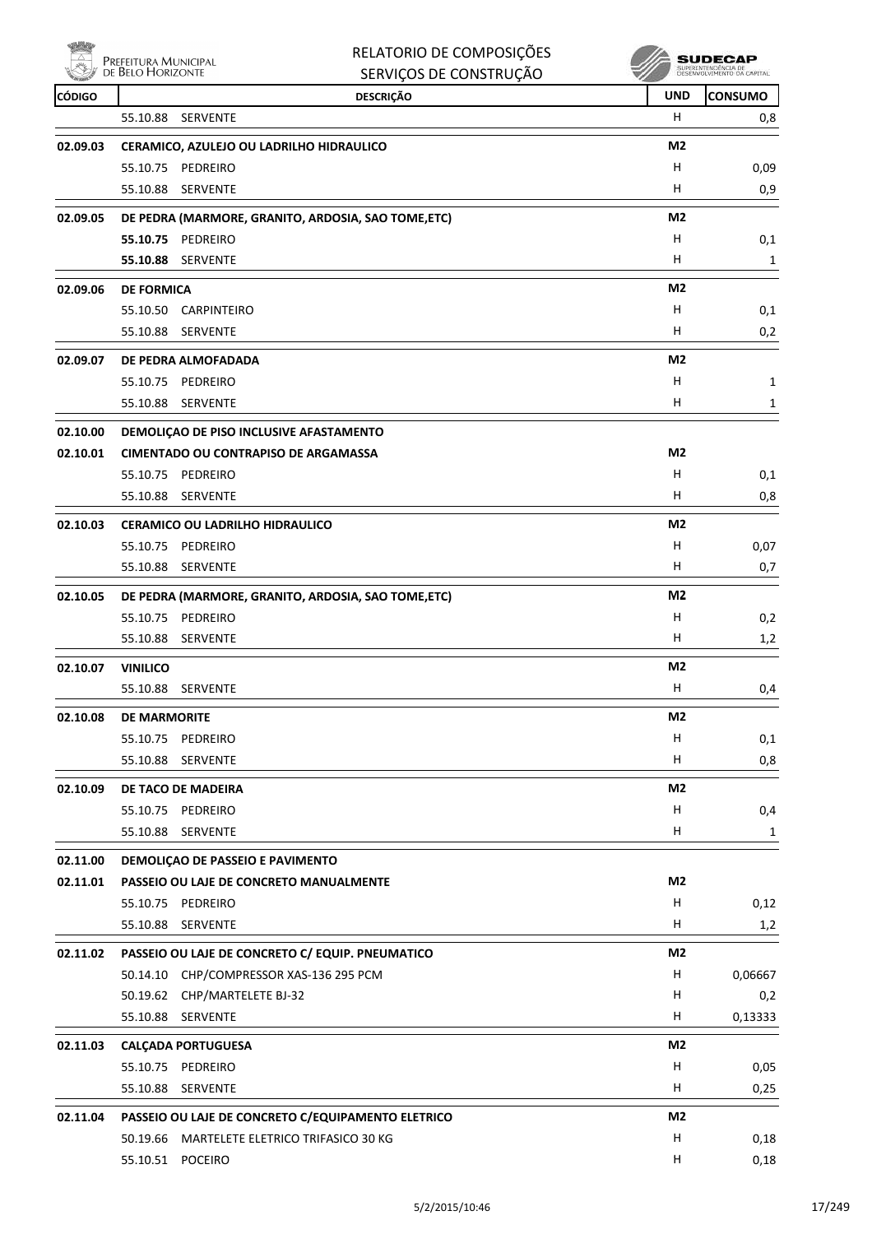

| RELATORIO DE COMPOSIÇÕES |
|--------------------------|
| SERVICOS DE CONSTRUÇÃO   |

| <b>CÓDIGO</b> | <b>DESCRIÇÃO</b>                                    | <b>UND</b>                | <b>CONSUMO</b> |
|---------------|-----------------------------------------------------|---------------------------|----------------|
|               | 55.10.88<br>SERVENTE                                | H                         | 0,8            |
| 02.09.03      | CERAMICO, AZULEJO OU LADRILHO HIDRAULICO            | M2                        |                |
|               | 55.10.75 PEDREIRO                                   | H                         | 0,09           |
|               | 55.10.88<br><b>SERVENTE</b>                         | H                         | 0,9            |
| 02.09.05      | DE PEDRA (MARMORE, GRANITO, ARDOSIA, SAO TOME,ETC)  | M2                        |                |
|               | 55.10.75 PEDREIRO                                   | н                         | 0,1            |
|               | 55.10.88 SERVENTE                                   | H                         | 1              |
| 02.09.06      | <b>DE FORMICA</b>                                   | M <sub>2</sub>            |                |
|               | 55.10.50 CARPINTEIRO                                | H                         | 0,1            |
|               | 55.10.88<br>SERVENTE                                | H                         | 0,2            |
| 02.09.07      | DE PEDRA ALMOFADADA                                 | M <sub>2</sub>            |                |
|               | 55.10.75 PEDREIRO                                   | н                         | 1              |
|               | 55.10.88 SERVENTE                                   | H.                        | 1              |
| 02.10.00      | DEMOLIÇAO DE PISO INCLUSIVE AFASTAMENTO             |                           |                |
| 02.10.01      | <b>CIMENTADO OU CONTRAPISO DE ARGAMASSA</b>         | M2                        |                |
|               | 55.10.75 PEDREIRO                                   | н                         | 0,1            |
|               | 55.10.88 SERVENTE                                   | H.                        | 0,8            |
| 02.10.03      | <b>CERAMICO OU LADRILHO HIDRAULICO</b>              | M2                        |                |
|               | 55.10.75 PEDREIRO                                   | н                         | 0,07           |
|               | 55.10.88 SERVENTE                                   | H                         | 0,7            |
| 02.10.05      | DE PEDRA (MARMORE, GRANITO, ARDOSIA, SAO TOME, ETC) | M2                        |                |
|               | 55.10.75 PEDREIRO                                   | H                         | 0,2            |
|               | 55.10.88<br>SERVENTE                                | H.                        | 1,2            |
| 02.10.07      | <b>VINILICO</b>                                     | M2                        |                |
|               | 55.10.88 SERVENTE                                   | H.                        | 0,4            |
| 02.10.08      | <b>DE MARMORITE</b>                                 | M2                        |                |
|               | 55.10.75 PEDREIRO                                   | $\boldsymbol{\mathsf{H}}$ | 0,1            |
|               | 55.10.88<br><b>SERVENTE</b>                         | H                         | 0,8            |
| 02.10.09      | DE TACO DE MADEIRA                                  | M <sub>2</sub>            |                |
|               | 55.10.75 PEDREIRO                                   | н                         | 0,4            |
|               | 55.10.88<br><b>SERVENTE</b>                         | н                         | 1              |
| 02.11.00      | DEMOLIÇÃO DE PASSEIO E PAVIMENTO                    |                           |                |
| 02.11.01      | PASSEIO OU LAJE DE CONCRETO MANUALMENTE             | M2                        |                |
|               | 55.10.75 PEDREIRO                                   | н                         | 0,12           |
|               | 55.10.88 SERVENTE                                   | н                         | 1,2            |
| 02.11.02      | PASSEIO OU LAJE DE CONCRETO C/ EQUIP. PNEUMATICO    | M2                        |                |
|               | 50.14.10 CHP/COMPRESSOR XAS-136 295 PCM             | H                         | 0,06667        |
|               | 50.19.62 CHP/MARTELETE BJ-32                        | H                         | 0,2            |
|               | 55.10.88 SERVENTE                                   | н                         | 0,13333        |
| 02.11.03      | <b>CALÇADA PORTUGUESA</b>                           | M <sub>2</sub>            |                |
|               | 55.10.75 PEDREIRO                                   | н                         | 0,05           |
|               | 55.10.88 SERVENTE                                   | H                         | 0,25           |
| 02.11.04      | PASSEIO OU LAJE DE CONCRETO C/EQUIPAMENTO ELETRICO  | M2                        |                |
|               | 50.19.66 MARTELETE ELETRICO TRIFASICO 30 KG         | н                         | 0,18           |
|               | 55.10.51 POCEIRO                                    | H                         | 0,18           |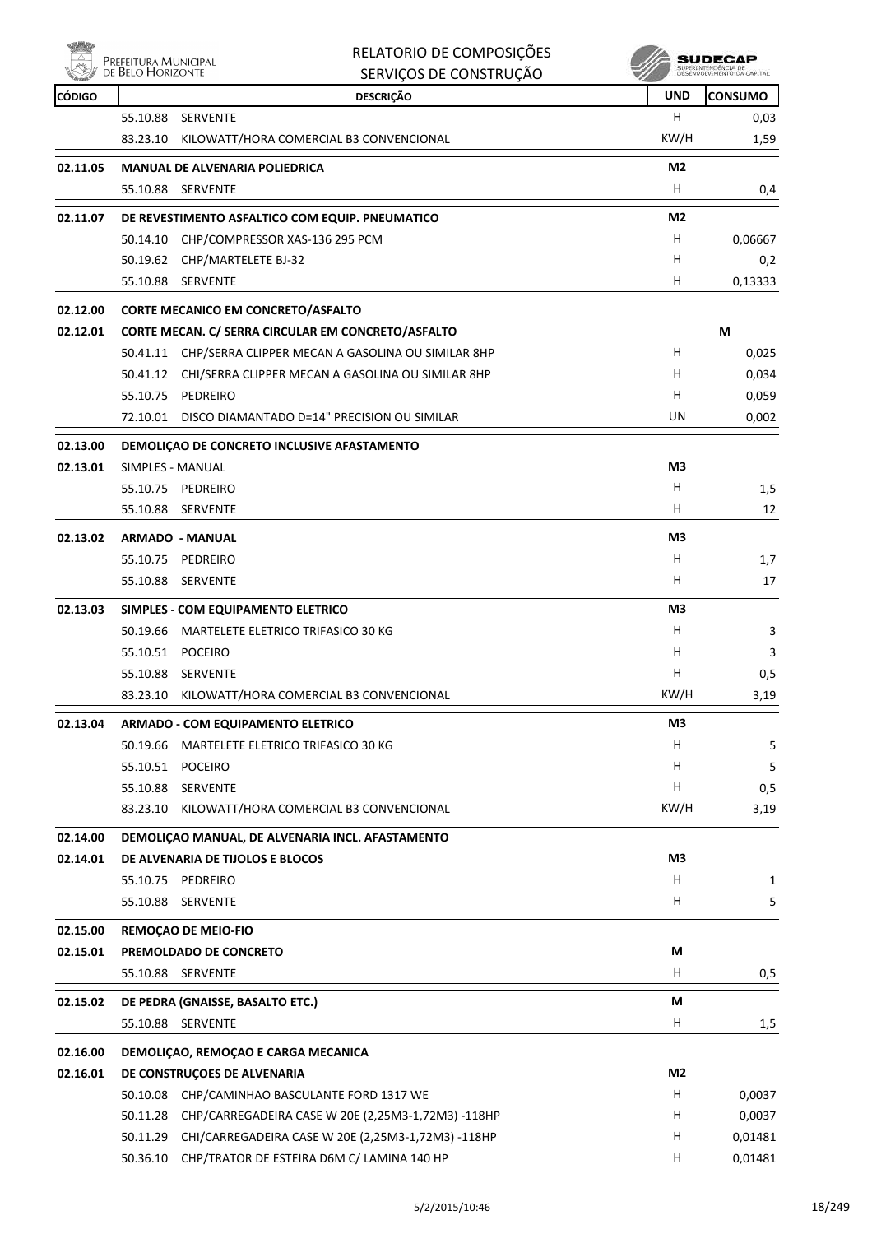

| <b>Ready</b>  |                                           | RELATORIO DE COMPOSIÇÕES                                    |                | SUDECAP                                           |
|---------------|-------------------------------------------|-------------------------------------------------------------|----------------|---------------------------------------------------|
|               | Prefeitura Municipal<br>de Belo Horizonte | SERVIÇOS DE CONSTRUÇÃO                                      |                | SUPERINTENDÊNCIA DE<br>DESENVOLVIMENTO OA CAPITAL |
| <b>CÓDIGO</b> |                                           | <b>DESCRIÇÃO</b>                                            | <b>UND</b>     | <b>CONSUMO</b>                                    |
|               | 55.10.88                                  | <b>SERVENTE</b>                                             | H              | 0,03                                              |
|               | 83.23.10                                  | KILOWATT/HORA COMERCIAL B3 CONVENCIONAL                     | KW/H           | 1,59                                              |
| 02.11.05      |                                           | <b>MANUAL DE ALVENARIA POLIEDRICA</b>                       | M <sub>2</sub> |                                                   |
|               | 55.10.88                                  | <b>SERVENTE</b>                                             | H              | 0,4                                               |
| 02.11.07      |                                           | DE REVESTIMENTO ASFALTICO COM EQUIP. PNEUMATICO             | M <sub>2</sub> |                                                   |
|               | 50.14.10                                  | CHP/COMPRESSOR XAS-136 295 PCM                              | H              | 0,06667                                           |
|               |                                           | 50.19.62 CHP/MARTELETE BJ-32                                | н              | 0,2                                               |
|               | 55.10.88                                  | SERVENTE                                                    | H              | 0,13333                                           |
|               |                                           |                                                             |                |                                                   |
| 02.12.00      |                                           | <b>CORTE MECANICO EM CONCRETO/ASFALTO</b>                   |                |                                                   |
| 02.12.01      |                                           | CORTE MECAN. C/ SERRA CIRCULAR EM CONCRETO/ASFALTO          |                | M                                                 |
|               |                                           | 50.41.11 CHP/SERRA CLIPPER MECAN A GASOLINA OU SIMILAR 8HP  | H              | 0,025                                             |
|               |                                           | 50.41.12 CHI/SERRA CLIPPER MECAN A GASOLINA OU SIMILAR 8HP  | H              | 0,034                                             |
|               | 55.10.75 PEDREIRO                         |                                                             | H              | 0,059                                             |
|               |                                           | 72.10.01 DISCO DIAMANTADO D=14" PRECISION OU SIMILAR        | UN             | 0,002                                             |
| 02.13.00      |                                           | DEMOLICAO DE CONCRETO INCLUSIVE AFASTAMENTO                 |                |                                                   |
| 02.13.01      | <b>SIMPLES - MANUAL</b>                   |                                                             | M3             |                                                   |
|               | 55.10.75                                  | PEDREIRO                                                    | H              | 1,5                                               |
|               | 55.10.88                                  | <b>SERVENTE</b>                                             | H              | 12                                                |
| 02.13.02      |                                           | <b>ARMADO - MANUAL</b>                                      | M <sub>3</sub> |                                                   |
|               |                                           |                                                             | H              |                                                   |
|               | 55.10.75                                  | PEDREIRO                                                    | H              | 1,7                                               |
|               | 55.10.88                                  | SERVENTE                                                    |                | 17                                                |
| 02.13.03      |                                           | SIMPLES - COM EQUIPAMENTO ELETRICO                          | M3             |                                                   |
|               | 50.19.66                                  | MARTELETE ELETRICO TRIFASICO 30 KG                          | H              | 3                                                 |
|               | 55.10.51 POCEIRO                          |                                                             | H              | 3                                                 |
|               |                                           | 55.10.88 SERVENTE                                           | H              | 0,5                                               |
|               |                                           | 83.23.10 KILOWATT/HORA COMERCIAL B3 CONVENCIONAL            | KW/H           | 3,19                                              |
| 02.13.04      |                                           | <b>ARMADO - COM EQUIPAMENTO ELETRICO</b>                    | M3             |                                                   |
|               | 50.19.66                                  | MARTELETE ELETRICO TRIFASICO 30 KG                          | H              | 5                                                 |
|               | 55.10.51 POCEIRO                          |                                                             | H.             | 5                                                 |
|               |                                           | 55.10.88 SERVENTE                                           | Н              | 0,5                                               |
|               | 83.23.10                                  | KILOWATT/HORA COMERCIAL B3 CONVENCIONAL                     | KW/H           | 3,19                                              |
| 02.14.00      |                                           | DEMOLIÇAO MANUAL, DE ALVENARIA INCL. AFASTAMENTO            |                |                                                   |
| 02.14.01      |                                           | DE ALVENARIA DE TIJOLOS E BLOCOS                            | M3             |                                                   |
|               | 55.10.75                                  | PEDREIRO                                                    | H              | 1                                                 |
|               | 55.10.88                                  | SERVENTE                                                    | H              | 5                                                 |
|               |                                           |                                                             |                |                                                   |
| 02.15.00      |                                           | <b>REMOÇAO DE MEIO-FIO</b>                                  |                |                                                   |
| 02.15.01      |                                           | PREMOLDADO DE CONCRETO                                      | M              |                                                   |
|               |                                           | 55.10.88 SERVENTE                                           | Н.             | 0,5                                               |
| 02.15.02      |                                           | DE PEDRA (GNAISSE, BASALTO ETC.)                            | М              |                                                   |
|               |                                           | 55.10.88 SERVENTE                                           | H              | 1,5                                               |
| 02.16.00      |                                           |                                                             |                |                                                   |
|               |                                           | DEMOLIÇAO, REMOÇAO E CARGA MECANICA                         | M <sub>2</sub> |                                                   |
| 02.16.01      |                                           | DE CONSTRUÇOES DE ALVENARIA                                 | H              |                                                   |
|               |                                           | 50.10.08 CHP/CAMINHAO BASCULANTE FORD 1317 WE               | H              | 0,0037<br>0,0037                                  |
|               |                                           | 50.11.28 CHP/CARREGADEIRA CASE W 20E (2,25M3-1,72M3) -118HP |                |                                                   |
|               |                                           | 50.11.29 CHI/CARREGADEIRA CASE W 20E (2,25M3-1,72M3) -118HP | Н.             | 0,01481                                           |

50.36.10 CHP/TRATOR DE ESTEIRA D6M C/ LAMINA 140 HP CONTRATION CHANGES AND H 0,01481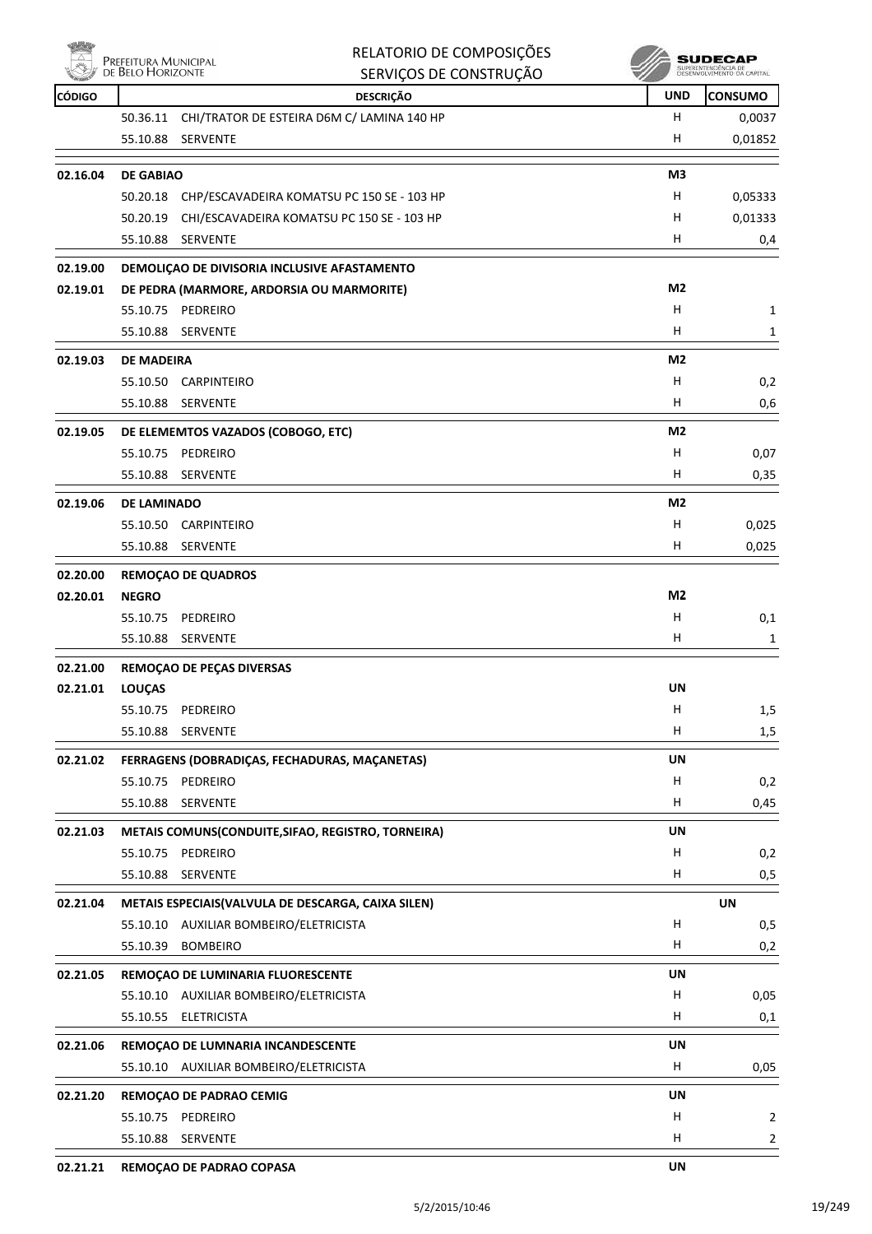

| RELATORIO DE COMPOSIÇÕES |
|--------------------------|
| SERVICOS DE CONSTRUÇÃO   |

**SUDECAP** 

| <b>CÓDIGO</b> | <b>DESCRIÇÃO</b>                                       | <b>UND</b>     | <b>CONSUMO</b> |
|---------------|--------------------------------------------------------|----------------|----------------|
|               | CHI/TRATOR DE ESTEIRA D6M C/ LAMINA 140 HP<br>50.36.11 | H.             | 0,0037         |
|               | 55.10.88<br>SERVENTE                                   | н              | 0,01852        |
| 02.16.04      | <b>DE GABIAO</b>                                       | M3             |                |
|               | 50.20.18 CHP/ESCAVADEIRA KOMATSU PC 150 SE - 103 HP    | H              | 0,05333        |
|               | 50.20.19 CHI/ESCAVADEIRA KOMATSU PC 150 SE - 103 HP    | H              | 0,01333        |
|               | 55.10.88 SERVENTE                                      | Н              | 0,4            |
| 02.19.00      | DEMOLIÇAO DE DIVISORIA INCLUSIVE AFASTAMENTO           |                |                |
| 02.19.01      | DE PEDRA (MARMORE, ARDORSIA OU MARMORITE)              | M2             |                |
|               | 55.10.75<br>PEDREIRO                                   | H              | 1              |
|               | 55.10.88<br>SERVENTE                                   | H.             | 1              |
| 02.19.03      | <b>DE MADEIRA</b>                                      | M <sub>2</sub> |                |
|               | 55.10.50<br>CARPINTEIRO                                | Н              | 0,2            |
|               | 55.10.88<br>SERVENTE                                   | H              | 0,6            |
| 02.19.05      | DE ELEMEMTOS VAZADOS (COBOGO, ETC)                     | M <sub>2</sub> |                |
|               | 55.10.75<br>PEDREIRO                                   | Н              | 0,07           |
|               | 55.10.88 SERVENTE                                      | H.             | 0,35           |
| 02.19.06      | <b>DE LAMINADO</b>                                     | M <sub>2</sub> |                |
|               | CARPINTEIRO<br>55.10.50                                | Н              | 0,025          |
|               | 55.10.88 SERVENTE                                      | н              | 0,025          |
| 02.20.00      | <b>REMOÇAO DE QUADROS</b>                              |                |                |
| 02.20.01      | <b>NEGRO</b>                                           | M2             |                |
|               | 55.10.75<br>PEDREIRO                                   | Н              | 0,1            |
|               | 55.10.88<br>SERVENTE                                   | H              | 1              |
| 02.21.00      | REMOÇAO DE PEÇAS DIVERSAS                              |                |                |
| 02.21.01      | <b>LOUÇAS</b>                                          | UN             |                |
|               | 55.10.75<br>PEDREIRO                                   | H              | 1,5            |
|               | 55.10.88<br>SERVENTE                                   | н              | 1,5            |
| 02.21.02      | FERRAGENS (DOBRADIÇAS, FECHADURAS, MAÇANETAS)          | UN             |                |
|               | 55.10.75 PEDREIRO                                      | Н              | 0,2            |
|               | SERVENTE<br>55.10.88                                   | H              | 0,45           |
| 02.21.03      | METAIS COMUNS(CONDUITE, SIFAO, REGISTRO, TORNEIRA)     | UN             |                |
|               | 55.10.75<br>PEDREIRO                                   | Н              | 0,2            |
|               | 55.10.88<br>SERVENTE                                   | H              | 0,5            |
| 02.21.04      | METAIS ESPECIAIS (VALVULA DE DESCARGA, CAIXA SILEN)    |                | <b>UN</b>      |
|               | 55.10.10 AUXILIAR BOMBEIRO/ELETRICISTA                 | Н              | 0,5            |
|               | 55.10.39<br><b>BOMBEIRO</b>                            | H              | 0,2            |
| 02.21.05      | REMOÇAO DE LUMINARIA FLUORESCENTE                      | <b>UN</b>      |                |
|               | 55.10.10 AUXILIAR BOMBEIRO/ELETRICISTA                 | н              | 0,05           |
|               | 55.10.55 ELETRICISTA                                   | Н              | 0,1            |
| 02.21.06      | REMOÇÃO DE LUMNARIA INCANDESCENTE                      | UN             |                |
|               | 55.10.10 AUXILIAR BOMBEIRO/ELETRICISTA                 | H              | 0,05           |
| 02.21.20      | REMOÇÃO DE PADRÃO CEMIG                                | UN             |                |
|               | 55.10.75 PEDREIRO                                      | Н              | 2              |
|               | 55.10.88 SERVENTE                                      | H              | 2              |
| 02.21.21      | REMOÇAO DE PADRAO COPASA                               | <b>UN</b>      |                |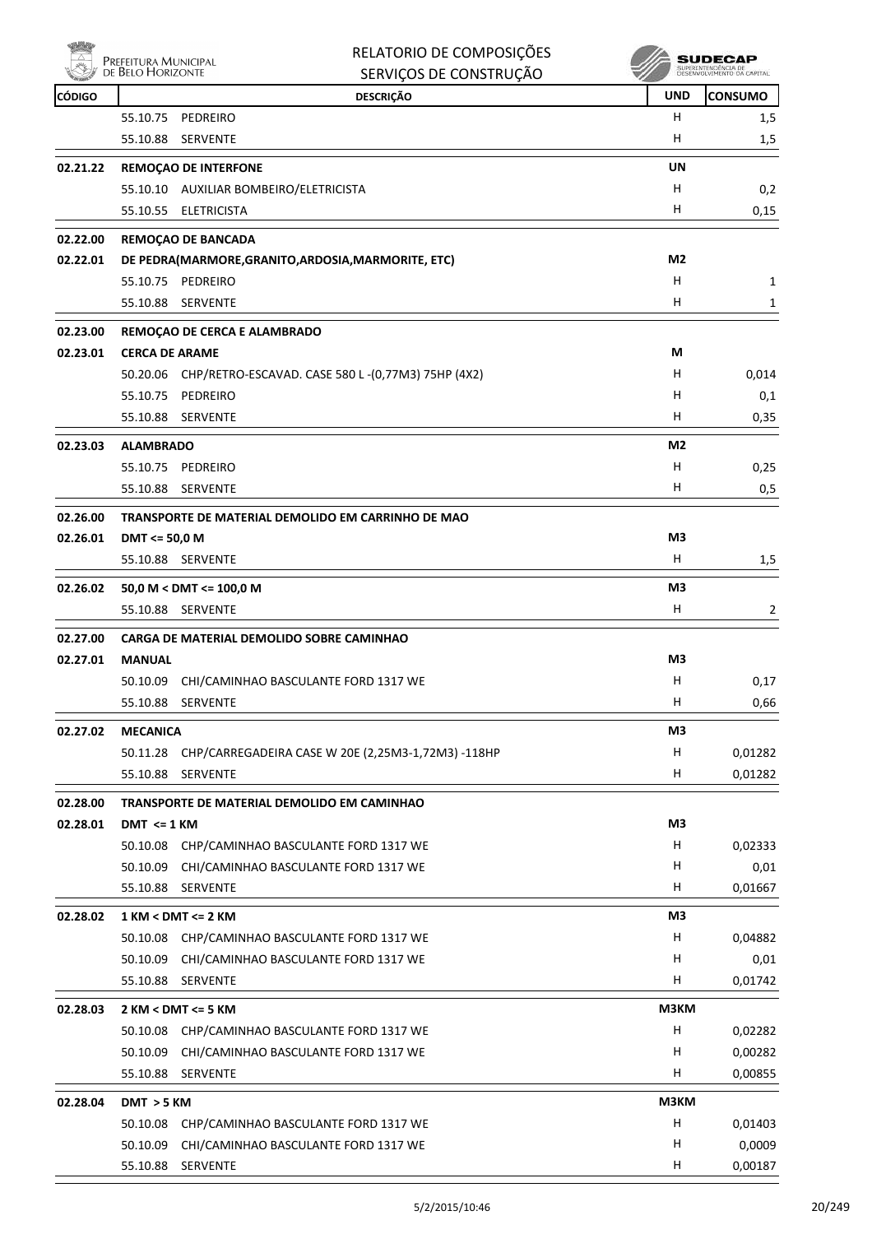|               | Prefeitura Municipal<br>de Belo Horizonte | RELATORIO DE COMPOSIÇÕES<br>SERVIÇOS DE CONSTRUÇÃO             |                | SUDECAI<br>SUPERINTENDENCIA DE<br>DESENVOLVIMENTO DA CAPITAL |
|---------------|-------------------------------------------|----------------------------------------------------------------|----------------|--------------------------------------------------------------|
| <b>CÓDIGO</b> |                                           | <b>DESCRIÇÃO</b>                                               | <b>UND</b>     | <b>CONSUMO</b>                                               |
|               | 55.10.75                                  | PEDREIRO                                                       | H              | 1,5                                                          |
|               | 55.10.88                                  | SERVENTE                                                       | н              | 1,5                                                          |
| 02.21.22      |                                           | <b>REMOÇAO DE INTERFONE</b>                                    | UN             |                                                              |
|               |                                           | 55.10.10 AUXILIAR BOMBEIRO/ELETRICISTA                         | н              | 0,2                                                          |
|               |                                           | 55.10.55 ELETRICISTA                                           | H              | 0,15                                                         |
| 02.22.00      |                                           | <b>REMOCAO DE BANCADA</b>                                      |                |                                                              |
| 02.22.01      |                                           | DE PEDRA(MARMORE, GRANITO, ARDOSIA, MARMORITE, ETC)            | M2             |                                                              |
|               |                                           | 55.10.75 PEDREIRO                                              | н              | 1                                                            |
|               | 55.10.88                                  | SERVENTE                                                       | H              | 1                                                            |
|               |                                           |                                                                |                |                                                              |
| 02.23.00      |                                           | REMOÇAO DE CERCA E ALAMBRADO                                   |                |                                                              |
| 02.23.01      | <b>CERCA DE ARAME</b>                     |                                                                | М              |                                                              |
|               |                                           | 50.20.06 CHP/RETRO-ESCAVAD. CASE 580 L-(0,77M3) 75HP (4X2)     | н              | 0,014                                                        |
|               | 55.10.75                                  | PEDREIRO                                                       | н<br>H         | 0,1                                                          |
|               |                                           | 55.10.88 SERVENTE                                              |                | 0,35                                                         |
| 02.23.03      | <b>ALAMBRADO</b>                          |                                                                | M2             |                                                              |
|               | 55.10.75                                  | PEDREIRO                                                       | н              | 0,25                                                         |
|               |                                           | 55.10.88 SERVENTE                                              | H              | 0,5                                                          |
| 02.26.00      |                                           | TRANSPORTE DE MATERIAL DEMOLIDO EM CARRINHO DE MAO             |                |                                                              |
| 02.26.01      | DMT <= 50,0 M                             |                                                                | M3             |                                                              |
|               |                                           | 55.10.88 SERVENTE                                              | н              | 1,5                                                          |
| 02.26.02      |                                           | 50,0 M < DMT <= 100,0 M                                        | M3             |                                                              |
|               |                                           | 55.10.88 SERVENTE                                              | н              | 2                                                            |
| 02.27.00      |                                           | CARGA DE MATERIAL DEMOLIDO SOBRE CAMINHAO                      |                |                                                              |
| 02.27.01      | <b>MANUAL</b>                             |                                                                | M3             |                                                              |
|               |                                           | 50.10.09 CHI/CAMINHAO BASCULANTE FORD 1317 WE                  | н              | 0,17                                                         |
|               | 55.10.88                                  | SERVENTE                                                       | H              | 0,66                                                         |
|               |                                           |                                                                |                |                                                              |
| 02.27.02      | <b>MECANICA</b>                           |                                                                | M <sub>3</sub> |                                                              |
|               | 50.11.28<br>55.10.88                      | CHP/CARREGADEIRA CASE W 20E (2,25M3-1,72M3) -118HP<br>SERVENTE | H<br>н         | 0,01282<br>0,01282                                           |
|               |                                           |                                                                |                |                                                              |
| 02.28.00      |                                           | TRANSPORTE DE MATERIAL DEMOLIDO EM CAMINHAO                    |                |                                                              |
| 02.28.01      | $DMT \leq 1$ KM                           |                                                                | M3             |                                                              |
|               | 50.10.08                                  | CHP/CAMINHAO BASCULANTE FORD 1317 WE                           | н              | 0,02333                                                      |
|               | 50.10.09                                  | CHI/CAMINHAO BASCULANTE FORD 1317 WE                           | H              | 0,01                                                         |
|               | 55.10.88                                  | SERVENTE                                                       | н              | 0,01667                                                      |
| 02.28.02      |                                           | $1$ KM < DMT <= $2$ KM                                         | M3             |                                                              |
|               | 50.10.08                                  | CHP/CAMINHAO BASCULANTE FORD 1317 WE                           | H              | 0,04882                                                      |
|               | 50.10.09                                  | CHI/CAMINHAO BASCULANTE FORD 1317 WE                           | н              | 0,01                                                         |
|               |                                           | 55.10.88 SERVENTE                                              | н              | 0,01742                                                      |
| 02.28.03      |                                           | 2 KM < DMT <= 5 KM                                             | M3KM           |                                                              |
|               | 50.10.08                                  | CHP/CAMINHAO BASCULANTE FORD 1317 WE                           | Н              | 0,02282                                                      |
|               | 50.10.09                                  | CHI/CAMINHAO BASCULANTE FORD 1317 WE                           | н              | 0,00282                                                      |
|               |                                           | 55.10.88 SERVENTE                                              | H              | 0,00855                                                      |
| 02.28.04      | DMT > 5 KM                                |                                                                | M3KM           |                                                              |
|               | 50.10.08                                  | CHP/CAMINHAO BASCULANTE FORD 1317 WE                           | н              | 0,01403                                                      |
|               | 50.10.09                                  | CHI/CAMINHAO BASCULANTE FORD 1317 WE                           | н              | 0,0009                                                       |
|               |                                           | 55.10.88 SERVENTE                                              | н              | 0,00187                                                      |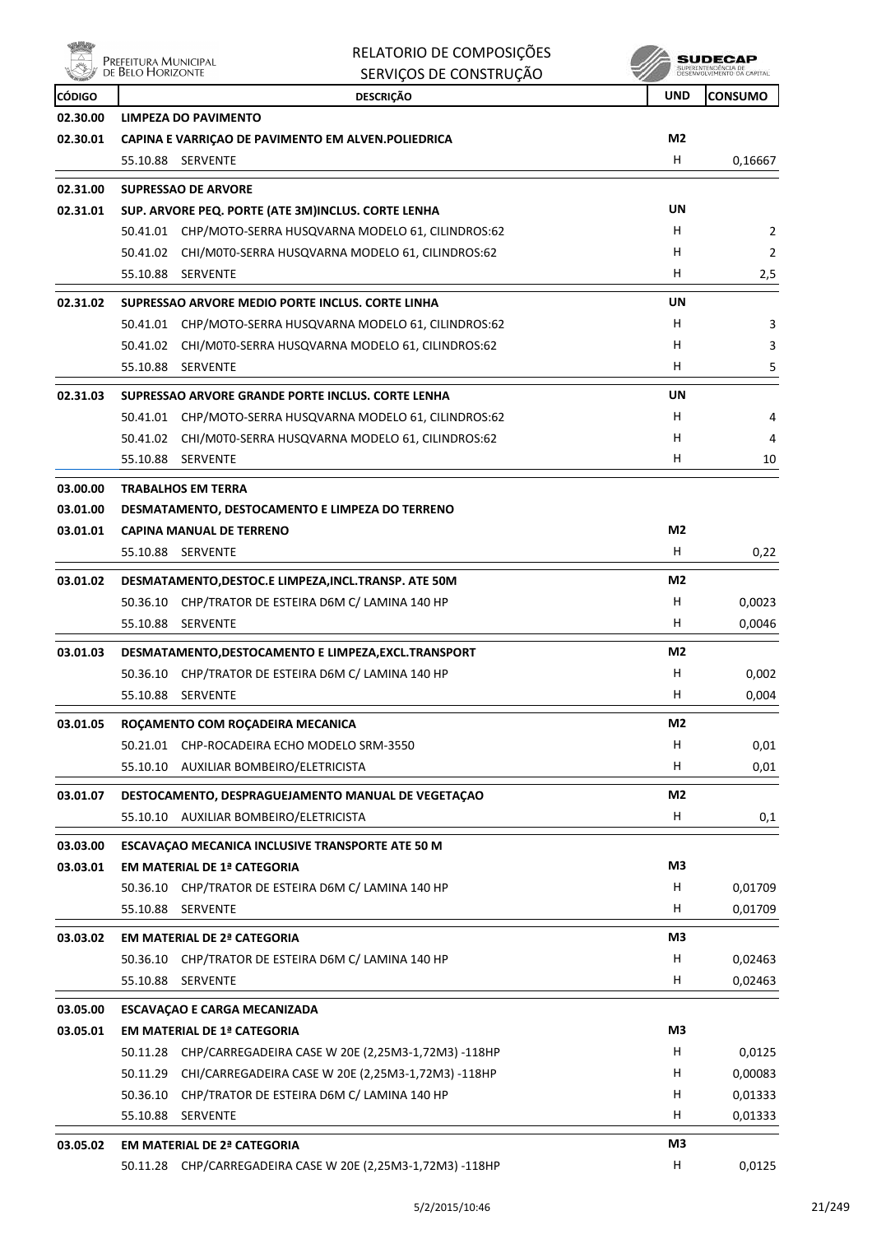

| Δ                    | RELATORIO DE COMPOSIÇÕES<br>PREFEITURA MUNICIPAL<br>DE BELO HORIZONTE                  |                | <b>SUDECAP</b><br>SUPERINTENDÊNCIA DE<br>DESENVOLVIMENTO DA CAPITAL |  |
|----------------------|----------------------------------------------------------------------------------------|----------------|---------------------------------------------------------------------|--|
| <b>CÓDIGO</b>        | SERVIÇOS DE CONSTRUÇÃO<br><b>DESCRIÇÃO</b>                                             | <b>UND</b>     | <b>CONSUMO</b>                                                      |  |
| 02.30.00             | LIMPEZA DO PAVIMENTO                                                                   |                |                                                                     |  |
| 02.30.01             | CAPINA E VARRIÇAO DE PAVIMENTO EM ALVEN. POLIEDRICA                                    | M2             |                                                                     |  |
|                      | 55.10.88 SERVENTE                                                                      | н              | 0,16667                                                             |  |
| 02.31.00             | <b>SUPRESSAO DE ARVORE</b>                                                             |                |                                                                     |  |
| 02.31.01             | SUP. ARVORE PEQ. PORTE (ATE 3M)INCLUS. CORTE LENHA                                     | UN             |                                                                     |  |
|                      | 50.41.01 CHP/MOTO-SERRA HUSQVARNA MODELO 61, CILINDROS:62                              | H              | 2                                                                   |  |
|                      | 50.41.02 CHI/M0T0-SERRA HUSQVARNA MODELO 61, CILINDROS:62                              | н              | $\overline{2}$                                                      |  |
|                      | 55.10.88 SERVENTE                                                                      | н              | 2,5                                                                 |  |
| 02.31.02             | SUPRESSAO ARVORE MEDIO PORTE INCLUS. CORTE LINHA                                       | UN             |                                                                     |  |
|                      | 50.41.01 CHP/MOTO-SERRA HUSQVARNA MODELO 61, CILINDROS:62                              | н              | 3                                                                   |  |
|                      | 50.41.02 CHI/M0T0-SERRA HUSQVARNA MODELO 61, CILINDROS:62                              | н              | 3                                                                   |  |
|                      | 55.10.88<br><b>SERVENTE</b>                                                            | н              | 5                                                                   |  |
| 02.31.03             | SUPRESSAO ARVORE GRANDE PORTE INCLUS. CORTE LENHA                                      | UN             |                                                                     |  |
|                      | 50.41.01 CHP/MOTO-SERRA HUSQVARNA MODELO 61, CILINDROS:62                              | н              | 4                                                                   |  |
|                      | 50.41.02 CHI/M0T0-SERRA HUSQVARNA MODELO 61, CILINDROS:62                              | н              | 4                                                                   |  |
|                      | 55.10.88 SERVENTE                                                                      | H              | 10                                                                  |  |
| 03.00.00             | <b>TRABALHOS EM TERRA</b>                                                              |                |                                                                     |  |
| 03.01.00             | DESMATAMENTO, DESTOCAMENTO E LIMPEZA DO TERRENO                                        |                |                                                                     |  |
| 03.01.01             | <b>CAPINA MANUAL DE TERRENO</b>                                                        | M <sub>2</sub> |                                                                     |  |
|                      | 55.10.88 SERVENTE                                                                      | H              | 0,22                                                                |  |
| 03.01.02             | DESMATAMENTO, DESTOC.E LIMPEZA, INCL. TRANSP. ATE 50M                                  | M <sub>2</sub> |                                                                     |  |
|                      | 50.36.10 CHP/TRATOR DE ESTEIRA D6M C/ LAMINA 140 HP                                    | н              | 0,0023                                                              |  |
|                      | 55.10.88<br>SERVENTE                                                                   | н              | 0,0046                                                              |  |
| 03.01.03             | DESMATAMENTO, DESTOCAMENTO E LIMPEZA, EXCL. TRANSPORT                                  | M <sub>2</sub> |                                                                     |  |
|                      | CHP/TRATOR DE ESTEIRA D6M C/ LAMINA 140 HP<br>50.36.10                                 | н              | 0,002                                                               |  |
|                      | 55.10.88<br>SERVENTE                                                                   | н              | 0,004                                                               |  |
| 03.01.05             | ROÇAMENTO COM ROÇADEIRA MECANICA                                                       | M2             |                                                                     |  |
|                      | 50.21.01 CHP-ROCADEIRA ECHO MODELO SRM-3550                                            | H              | 0,01                                                                |  |
|                      | 55.10.10 AUXILIAR BOMBEIRO/ELETRICISTA                                                 | H              | 0,01                                                                |  |
| 03.01.07             | DESTOCAMENTO, DESPRAGUEJAMENTO MANUAL DE VEGETAÇÃO                                     | M2             |                                                                     |  |
|                      | AUXILIAR BOMBEIRO/ELETRICISTA<br>55.10.10                                              | Н              | 0,1                                                                 |  |
|                      |                                                                                        |                |                                                                     |  |
| 03.03.00<br>03.03.01 | ESCAVAÇÃO MECANICA INCLUSIVE TRANSPORTE ATE 50 M<br><b>EM MATERIAL DE 1ª CATEGORIA</b> | M3             |                                                                     |  |
|                      | 50.36.10 CHP/TRATOR DE ESTEIRA D6M C/ LAMINA 140 HP                                    | H              | 0,01709                                                             |  |
|                      | 55.10.88 SERVENTE                                                                      | H              | 0,01709                                                             |  |
|                      |                                                                                        |                |                                                                     |  |
| 03.03.02             | <b>EM MATERIAL DE 2ª CATEGORIA</b>                                                     | M3<br>Н        |                                                                     |  |
|                      | 50.36.10 CHP/TRATOR DE ESTEIRA D6M C/ LAMINA 140 HP<br>55.10.88 SERVENTE               | H              | 0,02463<br>0,02463                                                  |  |
|                      |                                                                                        |                |                                                                     |  |
| 03.05.00             | <b>ESCAVAÇÃO E CARGA MECANIZADA</b>                                                    |                |                                                                     |  |
| 03.05.01             | <b>EM MATERIAL DE 1ª CATEGORIA</b>                                                     | M3             |                                                                     |  |
|                      | 50.11.28 CHP/CARREGADEIRA CASE W 20E (2,25M3-1,72M3) -118HP                            | H              | 0,0125                                                              |  |
|                      | 50.11.29 CHI/CARREGADEIRA CASE W 20E (2,25M3-1,72M3) -118HP                            | H<br>H         | 0,00083                                                             |  |
|                      | 50.36.10 CHP/TRATOR DE ESTEIRA D6M C/ LAMINA 140 HP<br>55.10.88<br>SERVENTE            | H              | 0,01333<br>0,01333                                                  |  |
|                      |                                                                                        |                |                                                                     |  |
| 03.05.02             | <b>EM MATERIAL DE 2ª CATEGORIA</b>                                                     | M3             |                                                                     |  |
|                      | 50.11.28 CHP/CARREGADEIRA CASE W 20E (2,25M3-1,72M3) -118HP                            | H              | 0,0125                                                              |  |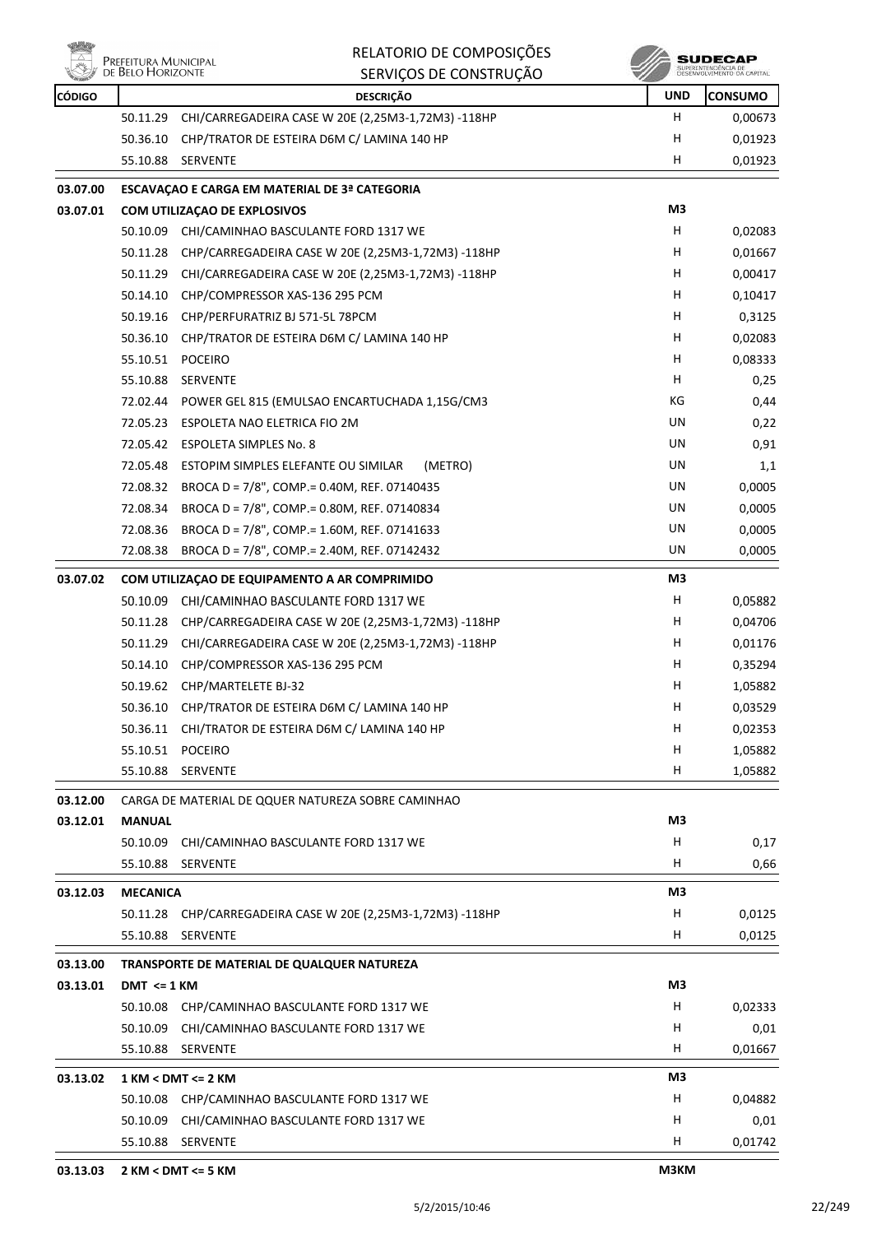



| <b>CÓDIGO</b> |                 | <b>DESCRIÇÃO</b>                                            | <b>UND</b> | <b>CONSUMO</b> |
|---------------|-----------------|-------------------------------------------------------------|------------|----------------|
|               | 50.11.29        | CHI/CARREGADEIRA CASE W 20E (2,25M3-1,72M3) -118HP          | H.         | 0,00673        |
|               | 50.36.10        | CHP/TRATOR DE ESTEIRA D6M C/ LAMINA 140 HP                  | н          | 0,01923        |
|               | 55.10.88        | SERVENTE                                                    | H          | 0,01923        |
| 03.07.00      |                 | ESCAVAÇÃO E CARGA EM MATERIAL DE 3ª CATEGORIA               |            |                |
| 03.07.01      |                 | COM UTILIZAÇÃO DE EXPLOSIVOS                                | M3         |                |
|               | 50.10.09        | CHI/CAMINHAO BASCULANTE FORD 1317 WE                        | H          | 0,02083        |
|               | 50.11.28        | CHP/CARREGADEIRA CASE W 20E (2,25M3-1,72M3) -118HP          | н          | 0,01667        |
|               | 50.11.29        | CHI/CARREGADEIRA CASE W 20E (2,25M3-1,72M3) -118HP          | H          | 0,00417        |
|               | 50.14.10        | CHP/COMPRESSOR XAS-136 295 PCM                              | H          | 0,10417        |
|               | 50.19.16        | CHP/PERFURATRIZ BJ 571-5L 78PCM                             | H          | 0,3125         |
|               | 50.36.10        | CHP/TRATOR DE ESTEIRA D6M C/ LAMINA 140 HP                  | H.         | 0,02083        |
|               | 55.10.51        | <b>POCEIRO</b>                                              | H          | 0,08333        |
|               | 55.10.88        | <b>SERVENTE</b>                                             | H          | 0,25           |
|               | 72.02.44        | POWER GEL 815 (EMULSAO ENCARTUCHADA 1,15G/CM3               | КG         | 0,44           |
|               | 72.05.23        | ESPOLETA NAO ELETRICA FIO 2M                                | UN         | 0,22           |
|               | 72.05.42        | <b>ESPOLETA SIMPLES No. 8</b>                               | UN         | 0,91           |
|               | 72.05.48        | ESTOPIM SIMPLES ELEFANTE OU SIMILAR<br>(METRO)              | UN         | 1,1            |
|               | 72.08.32        | BROCA D = 7/8", COMP. = 0.40M, REF. 07140435                | UN         | 0,0005         |
|               | 72.08.34        | BROCA D = 7/8", COMP.= 0.80M, REF. 07140834                 | UN         | 0,0005         |
|               | 72.08.36        | BROCA D = 7/8", COMP.= 1.60M, REF. 07141633                 | UN         | 0,0005         |
|               | 72.08.38        | BROCA D = 7/8", COMP. = 2.40M, REF. 07142432                | UN         | 0,0005         |
| 03.07.02      |                 | COM UTILIZAÇÃO DE EQUIPAMENTO A AR COMPRIMIDO               | M3         |                |
|               | 50.10.09        | CHI/CAMINHAO BASCULANTE FORD 1317 WE                        | н          | 0,05882        |
|               | 50.11.28        | CHP/CARREGADEIRA CASE W 20E (2,25M3-1,72M3) -118HP          | H          | 0,04706        |
|               | 50.11.29        | CHI/CARREGADEIRA CASE W 20E (2,25M3-1,72M3) -118HP          | H          | 0,01176        |
|               | 50.14.10        | CHP/COMPRESSOR XAS-136 295 PCM                              | H          | 0,35294        |
|               | 50.19.62        | CHP/MARTELETE BJ-32                                         | H          | 1,05882        |
|               | 50.36.10        | CHP/TRATOR DE ESTEIRA D6M C/ LAMINA 140 HP                  | H          | 0,03529        |
|               |                 | 50.36.11 CHI/TRATOR DE ESTEIRA D6M C/ LAMINA 140 HP         | н          | 0,02353        |
|               | 55.10.51        | POCEIRO                                                     | H          | 1,05882        |
|               | 55.10.88        | <b>SERVENTE</b>                                             | H          | 1,05882        |
| 03.12.00      |                 | CARGA DE MATERIAL DE QQUER NATUREZA SOBRE CAMINHAO          |            |                |
| 03.12.01      | <b>MANUAL</b>   |                                                             | MЗ         |                |
|               | 50.10.09        | CHI/CAMINHAO BASCULANTE FORD 1317 WE                        | н          | 0,17           |
|               | 55.10.88        | SERVENTE                                                    | H          | 0,66           |
| 03.12.03      | <b>MECANICA</b> |                                                             | M3         |                |
|               |                 | 50.11.28 CHP/CARREGADEIRA CASE W 20E (2,25M3-1,72M3) -118HP | н          | 0,0125         |
|               | 55.10.88        | SERVENTE                                                    | H.         | 0,0125         |
| 03.13.00      |                 | TRANSPORTE DE MATERIAL DE QUALQUER NATUREZA                 |            |                |
| 03.13.01      | $DMT \leq 1$ KM |                                                             | M3         |                |
|               | 50.10.08        | CHP/CAMINHAO BASCULANTE FORD 1317 WE                        | H          | 0,02333        |
|               | 50.10.09        | CHI/CAMINHAO BASCULANTE FORD 1317 WE                        | H          | 0,01           |
|               | 55.10.88        | <b>SERVENTE</b>                                             | н          | 0,01667        |
| 03.13.02      |                 | 1 KM < DMT <= 2 KM                                          | M3         |                |
|               |                 | 50.10.08 CHP/CAMINHAO BASCULANTE FORD 1317 WE               | н          | 0,04882        |
|               | 50.10.09        | CHI/CAMINHAO BASCULANTE FORD 1317 WE                        | H          | 0,01           |
|               | 55.10.88        | SERVENTE                                                    | H          | 0,01742        |
|               |                 |                                                             |            |                |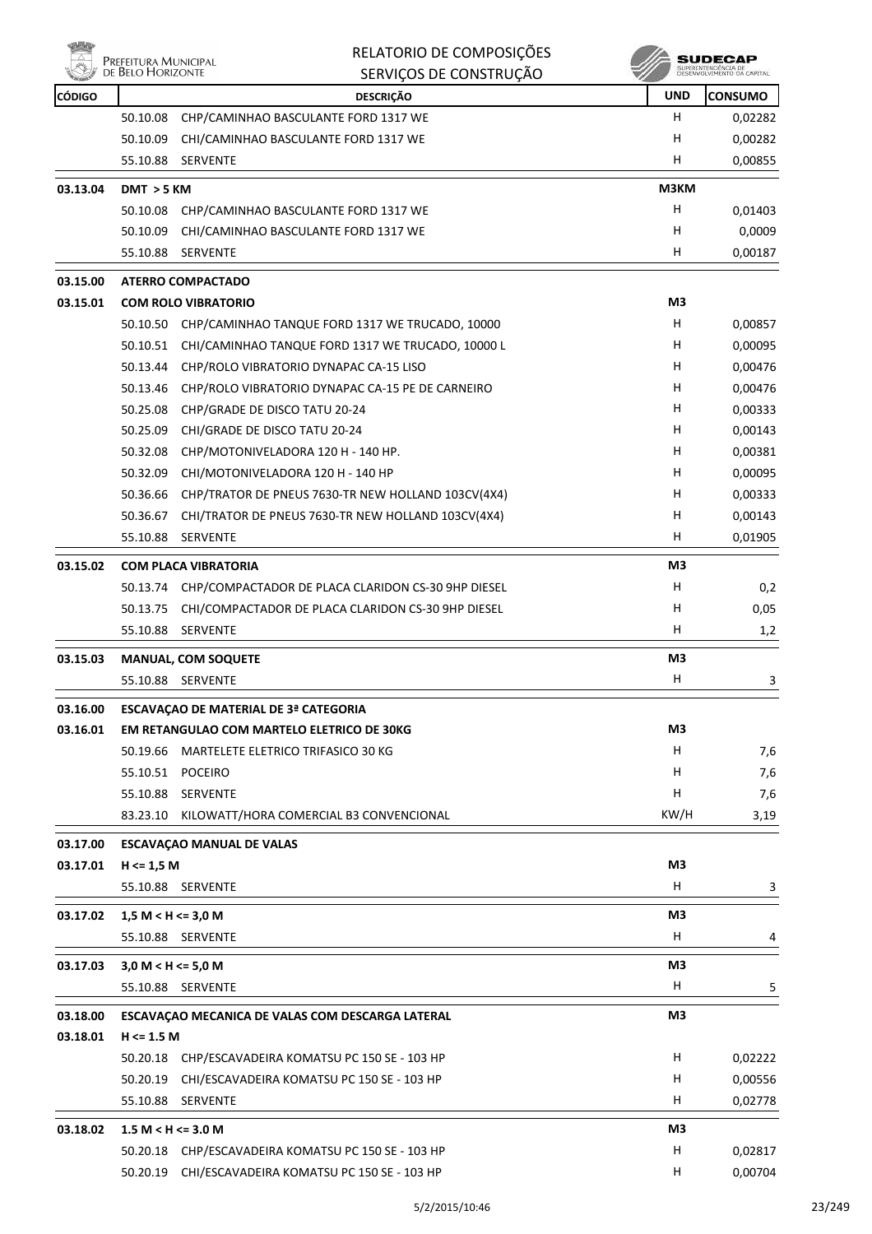



| <b>CÓDIGO</b> |                        | <b>DESCRIÇÃO</b>                                                                                                  | <b>UND</b>     | <b>CONSUMO</b> |
|---------------|------------------------|-------------------------------------------------------------------------------------------------------------------|----------------|----------------|
|               | 50.10.08               | CHP/CAMINHAO BASCULANTE FORD 1317 WE                                                                              | H              | 0,02282        |
|               | 50.10.09               | CHI/CAMINHAO BASCULANTE FORD 1317 WE                                                                              | н              | 0,00282        |
|               | 55.10.88               | <b>SERVENTE</b>                                                                                                   | н              | 0,00855        |
| 03.13.04      | DMT > 5 KM             |                                                                                                                   | M3KM           |                |
|               | 50.10.08               | CHP/CAMINHAO BASCULANTE FORD 1317 WE                                                                              | Н              | 0,01403        |
|               | 50.10.09               | CHI/CAMINHAO BASCULANTE FORD 1317 WE                                                                              | н              | 0,0009         |
|               | 55.10.88               | <b>SERVENTE</b>                                                                                                   | н              | 0,00187        |
| 03.15.00      |                        | <b>ATERRO COMPACTADO</b>                                                                                          |                |                |
| 03.15.01      |                        | <b>COM ROLO VIBRATORIO</b>                                                                                        | M3             |                |
|               |                        | 50.10.50 CHP/CAMINHAO TANQUE FORD 1317 WE TRUCADO, 10000                                                          | H              | 0,00857        |
|               | 50.10.51               | CHI/CAMINHAO TANQUE FORD 1317 WE TRUCADO, 10000 L                                                                 | н              | 0,00095        |
|               | 50.13.44               | CHP/ROLO VIBRATORIO DYNAPAC CA-15 LISO                                                                            | н              | 0,00476        |
|               | 50.13.46               | CHP/ROLO VIBRATORIO DYNAPAC CA-15 PE DE CARNEIRO                                                                  | Н              | 0,00476        |
|               | 50.25.08               | CHP/GRADE DE DISCO TATU 20-24                                                                                     | Н              | 0,00333        |
|               | 50.25.09               | CHI/GRADE DE DISCO TATU 20-24                                                                                     | Н              | 0,00143        |
|               | 50.32.08               | CHP/MOTONIVELADORA 120 H - 140 HP.                                                                                | Н              | 0,00381        |
|               | 50.32.09               | CHI/MOTONIVELADORA 120 H - 140 HP                                                                                 | Н              | 0,00095        |
|               | 50.36.66               | CHP/TRATOR DE PNEUS 7630-TR NEW HOLLAND 103CV(4X4)                                                                | H              | 0,00333        |
|               | 50.36.67               | CHI/TRATOR DE PNEUS 7630-TR NEW HOLLAND 103CV(4X4)                                                                | H              | 0,00143        |
|               | 55.10.88               | <b>SERVENTE</b>                                                                                                   | н              | 0,01905        |
|               |                        | <b>COM PLACA VIBRATORIA</b>                                                                                       | M3             |                |
| 03.15.02      |                        |                                                                                                                   | н              |                |
|               | 50.13.75               | 50.13.74 CHP/COMPACTADOR DE PLACA CLARIDON CS-30 9HP DIESEL<br>CHI/COMPACTADOR DE PLACA CLARIDON CS-30 9HP DIESEL | н              | 0,2<br>0,05    |
|               | 55.10.88               | <b>SERVENTE</b>                                                                                                   | H              | 1,2            |
|               |                        |                                                                                                                   |                |                |
| 03.15.03      |                        | <b>MANUAL, COM SOQUETE</b>                                                                                        | M3             |                |
|               | 55.10.88               | SERVENTE                                                                                                          | H.             | 3              |
| 03.16.00      |                        | ESCAVAÇÃO DE MATERIAL DE 3ª CATEGORIA                                                                             |                |                |
| 03.16.01      |                        | EM RETANGULAO COM MARTELO ELETRICO DE 30KG                                                                        | M <sub>3</sub> |                |
|               | 50.19.66               | MARTELETE ELETRICO TRIFASICO 30 KG                                                                                | H              | 7,6            |
|               |                        | 55.10.51 POCEIRO                                                                                                  | н              | 7,6            |
|               | 55.10.88               | <b>SERVENTE</b>                                                                                                   | Н              | 7,6            |
|               | 83.23.10               | KILOWATT/HORA COMERCIAL B3 CONVENCIONAL                                                                           | KW/H           | 3,19           |
| 03.17.00      |                        | <b>ESCAVAÇÃO MANUAL DE VALAS</b>                                                                                  |                |                |
| 03.17.01      | $H \le 1,5 M$          |                                                                                                                   | M3             |                |
|               |                        | 55.10.88 SERVENTE                                                                                                 | H.             | 3              |
| 03.17.02      | $1,5 M < H \leq 3,0 M$ |                                                                                                                   | M3             |                |
|               |                        | 55.10.88 SERVENTE                                                                                                 | H              | 4              |
|               |                        |                                                                                                                   |                |                |
| 03.17.03      | 3,0 M < H < 5,0 M      |                                                                                                                   | M3             |                |
|               |                        | 55.10.88 SERVENTE                                                                                                 | H              | 5              |
| 03.18.00      |                        | ESCAVAÇÃO MECANICA DE VALAS COM DESCARGA LATERAL                                                                  | M <sub>3</sub> |                |
| 03.18.01      | $H \le 1.5 M$          |                                                                                                                   |                |                |
|               |                        | 50.20.18 CHP/ESCAVADEIRA KOMATSU PC 150 SE - 103 HP                                                               | H              | 0,02222        |
|               | 50.20.19               | CHI/ESCAVADEIRA KOMATSU PC 150 SE - 103 HP                                                                        | н              | 0,00556        |
|               | 55.10.88               | SERVENTE                                                                                                          | H              | 0,02778        |
| 03.18.02      | $1.5 M < H \leq 3.0 M$ |                                                                                                                   | M3             |                |
|               |                        | 50.20.18 CHP/ESCAVADEIRA KOMATSU PC 150 SE - 103 HP                                                               | н              | 0,02817        |
|               | 50.20.19               | CHI/ESCAVADEIRA KOMATSU PC 150 SE - 103 HP                                                                        | H              | 0,00704        |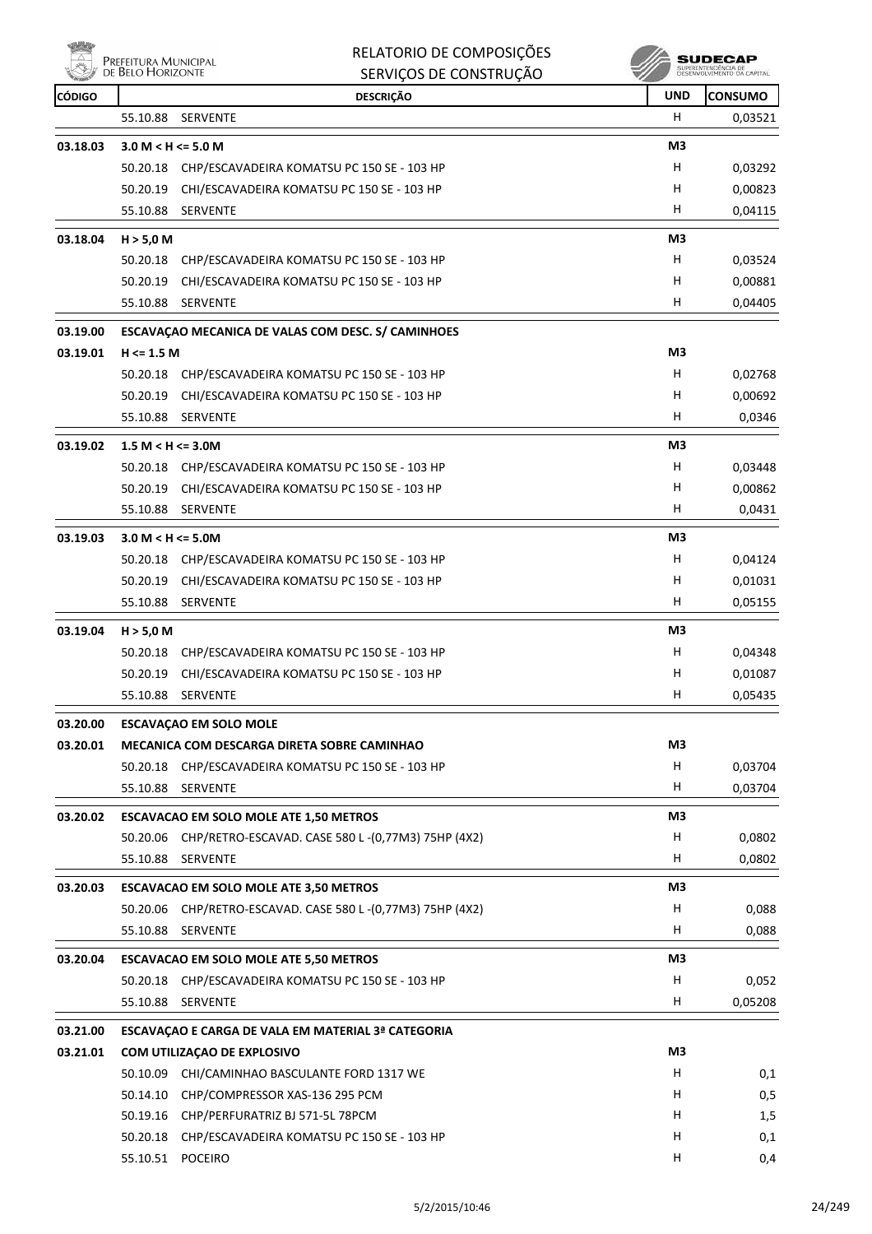| <b>DESCRIÇÃO</b><br><b>UND</b><br><b>CONSUMO</b><br>CÓDIGO<br>н<br>55.10.88<br><b>SERVENTE</b><br>0,03521<br>M3<br>03.18.03<br>3.0 M < H < 5.0 M<br>н<br>0,03292<br>50.20.18<br>CHP/ESCAVADEIRA KOMATSU PC 150 SE - 103 HP<br>0,00823<br>50.20.19<br>CHI/ESCAVADEIRA KOMATSU PC 150 SE - 103 HP<br>H<br>H<br>55.10.88<br>0,04115<br><b>SERVENTE</b><br>M3<br>03.18.04<br>H > 5,0 M<br>H<br>50.20.18<br>CHP/ESCAVADEIRA KOMATSU PC 150 SE - 103 HP<br>0,03524<br>H<br>50.20.19<br>0,00881<br>CHI/ESCAVADEIRA KOMATSU PC 150 SE - 103 HP<br>H<br>55.10.88<br><b>SERVENTE</b><br>0,04405<br>ESCAVAÇÃO MECANICA DE VALAS COM DESC. S/ CAMINHOES<br>03.19.00<br>M3<br>03.19.01<br>$H \le 1.5 M$<br>CHP/ESCAVADEIRA KOMATSU PC 150 SE - 103 HP<br>H<br>0,02768<br>50.20.18<br>50.20.19<br>CHI/ESCAVADEIRA KOMATSU PC 150 SE - 103 HP<br>H<br>0,00692<br>H<br>0,0346<br>55.10.88<br><b>SERVENTE</b><br>03.19.02<br>M3<br>$1.5 M < H \leq 3.0 M$<br>CHP/ESCAVADEIRA KOMATSU PC 150 SE - 103 HP<br>H<br>0,03448<br>50.20.18<br>н<br>50.20.19<br>CHI/ESCAVADEIRA KOMATSU PC 150 SE - 103 HP<br>0,00862<br>H<br>55.10.88<br><b>SERVENTE</b><br>0,0431<br>M3<br>03.19.03<br>$3.0 M < H \le 5.0 M$<br>H<br>0,04124<br>50.20.18<br>CHP/ESCAVADEIRA KOMATSU PC 150 SE - 103 HP<br>H<br>50.20.19<br>CHI/ESCAVADEIRA KOMATSU PC 150 SE - 103 HP<br>0,01031<br>55.10.88<br><b>SERVENTE</b><br>н<br>0,05155<br>M3<br>03.19.04<br>H > 5,0 M<br>H<br>CHP/ESCAVADEIRA KOMATSU PC 150 SE - 103 HP<br>0,04348<br>50.20.18<br>CHI/ESCAVADEIRA KOMATSU PC 150 SE - 103 HP<br>H<br>0,01087<br>50.20.19<br>н<br>0,05435<br>55.10.88 SERVENTE<br>03.20.00<br><b>ESCAVAÇÃO EM SOLO MOLE</b><br>M3<br>03.20.01<br>MECANICA COM DESCARGA DIRETA SOBRE CAMINHAO<br>н<br>0,03704<br>CHP/ESCAVADEIRA KOMATSU PC 150 SE - 103 HP<br>50.20.18<br>H<br>55.10.88<br>SERVENTE<br>0,03704<br>M3<br>03.20.02<br><b>ESCAVACAO EM SOLO MOLE ATE 1,50 METROS</b><br>CHP/RETRO-ESCAVAD. CASE 580 L-(0,77M3) 75HP (4X2)<br>H<br>0,0802<br>50.20.06<br>H<br>55.10.88<br>SERVENTE<br>0,0802<br>M3<br>03.20.03<br><b>ESCAVACAO EM SOLO MOLE ATE 3,50 METROS</b><br>50.20.06<br>CHP/RETRO-ESCAVAD. CASE 580 L-(0,77M3) 75HP (4X2)<br>H<br>0,088<br>H<br>55.10.88<br>SERVENTE<br>0,088<br>M3<br>03.20.04<br><b>ESCAVACAO EM SOLO MOLE ATE 5,50 METROS</b><br>CHP/ESCAVADEIRA KOMATSU PC 150 SE - 103 HP<br>H<br>0,052<br>50.20.18<br>H<br>0,05208<br>55.10.88<br>SERVENTE<br>03.21.00<br>ESCAVAÇÃO E CARGA DE VALA EM MATERIAL 3ª CATEGORIA<br>M3<br>03.21.01<br>COM UTILIZAÇÃO DE EXPLOSIVO<br>н<br>50.10.09<br>CHI/CAMINHAO BASCULANTE FORD 1317 WE<br>0,1<br>H<br>50.14.10<br>CHP/COMPRESSOR XAS-136 295 PCM<br>0,5<br>50.19.16 CHP/PERFURATRIZ BJ 571-5L 78PCM<br>H<br>1,5<br>H<br>50.20.18<br>CHP/ESCAVADEIRA KOMATSU PC 150 SE - 103 HP<br>0,1 | Prefeitura Municipal<br>de Belo Horizonte | RELATORIO DE COMPOSIÇÕES<br>SERVIÇOS DE CONSTRUÇÃO | SUPERINTENDÊNCIA DE<br>DESENVOLVIMENTO DA CAPITA |
|--------------------------------------------------------------------------------------------------------------------------------------------------------------------------------------------------------------------------------------------------------------------------------------------------------------------------------------------------------------------------------------------------------------------------------------------------------------------------------------------------------------------------------------------------------------------------------------------------------------------------------------------------------------------------------------------------------------------------------------------------------------------------------------------------------------------------------------------------------------------------------------------------------------------------------------------------------------------------------------------------------------------------------------------------------------------------------------------------------------------------------------------------------------------------------------------------------------------------------------------------------------------------------------------------------------------------------------------------------------------------------------------------------------------------------------------------------------------------------------------------------------------------------------------------------------------------------------------------------------------------------------------------------------------------------------------------------------------------------------------------------------------------------------------------------------------------------------------------------------------------------------------------------------------------------------------------------------------------------------------------------------------------------------------------------------------------------------------------------------------------------------------------------------------------------------------------------------------------------------------------------------------------------------------------------------------------------------------------------------------------------------------------------------------------------------------------------------------------------------------------------------------------------------------------------------------------------------------------------------------------------------------------------------------------------------------------------------------------------------------------------------------------------------------------|-------------------------------------------|----------------------------------------------------|--------------------------------------------------|
|                                                                                                                                                                                                                                                                                                                                                                                                                                                                                                                                                                                                                                                                                                                                                                                                                                                                                                                                                                                                                                                                                                                                                                                                                                                                                                                                                                                                                                                                                                                                                                                                                                                                                                                                                                                                                                                                                                                                                                                                                                                                                                                                                                                                                                                                                                                                                                                                                                                                                                                                                                                                                                                                                                                                                                                                  |                                           |                                                    |                                                  |
|                                                                                                                                                                                                                                                                                                                                                                                                                                                                                                                                                                                                                                                                                                                                                                                                                                                                                                                                                                                                                                                                                                                                                                                                                                                                                                                                                                                                                                                                                                                                                                                                                                                                                                                                                                                                                                                                                                                                                                                                                                                                                                                                                                                                                                                                                                                                                                                                                                                                                                                                                                                                                                                                                                                                                                                                  |                                           |                                                    |                                                  |
|                                                                                                                                                                                                                                                                                                                                                                                                                                                                                                                                                                                                                                                                                                                                                                                                                                                                                                                                                                                                                                                                                                                                                                                                                                                                                                                                                                                                                                                                                                                                                                                                                                                                                                                                                                                                                                                                                                                                                                                                                                                                                                                                                                                                                                                                                                                                                                                                                                                                                                                                                                                                                                                                                                                                                                                                  |                                           |                                                    |                                                  |
|                                                                                                                                                                                                                                                                                                                                                                                                                                                                                                                                                                                                                                                                                                                                                                                                                                                                                                                                                                                                                                                                                                                                                                                                                                                                                                                                                                                                                                                                                                                                                                                                                                                                                                                                                                                                                                                                                                                                                                                                                                                                                                                                                                                                                                                                                                                                                                                                                                                                                                                                                                                                                                                                                                                                                                                                  |                                           |                                                    |                                                  |
|                                                                                                                                                                                                                                                                                                                                                                                                                                                                                                                                                                                                                                                                                                                                                                                                                                                                                                                                                                                                                                                                                                                                                                                                                                                                                                                                                                                                                                                                                                                                                                                                                                                                                                                                                                                                                                                                                                                                                                                                                                                                                                                                                                                                                                                                                                                                                                                                                                                                                                                                                                                                                                                                                                                                                                                                  |                                           |                                                    |                                                  |
|                                                                                                                                                                                                                                                                                                                                                                                                                                                                                                                                                                                                                                                                                                                                                                                                                                                                                                                                                                                                                                                                                                                                                                                                                                                                                                                                                                                                                                                                                                                                                                                                                                                                                                                                                                                                                                                                                                                                                                                                                                                                                                                                                                                                                                                                                                                                                                                                                                                                                                                                                                                                                                                                                                                                                                                                  |                                           |                                                    |                                                  |
|                                                                                                                                                                                                                                                                                                                                                                                                                                                                                                                                                                                                                                                                                                                                                                                                                                                                                                                                                                                                                                                                                                                                                                                                                                                                                                                                                                                                                                                                                                                                                                                                                                                                                                                                                                                                                                                                                                                                                                                                                                                                                                                                                                                                                                                                                                                                                                                                                                                                                                                                                                                                                                                                                                                                                                                                  |                                           |                                                    |                                                  |
|                                                                                                                                                                                                                                                                                                                                                                                                                                                                                                                                                                                                                                                                                                                                                                                                                                                                                                                                                                                                                                                                                                                                                                                                                                                                                                                                                                                                                                                                                                                                                                                                                                                                                                                                                                                                                                                                                                                                                                                                                                                                                                                                                                                                                                                                                                                                                                                                                                                                                                                                                                                                                                                                                                                                                                                                  |                                           |                                                    |                                                  |
|                                                                                                                                                                                                                                                                                                                                                                                                                                                                                                                                                                                                                                                                                                                                                                                                                                                                                                                                                                                                                                                                                                                                                                                                                                                                                                                                                                                                                                                                                                                                                                                                                                                                                                                                                                                                                                                                                                                                                                                                                                                                                                                                                                                                                                                                                                                                                                                                                                                                                                                                                                                                                                                                                                                                                                                                  |                                           |                                                    |                                                  |
|                                                                                                                                                                                                                                                                                                                                                                                                                                                                                                                                                                                                                                                                                                                                                                                                                                                                                                                                                                                                                                                                                                                                                                                                                                                                                                                                                                                                                                                                                                                                                                                                                                                                                                                                                                                                                                                                                                                                                                                                                                                                                                                                                                                                                                                                                                                                                                                                                                                                                                                                                                                                                                                                                                                                                                                                  |                                           |                                                    |                                                  |
|                                                                                                                                                                                                                                                                                                                                                                                                                                                                                                                                                                                                                                                                                                                                                                                                                                                                                                                                                                                                                                                                                                                                                                                                                                                                                                                                                                                                                                                                                                                                                                                                                                                                                                                                                                                                                                                                                                                                                                                                                                                                                                                                                                                                                                                                                                                                                                                                                                                                                                                                                                                                                                                                                                                                                                                                  |                                           |                                                    |                                                  |
|                                                                                                                                                                                                                                                                                                                                                                                                                                                                                                                                                                                                                                                                                                                                                                                                                                                                                                                                                                                                                                                                                                                                                                                                                                                                                                                                                                                                                                                                                                                                                                                                                                                                                                                                                                                                                                                                                                                                                                                                                                                                                                                                                                                                                                                                                                                                                                                                                                                                                                                                                                                                                                                                                                                                                                                                  |                                           |                                                    |                                                  |
|                                                                                                                                                                                                                                                                                                                                                                                                                                                                                                                                                                                                                                                                                                                                                                                                                                                                                                                                                                                                                                                                                                                                                                                                                                                                                                                                                                                                                                                                                                                                                                                                                                                                                                                                                                                                                                                                                                                                                                                                                                                                                                                                                                                                                                                                                                                                                                                                                                                                                                                                                                                                                                                                                                                                                                                                  |                                           |                                                    |                                                  |
|                                                                                                                                                                                                                                                                                                                                                                                                                                                                                                                                                                                                                                                                                                                                                                                                                                                                                                                                                                                                                                                                                                                                                                                                                                                                                                                                                                                                                                                                                                                                                                                                                                                                                                                                                                                                                                                                                                                                                                                                                                                                                                                                                                                                                                                                                                                                                                                                                                                                                                                                                                                                                                                                                                                                                                                                  |                                           |                                                    |                                                  |
|                                                                                                                                                                                                                                                                                                                                                                                                                                                                                                                                                                                                                                                                                                                                                                                                                                                                                                                                                                                                                                                                                                                                                                                                                                                                                                                                                                                                                                                                                                                                                                                                                                                                                                                                                                                                                                                                                                                                                                                                                                                                                                                                                                                                                                                                                                                                                                                                                                                                                                                                                                                                                                                                                                                                                                                                  |                                           |                                                    |                                                  |
|                                                                                                                                                                                                                                                                                                                                                                                                                                                                                                                                                                                                                                                                                                                                                                                                                                                                                                                                                                                                                                                                                                                                                                                                                                                                                                                                                                                                                                                                                                                                                                                                                                                                                                                                                                                                                                                                                                                                                                                                                                                                                                                                                                                                                                                                                                                                                                                                                                                                                                                                                                                                                                                                                                                                                                                                  |                                           |                                                    |                                                  |
|                                                                                                                                                                                                                                                                                                                                                                                                                                                                                                                                                                                                                                                                                                                                                                                                                                                                                                                                                                                                                                                                                                                                                                                                                                                                                                                                                                                                                                                                                                                                                                                                                                                                                                                                                                                                                                                                                                                                                                                                                                                                                                                                                                                                                                                                                                                                                                                                                                                                                                                                                                                                                                                                                                                                                                                                  |                                           |                                                    |                                                  |
|                                                                                                                                                                                                                                                                                                                                                                                                                                                                                                                                                                                                                                                                                                                                                                                                                                                                                                                                                                                                                                                                                                                                                                                                                                                                                                                                                                                                                                                                                                                                                                                                                                                                                                                                                                                                                                                                                                                                                                                                                                                                                                                                                                                                                                                                                                                                                                                                                                                                                                                                                                                                                                                                                                                                                                                                  |                                           |                                                    |                                                  |
|                                                                                                                                                                                                                                                                                                                                                                                                                                                                                                                                                                                                                                                                                                                                                                                                                                                                                                                                                                                                                                                                                                                                                                                                                                                                                                                                                                                                                                                                                                                                                                                                                                                                                                                                                                                                                                                                                                                                                                                                                                                                                                                                                                                                                                                                                                                                                                                                                                                                                                                                                                                                                                                                                                                                                                                                  |                                           |                                                    |                                                  |
|                                                                                                                                                                                                                                                                                                                                                                                                                                                                                                                                                                                                                                                                                                                                                                                                                                                                                                                                                                                                                                                                                                                                                                                                                                                                                                                                                                                                                                                                                                                                                                                                                                                                                                                                                                                                                                                                                                                                                                                                                                                                                                                                                                                                                                                                                                                                                                                                                                                                                                                                                                                                                                                                                                                                                                                                  |                                           |                                                    |                                                  |
|                                                                                                                                                                                                                                                                                                                                                                                                                                                                                                                                                                                                                                                                                                                                                                                                                                                                                                                                                                                                                                                                                                                                                                                                                                                                                                                                                                                                                                                                                                                                                                                                                                                                                                                                                                                                                                                                                                                                                                                                                                                                                                                                                                                                                                                                                                                                                                                                                                                                                                                                                                                                                                                                                                                                                                                                  |                                           |                                                    |                                                  |
|                                                                                                                                                                                                                                                                                                                                                                                                                                                                                                                                                                                                                                                                                                                                                                                                                                                                                                                                                                                                                                                                                                                                                                                                                                                                                                                                                                                                                                                                                                                                                                                                                                                                                                                                                                                                                                                                                                                                                                                                                                                                                                                                                                                                                                                                                                                                                                                                                                                                                                                                                                                                                                                                                                                                                                                                  |                                           |                                                    |                                                  |
|                                                                                                                                                                                                                                                                                                                                                                                                                                                                                                                                                                                                                                                                                                                                                                                                                                                                                                                                                                                                                                                                                                                                                                                                                                                                                                                                                                                                                                                                                                                                                                                                                                                                                                                                                                                                                                                                                                                                                                                                                                                                                                                                                                                                                                                                                                                                                                                                                                                                                                                                                                                                                                                                                                                                                                                                  |                                           |                                                    |                                                  |
|                                                                                                                                                                                                                                                                                                                                                                                                                                                                                                                                                                                                                                                                                                                                                                                                                                                                                                                                                                                                                                                                                                                                                                                                                                                                                                                                                                                                                                                                                                                                                                                                                                                                                                                                                                                                                                                                                                                                                                                                                                                                                                                                                                                                                                                                                                                                                                                                                                                                                                                                                                                                                                                                                                                                                                                                  |                                           |                                                    |                                                  |
|                                                                                                                                                                                                                                                                                                                                                                                                                                                                                                                                                                                                                                                                                                                                                                                                                                                                                                                                                                                                                                                                                                                                                                                                                                                                                                                                                                                                                                                                                                                                                                                                                                                                                                                                                                                                                                                                                                                                                                                                                                                                                                                                                                                                                                                                                                                                                                                                                                                                                                                                                                                                                                                                                                                                                                                                  |                                           |                                                    |                                                  |
|                                                                                                                                                                                                                                                                                                                                                                                                                                                                                                                                                                                                                                                                                                                                                                                                                                                                                                                                                                                                                                                                                                                                                                                                                                                                                                                                                                                                                                                                                                                                                                                                                                                                                                                                                                                                                                                                                                                                                                                                                                                                                                                                                                                                                                                                                                                                                                                                                                                                                                                                                                                                                                                                                                                                                                                                  |                                           |                                                    |                                                  |
|                                                                                                                                                                                                                                                                                                                                                                                                                                                                                                                                                                                                                                                                                                                                                                                                                                                                                                                                                                                                                                                                                                                                                                                                                                                                                                                                                                                                                                                                                                                                                                                                                                                                                                                                                                                                                                                                                                                                                                                                                                                                                                                                                                                                                                                                                                                                                                                                                                                                                                                                                                                                                                                                                                                                                                                                  |                                           |                                                    |                                                  |
|                                                                                                                                                                                                                                                                                                                                                                                                                                                                                                                                                                                                                                                                                                                                                                                                                                                                                                                                                                                                                                                                                                                                                                                                                                                                                                                                                                                                                                                                                                                                                                                                                                                                                                                                                                                                                                                                                                                                                                                                                                                                                                                                                                                                                                                                                                                                                                                                                                                                                                                                                                                                                                                                                                                                                                                                  |                                           |                                                    |                                                  |
|                                                                                                                                                                                                                                                                                                                                                                                                                                                                                                                                                                                                                                                                                                                                                                                                                                                                                                                                                                                                                                                                                                                                                                                                                                                                                                                                                                                                                                                                                                                                                                                                                                                                                                                                                                                                                                                                                                                                                                                                                                                                                                                                                                                                                                                                                                                                                                                                                                                                                                                                                                                                                                                                                                                                                                                                  |                                           |                                                    |                                                  |
|                                                                                                                                                                                                                                                                                                                                                                                                                                                                                                                                                                                                                                                                                                                                                                                                                                                                                                                                                                                                                                                                                                                                                                                                                                                                                                                                                                                                                                                                                                                                                                                                                                                                                                                                                                                                                                                                                                                                                                                                                                                                                                                                                                                                                                                                                                                                                                                                                                                                                                                                                                                                                                                                                                                                                                                                  |                                           |                                                    |                                                  |
|                                                                                                                                                                                                                                                                                                                                                                                                                                                                                                                                                                                                                                                                                                                                                                                                                                                                                                                                                                                                                                                                                                                                                                                                                                                                                                                                                                                                                                                                                                                                                                                                                                                                                                                                                                                                                                                                                                                                                                                                                                                                                                                                                                                                                                                                                                                                                                                                                                                                                                                                                                                                                                                                                                                                                                                                  |                                           |                                                    |                                                  |
|                                                                                                                                                                                                                                                                                                                                                                                                                                                                                                                                                                                                                                                                                                                                                                                                                                                                                                                                                                                                                                                                                                                                                                                                                                                                                                                                                                                                                                                                                                                                                                                                                                                                                                                                                                                                                                                                                                                                                                                                                                                                                                                                                                                                                                                                                                                                                                                                                                                                                                                                                                                                                                                                                                                                                                                                  |                                           |                                                    |                                                  |
|                                                                                                                                                                                                                                                                                                                                                                                                                                                                                                                                                                                                                                                                                                                                                                                                                                                                                                                                                                                                                                                                                                                                                                                                                                                                                                                                                                                                                                                                                                                                                                                                                                                                                                                                                                                                                                                                                                                                                                                                                                                                                                                                                                                                                                                                                                                                                                                                                                                                                                                                                                                                                                                                                                                                                                                                  |                                           |                                                    |                                                  |
|                                                                                                                                                                                                                                                                                                                                                                                                                                                                                                                                                                                                                                                                                                                                                                                                                                                                                                                                                                                                                                                                                                                                                                                                                                                                                                                                                                                                                                                                                                                                                                                                                                                                                                                                                                                                                                                                                                                                                                                                                                                                                                                                                                                                                                                                                                                                                                                                                                                                                                                                                                                                                                                                                                                                                                                                  |                                           |                                                    |                                                  |
|                                                                                                                                                                                                                                                                                                                                                                                                                                                                                                                                                                                                                                                                                                                                                                                                                                                                                                                                                                                                                                                                                                                                                                                                                                                                                                                                                                                                                                                                                                                                                                                                                                                                                                                                                                                                                                                                                                                                                                                                                                                                                                                                                                                                                                                                                                                                                                                                                                                                                                                                                                                                                                                                                                                                                                                                  |                                           |                                                    |                                                  |
|                                                                                                                                                                                                                                                                                                                                                                                                                                                                                                                                                                                                                                                                                                                                                                                                                                                                                                                                                                                                                                                                                                                                                                                                                                                                                                                                                                                                                                                                                                                                                                                                                                                                                                                                                                                                                                                                                                                                                                                                                                                                                                                                                                                                                                                                                                                                                                                                                                                                                                                                                                                                                                                                                                                                                                                                  |                                           |                                                    |                                                  |
|                                                                                                                                                                                                                                                                                                                                                                                                                                                                                                                                                                                                                                                                                                                                                                                                                                                                                                                                                                                                                                                                                                                                                                                                                                                                                                                                                                                                                                                                                                                                                                                                                                                                                                                                                                                                                                                                                                                                                                                                                                                                                                                                                                                                                                                                                                                                                                                                                                                                                                                                                                                                                                                                                                                                                                                                  |                                           |                                                    |                                                  |
|                                                                                                                                                                                                                                                                                                                                                                                                                                                                                                                                                                                                                                                                                                                                                                                                                                                                                                                                                                                                                                                                                                                                                                                                                                                                                                                                                                                                                                                                                                                                                                                                                                                                                                                                                                                                                                                                                                                                                                                                                                                                                                                                                                                                                                                                                                                                                                                                                                                                                                                                                                                                                                                                                                                                                                                                  |                                           |                                                    |                                                  |
|                                                                                                                                                                                                                                                                                                                                                                                                                                                                                                                                                                                                                                                                                                                                                                                                                                                                                                                                                                                                                                                                                                                                                                                                                                                                                                                                                                                                                                                                                                                                                                                                                                                                                                                                                                                                                                                                                                                                                                                                                                                                                                                                                                                                                                                                                                                                                                                                                                                                                                                                                                                                                                                                                                                                                                                                  |                                           |                                                    |                                                  |
|                                                                                                                                                                                                                                                                                                                                                                                                                                                                                                                                                                                                                                                                                                                                                                                                                                                                                                                                                                                                                                                                                                                                                                                                                                                                                                                                                                                                                                                                                                                                                                                                                                                                                                                                                                                                                                                                                                                                                                                                                                                                                                                                                                                                                                                                                                                                                                                                                                                                                                                                                                                                                                                                                                                                                                                                  |                                           |                                                    |                                                  |
|                                                                                                                                                                                                                                                                                                                                                                                                                                                                                                                                                                                                                                                                                                                                                                                                                                                                                                                                                                                                                                                                                                                                                                                                                                                                                                                                                                                                                                                                                                                                                                                                                                                                                                                                                                                                                                                                                                                                                                                                                                                                                                                                                                                                                                                                                                                                                                                                                                                                                                                                                                                                                                                                                                                                                                                                  |                                           |                                                    |                                                  |
|                                                                                                                                                                                                                                                                                                                                                                                                                                                                                                                                                                                                                                                                                                                                                                                                                                                                                                                                                                                                                                                                                                                                                                                                                                                                                                                                                                                                                                                                                                                                                                                                                                                                                                                                                                                                                                                                                                                                                                                                                                                                                                                                                                                                                                                                                                                                                                                                                                                                                                                                                                                                                                                                                                                                                                                                  |                                           |                                                    |                                                  |
|                                                                                                                                                                                                                                                                                                                                                                                                                                                                                                                                                                                                                                                                                                                                                                                                                                                                                                                                                                                                                                                                                                                                                                                                                                                                                                                                                                                                                                                                                                                                                                                                                                                                                                                                                                                                                                                                                                                                                                                                                                                                                                                                                                                                                                                                                                                                                                                                                                                                                                                                                                                                                                                                                                                                                                                                  |                                           |                                                    |                                                  |
|                                                                                                                                                                                                                                                                                                                                                                                                                                                                                                                                                                                                                                                                                                                                                                                                                                                                                                                                                                                                                                                                                                                                                                                                                                                                                                                                                                                                                                                                                                                                                                                                                                                                                                                                                                                                                                                                                                                                                                                                                                                                                                                                                                                                                                                                                                                                                                                                                                                                                                                                                                                                                                                                                                                                                                                                  |                                           |                                                    |                                                  |
|                                                                                                                                                                                                                                                                                                                                                                                                                                                                                                                                                                                                                                                                                                                                                                                                                                                                                                                                                                                                                                                                                                                                                                                                                                                                                                                                                                                                                                                                                                                                                                                                                                                                                                                                                                                                                                                                                                                                                                                                                                                                                                                                                                                                                                                                                                                                                                                                                                                                                                                                                                                                                                                                                                                                                                                                  |                                           |                                                    |                                                  |
|                                                                                                                                                                                                                                                                                                                                                                                                                                                                                                                                                                                                                                                                                                                                                                                                                                                                                                                                                                                                                                                                                                                                                                                                                                                                                                                                                                                                                                                                                                                                                                                                                                                                                                                                                                                                                                                                                                                                                                                                                                                                                                                                                                                                                                                                                                                                                                                                                                                                                                                                                                                                                                                                                                                                                                                                  |                                           |                                                    |                                                  |
|                                                                                                                                                                                                                                                                                                                                                                                                                                                                                                                                                                                                                                                                                                                                                                                                                                                                                                                                                                                                                                                                                                                                                                                                                                                                                                                                                                                                                                                                                                                                                                                                                                                                                                                                                                                                                                                                                                                                                                                                                                                                                                                                                                                                                                                                                                                                                                                                                                                                                                                                                                                                                                                                                                                                                                                                  |                                           |                                                    |                                                  |

55.10.51 POCEIRO H 0,4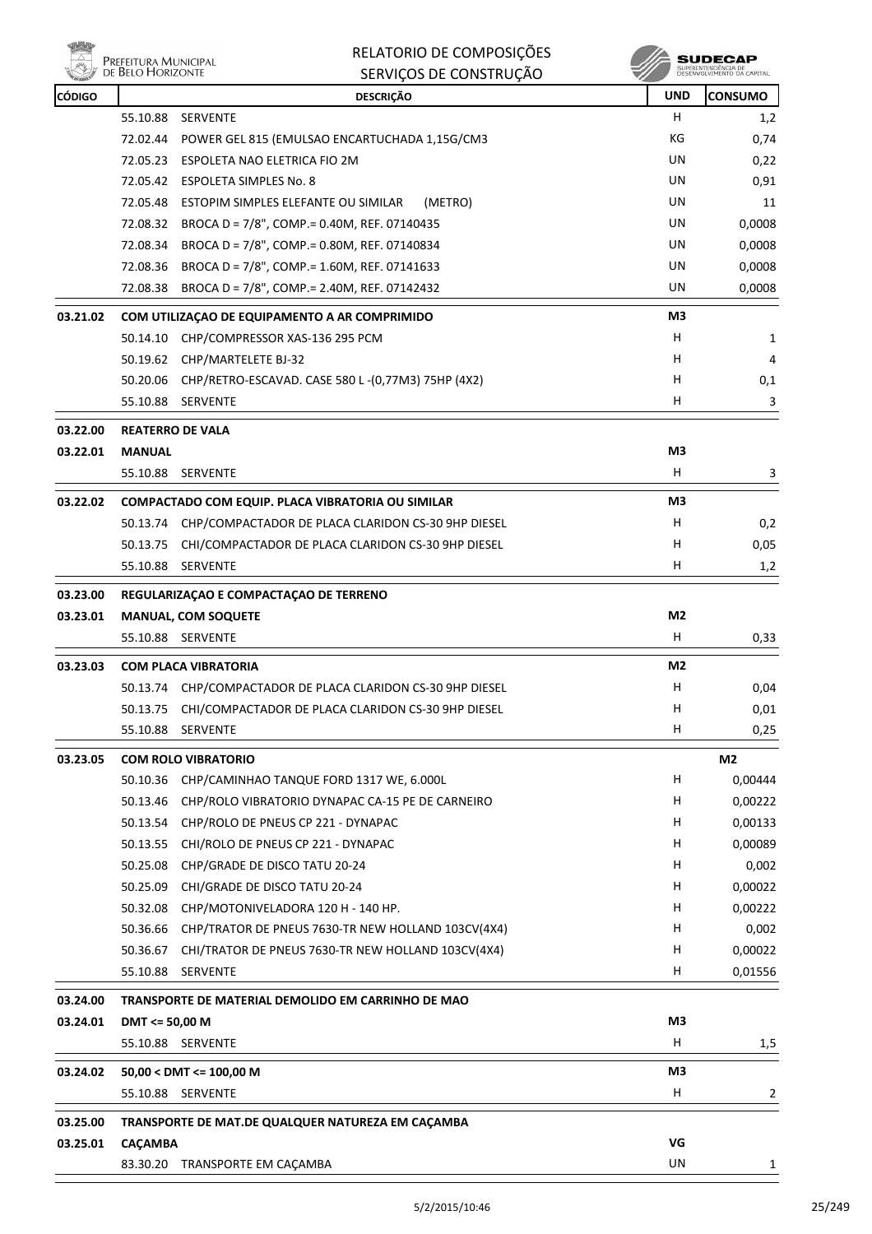

| <b>CÓDIGO</b> | <b>DESCRIÇÃO</b>                                               | <b>UND</b>     | <b>CONSUMO</b> |
|---------------|----------------------------------------------------------------|----------------|----------------|
|               | 55.10.88<br><b>SERVENTE</b>                                    | H.             | 1,2            |
|               | 72.02.44<br>POWER GEL 815 (EMULSAO ENCARTUCHADA 1,15G/CM3      | КG             | 0,74           |
|               | 72.05.23 ESPOLETA NAO ELETRICA FIO 2M                          | UN             | 0,22           |
|               | 72.05.42 ESPOLETA SIMPLES No. 8                                | UN             | 0,91           |
|               | 72.05.48 ESTOPIM SIMPLES ELEFANTE OU SIMILAR<br>(METRO)        | UN             | 11             |
|               | 72.08.32 BROCA D = 7/8", COMP.= 0.40M, REF. 07140435           | UN             | 0,0008         |
|               | 72.08.34<br>BROCA D = 7/8", COMP.= 0.80M, REF. 07140834        | UN             | 0,0008         |
|               | 72.08.36 BROCA D = 7/8", COMP.= 1.60M, REF. 07141633           | UN             | 0,0008         |
|               | BROCA D = 7/8", COMP.= 2.40M, REF. 07142432<br>72.08.38        | UN             | 0,0008         |
| 03.21.02      | COM UTILIZAÇÃO DE EQUIPAMENTO A AR COMPRIMIDO                  | M3             |                |
|               | 50.14.10<br>CHP/COMPRESSOR XAS-136 295 PCM                     | H.             | 1              |
|               | 50.19.62 CHP/MARTELETE BJ-32                                   | н              | 4              |
|               | 50.20.06 CHP/RETRO-ESCAVAD. CASE 580 L-(0,77M3) 75HP (4X2)     | H              | 0,1            |
|               | 55.10.88 SERVENTE                                              | H              | 3              |
| 03.22.00      | <b>REATERRO DE VALA</b>                                        |                |                |
| 03.22.01      | <b>MANUAL</b>                                                  | M3             |                |
|               | 55.10.88 SERVENTE                                              | H              | 3              |
| 03.22.02      | COMPACTADO COM EQUIP. PLACA VIBRATORIA OU SIMILAR              | M3             |                |
|               | 50.13.74 CHP/COMPACTADOR DE PLACA CLARIDON CS-30 9HP DIESEL    | H.             | 0,2            |
|               | 50.13.75 CHI/COMPACTADOR DE PLACA CLARIDON CS-30 9HP DIESEL    | H              | 0,05           |
|               | 55.10.88 SERVENTE                                              | н              | 1,2            |
| 03.23.00      | REGULARIZAÇÃO E COMPACTAÇÃO DE TERRENO                         |                |                |
| 03.23.01      | <b>MANUAL, COM SOQUETE</b>                                     | M <sub>2</sub> |                |
|               | 55.10.88 SERVENTE                                              | Н              | 0,33           |
| 03.23.03      | <b>COM PLACA VIBRATORIA</b>                                    | M2             |                |
|               | 50.13.74 CHP/COMPACTADOR DE PLACA CLARIDON CS-30 9HP DIESEL    | H              | 0,04           |
|               | 50.13.75<br>CHI/COMPACTADOR DE PLACA CLARIDON CS-30 9HP DIESEL | H              | 0,01           |
|               | 55.10.88 SERVENTE                                              | H.             | 0,25           |
| 03.23.05      | <b>COM ROLO VIBRATORIO</b>                                     |                | M <sub>2</sub> |
|               | 50.10.36<br>CHP/CAMINHAO TANQUE FORD 1317 WE, 6.000L           | H              | 0,00444        |
|               | 50.13.46<br>CHP/ROLO VIBRATORIO DYNAPAC CA-15 PE DE CARNEIRO   | н              | 0,00222        |
|               | 50.13.54<br>CHP/ROLO DE PNEUS CP 221 - DYNAPAC                 | H              | 0,00133        |
|               | 50.13.55<br>CHI/ROLO DE PNEUS CP 221 - DYNAPAC                 | H              | 0,00089        |
|               | 50.25.08<br>CHP/GRADE DE DISCO TATU 20-24                      | Н              | 0,002          |
|               | 50.25.09<br>CHI/GRADE DE DISCO TATU 20-24                      | H              | 0,00022        |
|               | 50.32.08<br>CHP/MOTONIVELADORA 120 H - 140 HP.                 | H              | 0,00222        |
|               | 50.36.66<br>CHP/TRATOR DE PNEUS 7630-TR NEW HOLLAND 103CV(4X4) | H              | 0,002          |
|               | 50.36.67<br>CHI/TRATOR DE PNEUS 7630-TR NEW HOLLAND 103CV(4X4) | н              | 0,00022        |
|               | 55.10.88<br>SERVENTE                                           | н              | 0,01556        |
| 03.24.00      | TRANSPORTE DE MATERIAL DEMOLIDO EM CARRINHO DE MAO             |                |                |
| 03.24.01      | DMT <= 50,00 M                                                 | M3             |                |
|               | 55.10.88 SERVENTE                                              | H              | 1,5            |
| 03.24.02      | $50,00 <$ DMT <= 100,00 M                                      | M3             |                |
|               | 55.10.88 SERVENTE                                              | Н              | 2              |
| 03.25.00      | TRANSPORTE DE MAT.DE QUALQUER NATUREZA EM CAÇAMBA              |                |                |
| 03.25.01      | CAÇAMBA                                                        | VG             |                |
|               | 83.30.20 TRANSPORTE EM CAÇAMBA                                 | UN             | 1              |
|               |                                                                |                |                |

 $\begin{array}{c} \textbf{SUBECAP} \\ \textbf{SUBREINTEROÉNCIA DE} \\ \textbf{DESEWOUNIENTO OA CAPTIAL} \end{array}$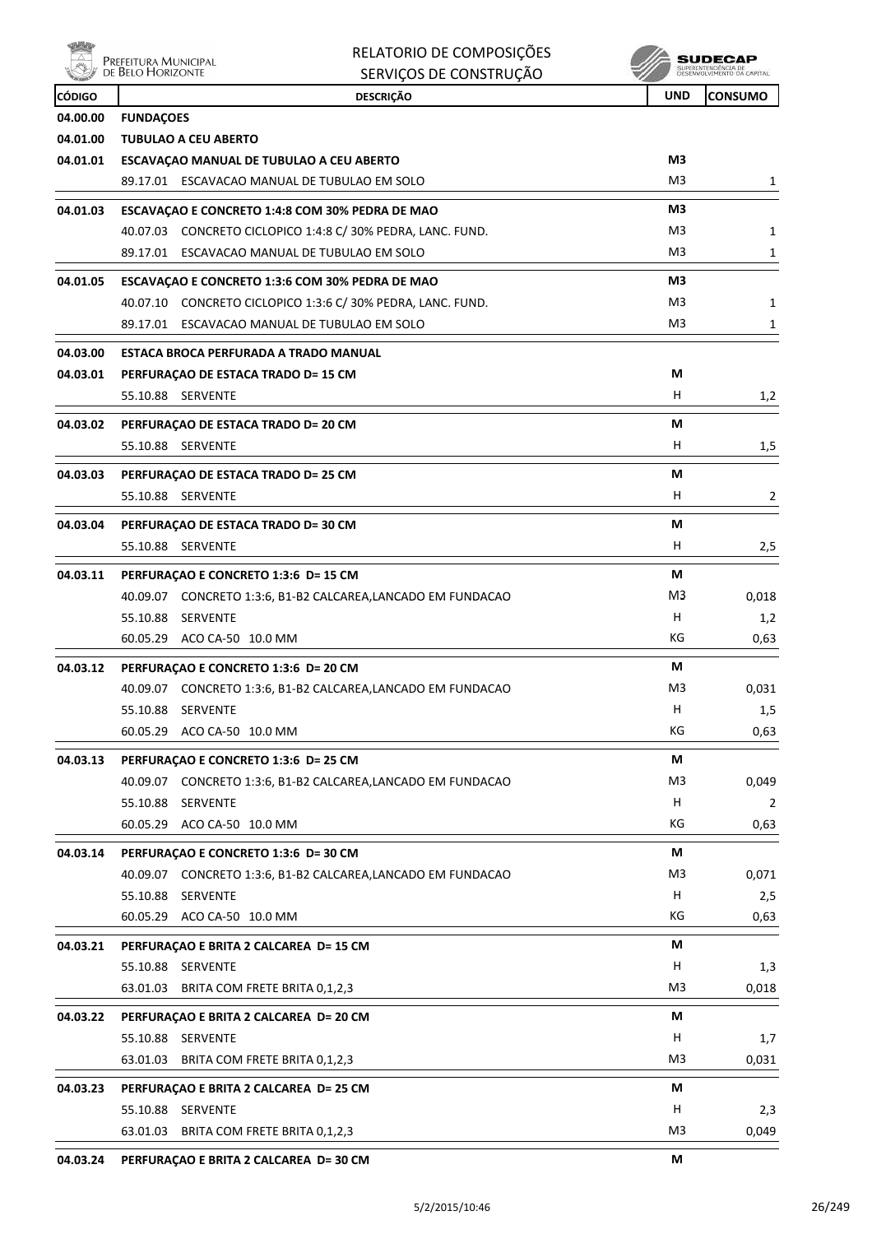

| feitura Municipal |  |
|-------------------|--|
| Belo Horizonte    |  |
|                   |  |

| RELATORIO DE COMPOSIÇÕES |
|--------------------------|
| SERVIÇOS DE CONSTRUÇÃO   |

 $\begin{array}{c} \textbf{SUBECAP} \\ \textbf{SUBREINTEROÉNCIA DE} \\ \textbf{DESEWOUNIENTO OA CAPTIAL} \end{array}$ 

| <b>CÓDIGO</b> | <b>DESCRIÇÃO</b>                                             | <b>UND</b> | <b>CONSUMO</b> |
|---------------|--------------------------------------------------------------|------------|----------------|
| 04.00.00      | <b>FUNDAÇOES</b>                                             |            |                |
| 04.01.00      | <b>TUBULAO A CEU ABERTO</b>                                  |            |                |
| 04.01.01      | ESCAVAÇÃO MANUAL DE TUBULAO A CEU ABERTO                     | M3         |                |
|               | 89.17.01 ESCAVACAO MANUAL DE TUBULAO EM SOLO                 | M3         | 1              |
| 04.01.03      | ESCAVAÇÃO E CONCRETO 1:4:8 COM 30% PEDRA DE MÃO              | MЗ         |                |
|               | 40.07.03 CONCRETO CICLOPICO 1:4:8 C/ 30% PEDRA, LANC. FUND.  | M3         | 1              |
|               | 89.17.01 ESCAVACAO MANUAL DE TUBULAO EM SOLO                 | M3         | 1              |
| 04.01.05      | ESCAVAÇÃO E CONCRETO 1:3:6 COM 30% PEDRA DE MÃO              | M3         |                |
|               | 40.07.10 CONCRETO CICLOPICO 1:3:6 C/ 30% PEDRA, LANC. FUND.  | M3         | 1              |
|               | 89.17.01 ESCAVACAO MANUAL DE TUBULAO EM SOLO                 | M3         | 1              |
| 04.03.00      | ESTACA BROCA PERFURADA A TRADO MANUAL                        |            |                |
| 04.03.01      | PERFURAÇÃO DE ESTACA TRADO D= 15 CM                          | М          |                |
|               | 55.10.88 SERVENTE                                            | Н.         | 1,2            |
| 04.03.02      | PERFURAÇÃO DE ESTACA TRADO D= 20 CM                          | М          |                |
|               | 55.10.88 SERVENTE                                            | H.         | 1,5            |
| 04.03.03      | PERFURAÇÃO DE ESTACA TRADO D= 25 CM                          | М          |                |
|               | 55.10.88 SERVENTE                                            | н          | 2              |
| 04.03.04      | PERFURAÇÃO DE ESTACA TRADO D= 30 CM                          | М          |                |
|               | 55.10.88 SERVENTE                                            | H.         | 2,5            |
| 04.03.11      | PERFURAÇÃO E CONCRETO 1:3:6 D= 15 CM                         | М          |                |
|               | 40.09.07 CONCRETO 1:3:6, B1-B2 CALCAREA,LANCADO EM FUNDACAO  | M3         | 0,018          |
|               | 55.10.88 SERVENTE                                            | H          | 1,2            |
|               | 60.05.29 ACO CA-50 10.0 MM                                   | КG         | 0,63           |
| 04.03.12      | PERFURAÇÃO E CONCRETO 1:3:6 D= 20 CM                         | М          |                |
|               | 40.09.07 CONCRETO 1:3:6, B1-B2 CALCAREA,LANCADO EM FUNDACAO  | M3         | 0,031          |
|               | 55.10.88 SERVENTE                                            | H.         | 1,5            |
|               | 60.05.29 ACO CA-50 10.0 MM                                   | КG         | 0,63           |
| 04.03.13      | PERFURAÇÃO E CONCRETO 1:3:6 D= 25 CM                         | М          |                |
|               | 40.09.07 CONCRETO 1:3:6, B1-B2 CALCAREA,LANCADO EM FUNDACAO  | M3         | 0,049          |
|               | 55.10.88 SERVENTE                                            | H          | 2              |
|               | 60.05.29 ACO CA-50 10.0 MM                                   | КG         | 0,63           |
| 04.03.14      | PERFURAÇÃO E CONCRETO 1:3:6 D= 30 CM                         | М          |                |
|               | 40.09.07 CONCRETO 1:3:6, B1-B2 CALCAREA, LANCADO EM FUNDACAO | M3         | 0,071          |
|               | 55.10.88<br>SERVENTE                                         | н          | 2,5            |
|               | 60.05.29 ACO CA-50 10.0 MM                                   | КG         | 0,63           |
| 04.03.21      | PERFURAÇÃO E BRITA 2 CALCAREA D= 15 CM                       | М          |                |
|               | 55.10.88 SERVENTE                                            | н          | 1,3            |
|               | 63.01.03<br>BRITA COM FRETE BRITA 0,1,2,3                    | M3         | 0,018          |
| 04.03.22      | PERFURAÇÃO E BRITA 2 CALCAREA D= 20 CM                       | М          |                |
|               | 55.10.88 SERVENTE                                            | н          | 1,7            |
|               | 63.01.03 BRITA COM FRETE BRITA 0,1,2,3                       | M3         | 0,031          |
| 04.03.23      | PERFURAÇÃO E BRITA 2 CALCAREA D= 25 CM                       | М          |                |
|               | 55.10.88 SERVENTE                                            | H          | 2,3            |
|               | 63.01.03<br>BRITA COM FRETE BRITA 0,1,2,3                    | M3         | 0,049          |
|               |                                                              |            |                |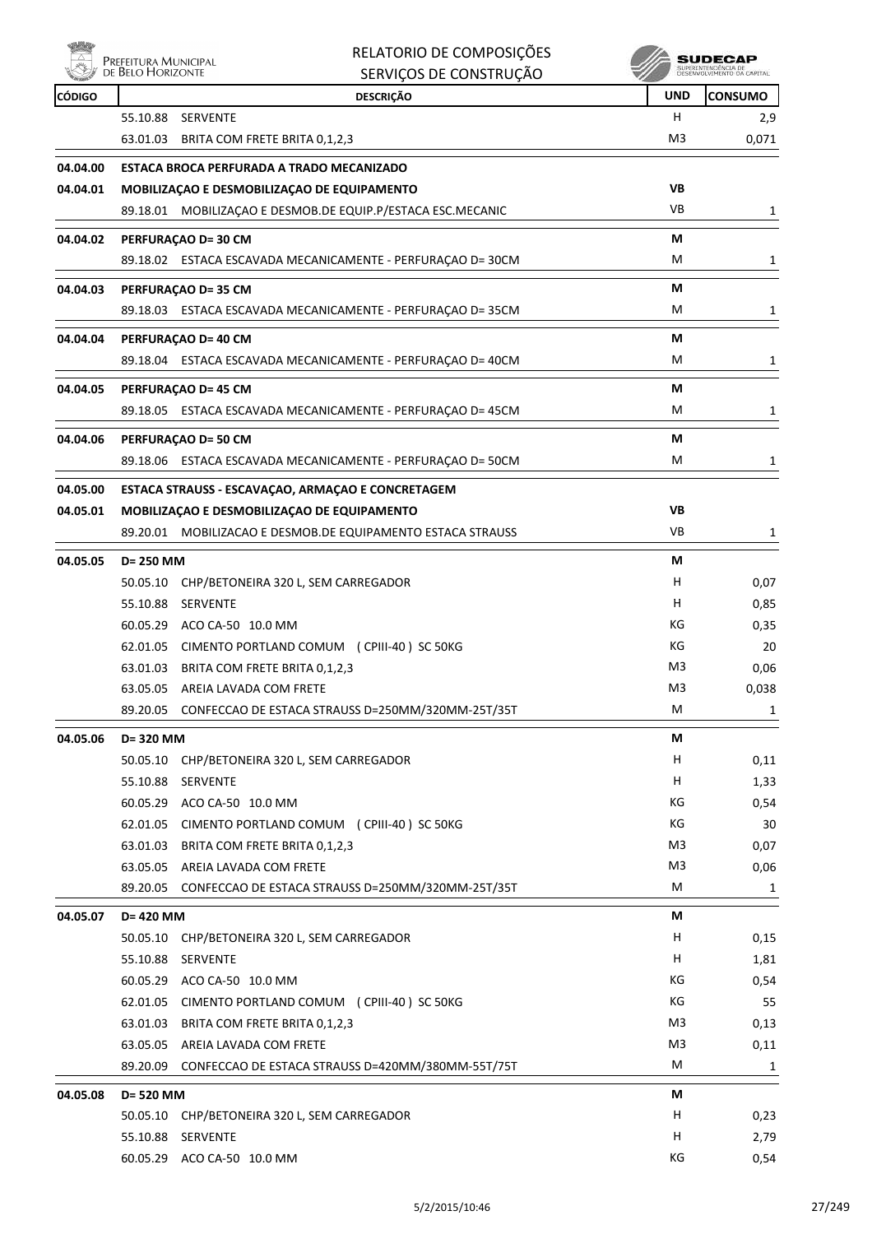

| täh           | Prefeitura Municipal | RELATORIO DE COMPOSIÇÕES                                                |                | SUDECAP                    |
|---------------|----------------------|-------------------------------------------------------------------------|----------------|----------------------------|
|               | DE BELO HORIZONTE    | SERVIÇOS DE CONSTRUÇÃO                                                  |                | DESENVOLVEMENTO OA CARITAL |
| <b>CÓDIGO</b> |                      | <b>DESCRIÇÃO</b>                                                        | <b>UND</b>     | <b>CONSUMO</b>             |
|               | 55.10.88             | SERVENTE                                                                | H.             | 2,9                        |
|               | 63.01.03             | BRITA COM FRETE BRITA 0,1,2,3                                           | M3             | 0,071                      |
| 04.04.00      |                      | ESTACA BROCA PERFURADA A TRADO MECANIZADO                               |                |                            |
| 04.04.01      |                      | MOBILIZAÇÃO E DESMOBILIZAÇÃO DE EQUIPAMENTO                             | VB             |                            |
|               |                      | 89.18.01 MOBILIZAÇÃO E DESMOB.DE EQUIP.P/ESTACA ESC.MECANIC             | VB             | 1                          |
| 04.04.02      |                      | PERFURAÇÃO D= 30 CM                                                     | М              |                            |
|               |                      | 89.18.02 ESTACA ESCAVADA MECANICAMENTE - PERFURAÇÃO D= 30CM             | M              | 1                          |
| 04.04.03      |                      | <b>PERFURAÇÃO D= 35 CM</b>                                              | М              |                            |
|               |                      | 89.18.03 ESTACA ESCAVADA MECANICAMENTE - PERFURAÇÃO D= 35CM             | м              | 1                          |
|               |                      |                                                                         |                |                            |
| 04.04.04      |                      | PERFURAÇÃO D= 40 CM                                                     | М              |                            |
|               |                      | 89.18.04 ESTACA ESCAVADA MECANICAMENTE - PERFURAÇÃO D= 40CM             | м              | 1                          |
| 04.04.05      |                      | <b>PERFURAÇÃO D= 45 CM</b>                                              | М              |                            |
|               |                      | 89.18.05 ESTACA ESCAVADA MECANICAMENTE - PERFURAÇÃO D= 45CM             | M              | 1                          |
| 04.04.06      |                      | PERFURAÇÃO D= 50 CM                                                     | М              |                            |
|               |                      | 89.18.06 ESTACA ESCAVADA MECANICAMENTE - PERFURAÇÃO D= 50CM             | м              | 1                          |
| 04.05.00      |                      | ESTACA STRAUSS - ESCAVAÇÃO, ARMAÇÃO E CONCRETAGEM                       |                |                            |
| 04.05.01      |                      | MOBILIZAÇÃO E DESMOBILIZAÇÃO DE EQUIPAMENTO                             | <b>VB</b>      |                            |
|               |                      | 89.20.01 MOBILIZACAO E DESMOB.DE EQUIPAMENTO ESTACA STRAUSS             | <b>VB</b>      | 1                          |
|               |                      |                                                                         |                |                            |
| 04.05.05      | D= 250 MM            |                                                                         | М              |                            |
|               | 55.10.88             | 50.05.10 CHP/BETONEIRA 320 L, SEM CARREGADOR<br><b>SERVENTE</b>         | H<br>Н         | 0,07                       |
|               | 60.05.29             | ACO CA-50 10.0 MM                                                       | КG             | 0,85<br>0,35               |
|               | 62.01.05             | CIMENTO PORTLAND COMUM (CPIII-40) SC 50KG                               | КG             | 20                         |
|               | 63.01.03             | BRITA COM FRETE BRITA 0,1,2,3                                           | M3             | 0,06                       |
|               |                      | 63.05.05 AREIA LAVADA COM FRETE                                         | M3             | 0,038                      |
|               | 89.20.05             | CONFECCAO DE ESTACA STRAUSS D=250MM/320MM-25T/35T                       | м              | 1                          |
|               |                      |                                                                         |                |                            |
| 04.05.06      | D= 320 MM            |                                                                         | М              |                            |
|               |                      | 50.05.10 CHP/BETONEIRA 320 L, SEM CARREGADOR                            | H              | 0,11                       |
|               | 55.10.88             | <b>SERVENTE</b>                                                         | н<br>КG        | 1,33                       |
|               | 62.01.05             | 60.05.29 ACO CA-50 10.0 MM<br>CIMENTO PORTLAND COMUM (CPIII-40) SC 50KG | КG             | 0,54<br>30                 |
|               | 63.01.03             | BRITA COM FRETE BRITA 0,1,2,3                                           | M <sub>3</sub> | 0,07                       |
|               |                      | 63.05.05 AREIA LAVADA COM FRETE                                         | M3             | 0,06                       |
|               | 89.20.05             | CONFECCAO DE ESTACA STRAUSS D=250MM/320MM-25T/35T                       | М              | $\mathbf{1}$               |
|               |                      |                                                                         |                |                            |
| 04.05.07      | D= 420 MM            |                                                                         | М<br>H         |                            |
|               |                      | 50.05.10 CHP/BETONEIRA 320 L, SEM CARREGADOR<br>55.10.88 SERVENTE       | н              | 0,15<br>1,81               |
|               |                      | 60.05.29 ACO CA-50 10.0 MM                                              | КG             | 0,54                       |
|               | 62.01.05             | CIMENTO PORTLAND COMUM (CPIII-40) SC 50KG                               | КG             | 55                         |
|               | 63.01.03             | BRITA COM FRETE BRITA 0,1,2,3                                           | M3             | 0,13                       |
|               | 63.05.05             | AREIA LAVADA COM FRETE                                                  | M3             | 0,11                       |
|               | 89.20.09             | CONFECCAO DE ESTACA STRAUSS D=420MM/380MM-55T/75T                       | м              | 1                          |
|               |                      |                                                                         |                |                            |
| 04.05.08      | D= 520 MM            |                                                                         | М              |                            |
|               |                      | 50.05.10 CHP/BETONEIRA 320 L, SEM CARREGADOR<br>55.10.88 SERVENTE       | H<br>H         | 0,23                       |
|               |                      | 60.05.29 ACO CA-50 10.0 MM                                              | КG             | 2,79<br>0,54               |
|               |                      |                                                                         |                |                            |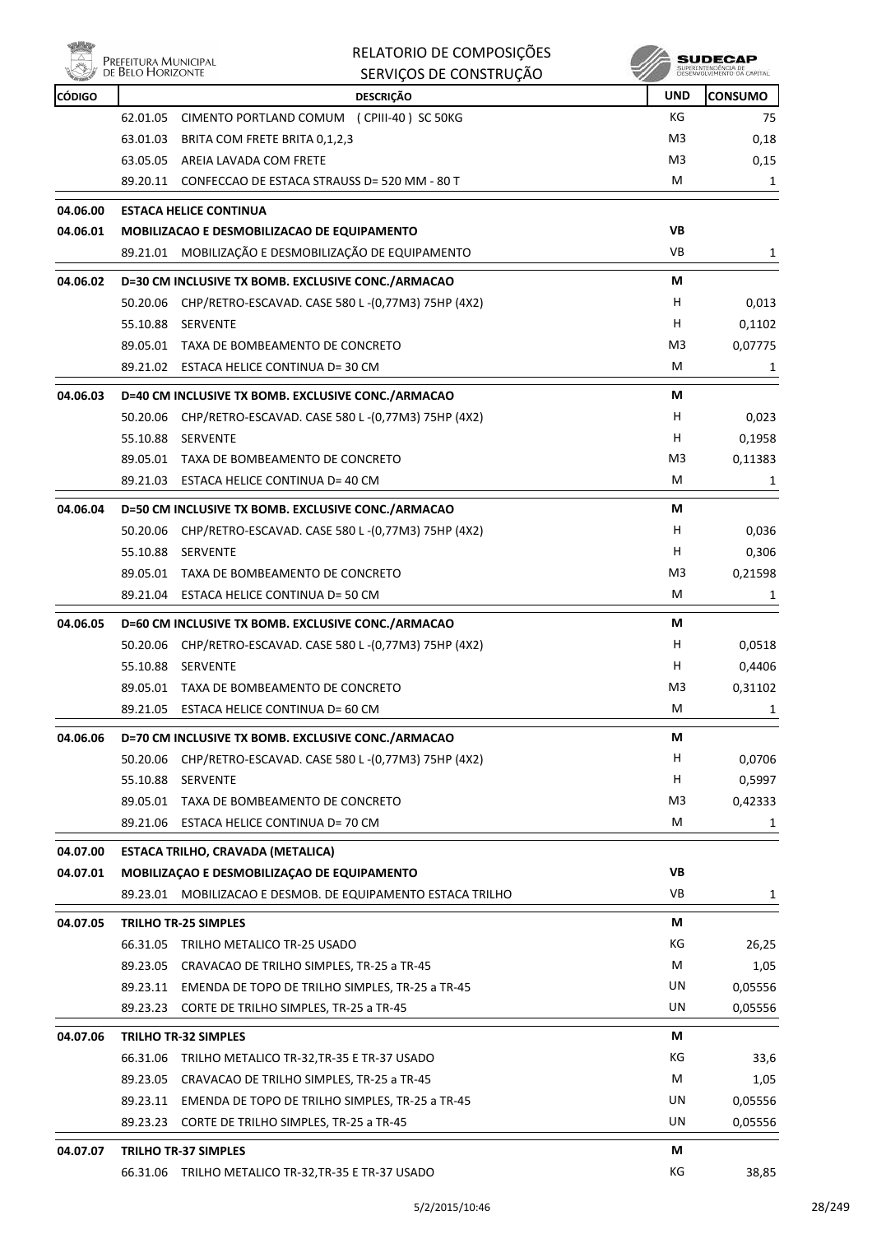

|               | Prefeitura Municipal<br>de Belo Horizonte | RELATORIO DE COMPOSIÇÕES                                                        |                  | <b>SUDECAP</b><br>SUPERINTENDÊNCIA DE<br>DÉSENVOLVIMENTO DA CAPITAL |
|---------------|-------------------------------------------|---------------------------------------------------------------------------------|------------------|---------------------------------------------------------------------|
|               |                                           | SERVIÇOS DE CONSTRUÇÃO                                                          |                  |                                                                     |
| <b>CÓDIGO</b> | 62.01.05                                  | <b>DESCRIÇÃO</b>                                                                | <b>UND</b><br>КG | CONSUMO                                                             |
|               |                                           | CIMENTO PORTLAND COMUM (CPIII-40) SC 50KG                                       | M3               | 75                                                                  |
|               | 63.01.03<br>63.05.05                      | BRITA COM FRETE BRITA 0,1,2,3                                                   | M3               | 0,18                                                                |
|               |                                           | AREIA LAVADA COM FRETE<br>89.20.11 CONFECCAO DE ESTACA STRAUSS D= 520 MM - 80 T | M                | 0,15<br>1                                                           |
|               |                                           |                                                                                 |                  |                                                                     |
| 04.06.00      |                                           | <b>ESTACA HELICE CONTINUA</b>                                                   |                  |                                                                     |
| 04.06.01      |                                           | MOBILIZACAO E DESMOBILIZACAO DE EQUIPAMENTO                                     | VB               |                                                                     |
|               |                                           | 89.21.01 MOBILIZAÇÃO E DESMOBILIZAÇÃO DE EQUIPAMENTO                            | VB               | 1                                                                   |
| 04.06.02      |                                           | D=30 CM INCLUSIVE TX BOMB. EXCLUSIVE CONC./ARMACAO                              | М                |                                                                     |
|               | 50.20.06                                  | CHP/RETRO-ESCAVAD. CASE 580 L-(0,77M3) 75HP (4X2)                               | н                | 0,013                                                               |
|               | 55.10.88                                  | SERVENTE                                                                        | н                | 0,1102                                                              |
|               |                                           | 89.05.01 TAXA DE BOMBEAMENTO DE CONCRETO                                        | M3               | 0,07775                                                             |
|               |                                           | 89.21.02 ESTACA HELICE CONTINUA D= 30 CM                                        | M                | 1                                                                   |
| 04.06.03      |                                           | D=40 CM INCLUSIVE TX BOMB. EXCLUSIVE CONC./ARMACAO                              | М                |                                                                     |
|               | 50.20.06                                  | CHP/RETRO-ESCAVAD. CASE 580 L-(0,77M3) 75HP (4X2)                               | H                | 0,023                                                               |
|               | 55.10.88                                  | <b>SERVENTE</b>                                                                 | н                | 0,1958                                                              |
|               |                                           | 89.05.01 TAXA DE BOMBEAMENTO DE CONCRETO                                        | M3               | 0,11383                                                             |
|               |                                           | 89.21.03 ESTACA HELICE CONTINUA D= 40 CM                                        | м                | 1                                                                   |
| 04.06.04      |                                           | D=50 CM INCLUSIVE TX BOMB. EXCLUSIVE CONC./ARMACAO                              | М                |                                                                     |
|               | 50.20.06                                  | CHP/RETRO-ESCAVAD. CASE 580 L-(0,77M3) 75HP (4X2)                               | н                | 0,036                                                               |
|               | 55.10.88                                  | SERVENTE                                                                        | н                | 0,306                                                               |
|               |                                           | 89.05.01 TAXA DE BOMBEAMENTO DE CONCRETO                                        | M3               | 0,21598                                                             |
|               |                                           | 89.21.04 ESTACA HELICE CONTINUA D= 50 CM                                        | M                | 1                                                                   |
|               |                                           |                                                                                 | М                |                                                                     |
| 04.06.05      | 50.20.06                                  | D=60 CM INCLUSIVE TX BOMB. EXCLUSIVE CONC./ARMACAO                              | H                | 0,0518                                                              |
|               | 55.10.88                                  | CHP/RETRO-ESCAVAD. CASE 580 L-(0,77M3) 75HP (4X2)<br><b>SERVENTE</b>            | н                | 0,4406                                                              |
|               |                                           | 89.05.01 TAXA DE BOMBEAMENTO DE CONCRETO                                        | M3               | 0,31102                                                             |
|               | 89.21.05                                  | ESTACA HELICE CONTINUA D= 60 CM                                                 | Μ                | 1                                                                   |
|               |                                           |                                                                                 |                  |                                                                     |
| 04.06.06      |                                           | D=70 CM INCLUSIVE TX BOMB. EXCLUSIVE CONC./ARMACAO                              | М                |                                                                     |
|               | 50.20.06                                  | CHP/RETRO-ESCAVAD. CASE 580 L-(0,77M3) 75HP (4X2)                               | H                | 0,0706                                                              |
|               | 55.10.88                                  | SERVENTE                                                                        | н                | 0,5997                                                              |
|               |                                           | 89.05.01 TAXA DE BOMBEAMENTO DE CONCRETO                                        | M <sub>3</sub>   | 0,42333                                                             |
|               |                                           | 89.21.06 ESTACA HELICE CONTINUA D= 70 CM                                        | М                | 1                                                                   |
| 04.07.00      |                                           | ESTACA TRILHO, CRAVADA (METALICA)                                               |                  |                                                                     |
| 04.07.01      |                                           | MOBILIZAÇÃO E DESMOBILIZAÇÃO DE EQUIPAMENTO                                     | VB               |                                                                     |
|               |                                           | 89.23.01 MOBILIZACAO E DESMOB. DE EQUIPAMENTO ESTACA TRILHO                     | VB               | 1                                                                   |
| 04.07.05      |                                           | <b>TRILHO TR-25 SIMPLES</b>                                                     | М                |                                                                     |
|               |                                           | 66.31.05 TRILHO METALICO TR-25 USADO                                            | KG               | 26,25                                                               |
|               |                                           | 89.23.05 CRAVACAO DE TRILHO SIMPLES, TR-25 a TR-45                              | М                | 1,05                                                                |
|               |                                           | 89.23.11 EMENDA DE TOPO DE TRILHO SIMPLES, TR-25 a TR-45                        | UN               | 0,05556                                                             |
|               | 89.23.23                                  | CORTE DE TRILHO SIMPLES, TR-25 a TR-45                                          | UN               | 0,05556                                                             |
| 04.07.06      |                                           | <b>TRILHO TR-32 SIMPLES</b>                                                     | М                |                                                                     |
|               | 66.31.06                                  | TRILHO METALICO TR-32, TR-35 E TR-37 USADO                                      | KG               | 33,6                                                                |
|               | 89.23.05                                  | CRAVACAO DE TRILHO SIMPLES, TR-25 a TR-45                                       | М                | 1,05                                                                |
|               |                                           | 89.23.11 EMENDA DE TOPO DE TRILHO SIMPLES, TR-25 a TR-45                        | UN               | 0,05556                                                             |
|               | 89.23.23                                  | CORTE DE TRILHO SIMPLES, TR-25 a TR-45                                          | UN               | 0,05556                                                             |
|               |                                           |                                                                                 |                  |                                                                     |
| 04.07.07      |                                           | <b>TRILHO TR-37 SIMPLES</b>                                                     | М                |                                                                     |
|               |                                           | 66.31.06 TRILHO METALICO TR-32, TR-35 E TR-37 USADO                             | КG               | 38,85                                                               |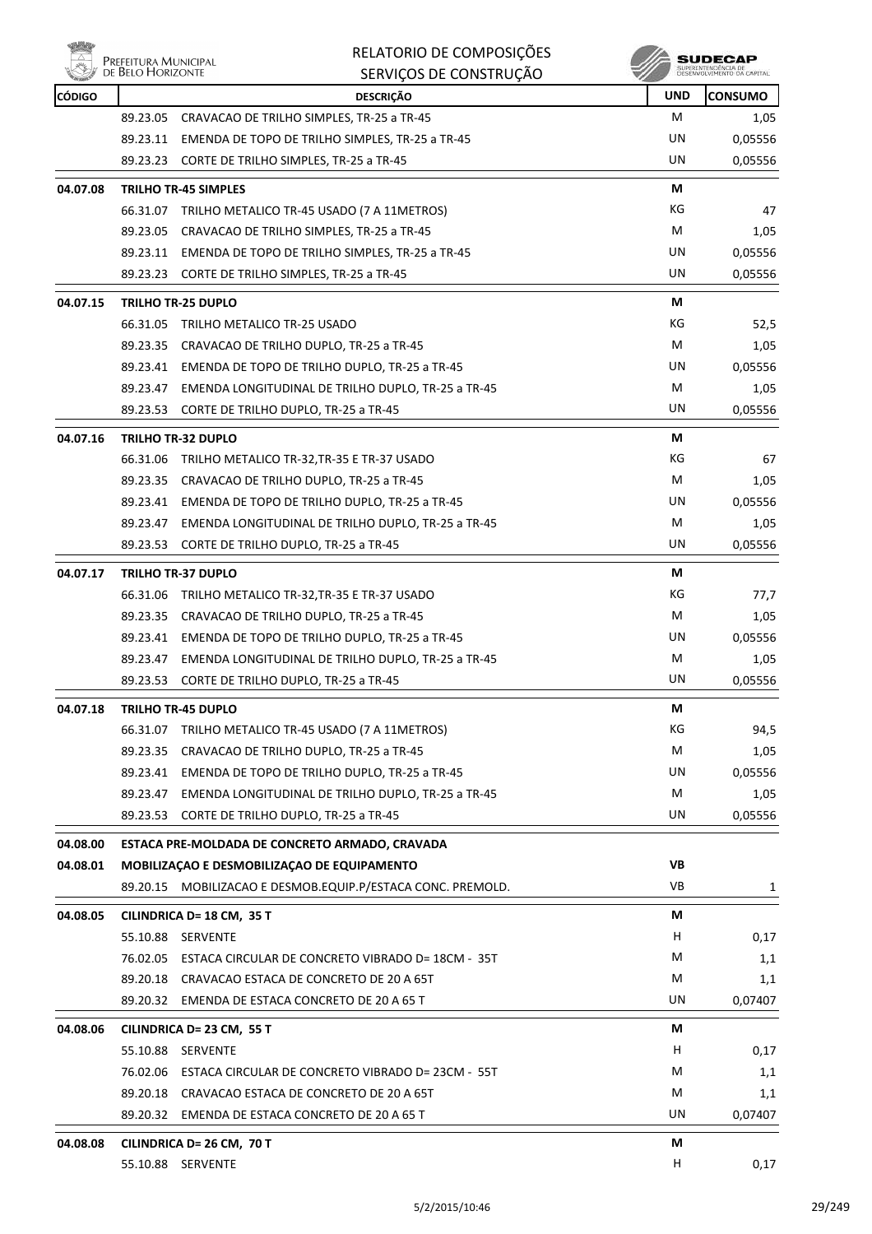

|          | Prefeitura Municipal<br>de Belo Horizonte | RELATORIO DE COMPOSIÇÕES                                                                         |            | SUDECAP<br>SUPERINTENDÊNCIA DE<br>DESENVOLVIMENTO DA CAPITAL |
|----------|-------------------------------------------|--------------------------------------------------------------------------------------------------|------------|--------------------------------------------------------------|
| CÓDIGO   |                                           | SERVIÇOS DE CONSTRUÇÃO<br><b>DESCRICÃO</b>                                                       | <b>UND</b> | <b>CONSUMO</b>                                               |
|          | 89.23.05                                  | CRAVACAO DE TRILHO SIMPLES, TR-25 a TR-45                                                        | м          | 1,05                                                         |
|          |                                           | 89.23.11 EMENDA DE TOPO DE TRILHO SIMPLES, TR-25 a TR-45                                         | UN         | 0,05556                                                      |
|          |                                           | 89.23.23 CORTE DE TRILHO SIMPLES, TR-25 a TR-45                                                  | UN         | 0,05556                                                      |
| 04.07.08 |                                           |                                                                                                  | М          |                                                              |
|          |                                           | <b>TRILHO TR-45 SIMPLES</b>                                                                      | КG         |                                                              |
|          |                                           | 66.31.07 TRILHO METALICO TR-45 USADO (7 A 11METROS)<br>CRAVACAO DE TRILHO SIMPLES, TR-25 a TR-45 | м          | 47                                                           |
|          | 89.23.05                                  | 89.23.11 EMENDA DE TOPO DE TRILHO SIMPLES, TR-25 a TR-45                                         | UN         | 1,05                                                         |
|          | 89.23.23                                  | CORTE DE TRILHO SIMPLES, TR-25 a TR-45                                                           | UN         | 0,05556<br>0,05556                                           |
|          |                                           |                                                                                                  |            |                                                              |
| 04.07.15 |                                           | <b>TRILHO TR-25 DUPLO</b>                                                                        | М          |                                                              |
|          | 66.31.05                                  | TRILHO METALICO TR-25 USADO                                                                      | КG         | 52,5                                                         |
|          |                                           | 89.23.35 CRAVACAO DE TRILHO DUPLO, TR-25 a TR-45                                                 | М          | 1,05                                                         |
|          |                                           | 89.23.41 EMENDA DE TOPO DE TRILHO DUPLO, TR-25 a TR-45                                           | UN         | 0,05556                                                      |
|          | 89.23.47                                  | EMENDA LONGITUDINAL DE TRILHO DUPLO, TR-25 a TR-45                                               | М          | 1,05                                                         |
|          | 89.23.53                                  | CORTE DE TRILHO DUPLO, TR-25 a TR-45                                                             | UN         | 0,05556                                                      |
| 04.07.16 |                                           | <b>TRILHO TR-32 DUPLO</b>                                                                        | М          |                                                              |
|          | 66.31.06                                  | TRILHO METALICO TR-32, TR-35 E TR-37 USADO                                                       | КG         | 67                                                           |
|          |                                           | 89.23.35 CRAVACAO DE TRILHO DUPLO, TR-25 a TR-45                                                 | М          | 1,05                                                         |
|          | 89.23.41                                  | EMENDA DE TOPO DE TRILHO DUPLO, TR-25 a TR-45                                                    | UN         | 0,05556                                                      |
|          | 89.23.47                                  | EMENDA LONGITUDINAL DE TRILHO DUPLO, TR-25 a TR-45                                               | М          | 1,05                                                         |
|          | 89.23.53                                  | CORTE DE TRILHO DUPLO, TR-25 a TR-45                                                             | UN         | 0,05556                                                      |
| 04.07.17 |                                           | <b>TRILHO TR-37 DUPLO</b>                                                                        | М          |                                                              |
|          | 66.31.06                                  | TRILHO METALICO TR-32,TR-35 E TR-37 USADO                                                        | КG         | 77,7                                                         |
|          | 89.23.35                                  | CRAVACAO DE TRILHO DUPLO, TR-25 a TR-45                                                          | м          | 1,05                                                         |
|          | 89.23.41                                  | EMENDA DE TOPO DE TRILHO DUPLO, TR-25 a TR-45                                                    | UN         | 0,05556                                                      |
|          | 89.23.47                                  | EMENDA LONGITUDINAL DE TRILHO DUPLO, TR-25 a TR-45                                               | М          | 1,05                                                         |
|          | 89.23.53                                  | CORTE DE TRILHO DUPLO, TR-25 a TR-45                                                             | UN         | 0,05556                                                      |
| 04.07.18 |                                           | TRILHO TR-45 DUPLO                                                                               | М          |                                                              |
|          | 66.31.07                                  | TRILHO METALICO TR-45 USADO (7 A 11METROS)                                                       | КG         | 94,5                                                         |
|          | 89.23.35                                  | CRAVACAO DE TRILHO DUPLO, TR-25 a TR-45                                                          | М          | 1,05                                                         |
|          |                                           | 89.23.41 EMENDA DE TOPO DE TRILHO DUPLO, TR-25 a TR-45                                           | UN         | 0,05556                                                      |
|          |                                           | 89.23.47 EMENDA LONGITUDINAL DE TRILHO DUPLO, TR-25 a TR-45                                      | М          | 1,05                                                         |
|          |                                           | 89.23.53 CORTE DE TRILHO DUPLO, TR-25 a TR-45                                                    | UN         | 0,05556                                                      |
| 04.08.00 |                                           | ESTACA PRE-MOLDADA DE CONCRETO ARMADO, CRAVADA                                                   |            |                                                              |
| 04.08.01 |                                           | MOBILIZAÇÃO E DESMOBILIZAÇÃO DE EQUIPAMENTO                                                      | <b>VB</b>  |                                                              |
|          |                                           | 89.20.15 MOBILIZACAO E DESMOB.EQUIP.P/ESTACA CONC. PREMOLD.                                      | VB         | 1                                                            |
| 04.08.05 |                                           | CILINDRICA D= 18 CM, 35 T                                                                        | М          |                                                              |
|          | 55.10.88                                  | <b>SERVENTE</b>                                                                                  | H          | 0,17                                                         |
|          |                                           | 76.02.05 ESTACA CIRCULAR DE CONCRETO VIBRADO D= 18CM - 35T                                       | M          | 1,1                                                          |
|          | 89.20.18                                  | CRAVACAO ESTACA DE CONCRETO DE 20 A 65T                                                          | М          | 1,1                                                          |
|          |                                           | 89.20.32 EMENDA DE ESTACA CONCRETO DE 20 A 65 T                                                  | UN         | 0,07407                                                      |
| 04.08.06 |                                           | CILINDRICA D= 23 CM, 55 T                                                                        | М          |                                                              |
|          | 55.10.88                                  | SERVENTE                                                                                         | H          | 0,17                                                         |
|          | 76.02.06                                  | ESTACA CIRCULAR DE CONCRETO VIBRADO D= 23CM - 55T                                                | М          |                                                              |
|          | 89.20.18                                  | CRAVACAO ESTACA DE CONCRETO DE 20 A 65T                                                          | М          | 1,1<br>1,1                                                   |
|          |                                           | 89.20.32 EMENDA DE ESTACA CONCRETO DE 20 A 65 T                                                  | UN         | 0,07407                                                      |
|          |                                           |                                                                                                  |            |                                                              |
| 04.08.08 |                                           | CILINDRICA D= 26 CM, 70 T                                                                        | М          |                                                              |
|          |                                           | 55.10.88 SERVENTE                                                                                | Н.         | 0,17                                                         |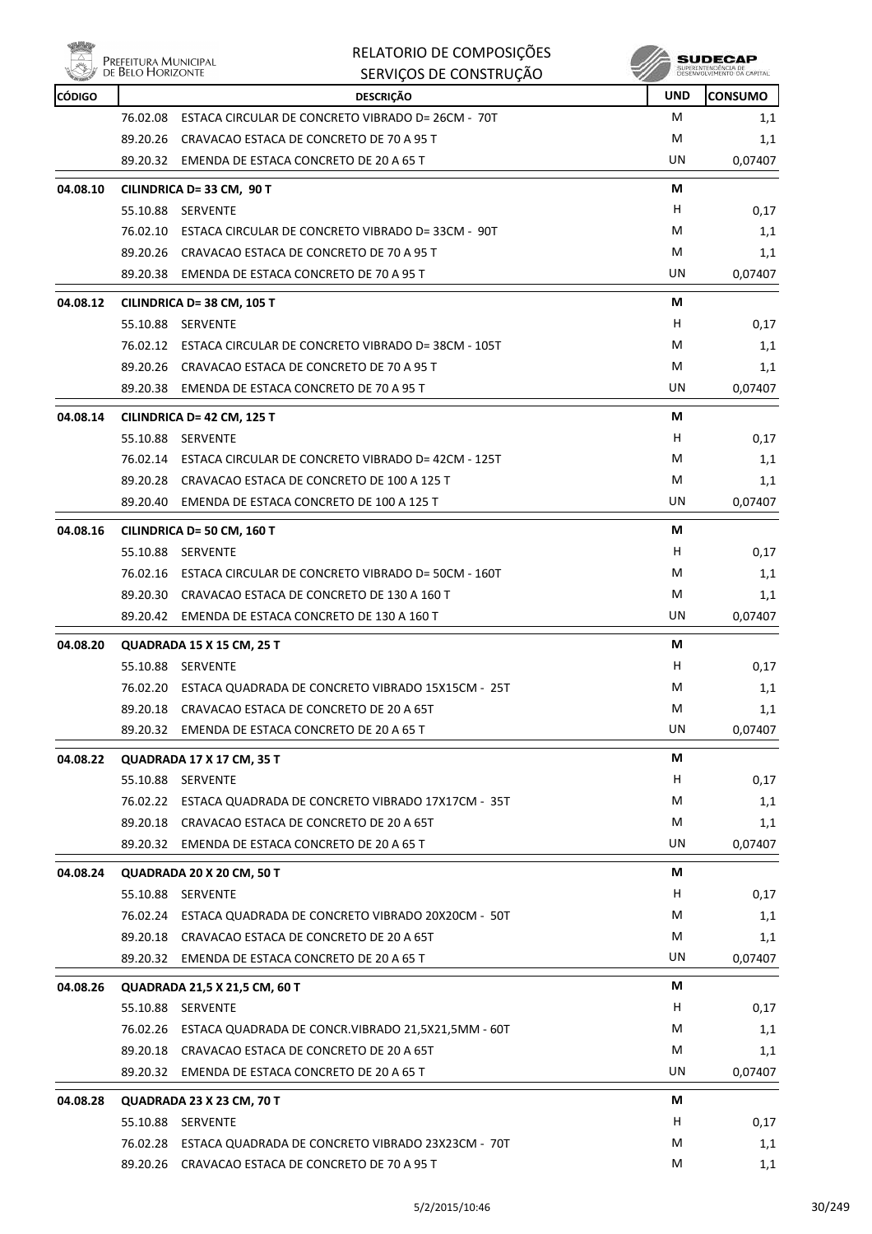|               | Prefeitura Municipal<br>de Belo Horizonte | RELATORIO DE COMPOSIÇÕES<br>SERVIÇOS DE CONSTRUÇÃO          |            | SUDECA<br>SUPERINTENDÊNCIA DE<br>DESENVOLVIMENTO DA CAPITAL |
|---------------|-------------------------------------------|-------------------------------------------------------------|------------|-------------------------------------------------------------|
| <b>CÓDIGO</b> |                                           | <b>DESCRIÇÃO</b>                                            | <b>UND</b> | <b>CONSUMO</b>                                              |
|               | 76.02.08                                  | ESTACA CIRCULAR DE CONCRETO VIBRADO D= 26CM - 70T           | м          | 1,1                                                         |
|               | 89.20.26                                  | CRAVACAO ESTACA DE CONCRETO DE 70 A 95 T                    | м          | 1,1                                                         |
|               | 89.20.32                                  | EMENDA DE ESTACA CONCRETO DE 20 A 65 T                      | UN         | 0,07407                                                     |
| 04.08.10      |                                           | CILINDRICA D= 33 CM, 90 T                                   | М          |                                                             |
|               | 55.10.88                                  | SERVENTE                                                    | н          | 0,17                                                        |
|               | 76.02.10                                  | ESTACA CIRCULAR DE CONCRETO VIBRADO D= 33CM - 90T           | M          | 1,1                                                         |
|               |                                           | 89.20.26 CRAVACAO ESTACA DE CONCRETO DE 70 A 95 T           | M          | 1,1                                                         |
|               |                                           | 89.20.38 EMENDA DE ESTACA CONCRETO DE 70 A 95 T             | UN         | 0,07407                                                     |
| 04.08.12      |                                           | CILINDRICA D= 38 CM, 105 T                                  | М          |                                                             |
|               | 55.10.88                                  | SERVENTE                                                    | н          | 0,17                                                        |
|               |                                           | 76.02.12 ESTACA CIRCULAR DE CONCRETO VIBRADO D= 38CM - 105T | M          | 1,1                                                         |
|               | 89.20.26                                  | CRAVACAO ESTACA DE CONCRETO DE 70 A 95 T                    | м          | 1,1                                                         |
|               |                                           | 89.20.38 EMENDA DE ESTACA CONCRETO DE 70 A 95 T             | UN         | 0,07407                                                     |
| 04.08.14      |                                           | CILINDRICA D= 42 CM, 125 T                                  | М          |                                                             |
|               | 55.10.88                                  | SERVENTE                                                    | н          | 0,17                                                        |
|               |                                           | 76.02.14 ESTACA CIRCULAR DE CONCRETO VIBRADO D= 42CM - 125T | M          | 1,1                                                         |
|               |                                           | 89.20.28 CRAVACAO ESTACA DE CONCRETO DE 100 A 125 T         | M          | 1,1                                                         |
|               |                                           | 89.20.40 EMENDA DE ESTACA CONCRETO DE 100 A 125 T           | UN         | 0,07407                                                     |
| 04.08.16      |                                           | CILINDRICA D= 50 CM, 160 T                                  | М          |                                                             |
|               | 55.10.88                                  | SERVENTE                                                    | н          | 0,17                                                        |
|               |                                           | 76.02.16 ESTACA CIRCULAR DE CONCRETO VIBRADO D= 50CM - 160T | м          | 1,1                                                         |
|               | 89.20.30                                  | CRAVACAO ESTACA DE CONCRETO DE 130 A 160 T                  | м          | 1,1                                                         |
|               | 89.20.42                                  | EMENDA DE ESTACA CONCRETO DE 130 A 160 T                    | UN         | 0,07407                                                     |
| 04.08.20      |                                           | QUADRADA 15 X 15 CM, 25 T                                   | М          |                                                             |
|               |                                           | 55.10.88 SERVENTE                                           | н          | 0,17                                                        |
|               | 76.02.20                                  | ESTACA QUADRADA DE CONCRETO VIBRADO 15X15CM - 25T           | М          | 1,1                                                         |
|               | 89.20.18                                  | CRAVACAO ESTACA DE CONCRETO DE 20 A 65T                     | M          | 1,1                                                         |
|               | 89.20.32                                  | EMENDA DE ESTACA CONCRETO DE 20 A 65 T                      | UN         | 0,07407                                                     |
| 04.08.22      |                                           | <b>QUADRADA 17 X 17 CM, 35 T</b>                            | М          |                                                             |
|               |                                           | 55.10.88 SERVENTE                                           | H          | 0,17                                                        |
|               | 76.02.22                                  | ESTACA QUADRADA DE CONCRETO VIBRADO 17X17CM - 35T           | М          | 1,1                                                         |
|               | 89.20.18                                  | CRAVACAO ESTACA DE CONCRETO DE 20 A 65T                     | М          | 1,1                                                         |

|          | 89.20.32 | EMENDA DE ESTACA CONCRETO DE 20 A 65 T              | UN. | 0,07407 |
|----------|----------|-----------------------------------------------------|-----|---------|
| 04.08.24 |          | QUADRADA 20 X 20 CM, 50 T                           | М   |         |
|          | 55.10.88 | <b>SERVENTE</b>                                     | H   | 0,17    |
|          | 76.02.24 | ESTACA QUADRADA DE CONCRETO VIBRADO 20X20CM - 50T   | M   | 1,1     |
|          | 89.20.18 | CRAVACAO ESTACA DE CONCRETO DE 20 A 65T             | M   | 1,1     |
|          | 89.20.32 | EMENDA DE ESTACA CONCRETO DE 20 A 65 T              | UN. | 0,07407 |
| 04.08.26 |          | QUADRADA 21,5 X 21,5 CM, 60 T                       | М   |         |
|          | 55.10.88 | <b>SERVENTE</b>                                     | H   | 0,17    |
|          | 76.02.26 | ESTACA QUADRADA DE CONCR. VIBRADO 21,5X21,5MM - 60T | M   | 1,1     |
|          | 89.20.18 | CRAVACAO ESTACA DE CONCRETO DE 20 A 65T             | M   | 1,1     |
|          | 89.20.32 | EMENDA DE ESTACA CONCRETO DE 20 A 65 T              | UN. | 0,07407 |
| 04.08.28 |          | QUADRADA 23 X 23 CM, 70 T                           | М   |         |
|          | 55.10.88 | <b>SERVENTE</b>                                     | H   | 0,17    |
|          | 76.02.28 | ESTACA QUADRADA DE CONCRETO VIBRADO 23X23CM - 70T   | M   | 1,1     |
|          | 89.20.26 | CRAVACAO ESTACA DE CONCRETO DE 70 A 95 T            | M   | 1,1     |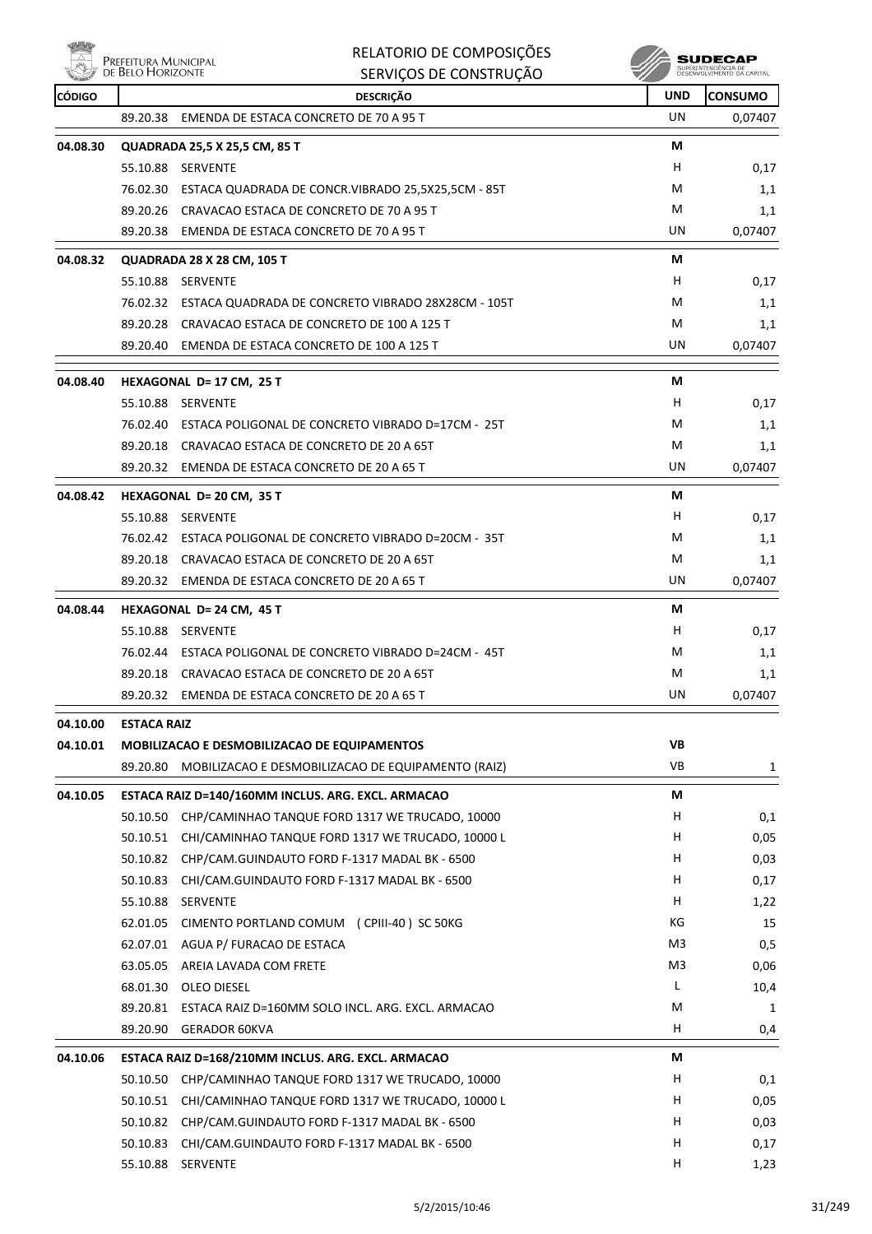

|          | PREFEITURA MUNICIPAL<br>DE BELO HORIZONTE |                                   |                                                     | RELATORIO DE COMPOSIÇÕES<br>SERVIÇOS DE CONSTRUÇÃO |            | SUDECAP         |
|----------|-------------------------------------------|-----------------------------------|-----------------------------------------------------|----------------------------------------------------|------------|-----------------|
| CÓDIGO   |                                           |                                   | <b>DESCRIÇÃO</b>                                    |                                                    | <b>UND</b> | <b>ICONSUMO</b> |
|          | 89.20.38                                  |                                   | EMENDA DE ESTACA CONCRETO DE 70 A 95 T              |                                                    | UN         | 0,07407         |
| 04.08.30 |                                           | QUADRADA 25,5 X 25,5 CM, 85 T     |                                                     |                                                    | M          |                 |
|          | 55.10.88                                  | <b>SERVENTE</b>                   |                                                     |                                                    | н          | 0,17            |
|          | 76.02.30                                  |                                   | ESTACA QUADRADA DE CONCR. VIBRADO 25,5X25,5CM - 85T |                                                    | M          | 1,1             |
|          | 89.20.26                                  |                                   | CRAVACAO ESTACA DE CONCRETO DE 70 A 95 T            |                                                    | M          | 1,1             |
|          | 89.20.38                                  |                                   | EMENDA DE ESTACA CONCRETO DE 70 A 95 T              |                                                    | UN         | 0,07407         |
| 04.08.32 |                                           | <b>QUADRADA 28 X 28 CM, 105 T</b> |                                                     |                                                    | M          |                 |
|          | 55.10.88                                  | <b>SERVENTE</b>                   |                                                     |                                                    | н          | 0,17            |
|          | 76.02.32                                  |                                   | ESTACA QUADRADA DE CONCRETO VIBRADO 28X28CM - 105T  |                                                    | M          | 1,1             |

89.20.28 CRAVACAO ESTACA DE CONCRETO DE 100 A 125 T M 1,1

|          | 89.20.40           | EMENDA DE ESTACA CONCRETO DE 100 A 125 T          | UN | 0,07407 |
|----------|--------------------|---------------------------------------------------|----|---------|
| 04.08.40 |                    | HEXAGONAL D= 17 CM, 25 T                          | М  |         |
|          | 55.10.88           | <b>SERVENTE</b>                                   | H  | 0,17    |
|          | 76.02.40           | ESTACA POLIGONAL DE CONCRETO VIBRADO D=17CM - 25T | M  | 1,1     |
|          | 89.20.18           | CRAVACAO ESTACA DE CONCRETO DE 20 A 65T           | M  | 1,1     |
|          | 89.20.32           | EMENDA DE ESTACA CONCRETO DE 20 A 65 T            | UN | 0,07407 |
| 04.08.42 |                    | <b>HEXAGONAL D= 20 CM, 35 T</b>                   | М  |         |
|          | 55.10.88           | <b>SERVENTE</b>                                   | H  | 0,17    |
|          | 76.02.42           | ESTACA POLIGONAL DE CONCRETO VIBRADO D=20CM - 35T | M  | 1,1     |
|          | 89.20.18           | CRAVACAO ESTACA DE CONCRETO DE 20 A 65T           | M  | 1,1     |
|          | 89.20.32           | EMENDA DE ESTACA CONCRETO DE 20 A 65 T            | UN | 0,07407 |
| 04.08.44 |                    | <b>HEXAGONAL D= 24 CM, 45 T</b>                   | М  |         |
|          | 55.10.88           | <b>SERVENTE</b>                                   | H  | 0,17    |
|          | 76.02.44           | ESTACA POLIGONAL DE CONCRETO VIBRADO D=24CM - 45T | М  | 1,1     |
|          | 89.20.18           | CRAVACAO ESTACA DE CONCRETO DE 20 A 65T           | M  | 1,1     |
|          | 89.20.32           | EMENDA DE ESTACA CONCRETO DE 20 A 65 T            | UN | 0,07407 |
| 04.10.00 | <b>ESTACA RAIZ</b> |                                                   |    |         |

| 04.10.01 |          | MOBILIZACAO E DESMOBILIZACAO DE EQUIPAMENTOS       | VB             |      |
|----------|----------|----------------------------------------------------|----------------|------|
|          | 89.20.80 | MOBILIZACAO E DESMOBILIZACAO DE EQUIPAMENTO (RAIZ) | VB.            | 1    |
| 04.10.05 |          | ESTACA RAIZ D=140/160MM INCLUS. ARG. EXCL. ARMACAO | М              |      |
|          | 50.10.50 | CHP/CAMINHAO TANQUE FORD 1317 WE TRUCADO, 10000    | H              | 0,1  |
|          | 50.10.51 | CHI/CAMINHAO TANQUE FORD 1317 WE TRUCADO, 10000 L  | H              | 0,05 |
|          | 50.10.82 | CHP/CAM.GUINDAUTO FORD F-1317 MADAL BK - 6500      | Н              | 0,03 |
|          | 50.10.83 | CHI/CAM.GUINDAUTO FORD F-1317 MADAL BK - 6500      | H              | 0,17 |
|          | 55.10.88 | <b>SERVENTE</b>                                    | H              | 1,22 |
|          | 62.01.05 | CIMENTO PORTLAND COMUM (CPIII-40) SC 50KG          | КG             | 15   |
|          | 62.07.01 | AGUA P/ FURACAO DE ESTACA                          | M <sub>3</sub> | 0,5  |
|          | 63.05.05 | AREIA LAVADA COM FRETE                             | M3             | 0,06 |
|          | 68.01.30 | <b>OLEO DIESEL</b>                                 | L              | 10,4 |
|          | 89.20.81 | ESTACA RAIZ D=160MM SOLO INCL. ARG. EXCL. ARMACAO  | M              | 1    |
|          | 89.20.90 | <b>GERADOR 60KVA</b>                               | H              | 0,4  |
| 04.10.06 |          | ESTACA RAIZ D=168/210MM INCLUS. ARG. EXCL. ARMACAO | М              |      |
|          | 50.10.50 | CHP/CAMINHAO TANQUE FORD 1317 WE TRUCADO, 10000    | Н              | 0,1  |
|          | 50.10.51 | CHI/CAMINHAO TANQUE FORD 1317 WE TRUCADO, 10000 L  | H              | 0,05 |
|          | 50.10.82 | CHP/CAM.GUINDAUTO FORD F-1317 MADAL BK - 6500      | н              | 0,03 |

50.10.83 CHI/CAM.GUINDAUTO FORD F-1317 MADAL BK - 6500 H COMPUTER SCHOOL H D.17 55.10.88 SERVENTE H 1,23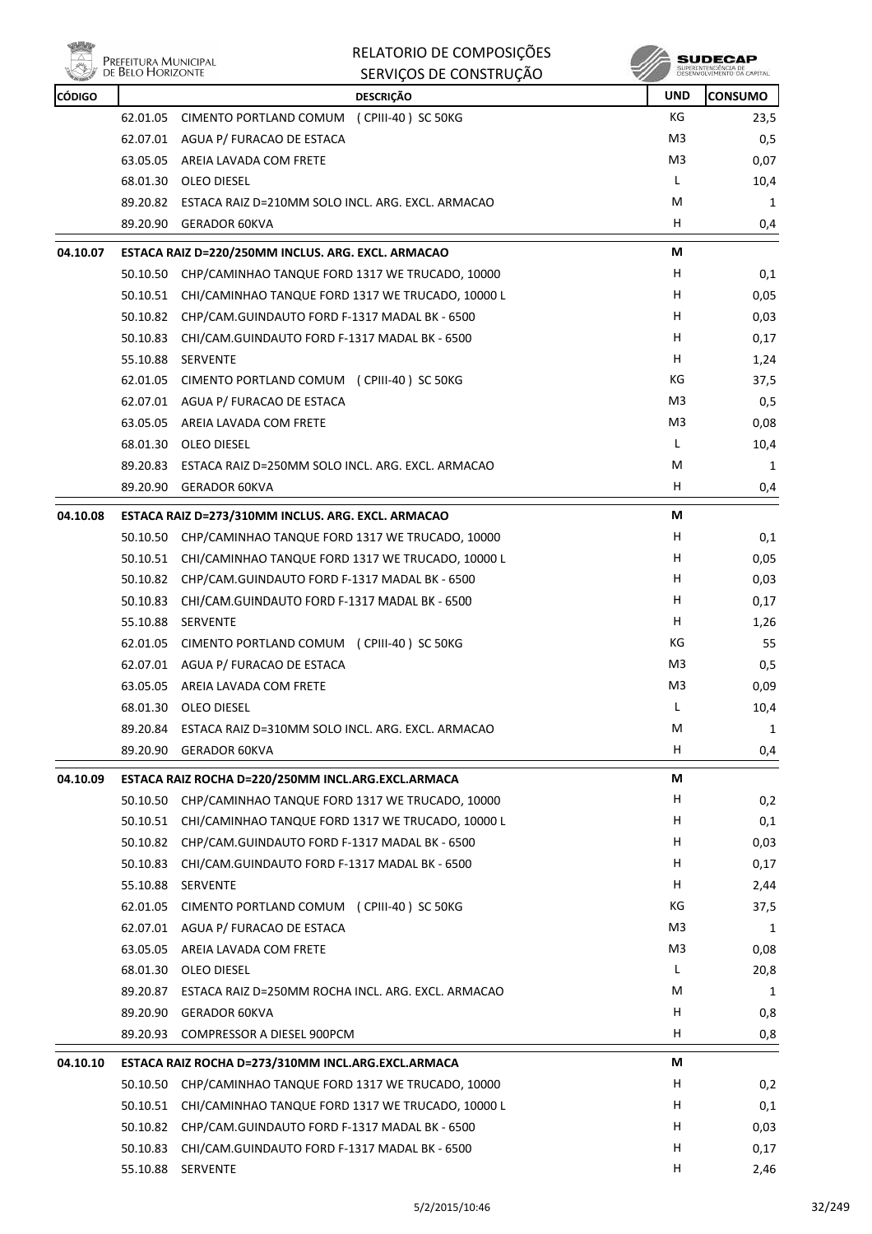

|               |                                           | RELATORIO DE COMPOSIÇÕES                                                                                    |            | SUDECAP                                           |
|---------------|-------------------------------------------|-------------------------------------------------------------------------------------------------------------|------------|---------------------------------------------------|
|               | Prefeitura Municipal<br>de Belo Horizonte | SERVIÇOS DE CONSTRUÇÃO                                                                                      |            | SUPERINTENDÊNCIA DE<br>DESENVOLVIMENTO DA CAPITAL |
| <b>CÓDIGO</b> |                                           | <b>DESCRIÇÃO</b>                                                                                            | <b>UND</b> | <b>CONSUMO</b>                                    |
|               | 62.01.05                                  | CIMENTO PORTLAND COMUM (CPIII-40) SC 50KG                                                                   | КG         | 23,5                                              |
|               |                                           | 62.07.01 AGUA P/ FURACAO DE ESTACA                                                                          | M3         | 0,5                                               |
|               | 63.05.05                                  | AREIA LAVADA COM FRETE                                                                                      | M3         | 0,07                                              |
|               |                                           | 68.01.30 OLEO DIESEL                                                                                        | L          | 10,4                                              |
|               |                                           | 89.20.82 ESTACA RAIZ D=210MM SOLO INCL. ARG. EXCL. ARMACAO                                                  | M          | 1                                                 |
|               | 89.20.90                                  | <b>GERADOR 60KVA</b>                                                                                        | н          | 0,4                                               |
| 04.10.07      |                                           | ESTACA RAIZ D=220/250MM INCLUS. ARG. EXCL. ARMACAO                                                          | М          |                                                   |
|               | 50.10.50                                  | CHP/CAMINHAO TANQUE FORD 1317 WE TRUCADO, 10000                                                             | н          | 0,1                                               |
|               |                                           | 50.10.51 CHI/CAMINHAO TANQUE FORD 1317 WE TRUCADO, 10000 L                                                  | н          | 0,05                                              |
|               |                                           | 50.10.82 CHP/CAM.GUINDAUTO FORD F-1317 MADAL BK - 6500                                                      | н          | 0,03                                              |
|               | 50.10.83                                  | CHI/CAM.GUINDAUTO FORD F-1317 MADAL BK - 6500                                                               | н          | 0,17                                              |
|               | 55.10.88                                  | SERVENTE                                                                                                    | H          | 1,24                                              |
|               | 62.01.05                                  | CIMENTO PORTLAND COMUM (CPIII-40) SC 50KG                                                                   | КG         | 37,5                                              |
|               |                                           | 62.07.01 AGUA P/ FURACAO DE ESTACA                                                                          | M3         | 0,5                                               |
|               |                                           | 63.05.05 AREIA LAVADA COM FRETE                                                                             | M3         | 0,08                                              |
|               |                                           | 68.01.30 OLEO DIESEL                                                                                        | L          | 10,4                                              |
|               | 89.20.83                                  | ESTACA RAIZ D=250MM SOLO INCL. ARG. EXCL. ARMACAO                                                           | M          | 1                                                 |
|               | 89.20.90                                  | <b>GERADOR 60KVA</b>                                                                                        | н          | 0,4                                               |
| 04.10.08      |                                           | ESTACA RAIZ D=273/310MM INCLUS. ARG. EXCL. ARMACAO                                                          | М          |                                                   |
|               | 50.10.50                                  | CHP/CAMINHAO TANQUE FORD 1317 WE TRUCADO, 10000                                                             | H          | 0,1                                               |
|               |                                           | 50.10.51 CHI/CAMINHAO TANQUE FORD 1317 WE TRUCADO, 10000 L                                                  | н          | 0,05                                              |
|               | 50.10.82                                  | CHP/CAM.GUINDAUTO FORD F-1317 MADAL BK - 6500                                                               | н          | 0,03                                              |
|               | 50.10.83                                  | CHI/CAM.GUINDAUTO FORD F-1317 MADAL BK - 6500                                                               | н          | 0,17                                              |
|               | 55.10.88                                  | SERVENTE                                                                                                    | н          | 1,26                                              |
|               | 62.01.05                                  | CIMENTO PORTLAND COMUM (CPIII-40) SC 50KG                                                                   | КG         | 55                                                |
|               |                                           | 62.07.01 AGUA P/ FURACAO DE ESTACA                                                                          | M3         | 0,5                                               |
|               |                                           | 63.05.05 AREIA LAVADA COM FRETE                                                                             | M3         | 0,09                                              |
|               | 68.01.30                                  | <b>OLEO DIESEL</b>                                                                                          | L          | 10,4                                              |
|               | 89.20.84                                  | ESTACA RAIZ D=310MM SOLO INCL. ARG. EXCL. ARMACAO                                                           | M          | 1                                                 |
|               | 89.20.90                                  | <b>GERADOR 60KVA</b>                                                                                        | H          | 0,4                                               |
| 04.10.09      |                                           | ESTACA RAIZ ROCHA D=220/250MM INCL.ARG.EXCL.ARMACA                                                          | М          |                                                   |
|               | 50.10.50                                  | CHP/CAMINHAO TANQUE FORD 1317 WE TRUCADO, 10000                                                             | H          | 0,2                                               |
|               | 50.10.51                                  |                                                                                                             | н          |                                                   |
|               |                                           | CHI/CAMINHAO TANQUE FORD 1317 WE TRUCADO, 10000 L<br>50.10.82 CHP/CAM.GUINDAUTO FORD F-1317 MADAL BK - 6500 | H          | 0,1                                               |
|               | 50.10.83                                  | CHI/CAM.GUINDAUTO FORD F-1317 MADAL BK - 6500                                                               | H          | 0,03                                              |
|               |                                           | 55.10.88 SERVENTE                                                                                           | н          | 0,17<br>2,44                                      |
|               |                                           | 62.01.05 CIMENTO PORTLAND COMUM (CPIII-40) SC 50KG                                                          | КG         | 37,5                                              |
|               |                                           | 62.07.01 AGUA P/ FURACAO DE ESTACA                                                                          | M3         |                                                   |
|               | 63.05.05                                  | AREIA LAVADA COM FRETE                                                                                      | M3         | 1                                                 |
|               |                                           | 68.01.30 OLEO DIESEL                                                                                        | L          | 0,08                                              |
|               |                                           |                                                                                                             | М          | 20,8                                              |
|               |                                           | 89.20.87 ESTACA RAIZ D=250MM ROCHA INCL. ARG. EXCL. ARMACAO                                                 |            | 1                                                 |
|               |                                           | 89.20.90 GERADOR 60KVA                                                                                      | H<br>н     | 0,8                                               |
|               |                                           | 89.20.93 COMPRESSOR A DIESEL 900PCM                                                                         |            | 0,8                                               |
| 04.10.10      |                                           | ESTACA RAIZ ROCHA D=273/310MM INCL.ARG.EXCL.ARMACA                                                          | М          |                                                   |
|               |                                           | 50.10.50 CHP/CAMINHAO TANQUE FORD 1317 WE TRUCADO, 10000                                                    | H          | 0,2                                               |
|               |                                           | 50.10.51 CHI/CAMINHAO TANQUE FORD 1317 WE TRUCADO, 10000 L                                                  | н          | 0,1                                               |
|               | 50.10.82                                  | CHP/CAM.GUINDAUTO FORD F-1317 MADAL BK - 6500                                                               | н          | 0,03                                              |
|               |                                           | 50.10.83 CHI/CAM.GUINDAUTO FORD F-1317 MADAL BK - 6500                                                      | H          | 0,17                                              |
|               |                                           | 55.10.88 SERVENTE                                                                                           | H          | 2,46                                              |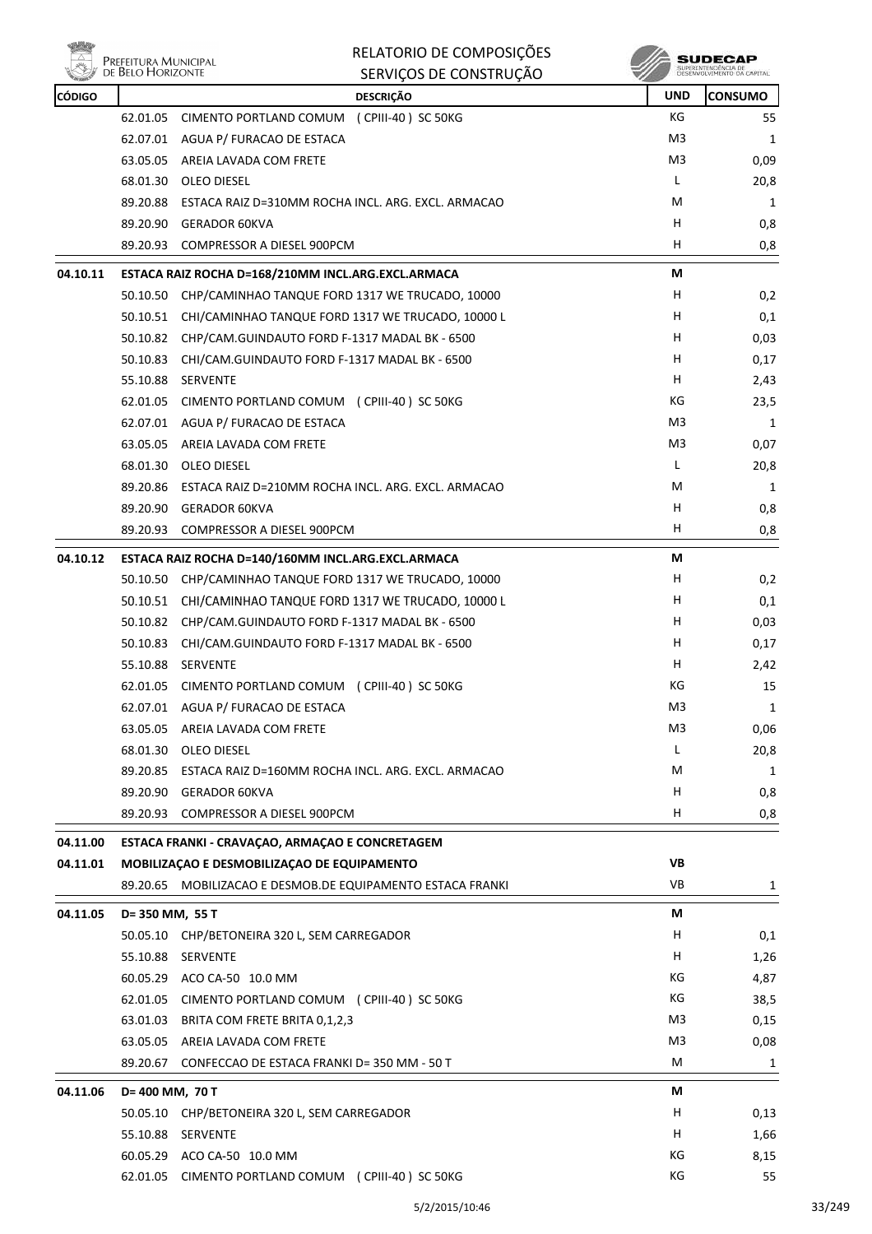

|               | Prefeitura Municipal<br>de Belo Horizonte | RELATORIO DE COMPOSIÇÕES                                    |                | SUDECAP                                           |
|---------------|-------------------------------------------|-------------------------------------------------------------|----------------|---------------------------------------------------|
|               |                                           | SERVIÇOS DE CONSTRUÇÃO                                      |                | SUPERINTENDÊNCIA DE<br>DESENVOLVIMENTO DA CAPITAL |
| <b>CÓDIGO</b> |                                           | <b>DESCRIÇÃO</b>                                            | <b>UND</b>     | <b>CONSUMO</b>                                    |
|               | 62.01.05                                  | CIMENTO PORTLAND COMUM (CPIII-40) SC 50KG                   | КG             | 55                                                |
|               | 62.07.01                                  | AGUA P/ FURACAO DE ESTACA                                   | M3             | 1                                                 |
|               | 63.05.05                                  | AREIA LAVADA COM FRETE                                      | M3             | 0,09                                              |
|               | 68.01.30                                  | OLEO DIESEL                                                 | L              | 20,8                                              |
|               | 89.20.88                                  | ESTACA RAIZ D=310MM ROCHA INCL. ARG. EXCL. ARMACAO          | M              | 1                                                 |
|               |                                           | 89.20.90 GERADOR 60KVA                                      | н              | 0,8                                               |
|               |                                           | 89.20.93 COMPRESSOR A DIESEL 900PCM                         | н              | 0,8                                               |
| 04.10.11      |                                           | ESTACA RAIZ ROCHA D=168/210MM INCL.ARG.EXCL.ARMACA          | М              |                                                   |
|               | 50.10.50                                  | CHP/CAMINHAO TANQUE FORD 1317 WE TRUCADO, 10000             | H              | 0,2                                               |
|               | 50.10.51                                  | CHI/CAMINHAO TANQUE FORD 1317 WE TRUCADO, 10000 L           | H              | 0,1                                               |
|               | 50.10.82                                  | CHP/CAM.GUINDAUTO FORD F-1317 MADAL BK - 6500               | н              | 0,03                                              |
|               | 50.10.83                                  | CHI/CAM.GUINDAUTO FORD F-1317 MADAL BK - 6500               | н              | 0,17                                              |
|               | 55.10.88                                  | <b>SERVENTE</b>                                             | н              | 2,43                                              |
|               | 62.01.05                                  | CIMENTO PORTLAND COMUM (CPIII-40) SC 50KG                   | КG             | 23,5                                              |
|               |                                           | 62.07.01 AGUA P/ FURACAO DE ESTACA                          | M <sub>3</sub> | 1                                                 |
|               | 63.05.05                                  | AREIA LAVADA COM FRETE                                      | M3             | 0,07                                              |
|               | 68.01.30                                  | OLEO DIESEL                                                 | L              | 20,8                                              |
|               |                                           | 89.20.86 ESTACA RAIZ D=210MM ROCHA INCL. ARG. EXCL. ARMACAO | M              | 1                                                 |
|               | 89.20.90                                  | GERADOR 60KVA                                               | H              | 0,8                                               |
|               | 89.20.93                                  | COMPRESSOR A DIESEL 900PCM                                  | H              | 0,8                                               |
| 04.10.12      |                                           | ESTACA RAIZ ROCHA D=140/160MM INCL.ARG.EXCL.ARMACA          | М              |                                                   |
|               | 50.10.50                                  | CHP/CAMINHAO TANQUE FORD 1317 WE TRUCADO, 10000             | H              | 0,2                                               |
|               | 50.10.51                                  | CHI/CAMINHAO TANQUE FORD 1317 WE TRUCADO, 10000 L           | н              | 0,1                                               |
|               | 50.10.82                                  | CHP/CAM.GUINDAUTO FORD F-1317 MADAL BK - 6500               | H              | 0,03                                              |
|               | 50.10.83                                  | CHI/CAM.GUINDAUTO FORD F-1317 MADAL BK - 6500               | H              | 0,17                                              |
|               | 55.10.88                                  | SERVENTE                                                    | н              | 2,42                                              |
|               |                                           | 62.01.05 CIMENTO PORTLAND COMUM (CPIII-40) SC 50KG          | КG             | 15                                                |
|               |                                           | 62.07.01 AGUA P/ FURACAO DE ESTACA                          | M3             | 1                                                 |
|               | 63.05.05                                  | AREIA LAVADA COM FRETE                                      | M <sub>3</sub> | 0,06                                              |
|               |                                           | 68.01.30 OLEO DIESEL                                        | L              | 20,8                                              |
|               |                                           | 89.20.85 ESTACA RAIZ D=160MM ROCHA INCL. ARG. EXCL. ARMACAO | М              | 1                                                 |
|               |                                           | 89.20.90 GERADOR 60KVA                                      | H              | 0,8                                               |
|               |                                           | 89.20.93 COMPRESSOR A DIESEL 900PCM                         | Н.             | 0,8                                               |
| 04.11.00      |                                           | ESTACA FRANKI - CRAVAÇAO, ARMAÇAO E CONCRETAGEM             |                |                                                   |
| 04.11.01      |                                           | MOBILIZAÇÃO E DESMOBILIZAÇÃO DE EQUIPAMENTO                 | VB             |                                                   |
|               |                                           | 89.20.65 MOBILIZACAO E DESMOB.DE EQUIPAMENTO ESTACA FRANKI  | VB             | 1                                                 |
| 04.11.05      | D= 350 MM, 55 T                           |                                                             | М              |                                                   |
|               |                                           | 50.05.10 CHP/BETONEIRA 320 L, SEM CARREGADOR                | H              | 0,1                                               |
|               |                                           | 55.10.88 SERVENTE                                           | H              | 1,26                                              |
|               |                                           | 60.05.29 ACO CA-50 10.0 MM                                  | КG             | 4,87                                              |
|               |                                           | 62.01.05 CIMENTO PORTLAND COMUM (CPIII-40) SC 50KG          | КG             | 38,5                                              |
|               | 63.01.03                                  | BRITA COM FRETE BRITA 0,1,2,3                               | M3             | 0,15                                              |
|               |                                           | 63.05.05 AREIA LAVADA COM FRETE                             | M3             | 0,08                                              |
|               | 89.20.67                                  | CONFECCAO DE ESTACA FRANKI D= 350 MM - 50 T                 | M              | 1                                                 |
| 04.11.06      | D= 400 MM, 70 T                           |                                                             | М              |                                                   |
|               |                                           | 50.05.10 CHP/BETONEIRA 320 L, SEM CARREGADOR                | H              | 0,13                                              |
|               |                                           | 55.10.88 SERVENTE                                           | H              | 1,66                                              |
|               |                                           | 60.05.29 ACO CA-50 10.0 MM                                  | KG             | 8,15                                              |
|               |                                           | 62.01.05 CIMENTO PORTLAND COMUM (CPIII-40) SC 50KG          | КG             | 55                                                |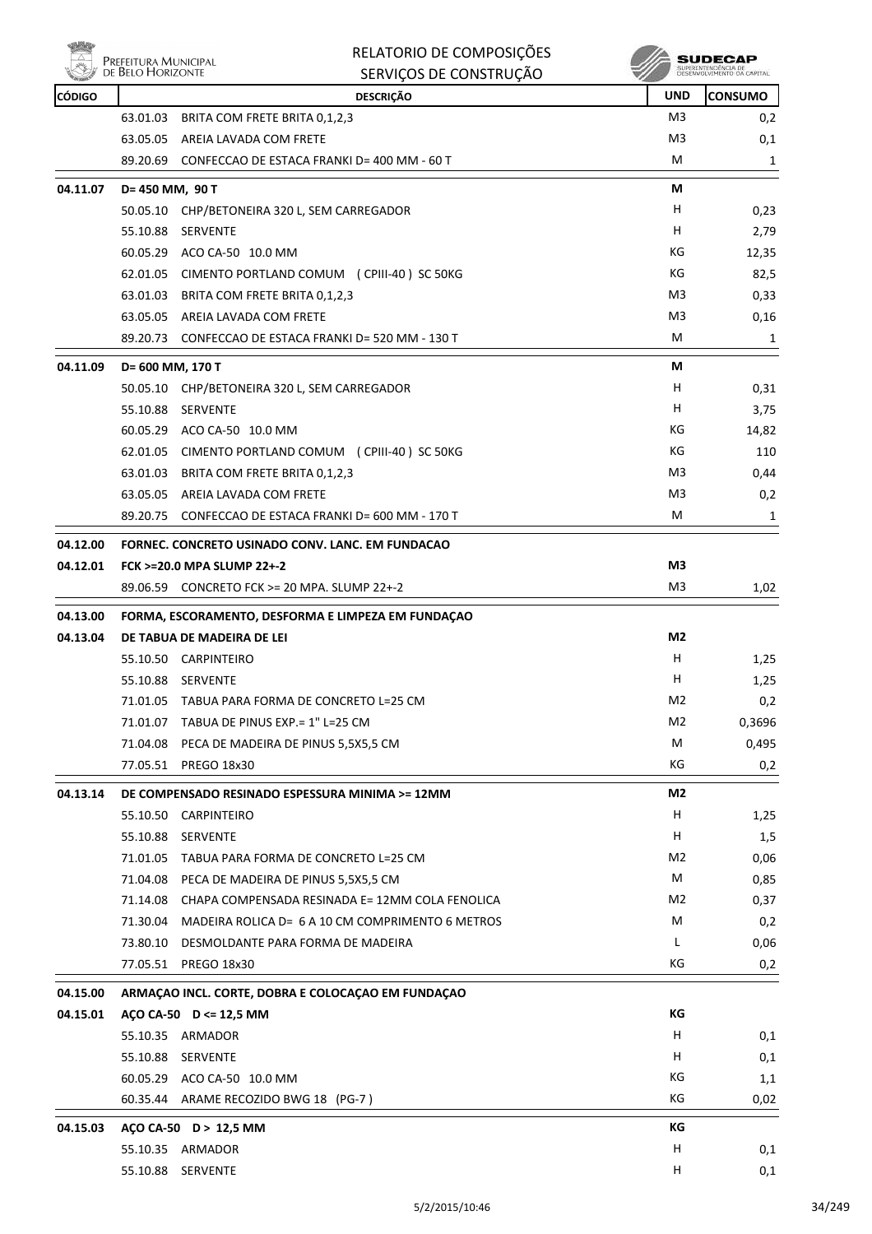|               | PREFEITURA MUNICIPAL<br>DE BELO HORIZONTE          | RELATORIO DE COMPOSIÇÕES<br>SERVIÇOS DE CONSTRUÇÃO        |                | SUDECA<br>SUPERINTENDÊNCIA DE<br>DESENVOLVIMENTO DA CAPITAL |
|---------------|----------------------------------------------------|-----------------------------------------------------------|----------------|-------------------------------------------------------------|
| <b>CÓDIGO</b> |                                                    | <b>DESCRIÇÃO</b>                                          | <b>UND</b>     | <b>CONSUMO</b>                                              |
|               | 63.01.03                                           | BRITA COM FRETE BRITA 0,1,2,3                             | M <sub>3</sub> | 0,2                                                         |
|               | 63.05.05                                           | AREIA LAVADA COM FRETE                                    | M3             | 0,1                                                         |
|               | 89.20.69                                           | CONFECCAO DE ESTACA FRANKI D= 400 MM - 60 T               | м              | 1                                                           |
| 04.11.07      | D= 450 MM, 90 T                                    |                                                           | М              |                                                             |
|               |                                                    | 50.05.10 CHP/BETONEIRA 320 L, SEM CARREGADOR              | H              | 0,23                                                        |
|               | 55.10.88                                           | SERVENTE                                                  | н              | 2,79                                                        |
|               |                                                    | 60.05.29 ACO CA-50 10.0 MM                                | КG             | 12,35                                                       |
|               |                                                    | 62.01.05 CIMENTO PORTLAND COMUM (CPIII-40) SC 50KG        | КG             | 82,5                                                        |
|               |                                                    | 63.01.03 BRITA COM FRETE BRITA 0,1,2,3                    | M3             | 0,33                                                        |
|               |                                                    | 63.05.05 AREIA LAVADA COM FRETE                           | M3             | 0,16                                                        |
|               |                                                    | 89.20.73 CONFECCAO DE ESTACA FRANKI D= 520 MM - 130 T     | М              | 1                                                           |
| 04.11.09      | D= 600 MM, 170 T                                   |                                                           | М              |                                                             |
|               | 50.05.10                                           | CHP/BETONEIRA 320 L, SEM CARREGADOR                       | H              | 0,31                                                        |
|               | 55.10.88                                           | SERVENTE                                                  | н              | 3,75                                                        |
|               |                                                    | 60.05.29 ACO CA-50 10.0 MM                                | КG             | 14,82                                                       |
|               |                                                    | 62.01.05 CIMENTO PORTLAND COMUM (CPIII-40) SC 50KG        | КG             | 110                                                         |
|               |                                                    | 63.01.03 BRITA COM FRETE BRITA 0,1,2,3                    | M3             | 0,44                                                        |
|               |                                                    | 63.05.05 AREIA LAVADA COM FRETE                           | M3             | 0,2                                                         |
|               | 89.20.75                                           | CONFECCAO DE ESTACA FRANKI D= 600 MM - 170 T              | м              | 1                                                           |
| 04.12.00      |                                                    | FORNEC. CONCRETO USINADO CONV. LANC. EM FUNDACAO          |                |                                                             |
| 04.12.01      |                                                    | <b>FCK &gt;=20.0 MPA SLUMP 22+-2</b>                      | M <sub>3</sub> |                                                             |
|               |                                                    | 89.06.59 CONCRETO FCK >= 20 MPA. SLUMP 22+-2              | M3             | 1,02                                                        |
| 04.13.00      |                                                    | FORMA, ESCORAMENTO, DESFORMA E LIMPEZA EM FUNDAÇÃO        |                |                                                             |
| 04.13.04      |                                                    | DE TABUA DE MADEIRA DE LEI                                | M2             |                                                             |
|               |                                                    | 55.10.50 CARPINTEIRO                                      | H              | 1,25                                                        |
|               |                                                    | 55.10.88 SERVENTE                                         | н              | 1,25                                                        |
|               | 71.01.05                                           | TABUA PARA FORMA DE CONCRETO L=25 CM                      | M <sub>2</sub> | 0,2                                                         |
|               | 71.01.07                                           | TABUA DE PINUS EXP. = 1" L=25 CM                          | M <sub>2</sub> | 0,3696                                                      |
|               | 71.04.08                                           | PECA DE MADEIRA DE PINUS 5,5X5,5 CM                       | м              | 0,495                                                       |
|               |                                                    | 77.05.51 PREGO 18x30                                      | КG             | 0,2                                                         |
| 04.13.14      | DE COMPENSADO RESINADO ESPESSURA MINIMA >= 12MM    |                                                           | M2             |                                                             |
|               | 55.10.50                                           | CARPINTEIRO                                               | H              | 1,25                                                        |
|               | 55.10.88                                           | SERVENTE                                                  | Н              | 1,5                                                         |
|               | 71.01.05                                           | TABUA PARA FORMA DE CONCRETO L=25 CM                      | M <sub>2</sub> | 0,06                                                        |
|               |                                                    | 71.04.08 PECA DE MADEIRA DE PINUS 5,5X5,5 CM              | М              | 0,85                                                        |
|               |                                                    | 71.14.08 CHAPA COMPENSADA RESINADA E= 12MM COLA FENOLICA  | M2             | 0,37                                                        |
|               |                                                    | 71.30.04 MADEIRA ROLICA D= 6 A 10 CM COMPRIMENTO 6 METROS | М              | 0,2                                                         |
|               | 73.80.10                                           | DESMOLDANTE PARA FORMA DE MADEIRA                         | L              | 0,06                                                        |
|               | 77.05.51                                           | PREGO 18x30                                               | КG             | 0,2                                                         |
| 04.15.00      | ARMAÇÃO INCL. CORTE, DOBRA E COLOCAÇÃO EM FUNDAÇÃO |                                                           |                |                                                             |
| 04.15.01      |                                                    | AÇO CA-50 D <= 12,5 MM                                    | КG             |                                                             |
|               |                                                    | 55.10.35 ARMADOR                                          | н              | 0,1                                                         |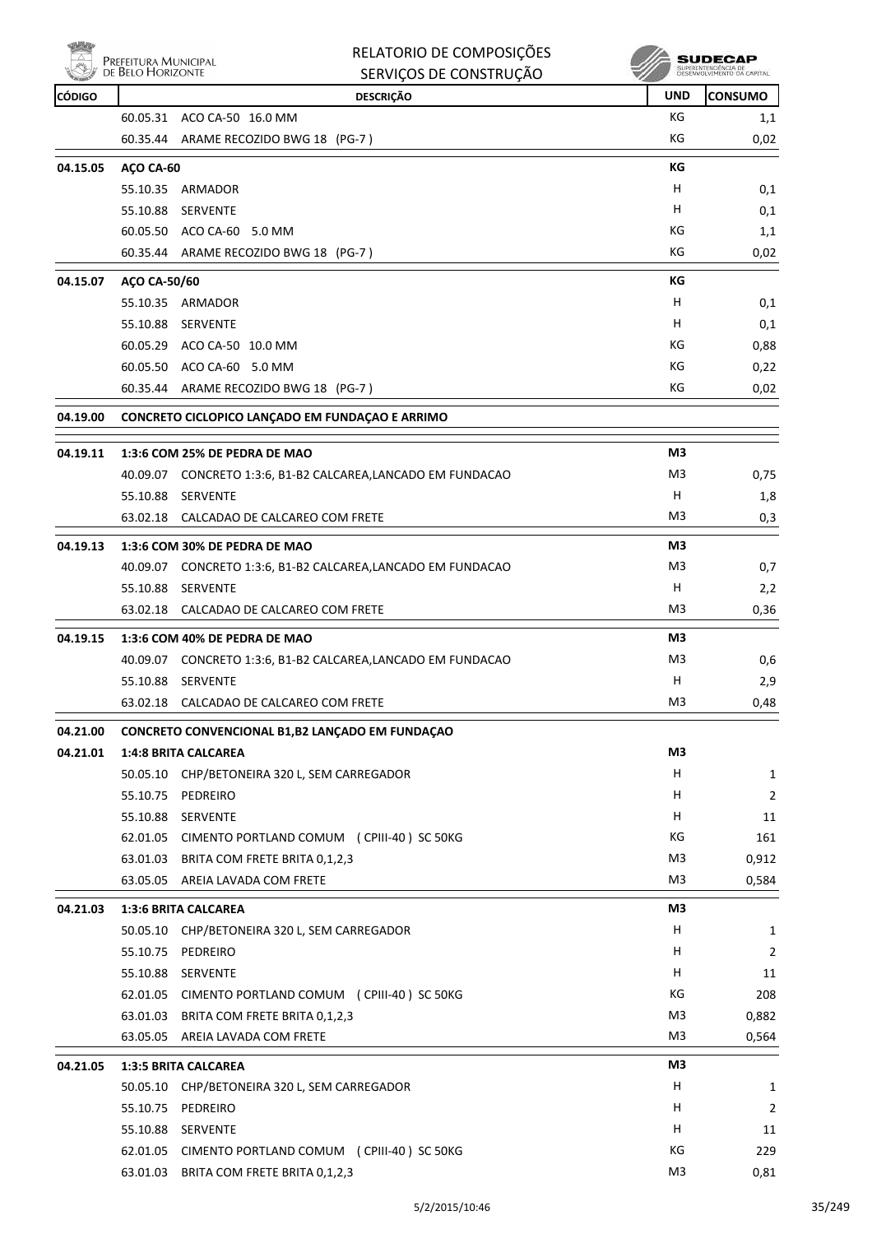

| RELATORIO DE COMPOSIÇÕES |
|--------------------------|
| SERVIÇOS DE CONSTRUÇÃO   |

**SUDECAP**<br>SUPERNITHOENCIA DE<br>DESENVOLVIMENTO CA CAPITAL

| <b>CÓDIGO</b> |                               | <b>DESCRIÇÃO</b>                                             | <b>UND</b> | <b>CONSUMO</b> |
|---------------|-------------------------------|--------------------------------------------------------------|------------|----------------|
|               |                               | 60.05.31 ACO CA-50 16.0 MM                                   | КG         | 1,1            |
|               | 60.35.44                      | ARAME RECOZIDO BWG 18 (PG-7)                                 | КG         | 0,02           |
| 04.15.05      | AÇO CA-60                     |                                                              | КG         |                |
|               |                               | 55.10.35 ARMADOR                                             | н          | 0,1            |
|               | 55.10.88                      | SERVENTE                                                     | н          | 0,1            |
|               |                               | 60.05.50 ACO CA-60 5.0 MM                                    | КG         | 1,1            |
|               |                               | 60.35.44 ARAME RECOZIDO BWG 18 (PG-7)                        | КG         | 0,02           |
| 04.15.07      | AÇO CA-50/60                  |                                                              | КG         |                |
|               |                               | 55.10.35 ARMADOR                                             | н          | 0,1            |
|               | 55.10.88                      | SERVENTE                                                     | н          | 0,1            |
|               |                               | 60.05.29 ACO CA-50 10.0 MM                                   | КG         | 0,88           |
|               |                               | 60.05.50 ACO CA-60 5.0 MM                                    | КG         | 0,22           |
|               |                               | 60.35.44 ARAME RECOZIDO BWG 18 (PG-7)                        | КG         | 0,02           |
|               |                               |                                                              |            |                |
| 04.19.00      |                               | CONCRETO CICLOPICO LANÇADO EM FUNDAÇÃO E ARRIMO              |            |                |
| 04.19.11      |                               | 1:3:6 COM 25% DE PEDRA DE MAO                                | M3         |                |
|               |                               | 40.09.07 CONCRETO 1:3:6, B1-B2 CALCAREA, LANCADO EM FUNDACAO | M3         | 0,75           |
|               | 55.10.88                      | SERVENTE                                                     | н          | 1,8            |
|               |                               | 63.02.18 CALCADAO DE CALCAREO COM FRETE                      | M3         | 0,3            |
| 04.19.13      | 1:3:6 COM 30% DE PEDRA DE MAO |                                                              | M3         |                |
|               |                               | 40.09.07 CONCRETO 1:3:6, B1-B2 CALCAREA, LANCADO EM FUNDACAO | M3         | 0,7            |
|               | 55.10.88                      | SERVENTE                                                     | н          | 2,2            |
|               |                               | 63.02.18 CALCADAO DE CALCAREO COM FRETE                      | M3         | 0,36           |
| 04.19.15      | 1:3:6 COM 40% DE PEDRA DE MAO |                                                              | M3         |                |
|               |                               | 40.09.07 CONCRETO 1:3:6, B1-B2 CALCAREA, LANCADO EM FUNDACAO | M3         | 0,6            |
|               | 55.10.88                      | SERVENTE                                                     | н          | 2,9            |
|               |                               | 63.02.18 CALCADAO DE CALCAREO COM FRETE                      | M3         | 0,48           |
| 04.21.00      |                               | CONCRETO CONVENCIONAL B1,B2 LANÇADO EM FUNDAÇAO              |            |                |
| 04.21.01      | <b>1:4:8 BRITA CALCAREA</b>   |                                                              | M3         |                |
|               |                               | 50.05.10 CHP/BETONEIRA 320 L, SEM CARREGADOR                 | н          | $\mathbf{1}$   |
|               | 55.10.75                      | PEDREIRO                                                     | н          | $\overline{2}$ |
|               | 55.10.88                      | <b>SERVENTE</b>                                              | н          | 11             |
|               |                               | 62.01.05 CIMENTO PORTLAND COMUM (CPIII-40) SC 50KG           | КG         | 161            |
|               | 63.01.03                      | BRITA COM FRETE BRITA 0,1,2,3                                | M3         | 0,912          |
|               |                               | 63.05.05 AREIA LAVADA COM FRETE                              | M3         | 0,584          |
| 04.21.03      |                               | <b>1:3:6 BRITA CALCAREA</b>                                  | M3         |                |
|               |                               | 50.05.10 CHP/BETONEIRA 320 L, SEM CARREGADOR                 | H          | $\mathbf{1}$   |
|               | 55.10.75                      | PEDREIRO                                                     | H          | $\overline{2}$ |
|               |                               | 55.10.88 SERVENTE                                            | H          | 11             |
|               |                               | 62.01.05 CIMENTO PORTLAND COMUM (CPIII-40) SC 50KG           | КG         | 208            |
|               | 63.01.03                      | BRITA COM FRETE BRITA 0,1,2,3                                | M3         | 0,882          |
|               |                               | 63.05.05 AREIA LAVADA COM FRETE                              | M3         | 0,564          |
| 04.21.05      | <b>1:3:5 BRITA CALCAREA</b>   |                                                              | M3         |                |
|               |                               | 50.05.10 CHP/BETONEIRA 320 L, SEM CARREGADOR                 | H          | 1              |
|               | 55.10.75                      | PEDREIRO                                                     | H.         | 2              |
|               |                               | 55.10.88 SERVENTE                                            | H          | 11             |
|               | 62.01.05                      | CIMENTO PORTLAND COMUM (CPIII-40) SC 50KG                    | КG         | 229            |
|               |                               | 63.01.03 BRITA COM FRETE BRITA 0,1,2,3                       | M3         | 0,81           |
|               |                               |                                                              |            |                |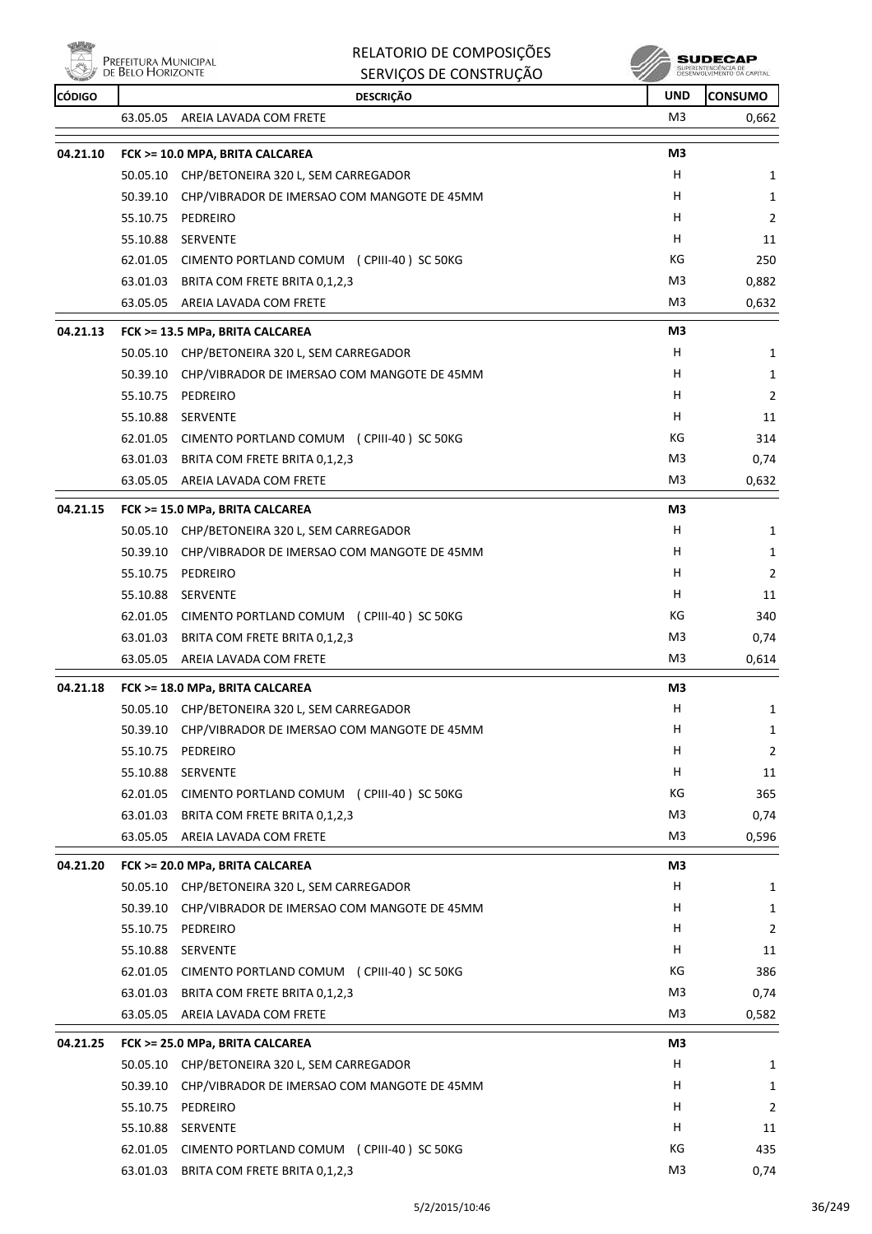

| RELATORIO DE COMPOSIÇÕES |  |
|--------------------------|--|
|--------------------------|--|

 $\sqrt{2}$ 

| $\triangle$<br>Prefeitura Municipal<br>de Belo Horizonte |          | <b>RELATORIO DE COMPOSIÇÕES</b><br>SERVIÇOS DE CONSTRUÇÃO | SUDECAP    |                |
|----------------------------------------------------------|----------|-----------------------------------------------------------|------------|----------------|
| <b>CÓDIGO</b>                                            |          | <b>DESCRIÇÃO</b>                                          | <b>UND</b> | <b>CONSUMO</b> |
|                                                          | 63.05.05 | AREIA LAVADA COM FRETE                                    | M3         | 0,662          |
| 04.21.10                                                 |          | FCK >= 10.0 MPA, BRITA CALCAREA                           | M3         |                |
|                                                          |          | 50.05.10 CHP/BETONEIRA 320 L, SEM CARREGADOR              | H          | 1              |
|                                                          | 50.39.10 | CHP/VIBRADOR DE IMERSAO COM MANGOTE DE 45MM               | H          | 1              |
|                                                          | 55.10.75 | PEDREIRO                                                  | H          | $\overline{2}$ |
|                                                          |          | 55.10.88 SERVENTE                                         | H          | 11             |
|                                                          |          | 62.01.05 CIMENTO PORTLAND COMUM (CPIII-40) SC 50KG        | КG         | 250            |
|                                                          | 63.01.03 | BRITA COM FRETE BRITA 0,1,2,3                             | M3         | 0,882          |
|                                                          | 63.05.05 | AREIA LAVADA COM FRETE                                    | M3         | 0,632          |
| 04.21.13                                                 |          | FCK >= 13.5 MPa, BRITA CALCAREA                           | M3         |                |
|                                                          |          | 50.05.10 CHP/BETONEIRA 320 L, SEM CARREGADOR              | н          | 1              |
|                                                          | 50.39.10 | CHP/VIBRADOR DE IMERSAO COM MANGOTE DE 45MM               | н          | 1              |
|                                                          | 55.10.75 | PEDREIRO                                                  | н          | 2              |
|                                                          | 55.10.88 | SERVENTE                                                  | н          | 11             |
|                                                          |          | 62.01.05 CIMENTO PORTLAND COMUM (CPIII-40) SC 50KG        | КG         | 314            |
|                                                          | 63.01.03 | BRITA COM FRETE BRITA 0,1,2,3                             | M3         | 0,74           |
|                                                          | 63.05.05 | AREIA LAVADA COM FRETE                                    | M3         | 0,632          |
| 04.21.15                                                 |          | FCK >= 15.0 MPa, BRITA CALCAREA                           | M3         |                |
|                                                          |          | 50.05.10 CHP/BETONEIRA 320 L, SEM CARREGADOR              | H          | 1              |
|                                                          | 50.39.10 | CHP/VIBRADOR DE IMERSAO COM MANGOTE DE 45MM               | н          | 1              |
|                                                          | 55.10.75 | PEDREIRO                                                  | H          | 2              |
|                                                          |          | 55.10.88 SERVENTE                                         | н          | 11             |
|                                                          |          | 62.01.05 CIMENTO PORTLAND COMUM (CPIII-40) SC 50KG        | КG         | 340            |
|                                                          | 63.01.03 | BRITA COM FRETE BRITA 0,1,2,3                             | M3         | 0,74           |
|                                                          |          | 63.05.05 AREIA LAVADA COM FRETE                           | M3         | 0,614          |
| 04.21.18                                                 |          | FCK >= 18.0 MPa, BRITA CALCAREA                           | M3         |                |
|                                                          |          | 50.05.10 CHP/BETONEIRA 320 L, SEM CARREGADOR              | H          | 1              |
|                                                          | 50.39.10 | CHP/VIBRADOR DE IMERSAO COM MANGOTE DE 45MM               | н          | 1              |
|                                                          | 55.10.75 | PEDREIRO                                                  | н          | 2              |
|                                                          |          | 55.10.88 SERVENTE                                         | H          | 11             |
|                                                          | 62.01.05 | CIMENTO PORTLAND COMUM (CPIII-40) SC 50KG                 | КG         | 365            |
|                                                          | 63.01.03 | BRITA COM FRETE BRITA 0,1,2,3                             | M3         | 0,74           |
|                                                          | 63.05.05 | AREIA LAVADA COM FRETE                                    | M3         | 0,596          |
| 04.21.20                                                 |          | FCK >= 20.0 MPa, BRITA CALCAREA                           | M3         |                |
|                                                          |          | 50.05.10 CHP/BETONEIRA 320 L, SEM CARREGADOR              | H          | 1              |
|                                                          | 50.39.10 | CHP/VIBRADOR DE IMERSAO COM MANGOTE DE 45MM               | H          | 1              |
|                                                          |          | 55.10.75 PEDREIRO                                         | H          | $\overline{2}$ |
|                                                          |          | 55.10.88 SERVENTE                                         | H          | 11             |
|                                                          |          | 62.01.05 CIMENTO PORTLAND COMUM (CPIII-40) SC 50KG        | КG         | 386            |
|                                                          | 63.01.03 | BRITA COM FRETE BRITA 0,1,2,3                             | M3         | 0,74           |
|                                                          | 63.05.05 | AREIA LAVADA COM FRETE                                    | M3         | 0,582          |
| 04.21.25                                                 |          | FCK >= 25.0 MPa, BRITA CALCAREA                           | M3         |                |
|                                                          |          | 50.05.10 CHP/BETONEIRA 320 L, SEM CARREGADOR              | H          | 1              |
|                                                          | 50.39.10 | CHP/VIBRADOR DE IMERSAO COM MANGOTE DE 45MM               | H          | 1              |
|                                                          |          | 55.10.75 PEDREIRO                                         | H          | 2              |
|                                                          |          | 55.10.88 SERVENTE                                         | H          | 11             |

62.01.05 CIMENTO PORTLAND COMUM (CPIII-40) SC 50KG KG KG KG 435 63.01.03 BRITA COM FRETE BRITA 0,1,2,3 M3 0,74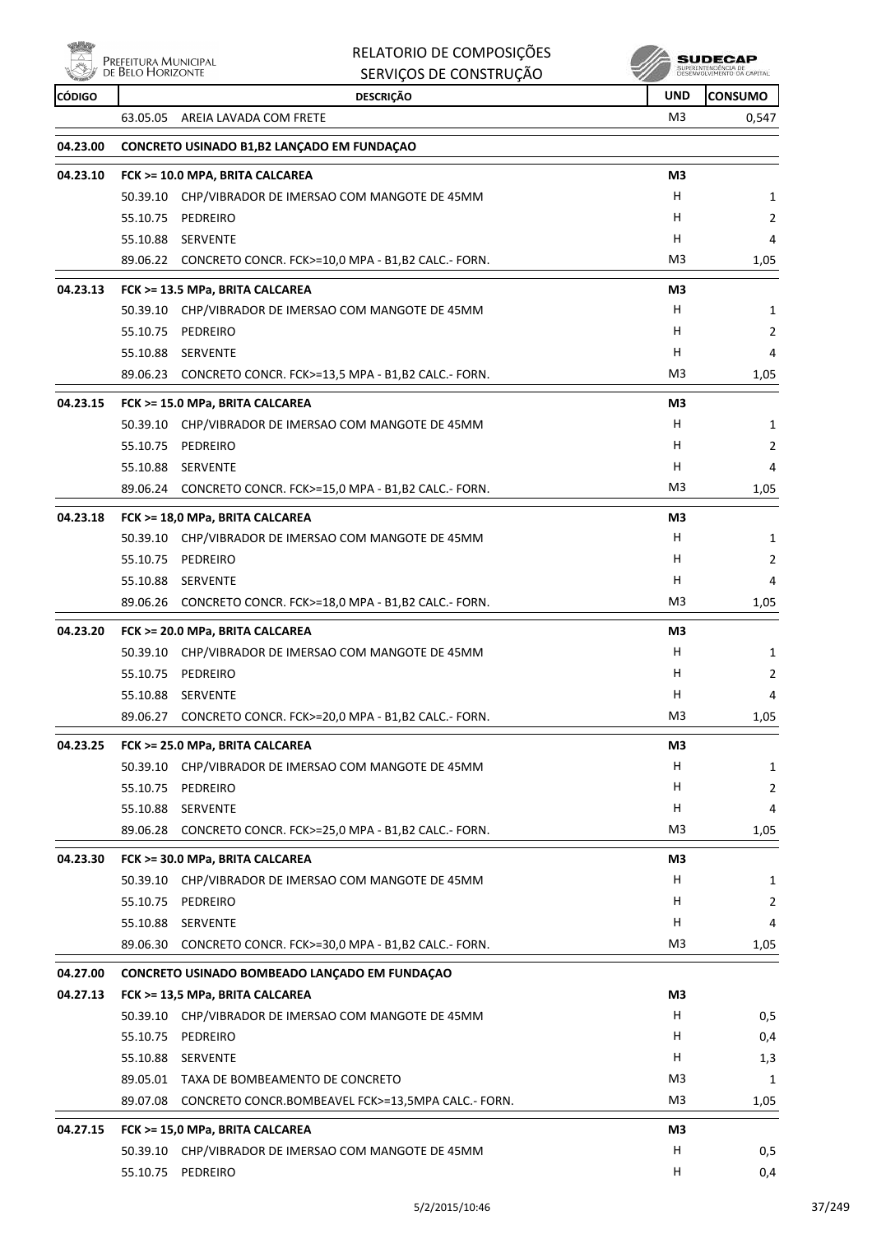

### RELATORIO DE COMPOSIÇÕES SERVIÇOS DE CONSTRUÇÃO

**SUDECAP**<br>SUPERNITHOENCIA DE<br>DESENVOLVIMENTO CA CAPITAL

| <b>CÓDIGO</b> | <b>DESCRIÇÃO</b>                                               | <b>UND</b>     | <b>CONSUMO</b> |
|---------------|----------------------------------------------------------------|----------------|----------------|
|               | 63.05.05 AREIA LAVADA COM FRETE                                | M3             | 0,547          |
| 04.23.00      | CONCRETO USINADO B1, B2 LANÇADO EM FUNDAÇÃO                    |                |                |
| 04.23.10      | FCK >= 10.0 MPA, BRITA CALCAREA                                | M <sub>3</sub> |                |
|               | 50.39.10 CHP/VIBRADOR DE IMERSAO COM MANGOTE DE 45MM           | H              | 1              |
|               | 55.10.75<br>PEDREIRO                                           | H              | 2              |
|               | 55.10.88 SERVENTE                                              | H              | 4              |
|               | 89.06.22 CONCRETO CONCR. FCK>=10,0 MPA - B1,B2 CALC.- FORN.    | M <sub>3</sub> | 1,05           |
| 04.23.13      | FCK >= 13.5 MPa, BRITA CALCAREA                                | M3             |                |
|               | 50.39.10 CHP/VIBRADOR DE IMERSAO COM MANGOTE DE 45MM           | H              | 1              |
|               | 55.10.75 PEDREIRO                                              | H              | 2              |
|               | 55.10.88 SERVENTE                                              | H              | 4              |
|               | 89.06.23 CONCRETO CONCR. FCK>=13,5 MPA - B1,B2 CALC.- FORN.    | M3             | 1,05           |
| 04.23.15      | FCK >= 15.0 MPa, BRITA CALCAREA                                | M3             |                |
|               | 50.39.10 CHP/VIBRADOR DE IMERSAO COM MANGOTE DE 45MM           | Н              | 1              |
|               | 55.10.75 PEDREIRO                                              | H              | 2              |
|               | 55.10.88 SERVENTE                                              | H              | 4              |
|               | 89.06.24<br>CONCRETO CONCR. FCK>=15,0 MPA - B1,B2 CALC.- FORN. | M <sub>3</sub> | 1,05           |
| 04.23.18      | FCK >= 18,0 MPa, BRITA CALCAREA                                | M3             |                |
|               | 50.39.10 CHP/VIBRADOR DE IMERSAO COM MANGOTE DE 45MM           | H              | 1              |
|               | 55.10.75 PEDREIRO                                              | H              | 2              |
|               | 55.10.88 SERVENTE                                              | H              | 4              |
|               | 89.06.26 CONCRETO CONCR. FCK>=18,0 MPA - B1,B2 CALC.- FORN.    | M <sub>3</sub> | 1,05           |
| 04.23.20      | FCK >= 20.0 MPa, BRITA CALCAREA                                | M3             |                |
|               | 50.39.10 CHP/VIBRADOR DE IMERSAO COM MANGOTE DE 45MM           | H.             | 1              |
|               | 55.10.75 PEDREIRO                                              | H              | 2              |
|               | 55.10.88 SERVENTE                                              | H              | 4              |
|               | 89.06.27<br>CONCRETO CONCR. FCK>=20,0 MPA - B1,B2 CALC.- FORN. | M3             | 1,05           |
| 04.23.25      | FCK >= 25.0 MPa, BRITA CALCAREA                                | M3             |                |
|               | 50.39.10 CHP/VIBRADOR DE IMERSAO COM MANGOTE DE 45MM           | H.             | 1              |
|               | 55.10.75 PEDREIRO                                              | Н              | 2              |
|               | 55.10.88 SERVENTE                                              | H              | 4              |
|               | 89.06.28<br>CONCRETO CONCR. FCK>=25,0 MPA - B1,B2 CALC.- FORN. | M3             | 1,05           |
| 04.23.30      | FCK >= 30.0 MPa, BRITA CALCAREA                                | M3             |                |
|               | 50.39.10 CHP/VIBRADOR DE IMERSAO COM MANGOTE DE 45MM           | H.             | 1              |
|               | 55.10.75 PEDREIRO                                              | Н              | 2              |
|               | 55.10.88 SERVENTE                                              | Н              | 4              |
|               | 89.06.30 CONCRETO CONCR. FCK>=30,0 MPA - B1,B2 CALC.- FORN.    | M3             | 1,05           |
| 04.27.00      | CONCRETO USINADO BOMBEADO LANÇADO EM FUNDAÇÃO                  |                |                |
| 04.27.13      | FCK >= 13,5 MPa, BRITA CALCAREA                                | M3             |                |
|               | 50.39.10 CHP/VIBRADOR DE IMERSAO COM MANGOTE DE 45MM           | H              | 0,5            |
|               | 55.10.75 PEDREIRO                                              | H              | 0,4            |
|               | 55.10.88 SERVENTE                                              | H              | 1,3            |
|               | 89.05.01 TAXA DE BOMBEAMENTO DE CONCRETO                       | M <sub>3</sub> | 1              |
|               | 89.07.08 CONCRETO CONCR.BOMBEAVEL FCK>=13,5MPA CALC.- FORN.    | M3             | 1,05           |
| 04.27.15      | FCK >= 15,0 MPa, BRITA CALCAREA                                | M3             |                |
|               | 50.39.10 CHP/VIBRADOR DE IMERSAO COM MANGOTE DE 45MM           | H              | 0,5            |
|               | 55.10.75 PEDREIRO                                              | H              | 0,4            |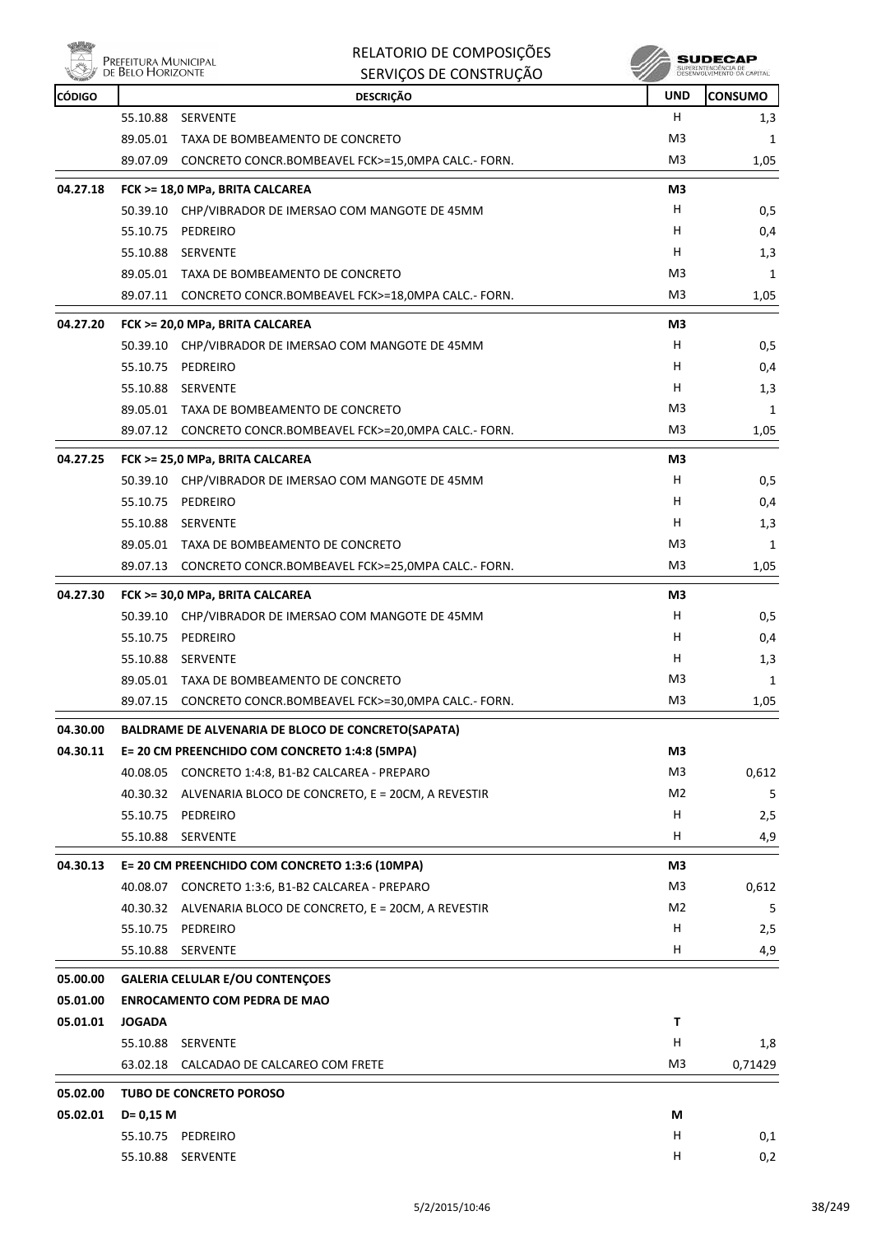

#### RELATORIO DE COMPOSIÇÕES SERVIÇOS DE CONSTRUÇÃO

| <b>SUDECAP</b>                                  |
|-------------------------------------------------|
| SUPERINTENDENCIA DE<br>DESEMITHMENTO DA CARITAJ |

| <b>REAL PROPERTY</b> | <b>DE DELO LIONIZONIE</b> | SERVIÇUS DE CUNSTRUÇÃO                                      | w              |                |
|----------------------|---------------------------|-------------------------------------------------------------|----------------|----------------|
| <b>CÓDIGO</b>        |                           | <b>DESCRIÇÃO</b>                                            | <b>UND</b>     | <b>CONSUMO</b> |
|                      |                           | 55.10.88 SERVENTE                                           | H.             | 1,3            |
|                      |                           | 89.05.01 TAXA DE BOMBEAMENTO DE CONCRETO                    | M3             | 1              |
|                      |                           | 89.07.09 CONCRETO CONCR.BOMBEAVEL FCK>=15,0MPA CALC.- FORN. | M3             | 1,05           |
| 04.27.18             |                           | FCK >= 18,0 MPa, BRITA CALCAREA                             | M3             |                |
|                      |                           | 50.39.10 CHP/VIBRADOR DE IMERSAO COM MANGOTE DE 45MM        | н              | 0,5            |
|                      |                           | 55.10.75 PEDREIRO                                           | н              | 0,4            |
|                      |                           | 55.10.88 SERVENTE                                           | H              | 1,3            |
|                      |                           | 89.05.01 TAXA DE BOMBEAMENTO DE CONCRETO                    | M3             | 1              |
|                      |                           | 89.07.11 CONCRETO CONCR.BOMBEAVEL FCK>=18,0MPA CALC.- FORN. | M3             | 1,05           |
| 04.27.20             |                           | FCK >= 20,0 MPa, BRITA CALCAREA                             | M3             |                |
|                      |                           | 50.39.10 CHP/VIBRADOR DE IMERSAO COM MANGOTE DE 45MM        | H.             | 0,5            |
|                      |                           | 55.10.75 PEDREIRO                                           | H              | 0,4            |
|                      |                           | 55.10.88 SERVENTE                                           | H              | 1,3            |
|                      |                           | 89.05.01 TAXA DE BOMBEAMENTO DE CONCRETO                    | M <sub>3</sub> | 1              |
|                      |                           | 89.07.12 CONCRETO CONCR.BOMBEAVEL FCK>=20,0MPA CALC.- FORN. | M3             | 1,05           |
| 04.27.25             |                           | FCK >= 25,0 MPa, BRITA CALCAREA                             | M3             |                |
|                      |                           | 50.39.10 CHP/VIBRADOR DE IMERSAO COM MANGOTE DE 45MM        | H              | 0,5            |
|                      |                           | 55.10.75 PEDREIRO                                           | H              | 0,4            |
|                      |                           | 55.10.88 SERVENTE                                           | H              | 1,3            |
|                      |                           | 89.05.01 TAXA DE BOMBEAMENTO DE CONCRETO                    | M3             | 1              |
|                      |                           | 89.07.13 CONCRETO CONCR.BOMBEAVEL FCK>=25,0MPA CALC.- FORN. | M3             | 1,05           |
| 04.27.30             |                           | FCK >= 30,0 MPa, BRITA CALCAREA                             | M3             |                |
|                      |                           | 50.39.10 CHP/VIBRADOR DE IMERSAO COM MANGOTE DE 45MM        | H.             | 0,5            |
|                      |                           | 55.10.75 PEDREIRO                                           | н              | 0,4            |
|                      |                           | 55.10.88 SERVENTE                                           | H              | 1,3            |
|                      |                           | 89.05.01 TAXA DE BOMBEAMENTO DE CONCRETO                    | M3             | 1              |
|                      |                           | 89.07.15 CONCRETO CONCR.BOMBEAVEL FCK>=30,0MPA CALC.- FORN. | M3             | 1,05           |
|                      |                           |                                                             |                |                |
| 04.30.00             |                           | <b>BALDRAME DE ALVENARIA DE BLOCO DE CONCRETO(SAPATA)</b>   |                |                |
| 04.30.11             |                           | E= 20 CM PREENCHIDO COM CONCRETO 1:4:8 (5MPA)               | M3             |                |
|                      |                           | 40.08.05 CONCRETO 1:4:8, B1-B2 CALCAREA - PREPARO           | M <sub>3</sub> | 0,612          |
|                      |                           | 40.30.32 ALVENARIA BLOCO DE CONCRETO, E = 20CM, A REVESTIR  | M2             | 5              |
|                      |                           | 55.10.75 PEDREIRO                                           | H              | 2,5            |
|                      | 55.10.88                  | SERVENTE                                                    | H              | 4,9            |
| 04.30.13             |                           | E= 20 CM PREENCHIDO COM CONCRETO 1:3:6 (10MPA)              | M3             |                |
|                      |                           | 40.08.07 CONCRETO 1:3:6, B1-B2 CALCAREA - PREPARO           | M3             | 0,612          |
|                      |                           | 40.30.32 ALVENARIA BLOCO DE CONCRETO, E = 20CM, A REVESTIR  | M2             | 5              |
|                      |                           | 55.10.75 PEDREIRO                                           | H              | 2,5            |
|                      | 55.10.88                  | <b>SERVENTE</b>                                             | H              | 4,9            |
| 05.00.00             |                           | <b>GALERIA CELULAR E/OU CONTENÇOES</b>                      |                |                |
| 05.01.00             |                           | <b>ENROCAMENTO COM PEDRA DE MAO</b>                         |                |                |
| 05.01.01             | <b>JOGADA</b>             |                                                             | Τ              |                |
|                      |                           | 55.10.88 SERVENTE                                           | н              | 1,8            |
|                      | 63.02.18                  | CALCADAO DE CALCAREO COM FRETE                              | M <sub>3</sub> | 0,71429        |
| 05.02.00             |                           | TUBO DE CONCRETO POROSO                                     |                |                |
| 05.02.01             | $D = 0,15$ M              |                                                             | М              |                |
|                      |                           | 55.10.75 PEDREIRO                                           | H              | 0,1            |
|                      |                           | 55.10.88 SERVENTE                                           | н              | 0,2            |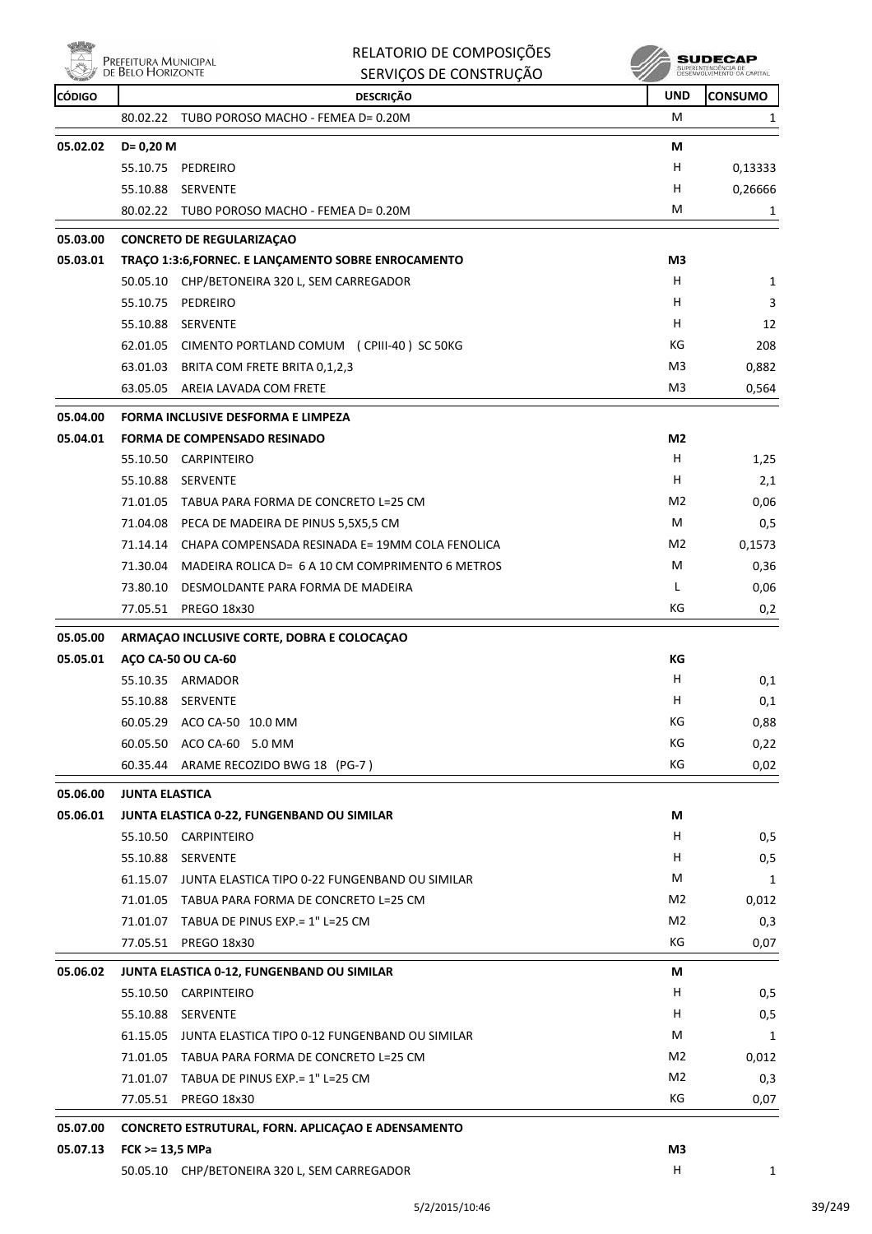|               | PREFEITURA MUNICIPAL  | RELATORIO DE COMPOSIÇÕES                                 |                | SUDECAP                                          |
|---------------|-----------------------|----------------------------------------------------------|----------------|--------------------------------------------------|
|               | DE BELO HORIZONTE     | SERVIÇOS DE CONSTRUÇÃO                                   |                | SUPERINTENDÊNCIA DE<br>DESENVOLVIMENTO DA CAPITA |
| <b>CÓDIGO</b> |                       | <b>DESCRIÇÃO</b>                                         | <b>UND</b>     | <b>CONSUMO</b>                                   |
|               | 80.02.22              | TUBO POROSO MACHO - FEMEA D= 0.20M                       | м              | 1                                                |
| 05.02.02      | $D = 0,20$ M          |                                                          | М              |                                                  |
|               | 55.10.75              | PEDREIRO                                                 | н              | 0,13333                                          |
|               | 55.10.88              | <b>SERVENTE</b>                                          | н              | 0,26666                                          |
|               |                       | 80.02.22 TUBO POROSO MACHO - FEMEA D= 0.20M              | м              | 1                                                |
| 05.03.00      |                       | <b>CONCRETO DE REGULARIZAÇÃO</b>                         |                |                                                  |
| 05.03.01      |                       | TRAÇO 1:3:6, FORNEC. E LANÇAMENTO SOBRE ENROCAMENTO      | M3             |                                                  |
|               |                       | 50.05.10 CHP/BETONEIRA 320 L, SEM CARREGADOR             | н              | 1                                                |
|               | 55.10.75              | PEDREIRO                                                 | н              | 3                                                |
|               | 55.10.88              | SERVENTE                                                 | H              | 12                                               |
|               |                       | 62.01.05 CIMENTO PORTLAND COMUM (CPIII-40) SC 50KG       | КG             | 208                                              |
|               |                       | 63.01.03 BRITA COM FRETE BRITA 0,1,2,3                   | M <sub>3</sub> | 0,882                                            |
|               |                       | 63.05.05 AREIA LAVADA COM FRETE                          | M <sub>3</sub> | 0,564                                            |
|               |                       |                                                          |                |                                                  |
| 05.04.00      |                       | FORMA INCLUSIVE DESFORMA E LIMPEZA                       |                |                                                  |
| 05.04.01      |                       | <b>FORMA DE COMPENSADO RESINADO</b>                      | M2             |                                                  |
|               |                       | 55.10.50 CARPINTEIRO                                     | H              | 1,25                                             |
|               | 55.10.88              | <b>SERVENTE</b>                                          | н<br>M2        | 2,1                                              |
|               | 71.01.05              | TABUA PARA FORMA DE CONCRETO L=25 CM                     |                | 0,06                                             |
|               |                       | 71.04.08 PECA DE MADEIRA DE PINUS 5,5X5,5 CM             | M              | 0,5                                              |
|               |                       | 71.14.14 CHAPA COMPENSADA RESINADA E= 19MM COLA FENOLICA | M2             | 0,1573                                           |
|               | 71.30.04              | MADEIRA ROLICA D= 6 A 10 CM COMPRIMENTO 6 METROS         | м<br>L         | 0,36                                             |
|               | 73.80.10              | DESMOLDANTE PARA FORMA DE MADEIRA                        | КG             | 0,06                                             |
|               | 77.05.51              | <b>PREGO 18x30</b>                                       |                | 0,2                                              |
| 05.05.00      |                       | ARMAÇÃO INCLUSIVE CORTE, DOBRA E COLOCAÇÃO               |                |                                                  |
| 05.05.01      |                       | AÇO CA-50 OU CA-60                                       | КG             |                                                  |
|               |                       | 55.10.35 ARMADOR                                         | н              | 0,1                                              |
|               | 55.10.88              | <b>SERVENTE</b>                                          | H,             | 0,1                                              |
|               |                       | 60.05.29 ACO CA-50 10.0 MM                               | КG             | 0,88                                             |
|               |                       | 60.05.50 ACO CA-60 5.0 MM                                | КG             | 0,22                                             |
|               |                       | 60.35.44 ARAME RECOZIDO BWG 18 (PG-7)                    | КG             | 0,02                                             |
| 05.06.00      | <b>JUNTA ELASTICA</b> |                                                          |                |                                                  |
| 05.06.01      |                       | JUNTA ELASTICA 0-22, FUNGENBAND OU SIMILAR               | М              |                                                  |
|               |                       | 55.10.50 CARPINTEIRO                                     | H.             | 0,5                                              |
|               |                       | 55.10.88 SERVENTE                                        | H              | 0,5                                              |
|               |                       | 61.15.07 JUNTA ELASTICA TIPO 0-22 FUNGENBAND OU SIMILAR  | М              | 1                                                |
|               |                       | 71.01.05 TABUA PARA FORMA DE CONCRETO L=25 CM            | M2             | 0,012                                            |
|               |                       | 71.01.07 TABUA DE PINUS EXP.= 1" L=25 CM                 | M2             | 0,3                                              |
|               |                       | 77.05.51 PREGO 18x30                                     | КG             | 0,07                                             |
| 05.06.02      |                       | JUNTA ELASTICA 0-12, FUNGENBAND OU SIMILAR               | М              |                                                  |
|               |                       | 55.10.50 CARPINTEIRO                                     | H              | 0,5                                              |
|               |                       | 55.10.88 SERVENTE                                        | H.             | 0,5                                              |
|               |                       | 61.15.05 JUNTA ELASTICA TIPO 0-12 FUNGENBAND OU SIMILAR  | М              | 1                                                |
|               |                       | 71.01.05 TABUA PARA FORMA DE CONCRETO L=25 CM            | M <sub>2</sub> | 0,012                                            |
|               |                       | 71.01.07 TABUA DE PINUS EXP.= 1" L=25 CM                 | M2             | 0,3                                              |
|               |                       | 77.05.51 PREGO 18x30                                     | КG             | 0,07                                             |
| 05.07.00      |                       | CONCRETO ESTRUTURAL, FORN. APLICAÇAO E ADENSAMENTO       |                |                                                  |

# **05.07.13 FCK >= 13,5 MPa M3**

50.05.10 CHP/BETONEIRA 320 L, SEM CARREGADOR H 1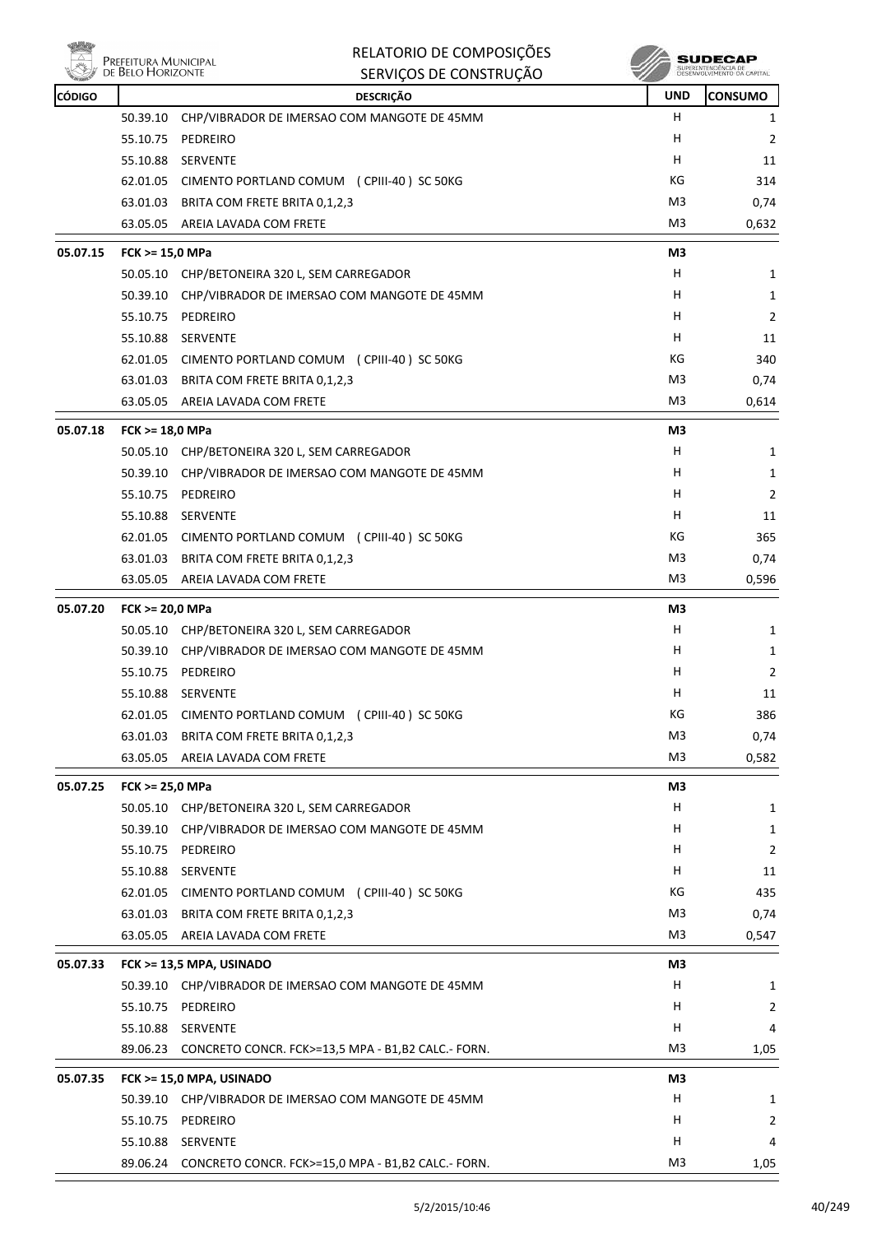

| $\wedge$ | Prefeitura Municipal<br>de Belo Horizonte | RELATORIO DE COMPOSIÇÕES                                    |                | SUDECAP<br>SUPERINTENDÊNCIA DE<br>DESENVOLVIMENTO DA CAPITAL |
|----------|-------------------------------------------|-------------------------------------------------------------|----------------|--------------------------------------------------------------|
| CÓDIGO   |                                           | SERVIÇOS DE CONSTRUÇÃO<br><b>DESCRIÇÃO</b>                  | <b>UND</b>     | <b>CONSUMO</b>                                               |
|          | 50.39.10                                  | CHP/VIBRADOR DE IMERSAO COM MANGOTE DE 45MM                 | н              | 1                                                            |
|          | 55.10.75                                  | PEDREIRO                                                    | н              | 2                                                            |
|          | 55.10.88                                  | <b>SERVENTE</b>                                             | н              | 11                                                           |
|          |                                           | 62.01.05 CIMENTO PORTLAND COMUM (CPIII-40) SC 50KG          | КG             | 314                                                          |
|          |                                           | 63.01.03 BRITA COM FRETE BRITA 0,1,2,3                      | M3             | 0,74                                                         |
|          | 63.05.05                                  | AREIA LAVADA COM FRETE                                      | M3             | 0,632                                                        |
| 05.07.15 | FCK >= 15,0 MPa                           |                                                             | M3             |                                                              |
|          |                                           | 50.05.10 CHP/BETONEIRA 320 L, SEM CARREGADOR                | н              | 1                                                            |
|          | 50.39.10                                  | CHP/VIBRADOR DE IMERSAO COM MANGOTE DE 45MM                 | н              | 1                                                            |
|          | 55.10.75 PEDREIRO                         |                                                             | н              | 2                                                            |
|          | 55.10.88                                  | SERVENTE                                                    | н              | 11                                                           |
|          |                                           | 62.01.05 CIMENTO PORTLAND COMUM (CPIII-40) SC 50KG          | КG             | 340                                                          |
|          | 63.01.03                                  | BRITA COM FRETE BRITA 0,1,2,3                               | M3             | 0,74                                                         |
|          | 63.05.05                                  | AREIA LAVADA COM FRETE                                      | M3             | 0,614                                                        |
| 05.07.18 | FCK >= 18,0 MPa                           |                                                             | M3             |                                                              |
|          | 50.05.10                                  | CHP/BETONEIRA 320 L, SEM CARREGADOR                         | н              | 1                                                            |
|          | 50.39.10                                  | CHP/VIBRADOR DE IMERSAO COM MANGOTE DE 45MM                 | н              | 1                                                            |
|          | 55.10.75                                  | PEDREIRO                                                    | н              | 2                                                            |
|          | 55.10.88                                  | SERVENTE                                                    | н              | 11                                                           |
|          |                                           | 62.01.05 CIMENTO PORTLAND COMUM (CPIII-40) SC 50KG          | КG             | 365                                                          |
|          | 63.01.03                                  | BRITA COM FRETE BRITA 0,1,2,3                               | M3             | 0,74                                                         |
|          | 63.05.05                                  | AREIA LAVADA COM FRETE                                      | M3             | 0,596                                                        |
| 05.07.20 | FCK >= 20,0 MPa                           |                                                             | M3             |                                                              |
|          | 50.05.10                                  | CHP/BETONEIRA 320 L, SEM CARREGADOR                         | н              | 1                                                            |
|          |                                           | 50.39.10 CHP/VIBRADOR DE IMERSAO COM MANGOTE DE 45MM        | н              | 1                                                            |
|          | 55.10.75                                  | PEDREIRO                                                    | н              | 2                                                            |
|          | 55.10.88                                  | SERVENTE                                                    | н              | 11                                                           |
|          | 62.01.05                                  | CIMENTO PORTLAND COMUM (CPIII-40) SC 50KG                   | КG             | 386                                                          |
|          | 63.01.03                                  | BRITA COM FRETE BRITA 0,1,2,3                               | M <sub>3</sub> | 0,74                                                         |
|          | 63.05.05                                  | AREIA LAVADA COM FRETE                                      | M <sub>3</sub> | 0,582                                                        |
| 05.07.25 | FCK >= 25,0 MPa                           |                                                             | M3             |                                                              |
|          |                                           | 50.05.10 CHP/BETONEIRA 320 L, SEM CARREGADOR                | H              | 1                                                            |
|          | 50.39.10                                  | CHP/VIBRADOR DE IMERSAO COM MANGOTE DE 45MM                 | н              | 1                                                            |
|          | 55.10.75                                  | PEDREIRO                                                    | н              | 2                                                            |
|          | 55.10.88 SERVENTE                         |                                                             | н              | 11                                                           |
|          |                                           | 62.01.05 CIMENTO PORTLAND COMUM (CPIII-40) SC 50KG          | KG             | 435                                                          |
|          |                                           | 63.01.03 BRITA COM FRETE BRITA 0,1,2,3                      | M <sub>3</sub> | 0,74                                                         |
|          | 63.05.05                                  | AREIA LAVADA COM FRETE                                      | M <sub>3</sub> | 0,547                                                        |
| 05.07.33 |                                           | FCK >= 13,5 MPA, USINADO                                    | M3             |                                                              |
|          |                                           | 50.39.10 CHP/VIBRADOR DE IMERSAO COM MANGOTE DE 45MM        | H              | 1                                                            |
|          | 55.10.75                                  | PEDREIRO                                                    | н              | $\overline{2}$                                               |
|          | 55.10.88 SERVENTE                         |                                                             | н              | 4                                                            |
|          |                                           | 89.06.23 CONCRETO CONCR. FCK>=13,5 MPA - B1,B2 CALC.- FORN. | M3             | 1,05                                                         |
| 05.07.35 |                                           | FCK >= 15,0 MPA, USINADO                                    | M3             |                                                              |
|          |                                           | 50.39.10 CHP/VIBRADOR DE IMERSAO COM MANGOTE DE 45MM        | н              | 1                                                            |
|          | 55.10.75 PEDREIRO                         |                                                             | н              | 2                                                            |
|          | 55.10.88 SERVENTE                         |                                                             | н              | 4                                                            |

89.06.24 CONCRETO CONCR. FCK>=15,0 MPA - B1,B2 CALC.- FORN. M3 1,05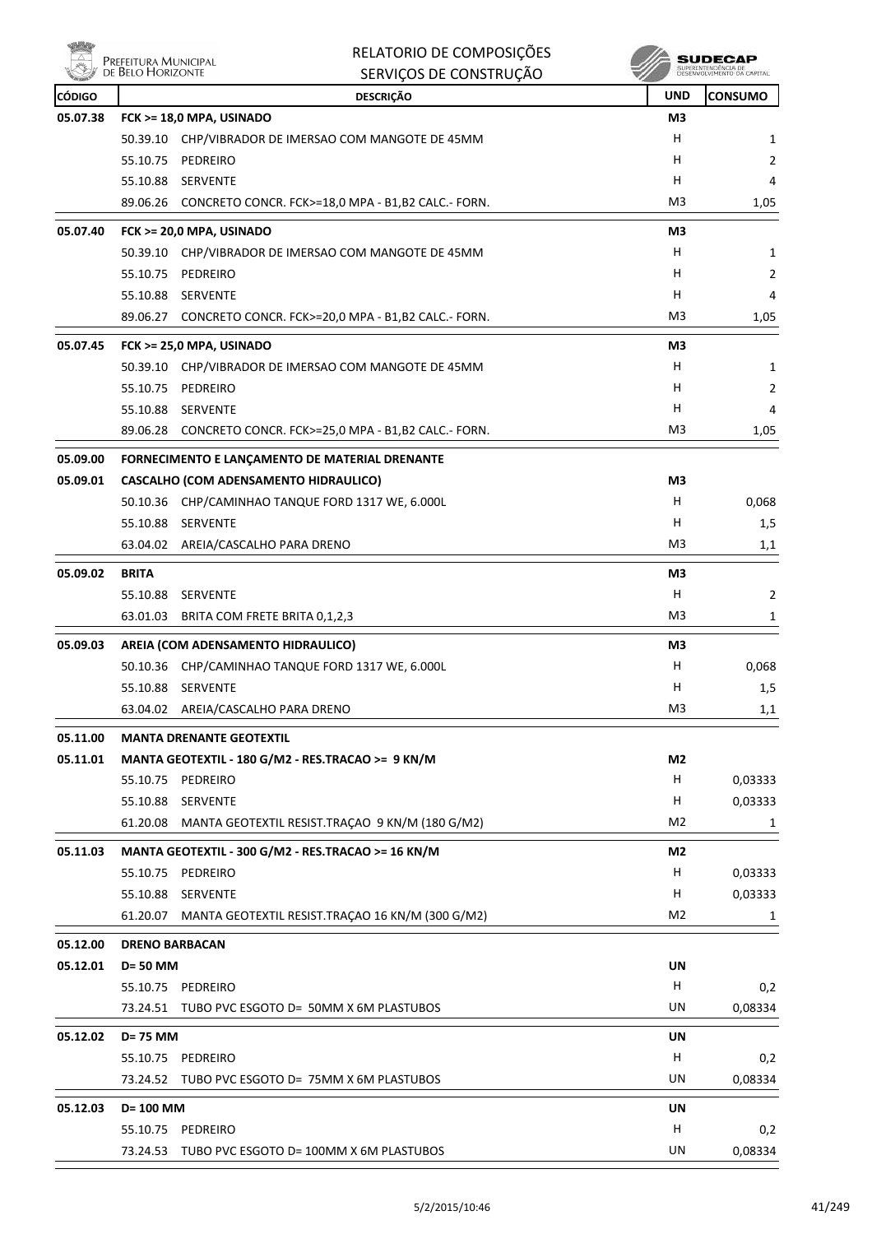

| efeitura Municipal    |  |
|-----------------------|--|
|                       |  |
| <b>BELO HORIZONTE</b> |  |

|          | Prefeitura Municipal<br>de Belo Horizonte | RELATORIO DE COMPOSIÇÕES                                       |                | SUDECAP                                           |
|----------|-------------------------------------------|----------------------------------------------------------------|----------------|---------------------------------------------------|
|          |                                           | SERVIÇOS DE CONSTRUÇÃO                                         |                | SUPERINTENDÊNCIA DE<br>DESENVOLVIMENTO DA CAPITAL |
| CÓDIGO   |                                           | <b>DESCRIÇÃO</b>                                               | <b>UND</b>     | <b>CONSUMO</b>                                    |
| 05.07.38 |                                           | FCK >= 18,0 MPA, USINADO                                       | M3             |                                                   |
|          | 50.39.10                                  | CHP/VIBRADOR DE IMERSAO COM MANGOTE DE 45MM                    | н              | 1                                                 |
|          | 55.10.75                                  | PEDREIRO                                                       | н<br>н         | 2                                                 |
|          | 55.10.88<br>89.06.26                      | SERVENTE<br>CONCRETO CONCR. FCK>=18,0 MPA - B1,B2 CALC.- FORN. | M3             | 4<br>1,05                                         |
|          |                                           |                                                                |                |                                                   |
| 05.07.40 | 50.39.10                                  | FCK >= 20,0 MPA, USINADO                                       | M3<br>н        |                                                   |
|          | 55.10.75                                  | CHP/VIBRADOR DE IMERSAO COM MANGOTE DE 45MM<br>PEDREIRO        | н              | 1<br>2                                            |
|          | 55.10.88                                  | SERVENTE                                                       | н              | 4                                                 |
|          |                                           | 89.06.27 CONCRETO CONCR. FCK>=20,0 MPA - B1,B2 CALC.- FORN.    | M3             | 1,05                                              |
| 05.07.45 |                                           | FCK >= 25,0 MPA, USINADO                                       | M3             |                                                   |
|          | 50.39.10                                  | CHP/VIBRADOR DE IMERSAO COM MANGOTE DE 45MM                    | н              | 1                                                 |
|          | 55.10.75                                  | PEDREIRO                                                       | н              | 2                                                 |
|          | 55.10.88                                  | SERVENTE                                                       | н              | 4                                                 |
|          | 89.06.28                                  | CONCRETO CONCR. FCK>=25,0 MPA - B1,B2 CALC.- FORN.             | M3             | 1,05                                              |
| 05.09.00 |                                           | FORNECIMENTO E LANÇAMENTO DE MATERIAL DRENANTE                 |                |                                                   |
| 05.09.01 |                                           | CASCALHO (COM ADENSAMENTO HIDRAULICO)                          | M3             |                                                   |
|          |                                           | 50.10.36 CHP/CAMINHAO TANQUE FORD 1317 WE, 6.000L              | н              | 0,068                                             |
|          | 55.10.88 SERVENTE                         |                                                                | н              | 1,5                                               |
|          |                                           | 63.04.02 AREIA/CASCALHO PARA DRENO                             | M3             | 1,1                                               |
| 05.09.02 | <b>BRITA</b>                              |                                                                | M3             |                                                   |
|          | 55.10.88                                  | SERVENTE                                                       | н              | 2                                                 |
|          | 63.01.03                                  | BRITA COM FRETE BRITA 0,1,2,3                                  | M3             | 1                                                 |
| 05.09.03 |                                           | AREIA (COM ADENSAMENTO HIDRAULICO)                             | M3             |                                                   |
|          | 50.10.36                                  | CHP/CAMINHAO TANQUE FORD 1317 WE, 6.000L                       | н              | 0,068                                             |
|          | 55.10.88 SERVENTE                         |                                                                | н              | 1,5                                               |
|          |                                           | 63.04.02 AREIA/CASCALHO PARA DRENO                             | M <sub>3</sub> | 1,1                                               |
| 05.11.00 |                                           | <b>MANTA DRENANTE GEOTEXTIL</b>                                |                |                                                   |
| 05.11.01 |                                           | MANTA GEOTEXTIL - 180 G/M2 - RES.TRACAO >= 9 KN/M              | M2             |                                                   |
|          | 55.10.75                                  | PEDREIRO                                                       | H              | 0,03333                                           |
|          | 55.10.88                                  | SERVENTE                                                       | н              | 0,03333                                           |
|          | 61.20.08                                  | MANTA GEOTEXTIL RESIST.TRAÇAO 9 KN/M (180 G/M2)                | M <sub>2</sub> | 1                                                 |
| 05.11.03 |                                           | MANTA GEOTEXTIL - 300 G/M2 - RES.TRACAO >= 16 KN/M             | M <sub>2</sub> |                                                   |
|          | 55.10.75                                  | PEDREIRO                                                       | H              | 0,03333                                           |
|          | 55.10.88                                  | SERVENTE                                                       | H              | 0,03333                                           |
|          | 61.20.07                                  | MANTA GEOTEXTIL RESIST.TRAÇÃO 16 KN/M (300 G/M2)               | M <sub>2</sub> | 1                                                 |
| 05.12.00 | <b>DRENO BARBACAN</b>                     |                                                                |                |                                                   |
| 05.12.01 | D= 50 MM                                  |                                                                | UN             |                                                   |
|          | 55.10.75                                  | PEDREIRO                                                       | H              | 0,2                                               |
|          | 73.24.51                                  | TUBO PVC ESGOTO D= 50MM X 6M PLASTUBOS                         | UN             | 0,08334                                           |
| 05.12.02 | D= 75 MM                                  |                                                                | UN             |                                                   |
|          | 55.10.75                                  | PEDREIRO                                                       | Н              | 0,2                                               |
|          | 73.24.52                                  | TUBO PVC ESGOTO D= 75MM X 6M PLASTUBOS                         | UN             | 0,08334                                           |
| 05.12.03 | D= 100 MM                                 |                                                                | UN             |                                                   |
|          | 55.10.75                                  | PEDREIRO                                                       | Н              | 0,2                                               |
|          |                                           | 73.24.53 TUBO PVC ESGOTO D= 100MM X 6M PLASTUBOS               | UN             | 0,08334                                           |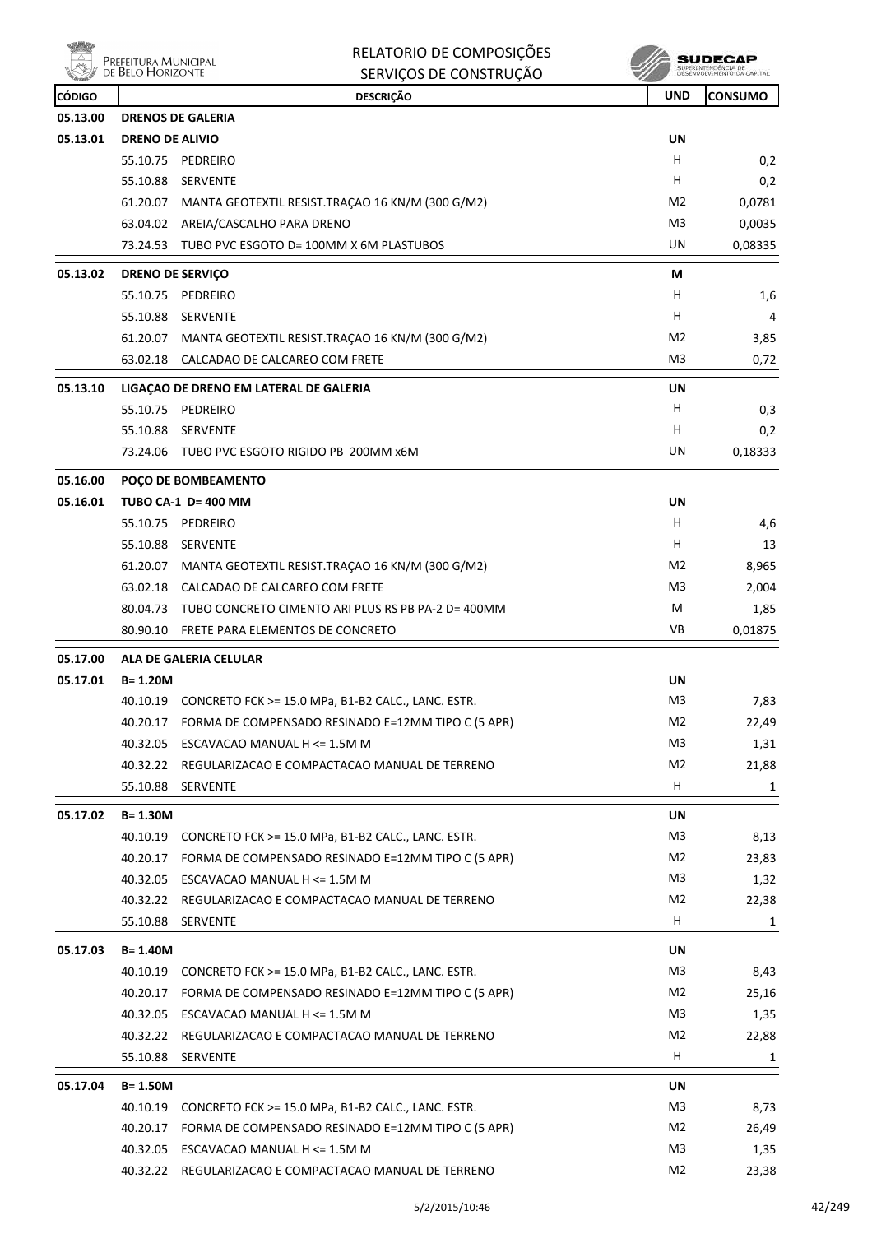|               |                                           | RELATORIO DE COMPOSIÇÕES                                    |                | SUDECAI                                          |
|---------------|-------------------------------------------|-------------------------------------------------------------|----------------|--------------------------------------------------|
|               | Prefeitura Municipal<br>de Belo Horizonte | SERVIÇOS DE CONSTRUÇÃO                                      |                | SUPERINTENDÊNCIA DE<br>DESENVOLVIMENTO DA CAPITA |
| <b>CÓDIGO</b> |                                           | <b>DESCRIÇÃO</b>                                            | <b>UND</b>     | <b>CONSUMO</b>                                   |
| 05.13.00      |                                           | <b>DRENOS DE GALERIA</b>                                    |                |                                                  |
| 05.13.01      | <b>DRENO DE ALIVIO</b>                    |                                                             | UN             |                                                  |
|               |                                           | 55.10.75 PEDREIRO                                           | н              | 0,2                                              |
|               | 55.10.88                                  | <b>SERVENTE</b>                                             | н              | 0,2                                              |
|               | 61.20.07                                  | MANTA GEOTEXTIL RESIST.TRAÇÃO 16 KN/M (300 G/M2)            | M <sub>2</sub> | 0,0781                                           |
|               | 63.04.02                                  | AREIA/CASCALHO PARA DRENO                                   | M3             | 0,0035                                           |
|               | 73.24.53                                  | TUBO PVC ESGOTO D= 100MM X 6M PLASTUBOS                     | UN             | 0,08335                                          |
| 05.13.02      | <b>DRENO DE SERVIÇO</b>                   |                                                             | М              |                                                  |
|               | 55.10.75                                  | PEDREIRO                                                    | н              | 1,6                                              |
|               | 55.10.88                                  | <b>SERVENTE</b>                                             | н              | 4                                                |
|               | 61.20.07                                  | MANTA GEOTEXTIL RESIST.TRAÇAO 16 KN/M (300 G/M2)            | M <sub>2</sub> | 3,85                                             |
|               | 63.02.18                                  | CALCADAO DE CALCAREO COM FRETE                              | M <sub>3</sub> | 0,72                                             |
| 05.13.10      |                                           | LIGAÇÃO DE DRENO EM LATERAL DE GALERIA                      | <b>UN</b>      |                                                  |
|               | 55.10.75                                  | PEDREIRO                                                    | н              | 0,3                                              |
|               | 55.10.88                                  | <b>SERVENTE</b>                                             | н              | 0,2                                              |
|               | 73.24.06                                  | TUBO PVC ESGOTO RIGIDO PB 200MM x6M                         | UN             | 0,18333                                          |
|               |                                           |                                                             |                |                                                  |
| 05.16.00      |                                           | POÇO DE BOMBEAMENTO                                         |                |                                                  |
| 05.16.01      |                                           | <b>TUBO CA-1 D= 400 MM</b>                                  | <b>UN</b>      |                                                  |
|               | 55.10.75                                  | PEDREIRO                                                    | н<br>н         | 4,6                                              |
|               | 55.10.88                                  | <b>SERVENTE</b>                                             | M <sub>2</sub> | 13                                               |
|               | 61.20.07                                  | MANTA GEOTEXTIL RESIST.TRAÇÃO 16 KN/M (300 G/M2)            |                | 8,965                                            |
|               | 63.02.18                                  | CALCADAO DE CALCAREO COM FRETE                              | M3             | 2,004                                            |
|               | 80.04.73                                  | TUBO CONCRETO CIMENTO ARI PLUS RS PB PA-2 D= 400MM          | М<br>VB        | 1,85                                             |
|               | 80.90.10                                  | FRETE PARA ELEMENTOS DE CONCRETO                            |                | 0,01875                                          |
| 05.17.00      |                                           | <b>ALA DE GALERIA CELULAR</b>                               |                |                                                  |
| 05.17.01      | $B = 1.20M$                               |                                                             | UN             |                                                  |
|               | 40.10.19                                  | CONCRETO FCK >= 15.0 MPa, B1-B2 CALC., LANC. ESTR.          | M3             | 7,83                                             |
|               | 40.20.17                                  | FORMA DE COMPENSADO RESINADO E=12MM TIPO C (5 APR)          | M <sub>2</sub> | 22,49                                            |
|               | 40.32.05                                  | ESCAVACAO MANUAL H <= 1.5M M                                | M <sub>3</sub> | 1,31                                             |
|               | 40.32.22                                  | REGULARIZACAO E COMPACTACAO MANUAL DE TERRENO               | M2             | 21,88                                            |
|               | 55.10.88                                  | SERVENTE                                                    | H              | 1                                                |
| 05.17.02      | B= 1.30M                                  |                                                             | UN             |                                                  |
|               |                                           | 40.10.19 CONCRETO FCK >= 15.0 MPa, B1-B2 CALC., LANC. ESTR. | M <sub>3</sub> | 8,13                                             |
|               | 40.20.17                                  | FORMA DE COMPENSADO RESINADO E=12MM TIPO C (5 APR)          | M2             | 23,83                                            |
|               | 40.32.05                                  | ESCAVACAO MANUAL H <= 1.5M M                                | M <sub>3</sub> | 1,32                                             |
|               | 40.32.22                                  | REGULARIZACAO E COMPACTACAO MANUAL DE TERRENO               | M <sub>2</sub> | 22,38                                            |
|               | 55.10.88                                  | SERVENTE                                                    | н              | 1                                                |
| 05.17.03      | B= 1.40M                                  |                                                             | <b>UN</b>      |                                                  |
|               | 40.10.19                                  | CONCRETO FCK >= 15.0 MPa, B1-B2 CALC., LANC. ESTR.          | M3             | 8,43                                             |
|               | 40.20.17                                  | FORMA DE COMPENSADO RESINADO E=12MM TIPO C (5 APR)          | M2             | 25,16                                            |
|               |                                           | 40.32.05 ESCAVACAO MANUAL H $\leq$ 1.5M M                   | M3             | 1,35                                             |
|               | 40.32.22                                  | REGULARIZACAO E COMPACTACAO MANUAL DE TERRENO               | M <sub>2</sub> | 22,88                                            |
|               | 55.10.88                                  | SERVENTE                                                    | Н              | 1                                                |
| 05.17.04      | B= 1.50M                                  |                                                             | UN             |                                                  |
|               | 40.10.19                                  | CONCRETO FCK >= 15.0 MPa, B1-B2 CALC., LANC. ESTR.          | M3             | 8,73                                             |
|               | 40.20.17                                  | FORMA DE COMPENSADO RESINADO E=12MM TIPO C (5 APR)          | M2             | 26,49                                            |
|               | 40.32.05                                  | ESCAVACAO MANUAL H <= 1.5M M                                | M3             | 1,35                                             |
|               | 40.32.22                                  | REGULARIZACAO E COMPACTACAO MANUAL DE TERRENO               | M <sub>2</sub> | 23,38                                            |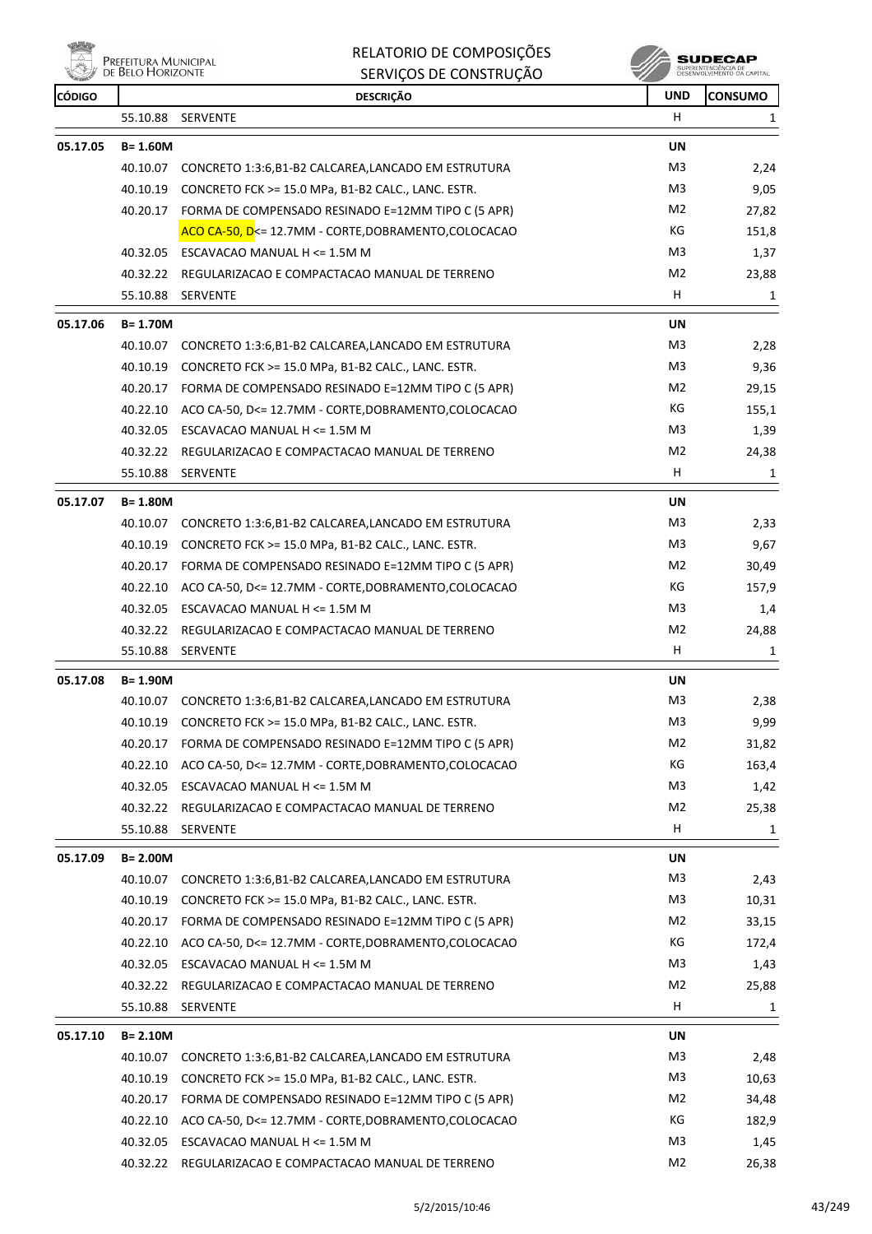ensi<br>Al Prefeitura Municipal<br>Al de Belo Horizonte 燃

RELATORIO DE COMPOSIÇÕES SERVIÇOS DE CONSTRUÇÃO

 $\begin{array}{c} \textbf{SUBECAP} \\ \textbf{SUBREINTEROECLA DE} \\ \textbf{DESEWOUNIENTO CA CAPTIAL} \end{array}$ 

| <b>CÓDIGO</b> |             | <b>DESCRIÇÃO</b>                                            | <b>UND</b>     | <b>CONSUMO</b> |
|---------------|-------------|-------------------------------------------------------------|----------------|----------------|
|               |             | 55.10.88 SERVENTE                                           | H.             | 1              |
| 05.17.05      | $B = 1.60M$ |                                                             | UN             |                |
|               |             | 40.10.07 CONCRETO 1:3:6,B1-B2 CALCAREA,LANCADO EM ESTRUTURA | M3             | 2,24           |
|               | 40.10.19    | CONCRETO FCK >= 15.0 MPa, B1-B2 CALC., LANC. ESTR.          | M <sub>3</sub> | 9,05           |
|               | 40.20.17    | FORMA DE COMPENSADO RESINADO E=12MM TIPO C (5 APR)          | M <sub>2</sub> | 27,82          |
|               |             | ACO CA-50, D<= 12.7MM - CORTE, DOBRAMENTO, COLOCACAO        | КG             | 151,8          |
|               |             | 40.32.05 ESCAVACAO MANUAL H <= 1.5M M                       | M <sub>3</sub> | 1,37           |
|               |             | 40.32.22 REGULARIZACAO E COMPACTACAO MANUAL DE TERRENO      | M <sub>2</sub> | 23,88          |
|               | 55.10.88    | SERVENTE                                                    | H.             | 1              |
| 05.17.06      | B= 1.70M    |                                                             | UN             |                |
|               |             | 40.10.07 CONCRETO 1:3:6,B1-B2 CALCAREA,LANCADO EM ESTRUTURA | M3             | 2,28           |
|               | 40.10.19    | CONCRETO FCK >= 15.0 MPa, B1-B2 CALC., LANC. ESTR.          | M <sub>3</sub> | 9,36           |
|               |             | 40.20.17 FORMA DE COMPENSADO RESINADO E=12MM TIPO C (5 APR) | M <sub>2</sub> | 29,15          |
|               | 40.22.10    | ACO CA-50, D<= 12.7MM - CORTE, DOBRAMENTO, COLOCACAO        | КG             | 155,1          |
|               | 40.32.05    | ESCAVACAO MANUAL H <= 1.5M M                                | M3             | 1,39           |
|               | 40.32.22    | REGULARIZACAO E COMPACTACAO MANUAL DE TERRENO               | M <sub>2</sub> | 24,38          |
|               | 55.10.88    | SERVENTE                                                    | H              | 1              |
| 05.17.07      | B= 1.80M    |                                                             | UN             |                |
|               |             | 40.10.07 CONCRETO 1:3:6,B1-B2 CALCAREA,LANCADO EM ESTRUTURA | M3             | 2,33           |
|               | 40.10.19    | CONCRETO FCK >= 15.0 MPa, B1-B2 CALC., LANC. ESTR.          | M <sub>3</sub> | 9,67           |
|               | 40.20.17    | FORMA DE COMPENSADO RESINADO E=12MM TIPO C (5 APR)          | M <sub>2</sub> | 30,49          |
|               | 40.22.10    | ACO CA-50, D<= 12.7MM - CORTE, DOBRAMENTO, COLOCACAO        | КG             | 157,9          |
|               |             | 40.32.05 ESCAVACAO MANUAL H <= 1.5M M                       | M3             | 1,4            |
|               | 40.32.22    | REGULARIZACAO E COMPACTACAO MANUAL DE TERRENO               | M <sub>2</sub> | 24,88          |
|               | 55.10.88    | SERVENTE                                                    | H              | 1              |
| 05.17.08      | B= 1.90M    |                                                             | UN             |                |
|               |             | 40.10.07 CONCRETO 1:3:6,B1-B2 CALCAREA,LANCADO EM ESTRUTURA | M3             | 2,38           |
|               | 40.10.19    | CONCRETO FCK >= 15.0 MPa, B1-B2 CALC., LANC. ESTR.          | M3             | 9,99           |
|               |             | 40.20.17 FORMA DE COMPENSADO RESINADO E=12MM TIPO C (5 APR) | M <sub>2</sub> | 31,82          |
|               | 40.22.10    | ACO CA-50, D<= 12.7MM - CORTE, DOBRAMENTO, COLOCACAO        | КG             | 163,4          |
|               | 40.32.05    | ESCAVACAO MANUAL H <= 1.5M M                                | M3             | 1,42           |
|               |             | 40.32.22 REGULARIZACAO E COMPACTACAO MANUAL DE TERRENO      | M2             | 25,38          |
|               |             | 55.10.88 SERVENTE                                           | H.             | 1              |
| 05.17.09      | $B = 2.00M$ |                                                             | UN             |                |
|               | 40.10.07    | CONCRETO 1:3:6, B1-B2 CALCAREA, LANCADO EM ESTRUTURA        | M <sub>3</sub> | 2,43           |
|               | 40.10.19    | CONCRETO FCK >= 15.0 MPa, B1-B2 CALC., LANC. ESTR.          | M <sub>3</sub> | 10,31          |
|               | 40.20.17    | FORMA DE COMPENSADO RESINADO E=12MM TIPO C (5 APR)          | M <sub>2</sub> | 33,15          |
|               | 40.22.10    | ACO CA-50, D<= 12.7MM - CORTE, DOBRAMENTO, COLOCACAO        | КG             | 172,4          |
|               | 40.32.05    | ESCAVACAO MANUAL H <= 1.5M M                                | M <sub>3</sub> | 1,43           |
|               | 40.32.22    | REGULARIZACAO E COMPACTACAO MANUAL DE TERRENO               | M <sub>2</sub> | 25,88          |
|               | 55.10.88    | SERVENTE                                                    | H              | 1              |
| 05.17.10      | B= 2.10M    |                                                             | UN             |                |
|               |             | 40.10.07 CONCRETO 1:3:6,B1-B2 CALCAREA,LANCADO EM ESTRUTURA | M3             | 2,48           |
|               | 40.10.19    | CONCRETO FCK >= 15.0 MPa, B1-B2 CALC., LANC. ESTR.          | M <sub>3</sub> | 10,63          |
|               | 40.20.17    | FORMA DE COMPENSADO RESINADO E=12MM TIPO C (5 APR)          | M <sub>2</sub> | 34,48          |
|               | 40.22.10    | ACO CA-50, D<= 12.7MM - CORTE, DOBRAMENTO, COLOCACAO        | КG             | 182,9          |
|               |             | 40.32.05 ESCAVACAO MANUAL H <= 1.5M M                       | M3             | 1,45           |
|               |             | 40.32.22 REGULARIZACAO E COMPACTACAO MANUAL DE TERRENO      | M <sub>2</sub> | 26,38          |
|               |             |                                                             |                |                |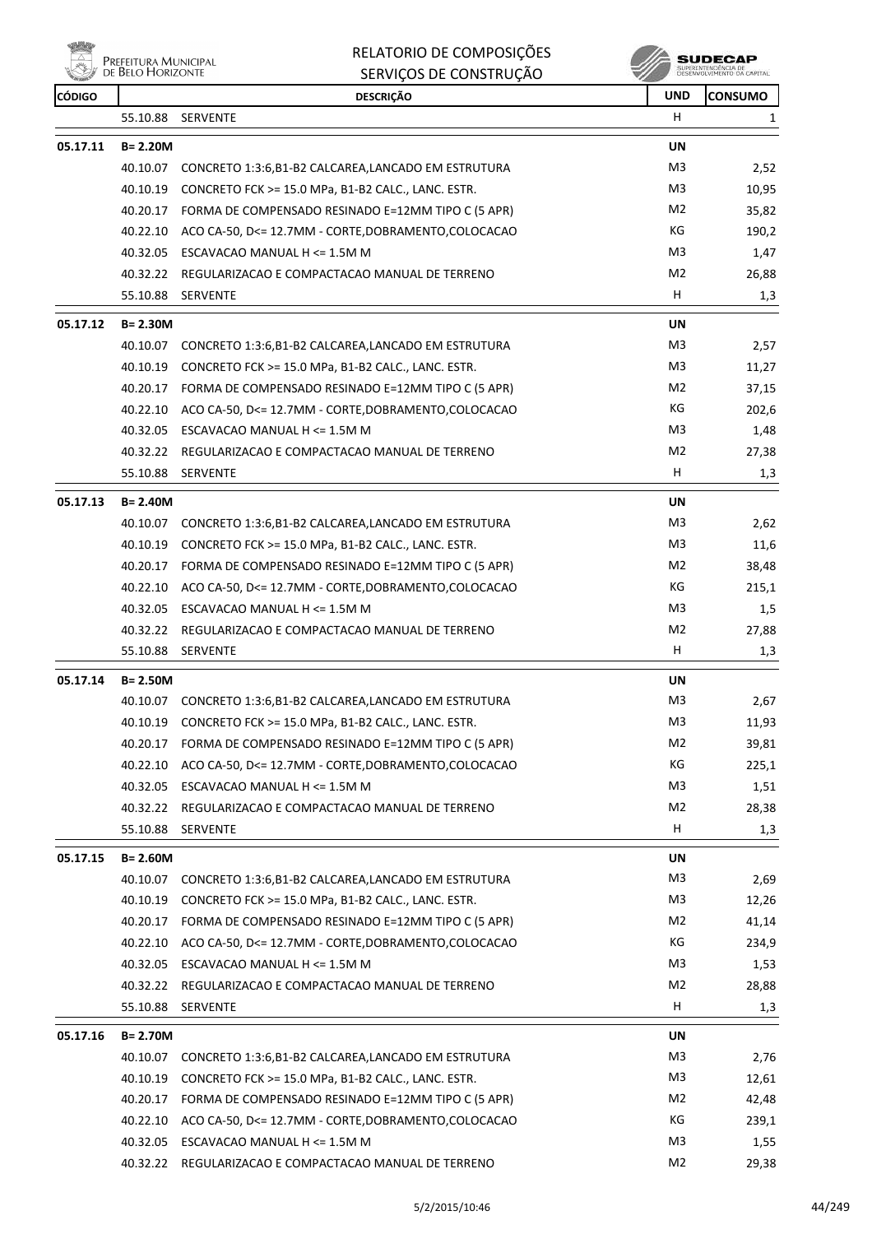**WELLY** PREFEITURA MUNICIPAL

RELATORIO DE COMPOSIÇÕES

|               | <b>LINELEH UNA PRIVINIUI AL</b><br>DE BELO HORIZONTE | SERVIÇOS DE CONSTRUÇÃO                                      |                | SUPERINTENDÊNCIA DE<br>DESENVOLVIMENTO DA CAPITAL |
|---------------|------------------------------------------------------|-------------------------------------------------------------|----------------|---------------------------------------------------|
| <b>CÓDIGO</b> |                                                      | <b>DESCRIÇÃO</b>                                            | <b>UND</b>     | CONSUMO                                           |
|               | 55.10.88                                             | <b>SERVENTE</b>                                             | H              | 1                                                 |
| 05.17.11      | $B = 2.20M$                                          |                                                             | <b>UN</b>      |                                                   |
|               | 40.10.07                                             | CONCRETO 1:3:6, B1-B2 CALCAREA, LANCADO EM ESTRUTURA        | M <sub>3</sub> | 2,52                                              |
|               | 40.10.19                                             | CONCRETO FCK >= 15.0 MPa, B1-B2 CALC., LANC. ESTR.          | M3             | 10,95                                             |
|               | 40.20.17                                             | FORMA DE COMPENSADO RESINADO E=12MM TIPO C (5 APR)          | M <sub>2</sub> | 35,82                                             |
|               | 40.22.10                                             | ACO CA-50, D<= 12.7MM - CORTE, DOBRAMENTO, COLOCACAO        | КG             | 190,2                                             |
|               | 40.32.05                                             | ESCAVACAO MANUAL H <= 1.5M M                                | M3             | 1,47                                              |
|               | 40.32.22                                             | REGULARIZACAO E COMPACTACAO MANUAL DE TERRENO               | M2             | 26,88                                             |
|               | 55.10.88                                             | SERVENTE                                                    | H              | 1,3                                               |
| 05.17.12      | $B = 2.30M$                                          |                                                             | <b>UN</b>      |                                                   |
|               | 40.10.07                                             | CONCRETO 1:3:6, B1-B2 CALCAREA, LANCADO EM ESTRUTURA        | M3             | 2,57                                              |
|               | 40.10.19                                             | CONCRETO FCK >= 15.0 MPa, B1-B2 CALC., LANC. ESTR.          | M3             | 11,27                                             |
|               |                                                      | 40.20.17 FORMA DE COMPENSADO RESINADO E=12MM TIPO C (5 APR) | M <sub>2</sub> | 37,15                                             |
|               | 40.22.10                                             | ACO CA-50, D<= 12.7MM - CORTE, DOBRAMENTO, COLOCACAO        | КG             | 202,6                                             |
|               |                                                      | 40.32.05 ESCAVACAO MANUAL H <= 1.5M M                       | M3             | 1,48                                              |
|               | 40.32.22                                             | REGULARIZACAO E COMPACTACAO MANUAL DE TERRENO               | M2             | 27,38                                             |
|               | 55.10.88                                             | <b>SERVENTE</b>                                             | н              | 1,3                                               |
| 05.17.13      | $B = 2.40M$                                          |                                                             | <b>UN</b>      |                                                   |
|               | 40.10.07                                             | CONCRETO 1:3:6, B1-B2 CALCAREA, LANCADO EM ESTRUTURA        | M3             | 2,62                                              |
|               | 40.10.19                                             | CONCRETO FCK >= 15.0 MPa, B1-B2 CALC., LANC. ESTR.          | M3             | 11,6                                              |
|               |                                                      | 40.20.17 FORMA DE COMPENSADO RESINADO E=12MM TIPO C (5 APR) | M2             | 38,48                                             |
|               | 40.22.10                                             | ACO CA-50, D<= 12.7MM - CORTE, DOBRAMENTO, COLOCACAO        | КG             | 215,1                                             |
|               | 40.32.05                                             | ESCAVACAO MANUAL H <= 1.5M M                                | M3             | 1,5                                               |
|               | 40.32.22                                             | REGULARIZACAO E COMPACTACAO MANUAL DE TERRENO               | M2             | 27,88                                             |
|               | 55.10.88                                             | <b>SERVENTE</b>                                             | H.             | 1,3                                               |
| 05.17.14      | $B = 2.50M$                                          |                                                             | <b>UN</b>      |                                                   |
|               |                                                      | 40.10.07 CONCRETO 1:3:6,B1-B2 CALCAREA,LANCADO EM ESTRUTURA | M3             | 2,67                                              |
|               |                                                      | 40.10.19 CONCRETO FCK >= 15.0 MPa, B1-B2 CALC., LANC. ESTR. | M <sub>3</sub> | 11,93                                             |
|               | 40.20.17                                             | FORMA DE COMPENSADO RESINADO E=12MM TIPO C (5 APR)          | M2             | 39,81                                             |
|               | 40.22.10                                             | ACO CA-50, D<= 12.7MM - CORTE, DOBRAMENTO, COLOCACAO        | КG             | 225,1                                             |
|               | 40.32.05                                             | ESCAVACAO MANUAL H <= 1.5M M                                | M <sub>3</sub> | 1,51                                              |
|               | 40.32.22                                             | REGULARIZACAO E COMPACTACAO MANUAL DE TERRENO               | M <sub>2</sub> | 28,38                                             |
|               | 55.10.88                                             | SERVENTE                                                    | H              | 1,3                                               |
| 05.17.15      | $B = 2.60M$                                          |                                                             | UN             |                                                   |
|               |                                                      | 40.10.07 CONCRETO 1:3:6,B1-B2 CALCAREA,LANCADO EM ESTRUTURA | M3             | 2,69                                              |
|               | 40.10.19                                             | CONCRETO FCK >= 15.0 MPa, B1-B2 CALC., LANC. ESTR.          | M <sub>3</sub> | 12,26                                             |
|               | 40.20.17                                             | FORMA DE COMPENSADO RESINADO E=12MM TIPO C (5 APR)          | M2             | 41,14                                             |
|               | 40.22.10                                             | ACO CA-50, D<= 12.7MM - CORTE, DOBRAMENTO, COLOCACAO        | КG             | 234,9                                             |
|               | 40.32.05                                             | ESCAVACAO MANUAL H <= 1.5M M                                | M <sub>3</sub> | 1,53                                              |
|               |                                                      | 40.32.22 REGULARIZACAO E COMPACTACAO MANUAL DE TERRENO      | M2             | 28,88                                             |
|               | 55.10.88                                             | SERVENTE                                                    | Н              | 1,3                                               |
|               |                                                      |                                                             |                |                                                   |
| 05.17.16      | B= 2.70M                                             |                                                             | UN             |                                                   |
|               | 40.10.07                                             | CONCRETO 1:3:6, B1-B2 CALCAREA, LANCADO EM ESTRUTURA        | M3             | 2,76                                              |
|               | 40.10.19                                             | CONCRETO FCK >= 15.0 MPa, B1-B2 CALC., LANC. ESTR.          | M <sub>3</sub> | 12,61                                             |
|               |                                                      | 40.20.17 FORMA DE COMPENSADO RESINADO E=12MM TIPO C (5 APR) | M2             | 42,48                                             |
|               | 40.22.10                                             | ACO CA-50, D<= 12.7MM - CORTE, DOBRAMENTO, COLOCACAO        | КG             | 239,1                                             |
|               | 40.32.05                                             | ESCAVACAO MANUAL H <= 1.5M M                                | M <sub>3</sub> | 1,55                                              |
|               |                                                      | 40.32.22 REGULARIZACAO E COMPACTACAO MANUAL DE TERRENO      | M2             | 29,38                                             |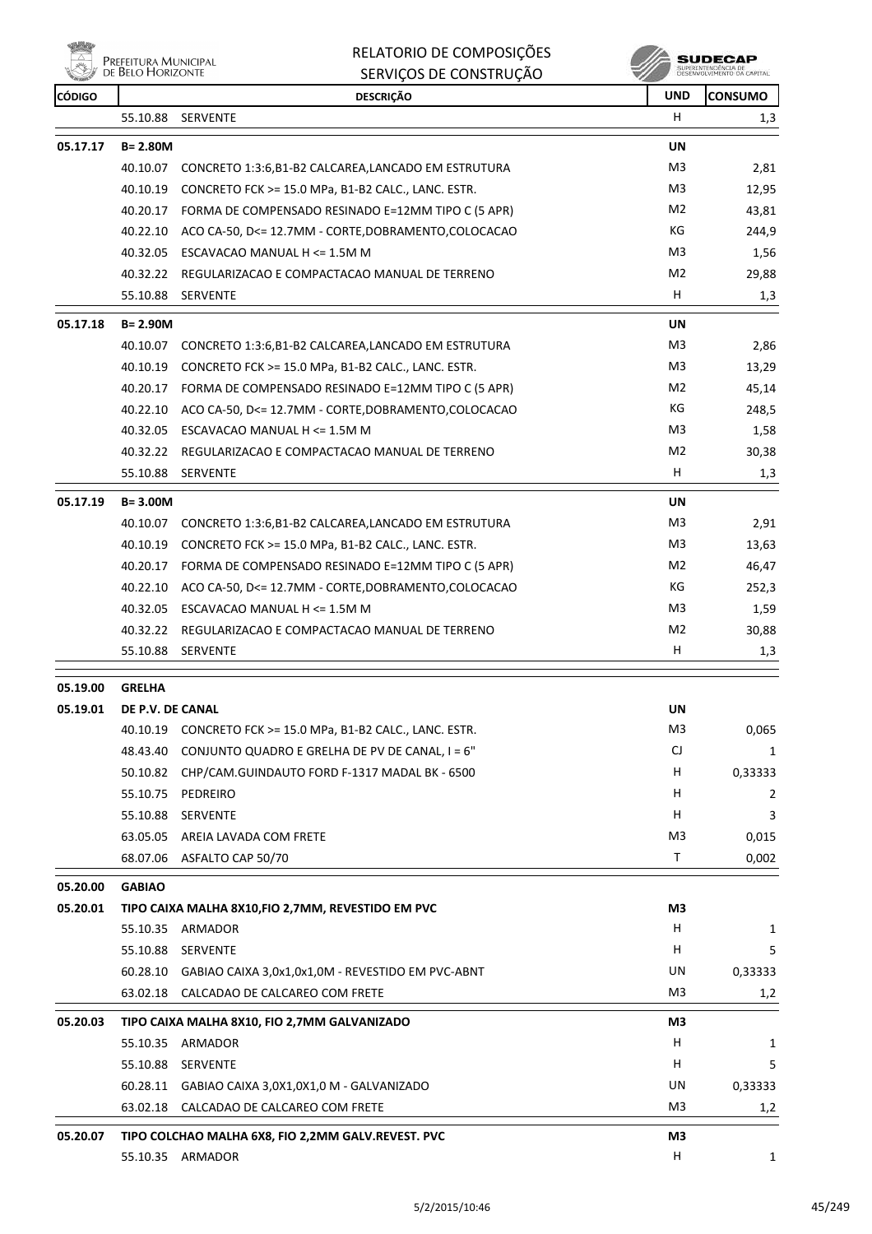**Willia PREFEITURA MUNICIPAL**<br>DE BELO HORIZONTE

| RELATORIO DE COMPOSIÇÕES |  |
|--------------------------|--|
| SERVICOS DE CONSTRUÇÃO   |  |

| <b><i>COLLEGE</i></b><br><b>CÓDIGO</b> |                  | <b>DESCRIÇÃO</b>                                              | <b>UND</b>     | <b>CONSUMO</b> |
|----------------------------------------|------------------|---------------------------------------------------------------|----------------|----------------|
|                                        | 55.10.88         | SERVENTE                                                      | H.             | 1,3            |
| 05.17.17                               | $B = 2.80M$      |                                                               | UN             |                |
|                                        | 40.10.07         | CONCRETO 1:3:6, B1-B2 CALCAREA, LANCADO EM ESTRUTURA          | M <sub>3</sub> | 2,81           |
|                                        | 40.10.19         | CONCRETO FCK >= 15.0 MPa, B1-B2 CALC., LANC. ESTR.            | M3             | 12,95          |
|                                        | 40.20.17         | FORMA DE COMPENSADO RESINADO E=12MM TIPO C (5 APR)            | M2             | 43,81          |
|                                        | 40.22.10         | ACO CA-50, D<= 12.7MM - CORTE, DOBRAMENTO, COLOCACAO          | КG             | 244,9          |
|                                        |                  | 40.32.05 ESCAVACAO MANUAL H <= 1.5M M                         | M3             | 1,56           |
|                                        | 40.32.22         | REGULARIZACAO E COMPACTACAO MANUAL DE TERRENO                 | M <sub>2</sub> | 29,88          |
|                                        | 55.10.88         | <b>SERVENTE</b>                                               | H              | 1,3            |
| 05.17.18                               | $B = 2.90M$      |                                                               | <b>UN</b>      |                |
|                                        | 40.10.07         | CONCRETO 1:3:6, B1-B2 CALCAREA, LANCADO EM ESTRUTURA          | M3             | 2,86           |
|                                        | 40.10.19         | CONCRETO FCK >= 15.0 MPa, B1-B2 CALC., LANC. ESTR.            | M3             | 13,29          |
|                                        |                  | 40.20.17 FORMA DE COMPENSADO RESINADO E=12MM TIPO C (5 APR)   | M <sub>2</sub> | 45,14          |
|                                        |                  | 40.22.10 ACO CA-50, D<= 12.7MM - CORTE, DOBRAMENTO, COLOCACAO | КG             | 248,5          |
|                                        |                  | 40.32.05 ESCAVACAO MANUAL H <= 1.5M M                         | M3             | 1,58           |
|                                        | 40.32.22         | REGULARIZACAO E COMPACTACAO MANUAL DE TERRENO                 | M <sub>2</sub> | 30,38          |
|                                        | 55.10.88         | <b>SERVENTE</b>                                               | H.             | 1,3            |
| 05.17.19                               | $B = 3.00M$      |                                                               | UN             |                |
|                                        | 40.10.07         | CONCRETO 1:3:6, B1-B2 CALCAREA, LANCADO EM ESTRUTURA          | M3             | 2,91           |
|                                        | 40.10.19         | CONCRETO FCK >= 15.0 MPa, B1-B2 CALC., LANC. ESTR.            | M3             | 13,63          |
|                                        | 40.20.17         | FORMA DE COMPENSADO RESINADO E=12MM TIPO C (5 APR)            | M <sub>2</sub> | 46,47          |
|                                        | 40.22.10         | ACO CA-50, D<= 12.7MM - CORTE, DOBRAMENTO, COLOCACAO          | КG             | 252,3          |
|                                        | 40.32.05         | ESCAVACAO MANUAL H <= 1.5M M                                  | M3             | 1,59           |
|                                        |                  | 40.32.22 REGULARIZACAO E COMPACTACAO MANUAL DE TERRENO        | M <sub>2</sub> | 30,88          |
|                                        | 55.10.88         | SERVENTE                                                      | н              | 1,3            |
| 05.19.00                               | <b>GRELHA</b>    |                                                               |                |                |
| 05.19.01                               | DE P.V. DE CANAL |                                                               | UN             |                |
|                                        |                  | 40.10.19 CONCRETO FCK >= 15.0 MPa, B1-B2 CALC., LANC. ESTR.   | M3             | 0,065          |
|                                        | 48.43.40         | CONJUNTO QUADRO E GRELHA DE PV DE CANAL, I = 6"               | CJ             | 1              |
|                                        | 50.10.82         | CHP/CAM.GUINDAUTO FORD F-1317 MADAL BK - 6500                 | н              | 0,33333        |
|                                        | 55.10.75         | PEDREIRO                                                      | H              | 2              |
|                                        | 55.10.88         | SERVENTE                                                      | H              | 3              |
|                                        | 63.05.05         | AREIA LAVADA COM FRETE                                        | M <sub>3</sub> | 0,015          |
|                                        | 68.07.06         | ASFALTO CAP 50/70                                             | Τ              | 0,002          |
| 05.20.00                               | <b>GABIAO</b>    |                                                               |                |                |
| 05.20.01                               |                  | TIPO CAIXA MALHA 8X10, FIO 2, 7MM, REVESTIDO EM PVC           | M3             |                |
|                                        |                  | 55.10.35 ARMADOR                                              | H.             | 1              |
|                                        | 55.10.88         | <b>SERVENTE</b>                                               | H              | 5              |
|                                        | 60.28.10         | GABIAO CAIXA 3,0x1,0x1,0M - REVESTIDO EM PVC-ABNT             | UN             | 0,33333        |
|                                        | 63.02.18         | CALCADAO DE CALCAREO COM FRETE                                | M3             | 1,2            |
| 05.20.03                               |                  | TIPO CAIXA MALHA 8X10, FIO 2,7MM GALVANIZADO                  | M3             |                |
|                                        |                  | 55.10.35 ARMADOR                                              | H              | 1              |
|                                        | 55.10.88         | <b>SERVENTE</b>                                               | H              | 5              |
|                                        | 60.28.11         | GABIAO CAIXA 3,0X1,0X1,0 M - GALVANIZADO                      | UN             | 0,33333        |
|                                        | 63.02.18         | CALCADAO DE CALCAREO COM FRETE                                | M3             | 1,2            |
| 05.20.07                               |                  | TIPO COLCHAO MALHA 6X8, FIO 2,2MM GALV.REVEST. PVC            | M3             |                |
|                                        |                  | 55.10.35 ARMADOR                                              | н              | 1              |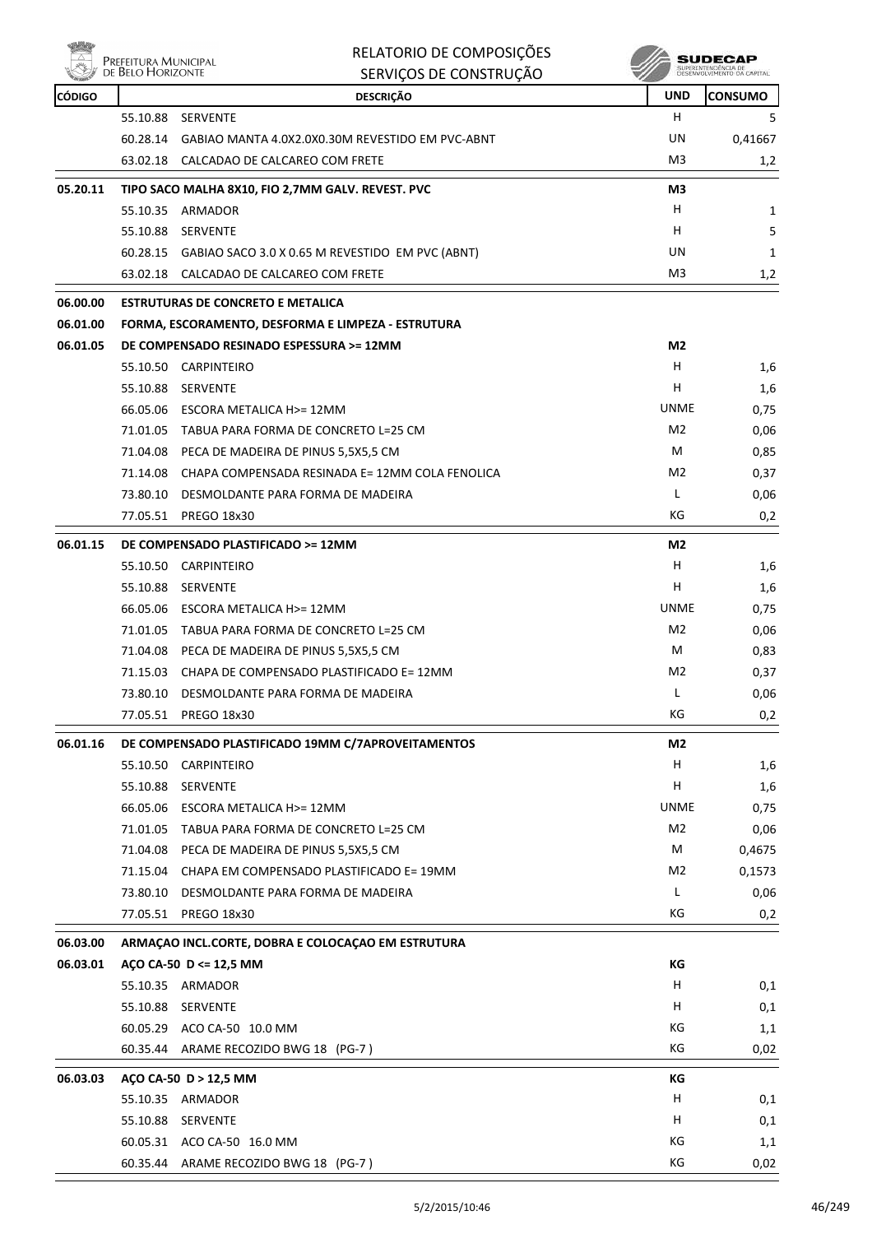

Prefeitura Municipal<br>De Belo Horizonte

#### RELATORIO DE COMPOSIÇÕES SERVIÇOS DE CONSTRUÇÃO

**SUDECAP**<br>SUPERINTENDÉNCIA DE<br>DESENVOLVIMENTO OA CAPITAL

| <b>CÓDIGO</b> |          | <b>DESCRIÇÃO</b>                                          | <b>UND</b>     | <b>CONSUMO</b> |
|---------------|----------|-----------------------------------------------------------|----------------|----------------|
|               |          | 55.10.88 SERVENTE                                         | H              | 5.             |
|               |          | 60.28.14 GABIAO MANTA 4.0X2.0X0.30M REVESTIDO EM PVC-ABNT | UN             | 0,41667        |
|               | 63.02.18 | CALCADAO DE CALCAREO COM FRETE                            | M3             | 1,2            |
| 05.20.11      |          | TIPO SACO MALHA 8X10, FIO 2,7MM GALV. REVEST. PVC         | M3             |                |
|               |          | 55.10.35 ARMADOR                                          | H              | 1              |
|               | 55.10.88 | SERVENTE                                                  | H              | 5              |
|               |          | 60.28.15 GABIAO SACO 3.0 X 0.65 M REVESTIDO EM PVC (ABNT) | UN             | 1              |
|               |          | 63.02.18 CALCADAO DE CALCAREO COM FRETE                   | M3             | 1,2            |
| 06.00.00      |          | <b>ESTRUTURAS DE CONCRETO E METALICA</b>                  |                |                |
| 06.01.00      |          | FORMA, ESCORAMENTO, DESFORMA E LIMPEZA - ESTRUTURA        |                |                |
| 06.01.05      |          | DE COMPENSADO RESINADO ESPESSURA >= 12MM                  | M2             |                |
|               |          | 55.10.50 CARPINTEIRO                                      | н              | 1,6            |
|               | 55.10.88 | SERVENTE                                                  | н              | 1,6            |
|               |          | 66.05.06 ESCORA METALICA H>= 12MM                         | <b>UNME</b>    | 0,75           |
|               |          | 71.01.05 TABUA PARA FORMA DE CONCRETO L=25 CM             | M <sub>2</sub> | 0,06           |
|               |          | 71.04.08 PECA DE MADEIRA DE PINUS 5,5X5,5 CM              | M              | 0,85           |
|               | 71.14.08 | CHAPA COMPENSADA RESINADA E= 12MM COLA FENOLICA           | M2             | 0,37           |
|               | 73.80.10 | DESMOLDANTE PARA FORMA DE MADEIRA                         | L              | 0,06           |
|               | 77.05.51 | <b>PREGO 18x30</b>                                        | КG             | 0,2            |
| 06.01.15      |          | DE COMPENSADO PLASTIFICADO >= 12MM                        | M2             |                |
|               |          | 55.10.50 CARPINTEIRO                                      | H              | 1,6            |
|               |          | 55.10.88 SERVENTE                                         | н              | 1,6            |
|               |          | 66.05.06 ESCORA METALICA H>= 12MM                         | <b>UNME</b>    | 0,75           |
|               | 71.01.05 | TABUA PARA FORMA DE CONCRETO L=25 CM                      | M <sub>2</sub> | 0,06           |
|               |          | 71.04.08 PECA DE MADEIRA DE PINUS 5,5X5,5 CM              | м              | 0,83           |
|               | 71.15.03 | CHAPA DE COMPENSADO PLASTIFICADO E= 12MM                  | M2             | 0,37           |
|               |          | 73.80.10 DESMOLDANTE PARA FORMA DE MADEIRA                | L              | 0,06           |
|               |          | 77.05.51 PREGO 18x30                                      | КG             | 0,2            |
| 06.01.16      |          | DE COMPENSADO PLASTIFICADO 19MM C/7APROVEITAMENTOS        | M <sub>2</sub> |                |
|               |          | 55.10.50 CARPINTEIRO                                      | H              | 1,6            |
|               | 55.10.88 | SERVENTE                                                  | н              | 1,6            |
|               | 66.05.06 | ESCORA METALICA H>= 12MM                                  | <b>UNME</b>    | 0,75           |
|               | 71.01.05 | TABUA PARA FORMA DE CONCRETO L=25 CM                      | M <sub>2</sub> | 0,06           |
|               |          | 71.04.08 PECA DE MADEIRA DE PINUS 5,5X5,5 CM              | M              | 0,4675         |
|               | 71.15.04 | CHAPA EM COMPENSADO PLASTIFICADO E= 19MM                  | M2             | 0,1573         |
|               | 73.80.10 | DESMOLDANTE PARA FORMA DE MADEIRA                         | Г              | 0,06           |
|               |          | 77.05.51 PREGO 18x30                                      | КG             | 0,2            |
| 06.03.00      |          | ARMAÇÃO INCL.CORTE, DOBRA E COLOCAÇÃO EM ESTRUTURA        |                |                |
| 06.03.01      |          | AÇO CA-50 D <= 12,5 MM                                    | КG             |                |
|               |          | 55.10.35 ARMADOR                                          | н              | 0,1            |
|               |          | 55.10.88 SERVENTE                                         | H              | 0,1            |
|               |          | 60.05.29 ACO CA-50 10.0 MM                                | КG             | 1,1            |
|               |          | 60.35.44 ARAME RECOZIDO BWG 18 (PG-7)                     | КG             | 0,02           |
| 06.03.03      |          | AÇO CA-50 D > 12,5 MM                                     | КG             |                |
|               |          | 55.10.35 ARMADOR                                          | н              | 0,1            |
|               |          | 55.10.88 SERVENTE                                         | H              | 0,1            |
|               |          | 60.05.31 ACO CA-50 16.0 MM                                | КG             | 1,1            |
|               |          | 60.35.44 ARAME RECOZIDO BWG 18 (PG-7)                     | КG             | 0,02           |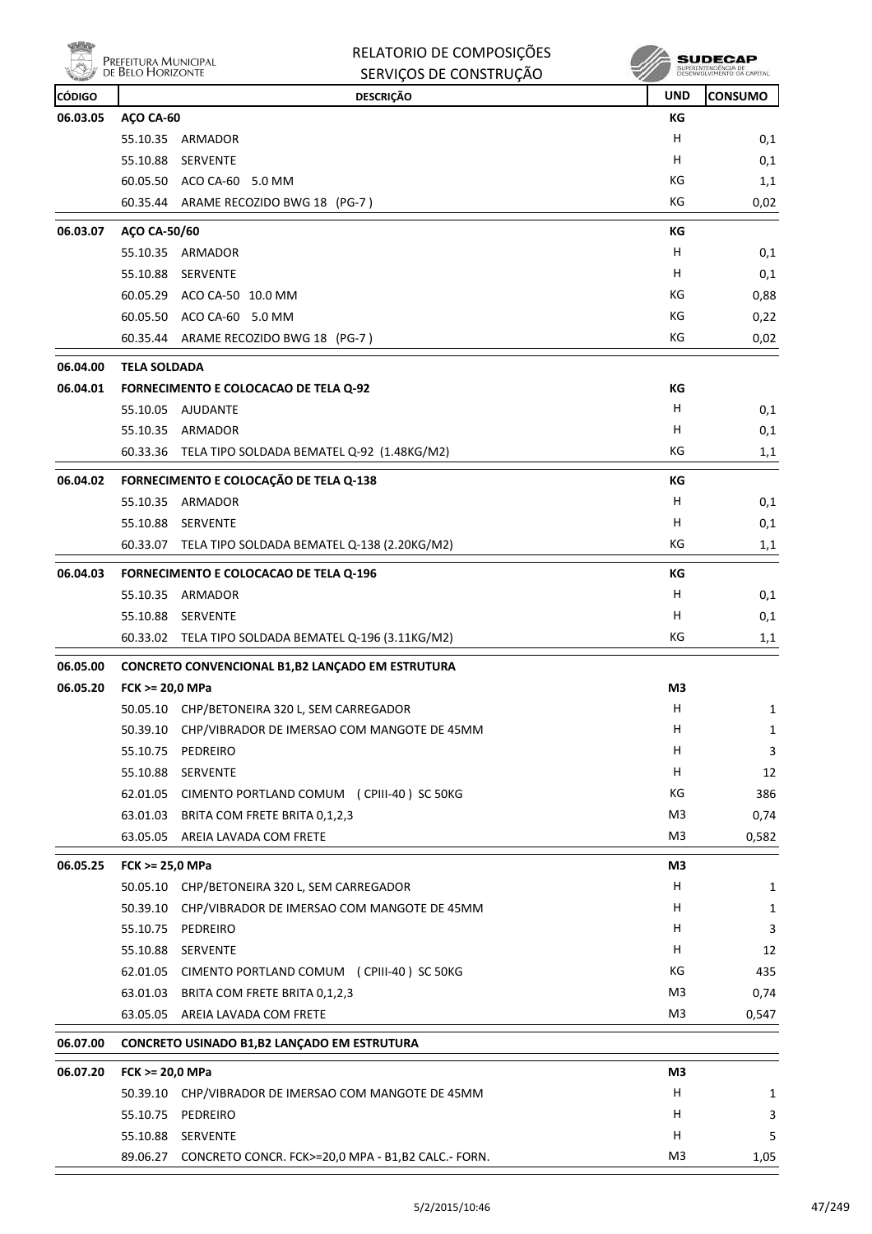|               | Prefeitura Municipal<br>de Belo Horizonte | RELATORIO DE COMPOSIÇÕES<br>SERVIÇOS DE CONSTRUÇÃO          |                | SUDECAF<br>SUPERINTENDENCIA DE<br>DÉSENVOLVIMENTO DA CAPITAL |
|---------------|-------------------------------------------|-------------------------------------------------------------|----------------|--------------------------------------------------------------|
| <b>CÓDIGO</b> |                                           | <b>DESCRIÇÃO</b>                                            | <b>UND</b>     | <b>CONSUMO</b>                                               |
| 06.03.05      | AÇO CA-60                                 |                                                             | КG             |                                                              |
|               |                                           | 55.10.35 ARMADOR                                            | н              | 0,1                                                          |
|               | 55.10.88                                  | <b>SERVENTE</b>                                             | н              | 0,1                                                          |
|               |                                           | 60.05.50 ACO CA-60 5.0 MM                                   | КG             | 1,1                                                          |
|               |                                           | 60.35.44 ARAME RECOZIDO BWG 18 (PG-7)                       | КG             | 0,02                                                         |
| 06.03.07      | AÇO CA-50/60                              |                                                             | КG             |                                                              |
|               | 55.10.35                                  | ARMADOR                                                     | н              | 0,1                                                          |
|               | 55.10.88                                  | SERVENTE                                                    | н              | 0,1                                                          |
|               |                                           | 60.05.29 ACO CA-50 10.0 MM                                  | КG             | 0,88                                                         |
|               |                                           | 60.05.50 ACO CA-60 5.0 MM                                   | КG             | 0,22                                                         |
|               |                                           | 60.35.44 ARAME RECOZIDO BWG 18 (PG-7)                       | KG             | 0,02                                                         |
| 06.04.00      | <b>TELA SOLDADA</b>                       |                                                             |                |                                                              |
| 06.04.01      |                                           | <b>FORNECIMENTO E COLOCACAO DE TELA Q-92</b>                | КG             |                                                              |
|               |                                           | 55.10.05 AJUDANTE                                           | н              | 0,1                                                          |
|               |                                           | 55.10.35 ARMADOR                                            | н              | 0,1                                                          |
|               | 60.33.36                                  | TELA TIPO SOLDADA BEMATEL Q-92 (1.48KG/M2)                  | КG             | 1,1                                                          |
| 06.04.02      |                                           | FORNECIMENTO E COLOCAÇÃO DE TELA Q-138                      | КG             |                                                              |
|               |                                           | 55.10.35 ARMADOR                                            | н              | 0,1                                                          |
|               | 55.10.88                                  | SERVENTE                                                    | н              | 0,1                                                          |
|               | 60.33.07                                  | TELA TIPO SOLDADA BEMATEL Q-138 (2.20KG/M2)                 | КG             | 1,1                                                          |
| 06.04.03      |                                           | <b>FORNECIMENTO E COLOCACAO DE TELA Q-196</b>               | КG             |                                                              |
|               | 55.10.35                                  | ARMADOR                                                     | н              | 0,1                                                          |
|               |                                           | 55.10.88 SERVENTE                                           | н              | 0,1                                                          |
|               |                                           | 60.33.02 TELA TIPO SOLDADA BEMATEL Q-196 (3.11KG/M2)        | КG             | 1,1                                                          |
| 06.05.00      |                                           | CONCRETO CONVENCIONAL B1,B2 LANCADO EM ESTRUTURA            |                |                                                              |
| 06.05.20      | FCK >= 20,0 MPa                           |                                                             | M <sub>3</sub> |                                                              |
|               |                                           | 50.05.10 CHP/BETONEIRA 320 L, SEM CARREGADOR                | Н              | $\mathbf{1}$                                                 |
|               |                                           | 50.39.10 CHP/VIBRADOR DE IMERSAO COM MANGOTE DE 45MM        | н              | $\mathbf{1}$                                                 |
|               |                                           | 55.10.75 PEDREIRO                                           | н              | 3                                                            |
|               |                                           | 55.10.88 SERVENTE                                           | н              | 12                                                           |
|               |                                           | 62.01.05 CIMENTO PORTLAND COMUM (CPIII-40) SC 50KG          | КG             | 386                                                          |
|               |                                           | 63.01.03 BRITA COM FRETE BRITA 0,1,2,3                      | M3             | 0,74                                                         |
|               |                                           | 63.05.05 AREIA LAVADA COM FRETE                             | M <sub>3</sub> | 0,582                                                        |
| 06.05.25      | FCK >= 25,0 MPa                           |                                                             | M3             |                                                              |
|               |                                           | 50.05.10 CHP/BETONEIRA 320 L, SEM CARREGADOR                | H              | 1                                                            |
|               |                                           | 50.39.10 CHP/VIBRADOR DE IMERSAO COM MANGOTE DE 45MM        | н              | $\mathbf{1}$                                                 |
|               |                                           | 55.10.75 PEDREIRO                                           | H              | 3                                                            |
|               |                                           | 55.10.88 SERVENTE                                           | н              | 12                                                           |
|               |                                           | 62.01.05 CIMENTO PORTLAND COMUM (CPIII-40) SC 50KG          | КG             | 435                                                          |
|               |                                           | 63.01.03 BRITA COM FRETE BRITA 0,1,2,3                      | M <sub>3</sub> | 0,74                                                         |
|               |                                           | 63.05.05 AREIA LAVADA COM FRETE                             | M <sub>3</sub> | 0,547                                                        |
| 06.07.00      |                                           | CONCRETO USINADO B1, B2 LANÇADO EM ESTRUTURA                |                |                                                              |
| 06.07.20      | FCK >= 20,0 MPa                           |                                                             | M3             |                                                              |
|               |                                           | 50.39.10 CHP/VIBRADOR DE IMERSAO COM MANGOTE DE 45MM        | H              | 1                                                            |
|               |                                           | 55.10.75 PEDREIRO                                           | н              | 3                                                            |
|               |                                           | 55.10.88 SERVENTE                                           | н              | 5                                                            |
|               |                                           | 89.06.27 CONCRETO CONCR. FCK>=20,0 MPA - B1,B2 CALC.- FORN. | M3             | 1,05                                                         |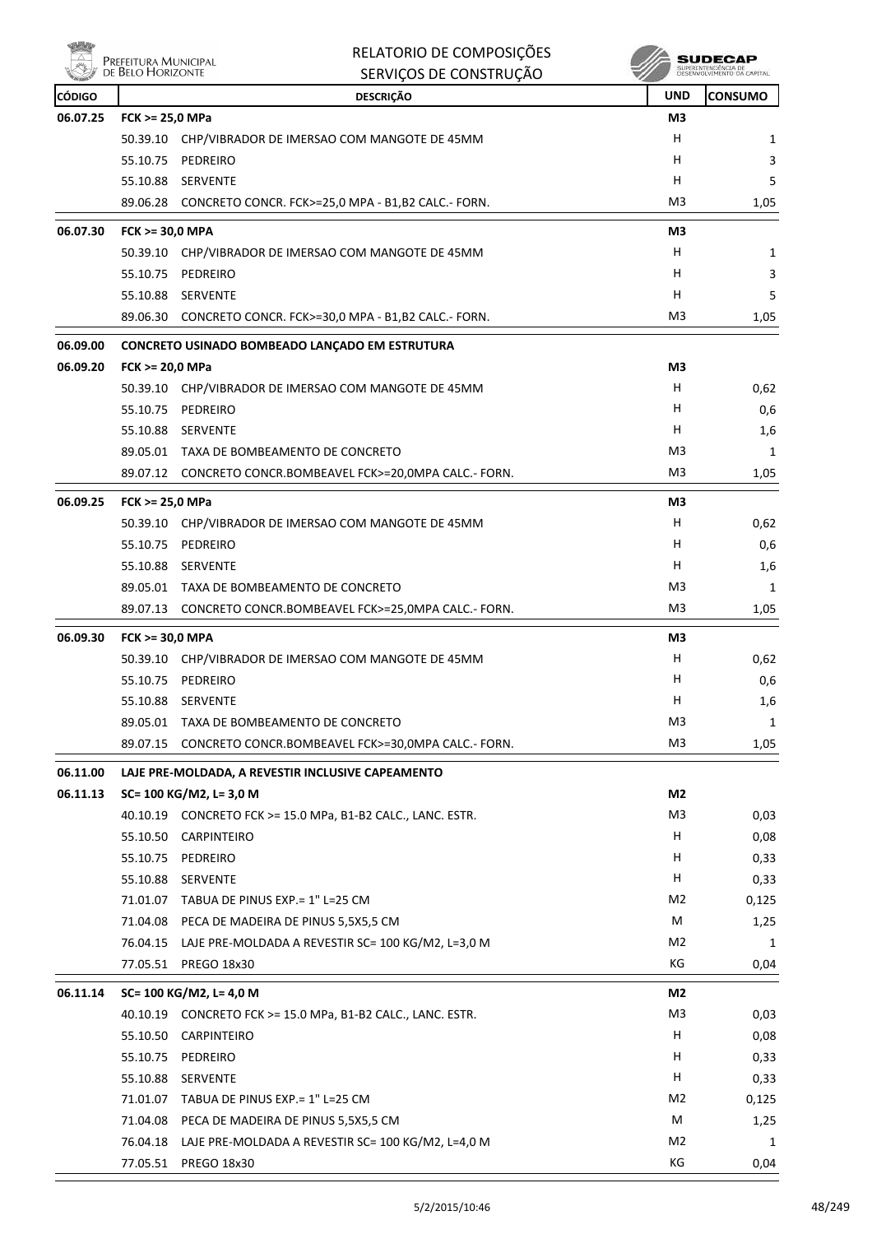|               | PREFEITURA MUNICIPAL<br>DE BELO HORIZONTE | RELATORIO DE COMPOSIÇÕES<br>SERVIÇOS DE CONSTRUÇÃO          |                | <b>SUDECAP</b><br>SUPERINTENDÊNCIA DE<br>DESENVOLVIMENTO DA CAPITAL |
|---------------|-------------------------------------------|-------------------------------------------------------------|----------------|---------------------------------------------------------------------|
| <b>CÓDIGO</b> |                                           | <b>DESCRIÇÃO</b>                                            | <b>UND</b>     | <b>CONSUMO</b>                                                      |
| 06.07.25      | FCK >= 25,0 MPa                           |                                                             | M3             |                                                                     |
|               |                                           | 50.39.10 CHP/VIBRADOR DE IMERSAO COM MANGOTE DE 45MM        | н              | 1                                                                   |
|               | 55.10.75                                  | PEDREIRO                                                    | H              | 3                                                                   |
|               |                                           | 55.10.88 SERVENTE                                           | H              | 5                                                                   |
|               |                                           | 89.06.28 CONCRETO CONCR. FCK>=25,0 MPA - B1,B2 CALC.- FORN. | M3             | 1,05                                                                |
| 06.07.30      | FCK >= 30,0 MPA                           |                                                             | M3             |                                                                     |
|               |                                           | 50.39.10 CHP/VIBRADOR DE IMERSAO COM MANGOTE DE 45MM        | н              | 1                                                                   |
|               | 55.10.75                                  | PEDREIRO                                                    | н              | 3                                                                   |
|               |                                           | 55.10.88 SERVENTE                                           | Н              | 5                                                                   |
|               |                                           | 89.06.30 CONCRETO CONCR. FCK>=30,0 MPA - B1,B2 CALC.- FORN. | M3             | 1,05                                                                |
| 06.09.00      |                                           | CONCRETO USINADO BOMBEADO LANÇADO EM ESTRUTURA              |                |                                                                     |
| 06.09.20      | FCK >= 20,0 MPa                           |                                                             | M3             |                                                                     |
|               |                                           | 50.39.10 CHP/VIBRADOR DE IMERSAO COM MANGOTE DE 45MM        | Н              | 0,62                                                                |
|               | 55.10.75                                  | PEDREIRO                                                    | Н              | 0,6                                                                 |
|               |                                           | 55.10.88 SERVENTE                                           | H              | 1,6                                                                 |
|               |                                           | 89.05.01 TAXA DE BOMBEAMENTO DE CONCRETO                    | M3             | 1                                                                   |
|               |                                           | 89.07.12 CONCRETO CONCR.BOMBEAVEL FCK>=20,0MPA CALC.- FORN. | M3             | 1,05                                                                |
| 06.09.25      | FCK >= 25,0 MPa                           |                                                             | M3             |                                                                     |
|               | 50.39.10                                  | CHP/VIBRADOR DE IMERSAO COM MANGOTE DE 45MM                 | H              | 0,62                                                                |
|               | 55.10.75                                  | PEDREIRO                                                    | H              | 0,6                                                                 |
|               |                                           | 55.10.88 SERVENTE                                           | Н              | 1,6                                                                 |
|               |                                           | 89.05.01 TAXA DE BOMBEAMENTO DE CONCRETO                    | M3             | 1                                                                   |
|               |                                           | 89.07.13 CONCRETO CONCR.BOMBEAVEL FCK>=25,0MPA CALC.- FORN. | M <sub>3</sub> | 1,05                                                                |
| 06.09.30      | <b>FCK &gt;= 30,0 MPA</b>                 |                                                             | M3             |                                                                     |
|               |                                           | 50.39.10 CHP/VIBRADOR DE IMERSAO COM MANGOTE DE 45MM        | н              | 0,62                                                                |
|               |                                           | 55.10.75 PEDREIRO                                           | н              | 0,6                                                                 |
|               | 55.10.88                                  | SERVENTE                                                    | H              | 1,6                                                                 |
|               | 89.05.01                                  | TAXA DE BOMBEAMENTO DE CONCRETO                             | M <sub>3</sub> | 1                                                                   |
|               | 89.07.15                                  | CONCRETO CONCR.BOMBEAVEL FCK>=30,0MPA CALC.- FORN.          | M3             | 1,05                                                                |
| 06.11.00      |                                           | LAJE PRE-MOLDADA, A REVESTIR INCLUSIVE CAPEAMENTO           |                |                                                                     |
| 06.11.13      |                                           | SC= 100 KG/M2, L= 3,0 M                                     | M2             |                                                                     |
|               |                                           | 40.10.19 CONCRETO FCK >= 15.0 MPa, B1-B2 CALC., LANC. ESTR. | M3             | 0,03                                                                |
|               | 55.10.50                                  | CARPINTEIRO                                                 | H              | 0,08                                                                |
|               | 55.10.75                                  | PEDREIRO                                                    | H              | 0,33                                                                |
|               |                                           | 55.10.88 SERVENTE                                           | Н              | 0,33                                                                |

|          | 71.01.07 | TABUA DE PINUS EXP. = 1" L=25 CM                   | M <sub>2</sub> | 0,125 |
|----------|----------|----------------------------------------------------|----------------|-------|
|          | 71.04.08 | PECA DE MADEIRA DE PINUS 5,5X5,5 CM                | M              | 1,25  |
|          | 76.04.15 | LAJE PRE-MOLDADA A REVESTIR SC= 100 KG/M2, L=3,0 M | M <sub>2</sub> | 1     |
|          | 77.05.51 | <b>PREGO 18x30</b>                                 | КG             | 0,04  |
| 06.11.14 |          | SC= 100 KG/M2, L= 4,0 M                            | M <sub>2</sub> |       |
|          | 40.10.19 | CONCRETO FCK >= 15.0 MPa, B1-B2 CALC., LANC. ESTR. | M <sub>3</sub> | 0,03  |
|          | 55.10.50 | CARPINTEIRO                                        | H              | 0,08  |
|          | 55.10.75 | PEDREIRO                                           | H              | 0,33  |
|          | 55.10.88 | <b>SERVENTE</b>                                    | H              | 0,33  |
|          | 71.01.07 | TABUA DE PINUS EXP. = 1" L=25 CM                   | M <sub>2</sub> | 0,125 |
|          | 71.04.08 | PECA DE MADEIRA DE PINUS 5,5X5,5 CM                | M              | 1,25  |
|          | 76.04.18 | LAJE PRE-MOLDADA A REVESTIR SC= 100 KG/M2, L=4,0 M | M <sub>2</sub> | 1     |
|          | 77.05.51 | <b>PREGO 18x30</b>                                 | КG             | 0.04  |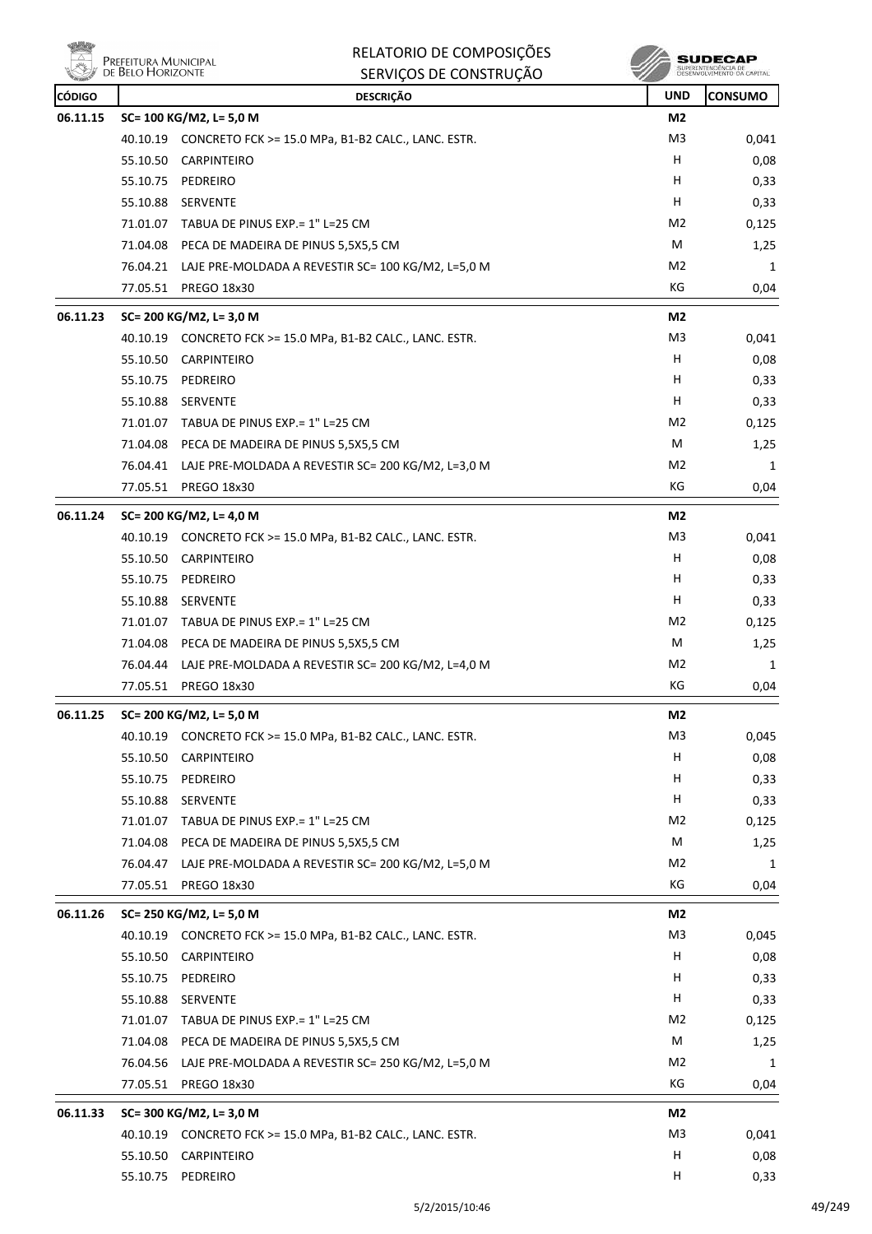|               | Prefeitura Municipal<br>de Belo Horizonte | RELATORIO DE COMPOSIÇÕES<br>SERVIÇOS DE CONSTRUÇÃO          |                | SUPERINTENDÊNCIA DE<br>DESENVOLVIMENTO DA CAPITAL |
|---------------|-------------------------------------------|-------------------------------------------------------------|----------------|---------------------------------------------------|
| <b>CÓDIGO</b> |                                           | <b>DESCRIÇÃO</b>                                            | <b>UND</b>     | <b>CONSUMO</b>                                    |
| 06.11.15      |                                           | SC= 100 KG/M2, L= 5,0 M                                     | M2             |                                                   |
|               |                                           | 40.10.19 CONCRETO FCK >= 15.0 MPa, B1-B2 CALC., LANC. ESTR. | M3             | 0,041                                             |
|               | 55.10.50                                  | <b>CARPINTEIRO</b>                                          | H.             | 0,08                                              |
|               |                                           | 55.10.75 PEDREIRO                                           | H.             | 0,33                                              |
|               | 55.10.88                                  | SERVENTE                                                    | H              | 0,33                                              |
|               |                                           | 71.01.07 TABUA DE PINUS EXP. = 1" L=25 CM                   | M2             | 0,125                                             |
|               |                                           | 71.04.08 PECA DE MADEIRA DE PINUS 5,5X5,5 CM                | M              | 1,25                                              |
|               |                                           | 76.04.21 LAJE PRE-MOLDADA A REVESTIR SC= 100 KG/M2, L=5,0 M | M2             | 1                                                 |
|               |                                           | 77.05.51 PREGO 18x30                                        | КG             | 0,04                                              |
| 06.11.23      |                                           | SC= 200 KG/M2, L= 3,0 M                                     | M2             |                                                   |
|               |                                           | 40.10.19 CONCRETO FCK >= 15.0 MPa, B1-B2 CALC., LANC. ESTR. | M3             | 0,041                                             |
|               | 55.10.50                                  | <b>CARPINTEIRO</b>                                          | н              | 0,08                                              |
|               | 55.10.75                                  | PEDREIRO                                                    | H.             | 0,33                                              |
|               |                                           | 55.10.88 SERVENTE                                           | H.             | 0,33                                              |
|               | 71.01.07                                  | TABUA DE PINUS EXP.= 1" L=25 CM                             | M2             | 0,125                                             |
|               |                                           | 71.04.08 PECA DE MADEIRA DE PINUS 5,5X5,5 CM                | M              | 1,25                                              |
|               | 76.04.41                                  | LAJE PRE-MOLDADA A REVESTIR SC= 200 KG/M2, L=3,0 M          | M2             | 1                                                 |
|               | 77.05.51                                  | <b>PREGO 18x30</b>                                          | КG             | 0,04                                              |
| 06.11.24      |                                           | SC= 200 KG/M2, L= 4,0 M                                     | M2             |                                                   |
|               |                                           | 40.10.19 CONCRETO FCK >= 15.0 MPa, B1-B2 CALC., LANC. ESTR. | M <sub>3</sub> | 0,041                                             |
|               |                                           | 55.10.50 CARPINTEIRO                                        | н              | 0,08                                              |
|               | 55.10.75                                  | PEDREIRO                                                    | H              | 0,33                                              |
|               | 55.10.88                                  | <b>SERVENTE</b>                                             | н              | 0,33                                              |
|               |                                           | 71.01.07 TABUA DE PINUS EXP. = 1" L=25 CM                   | M <sub>2</sub> | 0,125                                             |
|               |                                           | 71.04.08 PECA DE MADEIRA DE PINUS 5,5X5,5 CM                | M              | 1,25                                              |
|               |                                           | 76.04.44 LAJE PRE-MOLDADA A REVESTIR SC= 200 KG/M2, L=4,0 M | M2             | 1                                                 |
|               | 77.05.51                                  | PREGO 18x30                                                 | КG             | 0,04                                              |
| 06.11.25      |                                           | SC= 200 KG/M2, L= 5,0 M                                     | M2             |                                                   |
|               |                                           | 40.10.19 CONCRETO FCK >= 15.0 MPa, B1-B2 CALC., LANC. ESTR. | M3             | 0,045                                             |
|               |                                           | 55.10.50 CARPINTEIRO                                        | H              | 0,08                                              |
|               |                                           | 55.10.75 PEDREIRO                                           | H              | 0,33                                              |
|               |                                           | 55.10.88 SERVENTE                                           | н              | 0,33                                              |
|               | 71.01.07                                  | TABUA DE PINUS EXP.= 1" L=25 CM                             | M2             | 0,125                                             |
|               |                                           | 71.04.08 PECA DE MADEIRA DE PINUS 5,5X5,5 CM                | M              | 1,25                                              |
|               | 76.04.47                                  | LAJE PRE-MOLDADA A REVESTIR SC= 200 KG/M2, L=5,0 M          | M <sub>2</sub> | 1                                                 |
|               |                                           | 77.05.51 PREGO 18x30                                        | КG             | 0,04                                              |
| 06.11.26      |                                           | SC= 250 KG/M2, L= 5,0 M                                     | M2             |                                                   |
|               |                                           | 40.10.19 CONCRETO FCK >= 15.0 MPa, B1-B2 CALC., LANC. ESTR. | M <sub>3</sub> | 0,045                                             |
|               |                                           | 55.10.50 CARPINTEIRO                                        | Н              | 0,08                                              |
|               |                                           | 55.10.75 PEDREIRO                                           | H              | 0,33                                              |
|               |                                           | 55.10.88 SERVENTE                                           | H.             | 0,33                                              |
|               |                                           | 71.01.07 TABUA DE PINUS EXP.= 1" L=25 CM                    | M <sub>2</sub> | 0,125                                             |
|               |                                           | 71.04.08 PECA DE MADEIRA DE PINUS 5,5X5,5 CM                | M              | 1,25                                              |
|               | 76.04.56                                  | LAJE PRE-MOLDADA A REVESTIR SC= 250 KG/M2, L=5,0 M          | M <sub>2</sub> | 1                                                 |
|               | 77.05.51                                  | PREGO 18x30                                                 | KG             | 0,04                                              |
| 06.11.33      |                                           | SC= 300 KG/M2, L= 3,0 M                                     | M2             |                                                   |
|               |                                           | 40.10.19 CONCRETO FCK >= 15.0 MPa, B1-B2 CALC., LANC. ESTR. | M3             | 0,041                                             |
|               | 55.10.50                                  | <b>CARPINTEIRO</b>                                          | н              | 0,08                                              |
|               |                                           | 55.10.75 PEDREIRO                                           | H              | 0,33                                              |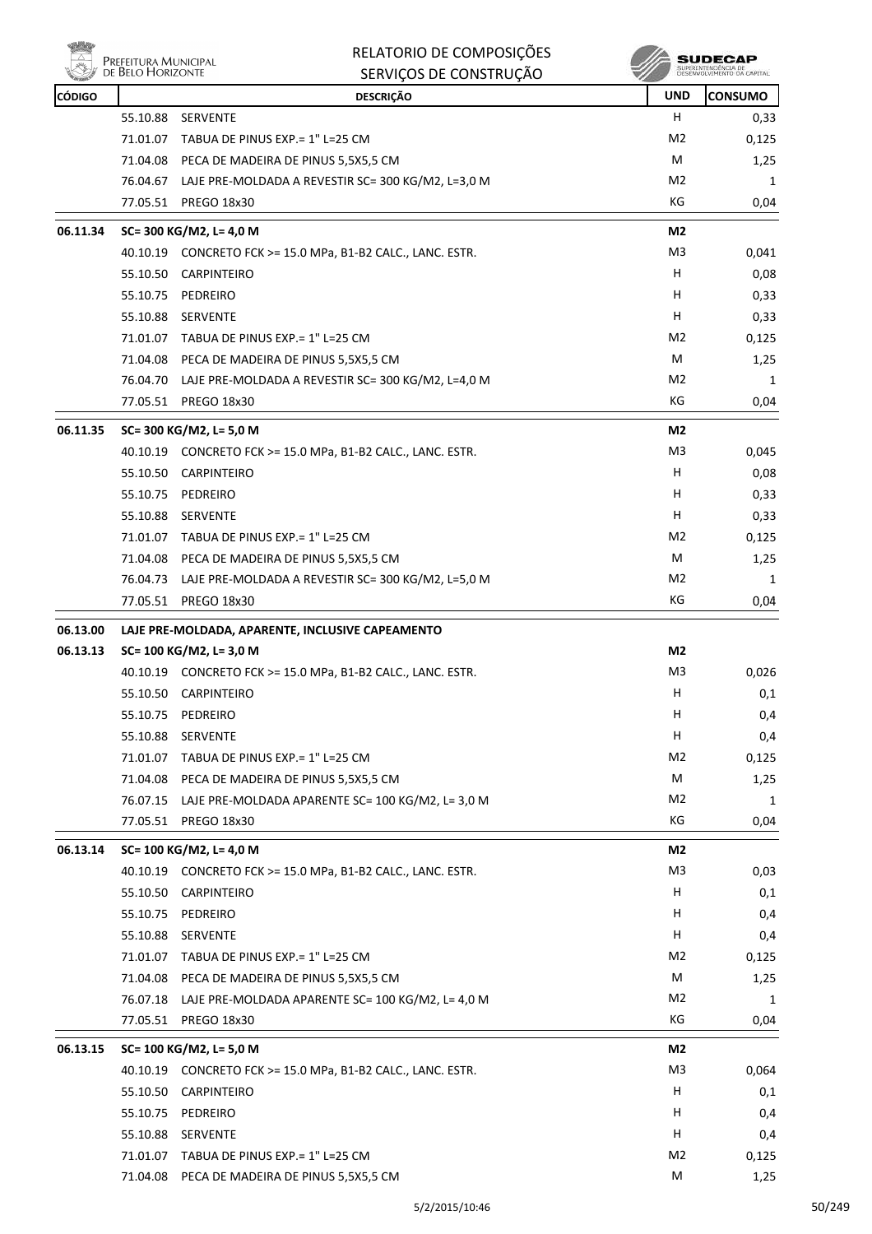

|               | Prefeitura Municipal<br>de Belo Horizonte | RELATORIO DE COMPOSIÇÕES                                                          |                | SUDECAP<br>SUPERINTENDÊNCIA DE<br>DESENVOLVIMENTO DA CAPITAL |
|---------------|-------------------------------------------|-----------------------------------------------------------------------------------|----------------|--------------------------------------------------------------|
|               |                                           | SERVIÇOS DE CONSTRUÇÃO                                                            |                |                                                              |
| <b>CÓDIGO</b> |                                           | <b>DESCRIÇÃO</b>                                                                  | <b>UND</b>     | <b>CONSUMO</b>                                               |
|               | 55.10.88                                  | <b>SERVENTE</b>                                                                   | н              | 0,33                                                         |
|               | 71.01.07                                  | TABUA DE PINUS EXP.= 1" L=25 CM                                                   | M2             | 0,125                                                        |
|               | 71.04.08                                  | PECA DE MADEIRA DE PINUS 5,5X5,5 CM                                               | M<br>M2        | 1,25                                                         |
|               | 77.05.51                                  | 76.04.67 LAJE PRE-MOLDADA A REVESTIR SC= 300 KG/M2, L=3,0 M<br><b>PREGO 18x30</b> | КG             | 1<br>0,04                                                    |
|               |                                           |                                                                                   |                |                                                              |
| 06.11.34      |                                           | SC= 300 KG/M2, L= 4,0 M                                                           | M2             |                                                              |
|               |                                           | 40.10.19 CONCRETO FCK >= 15.0 MPa, B1-B2 CALC., LANC. ESTR.                       | M <sub>3</sub> | 0,041                                                        |
|               | 55.10.50                                  | <b>CARPINTEIRO</b>                                                                | H              | 0,08                                                         |
|               | 55.10.75                                  | PEDREIRO                                                                          | н              | 0,33                                                         |
|               | 55.10.88                                  | SERVENTE                                                                          | н              | 0,33                                                         |
|               |                                           | 71.01.07 TABUA DE PINUS EXP.= 1" L=25 CM                                          | M <sub>2</sub> | 0,125                                                        |
|               |                                           | 71.04.08 PECA DE MADEIRA DE PINUS 5,5X5,5 CM                                      | M              | 1,25                                                         |
|               | 76.04.70                                  | LAJE PRE-MOLDADA A REVESTIR SC= 300 KG/M2, L=4,0 M                                | M2             | 1                                                            |
|               | 77.05.51                                  | <b>PREGO 18x30</b>                                                                | КG             | 0,04                                                         |
| 06.11.35      |                                           | SC= 300 KG/M2, L= 5,0 M                                                           | M2             |                                                              |
|               |                                           | 40.10.19 CONCRETO FCK >= 15.0 MPa, B1-B2 CALC., LANC. ESTR.                       | M3             | 0,045                                                        |
|               | 55.10.50                                  | CARPINTEIRO                                                                       | н              | 0,08                                                         |
|               | 55.10.75                                  | PEDREIRO                                                                          | н              | 0,33                                                         |
|               | 55.10.88                                  | SERVENTE                                                                          | H              | 0,33                                                         |
|               | 71.01.07                                  | TABUA DE PINUS EXP.= 1" L=25 CM                                                   | M2             | 0,125                                                        |
|               |                                           | 71.04.08 PECA DE MADEIRA DE PINUS 5,5X5,5 CM                                      | M              | 1,25                                                         |
|               | 76.04.73                                  | LAJE PRE-MOLDADA A REVESTIR SC= 300 KG/M2, L=5,0 M                                | M2             | 1                                                            |
|               | 77.05.51                                  | <b>PREGO 18x30</b>                                                                | КG             | 0,04                                                         |
| 06.13.00      |                                           | LAJE PRE-MOLDADA, APARENTE, INCLUSIVE CAPEAMENTO                                  |                |                                                              |
| 06.13.13      |                                           | SC= 100 KG/M2, L= 3,0 M                                                           | M2             |                                                              |
|               |                                           | 40.10.19 CONCRETO FCK >= 15.0 MPa, B1-B2 CALC., LANC. ESTR.                       | M3             | 0,026                                                        |
|               | 55.10.50                                  | <b>CARPINTEIRO</b>                                                                | н              | 0,1                                                          |
|               | 55.10.75                                  | PEDREIRO                                                                          | н              | 0,4                                                          |
|               |                                           | 55.10.88 SERVENTE                                                                 | H              | 0,4                                                          |
|               |                                           | 71.01.07 TABUA DE PINUS EXP.= 1" L=25 CM                                          | M <sub>2</sub> | 0,125                                                        |
|               |                                           | 71.04.08 PECA DE MADEIRA DE PINUS 5,5X5,5 CM                                      | M              | 1,25                                                         |
|               |                                           | 76.07.15 LAJE PRE-MOLDADA APARENTE SC= 100 KG/M2, L= 3,0 M                        | M <sub>2</sub> | 1                                                            |
|               | 77.05.51                                  | PREGO 18x30                                                                       | KG             | 0,04                                                         |
| 06.13.14      |                                           | SC= 100 KG/M2, L= 4,0 M                                                           | M2             |                                                              |
|               |                                           | 40.10.19 CONCRETO FCK >= 15.0 MPa, B1-B2 CALC., LANC. ESTR.                       | M <sub>3</sub> | 0,03                                                         |
|               |                                           | 55.10.50 CARPINTEIRO                                                              | н              | 0,1                                                          |
|               |                                           | 55.10.75 PEDREIRO                                                                 | н              | 0,4                                                          |
|               |                                           | 55.10.88 SERVENTE                                                                 | н              | 0,4                                                          |
|               |                                           | 71.01.07 TABUA DE PINUS EXP. = 1" L=25 CM                                         | M2             | 0,125                                                        |
|               |                                           | 71.04.08 PECA DE MADEIRA DE PINUS 5,5X5,5 CM                                      | М              | 1,25                                                         |
|               |                                           | 76.07.18 LAJE PRE-MOLDADA APARENTE SC= 100 KG/M2, L= 4,0 M                        | M2             | 1                                                            |
|               |                                           | 77.05.51 PREGO 18x30                                                              | KG             | 0,04                                                         |
| 06.13.15      |                                           | SC= 100 KG/M2, L= 5,0 M                                                           | M2             |                                                              |
|               |                                           | 40.10.19 CONCRETO FCK >= 15.0 MPa, B1-B2 CALC., LANC. ESTR.                       | M3             | 0,064                                                        |
|               |                                           | 55.10.50 CARPINTEIRO                                                              | H              | 0,1                                                          |
|               |                                           | 55.10.75 PEDREIRO                                                                 | H              | 0,4                                                          |
|               |                                           | 55.10.88 SERVENTE                                                                 | н              | 0,4                                                          |
|               |                                           | 71.01.07 TABUA DE PINUS EXP.= 1" L=25 CM                                          | M <sub>2</sub> | 0,125                                                        |
|               |                                           | 71.04.08 PECA DE MADEIRA DE PINUS 5,5X5,5 CM                                      | М              | 1,25                                                         |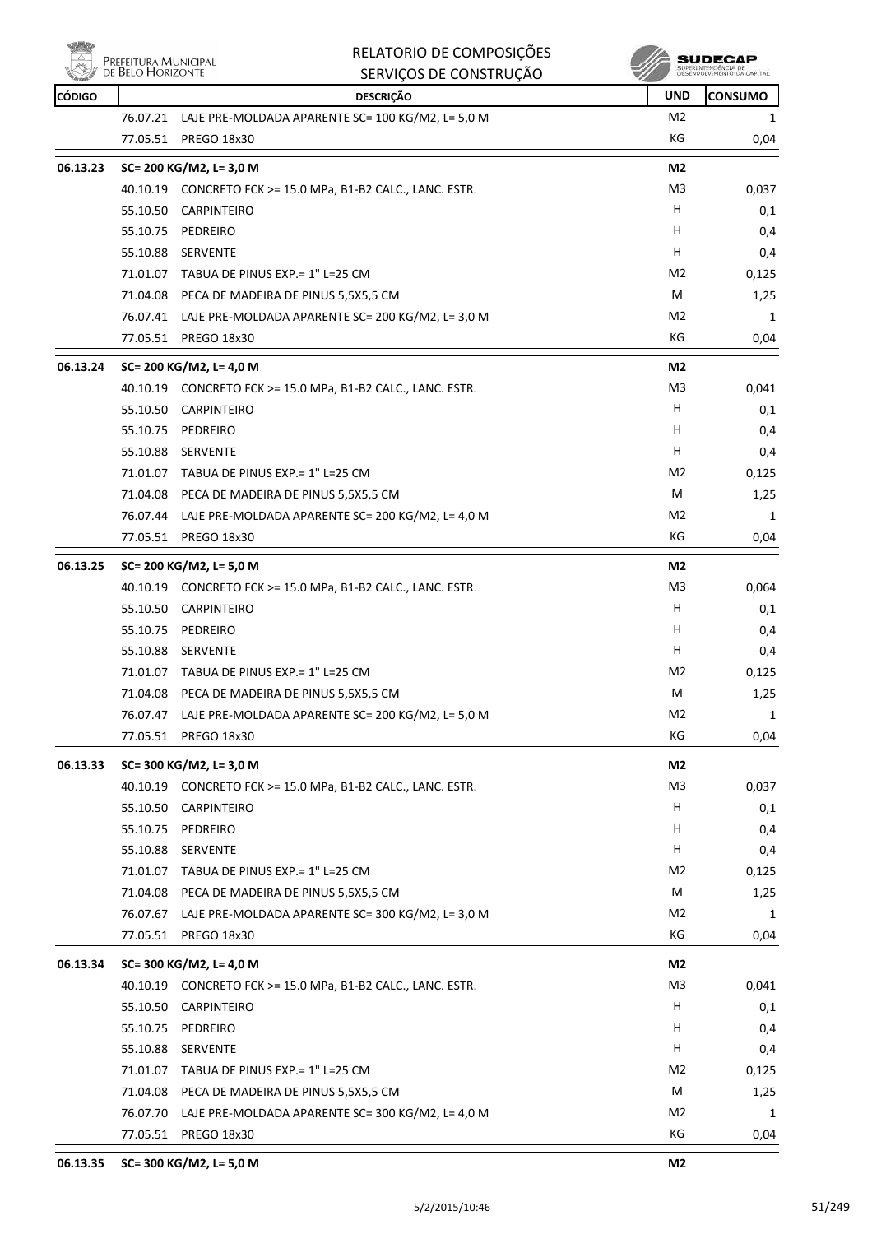

|               | DE BELO HORIZONTE | SERVIÇOS DE CONSTRUÇÃO                                      |                | SUPERINTENDENCIA DE<br>DESENVOLVIMENTO DA CAPITAL |
|---------------|-------------------|-------------------------------------------------------------|----------------|---------------------------------------------------|
| <b>CÓDIGO</b> |                   | <b>DESCRIÇÃO</b>                                            | UND            | <b>CONSUMO</b>                                    |
|               | 76.07.21          | LAJE PRE-MOLDADA APARENTE SC= 100 KG/M2, L= 5,0 M           | M2             | 1                                                 |
|               | 77.05.51          | <b>PREGO 18x30</b>                                          | KG             | 0,04                                              |
| 06.13.23      |                   | SC= 200 KG/M2, L= 3,0 M                                     | M2             |                                                   |
|               |                   | 40.10.19 CONCRETO FCK >= 15.0 MPa, B1-B2 CALC., LANC. ESTR. | M <sub>3</sub> | 0,037                                             |
|               | 55.10.50          | <b>CARPINTEIRO</b>                                          | H.             | 0,1                                               |
|               | 55.10.75          | PEDREIRO                                                    | H              | 0,4                                               |
|               | 55.10.88          | <b>SERVENTE</b>                                             | н              | 0,4                                               |
|               | 71.01.07          | TABUA DE PINUS EXP.= 1" L=25 CM                             | M2             | 0,125                                             |
|               |                   | 71.04.08 PECA DE MADEIRA DE PINUS 5,5X5,5 CM                | М              | 1,25                                              |
|               | 76.07.41          | LAJE PRE-MOLDADA APARENTE SC= 200 KG/M2, L= 3,0 M           | M2             | 1                                                 |
|               | 77.05.51          | PREGO 18x30                                                 | КG             | 0,04                                              |
| 06.13.24      |                   | SC= 200 KG/M2, L= 4,0 M                                     | M2             |                                                   |
|               |                   | 40.10.19 CONCRETO FCK >= 15.0 MPa, B1-B2 CALC., LANC. ESTR. | M3             | 0,041                                             |
|               | 55.10.50          | <b>CARPINTEIRO</b>                                          | Н              | 0,1                                               |
|               | 55.10.75          | PEDREIRO                                                    | H.             | 0,4                                               |
|               | 55.10.88          | SERVENTE                                                    | H              | 0,4                                               |
|               |                   | 71.01.07 TABUA DE PINUS EXP. = 1" L=25 CM                   | M <sub>2</sub> | 0,125                                             |
|               | 71.04.08          | PECA DE MADEIRA DE PINUS 5,5X5,5 CM                         | М              | 1,25                                              |
|               | 76.07.44          | LAJE PRE-MOLDADA APARENTE SC= 200 KG/M2, L= 4,0 M           | M2             | 1                                                 |
|               | 77.05.51          | PREGO 18x30                                                 | KG             | 0,04                                              |
| 06.13.25      |                   | SC= 200 KG/M2, L= 5,0 M                                     | M2             |                                                   |
|               |                   | 40.10.19 CONCRETO FCK >= 15.0 MPa, B1-B2 CALC., LANC. ESTR. | M3             | 0,064                                             |
|               | 55.10.50          | <b>CARPINTEIRO</b>                                          | н              | 0,1                                               |
|               | 55.10.75          | PEDREIRO                                                    | H.             | 0,4                                               |
|               | 55.10.88          | <b>SERVENTE</b>                                             | H              | 0,4                                               |
|               |                   | 71.01.07 TABUA DE PINUS EXP. = 1" L=25 CM                   | M2             | 0,125                                             |
|               | 71.04.08          | PECA DE MADEIRA DE PINUS 5,5X5,5 CM                         | М              | 1,25                                              |
|               | 76.07.47          | LAJE PRE-MOLDADA APARENTE SC= 200 KG/M2, L= 5,0 M           | M2             | 1                                                 |
|               | 77.05.51          | PREGO 18x30                                                 | KG             | 0,04                                              |
| 06.13.33      |                   | SC= 300 KG/M2, L= 3,0 M                                     | M2             |                                                   |
|               |                   | 40.10.19 CONCRETO FCK >= 15.0 MPa, B1-B2 CALC., LANC. ESTR. | M <sub>3</sub> | 0,037                                             |
|               | 55.10.50          | <b>CARPINTEIRO</b>                                          | H              | 0,1                                               |
|               | 55.10.75          | PEDREIRO                                                    | н              | 0,4                                               |
|               | 55.10.88          | SERVENTE                                                    | Н              | 0,4                                               |
|               | 71.01.07          | TABUA DE PINUS EXP. = 1" L=25 CM                            | M2             | 0,125                                             |
|               | 71.04.08          | PECA DE MADEIRA DE PINUS 5,5X5,5 CM                         | M              | 1,25                                              |
|               | 76.07.67          | LAJE PRE-MOLDADA APARENTE SC= 300 KG/M2, L= 3,0 M           | M <sub>2</sub> | 1                                                 |
|               | 77.05.51          | PREGO 18x30                                                 | KG             | 0,04                                              |
| 06.13.34      |                   | SC= 300 KG/M2, L= 4,0 M                                     | M2             |                                                   |
|               | 40.10.19          | CONCRETO FCK >= 15.0 MPa, B1-B2 CALC., LANC. ESTR.          | M3             | 0,041                                             |
|               | 55.10.50          | CARPINTEIRO                                                 | н              | 0,1                                               |
|               | 55.10.75          | PEDREIRO                                                    | H              | 0,4                                               |
|               | 55.10.88          | SERVENTE                                                    | н              | 0,4                                               |
|               | 71.01.07          | TABUA DE PINUS EXP. = 1" L=25 CM                            | M2             | 0,125                                             |
|               | 71.04.08          | PECA DE MADEIRA DE PINUS 5,5X5,5 CM                         | М              | 1,25                                              |
|               | 76.07.70          | LAJE PRE-MOLDADA APARENTE SC= 300 KG/M2, L= 4,0 M           | M <sub>2</sub> | 1                                                 |
|               | 77.05.51          | PREGO 18x30                                                 | КG             | 0,04                                              |

RELATORIO DE COMPOSIÇÕES

**A** SUDECAP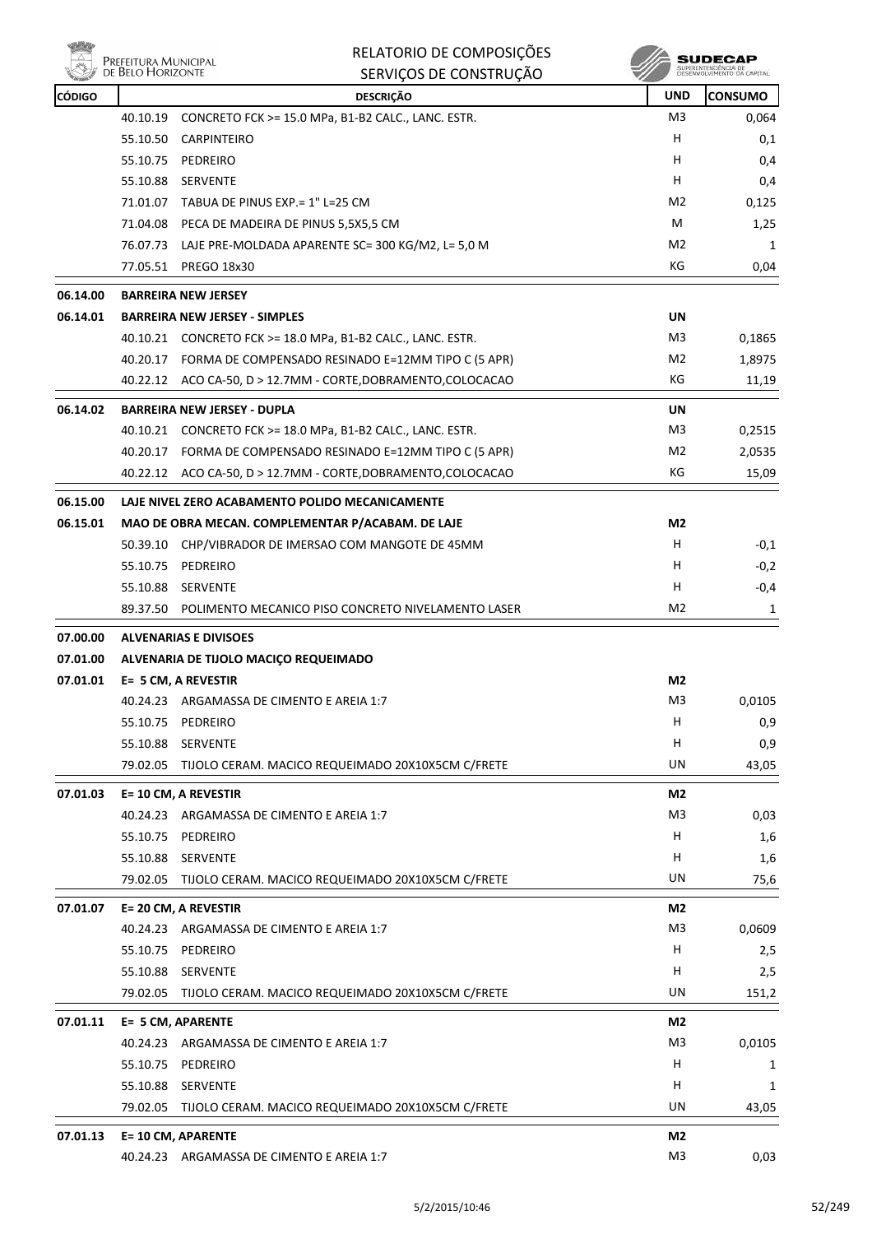

|               | PREFEITURA MUNICIPAL<br>DE BELO HORIZONTE | RELATORIO DE COMPOSIÇÕES<br>SERVIÇOS DE CONSTRUÇÃO             |                | SUPERINTENDÊNCIA DE<br>DESENVOLVIMENTO DA CAPITAL |
|---------------|-------------------------------------------|----------------------------------------------------------------|----------------|---------------------------------------------------|
| <b>CÓDIGO</b> |                                           | <b>DESCRIÇÃO</b>                                               | <b>UND</b>     | <b>CONSUMO</b>                                    |
|               | 40.10.19                                  | CONCRETO FCK >= 15.0 MPa, B1-B2 CALC., LANC. ESTR.             | M3             | 0,064                                             |
|               | 55.10.50                                  | <b>CARPINTEIRO</b>                                             | н              | 0,1                                               |
|               | 55.10.75                                  | PEDREIRO                                                       | н              | 0,4                                               |
|               | 55.10.88                                  | SERVENTE                                                       | н              | 0,4                                               |
|               |                                           | 71.01.07 TABUA DE PINUS EXP.= 1" L=25 CM                       | M <sub>2</sub> | 0,125                                             |
|               |                                           | 71.04.08 PECA DE MADEIRA DE PINUS 5,5X5,5 CM                   | M              | 1,25                                              |
|               |                                           | 76.07.73 LAJE PRE-MOLDADA APARENTE SC= 300 KG/M2, L= 5,0 M     | M <sub>2</sub> | 1                                                 |
|               | 77.05.51                                  | <b>PREGO 18x30</b>                                             | КG             | 0,04                                              |
| 06.14.00      | <b>BARREIRA NEW JERSEY</b>                |                                                                |                |                                                   |
| 06.14.01      |                                           | <b>BARREIRA NEW JERSEY - SIMPLES</b>                           | UN             |                                                   |
|               |                                           | 40.10.21    CONCRETO FCK >= 18.0 MPa, B1-B2 CALC., LANC. ESTR. | M3             | 0,1865                                            |
|               | 40.20.17                                  | FORMA DE COMPENSADO RESINADO E=12MM TIPO C (5 APR)             | M2             | 1,8975                                            |
|               |                                           | 40.22.12 ACO CA-50, D > 12.7MM - CORTE, DOBRAMENTO, COLOCACAO  | КG             | 11,19                                             |
| 06.14.02      |                                           | <b>BARREIRA NEW JERSEY - DUPLA</b>                             | UN             |                                                   |
|               | 40.10.21                                  | CONCRETO FCK >= 18.0 MPa, B1-B2 CALC., LANC. ESTR.             | M <sub>3</sub> | 0,2515                                            |
|               |                                           | 40.20.17 FORMA DE COMPENSADO RESINADO E=12MM TIPO C (5 APR)    | M <sub>2</sub> | 2,0535                                            |
|               |                                           | 40.22.12 ACO CA-50, D > 12.7MM - CORTE, DOBRAMENTO, COLOCACAO  | КG             | 15,09                                             |
| 06.15.00      |                                           | LAJE NIVEL ZERO ACABAMENTO POLIDO MECANICAMENTE                |                |                                                   |
| 06.15.01      |                                           | MAO DE OBRA MECAN. COMPLEMENTAR P/ACABAM. DE LAJE              | M <sub>2</sub> |                                                   |
|               | 50.39.10                                  | CHP/VIBRADOR DE IMERSAO COM MANGOTE DE 45MM                    | н              | $-0,1$                                            |
|               | 55.10.75                                  | PEDREIRO                                                       | н              | $-0,2$                                            |
|               | 55.10.88                                  | SERVENTE                                                       | н              | $-0,4$                                            |
|               |                                           | 89.37.50 POLIMENTO MECANICO PISO CONCRETO NIVELAMENTO LASER    | M <sub>2</sub> | 1                                                 |
| 07.00.00      | <b>ALVENARIAS E DIVISOES</b>              |                                                                |                |                                                   |
| 07.01.00      |                                           | ALVENARIA DE TIJOLO MACIÇO REQUEIMADO                          |                |                                                   |
| 07.01.01      | E= 5 CM, A REVESTIR                       |                                                                | M <sub>2</sub> |                                                   |
|               | 40.24.23                                  | ARGAMASSA DE CIMENTO E AREIA 1:7                               | M <sub>3</sub> | 0,0105                                            |
|               | 55.10.75                                  | PEDREIRO                                                       | н              | 0,9                                               |
|               | 55.10.88                                  | SERVENTE                                                       | Н              | 0,9                                               |
|               | 79.02.05                                  | TIJOLO CERAM. MACICO REQUEIMADO 20X10X5CM C/FRETE              | UN             | 43,05                                             |
| 07.01.03      | E= 10 CM, A REVESTIR                      |                                                                | M <sub>2</sub> |                                                   |
|               |                                           | 40.24.23 ARGAMASSA DE CIMENTO E AREIA 1:7                      | M <sub>3</sub> | 0,03                                              |
|               | 55.10.75 PEDREIRO                         |                                                                | Н              | 1,6                                               |
|               | 55.10.88                                  | SERVENTE                                                       | н              | 1,6                                               |
|               | 79.02.05                                  | TIJOLO CERAM. MACICO REQUEIMADO 20X10X5CM C/FRETE              | UN             | 75,6                                              |
| 07.01.07      | E= 20 CM, A REVESTIR                      |                                                                | M <sub>2</sub> |                                                   |
|               |                                           | 40.24.23 ARGAMASSA DE CIMENTO E AREIA 1:7                      | M <sub>3</sub> | 0,0609                                            |

| 07.01.11 | E= 5 CM, APARENTE |                                                   | M2             |        |
|----------|-------------------|---------------------------------------------------|----------------|--------|
|          | 40.24.23          | ARGAMASSA DE CIMENTO E AREIA 1:7                  | M <sub>3</sub> | 0,0105 |
|          | 55.10.75          | PEDREIRO                                          | н              |        |
|          | 55.10.88          | SERVENTE                                          | н              |        |
|          | 79.02.05          | TIJOLO CERAM. MACICO REQUEIMADO 20X10X5CM C/FRETE | UN             | 43,05  |
| 07.01.13 |                   | <b>E= 10 CM, APARENTE</b>                         | M2             |        |
|          | 40.24.23          | ARGAMASSA DE CIMENTO E AREIA 1:7                  | M <sub>3</sub> | 0,03   |
|          |                   |                                                   |                |        |

55.10.75 PEDREIRO H 2,5 55.10.88 SERVENTE H 2,5 79.02.05 TIJOLO CERAM. MACICO REQUEIMADO 20X10X5CM C/FRETE UN UN 151,2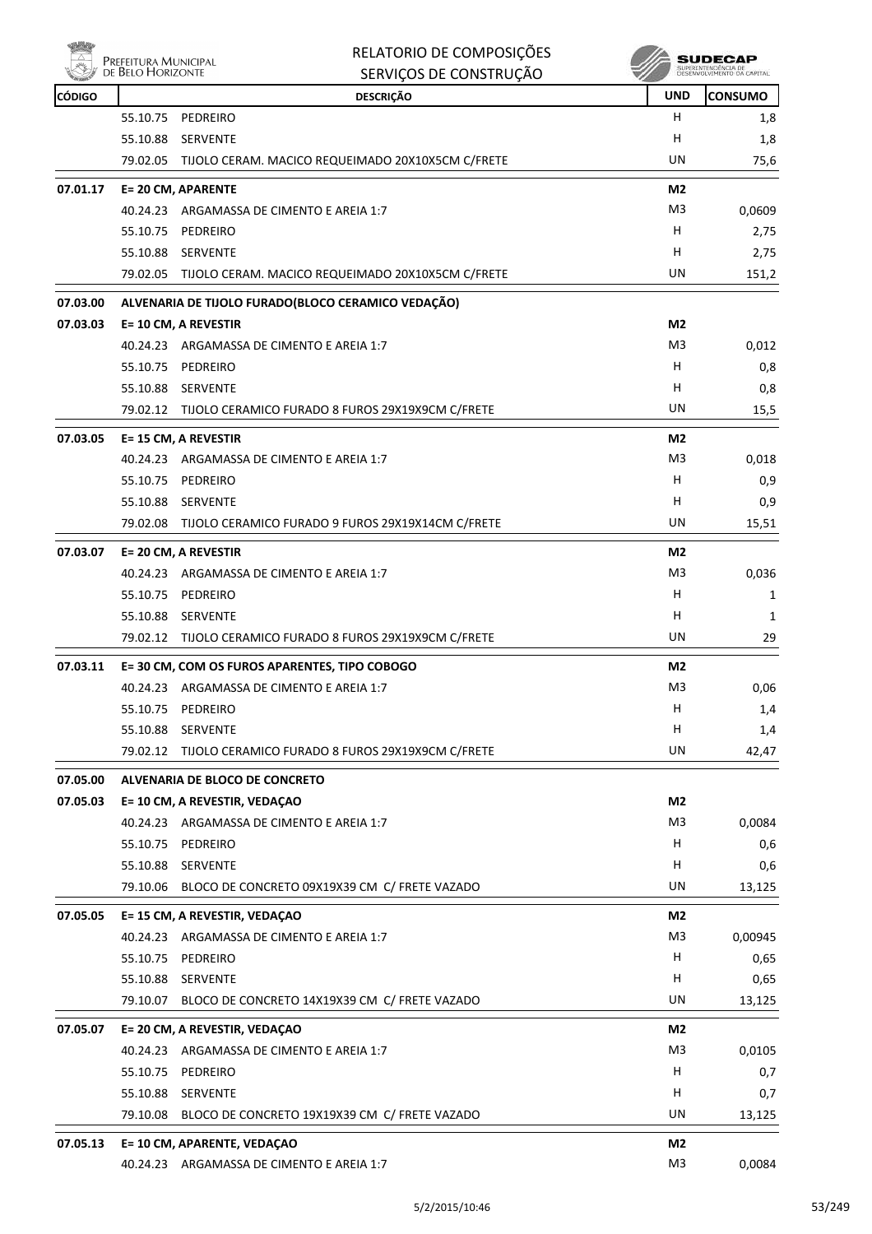| PREFEITURA MUNICIPAL |
|----------------------|
| DE BELO HORIZONTE    |

#### RELATORIO DE COMPOSIÇÕES SERVIÇOS DE CONSTRUÇÃO

| <b>CÓDIGO</b> |                      | <b>DESCRIÇÃO</b>                                                           | <b>UND</b>     | <b>CONSUMO</b> |
|---------------|----------------------|----------------------------------------------------------------------------|----------------|----------------|
|               | 55.10.75             | PEDREIRO                                                                   | H              | 1,8            |
|               | 55.10.88             | <b>SERVENTE</b>                                                            | н              | 1,8            |
|               |                      | 79.02.05 TIJOLO CERAM. MACICO REQUEIMADO 20X10X5CM C/FRETE                 | UN             | 75,6           |
| 07.01.17      |                      | E= 20 CM, APARENTE                                                         | M2             |                |
|               |                      | 40.24.23 ARGAMASSA DE CIMENTO E AREIA 1:7                                  | M3             | 0,0609         |
|               | 55.10.75             | PEDREIRO                                                                   | H.             | 2,75           |
|               | 55.10.88             | <b>SERVENTE</b>                                                            | н              | 2,75           |
|               |                      | 79.02.05 TIJOLO CERAM. MACICO REQUEIMADO 20X10X5CM C/FRETE                 | UN             | 151,2          |
| 07.03.00      |                      | ALVENARIA DE TIJOLO FURADO (BLOCO CERAMICO VEDAÇÃO)                        |                |                |
| 07.03.03      |                      | E= 10 CM, A REVESTIR                                                       | M <sub>2</sub> |                |
|               |                      | 40.24.23 ARGAMASSA DE CIMENTO E AREIA 1:7                                  | M3             | 0,012          |
|               | 55.10.75             | PEDREIRO                                                                   | H              | 0,8            |
|               | 55.10.88             | SERVENTE                                                                   | H.             | 0,8            |
|               |                      | 79.02.12 TIJOLO CERAMICO FURADO 8 FUROS 29X19X9CM C/FRETE                  | UN             | 15,5           |
| 07.03.05      |                      | E= 15 CM, A REVESTIR                                                       | M <sub>2</sub> |                |
|               |                      | 40.24.23 ARGAMASSA DE CIMENTO E AREIA 1:7                                  | M3             | 0,018          |
|               | 55.10.75             | PEDREIRO                                                                   | H              | 0,9            |
|               | 55.10.88             | SERVENTE                                                                   | H              | 0,9            |
|               |                      | 79.02.08 TIJOLO CERAMICO FURADO 9 FUROS 29X19X14CM C/FRETE                 | UN             | 15,51          |
| 07.03.07      |                      | E= 20 CM, A REVESTIR                                                       | M2             |                |
|               |                      | 40.24.23 ARGAMASSA DE CIMENTO E AREIA 1:7                                  | M3             | 0,036          |
|               | 55.10.75             | PEDREIRO                                                                   | H              | 1              |
|               | 55.10.88             | <b>SERVENTE</b>                                                            | н              | 1              |
|               |                      | 79.02.12 TIJOLO CERAMICO FURADO 8 FUROS 29X19X9CM C/FRETE                  | UN             | 29             |
| 07.03.11      |                      | E=30 CM, COM OS FUROS APARENTES, TIPO COBOGO                               | M2             |                |
|               |                      | 40.24.23 ARGAMASSA DE CIMENTO E AREIA 1:7                                  | M3             | 0,06           |
|               | 55.10.75             | PEDREIRO                                                                   | H              | 1,4            |
|               | 55.10.88             | <b>SERVENTE</b>                                                            | н              | 1,4            |
|               | 79.02.12             | TIJOLO CERAMICO FURADO 8 FUROS 29X19X9CM C/FRETE                           | UN             | 42,47          |
| 07.05.00      |                      | <b>ALVENARIA DE BLOCO DE CONCRETO</b>                                      |                |                |
| 07.05.03      |                      | E= 10 CM, A REVESTIR, VEDAÇAO                                              | M <sub>2</sub> |                |
|               |                      | 40.24.23 ARGAMASSA DE CIMENTO E AREIA 1:7                                  | M3             | 0,0084         |
|               |                      | 55.10.75 PEDREIRO                                                          | H              | 0,6            |
|               | 55.10.88             | SERVENTE                                                                   | H              | 0,6            |
|               | 79.10.06             | BLOCO DE CONCRETO 09X19X39 CM C/ FRETE VAZADO                              | UN             | 13,125         |
| 07.05.05      |                      | E= 15 CM, A REVESTIR, VEDAÇAO                                              | M2             |                |
|               | 40.24.23             | ARGAMASSA DE CIMENTO E AREIA 1:7                                           | M3             | 0,00945        |
|               |                      | 55.10.75 PEDREIRO                                                          | H              | 0,65           |
|               | 55.10.88             | SERVENTE                                                                   | H.             | 0,65           |
|               | 79.10.07             | BLOCO DE CONCRETO 14X19X39 CM C/ FRETE VAZADO                              | UN             | 13,125         |
|               |                      |                                                                            | M2             |                |
| 07.05.07      |                      | E= 20 CM, A REVESTIR, VEDAÇAO<br>40.24.23 ARGAMASSA DE CIMENTO E AREIA 1:7 | M3             | 0,0105         |
|               |                      |                                                                            | H              |                |
|               |                      | 55.10.75 PEDREIRO                                                          | H              | 0,7            |
|               | 55.10.88<br>79.10.08 | <b>SERVENTE</b><br>BLOCO DE CONCRETO 19X19X39 CM C/ FRETE VAZADO           | UN             | 0,7            |
|               |                      |                                                                            |                | 13,125         |
| 07.05.13      |                      | E= 10 CM, APARENTE, VEDAÇAO                                                | M <sub>2</sub> |                |
|               |                      | 40.24.23 ARGAMASSA DE CIMENTO E AREIA 1:7                                  | M3             | 0,0084         |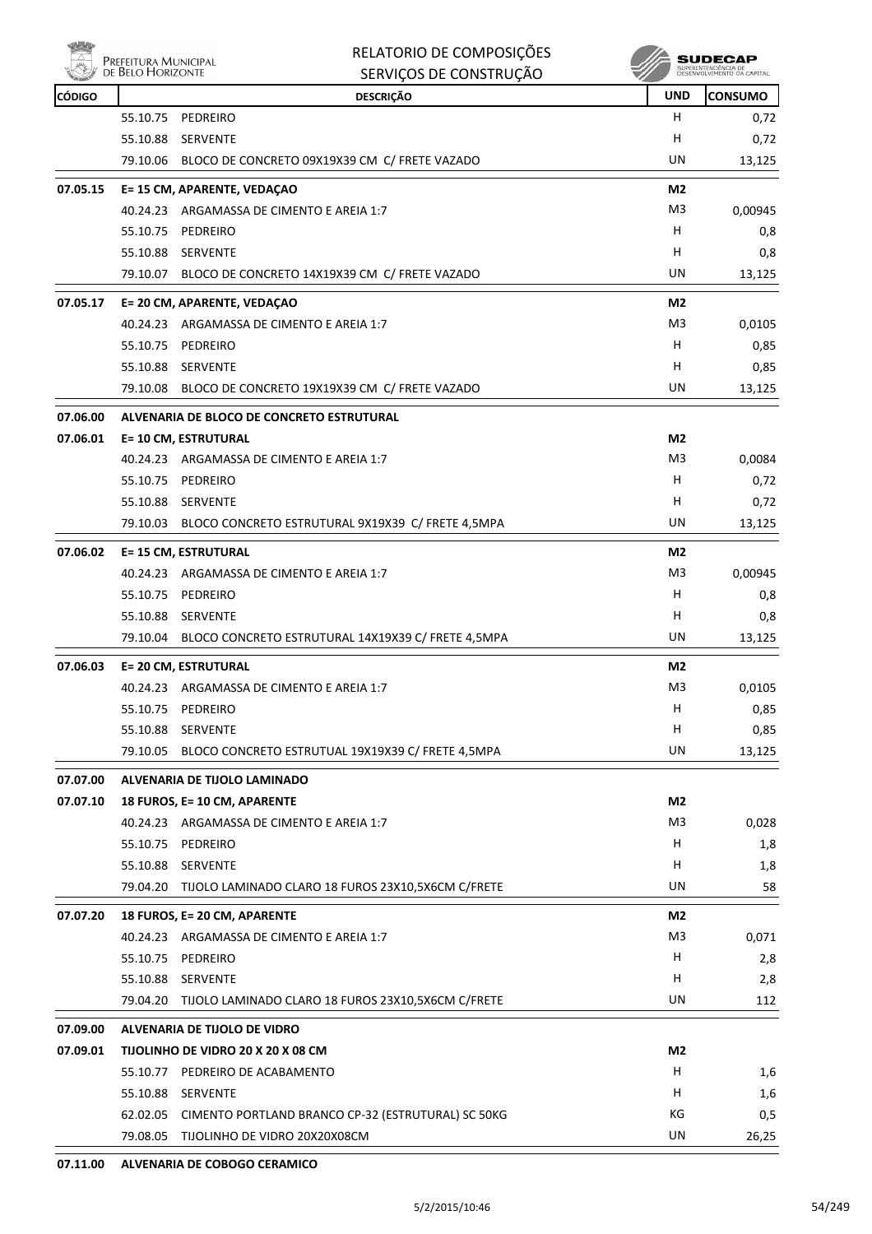| PREFEITURA MU  |
|----------------|
| DE BELO HORIZO |

| Δ             | Prefeitura Municipal<br>de Belo Horizonte | RELATORIO DE COMPOSIÇÕES<br>SERVIÇOS DE CONSTRUÇÃO          |                | SUDECAP<br>SUPERINTENDÊNCIA DE<br>DESENVOLVIMENTO DA CAPITAL |
|---------------|-------------------------------------------|-------------------------------------------------------------|----------------|--------------------------------------------------------------|
| <b>CÓDIGO</b> |                                           | <b>DESCRIÇÃO</b>                                            | <b>UND</b>     | <b>CONSUMO</b>                                               |
|               | 55.10.75                                  | PEDREIRO                                                    | н              | 0,72                                                         |
|               | 55.10.88                                  | <b>SERVENTE</b>                                             | н              | 0,72                                                         |
|               | 79.10.06                                  | BLOCO DE CONCRETO 09X19X39 CM C/ FRETE VAZADO               | UN             | 13,125                                                       |
| 07.05.15      |                                           | E= 15 CM, APARENTE, VEDAÇAO                                 | M2             |                                                              |
|               |                                           | 40.24.23 ARGAMASSA DE CIMENTO E AREIA 1:7                   | M <sub>3</sub> | 0,00945                                                      |
|               | 55.10.75                                  | PEDREIRO                                                    | H              | 0,8                                                          |
|               | 55.10.88                                  | SERVENTE                                                    | н              | 0,8                                                          |
|               | 79.10.07                                  | BLOCO DE CONCRETO 14X19X39 CM C/ FRETE VAZADO               | UN             | 13,125                                                       |
| 07.05.17      |                                           | E= 20 CM, APARENTE, VEDAÇAO                                 | M2             |                                                              |
|               |                                           | 40.24.23 ARGAMASSA DE CIMENTO E AREIA 1:7                   | M <sub>3</sub> | 0,0105                                                       |
|               | 55.10.75                                  | PEDREIRO                                                    | н              | 0,85                                                         |
|               | 55.10.88                                  | SERVENTE                                                    | н              | 0,85                                                         |
|               | 79.10.08                                  | BLOCO DE CONCRETO 19X19X39 CM C/ FRETE VAZADO               | UN             | 13,125                                                       |
| 07.06.00      |                                           | ALVENARIA DE BLOCO DE CONCRETO ESTRUTURAL                   |                |                                                              |
| 07.06.01      |                                           | <b>E= 10 CM, ESTRUTURAL</b>                                 | M <sub>2</sub> |                                                              |
|               |                                           | 40.24.23 ARGAMASSA DE CIMENTO E AREIA 1:7                   | M3             | 0,0084                                                       |
|               | 55.10.75                                  | PEDREIRO                                                    | H              | 0,72                                                         |
|               | 55.10.88                                  | SERVENTE                                                    | H              | 0,72                                                         |
|               | 79.10.03                                  | BLOCO CONCRETO ESTRUTURAL 9X19X39 C/ FRETE 4,5MPA           | UN             | 13,125                                                       |
| 07.06.02      |                                           | <b>E= 15 CM, ESTRUTURAL</b>                                 | M2             |                                                              |
|               | 40.24.23                                  | ARGAMASSA DE CIMENTO E AREIA 1:7                            | M3             | 0,00945                                                      |
|               | 55.10.75                                  | PEDREIRO                                                    | н              | 0,8                                                          |
|               | 55.10.88                                  | SERVENTE                                                    | H              | 0,8                                                          |
|               | 79.10.04                                  | BLOCO CONCRETO ESTRUTURAL 14X19X39 C/ FRETE 4,5MPA          | UN             | 13,125                                                       |
| 07.06.03      |                                           | <b>E= 20 CM, ESTRUTURAL</b>                                 | M2             |                                                              |
|               |                                           | 40.24.23 ARGAMASSA DE CIMENTO E AREIA 1:7                   | M3             | 0,0105                                                       |
|               | 55.10.75                                  | PEDREIRO                                                    | н              | 0,85                                                         |
|               | 55.10.88                                  | SERVENTE                                                    | н              | 0,85                                                         |
|               |                                           | 79.10.05 BLOCO CONCRETO ESTRUTUAL 19X19X39 C/ FRETE 4,5MPA  | UN             | 13,125                                                       |
| 07.07.00      |                                           | ALVENARIA DE TIJOLO LAMINADO                                |                |                                                              |
| 07.07.10      |                                           | 18 FUROS, E= 10 CM, APARENTE                                | M2             |                                                              |
|               |                                           | 40.24.23 ARGAMASSA DE CIMENTO E AREIA 1:7                   | M <sub>3</sub> | 0,028                                                        |
|               |                                           | 55.10.75 PEDREIRO                                           | H              | 1,8                                                          |
|               |                                           | 55.10.88 SERVENTE                                           | Н              | 1,8                                                          |
|               |                                           | 79.04.20 TIJOLO LAMINADO CLARO 18 FUROS 23X10,5X6CM C/FRETE | UN             | 58                                                           |
| 07.07.20      |                                           | 18 FUROS, E= 20 CM, APARENTE                                | M <sub>2</sub> |                                                              |
|               |                                           | 40.24.23 ARGAMASSA DE CIMENTO E AREIA 1:7                   | M <sub>3</sub> | 0,071                                                        |
|               |                                           | 55.10.75 PEDREIRO                                           | Н              | 2,8                                                          |
|               |                                           | 55.10.88 SERVENTE                                           | H              | 2,8                                                          |
|               |                                           | 79.04.20 TIJOLO LAMINADO CLARO 18 FUROS 23X10,5X6CM C/FRETE | UN             | 112                                                          |
| 07.09.00      |                                           | ALVENARIA DE TIJOLO DE VIDRO                                |                |                                                              |
| 07.09.01      |                                           | TIJOLINHO DE VIDRO 20 X 20 X 08 CM                          | M <sub>2</sub> |                                                              |
|               |                                           | 55.10.77 PEDREIRO DE ACABAMENTO                             | Н              | 1,6                                                          |
|               |                                           | 55.10.88 SERVENTE                                           | H              | 1,6                                                          |
|               |                                           | 62.02.05 CIMENTO PORTLAND BRANCO CP-32 (ESTRUTURAL) SC 50KG | KG             | 0,5                                                          |

79.08.05 TIJOLINHO DE VIDRO 20X20X08CM UN 26,25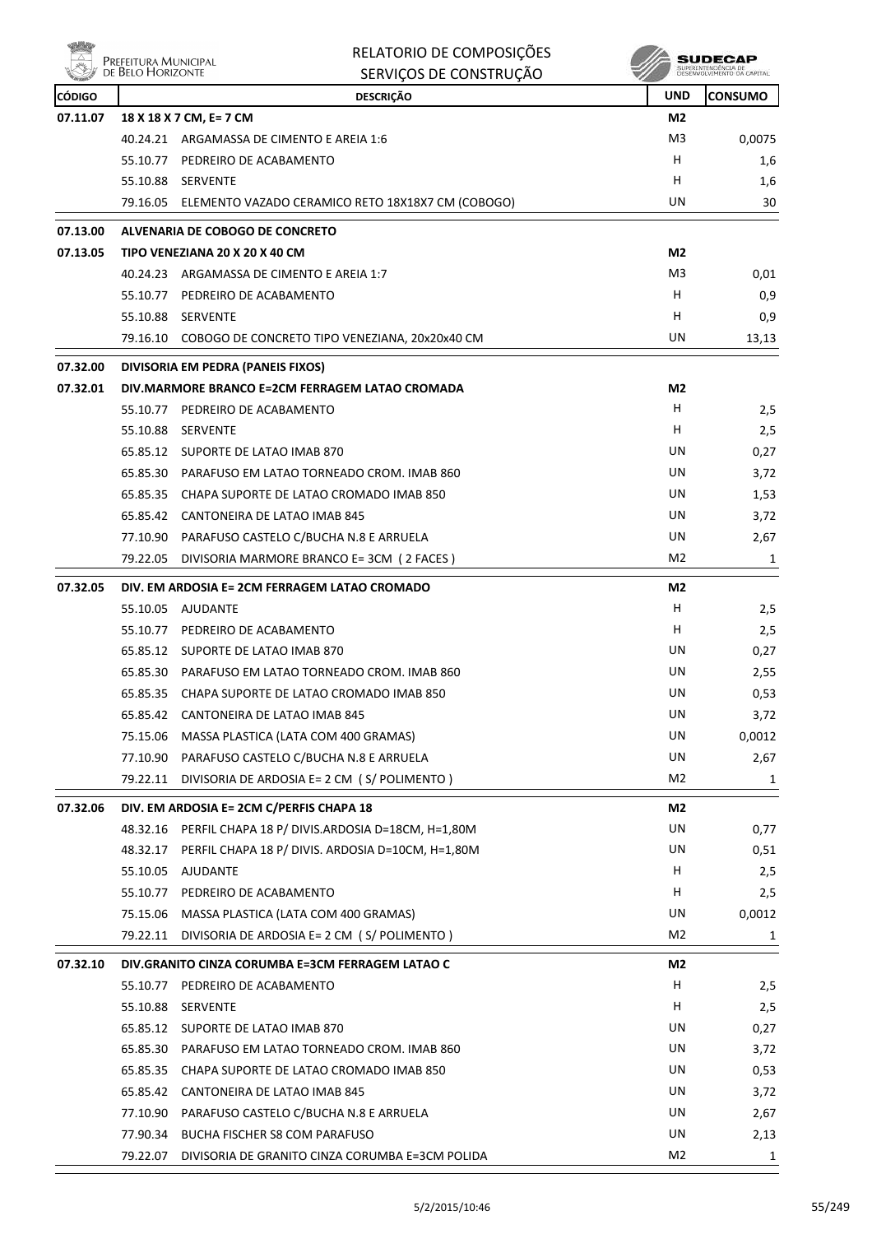| <b>NÖL</b>                | Prefeitura Municipal<br>de Belo Horizonte | RELATORIO DE COMPOSIÇÕES                                                                      |                  | SUDECAP        |
|---------------------------|-------------------------------------------|-----------------------------------------------------------------------------------------------|------------------|----------------|
|                           |                                           | SERVIÇOS DE CONSTRUÇÃO                                                                        |                  |                |
| <b>CÓDIGO</b><br>07.11.07 |                                           | <b>DESCRIÇÃO</b><br>18 X 18 X 7 CM, E= 7 CM                                                   | <b>UND</b><br>M2 | <b>CONSUMO</b> |
|                           |                                           | 40.24.21 ARGAMASSA DE CIMENTO E AREIA 1:6                                                     | M3               | 0,0075         |
|                           | 55.10.77                                  | PEDREIRO DE ACABAMENTO                                                                        | H                | 1,6            |
|                           | 55.10.88                                  | SERVENTE                                                                                      | н                | 1,6            |
|                           | 79.16.05                                  | ELEMENTO VAZADO CERAMICO RETO 18X18X7 CM (COBOGO)                                             | UN               | 30             |
|                           |                                           |                                                                                               |                  |                |
| 07.13.00<br>07.13.05      |                                           | ALVENARIA DE COBOGO DE CONCRETO<br>TIPO VENEZIANA 20 X 20 X 40 CM                             | M2               |                |
|                           | 40.24.23                                  | ARGAMASSA DE CIMENTO E AREIA 1:7                                                              | M3               | 0,01           |
|                           | 55.10.77                                  | PEDREIRO DE ACABAMENTO                                                                        | н                | 0,9            |
|                           | 55.10.88                                  | SERVENTE                                                                                      | H                | 0,9            |
|                           | 79.16.10                                  | COBOGO DE CONCRETO TIPO VENEZIANA, 20x20x40 CM                                                | UN               | 13,13          |
|                           |                                           |                                                                                               |                  |                |
| 07.32.00                  |                                           | DIVISORIA EM PEDRA (PANEIS FIXOS)                                                             |                  |                |
| 07.32.01                  |                                           | DIV.MARMORE BRANCO E=2CM FERRAGEM LATAO CROMADA                                               | M2               |                |
|                           | 55.10.77                                  | PEDREIRO DE ACABAMENTO                                                                        | H<br>H           | 2,5            |
|                           | 55.10.88                                  | <b>SERVENTE</b>                                                                               | UN               | 2,5            |
|                           | 65.85.30                                  | 65.85.12 SUPORTE DE LATAO IMAB 870                                                            | UN               | 0,27           |
|                           |                                           | PARAFUSO EM LATAO TORNEADO CROM. IMAB 860<br>65.85.35 CHAPA SUPORTE DE LATAO CROMADO IMAB 850 | UN               | 3,72<br>1,53   |
|                           |                                           | 65.85.42 CANTONEIRA DE LATAO IMAB 845                                                         | UN               | 3,72           |
|                           | 77.10.90                                  | PARAFUSO CASTELO C/BUCHA N.8 E ARRUELA                                                        | UN               | 2,67           |
|                           | 79.22.05                                  | DIVISORIA MARMORE BRANCO E= 3CM ( 2 FACES )                                                   | M <sub>2</sub>   | 1              |
|                           |                                           |                                                                                               |                  |                |
| 07.32.05                  |                                           | DIV. EM ARDOSIA E= 2CM FERRAGEM LATAO CROMADO                                                 | M2               |                |
|                           | 55.10.05                                  | AJUDANTE                                                                                      | н                | 2,5            |
|                           | 55.10.77                                  | PEDREIRO DE ACABAMENTO                                                                        | H                | 2,5            |
|                           |                                           | 65.85.12 SUPORTE DE LATAO IMAB 870                                                            | UN               | 0,27           |
|                           |                                           | 65.85.30 PARAFUSO EM LATAO TORNEADO CROM. IMAB 860                                            | UN               | 2,55           |
|                           |                                           | 65.85.35 CHAPA SUPORTE DE LATAO CROMADO IMAB 850                                              | UN<br>UN         | 0,53           |
|                           |                                           | 65.85.42 CANTONEIRA DE LATAO IMAB 845                                                         | UN               | 3,72           |
|                           | 75.15.06                                  | MASSA PLASTICA (LATA COM 400 GRAMAS)<br>77.10.90 PARAFUSO CASTELO C/BUCHA N.8 E ARRUELA       | UN               | 0,0012         |
|                           | 79.22.11                                  | DIVISORIA DE ARDOSIA E= 2 CM (S/POLIMENTO)                                                    | M2               | 2,67<br>1      |
|                           |                                           |                                                                                               |                  |                |
| 07.32.06                  |                                           | DIV. EM ARDOSIA E= 2CM C/PERFIS CHAPA 18                                                      | M2               |                |
|                           | 48.32.16                                  | PERFIL CHAPA 18 P/ DIVIS.ARDOSIA D=18CM, H=1,80M                                              | UN               | 0,77           |
|                           | 48.32.17                                  | PERFIL CHAPA 18 P/ DIVIS. ARDOSIA D=10CM, H=1,80M                                             | UN               | 0,51           |
|                           | 55.10.05                                  | AJUDANTE                                                                                      | H<br>Н           | 2,5            |
|                           |                                           | 55.10.77 PEDREIRO DE ACABAMENTO                                                               | UN               | 2,5            |
|                           | 75.15.06                                  | MASSA PLASTICA (LATA COM 400 GRAMAS)<br>79.22.11 DIVISORIA DE ARDOSIA E= 2 CM (S/POLIMENTO)   | M2               | 0,0012<br>1    |
|                           |                                           |                                                                                               |                  |                |
| 07.32.10                  |                                           | DIV.GRANITO CINZA CORUMBA E=3CM FERRAGEM LATAO C                                              | M2               |                |
|                           | 55.10.77                                  | PEDREIRO DE ACABAMENTO                                                                        | Н                | 2,5            |
|                           | 55.10.88                                  | SERVENTE                                                                                      | H                | 2,5            |
|                           |                                           | 65.85.12 SUPORTE DE LATAO IMAB 870                                                            | UN               | 0,27           |
|                           |                                           | 65.85.30 PARAFUSO EM LATAO TORNEADO CROM. IMAB 860                                            | UN               | 3,72           |
|                           | 65.85.35                                  | CHAPA SUPORTE DE LATAO CROMADO IMAB 850                                                       | UN<br>UN         | 0,53           |
|                           | 65.85.42                                  | CANTONEIRA DE LATAO IMAB 845<br>77.10.90 PARAFUSO CASTELO C/BUCHA N.8 E ARRUELA               | UN               | 3,72           |
|                           |                                           | 77.90.34 BUCHA FISCHER S8 COM PARAFUSO                                                        | UN               | 2,67<br>2,13   |
|                           |                                           |                                                                                               |                  |                |

79.22.07 DIVISORIA DE GRANITO CINZA CORUMBA E=3CM POLIDA M2 1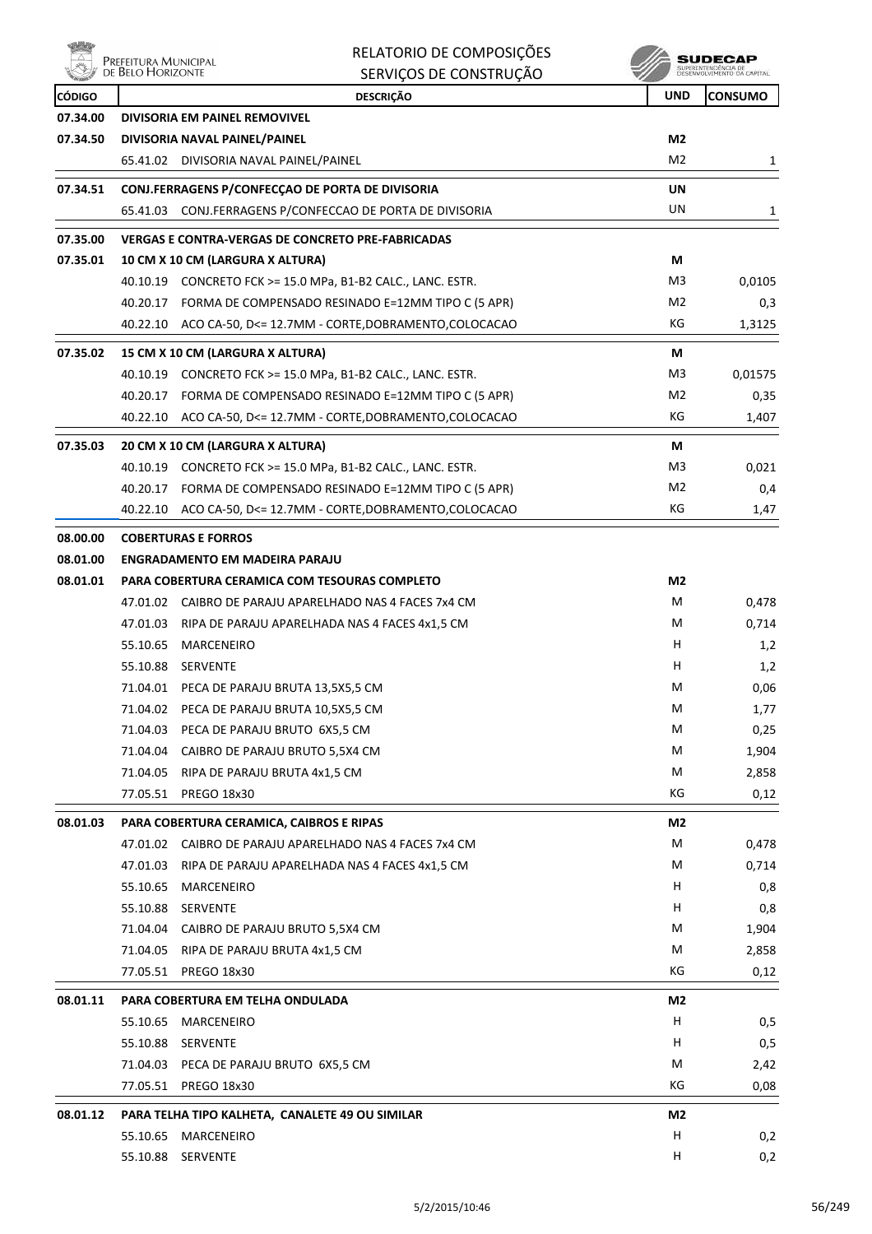ensi<br>Al Prefeitura Municipal<br>Al de Belo Horizonte

| RELATORIO DE COMPOSIÇÕES |
|--------------------------|
| SERVIÇOS DE CONSTRUÇÃO   |

 $\begin{array}{c} \textbf{SUBECAP} \\ \textbf{SUBREINTEROECLA DE} \\ \textbf{DESEWOUNIENTO CA CAPTIAL} \end{array}$ 

| <b>CÓDIGO</b> |                      | <b>DESCRIÇÃO</b>                                              | <b>UND</b>     | <b>CONSUMO</b> |
|---------------|----------------------|---------------------------------------------------------------|----------------|----------------|
| 07.34.00      |                      | DIVISORIA EM PAINEL REMOVIVEL                                 |                |                |
| 07.34.50      |                      | DIVISORIA NAVAL PAINEL/PAINEL                                 | M2             |                |
|               |                      | 65.41.02 DIVISORIA NAVAL PAINEL/PAINEL                        | M <sub>2</sub> | 1              |
| 07.34.51      |                      | CONJ.FERRAGENS P/CONFECÇAO DE PORTA DE DIVISORIA              | UN             |                |
|               |                      | 65.41.03 CONJ.FERRAGENS P/CONFECCAO DE PORTA DE DIVISORIA     | UN             | 1              |
| 07.35.00      |                      | <b>VERGAS E CONTRA-VERGAS DE CONCRETO PRE-FABRICADAS</b>      |                |                |
| 07.35.01      |                      | 10 CM X 10 CM (LARGURA X ALTURA)                              | М              |                |
|               |                      | 40.10.19 CONCRETO FCK >= 15.0 MPa, B1-B2 CALC., LANC. ESTR.   | M3             | 0,0105         |
|               | 40.20.17             | FORMA DE COMPENSADO RESINADO E=12MM TIPO C (5 APR)            | M <sub>2</sub> | 0,3            |
|               |                      | 40.22.10 ACO CA-50, D<= 12.7MM - CORTE, DOBRAMENTO, COLOCACAO | КG             | 1,3125         |
| 07.35.02      |                      | 15 CM X 10 CM (LARGURA X ALTURA)                              | М              |                |
|               | 40.10.19             | CONCRETO FCK >= 15.0 MPa, B1-B2 CALC., LANC. ESTR.            | M <sub>3</sub> | 0,01575        |
|               |                      | 40.20.17 FORMA DE COMPENSADO RESINADO E=12MM TIPO C (5 APR)   | M2             | 0,35           |
|               |                      | 40.22.10 ACO CA-50, D<= 12.7MM - CORTE, DOBRAMENTO, COLOCACAO | КG             | 1,407          |
| 07.35.03      |                      | 20 CM X 10 CM (LARGURA X ALTURA)                              | М              |                |
|               |                      | 40.10.19 CONCRETO FCK >= 15.0 MPa, B1-B2 CALC., LANC. ESTR.   | M <sub>3</sub> | 0,021          |
|               |                      | FORMA DE COMPENSADO RESINADO E=12MM TIPO C (5 APR)            | M2             |                |
|               | 40.20.17<br>40.22.10 | ACO CA-50, D<= 12.7MM - CORTE, DOBRAMENTO, COLOCACAO          | KG             | 0,4<br>1,47    |
|               |                      |                                                               |                |                |
| 08.00.00      |                      | <b>COBERTURAS E FORROS</b>                                    |                |                |
| 08.01.00      |                      | <b>ENGRADAMENTO EM MADEIRA PARAJU</b>                         |                |                |
| 08.01.01      |                      | PARA COBERTURA CERAMICA COM TESOURAS COMPLETO                 | M2             |                |
|               |                      | 47.01.02 CAIBRO DE PARAJU APARELHADO NAS 4 FACES 7x4 CM       | м              | 0,478          |
|               | 47.01.03             | RIPA DE PARAJU APARELHADA NAS 4 FACES 4x1,5 CM                | М              | 0,714          |
|               | 55.10.65             | MARCENEIRO                                                    | H              | 1,2            |
|               | 55.10.88             | SERVENTE                                                      | H              | 1,2            |
|               | 71.04.01             | PECA DE PARAJU BRUTA 13,5X5,5 CM                              | м              | 0,06           |
|               | 71.04.02             | PECA DE PARAJU BRUTA 10,5X5,5 CM                              | М              | 1,77           |
|               |                      | 71.04.03 PECA DE PARAJU BRUTO 6X5,5 CM                        | М              | 0,25           |
|               | 71.04.04             | CAIBRO DE PARAJU BRUTO 5,5X4 CM                               | м              | 1,904          |
|               | 71.04.05             | RIPA DE PARAJU BRUTA 4x1,5 CM                                 | М              | 2,858          |
|               | 77.05.51             | <b>PREGO 18x30</b>                                            | KG             | 0,12           |
| 08.01.03      |                      | PARA COBERTURA CERAMICA, CAIBROS E RIPAS                      | M2             |                |
|               |                      | 47.01.02 CAIBRO DE PARAJU APARELHADO NAS 4 FACES 7x4 CM       | М              | 0,478          |
|               | 47.01.03             | RIPA DE PARAJU APARELHADA NAS 4 FACES 4x1,5 CM                | M              | 0,714          |
|               | 55.10.65             | MARCENEIRO                                                    | H              | 0,8            |
|               | 55.10.88             | SERVENTE                                                      | H              | 0,8            |
|               | 71.04.04             | CAIBRO DE PARAJU BRUTO 5,5X4 CM                               | М              | 1,904          |
|               | 71.04.05             | RIPA DE PARAJU BRUTA 4x1,5 CM                                 | М              | 2,858          |
|               | 77.05.51             | PREGO 18x30                                                   | КG             | 0,12           |
| 08.01.11      |                      | PARA COBERTURA EM TELHA ONDULADA                              | M2             |                |
|               | 55.10.65             | MARCENEIRO                                                    | H              | 0,5            |
|               | 55.10.88             | SERVENTE                                                      | H              | 0,5            |
|               | 71.04.03             | PECA DE PARAJU BRUTO 6X5,5 CM                                 | М              | 2,42           |
|               | 77.05.51             | PREGO 18x30                                                   | КG             | 0,08           |
| 08.01.12      |                      | PARA TELHA TIPO KALHETA, CANALETE 49 OU SIMILAR               | M2             |                |
|               |                      | 55.10.65 MARCENEIRO                                           | H              | 0,2            |
|               |                      | 55.10.88 SERVENTE                                             | н              | 0,2            |
|               |                      |                                                               |                |                |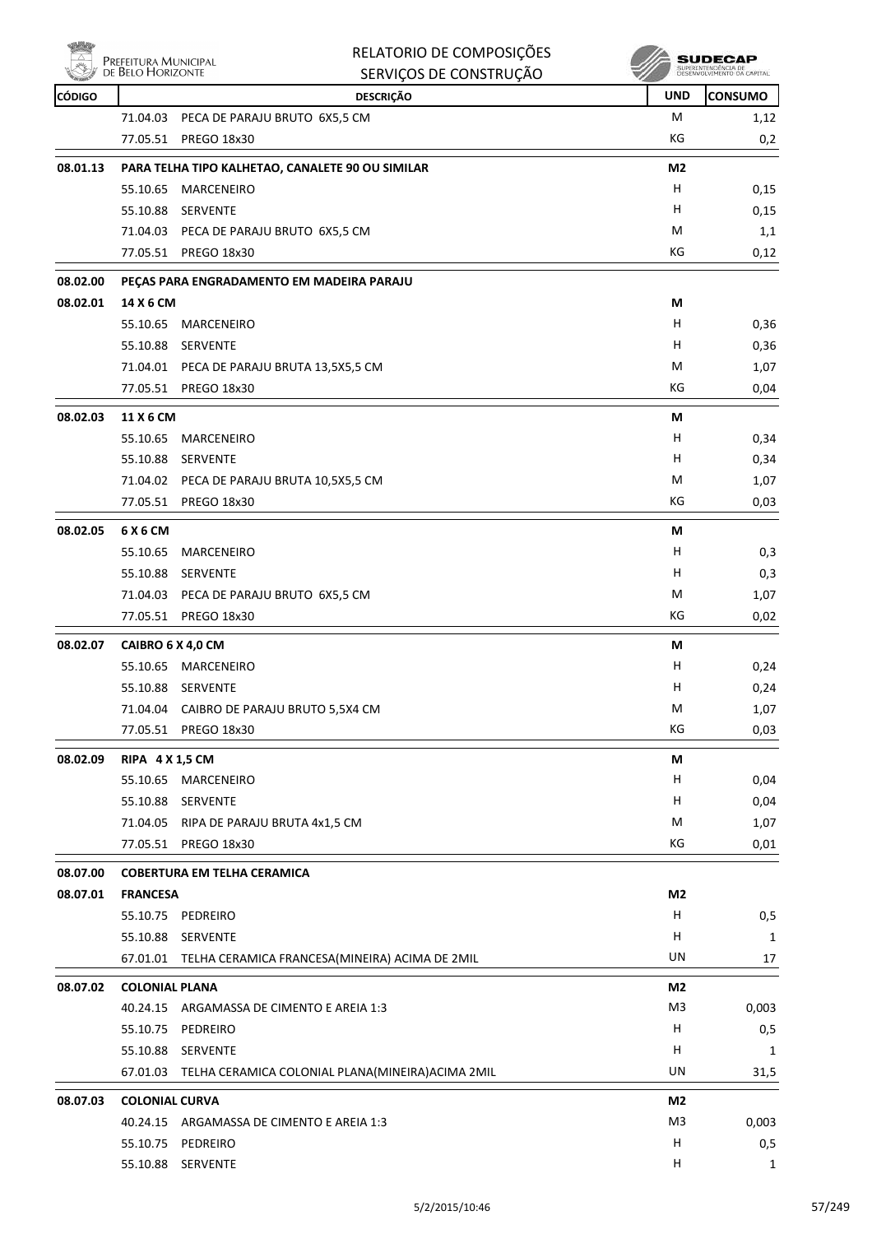

| RELATORIO DE COMPOSIÇÕES |
|--------------------------|
| SERVICOS DE CONSTRUCÃO   |



| <b>REAL PROPERTY</b> | <b>DE DELO LIONIZONIE</b> | SERVIÇUS DE CUNSTRUÇÃO                                      | w              |                |
|----------------------|---------------------------|-------------------------------------------------------------|----------------|----------------|
| <b>CÓDIGO</b>        |                           | <b>DESCRIÇÃO</b>                                            | <b>UND</b>     | <b>CONSUMO</b> |
|                      |                           | 71.04.03 PECA DE PARAJU BRUTO 6X5,5 CM                      | M              | 1,12           |
|                      |                           | 77.05.51 PREGO 18x30                                        | КG             | 0,2            |
| 08.01.13             |                           | PARA TELHA TIPO KALHETAO, CANALETE 90 OU SIMILAR            | M <sub>2</sub> |                |
|                      |                           | 55.10.65 MARCENEIRO                                         | н              | 0,15           |
|                      | 55.10.88                  | SERVENTE                                                    | H              | 0,15           |
|                      |                           | 71.04.03 PECA DE PARAJU BRUTO 6X5,5 CM                      | M              | 1,1            |
|                      |                           | 77.05.51 PREGO 18x30                                        | КG             | 0,12           |
| 08.02.00             |                           | PEÇAS PARA ENGRADAMENTO EM MADEIRA PARAJU                   |                |                |
| 08.02.01             | 14 X 6 CM                 |                                                             | М              |                |
|                      | 55.10.65                  | MARCENEIRO                                                  | H              | 0,36           |
|                      |                           | 55.10.88 SERVENTE                                           | H              | 0,36           |
|                      |                           | 71.04.01 PECA DE PARAJU BRUTA 13,5X5,5 CM                   | M              | 1,07           |
|                      |                           | 77.05.51 PREGO 18x30                                        | KG             | 0,04           |
| 08.02.03             | 11 X 6 CM                 |                                                             | М              |                |
|                      | 55.10.65                  | MARCENEIRO                                                  | H              | 0,34           |
|                      |                           | 55.10.88 SERVENTE                                           | н              | 0,34           |
|                      |                           | 71.04.02 PECA DE PARAJU BRUTA 10,5X5,5 CM                   | M              | 1,07           |
|                      | 77.05.51                  | PREGO 18x30                                                 | КG             | 0,03           |
| 08.02.05             | 6 X 6 CM                  |                                                             | M              |                |
|                      | 55.10.65                  | MARCENEIRO                                                  | H              | 0,3            |
|                      |                           | 55.10.88 SERVENTE                                           | H              | 0,3            |
|                      |                           | 71.04.03 PECA DE PARAJU BRUTO 6X5,5 CM                      | М              | 1,07           |
|                      |                           | 77.05.51 PREGO 18x30                                        | КG             | 0,02           |
| 08.02.07             | CAIBRO 6 X 4,0 CM         |                                                             | М              |                |
|                      |                           | 55.10.65 MARCENEIRO                                         | H              | 0,24           |
|                      |                           | 55.10.88 SERVENTE                                           | н              | 0,24           |
|                      |                           | 71.04.04 CAIBRO DE PARAJU BRUTO 5,5X4 CM                    | M              | 1,07           |
|                      |                           | 77.05.51 PREGO 18x30                                        | КG             | 0,03           |
|                      |                           |                                                             |                |                |
| 08.02.09             | <b>RIPA 4 X 1,5 CM</b>    |                                                             | М<br>н         |                |
|                      |                           | 55.10.65 MARCENEIRO                                         | H              | 0,04           |
|                      |                           | 55.10.88 SERVENTE<br>71.04.05 RIPA DE PARAJU BRUTA 4x1,5 CM | M              | 0,04           |
|                      |                           | 77.05.51 PREGO 18x30                                        | КG             | 1,07<br>0,01   |
|                      |                           |                                                             |                |                |
| 08.07.00             |                           | <b>COBERTURA EM TELHA CERAMICA</b>                          |                |                |
| 08.07.01             | <b>FRANCESA</b>           |                                                             | M2             |                |
|                      |                           | 55.10.75 PEDREIRO                                           | Н              | 0,5            |
|                      | 55.10.88                  | SERVENTE                                                    | н              | 1              |
|                      |                           | 67.01.01 TELHA CERAMICA FRANCESA(MINEIRA) ACIMA DE 2MIL     | UN             | 17             |
| 08.07.02             | <b>COLONIAL PLANA</b>     |                                                             | M <sub>2</sub> |                |
|                      |                           | 40.24.15 ARGAMASSA DE CIMENTO E AREIA 1:3                   | M <sub>3</sub> | 0,003          |
|                      |                           | 55.10.75 PEDREIRO                                           | н              | 0,5            |
|                      | 55.10.88                  | SERVENTE                                                    | н              | 1              |
|                      |                           | 67.01.03 TELHA CERAMICA COLONIAL PLANA(MINEIRA) ACIMA 2MIL  | UN             | 31,5           |
| 08.07.03             | <b>COLONIAL CURVA</b>     |                                                             | M2             |                |
|                      |                           | 40.24.15 ARGAMASSA DE CIMENTO E AREIA 1:3                   | M3             | 0,003          |
|                      |                           | 55.10.75 PEDREIRO                                           | Н              | 0,5            |
|                      |                           | 55.10.88 SERVENTE                                           | н              | $\mathbf{1}$   |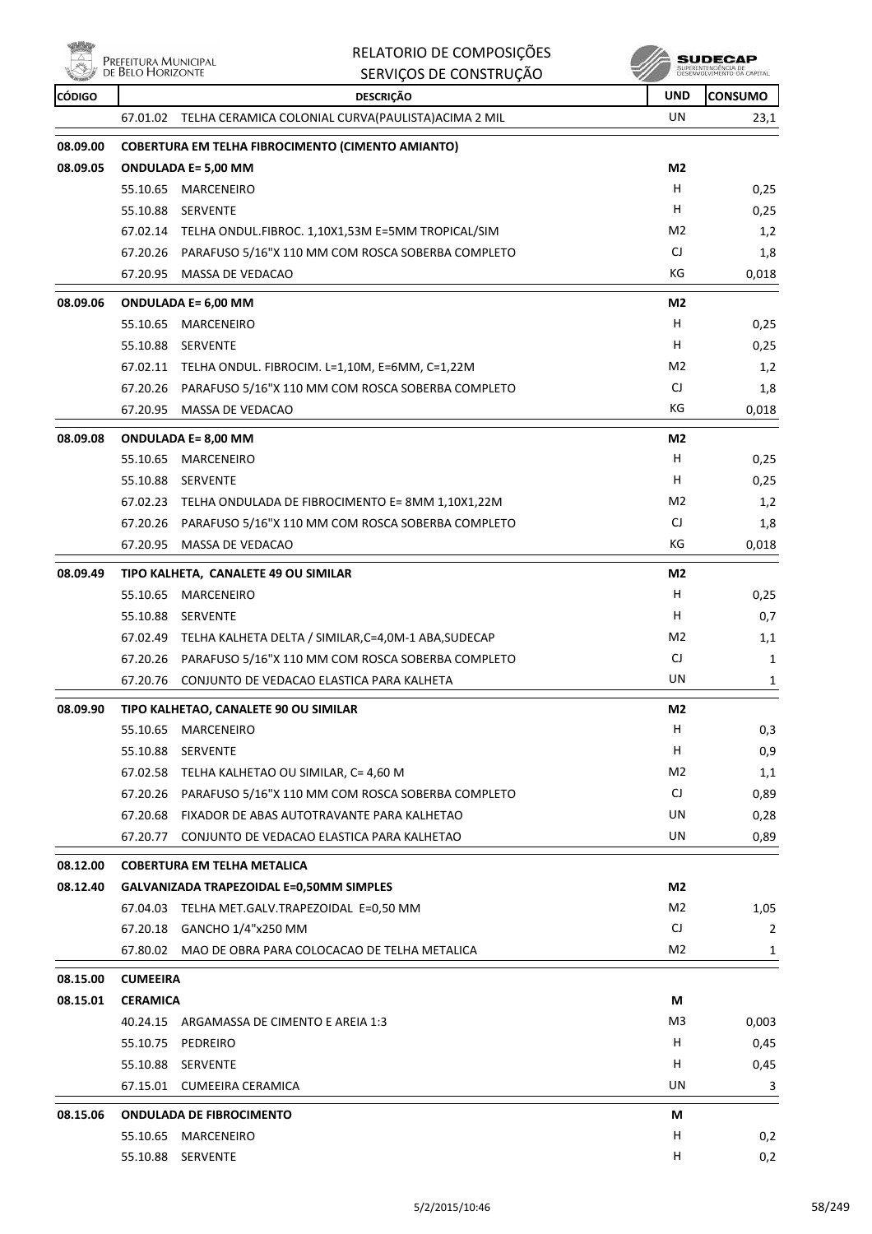

|               |                                           | RELATORIO DE COMPOSIÇÕES                                       |                | <b>SUDECAP</b>                                    |
|---------------|-------------------------------------------|----------------------------------------------------------------|----------------|---------------------------------------------------|
|               | Prefeitura Municipal<br>de Belo Horizonte | SERVIÇOS DE CONSTRUÇÃO                                         |                | SUPERINTENDÊNCIA DE<br>DESENVOLVIMENTO DA CAPITAL |
| <b>CÓDIGO</b> |                                           | <b>DESCRIÇÃO</b>                                               | <b>UND</b>     | CONSUMO                                           |
|               | 67.01.02                                  | TELHA CERAMICA COLONIAL CURVA(PAULISTA) ACIMA 2 MIL            | UN             | 23,1                                              |
| 08.09.00      |                                           | <b>COBERTURA EM TELHA FIBROCIMENTO (CIMENTO AMIANTO)</b>       |                |                                                   |
| 08.09.05      |                                           | <b>ONDULADA E= 5,00 MM</b>                                     | M <sub>2</sub> |                                                   |
|               | 55.10.65                                  | <b>MARCENEIRO</b>                                              | H              | 0,25                                              |
|               | 55.10.88                                  | <b>SERVENTE</b>                                                | H              | 0,25                                              |
|               |                                           | 67.02.14 TELHA ONDUL.FIBROC. 1,10X1,53M E=5MM TROPICAL/SIM     | M <sub>2</sub> | 1,2                                               |
|               |                                           | 67.20.26 PARAFUSO 5/16"X 110 MM COM ROSCA SOBERBA COMPLETO     | CJ             | 1,8                                               |
|               | 67.20.95                                  | MASSA DE VEDACAO                                               | КG             | 0,018                                             |
| 08.09.06      |                                           | <b>ONDULADA E= 6,00 MM</b>                                     | M <sub>2</sub> |                                                   |
|               | 55.10.65                                  | MARCENEIRO                                                     | H              | 0,25                                              |
|               |                                           | 55.10.88 SERVENTE                                              | H              | 0,25                                              |
|               |                                           | 67.02.11 TELHA ONDUL. FIBROCIM. L=1,10M, E=6MM, C=1,22M        | M2             | 1,2                                               |
|               |                                           | 67.20.26 PARAFUSO 5/16"X 110 MM COM ROSCA SOBERBA COMPLETO     | CJ             | 1,8                                               |
|               | 67.20.95                                  | MASSA DE VEDACAO                                               | КG             | 0,018                                             |
| 08.09.08      |                                           | <b>ONDULADA E= 8,00 MM</b>                                     | M <sub>2</sub> |                                                   |
|               | 55.10.65                                  | MARCENEIRO                                                     | н              | 0,25                                              |
|               |                                           | 55.10.88 SERVENTE                                              | н              | 0,25                                              |
|               |                                           | 67.02.23 TELHA ONDULADA DE FIBROCIMENTO E= 8MM 1,10X1,22M      | M <sub>2</sub> | 1,2                                               |
|               |                                           | 67.20.26 PARAFUSO 5/16"X 110 MM COM ROSCA SOBERBA COMPLETO     | CJ             | 1,8                                               |
|               | 67.20.95                                  | MASSA DE VEDACAO                                               | КG             | 0,018                                             |
| 08.09.49      |                                           | TIPO KALHETA, CANALETE 49 OU SIMILAR                           | M <sub>2</sub> |                                                   |
|               | 55.10.65                                  | MARCENEIRO                                                     | н              | 0,25                                              |
|               | 55.10.88                                  | <b>SERVENTE</b>                                                | н              | 0,7                                               |
|               |                                           | 67.02.49 TELHA KALHETA DELTA / SIMILAR, C=4, 0M-1 ABA, SUDECAP | M <sub>2</sub> | 1,1                                               |
|               | 67.20.26                                  | PARAFUSO 5/16"X 110 MM COM ROSCA SOBERBA COMPLETO              | CJ             | 1                                                 |
|               | 67.20.76                                  | CONJUNTO DE VEDACAO ELASTICA PARA KALHETA                      | UN             | 1                                                 |
| 08.09.90      |                                           | TIPO KALHETAO, CANALETE 90 OU SIMILAR                          | M2             |                                                   |
|               | 55.10.65                                  | MARCENEIRO                                                     | H              | 0,3                                               |
|               | 55.10.88                                  | SERVENTE                                                       | н              | 0,9                                               |
|               |                                           | 67.02.58 TELHA KALHETAO OU SIMILAR, C= 4,60 M                  | M <sub>2</sub> | 1,1                                               |
|               |                                           | 67.20.26 PARAFUSO 5/16"X 110 MM COM ROSCA SOBERBA COMPLETO     | CJ             | 0,89                                              |
|               |                                           | 67.20.68 FIXADOR DE ABAS AUTOTRAVANTE PARA KALHETAO            | UN             | 0,28                                              |
|               | 67.20.77                                  | CONJUNTO DE VEDACAO ELASTICA PARA KALHETAO                     | UN             | 0,89                                              |
| 08.12.00      |                                           | <b>COBERTURA EM TELHA METALICA</b>                             |                |                                                   |
| 08.12.40      |                                           | <b>GALVANIZADA TRAPEZOIDAL E=0,50MM SIMPLES</b>                | M <sub>2</sub> |                                                   |
|               |                                           | 67.04.03 TELHA MET.GALV.TRAPEZOIDAL E=0,50 MM                  | M <sub>2</sub> | 1,05                                              |
|               |                                           | 67.20.18 GANCHO 1/4"x250 MM                                    | CJ             | $\overline{2}$                                    |
|               |                                           | 67.80.02 MAO DE OBRA PARA COLOCACAO DE TELHA METALICA          | M2             | 1                                                 |
| 08.15.00      | <b>CUMEEIRA</b>                           |                                                                |                |                                                   |
| 08.15.01      | <b>CERAMICA</b>                           |                                                                | М              |                                                   |
|               | 40.24.15                                  | ARGAMASSA DE CIMENTO E AREIA 1:3                               | M3             | 0,003                                             |
|               |                                           | 55.10.75 PEDREIRO                                              | н              | 0,45                                              |
|               |                                           | 55.10.88 SERVENTE                                              | H              | 0,45                                              |
|               |                                           | 67.15.01 CUMEEIRA CERAMICA                                     | UN             | 3                                                 |
| 08.15.06      |                                           | <b>ONDULADA DE FIBROCIMENTO</b>                                | М              |                                                   |
|               |                                           | 55.10.65 MARCENEIRO                                            | н              | 0,2                                               |
|               |                                           | 55.10.88 SERVENTE                                              | н              | 0,2                                               |
|               |                                           |                                                                |                |                                                   |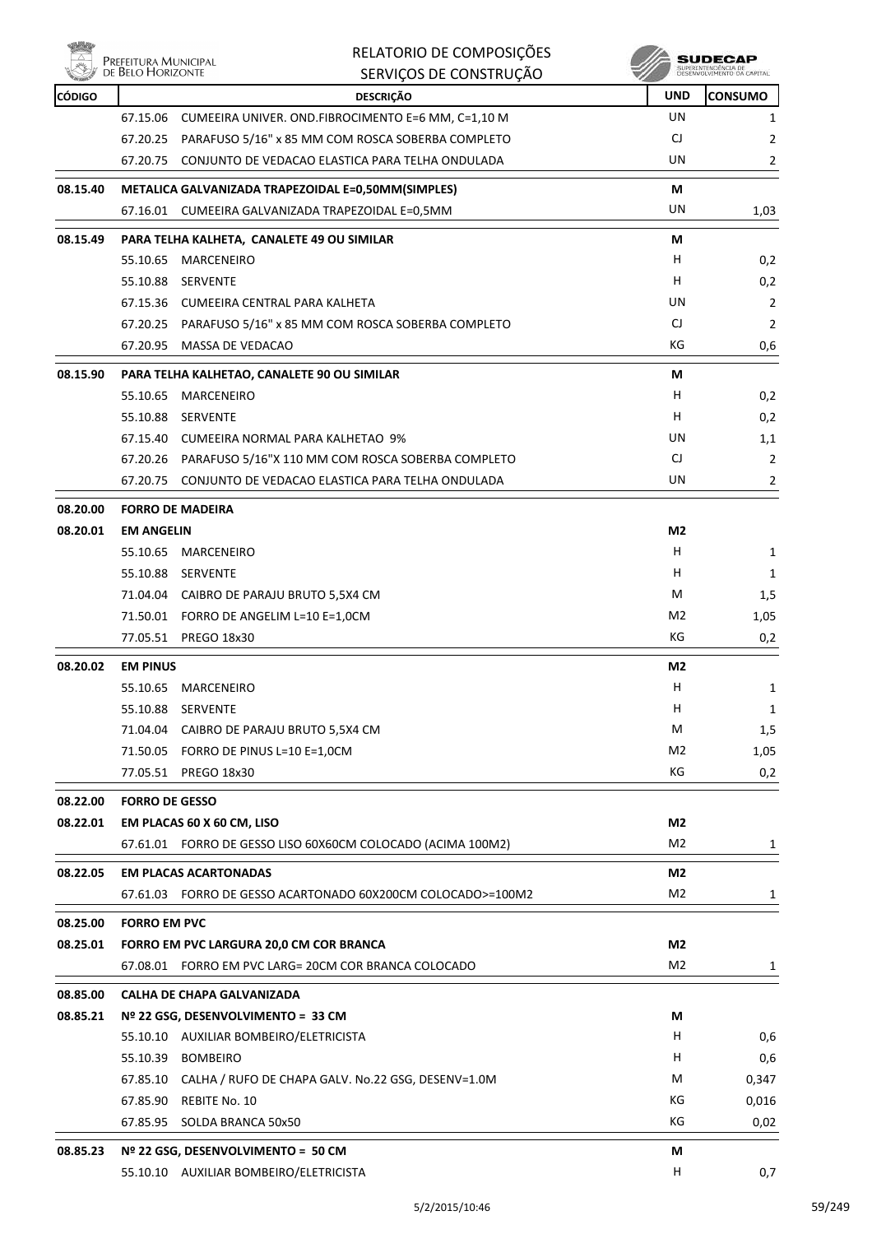

|               | Prefeitura Municipal<br>de Belo Horizonte | RELATORIO DE COMPOSIÇÕES                                    |                | SUDECAF        |
|---------------|-------------------------------------------|-------------------------------------------------------------|----------------|----------------|
|               |                                           | SERVIÇOS DE CONSTRUÇÃO                                      |                |                |
| <b>CÓDIGO</b> |                                           | <b>DESCRIÇÃO</b>                                            | <b>UND</b>     | <b>CONSUMO</b> |
|               |                                           | 67.15.06 CUMEEIRA UNIVER. OND.FIBROCIMENTO E=6 MM, C=1,10 M | UN             | 1              |
|               |                                           | 67.20.25 PARAFUSO 5/16" x 85 MM COM ROSCA SOBERBA COMPLETO  | CJ             | $\overline{2}$ |
|               | 67.20.75                                  | CONJUNTO DE VEDACAO ELASTICA PARA TELHA ONDULADA            | UN             | 2              |
| 08.15.40      |                                           | METALICA GALVANIZADA TRAPEZOIDAL E=0,50MM(SIMPLES)          | М              |                |
|               |                                           | 67.16.01 CUMEEIRA GALVANIZADA TRAPEZOIDAL E=0,5MM           | UN             | 1,03           |
| 08.15.49      |                                           | PARA TELHA KALHETA, CANALETE 49 OU SIMILAR                  | М              |                |
|               | 55.10.65                                  | MARCENEIRO                                                  | H              | 0,2            |
|               | 55.10.88                                  | <b>SERVENTE</b>                                             | H              | 0,2            |
|               |                                           | 67.15.36 CUMEEIRA CENTRAL PARA KALHETA                      | UN             | $\overline{2}$ |
|               |                                           | 67.20.25 PARAFUSO 5/16" x 85 MM COM ROSCA SOBERBA COMPLETO  | CJ             | $\overline{2}$ |
|               | 67.20.95                                  | MASSA DE VEDACAO                                            | КG             | 0,6            |
| 08.15.90      |                                           | PARA TELHA KALHETAO, CANALETE 90 OU SIMILAR                 | М              |                |
|               | 55.10.65                                  | MARCENEIRO                                                  | H              | 0,2            |
|               |                                           | 55.10.88 SERVENTE                                           | H              | 0,2            |
|               |                                           | 67.15.40 CUMEEIRA NORMAL PARA KALHETAO 9%                   | UN             | 1,1            |
|               |                                           | 67.20.26 PARAFUSO 5/16"X 110 MM COM ROSCA SOBERBA COMPLETO  | CJ             | 2              |
|               | 67.20.75                                  | CONJUNTO DE VEDACAO ELASTICA PARA TELHA ONDULADA            | UN             | $\overline{2}$ |
| 08.20.00      | <b>FORRO DE MADEIRA</b>                   |                                                             |                |                |
| 08.20.01      | <b>EM ANGELIN</b>                         |                                                             | M2             |                |
|               | 55.10.65                                  | MARCENEIRO                                                  | H              | 1              |
|               | 55.10.88                                  | SERVENTE                                                    | H              | 1              |
|               |                                           | 71.04.04 CAIBRO DE PARAJU BRUTO 5,5X4 CM                    | M              | 1,5            |
|               |                                           | 71.50.01 FORRO DE ANGELIM L=10 E=1,0CM                      | M2             | 1,05           |
|               |                                           | 77.05.51 PREGO 18x30                                        | КG             | 0,2            |
| 08.20.02      | <b>EM PINUS</b>                           |                                                             | M2             |                |
|               | 55.10.65                                  | MARCENEIRO                                                  | Н              | 1              |
|               | 55.10.88                                  | SERVENTE                                                    | H              | 1              |
|               |                                           | 71.04.04 CAIBRO DE PARAJU BRUTO 5,5X4 CM                    | М              | 1,5            |
|               |                                           | 71.50.05 FORRO DE PINUS L=10 E=1,0CM                        | M2             | 1,05           |
|               |                                           | 77.05.51 PREGO 18x30                                        | КG             | 0,2            |
| 08.22.00      | <b>FORRO DE GESSO</b>                     |                                                             |                |                |
| 08.22.01      |                                           | EM PLACAS 60 X 60 CM, LISO                                  | M2             |                |
|               |                                           | 67.61.01 FORRO DE GESSO LISO 60X60CM COLOCADO (ACIMA 100M2) | M2             | 1              |
| 08.22.05      |                                           | <b>EM PLACAS ACARTONADAS</b>                                | M2             |                |
|               |                                           | 67.61.03 FORRO DE GESSO ACARTONADO 60X200CM COLOCADO>=100M2 | M2             | 1              |
| 08.25.00      | <b>FORRO EM PVC</b>                       |                                                             |                |                |
| 08.25.01      |                                           | FORRO EM PVC LARGURA 20,0 CM COR BRANCA                     | M2             |                |
|               |                                           | 67.08.01 FORRO EM PVC LARG= 20CM COR BRANCA COLOCADO        | M <sub>2</sub> | 1              |
| 08.85.00      |                                           | <b>CALHA DE CHAPA GALVANIZADA</b>                           |                |                |
| 08.85.21      |                                           | Nº 22 GSG, DESENVOLVIMENTO = 33 CM                          | М              |                |
|               |                                           | 55.10.10 AUXILIAR BOMBEIRO/ELETRICISTA                      | H.             | 0,6            |
|               |                                           | 55.10.39 BOMBEIRO                                           | H.             | 0,6            |
|               |                                           | 67.85.10 CALHA / RUFO DE CHAPA GALV. No.22 GSG, DESENV=1.0M | M              | 0,347          |
|               |                                           | 67.85.90 REBITE No. 10                                      | КG             | 0,016          |
|               | 67.85.95                                  | SOLDA BRANCA 50x50                                          | КG             | 0,02           |
| 08.85.23      |                                           | Nº 22 GSG, DESENVOLVIMENTO = 50 CM                          | М              |                |
|               |                                           | 55.10.10 AUXILIAR BOMBEIRO/ELETRICISTA                      | H              | 0,7            |
|               |                                           |                                                             |                |                |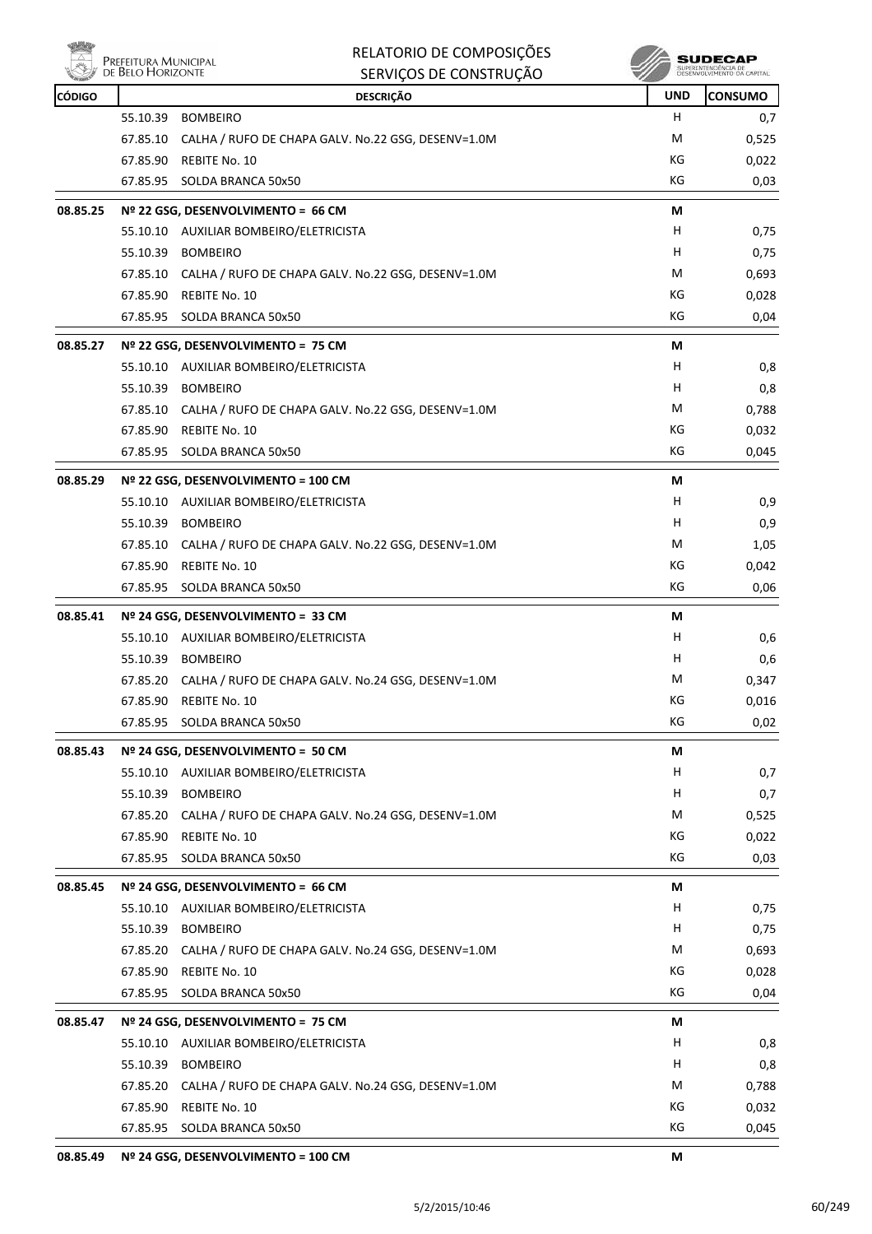

**PREFEITURA MUNICIPAL** 

|               | <b>DE BELO HORIZONTE</b> | SERVIÇOS DE CONSTRUÇÃO                                      |     | SUPERINTENDENCIA DE<br>DESENVOLVIMENTO DA CAPITAL |
|---------------|--------------------------|-------------------------------------------------------------|-----|---------------------------------------------------|
| <b>CÓDIGO</b> |                          | <b>DESCRIÇÃO</b>                                            | UND | <b>CONSUMO</b>                                    |
|               |                          | 55.10.39 BOMBEIRO                                           | н   | 0,7                                               |
|               |                          | 67.85.10 CALHA / RUFO DE CHAPA GALV. No.22 GSG, DESENV=1.0M | М   | 0,525                                             |
|               |                          | 67.85.90 REBITE No. 10                                      | КG  | 0,022                                             |
|               |                          | 67.85.95 SOLDA BRANCA 50x50                                 | КG  | 0,03                                              |
| 08.85.25      |                          | Nº 22 GSG, DESENVOLVIMENTO = 66 CM                          | М   |                                                   |
|               |                          | 55.10.10 AUXILIAR BOMBEIRO/ELETRICISTA                      | H   | 0,75                                              |
|               | 55.10.39                 | <b>BOMBEIRO</b>                                             | н   | 0,75                                              |
|               |                          | 67.85.10 CALHA / RUFO DE CHAPA GALV. No.22 GSG, DESENV=1.0M | M   | 0,693                                             |
|               |                          | 67.85.90 REBITE No. 10                                      | КG  | 0,028                                             |
|               | 67.85.95                 | SOLDA BRANCA 50x50                                          | КG  | 0,04                                              |
| 08.85.27      |                          | Nº 22 GSG, DESENVOLVIMENTO = 75 CM                          | М   |                                                   |
|               |                          | 55.10.10 AUXILIAR BOMBEIRO/ELETRICISTA                      | н   | 0,8                                               |
|               |                          | 55.10.39 BOMBEIRO                                           | н   | 0,8                                               |
|               |                          | 67.85.10 CALHA / RUFO DE CHAPA GALV. No.22 GSG, DESENV=1.0M | M   | 0,788                                             |
|               |                          | 67.85.90 REBITE No. 10                                      | КG  | 0,032                                             |
|               | 67.85.95                 | SOLDA BRANCA 50x50                                          | КG  | 0,045                                             |
| 08.85.29      |                          | Nº 22 GSG, DESENVOLVIMENTO = 100 CM                         | М   |                                                   |
|               |                          | 55.10.10 AUXILIAR BOMBEIRO/ELETRICISTA                      | H   | 0,9                                               |
|               |                          | 55.10.39 BOMBEIRO                                           | н   | 0,9                                               |
|               |                          | 67.85.10 CALHA / RUFO DE CHAPA GALV. No.22 GSG, DESENV=1.0M | М   | 1,05                                              |
|               |                          | 67.85.90 REBITE No. 10                                      | KG  | 0,042                                             |
|               | 67.85.95                 | SOLDA BRANCA 50x50                                          | KG  | 0,06                                              |
| 08.85.41      |                          | Nº 24 GSG, DESENVOLVIMENTO = 33 CM                          | М   |                                                   |
|               |                          | 55.10.10 AUXILIAR BOMBEIRO/ELETRICISTA                      | н   | 0,6                                               |
|               |                          | 55.10.39 BOMBEIRO                                           | H   | 0,6                                               |
|               |                          | 67.85.20 CALHA / RUFO DE CHAPA GALV. No.24 GSG, DESENV=1.0M | M   | 0,347                                             |
|               |                          | 67.85.90 REBITE No. 10                                      | KG  | 0,016                                             |
|               |                          | 67.85.95 SOLDA BRANCA 50x50                                 | КG  | 0,02                                              |
| 08.85.43      |                          | Nº 24 GSG, DESENVOLVIMENTO = 50 CM                          | М   |                                                   |
|               |                          | 55.10.10 AUXILIAR BOMBEIRO/ELETRICISTA                      | H   | 0,7                                               |
|               |                          | 55.10.39 BOMBEIRO                                           | H   | 0,7                                               |
|               |                          | 67.85.20 CALHA / RUFO DE CHAPA GALV. No.24 GSG, DESENV=1.0M | М   | 0,525                                             |
|               |                          | 67.85.90 REBITE No. 10                                      | KG  | 0,022                                             |
|               |                          | 67.85.95 SOLDA BRANCA 50x50                                 | КG  | 0,03                                              |
| 08.85.45      |                          | Nº 24 GSG, DESENVOLVIMENTO = 66 CM                          | М   |                                                   |
|               |                          | 55.10.10 AUXILIAR BOMBEIRO/ELETRICISTA                      | н   | 0,75                                              |
|               |                          | 55.10.39 BOMBEIRO                                           | H   | 0,75                                              |
|               |                          | 67.85.20 CALHA / RUFO DE CHAPA GALV. No.24 GSG, DESENV=1.0M | М   | 0,693                                             |
|               |                          | 67.85.90 REBITE No. 10                                      | КG  | 0,028                                             |
|               |                          | 67.85.95 SOLDA BRANCA 50x50                                 | КG  | 0,04                                              |
| 08.85.47      |                          | Nº 24 GSG, DESENVOLVIMENTO = 75 CM                          | М   |                                                   |
|               |                          | 55.10.10 AUXILIAR BOMBEIRO/ELETRICISTA                      | H   | 0,8                                               |
|               |                          | 55.10.39 BOMBEIRO                                           | H   | 0,8                                               |
|               |                          | 67.85.20 CALHA / RUFO DE CHAPA GALV. No.24 GSG, DESENV=1.0M | М   | 0,788                                             |
|               |                          | 67.85.90 REBITE No. 10                                      | KG  | 0,032                                             |
|               |                          | 67.85.95 SOLDA BRANCA 50x50                                 | KG  | 0,045                                             |
|               |                          |                                                             |     |                                                   |
| 08.85.49      |                          | Nº 24 GSG, DESENVOLVIMENTO = 100 CM                         | M   |                                                   |

RELATORIO DE COMPOSIÇÕES

**A** SUDECAP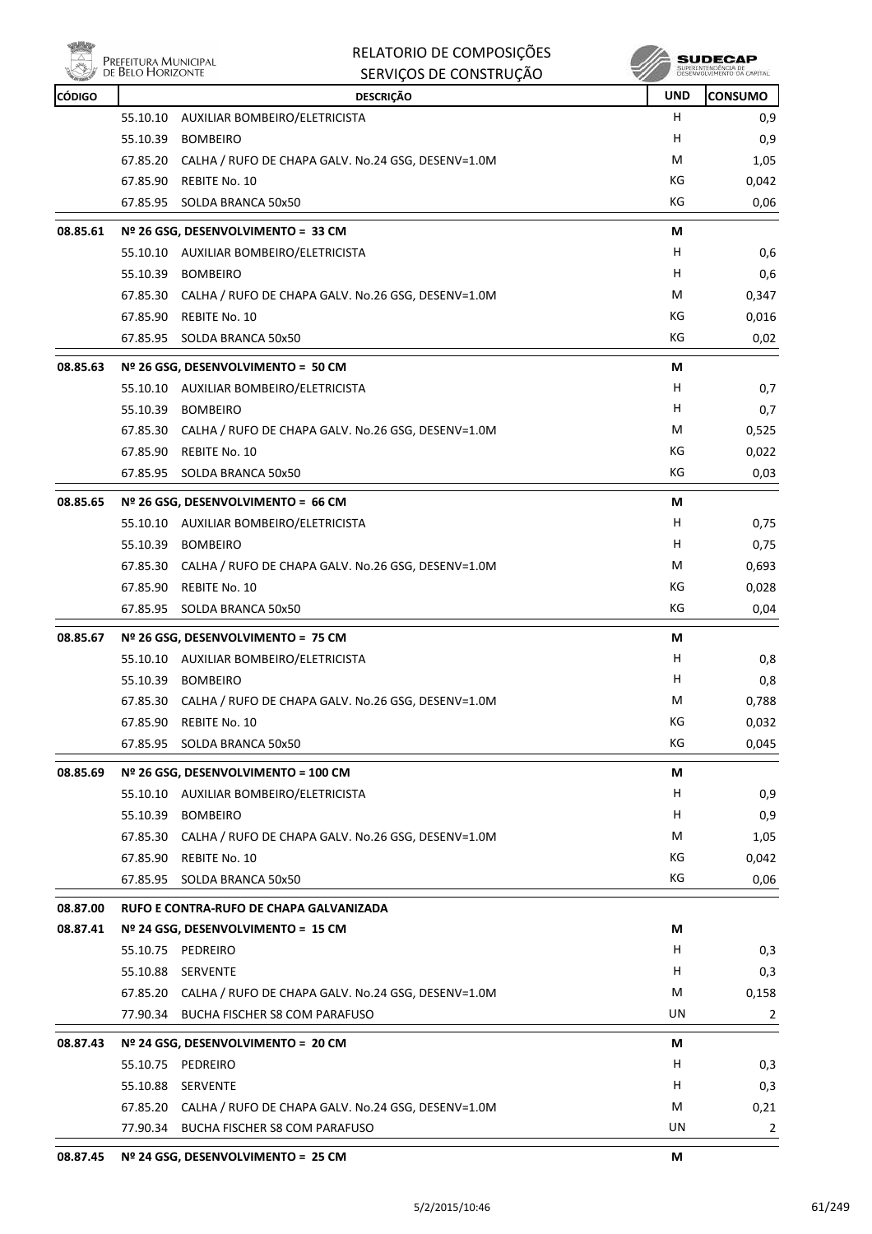

|          | Prefeitura Municipal<br>de Belo Horizonte | RELATORIO DE COMPOSIÇÕES<br>SERVIÇOS DE CONSTRUÇÃO          |            | SUDECAF<br>SUPERINTENDÊNCIA DE |
|----------|-------------------------------------------|-------------------------------------------------------------|------------|--------------------------------|
| CÓDIGO   |                                           | <b>DESCRIÇÃO</b>                                            | <b>UND</b> | <b>CONSUMO</b>                 |
|          | 55.10.10                                  | AUXILIAR BOMBEIRO/ELETRICISTA                               | H          | 0,9                            |
|          | 55.10.39                                  | <b>BOMBEIRO</b>                                             | H          | 0,9                            |
|          | 67.85.20                                  | CALHA / RUFO DE CHAPA GALV. No.24 GSG, DESENV=1.0M          | M          | 1,05                           |
|          |                                           | 67.85.90 REBITE No. 10                                      | КG         | 0,042                          |
|          | 67.85.95                                  | SOLDA BRANCA 50x50                                          | КG         | 0,06                           |
| 08.85.61 |                                           | Nº 26 GSG, DESENVOLVIMENTO = 33 CM                          | М          |                                |
|          |                                           | 55.10.10 AUXILIAR BOMBEIRO/ELETRICISTA                      | H.         | 0,6                            |
|          | 55.10.39                                  | <b>BOMBEIRO</b>                                             | H          | 0,6                            |
|          |                                           | 67.85.30 CALHA / RUFO DE CHAPA GALV. No.26 GSG, DESENV=1.0M | M          | 0,347                          |
|          | 67.85.90                                  | REBITE No. 10                                               | КG         | 0,016                          |
|          | 67.85.95                                  | SOLDA BRANCA 50x50                                          | КG         | 0,02                           |
| 08.85.63 |                                           | Nº 26 GSG, DESENVOLVIMENTO = 50 CM                          | М          |                                |
|          |                                           | 55.10.10 AUXILIAR BOMBEIRO/ELETRICISTA                      | H.         | 0,7                            |
|          |                                           | 55.10.39 BOMBEIRO                                           | H.         | 0,7                            |
|          | 67.85.30                                  | CALHA / RUFO DE CHAPA GALV. No.26 GSG, DESENV=1.0M          | М          | 0,525                          |
|          | 67.85.90                                  | REBITE No. 10                                               | КG         | 0,022                          |
|          | 67.85.95                                  | SOLDA BRANCA 50x50                                          | КG         | 0,03                           |
| 08.85.65 |                                           | Nº 26 GSG, DESENVOLVIMENTO = 66 CM                          | М          |                                |
|          |                                           | 55.10.10 AUXILIAR BOMBEIRO/ELETRICISTA                      | H.         | 0,75                           |
|          | 55.10.39 BOMBEIRO                         |                                                             | H          | 0,75                           |
|          |                                           | 67.85.30 CALHA / RUFO DE CHAPA GALV. No.26 GSG, DESENV=1.0M | М          | 0,693                          |
|          | 67.85.90                                  | REBITE No. 10                                               | КG         | 0,028                          |
|          | 67.85.95                                  | SOLDA BRANCA 50x50                                          | КG         | 0,04                           |
| 08.85.67 |                                           | Nº 26 GSG, DESENVOLVIMENTO = 75 CM                          | М          |                                |
|          |                                           | 55.10.10 AUXILIAR BOMBEIRO/ELETRICISTA                      | H,         | 0,8                            |
|          | 55.10.39 BOMBEIRO                         |                                                             | н          | 0,8                            |
|          | 67.85.30                                  | CALHA / RUFO DE CHAPA GALV. No.26 GSG, DESENV=1.0M          | M          | 0,788                          |
|          | 67.85.90                                  | REBITE No. 10                                               | КG         | 0,032                          |
|          |                                           | 67.85.95 SOLDA BRANCA 50x50                                 | КG         | 0,045                          |
| 08.85.69 |                                           | Nº 26 GSG, DESENVOLVIMENTO = 100 CM                         | М          |                                |
|          |                                           | 55.10.10 AUXILIAR BOMBEIRO/ELETRICISTA                      | H          | 0,9                            |
|          |                                           | 55.10.39 BOMBEIRO                                           | H          | 0,9                            |
|          |                                           | 67.85.30 CALHA / RUFO DE CHAPA GALV. No.26 GSG, DESENV=1.0M | M          | 1,05                           |
|          |                                           | 67.85.90 REBITE No. 10                                      | КG         | 0,042                          |
|          | 67.85.95                                  | SOLDA BRANCA 50x50                                          | КG         | 0,06                           |
| 08.87.00 |                                           | RUFO E CONTRA-RUFO DE CHAPA GALVANIZADA                     |            |                                |
| 08.87.41 |                                           | Nº 24 GSG, DESENVOLVIMENTO = 15 CM                          | М          |                                |
|          | 55.10.75 PEDREIRO                         |                                                             | H          | 0,3                            |
|          | 55.10.88 SERVENTE                         |                                                             | H.         | 0,3                            |
|          |                                           | 67.85.20 CALHA / RUFO DE CHAPA GALV. No.24 GSG, DESENV=1.0M | M          | 0,158                          |
|          |                                           | 77.90.34 BUCHA FISCHER S8 COM PARAFUSO                      | UN         | $\overline{2}$                 |
| 08.87.43 |                                           | Nº 24 GSG, DESENVOLVIMENTO = 20 CM                          | М          |                                |
|          | 55.10.75 PEDREIRO                         |                                                             | H          | 0,3                            |
|          | 55.10.88 SERVENTE                         |                                                             | H          | 0,3                            |
|          |                                           | 67.85.20 CALHA / RUFO DE CHAPA GALV. No.24 GSG, DESENV=1.0M | М          | 0,21                           |
|          |                                           | 77.90.34 BUCHA FISCHER S8 COM PARAFUSO                      | UN         | 2                              |
| 08.87.45 |                                           | Nº 24 GSG, DESENVOLVIMENTO = 25 CM                          | M          |                                |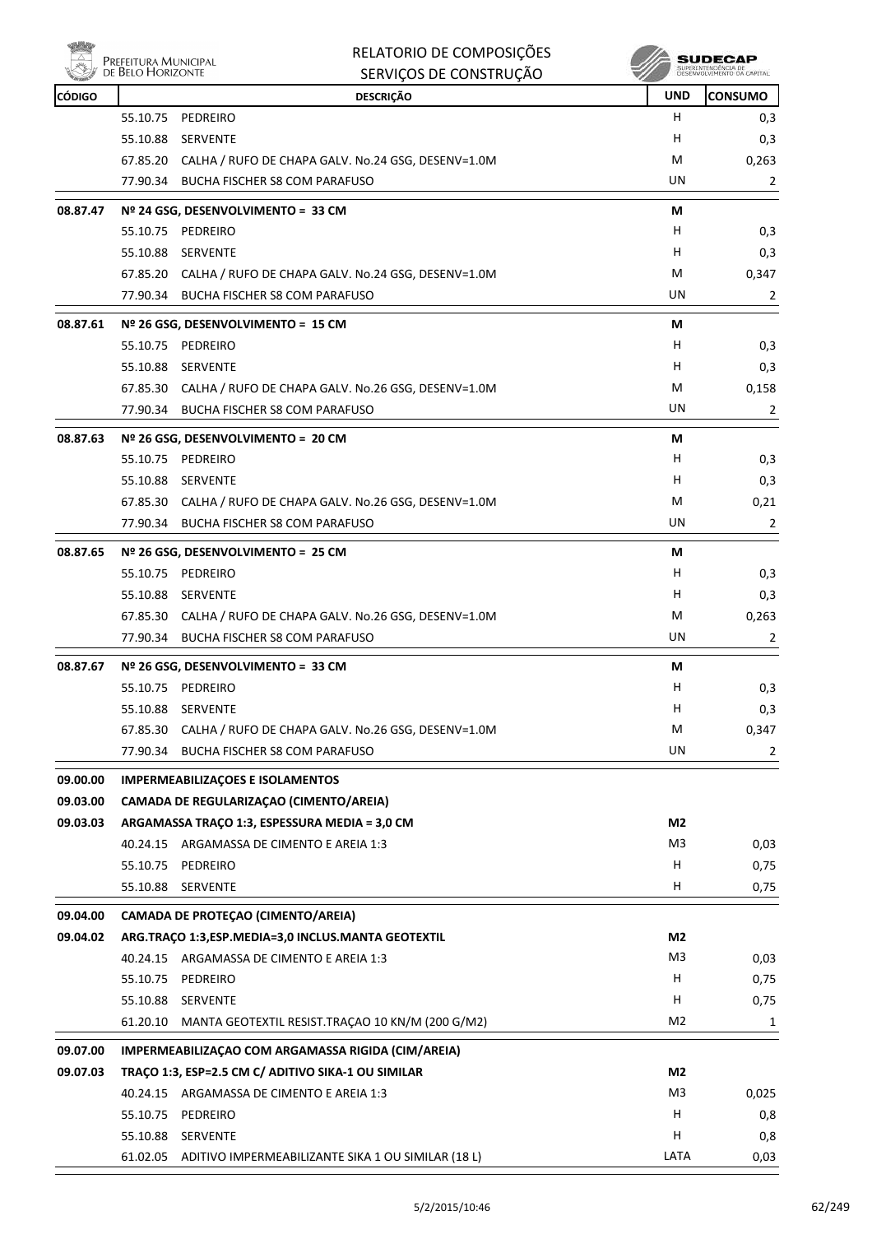

|          | Prefeitura Municipal<br>de Belo Horizonte | RELATORIO DE COMPOSIÇÕES<br>SERVIÇOS DE CONSTRUÇÃO          |                | SUDECAR<br>SUPERINTENDÊNCIA DE<br>DESENVOLVIMENTO DA |  |
|----------|-------------------------------------------|-------------------------------------------------------------|----------------|------------------------------------------------------|--|
| CÓDIGO   |                                           | <b>DESCRIÇÃO</b>                                            | <b>UND</b>     | <b>CONSUMO</b>                                       |  |
|          | 55.10.75                                  | PEDREIRO                                                    | H.             | 0,3                                                  |  |
|          | 55.10.88                                  | <b>SERVENTE</b>                                             | H              | 0,3                                                  |  |
|          |                                           | 67.85.20 CALHA / RUFO DE CHAPA GALV. No.24 GSG, DESENV=1.0M | М              | 0,263                                                |  |
|          |                                           | 77.90.34 BUCHA FISCHER S8 COM PARAFUSO                      | UN             | 2                                                    |  |
| 08.87.47 |                                           | Nº 24 GSG, DESENVOLVIMENTO = 33 CM                          | М              |                                                      |  |
|          | 55.10.75                                  | PEDREIRO                                                    | H              | 0,3                                                  |  |
|          | 55.10.88                                  | SERVENTE                                                    | H.             | 0,3                                                  |  |
|          |                                           | 67.85.20 CALHA / RUFO DE CHAPA GALV. No.24 GSG, DESENV=1.0M | М              | 0,347                                                |  |
|          |                                           | 77.90.34 BUCHA FISCHER S8 COM PARAFUSO                      | UN             | 2                                                    |  |
| 08.87.61 |                                           | Nº 26 GSG, DESENVOLVIMENTO = 15 CM                          | М              |                                                      |  |
|          | 55.10.75                                  | PEDREIRO                                                    | H              | 0,3                                                  |  |
|          | 55.10.88                                  | <b>SERVENTE</b>                                             | H              | 0,3                                                  |  |
|          |                                           | 67.85.30 CALHA / RUFO DE CHAPA GALV. No.26 GSG, DESENV=1.0M | М              | 0,158                                                |  |
|          |                                           | 77.90.34 BUCHA FISCHER S8 COM PARAFUSO                      | UN             | 2                                                    |  |
| 08.87.63 |                                           | Nº 26 GSG, DESENVOLVIMENTO = 20 CM                          | М              |                                                      |  |
|          | 55.10.75                                  | PEDREIRO                                                    | H              | 0,3                                                  |  |
|          | 55.10.88                                  | SERVENTE                                                    | H.             | 0,3                                                  |  |
|          |                                           | 67.85.30 CALHA / RUFO DE CHAPA GALV. No.26 GSG, DESENV=1.0M | M              | 0,21                                                 |  |
|          | 77.90.34                                  | BUCHA FISCHER S8 COM PARAFUSO                               | UN             | 2                                                    |  |
| 08.87.65 |                                           | Nº 26 GSG, DESENVOLVIMENTO = 25 CM                          | М              |                                                      |  |
|          | 55.10.75                                  | PEDREIRO                                                    | H              | 0,3                                                  |  |
|          | 55.10.88                                  | SERVENTE                                                    | H              | 0,3                                                  |  |
|          |                                           | 67.85.30 CALHA / RUFO DE CHAPA GALV. No.26 GSG, DESENV=1.0M | М              | 0,263                                                |  |
|          |                                           | 77.90.34 BUCHA FISCHER S8 COM PARAFUSO                      | UN             | 2                                                    |  |
| 08.87.67 |                                           | Nº 26 GSG, DESENVOLVIMENTO = 33 CM                          | М              |                                                      |  |
|          |                                           | 55.10.75 PEDREIRO                                           | H              | 0,3                                                  |  |
|          | 55.10.88                                  | SERVENTE                                                    | н              | 0,3                                                  |  |
|          |                                           | 67.85.30 CALHA / RUFO DE CHAPA GALV. No.26 GSG, DESENV=1.0M | M              | 0,347                                                |  |
|          |                                           | 77.90.34 BUCHA FISCHER S8 COM PARAFUSO                      | UN             | 2                                                    |  |
| 09.00.00 |                                           | <b>IMPERMEABILIZAÇÕES E ISOLAMENTOS</b>                     |                |                                                      |  |
| 09.03.00 |                                           | CAMADA DE REGULARIZAÇÃO (CIMENTO/AREIA)                     |                |                                                      |  |
| 09.03.03 |                                           | ARGAMASSA TRAÇO 1:3, ESPESSURA MEDIA = 3,0 CM               | M2             |                                                      |  |
|          |                                           | 40.24.15 ARGAMASSA DE CIMENTO E AREIA 1:3                   | M3             | 0,03                                                 |  |
|          | 55.10.75                                  | PEDREIRO                                                    | н              | 0,75                                                 |  |
|          | 55.10.88                                  | SERVENTE                                                    | H              | 0,75                                                 |  |
| 09.04.00 |                                           | CAMADA DE PROTEÇAO (CIMENTO/AREIA)                          |                |                                                      |  |
| 09.04.02 |                                           | ARG.TRAÇO 1:3,ESP.MEDIA=3,0 INCLUS.MANTA GEOTEXTIL          | M2             |                                                      |  |
|          |                                           | 40.24.15 ARGAMASSA DE CIMENTO E AREIA 1:3                   | M <sub>3</sub> | 0,03                                                 |  |
|          |                                           | 55.10.75 PEDREIRO                                           | H              | 0,75                                                 |  |
|          |                                           | 55.10.88 SERVENTE                                           | н              | 0,75                                                 |  |
|          | 61.20.10                                  | MANTA GEOTEXTIL RESIST.TRAÇÃO 10 KN/M (200 G/M2)            | M2             | 1                                                    |  |
| 09.07.00 |                                           | IMPERMEABILIZAÇÃO COM ARGAMASSA RIGIDA (CIM/AREIA)          |                |                                                      |  |
| 09.07.03 |                                           | TRAÇO 1:3, ESP=2.5 CM C/ ADITIVO SIKA-1 OU SIMILAR          | M2             |                                                      |  |
|          |                                           | 40.24.15 ARGAMASSA DE CIMENTO E AREIA 1:3                   | M3             | 0,025                                                |  |
|          | 55.10.75                                  | PEDREIRO                                                    | H.             | 0,8                                                  |  |
|          |                                           | 55.10.88 SERVENTE                                           | H              | 0,8                                                  |  |
|          |                                           | 61.02.05 ADITIVO IMPERMEABILIZANTE SIKA 1 OU SIMILAR (18 L) | LATA           | 0,03                                                 |  |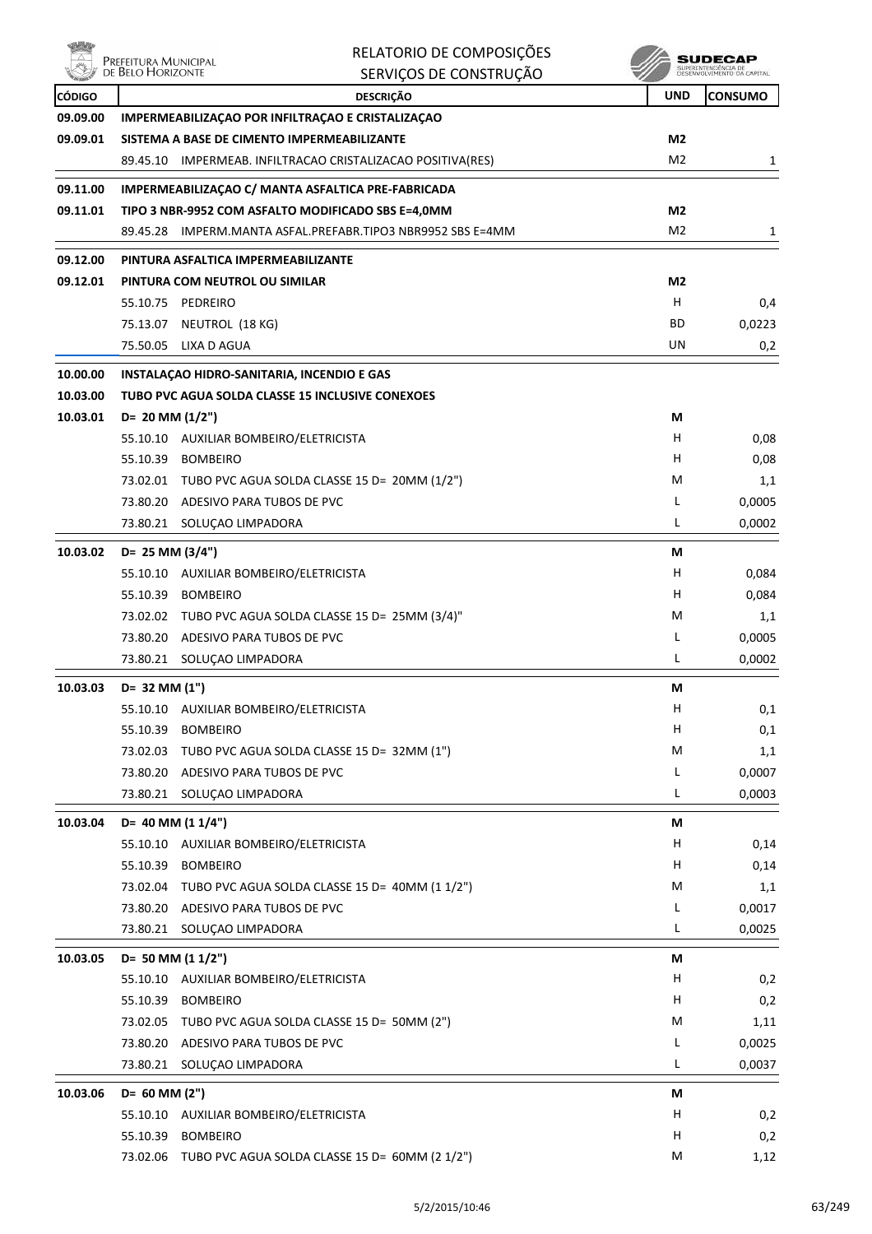ensi<br>Al Prefeitura Municipal<br>Al de Belo Horizonte

| RELATORIO DE COMPOSIÇÕES |
|--------------------------|
| SERVIÇOS DE CONSTRUÇÃO   |

 $\begin{array}{c} \textbf{SUBECAP} \\ \textbf{SUBREINTEROECLA DE} \\ \textbf{DESEWOUNIENTO CA CAPTIAL} \end{array}$ 

| <b>CÓDIGO</b> |                      | <b>DESCRIÇÃO</b>                                            | <b>UND</b>     | <b>CONSUMO</b> |
|---------------|----------------------|-------------------------------------------------------------|----------------|----------------|
| 09.09.00      |                      | IMPERMEABILIZAÇÃO POR INFILTRAÇÃO E CRISTALIZAÇÃO           |                |                |
| 09.09.01      |                      | SISTEMA A BASE DE CIMENTO IMPERMEABILIZANTE                 | M <sub>2</sub> |                |
|               |                      | 89.45.10 IMPERMEAB. INFILTRACAO CRISTALIZACAO POSITIVA(RES) | M2             | 1              |
| 09.11.00      |                      | IMPERMEABILIZAÇÃO C/ MANTA ASFALTICA PRE-FABRICADA          |                |                |
| 09.11.01      |                      | TIPO 3 NBR-9952 COM ASFALTO MODIFICADO SBS E=4,0MM          | M2             |                |
|               | 89.45.28             | IMPERM.MANTA ASFAL.PREFABR.TIPO3 NBR9952 SBS E=4MM          | M <sub>2</sub> | 1              |
| 09.12.00      |                      | PINTURA ASFALTICA IMPERMEABILIZANTE                         |                |                |
| 09.12.01      |                      | PINTURA COM NEUTROL OU SIMILAR                              | M2             |                |
|               |                      | 55.10.75 PEDREIRO                                           | н              | 0,4            |
|               |                      | 75.13.07 NEUTROL (18 KG)                                    | ВD             | 0,0223         |
|               |                      | 75.50.05 LIXA D AGUA                                        | UN             | 0,2            |
| 10.00.00      |                      | INSTALAÇÃO HIDRO-SANITARIA, INCENDIO E GAS                  |                |                |
| 10.03.00      |                      | TUBO PVC AGUA SOLDA CLASSE 15 INCLUSIVE CONEXOES            |                |                |
| 10.03.01      | $D = 20$ MM $(1/2")$ |                                                             | М              |                |
|               |                      | 55.10.10 AUXILIAR BOMBEIRO/ELETRICISTA                      | H              | 0,08           |
|               |                      | 55.10.39 BOMBEIRO                                           | H              | 0,08           |
|               |                      | 73.02.01 TUBO PVC AGUA SOLDA CLASSE 15 D= 20MM (1/2")       | М              | 1,1            |
|               |                      | 73.80.20 ADESIVO PARA TUBOS DE PVC                          | L              | 0,0005         |
|               |                      | 73.80.21 SOLUÇAO LIMPADORA                                  | L              | 0,0002         |
| 10.03.02      | $D = 25$ MM $(3/4")$ |                                                             | М              |                |
|               |                      | 55.10.10 AUXILIAR BOMBEIRO/ELETRICISTA                      | H              | 0,084          |
|               | 55.10.39             | <b>BOMBEIRO</b>                                             | н              | 0,084          |
|               |                      | 73.02.02 TUBO PVC AGUA SOLDA CLASSE 15 D= 25MM (3/4)"       | М              | 1,1            |
|               |                      | 73.80.20 ADESIVO PARA TUBOS DE PVC                          | L              | 0,0005         |
|               | 73.80.21             | SOLUÇAO LIMPADORA                                           | L              | 0,0002         |
| 10.03.03      | D= 32 MM (1")        |                                                             | М              |                |
|               |                      | 55.10.10 AUXILIAR BOMBEIRO/ELETRICISTA                      | н              | 0,1            |
|               |                      | 55.10.39 BOMBEIRO                                           | н              | 0,1            |
|               | 73.02.03             | TUBO PVC AGUA SOLDA CLASSE 15 D= 32MM (1")                  | M              | 1,1            |
|               | 73.80.20             | ADESIVO PARA TUBOS DE PVC                                   | L              | 0,0007         |
|               | 73.80.21             | SOLUÇAO LIMPADORA                                           | L              | 0,0003         |
| 10.03.04      |                      | D= 40 MM (1 1/4")                                           | М              |                |
|               |                      | 55.10.10 AUXILIAR BOMBEIRO/ELETRICISTA                      | H              | 0,14           |
|               |                      | 55.10.39 BOMBEIRO                                           | H              | 0,14           |
|               |                      | 73.02.04 TUBO PVC AGUA SOLDA CLASSE 15 D= 40MM (1 1/2")     | M              | 1,1            |
|               |                      | 73.80.20 ADESIVO PARA TUBOS DE PVC                          | L              | 0,0017         |
|               | 73.80.21             | SOLUÇAO LIMPADORA                                           | L              | 0,0025         |
| 10.03.05      |                      | D= 50 MM (1 1/2")                                           | М              |                |
|               | 55.10.10             | AUXILIAR BOMBEIRO/ELETRICISTA                               | н              | 0,2            |
|               | 55.10.39             | <b>BOMBEIRO</b>                                             | н              | 0,2            |
|               |                      | 73.02.05 TUBO PVC AGUA SOLDA CLASSE 15 D= 50MM (2")         | M              | 1,11           |
|               | 73.80.20             | ADESIVO PARA TUBOS DE PVC                                   | L              | 0,0025         |
|               |                      | 73.80.21 SOLUÇAO LIMPADORA                                  | L              | 0,0037         |
| 10.03.06      | D= 60 MM (2")        |                                                             | M              |                |
|               |                      | 55.10.10 AUXILIAR BOMBEIRO/ELETRICISTA                      | H              | 0,2            |
|               |                      | 55.10.39 BOMBEIRO                                           | н              | 0,2            |
|               |                      | 73.02.06 TUBO PVC AGUA SOLDA CLASSE 15 D= 60MM (2 1/2")     | М              | 1,12           |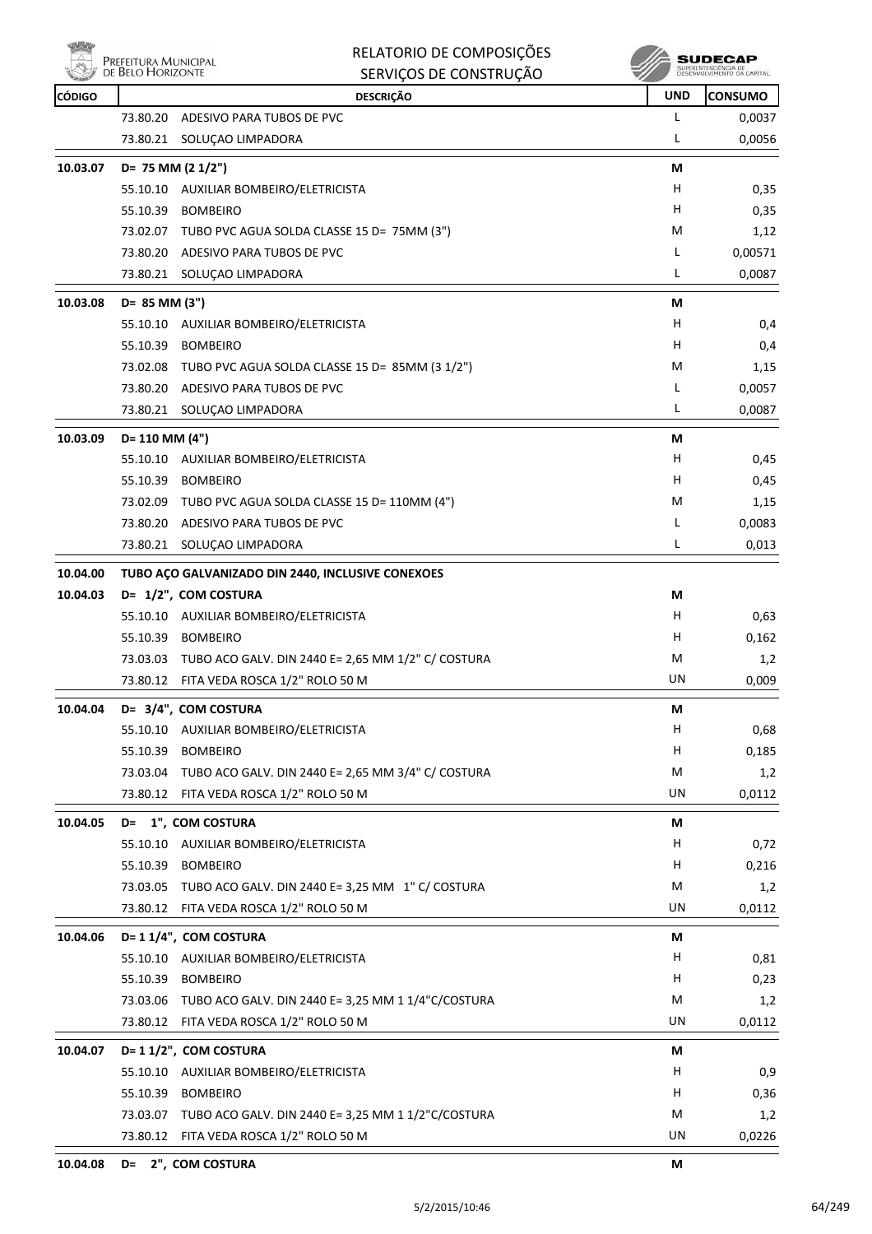

**10.04.00** 

|          | PREFEITURA MUNICIPAL<br>DE BELO HORIZONTE | RELATORIO DE COMPOSIÇÕES<br>SERVIÇOS DE CONSTRUÇÃO |            | SUDEC<br>SUPERINTENDÉNCIA DE<br>DESENVOLVIMENTO DA CAPITA |
|----------|-------------------------------------------|----------------------------------------------------|------------|-----------------------------------------------------------|
| CÓDIGO   |                                           | <b>DESCRIÇÃO</b>                                   | <b>UND</b> | <b>CONSUMO</b>                                            |
|          | 73.80.20                                  | ADESIVO PARA TUBOS DE PVC                          | L          | 0,0037                                                    |
|          | 73.80.21                                  | SOLUÇAO LIMPADORA                                  | L          | 0,0056                                                    |
| 10.03.07 |                                           | $D = 75$ MM (2 1/2")                               | М          |                                                           |
|          |                                           | 55.10.10 AUXILIAR BOMBEIRO/ELETRICISTA             | н          | 0,35                                                      |
|          | 55.10.39                                  | <b>BOMBEIRO</b>                                    | н          | 0,35                                                      |
|          | 73.02.07                                  | TUBO PVC AGUA SOLDA CLASSE 15 D= 75MM (3")         | М          | 1,12                                                      |
|          | 73.80.20                                  | ADESIVO PARA TUBOS DE PVC                          | L          | 0,00571                                                   |
|          | 73.80.21                                  | SOLUÇAO LIMPADORA                                  | L          | 0,0087                                                    |
| 10.03.08 | D= 85 MM (3")                             |                                                    | М          |                                                           |
|          |                                           | 55.10.10 AUXILIAR BOMBEIRO/ELETRICISTA             | н          | 0,4                                                       |
|          | 55.10.39                                  | <b>BOMBEIRO</b>                                    | н          | 0,4                                                       |
|          | 73.02.08                                  | TUBO PVC AGUA SOLDA CLASSE 15 D= 85MM (3 1/2")     | м          | 1,15                                                      |
|          |                                           | 73.80.20 ADESIVO PARA TUBOS DE PVC                 | L          | 0,0057                                                    |
|          | 73.80.21                                  | SOLUÇAO LIMPADORA                                  | L          | 0,0087                                                    |
| 10.03.09 | D= 110 MM (4")                            |                                                    | М          |                                                           |
|          | 55.10.10                                  | AUXILIAR BOMBEIRO/ELETRICISTA                      | н          | 0,45                                                      |
|          | 55.10.39                                  | <b>BOMBEIRO</b>                                    | н          | 0,45                                                      |
|          | 73.02.09                                  | TUBO PVC AGUA SOLDA CLASSE 15 D= 110MM (4")        | м          | 1,15                                                      |
|          | 73.80.20                                  | ADESIVO PARA TUBOS DE PVC                          | L          | 0,0083                                                    |
|          |                                           | 73.80.21 SOLUÇAO LIMPADORA                         | L          | 0,013                                                     |
| 10.04.00 |                                           | TUBO AÇO GALVANIZADO DIN 2440, INCLUSIVE CONEXOES  |            |                                                           |
| 10.04.03 |                                           | D= 1/2", COM COSTURA                               | M          |                                                           |

| 10.04.03 | D= 1/2", COM COSTURA                    |                                                             | М  |        |
|----------|-----------------------------------------|-------------------------------------------------------------|----|--------|
|          | 55.10.10 AUXILIAR BOMBEIRO/ELETRICISTA  |                                                             | н  | 0,63   |
|          | 55.10.39<br><b>BOMBEIRO</b>             |                                                             | н  | 0,162  |
|          |                                         | 73.03.03 TUBO ACO GALV. DIN 2440 E= 2,65 MM 1/2" C/ COSTURA | M  | 1,2    |
|          | 73.80.12 FITA VEDA ROSCA 1/2" ROLO 50 M |                                                             | UN | 0,009  |
| 10.04.04 | D= 3/4", COM COSTURA                    |                                                             | М  |        |
|          | 55.10.10 AUXILIAR BOMBEIRO/ELETRICISTA  |                                                             | н  | 0,68   |
|          | 55.10.39 BOMBEIRO                       |                                                             | н  | 0,185  |
|          |                                         | 73.03.04 TUBO ACO GALV. DIN 2440 E= 2,65 MM 3/4" C/ COSTURA | M  | 1,2    |
|          | 73.80.12 FITA VEDA ROSCA 1/2" ROLO 50 M |                                                             | UN | 0,0112 |
| 10.04.05 | D= 1", COM COSTURA                      |                                                             | М  |        |
|          | 55.10.10 AUXILIAR BOMBEIRO/ELETRICISTA  |                                                             | H  | 0,72   |
|          | 55.10.39 BOMBEIRO                       |                                                             | н  | 0,216  |
|          |                                         | 73.03.05 TUBO ACO GALV. DIN 2440 E= 3,25 MM 1" C/ COSTURA   | M  | 1,2    |
|          | 73.80.12 FITA VEDA ROSCA 1/2" ROLO 50 M |                                                             | UN | 0,0112 |
| 10.04.06 | D= 1 1/4", COM COSTURA                  |                                                             | М  |        |
|          | 55.10.10 AUXILIAR BOMBEIRO/ELETRICISTA  |                                                             | н  | 0,81   |
|          | 55.10.39<br><b>BOMBEIRO</b>             |                                                             | H  | 0,23   |
|          |                                         | 73.03.06 TUBO ACO GALV. DIN 2440 E= 3,25 MM 1 1/4"C/COSTURA | М  | 1,2    |
|          | 73.80.12 FITA VEDA ROSCA 1/2" ROLO 50 M |                                                             | UN | 0,0112 |
| 10.04.07 | D= 1 1/2", COM COSTURA                  |                                                             | M  |        |
|          | 55.10.10 AUXILIAR BOMBEIRO/ELETRICISTA  |                                                             | н  | 0,9    |
|          | 55.10.39<br><b>BOMBEIRO</b>             |                                                             | н  | 0,36   |
|          |                                         | 73.03.07 TUBO ACO GALV. DIN 2440 E= 3,25 MM 1 1/2"C/COSTURA | М  | 1,2    |
|          | 73.80.12 FITA VEDA ROSCA 1/2" ROLO 50 M |                                                             | UN | 0,0226 |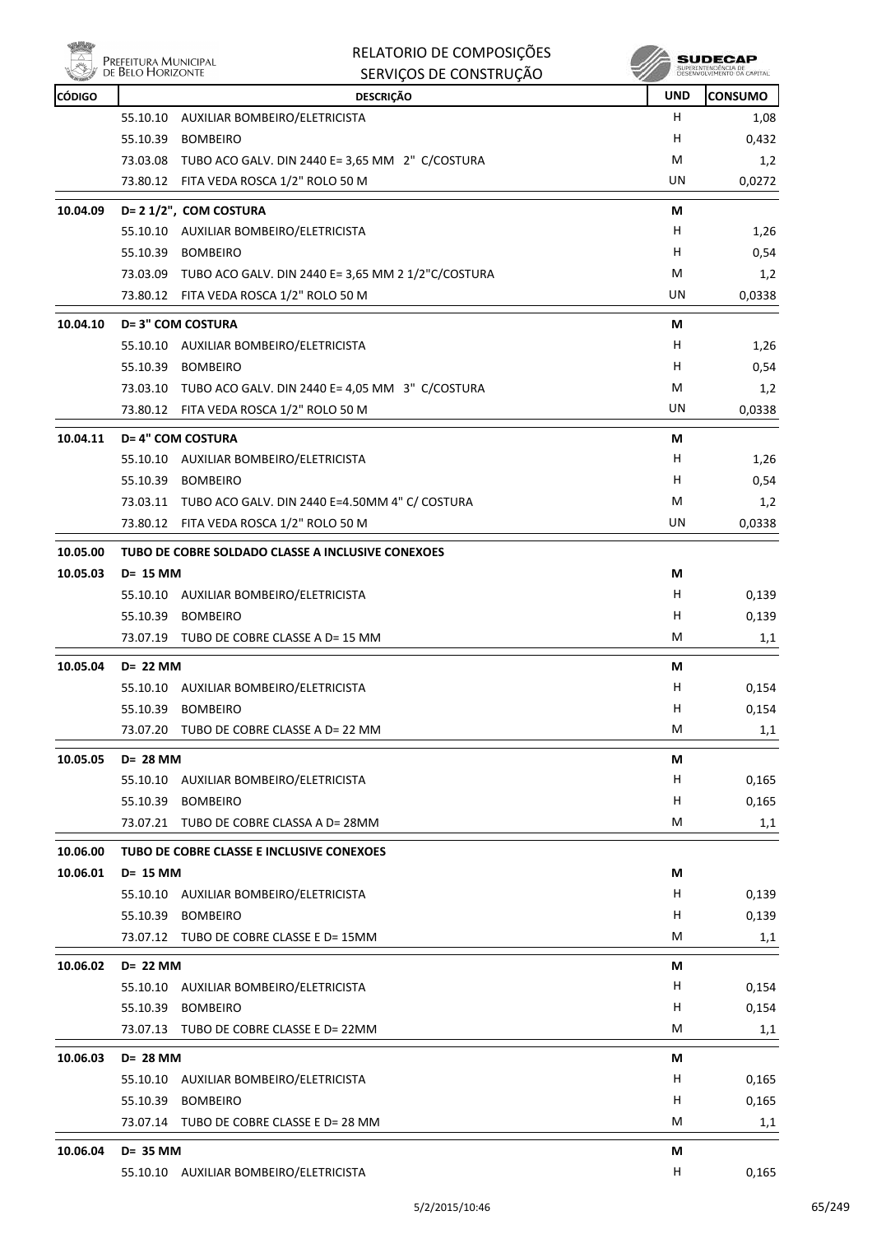

|               | DE BELO HORIZONTE | SERVIÇOS DE CONSTRUÇÃO                                      |            | SUPERINTENDENCIA DE<br>DESENVOLVIMENTO DA CAPITAL |
|---------------|-------------------|-------------------------------------------------------------|------------|---------------------------------------------------|
| <b>CÓDIGO</b> |                   | <b>DESCRIÇÃO</b>                                            | <b>UND</b> | <b>CONSUMO</b>                                    |
|               | 55.10.10          | AUXILIAR BOMBEIRO/ELETRICISTA                               | H          | 1,08                                              |
|               | 55.10.39          | <b>BOMBEIRO</b>                                             | Н          | 0,432                                             |
|               |                   | 73.03.08 TUBO ACO GALV. DIN 2440 E= 3,65 MM 2" C/COSTURA    | M          | 1,2                                               |
|               |                   | 73.80.12 FITA VEDA ROSCA 1/2" ROLO 50 M                     | UN         | 0,0272                                            |
| 10.04.09      |                   | D= 2 1/2", COM COSTURA                                      | М          |                                                   |
|               |                   | 55.10.10 AUXILIAR BOMBEIRO/ELETRICISTA                      | H          | 1,26                                              |
|               |                   | 55.10.39 BOMBEIRO                                           | н          | 0,54                                              |
|               |                   | 73.03.09 TUBO ACO GALV. DIN 2440 E= 3,65 MM 2 1/2"C/COSTURA | M          | 1,2                                               |
|               |                   | 73.80.12 FITA VEDA ROSCA 1/2" ROLO 50 M                     | UN         | 0,0338                                            |
| 10.04.10      |                   | <b>D= 3" COM COSTURA</b>                                    | М          |                                                   |
|               |                   | 55.10.10 AUXILIAR BOMBEIRO/ELETRICISTA                      | H.         | 1,26                                              |
|               |                   | 55.10.39 BOMBEIRO                                           | н          | 0,54                                              |
|               |                   | 73.03.10 TUBO ACO GALV. DIN 2440 E= 4,05 MM 3" C/COSTURA    | М          | 1,2                                               |
|               |                   | 73.80.12 FITA VEDA ROSCA 1/2" ROLO 50 M                     | UN         | 0,0338                                            |
|               |                   |                                                             |            |                                                   |
| 10.04.11      |                   | D= 4" COM COSTURA<br>55.10.10 AUXILIAR BOMBEIRO/ELETRICISTA | М          |                                                   |
|               |                   |                                                             | H.         | 1,26                                              |
|               |                   | 55.10.39 BOMBEIRO                                           | H<br>М     | 0,54                                              |
|               |                   | 73.03.11 TUBO ACO GALV. DIN 2440 E=4.50MM 4" C/ COSTURA     | UN         | 1,2                                               |
|               |                   | 73.80.12 FITA VEDA ROSCA 1/2" ROLO 50 M                     |            | 0,0338                                            |
| 10.05.00      |                   | TUBO DE COBRE SOLDADO CLASSE A INCLUSIVE CONEXOES           |            |                                                   |
| 10.05.03      | D= 15 MM          |                                                             | М          |                                                   |
|               |                   | 55.10.10 AUXILIAR BOMBEIRO/ELETRICISTA                      | H          | 0,139                                             |
|               | 55.10.39          | <b>BOMBEIRO</b>                                             | Н          | 0,139                                             |
|               |                   | 73.07.19 TUBO DE COBRE CLASSE A D= 15 MM                    | М          | 1,1                                               |
| 10.05.04      | D= 22 MM          |                                                             | М          |                                                   |
|               | 55.10.10          | AUXILIAR BOMBEIRO/ELETRICISTA                               | H          | 0,154                                             |
|               |                   | 55.10.39 BOMBEIRO                                           | H          | 0,154                                             |
|               | 73.07.20          | TUBO DE COBRE CLASSE A D= 22 MM                             | M          | 1,1                                               |
| 10.05.05      | D= 28 MM          |                                                             | М          |                                                   |
|               |                   | 55.10.10 AUXILIAR BOMBEIRO/ELETRICISTA                      | H          | 0,165                                             |
|               | 55.10.39          | <b>BOMBEIRO</b>                                             | H          | 0,165                                             |
|               |                   | 73.07.21 TUBO DE COBRE CLASSA A D= 28MM                     | M          | 1,1                                               |
| 10.06.00      |                   | TUBO DE COBRE CLASSE E INCLUSIVE CONEXOES                   |            |                                                   |
| 10.06.01      | D= 15 MM          |                                                             | М          |                                                   |
|               |                   | 55.10.10 AUXILIAR BOMBEIRO/ELETRICISTA                      | H          | 0,139                                             |
|               | 55.10.39          | <b>BOMBEIRO</b>                                             | H          | 0,139                                             |
|               |                   | 73.07.12 TUBO DE COBRE CLASSE E D= 15MM                     | M          | 1,1                                               |
|               |                   |                                                             |            |                                                   |
| 10.06.02      | D= 22 MM          | 55.10.10 AUXILIAR BOMBEIRO/ELETRICISTA                      | М<br>H     | 0,154                                             |
|               |                   | 55.10.39 BOMBEIRO                                           | H          | 0,154                                             |
|               |                   | 73.07.13 TUBO DE COBRE CLASSE E D= 22MM                     | M          |                                                   |
|               |                   |                                                             |            | 1,1                                               |
| 10.06.03      | D= 28 MM          |                                                             | М          |                                                   |
|               | 55.10.10          | AUXILIAR BOMBEIRO/ELETRICISTA                               | Н,         | 0,165                                             |
|               |                   | 55.10.39 BOMBEIRO                                           | H          | 0,165                                             |
|               |                   | 73.07.14 TUBO DE COBRE CLASSE E D= 28 MM                    | M          | 1,1                                               |
| 10.06.04      | D= 35 MM          |                                                             | М          |                                                   |
|               |                   | 55.10.10 AUXILIAR BOMBEIRO/ELETRICISTA                      | H          | 0,165                                             |

RELATORIO DE COMPOSIÇÕES

**A** SUDECAP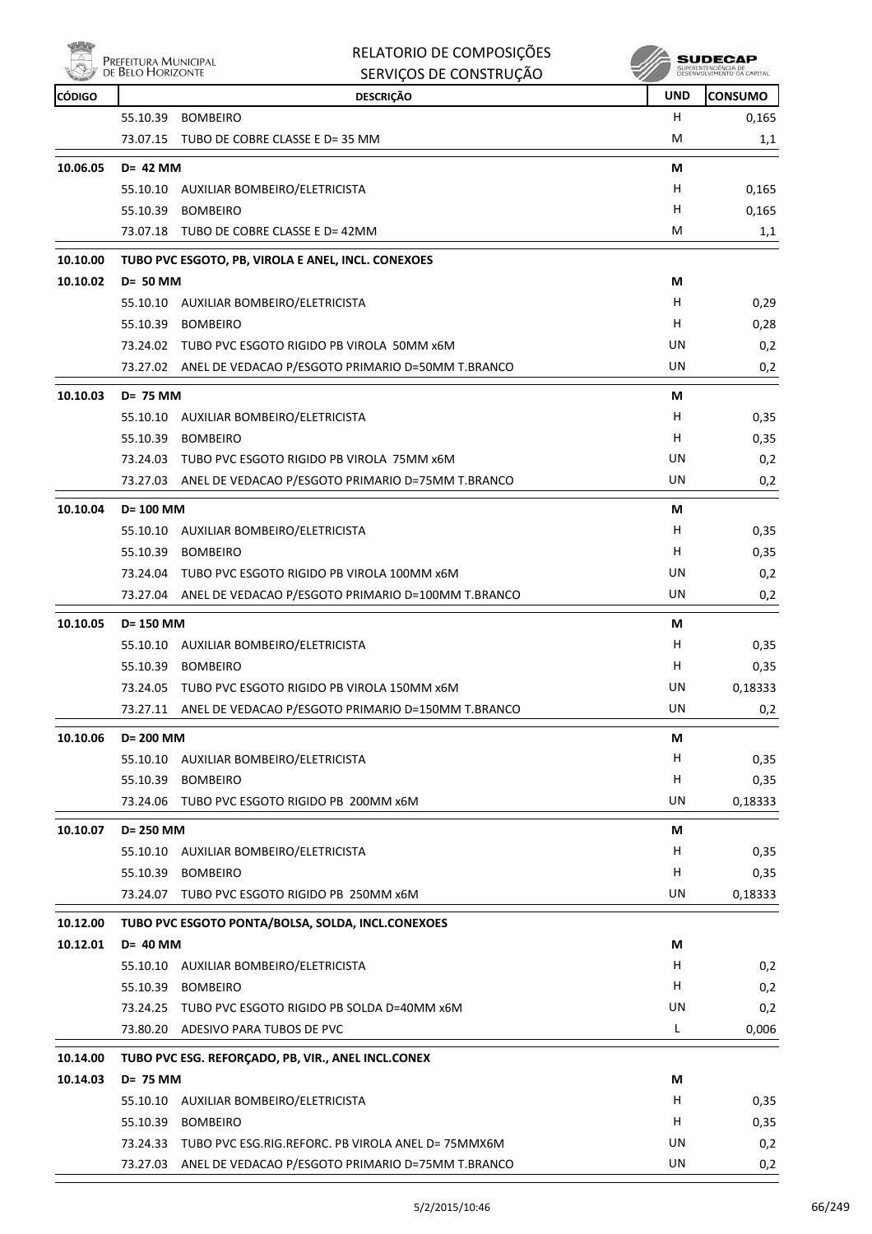

| rbit.<br>PREFEITURA MUNICIPAL<br>₩<br>DE BELO HORIZONTE |             | RELATORIO DE COMPOSIÇÕES<br>SERVIÇOS DE CONSTRUÇÃO | <b>SUDECAP</b><br>SUPERINTENDÊNCIA DE<br>DESENVOLVIMENTO DA CAPITAL |                 |
|---------------------------------------------------------|-------------|----------------------------------------------------|---------------------------------------------------------------------|-----------------|
| CÓDIGO                                                  |             | <b>DESCRIÇÃO</b>                                   | <b>UND</b>                                                          | <b>ICONSUMO</b> |
|                                                         | 55.10.39    | <b>BOMBEIRO</b>                                    | н                                                                   | 0,165           |
|                                                         | 73.07.15    | TUBO DE COBRE CLASSE E D= 35 MM                    | M                                                                   | 1,1             |
| 10.06.05                                                | $D = 42$ MM |                                                    | M                                                                   |                 |
|                                                         | 55.10.10    | AUXILIAR BOMBEIRO/ELETRICISTA                      | н                                                                   | 0,165           |
|                                                         | 55.10.39    | <b>BOMBEIRO</b>                                    | н                                                                   | 0,165           |

|          |                 | 73.07.18 TUBO DE COBRE CLASSE E D= 42MM                    | M  | 1,1  |
|----------|-----------------|------------------------------------------------------------|----|------|
| 10.10.00 |                 | TUBO PVC ESGOTO, PB, VIROLA E ANEL, INCL. CONEXOES         |    |      |
| 10.10.02 | <b>D= 50 MM</b> |                                                            | М  |      |
|          | 55.10.10        | AUXILIAR BOMBEIRO/ELETRICISTA                              | н  | 0,29 |
|          | 55.10.39        | <b>BOMBEIRO</b>                                            | н  | 0,28 |
|          | 73.24.02        | TUBO PVC ESGOTO RIGIDO PB VIROLA 50MM x6M                  | UN | 0,2  |
|          |                 | 73.27.02 ANEL DE VEDACAO P/ESGOTO PRIMARIO D=50MM T.BRANCO | UN | 0,2  |

|          |             | 73.27.02 ANEL DE VEDACAO P/ESGOTO PRIMARIO D=50MM T.BRANCO  | UN | 0,2     |
|----------|-------------|-------------------------------------------------------------|----|---------|
| 10.10.03 | D= 75 MM    |                                                             | М  |         |
|          |             | 55.10.10 AUXILIAR BOMBEIRO/ELETRICISTA                      | H  | 0,35    |
|          |             | 55.10.39 BOMBEIRO                                           | H  | 0,35    |
|          |             | 73.24.03 TUBO PVC ESGOTO RIGIDO PB VIROLA 75MM x6M          | UN | 0,2     |
|          |             | 73.27.03 ANEL DE VEDACAO P/ESGOTO PRIMARIO D=75MM T.BRANCO  | UN | 0,2     |
| 10.10.04 | D= 100 MM   |                                                             | М  |         |
|          |             | 55.10.10 AUXILIAR BOMBEIRO/ELETRICISTA                      | H  | 0,35    |
|          | 55.10.39    | <b>BOMBEIRO</b>                                             | H  | 0,35    |
|          |             | 73.24.04 TUBO PVC ESGOTO RIGIDO PB VIROLA 100MM x6M         | UN | 0,2     |
|          |             | 73.27.04 ANEL DE VEDACAO P/ESGOTO PRIMARIO D=100MM T.BRANCO | UN | 0,2     |
| 10.10.05 | D= 150 MM   |                                                             | М  |         |
|          |             | 55.10.10 AUXILIAR BOMBEIRO/ELETRICISTA                      | H  | 0,35    |
|          |             | 55.10.39 BOMBEIRO                                           | H  | 0,35    |
|          |             | 73.24.05 TUBO PVC ESGOTO RIGIDO PB VIROLA 150MM x6M         | UN | 0,18333 |
|          |             | 73.27.11 ANEL DE VEDACAO P/ESGOTO PRIMARIO D=150MM T.BRANCO | UN | 0,2     |
| 10.10.06 | D= 200 MM   |                                                             | М  |         |
|          |             | 55.10.10 AUXILIAR BOMBEIRO/ELETRICISTA                      | н  | 0,35    |
|          |             | 55.10.39 BOMBEIRO                                           | н  | 0,35    |
|          | 73.24.06    | TUBO PVC ESGOTO RIGIDO PB 200MM x6M                         | UN | 0,18333 |
| 10.10.07 | D= 250 MM   |                                                             | М  |         |
|          |             | 55.10.10 AUXILIAR BOMBEIRO/ELETRICISTA                      | H. | 0,35    |
|          | 55.10.39    | <b>BOMBEIRO</b>                                             | H  | 0,35    |
|          |             | 73.24.07 TUBO PVC ESGOTO RIGIDO PB 250MM x6M                | UN | 0,18333 |
| 10.12.00 |             | TUBO PVC ESGOTO PONTA/BOLSA, SOLDA, INCL.CONEXOES           |    |         |
| 10.12.01 | $D = 40$ MM |                                                             | М  |         |
|          |             | 55.10.10 AUXILIAR BOMBEIRO/ELETRICISTA                      | H  | 0,2     |
|          |             | 55.10.39 BOMBEIRO                                           | H  | 0,2     |
|          | 73.24.25    | TUBO PVC ESGOTO RIGIDO PB SOLDA D=40MM x6M                  | UN | 0,2     |
|          |             | 73.80.20 ADESIVO PARA TUBOS DE PVC                          | L. | 0,006   |
| 10.14.00 |             | TUBO PVC ESG. REFORÇADO, PB, VIR., ANEL INCL.CONEX          |    |         |
| 10.14.03 | D= 75 MM    |                                                             | М  |         |
|          |             | 55.10.10 AUXILIAR BOMBEIRO/ELETRICISTA                      | н  | 0,35    |

55.10.39 BOMBEIRO H 0,35 73.24.33 TUBO PVC ESG.RIG.REFORC. PB VIROLA ANEL D= 75MMX6M UN UN 0,2 73.27.03 ANEL DE VEDACAO P/ESGOTO PRIMARIO D=75MM T.BRANCO UN UN UN 0,2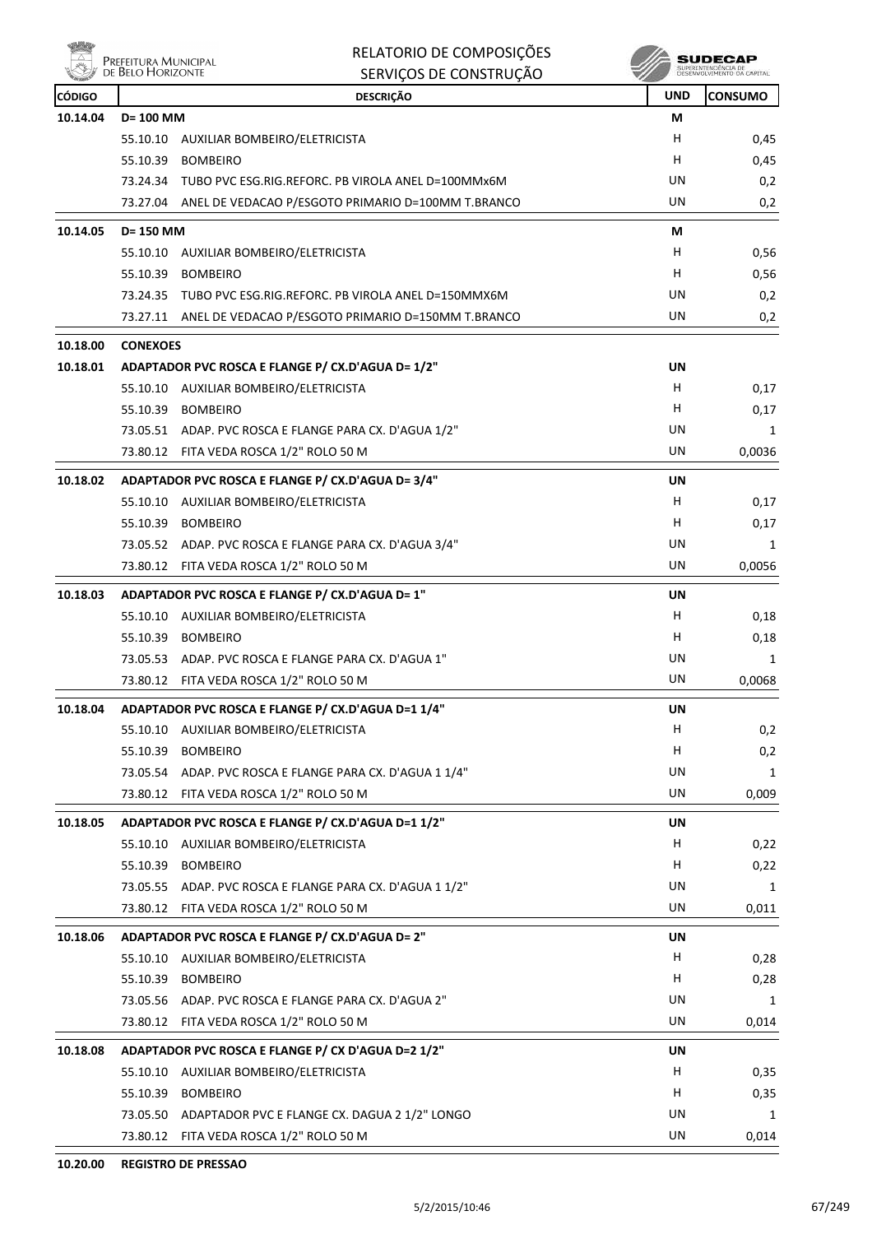

| RELATORIO DE COMPOSIÇÕES |
|--------------------------|
|--------------------------|

|               | L KEFELLUKA IVIUNIUIFAL<br>DE BELO HORIZONTE | SERVIÇOS DE CONSTRUÇÃO                                      |            | SUPERINTENDÊNCIA DE<br>DESENVOLVIMENTO DA CAPITAL |
|---------------|----------------------------------------------|-------------------------------------------------------------|------------|---------------------------------------------------|
| <b>CÓDIGO</b> |                                              | <b>DESCRIÇÃO</b>                                            | <b>UND</b> | <b>CONSUMO</b>                                    |
| 10.14.04      | D= 100 MM                                    |                                                             | М          |                                                   |
|               | 55.10.10                                     | AUXILIAR BOMBEIRO/ELETRICISTA                               | н          | 0,45                                              |
|               | 55.10.39                                     | <b>BOMBEIRO</b>                                             | н          | 0,45                                              |
|               |                                              | 73.24.34 TUBO PVC ESG.RIG.REFORC. PB VIROLA ANEL D=100MMx6M | UN         | 0,2                                               |
|               |                                              | 73.27.04 ANEL DE VEDACAO P/ESGOTO PRIMARIO D=100MM T.BRANCO | UN         | 0,2                                               |
| 10.14.05      | D= 150 MM                                    |                                                             | М          |                                                   |
|               |                                              | 55.10.10 AUXILIAR BOMBEIRO/ELETRICISTA                      | H          | 0,56                                              |
|               | 55.10.39                                     | <b>BOMBEIRO</b>                                             | H          | 0,56                                              |
|               |                                              | 73.24.35 TUBO PVC ESG.RIG.REFORC. PB VIROLA ANEL D=150MMX6M | UN         | 0,2                                               |
|               |                                              | 73.27.11 ANEL DE VEDACAO P/ESGOTO PRIMARIO D=150MM T.BRANCO | UN         | 0,2                                               |
| 10.18.00      | <b>CONEXOES</b>                              |                                                             |            |                                                   |
| 10.18.01      |                                              | ADAPTADOR PVC ROSCA E FLANGE P/ CX.D'AGUA D= 1/2"           | UN         |                                                   |
|               |                                              | 55.10.10 AUXILIAR BOMBEIRO/ELETRICISTA                      | H          | 0,17                                              |
|               | 55.10.39                                     | <b>BOMBEIRO</b>                                             | H          | 0,17                                              |
|               |                                              | 73.05.51 ADAP. PVC ROSCA E FLANGE PARA CX. D'AGUA 1/2"      | UN         | 1                                                 |
|               |                                              | 73.80.12 FITA VEDA ROSCA 1/2" ROLO 50 M                     | UN         | 0,0036                                            |
| 10.18.02      |                                              | ADAPTADOR PVC ROSCA E FLANGE P/ CX.D'AGUA D= 3/4"           | UN         |                                                   |
|               | 55.10.10                                     | AUXILIAR BOMBEIRO/ELETRICISTA                               | н          | 0,17                                              |
|               | 55.10.39                                     | <b>BOMBEIRO</b>                                             | H          | 0,17                                              |
|               |                                              | 73.05.52 ADAP. PVC ROSCA E FLANGE PARA CX. D'AGUA 3/4"      | UN         | 1                                                 |
|               |                                              | 73.80.12 FITA VEDA ROSCA 1/2" ROLO 50 M                     | UN         | 0,0056                                            |
| 10.18.03      |                                              | ADAPTADOR PVC ROSCA E FLANGE P/ CX.D'AGUA D= 1"             | UN         |                                                   |
|               | 55.10.10                                     | AUXILIAR BOMBEIRO/ELETRICISTA                               | н          | 0,18                                              |
|               | 55.10.39                                     | <b>BOMBEIRO</b>                                             | H          | 0,18                                              |
|               |                                              | 73.05.53 ADAP. PVC ROSCA E FLANGE PARA CX. D'AGUA 1"        | UN         | 1                                                 |
|               |                                              | 73.80.12 FITA VEDA ROSCA 1/2" ROLO 50 M                     | UN         | 0,0068                                            |
| 10.18.04      |                                              | ADAPTADOR PVC ROSCA E FLANGE P/ CX.D'AGUA D=1 1/4"          | UN         |                                                   |
|               | 55.10.10                                     | AUXILIAR BOMBEIRO/ELETRICISTA                               | н          | 0,2                                               |
|               | 55.10.39                                     | <b>BOMBEIRO</b>                                             | H          | 0,2                                               |
|               |                                              | 73.05.54 ADAP. PVC ROSCA E FLANGE PARA CX. D'AGUA 1 1/4"    | UN         | 1                                                 |
|               |                                              | 73.80.12 FITA VEDA ROSCA 1/2" ROLO 50 M                     | UN         | 0,009                                             |
| 10.18.05      |                                              | ADAPTADOR PVC ROSCA E FLANGE P/ CX.D'AGUA D=1 1/2"          | UN         |                                                   |
|               |                                              | 55.10.10 AUXILIAR BOMBEIRO/ELETRICISTA                      | н          | 0,22                                              |
|               | 55.10.39                                     | <b>BOMBEIRO</b>                                             | H          | 0,22                                              |
|               |                                              | 73.05.55 ADAP. PVC ROSCA E FLANGE PARA CX. D'AGUA 1 1/2"    | UN         | 1                                                 |
|               |                                              | 73.80.12 FITA VEDA ROSCA 1/2" ROLO 50 M                     | UN         | 0,011                                             |
| 10.18.06      |                                              | ADAPTADOR PVC ROSCA E FLANGE P/ CX.D'AGUA D= 2"             | UN         |                                                   |
|               |                                              | 55.10.10 AUXILIAR BOMBEIRO/ELETRICISTA                      | H.         | 0,28                                              |
|               | 55.10.39                                     | <b>BOMBEIRO</b>                                             | н          | 0,28                                              |
|               |                                              | 73.05.56 ADAP. PVC ROSCA E FLANGE PARA CX. D'AGUA 2"        | UN         | 1                                                 |
|               | 73.80.12                                     | FITA VEDA ROSCA 1/2" ROLO 50 M                              | UN         | 0,014                                             |
| 10.18.08      |                                              | ADAPTADOR PVC ROSCA E FLANGE P/ CX D'AGUA D=2 1/2"          | UN         |                                                   |
|               |                                              | 55.10.10 AUXILIAR BOMBEIRO/ELETRICISTA                      | H          | 0,35                                              |
|               | 55.10.39                                     | <b>BOMBEIRO</b>                                             | н          | 0,35                                              |
|               |                                              | 73.05.50 ADAPTADOR PVC E FLANGE CX. DAGUA 2 1/2" LONGO      | UN         | 1                                                 |
|               |                                              | 73.80.12 FITA VEDA ROSCA 1/2" ROLO 50 M                     | UN         | 0,014                                             |
|               |                                              |                                                             |            |                                                   |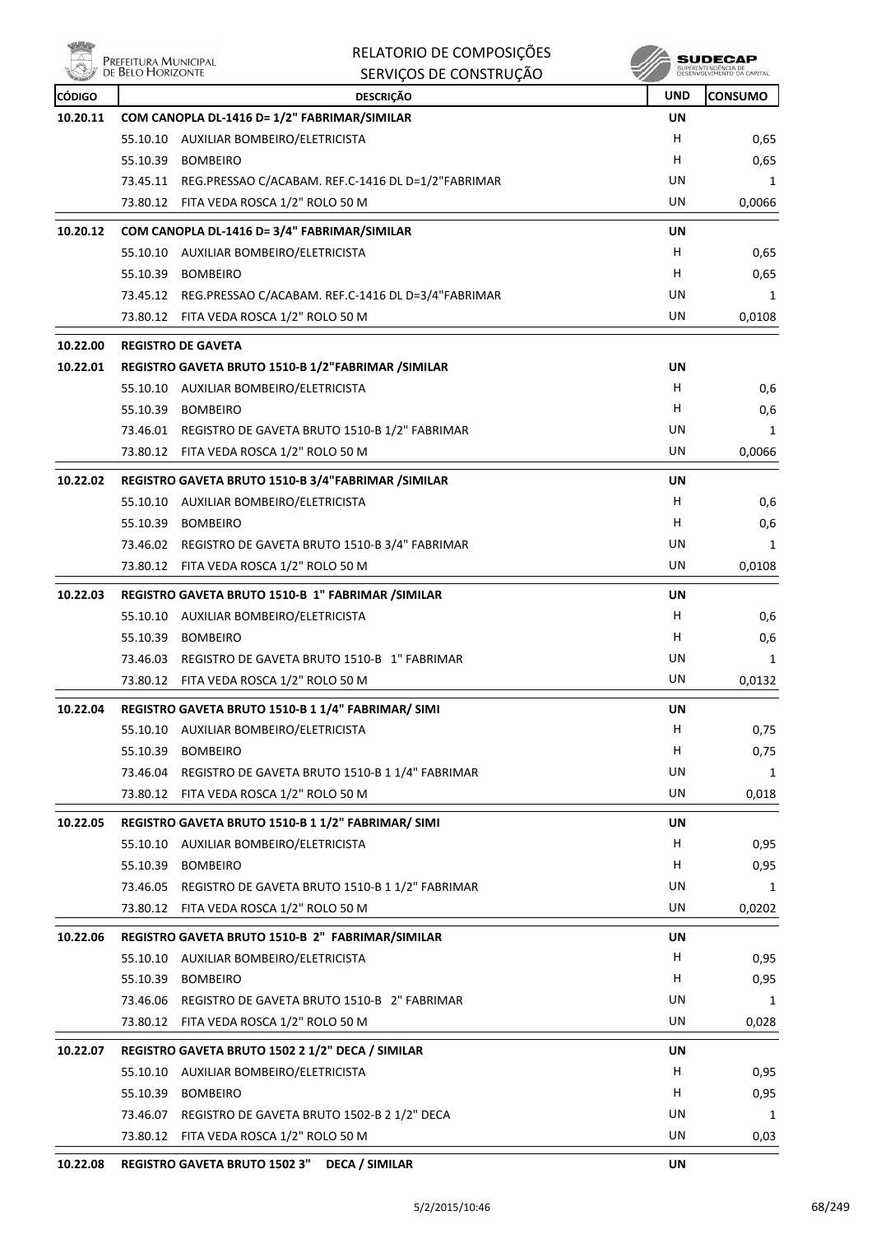

| Prefeitura Municipal<br>de Belo Horizonte |          | RELATORIO DE COMPOSIÇÕES                                                                            |            | SUDECAR                                   |
|-------------------------------------------|----------|-----------------------------------------------------------------------------------------------------|------------|-------------------------------------------|
|                                           |          | SERVIÇOS DE CONSTRUÇÃO                                                                              |            | SUPERINTENDENCIA DI<br>DESENVOLVIMENTO DA |
| <b>CÓDIGO</b>                             |          | <b>DESCRIÇÃO</b>                                                                                    | <b>UND</b> | <b>CONSUMO</b>                            |
| 10.20.11                                  |          | COM CANOPLA DL-1416 D= 1/2" FABRIMAR/SIMILAR                                                        | <b>UN</b>  |                                           |
|                                           |          | 55.10.10 AUXILIAR BOMBEIRO/ELETRICISTA                                                              | н          | 0,65                                      |
|                                           | 55.10.39 | <b>BOMBEIRO</b>                                                                                     | н          | 0,65                                      |
|                                           |          | 73.45.11 REG.PRESSAO C/ACABAM. REF.C-1416 DL D=1/2"FABRIMAR                                         | UN         | 1                                         |
|                                           |          | 73.80.12 FITA VEDA ROSCA 1/2" ROLO 50 M                                                             | UN         | 0,0066                                    |
| 10.20.12                                  |          | COM CANOPLA DL-1416 D= 3/4" FABRIMAR/SIMILAR                                                        | UN         |                                           |
|                                           |          | 55.10.10 AUXILIAR BOMBEIRO/ELETRICISTA                                                              | H          | 0,65                                      |
|                                           |          | 55.10.39 BOMBEIRO                                                                                   | н          | 0,65                                      |
|                                           |          | 73.45.12 REG.PRESSAO C/ACABAM. REF.C-1416 DL D=3/4"FABRIMAR                                         | UN         | 1                                         |
|                                           |          | 73.80.12 FITA VEDA ROSCA 1/2" ROLO 50 M                                                             | UN         | 0,0108                                    |
| 10.22.00                                  |          | <b>REGISTRO DE GAVETA</b>                                                                           |            |                                           |
| 10.22.01                                  |          | REGISTRO GAVETA BRUTO 1510-B 1/2"FABRIMAR /SIMILAR                                                  | UN         |                                           |
|                                           |          | 55.10.10 AUXILIAR BOMBEIRO/ELETRICISTA                                                              | H          | 0,6                                       |
|                                           |          | 55.10.39 BOMBEIRO                                                                                   | н          | 0,6                                       |
|                                           |          | 73.46.01 REGISTRO DE GAVETA BRUTO 1510-B 1/2" FABRIMAR                                              | UN         | 1                                         |
|                                           |          | 73.80.12 FITA VEDA ROSCA 1/2" ROLO 50 M                                                             | UN         | 0,0066                                    |
| 10.22.02                                  |          | REGISTRO GAVETA BRUTO 1510-B 3/4"FABRIMAR /SIMILAR                                                  | <b>UN</b>  |                                           |
|                                           |          | 55.10.10 AUXILIAR BOMBEIRO/ELETRICISTA                                                              | H          | 0,6                                       |
|                                           |          | 55.10.39 BOMBEIRO                                                                                   | н          | 0,6                                       |
|                                           |          | 73.46.02 REGISTRO DE GAVETA BRUTO 1510-B 3/4" FABRIMAR                                              | UN         | 1                                         |
|                                           |          | 73.80.12 FITA VEDA ROSCA 1/2" ROLO 50 M                                                             | UN         | 0,0108                                    |
| 10.22.03                                  |          | REGISTRO GAVETA BRUTO 1510-B 1" FABRIMAR / SIMILAR                                                  | UN         |                                           |
|                                           |          | 55.10.10 AUXILIAR BOMBEIRO/ELETRICISTA                                                              | н          | 0,6                                       |
|                                           |          | 55.10.39 BOMBEIRO                                                                                   | н          | 0,6                                       |
|                                           |          | 73.46.03 REGISTRO DE GAVETA BRUTO 1510-B 1" FABRIMAR                                                | UN         | 1                                         |
|                                           |          | 73.80.12 FITA VEDA ROSCA 1/2" ROLO 50 M                                                             | UN         | 0,0132                                    |
| 10.22.04                                  |          | REGISTRO GAVETA BRUTO 1510-B 1 1/4" FABRIMAR/ SIMI                                                  | UN         |                                           |
|                                           |          | 55.10.10 AUXILIAR BOMBEIRO/ELETRICISTA                                                              | H          | 0,75                                      |
|                                           |          | 55.10.39 BOMBEIRO                                                                                   | н          | 0,75                                      |
|                                           |          | 73.46.04 REGISTRO DE GAVETA BRUTO 1510-B 1 1/4" FABRIMAR                                            | UN         | 1                                         |
|                                           |          | 73.80.12 FITA VEDA ROSCA 1/2" ROLO 50 M                                                             | UN         | 0,018                                     |
|                                           |          | REGISTRO GAVETA BRUTO 1510-B 1 1/2" FABRIMAR/ SIMI                                                  |            |                                           |
| 10.22.05                                  |          |                                                                                                     | UN         |                                           |
|                                           |          | 55.10.10 AUXILIAR BOMBEIRO/ELETRICISTA<br>55.10.39 BOMBEIRO                                         | н<br>н     | 0,95                                      |
|                                           |          |                                                                                                     | UN         | 0,95                                      |
|                                           |          | 73.46.05 REGISTRO DE GAVETA BRUTO 1510-B 1 1/2" FABRIMAR<br>73.80.12 FITA VEDA ROSCA 1/2" ROLO 50 M | UN         | 1<br>0,0202                               |
| 10.22.06                                  |          | REGISTRO GAVETA BRUTO 1510-B 2" FABRIMAR/SIMILAR                                                    | UN         |                                           |
|                                           |          | 55.10.10 AUXILIAR BOMBEIRO/ELETRICISTA                                                              | н          | 0,95                                      |
|                                           |          | 55.10.39 BOMBEIRO                                                                                   | н          | 0,95                                      |
|                                           |          | 73.46.06 REGISTRO DE GAVETA BRUTO 1510-B 2" FABRIMAR                                                | UN         | 1                                         |
|                                           |          | 73.80.12 FITA VEDA ROSCA 1/2" ROLO 50 M                                                             | UN         | 0,028                                     |
|                                           |          |                                                                                                     |            |                                           |
| 10.22.07                                  | 55.10.10 | REGISTRO GAVETA BRUTO 1502 2 1/2" DECA / SIMILAR<br>AUXILIAR BOMBEIRO/ELETRICISTA                   | UN<br>н    | 0,95                                      |
|                                           |          | 55.10.39 BOMBEIRO                                                                                   | н          | 0,95                                      |
|                                           |          | 73.46.07 REGISTRO DE GAVETA BRUTO 1502-B 2 1/2" DECA                                                | UN         | 1                                         |
|                                           |          | 73.80.12 FITA VEDA ROSCA 1/2" ROLO 50 M                                                             | UN         | 0,03                                      |
|                                           |          |                                                                                                     |            |                                           |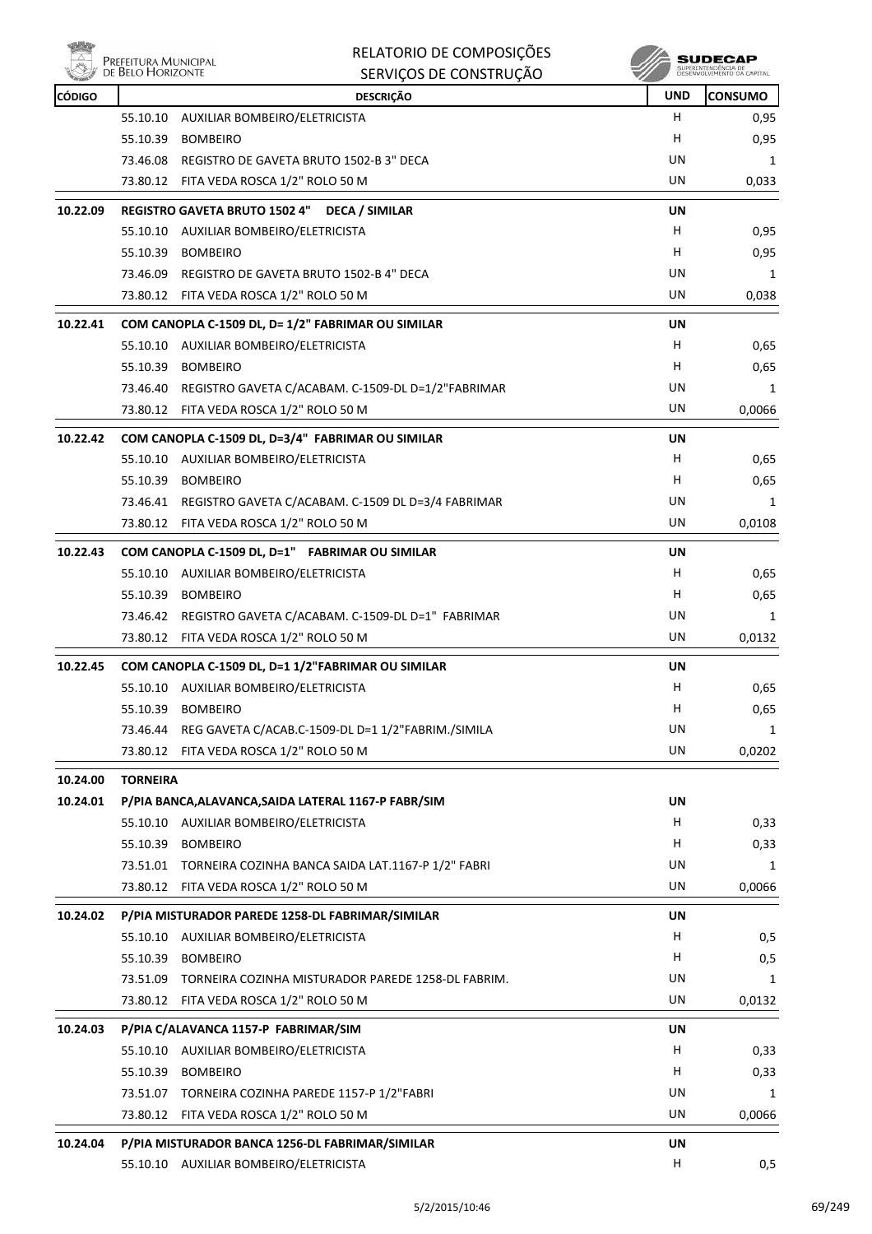

|               |                                           | RELATORIO DE COMPOSIÇÕES                                    |            | SUDECAP                                         |
|---------------|-------------------------------------------|-------------------------------------------------------------|------------|-------------------------------------------------|
|               | Prefeitura Municipal<br>de Belo Horizonte | SERVIÇOS DE CONSTRUÇÃO                                      |            | SUPERINTENDÊNCIA DE<br>DESENVOLVIMENTO DA CAPIT |
| <b>CÓDIGO</b> |                                           | <b>DESCRIÇÃO</b>                                            | <b>UND</b> | <b>CONSUMO</b>                                  |
|               | 55.10.10                                  | AUXILIAR BOMBEIRO/ELETRICISTA                               | H          | 0,95                                            |
|               | 55.10.39                                  | <b>BOMBEIRO</b>                                             | н          | 0,95                                            |
|               |                                           | 73.46.08 REGISTRO DE GAVETA BRUTO 1502-B 3" DECA            | UN         | 1                                               |
|               |                                           | 73.80.12 FITA VEDA ROSCA 1/2" ROLO 50 M                     | UN         | 0,033                                           |
| 10.22.09      |                                           | REGISTRO GAVETA BRUTO 1502 4" DECA / SIMILAR                | UN         |                                                 |
|               | 55.10.10                                  | AUXILIAR BOMBEIRO/ELETRICISTA                               | H          | 0,95                                            |
|               | 55.10.39                                  | <b>BOMBEIRO</b>                                             | н          | 0,95                                            |
|               |                                           | 73.46.09 REGISTRO DE GAVETA BRUTO 1502-B 4" DECA            | UN         | 1                                               |
|               |                                           | 73.80.12 FITA VEDA ROSCA 1/2" ROLO 50 M                     | UN         | 0,038                                           |
| 10.22.41      |                                           | COM CANOPLA C-1509 DL, D= 1/2" FABRIMAR OU SIMILAR          | UN         |                                                 |
|               |                                           | 55.10.10 AUXILIAR BOMBEIRO/ELETRICISTA                      | H.         | 0,65                                            |
|               | 55.10.39                                  | BOMBEIRO                                                    | H          | 0,65                                            |
|               |                                           | 73.46.40 REGISTRO GAVETA C/ACABAM. C-1509-DL D=1/2"FABRIMAR | UN         | 1                                               |
|               |                                           | 73.80.12 FITA VEDA ROSCA 1/2" ROLO 50 M                     | UN         | 0,0066                                          |
| 10.22.42      |                                           | COM CANOPLA C-1509 DL, D=3/4" FABRIMAR OU SIMILAR           | UN         |                                                 |
|               |                                           | 55.10.10 AUXILIAR BOMBEIRO/ELETRICISTA                      | H.         | 0,65                                            |
|               |                                           | 55.10.39 BOMBEIRO                                           | H          | 0,65                                            |
|               |                                           | 73.46.41 REGISTRO GAVETA C/ACABAM. C-1509 DL D=3/4 FABRIMAR | UN         | 1                                               |
|               |                                           | 73.80.12 FITA VEDA ROSCA 1/2" ROLO 50 M                     | UN         | 0,0108                                          |
| 10.22.43      |                                           | COM CANOPLA C-1509 DL, D=1" FABRIMAR OU SIMILAR             | UN         |                                                 |
|               |                                           | 55.10.10 AUXILIAR BOMBEIRO/ELETRICISTA                      | H.         | 0,65                                            |
|               |                                           | 55.10.39 BOMBEIRO                                           | H          | 0,65                                            |
|               |                                           | 73.46.42 REGISTRO GAVETA C/ACABAM. C-1509-DL D=1" FABRIMAR  | UN         | 1                                               |
|               |                                           | 73.80.12 FITA VEDA ROSCA 1/2" ROLO 50 M                     | UN         | 0,0132                                          |
| 10.22.45      |                                           | COM CANOPLA C-1509 DL, D=1 1/2"FABRIMAR OU SIMILAR          | UN         |                                                 |
|               |                                           | 55.10.10 AUXILIAR BOMBEIRO/ELETRICISTA                      | H          | 0,65                                            |
|               | 55.10.39                                  | <b>BOMBEIRO</b>                                             | н          | 0,65                                            |
|               | 73.46.44                                  | REG GAVETA C/ACAB.C-1509-DL D=1 1/2"FABRIM./SIMILA          | UN         | 1                                               |
|               |                                           | 73.80.12 FITA VEDA ROSCA 1/2" ROLO 50 M                     | UN         | 0,0202                                          |
| 10.24.00      | <b>TORNEIRA</b>                           |                                                             |            |                                                 |
| 10.24.01      |                                           | P/PIA BANCA, ALAVANCA, SAIDA LATERAL 1167-P FABR/SIM        | UN         |                                                 |
|               |                                           | 55.10.10 AUXILIAR BOMBEIRO/ELETRICISTA                      | H.         | 0,33                                            |
|               |                                           | 55.10.39 BOMBEIRO                                           | H.         | 0,33                                            |
|               |                                           | 73.51.01 TORNEIRA COZINHA BANCA SAIDA LAT.1167-P 1/2" FABRI | UN         | 1                                               |
|               |                                           | 73.80.12 FITA VEDA ROSCA 1/2" ROLO 50 M                     | UN         | 0,0066                                          |
| 10.24.02      |                                           | P/PIA MISTURADOR PAREDE 1258-DL FABRIMAR/SIMILAR            | UN         |                                                 |
|               |                                           | 55.10.10 AUXILIAR BOMBEIRO/ELETRICISTA                      | H.         | 0,5                                             |
|               | 55.10.39                                  | <b>BOMBEIRO</b>                                             | H          | 0,5                                             |
|               |                                           | 73.51.09 TORNEIRA COZINHA MISTURADOR PAREDE 1258-DL FABRIM. | UN         | 1                                               |
|               |                                           | 73.80.12 FITA VEDA ROSCA 1/2" ROLO 50 M                     | UN         | 0,0132                                          |
|               |                                           |                                                             |            |                                                 |
| 10.24.03      |                                           | P/PIA C/ALAVANCA 1157-P FABRIMAR/SIM                        | UN<br>H.   |                                                 |
|               |                                           | 55.10.10 AUXILIAR BOMBEIRO/ELETRICISTA<br>55.10.39 BOMBEIRO | н          | 0,33<br>0,33                                    |
|               |                                           | 73.51.07 TORNEIRA COZINHA PAREDE 1157-P 1/2"FABRI           | UN         | 1                                               |
|               |                                           | 73.80.12 FITA VEDA ROSCA 1/2" ROLO 50 M                     | UN         | 0,0066                                          |
|               |                                           |                                                             |            |                                                 |
| 10.24.04      |                                           | P/PIA MISTURADOR BANCA 1256-DL FABRIMAR/SIMILAR             | UN         |                                                 |

55.10.10 AUXILIAR BOMBEIRO/ELETRICISTA **H** 0,5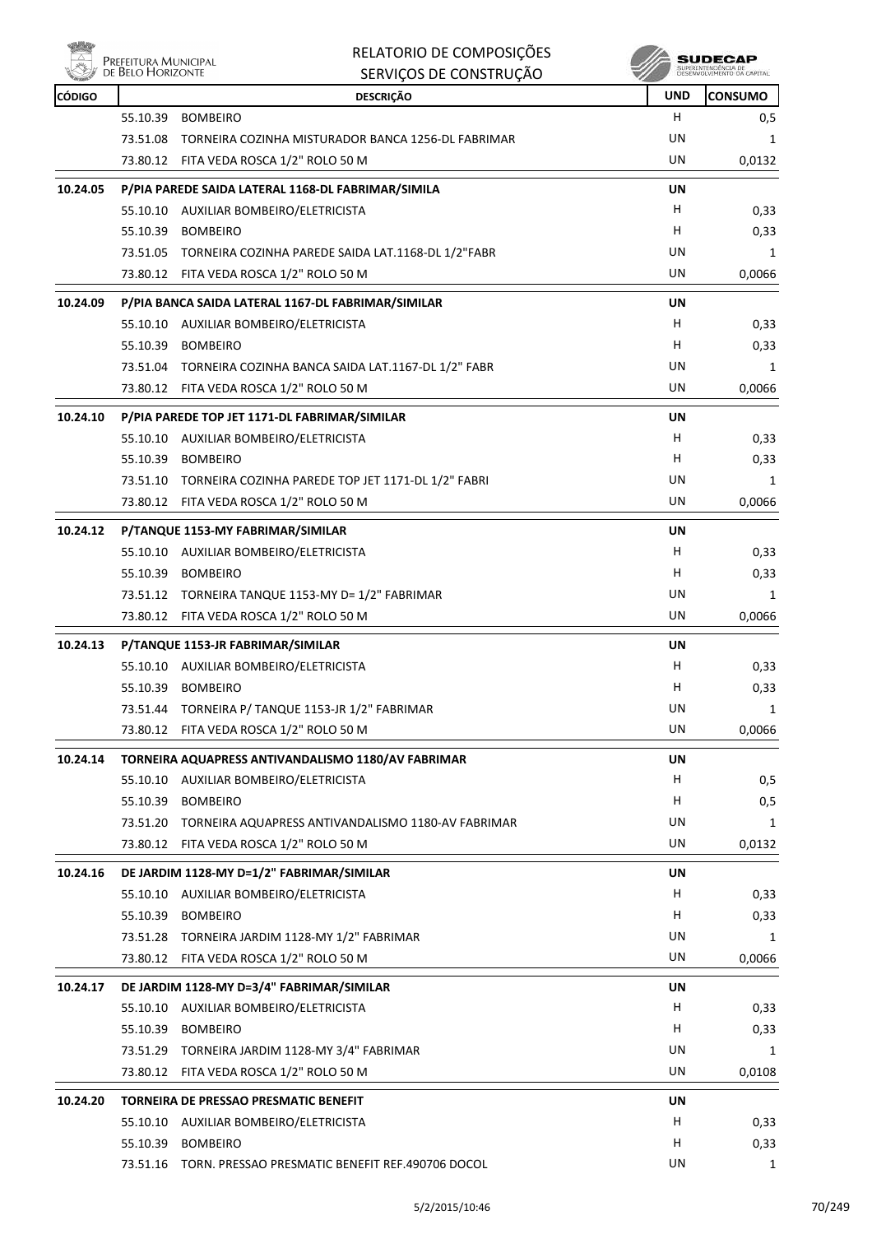

## RELATORIO DE COMPOSIÇÕES

|               | DE BELO HORIZONTE | SERVIÇOS DE CONSTRUÇÃO                                      |            | SUPERINTENDÊNCIA DE<br>DESENVOLVIMENTO DA CAPITAL |
|---------------|-------------------|-------------------------------------------------------------|------------|---------------------------------------------------|
| <b>CÓDIGO</b> |                   | <b>DESCRIÇÃO</b>                                            | <b>UND</b> | <b>CONSUMO</b>                                    |
|               | 55.10.39          | <b>BOMBEIRO</b>                                             | н          | 0,5                                               |
|               | 73.51.08          | TORNEIRA COZINHA MISTURADOR BANCA 1256-DL FABRIMAR          | UN         | 1                                                 |
|               |                   | 73.80.12 FITA VEDA ROSCA 1/2" ROLO 50 M                     | UN         | 0,0132                                            |
| 10.24.05      |                   | P/PIA PAREDE SAIDA LATERAL 1168-DL FABRIMAR/SIMILA          | UN         |                                                   |
|               |                   | 55.10.10 AUXILIAR BOMBEIRO/ELETRICISTA                      | н          | 0,33                                              |
|               | 55.10.39          | <b>BOMBEIRO</b>                                             | н          | 0,33                                              |
|               | 73.51.05          | TORNEIRA COZINHA PAREDE SAIDA LAT.1168-DL 1/2"FABR          | UN         | 1                                                 |
|               |                   | 73.80.12 FITA VEDA ROSCA 1/2" ROLO 50 M                     | UN         | 0,0066                                            |
| 10.24.09      |                   | P/PIA BANCA SAIDA LATERAL 1167-DL FABRIMAR/SIMILAR          | UN         |                                                   |
|               |                   | 55.10.10 AUXILIAR BOMBEIRO/ELETRICISTA                      | н          | 0,33                                              |
|               | 55.10.39          | <b>BOMBEIRO</b>                                             | н          | 0,33                                              |
|               | 73.51.04          | TORNEIRA COZINHA BANCA SAIDA LAT.1167-DL 1/2" FABR          | UN         | 1                                                 |
|               |                   | 73.80.12 FITA VEDA ROSCA 1/2" ROLO 50 M                     | UN         | 0,0066                                            |
| 10.24.10      |                   | P/PIA PAREDE TOP JET 1171-DL FABRIMAR/SIMILAR               | UN         |                                                   |
|               |                   | 55.10.10 AUXILIAR BOMBEIRO/ELETRICISTA                      | H          | 0,33                                              |
|               | 55.10.39          | <b>BOMBEIRO</b>                                             | н          | 0,33                                              |
|               |                   | 73.51.10 TORNEIRA COZINHA PAREDE TOP JET 1171-DL 1/2" FABRI | UN         | 1                                                 |
|               |                   | 73.80.12 FITA VEDA ROSCA 1/2" ROLO 50 M                     | UN         | 0,0066                                            |
| 10.24.12      |                   | P/TANQUE 1153-MY FABRIMAR/SIMILAR                           | UN         |                                                   |
|               |                   | 55.10.10 AUXILIAR BOMBEIRO/ELETRICISTA                      | H          | 0,33                                              |
|               | 55.10.39          | <b>BOMBEIRO</b>                                             | н          | 0,33                                              |
|               |                   | 73.51.12 TORNEIRA TANQUE 1153-MY D= 1/2" FABRIMAR           | UN         | 1                                                 |
|               |                   | 73.80.12 FITA VEDA ROSCA 1/2" ROLO 50 M                     | UN         | 0,0066                                            |
| 10.24.13      |                   | P/TANQUE 1153-JR FABRIMAR/SIMILAR                           | UN         |                                                   |
|               |                   | 55.10.10 AUXILIAR BOMBEIRO/ELETRICISTA                      | н          | 0,33                                              |
|               | 55.10.39          | <b>BOMBEIRO</b>                                             | н          | 0,33                                              |
|               |                   | 73.51.44 TORNEIRA P/ TANQUE 1153-JR 1/2" FABRIMAR           | UN         | 1                                                 |
|               |                   | 73.80.12 FITA VEDA ROSCA 1/2" ROLO 50 M                     | UN         | 0,0066                                            |
| 10.24.14      |                   | TORNEIRA AQUAPRESS ANTIVANDALISMO 1180/AV FABRIMAR          | <b>UN</b>  |                                                   |
|               | 55.10.10          | AUXILIAR BOMBEIRO/ELETRICISTA                               | н          | 0,5                                               |
|               | 55.10.39          | <b>BOMBEIRO</b>                                             | н          | 0,5                                               |
|               | 73.51.20          | TORNEIRA AQUAPRESS ANTIVANDALISMO 1180-AV FABRIMAR          | UN         | 1                                                 |
|               |                   | 73.80.12 FITA VEDA ROSCA 1/2" ROLO 50 M                     | UN         | 0,0132                                            |
| 10.24.16      |                   | DE JARDIM 1128-MY D=1/2" FABRIMAR/SIMILAR                   | UN         |                                                   |
|               |                   | 55.10.10 AUXILIAR BOMBEIRO/ELETRICISTA                      | H          | 0,33                                              |
|               | 55.10.39          | <b>BOMBEIRO</b>                                             | н          | 0,33                                              |
|               | 73.51.28          | TORNEIRA JARDIM 1128-MY 1/2" FABRIMAR                       | UN         | 1                                                 |
|               |                   | 73.80.12 FITA VEDA ROSCA 1/2" ROLO 50 M                     | UN         | 0,0066                                            |
| 10.24.17      |                   | DE JARDIM 1128-MY D=3/4" FABRIMAR/SIMILAR                   | UN         |                                                   |
|               | 55.10.10          | AUXILIAR BOMBEIRO/ELETRICISTA                               | H          | 0,33                                              |
|               | 55.10.39          | <b>BOMBEIRO</b>                                             | H          | 0,33                                              |
|               | 73.51.29          | TORNEIRA JARDIM 1128-MY 3/4" FABRIMAR                       | UN         | 1                                                 |
|               | 73.80.12          | FITA VEDA ROSCA 1/2" ROLO 50 M                              | <b>UN</b>  | 0,0108                                            |
| 10.24.20      |                   | TORNEIRA DE PRESSAO PRESMATIC BENEFIT                       | UN         |                                                   |
|               |                   | 55.10.10 AUXILIAR BOMBEIRO/ELETRICISTA                      | н          | 0,33                                              |
|               | 55.10.39          | <b>BOMBEIRO</b>                                             | н          | 0,33                                              |
|               |                   | 73.51.16 TORN. PRESSAO PRESMATIC BENEFIT REF.490706 DOCOL   | UN         | $\mathbf{1}$                                      |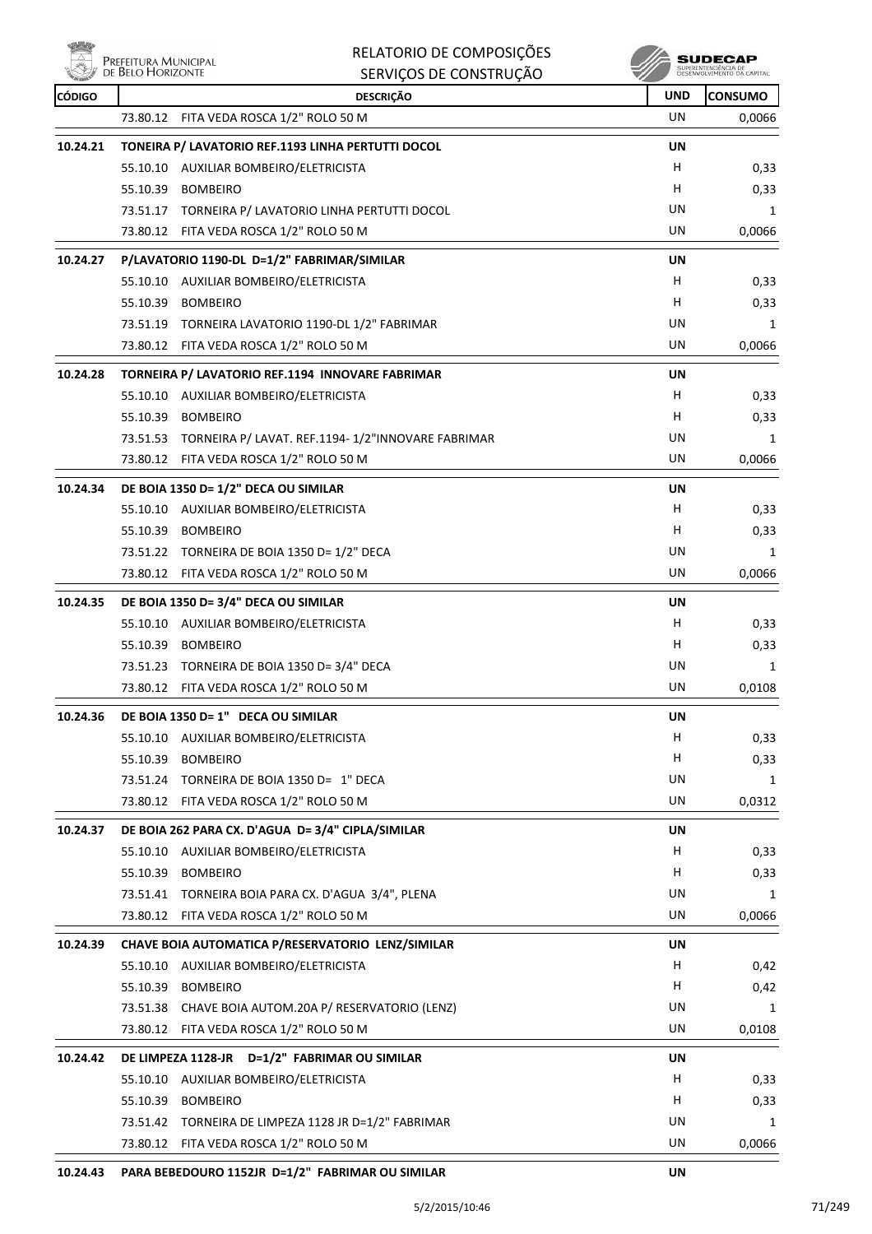**PREFEITURA MUNICIPA** 

|               |                                           | RELATORIO DE COMPOSIÇÕES                                   |            | <b>SUDECAP</b>             |
|---------------|-------------------------------------------|------------------------------------------------------------|------------|----------------------------|
|               | Prefeitura Municipal<br>de Belo Horizonte | SERVIÇOS DE CONSTRUÇÃO                                     |            | DESENVOLVIMENTO OA CAPITAL |
| <b>CÓDIGO</b> |                                           | <b>DESCRIÇÃO</b>                                           | <b>UND</b> | <b>CONSUMO</b>             |
|               | 73.80.12                                  | FITA VEDA ROSCA 1/2" ROLO 50 M                             | UN         | 0,0066                     |
| 10.24.21      |                                           | TONEIRA P/ LAVATORIO REF.1193 LINHA PERTUTTI DOCOL         | UN         |                            |
|               |                                           | 55.10.10 AUXILIAR BOMBEIRO/ELETRICISTA                     | H          | 0,33                       |
|               | 55.10.39                                  | <b>BOMBEIRO</b>                                            | н          | 0,33                       |
|               |                                           | 73.51.17 TORNEIRA P/ LAVATORIO LINHA PERTUTTI DOCOL        | UN         | 1                          |
|               |                                           | 73.80.12 FITA VEDA ROSCA 1/2" ROLO 50 M                    | UN         | 0,0066                     |
| 10.24.27      |                                           | P/LAVATORIO 1190-DL D=1/2" FABRIMAR/SIMILAR                | UN         |                            |
|               |                                           | 55.10.10 AUXILIAR BOMBEIRO/ELETRICISTA                     | н          | 0,33                       |
|               | 55.10.39                                  | <b>BOMBEIRO</b>                                            | н          | 0,33                       |
|               |                                           | 73.51.19 TORNEIRA LAVATORIO 1190-DL 1/2" FABRIMAR          | UN         | 1                          |
|               |                                           | 73.80.12 FITA VEDA ROSCA 1/2" ROLO 50 M                    | UN         | 0,0066                     |
| 10.24.28      |                                           | TORNEIRA P/ LAVATORIO REF.1194 INNOVARE FABRIMAR           | UN         |                            |
|               |                                           | 55.10.10 AUXILIAR BOMBEIRO/ELETRICISTA                     | н          | 0,33                       |
|               | 55.10.39                                  | <b>BOMBEIRO</b>                                            | н          | 0,33                       |
|               |                                           | 73.51.53 TORNEIRA P/ LAVAT. REF.1194-1/2"INNOVARE FABRIMAR | UN         | 1                          |
|               | 73.80.12                                  | FITA VEDA ROSCA 1/2" ROLO 50 M                             | UN         | 0,0066                     |
| 10.24.34      |                                           | DE BOIA 1350 D= 1/2" DECA OU SIMILAR                       | <b>UN</b>  |                            |
|               |                                           | 55.10.10 AUXILIAR BOMBEIRO/ELETRICISTA                     | н          | 0,33                       |
|               | 55.10.39                                  | <b>BOMBEIRO</b>                                            | н          | 0,33                       |
|               |                                           | 73.51.22 TORNEIRA DE BOIA 1350 D= 1/2" DECA                | UN         | 1                          |
|               |                                           | 73.80.12 FITA VEDA ROSCA 1/2" ROLO 50 M                    | UN         | 0,0066                     |
| 10.24.35      |                                           | DE BOIA 1350 D= 3/4" DECA OU SIMILAR                       | <b>UN</b>  |                            |
|               |                                           | 55.10.10 AUXILIAR BOMBEIRO/ELETRICISTA                     | н          | 0,33                       |
|               | 55.10.39 BOMBEIRO                         |                                                            | н          | 0,33                       |
|               |                                           | 73.51.23 TORNEIRA DE BOIA 1350 D= 3/4" DECA                | UN         | 1                          |
|               |                                           | 73.80.12 FITA VEDA ROSCA 1/2" ROLO 50 M                    | UN         | 0,0108                     |
| 10.24.36      |                                           | DE BOIA 1350 D= 1" DECA OU SIMILAR                         | UN         |                            |
|               |                                           | 55.10.10 AUXILIAR BOMBEIRO/ELETRICISTA                     | H          | 0,33                       |
|               | 55.10.39 BOMBEIRO                         |                                                            | H          | 0,33                       |
|               |                                           | 73.51.24 TORNEIRA DE BOIA 1350 D= 1" DECA                  | UN         | 1                          |
|               |                                           | 73.80.12 FITA VEDA ROSCA 1/2" ROLO 50 M                    | UN         | 0,0312                     |
| 10.24.37      |                                           | DE BOIA 262 PARA CX. D'AGUA D= 3/4" CIPLA/SIMILAR          | UN         |                            |
|               |                                           | 55.10.10 AUXILIAR BOMBEIRO/ELETRICISTA                     | H          | 0,33                       |
|               | 55.10.39 BOMBEIRO                         |                                                            | H          | 0,33                       |
|               |                                           | 73.51.41 TORNEIRA BOIA PARA CX. D'AGUA 3/4", PLENA         | UN         | 1                          |
|               |                                           | 73.80.12 FITA VEDA ROSCA 1/2" ROLO 50 M                    | UN         | 0,0066                     |
| 10.24.39      |                                           | CHAVE BOIA AUTOMATICA P/RESERVATORIO LENZ/SIMILAR          | UN         |                            |
|               |                                           | 55.10.10 AUXILIAR BOMBEIRO/ELETRICISTA                     | H          | 0,42                       |
|               | 55.10.39 BOMBEIRO                         |                                                            | H          | 0,42                       |
|               |                                           | 73.51.38 CHAVE BOIA AUTOM.20A P/ RESERVATORIO (LENZ)       | UN         | 1                          |
|               |                                           | 73.80.12 FITA VEDA ROSCA 1/2" ROLO 50 M                    | UN         | 0,0108                     |
| 10.24.42      |                                           | DE LIMPEZA 1128-JR  D=1/2" FABRIMAR OU SIMILAR             | UN         |                            |
|               |                                           | 55.10.10 AUXILIAR BOMBEIRO/ELETRICISTA                     | H          | 0,33                       |
|               | 55.10.39 BOMBEIRO                         |                                                            | H          | 0,33                       |
|               |                                           | 73.51.42 TORNEIRA DE LIMPEZA 1128 JR D=1/2" FABRIMAR       | UN         | 1                          |
|               |                                           | 73.80.12 FITA VEDA ROSCA 1/2" ROLO 50 M                    | UN         | 0,0066                     |
| 10.24.43      |                                           | PARA BEBEDOURO 1152JR D=1/2" FABRIMAR OU SIMILAR           | UN         |                            |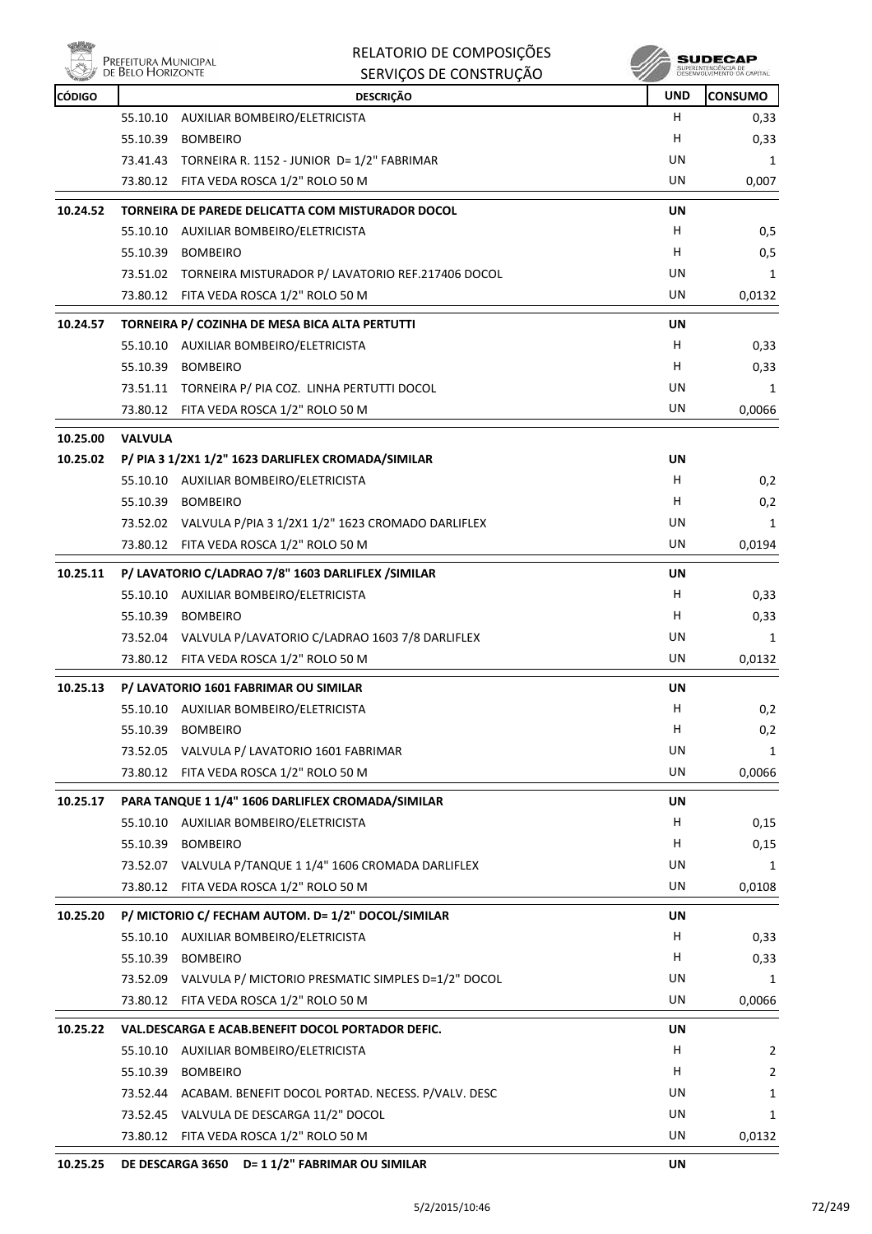

| <b>UND</b><br><b>CONSUMO</b><br><b>DESCRIÇÃO</b><br>CÓDIGO<br>AUXILIAR BOMBEIRO/ELETRICISTA<br>H<br>0,33<br>55.10.10<br><b>BOMBEIRO</b><br>н<br>55.10.39<br>0,33<br>UN<br>73.41.43 TORNEIRA R. 1152 - JUNIOR D= 1/2" FABRIMAR<br>1<br>73.80.12 FITA VEDA ROSCA 1/2" ROLO 50 M<br>UN<br>0,007<br>10.24.52<br>TORNEIRA DE PAREDE DELICATTA COM MISTURADOR DOCOL<br>UN<br>H.<br>AUXILIAR BOMBEIRO/ELETRICISTA<br>0,5<br>55.10.10<br>55.10.39<br><b>BOMBEIRO</b><br>H<br>0,5<br>UN<br>73.51.02 TORNEIRA MISTURADOR P/ LAVATORIO REF.217406 DOCOL<br>1<br>73.80.12 FITA VEDA ROSCA 1/2" ROLO 50 M<br>UN<br>0,0132<br>10.24.57<br>TORNEIRA P/ COZINHA DE MESA BICA ALTA PERTUTTI<br>UN<br>H<br>55.10.10 AUXILIAR BOMBEIRO/ELETRICISTA<br>0,33<br>H<br>55.10.39<br><b>BOMBEIRO</b><br>0,33<br>UN<br>73.51.11 TORNEIRA P/ PIA COZ. LINHA PERTUTTI DOCOL<br>$\mathbf{1}$<br>73.80.12 FITA VEDA ROSCA 1/2" ROLO 50 M<br>UN<br>0,0066<br>10.25.00<br><b>VALVULA</b><br>P/ PIA 3 1/2X1 1/2" 1623 DARLIFLEX CROMADA/SIMILAR<br>10.25.02<br>UN<br>55.10.10 AUXILIAR BOMBEIRO/ELETRICISTA<br>H.<br>0,2<br>H.<br>55.10.39 BOMBEIRO<br>0,2<br>UN<br>73.52.02 VALVULA P/PIA 3 1/2X1 1/2" 1623 CROMADO DARLIFLEX<br>1<br>73.80.12 FITA VEDA ROSCA 1/2" ROLO 50 M<br>UN<br>0,0194<br>P/ LAVATORIO C/LADRAO 7/8" 1603 DARLIFLEX /SIMILAR<br>10.25.11<br>UN<br>H<br>AUXILIAR BOMBEIRO/ELETRICISTA<br>0,33<br>55.10.10<br>H<br>55.10.39 BOMBEIRO<br>0,33<br>UN<br>73.52.04 VALVULA P/LAVATORIO C/LADRAO 1603 7/8 DARLIFLEX<br>1<br>UN<br>73.80.12 FITA VEDA ROSCA 1/2" ROLO 50 M<br>0,0132<br>10.25.13<br>P/ LAVATORIO 1601 FABRIMAR OU SIMILAR<br>UN<br>55.10.10<br>AUXILIAR BOMBEIRO/ELETRICISTA<br>0,2<br>Н,<br>H<br>55.10.39<br><b>BOMBEIRO</b><br>0,2<br>UN<br>73.52.05 VALVULA P/ LAVATORIO 1601 FABRIMAR<br>1<br>UN<br>73.80.12 FITA VEDA ROSCA 1/2" ROLO 50 M<br>0,0066<br>PARA TANQUE 1 1/4" 1606 DARLIFLEX CROMADA/SIMILAR<br>10.25.17<br>UN<br>55.10.10 AUXILIAR BOMBEIRO/ELETRICISTA<br>H<br>0,15<br>H<br>55.10.39 BOMBEIRO<br>0,15<br>73.52.07 VALVULA P/TANQUE 1 1/4" 1606 CROMADA DARLIFLEX<br>UN<br>1<br>73.80.12 FITA VEDA ROSCA 1/2" ROLO 50 M<br>UN<br>0,0108<br>P/ MICTORIO C/ FECHAM AUTOM. D= 1/2" DOCOL/SIMILAR<br><b>UN</b><br>10.25.20<br>55.10.10 AUXILIAR BOMBEIRO/ELETRICISTA<br>H<br>0,33<br>H<br>55.10.39 BOMBEIRO<br>0,33<br>UN<br>73.52.09 VALVULA P/ MICTORIO PRESMATIC SIMPLES D=1/2" DOCOL<br>1<br>73.80.12 FITA VEDA ROSCA 1/2" ROLO 50 M<br>UN<br>0,0066<br>VAL. DESCARGA E ACAB. BENEFIT DOCOL PORTADOR DEFIC.<br>UN<br>10.25.22<br>H<br>55.10.10 AUXILIAR BOMBEIRO/ELETRICISTA<br>2<br>H<br>55.10.39 BOMBEIRO<br>2<br>UN<br>73.52.44 ACABAM. BENEFIT DOCOL PORTAD. NECESS. P/VALV. DESC<br>1<br>73.52.45 VALVULA DE DESCARGA 11/2" DOCOL<br>UN<br>1<br>73.80.12 FITA VEDA ROSCA 1/2" ROLO 50 M<br>UN<br>0,0132 | $\wedge$ | Prefeitura Municipal<br>de Belo Horizonte | RELATORIO DE COMPOSIÇÕES<br>SERVIÇOS DE CONSTRUÇÃO | SUDECAP<br>SUPERINTENDÊNCIA DE<br>DESENVOLVIMENTO DA CAPITAL |  |
|--------------------------------------------------------------------------------------------------------------------------------------------------------------------------------------------------------------------------------------------------------------------------------------------------------------------------------------------------------------------------------------------------------------------------------------------------------------------------------------------------------------------------------------------------------------------------------------------------------------------------------------------------------------------------------------------------------------------------------------------------------------------------------------------------------------------------------------------------------------------------------------------------------------------------------------------------------------------------------------------------------------------------------------------------------------------------------------------------------------------------------------------------------------------------------------------------------------------------------------------------------------------------------------------------------------------------------------------------------------------------------------------------------------------------------------------------------------------------------------------------------------------------------------------------------------------------------------------------------------------------------------------------------------------------------------------------------------------------------------------------------------------------------------------------------------------------------------------------------------------------------------------------------------------------------------------------------------------------------------------------------------------------------------------------------------------------------------------------------------------------------------------------------------------------------------------------------------------------------------------------------------------------------------------------------------------------------------------------------------------------------------------------------------------------------------------------------------------------------------------------------------------------------------------------------------------------------------------------------------------------------------------------------------------------------------------------------------------------------------------------------------------------------------------------------------------------------|----------|-------------------------------------------|----------------------------------------------------|--------------------------------------------------------------|--|
|                                                                                                                                                                                                                                                                                                                                                                                                                                                                                                                                                                                                                                                                                                                                                                                                                                                                                                                                                                                                                                                                                                                                                                                                                                                                                                                                                                                                                                                                                                                                                                                                                                                                                                                                                                                                                                                                                                                                                                                                                                                                                                                                                                                                                                                                                                                                                                                                                                                                                                                                                                                                                                                                                                                                                                                                                                |          |                                           |                                                    |                                                              |  |
|                                                                                                                                                                                                                                                                                                                                                                                                                                                                                                                                                                                                                                                                                                                                                                                                                                                                                                                                                                                                                                                                                                                                                                                                                                                                                                                                                                                                                                                                                                                                                                                                                                                                                                                                                                                                                                                                                                                                                                                                                                                                                                                                                                                                                                                                                                                                                                                                                                                                                                                                                                                                                                                                                                                                                                                                                                |          |                                           |                                                    |                                                              |  |
|                                                                                                                                                                                                                                                                                                                                                                                                                                                                                                                                                                                                                                                                                                                                                                                                                                                                                                                                                                                                                                                                                                                                                                                                                                                                                                                                                                                                                                                                                                                                                                                                                                                                                                                                                                                                                                                                                                                                                                                                                                                                                                                                                                                                                                                                                                                                                                                                                                                                                                                                                                                                                                                                                                                                                                                                                                |          |                                           |                                                    |                                                              |  |
|                                                                                                                                                                                                                                                                                                                                                                                                                                                                                                                                                                                                                                                                                                                                                                                                                                                                                                                                                                                                                                                                                                                                                                                                                                                                                                                                                                                                                                                                                                                                                                                                                                                                                                                                                                                                                                                                                                                                                                                                                                                                                                                                                                                                                                                                                                                                                                                                                                                                                                                                                                                                                                                                                                                                                                                                                                |          |                                           |                                                    |                                                              |  |
|                                                                                                                                                                                                                                                                                                                                                                                                                                                                                                                                                                                                                                                                                                                                                                                                                                                                                                                                                                                                                                                                                                                                                                                                                                                                                                                                                                                                                                                                                                                                                                                                                                                                                                                                                                                                                                                                                                                                                                                                                                                                                                                                                                                                                                                                                                                                                                                                                                                                                                                                                                                                                                                                                                                                                                                                                                |          |                                           |                                                    |                                                              |  |
|                                                                                                                                                                                                                                                                                                                                                                                                                                                                                                                                                                                                                                                                                                                                                                                                                                                                                                                                                                                                                                                                                                                                                                                                                                                                                                                                                                                                                                                                                                                                                                                                                                                                                                                                                                                                                                                                                                                                                                                                                                                                                                                                                                                                                                                                                                                                                                                                                                                                                                                                                                                                                                                                                                                                                                                                                                |          |                                           |                                                    |                                                              |  |
|                                                                                                                                                                                                                                                                                                                                                                                                                                                                                                                                                                                                                                                                                                                                                                                                                                                                                                                                                                                                                                                                                                                                                                                                                                                                                                                                                                                                                                                                                                                                                                                                                                                                                                                                                                                                                                                                                                                                                                                                                                                                                                                                                                                                                                                                                                                                                                                                                                                                                                                                                                                                                                                                                                                                                                                                                                |          |                                           |                                                    |                                                              |  |
|                                                                                                                                                                                                                                                                                                                                                                                                                                                                                                                                                                                                                                                                                                                                                                                                                                                                                                                                                                                                                                                                                                                                                                                                                                                                                                                                                                                                                                                                                                                                                                                                                                                                                                                                                                                                                                                                                                                                                                                                                                                                                                                                                                                                                                                                                                                                                                                                                                                                                                                                                                                                                                                                                                                                                                                                                                |          |                                           |                                                    |                                                              |  |
|                                                                                                                                                                                                                                                                                                                                                                                                                                                                                                                                                                                                                                                                                                                                                                                                                                                                                                                                                                                                                                                                                                                                                                                                                                                                                                                                                                                                                                                                                                                                                                                                                                                                                                                                                                                                                                                                                                                                                                                                                                                                                                                                                                                                                                                                                                                                                                                                                                                                                                                                                                                                                                                                                                                                                                                                                                |          |                                           |                                                    |                                                              |  |
|                                                                                                                                                                                                                                                                                                                                                                                                                                                                                                                                                                                                                                                                                                                                                                                                                                                                                                                                                                                                                                                                                                                                                                                                                                                                                                                                                                                                                                                                                                                                                                                                                                                                                                                                                                                                                                                                                                                                                                                                                                                                                                                                                                                                                                                                                                                                                                                                                                                                                                                                                                                                                                                                                                                                                                                                                                |          |                                           |                                                    |                                                              |  |
|                                                                                                                                                                                                                                                                                                                                                                                                                                                                                                                                                                                                                                                                                                                                                                                                                                                                                                                                                                                                                                                                                                                                                                                                                                                                                                                                                                                                                                                                                                                                                                                                                                                                                                                                                                                                                                                                                                                                                                                                                                                                                                                                                                                                                                                                                                                                                                                                                                                                                                                                                                                                                                                                                                                                                                                                                                |          |                                           |                                                    |                                                              |  |
|                                                                                                                                                                                                                                                                                                                                                                                                                                                                                                                                                                                                                                                                                                                                                                                                                                                                                                                                                                                                                                                                                                                                                                                                                                                                                                                                                                                                                                                                                                                                                                                                                                                                                                                                                                                                                                                                                                                                                                                                                                                                                                                                                                                                                                                                                                                                                                                                                                                                                                                                                                                                                                                                                                                                                                                                                                |          |                                           |                                                    |                                                              |  |
|                                                                                                                                                                                                                                                                                                                                                                                                                                                                                                                                                                                                                                                                                                                                                                                                                                                                                                                                                                                                                                                                                                                                                                                                                                                                                                                                                                                                                                                                                                                                                                                                                                                                                                                                                                                                                                                                                                                                                                                                                                                                                                                                                                                                                                                                                                                                                                                                                                                                                                                                                                                                                                                                                                                                                                                                                                |          |                                           |                                                    |                                                              |  |
|                                                                                                                                                                                                                                                                                                                                                                                                                                                                                                                                                                                                                                                                                                                                                                                                                                                                                                                                                                                                                                                                                                                                                                                                                                                                                                                                                                                                                                                                                                                                                                                                                                                                                                                                                                                                                                                                                                                                                                                                                                                                                                                                                                                                                                                                                                                                                                                                                                                                                                                                                                                                                                                                                                                                                                                                                                |          |                                           |                                                    |                                                              |  |
|                                                                                                                                                                                                                                                                                                                                                                                                                                                                                                                                                                                                                                                                                                                                                                                                                                                                                                                                                                                                                                                                                                                                                                                                                                                                                                                                                                                                                                                                                                                                                                                                                                                                                                                                                                                                                                                                                                                                                                                                                                                                                                                                                                                                                                                                                                                                                                                                                                                                                                                                                                                                                                                                                                                                                                                                                                |          |                                           |                                                    |                                                              |  |
|                                                                                                                                                                                                                                                                                                                                                                                                                                                                                                                                                                                                                                                                                                                                                                                                                                                                                                                                                                                                                                                                                                                                                                                                                                                                                                                                                                                                                                                                                                                                                                                                                                                                                                                                                                                                                                                                                                                                                                                                                                                                                                                                                                                                                                                                                                                                                                                                                                                                                                                                                                                                                                                                                                                                                                                                                                |          |                                           |                                                    |                                                              |  |
|                                                                                                                                                                                                                                                                                                                                                                                                                                                                                                                                                                                                                                                                                                                                                                                                                                                                                                                                                                                                                                                                                                                                                                                                                                                                                                                                                                                                                                                                                                                                                                                                                                                                                                                                                                                                                                                                                                                                                                                                                                                                                                                                                                                                                                                                                                                                                                                                                                                                                                                                                                                                                                                                                                                                                                                                                                |          |                                           |                                                    |                                                              |  |
|                                                                                                                                                                                                                                                                                                                                                                                                                                                                                                                                                                                                                                                                                                                                                                                                                                                                                                                                                                                                                                                                                                                                                                                                                                                                                                                                                                                                                                                                                                                                                                                                                                                                                                                                                                                                                                                                                                                                                                                                                                                                                                                                                                                                                                                                                                                                                                                                                                                                                                                                                                                                                                                                                                                                                                                                                                |          |                                           |                                                    |                                                              |  |
|                                                                                                                                                                                                                                                                                                                                                                                                                                                                                                                                                                                                                                                                                                                                                                                                                                                                                                                                                                                                                                                                                                                                                                                                                                                                                                                                                                                                                                                                                                                                                                                                                                                                                                                                                                                                                                                                                                                                                                                                                                                                                                                                                                                                                                                                                                                                                                                                                                                                                                                                                                                                                                                                                                                                                                                                                                |          |                                           |                                                    |                                                              |  |
|                                                                                                                                                                                                                                                                                                                                                                                                                                                                                                                                                                                                                                                                                                                                                                                                                                                                                                                                                                                                                                                                                                                                                                                                                                                                                                                                                                                                                                                                                                                                                                                                                                                                                                                                                                                                                                                                                                                                                                                                                                                                                                                                                                                                                                                                                                                                                                                                                                                                                                                                                                                                                                                                                                                                                                                                                                |          |                                           |                                                    |                                                              |  |
|                                                                                                                                                                                                                                                                                                                                                                                                                                                                                                                                                                                                                                                                                                                                                                                                                                                                                                                                                                                                                                                                                                                                                                                                                                                                                                                                                                                                                                                                                                                                                                                                                                                                                                                                                                                                                                                                                                                                                                                                                                                                                                                                                                                                                                                                                                                                                                                                                                                                                                                                                                                                                                                                                                                                                                                                                                |          |                                           |                                                    |                                                              |  |
|                                                                                                                                                                                                                                                                                                                                                                                                                                                                                                                                                                                                                                                                                                                                                                                                                                                                                                                                                                                                                                                                                                                                                                                                                                                                                                                                                                                                                                                                                                                                                                                                                                                                                                                                                                                                                                                                                                                                                                                                                                                                                                                                                                                                                                                                                                                                                                                                                                                                                                                                                                                                                                                                                                                                                                                                                                |          |                                           |                                                    |                                                              |  |
|                                                                                                                                                                                                                                                                                                                                                                                                                                                                                                                                                                                                                                                                                                                                                                                                                                                                                                                                                                                                                                                                                                                                                                                                                                                                                                                                                                                                                                                                                                                                                                                                                                                                                                                                                                                                                                                                                                                                                                                                                                                                                                                                                                                                                                                                                                                                                                                                                                                                                                                                                                                                                                                                                                                                                                                                                                |          |                                           |                                                    |                                                              |  |
|                                                                                                                                                                                                                                                                                                                                                                                                                                                                                                                                                                                                                                                                                                                                                                                                                                                                                                                                                                                                                                                                                                                                                                                                                                                                                                                                                                                                                                                                                                                                                                                                                                                                                                                                                                                                                                                                                                                                                                                                                                                                                                                                                                                                                                                                                                                                                                                                                                                                                                                                                                                                                                                                                                                                                                                                                                |          |                                           |                                                    |                                                              |  |
|                                                                                                                                                                                                                                                                                                                                                                                                                                                                                                                                                                                                                                                                                                                                                                                                                                                                                                                                                                                                                                                                                                                                                                                                                                                                                                                                                                                                                                                                                                                                                                                                                                                                                                                                                                                                                                                                                                                                                                                                                                                                                                                                                                                                                                                                                                                                                                                                                                                                                                                                                                                                                                                                                                                                                                                                                                |          |                                           |                                                    |                                                              |  |
|                                                                                                                                                                                                                                                                                                                                                                                                                                                                                                                                                                                                                                                                                                                                                                                                                                                                                                                                                                                                                                                                                                                                                                                                                                                                                                                                                                                                                                                                                                                                                                                                                                                                                                                                                                                                                                                                                                                                                                                                                                                                                                                                                                                                                                                                                                                                                                                                                                                                                                                                                                                                                                                                                                                                                                                                                                |          |                                           |                                                    |                                                              |  |
|                                                                                                                                                                                                                                                                                                                                                                                                                                                                                                                                                                                                                                                                                                                                                                                                                                                                                                                                                                                                                                                                                                                                                                                                                                                                                                                                                                                                                                                                                                                                                                                                                                                                                                                                                                                                                                                                                                                                                                                                                                                                                                                                                                                                                                                                                                                                                                                                                                                                                                                                                                                                                                                                                                                                                                                                                                |          |                                           |                                                    |                                                              |  |
|                                                                                                                                                                                                                                                                                                                                                                                                                                                                                                                                                                                                                                                                                                                                                                                                                                                                                                                                                                                                                                                                                                                                                                                                                                                                                                                                                                                                                                                                                                                                                                                                                                                                                                                                                                                                                                                                                                                                                                                                                                                                                                                                                                                                                                                                                                                                                                                                                                                                                                                                                                                                                                                                                                                                                                                                                                |          |                                           |                                                    |                                                              |  |
|                                                                                                                                                                                                                                                                                                                                                                                                                                                                                                                                                                                                                                                                                                                                                                                                                                                                                                                                                                                                                                                                                                                                                                                                                                                                                                                                                                                                                                                                                                                                                                                                                                                                                                                                                                                                                                                                                                                                                                                                                                                                                                                                                                                                                                                                                                                                                                                                                                                                                                                                                                                                                                                                                                                                                                                                                                |          |                                           |                                                    |                                                              |  |
|                                                                                                                                                                                                                                                                                                                                                                                                                                                                                                                                                                                                                                                                                                                                                                                                                                                                                                                                                                                                                                                                                                                                                                                                                                                                                                                                                                                                                                                                                                                                                                                                                                                                                                                                                                                                                                                                                                                                                                                                                                                                                                                                                                                                                                                                                                                                                                                                                                                                                                                                                                                                                                                                                                                                                                                                                                |          |                                           |                                                    |                                                              |  |
|                                                                                                                                                                                                                                                                                                                                                                                                                                                                                                                                                                                                                                                                                                                                                                                                                                                                                                                                                                                                                                                                                                                                                                                                                                                                                                                                                                                                                                                                                                                                                                                                                                                                                                                                                                                                                                                                                                                                                                                                                                                                                                                                                                                                                                                                                                                                                                                                                                                                                                                                                                                                                                                                                                                                                                                                                                |          |                                           |                                                    |                                                              |  |
|                                                                                                                                                                                                                                                                                                                                                                                                                                                                                                                                                                                                                                                                                                                                                                                                                                                                                                                                                                                                                                                                                                                                                                                                                                                                                                                                                                                                                                                                                                                                                                                                                                                                                                                                                                                                                                                                                                                                                                                                                                                                                                                                                                                                                                                                                                                                                                                                                                                                                                                                                                                                                                                                                                                                                                                                                                |          |                                           |                                                    |                                                              |  |
|                                                                                                                                                                                                                                                                                                                                                                                                                                                                                                                                                                                                                                                                                                                                                                                                                                                                                                                                                                                                                                                                                                                                                                                                                                                                                                                                                                                                                                                                                                                                                                                                                                                                                                                                                                                                                                                                                                                                                                                                                                                                                                                                                                                                                                                                                                                                                                                                                                                                                                                                                                                                                                                                                                                                                                                                                                |          |                                           |                                                    |                                                              |  |
|                                                                                                                                                                                                                                                                                                                                                                                                                                                                                                                                                                                                                                                                                                                                                                                                                                                                                                                                                                                                                                                                                                                                                                                                                                                                                                                                                                                                                                                                                                                                                                                                                                                                                                                                                                                                                                                                                                                                                                                                                                                                                                                                                                                                                                                                                                                                                                                                                                                                                                                                                                                                                                                                                                                                                                                                                                |          |                                           |                                                    |                                                              |  |
|                                                                                                                                                                                                                                                                                                                                                                                                                                                                                                                                                                                                                                                                                                                                                                                                                                                                                                                                                                                                                                                                                                                                                                                                                                                                                                                                                                                                                                                                                                                                                                                                                                                                                                                                                                                                                                                                                                                                                                                                                                                                                                                                                                                                                                                                                                                                                                                                                                                                                                                                                                                                                                                                                                                                                                                                                                |          |                                           |                                                    |                                                              |  |
|                                                                                                                                                                                                                                                                                                                                                                                                                                                                                                                                                                                                                                                                                                                                                                                                                                                                                                                                                                                                                                                                                                                                                                                                                                                                                                                                                                                                                                                                                                                                                                                                                                                                                                                                                                                                                                                                                                                                                                                                                                                                                                                                                                                                                                                                                                                                                                                                                                                                                                                                                                                                                                                                                                                                                                                                                                |          |                                           |                                                    |                                                              |  |
|                                                                                                                                                                                                                                                                                                                                                                                                                                                                                                                                                                                                                                                                                                                                                                                                                                                                                                                                                                                                                                                                                                                                                                                                                                                                                                                                                                                                                                                                                                                                                                                                                                                                                                                                                                                                                                                                                                                                                                                                                                                                                                                                                                                                                                                                                                                                                                                                                                                                                                                                                                                                                                                                                                                                                                                                                                |          |                                           |                                                    |                                                              |  |
|                                                                                                                                                                                                                                                                                                                                                                                                                                                                                                                                                                                                                                                                                                                                                                                                                                                                                                                                                                                                                                                                                                                                                                                                                                                                                                                                                                                                                                                                                                                                                                                                                                                                                                                                                                                                                                                                                                                                                                                                                                                                                                                                                                                                                                                                                                                                                                                                                                                                                                                                                                                                                                                                                                                                                                                                                                |          |                                           |                                                    |                                                              |  |
|                                                                                                                                                                                                                                                                                                                                                                                                                                                                                                                                                                                                                                                                                                                                                                                                                                                                                                                                                                                                                                                                                                                                                                                                                                                                                                                                                                                                                                                                                                                                                                                                                                                                                                                                                                                                                                                                                                                                                                                                                                                                                                                                                                                                                                                                                                                                                                                                                                                                                                                                                                                                                                                                                                                                                                                                                                |          |                                           |                                                    |                                                              |  |
|                                                                                                                                                                                                                                                                                                                                                                                                                                                                                                                                                                                                                                                                                                                                                                                                                                                                                                                                                                                                                                                                                                                                                                                                                                                                                                                                                                                                                                                                                                                                                                                                                                                                                                                                                                                                                                                                                                                                                                                                                                                                                                                                                                                                                                                                                                                                                                                                                                                                                                                                                                                                                                                                                                                                                                                                                                |          |                                           |                                                    |                                                              |  |
|                                                                                                                                                                                                                                                                                                                                                                                                                                                                                                                                                                                                                                                                                                                                                                                                                                                                                                                                                                                                                                                                                                                                                                                                                                                                                                                                                                                                                                                                                                                                                                                                                                                                                                                                                                                                                                                                                                                                                                                                                                                                                                                                                                                                                                                                                                                                                                                                                                                                                                                                                                                                                                                                                                                                                                                                                                |          |                                           |                                                    |                                                              |  |
|                                                                                                                                                                                                                                                                                                                                                                                                                                                                                                                                                                                                                                                                                                                                                                                                                                                                                                                                                                                                                                                                                                                                                                                                                                                                                                                                                                                                                                                                                                                                                                                                                                                                                                                                                                                                                                                                                                                                                                                                                                                                                                                                                                                                                                                                                                                                                                                                                                                                                                                                                                                                                                                                                                                                                                                                                                |          |                                           |                                                    |                                                              |  |
|                                                                                                                                                                                                                                                                                                                                                                                                                                                                                                                                                                                                                                                                                                                                                                                                                                                                                                                                                                                                                                                                                                                                                                                                                                                                                                                                                                                                                                                                                                                                                                                                                                                                                                                                                                                                                                                                                                                                                                                                                                                                                                                                                                                                                                                                                                                                                                                                                                                                                                                                                                                                                                                                                                                                                                                                                                |          |                                           |                                                    |                                                              |  |
|                                                                                                                                                                                                                                                                                                                                                                                                                                                                                                                                                                                                                                                                                                                                                                                                                                                                                                                                                                                                                                                                                                                                                                                                                                                                                                                                                                                                                                                                                                                                                                                                                                                                                                                                                                                                                                                                                                                                                                                                                                                                                                                                                                                                                                                                                                                                                                                                                                                                                                                                                                                                                                                                                                                                                                                                                                |          |                                           |                                                    |                                                              |  |
|                                                                                                                                                                                                                                                                                                                                                                                                                                                                                                                                                                                                                                                                                                                                                                                                                                                                                                                                                                                                                                                                                                                                                                                                                                                                                                                                                                                                                                                                                                                                                                                                                                                                                                                                                                                                                                                                                                                                                                                                                                                                                                                                                                                                                                                                                                                                                                                                                                                                                                                                                                                                                                                                                                                                                                                                                                |          |                                           |                                                    |                                                              |  |
|                                                                                                                                                                                                                                                                                                                                                                                                                                                                                                                                                                                                                                                                                                                                                                                                                                                                                                                                                                                                                                                                                                                                                                                                                                                                                                                                                                                                                                                                                                                                                                                                                                                                                                                                                                                                                                                                                                                                                                                                                                                                                                                                                                                                                                                                                                                                                                                                                                                                                                                                                                                                                                                                                                                                                                                                                                |          |                                           |                                                    |                                                              |  |
|                                                                                                                                                                                                                                                                                                                                                                                                                                                                                                                                                                                                                                                                                                                                                                                                                                                                                                                                                                                                                                                                                                                                                                                                                                                                                                                                                                                                                                                                                                                                                                                                                                                                                                                                                                                                                                                                                                                                                                                                                                                                                                                                                                                                                                                                                                                                                                                                                                                                                                                                                                                                                                                                                                                                                                                                                                |          |                                           |                                                    |                                                              |  |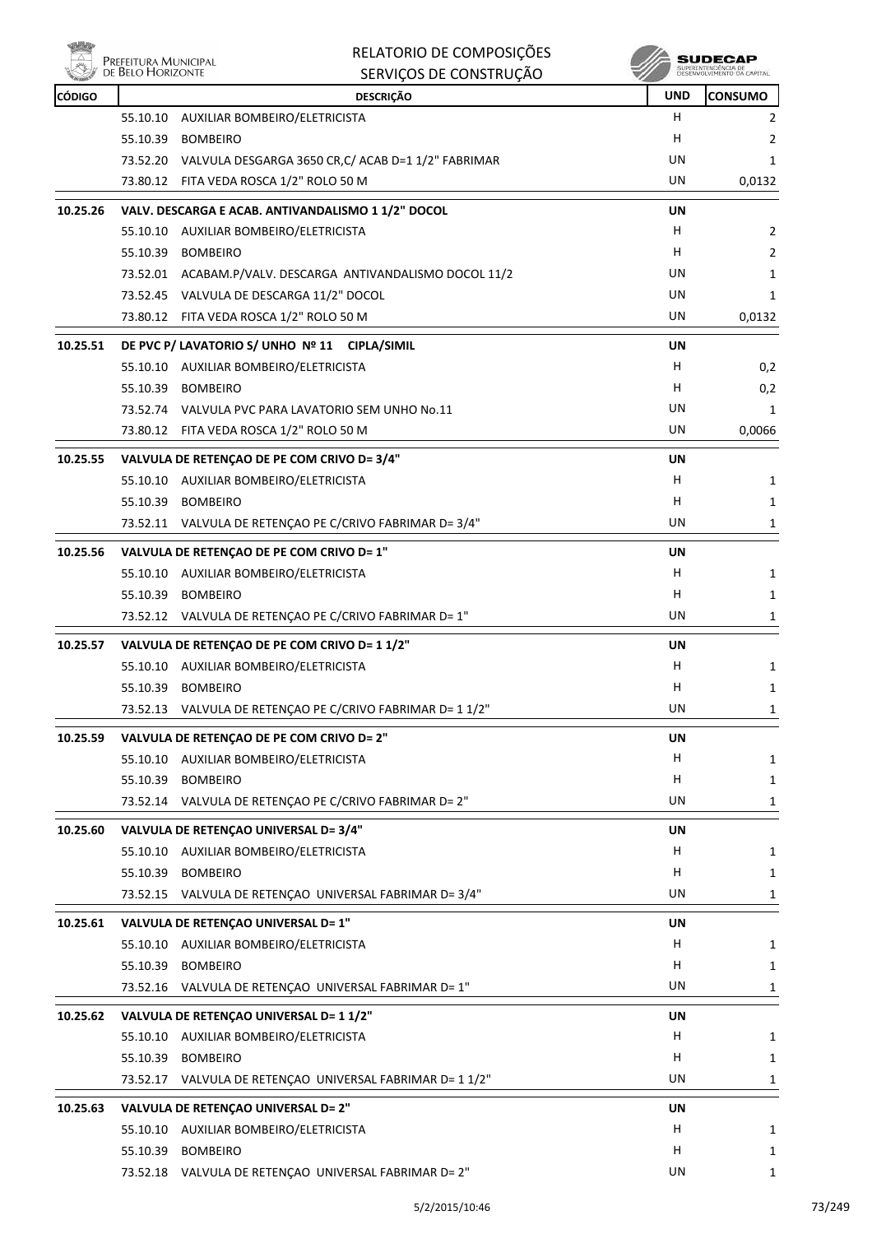

| <b>Company</b><br><b>CÓDIGO</b> |          | טהעטוווטווטט טבעעווווט<br><b>DESCRIÇÃO</b>                                          | - 3<br><b>UND</b> | <b>CONSUMO</b> |
|---------------------------------|----------|-------------------------------------------------------------------------------------|-------------------|----------------|
|                                 | 55.10.10 | AUXILIAR BOMBEIRO/ELETRICISTA                                                       | H                 | 2              |
|                                 | 55.10.39 | <b>BOMBEIRO</b>                                                                     | н                 | 2              |
|                                 |          | 73.52.20 VALVULA DESGARGA 3650 CR, C/ ACAB D=1 1/2" FABRIMAR                        | UN                | 1              |
|                                 |          | 73.80.12 FITA VEDA ROSCA 1/2" ROLO 50 M                                             | UN                | 0,0132         |
| 10.25.26                        |          | VALV. DESCARGA E ACAB. ANTIVANDALISMO 1 1/2" DOCOL                                  | UN                |                |
|                                 |          | 55.10.10 AUXILIAR BOMBEIRO/ELETRICISTA                                              | H.                | 2              |
|                                 |          | 55.10.39 BOMBEIRO                                                                   | н                 | $\overline{2}$ |
|                                 |          | 73.52.01 ACABAM.P/VALV. DESCARGA ANTIVANDALISMO DOCOL 11/2                          | UN                | 1              |
|                                 |          | 73.52.45 VALVULA DE DESCARGA 11/2" DOCOL                                            | UN                | 1              |
|                                 |          | 73.80.12 FITA VEDA ROSCA 1/2" ROLO 50 M                                             | UN                | 0,0132         |
| 10.25.51                        |          | DE PVC P/ LAVATORIO S/ UNHO Nº 11 CIPLA/SIMIL                                       | UN                |                |
|                                 |          | 55.10.10 AUXILIAR BOMBEIRO/ELETRICISTA                                              | H                 | 0,2            |
|                                 |          | 55.10.39 BOMBEIRO                                                                   | H                 | 0,2            |
|                                 |          | 73.52.74 VALVULA PVC PARA LAVATORIO SEM UNHO No.11                                  | UN                | 1              |
|                                 |          | 73.80.12 FITA VEDA ROSCA 1/2" ROLO 50 M                                             | UN                | 0,0066         |
| 10.25.55                        |          | VALVULA DE RETENÇÃO DE PE COM CRIVO D= 3/4"                                         | UN                |                |
|                                 |          | 55.10.10 AUXILIAR BOMBEIRO/ELETRICISTA                                              | H                 | 1              |
|                                 |          | 55.10.39 BOMBEIRO                                                                   | н                 | 1              |
|                                 |          | 73.52.11 VALVULA DE RETENÇAO PE C/CRIVO FABRIMAR D= 3/4"                            | UN                | 1              |
| 10.25.56                        |          |                                                                                     |                   |                |
|                                 |          | VALVULA DE RETENÇÃO DE PE COM CRIVO D= 1"<br>55.10.10 AUXILIAR BOMBEIRO/ELETRICISTA | UN<br>н           | 1              |
|                                 |          | 55.10.39 BOMBEIRO                                                                   | н                 | 1              |
|                                 |          | 73.52.12 VALVULA DE RETENÇAO PE C/CRIVO FABRIMAR D= 1"                              | UN                | 1              |
|                                 |          |                                                                                     |                   |                |
| 10.25.57                        |          | VALVULA DE RETENÇÃO DE PE COM CRIVO D= 1 1/2"                                       | UN                |                |
|                                 |          | 55.10.10 AUXILIAR BOMBEIRO/ELETRICISTA                                              | н                 | 1              |
|                                 | 55.10.39 | <b>BOMBEIRO</b>                                                                     | H                 | 1              |
|                                 |          | 73.52.13 VALVULA DE RETENÇÃO PE C/CRIVO FABRIMAR D= 1 1/2"                          | UN                | 1              |
| 10.25.59                        |          | VALVULA DE RETENÇÃO DE PE COM CRIVO D= 2"                                           | UN                |                |
|                                 |          | 55.10.10 AUXILIAR BOMBEIRO/ELETRICISTA                                              | H                 | 1              |
|                                 |          | 55.10.39 BOMBEIRO                                                                   | н                 | 1              |
|                                 |          | 73.52.14 VALVULA DE RETENÇÃO PE C/CRIVO FABRIMAR D= 2"                              | UN                | 1              |
| 10.25.60                        |          | VALVULA DE RETENÇÃO UNIVERSAL D= 3/4"                                               | UN                |                |
|                                 |          | 55.10.10 AUXILIAR BOMBEIRO/ELETRICISTA                                              | H                 | 1              |
|                                 | 55.10.39 | <b>BOMBEIRO</b>                                                                     | н                 | 1              |
|                                 |          | 73.52.15 VALVULA DE RETENÇAO UNIVERSAL FABRIMAR D= 3/4"                             | UN                | 1              |
| 10.25.61                        |          | VALVULA DE RETENÇÃO UNIVERSAL D= 1"                                                 | UN                |                |
|                                 |          | 55.10.10 AUXILIAR BOMBEIRO/ELETRICISTA                                              | H                 | 1              |
|                                 |          | 55.10.39 BOMBEIRO                                                                   | H                 | 1              |
|                                 |          | 73.52.16 VALVULA DE RETENÇAO UNIVERSAL FABRIMAR D= 1"                               | UN                | 1              |
| 10.25.62                        |          | VALVULA DE RETENÇÃO UNIVERSAL D= 1 1/2"                                             | UN                |                |
|                                 |          | 55.10.10 AUXILIAR BOMBEIRO/ELETRICISTA                                              | н                 | 1              |
|                                 | 55.10.39 | <b>BOMBEIRO</b>                                                                     | н                 | 1              |
|                                 |          | 73.52.17 VALVULA DE RETENÇAO UNIVERSAL FABRIMAR D= 1 1/2"                           | UN                | 1              |
| 10.25.63                        |          | VALVULA DE RETENÇÃO UNIVERSAL D= 2"                                                 | UN                |                |
|                                 |          | 55.10.10 AUXILIAR BOMBEIRO/ELETRICISTA                                              | н                 | 1              |
|                                 |          | 55.10.39 BOMBEIRO                                                                   | H.                | 1              |
|                                 |          | 73.52.18 VALVULA DE RETENÇAO UNIVERSAL FABRIMAR D= 2"                               | UN                | 1              |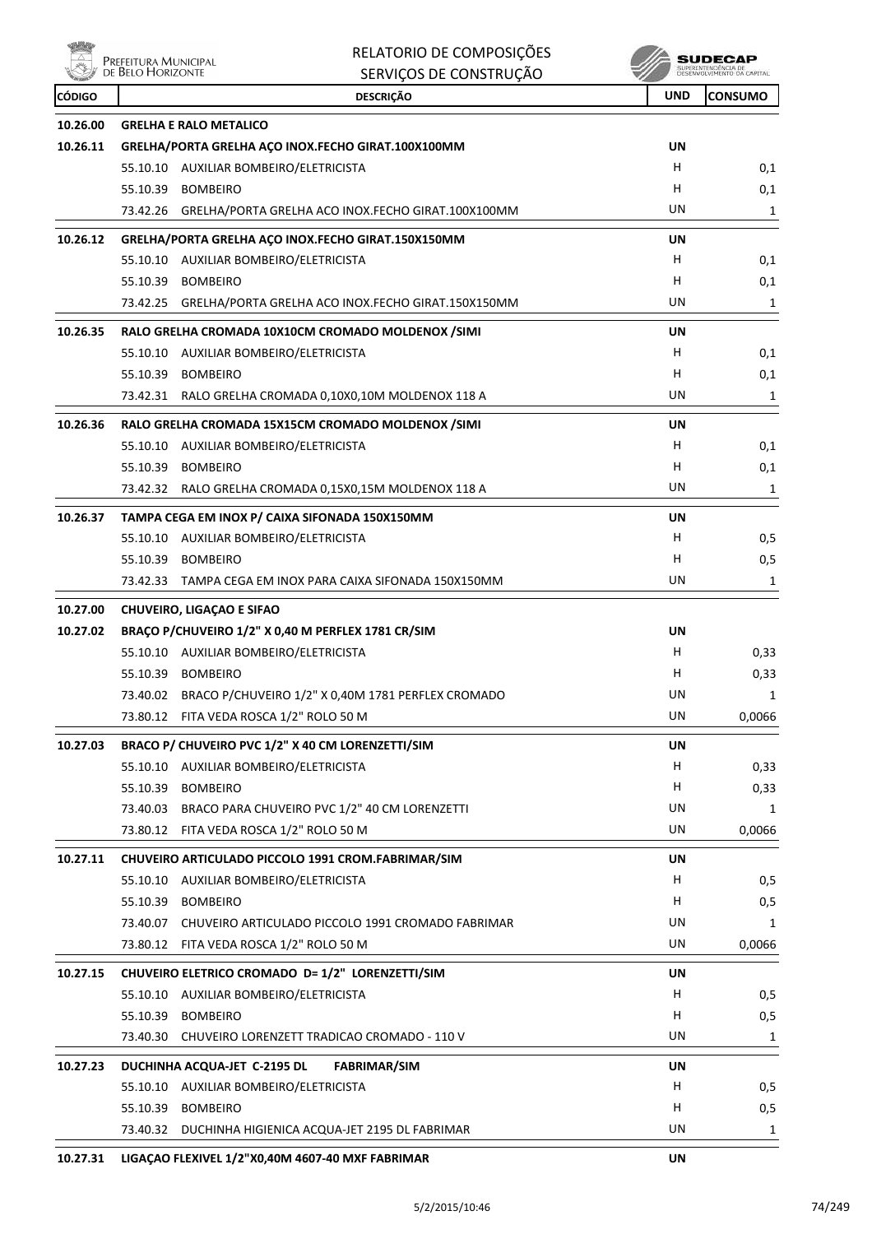

|               | Prefeitura Municipal<br>de Belo Horizonte | RELATORIO DE COMPOSIÇÕES                                    |            | SUDECAP                                            |
|---------------|-------------------------------------------|-------------------------------------------------------------|------------|----------------------------------------------------|
|               |                                           | SERVIÇOS DE CONSTRUÇÃO                                      |            | SUPERINTENDÊNCIA DE<br>DÊSÊMVDI VEMENTO OA CARITAL |
| <b>CÓDIGO</b> |                                           | <b>DESCRIÇÃO</b>                                            | <b>UND</b> | <b>CONSUMO</b>                                     |
| 10.26.00      |                                           | <b>GRELHA E RALO METALICO</b>                               |            |                                                    |
| 10.26.11      |                                           | GRELHA/PORTA GRELHA AÇO INOX.FECHO GIRAT.100X100MM          | UN         |                                                    |
|               |                                           | 55.10.10 AUXILIAR BOMBEIRO/ELETRICISTA                      | H.         | 0,1                                                |
|               | 55.10.39                                  | <b>BOMBEIRO</b>                                             | H          | 0,1                                                |
|               | 73.42.26                                  | GRELHA/PORTA GRELHA ACO INOX.FECHO GIRAT.100X100MM          | UN         | 1                                                  |
| 10.26.12      |                                           | GRELHA/PORTA GRELHA AÇO INOX.FECHO GIRAT.150X150MM          | UN         |                                                    |
|               |                                           | 55.10.10 AUXILIAR BOMBEIRO/ELETRICISTA                      | H          | 0,1                                                |
|               | 55.10.39                                  | <b>BOMBEIRO</b>                                             | H          | 0,1                                                |
|               | 73.42.25                                  | GRELHA/PORTA GRELHA ACO INOX.FECHO GIRAT.150X150MM          | UN         | 1                                                  |
| 10.26.35      |                                           | RALO GRELHA CROMADA 10X10CM CROMADO MOLDENOX /SIMI          | UN         |                                                    |
|               |                                           | 55.10.10 AUXILIAR BOMBEIRO/ELETRICISTA                      | H          | 0,1                                                |
|               | 55.10.39                                  | <b>BOMBEIRO</b>                                             | H          | 0,1                                                |
|               | 73.42.31                                  | RALO GRELHA CROMADA 0,10X0,10M MOLDENOX 118 A               | UN         | 1                                                  |
| 10.26.36      |                                           | RALO GRELHA CROMADA 15X15CM CROMADO MOLDENOX /SIMI          | UN         |                                                    |
|               |                                           | 55.10.10 AUXILIAR BOMBEIRO/ELETRICISTA                      | H          | 0,1                                                |
|               | 55.10.39                                  | <b>BOMBEIRO</b>                                             | н          | 0,1                                                |
|               |                                           | 73.42.32 RALO GRELHA CROMADA 0,15X0,15M MOLDENOX 118 A      | UN         | 1                                                  |
| 10.26.37      |                                           | TAMPA CEGA EM INOX P/ CAIXA SIFONADA 150X150MM              | UN         |                                                    |
|               |                                           | 55.10.10 AUXILIAR BOMBEIRO/ELETRICISTA                      | H          | 0,5                                                |
|               | 55.10.39                                  | <b>BOMBEIRO</b>                                             | н          | 0,5                                                |
|               |                                           | 73.42.33 TAMPA CEGA EM INOX PARA CAIXA SIFONADA 150X150MM   | UN         | 1                                                  |
| 10.27.00      |                                           | <b>CHUVEIRO, LIGAÇÃO E SIFAO</b>                            |            |                                                    |
| 10.27.02      |                                           | BRAÇO P/CHUVEIRO 1/2" X 0,40 M PERFLEX 1781 CR/SIM          | UN         |                                                    |
|               |                                           | 55.10.10 AUXILIAR BOMBEIRO/ELETRICISTA                      | H          | 0,33                                               |
|               | 55.10.39                                  | <b>BOMBEIRO</b>                                             | н          | 0,33                                               |
|               |                                           | 73.40.02 BRACO P/CHUVEIRO 1/2" X 0,40M 1781 PERFLEX CROMADO | UN         | 1                                                  |
|               |                                           | 73.80.12 FITA VEDA ROSCA 1/2" ROLO 50 M                     | UN         | 0,0066                                             |
| 10.27.03      |                                           | BRACO P/ CHUVEIRO PVC 1/2" X 40 CM LORENZETTI/SIM           | <b>UN</b>  |                                                    |
|               |                                           | 55.10.10 AUXILIAR BOMBEIRO/ELETRICISTA                      | H.         | 0,33                                               |
|               | 55.10.39                                  | <b>BOMBEIRO</b>                                             | H          | 0,33                                               |
|               | 73.40.03                                  | BRACO PARA CHUVEIRO PVC 1/2" 40 CM LORENZETTI               | UN         | 1                                                  |
|               |                                           | 73.80.12 FITA VEDA ROSCA 1/2" ROLO 50 M                     | UN         | 0,0066                                             |
| 10.27.11      |                                           | CHUVEIRO ARTICULADO PICCOLO 1991 CROM.FABRIMAR/SIM          | UN         |                                                    |
|               |                                           | 55.10.10 AUXILIAR BOMBEIRO/ELETRICISTA                      | H          | 0,5                                                |
|               | 55.10.39                                  | <b>BOMBEIRO</b>                                             | H          | 0,5                                                |
|               |                                           | 73.40.07 CHUVEIRO ARTICULADO PICCOLO 1991 CROMADO FABRIMAR  | UN         | 1                                                  |
|               | 73.80.12                                  | FITA VEDA ROSCA 1/2" ROLO 50 M                              | UN         | 0,0066                                             |
| 10.27.15      |                                           | CHUVEIRO ELETRICO CROMADO D= 1/2" LORENZETTI/SIM            | UN         |                                                    |
|               |                                           | 55.10.10 AUXILIAR BOMBEIRO/ELETRICISTA                      | H          | 0,5                                                |
|               | 55.10.39                                  | <b>BOMBEIRO</b>                                             | н          | 0,5                                                |
|               | 73.40.30                                  | CHUVEIRO LORENZETT TRADICAO CROMADO - 110 V                 | UN         | 1                                                  |
| 10.27.23      |                                           | DUCHINHA ACQUA-JET C-2195 DL<br><b>FABRIMAR/SIM</b>         | UN         |                                                    |
|               |                                           | 55.10.10 AUXILIAR BOMBEIRO/ELETRICISTA                      | H          | 0,5                                                |
|               | 55.10.39                                  | <b>BOMBEIRO</b>                                             | H          | 0,5                                                |
|               |                                           | 73.40.32 DUCHINHA HIGIENICA ACQUA-JET 2195 DL FABRIMAR      | UN         | 1                                                  |
|               |                                           |                                                             |            |                                                    |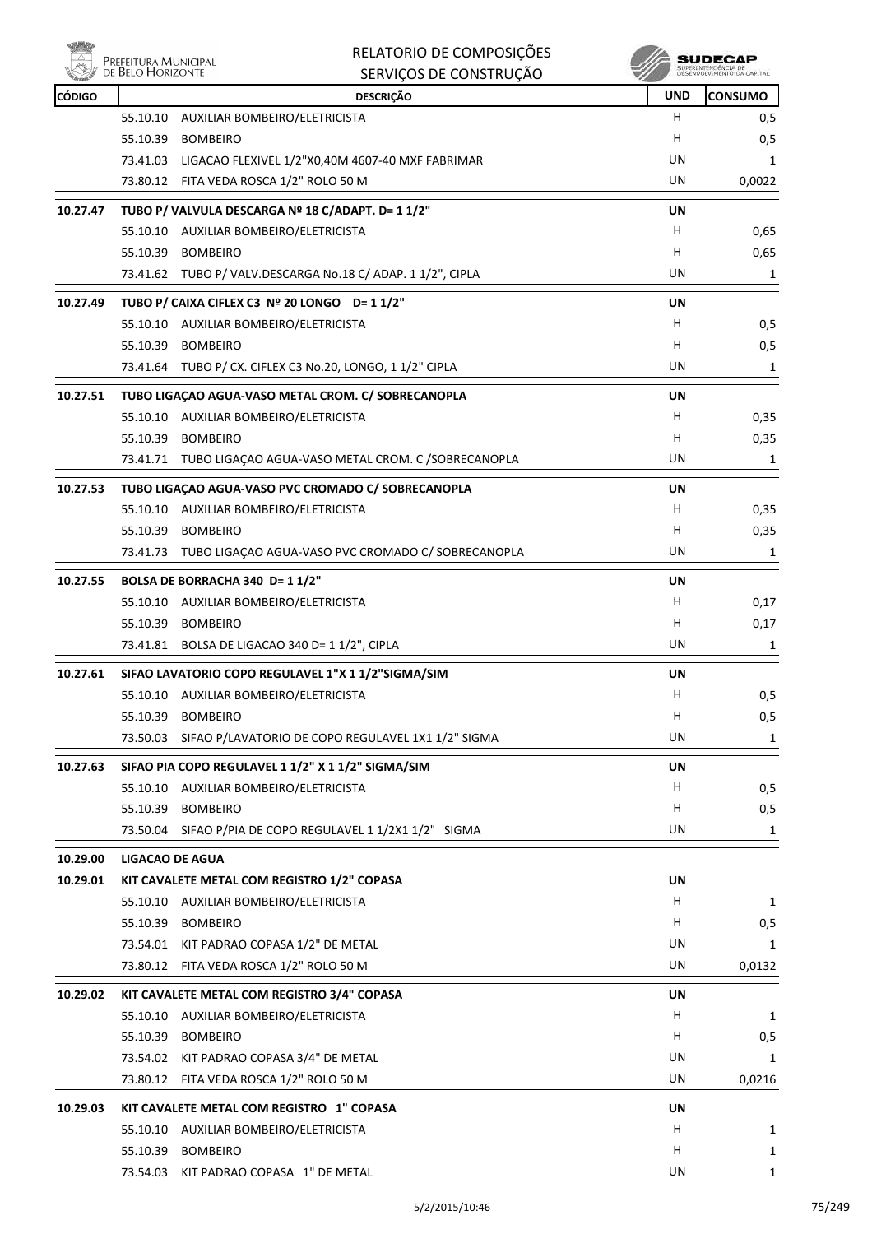

|               | Prefeitura Municipal<br>de Belo Horizonte | RELATORIO DE COMPOSIÇÕES<br>SERVIÇOS DE CONSTRUÇÃO          |            | <b>SUDECAP</b><br>SUPERINTENDÊNCIA DE |
|---------------|-------------------------------------------|-------------------------------------------------------------|------------|---------------------------------------|
| <b>CÓDIGO</b> |                                           | <b>DESCRIÇÃO</b>                                            | <b>UND</b> | <b>CONSUMO</b>                        |
|               | 55.10.10                                  | AUXILIAR BOMBEIRO/ELETRICISTA                               | н          | 0, 5                                  |
|               | 55.10.39                                  | <b>BOMBEIRO</b>                                             | н          | 0,5                                   |
|               |                                           | 73.41.03 LIGACAO FLEXIVEL 1/2"X0,40M 4607-40 MXF FABRIMAR   | UN         | 1                                     |
|               |                                           | 73.80.12 FITA VEDA ROSCA 1/2" ROLO 50 M                     | UN         | 0,0022                                |
| 10.27.47      |                                           | TUBO P/ VALVULA DESCARGA Nº 18 C/ADAPT. D= 1 1/2"           | UN         |                                       |
|               |                                           | 55.10.10 AUXILIAR BOMBEIRO/ELETRICISTA                      | H          | 0,65                                  |
|               |                                           | 55.10.39 BOMBEIRO                                           | H          | 0,65                                  |
|               |                                           | 73.41.62 TUBO P/ VALV.DESCARGA No.18 C/ ADAP. 1 1/2", CIPLA | UN         | 1                                     |
| 10.27.49      |                                           | TUBO P/ CAIXA CIFLEX C3 Nº 20 LONGO D= 1 1/2"               | UN         |                                       |
|               |                                           | 55.10.10 AUXILIAR BOMBEIRO/ELETRICISTA                      | H          | 0,5                                   |
|               |                                           | 55.10.39 BOMBEIRO                                           | н          | 0,5                                   |
|               |                                           | 73.41.64 TUBO P/ CX. CIFLEX C3 No.20, LONGO, 1 1/2" CIPLA   | UN         | 1                                     |
| 10.27.51      |                                           | TUBO LIGAÇÃO AGUA-VASO METAL CROM. C/ SOBRECANOPLA          | UN         |                                       |
|               |                                           | 55.10.10 AUXILIAR BOMBEIRO/ELETRICISTA                      | H          | 0,35                                  |
|               | 55.10.39                                  | BOMBEIRO                                                    | н          | 0,35                                  |
|               |                                           | 73.41.71 TUBO LIGACAO AGUA-VASO METAL CROM. C /SOBRECANOPLA | UN         | 1                                     |
| 10.27.53      |                                           | TUBO LIGAÇÃO AGUA-VASO PVC CROMADO C/ SOBRECANOPLA          | UN         |                                       |
|               |                                           | 55.10.10 AUXILIAR BOMBEIRO/ELETRICISTA                      | H.         | 0,35                                  |
|               |                                           | 55.10.39 BOMBEIRO                                           | н          | 0,35                                  |
|               | 73.41.73                                  | TUBO LIGAÇAO AGUA-VASO PVC CROMADO C/ SOBRECANOPLA          | UN         | 1                                     |
| 10.27.55      |                                           | BOLSA DE BORRACHA 340 D= 1 1/2"                             | UN         |                                       |
|               |                                           | 55.10.10 AUXILIAR BOMBEIRO/ELETRICISTA                      | н          | 0,17                                  |
|               |                                           | 55.10.39 BOMBEIRO                                           | H          | 0,17                                  |
|               |                                           | 73.41.81 BOLSA DE LIGACAO 340 D= 1 1/2", CIPLA              | UN         | 1                                     |
| 10.27.61      |                                           | SIFAO LAVATORIO COPO REGULAVEL 1"X 1 1/2"SIGMA/SIM          | <b>UN</b>  |                                       |
|               |                                           | 55.10.10 AUXILIAR BOMBEIRO/ELETRICISTA                      | н          | 0,5                                   |
|               |                                           | 55.10.39 BOMBEIRO                                           | Н          | 0,5                                   |
|               | 73.50.03                                  | SIFAO P/LAVATORIO DE COPO REGULAVEL 1X1 1/2" SIGMA          | UN         | 1                                     |
| 10.27.63      |                                           | SIFAO PIA COPO REGULAVEL 1 1/2" X 1 1/2" SIGMA/SIM          | UN         |                                       |
|               |                                           | 55.10.10 AUXILIAR BOMBEIRO/ELETRICISTA                      | H.         | 0, 5                                  |
|               |                                           | 55.10.39 BOMBEIRO                                           | н          | 0,5                                   |
|               |                                           | 73.50.04 SIFAO P/PIA DE COPO REGULAVEL 1 1/2X1 1/2" SIGMA   | UN         | 1                                     |
| 10.29.00      | <b>LIGACAO DE AGUA</b>                    |                                                             |            |                                       |
| 10.29.01      |                                           | KIT CAVALETE METAL COM REGISTRO 1/2" COPASA                 | UN         |                                       |
|               |                                           | 55.10.10 AUXILIAR BOMBEIRO/ELETRICISTA                      | H.         | 1                                     |
|               |                                           | 55.10.39 BOMBEIRO                                           | н          | 0,5                                   |
|               |                                           | 73.54.01 KIT PADRAO COPASA 1/2" DE METAL                    | UN         | 1                                     |
|               |                                           | 73.80.12 FITA VEDA ROSCA 1/2" ROLO 50 M                     | UN         | 0,0132                                |
| 10.29.02      |                                           | KIT CAVALETE METAL COM REGISTRO 3/4" COPASA                 | UN         |                                       |
|               |                                           | 55.10.10 AUXILIAR BOMBEIRO/ELETRICISTA                      | H          | 1                                     |
|               |                                           | 55.10.39 BOMBEIRO                                           | н          | 0,5                                   |
|               |                                           | 73.54.02 KIT PADRAO COPASA 3/4" DE METAL                    | UN         | 1                                     |
|               |                                           | 73.80.12 FITA VEDA ROSCA 1/2" ROLO 50 M                     | UN         | 0,0216                                |
| 10.29.03      |                                           | KIT CAVALETE METAL COM REGISTRO 1" COPASA                   | UN         |                                       |
|               |                                           | 55.10.10 AUXILIAR BOMBEIRO/ELETRICISTA                      | H          | 1                                     |
|               |                                           | 55.10.39 BOMBEIRO                                           | н          | 1                                     |
|               |                                           | 73.54.03 KIT PADRAO COPASA 1" DE METAL                      | UN         | 1                                     |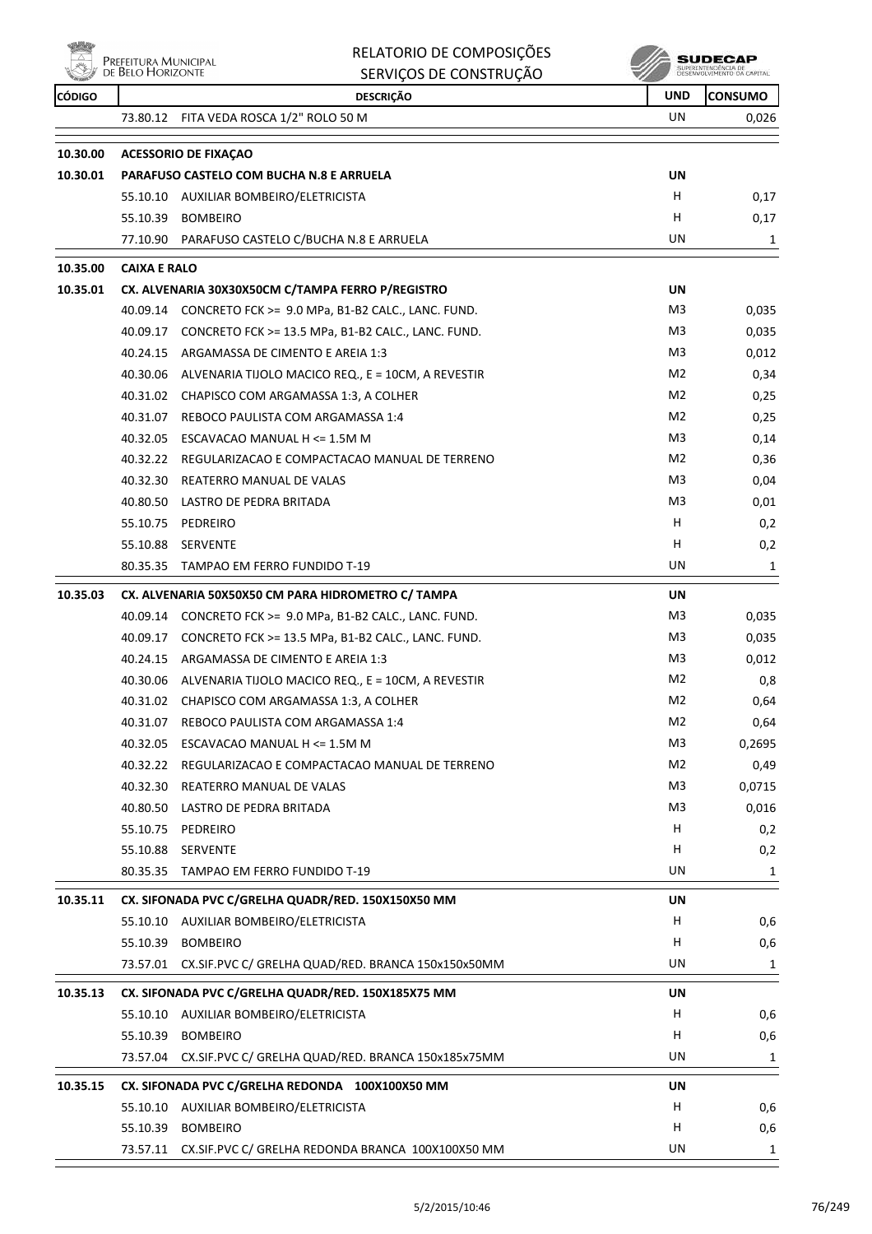

|               | Prefeitura Municipal<br>de Belo Horizonte | RELATORIO DE COMPOSIÇÕES<br>SERVIÇOS DE CONSTRUÇÃO          |                | <b>SUDECAF</b><br>SUPERINTENDÊNCIA DE<br>DESENVOLVIMENTO DA CAPITAL |
|---------------|-------------------------------------------|-------------------------------------------------------------|----------------|---------------------------------------------------------------------|
| <b>CÓDIGO</b> |                                           | <b>DESCRIÇÃO</b>                                            | <b>UND</b>     | <b>CONSUMO</b>                                                      |
|               | 73.80.12                                  | FITA VEDA ROSCA 1/2" ROLO 50 M                              | UN             | 0,026                                                               |
| 10.30.00      |                                           | <b>ACESSORIO DE FIXAÇÃO</b>                                 |                |                                                                     |
| 10.30.01      |                                           | <b>PARAFUSO CASTELO COM BUCHA N.8 E ARRUELA</b>             | UN             |                                                                     |
|               |                                           | 55.10.10 AUXILIAR BOMBEIRO/ELETRICISTA                      | H              | 0,17                                                                |
|               |                                           | 55.10.39 BOMBEIRO                                           | н              | 0,17                                                                |
|               |                                           | 77.10.90 PARAFUSO CASTELO C/BUCHA N.8 E ARRUELA             | UN             | 1                                                                   |
| 10.35.00      | <b>CAIXA E RALO</b>                       |                                                             |                |                                                                     |
| 10.35.01      |                                           | CX. ALVENARIA 30X30X50CM C/TAMPA FERRO P/REGISTRO           | UN             |                                                                     |
|               | 40.09.14                                  | CONCRETO FCK >= 9.0 MPa, B1-B2 CALC., LANC. FUND.           | M3             | 0,035                                                               |
|               | 40.09.17                                  | CONCRETO FCK >= 13.5 MPa, B1-B2 CALC., LANC. FUND.          | M <sub>3</sub> | 0,035                                                               |
|               | 40.24.15                                  | ARGAMASSA DE CIMENTO E AREIA 1:3                            | M3             | 0,012                                                               |
|               |                                           | 40.30.06 ALVENARIA TIJOLO MACICO REQ., E = 10CM, A REVESTIR | M2             | 0,34                                                                |
|               |                                           | 40.31.02 CHAPISCO COM ARGAMASSA 1:3, A COLHER               | M <sub>2</sub> | 0,25                                                                |
|               | 40.31.07                                  | REBOCO PAULISTA COM ARGAMASSA 1:4                           | M <sub>2</sub> | 0,25                                                                |
|               |                                           | 40.32.05 ESCAVACAO MANUAL H <= 1.5M M                       | M3             | 0,14                                                                |
|               | 40.32.22                                  | REGULARIZACAO E COMPACTACAO MANUAL DE TERRENO               | M2             | 0,36                                                                |
|               | 40.32.30                                  | REATERRO MANUAL DE VALAS                                    | M3             | 0,04                                                                |
|               | 40.80.50                                  | LASTRO DE PEDRA BRITADA                                     | M3             | 0,01                                                                |
|               |                                           | 55.10.75 PEDREIRO                                           | H              | 0,2                                                                 |
|               | 55.10.88                                  | SERVENTE                                                    | н              | 0,2                                                                 |
|               |                                           | 80.35.35 TAMPAO EM FERRO FUNDIDO T-19                       | UN             | 1                                                                   |
| 10.35.03      |                                           | CX. ALVENARIA 50X50X50 CM PARA HIDROMETRO C/ TAMPA          | UN             |                                                                     |
|               | 40.09.14                                  | CONCRETO FCK >= 9.0 MPa, B1-B2 CALC., LANC. FUND.           | M3             | 0,035                                                               |
|               |                                           | 40.09.17 CONCRETO FCK >= 13.5 MPa, B1-B2 CALC., LANC. FUND. | M3             | 0,035                                                               |
|               |                                           | 40.24.15 ARGAMASSA DE CIMENTO E AREIA 1:3                   | M3             | 0,012                                                               |
|               |                                           | 40.30.06 ALVENARIA TIJOLO MACICO REQ., E = 10CM, A REVESTIR | M2             | 0,8                                                                 |
|               |                                           | 40.31.02 CHAPISCO COM ARGAMASSA 1:3, A COLHER               | M2             | 0,64                                                                |
|               | 40.31.07                                  | REBOCO PAULISTA COM ARGAMASSA 1:4                           | M2             | 0,64                                                                |
|               | 40.32.05                                  | ESCAVACAO MANUAL H <= 1.5M M                                | M3             | 0,2695                                                              |
|               | 40.32.22                                  | REGULARIZACAO E COMPACTACAO MANUAL DE TERRENO               | M2             | 0,49                                                                |
|               | 40.32.30                                  | REATERRO MANUAL DE VALAS                                    | M3             | 0,0715                                                              |

|          | 55.10.75 | PEDREIRO                                                    | H         | 0,2 |
|----------|----------|-------------------------------------------------------------|-----------|-----|
|          | 55.10.88 | SERVENTE                                                    | H         | 0,2 |
|          |          | 80.35.35 TAMPAO EM FERRO FUNDIDO T-19                       | UN.       | 1   |
| 10.35.11 |          | CX. SIFONADA PVC C/GRELHA QUADR/RED. 150X150X50 MM          | UN        |     |
|          | 55.10.10 | AUXILIAR BOMBEIRO/ELETRICISTA                               | H         | 0,6 |
|          | 55.10.39 | <b>BOMBEIRO</b>                                             | H         | 0,6 |
|          |          | 73.57.01 CX.SIF.PVC C/ GRELHA QUAD/RED. BRANCA 150x150x50MM | UN.       | 1   |
| 10.35.13 |          | CX. SIFONADA PVC C/GRELHA QUADR/RED. 150X185X75 MM          | UN        |     |
|          | 55.10.10 | AUXILIAR BOMBEIRO/ELETRICISTA                               | H         | 0,6 |
|          | 55.10.39 | <b>BOMBEIRO</b>                                             | н         | 0,6 |
|          |          | 73.57.04 CX.SIF.PVC C/ GRELHA QUAD/RED. BRANCA 150x185x75MM | UN.       | 1   |
| 10.35.15 |          | CX. SIFONADA PVC C/GRELHA REDONDA 100X100X50 MM             | <b>UN</b> |     |
|          | 55.10.10 | AUXILIAR BOMBEIRO/ELETRICISTA                               | H         | 0,6 |
|          | 55.10.39 | <b>BOMBEIRO</b>                                             | н         | 0,6 |
|          | 73.57.11 | CX.SIF.PVC C/ GRELHA REDONDA BRANCA 100X100X50 MM           | UN        | 1   |

40.80.50 LASTRO DE PEDRA BRITADA and the set of the set of the set of the set of the set of the set of the set of the set of the set of the set of the set of the set of the set of the set of the set of the set of the set o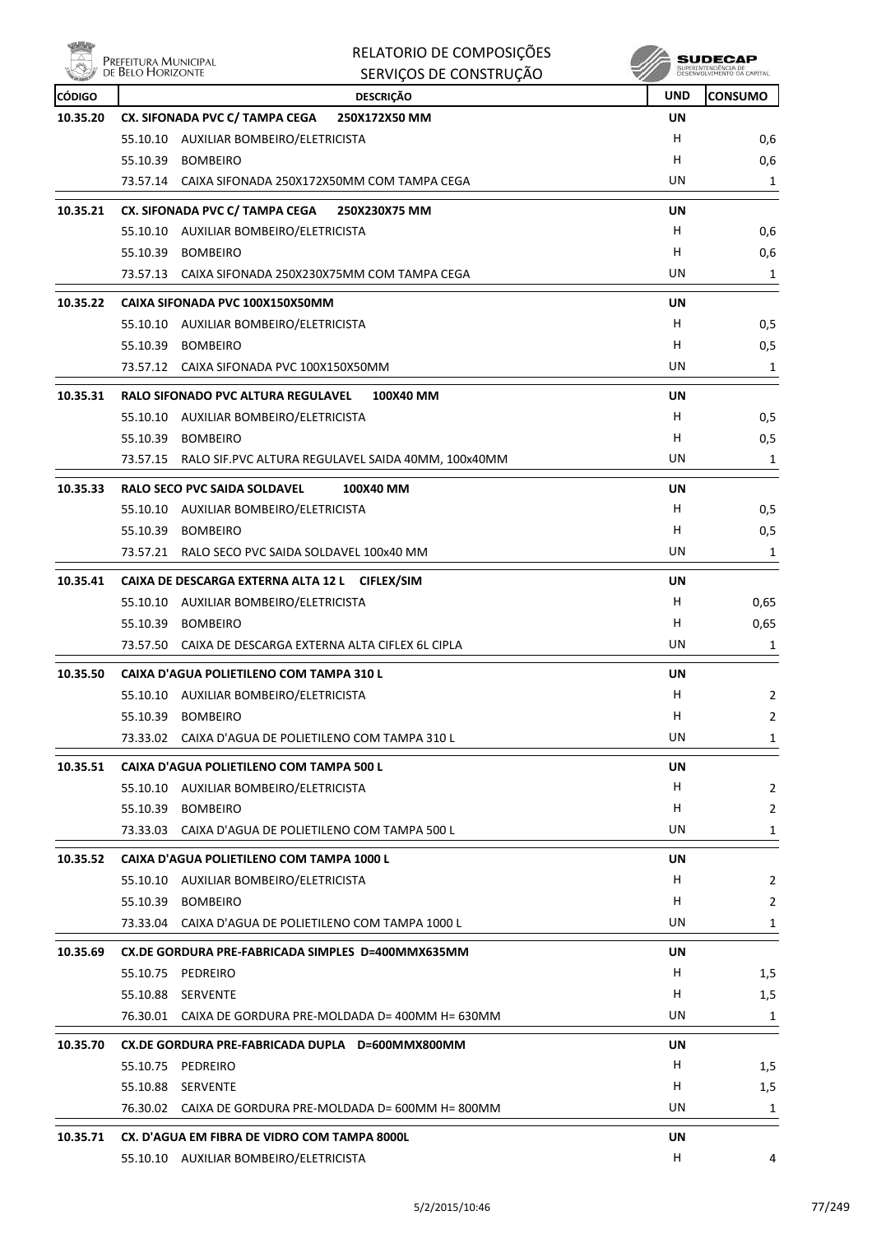

| Villey   | Prefeitura Municipal<br>de Belo Horizonte | RELATORIO DE COMPOSIÇÕES                                 |            | SUDECAP                                            |
|----------|-------------------------------------------|----------------------------------------------------------|------------|----------------------------------------------------|
|          |                                           | SERVIÇOS DE CONSTRUÇÃO                                   |            | SUPERINTENDÊNCIA DE<br>DESENVIU VIMENTO OA CARITAL |
| CÓDIGO   |                                           | <b>DESCRIÇÃO</b>                                         | <b>UND</b> | <b>CONSUMO</b>                                     |
| 10.35.20 |                                           | CX. SIFONADA PVC C/ TAMPA CEGA<br>250X172X50 MM          | UN         |                                                    |
|          |                                           | 55.10.10 AUXILIAR BOMBEIRO/ELETRICISTA                   | H          | 0,6                                                |
|          | 55.10.39                                  | <b>BOMBEIRO</b>                                          | H          | 0,6                                                |
|          |                                           | 73.57.14 CAIXA SIFONADA 250X172X50MM COM TAMPA CEGA      | UN         | 1                                                  |
| 10.35.21 |                                           | CX. SIFONADA PVC C/ TAMPA CEGA<br>250X230X75 MM          | UN         |                                                    |
|          |                                           | 55.10.10 AUXILIAR BOMBEIRO/ELETRICISTA                   | H.         | 0,6                                                |
|          | 55.10.39                                  | <b>BOMBEIRO</b>                                          | н          | 0,6                                                |
|          |                                           | 73.57.13 CAIXA SIFONADA 250X230X75MM COM TAMPA CEGA      | UN         | 1                                                  |
| 10.35.22 |                                           | CAIXA SIFONADA PVC 100X150X50MM                          | UN         |                                                    |
|          |                                           | 55.10.10 AUXILIAR BOMBEIRO/ELETRICISTA                   | H          | 0,5                                                |
|          | 55.10.39                                  | <b>BOMBEIRO</b>                                          | н          | 0,5                                                |
|          |                                           | 73.57.12 CAIXA SIFONADA PVC 100X150X50MM                 | UN         | 1                                                  |
| 10.35.31 |                                           | <b>RALO SIFONADO PVC ALTURA REGULAVEL</b><br>100X40 MM   | UN         |                                                    |
|          |                                           | 55.10.10 AUXILIAR BOMBEIRO/ELETRICISTA                   | H          | 0,5                                                |
|          | 55.10.39                                  | <b>BOMBEIRO</b>                                          | H          | 0,5                                                |
|          | 73.57.15                                  | RALO SIF.PVC ALTURA REGULAVEL SAIDA 40MM, 100x40MM       | UN         | 1                                                  |
| 10.35.33 |                                           | <b>RALO SECO PVC SAIDA SOLDAVEL</b><br>100X40 MM         | UN         |                                                    |
|          |                                           | 55.10.10 AUXILIAR BOMBEIRO/ELETRICISTA                   | H          | 0,5                                                |
|          | 55.10.39                                  | <b>BOMBEIRO</b>                                          | H          | 0,5                                                |
|          | 73.57.21                                  | RALO SECO PVC SAIDA SOLDAVEL 100x40 MM                   | UN         | 1                                                  |
| 10.35.41 |                                           | CAIXA DE DESCARGA EXTERNA ALTA 12 L<br><b>CIFLEX/SIM</b> | UN         |                                                    |
|          |                                           | 55.10.10 AUXILIAR BOMBEIRO/ELETRICISTA                   | н          | 0,65                                               |
|          | 55.10.39                                  | <b>BOMBEIRO</b>                                          | н          | 0,65                                               |
|          | 73.57.50                                  | CAIXA DE DESCARGA EXTERNA ALTA CIFLEX 6L CIPLA           | UN         | 1                                                  |
| 10.35.50 |                                           | CAIXA D'AGUA POLIETILENO COM TAMPA 310 L                 | UN         |                                                    |
|          |                                           | 55.10.10 AUXILIAR BOMBEIRO/ELETRICISTA                   | н          | 2                                                  |
|          |                                           | 55.10.39 BOMBEIRO                                        | H          | $\overline{2}$                                     |
|          |                                           | 73.33.02 CAIXA D'AGUA DE POLIETILENO COM TAMPA 310 L     | UN         | 1                                                  |
| 10.35.51 |                                           | CAIXA D'AGUA POLIETILENO COM TAMPA 500 L                 | UN         |                                                    |
|          |                                           | 55.10.10 AUXILIAR BOMBEIRO/ELETRICISTA                   | H.         | $\overline{2}$                                     |
|          | 55.10.39                                  | <b>BOMBEIRO</b>                                          | H.         | $\overline{2}$                                     |
|          |                                           | 73.33.03 CAIXA D'AGUA DE POLIETILENO COM TAMPA 500 L     | UN         | 1                                                  |
| 10.35.52 |                                           | CAIXA D'AGUA POLIETILENO COM TAMPA 1000 L                | UN         |                                                    |
|          |                                           | 55.10.10 AUXILIAR BOMBEIRO/ELETRICISTA                   | Н.         | $\overline{2}$                                     |
|          |                                           | 55.10.39 BOMBEIRO                                        | H.         | $\overline{2}$                                     |
|          |                                           | 73.33.04 CAIXA D'AGUA DE POLIETILENO COM TAMPA 1000 L    | UN         | 1                                                  |
| 10.35.69 |                                           | CX.DE GORDURA PRE-FABRICADA SIMPLES D=400MMX635MM        | UN         |                                                    |
|          | 55.10.75 PEDREIRO                         |                                                          | H          | 1,5                                                |
|          | 55.10.88 SERVENTE                         |                                                          | H.         | 1,5                                                |
|          |                                           | 76.30.01 CAIXA DE GORDURA PRE-MOLDADA D= 400MM H= 630MM  | UN         | 1                                                  |
|          |                                           |                                                          |            |                                                    |
| 10.35.70 |                                           | CX.DE GORDURA PRE-FABRICADA DUPLA D=600MMX800MM          | UN         |                                                    |
|          | 55.10.75 PEDREIRO                         |                                                          | H<br>H.    | 1,5                                                |
|          | 55.10.88 SERVENTE                         | 76.30.02 CAIXA DE GORDURA PRE-MOLDADA D= 600MM H= 800MM  | UN         | 1,5                                                |
|          |                                           |                                                          |            | 1                                                  |
| 10.35.71 |                                           | CX. D'AGUA EM FIBRA DE VIDRO COM TAMPA 8000L             | UN         |                                                    |
|          |                                           | 55.10.10 AUXILIAR BOMBEIRO/ELETRICISTA                   | H          | 4                                                  |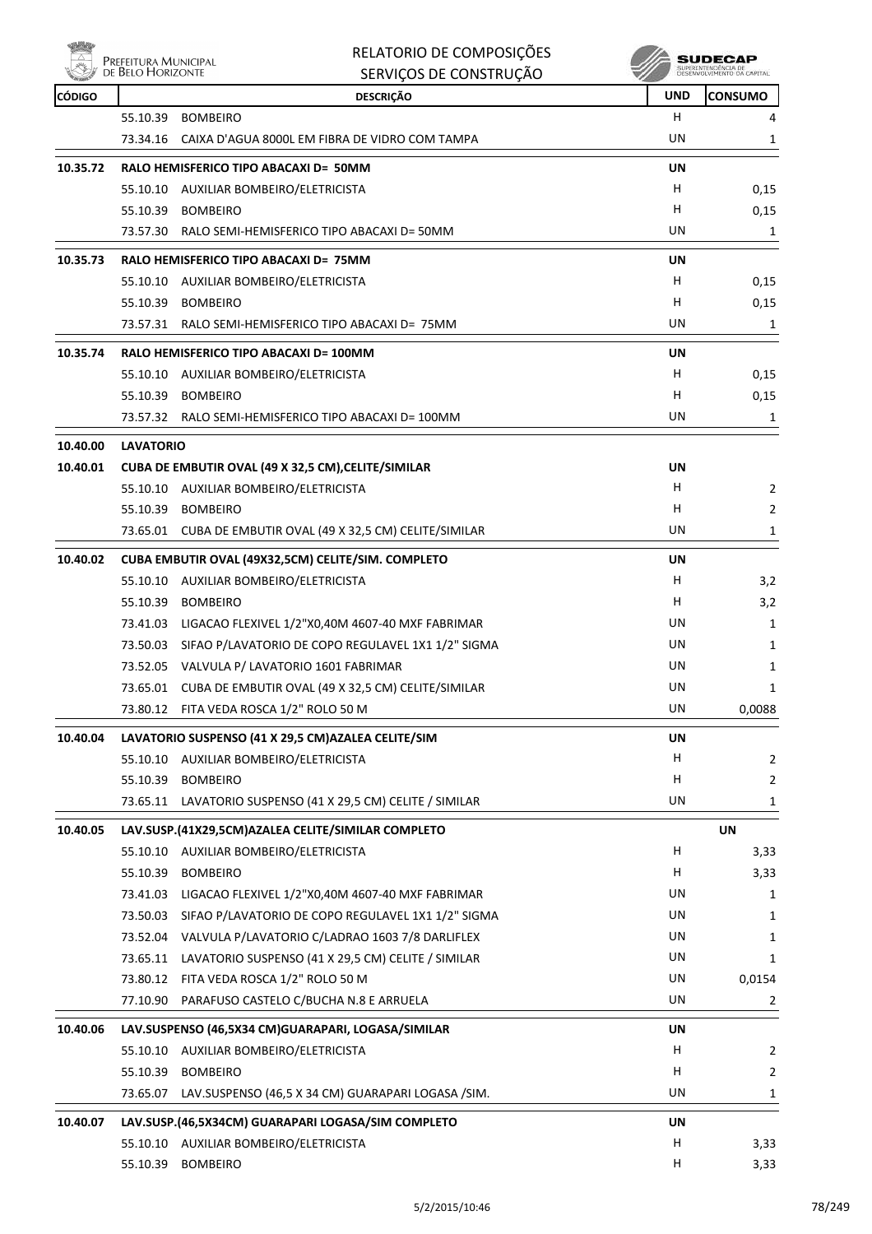

| RELATORIO DE COMPOSIÇÕES |
|--------------------------|
| SERVICOS DE CONSTRUÇÃO   |

| <b>REAL PROPERTY</b> |                  | SENVIÇUS DE CUNSTNUÇAU                                      | u          |                |
|----------------------|------------------|-------------------------------------------------------------|------------|----------------|
| <b>CÓDIGO</b>        |                  | <b>DESCRIÇÃO</b>                                            | <b>UND</b> | <b>CONSUMO</b> |
|                      | 55.10.39         | <b>BOMBEIRO</b>                                             | H.         | 4              |
|                      |                  | 73.34.16 CAIXA D'AGUA 8000L EM FIBRA DE VIDRO COM TAMPA     | UN         | 1              |
| 10.35.72             |                  | RALO HEMISFERICO TIPO ABACAXI D= 50MM                       | UN         |                |
|                      |                  | 55.10.10 AUXILIAR BOMBEIRO/ELETRICISTA                      | H          | 0,15           |
|                      | 55.10.39         | <b>BOMBEIRO</b>                                             | H.         | 0,15           |
|                      |                  | 73.57.30 RALO SEMI-HEMISFERICO TIPO ABACAXI D= 50MM         | UN         | 1              |
| 10.35.73             |                  | RALO HEMISFERICO TIPO ABACAXI D= 75MM                       | UN         |                |
|                      |                  | 55.10.10 AUXILIAR BOMBEIRO/ELETRICISTA                      | H.         | 0,15           |
|                      | 55.10.39         | <b>BOMBEIRO</b>                                             | н          | 0,15           |
|                      |                  | 73.57.31 RALO SEMI-HEMISFERICO TIPO ABACAXI D= 75MM         | UN         | 1              |
| 10.35.74             |                  | RALO HEMISFERICO TIPO ABACAXI D= 100MM                      | UN         |                |
|                      |                  | 55.10.10 AUXILIAR BOMBEIRO/ELETRICISTA                      | H.         | 0,15           |
|                      | 55.10.39         | <b>BOMBEIRO</b>                                             | н          | 0,15           |
|                      |                  | 73.57.32 RALO SEMI-HEMISFERICO TIPO ABACAXI D= 100MM        | UN         | $\mathbf{1}$   |
| 10.40.00             | <b>LAVATORIO</b> |                                                             |            |                |
| 10.40.01             |                  | CUBA DE EMBUTIR OVAL (49 X 32,5 CM), CELITE/SIMILAR         | UN         |                |
|                      |                  | 55.10.10 AUXILIAR BOMBEIRO/ELETRICISTA                      | H          | $\overline{2}$ |
|                      | 55.10.39         | <b>BOMBEIRO</b>                                             | H.         | $\overline{2}$ |
|                      |                  | 73.65.01 CUBA DE EMBUTIR OVAL (49 X 32,5 CM) CELITE/SIMILAR | UN         | 1              |
| 10.40.02             |                  | CUBA EMBUTIR OVAL (49X32,5CM) CELITE/SIM. COMPLETO          | UN         |                |
|                      |                  | 55.10.10 AUXILIAR BOMBEIRO/ELETRICISTA                      | H.         | 3,2            |
|                      | 55.10.39         | <b>BOMBEIRO</b>                                             | н          | 3,2            |
|                      | 73.41.03         | LIGACAO FLEXIVEL 1/2"X0,40M 4607-40 MXF FABRIMAR            | UN         | 1              |
|                      |                  | 73.50.03 SIFAO P/LAVATORIO DE COPO REGULAVEL 1X1 1/2" SIGMA | UN         | 1              |
|                      |                  | 73.52.05 VALVULA P/ LAVATORIO 1601 FABRIMAR                 | UN         | 1              |
|                      |                  | 73.65.01 CUBA DE EMBUTIR OVAL (49 X 32,5 CM) CELITE/SIMILAR | UN         | 1              |
|                      |                  | 73.80.12 FITA VEDA ROSCA 1/2" ROLO 50 M                     | UN         | 0,0088         |
| 10.40.04             |                  | LAVATORIO SUSPENSO (41 X 29,5 CM) AZALEA CELITE/SIM         | UN         |                |
|                      |                  | 55.10.10 AUXILIAR BOMBEIRO/ELETRICISTA                      | H.         | $\overline{2}$ |
|                      | 55.10.39         | <b>BOMBEIRO</b>                                             | н          | $\mathbf{2}$   |
|                      | 73.65.11         | LAVATORIO SUSPENSO (41 X 29,5 CM) CELITE / SIMILAR          | UN         | 1              |
| 10.40.05             |                  | LAV.SUSP.(41X29,5CM)AZALEA CELITE/SIMILAR COMPLETO          |            | <b>UN</b>      |
|                      |                  | 55.10.10 AUXILIAR BOMBEIRO/ELETRICISTA                      | H          | 3,33           |
|                      | 55.10.39         | <b>BOMBEIRO</b>                                             | н          | 3,33           |
|                      | 73.41.03         | LIGACAO FLEXIVEL 1/2"X0,40M 4607-40 MXF FABRIMAR            | UN         | 1              |
|                      | 73.50.03         | SIFAO P/LAVATORIO DE COPO REGULAVEL 1X1 1/2" SIGMA          | UN         | 1              |
|                      |                  | 73.52.04 VALVULA P/LAVATORIO C/LADRAO 1603 7/8 DARLIFLEX    | UN         | 1              |
|                      | 73.65.11         | LAVATORIO SUSPENSO (41 X 29,5 CM) CELITE / SIMILAR          | UN         | 1              |
|                      |                  | 73.80.12 FITA VEDA ROSCA 1/2" ROLO 50 M                     | UN         | 0,0154         |
|                      | 77.10.90         | PARAFUSO CASTELO C/BUCHA N.8 E ARRUELA                      | UN         | $\overline{2}$ |
| 10.40.06             |                  | LAV.SUSPENSO (46,5X34 CM)GUARAPARI, LOGASA/SIMILAR          | UN         |                |
|                      |                  | 55.10.10 AUXILIAR BOMBEIRO/ELETRICISTA                      | н          | $\overline{2}$ |
|                      | 55.10.39         | <b>BOMBEIRO</b>                                             | H          | $\mathbf{2}$   |
|                      | 73.65.07         | LAV.SUSPENSO (46,5 X 34 CM) GUARAPARI LOGASA / SIM.         | UN         | $\mathbf{1}$   |
| 10.40.07             |                  | LAV.SUSP.(46,5X34CM) GUARAPARI LOGASA/SIM COMPLETO          | UN         |                |
|                      |                  | 55.10.10 AUXILIAR BOMBEIRO/ELETRICISTA                      | H          | 3,33           |
|                      |                  | 55.10.39 BOMBEIRO                                           | H          | 3,33           |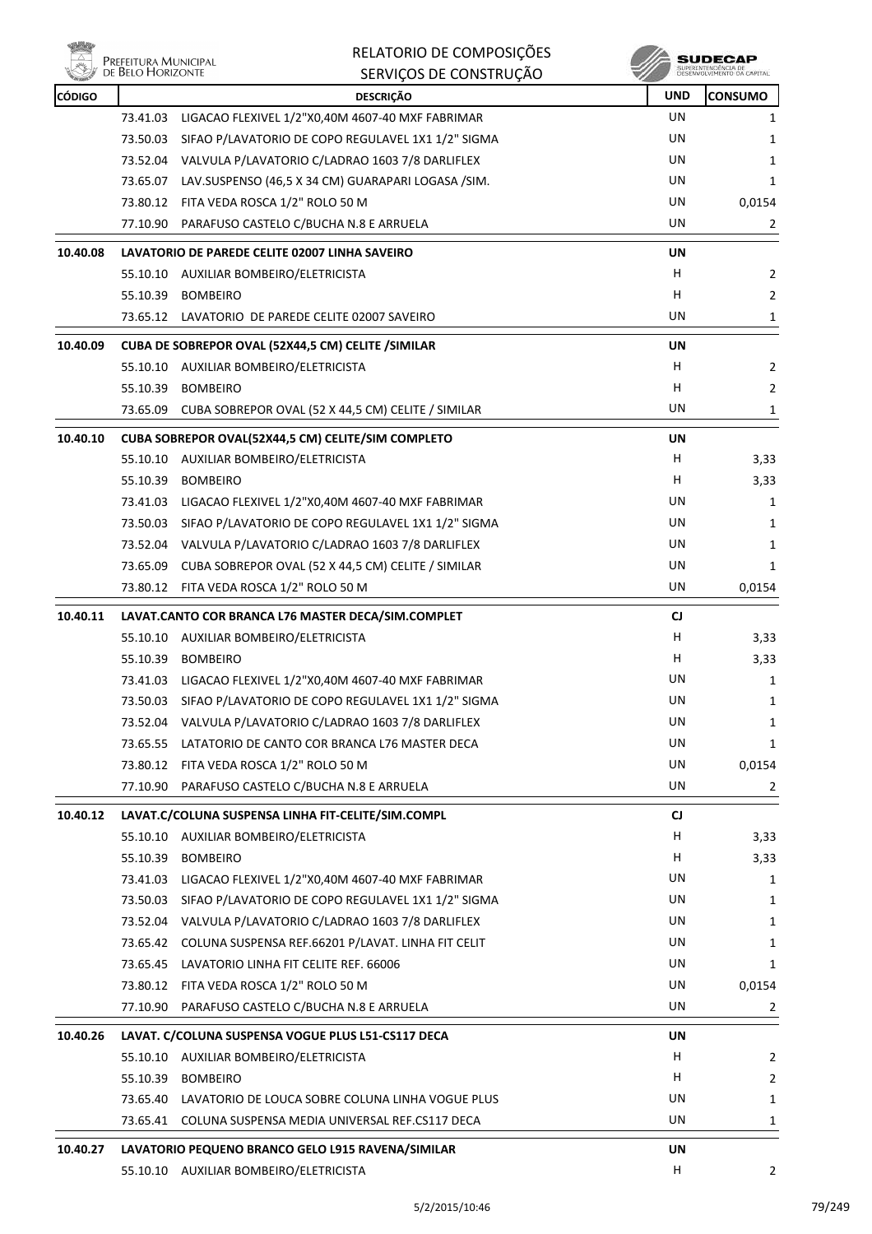

| <b>CÓDIGO</b> |          | <b>DESCRIÇÃO</b>                                            | <b>UND</b> | <b>CONSUMO</b> |
|---------------|----------|-------------------------------------------------------------|------------|----------------|
|               | 73.41.03 | LIGACAO FLEXIVEL 1/2"X0,40M 4607-40 MXF FABRIMAR            | UN         | 1              |
|               | 73.50.03 | SIFAO P/LAVATORIO DE COPO REGULAVEL 1X1 1/2" SIGMA          | UN         | 1              |
|               | 73.52.04 | VALVULA P/LAVATORIO C/LADRAO 1603 7/8 DARLIFLEX             | UN         | 1              |
|               | 73.65.07 | LAV.SUSPENSO (46,5 X 34 CM) GUARAPARI LOGASA / SIM.         | UN         | 1              |
|               |          | 73.80.12 FITA VEDA ROSCA 1/2" ROLO 50 M                     | UN         | 0,0154         |
|               | 77.10.90 | PARAFUSO CASTELO C/BUCHA N.8 E ARRUELA                      | UN         | 2              |
| 10.40.08      |          | LAVATORIO DE PAREDE CELITE 02007 LINHA SAVEIRO              | UN         |                |
|               |          | 55.10.10 AUXILIAR BOMBEIRO/ELETRICISTA                      | H          | 2              |
|               | 55.10.39 | <b>BOMBEIRO</b>                                             | н          | 2              |
|               |          | 73.65.12 LAVATORIO DE PAREDE CELITE 02007 SAVEIRO           | UN         | 1              |
| 10.40.09      |          | CUBA DE SOBREPOR OVAL (52X44,5 CM) CELITE / SIMILAR         | UN         |                |
|               |          | 55.10.10 AUXILIAR BOMBEIRO/ELETRICISTA                      | н          | 2              |
|               | 55.10.39 | <b>BOMBEIRO</b>                                             | н          | $\overline{2}$ |
|               | 73.65.09 | CUBA SOBREPOR OVAL (52 X 44,5 CM) CELITE / SIMILAR          | UN         | 1              |
|               |          |                                                             |            |                |
| 10.40.10      |          | CUBA SOBREPOR OVAL(52X44,5 CM) CELITE/SIM COMPLETO          | <b>UN</b>  |                |
|               |          | 55.10.10 AUXILIAR BOMBEIRO/ELETRICISTA                      | H          | 3,33           |
|               | 55.10.39 | <b>BOMBEIRO</b>                                             | H          | 3,33           |
|               | 73.41.03 | LIGACAO FLEXIVEL 1/2"X0,40M 4607-40 MXF FABRIMAR            | UN         | 1              |
|               | 73.50.03 | SIFAO P/LAVATORIO DE COPO REGULAVEL 1X1 1/2" SIGMA          | UN         | 1              |
|               |          | 73.52.04 VALVULA P/LAVATORIO C/LADRAO 1603 7/8 DARLIFLEX    | UN         | 1              |
|               | 73.65.09 | CUBA SOBREPOR OVAL (52 X 44,5 CM) CELITE / SIMILAR          | UN         | 1              |
|               |          | 73.80.12 FITA VEDA ROSCA 1/2" ROLO 50 M                     | UN         | 0,0154         |
| 10.40.11      |          | LAVAT.CANTO COR BRANCA L76 MASTER DECA/SIM.COMPLET          | CJ         |                |
|               |          | 55.10.10 AUXILIAR BOMBEIRO/ELETRICISTA                      | H          | 3,33           |
|               | 55.10.39 | <b>BOMBEIRO</b>                                             | H          | 3,33           |
|               | 73.41.03 | LIGACAO FLEXIVEL 1/2"X0,40M 4607-40 MXF FABRIMAR            | UN         | 1              |
|               |          | 73.50.03 SIFAO P/LAVATORIO DE COPO REGULAVEL 1X1 1/2" SIGMA | UN         | 1              |
|               |          | 73.52.04 VALVULA P/LAVATORIO C/LADRAO 1603 7/8 DARLIFLEX    | UN         | 1              |
|               |          | 73.65.55 LATATORIO DE CANTO COR BRANCA L76 MASTER DECA      | UN         | 1              |
|               | 73.80.12 | FITA VEDA ROSCA 1/2" ROLO 50 M                              | UN         | 0,0154         |
|               | 77.10.90 | PARAFUSO CASTELO C/BUCHA N.8 E ARRUELA                      | UN         | $\overline{2}$ |
| 10.40.12      |          | LAVAT.C/COLUNA SUSPENSA LINHA FIT-CELITE/SIM.COMPL          | CJ         |                |
|               |          | 55.10.10 AUXILIAR BOMBEIRO/ELETRICISTA                      | H          | 3,33           |
|               | 55.10.39 | <b>BOMBEIRO</b>                                             | H          | 3,33           |
|               | 73.41.03 | LIGACAO FLEXIVEL 1/2"X0,40M 4607-40 MXF FABRIMAR            | UN         | 1              |
|               | 73.50.03 | SIFAO P/LAVATORIO DE COPO REGULAVEL 1X1 1/2" SIGMA          | UN         | 1              |
|               |          | 73.52.04 VALVULA P/LAVATORIO C/LADRAO 1603 7/8 DARLIFLEX    | UN         | 1              |
|               | 73.65.42 | COLUNA SUSPENSA REF.66201 P/LAVAT. LINHA FIT CELIT          | UN         | 1              |
|               | 73.65.45 | LAVATORIO LINHA FIT CELITE REF. 66006                       | UN         | 1              |
|               | 73.80.12 | FITA VEDA ROSCA 1/2" ROLO 50 M                              | UN         | 0,0154         |
|               | 77.10.90 | PARAFUSO CASTELO C/BUCHA N.8 E ARRUELA                      | UN         | 2              |
| 10.40.26      |          | LAVAT. C/COLUNA SUSPENSA VOGUE PLUS L51-CS117 DECA          | UN         |                |
|               |          | 55.10.10 AUXILIAR BOMBEIRO/ELETRICISTA                      | H          | 2              |
|               | 55.10.39 | <b>BOMBEIRO</b>                                             | H          | 2              |
|               | 73.65.40 | LAVATORIO DE LOUCA SOBRE COLUNA LINHA VOGUE PLUS            | UN         | 1              |
|               | 73.65.41 | COLUNA SUSPENSA MEDIA UNIVERSAL REF.CS117 DECA              | UN         | 1              |
| 10.40.27      |          | LAVATORIO PEQUENO BRANCO GELO L915 RAVENA/SIMILAR           | UN         |                |
|               |          | 55.10.10 AUXILIAR BOMBEIRO/ELETRICISTA                      | H          | $\overline{2}$ |
|               |          |                                                             |            |                |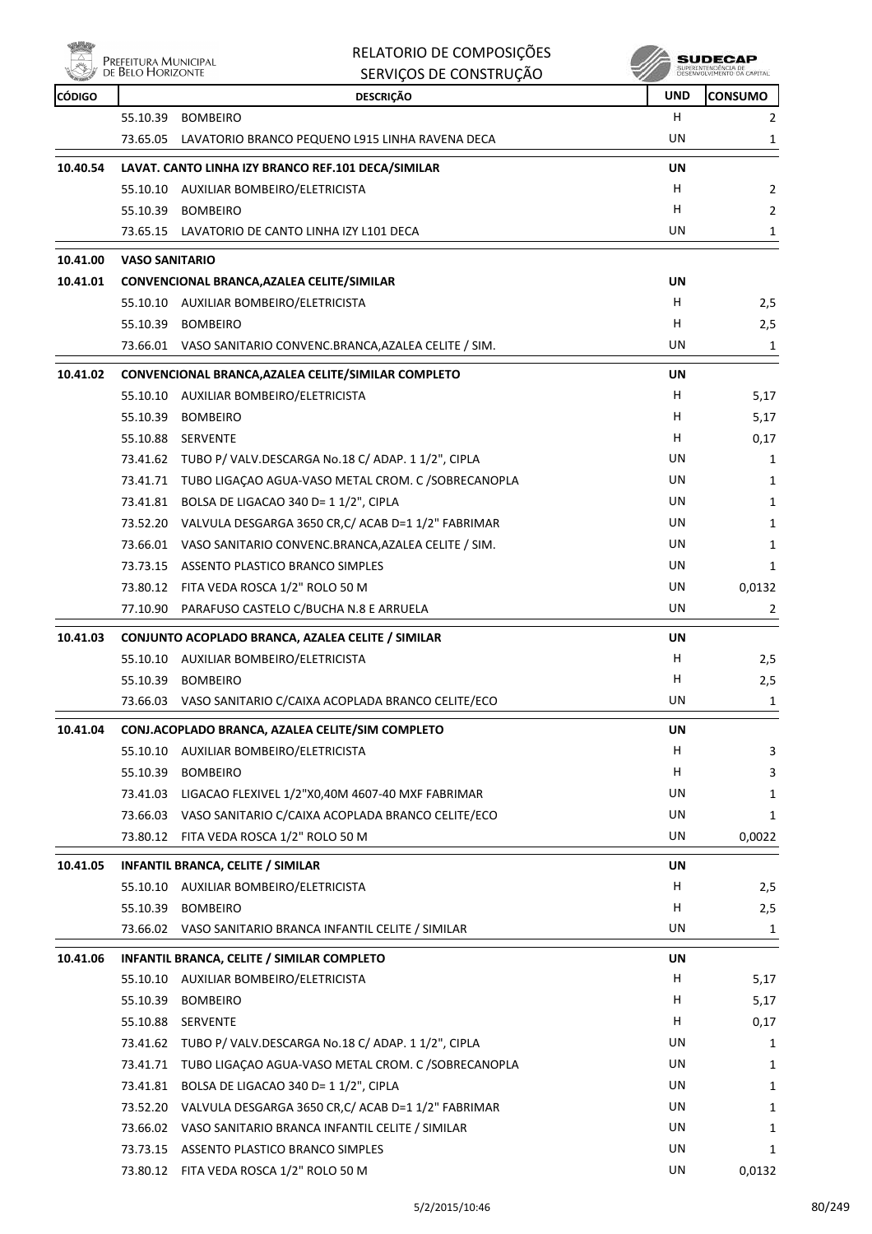

| <b>CÓDIGO</b> |                       | <b>DESCRIÇÃO</b>                                             | <b>UND</b> | <b>CONSUMO</b> |
|---------------|-----------------------|--------------------------------------------------------------|------------|----------------|
|               | 55.10.39              | <b>BOMBEIRO</b>                                              | н          | $\overline{2}$ |
|               |                       | 73.65.05 LAVATORIO BRANCO PEQUENO L915 LINHA RAVENA DECA     | UN         | 1              |
| 10.40.54      |                       | LAVAT. CANTO LINHA IZY BRANCO REF.101 DECA/SIMILAR           | <b>UN</b>  |                |
|               |                       | 55.10.10 AUXILIAR BOMBEIRO/ELETRICISTA                       | H          | $\overline{2}$ |
|               |                       | 55.10.39 BOMBEIRO                                            | H          | $\overline{2}$ |
|               |                       | 73.65.15 LAVATORIO DE CANTO LINHA IZY L101 DECA              | UN         | $\mathbf{1}$   |
| 10.41.00      | <b>VASO SANITARIO</b> |                                                              |            |                |
| 10.41.01      |                       | CONVENCIONAL BRANCA, AZALEA CELITE/SIMILAR                   | UN         |                |
|               |                       | 55.10.10 AUXILIAR BOMBEIRO/ELETRICISTA                       | H          | 2,5            |
|               |                       | 55.10.39 BOMBEIRO                                            | H          | 2,5            |
|               |                       | 73.66.01 VASO SANITARIO CONVENC.BRANCA, AZALEA CELITE / SIM. | UN         | 1              |
| 10.41.02      |                       | CONVENCIONAL BRANCA, AZALEA CELITE/SIMILAR COMPLETO          | UN         |                |
|               |                       | 55.10.10 AUXILIAR BOMBEIRO/ELETRICISTA                       | H          | 5,17           |
|               | 55.10.39              | <b>BOMBEIRO</b>                                              | H          | 5,17           |
|               |                       | 55.10.88 SERVENTE                                            | H          | 0,17           |
|               |                       | 73.41.62 TUBO P/ VALV.DESCARGA No.18 C/ ADAP. 1 1/2", CIPLA  | UN         | 1              |
|               |                       | 73.41.71 TUBO LIGAÇAO AGUA-VASO METAL CROM. C /SOBRECANOPLA  | UN         | 1              |
|               |                       | 73.41.81 BOLSA DE LIGACAO 340 D= 1 1/2", CIPLA               | UN         | 1              |
|               |                       | 73.52.20 VALVULA DESGARGA 3650 CR, C/ ACAB D=1 1/2" FABRIMAR | UN         | 1              |
|               |                       | 73.66.01 VASO SANITARIO CONVENC.BRANCA, AZALEA CELITE / SIM. | UN         | 1              |
|               |                       | 73.73.15 ASSENTO PLASTICO BRANCO SIMPLES                     | UN         | 1              |
|               |                       | 73.80.12 FITA VEDA ROSCA 1/2" ROLO 50 M                      | UN         | 0,0132         |
|               |                       | 77.10.90 PARAFUSO CASTELO C/BUCHA N.8 E ARRUELA              | UN         | 2              |
| 10.41.03      |                       | CONJUNTO ACOPLADO BRANCA, AZALEA CELITE / SIMILAR            | UN         |                |
|               |                       | 55.10.10 AUXILIAR BOMBEIRO/ELETRICISTA                       | H          | 2,5            |
|               | 55.10.39              | <b>BOMBEIRO</b>                                              | H          | 2,5            |
|               |                       | 73.66.03 VASO SANITARIO C/CAIXA ACOPLADA BRANCO CELITE/ECO   | UN         | 1              |
| 10.41.04      |                       | CONJ.ACOPLADO BRANCA, AZALEA CELITE/SIM COMPLETO             | <b>UN</b>  |                |
|               |                       | 55.10.10 AUXILIAR BOMBEIRO/ELETRICISTA                       | н          | 3              |
|               | 55.10.39              | <b>BOMBEIRO</b>                                              | H          | 3              |
|               | 73.41.03              | LIGACAO FLEXIVEL 1/2"X0,40M 4607-40 MXF FABRIMAR             | UN         | 1              |
|               |                       | 73.66.03 VASO SANITARIO C/CAIXA ACOPLADA BRANCO CELITE/ECO   | UN         | 1              |
|               |                       | 73.80.12 FITA VEDA ROSCA 1/2" ROLO 50 M                      | UN         | 0,0022         |
| 10.41.05      |                       | <b>INFANTIL BRANCA, CELITE / SIMILAR</b>                     | UN         |                |
|               |                       | 55.10.10 AUXILIAR BOMBEIRO/ELETRICISTA                       | H          | 2,5            |
|               | 55.10.39              | <b>BOMBEIRO</b>                                              | H          | 2,5            |
|               |                       | 73.66.02 VASO SANITARIO BRANCA INFANTIL CELITE / SIMILAR     | UN         | 1              |
| 10.41.06      |                       | <b>INFANTIL BRANCA, CELITE / SIMILAR COMPLETO</b>            | UN         |                |
|               |                       | 55.10.10 AUXILIAR BOMBEIRO/ELETRICISTA                       | Н.         | 5,17           |
|               |                       | 55.10.39 BOMBEIRO                                            | H          | 5,17           |
|               | 55.10.88              | SERVENTE                                                     | H          | 0,17           |
|               |                       | 73.41.62 TUBO P/ VALV.DESCARGA No.18 C/ ADAP. 1 1/2", CIPLA  | UN         | 1              |
|               |                       | 73.41.71 TUBO LIGAÇAO AGUA-VASO METAL CROM. C / SOBRECANOPLA | UN         | 1              |
|               |                       | 73.41.81 BOLSA DE LIGACAO 340 D= 1 1/2", CIPLA               | UN         | 1              |
|               |                       | 73.52.20 VALVULA DESGARGA 3650 CR, C/ ACAB D=1 1/2" FABRIMAR | UN         | 1              |
|               |                       | 73.66.02 VASO SANITARIO BRANCA INFANTIL CELITE / SIMILAR     | UN         | 1              |
|               |                       | 73.73.15 ASSENTO PLASTICO BRANCO SIMPLES                     | UN         | 1              |
|               |                       | 73.80.12 FITA VEDA ROSCA 1/2" ROLO 50 M                      | UN         | 0,0132         |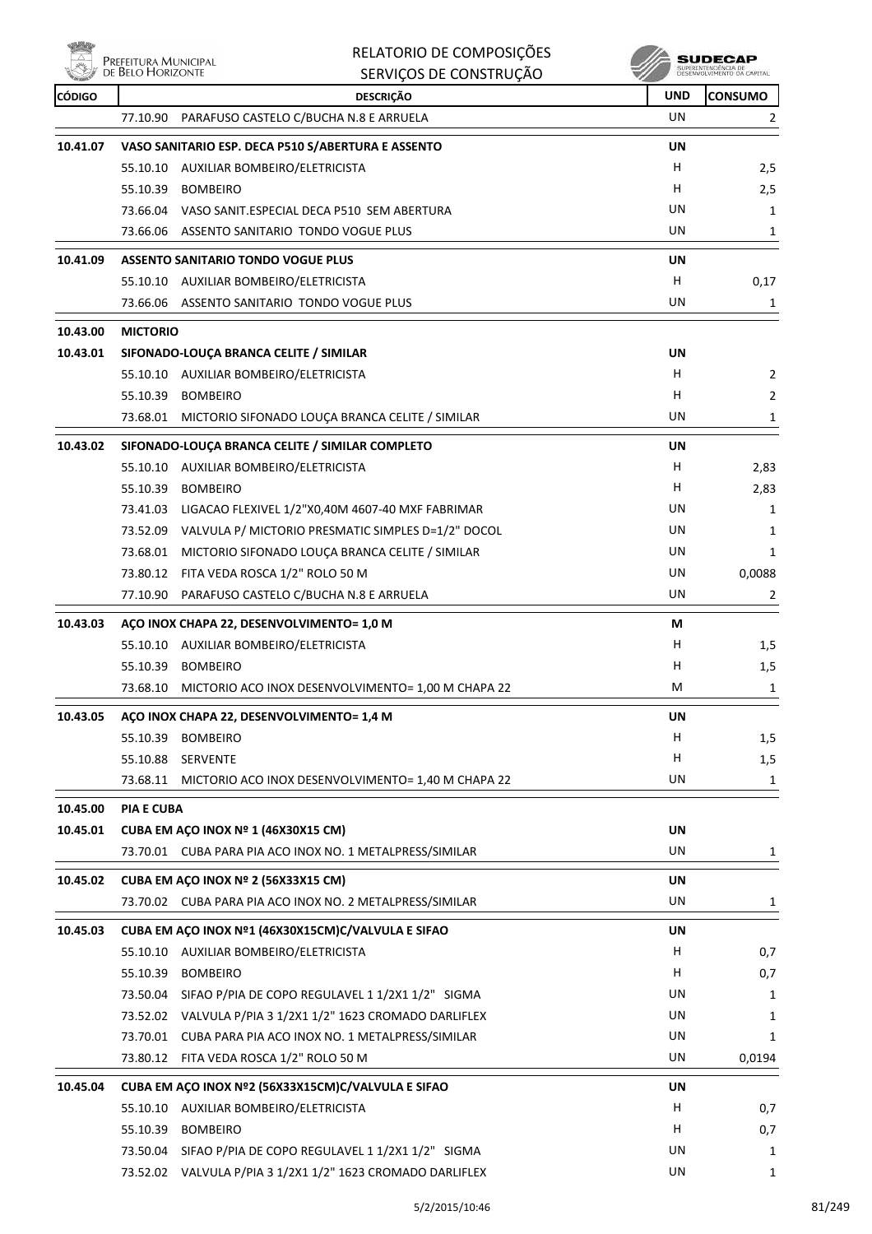**Willy** 

|                      |                                           | RELATORIO DE COMPOSIÇÕES                                    |           | SUDECAF        |
|----------------------|-------------------------------------------|-------------------------------------------------------------|-----------|----------------|
|                      | Prefeitura Municipal<br>de Belo Horizonte | SERVIÇOS DE CONSTRUÇÃO                                      |           |                |
| <b>CÓDIGO</b>        |                                           | <b>DESCRIÇÃO</b>                                            | UND       | <b>CONSUMO</b> |
|                      | 77.10.90                                  | PARAFUSO CASTELO C/BUCHA N.8 E ARRUELA                      | UN        | $\overline{2}$ |
| 10.41.07             |                                           | VASO SANITARIO ESP. DECA P510 S/ABERTURA E ASSENTO          | <b>UN</b> |                |
|                      | 55.10.10                                  | AUXILIAR BOMBEIRO/ELETRICISTA                               | H         | 2,5            |
|                      |                                           | 55.10.39 BOMBEIRO                                           | н         | 2,5            |
|                      |                                           | 73.66.04 VASO SANIT.ESPECIAL DECA P510 SEM ABERTURA         | UN        | 1              |
|                      |                                           | 73.66.06 ASSENTO SANITARIO TONDO VOGUE PLUS                 | UN        | 1              |
| 10.41.09             |                                           | <b>ASSENTO SANITARIO TONDO VOGUE PLUS</b>                   | UN        |                |
|                      | 55.10.10                                  | AUXILIAR BOMBEIRO/ELETRICISTA                               | H         | 0,17           |
|                      | 73.66.06                                  | ASSENTO SANITARIO TONDO VOGUE PLUS                          | UN        | 1              |
|                      |                                           |                                                             |           |                |
| 10.43.00             | <b>MICTORIO</b>                           |                                                             |           |                |
| 10.43.01             |                                           | SIFONADO-LOUÇA BRANCA CELITE / SIMILAR                      | UN        |                |
|                      |                                           | 55.10.10 AUXILIAR BOMBEIRO/ELETRICISTA                      | н         | 2              |
|                      |                                           | 55.10.39 BOMBEIRO                                           | н         | 2              |
|                      |                                           | 73.68.01 MICTORIO SIFONADO LOUÇA BRANCA CELITE / SIMILAR    | UN        | 1              |
| 10.43.02             |                                           | SIFONADO-LOUÇA BRANCA CELITE / SIMILAR COMPLETO             | UN        |                |
|                      |                                           | 55.10.10 AUXILIAR BOMBEIRO/ELETRICISTA                      | н         | 2,83           |
|                      |                                           | 55.10.39 BOMBEIRO                                           | н         | 2,83           |
|                      |                                           | 73.41.03 LIGACAO FLEXIVEL 1/2"X0,40M 4607-40 MXF FABRIMAR   | UN        | 1              |
|                      |                                           | 73.52.09 VALVULA P/ MICTORIO PRESMATIC SIMPLES D=1/2" DOCOL | UN        | 1              |
|                      |                                           | 73.68.01 MICTORIO SIFONADO LOUÇA BRANCA CELITE / SIMILAR    | UN        | 1              |
|                      |                                           | 73.80.12 FITA VEDA ROSCA 1/2" ROLO 50 M                     | UN        | 0,0088         |
|                      | 77.10.90                                  | PARAFUSO CASTELO C/BUCHA N.8 E ARRUELA                      | UN        | 2              |
| 10.43.03             |                                           | AÇO INOX CHAPA 22, DESENVOLVIMENTO= 1,0 M                   | М         |                |
|                      |                                           | 55.10.10 AUXILIAR BOMBEIRO/ELETRICISTA                      | н         | 1,5            |
|                      | 55.10.39                                  | <b>BOMBEIRO</b>                                             | н         | 1,5            |
|                      |                                           | 73.68.10 MICTORIO ACO INOX DESENVOLVIMENTO= 1,00 M CHAPA 22 | M         | 1              |
| 10.43.05             |                                           | ACO INOX CHAPA 22, DESENVOLVIMENTO= 1,4 M                   | <b>UN</b> |                |
|                      | 55.10.39                                  | <b>BOMBEIRO</b>                                             | H.        | 1,5            |
|                      | 55.10.88 SERVENTE                         |                                                             | н         | 1,5            |
|                      |                                           | 73.68.11 MICTORIO ACO INOX DESENVOLVIMENTO= 1,40 M CHAPA 22 | UN        | 1              |
|                      |                                           |                                                             |           |                |
| 10.45.00<br>10.45.01 | <b>PIA E CUBA</b>                         | <b>CUBA EM ACO INOX Nº 1 (46X30X15 CM)</b>                  | UN        |                |
|                      |                                           | 73.70.01 CUBA PARA PIA ACO INOX NO. 1 METALPRESS/SIMILAR    | UN        | 1              |
|                      |                                           |                                                             |           |                |
| 10.45.02             |                                           | CUBA EM ACO INOX Nº 2 (56X33X15 CM)                         | <b>UN</b> |                |
|                      |                                           | 73.70.02 CUBA PARA PIA ACO INOX NO. 2 METALPRESS/SIMILAR    | UN        | 1              |
| 10.45.03             |                                           | CUBA EM AÇO INOX Nº1 (46X30X15CM)C/VALVULA E SIFAO          | UN        |                |
|                      | 55.10.10                                  | AUXILIAR BOMBEIRO/ELETRICISTA                               | н         | 0,7            |
|                      |                                           | 55.10.39 BOMBEIRO                                           | H         | 0,7            |
|                      |                                           | 73.50.04 SIFAO P/PIA DE COPO REGULAVEL 1 1/2X1 1/2" SIGMA   | UN        | 1              |
|                      |                                           | 73.52.02 VALVULA P/PIA 3 1/2X1 1/2" 1623 CROMADO DARLIFLEX  | UN        | 1              |
|                      |                                           | 73.70.01 CUBA PARA PIA ACO INOX NO. 1 METALPRESS/SIMILAR    | UN        | 1              |
|                      |                                           | 73.80.12 FITA VEDA ROSCA 1/2" ROLO 50 M                     | UN        | 0,0194         |
| 10.45.04             |                                           | CUBA EM AÇO INOX Nº2 (56X33X15CM)C/VALVULA E SIFAO          | UN        |                |
|                      | 55.10.10                                  | AUXILIAR BOMBEIRO/ELETRICISTA                               | н         | 0,7            |
|                      |                                           | 55.10.39 BOMBEIRO                                           | н         | 0,7            |
|                      |                                           | 73.50.04 SIFAO P/PIA DE COPO REGULAVEL 1 1/2X1 1/2" SIGMA   | UN        | 1              |
|                      |                                           | 73.52.02 VALVULA P/PIA 3 1/2X1 1/2" 1623 CROMADO DARLIFLEX  | UN        | 1              |
|                      |                                           |                                                             |           |                |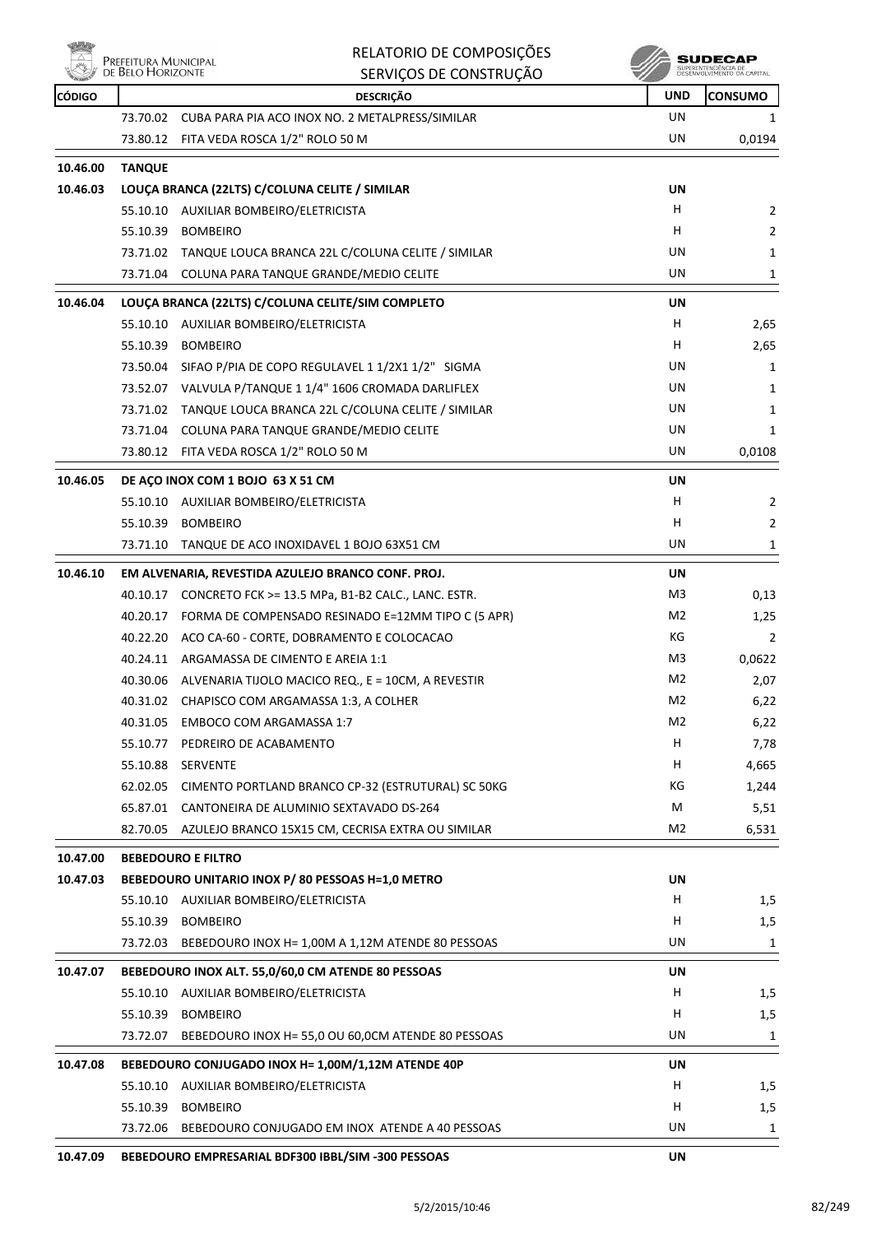

|               | Prefeitura Municipal<br>de Belo Horizonte | RELATORIO DE COMPOSIÇÕES                                    |                | SUDECAF        |
|---------------|-------------------------------------------|-------------------------------------------------------------|----------------|----------------|
|               |                                           | SERVIÇOS DE CONSTRUÇÃO                                      |                |                |
| <b>CÓDIGO</b> |                                           | <b>DESCRIÇÃO</b>                                            | <b>UND</b>     | <b>CONSUMO</b> |
|               |                                           | 73.70.02 CUBA PARA PIA ACO INOX NO. 2 METALPRESS/SIMILAR    | UN             | 1              |
|               |                                           | 73.80.12 FITA VEDA ROSCA 1/2" ROLO 50 M                     | UN             | 0,0194         |
| 10.46.00      | <b>TANQUE</b>                             |                                                             |                |                |
| 10.46.03      |                                           | LOUÇA BRANCA (22LTS) C/COLUNA CELITE / SIMILAR              | UN             |                |
|               |                                           | 55.10.10 AUXILIAR BOMBEIRO/ELETRICISTA                      | H.             | 2              |
|               |                                           | 55.10.39 BOMBEIRO                                           | H              | $\overline{2}$ |
|               |                                           | 73.71.02 TANQUE LOUCA BRANCA 22L C/COLUNA CELITE / SIMILAR  | UN             | 1              |
|               | 73.71.04                                  | COLUNA PARA TANQUE GRANDE/MEDIO CELITE                      | UN             | 1              |
| 10.46.04      |                                           | LOUÇA BRANCA (22LTS) C/COLUNA CELITE/SIM COMPLETO           | UN             |                |
|               |                                           | 55.10.10 AUXILIAR BOMBEIRO/ELETRICISTA                      | H              | 2,65           |
|               | 55.10.39                                  | <b>BOMBEIRO</b>                                             | H              | 2,65           |
|               |                                           | 73.50.04 SIFAO P/PIA DE COPO REGULAVEL 1 1/2X1 1/2" SIGMA   | UN             | 1              |
|               |                                           | 73.52.07 VALVULA P/TANQUE 1 1/4" 1606 CROMADA DARLIFLEX     | UN             | 1              |
|               |                                           | 73.71.02 TANQUE LOUCA BRANCA 22L C/COLUNA CELITE / SIMILAR  | UN             | 1              |
|               |                                           | 73.71.04 COLUNA PARA TANQUE GRANDE/MEDIO CELITE             | UN             | 1              |
|               |                                           | 73.80.12 FITA VEDA ROSCA 1/2" ROLO 50 M                     | UN             | 0,0108         |
| 10.46.05      |                                           | DE AÇO INOX COM 1 BOJO 63 X 51 CM                           | UN             |                |
|               |                                           | 55.10.10 AUXILIAR BOMBEIRO/ELETRICISTA                      | н              | 2              |
|               |                                           | 55.10.39 BOMBEIRO                                           | H.             | 2              |
|               |                                           | 73.71.10 TANQUE DE ACO INOXIDAVEL 1 BOJO 63X51 CM           | UN             | 1              |
| 10.46.10      |                                           | EM ALVENARIA, REVESTIDA AZULEJO BRANCO CONF. PROJ.          | UN             |                |
|               |                                           | 40.10.17 CONCRETO FCK >= 13.5 MPa, B1-B2 CALC., LANC. ESTR. | M3             | 0,13           |
|               |                                           | 40.20.17 FORMA DE COMPENSADO RESINADO E=12MM TIPO C (5 APR) | M <sub>2</sub> | 1,25           |
|               |                                           | 40.22.20 ACO CA-60 - CORTE, DOBRAMENTO E COLOCACAO          | KG             | $\overline{2}$ |
|               |                                           | 40.24.11 ARGAMASSA DE CIMENTO E AREIA 1:1                   | M3             | 0,0622         |
|               |                                           | 40.30.06 ALVENARIA TIJOLO MACICO REQ., E = 10CM, A REVESTIR | M <sub>2</sub> | 2,07           |
|               | 40.31.02                                  | CHAPISCO COM ARGAMASSA 1:3, A COLHER                        | M2             | 6,22           |
|               | 40.31.05                                  | EMBOCO COM ARGAMASSA 1:7                                    | M2             | 6,22           |
|               | 55.10.77                                  | PEDREIRO DE ACABAMENTO                                      | H              | 7,78           |
|               |                                           | 55.10.88 SERVENTE                                           | H.             | 4,665          |
|               |                                           | 62.02.05 CIMENTO PORTLAND BRANCO CP-32 (ESTRUTURAL) SC 50KG | КG             | 1,244          |
|               |                                           | 65.87.01 CANTONEIRA DE ALUMINIO SEXTAVADO DS-264            | M              | 5,51           |
|               | 82.70.05                                  | AZULEJO BRANCO 15X15 CM, CECRISA EXTRA OU SIMILAR           | M2             | 6,531          |
| 10.47.00      |                                           | <b>BEBEDOURO E FILTRO</b>                                   |                |                |
| 10.47.03      |                                           | BEBEDOURO UNITARIO INOX P/80 PESSOAS H=1,0 METRO            | UN             |                |
|               |                                           | 55.10.10 AUXILIAR BOMBEIRO/ELETRICISTA                      | H.             | 1,5            |
|               | 55.10.39                                  | <b>BOMBEIRO</b>                                             | H              | 1,5            |
|               | 73.72.03                                  | BEBEDOURO INOX H= 1,00M A 1,12M ATENDE 80 PESSOAS           | UN             | 1              |
|               |                                           |                                                             |                |                |
| 10.47.07      |                                           | BEBEDOURO INOX ALT. 55,0/60,0 CM ATENDE 80 PESSOAS          | UN             |                |
|               |                                           | 55.10.10 AUXILIAR BOMBEIRO/ELETRICISTA                      | H              | 1,5            |
|               |                                           | 55.10.39 BOMBEIRO                                           | H.             | 1,5            |
|               | 73.72.07                                  | BEBEDOURO INOX H= 55,0 OU 60,0CM ATENDE 80 PESSOAS          | UN             | 1              |
| 10.47.08      |                                           | BEBEDOURO CONJUGADO INOX H= 1,00M/1,12M ATENDE 40P          | UN             |                |
|               |                                           | 55.10.10 AUXILIAR BOMBEIRO/ELETRICISTA                      | н              | 1,5            |
|               | 55.10.39                                  | <b>BOMBEIRO</b>                                             | H.             | 1,5            |
|               | 73.72.06                                  | BEBEDOURO CONJUGADO EM INOX ATENDE A 40 PESSOAS             | UN             | 1              |
| 10.47.09      |                                           | BEBEDOURO EMPRESARIAL BDF300 IBBL/SIM -300 PESSOAS          | UN             |                |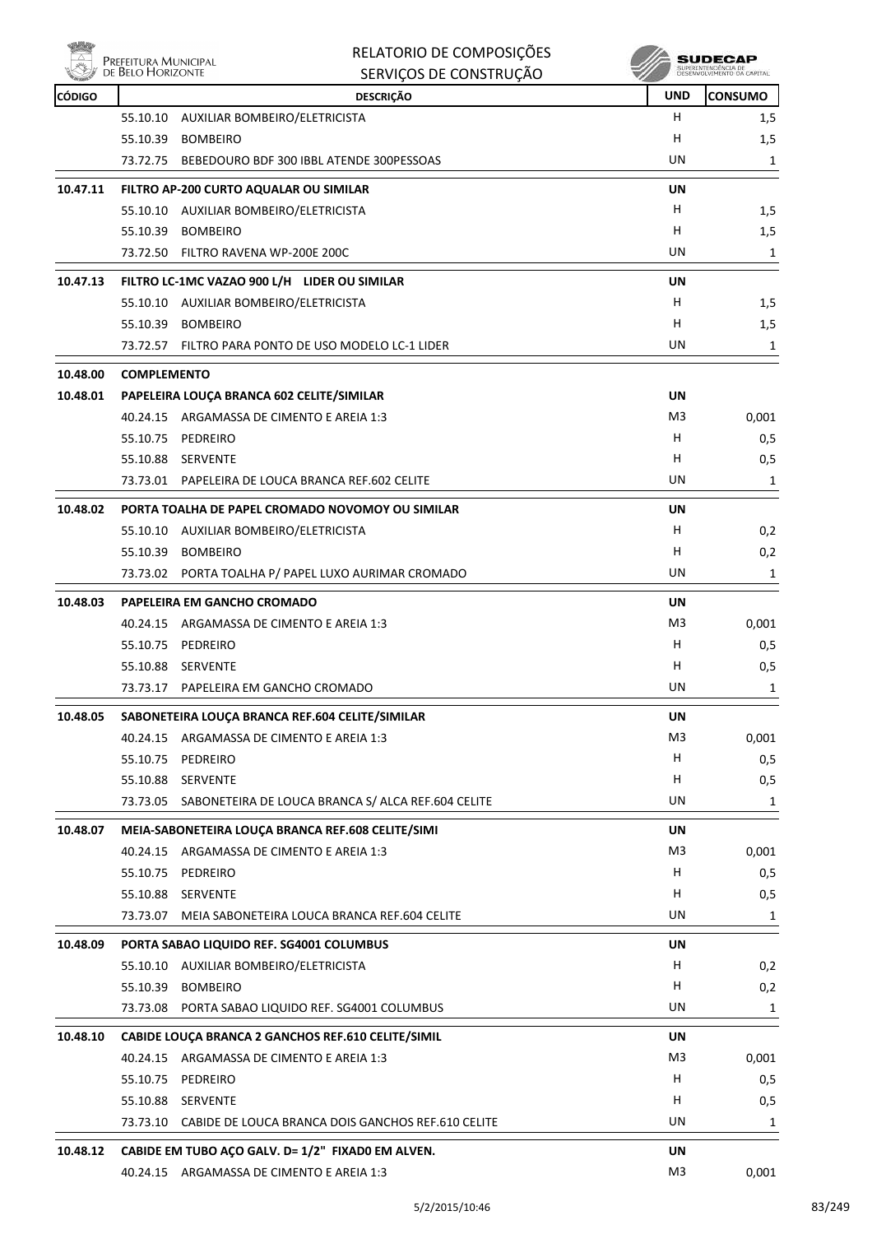

|               | DE BELO HORIZONTE  | SERVIÇOS DE CONSTRUÇÃO                                                 |            | SUPERINTENDÊNCIA DE<br>DESENVOLVIMENTO DA CAPITAL |
|---------------|--------------------|------------------------------------------------------------------------|------------|---------------------------------------------------|
| <b>CÓDIGO</b> |                    | <b>DESCRIÇÃO</b>                                                       | <b>UND</b> | <b>CONSUMO</b>                                    |
|               | 55.10.10           | AUXILIAR BOMBEIRO/ELETRICISTA                                          | н          | 1,5                                               |
|               | 55.10.39           | <b>BOMBEIRO</b>                                                        | H          | 1,5                                               |
|               | 73.72.75           | BEBEDOURO BDF 300 IBBL ATENDE 300PESSOAS                               | UN         | 1                                                 |
| 10.47.11      |                    | FILTRO AP-200 CURTO AQUALAR OU SIMILAR                                 | UN         |                                                   |
|               | 55.10.10           | AUXILIAR BOMBEIRO/ELETRICISTA                                          | н          | 1,5                                               |
|               | 55.10.39           | BOMBEIRO                                                               | H          | 1,5                                               |
|               |                    | 73.72.50 FILTRO RAVENA WP-200E 200C                                    | UN         | 1                                                 |
| 10.47.13      |                    | FILTRO LC-1MC VAZAO 900 L/H LIDER OU SIMILAR                           | UN         |                                                   |
|               |                    | 55.10.10 AUXILIAR BOMBEIRO/ELETRICISTA                                 | н          | 1,5                                               |
|               | 55.10.39           | <b>BOMBEIRO</b>                                                        | н          | 1,5                                               |
|               |                    | 73.72.57 FILTRO PARA PONTO DE USO MODELO LC-1 LIDER                    | UN         | 1                                                 |
| 10.48.00      | <b>COMPLEMENTO</b> |                                                                        |            |                                                   |
| 10.48.01      |                    | PAPELEIRA LOUÇA BRANCA 602 CELITE/SIMILAR                              | UN         |                                                   |
|               |                    | 40.24.15 ARGAMASSA DE CIMENTO E AREIA 1:3                              | M3         | 0,001                                             |
|               | 55.10.75           | PEDREIRO                                                               | н          | 0,5                                               |
|               |                    | 55.10.88 SERVENTE                                                      | H          | 0,5                                               |
|               |                    | 73.73.01 PAPELEIRA DE LOUCA BRANCA REF.602 CELITE                      | UN         | 1                                                 |
| 10.48.02      |                    | PORTA TOALHA DE PAPEL CROMADO NOVOMOY OU SIMILAR                       | UN         |                                                   |
|               |                    | 55.10.10 AUXILIAR BOMBEIRO/ELETRICISTA                                 | н          | 0,2                                               |
|               | 55.10.39           | <b>BOMBEIRO</b>                                                        | H          | 0,2                                               |
|               | 73.73.02           | PORTA TOALHA P/ PAPEL LUXO AURIMAR CROMADO                             | UN         | 1                                                 |
| 10.48.03      |                    | PAPELEIRA EM GANCHO CROMADO                                            | UN         |                                                   |
|               | 40.24.15           | ARGAMASSA DE CIMENTO E AREIA 1:3                                       | M3         | 0,001                                             |
|               | 55.10.75           | PEDREIRO                                                               | н          | 0,5                                               |
|               | 55.10.88           | SERVENTE                                                               | H          | 0,5                                               |
|               |                    | 73.73.17 PAPELEIRA EM GANCHO CROMADO                                   | UN         | 1                                                 |
| 10.48.05      |                    | SABONETEIRA LOUÇA BRANCA REF.604 CELITE/SIMILAR                        | UN         |                                                   |
|               |                    | 40.24.15 ARGAMASSA DE CIMENTO E AREIA 1:3                              | M3         | 0,001                                             |
|               |                    | 55.10.75 PEDREIRO                                                      | Н          | 0,5                                               |
|               |                    | 55.10.88 SERVENTE                                                      | н          | 0,5                                               |
|               |                    | 73.73.05 SABONETEIRA DE LOUCA BRANCA S/ ALCA REF.604 CELITE            | UN         | 1                                                 |
| 10.48.07      |                    | MEIA-SABONETEIRA LOUÇA BRANCA REF.608 CELITE/SIMI                      | UN         |                                                   |
|               |                    | 40.24.15 ARGAMASSA DE CIMENTO E AREIA 1:3                              | M3         | 0,001                                             |
|               |                    | 55.10.75 PEDREIRO                                                      | H.         | 0,5                                               |
|               |                    | 55.10.88 SERVENTE                                                      | H          | 0,5                                               |
|               | 73.73.07           | MEIA SABONETEIRA LOUCA BRANCA REF.604 CELITE                           | UN         | 1                                                 |
|               |                    |                                                                        |            |                                                   |
| 10.48.09      |                    | PORTA SABAO LIQUIDO REF. SG4001 COLUMBUS                               | UN         |                                                   |
|               |                    | 55.10.10 AUXILIAR BOMBEIRO/ELETRICISTA                                 | H<br>H     | 0,2                                               |
|               |                    | 55.10.39 BOMBEIRO<br>73.73.08 PORTA SABAO LIQUIDO REF. SG4001 COLUMBUS | UN         | 0,2                                               |
|               |                    |                                                                        |            | 1                                                 |
| 10.48.10      |                    | CABIDE LOUÇA BRANCA 2 GANCHOS REF.610 CELITE/SIMIL                     | UN         |                                                   |
|               |                    | 40.24.15 ARGAMASSA DE CIMENTO E AREIA 1:3                              | M3         | 0,001                                             |
|               |                    | 55.10.75 PEDREIRO                                                      | H.         | 0,5                                               |
|               |                    | 55.10.88 SERVENTE                                                      | H          | 0,5                                               |
|               |                    | 73.73.10 CABIDE DE LOUCA BRANCA DOIS GANCHOS REF.610 CELITE            | UN         | 1                                                 |
| 10.48.12      |                    | CABIDE EM TUBO AÇO GALV. D= 1/2" FIXAD0 EM ALVEN.                      | UN         |                                                   |
|               |                    | 40.24.15 ARGAMASSA DE CIMENTO E AREIA 1:3                              | M3         | 0,001                                             |

RELATORIO DE COMPOSIÇÕES

 $\mathscr{U}$  sudecap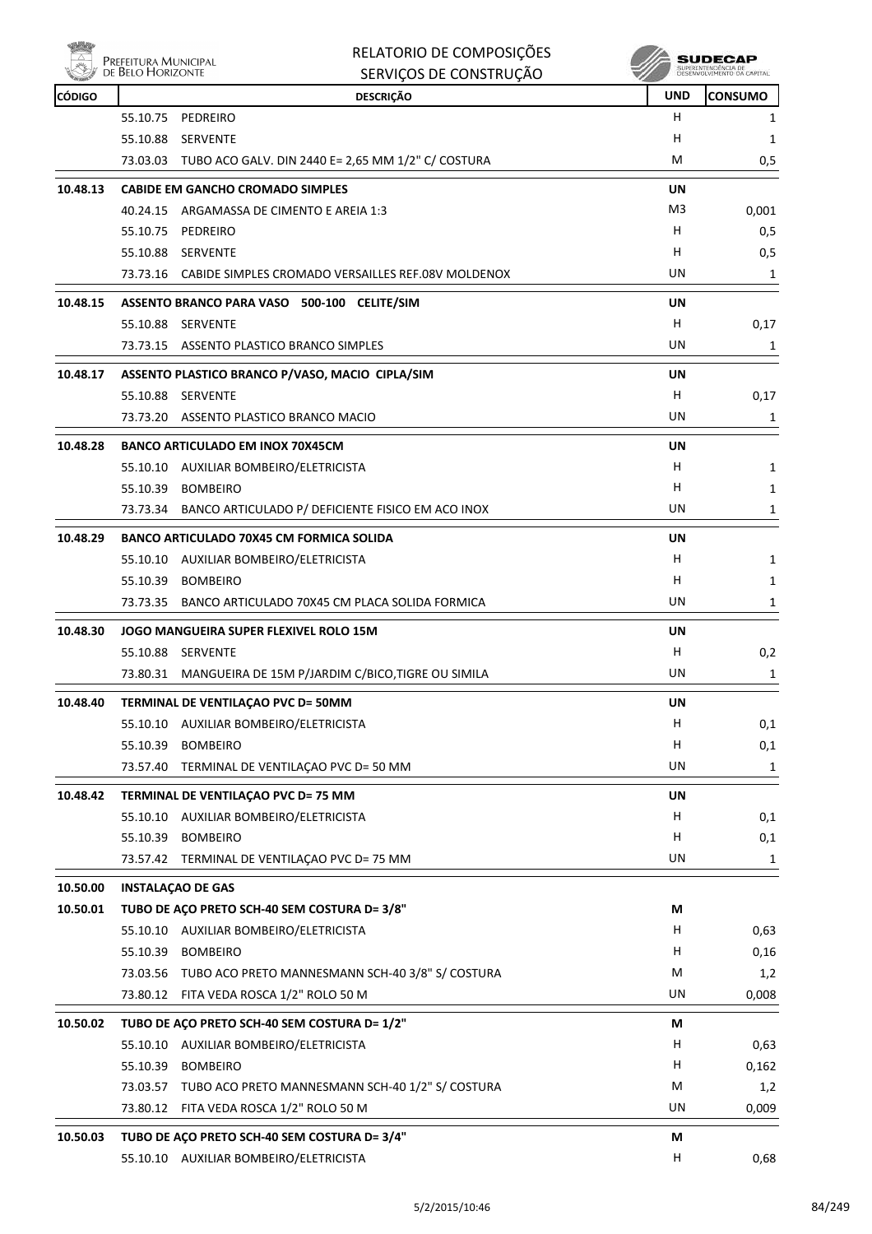| PREFEITURA MU<br>DE BELO HORIZO |
|---------------------------------|

| RELATORIO DE COMPOSIÇÕES |
|--------------------------|
| SERVICOS DE CONSTRUÇÃO   |

|               | PREFEITURA MUNICIPAL<br>DE BELO HORIZONTE | <b>RELATORIO DE COMPOSIÇÕES</b>                                                  |            | SUDECAP<br>SUPERINTENDÊNCIA DE<br>DESENVOLVIMENTO DA CAPITAL |
|---------------|-------------------------------------------|----------------------------------------------------------------------------------|------------|--------------------------------------------------------------|
| <b>CÓDIGO</b> |                                           | SERVIÇOS DE CONSTRUÇÃO                                                           | <b>UND</b> | <b>CONSUMO</b>                                               |
|               | 55.10.75                                  | <b>DESCRIÇÃO</b><br>PEDREIRO                                                     | н          | 1                                                            |
|               | 55.10.88                                  | <b>SERVENTE</b>                                                                  | н          | 1                                                            |
|               |                                           | 73.03.03 TUBO ACO GALV. DIN 2440 E= 2,65 MM 1/2" C/ COSTURA                      | М          | 0,5                                                          |
|               |                                           |                                                                                  |            |                                                              |
| 10.48.13      |                                           | <b>CABIDE EM GANCHO CROMADO SIMPLES</b>                                          | UN         |                                                              |
|               | 40.24.15                                  | ARGAMASSA DE CIMENTO E AREIA 1:3                                                 | M3         | 0,001                                                        |
|               | 55.10.75                                  | PEDREIRO                                                                         | н          | 0,5                                                          |
|               |                                           | 55.10.88 SERVENTE<br>73.73.16 CABIDE SIMPLES CROMADO VERSAILLES REF.08V MOLDENOX | н<br>UN    | 0,5<br>1                                                     |
|               |                                           |                                                                                  |            |                                                              |
| 10.48.15      | 55.10.88                                  | ASSENTO BRANCO PARA VASO 500-100 CELITE/SIM<br>SERVENTE                          | UN<br>н    |                                                              |
|               |                                           | 73.73.15 ASSENTO PLASTICO BRANCO SIMPLES                                         | UN         | 0,17<br>1                                                    |
|               |                                           |                                                                                  |            |                                                              |
| 10.48.17      |                                           | ASSENTO PLASTICO BRANCO P/VASO, MACIO CIPLA/SIM                                  | UN         |                                                              |
|               | 55.10.88                                  | SERVENTE                                                                         | н          | 0,17                                                         |
|               | 73.73.20                                  | ASSENTO PLASTICO BRANCO MACIO                                                    | UN         | 1                                                            |
| 10.48.28      |                                           | <b>BANCO ARTICULADO EM INOX 70X45CM</b>                                          | UN         |                                                              |
|               |                                           | 55.10.10 AUXILIAR BOMBEIRO/ELETRICISTA                                           | н          | 1                                                            |
|               | 55.10.39                                  | <b>BOMBEIRO</b>                                                                  | н          | 1                                                            |
|               | 73.73.34                                  | BANCO ARTICULADO P/ DEFICIENTE FISICO EM ACO INOX                                | UN         | 1                                                            |
| 10.48.29      |                                           | <b>BANCO ARTICULADO 70X45 CM FORMICA SOLIDA</b>                                  | UN         |                                                              |
|               |                                           | 55.10.10 AUXILIAR BOMBEIRO/ELETRICISTA                                           | н          | 1                                                            |
|               | 55.10.39                                  | <b>BOMBEIRO</b>                                                                  | н          | 1                                                            |
|               | 73.73.35                                  | BANCO ARTICULADO 70X45 CM PLACA SOLIDA FORMICA                                   | UN         | 1                                                            |
| 10.48.30      |                                           | JOGO MANGUEIRA SUPER FLEXIVEL ROLO 15M                                           | UN         |                                                              |
|               |                                           | 55.10.88 SERVENTE                                                                | H          | 0,2                                                          |
|               |                                           | 73.80.31 MANGUEIRA DE 15M P/JARDIM C/BICO, TIGRE OU SIMILA                       | UN         | 1                                                            |
| 10.48.40      |                                           | TERMINAL DE VENTILAÇÃO PVC D= 50MM                                               | UN         |                                                              |
|               |                                           | 55.10.10 AUXILIAR BOMBEIRO/ELETRICISTA                                           | н          | 0,1                                                          |
|               | 55.10.39                                  | <b>BOMBEIRO</b>                                                                  | н          | 0,1                                                          |
|               | 73.57.40                                  | TERMINAL DE VENTILAÇÃO PVC D= 50 MM                                              | UN         | 1                                                            |
| 10.48.42      |                                           | TERMINAL DE VENTILAÇÃO PVC D= 75 MM                                              | <b>UN</b>  |                                                              |
|               |                                           | 55.10.10 AUXILIAR BOMBEIRO/ELETRICISTA                                           | H          | 0,1                                                          |
|               | 55.10.39                                  | <b>BOMBEIRO</b>                                                                  | н          | 0,1                                                          |
|               |                                           | 73.57.42 TERMINAL DE VENTILAÇÃO PVC D= 75 MM                                     | UN         | $\mathbf{1}$                                                 |
| 10.50.00      |                                           | <b>INSTALAÇÃO DE GAS</b>                                                         |            |                                                              |
| 10.50.01      |                                           | TUBO DE AÇO PRETO SCH-40 SEM COSTURA D= 3/8"                                     | М          |                                                              |
|               |                                           | 55.10.10 AUXILIAR BOMBEIRO/ELETRICISTA                                           | H          | 0,63                                                         |
|               | 55.10.39                                  | <b>BOMBEIRO</b>                                                                  | H          | 0,16                                                         |
|               |                                           | 73.03.56 TUBO ACO PRETO MANNESMANN SCH-40 3/8" S/ COSTURA                        | М          | 1,2                                                          |
|               |                                           | 73.80.12 FITA VEDA ROSCA 1/2" ROLO 50 M                                          | UN         | 0,008                                                        |
| 10.50.02      |                                           | TUBO DE AÇO PRETO SCH-40 SEM COSTURA D= 1/2"                                     | М          |                                                              |
|               |                                           | 55.10.10 AUXILIAR BOMBEIRO/ELETRICISTA                                           | H          | 0,63                                                         |
|               | 55.10.39                                  | <b>BOMBEIRO</b>                                                                  | H          | 0,162                                                        |
|               |                                           | 73.03.57 TUBO ACO PRETO MANNESMANN SCH-40 1/2" S/ COSTURA                        | M          | 1,2                                                          |
|               |                                           | 73.80.12 FITA VEDA ROSCA 1/2" ROLO 50 M                                          | UN         | 0,009                                                        |
| 10.50.03      |                                           | TUBO DE AÇO PRETO SCH-40 SEM COSTURA D= 3/4"                                     | М          |                                                              |
|               |                                           | 55.10.10 AUXILIAR BOMBEIRO/ELETRICISTA                                           | н          | 0,68                                                         |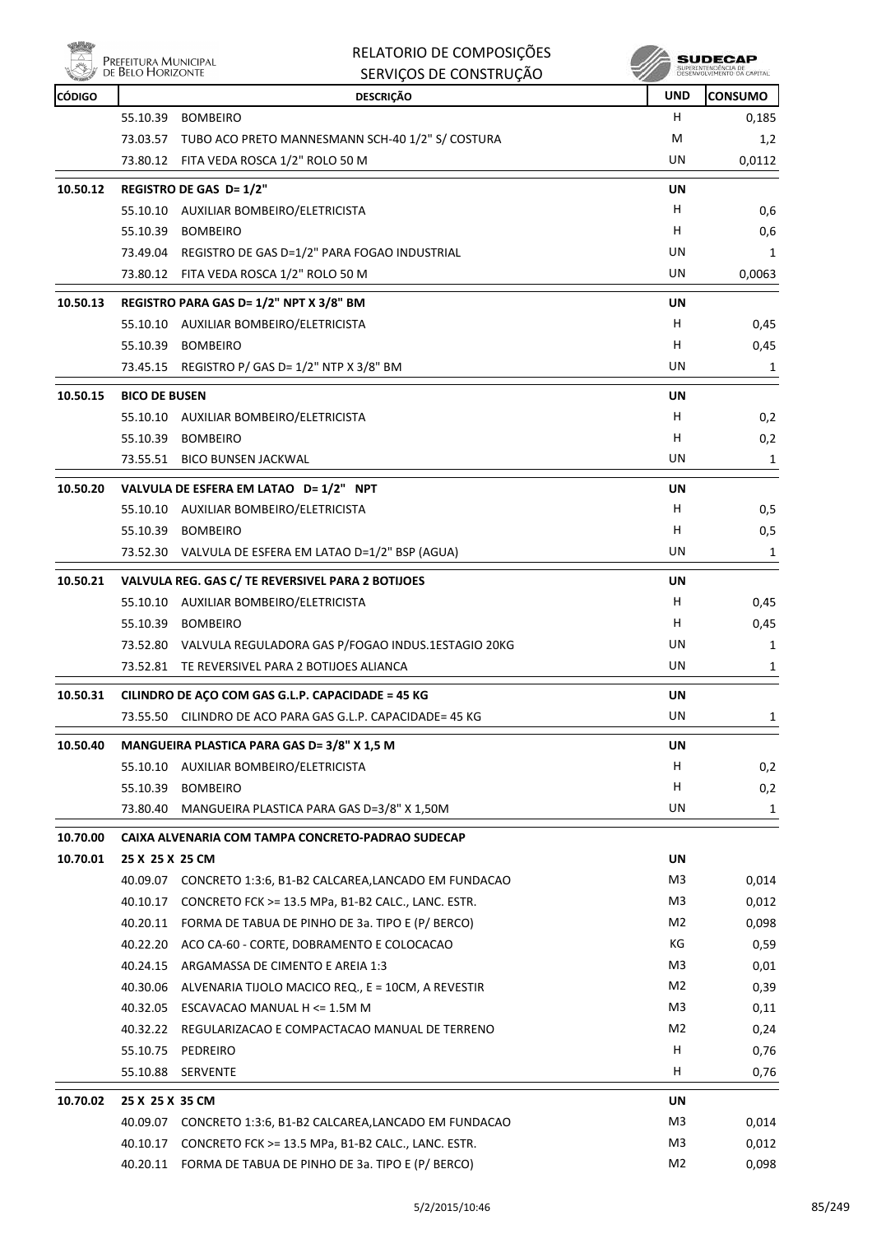

| RELATORIO DE COMPOSIÇÕES |
|--------------------------|
| SERVIÇOS DE CONSTRUÇÃO   |

| <b>CÓDIGO</b> |                      | <b>DESCRIÇÃO</b>                                            | <b>UND</b>     | <b>CONSUMO</b> |
|---------------|----------------------|-------------------------------------------------------------|----------------|----------------|
|               | 55.10.39             | <b>BOMBEIRO</b>                                             | н              | 0,185          |
|               |                      | 73.03.57 TUBO ACO PRETO MANNESMANN SCH-40 1/2" S/ COSTURA   | M              | 1,2            |
|               |                      | 73.80.12 FITA VEDA ROSCA 1/2" ROLO 50 M                     | UN             | 0,0112         |
| 10.50.12      |                      | <b>REGISTRO DE GAS D= 1/2"</b>                              | UN             |                |
|               |                      | 55.10.10 AUXILIAR BOMBEIRO/ELETRICISTA                      | H              | 0,6            |
|               | 55.10.39             | <b>BOMBEIRO</b>                                             | н              | 0,6            |
|               |                      | 73.49.04 REGISTRO DE GAS D=1/2" PARA FOGAO INDUSTRIAL       | UN             | 1              |
|               |                      | 73.80.12 FITA VEDA ROSCA 1/2" ROLO 50 M                     | UN             | 0,0063         |
| 10.50.13      |                      | REGISTRO PARA GAS D= 1/2" NPT X 3/8" BM                     | UN             |                |
|               |                      | 55.10.10 AUXILIAR BOMBEIRO/ELETRICISTA                      | н              | 0,45           |
|               |                      | 55.10.39 BOMBEIRO                                           | н              | 0,45           |
|               |                      | 73.45.15 REGISTRO P/ GAS D= 1/2" NTP X 3/8" BM              | UN             | 1              |
|               | <b>BICO DE BUSEN</b> |                                                             |                |                |
| 10.50.15      |                      | 55.10.10 AUXILIAR BOMBEIRO/ELETRICISTA                      | UN<br>H        |                |
|               |                      |                                                             |                | 0,2            |
|               | 55.10.39             | <b>BOMBEIRO</b>                                             | H              | 0,2            |
|               |                      | 73.55.51 BICO BUNSEN JACKWAL                                | UN             | 1              |
| 10.50.20      |                      | VALVULA DE ESFERA EM LATAO D= 1/2" NPT                      | UN             |                |
|               |                      | 55.10.10 AUXILIAR BOMBEIRO/ELETRICISTA                      | н              | 0,5            |
|               |                      | 55.10.39 BOMBEIRO                                           | н              | 0,5            |
|               |                      | 73.52.30 VALVULA DE ESFERA EM LATAO D=1/2" BSP (AGUA)       | UN             | 1              |
| 10.50.21      |                      | VALVULA REG. GAS C/ TE REVERSIVEL PARA 2 BOTIJOES           | <b>UN</b>      |                |
|               |                      | 55.10.10 AUXILIAR BOMBEIRO/ELETRICISTA                      | H              | 0,45           |
|               |                      | 55.10.39 BOMBEIRO                                           | H              | 0,45           |
|               |                      | 73.52.80 VALVULA REGULADORA GAS P/FOGAO INDUS.1ESTAGIO 20KG | UN             | 1              |
|               |                      | 73.52.81 TE REVERSIVEL PARA 2 BOTIJOES ALIANCA              | UN             | 1              |
| 10.50.31      |                      | CILINDRO DE AÇO COM GAS G.L.P. CAPACIDADE = 45 KG           | UN             |                |
|               | 73.55.50             | CILINDRO DE ACO PARA GAS G.L.P. CAPACIDADE= 45 KG           | UN             | 1              |
| 10.50.40      |                      | MANGUEIRA PLASTICA PARA GAS D= 3/8" X 1,5 M                 | <b>UN</b>      |                |
|               |                      | 55.10.10 AUXILIAR BOMBEIRO/ELETRICISTA                      | H              | 0,2            |
|               | 55.10.39             | <b>BOMBEIRO</b>                                             | н              | 0,2            |
|               |                      | 73.80.40 MANGUEIRA PLASTICA PARA GAS D=3/8" X 1,50M         | UN             | 1              |
| 10.70.00      |                      | CAIXA ALVENARIA COM TAMPA CONCRETO-PADRAO SUDECAP           |                |                |
| 10.70.01      | 25 X 25 X 25 CM      |                                                             | UN             |                |
|               |                      | 40.09.07 CONCRETO 1:3:6, B1-B2 CALCAREA,LANCADO EM FUNDACAO | M3             | 0,014          |
|               |                      | 40.10.17 CONCRETO FCK >= 13.5 MPa, B1-B2 CALC., LANC. ESTR. | M3             | 0,012          |
|               |                      | 40.20.11 FORMA DE TABUA DE PINHO DE 3a. TIPO E (P/ BERCO)   | M2             | 0,098          |
|               |                      | 40.22.20 ACO CA-60 - CORTE, DOBRAMENTO E COLOCACAO          | КG             | 0,59           |
|               | 40.24.15             | ARGAMASSA DE CIMENTO E AREIA 1:3                            | M3             | 0,01           |
|               |                      | 40.30.06 ALVENARIA TIJOLO MACICO REQ., E = 10CM, A REVESTIR | M2             | 0,39           |
|               |                      | 40.32.05 ESCAVACAO MANUAL H <= 1.5M M                       | M3             | 0,11           |
|               |                      | 40.32.22 REGULARIZACAO E COMPACTACAO MANUAL DE TERRENO      | M2             | 0,24           |
|               | 55.10.75             | PEDREIRO                                                    | н              | 0,76           |
|               | 55.10.88             | SERVENTE                                                    | H              | 0,76           |
|               |                      |                                                             |                |                |
| 10.70.02      | 25 X 25 X 35 CM      |                                                             | UN             |                |
|               |                      | 40.09.07 CONCRETO 1:3:6, B1-B2 CALCAREA,LANCADO EM FUNDACAO | M3             | 0,014          |
|               |                      | 40.10.17 CONCRETO FCK >= 13.5 MPa, B1-B2 CALC., LANC. ESTR. | M3             | 0,012          |
|               |                      | 40.20.11 FORMA DE TABUA DE PINHO DE 3a. TIPO E (P/ BERCO)   | M <sub>2</sub> | 0,098          |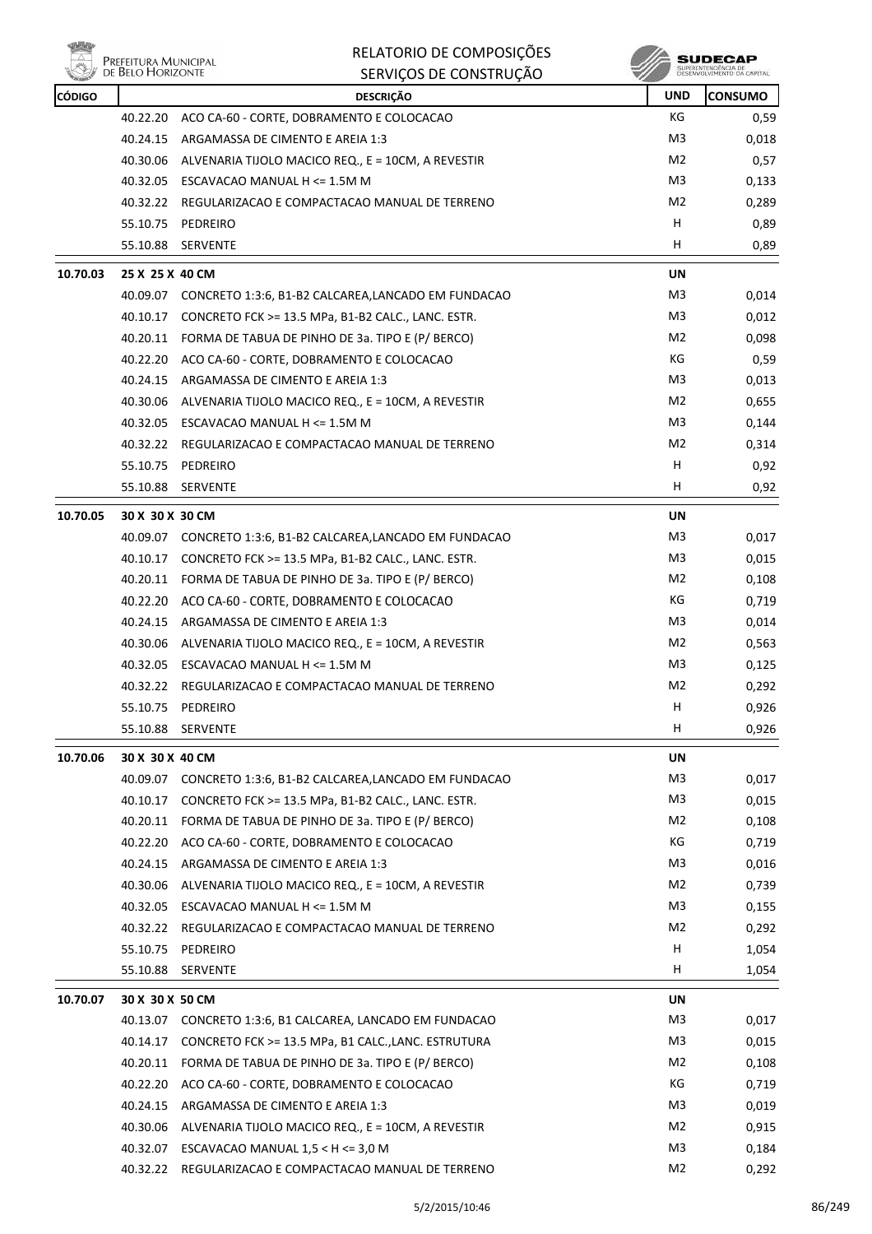

| <b>CÓDIGO</b> |                 | <b>DESCRIÇÃO</b>                                            | <b>UND</b>     | <b>CONSUMO</b> |
|---------------|-----------------|-------------------------------------------------------------|----------------|----------------|
|               | 40.22.20        | ACO CA-60 - CORTE, DOBRAMENTO E COLOCACAO                   | КG             | 0,59           |
|               | 40.24.15        | ARGAMASSA DE CIMENTO E AREIA 1:3                            | M <sub>3</sub> | 0,018          |
|               | 40.30.06        | ALVENARIA TIJOLO MACICO REQ., E = 10CM, A REVESTIR          | M <sub>2</sub> | 0,57           |
|               |                 | 40.32.05 ESCAVACAO MANUAL H <= 1.5M M                       | M3             | 0,133          |
|               |                 | 40.32.22 REGULARIZACAO E COMPACTACAO MANUAL DE TERRENO      | M2             | 0,289          |
|               | 55.10.75        | PEDREIRO                                                    | н              | 0,89           |
|               | 55.10.88        | SERVENTE                                                    | н              | 0,89           |
| 10.70.03      | 25 X 25 X 40 CM |                                                             | <b>UN</b>      |                |
|               |                 | 40.09.07 CONCRETO 1:3:6, B1-B2 CALCAREA,LANCADO EM FUNDACAO | M3             | 0,014          |
|               |                 | 40.10.17 CONCRETO FCK >= 13.5 MPa, B1-B2 CALC., LANC. ESTR. | M3             | 0,012          |
|               |                 | 40.20.11 FORMA DE TABUA DE PINHO DE 3a. TIPO E (P/ BERCO)   | M2             | 0,098          |
|               |                 | 40.22.20 ACO CA-60 - CORTE, DOBRAMENTO E COLOCACAO          | КG             | 0,59           |
|               |                 | 40.24.15 ARGAMASSA DE CIMENTO E AREIA 1:3                   | M3             | 0,013          |
|               | 40.30.06        | ALVENARIA TIJOLO MACICO REQ., E = 10CM, A REVESTIR          | M2             | 0,655          |
|               |                 | 40.32.05 ESCAVACAO MANUAL H <= 1.5M M                       | M <sub>3</sub> | 0,144          |
|               |                 | 40.32.22 REGULARIZACAO E COMPACTACAO MANUAL DE TERRENO      | M2             | 0,314          |
|               |                 | 55.10.75 PEDREIRO                                           | н              | 0,92           |
|               | 55.10.88        | <b>SERVENTE</b>                                             | Н              | 0,92           |
| 10.70.05      | 30 X 30 X 30 CM |                                                             | UN             |                |
|               |                 | 40.09.07 CONCRETO 1:3:6, B1-B2 CALCAREA,LANCADO EM FUNDACAO | M3             | 0,017          |
|               |                 | 40.10.17 CONCRETO FCK >= 13.5 MPa, B1-B2 CALC., LANC. ESTR. | M3             | 0,015          |
|               |                 | 40.20.11 FORMA DE TABUA DE PINHO DE 3a. TIPO E (P/ BERCO)   | M2             | 0,108          |
|               |                 | 40.22.20 ACO CA-60 - CORTE, DOBRAMENTO E COLOCACAO          | КG             | 0,719          |
|               |                 | 40.24.15 ARGAMASSA DE CIMENTO E AREIA 1:3                   | M3             | 0,014          |
|               | 40.30.06        | ALVENARIA TIJOLO MACICO REQ., E = 10CM, A REVESTIR          | M2             | 0,563          |
|               | 40.32.05        | ESCAVACAO MANUAL H <= 1.5M M                                | M3             | 0,125          |
|               |                 | 40.32.22 REGULARIZACAO E COMPACTACAO MANUAL DE TERRENO      | M2             | 0,292          |
|               | 55.10.75        | PEDREIRO                                                    | н              | 0,926          |
|               | 55.10.88        | SERVENTE                                                    | H              | 0,926          |
| 10.70.06      | 30 X 30 X 40 CM |                                                             | UN             |                |
|               | 40.09.07        | CONCRETO 1:3:6, B1-B2 CALCAREA, LANCADO EM FUNDACAO         | M <sub>3</sub> | 0,017          |
|               | 40.10.17        | CONCRETO FCK >= 13.5 MPa, B1-B2 CALC., LANC. ESTR.          | M3             | 0,015          |
|               | 40.20.11        | FORMA DE TABUA DE PINHO DE 3a. TIPO E (P/ BERCO)            | M2             | 0,108          |
|               | 40.22.20        | ACO CA-60 - CORTE, DOBRAMENTO E COLOCACAO                   | КG             | 0,719          |
|               | 40.24.15        | ARGAMASSA DE CIMENTO E AREIA 1:3                            | M3             | 0,016          |
|               | 40.30.06        | ALVENARIA TIJOLO MACICO REQ., E = 10CM, A REVESTIR          | M2             | 0,739          |
|               |                 | 40.32.05 ESCAVACAO MANUAL H <= 1.5M M                       | M3             | 0,155          |
|               |                 | 40.32.22 REGULARIZACAO E COMPACTACAO MANUAL DE TERRENO      | M2             | 0,292          |
|               | 55.10.75        | PEDREIRO                                                    | н              | 1,054          |
|               | 55.10.88        | SERVENTE                                                    | н              | 1,054          |
| 10.70.07      | 30 X 30 X 50 CM |                                                             | UN             |                |
|               |                 | 40.13.07 CONCRETO 1:3:6, B1 CALCAREA, LANCADO EM FUNDACAO   | M <sub>3</sub> | 0,017          |
|               | 40.14.17        | CONCRETO FCK >= 13.5 MPa, B1 CALC., LANC. ESTRUTURA         | M3             | 0,015          |
|               | 40.20.11        | FORMA DE TABUA DE PINHO DE 3a. TIPO E (P/ BERCO)            | M2             | 0,108          |
|               | 40.22.20        | ACO CA-60 - CORTE, DOBRAMENTO E COLOCACAO                   | КG             | 0,719          |
|               | 40.24.15        | ARGAMASSA DE CIMENTO E AREIA 1:3                            | M3             | 0,019          |
|               | 40.30.06        | ALVENARIA TIJOLO MACICO REQ., E = 10CM, A REVESTIR          | M <sub>2</sub> | 0,915          |
|               | 40.32.07        | ESCAVACAO MANUAL $1,5 < H < = 3,0 M$                        | M <sub>3</sub> | 0,184          |
|               |                 | 40.32.22 REGULARIZACAO E COMPACTACAO MANUAL DE TERRENO      | M <sub>2</sub> | 0,292          |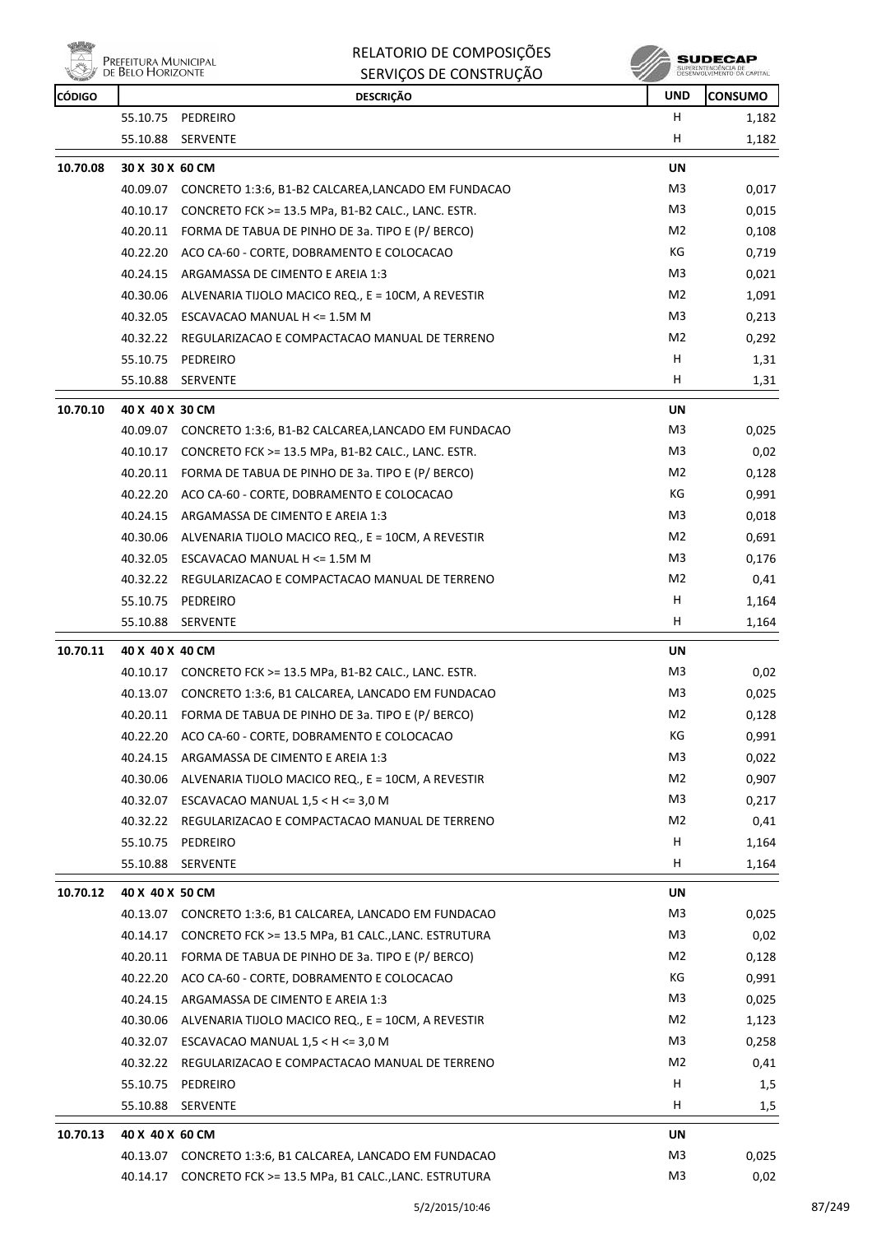|  | PREFEITURA MUNICIPAL<br>DE BELO HORIZONTE |
|--|-------------------------------------------|
|--|-------------------------------------------|

| <b>UND</b><br><b>CÓDIGO</b><br><b>DESCRIÇÃO</b><br>PEDREIRO<br>н<br>55.10.75<br>H<br>55.10.88<br>SERVENTE<br>10.70.08<br>30 X 30 X 60 CM<br>UN<br>M3<br>40.09.07 CONCRETO 1:3:6, B1-B2 CALCAREA,LANCADO EM FUNDACAO<br>M <sub>3</sub><br>40.10.17<br>CONCRETO FCK >= 13.5 MPa, B1-B2 CALC., LANC. ESTR.<br>M2<br>40.20.11<br>FORMA DE TABUA DE PINHO DE 3a. TIPO E (P/ BERCO)<br>КG<br>40.22.20<br>ACO CA-60 - CORTE, DOBRAMENTO E COLOCACAO<br>M3<br>40.24.15<br>ARGAMASSA DE CIMENTO E AREIA 1:3<br>M2<br>40.30.06<br>ALVENARIA TIJOLO MACICO REQ., E = 10CM, A REVESTIR<br>40.32.05<br>ESCAVACAO MANUAL H <= 1.5M M<br>M3<br>M2<br>40.32.22<br>REGULARIZACAO E COMPACTACAO MANUAL DE TERRENO<br>н<br>55.10.75<br>PEDREIRO<br>H.<br>55.10.88<br>SERVENTE |                |
|------------------------------------------------------------------------------------------------------------------------------------------------------------------------------------------------------------------------------------------------------------------------------------------------------------------------------------------------------------------------------------------------------------------------------------------------------------------------------------------------------------------------------------------------------------------------------------------------------------------------------------------------------------------------------------------------------------------------------------------------------------|----------------|
|                                                                                                                                                                                                                                                                                                                                                                                                                                                                                                                                                                                                                                                                                                                                                            | <b>CONSUMO</b> |
|                                                                                                                                                                                                                                                                                                                                                                                                                                                                                                                                                                                                                                                                                                                                                            | 1,182          |
|                                                                                                                                                                                                                                                                                                                                                                                                                                                                                                                                                                                                                                                                                                                                                            | 1,182          |
|                                                                                                                                                                                                                                                                                                                                                                                                                                                                                                                                                                                                                                                                                                                                                            |                |
|                                                                                                                                                                                                                                                                                                                                                                                                                                                                                                                                                                                                                                                                                                                                                            | 0,017          |
|                                                                                                                                                                                                                                                                                                                                                                                                                                                                                                                                                                                                                                                                                                                                                            | 0,015          |
|                                                                                                                                                                                                                                                                                                                                                                                                                                                                                                                                                                                                                                                                                                                                                            | 0,108          |
|                                                                                                                                                                                                                                                                                                                                                                                                                                                                                                                                                                                                                                                                                                                                                            | 0,719          |
|                                                                                                                                                                                                                                                                                                                                                                                                                                                                                                                                                                                                                                                                                                                                                            | 0,021          |
|                                                                                                                                                                                                                                                                                                                                                                                                                                                                                                                                                                                                                                                                                                                                                            | 1,091          |
|                                                                                                                                                                                                                                                                                                                                                                                                                                                                                                                                                                                                                                                                                                                                                            | 0,213          |
|                                                                                                                                                                                                                                                                                                                                                                                                                                                                                                                                                                                                                                                                                                                                                            | 0,292          |
|                                                                                                                                                                                                                                                                                                                                                                                                                                                                                                                                                                                                                                                                                                                                                            | 1,31           |
|                                                                                                                                                                                                                                                                                                                                                                                                                                                                                                                                                                                                                                                                                                                                                            | 1,31           |
| 10.70.10<br>40 X 40 X 30 CM<br>UN                                                                                                                                                                                                                                                                                                                                                                                                                                                                                                                                                                                                                                                                                                                          |                |
| M3<br>CONCRETO 1:3:6, B1-B2 CALCAREA,LANCADO EM FUNDACAO<br>40.09.07                                                                                                                                                                                                                                                                                                                                                                                                                                                                                                                                                                                                                                                                                       | 0,025          |
| M3<br>40.10.17<br>CONCRETO FCK >= 13.5 MPa, B1-B2 CALC., LANC. ESTR.                                                                                                                                                                                                                                                                                                                                                                                                                                                                                                                                                                                                                                                                                       | 0,02           |
| M2<br>40.20.11<br>FORMA DE TABUA DE PINHO DE 3a. TIPO E (P/ BERCO)                                                                                                                                                                                                                                                                                                                                                                                                                                                                                                                                                                                                                                                                                         | 0,128          |
| КG<br>40.22.20 ACO CA-60 - CORTE, DOBRAMENTO E COLOCACAO                                                                                                                                                                                                                                                                                                                                                                                                                                                                                                                                                                                                                                                                                                   | 0,991          |
| M <sub>3</sub><br>40.24.15<br>ARGAMASSA DE CIMENTO E AREIA 1:3                                                                                                                                                                                                                                                                                                                                                                                                                                                                                                                                                                                                                                                                                             | 0,018          |
| M2<br>40.30.06<br>ALVENARIA TIJOLO MACICO REQ., E = 10CM, A REVESTIR                                                                                                                                                                                                                                                                                                                                                                                                                                                                                                                                                                                                                                                                                       | 0,691          |
| M3<br>40.32.05<br>ESCAVACAO MANUAL H <= 1.5M M                                                                                                                                                                                                                                                                                                                                                                                                                                                                                                                                                                                                                                                                                                             | 0,176          |
| M2<br>40.32.22<br>REGULARIZACAO E COMPACTACAO MANUAL DE TERRENO                                                                                                                                                                                                                                                                                                                                                                                                                                                                                                                                                                                                                                                                                            | 0,41           |
| н<br>55.10.75<br>PEDREIRO                                                                                                                                                                                                                                                                                                                                                                                                                                                                                                                                                                                                                                                                                                                                  | 1,164          |
| н<br>55.10.88<br>SERVENTE                                                                                                                                                                                                                                                                                                                                                                                                                                                                                                                                                                                                                                                                                                                                  | 1,164          |
|                                                                                                                                                                                                                                                                                                                                                                                                                                                                                                                                                                                                                                                                                                                                                            |                |
| 10.70.11<br>40 X 40 X 40 CM<br>UN                                                                                                                                                                                                                                                                                                                                                                                                                                                                                                                                                                                                                                                                                                                          |                |
| M3<br>40.10.17 CONCRETO FCK >= 13.5 MPa, B1-B2 CALC., LANC. ESTR.                                                                                                                                                                                                                                                                                                                                                                                                                                                                                                                                                                                                                                                                                          | 0,02           |
| M <sub>3</sub><br>40.13.07<br>CONCRETO 1:3:6, B1 CALCAREA, LANCADO EM FUNDACAO                                                                                                                                                                                                                                                                                                                                                                                                                                                                                                                                                                                                                                                                             | 0,025          |
| M2<br>40.20.11 FORMA DE TABUA DE PINHO DE 3a. TIPO E (P/ BERCO)                                                                                                                                                                                                                                                                                                                                                                                                                                                                                                                                                                                                                                                                                            | 0,128          |
| 40.22.20<br>ACO CA-60 - CORTE, DOBRAMENTO E COLOCACAO<br>КG                                                                                                                                                                                                                                                                                                                                                                                                                                                                                                                                                                                                                                                                                                | 0,991          |
| M3<br>40.24.15<br>ARGAMASSA DE CIMENTO E AREIA 1:3                                                                                                                                                                                                                                                                                                                                                                                                                                                                                                                                                                                                                                                                                                         | 0,022          |
| M2<br>40.30.06<br>ALVENARIA TIJOLO MACICO REQ., E = 10CM, A REVESTIR                                                                                                                                                                                                                                                                                                                                                                                                                                                                                                                                                                                                                                                                                       | 0,907          |
| 40.32.07<br>ESCAVACAO MANUAL $1,5 < H < = 3,0 M$<br>M3                                                                                                                                                                                                                                                                                                                                                                                                                                                                                                                                                                                                                                                                                                     | 0,217          |
| M <sub>2</sub><br>40.32.22<br>REGULARIZACAO E COMPACTACAO MANUAL DE TERRENO                                                                                                                                                                                                                                                                                                                                                                                                                                                                                                                                                                                                                                                                                | 0,41           |
| н<br>55.10.75<br>PEDREIRO                                                                                                                                                                                                                                                                                                                                                                                                                                                                                                                                                                                                                                                                                                                                  | 1,164          |
| н<br>55.10.88<br>SERVENTE                                                                                                                                                                                                                                                                                                                                                                                                                                                                                                                                                                                                                                                                                                                                  | 1,164          |
| 10.70.12<br>40 X 40 X 50 CM<br>UN                                                                                                                                                                                                                                                                                                                                                                                                                                                                                                                                                                                                                                                                                                                          |                |
| M3<br>40.13.07<br>CONCRETO 1:3:6, B1 CALCAREA, LANCADO EM FUNDACAO                                                                                                                                                                                                                                                                                                                                                                                                                                                                                                                                                                                                                                                                                         | 0,025          |
| M3<br>40.14.17<br>CONCRETO FCK >= 13.5 MPa, B1 CALC., LANC. ESTRUTURA                                                                                                                                                                                                                                                                                                                                                                                                                                                                                                                                                                                                                                                                                      | 0,02           |
| M2<br>40.20.11<br>FORMA DE TABUA DE PINHO DE 3a. TIPO E (P/ BERCO)                                                                                                                                                                                                                                                                                                                                                                                                                                                                                                                                                                                                                                                                                         | 0,128          |
| КG<br>40.22.20<br>ACO CA-60 - CORTE, DOBRAMENTO E COLOCACAO                                                                                                                                                                                                                                                                                                                                                                                                                                                                                                                                                                                                                                                                                                | 0,991          |
| M <sub>3</sub><br>40.24.15<br>ARGAMASSA DE CIMENTO E AREIA 1:3                                                                                                                                                                                                                                                                                                                                                                                                                                                                                                                                                                                                                                                                                             | 0,025          |
| M2<br>40.30.06<br>ALVENARIA TIJOLO MACICO REQ., E = 10CM, A REVESTIR                                                                                                                                                                                                                                                                                                                                                                                                                                                                                                                                                                                                                                                                                       | 1,123          |
| M3<br>40.32.07<br>ESCAVACAO MANUAL $1,5 < H < = 3,0 M$                                                                                                                                                                                                                                                                                                                                                                                                                                                                                                                                                                                                                                                                                                     | 0,258          |
| M2<br>40.32.22<br>REGULARIZACAO E COMPACTACAO MANUAL DE TERRENO                                                                                                                                                                                                                                                                                                                                                                                                                                                                                                                                                                                                                                                                                            | 0,41           |
| н<br>55.10.75<br>PEDREIRO                                                                                                                                                                                                                                                                                                                                                                                                                                                                                                                                                                                                                                                                                                                                  | 1,5            |
| H<br>55.10.88<br><b>SERVENTE</b>                                                                                                                                                                                                                                                                                                                                                                                                                                                                                                                                                                                                                                                                                                                           | 1,5            |
| 10.70.13<br>40 X 40 X 60 CM<br>UN                                                                                                                                                                                                                                                                                                                                                                                                                                                                                                                                                                                                                                                                                                                          |                |
| M3<br>40.13.07 CONCRETO 1:3:6, B1 CALCAREA, LANCADO EM FUNDACAO                                                                                                                                                                                                                                                                                                                                                                                                                                                                                                                                                                                                                                                                                            |                |
| M3<br>40.14.17<br>CONCRETO FCK >= 13.5 MPa, B1 CALC., LANC. ESTRUTURA                                                                                                                                                                                                                                                                                                                                                                                                                                                                                                                                                                                                                                                                                      | 0,025          |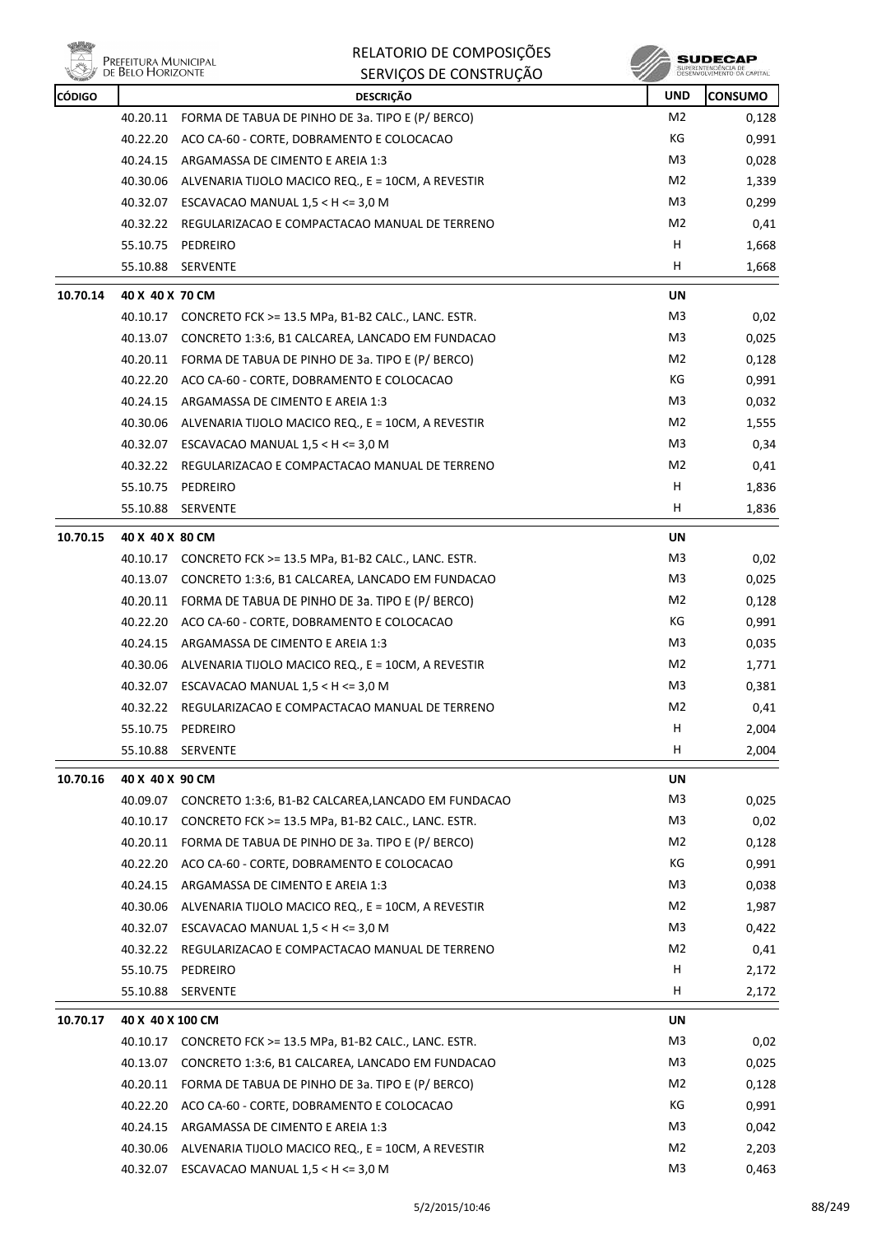

| <b>CÓDIGO</b> |                  | <u>senviços de constino</u><br><b>DESCRIÇÃO</b>             | <b>UND</b>     | <b>CONSUMO</b> |
|---------------|------------------|-------------------------------------------------------------|----------------|----------------|
|               | 40.20.11         | FORMA DE TABUA DE PINHO DE 3a. TIPO E (P/ BERCO)            | M2             | 0,128          |
|               |                  | 40.22.20 ACO CA-60 - CORTE, DOBRAMENTO E COLOCACAO          | КG             | 0,991          |
|               | 40.24.15         | ARGAMASSA DE CIMENTO E AREIA 1:3                            | M3             | 0,028          |
|               |                  | 40.30.06 ALVENARIA TIJOLO MACICO REQ., E = 10CM, A REVESTIR | M2             | 1,339          |
|               |                  | 40.32.07 ESCAVACAO MANUAL $1,5 < H < = 3,0 M$               | M3             | 0,299          |
|               |                  | 40.32.22 REGULARIZACAO E COMPACTACAO MANUAL DE TERRENO      | M2             | 0,41           |
|               |                  | 55.10.75 PEDREIRO                                           | H              | 1,668          |
|               |                  | 55.10.88 SERVENTE                                           | H              | 1,668          |
| 10.70.14      | 40 X 40 X 70 CM  |                                                             | <b>UN</b>      |                |
|               |                  | 40.10.17 CONCRETO FCK >= 13.5 MPa, B1-B2 CALC., LANC. ESTR. | M <sub>3</sub> | 0,02           |
|               |                  | 40.13.07 CONCRETO 1:3:6, B1 CALCAREA, LANCADO EM FUNDACAO   | M3             | 0,025          |
|               |                  | 40.20.11 FORMA DE TABUA DE PINHO DE 3a. TIPO E (P/ BERCO)   | M2             | 0,128          |
|               | 40.22.20         | ACO CA-60 - CORTE, DOBRAMENTO E COLOCACAO                   | КG             | 0,991          |
|               |                  | 40.24.15 ARGAMASSA DE CIMENTO E AREIA 1:3                   | M3             | 0,032          |
|               |                  | 40.30.06 ALVENARIA TIJOLO MACICO REQ., E = 10CM, A REVESTIR | M <sub>2</sub> | 1,555          |
|               |                  | 40.32.07 ESCAVACAO MANUAL 1,5 < H <= 3,0 M                  | M3             | 0,34           |
|               |                  |                                                             | M2             |                |
|               | 55.10.75         | 40.32.22 REGULARIZACAO E COMPACTACAO MANUAL DE TERRENO      | Н              | 0,41           |
|               | 55.10.88         | PEDREIRO                                                    | H              | 1,836          |
|               |                  | SERVENTE                                                    |                | 1,836          |
| 10.70.15      | 40 X 40 X 80 CM  |                                                             | UN             |                |
|               |                  | 40.10.17 CONCRETO FCK >= 13.5 MPa, B1-B2 CALC., LANC. ESTR. | M3             | 0,02           |
|               |                  | 40.13.07 CONCRETO 1:3:6, B1 CALCAREA, LANCADO EM FUNDACAO   | M3             | 0,025          |
|               |                  | 40.20.11 FORMA DE TABUA DE PINHO DE 3a. TIPO E (P/ BERCO)   | M2             | 0,128          |
|               |                  | 40.22.20 ACO CA-60 - CORTE, DOBRAMENTO E COLOCACAO          | КG             | 0,991          |
|               | 40.24.15         | ARGAMASSA DE CIMENTO E AREIA 1:3                            | M3             | 0,035          |
|               |                  | 40.30.06 ALVENARIA TIJOLO MACICO REQ., E = 10CM, A REVESTIR | M2             | 1,771          |
|               |                  | 40.32.07 ESCAVACAO MANUAL 1,5 < H <= 3,0 M                  | M3             | 0,381          |
|               |                  | 40.32.22 REGULARIZACAO E COMPACTACAO MANUAL DE TERRENO      | M <sub>2</sub> | 0,41           |
|               | 55.10.75         | PEDREIRO                                                    | H              | 2,004          |
|               | 55.10.88         | SERVENTE                                                    | H              | 2,004          |
| 10.70.16      | 40 X 40 X 90 CM  |                                                             | UN             |                |
|               | 40.09.07         | CONCRETO 1:3:6, B1-B2 CALCAREA, LANCADO EM FUNDACAO         | M <sub>3</sub> | 0,025          |
|               | 40.10.17         | CONCRETO FCK >= 13.5 MPa, B1-B2 CALC., LANC. ESTR.          | M3             | 0,02           |
|               | 40.20.11         | FORMA DE TABUA DE PINHO DE 3a. TIPO E (P/ BERCO)            | M <sub>2</sub> | 0,128          |
|               | 40.22.20         | ACO CA-60 - CORTE, DOBRAMENTO E COLOCACAO                   | КG             | 0,991          |
|               | 40.24.15         | ARGAMASSA DE CIMENTO E AREIA 1:3                            | M3             | 0,038          |
|               | 40.30.06         | ALVENARIA TIJOLO MACICO REQ., E = 10CM, A REVESTIR          | M <sub>2</sub> | 1,987          |
|               | 40.32.07         | ESCAVACAO MANUAL $1,5 < H < = 3,0 M$                        | M <sub>3</sub> | 0,422          |
|               | 40.32.22         | REGULARIZACAO E COMPACTACAO MANUAL DE TERRENO               | M <sub>2</sub> | 0,41           |
|               | 55.10.75         | PEDREIRO                                                    | н              | 2,172          |
|               | 55.10.88         | SERVENTE                                                    | H.             | 2,172          |
| 10.70.17      | 40 X 40 X 100 CM |                                                             | UN             |                |
|               | 40.10.17         | CONCRETO FCK >= 13.5 MPa, B1-B2 CALC., LANC. ESTR.          | M3             | 0,02           |
|               | 40.13.07         | CONCRETO 1:3:6, B1 CALCAREA, LANCADO EM FUNDACAO            | M3             | 0,025          |
|               | 40.20.11         | FORMA DE TABUA DE PINHO DE 3a. TIPO E (P/ BERCO)            | M <sub>2</sub> | 0,128          |
|               | 40.22.20         | ACO CA-60 - CORTE, DOBRAMENTO E COLOCACAO                   | КG             | 0,991          |
|               | 40.24.15         | ARGAMASSA DE CIMENTO E AREIA 1:3                            | M3             | 0,042          |
|               | 40.30.06         | ALVENARIA TIJOLO MACICO REQ., E = 10CM, A REVESTIR          | M <sub>2</sub> | 2,203          |
|               |                  | 40.32.07 ESCAVACAO MANUAL 1,5 < H <= 3,0 M                  | M <sub>3</sub> | 0,463          |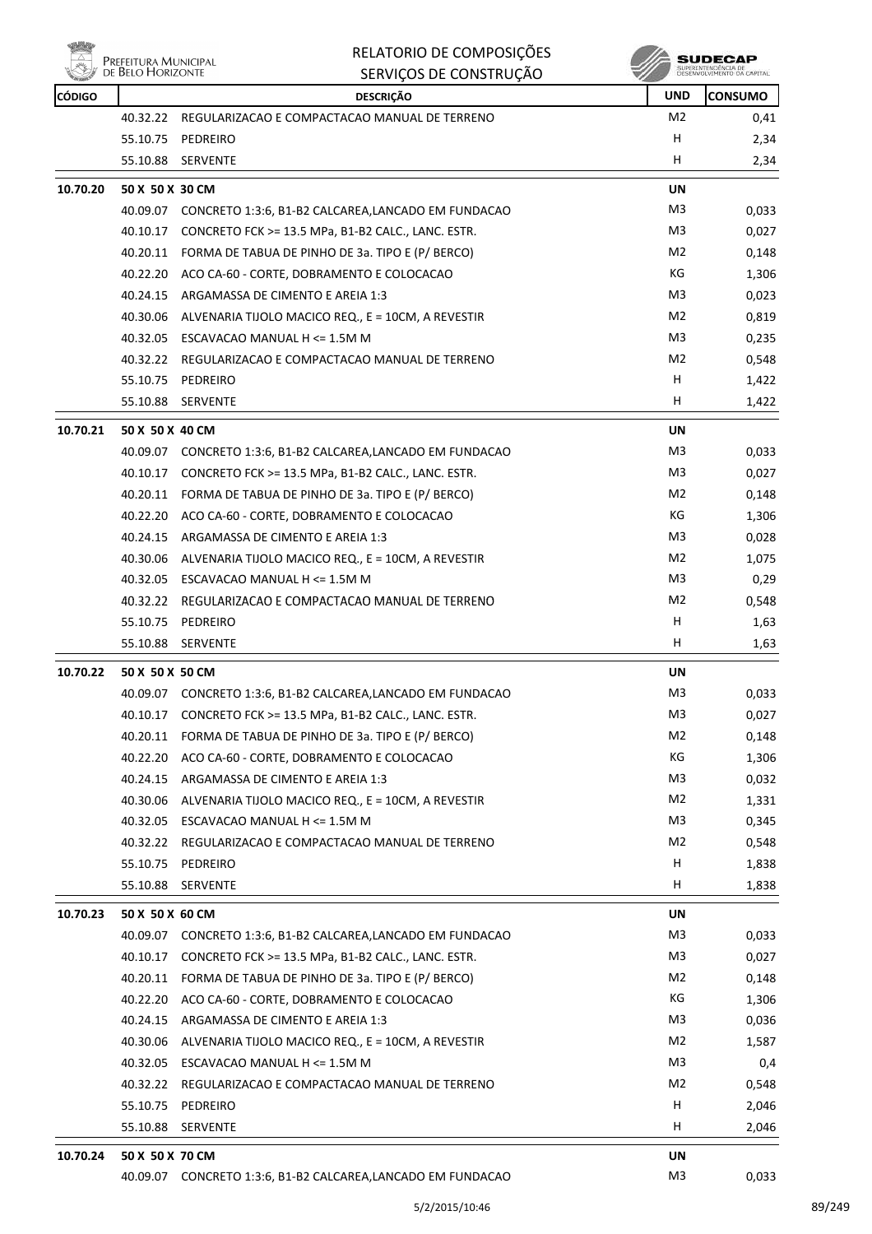



| <b>CÓDIGO</b> |                 | <b>DESCRIÇÃO</b>                                             | UND                         | <b>CONSUMO</b> |
|---------------|-----------------|--------------------------------------------------------------|-----------------------------|----------------|
|               |                 | 40.32.22 REGULARIZACAO E COMPACTACAO MANUAL DE TERRENO       | M2                          | 0,41           |
|               | 55.10.75        | PEDREIRO                                                     | н                           | 2,34           |
|               | 55.10.88        | <b>SERVENTE</b>                                              | н                           | 2,34           |
| 10.70.20      | 50 X 50 X 30 CM |                                                              | <b>UN</b>                   |                |
|               |                 | 40.09.07 CONCRETO 1:3:6, B1-B2 CALCAREA,LANCADO EM FUNDACAO  | M3                          | 0,033          |
|               | 40.10.17        | CONCRETO FCK >= 13.5 MPa, B1-B2 CALC., LANC. ESTR.           | M3                          | 0,027          |
|               |                 | 40.20.11 FORMA DE TABUA DE PINHO DE 3a. TIPO E (P/ BERCO)    | M2                          | 0,148          |
|               |                 | 40.22.20 ACO CA-60 - CORTE, DOBRAMENTO E COLOCACAO           | КG                          | 1,306          |
|               |                 | 40.24.15 ARGAMASSA DE CIMENTO E AREIA 1:3                    | M3                          | 0,023          |
|               | 40.30.06        | ALVENARIA TIJOLO MACICO REQ., E = 10CM, A REVESTIR           | M2                          | 0,819          |
|               |                 | 40.32.05 ESCAVACAO MANUAL H <= 1.5M M                        | M3                          | 0,235          |
|               | 40.32.22        | REGULARIZACAO E COMPACTACAO MANUAL DE TERRENO                | M2                          | 0,548          |
|               | 55.10.75        | PEDREIRO                                                     | н                           | 1,422          |
|               | 55.10.88        | <b>SERVENTE</b>                                              | н                           | 1,422          |
| 10.70.21      |                 |                                                              |                             |                |
|               | 50 X 50 X 40 CM |                                                              | UN<br>M3                    |                |
|               |                 | 40.09.07 CONCRETO 1:3:6, B1-B2 CALCAREA,LANCADO EM FUNDACAO  | M3                          | 0,033          |
|               | 40.10.17        | CONCRETO FCK >= 13.5 MPa, B1-B2 CALC., LANC. ESTR.           |                             | 0,027          |
|               |                 | 40.20.11 FORMA DE TABUA DE PINHO DE 3a. TIPO E (P/ BERCO)    | M2<br>КG                    | 0,148          |
|               |                 | 40.22.20 ACO CA-60 - CORTE, DOBRAMENTO E COLOCACAO           |                             | 1,306          |
|               |                 | 40.24.15 ARGAMASSA DE CIMENTO E AREIA 1:3                    | M3                          | 0,028          |
|               |                 | 40.30.06 ALVENARIA TIJOLO MACICO REQ., E = 10CM, A REVESTIR  | M2                          | 1,075          |
|               | 40.32.05        | ESCAVACAO MANUAL H <= 1.5M M                                 | M3                          | 0,29           |
|               |                 | 40.32.22 REGULARIZACAO E COMPACTACAO MANUAL DE TERRENO       | M2                          | 0,548          |
|               | 55.10.75        | PEDREIRO                                                     | н                           | 1,63           |
|               | 55.10.88        | <b>SERVENTE</b>                                              | н                           | 1,63           |
| 10.70.22      | 50 X 50 X 50 CM |                                                              | UN                          |                |
|               |                 | 40.09.07 CONCRETO 1:3:6, B1-B2 CALCAREA,LANCADO EM FUNDACAO  | M3                          | 0,033          |
|               |                 | 40.10.17 CONCRETO FCK >= 13.5 MPa, B1-B2 CALC., LANC. ESTR.  | M3                          | 0,027          |
|               |                 | 40.20.11 FORMA DE TABUA DE PINHO DE 3a. TIPO E (P/ BERCO)    | M <sub>2</sub>              | 0,148          |
|               |                 | 40.22.20 ACO CA-60 - CORTE, DOBRAMENTO E COLOCACAO           | КG                          | 1,306          |
|               | 40.24.15        | ARGAMASSA DE CIMENTO E AREIA 1:3                             | M3                          | 0,032          |
|               | 40.30.06        | ALVENARIA TIJOLO MACICO REQ., E = 10CM, A REVESTIR           | M <sub>2</sub>              | 1,331          |
|               |                 | 40.32.05 ESCAVACAO MANUAL H <= 1.5M M                        | M <sub>3</sub>              | 0,345          |
|               | 40.32.22        | REGULARIZACAO E COMPACTACAO MANUAL DE TERRENO                | M2                          | 0,548          |
|               | 55.10.75        | PEDREIRO                                                     | н                           | 1,838          |
|               | 55.10.88        | SERVENTE                                                     | н                           | 1,838          |
| 10.70.23      | 50 X 50 X 60 CM |                                                              | UN                          |                |
|               |                 | 40.09.07 CONCRETO 1:3:6, B1-B2 CALCAREA,LANCADO EM FUNDACAO  | M <sub>3</sub>              | 0,033          |
|               | 40.10.17        | CONCRETO FCK >= 13.5 MPa, B1-B2 CALC., LANC. ESTR.           | M3                          | 0,027          |
|               | 40.20.11        | FORMA DE TABUA DE PINHO DE 3a. TIPO E (P/ BERCO)             | M2                          | 0,148          |
|               | 40.22.20        | ACO CA-60 - CORTE, DOBRAMENTO E COLOCACAO                    | КG                          | 1,306          |
|               | 40.24.15        | ARGAMASSA DE CIMENTO E AREIA 1:3                             | M3                          | 0,036          |
|               | 40.30.06        | ALVENARIA TIJOLO MACICO REQ., E = 10CM, A REVESTIR           | M2                          | 1,587          |
|               | 40.32.05        | ESCAVACAO MANUAL H <= 1.5M M                                 | M3                          | 0,4            |
|               | 40.32.22        | REGULARIZACAO E COMPACTACAO MANUAL DE TERRENO                | M2                          | 0,548          |
|               | 55.10.75        | PEDREIRO                                                     | н                           | 2,046          |
|               | 55.10.88        | SERVENTE                                                     | H                           | 2,046          |
|               |                 |                                                              |                             |                |
| 10.70.24      | 50 X 50 X 70 CM |                                                              | <b>UN</b><br>M <sub>3</sub> |                |
|               |                 | 40.09.07 CONCRETO 1:3:6, B1-B2 CALCAREA, LANCADO EM FUNDACAO |                             | 0,033          |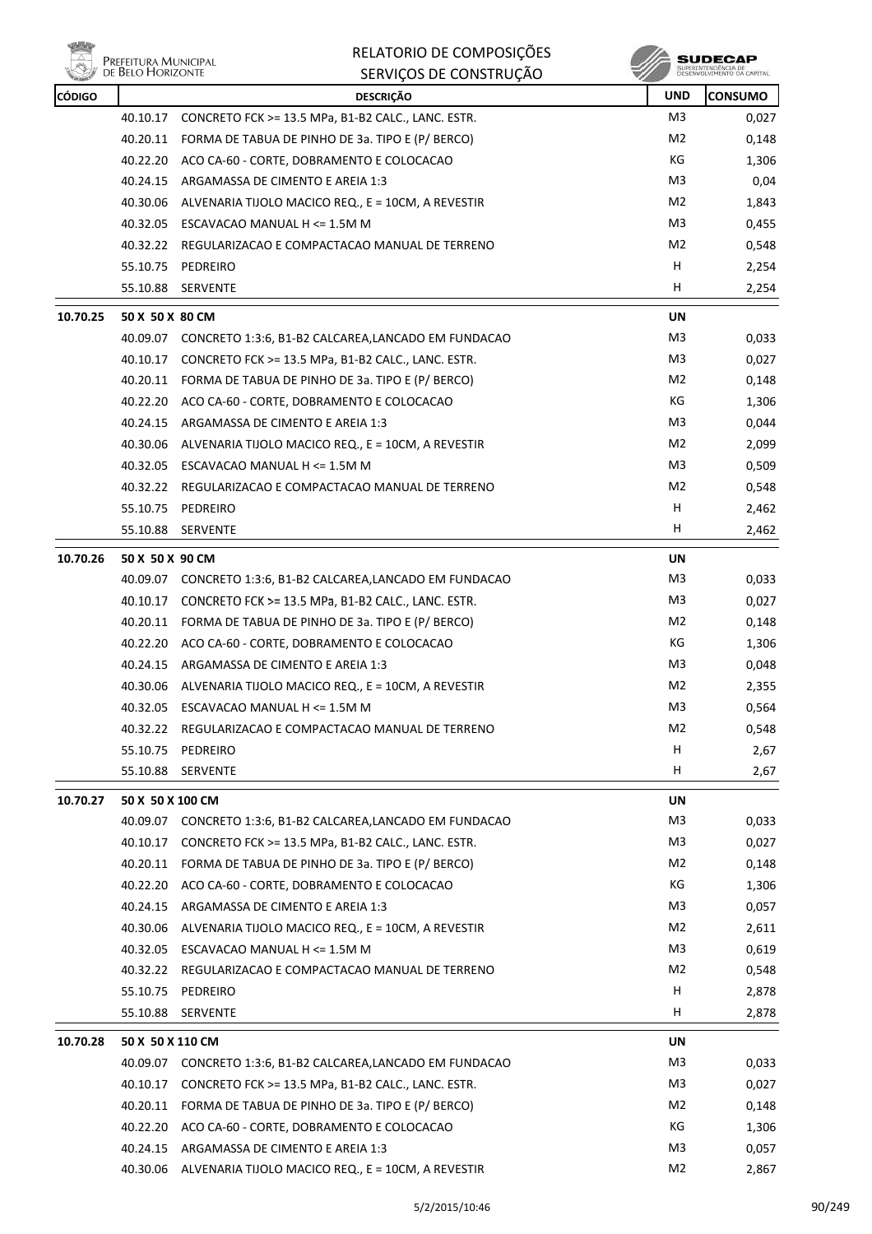

| <b>CÓDIGO</b> |                  | <b>DESCRIÇÃO</b>                                             | <b>UND</b>     | <b>CONSUMO</b> |
|---------------|------------------|--------------------------------------------------------------|----------------|----------------|
|               | 40.10.17         | CONCRETO FCK >= 13.5 MPa, B1-B2 CALC., LANC. ESTR.           | M3             | 0,027          |
|               |                  | 40.20.11 FORMA DE TABUA DE PINHO DE 3a. TIPO E (P/ BERCO)    | M2             | 0,148          |
|               | 40.22.20         | ACO CA-60 - CORTE, DOBRAMENTO E COLOCACAO                    | КG             | 1,306          |
|               | 40.24.15         | ARGAMASSA DE CIMENTO E AREIA 1:3                             | M3             | 0,04           |
|               | 40.30.06         | ALVENARIA TIJOLO MACICO REQ., E = 10CM, A REVESTIR           | M2             | 1,843          |
|               |                  | 40.32.05 ESCAVACAO MANUAL H <= 1.5M M                        | M3             | 0,455          |
|               |                  | 40.32.22 REGULARIZACAO E COMPACTACAO MANUAL DE TERRENO       | M2             | 0,548          |
|               | 55.10.75         | PEDREIRO                                                     | н              | 2,254          |
|               | 55.10.88         | <b>SERVENTE</b>                                              | H              | 2,254          |
| 10.70.25      | 50 X 50 X 80 CM  |                                                              | <b>UN</b>      |                |
|               |                  | 40.09.07 CONCRETO 1:3:6, B1-B2 CALCAREA, LANCADO EM FUNDACAO | M3             | 0,033          |
|               | 40.10.17         | CONCRETO FCK >= 13.5 MPa, B1-B2 CALC., LANC. ESTR.           | M3             | 0,027          |
|               |                  | 40.20.11 FORMA DE TABUA DE PINHO DE 3a. TIPO E (P/ BERCO)    | M2             | 0,148          |
|               |                  | 40.22.20 ACO CA-60 - CORTE, DOBRAMENTO E COLOCACAO           | КG             | 1,306          |
|               |                  | 40.24.15 ARGAMASSA DE CIMENTO E AREIA 1:3                    | M3             | 0,044          |
|               | 40.30.06         | ALVENARIA TIJOLO MACICO REQ., E = 10CM, A REVESTIR           | M2             | 2,099          |
|               |                  | 40.32.05 ESCAVACAO MANUAL H <= 1.5M M                        | M3             | 0,509          |
|               |                  | 40.32.22 REGULARIZACAO E COMPACTACAO MANUAL DE TERRENO       | M2             | 0,548          |
|               |                  | 55.10.75 PEDREIRO                                            | н              | 2,462          |
|               | 55.10.88         | <b>SERVENTE</b>                                              | H              | 2,462          |
| 10.70.26      | 50 X 50 X 90 CM  |                                                              | UN             |                |
|               |                  | 40.09.07 CONCRETO 1:3:6, B1-B2 CALCAREA,LANCADO EM FUNDACAO  | M3             | 0,033          |
|               | 40.10.17         | CONCRETO FCK >= 13.5 MPa, B1-B2 CALC., LANC. ESTR.           | M3             | 0,027          |
|               |                  | 40.20.11 FORMA DE TABUA DE PINHO DE 3a. TIPO E (P/ BERCO)    | M2             | 0,148          |
|               |                  | 40.22.20 ACO CA-60 - CORTE, DOBRAMENTO E COLOCACAO           | КG             | 1,306          |
|               | 40.24.15         | ARGAMASSA DE CIMENTO E AREIA 1:3                             | M3             | 0,048          |
|               | 40.30.06         | ALVENARIA TIJOLO MACICO REQ., E = 10CM, A REVESTIR           | M2             | 2,355          |
|               | 40.32.05         | ESCAVACAO MANUAL H <= 1.5M M                                 | M3             | 0,564          |
|               |                  | 40.32.22 REGULARIZACAO E COMPACTACAO MANUAL DE TERRENO       | M2             | 0,548          |
|               |                  | 55.10.75 PEDREIRO                                            | H              | 2,67           |
|               | 55.10.88         | SERVENTE                                                     | H              | 2,67           |
| 10.70.27      | 50 X 50 X 100 CM |                                                              | <b>UN</b>      |                |
|               |                  | 40.09.07 CONCRETO 1:3:6, B1-B2 CALCAREA,LANCADO EM FUNDACAO  | M3             | 0,033          |
|               | 40.10.17         | CONCRETO FCK >= 13.5 MPa, B1-B2 CALC., LANC. ESTR.           | M3             | 0,027          |
|               | 40.20.11         | FORMA DE TABUA DE PINHO DE 3a. TIPO E (P/ BERCO)             | M2             | 0,148          |
|               | 40.22.20         | ACO CA-60 - CORTE, DOBRAMENTO E COLOCACAO                    | КG             | 1,306          |
|               | 40.24.15         | ARGAMASSA DE CIMENTO E AREIA 1:3                             | M3             | 0,057          |
|               | 40.30.06         | ALVENARIA TIJOLO MACICO REQ., E = 10CM, A REVESTIR           | M2             | 2,611          |
|               |                  | 40.32.05 ESCAVACAO MANUAL H <= 1.5M M                        | M3             | 0,619          |
|               | 40.32.22         | REGULARIZACAO E COMPACTACAO MANUAL DE TERRENO                | M2             | 0,548          |
|               | 55.10.75         | PEDREIRO                                                     | н              | 2,878          |
|               | 55.10.88         | <b>SERVENTE</b>                                              | н              | 2,878          |
| 10.70.28      | 50 X 50 X 110 CM |                                                              | UN             |                |
|               |                  | 40.09.07 CONCRETO 1:3:6, B1-B2 CALCAREA, LANCADO EM FUNDACAO | M3             | 0,033          |
|               | 40.10.17         | CONCRETO FCK >= 13.5 MPa, B1-B2 CALC., LANC. ESTR.           | M <sub>3</sub> | 0,027          |
|               | 40.20.11         | FORMA DE TABUA DE PINHO DE 3a. TIPO E (P/ BERCO)             | M2             | 0,148          |
|               |                  | 40.22.20 ACO CA-60 - CORTE, DOBRAMENTO E COLOCACAO           | КG             | 1,306          |
|               | 40.24.15         | ARGAMASSA DE CIMENTO E AREIA 1:3                             | M3             | 0,057          |
|               |                  | 40.30.06 ALVENARIA TIJOLO MACICO REQ., E = 10CM, A REVESTIR  | M <sub>2</sub> | 2,867          |
|               |                  |                                                              |                |                |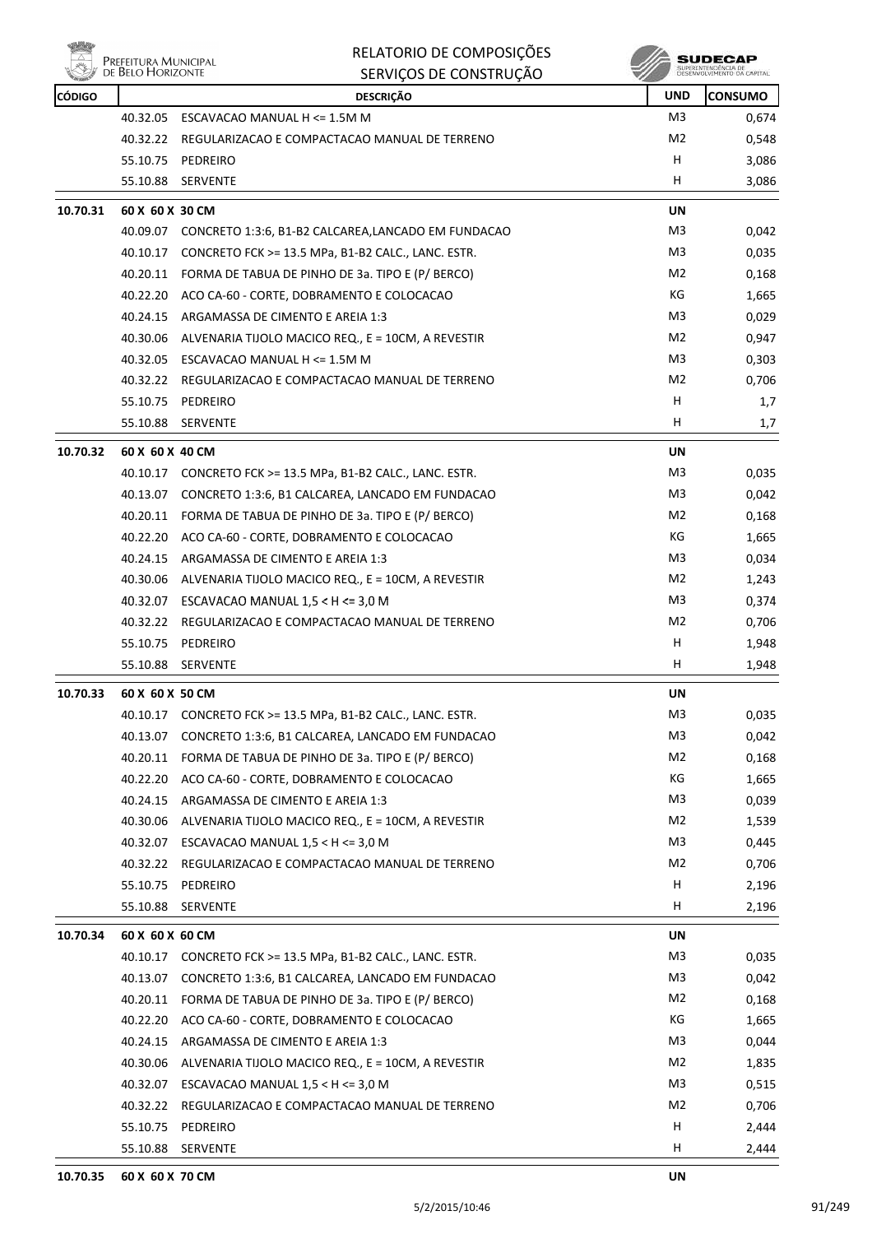

|               | Prefeitura Municipal<br>de Belo Horizonte | RELATORIO DE COMPOSIÇÕES<br>SERVIÇOS DE CONSTRUÇÃO          |                | SUDECAP        |
|---------------|-------------------------------------------|-------------------------------------------------------------|----------------|----------------|
| <b>CÓDIGO</b> |                                           | <b>DESCRIÇÃO</b>                                            | <b>UND</b>     | <b>CONSUMO</b> |
|               | 40.32.05                                  | ESCAVACAO MANUAL H <= 1.5M M                                | M3             | 0,674          |
|               | 40.32.22                                  | REGULARIZACAO E COMPACTACAO MANUAL DE TERRENO               | M <sub>2</sub> | 0,548          |
|               | 55.10.75                                  | PEDREIRO                                                    | H              | 3,086          |
|               | 55.10.88                                  | SERVENTE                                                    | н              | 3,086          |
| 10.70.31      | 60 X 60 X 30 CM                           |                                                             | UN             |                |
|               |                                           | 40.09.07 CONCRETO 1:3:6, B1-B2 CALCAREA,LANCADO EM FUNDACAO | M3             | 0,042          |
|               | 40.10.17                                  | CONCRETO FCK >= 13.5 MPa, B1-B2 CALC., LANC. ESTR.          | M3             | 0,035          |
|               | 40.20.11                                  | FORMA DE TABUA DE PINHO DE 3a. TIPO E (P/ BERCO)            | M <sub>2</sub> | 0,168          |
|               | 40.22.20                                  | ACO CA-60 - CORTE, DOBRAMENTO E COLOCACAO                   | КG             | 1,665          |
|               | 40.24.15                                  | ARGAMASSA DE CIMENTO E AREIA 1:3                            | M3             | 0,029          |
|               | 40.30.06                                  | ALVENARIA TIJOLO MACICO REQ., E = 10CM, A REVESTIR          | M <sub>2</sub> | 0,947          |
|               | 40.32.05                                  | ESCAVACAO MANUAL H <= 1.5M M                                | M3             | 0,303          |
|               | 40.32.22                                  | REGULARIZACAO E COMPACTACAO MANUAL DE TERRENO               | M2             | 0,706          |
|               | 55.10.75                                  | PEDREIRO                                                    | н              | 1,7            |
|               | 55.10.88                                  | <b>SERVENTE</b>                                             | H              | 1,7            |
| 10.70.32      | 60 X 60 X 40 CM                           |                                                             | UN             |                |
|               | 40.10.17                                  | CONCRETO FCK >= 13.5 MPa, B1-B2 CALC., LANC. ESTR.          | M3             | 0,035          |
|               | 40.13.07                                  | CONCRETO 1:3:6, B1 CALCAREA, LANCADO EM FUNDACAO            | M <sub>3</sub> | 0,042          |
|               | 40.20.11                                  | FORMA DE TABUA DE PINHO DE 3a. TIPO E (P/ BERCO)            | M2             | 0,168          |
|               | 40.22.20                                  | ACO CA-60 - CORTE, DOBRAMENTO E COLOCACAO                   | КG             | 1,665          |
|               | 40.24.15                                  | ARGAMASSA DE CIMENTO E AREIA 1:3                            | M3             | 0,034          |
|               | 40.30.06                                  | ALVENARIA TIJOLO MACICO REQ., E = 10CM, A REVESTIR          | M <sub>2</sub> | 1,243          |
|               |                                           | 40.32.07 ESCAVACAO MANUAL 1,5 < H <= 3,0 M                  | M3             | 0,374          |
|               | 40.32.22                                  | REGULARIZACAO E COMPACTACAO MANUAL DE TERRENO               | M <sub>2</sub> | 0,706          |
|               | 55.10.75                                  | PEDREIRO                                                    | H              | 1,948          |
|               | 55.10.88                                  | SERVENTE                                                    | H              | 1,948          |
| 10.70.33      | 60 X 60 X 50 CM                           |                                                             | UN             |                |
|               |                                           | 40.10.17 CONCRETO FCK >= 13.5 MPa, B1-B2 CALC., LANC. ESTR. | M3             | 0,035          |
|               | 40.13.07                                  | CONCRETO 1:3:6, B1 CALCAREA, LANCADO EM FUNDACAO            | M <sub>3</sub> | 0,042          |
|               | 40.20.11                                  | FORMA DE TABUA DE PINHO DE 3a. TIPO E (P/ BERCO)            | M2             | 0,168          |
|               | 40.22.20                                  | ACO CA-60 - CORTE, DOBRAMENTO E COLOCACAO                   | КG             | 1,665          |
|               | 40.24.15                                  | ARGAMASSA DE CIMENTO E AREIA 1:3                            | M3             | 0,039          |
|               | 40.30.06                                  | ALVENARIA TIJOLO MACICO REQ., E = 10CM, A REVESTIR          | M2             | 1,539          |
|               | 40.32.07                                  | ESCAVACAO MANUAL $1,5 < H < = 3,0 M$                        | M3             | 0,445          |
|               | 40.32.22                                  | REGULARIZACAO E COMPACTACAO MANUAL DE TERRENO               | M <sub>2</sub> | 0,706          |
|               | 55.10.75                                  | PEDREIRO                                                    | H              | 2,196          |
|               | 55.10.88                                  | SERVENTE                                                    | H              | 2,196          |
| 10.70.34      | 60 X 60 X 60 CM                           |                                                             | UN             |                |
|               | 40.10.17                                  | CONCRETO FCK >= 13.5 MPa, B1-B2 CALC., LANC. ESTR.          | M3             | 0,035          |
|               | 40.13.07                                  | CONCRETO 1:3:6, B1 CALCAREA, LANCADO EM FUNDACAO            | M3             | 0,042          |
|               |                                           | 40.20.11 FORMA DE TABUA DE PINHO DE 3a. TIPO E (P/ BERCO)   | M2             | 0,168          |
|               | 40.22.20                                  | ACO CA-60 - CORTE, DOBRAMENTO E COLOCACAO                   | КG             | 1,665          |
|               | 40.24.15                                  | ARGAMASSA DE CIMENTO E AREIA 1:3                            | M3             | 0,044          |
|               | 40.30.06                                  | ALVENARIA TIJOLO MACICO REQ., E = 10CM, A REVESTIR          | M <sub>2</sub> | 1,835          |
|               |                                           | 40.32.07 ESCAVACAO MANUAL 1,5 < H <= 3,0 M                  | M3             | 0,515          |
|               |                                           | 40.32.22 REGULARIZACAO E COMPACTACAO MANUAL DE TERRENO      | M <sub>2</sub> | 0,706          |
|               | 55.10.75                                  | PEDREIRO                                                    | H              | 2,444          |
|               |                                           | 55.10.88 SERVENTE                                           | H              | 2,444          |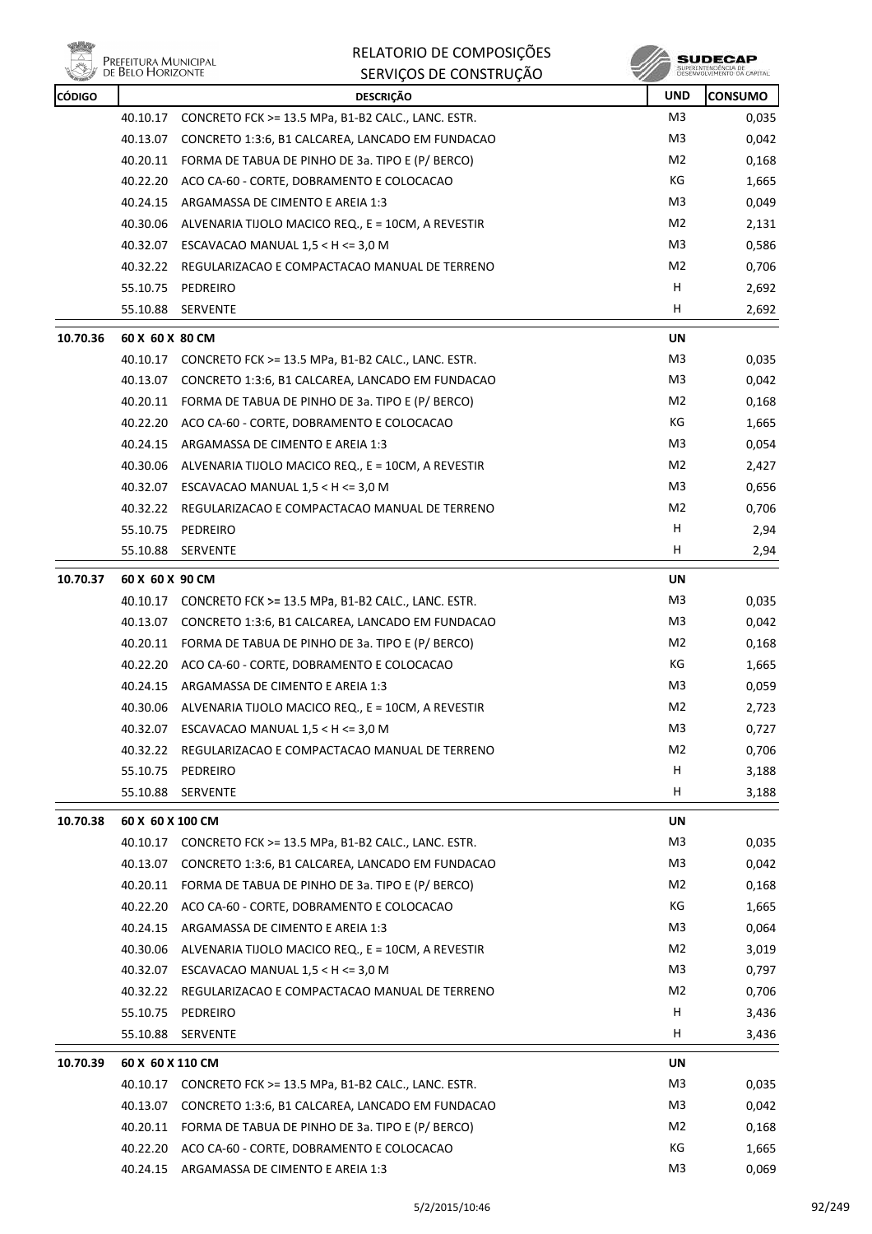

| <b>CÓDIGO</b> |                  | <b>DESCRIÇÃO</b>                                               | <b>UND</b> | <b>CONSUMO</b> |
|---------------|------------------|----------------------------------------------------------------|------------|----------------|
|               | 40.10.17         | CONCRETO FCK >= 13.5 MPa, B1-B2 CALC., LANC. ESTR.             | M3         | 0,035          |
|               | 40.13.07         | CONCRETO 1:3:6, B1 CALCAREA, LANCADO EM FUNDACAO               | M3         | 0,042          |
|               |                  | 40.20.11 FORMA DE TABUA DE PINHO DE 3a. TIPO E (P/ BERCO)      | M2         | 0,168          |
|               |                  | 40.22.20 ACO CA-60 - CORTE, DOBRAMENTO E COLOCACAO             | КG         | 1,665          |
|               |                  | 40.24.15 ARGAMASSA DE CIMENTO E AREIA 1:3                      | M3.        | 0,049          |
|               | 40.30.06         | ALVENARIA TIJOLO MACICO REQ., E = 10CM, A REVESTIR             | M2         | 2,131          |
|               | 40.32.07         | ESCAVACAO MANUAL $1,5 < H < = 3,0 M$                           | M3         | 0,586          |
|               |                  | 40.32.22 REGULARIZACAO E COMPACTACAO MANUAL DE TERRENO         | M2         | 0,706          |
|               |                  | 55.10.75 PEDREIRO                                              | H          | 2,692          |
|               |                  | 55.10.88 SERVENTE                                              | H          | 2,692          |
| 10.70.36      | 60 X 60 X 80 CM  |                                                                | UN         |                |
|               |                  | 40.10.17 CONCRETO FCK >= 13.5 MPa, B1-B2 CALC., LANC. ESTR.    | M3         | 0,035          |
|               |                  | 40.13.07 CONCRETO 1:3:6, B1 CALCAREA, LANCADO EM FUNDACAO      | M3         | 0,042          |
|               |                  | 40.20.11 FORMA DE TABUA DE PINHO DE 3a. TIPO E (P/ BERCO)      | M2         | 0,168          |
|               |                  | 40.22.20 ACO CA-60 - CORTE, DOBRAMENTO E COLOCACAO             | КG         | 1,665          |
|               |                  | 40.24.15 ARGAMASSA DE CIMENTO E AREIA 1:3                      | M3         | 0,054          |
|               |                  | 40.30.06 ALVENARIA TIJOLO MACICO REQ., E = 10CM, A REVESTIR    | M2         | 2,427          |
|               |                  | 40.32.07 ESCAVACAO MANUAL 1,5 < H <= 3,0 M                     | M3         | 0,656          |
|               | 40.32.22         | REGULARIZACAO E COMPACTACAO MANUAL DE TERRENO                  | M2         | 0,706          |
|               |                  | 55.10.75 PEDREIRO                                              | н          | 2,94           |
|               |                  | 55.10.88 SERVENTE                                              | H          | 2,94           |
| 10.70.37      | 60 X 60 X 90 CM  |                                                                | UN         |                |
|               |                  | 40.10.17    CONCRETO FCK >= 13.5 MPa, B1-B2 CALC., LANC. ESTR. | M3         | 0,035          |
|               |                  | 40.13.07 CONCRETO 1:3:6, B1 CALCAREA, LANCADO EM FUNDACAO      | M3         | 0,042          |
|               |                  | 40.20.11 FORMA DE TABUA DE PINHO DE 3a. TIPO E (P/ BERCO)      | M2         | 0,168          |
|               |                  | 40.22.20 ACO CA-60 - CORTE, DOBRAMENTO E COLOCACAO             | КG         | 1,665          |
|               |                  | 40.24.15 ARGAMASSA DE CIMENTO E AREIA 1:3                      | M3         | 0,059          |
|               | 40.30.06         | ALVENARIA TIJOLO MACICO REQ., E = 10CM, A REVESTIR             | M2         | 2,723          |
|               |                  | 40.32.07 ESCAVACAO MANUAL 1,5 < H <= 3,0 M                     | M3         | 0,727          |
|               |                  | 40.32.22 REGULARIZACAO E COMPACTACAO MANUAL DE TERRENO         | M2         | 0,706          |
|               | 55.10.75         | PEDREIRO                                                       | н          | 3,188          |
|               | 55.10.88         | SERVENTE                                                       | H          | 3,188          |
| 10.70.38      | 60 X 60 X 100 CM |                                                                | UN         |                |
|               |                  | 40.10.17 CONCRETO FCK >= 13.5 MPa, B1-B2 CALC., LANC. ESTR.    | M3         | 0,035          |
|               | 40.13.07         | CONCRETO 1:3:6, B1 CALCAREA, LANCADO EM FUNDACAO               | M3         | 0,042          |
|               | 40.20.11         | FORMA DE TABUA DE PINHO DE 3a. TIPO E (P/ BERCO)               | M2         | 0,168          |
|               |                  | 40.22.20 ACO CA-60 - CORTE, DOBRAMENTO E COLOCACAO             | КG         | 1,665          |
|               | 40.24.15         | ARGAMASSA DE CIMENTO E AREIA 1:3                               | M3         | 0,064          |
|               | 40.30.06         | ALVENARIA TIJOLO MACICO REQ., E = 10CM, A REVESTIR             | M2         | 3,019          |
|               | 40.32.07         | ESCAVACAO MANUAL $1,5 < H < = 3,0 M$                           | M3         | 0,797          |
|               | 40.32.22         | REGULARIZACAO E COMPACTACAO MANUAL DE TERRENO                  | M2         | 0,706          |
|               | 55.10.75         | PEDREIRO                                                       | н          | 3,436          |
|               | 55.10.88         | SERVENTE                                                       | H          | 3,436          |
| 10.70.39      | 60 X 60 X 110 CM |                                                                | UN         |                |
|               |                  | 40.10.17 CONCRETO FCK >= 13.5 MPa, B1-B2 CALC., LANC. ESTR.    | M3         | 0,035          |
|               | 40.13.07         | CONCRETO 1:3:6, B1 CALCAREA, LANCADO EM FUNDACAO               | M3         | 0,042          |
|               | 40.20.11         | FORMA DE TABUA DE PINHO DE 3a. TIPO E (P/ BERCO)               | M2         | 0,168          |
|               | 40.22.20         | ACO CA-60 - CORTE, DOBRAMENTO E COLOCACAO                      | КG         | 1,665          |
|               |                  | 40.24.15 ARGAMASSA DE CIMENTO E AREIA 1:3                      | M3         | 0,069          |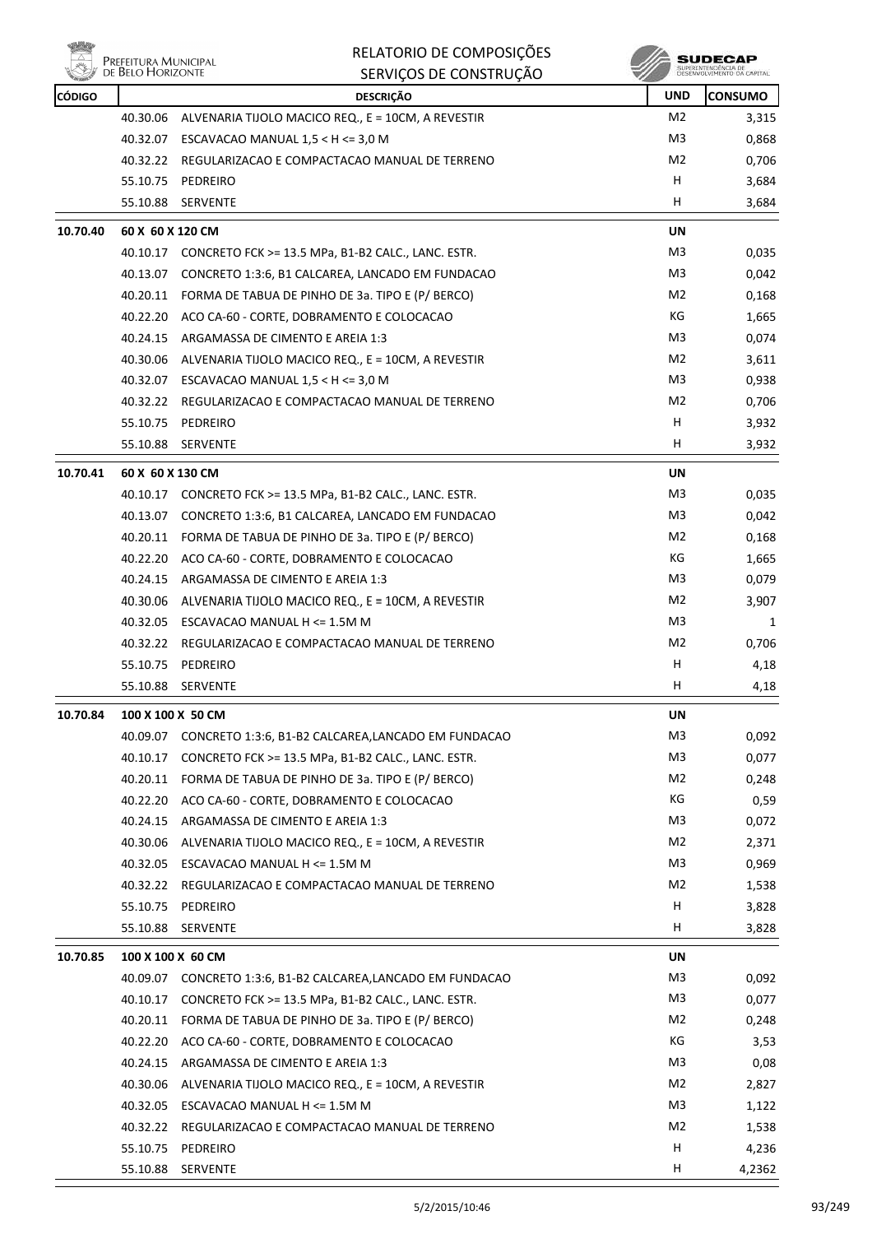|               | Prefeitura Municipal<br>de Belo Horizonte | RELATORIO DE COMPOSIÇÕES                                     |                | SUDECAP<br>SUPERINTENDÊNCIA DE |
|---------------|-------------------------------------------|--------------------------------------------------------------|----------------|--------------------------------|
|               |                                           | SERVIÇOS DE CONSTRUÇÃO                                       |                | DESENVOLVIMENTO OA CAPITAL     |
| <b>CÓDIGO</b> |                                           | <b>DESCRIÇÃO</b>                                             | <b>UND</b>     | <b>CONSUMO</b>                 |
|               | 40.30.06                                  | ALVENARIA TIJOLO MACICO REQ., E = 10CM, A REVESTIR           | M <sub>2</sub> | 3,315                          |
|               |                                           | 40.32.07 ESCAVACAO MANUAL 1,5 < H <= 3,0 M                   | M3             | 0,868                          |
|               | 40.32.22                                  | REGULARIZACAO E COMPACTACAO MANUAL DE TERRENO                | M2             | 0,706                          |
|               | 55.10.75                                  | PEDREIRO                                                     | H<br>н         | 3,684                          |
|               | 55.10.88                                  | <b>SERVENTE</b>                                              |                | 3,684                          |
| 10.70.40      | 60 X 60 X 120 CM                          |                                                              | UN             |                                |
|               |                                           | 40.10.17 CONCRETO FCK >= 13.5 MPa, B1-B2 CALC., LANC. ESTR.  | M3             | 0,035                          |
|               | 40.13.07                                  | CONCRETO 1:3:6, B1 CALCAREA, LANCADO EM FUNDACAO             | M3             | 0,042                          |
|               |                                           | 40.20.11 FORMA DE TABUA DE PINHO DE 3a. TIPO E (P/ BERCO)    | M <sub>2</sub> | 0,168                          |
|               |                                           | 40.22.20 ACO CA-60 - CORTE, DOBRAMENTO E COLOCACAO           | КG             | 1,665                          |
|               |                                           | 40.24.15 ARGAMASSA DE CIMENTO E AREIA 1:3                    | M3             | 0,074                          |
|               |                                           | 40.30.06 ALVENARIA TIJOLO MACICO REQ., E = 10CM, A REVESTIR  | M <sub>2</sub> | 3,611                          |
|               | 40.32.07                                  | ESCAVACAO MANUAL $1,5 < H < = 3,0 M$                         | M3             | 0,938                          |
|               |                                           | 40.32.22 REGULARIZACAO E COMPACTACAO MANUAL DE TERRENO       | M2             | 0,706                          |
|               | 55.10.75                                  | PEDREIRO                                                     | H              | 3,932                          |
|               | 55.10.88                                  | SERVENTE                                                     | H              | 3,932                          |
| 10.70.41      | 60 X 60 X 130 CM                          |                                                              | UN             |                                |
|               |                                           | 40.10.17 CONCRETO FCK >= 13.5 MPa, B1-B2 CALC., LANC. ESTR.  | M3             | 0,035                          |
|               | 40.13.07                                  | CONCRETO 1:3:6, B1 CALCAREA, LANCADO EM FUNDACAO             | M3             | 0,042                          |
|               | 40.20.11                                  | FORMA DE TABUA DE PINHO DE 3a. TIPO E (P/ BERCO)             | M2             | 0,168                          |
|               | 40.22.20                                  | ACO CA-60 - CORTE, DOBRAMENTO E COLOCACAO                    | КG             | 1,665                          |
|               |                                           | 40.24.15 ARGAMASSA DE CIMENTO E AREIA 1:3                    | M3             | 0,079                          |
|               | 40.30.06                                  | ALVENARIA TIJOLO MACICO REQ., E = 10CM, A REVESTIR           | M <sub>2</sub> | 3,907                          |
|               |                                           | 40.32.05 ESCAVACAO MANUAL H <= 1.5M M                        | M3             | 1                              |
|               | 40.32.22                                  | REGULARIZACAO E COMPACTACAO MANUAL DE TERRENO                | M2             | 0,706                          |
|               | 55.10.75                                  | PEDREIRO                                                     | Н              | 4,18                           |
|               | 55.10.88                                  | SERVENTE                                                     | н              | 4,18                           |
| 10.70.84      |                                           | 100 X 100 X 50 CM                                            | UN             |                                |
|               |                                           | 40.09.07 CONCRETO 1:3:6, B1-B2 CALCAREA,LANCADO EM FUNDACAO  | M3             | 0,092                          |
|               |                                           | 40.10.17 CONCRETO FCK >= 13.5 MPa, B1-B2 CALC., LANC. ESTR.  | M3             | 0,077                          |
|               |                                           | 40.20.11 FORMA DE TABUA DE PINHO DE 3a. TIPO E (P/ BERCO)    | M2             | 0,248                          |
|               |                                           | 40.22.20 ACO CA-60 - CORTE, DOBRAMENTO E COLOCACAO           | КG             | 0,59                           |
|               |                                           | 40.24.15 ARGAMASSA DE CIMENTO E AREIA 1:3                    | M3             | 0,072                          |
|               |                                           | 40.30.06 ALVENARIA TIJOLO MACICO REQ., E = 10CM, A REVESTIR  | M <sub>2</sub> | 2,371                          |
|               |                                           | 40.32.05 ESCAVACAO MANUAL H <= 1.5M M                        | M3             | 0,969                          |
|               |                                           | 40.32.22 REGULARIZACAO E COMPACTACAO MANUAL DE TERRENO       | M <sub>2</sub> | 1,538                          |
|               |                                           | 55.10.75 PEDREIRO                                            | H              | 3,828                          |
|               | 55.10.88                                  | SERVENTE                                                     | H              | 3,828                          |
| 10.70.85      |                                           | 100 X 100 X 60 CM                                            | UN             |                                |
|               |                                           | 40.09.07 CONCRETO 1:3:6, B1-B2 CALCAREA, LANCADO EM FUNDACAO | M3             | 0,092                          |
|               |                                           | 40.10.17 CONCRETO FCK >= 13.5 MPa, B1-B2 CALC., LANC. ESTR.  | M3             | 0,077                          |
|               |                                           | 40.20.11 FORMA DE TABUA DE PINHO DE 3a. TIPO E (P/ BERCO)    | M <sub>2</sub> | 0,248                          |
|               | 40.22.20                                  | ACO CA-60 - CORTE, DOBRAMENTO E COLOCACAO                    | КG             | 3,53                           |
|               |                                           | 40.24.15 ARGAMASSA DE CIMENTO E AREIA 1:3                    | M3             | 0,08                           |
|               |                                           | 40.30.06 ALVENARIA TIJOLO MACICO REQ., E = 10CM, A REVESTIR  | M <sub>2</sub> | 2,827                          |
|               |                                           | 40.32.05 ESCAVACAO MANUAL H <= 1.5M M                        | M3             | 1,122                          |
|               |                                           | 40.32.22 REGULARIZACAO E COMPACTACAO MANUAL DE TERRENO       | M <sub>2</sub> | 1,538                          |
|               |                                           | 55.10.75 PEDREIRO                                            | H              | 4,236                          |
|               |                                           | 55.10.88 SERVENTE                                            | H              | 4,2362                         |

RELATORIO DE COMPOSIÇÕES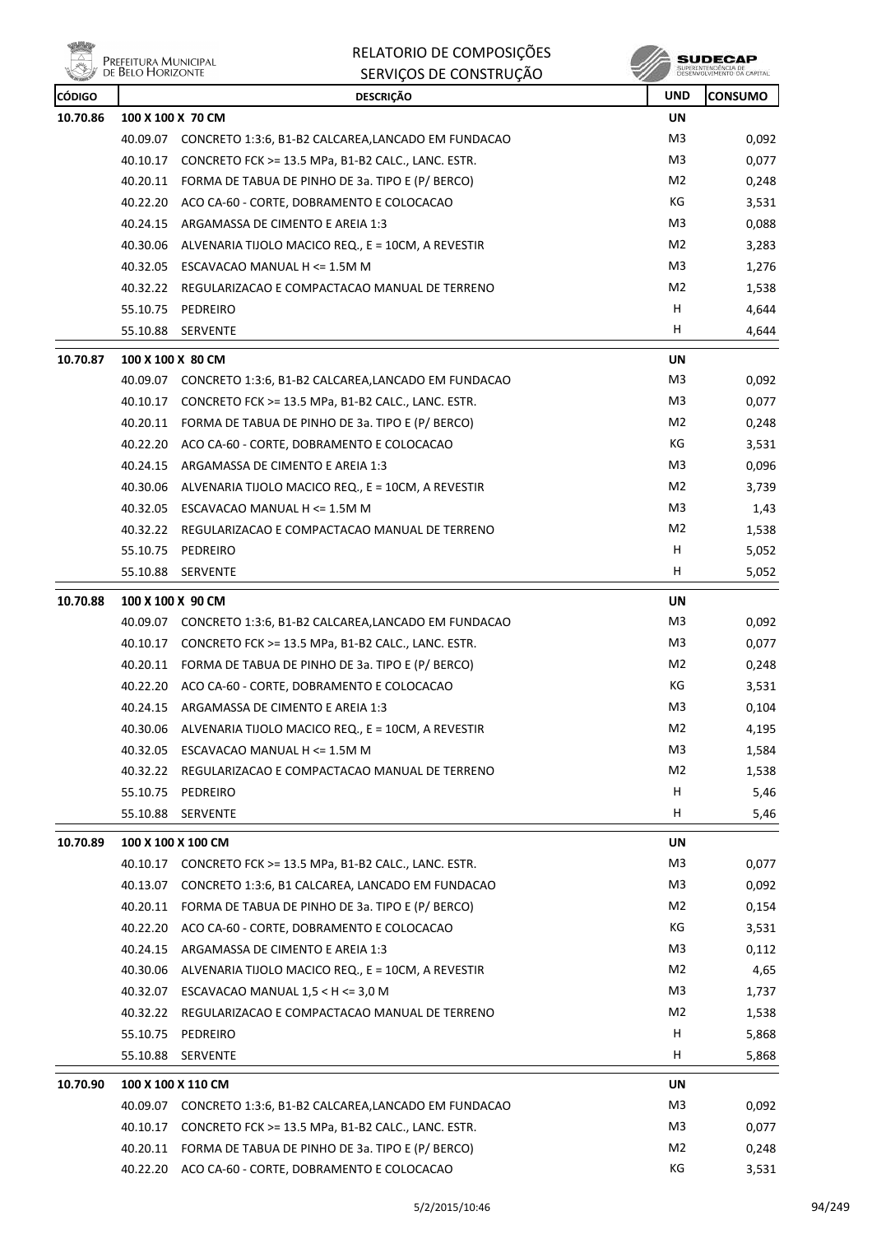**ville EN PREFEITURA MUNICIPAL**<br>DE BELO HORIZONTE

RELATORIO DE COMPOSIÇÕES SERVIÇOS DE CONSTRUÇÃO

| <b>CÓDIGO</b> |                   | <b>DESCRIÇÃO</b>                                             | <b>UND</b>     | <b>CONSUMO</b> |
|---------------|-------------------|--------------------------------------------------------------|----------------|----------------|
| 10.70.86      |                   | 100 X 100 X 70 CM                                            | <b>UN</b>      |                |
|               | 40.09.07          | CONCRETO 1:3:6, B1-B2 CALCAREA, LANCADO EM FUNDACAO          | M <sub>3</sub> | 0,092          |
|               |                   | 40.10.17 CONCRETO FCK >= 13.5 MPa, B1-B2 CALC., LANC. ESTR.  | M3             | 0,077          |
|               |                   | 40.20.11 FORMA DE TABUA DE PINHO DE 3a. TIPO E (P/ BERCO)    | M2             | 0,248          |
|               |                   | 40.22.20 ACO CA-60 - CORTE, DOBRAMENTO E COLOCACAO           | КG             | 3,531          |
|               | 40.24.15          | ARGAMASSA DE CIMENTO E AREIA 1:3                             | M3             | 0,088          |
|               | 40.30.06          | ALVENARIA TIJOLO MACICO REQ., E = 10CM, A REVESTIR           | M2             | 3,283          |
|               |                   | 40.32.05 ESCAVACAO MANUAL H <= 1.5M M                        | M <sub>3</sub> | 1,276          |
|               |                   | 40.32.22 REGULARIZACAO E COMPACTACAO MANUAL DE TERRENO       | M2             | 1,538          |
|               | 55.10.75          | PEDREIRO                                                     | H              | 4,644          |
|               | 55.10.88          | SERVENTE                                                     | H              | 4,644          |
| 10.70.87      | 100 X 100 X 80 CM |                                                              | UN             |                |
|               | 40.09.07          | CONCRETO 1:3:6, B1-B2 CALCAREA, LANCADO EM FUNDACAO          | M3             | 0,092          |
|               | 40.10.17          | CONCRETO FCK >= 13.5 MPa, B1-B2 CALC., LANC. ESTR.           | M3             | 0,077          |
|               |                   | 40.20.11 FORMA DE TABUA DE PINHO DE 3a. TIPO E (P/ BERCO)    | M2             | 0,248          |
|               |                   | 40.22.20 ACO CA-60 - CORTE, DOBRAMENTO E COLOCACAO           | КG             | 3,531          |
|               | 40.24.15          | ARGAMASSA DE CIMENTO E AREIA 1:3                             | M3             | 0,096          |
|               | 40.30.06          | ALVENARIA TIJOLO MACICO REQ., E = 10CM, A REVESTIR           | M2             | 3,739          |
|               |                   | 40.32.05 ESCAVACAO MANUAL H <= 1.5M M                        | M3             | 1,43           |
|               |                   | 40.32.22 REGULARIZACAO E COMPACTACAO MANUAL DE TERRENO       | M2             | 1,538          |
|               |                   | 55.10.75 PEDREIRO                                            | H              | 5,052          |
|               | 55.10.88          | SERVENTE                                                     | н              | 5,052          |
| 10.70.88      | 100 X 100 X 90 CM |                                                              | UN             |                |
|               |                   | 40.09.07 CONCRETO 1:3:6, B1-B2 CALCAREA, LANCADO EM FUNDACAO | M <sub>3</sub> | 0,092          |
|               |                   | 40.10.17 CONCRETO FCK >= 13.5 MPa, B1-B2 CALC., LANC. ESTR.  | M3             | 0,077          |
|               |                   | 40.20.11 FORMA DE TABUA DE PINHO DE 3a. TIPO E (P/ BERCO)    | M2             | 0,248          |
|               |                   | 40.22.20 ACO CA-60 - CORTE, DOBRAMENTO E COLOCACAO           | КG             | 3,531          |
|               | 40.24.15          | ARGAMASSA DE CIMENTO E AREIA 1:3                             | M3             | 0,104          |
|               |                   | 40.30.06 ALVENARIA TIJOLO MACICO REQ., E = 10CM, A REVESTIR  | M2             | 4,195          |
|               | 40.32.05          | ESCAVACAO MANUAL H <= 1.5M M                                 | M <sub>3</sub> | 1,584          |
|               | 40.32.22          | REGULARIZACAO E COMPACTACAO MANUAL DE TERRENO                | M2             | 1,538          |
|               | 55.10.75          | PEDREIRO                                                     | H              | 5,46           |
|               | 55.10.88          | SERVENTE                                                     | H              | 5,46           |
| 10.70.89      |                   | 100 X 100 X 100 CM                                           | UN             |                |
|               | 40.10.17          | CONCRETO FCK >= 13.5 MPa, B1-B2 CALC., LANC. ESTR.           | M3             | 0,077          |
|               | 40.13.07          | CONCRETO 1:3:6, B1 CALCAREA, LANCADO EM FUNDACAO             | M3             | 0,092          |
|               |                   | 40.20.11 FORMA DE TABUA DE PINHO DE 3a. TIPO E (P/ BERCO)    | M2             | 0,154          |
|               |                   | 40.22.20 ACO CA-60 - CORTE, DOBRAMENTO E COLOCACAO           | КG             | 3,531          |
|               | 40.24.15          | ARGAMASSA DE CIMENTO E AREIA 1:3                             | M3             | 0,112          |
|               | 40.30.06          | ALVENARIA TIJOLO MACICO REQ., E = 10CM, A REVESTIR           | M2             | 4,65           |
|               |                   | 40.32.07 ESCAVACAO MANUAL $1,5 < H < = 3,0 M$                | M <sub>3</sub> | 1,737          |
|               | 40.32.22          | REGULARIZACAO E COMPACTACAO MANUAL DE TERRENO                | M <sub>2</sub> | 1,538          |
|               | 55.10.75          | PEDREIRO                                                     | H              | 5,868          |
|               | 55.10.88          | <b>SERVENTE</b>                                              | H              | 5,868          |
| 10.70.90      |                   | 100 X 100 X 110 CM                                           | UN             |                |
|               |                   | 40.09.07 CONCRETO 1:3:6, B1-B2 CALCAREA, LANCADO EM FUNDACAO | M <sub>3</sub> | 0,092          |
|               | 40.10.17          | CONCRETO FCK >= 13.5 MPa, B1-B2 CALC., LANC. ESTR.           | M <sub>3</sub> | 0,077          |
|               | 40.20.11          | FORMA DE TABUA DE PINHO DE 3a. TIPO E (P/ BERCO)             | M <sub>2</sub> | 0,248          |
|               |                   | 40.22.20 ACO CA-60 - CORTE, DOBRAMENTO E COLOCACAO           | КG             | 3,531          |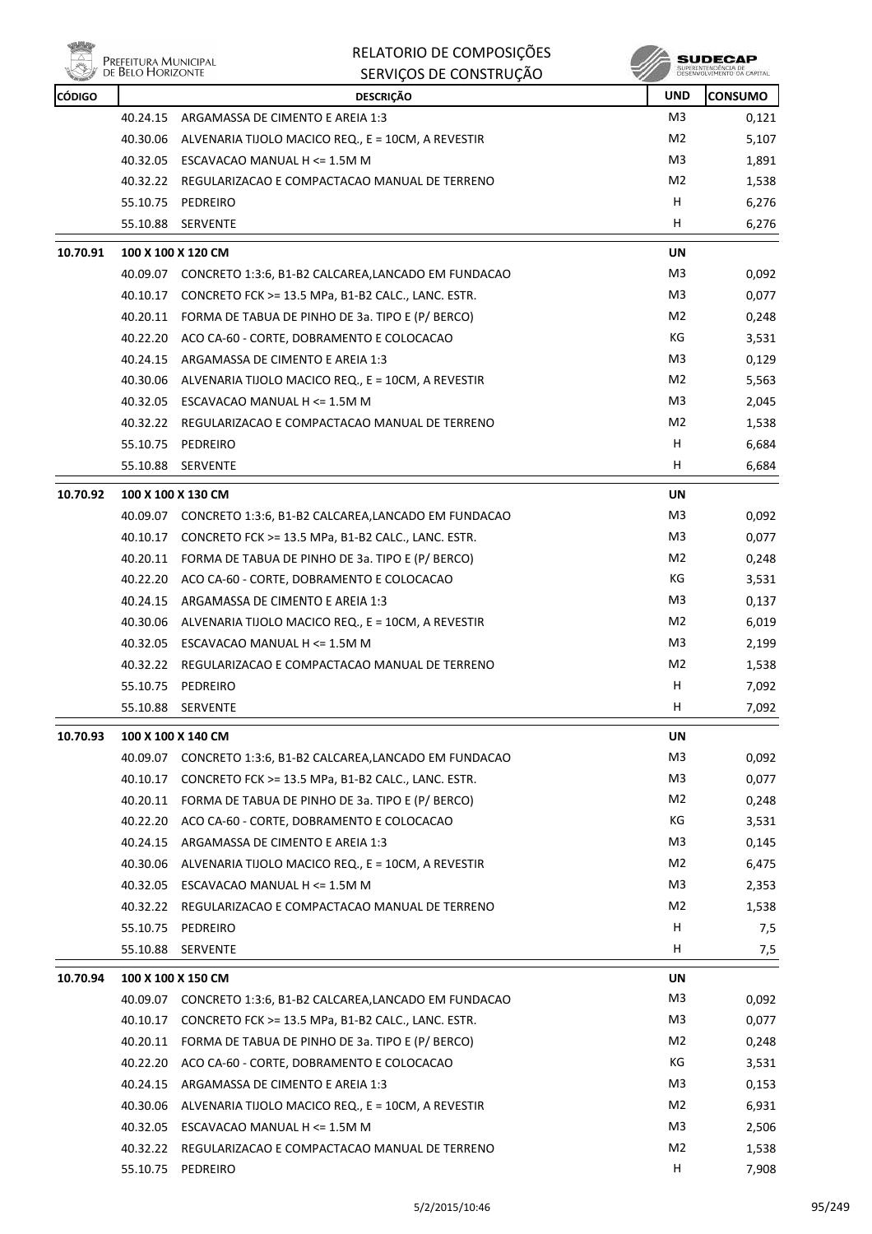

|          | Prefeitura Municipal<br>de Belo Horizonte | RELATORIO DE COMPOSIÇÕES<br>SERVIÇOS DE CONSTRUÇÃO          |                | <b>SUDECAP</b><br>SUPERINTENDÊNCIA DE<br>DÉSÉNVOLVIMENTO DA CAPITAL |
|----------|-------------------------------------------|-------------------------------------------------------------|----------------|---------------------------------------------------------------------|
| CÓDIGO   |                                           | <b>DESCRIÇÃO</b>                                            | <b>UND</b>     | <b>CONSUMO</b>                                                      |
|          | 40.24.15                                  | ARGAMASSA DE CIMENTO E AREIA 1:3                            | M <sub>3</sub> | 0,121                                                               |
|          | 40.30.06                                  | ALVENARIA TIJOLO MACICO REQ., E = 10CM, A REVESTIR          | M <sub>2</sub> | 5,107                                                               |
|          | 40.32.05                                  | ESCAVACAO MANUAL H <= 1.5M M                                | M <sub>3</sub> | 1,891                                                               |
|          |                                           | 40.32.22 REGULARIZACAO E COMPACTACAO MANUAL DE TERRENO      | M <sub>2</sub> | 1,538                                                               |
|          | 55.10.75                                  | PEDREIRO                                                    | н              | 6,276                                                               |
|          | 55.10.88                                  | <b>SERVENTE</b>                                             | н              | 6,276                                                               |
| 10.70.91 | 100 X 100 X 120 CM                        |                                                             | UN             |                                                                     |
|          |                                           | 40.09.07 CONCRETO 1:3:6, B1-B2 CALCAREA,LANCADO EM FUNDACAO | M <sub>3</sub> | 0,092                                                               |
|          | 40.10.17                                  | CONCRETO FCK >= 13.5 MPa, B1-B2 CALC., LANC. ESTR.          | M <sub>3</sub> | 0,077                                                               |
|          |                                           | 40.20.11 FORMA DE TABUA DE PINHO DE 3a. TIPO E (P/ BERCO)   | M <sub>2</sub> | 0,248                                                               |
|          | 40.22.20                                  | ACO CA-60 - CORTE, DOBRAMENTO E COLOCACAO                   | КG             | 3,531                                                               |
|          |                                           | 40.24.15 ARGAMASSA DE CIMENTO E AREIA 1:3                   | M3             | 0,129                                                               |
|          | 40.30.06                                  | ALVENARIA TIJOLO MACICO REQ., E = 10CM, A REVESTIR          | M <sub>2</sub> | 5,563                                                               |
|          |                                           | 40.32.05 ESCAVACAO MANUAL H <= 1.5M M                       | M <sub>3</sub> | 2,045                                                               |
|          |                                           | 40.32.22 REGULARIZACAO E COMPACTACAO MANUAL DE TERRENO      | M <sub>2</sub> | 1,538                                                               |
|          |                                           | 55.10.75 PEDREIRO                                           | н              | 6,684                                                               |
|          | 55.10.88                                  | <b>SERVENTE</b>                                             | н              | 6,684                                                               |
| 10.70.92 | 100 X 100 X 130 CM                        |                                                             | UN             |                                                                     |
|          |                                           | 40.09.07 CONCRETO 1:3:6, B1-B2 CALCAREA,LANCADO EM FUNDACAO | M3             | 0,092                                                               |
|          |                                           | 40.10.17 CONCRETO FCK >= 13.5 MPa, B1-B2 CALC., LANC. ESTR. | M <sub>3</sub> | 0,077                                                               |
|          | 40.20.11                                  | FORMA DE TABUA DE PINHO DE 3a. TIPO E (P/ BERCO)            | M <sub>2</sub> | 0,248                                                               |
|          | 40.22.20                                  | ACO CA-60 - CORTE, DOBRAMENTO E COLOCACAO                   | КG             | 3,531                                                               |
|          |                                           | 40.24.15 ARGAMASSA DE CIMENTO E AREIA 1:3                   | M <sub>3</sub> | 0,137                                                               |
|          |                                           | 40.30.06 ALVENARIA TIJOLO MACICO REQ., E = 10CM, A REVESTIR | M2             | 6,019                                                               |
|          |                                           | 40.32.05 ESCAVACAO MANUAL H <= 1.5M M                       | M <sub>3</sub> | 2,199                                                               |
|          | 40.32.22                                  | REGULARIZACAO E COMPACTACAO MANUAL DE TERRENO               | M <sub>2</sub> | 1,538                                                               |
|          | 55.10.75                                  | PEDREIRO                                                    | H              | 7,092                                                               |
|          | 55.10.88                                  | <b>SERVENTE</b>                                             | н              | 7,092                                                               |

| 10.70.93 |          | 100 X 100 X 140 CM                                          | UN             |       |
|----------|----------|-------------------------------------------------------------|----------------|-------|
|          | 40.09.07 | CONCRETO 1:3:6, B1-B2 CALCAREA, LANCADO EM FUNDACAO         | M3             | 0,092 |
|          | 40.10.17 | CONCRETO FCK >= 13.5 MPa, B1-B2 CALC., LANC. ESTR.          | M <sub>3</sub> | 0,077 |
|          |          | 40.20.11 FORMA DE TABUA DE PINHO DE 3a. TIPO E (P/ BERCO)   | M <sub>2</sub> | 0,248 |
|          | 40.22.20 | ACO CA-60 - CORTE, DOBRAMENTO E COLOCACAO                   | КG             | 3,531 |
|          | 40.24.15 | ARGAMASSA DE CIMENTO E AREIA 1:3                            | M <sub>3</sub> | 0,145 |
|          |          | 40.30.06 ALVENARIA TIJOLO MACICO REQ., E = 10CM, A REVESTIR | M <sub>2</sub> | 6,475 |
|          | 40.32.05 | ESCAVACAO MANUAL H <= 1.5M M                                | M <sub>3</sub> | 2,353 |
|          | 40.32.22 | REGULARIZACAO E COMPACTACAO MANUAL DE TERRENO               | M <sub>2</sub> | 1,538 |
|          | 55.10.75 | PEDREIRO                                                    | Н              | 7,5   |

|          | 55.10.88 | <b>SERVENTE</b>                                     | н              | 7,5   |
|----------|----------|-----------------------------------------------------|----------------|-------|
| 10.70.94 |          | 100 X 100 X 150 CM                                  | UN             |       |
|          | 40.09.07 | CONCRETO 1:3:6, B1-B2 CALCAREA, LANCADO EM FUNDACAO | M3             | 0,092 |
|          | 40.10.17 | CONCRETO FCK >= 13.5 MPa, B1-B2 CALC., LANC. ESTR.  | M <sub>3</sub> | 0,077 |
|          | 40.20.11 | FORMA DE TABUA DE PINHO DE 3a. TIPO E (P/ BERCO)    | M2             | 0,248 |
|          | 40.22.20 | ACO CA-60 - CORTE, DOBRAMENTO E COLOCACAO           | КG             | 3,531 |
|          | 40.24.15 | ARGAMASSA DE CIMENTO E AREIA 1:3                    | M <sub>3</sub> | 0,153 |
|          | 40.30.06 | ALVENARIA TIJOLO MACICO REQ., E = 10CM, A REVESTIR  | M <sub>2</sub> | 6,931 |
|          | 40.32.05 | ESCAVACAO MANUAL $H \le 1.5M$ M                     | M <sub>3</sub> | 2,506 |
|          | 40.32.22 | REGULARIZACAO E COMPACTACAO MANUAL DE TERRENO       | M <sub>2</sub> | 1,538 |
|          | 55.10.75 | PEDREIRO                                            | н              | 7,908 |
|          |          |                                                     |                |       |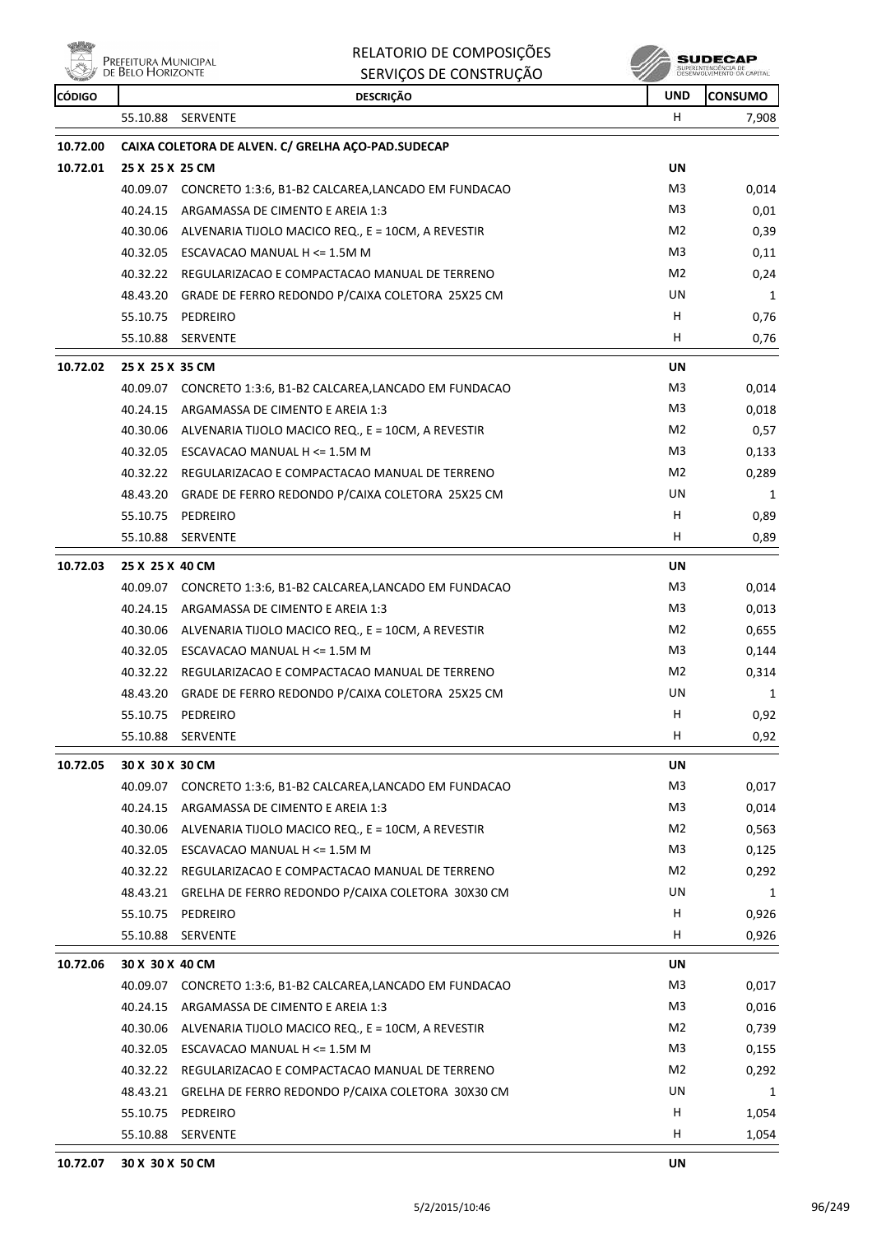Prefeitura Municipal<br>De Belo Horizonte

# RELATORIO DE COMPOSIÇÕES SERVIÇOS DE CONSTRUÇÃO

**SUDECAP**<br>SUPERINTENDÉNCIA DE<br>DESENVOLVIMENTO OA CAPITAL

| <b>CÓDIGO</b> |                                       | <b>DESCRIÇÃO</b>                                            | <b>UND</b> | <b>CONSUMO</b> |
|---------------|---------------------------------------|-------------------------------------------------------------|------------|----------------|
|               | 55.10.88 SERVENTE                     |                                                             | H.         | 7,908          |
| 10.72.00      |                                       | CAIXA COLETORA DE ALVEN. C/ GRELHA AÇO-PAD.SUDECAP          |            |                |
| 10.72.01      | 25 X 25 X 25 CM                       |                                                             | UN         |                |
|               |                                       | 40.09.07 CONCRETO 1:3:6, B1-B2 CALCAREA,LANCADO EM FUNDACAO | M3         | 0,014          |
|               | 40.24.15                              | ARGAMASSA DE CIMENTO E AREIA 1:3                            | M3         | 0,01           |
|               | 40.30.06                              | ALVENARIA TIJOLO MACICO REQ., E = 10CM, A REVESTIR          | M2         | 0,39           |
|               | 40.32.05                              | ESCAVACAO MANUAL H <= 1.5M M                                | M3         | 0,11           |
|               |                                       | 40.32.22 REGULARIZACAO E COMPACTACAO MANUAL DE TERRENO      | M2         | 0,24           |
|               |                                       | 48.43.20 GRADE DE FERRO REDONDO P/CAIXA COLETORA 25X25 CM   | UN         | 1              |
|               | 55.10.75 PEDREIRO                     |                                                             | H.         | 0,76           |
|               | 55.10.88<br>SERVENTE                  |                                                             | H.         | 0,76           |
| 10.72.02      | 25 X 25 X 35 CM                       |                                                             | UN         |                |
|               |                                       | 40.09.07 CONCRETO 1:3:6, B1-B2 CALCAREA,LANCADO EM FUNDACAO | M3         | 0,014          |
|               | 40.24.15                              | ARGAMASSA DE CIMENTO E AREIA 1:3                            | M3         | 0,018          |
|               | 40.30.06                              | ALVENARIA TIJOLO MACICO REQ., E = 10CM, A REVESTIR          | M2         | 0,57           |
|               | 40.32.05                              | ESCAVACAO MANUAL H <= 1.5M M                                | M3         | 0,133          |
|               |                                       | 40.32.22 REGULARIZACAO E COMPACTACAO MANUAL DE TERRENO      | M2         | 0,289          |
|               | 48.43.20                              | GRADE DE FERRO REDONDO P/CAIXA COLETORA 25X25 CM            | UN         | 1              |
|               | 55.10.75<br>PEDREIRO                  |                                                             | H          | 0,89           |
|               | 55.10.88 SERVENTE                     |                                                             | H.         | 0,89           |
| 10.72.03      | 25 X 25 X 40 CM                       |                                                             | UN         |                |
|               |                                       | 40.09.07 CONCRETO 1:3:6, B1-B2 CALCAREA,LANCADO EM FUNDACAO | M3         | 0,014          |
|               | 40.24.15                              | ARGAMASSA DE CIMENTO E AREIA 1:3                            | M3         | 0,013          |
|               | 40.30.06                              | ALVENARIA TIJOLO MACICO REQ., E = 10CM, A REVESTIR          | M2         | 0,655          |
|               | 40.32.05 ESCAVACAO MANUAL H <= 1.5M M |                                                             | M3         | 0,144          |
|               |                                       | 40.32.22 REGULARIZACAO E COMPACTACAO MANUAL DE TERRENO      | M2         | 0,314          |
|               |                                       | 48.43.20 GRADE DE FERRO REDONDO P/CAIXA COLETORA 25X25 CM   | UN         | 1              |
|               | 55.10.75<br>PEDREIRO                  |                                                             | H.         | 0,92           |
|               | 55.10.88 SERVENTE                     |                                                             | H.         | 0,92           |
| 10.72.05      | 30 X 30 X 30 CM                       |                                                             | UN         |                |
|               |                                       | 40.09.07 CONCRETO 1:3:6, B1-B2 CALCAREA,LANCADO EM FUNDACAO | M3         | 0,017          |
|               | 40.24.15                              | ARGAMASSA DE CIMENTO E AREIA 1:3                            | M3         | 0,014          |
|               | 40.30.06                              | ALVENARIA TIJOLO MACICO REQ., E = 10CM, A REVESTIR          | M2         | 0,563          |
|               | 40.32.05                              | ESCAVACAO MANUAL H <= 1.5M M                                | M3         | 0,125          |
|               |                                       | 40.32.22 REGULARIZACAO E COMPACTACAO MANUAL DE TERRENO      | M2         | 0,292          |
|               |                                       | 48.43.21 GRELHA DE FERRO REDONDO P/CAIXA COLETORA 30X30 CM  | UN         | 1              |
|               | 55.10.75<br>PEDREIRO                  |                                                             | H          | 0,926          |
|               | 55.10.88 SERVENTE                     |                                                             | H          | 0,926          |
| 10.72.06      | 30 X 30 X 40 CM                       |                                                             | UN         |                |
|               |                                       | 40.09.07 CONCRETO 1:3:6, B1-B2 CALCAREA,LANCADO EM FUNDACAO | M3         | 0,017          |
|               | 40.24.15                              | ARGAMASSA DE CIMENTO E AREIA 1:3                            | M3         | 0,016          |
|               |                                       | 40.30.06 ALVENARIA TIJOLO MACICO REQ., E = 10CM, A REVESTIR | M2         | 0,739          |
|               | 40.32.05 ESCAVACAO MANUAL H <= 1.5M M |                                                             | M3         | 0,155          |
|               | 40.32.22                              | REGULARIZACAO E COMPACTACAO MANUAL DE TERRENO               | M2         | 0,292          |
|               |                                       | 48.43.21 GRELHA DE FERRO REDONDO P/CAIXA COLETORA 30X30 CM  | UN         | 1              |
|               | 55.10.75<br>PEDREIRO                  |                                                             | H          | 1,054          |
|               | 55.10.88 SERVENTE                     |                                                             | H.         | 1,054          |
| 10.72.07      | 30 X 30 X 50 CM                       |                                                             | UN         |                |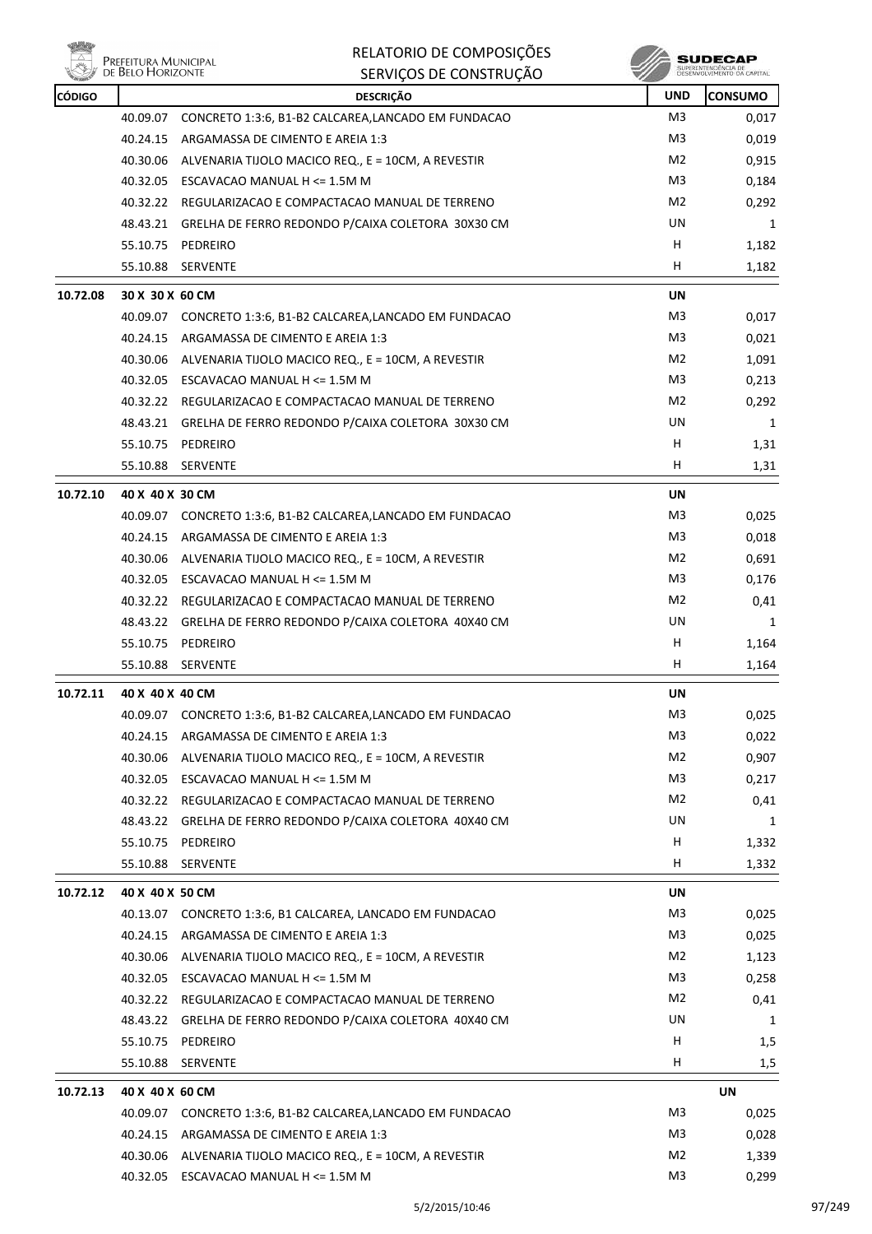

| <b>CÓDIGO</b> |                 | <b>DESCRIÇÃO</b>                                             | <b>UND</b>     | <b>CONSUMO</b> |
|---------------|-----------------|--------------------------------------------------------------|----------------|----------------|
|               | 40.09.07        | CONCRETO 1:3:6, B1-B2 CALCAREA, LANCADO EM FUNDACAO          | M <sub>3</sub> | 0,017          |
|               | 40.24.15        | ARGAMASSA DE CIMENTO E AREIA 1:3                             | M3             | 0,019          |
|               | 40.30.06        | ALVENARIA TIJOLO MACICO REQ., E = 10CM, A REVESTIR           | M <sub>2</sub> | 0,915          |
|               | 40.32.05        | ESCAVACAO MANUAL H <= 1.5M M                                 | M3             | 0,184          |
|               |                 | 40.32.22 REGULARIZACAO E COMPACTACAO MANUAL DE TERRENO       | M <sub>2</sub> | 0,292          |
|               |                 | 48.43.21 GRELHA DE FERRO REDONDO P/CAIXA COLETORA 30X30 CM   | UN             | 1              |
|               | 55.10.75        | PEDREIRO                                                     | Н              | 1,182          |
|               |                 | 55.10.88 SERVENTE                                            | H              | 1,182          |
| 10.72.08      | 30 X 30 X 60 CM |                                                              | UN             |                |
|               |                 | 40.09.07 CONCRETO 1:3:6, B1-B2 CALCAREA,LANCADO EM FUNDACAO  | M <sub>3</sub> | 0,017          |
|               |                 | 40.24.15 ARGAMASSA DE CIMENTO E AREIA 1:3                    | M3             | 0,021          |
|               |                 | 40.30.06 ALVENARIA TIJOLO MACICO REQ., E = 10CM, A REVESTIR  | M2             | 1,091          |
|               |                 | 40.32.05 ESCAVACAO MANUAL H <= 1.5M M                        | M3             | 0,213          |
|               |                 | 40.32.22 REGULARIZACAO E COMPACTACAO MANUAL DE TERRENO       | M2             | 0,292          |
|               |                 | 48.43.21 GRELHA DE FERRO REDONDO P/CAIXA COLETORA 30X30 CM   | UN             | 1              |
|               | 55.10.75        | PEDREIRO                                                     | H              | 1,31           |
|               | 55.10.88        | SERVENTE                                                     | H              | 1,31           |
| 10.72.10      | 40 X 40 X 30 CM |                                                              | <b>UN</b>      |                |
|               |                 | 40.09.07 CONCRETO 1:3:6, B1-B2 CALCAREA,LANCADO EM FUNDACAO  | M3             | 0,025          |
|               |                 | 40.24.15 ARGAMASSA DE CIMENTO E AREIA 1:3                    | M3             | 0,018          |
|               | 40.30.06        | ALVENARIA TIJOLO MACICO REQ., E = 10CM, A REVESTIR           | M <sub>2</sub> | 0,691          |
|               | 40.32.05        | ESCAVACAO MANUAL H <= 1.5M M                                 | M3             | 0,176          |
|               |                 | 40.32.22 REGULARIZACAO E COMPACTACAO MANUAL DE TERRENO       | M2             | 0,41           |
|               |                 | 48.43.22 GRELHA DE FERRO REDONDO P/CAIXA COLETORA 40X40 CM   | UN             | 1              |
|               | 55.10.75        | PEDREIRO                                                     | Н              | 1,164          |
|               | 55.10.88        | SERVENTE                                                     | H.             | 1,164          |
| 10.72.11      | 40 X 40 X 40 CM |                                                              | UN             |                |
|               |                 | 40.09.07 CONCRETO 1:3:6, B1-B2 CALCAREA, LANCADO EM FUNDACAO | M3             | 0,025          |
|               |                 | 40.24.15 ARGAMASSA DE CIMENTO E AREIA 1:3                    | M3             | 0,022          |
|               |                 | 40.30.06 ALVENARIA TIJOLO MACICO REQ., E = 10CM, A REVESTIR  | M2             | 0,907          |
|               | 40.32.05        | ESCAVACAO MANUAL H <= 1.5M M                                 | M3             | 0,217          |
|               |                 | 40.32.22 REGULARIZACAO E COMPACTACAO MANUAL DE TERRENO       | M2             | 0,41           |
|               |                 | 48.43.22 GRELHA DE FERRO REDONDO P/CAIXA COLETORA 40X40 CM   | UN             | 1              |
|               | 55.10.75        | PEDREIRO                                                     | H              | 1,332          |
|               | 55.10.88        | SERVENTE                                                     | н              | 1,332          |
| 10.72.12      | 40 X 40 X 50 CM |                                                              | UN             |                |
|               |                 | 40.13.07 CONCRETO 1:3:6, B1 CALCAREA, LANCADO EM FUNDACAO    | M <sub>3</sub> | 0,025          |
|               | 40.24.15        | ARGAMASSA DE CIMENTO E AREIA 1:3                             | M3             | 0,025          |
|               | 40.30.06        | ALVENARIA TIJOLO MACICO REQ., E = 10CM, A REVESTIR           | M2             | 1,123          |
|               |                 | 40.32.05 ESCAVACAO MANUAL H <= 1.5M M                        | M3             | 0,258          |
|               |                 | 40.32.22 REGULARIZACAO E COMPACTACAO MANUAL DE TERRENO       | M2             | 0,41           |
|               |                 | 48.43.22 GRELHA DE FERRO REDONDO P/CAIXA COLETORA 40X40 CM   | UN             | 1              |
|               | 55.10.75        | PEDREIRO                                                     | H              | 1,5            |
|               | 55.10.88        | SERVENTE                                                     | H              | 1,5            |
| 10.72.13      | 40 X 40 X 60 CM |                                                              |                | UN             |
|               | 40.09.07        | CONCRETO 1:3:6, B1-B2 CALCAREA,LANCADO EM FUNDACAO           | M3             | 0,025          |
|               | 40.24.15        | ARGAMASSA DE CIMENTO E AREIA 1:3                             | M3             | 0,028          |
|               |                 | 40.30.06 ALVENARIA TIJOLO MACICO REQ., E = 10CM, A REVESTIR  | M <sub>2</sub> | 1,339          |
|               |                 | 40.32.05 ESCAVACAO MANUAL H <= 1.5M M                        | M3             | 0,299          |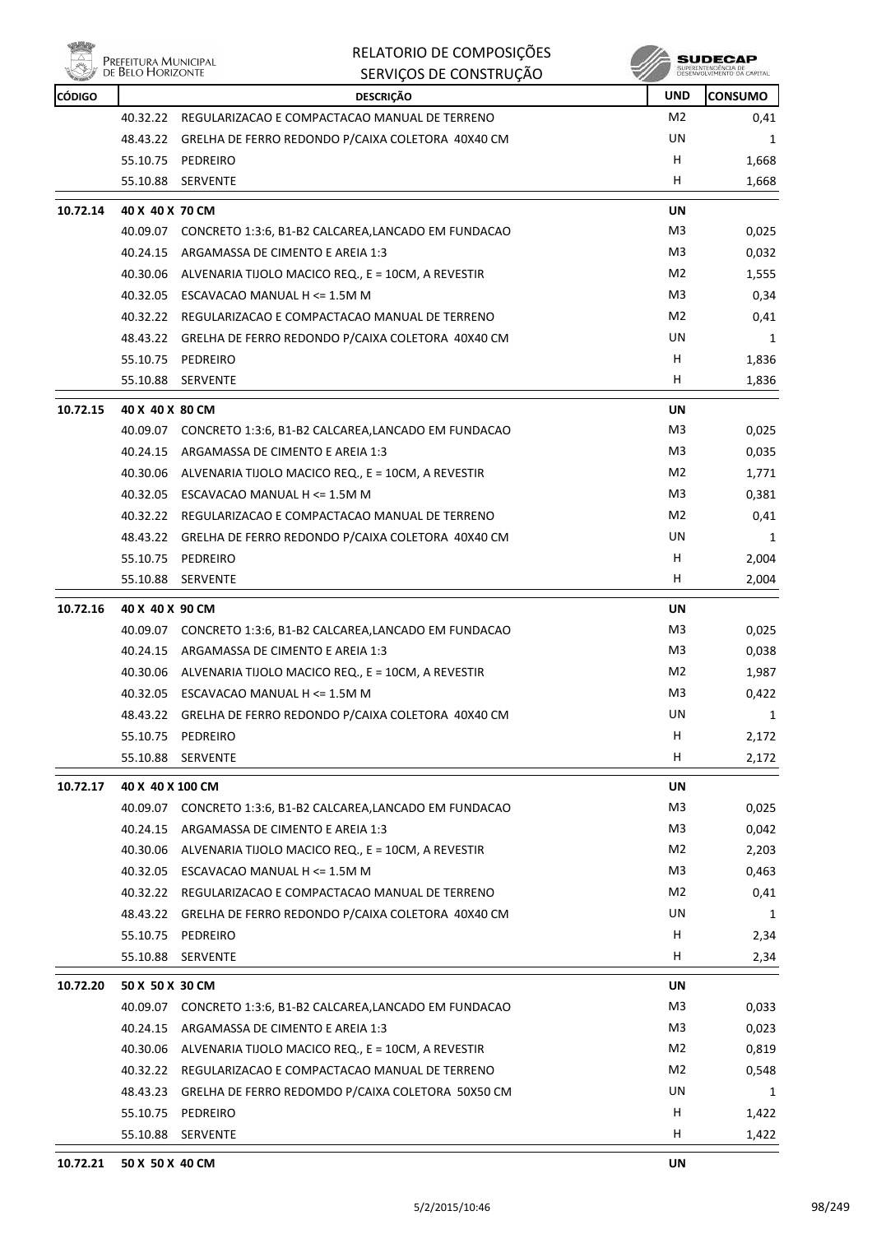

| Ning          |                                           | RELATORIO DE COMPOSIÇÕES                                    |                | <b>SUDECAP</b>                                    |
|---------------|-------------------------------------------|-------------------------------------------------------------|----------------|---------------------------------------------------|
|               | Prefeitura Municipal<br>de Belo Horizonte | SERVIÇOS DE CONSTRUÇÃO                                      |                | SUPERINTENDÊNCIA DE<br>DESENVOLVIMENTO DA CAPITAL |
| <b>CÓDIGO</b> |                                           | <b>DESCRIÇÃO</b>                                            | <b>UND</b>     | <b>CONSUMO</b>                                    |
|               | 40.32.22                                  | REGULARIZACAO E COMPACTACAO MANUAL DE TERRENO               | M2             | 0,41                                              |
|               | 48.43.22                                  | GRELHA DE FERRO REDONDO P/CAIXA COLETORA 40X40 CM           | UN             | 1                                                 |
|               | 55.10.75                                  | PEDREIRO                                                    | H              | 1,668                                             |
|               | 55.10.88                                  | SERVENTE                                                    | н              | 1,668                                             |
| 10.72.14      | 40 X 40 X 70 CM                           |                                                             | UN             |                                                   |
|               |                                           | 40.09.07 CONCRETO 1:3:6, B1-B2 CALCAREA,LANCADO EM FUNDACAO | M3             | 0,025                                             |
|               | 40.24.15                                  | ARGAMASSA DE CIMENTO E AREIA 1:3                            | M3             | 0,032                                             |
|               | 40.30.06                                  | ALVENARIA TIJOLO MACICO REQ., E = 10CM, A REVESTIR          | M2             | 1,555                                             |
|               |                                           | 40.32.05 ESCAVACAO MANUAL H <= 1.5M M                       | M <sub>3</sub> | 0,34                                              |
|               | 40.32.22                                  | REGULARIZACAO E COMPACTACAO MANUAL DE TERRENO               | M2             | 0,41                                              |
|               |                                           | 48.43.22 GRELHA DE FERRO REDONDO P/CAIXA COLETORA 40X40 CM  | UN             | 1                                                 |
|               | 55.10.75                                  | PEDREIRO                                                    | H              | 1,836                                             |
|               | 55.10.88                                  | <b>SERVENTE</b>                                             | н              | 1,836                                             |
| 10.72.15      | 40 X 40 X 80 CM                           |                                                             | UN             |                                                   |
|               | 40.09.07                                  | CONCRETO 1:3:6, B1-B2 CALCAREA, LANCADO EM FUNDACAO         | M3             | 0,025                                             |
|               | 40.24.15                                  | ARGAMASSA DE CIMENTO E AREIA 1:3                            | M3             | 0,035                                             |
|               | 40.30.06                                  | ALVENARIA TIJOLO MACICO REQ., E = 10CM, A REVESTIR          | M <sub>2</sub> | 1,771                                             |
|               |                                           | 40.32.05 ESCAVACAO MANUAL H <= 1.5M M                       | M3             | 0,381                                             |
|               |                                           | 40.32.22 REGULARIZACAO E COMPACTACAO MANUAL DE TERRENO      | M <sub>2</sub> | 0,41                                              |
|               | 48.43.22                                  | GRELHA DE FERRO REDONDO P/CAIXA COLETORA 40X40 CM           | UN             | 1                                                 |
|               | 55.10.75                                  | PEDREIRO                                                    | н              | 2,004                                             |
|               | 55.10.88                                  | <b>SERVENTE</b>                                             | н              | 2,004                                             |
| 10.72.16      | 40 X 40 X 90 CM                           |                                                             | UN             |                                                   |
|               | 40.09.07                                  | CONCRETO 1:3:6, B1-B2 CALCAREA, LANCADO EM FUNDACAO         | M3             | 0,025                                             |
|               | 40.24.15                                  | ARGAMASSA DE CIMENTO E AREIA 1:3                            | M3             | 0,038                                             |
|               | 40.30.06                                  | ALVENARIA TIJOLO MACICO REQ., E = 10CM, A REVESTIR          | M <sub>2</sub> | 1,987                                             |
|               | 40.32.05                                  | ESCAVACAO MANUAL H <= 1.5M M                                | M <sub>3</sub> | 0,422                                             |
|               |                                           | 48.43.22 GRELHA DE FERRO REDONDO P/CAIXA COLETORA 40X40 CM  | UN             | 1                                                 |
|               | 55.10.75                                  | PEDREIRO                                                    | H              | 2,172                                             |
|               | 55.10.88                                  | SERVENTE                                                    | H              | 2,172                                             |
| 10.72.17      | 40 X 40 X 100 CM                          |                                                             | UN             |                                                   |
|               | 40.09.07                                  | CONCRETO 1:3:6, B1-B2 CALCAREA, LANCADO EM FUNDACAO         | M3             | 0,025                                             |
|               | 40.24.15                                  | ARGAMASSA DE CIMENTO E AREIA 1:3                            | M <sub>3</sub> | 0,042                                             |
|               |                                           | 40.30.06 ALVENARIA TIJOLO MACICO REQ., E = 10CM, A REVESTIR | M2             | 2,203                                             |
|               |                                           | 40.32.05 ESCAVACAO MANUAL H <= 1.5M M                       | M <sub>3</sub> | 0,463                                             |
|               |                                           | 40.32.22 REGULARIZACAO E COMPACTACAO MANUAL DE TERRENO      | M2             | 0,41                                              |
|               | 48.43.22                                  | GRELHA DE FERRO REDONDO P/CAIXA COLETORA 40X40 CM           | UN             | 1                                                 |
|               | 55.10.75                                  | PEDREIRO                                                    | н              | 2,34                                              |
|               | 55.10.88                                  | <b>SERVENTE</b>                                             | H              | 2,34                                              |
|               |                                           |                                                             |                |                                                   |
| 10.72.20      | 50 X 50 X 30 CM                           |                                                             | UN             |                                                   |
|               | 40.09.07                                  | CONCRETO 1:3:6, B1-B2 CALCAREA, LANCADO EM FUNDACAO         | M3             | 0,033                                             |
|               | 40.24.15                                  | ARGAMASSA DE CIMENTO E AREIA 1:3                            | M <sub>3</sub> | 0,023                                             |
|               |                                           | 40.30.06 ALVENARIA TIJOLO MACICO REQ., E = 10CM, A REVESTIR | M2             | 0,819                                             |
|               |                                           | 40.32.22 REGULARIZACAO E COMPACTACAO MANUAL DE TERRENO      | M2             | 0,548                                             |
|               | 48.43.23                                  | GRELHA DE FERRO REDOMDO P/CAIXA COLETORA 50X50 CM           | UN             | 1                                                 |
|               |                                           | 55.10.75 PEDREIRO                                           | н              | 1,422                                             |
|               |                                           | 55.10.88 SERVENTE                                           | H              | 1,422                                             |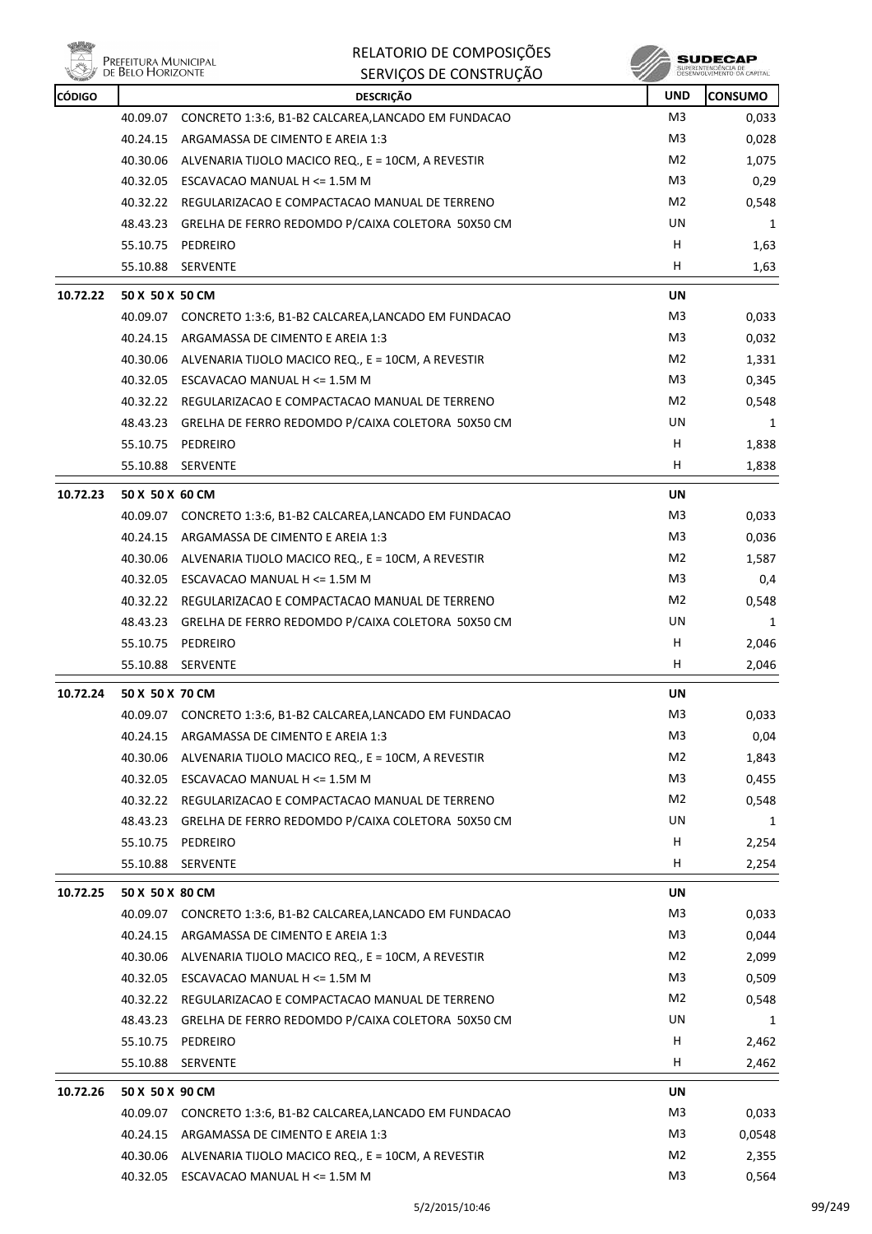

| <b>CÓDIGO</b> |                 | <b>DESCRIÇÃO</b>                                             | <b>UND</b>     | <b>CONSUMO</b> |
|---------------|-----------------|--------------------------------------------------------------|----------------|----------------|
|               | 40.09.07        | CONCRETO 1:3:6, B1-B2 CALCAREA, LANCADO EM FUNDACAO          | M <sub>3</sub> | 0,033          |
|               | 40.24.15        | ARGAMASSA DE CIMENTO E AREIA 1:3                             | M3             | 0,028          |
|               | 40.30.06        | ALVENARIA TIJOLO MACICO REQ., E = 10CM, A REVESTIR           | M2             | 1,075          |
|               | 40.32.05        | ESCAVACAO MANUAL H <= 1.5M M                                 | M <sub>3</sub> | 0,29           |
|               |                 | 40.32.22 REGULARIZACAO E COMPACTACAO MANUAL DE TERRENO       | M2             | 0,548          |
|               | 48.43.23        | GRELHA DE FERRO REDOMDO P/CAIXA COLETORA 50X50 CM            | UN             | 1              |
|               | 55.10.75        | PEDREIRO                                                     | H              | 1,63           |
|               | 55.10.88        | SERVENTE                                                     | H.             | 1,63           |
| 10.72.22      | 50 X 50 X 50 CM |                                                              | UN             |                |
|               |                 | 40.09.07 CONCRETO 1:3:6, B1-B2 CALCAREA, LANCADO EM FUNDACAO | M3             | 0,033          |
|               | 40.24.15        | ARGAMASSA DE CIMENTO E AREIA 1:3                             | M3             | 0,032          |
|               |                 | 40.30.06 ALVENARIA TIJOLO MACICO REQ., E = 10CM, A REVESTIR  | M2             | 1,331          |
|               |                 | 40.32.05 ESCAVACAO MANUAL H <= 1.5M M                        | M3             | 0,345          |
|               |                 | 40.32.22 REGULARIZACAO E COMPACTACAO MANUAL DE TERRENO       | M2             | 0,548          |
|               |                 | 48.43.23 GRELHA DE FERRO REDOMDO P/CAIXA COLETORA 50X50 CM   | UN             | 1              |
|               | 55.10.75        | PEDREIRO                                                     | H              | 1,838          |
|               |                 | 55.10.88 SERVENTE                                            | H.             | 1,838          |
| 10.72.23      | 50 X 50 X 60 CM |                                                              | UN             |                |
|               |                 | 40.09.07 CONCRETO 1:3:6, B1-B2 CALCAREA,LANCADO EM FUNDACAO  | M3             | 0,033          |
|               | 40.24.15        | ARGAMASSA DE CIMENTO E AREIA 1:3                             | M3             | 0,036          |
|               |                 | 40.30.06 ALVENARIA TIJOLO MACICO REQ., E = 10CM, A REVESTIR  | M2             | 1,587          |
|               |                 | 40.32.05 ESCAVACAO MANUAL H <= 1.5M M                        | M3             | 0,4            |
|               |                 | 40.32.22 REGULARIZACAO E COMPACTACAO MANUAL DE TERRENO       | M2             | 0,548          |
|               |                 | 48.43.23 GRELHA DE FERRO REDOMDO P/CAIXA COLETORA 50X50 CM   | UN.            | 1              |
|               | 55.10.75        | PEDREIRO                                                     | H.             | 2,046          |
|               | 55.10.88        | <b>SERVENTE</b>                                              | H              | 2,046          |
| 10.72.24      | 50 X 50 X 70 CM |                                                              | <b>UN</b>      |                |
|               |                 | 40.09.07 CONCRETO 1:3:6, B1-B2 CALCAREA,LANCADO EM FUNDACAO  | M3             | 0,033          |
|               |                 | 40.24.15 ARGAMASSA DE CIMENTO E AREIA 1:3                    | M3             | 0,04           |
|               | 40.30.06        | ALVENARIA TIJOLO MACICO REQ., E = 10CM, A REVESTIR           | M <sub>2</sub> | 1,843          |
|               | 40.32.05        | ESCAVACAO MANUAL H <= 1.5M M                                 | M <sub>3</sub> | 0,455          |
|               |                 | 40.32.22 REGULARIZACAO E COMPACTACAO MANUAL DE TERRENO       | M2             | 0,548          |
|               | 48.43.23        | GRELHA DE FERRO REDOMDO P/CAIXA COLETORA 50X50 CM            | UN             | 1              |
|               | 55.10.75        | PEDREIRO                                                     | H              | 2,254          |
|               | 55.10.88        | SERVENTE                                                     | H              | 2,254          |
| 10.72.25      | 50 X 50 X 80 CM |                                                              | UN             |                |
|               |                 | 40.09.07 CONCRETO 1:3:6, B1-B2 CALCAREA, LANCADO EM FUNDACAO | M3             | 0,033          |
|               | 40.24.15        | ARGAMASSA DE CIMENTO E AREIA 1:3                             | M3             | 0,044          |
|               | 40.30.06        | ALVENARIA TIJOLO MACICO REQ., E = 10CM, A REVESTIR           | M <sub>2</sub> | 2,099          |
|               | 40.32.05        | ESCAVACAO MANUAL H <= 1.5M M                                 | M3             | 0,509          |
|               |                 | 40.32.22 REGULARIZACAO E COMPACTACAO MANUAL DE TERRENO       | M2             | 0,548          |
|               | 48.43.23        | GRELHA DE FERRO REDOMDO P/CAIXA COLETORA 50X50 CM            | UN             | 1              |
|               | 55.10.75        | PEDREIRO                                                     | H              | 2,462          |
|               | 55.10.88        | <b>SERVENTE</b>                                              | H              | 2,462          |
| 10.72.26      | 50 X 50 X 90 CM |                                                              | UN             |                |
|               |                 | 40.09.07 CONCRETO 1:3:6, B1-B2 CALCAREA,LANCADO EM FUNDACAO  | M <sub>3</sub> | 0,033          |
|               | 40.24.15        | ARGAMASSA DE CIMENTO E AREIA 1:3                             | M3             | 0,0548         |
|               | 40.30.06        | ALVENARIA TIJOLO MACICO REQ., E = 10CM, A REVESTIR           | M <sub>2</sub> | 2,355          |
|               |                 | 40.32.05 ESCAVACAO MANUAL H <= 1.5M M                        | M <sub>3</sub> | 0,564          |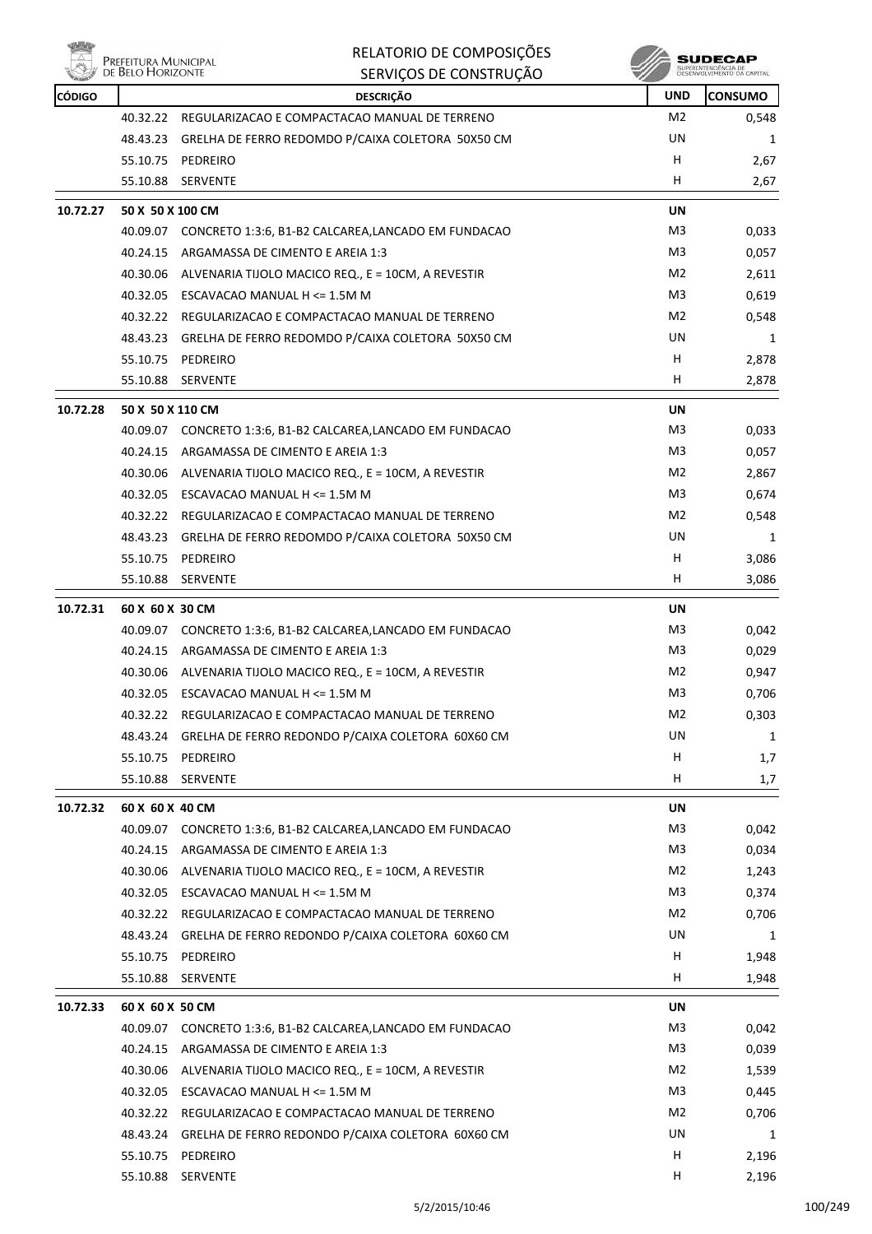

|               |                                           | RELATORIO DE COMPOSIÇÕES                                    |                | SUDECAP                    |
|---------------|-------------------------------------------|-------------------------------------------------------------|----------------|----------------------------|
|               | Prefeitura Municipal<br>de Belo Horizonte | SERVIÇOS DE CONSTRUÇÃO                                      |                | DESENVOLVIMENTO OA CAPITAL |
| <b>CÓDIGO</b> |                                           | <b>DESCRIÇÃO</b>                                            | <b>UND</b>     | <b>CONSUMO</b>             |
|               | 40.32.22                                  | REGULARIZACAO E COMPACTACAO MANUAL DE TERRENO               | M <sub>2</sub> | 0,548                      |
|               | 48.43.23                                  | GRELHA DE FERRO REDOMDO P/CAIXA COLETORA 50X50 CM           | UN             | 1                          |
|               |                                           | 55.10.75 PEDREIRO                                           | н              | 2,67                       |
|               | 55.10.88                                  | <b>SERVENTE</b>                                             | н              | 2,67                       |
| 10.72.27      | 50 X 50 X 100 CM                          |                                                             | UN             |                            |
|               | 40.09.07                                  | CONCRETO 1:3:6, B1-B2 CALCAREA,LANCADO EM FUNDACAO          | M3             | 0,033                      |
|               | 40.24.15                                  | ARGAMASSA DE CIMENTO E AREIA 1:3                            | M3             | 0,057                      |
|               |                                           | 40.30.06 ALVENARIA TIJOLO MACICO REQ., E = 10CM, A REVESTIR | M <sub>2</sub> | 2,611                      |
|               |                                           | 40.32.05 ESCAVACAO MANUAL H <= 1.5M M                       | M3             | 0,619                      |
|               |                                           | 40.32.22 REGULARIZACAO E COMPACTACAO MANUAL DE TERRENO      | M2             | 0,548                      |
|               | 48.43.23                                  | GRELHA DE FERRO REDOMDO P/CAIXA COLETORA 50X50 CM           | UN             | 1                          |
|               | 55.10.75                                  | PEDREIRO                                                    | н              | 2,878                      |
|               | 55.10.88                                  | SERVENTE                                                    | н              | 2,878                      |
| 10.72.28      | 50 X 50 X 110 CM                          |                                                             | UN             |                            |
|               | 40.09.07                                  | CONCRETO 1:3:6, B1-B2 CALCAREA,LANCADO EM FUNDACAO          | M3             | 0,033                      |
|               | 40.24.15                                  | ARGAMASSA DE CIMENTO E AREIA 1:3                            | M3             | 0,057                      |
|               | 40.30.06                                  | ALVENARIA TIJOLO MACICO REQ., E = 10CM, A REVESTIR          | M <sub>2</sub> | 2,867                      |
|               |                                           | 40.32.05 ESCAVACAO MANUAL H <= 1.5M M                       | M3             | 0,674                      |
|               | 40.32.22                                  | REGULARIZACAO E COMPACTACAO MANUAL DE TERRENO               | M2             | 0,548                      |
|               | 48.43.23                                  | GRELHA DE FERRO REDOMDO P/CAIXA COLETORA 50X50 CM           | UN             | 1                          |
|               | 55.10.75                                  | PEDREIRO                                                    | H              | 3,086                      |
|               | 55.10.88                                  | SERVENTE                                                    | н              | 3,086                      |
| 10.72.31      | 60 X 60 X 30 CM                           |                                                             | UN             |                            |
|               | 40.09.07                                  | CONCRETO 1:3:6, B1-B2 CALCAREA, LANCADO EM FUNDACAO         | M3             | 0,042                      |
|               | 40.24.15                                  | ARGAMASSA DE CIMENTO E AREIA 1:3                            | M3             | 0,029                      |
|               | 40.30.06                                  | ALVENARIA TIJOLO MACICO REQ., E = 10CM, A REVESTIR          | M2             | 0,947                      |
|               |                                           | 40.32.05 ESCAVACAO MANUAL H <= 1.5M M                       | M3             | 0,706                      |
|               |                                           | 40.32.22 REGULARIZACAO E COMPACTACAO MANUAL DE TERRENO      | M2             | 0,303                      |
|               |                                           | 48.43.24 GRELHA DE FERRO REDONDO P/CAIXA COLETORA 60X60 CM  | UN             | 1                          |
|               |                                           | 55.10.75 PEDREIRO                                           | Н              | 1,7                        |
|               |                                           | 55.10.88 SERVENTE                                           | H              | 1,7                        |
| 10.72.32      | 60 X 60 X 40 CM                           |                                                             | UN             |                            |
|               | 40.09.07                                  | CONCRETO 1:3:6, B1-B2 CALCAREA, LANCADO EM FUNDACAO         | M3             | 0,042                      |
|               |                                           | 40.24.15 ARGAMASSA DE CIMENTO E AREIA 1:3                   | M3             | 0,034                      |
|               |                                           | 40.30.06 ALVENARIA TIJOLO MACICO REQ., E = 10CM, A REVESTIR | M2             | 1,243                      |
|               |                                           | 40.32.05 ESCAVACAO MANUAL H <= 1.5M M                       | M3             | 0,374                      |
|               |                                           | 40.32.22 REGULARIZACAO E COMPACTACAO MANUAL DE TERRENO      | M2             | 0,706                      |
|               |                                           | 48.43.24 GRELHA DE FERRO REDONDO P/CAIXA COLETORA 60X60 CM  | UN             | 1                          |
|               |                                           | 55.10.75 PEDREIRO                                           | H              | 1,948                      |
|               |                                           | 55.10.88 SERVENTE                                           | H              | 1,948                      |
|               |                                           |                                                             |                |                            |
| 10.72.33      | 60 X 60 X 50 CM                           |                                                             | UN             |                            |
|               | 40.09.07                                  | CONCRETO 1:3:6, B1-B2 CALCAREA, LANCADO EM FUNDACAO         | M3             | 0,042                      |
|               |                                           | 40.24.15 ARGAMASSA DE CIMENTO E AREIA 1:3                   | M3             | 0,039                      |
|               |                                           | 40.30.06 ALVENARIA TIJOLO MACICO REQ., E = 10CM, A REVESTIR | M2             | 1,539                      |
|               |                                           | 40.32.05 ESCAVACAO MANUAL H $\leq$ 1.5M M                   | M3             | 0,445                      |
|               |                                           | 40.32.22 REGULARIZACAO E COMPACTACAO MANUAL DE TERRENO      | M2             | 0,706                      |
|               | 48.43.24                                  | GRELHA DE FERRO REDONDO P/CAIXA COLETORA 60X60 CM           | UN             | 1                          |
|               |                                           | 55.10.75 PEDREIRO                                           | H              | 2,196                      |

55.10.88 SERVENTE H 2,196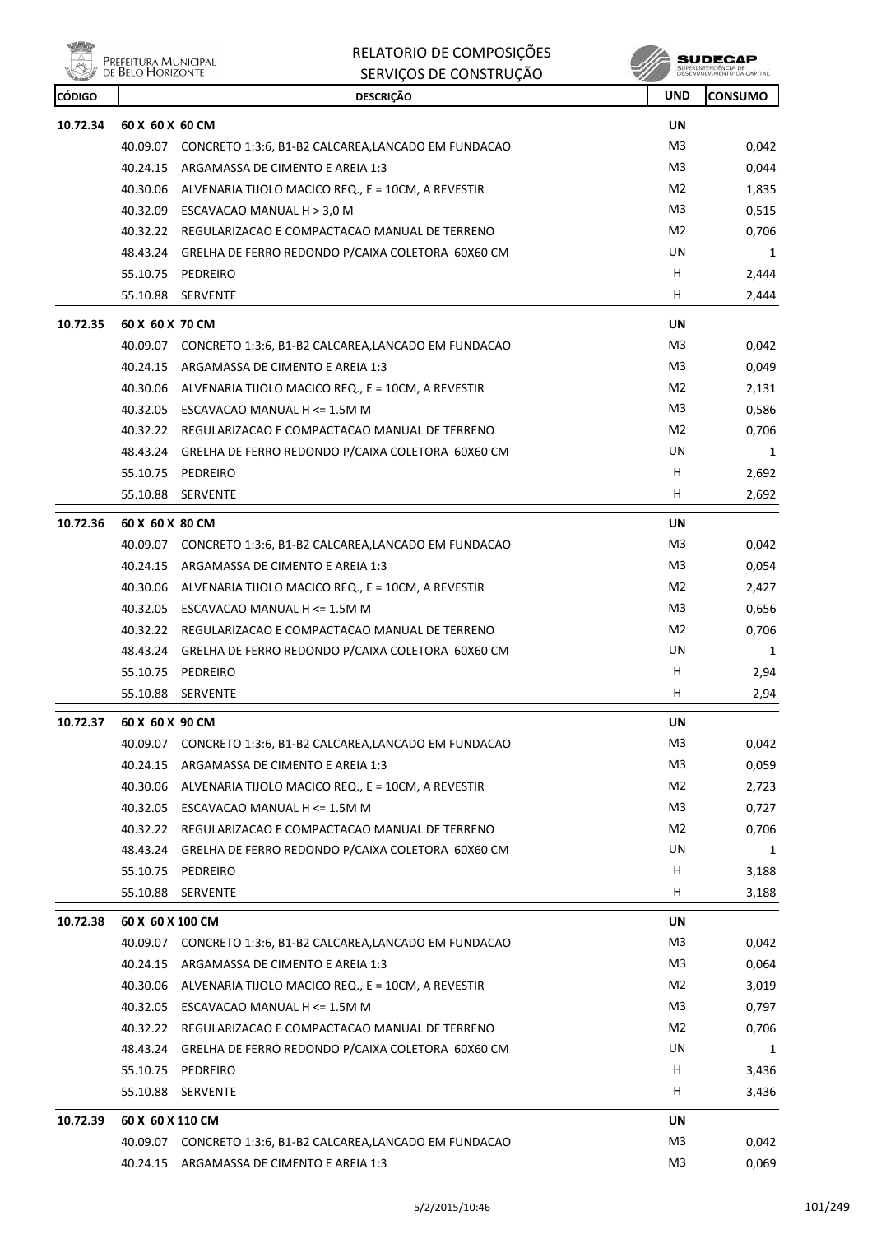

| <b>CÓDIGO</b> |                  | <b>DESCRIÇÃO</b>                                            | <b>UND</b>     | <b>CONSUMO</b> |
|---------------|------------------|-------------------------------------------------------------|----------------|----------------|
| 10.72.34      | 60 X 60 X 60 CM  |                                                             | UN             |                |
|               | 40.09.07         | CONCRETO 1:3:6, B1-B2 CALCAREA, LANCADO EM FUNDACAO         | M3             | 0,042          |
|               | 40.24.15         | ARGAMASSA DE CIMENTO E AREIA 1:3                            | M3             | 0,044          |
|               |                  | 40.30.06 ALVENARIA TIJOLO MACICO REQ., E = 10CM, A REVESTIR | M2             | 1,835          |
|               |                  | 40.32.09 ESCAVACAO MANUAL H > 3,0 M                         | M3             | 0,515          |
|               |                  | 40.32.22 REGULARIZACAO E COMPACTACAO MANUAL DE TERRENO      | M2             | 0,706          |
|               |                  | 48.43.24 GRELHA DE FERRO REDONDO P/CAIXA COLETORA 60X60 CM  | UN             | 1              |
|               | 55.10.75         | PEDREIRO                                                    | н              | 2,444          |
|               | 55.10.88         | <b>SERVENTE</b>                                             | H              | 2,444          |
| 10.72.35      | 60 X 60 X 70 CM  |                                                             | <b>UN</b>      |                |
|               | 40.09.07         | CONCRETO 1:3:6, B1-B2 CALCAREA, LANCADO EM FUNDACAO         | M3             | 0,042          |
|               | 40.24.15         | ARGAMASSA DE CIMENTO E AREIA 1:3                            | M3             | 0,049          |
|               |                  | 40.30.06 ALVENARIA TIJOLO MACICO REQ., E = 10CM, A REVESTIR | M2             | 2,131          |
|               |                  | 40.32.05 ESCAVACAO MANUAL H <= 1.5M M                       | M3             | 0,586          |
|               |                  | 40.32.22 REGULARIZACAO E COMPACTACAO MANUAL DE TERRENO      | M2             | 0,706          |
|               |                  | 48.43.24 GRELHA DE FERRO REDONDO P/CAIXA COLETORA 60X60 CM  | UN             | 1              |
|               |                  | 55.10.75 PEDREIRO                                           | H              | 2,692          |
|               | 55.10.88         | <b>SERVENTE</b>                                             | н              | 2,692          |
| 10.72.36      | 60 X 60 X 80 CM  |                                                             | UN             |                |
|               |                  | 40.09.07 CONCRETO 1:3:6, B1-B2 CALCAREA,LANCADO EM FUNDACAO | M3             | 0,042          |
|               | 40.24.15         | ARGAMASSA DE CIMENTO E AREIA 1:3                            | M3             | 0,054          |
|               |                  | 40.30.06 ALVENARIA TIJOLO MACICO REQ., E = 10CM, A REVESTIR | M2             | 2,427          |
|               |                  | 40.32.05 ESCAVACAO MANUAL H <= 1.5M M                       | M3             | 0,656          |
|               |                  | 40.32.22 REGULARIZACAO E COMPACTACAO MANUAL DE TERRENO      | M2             | 0,706          |
|               |                  | 48.43.24 GRELHA DE FERRO REDONDO P/CAIXA COLETORA 60X60 CM  | UN             | 1              |
|               |                  | 55.10.75 PEDREIRO                                           | н              | 2,94           |
|               |                  | 55.10.88 SERVENTE                                           | H              | 2,94           |
| 10.72.37      | 60 X 60 X 90 CM  |                                                             | UN             |                |
|               |                  | 40.09.07 CONCRETO 1:3:6, B1-B2 CALCAREA,LANCADO EM FUNDACAO | M3             | 0,042          |
|               |                  | 40.24.15 ARGAMASSA DE CIMENTO E AREIA 1:3                   | M3             | 0,059          |
|               | 40.30.06         | ALVENARIA TIJOLO MACICO REQ., E = 10CM, A REVESTIR          | M <sub>2</sub> | 2,723          |
|               |                  | 40.32.05 ESCAVACAO MANUAL H <= 1.5M M                       | M <sub>3</sub> | 0,727          |
|               |                  | 40.32.22 REGULARIZACAO E COMPACTACAO MANUAL DE TERRENO      | M2             | 0,706          |
|               |                  | 48.43.24 GRELHA DE FERRO REDONDO P/CAIXA COLETORA 60X60 CM  | UN             | 1              |
|               | 55.10.75         | PEDREIRO                                                    | H              | 3,188          |
|               | 55.10.88         | SERVENTE                                                    | H              | 3,188          |
| 10.72.38      | 60 X 60 X 100 CM |                                                             | UN             |                |
|               |                  | 40.09.07 CONCRETO 1:3:6, B1-B2 CALCAREA,LANCADO EM FUNDACAO | M3             | 0,042          |
|               |                  | 40.24.15 ARGAMASSA DE CIMENTO E AREIA 1:3                   | M <sub>3</sub> | 0,064          |
|               |                  | 40.30.06 ALVENARIA TIJOLO MACICO REQ., E = 10CM, A REVESTIR | M2             | 3,019          |
|               |                  | 40.32.05 ESCAVACAO MANUAL H <= 1.5M M                       | M <sub>3</sub> | 0,797          |
|               |                  | 40.32.22 REGULARIZACAO E COMPACTACAO MANUAL DE TERRENO      | M2             | 0,706          |
|               |                  | 48.43.24 GRELHA DE FERRO REDONDO P/CAIXA COLETORA 60X60 CM  | UN             | 1              |
|               |                  | 55.10.75 PEDREIRO                                           | н              | 3,436          |
|               | 55.10.88         | <b>SERVENTE</b>                                             | H              | 3,436          |
| 10.72.39      | 60 X 60 X 110 CM |                                                             | UN             |                |
|               |                  | 40.09.07 CONCRETO 1:3:6, B1-B2 CALCAREA,LANCADO EM FUNDACAO | M3             | 0,042          |
|               |                  | 40.24.15 ARGAMASSA DE CIMENTO E AREIA 1:3                   | M <sub>3</sub> | 0,069          |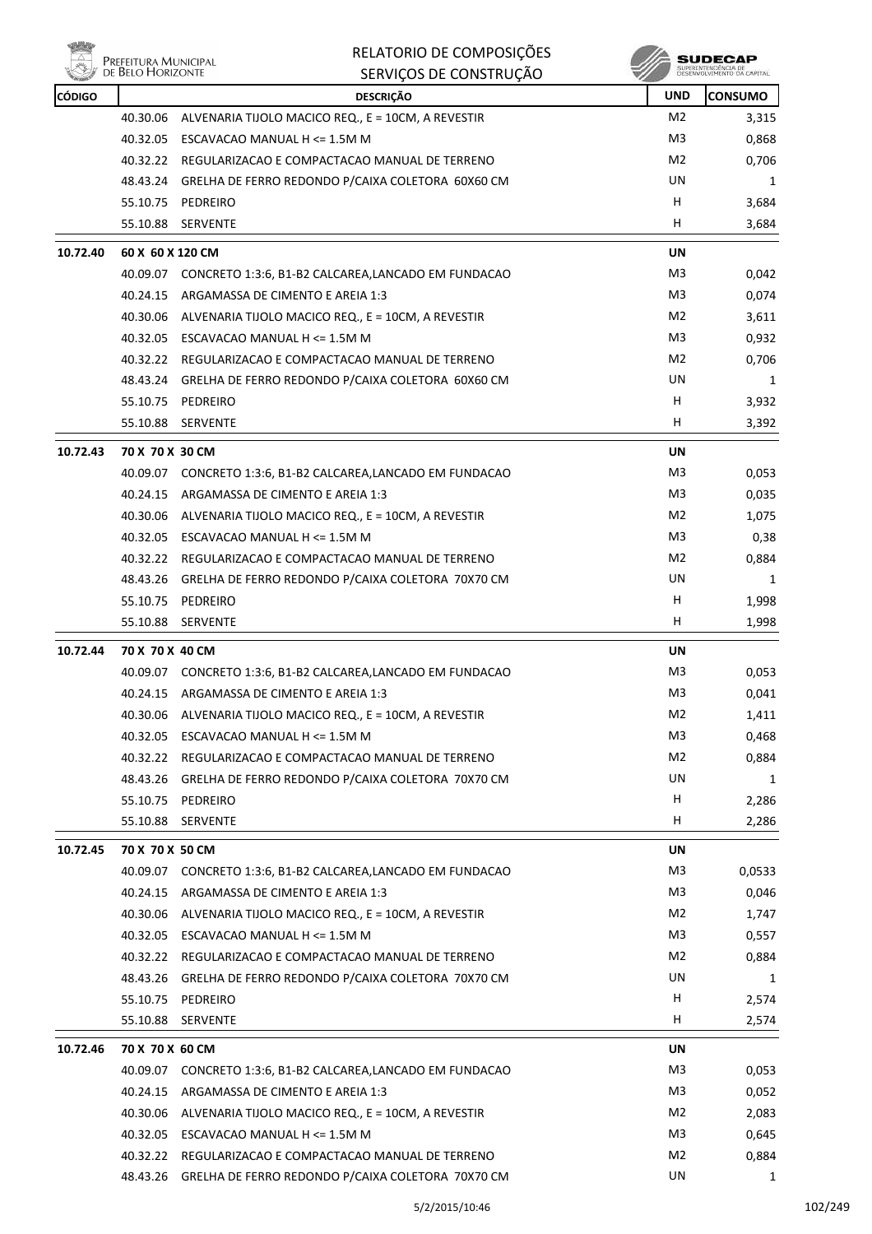| 小品先           |                                           | RELATORIO DE COMPOSIÇÕES                                    |                | SUDECAP                                          |
|---------------|-------------------------------------------|-------------------------------------------------------------|----------------|--------------------------------------------------|
|               | Prefeitura Municipal<br>de Belo Horizonte | SERVIÇOS DE CONSTRUÇÃO                                      |                | SUPERINTENDÊNCIA DE<br>DESENVOLVIMENTO DA CAPITA |
| <b>CÓDIGO</b> |                                           | <b>DESCRIÇÃO</b>                                            | <b>UND</b>     | <b>CONSUMO</b>                                   |
|               | 40.30.06                                  | ALVENARIA TIJOLO MACICO REQ., E = 10CM, A REVESTIR          | M <sub>2</sub> | 3,315                                            |
|               | 40.32.05                                  | ESCAVACAO MANUAL H <= 1.5M M                                | M <sub>3</sub> | 0,868                                            |
|               | 40.32.22                                  | REGULARIZACAO E COMPACTACAO MANUAL DE TERRENO               | M <sub>2</sub> | 0,706                                            |
|               | 48.43.24                                  | GRELHA DE FERRO REDONDO P/CAIXA COLETORA 60X60 CM           | UN             | 1                                                |
|               | 55.10.75                                  | PEDREIRO                                                    | н              | 3,684                                            |
|               | 55.10.88                                  | SERVENTE                                                    | н              | 3,684                                            |
| 10.72.40      | 60 X 60 X 120 CM                          |                                                             | <b>UN</b>      |                                                  |
|               | 40.09.07                                  | CONCRETO 1:3:6, B1-B2 CALCAREA, LANCADO EM FUNDACAO         | M3             | 0,042                                            |
|               | 40.24.15                                  | ARGAMASSA DE CIMENTO E AREIA 1:3                            | M3             | 0,074                                            |
|               | 40.30.06                                  | ALVENARIA TIJOLO MACICO REQ., E = 10CM, A REVESTIR          | M <sub>2</sub> | 3,611                                            |
|               | 40.32.05                                  | ESCAVACAO MANUAL H <= 1.5M M                                | M3             | 0,932                                            |
|               | 40.32.22                                  | REGULARIZACAO E COMPACTACAO MANUAL DE TERRENO               | M2             | 0,706                                            |
|               | 48.43.24                                  | GRELHA DE FERRO REDONDO P/CAIXA COLETORA 60X60 CM           | UN             | 1                                                |
|               | 55.10.75                                  | PEDREIRO                                                    | н              | 3,932                                            |
|               | 55.10.88                                  | SERVENTE                                                    | н              | 3,392                                            |
| 10.72.43      | 70 X 70 X 30 CM                           |                                                             | <b>UN</b>      |                                                  |
|               | 40.09.07                                  | CONCRETO 1:3:6, B1-B2 CALCAREA, LANCADO EM FUNDACAO         | M3             | 0,053                                            |
|               | 40.24.15                                  | ARGAMASSA DE CIMENTO E AREIA 1:3                            | M <sub>3</sub> | 0,035                                            |
|               | 40.30.06                                  | ALVENARIA TIJOLO MACICO REQ., E = 10CM, A REVESTIR          | M2             | 1,075                                            |
|               | 40.32.05                                  | ESCAVACAO MANUAL H <= 1.5M M                                | M3             | 0,38                                             |
|               |                                           | 40.32.22 REGULARIZACAO E COMPACTACAO MANUAL DE TERRENO      | M <sub>2</sub> | 0,884                                            |
|               | 48.43.26                                  | GRELHA DE FERRO REDONDO P/CAIXA COLETORA 70X70 CM           | UN             | 1                                                |
|               | 55.10.75                                  | PEDREIRO                                                    | н              | 1,998                                            |
|               | 55.10.88                                  | <b>SERVENTE</b>                                             | н              | 1,998                                            |
|               |                                           |                                                             |                |                                                  |
| 10.72.44      | 70 X 70 X 40 CM                           |                                                             | UN             |                                                  |
|               |                                           | 40.09.07 CONCRETO 1:3:6, B1-B2 CALCAREA,LANCADO EM FUNDACAO | M3             | 0,053                                            |
|               |                                           | 40.24.15 ARGAMASSA DE CIMENTO E AREIA 1:3                   | M3             | 0,041                                            |
|               |                                           | 40.30.06 ALVENARIA TIJOLO MACICO REQ., E = 10CM, A REVESTIR | M2             | 1,411                                            |
|               | 40.32.05                                  | ESCAVACAO MANUAL H <= 1.5M M                                | M3             | 0,468                                            |
|               | 40.32.22                                  | REGULARIZACAO E COMPACTACAO MANUAL DE TERRENO               | M2             | 0,884                                            |
|               | 48.43.26                                  | GRELHA DE FERRO REDONDO P/CAIXA COLETORA 70X70 CM           | UN             | 1                                                |
|               | 55.10.75                                  | PEDREIRO                                                    | Н              | 2,286                                            |
|               | 55.10.88                                  | SERVENTE                                                    | н              | 2,286                                            |
| 10.72.45      | 70 X 70 X 50 CM                           |                                                             | UN             |                                                  |
|               | 40.09.07                                  | CONCRETO 1:3:6, B1-B2 CALCAREA, LANCADO EM FUNDACAO         | M3             | 0,0533                                           |
|               | 40.24.15                                  | ARGAMASSA DE CIMENTO E AREIA 1:3                            | M3             | 0,046                                            |
|               | 40.30.06                                  | ALVENARIA TIJOLO MACICO REQ., E = 10CM, A REVESTIR          | M2             | 1,747                                            |
|               |                                           | 40.32.05 ESCAVACAO MANUAL H <= 1.5M M                       | M3             | 0,557                                            |
|               |                                           | 40.32.22 REGULARIZACAO E COMPACTACAO MANUAL DE TERRENO      | M2             | 0,884                                            |
|               |                                           | 48.43.26 GRELHA DE FERRO REDONDO P/CAIXA COLETORA 70X70 CM  | UN             | 1                                                |
|               | 55.10.75                                  | PEDREIRO                                                    | H              | 2,574                                            |
|               | 55.10.88                                  | <b>SERVENTE</b>                                             | н              | 2,574                                            |
| 10.72.46      | 70 X 70 X 60 CM                           |                                                             | UN             |                                                  |
|               | 40.09.07                                  | CONCRETO 1:3:6, B1-B2 CALCAREA, LANCADO EM FUNDACAO         | M3             | 0,053                                            |
|               | 40.24.15                                  | ARGAMASSA DE CIMENTO E AREIA 1:3                            | M3             | 0,052                                            |
|               |                                           | 40.30.06 ALVENARIA TIJOLO MACICO REQ., E = 10CM, A REVESTIR | M2             | 2,083                                            |
|               |                                           | 40.32.05 ESCAVACAO MANUAL H <= 1.5M M                       | M3             | 0,645                                            |
|               |                                           | 40.32.22 REGULARIZACAO E COMPACTACAO MANUAL DE TERRENO      | M2             | 0,884                                            |
|               | 48.43.26                                  | GRELHA DE FERRO REDONDO P/CAIXA COLETORA 70X70 CM           | UN             | 1                                                |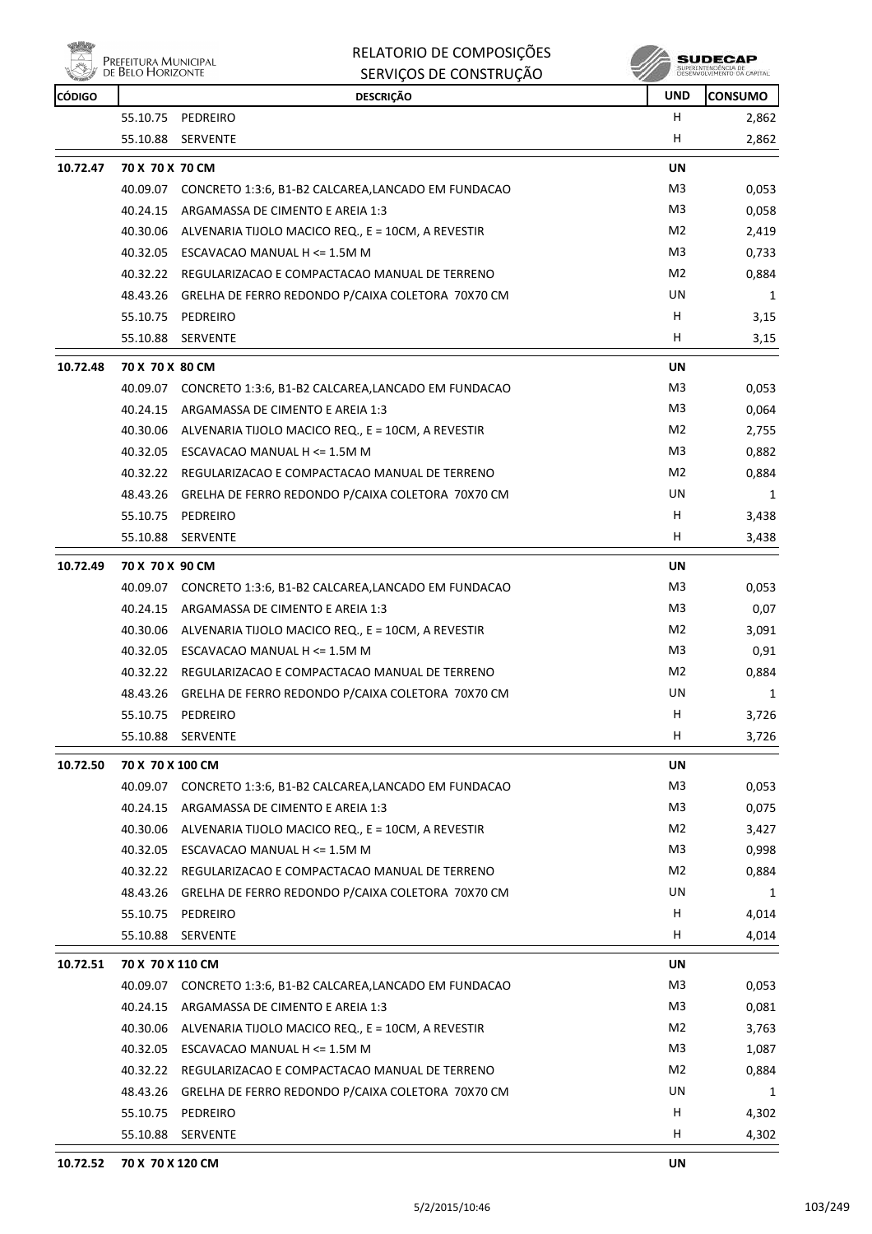

|               | <b>DE DELO I IONIZON IE</b> | SERVIÇOS DE CONSTRUÇÃO                                      |                | DESENVOLVEMENTO DA CAPITAL |
|---------------|-----------------------------|-------------------------------------------------------------|----------------|----------------------------|
| <b>CÓDIGO</b> |                             | <b>DESCRIÇÃO</b>                                            | <b>UND</b>     | <b>CONSUMO</b>             |
|               |                             | 55.10.75 PEDREIRO                                           | H              | 2,862                      |
|               |                             | 55.10.88 SERVENTE                                           | н              | 2,862                      |
| 10.72.47      | 70 X 70 X 70 CM             |                                                             | <b>UN</b>      |                            |
|               |                             | 40.09.07 CONCRETO 1:3:6, B1-B2 CALCAREA,LANCADO EM FUNDACAO | M3             | 0,053                      |
|               |                             | 40.24.15 ARGAMASSA DE CIMENTO E AREIA 1:3                   | M3             | 0,058                      |
|               | 40.30.06                    | ALVENARIA TIJOLO MACICO REQ., E = 10CM, A REVESTIR          | M2             | 2,419                      |
|               |                             | 40.32.05 ESCAVACAO MANUAL H <= 1.5M M                       | M3             | 0,733                      |
|               |                             | 40.32.22 REGULARIZACAO E COMPACTACAO MANUAL DE TERRENO      | M2             | 0,884                      |
|               |                             | 48.43.26 GRELHA DE FERRO REDONDO P/CAIXA COLETORA 70X70 CM  | UN             | 1                          |
|               |                             | 55.10.75 PEDREIRO                                           | н              | 3,15                       |
|               | 55.10.88                    | <b>SERVENTE</b>                                             | н              | 3,15                       |
| 10.72.48      | 70 X 70 X 80 CM             |                                                             | UN             |                            |
|               |                             | 40.09.07 CONCRETO 1:3:6, B1-B2 CALCAREA,LANCADO EM FUNDACAO | M3             | 0,053                      |
|               | 40.24.15                    | ARGAMASSA DE CIMENTO E AREIA 1:3                            | M3             | 0,064                      |
|               |                             | 40.30.06 ALVENARIA TIJOLO MACICO REQ., E = 10CM, A REVESTIR | M2             | 2,755                      |
|               |                             | 40.32.05 ESCAVACAO MANUAL H <= 1.5M M                       | M3             | 0,882                      |
|               |                             | 40.32.22 REGULARIZACAO E COMPACTACAO MANUAL DE TERRENO      | M2             | 0,884                      |
|               | 48.43.26                    | GRELHA DE FERRO REDONDO P/CAIXA COLETORA 70X70 CM           | UN             | 1                          |
|               | 55.10.75                    | PEDREIRO                                                    | н              | 3,438                      |
|               | 55.10.88                    | SERVENTE                                                    | н              | 3,438                      |
|               |                             |                                                             |                |                            |
| 10.72.49      | 70 X 70 X 90 CM             |                                                             | UN             |                            |
|               |                             | 40.09.07 CONCRETO 1:3:6, B1-B2 CALCAREA,LANCADO EM FUNDACAO | M3             | 0,053                      |
|               |                             | 40.24.15 ARGAMASSA DE CIMENTO E AREIA 1:3                   | M3             | 0,07                       |
|               | 40.30.06                    | ALVENARIA TIJOLO MACICO REQ., E = 10CM, A REVESTIR          | M2             | 3,091                      |
|               |                             | 40.32.05 ESCAVACAO MANUAL H <= 1.5M M                       | M3             | 0,91                       |
|               |                             | 40.32.22 REGULARIZACAO E COMPACTACAO MANUAL DE TERRENO      | M2             | 0,884                      |
|               |                             | 48.43.26 GRELHA DE FERRO REDONDO P/CAIXA COLETORA 70X70 CM  | UN             | 1                          |
|               |                             | 55.10.75 PEDREIRO                                           | н              | 3,726                      |
|               | 55.10.88                    | SERVENTE                                                    | H              | 3,726                      |
| 10.72.50      | 70 X 70 X 100 CM            |                                                             | UN             |                            |
|               |                             | 40.09.07 CONCRETO 1:3:6, B1-B2 CALCAREA,LANCADO EM FUNDACAO | M <sub>3</sub> | 0,053                      |
|               | 40.24.15                    | ARGAMASSA DE CIMENTO E AREIA 1:3                            | M3             | 0,075                      |
|               | 40.30.06                    | ALVENARIA TIJOLO MACICO REQ., E = 10CM, A REVESTIR          | M2             | 3,427                      |
|               | 40.32.05                    | ESCAVACAO MANUAL H <= 1.5M M                                | M3             | 0,998                      |
|               |                             | 40.32.22 REGULARIZACAO E COMPACTACAO MANUAL DE TERRENO      | M2             | 0,884                      |
|               | 48.43.26                    | GRELHA DE FERRO REDONDO P/CAIXA COLETORA 70X70 CM           | UN             | 1                          |
|               | 55.10.75                    | PEDREIRO                                                    | н              | 4,014                      |
|               | 55.10.88                    | SERVENTE                                                    | н              | 4,014                      |
| 10.72.51      | 70 X 70 X 110 CM            |                                                             | UN             |                            |
|               | 40.09.07                    | CONCRETO 1:3:6, B1-B2 CALCAREA, LANCADO EM FUNDACAO         | M3             | 0,053                      |
|               | 40.24.15                    | ARGAMASSA DE CIMENTO E AREIA 1:3                            | M <sub>3</sub> | 0,081                      |
|               | 40.30.06                    | ALVENARIA TIJOLO MACICO REQ., E = 10CM, A REVESTIR          | M2             | 3,763                      |
|               |                             | 40.32.05 ESCAVACAO MANUAL H <= 1.5M M                       | M3             | 1,087                      |
|               | 40.32.22                    | REGULARIZACAO E COMPACTACAO MANUAL DE TERRENO               | M <sub>2</sub> | 0,884                      |
|               | 48.43.26                    | GRELHA DE FERRO REDONDO P/CAIXA COLETORA 70X70 CM           | UN             | 1                          |
|               | 55.10.75                    | PEDREIRO                                                    | н              | 4,302                      |
|               | 55.10.88                    | SERVENTE                                                    | H              | 4,302                      |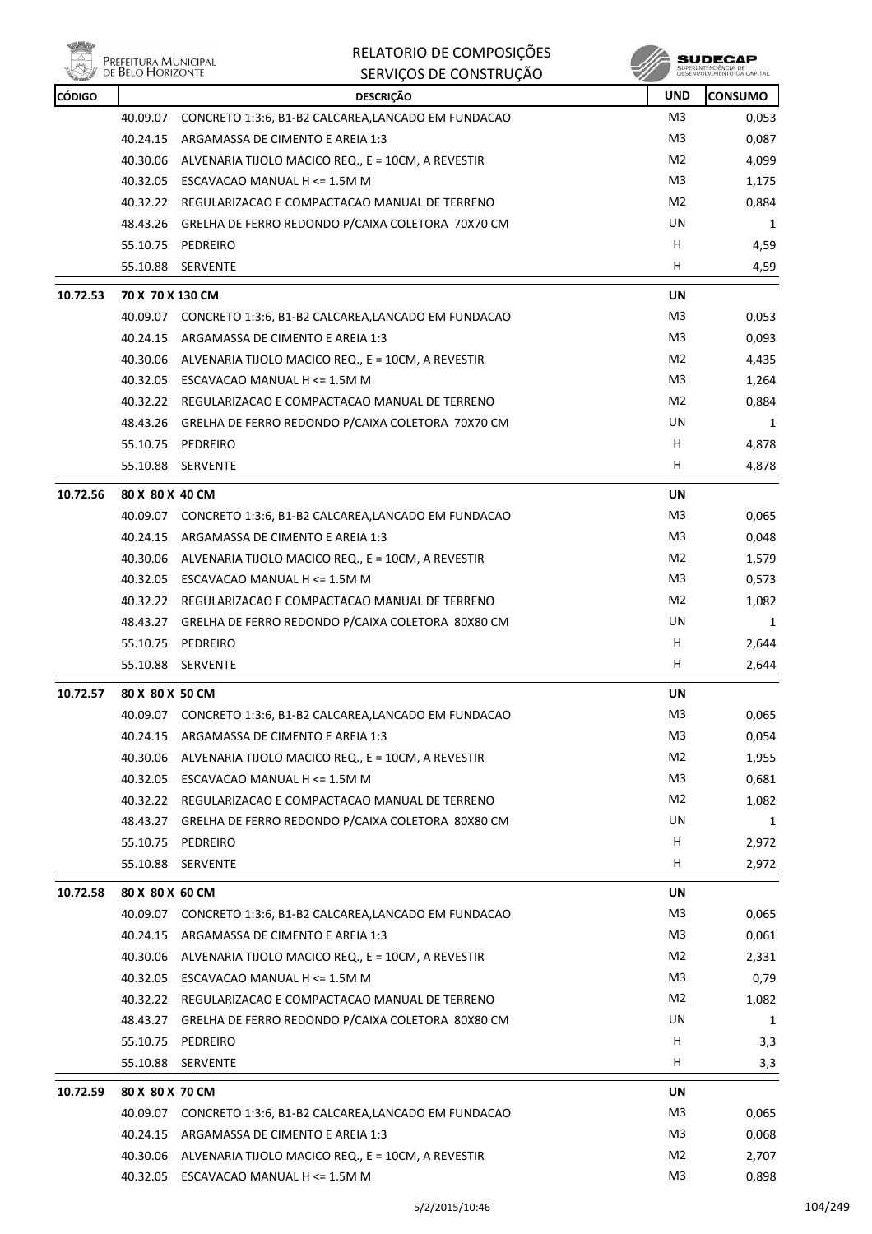

| <b>CÓDIGO</b> |                  | <b>DESCRIÇÃO</b>                                            | <b>UND</b>     | <b>CONSUMO</b> |
|---------------|------------------|-------------------------------------------------------------|----------------|----------------|
|               | 40.09.07         | CONCRETO 1:3:6, B1-B2 CALCAREA, LANCADO EM FUNDACAO         | M3             | 0,053          |
|               | 40.24.15         | ARGAMASSA DE CIMENTO E AREIA 1:3                            | M3             | 0,087          |
|               | 40.30.06         | ALVENARIA TIJOLO MACICO REQ., E = 10CM, A REVESTIR          | M2             | 4,099          |
|               |                  | 40.32.05 ESCAVACAO MANUAL H <= 1.5M M                       | M3             | 1,175          |
|               |                  | 40.32.22 REGULARIZACAO E COMPACTACAO MANUAL DE TERRENO      | M2             | 0,884          |
|               | 48.43.26         | GRELHA DE FERRO REDONDO P/CAIXA COLETORA 70X70 CM           | UN             | 1              |
|               | 55.10.75         | PEDREIRO                                                    | н              | 4,59           |
|               |                  | 55.10.88 SERVENTE                                           | H              | 4,59           |
| 10.72.53      | 70 X 70 X 130 CM |                                                             | UN             |                |
|               | 40.09.07         | CONCRETO 1:3:6, B1-B2 CALCAREA,LANCADO EM FUNDACAO          | M3             | 0,053          |
|               |                  | 40.24.15 ARGAMASSA DE CIMENTO E AREIA 1:3                   | M3             | 0,093          |
|               | 40.30.06         | ALVENARIA TIJOLO MACICO REQ., E = 10CM, A REVESTIR          | M2             | 4,435          |
|               |                  | 40.32.05 ESCAVACAO MANUAL H <= 1.5M M                       | M3             | 1,264          |
|               |                  | 40.32.22 REGULARIZACAO E COMPACTACAO MANUAL DE TERRENO      | M2             | 0,884          |
|               |                  | 48.43.26 GRELHA DE FERRO REDONDO P/CAIXA COLETORA 70X70 CM  | <b>UN</b>      | 1              |
|               |                  | 55.10.75 PEDREIRO                                           | н              | 4,878          |
|               |                  | 55.10.88 SERVENTE                                           | H.             | 4,878          |
| 10.72.56      | 80 X 80 X 40 CM  |                                                             | UN             |                |
|               |                  | 40.09.07 CONCRETO 1:3:6, B1-B2 CALCAREA,LANCADO EM FUNDACAO | M <sub>3</sub> | 0,065          |
|               |                  | 40.24.15 ARGAMASSA DE CIMENTO E AREIA 1:3                   | M3             | 0,048          |
|               | 40.30.06         | ALVENARIA TIJOLO MACICO REQ., E = 10CM, A REVESTIR          | M2             | 1,579          |
|               | 40.32.05         | ESCAVACAO MANUAL H <= 1.5M M                                | M3             | 0,573          |
|               |                  | 40.32.22 REGULARIZACAO E COMPACTACAO MANUAL DE TERRENO      | M2             | 1,082          |
|               |                  | 48.43.27 GRELHA DE FERRO REDONDO P/CAIXA COLETORA 80X80 CM  | UN             | 1              |
|               |                  | 55.10.75 PEDREIRO                                           | H.             | 2,644          |
|               | 55.10.88         | SERVENTE                                                    | H              | 2,644          |
| 10.72.57      | 80 X 80 X 50 CM  |                                                             | UN             |                |
|               |                  | 40.09.07 CONCRETO 1:3:6, B1-B2 CALCAREA,LANCADO EM FUNDACAO | M <sub>3</sub> | 0,065          |
|               |                  | 40.24.15 ARGAMASSA DE CIMENTO E AREIA 1:3                   | M <sub>3</sub> | 0,054          |
|               |                  | 40.30.06 ALVENARIA TIJOLO MACICO REQ., E = 10CM, A REVESTIR | M2             | 1,955          |
|               | 40.32.05         | ESCAVACAO MANUAL H <= 1.5M M                                | M3             | 0,681          |
|               | 40.32.22         | REGULARIZACAO E COMPACTACAO MANUAL DE TERRENO               | M2             | 1,082          |
|               | 48.43.27         | GRELHA DE FERRO REDONDO P/CAIXA COLETORA 80X80 CM           | UN             | 1              |
|               | 55.10.75         | PEDREIRO                                                    | H              | 2,972          |
|               | 55.10.88         | SERVENTE                                                    | H.             | 2,972          |
| 10.72.58      | 80 X 80 X 60 CM  |                                                             | UN             |                |
|               |                  | 40.09.07 CONCRETO 1:3:6, B1-B2 CALCAREA,LANCADO EM FUNDACAO | M3             | 0,065          |
|               |                  | 40.24.15 ARGAMASSA DE CIMENTO E AREIA 1:3                   | M3             | 0,061          |
|               | 40.30.06         | ALVENARIA TIJOLO MACICO REQ., E = 10CM, A REVESTIR          | M2             | 2,331          |
|               |                  | 40.32.05 ESCAVACAO MANUAL H <= 1.5M M                       | M3             | 0,79           |
|               |                  | 40.32.22 REGULARIZACAO E COMPACTACAO MANUAL DE TERRENO      | M2             | 1,082          |
|               | 48.43.27         | GRELHA DE FERRO REDONDO P/CAIXA COLETORA 80X80 CM           | UN             | 1              |
|               | 55.10.75         | PEDREIRO                                                    | H              | 3,3            |
|               | 55.10.88         | SERVENTE                                                    | H              | 3,3            |
| 10.72.59      | 80 X 80 X 70 CM  |                                                             | UN             |                |
|               |                  | 40.09.07 CONCRETO 1:3:6, B1-B2 CALCAREA,LANCADO EM FUNDACAO | M3             | 0,065          |
|               | 40.24.15         | ARGAMASSA DE CIMENTO E AREIA 1:3                            | M3             | 0,068          |
|               |                  | 40.30.06 ALVENARIA TIJOLO MACICO REQ., E = 10CM, A REVESTIR | M2             | 2,707          |
|               |                  | 40.32.05 ESCAVACAO MANUAL H <= 1.5M M                       | M <sub>3</sub> | 0,898          |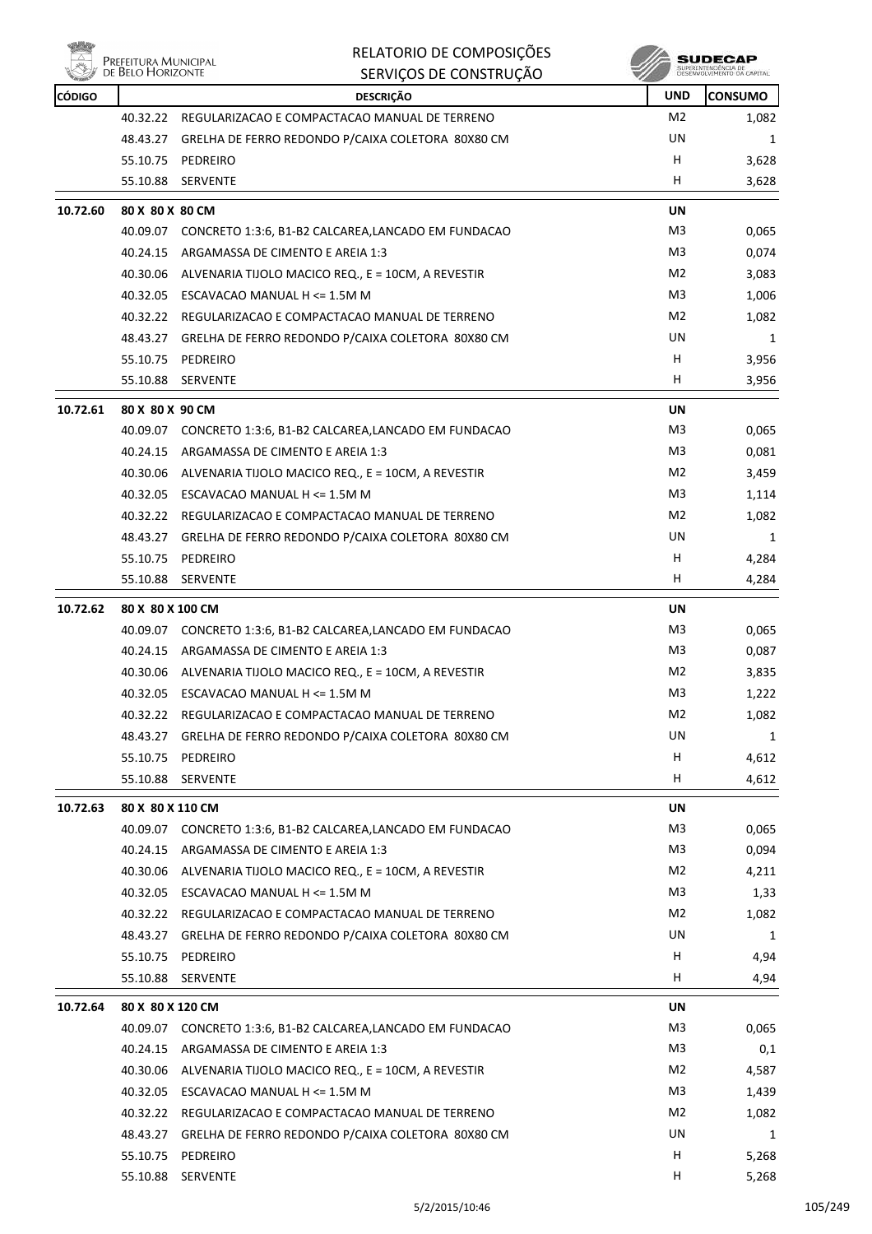

|               | Prefeitura Municipal<br>de Belo Horizonte | RELATORIO DE COMPOSIÇÕES                                    |                | SUDECAP                                           |
|---------------|-------------------------------------------|-------------------------------------------------------------|----------------|---------------------------------------------------|
|               |                                           | SERVIÇOS DE CONSTRUÇÃO                                      |                | SUPERINTENDÊNCIA DE<br>DESENVOLVIMENTO DA CAPITAL |
| <b>CÓDIGO</b> |                                           | <b>DESCRIÇÃO</b>                                            | <b>UND</b>     | <b>CONSUMO</b>                                    |
|               | 40.32.22                                  | REGULARIZACAO E COMPACTACAO MANUAL DE TERRENO               | M <sub>2</sub> | 1,082                                             |
|               | 48.43.27                                  | GRELHA DE FERRO REDONDO P/CAIXA COLETORA 80X80 CM           | UN             | 1                                                 |
|               | 55.10.75                                  | PEDREIRO                                                    | H              | 3,628                                             |
|               | 55.10.88                                  | SERVENTE                                                    | н              | 3,628                                             |
| 10.72.60      | 80 X 80 X 80 CM                           |                                                             | UN             |                                                   |
|               | 40.09.07                                  | CONCRETO 1:3:6, B1-B2 CALCAREA,LANCADO EM FUNDACAO          | M3             | 0,065                                             |
|               | 40.24.15                                  | ARGAMASSA DE CIMENTO E AREIA 1:3                            | M3             | 0,074                                             |
|               | 40.30.06                                  | ALVENARIA TIJOLO MACICO REQ., E = 10CM, A REVESTIR          | M2             | 3,083                                             |
|               | 40.32.05                                  | ESCAVACAO MANUAL H <= 1.5M M                                | M3             | 1,006                                             |
|               | 40.32.22                                  | REGULARIZACAO E COMPACTACAO MANUAL DE TERRENO               | M2             | 1,082                                             |
|               | 48.43.27                                  | GRELHA DE FERRO REDONDO P/CAIXA COLETORA 80X80 CM           | UN             | 1                                                 |
|               | 55.10.75                                  | PEDREIRO                                                    | H              | 3,956                                             |
|               | 55.10.88                                  | <b>SERVENTE</b>                                             | H              | 3,956                                             |
| 10.72.61      | 80 X 80 X 90 CM                           |                                                             | UN             |                                                   |
|               | 40.09.07                                  | CONCRETO 1:3:6, B1-B2 CALCAREA,LANCADO EM FUNDACAO          | M3             | 0.065                                             |
|               | 40.24.15                                  | ARGAMASSA DE CIMENTO E AREIA 1:3                            | M3             | 0,081                                             |
|               | 40.30.06                                  | ALVENARIA TIJOLO MACICO REQ., E = 10CM, A REVESTIR          | M2             | 3,459                                             |
|               | 40.32.05                                  | ESCAVACAO MANUAL H <= 1.5M M                                | M3             | 1,114                                             |
|               | 40.32.22                                  | REGULARIZACAO E COMPACTACAO MANUAL DE TERRENO               | M2             | 1,082                                             |
|               | 48.43.27                                  | GRELHA DE FERRO REDONDO P/CAIXA COLETORA 80X80 CM           | UN             | 1                                                 |
|               | 55.10.75                                  | PEDREIRO                                                    | H              | 4,284                                             |
|               | 55.10.88                                  | SERVENTE                                                    | н              | 4,284                                             |
| 10.72.62      | 80 X 80 X 100 CM                          |                                                             | UN             |                                                   |
|               | 40.09.07                                  | CONCRETO 1:3:6, B1-B2 CALCAREA, LANCADO EM FUNDACAO         | M3             | 0,065                                             |
|               | 40.24.15                                  | ARGAMASSA DE CIMENTO E AREIA 1:3                            | M3             | 0,087                                             |
|               | 40.30.06                                  | ALVENARIA TIJOLO MACICO REQ., E = 10CM, A REVESTIR          | M2             | 3,835                                             |
|               | 40.32.05                                  | ESCAVACAO MANUAL H <= 1.5M M                                | M3             | 1,222                                             |
|               |                                           | 40.32.22 REGULARIZACAO E COMPACTACAO MANUAL DE TERRENO      | M2             | 1,082                                             |
|               | 48.43.27                                  | GRELHA DE FERRO REDONDO P/CAIXA COLETORA 80X80 CM           | UN             | 1                                                 |
|               | 55.10.75                                  | PEDREIRO                                                    | H              | 4,612                                             |
|               | 55.10.88                                  | SERVENTE                                                    | H.             | 4,612                                             |
| 10.72.63      | 80 X 80 X 110 CM                          |                                                             | UN             |                                                   |
|               | 40.09.07                                  | CONCRETO 1:3:6, B1-B2 CALCAREA, LANCADO EM FUNDACAO         | M3             | 0,065                                             |
|               |                                           | 40.24.15 ARGAMASSA DE CIMENTO E AREIA 1:3                   | M3             | 0,094                                             |
|               |                                           | 40.30.06 ALVENARIA TIJOLO MACICO REQ., E = 10CM, A REVESTIR | M2             | 4,211                                             |
|               |                                           | 40.32.05 ESCAVACAO MANUAL H <= 1.5M M                       | M3             | 1,33                                              |
|               |                                           | 40.32.22 REGULARIZACAO E COMPACTACAO MANUAL DE TERRENO      | M2             | 1,082                                             |
|               | 48.43.27                                  | GRELHA DE FERRO REDONDO P/CAIXA COLETORA 80X80 CM           | UN             | 1                                                 |
|               | 55.10.75                                  | PEDREIRO                                                    | H              | 4,94                                              |
|               | 55.10.88                                  | SERVENTE                                                    | H              | 4,94                                              |
|               |                                           |                                                             |                |                                                   |
| 10.72.64      | 80 X 80 X 120 CM                          |                                                             | UN             |                                                   |
|               | 40.09.07                                  | CONCRETO 1:3:6, B1-B2 CALCAREA, LANCADO EM FUNDACAO         | M3             | 0,065                                             |
|               | 40.24.15                                  | ARGAMASSA DE CIMENTO E AREIA 1:3                            | M3             | 0,1                                               |
|               |                                           | 40.30.06 ALVENARIA TIJOLO MACICO REQ., E = 10CM, A REVESTIR | M2             | 4,587                                             |
|               |                                           | 40.32.05 ESCAVACAO MANUAL H $\leq$ 1.5M M                   | M3             | 1,439                                             |
|               |                                           | 40.32.22 REGULARIZACAO E COMPACTACAO MANUAL DE TERRENO      | M2             | 1,082                                             |
|               | 48.43.27                                  | GRELHA DE FERRO REDONDO P/CAIXA COLETORA 80X80 CM           | UN             | 1                                                 |
|               | 55.10.75                                  | PEDREIRO                                                    | H              | 5,268                                             |

55.10.88 SERVENTE H 5,268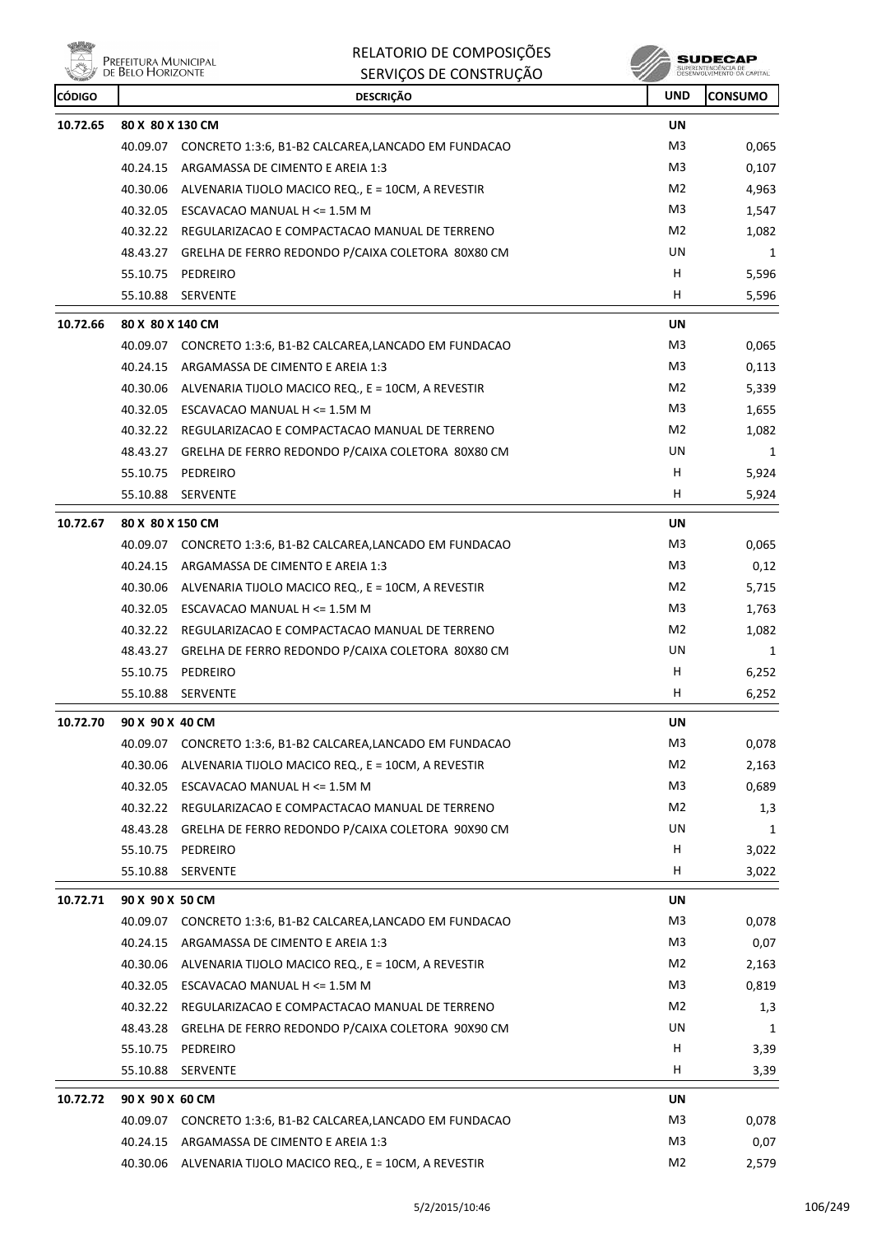

| <b>CÓDIGO</b> |                  | <b>DESCRIÇÃO</b>                                             | <b>UND</b>     | <b>CONSUMO</b> |
|---------------|------------------|--------------------------------------------------------------|----------------|----------------|
| 10.72.65      | 80 X 80 X 130 CM |                                                              | UN             |                |
|               | 40.09.07         | CONCRETO 1:3:6, B1-B2 CALCAREA, LANCADO EM FUNDACAO          | M <sub>3</sub> | 0,065          |
|               | 40.24.15         | ARGAMASSA DE CIMENTO E AREIA 1:3                             | M3             | 0,107          |
|               |                  | 40.30.06 ALVENARIA TIJOLO MACICO REQ., E = 10CM, A REVESTIR  | M2             | 4,963          |
|               |                  | 40.32.05 ESCAVACAO MANUAL H <= 1.5M M                        | M3             | 1,547          |
|               |                  | 40.32.22 REGULARIZACAO E COMPACTACAO MANUAL DE TERRENO       | M2             | 1,082          |
|               |                  | 48.43.27 GRELHA DE FERRO REDONDO P/CAIXA COLETORA 80X80 CM   | UN             | 1              |
|               | 55.10.75         | PEDREIRO                                                     | н              | 5,596          |
|               | 55.10.88         | SERVENTE                                                     | н              | 5,596          |
| 10.72.66      | 80 X 80 X 140 CM |                                                              | <b>UN</b>      |                |
|               |                  | 40.09.07 CONCRETO 1:3:6, B1-B2 CALCAREA,LANCADO EM FUNDACAO  | M3             | 0,065          |
|               | 40.24.15         | ARGAMASSA DE CIMENTO E AREIA 1:3                             | M3             | 0,113          |
|               |                  | 40.30.06 ALVENARIA TIJOLO MACICO REQ., E = 10CM, A REVESTIR  | M2             | 5,339          |
|               | 40.32.05         | ESCAVACAO MANUAL H <= 1.5M M                                 | M3             | 1,655          |
|               |                  | 40.32.22 REGULARIZACAO E COMPACTACAO MANUAL DE TERRENO       | M2             | 1,082          |
|               |                  | 48.43.27 GRELHA DE FERRO REDONDO P/CAIXA COLETORA 80X80 CM   | UN             | 1              |
|               |                  | 55.10.75 PEDREIRO                                            | H              | 5,924          |
|               | 55.10.88         | SERVENTE                                                     | Н              | 5,924          |
| 10.72.67      | 80 X 80 X 150 CM |                                                              | <b>UN</b>      |                |
|               |                  | 40.09.07 CONCRETO 1:3:6, B1-B2 CALCAREA,LANCADO EM FUNDACAO  | M3             | 0,065          |
|               |                  | 40.24.15 ARGAMASSA DE CIMENTO E AREIA 1:3                    | M3             | 0,12           |
|               |                  | 40.30.06 ALVENARIA TIJOLO MACICO REQ., E = 10CM, A REVESTIR  | M2             | 5,715          |
|               |                  | 40.32.05 ESCAVACAO MANUAL H <= 1.5M M                        | M3             | 1,763          |
|               |                  | 40.32.22 REGULARIZACAO E COMPACTACAO MANUAL DE TERRENO       | M <sub>2</sub> | 1,082          |
|               |                  | 48.43.27 GRELHA DE FERRO REDONDO P/CAIXA COLETORA 80X80 CM   | UN             | 1              |
|               |                  | 55.10.75 PEDREIRO                                            | H              | 6,252          |
|               |                  | 55.10.88 SERVENTE                                            | H              | 6,252          |
| 10.72.70      | 90 X 90 X 40 CM  |                                                              | UN             |                |
|               |                  | 40.09.07 CONCRETO 1:3:6, B1-B2 CALCAREA, LANCADO EM FUNDACAO | M3             | 0,078          |
|               |                  | 40.30.06 ALVENARIA TIJOLO MACICO REQ., E = 10CM, A REVESTIR  | M2             | 2,163          |
|               | 40.32.05         | ESCAVACAO MANUAL H <= 1.5M M                                 | M3             | 0,689          |
|               |                  | 40.32.22 REGULARIZACAO E COMPACTACAO MANUAL DE TERRENO       | M <sub>2</sub> | 1,3            |
|               |                  | 48.43.28 GRELHA DE FERRO REDONDO P/CAIXA COLETORA 90X90 CM   | UN             | 1              |
|               |                  | 55.10.75 PEDREIRO                                            | H              | 3,022          |
|               | 55.10.88         | SERVENTE                                                     | Н              | 3,022          |
| 10.72.71      | 90 X 90 X 50 CM  |                                                              | UN             |                |
|               |                  | 40.09.07 CONCRETO 1:3:6, B1-B2 CALCAREA,LANCADO EM FUNDACAO  | M3             | 0,078          |
|               | 40.24.15         | ARGAMASSA DE CIMENTO E AREIA 1:3                             | M3             | 0,07           |
|               |                  | 40.30.06 ALVENARIA TIJOLO MACICO REQ., E = 10CM, A REVESTIR  | M <sub>2</sub> | 2,163          |
|               |                  | 40.32.05 ESCAVACAO MANUAL H <= 1.5M M                        | M3             | 0,819          |
|               |                  | 40.32.22 REGULARIZACAO E COMPACTACAO MANUAL DE TERRENO       | M2             | 1,3            |
|               |                  | 48.43.28 GRELHA DE FERRO REDONDO P/CAIXA COLETORA 90X90 CM   | UN             | 1              |
|               | 55.10.75         | PEDREIRO                                                     | H              | 3,39           |
|               | 55.10.88         | SERVENTE                                                     | H              | 3,39           |
| 10.72.72      | 90 X 90 X 60 CM  |                                                              | UN             |                |
|               |                  | 40.09.07 CONCRETO 1:3:6, B1-B2 CALCAREA,LANCADO EM FUNDACAO  | M3             | 0,078          |
|               |                  | 40.24.15 ARGAMASSA DE CIMENTO E AREIA 1:3                    | M3             | 0,07           |
|               |                  | 40.30.06 ALVENARIA TIJOLO MACICO REQ., E = 10CM, A REVESTIR  | M <sub>2</sub> | 2,579          |
|               |                  |                                                              |                |                |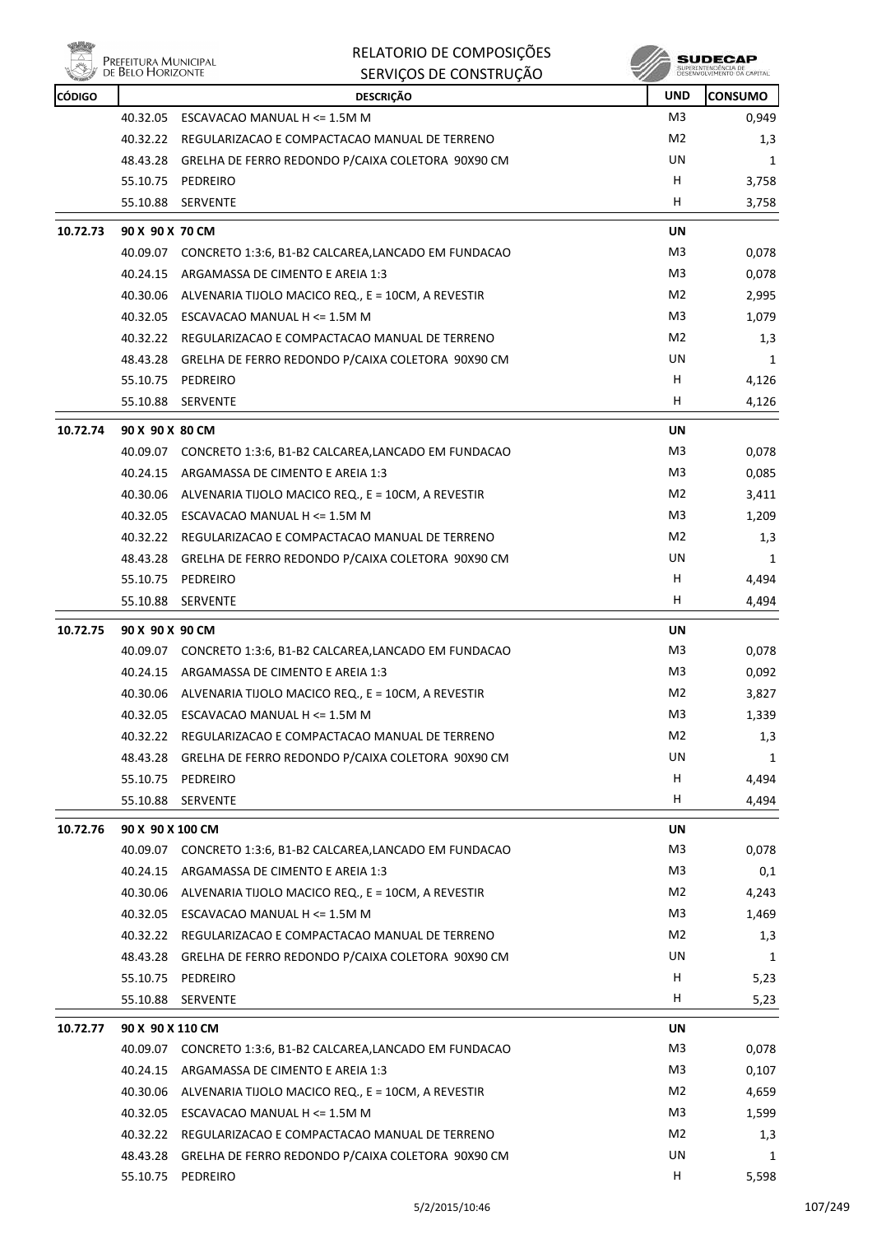|               | Prefeitura Municipal<br>de Belo Horizonte | RELATORIO DE COMPOSIÇÕES                                                               |                      | SUDECAP                                           |
|---------------|-------------------------------------------|----------------------------------------------------------------------------------------|----------------------|---------------------------------------------------|
|               |                                           | SERVIÇOS DE CONSTRUÇÃO                                                                 |                      | SUPERINTENDÊNCIA DE<br>DESENVOLVIMENTO DA CAPITAJ |
| <b>CÓDIGO</b> |                                           | <b>DESCRIÇÃO</b>                                                                       | <b>UND</b>           | CONSUMO                                           |
|               | 40.32.05                                  | ESCAVACAO MANUAL H <= 1.5M M                                                           | M3                   | 0,949                                             |
|               | 40.32.22                                  | REGULARIZACAO E COMPACTACAO MANUAL DE TERRENO                                          | M <sub>2</sub><br>UN | 1,3                                               |
|               | 48.43.28                                  | GRELHA DE FERRO REDONDO P/CAIXA COLETORA 90X90 CM                                      | н                    | 1                                                 |
|               | 55.10.75<br>55.10.88                      | PEDREIRO<br>SERVENTE                                                                   | н                    | 3,758<br>3,758                                    |
| 10.72.73      | 90 X 90 X 70 CM                           |                                                                                        |                      |                                                   |
|               | 40.09.07                                  | CONCRETO 1:3:6, B1-B2 CALCAREA, LANCADO EM FUNDACAO                                    | UN<br>M <sub>3</sub> | 0,078                                             |
|               | 40.24.15                                  | ARGAMASSA DE CIMENTO E AREIA 1:3                                                       | M3                   | 0,078                                             |
|               | 40.30.06                                  | ALVENARIA TIJOLO MACICO REQ., E = 10CM, A REVESTIR                                     | M <sub>2</sub>       | 2,995                                             |
|               |                                           | 40.32.05 ESCAVACAO MANUAL H <= 1.5M M                                                  | M <sub>3</sub>       | 1,079                                             |
|               |                                           | 40.32.22 REGULARIZACAO E COMPACTACAO MANUAL DE TERRENO                                 | M <sub>2</sub>       | 1,3                                               |
|               | 48.43.28                                  | GRELHA DE FERRO REDONDO P/CAIXA COLETORA 90X90 CM                                      | UN                   | 1                                                 |
|               | 55.10.75                                  | PEDREIRO                                                                               | н                    | 4,126                                             |
|               | 55.10.88                                  | SERVENTE                                                                               | н                    | 4,126                                             |
|               |                                           |                                                                                        |                      |                                                   |
| 10.72.74      | 90 X 90 X 80 CM                           |                                                                                        | UN<br>M3             |                                                   |
|               | 40.09.07<br>40.24.15                      | CONCRETO 1:3:6, B1-B2 CALCAREA,LANCADO EM FUNDACAO<br>ARGAMASSA DE CIMENTO E AREIA 1:3 | M3                   | 0,078                                             |
|               | 40.30.06                                  | ALVENARIA TIJOLO MACICO REQ., E = 10CM, A REVESTIR                                     | M2                   | 0,085                                             |
|               | 40.32.05                                  | ESCAVACAO MANUAL H <= 1.5M M                                                           | M3                   | 3,411<br>1,209                                    |
|               | 40.32.22                                  | REGULARIZACAO E COMPACTACAO MANUAL DE TERRENO                                          | M2                   | 1,3                                               |
|               | 48.43.28                                  | GRELHA DE FERRO REDONDO P/CAIXA COLETORA 90X90 CM                                      | UN                   | 1                                                 |
|               | 55.10.75                                  | PEDREIRO                                                                               | H                    | 4,494                                             |
|               | 55.10.88                                  | SERVENTE                                                                               | н                    | 4,494                                             |
|               |                                           |                                                                                        |                      |                                                   |
| 10.72.75      | 90 X 90 X 90 CM                           |                                                                                        | UN                   |                                                   |
|               |                                           | 40.09.07 CONCRETO 1:3:6, B1-B2 CALCAREA,LANCADO EM FUNDACAO                            | M3                   | 0,078                                             |
|               |                                           | 40.24.15 ARGAMASSA DE CIMENTO E AREIA 1:3                                              | M3                   | 0,092                                             |
|               |                                           | 40.30.06 ALVENARIA TIJOLO MACICO REQ., E = 10CM, A REVESTIR                            | M2                   | 3,827                                             |
|               |                                           | 40.32.05 ESCAVACAO MANUAL H <= 1.5M M                                                  | M3<br>M2             | 1,339                                             |
|               |                                           | 40.32.22 REGULARIZACAO E COMPACTACAO MANUAL DE TERRENO                                 | UN                   | 1,3                                               |
|               | 48.43.28                                  | GRELHA DE FERRO REDONDO P/CAIXA COLETORA 90X90 CM                                      | H                    | 1                                                 |
|               | 55.10.75 PEDREIRO<br>55.10.88 SERVENTE    |                                                                                        | H                    | 4,494                                             |
|               |                                           |                                                                                        |                      | 4,494                                             |
| 10.72.76      | 90 X 90 X 100 CM                          |                                                                                        | UN                   |                                                   |
|               | 40.09.07                                  | CONCRETO 1:3:6, B1-B2 CALCAREA, LANCADO EM FUNDACAO                                    | M3                   | 0,078                                             |
|               | 40.24.15                                  | ARGAMASSA DE CIMENTO E AREIA 1:3                                                       | M3                   | 0,1                                               |
|               |                                           | 40.30.06 ALVENARIA TIJOLO MACICO REQ., E = 10CM, A REVESTIR                            | M2                   | 4,243                                             |
|               |                                           | 40.32.05 ESCAVACAO MANUAL H <= 1.5M M                                                  | M <sub>3</sub>       | 1,469                                             |
|               |                                           | 40.32.22 REGULARIZACAO E COMPACTACAO MANUAL DE TERRENO                                 | M2                   | 1,3                                               |
|               |                                           | 48.43.28 GRELHA DE FERRO REDONDO P/CAIXA COLETORA 90X90 CM                             | UN                   | 1                                                 |
|               | 55.10.75 PEDREIRO                         |                                                                                        | H<br>н               | 5,23                                              |
|               | 55.10.88                                  | <b>SERVENTE</b>                                                                        |                      | 5,23                                              |
| 10.72.77      | 90 X 90 X 110 CM                          |                                                                                        | UN                   |                                                   |
|               |                                           | 40.09.07 CONCRETO 1:3:6, B1-B2 CALCAREA,LANCADO EM FUNDACAO                            | M3                   | 0,078                                             |
|               | 40.24.15                                  | ARGAMASSA DE CIMENTO E AREIA 1:3                                                       | M3                   | 0,107                                             |
|               |                                           | 40.30.06 ALVENARIA TIJOLO MACICO REQ., E = 10CM, A REVESTIR                            | M2                   | 4,659                                             |
|               |                                           | 40.32.05 ESCAVACAO MANUAL H <= 1.5M M                                                  | M3                   | 1,599                                             |
|               |                                           | 40.32.22 REGULARIZACAO E COMPACTACAO MANUAL DE TERRENO                                 | M2                   | 1,3                                               |
|               |                                           | 48.43.28 GRELHA DE FERRO REDONDO P/CAIXA COLETORA 90X90 CM                             | UN                   | 1                                                 |
|               | 55.10.75                                  | PEDREIRO                                                                               | H                    | 5,598                                             |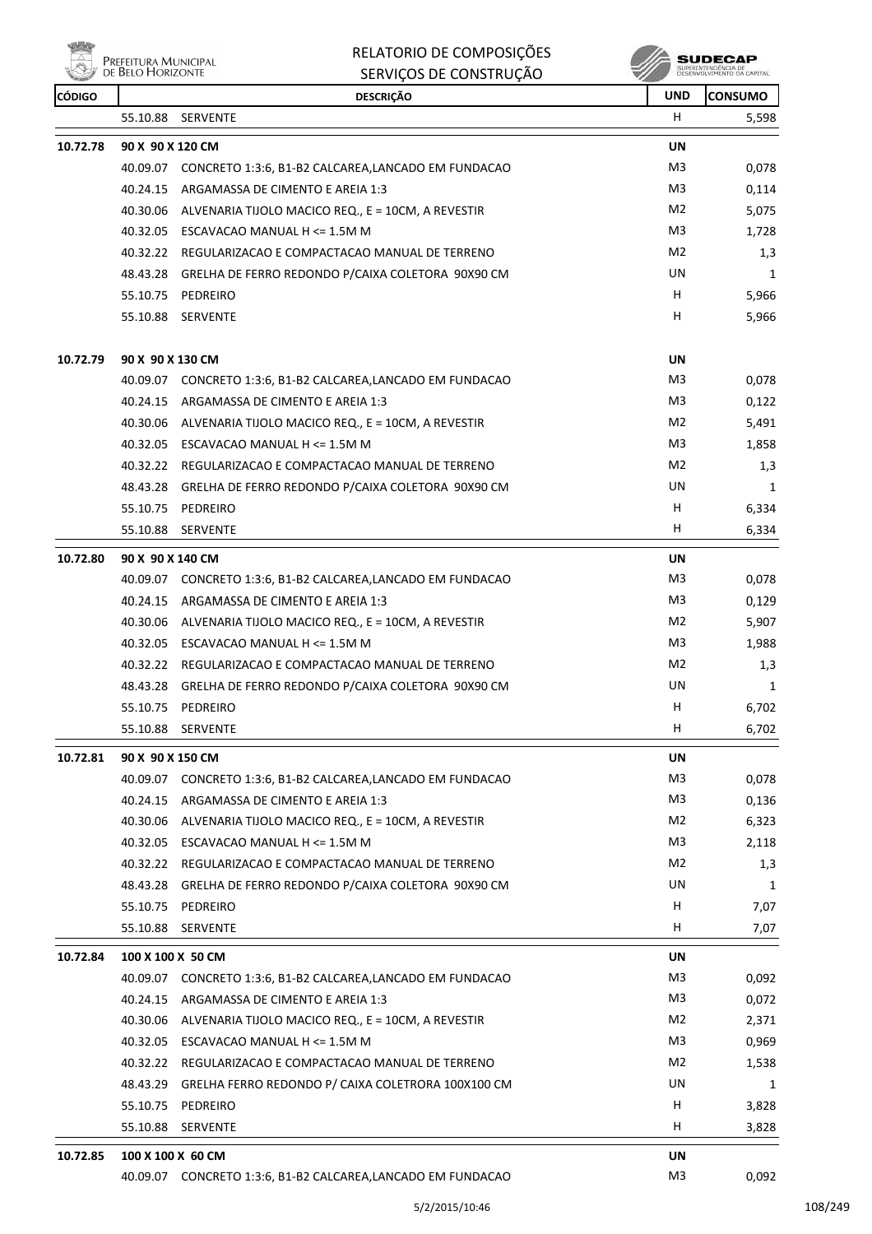ensi<br>Al Prefeitura Municipal<br>Al de Belo Horizonte 燃

RELATORIO DE COMPOSIÇÕES SERVIÇOS DE CONSTRUÇÃO

| <b>CÓDIGO</b> |                               | <b>DESCRIÇÃO</b>                                             | <b>UND</b>     | <b>CONSUMO</b> |  |  |
|---------------|-------------------------------|--------------------------------------------------------------|----------------|----------------|--|--|
|               |                               | 55.10.88 SERVENTE                                            | H              | 5,598          |  |  |
| 10.72.78      | <b>UN</b><br>90 X 90 X 120 CM |                                                              |                |                |  |  |
|               |                               | 40.09.07 CONCRETO 1:3:6, B1-B2 CALCAREA,LANCADO EM FUNDACAO  | M3             | 0,078          |  |  |
|               | 40.24.15                      | ARGAMASSA DE CIMENTO E AREIA 1:3                             | M3             | 0,114          |  |  |
|               | 40.30.06                      | ALVENARIA TIJOLO MACICO REQ., E = 10CM, A REVESTIR           | M2             | 5,075          |  |  |
|               |                               | 40.32.05 ESCAVACAO MANUAL H <= 1.5M M                        | M3             | 1,728          |  |  |
|               |                               | 40.32.22 REGULARIZACAO E COMPACTACAO MANUAL DE TERRENO       | M2             | 1,3            |  |  |
|               |                               | 48.43.28 GRELHA DE FERRO REDONDO P/CAIXA COLETORA 90X90 CM   | UN             | 1              |  |  |
|               |                               | 55.10.75 PEDREIRO                                            | H.             | 5,966          |  |  |
|               |                               | 55.10.88 SERVENTE                                            | н              | 5,966          |  |  |
| 10.72.79      | 90 X 90 X 130 CM              |                                                              | UN             |                |  |  |
|               |                               | 40.09.07 CONCRETO 1:3:6, B1-B2 CALCAREA,LANCADO EM FUNDACAO  | M3             | 0,078          |  |  |
|               |                               | 40.24.15 ARGAMASSA DE CIMENTO E AREIA 1:3                    | M <sub>3</sub> | 0,122          |  |  |
|               | 40.30.06                      | ALVENARIA TIJOLO MACICO REQ., E = 10CM, A REVESTIR           | M2             | 5,491          |  |  |
|               |                               | 40.32.05 ESCAVACAO MANUAL H <= 1.5M M                        | M3             | 1,858          |  |  |
|               |                               | 40.32.22 REGULARIZACAO E COMPACTACAO MANUAL DE TERRENO       | M2             | 1,3            |  |  |
|               |                               | 48.43.28 GRELHA DE FERRO REDONDO P/CAIXA COLETORA 90X90 CM   | UN             | 1              |  |  |
|               |                               | 55.10.75 PEDREIRO                                            | H              | 6,334          |  |  |
|               |                               | 55.10.88 SERVENTE                                            | н              | 6,334          |  |  |
| 10.72.80      | 90 X 90 X 140 CM              |                                                              | UN             |                |  |  |
|               |                               | 40.09.07 CONCRETO 1:3:6, B1-B2 CALCAREA,LANCADO EM FUNDACAO  | M3             | 0,078          |  |  |
|               | 40.24.15                      | ARGAMASSA DE CIMENTO E AREIA 1:3                             | M3             | 0,129          |  |  |
|               | 40.30.06                      | ALVENARIA TIJOLO MACICO REQ., E = 10CM, A REVESTIR           | M2             | 5,907          |  |  |
|               |                               | 40.32.05 ESCAVACAO MANUAL H <= 1.5M M                        | M3             | 1,988          |  |  |
|               |                               | 40.32.22 REGULARIZACAO E COMPACTACAO MANUAL DE TERRENO       | M <sub>2</sub> | 1,3            |  |  |
|               | 48.43.28                      | GRELHA DE FERRO REDONDO P/CAIXA COLETORA 90X90 CM            | UN             | 1              |  |  |
|               |                               | 55.10.75 PEDREIRO                                            | н              | 6,702          |  |  |
|               | 55.10.88                      | SERVENTE                                                     | н              | 6,702          |  |  |
| 10.72.81      | 90 X 90 X 150 CM              |                                                              | UN             |                |  |  |
|               |                               | 40.09.07 CONCRETO 1:3:6, B1-B2 CALCAREA,LANCADO EM FUNDACAO  | M3             | 0,078          |  |  |
|               | 40.24.15                      | ARGAMASSA DE CIMENTO E AREIA 1:3                             | M <sub>3</sub> | 0,136          |  |  |
|               | 40.30.06                      | ALVENARIA TIJOLO MACICO REQ., E = 10CM, A REVESTIR           | M2             | 6,323          |  |  |
|               |                               | 40.32.05 ESCAVACAO MANUAL H <= 1.5M M                        | M3             | 2,118          |  |  |
|               |                               | 40.32.22 REGULARIZACAO E COMPACTACAO MANUAL DE TERRENO       | M2             | 1,3            |  |  |
|               | 48.43.28                      | GRELHA DE FERRO REDONDO P/CAIXA COLETORA 90X90 CM            | UN             | 1              |  |  |
|               | 55.10.75                      | PEDREIRO                                                     | H              | 7,07           |  |  |
|               | 55.10.88                      | SERVENTE                                                     | H              | 7,07           |  |  |
| 10.72.84      | 100 X 100 X 50 CM             |                                                              | <b>UN</b>      |                |  |  |
|               | 40.09.07                      | CONCRETO 1:3:6, B1-B2 CALCAREA, LANCADO EM FUNDACAO          | M3             | 0,092          |  |  |
|               |                               | 40.24.15 ARGAMASSA DE CIMENTO E AREIA 1:3                    | M3             | 0,072          |  |  |
|               | 40.30.06                      | ALVENARIA TIJOLO MACICO REQ., E = 10CM, A REVESTIR           | M2             | 2,371          |  |  |
|               |                               | 40.32.05 ESCAVACAO MANUAL H <= 1.5M M                        | M3             | 0,969          |  |  |
|               |                               | 40.32.22 REGULARIZACAO E COMPACTACAO MANUAL DE TERRENO       | M2             | 1,538          |  |  |
|               | 48.43.29                      | GRELHA FERRO REDONDO P/ CAIXA COLETRORA 100X100 CM           | UN             | 1              |  |  |
|               | 55.10.75                      | PEDREIRO                                                     | н              | 3,828          |  |  |
|               | 55.10.88                      | SERVENTE                                                     | H              | 3,828          |  |  |
| 10.72.85      | 100 X 100 X 60 CM             |                                                              | UN             |                |  |  |
|               |                               | 40.09.07 CONCRETO 1:3:6, B1-B2 CALCAREA, LANCADO EM FUNDACAO | M3             | 0,092          |  |  |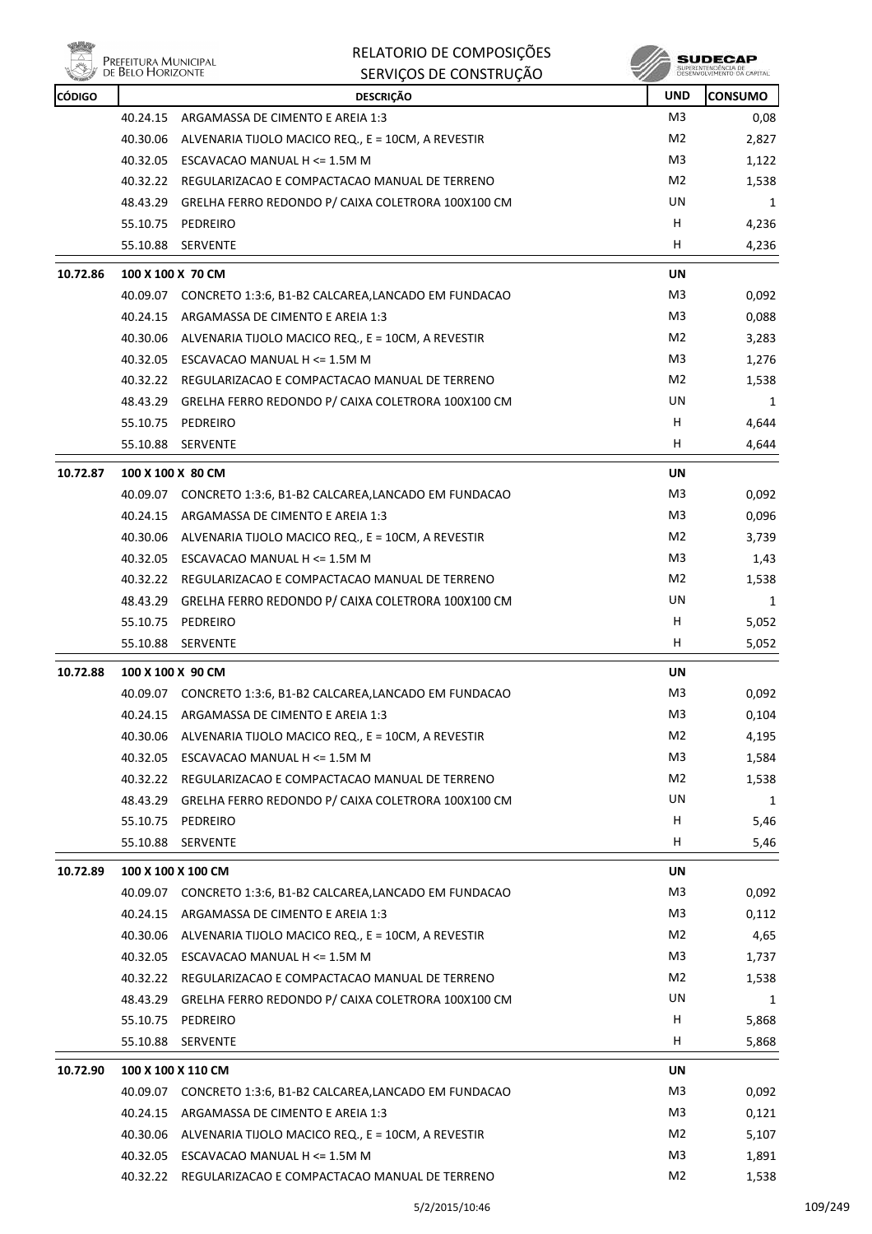

| M3<br>40.24.15<br>ARGAMASSA DE CIMENTO E AREIA 1:3<br>M2<br>40.30.06<br>ALVENARIA TIJOLO MACICO REQ., E = 10CM, A REVESTIR<br>M3<br>40.32.05<br>ESCAVACAO MANUAL H <= 1.5M M<br>M2<br>REGULARIZACAO E COMPACTACAO MANUAL DE TERRENO<br>40.32.22<br>UN<br>48.43.29<br>GRELHA FERRO REDONDO P/ CAIXA COLETRORA 100X100 CM<br>н<br>55.10.75<br>PEDREIRO<br>н<br>55.10.88<br>SERVENTE<br>10.72.86<br>100 X 100 X 70 CM<br>UN<br>M <sub>3</sub><br>40.09.07 CONCRETO 1:3:6, B1-B2 CALCAREA,LANCADO EM FUNDACAO<br>M3<br>40.24.15 ARGAMASSA DE CIMENTO E AREIA 1:3<br>M2<br>ALVENARIA TIJOLO MACICO REQ., E = 10CM, A REVESTIR<br>40.30.06<br>M3<br>40.32.05 ESCAVACAO MANUAL H <= 1.5M M<br>M2<br>40.32.22 REGULARIZACAO E COMPACTACAO MANUAL DE TERRENO<br>UN<br>48.43.29 GRELHA FERRO REDONDO P/ CAIXA COLETRORA 100X100 CM<br>н<br>55.10.75<br>PEDREIRO<br>н<br>55.10.88<br>SERVENTE<br>10.72.87<br><b>UN</b><br>100 X 100 X 80 CM<br>M <sub>3</sub><br>CONCRETO 1:3:6, B1-B2 CALCAREA, LANCADO EM FUNDACAO<br>40.09.07<br>M3<br>40.24.15 ARGAMASSA DE CIMENTO E AREIA 1:3<br>M2<br>40.30.06 ALVENARIA TIJOLO MACICO REQ., E = 10CM, A REVESTIR<br>M3<br>40.32.05 ESCAVACAO MANUAL H <= 1.5M M<br>M2<br>40.32.22 REGULARIZACAO E COMPACTACAO MANUAL DE TERRENO<br>UN<br>GRELHA FERRO REDONDO P/ CAIXA COLETRORA 100X100 CM<br>48.43.29<br>н<br>55.10.75<br>PEDREIRO<br>H.<br>55.10.88 SERVENTE<br>10.72.88<br>100 X 100 X 90 CM<br>UN<br>M <sub>3</sub><br>40.09.07 CONCRETO 1:3:6, B1-B2 CALCAREA,LANCADO EM FUNDACAO<br>M3<br>40.24.15 ARGAMASSA DE CIMENTO E AREIA 1:3<br>M <sub>2</sub><br>40.30.06 ALVENARIA TIJOLO MACICO REQ., E = 10CM, A REVESTIR<br>M <sub>3</sub><br>ESCAVACAO MANUAL H <= 1.5M M<br>1,584<br>40.32.05<br>M <sub>2</sub><br>40.32.22<br>REGULARIZACAO E COMPACTACAO MANUAL DE TERRENO<br>1,538<br>48.43.29<br>GRELHA FERRO REDONDO P/ CAIXA COLETRORA 100X100 CM<br>UN<br>55.10.75<br>PEDREIRO<br>н<br>5,46<br>H<br>55.10.88<br>SERVENTE<br>10.72.89<br>100 X 100 X 100 CM<br>UN<br>M <sub>3</sub><br>40.09.07<br>CONCRETO 1:3:6, B1-B2 CALCAREA, LANCADO EM FUNDACAO<br>M3<br>40.24.15 ARGAMASSA DE CIMENTO E AREIA 1:3<br>M2<br>40.30.06<br>ALVENARIA TIJOLO MACICO REQ., E = 10CM, A REVESTIR<br>M <sub>3</sub><br>40.32.05 ESCAVACAO MANUAL H $\leq$ 1.5M M<br>M2<br>40.32.22<br>REGULARIZACAO E COMPACTACAO MANUAL DE TERRENO<br>UN<br>48.43.29 GRELHA FERRO REDONDO P/ CAIXA COLETRORA 100X100 CM<br>н<br>55.10.75<br>PEDREIRO<br>5,868<br>55.10.88<br>SERVENTE<br>H<br>10.72.90<br>100 X 100 X 110 CM<br>UN<br>40.09.07 CONCRETO 1:3:6, B1-B2 CALCAREA,LANCADO EM FUNDACAO<br>M3<br>M3<br>40.24.15 ARGAMASSA DE CIMENTO E AREIA 1:3<br>M <sub>2</sub><br>40.30.06<br>ALVENARIA TIJOLO MACICO REQ., E = 10CM, A REVESTIR<br>M <sub>3</sub><br>ESCAVACAO MANUAL H <= 1.5M M<br>40.32.05<br>40.32.22 REGULARIZACAO E COMPACTACAO MANUAL DE TERRENO | <b>CÓDIGO</b> | <b>DESCRIÇÃO</b> | <b>UND</b>     | <b>CONSUMO</b> |
|---------------------------------------------------------------------------------------------------------------------------------------------------------------------------------------------------------------------------------------------------------------------------------------------------------------------------------------------------------------------------------------------------------------------------------------------------------------------------------------------------------------------------------------------------------------------------------------------------------------------------------------------------------------------------------------------------------------------------------------------------------------------------------------------------------------------------------------------------------------------------------------------------------------------------------------------------------------------------------------------------------------------------------------------------------------------------------------------------------------------------------------------------------------------------------------------------------------------------------------------------------------------------------------------------------------------------------------------------------------------------------------------------------------------------------------------------------------------------------------------------------------------------------------------------------------------------------------------------------------------------------------------------------------------------------------------------------------------------------------------------------------------------------------------------------------------------------------------------------------------------------------------------------------------------------------------------------------------------------------------------------------------------------------------------------------------------------------------------------------------------------------------------------------------------------------------------------------------------------------------------------------------------------------------------------------------------------------------------------------------------------------------------------------------------------------------------------------------------------------------------------------------------------------------------------------------------------------------------------------------------------------------------------------------------------------------------------------------------------------------------------------------------------------------------------------------------------------------------------------------------------|---------------|------------------|----------------|----------------|
|                                                                                                                                                                                                                                                                                                                                                                                                                                                                                                                                                                                                                                                                                                                                                                                                                                                                                                                                                                                                                                                                                                                                                                                                                                                                                                                                                                                                                                                                                                                                                                                                                                                                                                                                                                                                                                                                                                                                                                                                                                                                                                                                                                                                                                                                                                                                                                                                                                                                                                                                                                                                                                                                                                                                                                                                                                                                                 |               |                  |                | 0,08           |
|                                                                                                                                                                                                                                                                                                                                                                                                                                                                                                                                                                                                                                                                                                                                                                                                                                                                                                                                                                                                                                                                                                                                                                                                                                                                                                                                                                                                                                                                                                                                                                                                                                                                                                                                                                                                                                                                                                                                                                                                                                                                                                                                                                                                                                                                                                                                                                                                                                                                                                                                                                                                                                                                                                                                                                                                                                                                                 |               |                  |                | 2,827          |
|                                                                                                                                                                                                                                                                                                                                                                                                                                                                                                                                                                                                                                                                                                                                                                                                                                                                                                                                                                                                                                                                                                                                                                                                                                                                                                                                                                                                                                                                                                                                                                                                                                                                                                                                                                                                                                                                                                                                                                                                                                                                                                                                                                                                                                                                                                                                                                                                                                                                                                                                                                                                                                                                                                                                                                                                                                                                                 |               |                  |                | 1,122          |
|                                                                                                                                                                                                                                                                                                                                                                                                                                                                                                                                                                                                                                                                                                                                                                                                                                                                                                                                                                                                                                                                                                                                                                                                                                                                                                                                                                                                                                                                                                                                                                                                                                                                                                                                                                                                                                                                                                                                                                                                                                                                                                                                                                                                                                                                                                                                                                                                                                                                                                                                                                                                                                                                                                                                                                                                                                                                                 |               |                  |                | 1,538          |
|                                                                                                                                                                                                                                                                                                                                                                                                                                                                                                                                                                                                                                                                                                                                                                                                                                                                                                                                                                                                                                                                                                                                                                                                                                                                                                                                                                                                                                                                                                                                                                                                                                                                                                                                                                                                                                                                                                                                                                                                                                                                                                                                                                                                                                                                                                                                                                                                                                                                                                                                                                                                                                                                                                                                                                                                                                                                                 |               |                  |                | 1              |
|                                                                                                                                                                                                                                                                                                                                                                                                                                                                                                                                                                                                                                                                                                                                                                                                                                                                                                                                                                                                                                                                                                                                                                                                                                                                                                                                                                                                                                                                                                                                                                                                                                                                                                                                                                                                                                                                                                                                                                                                                                                                                                                                                                                                                                                                                                                                                                                                                                                                                                                                                                                                                                                                                                                                                                                                                                                                                 |               |                  |                | 4,236          |
|                                                                                                                                                                                                                                                                                                                                                                                                                                                                                                                                                                                                                                                                                                                                                                                                                                                                                                                                                                                                                                                                                                                                                                                                                                                                                                                                                                                                                                                                                                                                                                                                                                                                                                                                                                                                                                                                                                                                                                                                                                                                                                                                                                                                                                                                                                                                                                                                                                                                                                                                                                                                                                                                                                                                                                                                                                                                                 |               |                  |                | 4,236          |
|                                                                                                                                                                                                                                                                                                                                                                                                                                                                                                                                                                                                                                                                                                                                                                                                                                                                                                                                                                                                                                                                                                                                                                                                                                                                                                                                                                                                                                                                                                                                                                                                                                                                                                                                                                                                                                                                                                                                                                                                                                                                                                                                                                                                                                                                                                                                                                                                                                                                                                                                                                                                                                                                                                                                                                                                                                                                                 |               |                  |                |                |
|                                                                                                                                                                                                                                                                                                                                                                                                                                                                                                                                                                                                                                                                                                                                                                                                                                                                                                                                                                                                                                                                                                                                                                                                                                                                                                                                                                                                                                                                                                                                                                                                                                                                                                                                                                                                                                                                                                                                                                                                                                                                                                                                                                                                                                                                                                                                                                                                                                                                                                                                                                                                                                                                                                                                                                                                                                                                                 |               |                  |                | 0,092          |
|                                                                                                                                                                                                                                                                                                                                                                                                                                                                                                                                                                                                                                                                                                                                                                                                                                                                                                                                                                                                                                                                                                                                                                                                                                                                                                                                                                                                                                                                                                                                                                                                                                                                                                                                                                                                                                                                                                                                                                                                                                                                                                                                                                                                                                                                                                                                                                                                                                                                                                                                                                                                                                                                                                                                                                                                                                                                                 |               |                  |                | 0,088          |
|                                                                                                                                                                                                                                                                                                                                                                                                                                                                                                                                                                                                                                                                                                                                                                                                                                                                                                                                                                                                                                                                                                                                                                                                                                                                                                                                                                                                                                                                                                                                                                                                                                                                                                                                                                                                                                                                                                                                                                                                                                                                                                                                                                                                                                                                                                                                                                                                                                                                                                                                                                                                                                                                                                                                                                                                                                                                                 |               |                  |                | 3,283          |
|                                                                                                                                                                                                                                                                                                                                                                                                                                                                                                                                                                                                                                                                                                                                                                                                                                                                                                                                                                                                                                                                                                                                                                                                                                                                                                                                                                                                                                                                                                                                                                                                                                                                                                                                                                                                                                                                                                                                                                                                                                                                                                                                                                                                                                                                                                                                                                                                                                                                                                                                                                                                                                                                                                                                                                                                                                                                                 |               |                  |                | 1,276          |
|                                                                                                                                                                                                                                                                                                                                                                                                                                                                                                                                                                                                                                                                                                                                                                                                                                                                                                                                                                                                                                                                                                                                                                                                                                                                                                                                                                                                                                                                                                                                                                                                                                                                                                                                                                                                                                                                                                                                                                                                                                                                                                                                                                                                                                                                                                                                                                                                                                                                                                                                                                                                                                                                                                                                                                                                                                                                                 |               |                  |                | 1,538          |
|                                                                                                                                                                                                                                                                                                                                                                                                                                                                                                                                                                                                                                                                                                                                                                                                                                                                                                                                                                                                                                                                                                                                                                                                                                                                                                                                                                                                                                                                                                                                                                                                                                                                                                                                                                                                                                                                                                                                                                                                                                                                                                                                                                                                                                                                                                                                                                                                                                                                                                                                                                                                                                                                                                                                                                                                                                                                                 |               |                  |                | 1              |
|                                                                                                                                                                                                                                                                                                                                                                                                                                                                                                                                                                                                                                                                                                                                                                                                                                                                                                                                                                                                                                                                                                                                                                                                                                                                                                                                                                                                                                                                                                                                                                                                                                                                                                                                                                                                                                                                                                                                                                                                                                                                                                                                                                                                                                                                                                                                                                                                                                                                                                                                                                                                                                                                                                                                                                                                                                                                                 |               |                  |                | 4,644          |
|                                                                                                                                                                                                                                                                                                                                                                                                                                                                                                                                                                                                                                                                                                                                                                                                                                                                                                                                                                                                                                                                                                                                                                                                                                                                                                                                                                                                                                                                                                                                                                                                                                                                                                                                                                                                                                                                                                                                                                                                                                                                                                                                                                                                                                                                                                                                                                                                                                                                                                                                                                                                                                                                                                                                                                                                                                                                                 |               |                  |                | 4,644          |
|                                                                                                                                                                                                                                                                                                                                                                                                                                                                                                                                                                                                                                                                                                                                                                                                                                                                                                                                                                                                                                                                                                                                                                                                                                                                                                                                                                                                                                                                                                                                                                                                                                                                                                                                                                                                                                                                                                                                                                                                                                                                                                                                                                                                                                                                                                                                                                                                                                                                                                                                                                                                                                                                                                                                                                                                                                                                                 |               |                  |                |                |
|                                                                                                                                                                                                                                                                                                                                                                                                                                                                                                                                                                                                                                                                                                                                                                                                                                                                                                                                                                                                                                                                                                                                                                                                                                                                                                                                                                                                                                                                                                                                                                                                                                                                                                                                                                                                                                                                                                                                                                                                                                                                                                                                                                                                                                                                                                                                                                                                                                                                                                                                                                                                                                                                                                                                                                                                                                                                                 |               |                  |                | 0,092          |
|                                                                                                                                                                                                                                                                                                                                                                                                                                                                                                                                                                                                                                                                                                                                                                                                                                                                                                                                                                                                                                                                                                                                                                                                                                                                                                                                                                                                                                                                                                                                                                                                                                                                                                                                                                                                                                                                                                                                                                                                                                                                                                                                                                                                                                                                                                                                                                                                                                                                                                                                                                                                                                                                                                                                                                                                                                                                                 |               |                  |                | 0,096          |
|                                                                                                                                                                                                                                                                                                                                                                                                                                                                                                                                                                                                                                                                                                                                                                                                                                                                                                                                                                                                                                                                                                                                                                                                                                                                                                                                                                                                                                                                                                                                                                                                                                                                                                                                                                                                                                                                                                                                                                                                                                                                                                                                                                                                                                                                                                                                                                                                                                                                                                                                                                                                                                                                                                                                                                                                                                                                                 |               |                  |                | 3,739          |
|                                                                                                                                                                                                                                                                                                                                                                                                                                                                                                                                                                                                                                                                                                                                                                                                                                                                                                                                                                                                                                                                                                                                                                                                                                                                                                                                                                                                                                                                                                                                                                                                                                                                                                                                                                                                                                                                                                                                                                                                                                                                                                                                                                                                                                                                                                                                                                                                                                                                                                                                                                                                                                                                                                                                                                                                                                                                                 |               |                  |                | 1,43           |
|                                                                                                                                                                                                                                                                                                                                                                                                                                                                                                                                                                                                                                                                                                                                                                                                                                                                                                                                                                                                                                                                                                                                                                                                                                                                                                                                                                                                                                                                                                                                                                                                                                                                                                                                                                                                                                                                                                                                                                                                                                                                                                                                                                                                                                                                                                                                                                                                                                                                                                                                                                                                                                                                                                                                                                                                                                                                                 |               |                  |                | 1,538          |
|                                                                                                                                                                                                                                                                                                                                                                                                                                                                                                                                                                                                                                                                                                                                                                                                                                                                                                                                                                                                                                                                                                                                                                                                                                                                                                                                                                                                                                                                                                                                                                                                                                                                                                                                                                                                                                                                                                                                                                                                                                                                                                                                                                                                                                                                                                                                                                                                                                                                                                                                                                                                                                                                                                                                                                                                                                                                                 |               |                  |                | 1              |
|                                                                                                                                                                                                                                                                                                                                                                                                                                                                                                                                                                                                                                                                                                                                                                                                                                                                                                                                                                                                                                                                                                                                                                                                                                                                                                                                                                                                                                                                                                                                                                                                                                                                                                                                                                                                                                                                                                                                                                                                                                                                                                                                                                                                                                                                                                                                                                                                                                                                                                                                                                                                                                                                                                                                                                                                                                                                                 |               |                  |                | 5,052          |
|                                                                                                                                                                                                                                                                                                                                                                                                                                                                                                                                                                                                                                                                                                                                                                                                                                                                                                                                                                                                                                                                                                                                                                                                                                                                                                                                                                                                                                                                                                                                                                                                                                                                                                                                                                                                                                                                                                                                                                                                                                                                                                                                                                                                                                                                                                                                                                                                                                                                                                                                                                                                                                                                                                                                                                                                                                                                                 |               |                  |                | 5,052          |
|                                                                                                                                                                                                                                                                                                                                                                                                                                                                                                                                                                                                                                                                                                                                                                                                                                                                                                                                                                                                                                                                                                                                                                                                                                                                                                                                                                                                                                                                                                                                                                                                                                                                                                                                                                                                                                                                                                                                                                                                                                                                                                                                                                                                                                                                                                                                                                                                                                                                                                                                                                                                                                                                                                                                                                                                                                                                                 |               |                  |                |                |
|                                                                                                                                                                                                                                                                                                                                                                                                                                                                                                                                                                                                                                                                                                                                                                                                                                                                                                                                                                                                                                                                                                                                                                                                                                                                                                                                                                                                                                                                                                                                                                                                                                                                                                                                                                                                                                                                                                                                                                                                                                                                                                                                                                                                                                                                                                                                                                                                                                                                                                                                                                                                                                                                                                                                                                                                                                                                                 |               |                  |                | 0,092          |
|                                                                                                                                                                                                                                                                                                                                                                                                                                                                                                                                                                                                                                                                                                                                                                                                                                                                                                                                                                                                                                                                                                                                                                                                                                                                                                                                                                                                                                                                                                                                                                                                                                                                                                                                                                                                                                                                                                                                                                                                                                                                                                                                                                                                                                                                                                                                                                                                                                                                                                                                                                                                                                                                                                                                                                                                                                                                                 |               |                  |                | 0,104          |
|                                                                                                                                                                                                                                                                                                                                                                                                                                                                                                                                                                                                                                                                                                                                                                                                                                                                                                                                                                                                                                                                                                                                                                                                                                                                                                                                                                                                                                                                                                                                                                                                                                                                                                                                                                                                                                                                                                                                                                                                                                                                                                                                                                                                                                                                                                                                                                                                                                                                                                                                                                                                                                                                                                                                                                                                                                                                                 |               |                  |                | 4,195          |
|                                                                                                                                                                                                                                                                                                                                                                                                                                                                                                                                                                                                                                                                                                                                                                                                                                                                                                                                                                                                                                                                                                                                                                                                                                                                                                                                                                                                                                                                                                                                                                                                                                                                                                                                                                                                                                                                                                                                                                                                                                                                                                                                                                                                                                                                                                                                                                                                                                                                                                                                                                                                                                                                                                                                                                                                                                                                                 |               |                  |                |                |
|                                                                                                                                                                                                                                                                                                                                                                                                                                                                                                                                                                                                                                                                                                                                                                                                                                                                                                                                                                                                                                                                                                                                                                                                                                                                                                                                                                                                                                                                                                                                                                                                                                                                                                                                                                                                                                                                                                                                                                                                                                                                                                                                                                                                                                                                                                                                                                                                                                                                                                                                                                                                                                                                                                                                                                                                                                                                                 |               |                  |                |                |
|                                                                                                                                                                                                                                                                                                                                                                                                                                                                                                                                                                                                                                                                                                                                                                                                                                                                                                                                                                                                                                                                                                                                                                                                                                                                                                                                                                                                                                                                                                                                                                                                                                                                                                                                                                                                                                                                                                                                                                                                                                                                                                                                                                                                                                                                                                                                                                                                                                                                                                                                                                                                                                                                                                                                                                                                                                                                                 |               |                  |                | 1              |
|                                                                                                                                                                                                                                                                                                                                                                                                                                                                                                                                                                                                                                                                                                                                                                                                                                                                                                                                                                                                                                                                                                                                                                                                                                                                                                                                                                                                                                                                                                                                                                                                                                                                                                                                                                                                                                                                                                                                                                                                                                                                                                                                                                                                                                                                                                                                                                                                                                                                                                                                                                                                                                                                                                                                                                                                                                                                                 |               |                  |                |                |
|                                                                                                                                                                                                                                                                                                                                                                                                                                                                                                                                                                                                                                                                                                                                                                                                                                                                                                                                                                                                                                                                                                                                                                                                                                                                                                                                                                                                                                                                                                                                                                                                                                                                                                                                                                                                                                                                                                                                                                                                                                                                                                                                                                                                                                                                                                                                                                                                                                                                                                                                                                                                                                                                                                                                                                                                                                                                                 |               |                  |                | 5,46           |
|                                                                                                                                                                                                                                                                                                                                                                                                                                                                                                                                                                                                                                                                                                                                                                                                                                                                                                                                                                                                                                                                                                                                                                                                                                                                                                                                                                                                                                                                                                                                                                                                                                                                                                                                                                                                                                                                                                                                                                                                                                                                                                                                                                                                                                                                                                                                                                                                                                                                                                                                                                                                                                                                                                                                                                                                                                                                                 |               |                  |                |                |
|                                                                                                                                                                                                                                                                                                                                                                                                                                                                                                                                                                                                                                                                                                                                                                                                                                                                                                                                                                                                                                                                                                                                                                                                                                                                                                                                                                                                                                                                                                                                                                                                                                                                                                                                                                                                                                                                                                                                                                                                                                                                                                                                                                                                                                                                                                                                                                                                                                                                                                                                                                                                                                                                                                                                                                                                                                                                                 |               |                  |                | 0,092          |
|                                                                                                                                                                                                                                                                                                                                                                                                                                                                                                                                                                                                                                                                                                                                                                                                                                                                                                                                                                                                                                                                                                                                                                                                                                                                                                                                                                                                                                                                                                                                                                                                                                                                                                                                                                                                                                                                                                                                                                                                                                                                                                                                                                                                                                                                                                                                                                                                                                                                                                                                                                                                                                                                                                                                                                                                                                                                                 |               |                  |                | 0,112          |
|                                                                                                                                                                                                                                                                                                                                                                                                                                                                                                                                                                                                                                                                                                                                                                                                                                                                                                                                                                                                                                                                                                                                                                                                                                                                                                                                                                                                                                                                                                                                                                                                                                                                                                                                                                                                                                                                                                                                                                                                                                                                                                                                                                                                                                                                                                                                                                                                                                                                                                                                                                                                                                                                                                                                                                                                                                                                                 |               |                  |                | 4,65           |
|                                                                                                                                                                                                                                                                                                                                                                                                                                                                                                                                                                                                                                                                                                                                                                                                                                                                                                                                                                                                                                                                                                                                                                                                                                                                                                                                                                                                                                                                                                                                                                                                                                                                                                                                                                                                                                                                                                                                                                                                                                                                                                                                                                                                                                                                                                                                                                                                                                                                                                                                                                                                                                                                                                                                                                                                                                                                                 |               |                  |                | 1,737          |
|                                                                                                                                                                                                                                                                                                                                                                                                                                                                                                                                                                                                                                                                                                                                                                                                                                                                                                                                                                                                                                                                                                                                                                                                                                                                                                                                                                                                                                                                                                                                                                                                                                                                                                                                                                                                                                                                                                                                                                                                                                                                                                                                                                                                                                                                                                                                                                                                                                                                                                                                                                                                                                                                                                                                                                                                                                                                                 |               |                  |                | 1,538          |
|                                                                                                                                                                                                                                                                                                                                                                                                                                                                                                                                                                                                                                                                                                                                                                                                                                                                                                                                                                                                                                                                                                                                                                                                                                                                                                                                                                                                                                                                                                                                                                                                                                                                                                                                                                                                                                                                                                                                                                                                                                                                                                                                                                                                                                                                                                                                                                                                                                                                                                                                                                                                                                                                                                                                                                                                                                                                                 |               |                  |                | 1              |
|                                                                                                                                                                                                                                                                                                                                                                                                                                                                                                                                                                                                                                                                                                                                                                                                                                                                                                                                                                                                                                                                                                                                                                                                                                                                                                                                                                                                                                                                                                                                                                                                                                                                                                                                                                                                                                                                                                                                                                                                                                                                                                                                                                                                                                                                                                                                                                                                                                                                                                                                                                                                                                                                                                                                                                                                                                                                                 |               |                  |                |                |
|                                                                                                                                                                                                                                                                                                                                                                                                                                                                                                                                                                                                                                                                                                                                                                                                                                                                                                                                                                                                                                                                                                                                                                                                                                                                                                                                                                                                                                                                                                                                                                                                                                                                                                                                                                                                                                                                                                                                                                                                                                                                                                                                                                                                                                                                                                                                                                                                                                                                                                                                                                                                                                                                                                                                                                                                                                                                                 |               |                  |                | 5,868          |
|                                                                                                                                                                                                                                                                                                                                                                                                                                                                                                                                                                                                                                                                                                                                                                                                                                                                                                                                                                                                                                                                                                                                                                                                                                                                                                                                                                                                                                                                                                                                                                                                                                                                                                                                                                                                                                                                                                                                                                                                                                                                                                                                                                                                                                                                                                                                                                                                                                                                                                                                                                                                                                                                                                                                                                                                                                                                                 |               |                  |                |                |
|                                                                                                                                                                                                                                                                                                                                                                                                                                                                                                                                                                                                                                                                                                                                                                                                                                                                                                                                                                                                                                                                                                                                                                                                                                                                                                                                                                                                                                                                                                                                                                                                                                                                                                                                                                                                                                                                                                                                                                                                                                                                                                                                                                                                                                                                                                                                                                                                                                                                                                                                                                                                                                                                                                                                                                                                                                                                                 |               |                  |                | 0,092          |
|                                                                                                                                                                                                                                                                                                                                                                                                                                                                                                                                                                                                                                                                                                                                                                                                                                                                                                                                                                                                                                                                                                                                                                                                                                                                                                                                                                                                                                                                                                                                                                                                                                                                                                                                                                                                                                                                                                                                                                                                                                                                                                                                                                                                                                                                                                                                                                                                                                                                                                                                                                                                                                                                                                                                                                                                                                                                                 |               |                  |                | 0,121          |
|                                                                                                                                                                                                                                                                                                                                                                                                                                                                                                                                                                                                                                                                                                                                                                                                                                                                                                                                                                                                                                                                                                                                                                                                                                                                                                                                                                                                                                                                                                                                                                                                                                                                                                                                                                                                                                                                                                                                                                                                                                                                                                                                                                                                                                                                                                                                                                                                                                                                                                                                                                                                                                                                                                                                                                                                                                                                                 |               |                  |                | 5,107          |
|                                                                                                                                                                                                                                                                                                                                                                                                                                                                                                                                                                                                                                                                                                                                                                                                                                                                                                                                                                                                                                                                                                                                                                                                                                                                                                                                                                                                                                                                                                                                                                                                                                                                                                                                                                                                                                                                                                                                                                                                                                                                                                                                                                                                                                                                                                                                                                                                                                                                                                                                                                                                                                                                                                                                                                                                                                                                                 |               |                  |                | 1,891          |
|                                                                                                                                                                                                                                                                                                                                                                                                                                                                                                                                                                                                                                                                                                                                                                                                                                                                                                                                                                                                                                                                                                                                                                                                                                                                                                                                                                                                                                                                                                                                                                                                                                                                                                                                                                                                                                                                                                                                                                                                                                                                                                                                                                                                                                                                                                                                                                                                                                                                                                                                                                                                                                                                                                                                                                                                                                                                                 |               |                  | M <sub>2</sub> | 1,538          |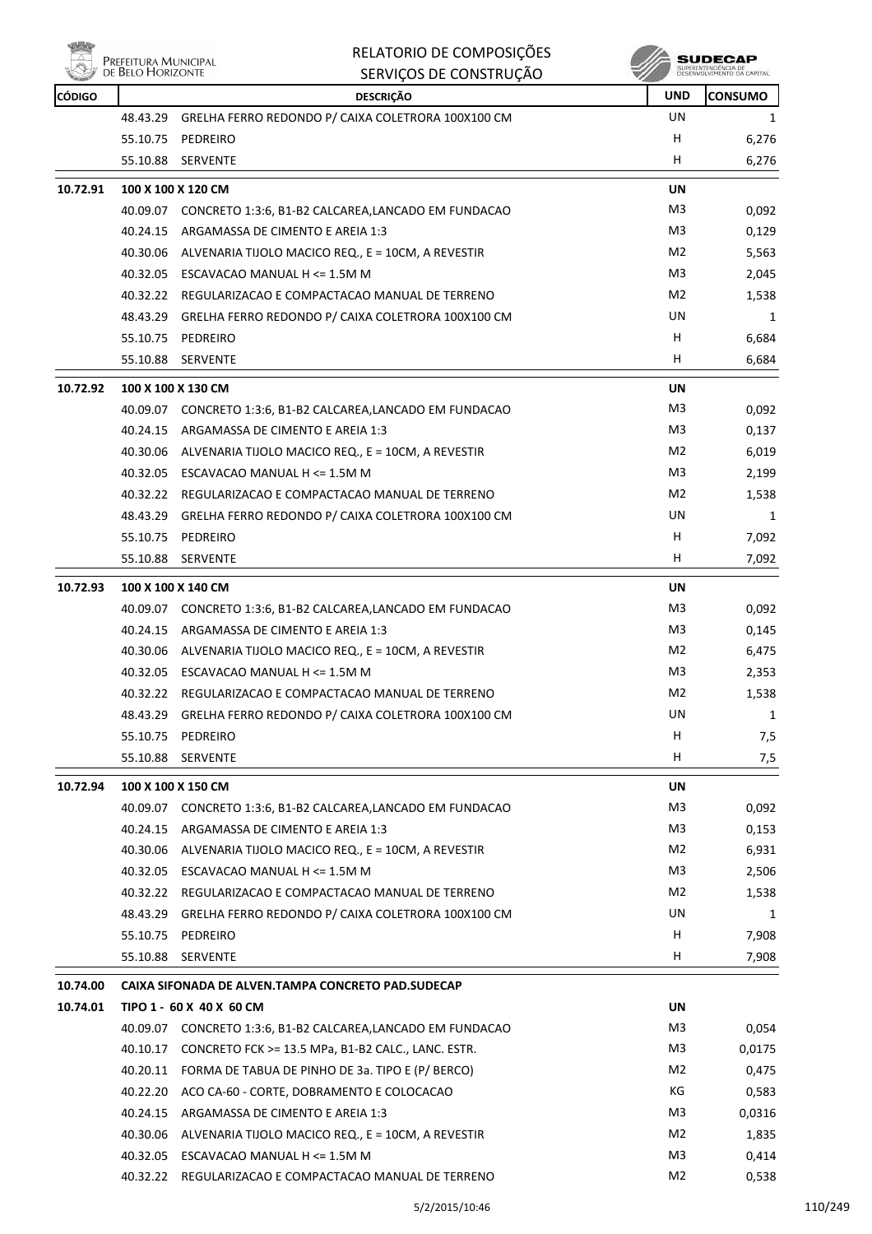

 $\mathbf{r}$ 

## RELATORIO DE COMPOSIÇÕES SERVIÇOS DE CONSTRUÇÃO

**SUDECAP**<br>SUPERINTENDÉNCIA DE<br>DÉSERVOLVIMENTO OA CAPITAL

| <b>CÓDIGO</b> |          | <b>DESCRIÇÃO</b>                                             | <b>UND</b>     | <b>CONSUMO</b> |
|---------------|----------|--------------------------------------------------------------|----------------|----------------|
|               | 48.43.29 | GRELHA FERRO REDONDO P/ CAIXA COLETRORA 100X100 CM           | <b>UN</b>      | 1              |
|               |          | 55.10.75 PEDREIRO                                            | H              | 6,276          |
|               | 55.10.88 | SERVENTE                                                     | н              | 6,276          |
| 10.72.91      |          | 100 X 100 X 120 CM                                           | UN             |                |
|               |          | 40.09.07 CONCRETO 1:3:6, B1-B2 CALCAREA, LANCADO EM FUNDACAO | M3             | 0,092          |
|               | 40.24.15 | ARGAMASSA DE CIMENTO E AREIA 1:3                             | M3             | 0,129          |
|               |          | 40.30.06 ALVENARIA TIJOLO MACICO REQ., E = 10CM, A REVESTIR  | M2             |                |
|               |          |                                                              | M3             | 5,563          |
|               |          | 40.32.05 ESCAVACAO MANUAL H <= 1.5M M                        |                | 2,045          |
|               |          | 40.32.22 REGULARIZACAO E COMPACTACAO MANUAL DE TERRENO       | M2             | 1,538          |
|               |          | 48.43.29 GRELHA FERRO REDONDO P/ CAIXA COLETRORA 100X100 CM  | UN             | 1              |
|               |          | 55.10.75 PEDREIRO                                            | H              | 6,684          |
|               | 55.10.88 | <b>SERVENTE</b>                                              | H.             | 6,684          |
| 10.72.92      |          | 100 X 100 X 130 CM                                           | <b>UN</b>      |                |
|               |          | 40.09.07 CONCRETO 1:3:6, B1-B2 CALCAREA,LANCADO EM FUNDACAO  | M3             | 0,092          |
|               |          | 40.24.15 ARGAMASSA DE CIMENTO E AREIA 1:3                    | M <sub>3</sub> | 0,137          |
|               |          | 40.30.06 ALVENARIA TIJOLO MACICO REQ., E = 10CM, A REVESTIR  | M2             | 6,019          |
|               |          | 40.32.05 ESCAVACAO MANUAL H <= 1.5M M                        | M3             | 2,199          |
|               |          | 40.32.22 REGULARIZACAO E COMPACTACAO MANUAL DE TERRENO       | M2             | 1,538          |
|               | 48.43.29 | GRELHA FERRO REDONDO P/ CAIXA COLETRORA 100X100 CM           | UN             | 1              |
|               |          | 55.10.75 PEDREIRO                                            | H              | 7,092          |
|               |          | 55.10.88 SERVENTE                                            | H.             | 7,092          |
| 10.72.93      |          | 100 X 100 X 140 CM                                           | UN             |                |
|               |          | 40.09.07 CONCRETO 1:3:6, B1-B2 CALCAREA,LANCADO EM FUNDACAO  | M3             | 0,092          |
|               | 40.24.15 | ARGAMASSA DE CIMENTO E AREIA 1:3                             | M3             | 0,145          |
|               |          | 40.30.06 ALVENARIA TIJOLO MACICO REQ., E = 10CM, A REVESTIR  | M <sub>2</sub> | 6,475          |
|               | 40.32.05 | ESCAVACAO MANUAL H <= 1.5M M                                 | M3             | 2,353          |
|               |          | 40.32.22 REGULARIZACAO E COMPACTACAO MANUAL DE TERRENO       | M2             | 1,538          |
|               | 48.43.29 | GRELHA FERRO REDONDO P/ CAIXA COLETRORA 100X100 CM           | UN             | 1              |
|               | 55.10.75 | PEDREIRO                                                     | H              | 7,5            |
|               | 55.10.88 | SERVENTE                                                     | H              |                |
|               |          |                                                              |                | 7,5            |
| 10.72.94      |          | 100 X 100 X 150 CM                                           | UN             |                |
|               | 40.09.07 | CONCRETO 1:3:6, B1-B2 CALCAREA, LANCADO EM FUNDACAO          | M3             | 0,092          |
|               |          | 40.24.15 ARGAMASSA DE CIMENTO E AREIA 1:3                    | M3             | 0,153          |
|               |          | 40.30.06 ALVENARIA TIJOLO MACICO REQ., E = 10CM, A REVESTIR  | M2             | 6,931          |
|               |          | 40.32.05 ESCAVACAO MANUAL H <= 1.5M M                        | M3             | 2,506          |
|               | 40.32.22 | REGULARIZACAO E COMPACTACAO MANUAL DE TERRENO                | M2             | 1,538          |
|               |          | 48.43.29 GRELHA FERRO REDONDO P/ CAIXA COLETRORA 100X100 CM  | UN             | 1              |
|               | 55.10.75 | PEDREIRO                                                     | H              | 7,908          |
|               | 55.10.88 | <b>SERVENTE</b>                                              | H              | 7,908          |
| 10.74.00      |          | CAIXA SIFONADA DE ALVEN.TAMPA CONCRETO PAD.SUDECAP           |                |                |
| 10.74.01      |          | TIPO 1 - 60 X 40 X 60 CM                                     | UN             |                |
|               |          | 40.09.07 CONCRETO 1:3:6, B1-B2 CALCAREA,LANCADO EM FUNDACAO  | M3             | 0,054          |
|               | 40.10.17 | CONCRETO FCK >= 13.5 MPa, B1-B2 CALC., LANC. ESTR.           | M3             | 0,0175         |
|               | 40.20.11 | FORMA DE TABUA DE PINHO DE 3a. TIPO E (P/ BERCO)             | M2             | 0,475          |
|               |          | 40.22.20 ACO CA-60 - CORTE, DOBRAMENTO E COLOCACAO           | КG             | 0,583          |
|               |          | 40.24.15 ARGAMASSA DE CIMENTO E AREIA 1:3                    | M3             | 0,0316         |
|               |          | 40.30.06 ALVENARIA TIJOLO MACICO REQ., E = 10CM, A REVESTIR  | M2             | 1,835          |
|               |          | 40.32.05 ESCAVACAO MANUAL H <= 1.5M M                        | M <sub>3</sub> | 0,414          |
|               |          | 40.32.22 REGULARIZACAO E COMPACTACAO MANUAL DE TERRENO       | M2             | 0,538          |
|               |          |                                                              |                |                |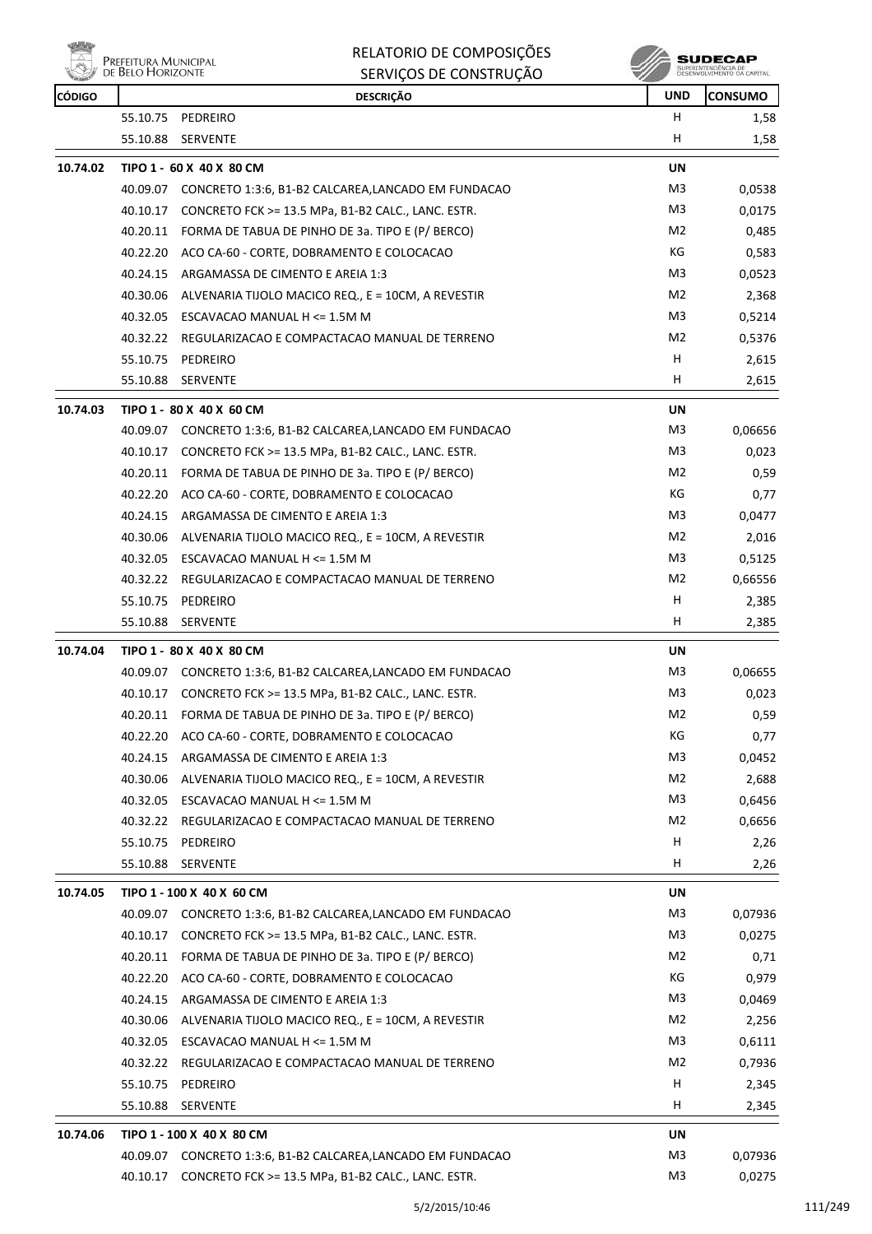| PREFEITURA MUNICIPAL<br>DE BELO HORIZONTE |
|-------------------------------------------|
|-------------------------------------------|

# RELATORIO DE COMPOSIÇÕES

|               | <b>LIVELLITOIVA IVIOINICII AI</b><br>DE BELO HORIZONTE | SERVIÇOS DE CONSTRUÇÃO                                                                  |                | SUPERINTENDÊNCIA DE<br>DESENVOLVIMENTO DA CAPITAL |
|---------------|--------------------------------------------------------|-----------------------------------------------------------------------------------------|----------------|---------------------------------------------------|
| <b>CÓDIGO</b> |                                                        | <b>DESCRIÇÃO</b>                                                                        | <b>UND</b>     | <b>CONSUMO</b>                                    |
|               |                                                        | 55.10.75 PEDREIRO                                                                       | н              | 1,58                                              |
|               | 55.10.88                                               | <b>SERVENTE</b>                                                                         | н              | 1,58                                              |
| 10.74.02      |                                                        | TIPO 1 - 60 X 40 X 80 CM                                                                | UN             |                                                   |
|               |                                                        | 40.09.07 CONCRETO 1:3:6, B1-B2 CALCAREA,LANCADO EM FUNDACAO                             | M3             | 0,0538                                            |
|               | 40.10.17                                               | CONCRETO FCK >= 13.5 MPa, B1-B2 CALC., LANC. ESTR.                                      | M3             | 0,0175                                            |
|               | 40.20.11                                               | FORMA DE TABUA DE PINHO DE 3a. TIPO E (P/ BERCO)                                        | M <sub>2</sub> | 0,485                                             |
|               | 40.22.20                                               | ACO CA-60 - CORTE, DOBRAMENTO E COLOCACAO                                               | КG             | 0,583                                             |
|               | 40.24.15                                               | ARGAMASSA DE CIMENTO E AREIA 1:3                                                        | M3             | 0,0523                                            |
|               | 40.30.06                                               | ALVENARIA TIJOLO MACICO REQ., E = 10CM, A REVESTIR                                      | M2             | 2,368                                             |
|               |                                                        | 40.32.05 ESCAVACAO MANUAL H <= 1.5M M                                                   | M3             | 0,5214                                            |
|               |                                                        | 40.32.22 REGULARIZACAO E COMPACTACAO MANUAL DE TERRENO                                  | M2             | 0,5376                                            |
|               | 55.10.75                                               | PEDREIRO                                                                                | H              | 2,615                                             |
|               | 55.10.88                                               | <b>SERVENTE</b>                                                                         | н              | 2,615                                             |
| 10.74.03      |                                                        | TIPO 1 - 80 X 40 X 60 CM                                                                | UN             |                                                   |
|               |                                                        | 40.09.07 CONCRETO 1:3:6, B1-B2 CALCAREA,LANCADO EM FUNDACAO                             | M3             | 0,06656                                           |
|               | 40.10.17                                               | CONCRETO FCK >= 13.5 MPa, B1-B2 CALC., LANC. ESTR.                                      | M3             | 0,023                                             |
|               | 40.20.11                                               | FORMA DE TABUA DE PINHO DE 3a. TIPO E (P/ BERCO)                                        | M2             | 0,59                                              |
|               | 40.22.20                                               | ACO CA-60 - CORTE, DOBRAMENTO E COLOCACAO                                               | КG             | 0,77                                              |
|               | 40.24.15                                               | ARGAMASSA DE CIMENTO E AREIA 1:3                                                        | M3             | 0,0477                                            |
|               | 40.30.06                                               | ALVENARIA TIJOLO MACICO REQ., E = 10CM, A REVESTIR                                      | M2             | 2,016                                             |
|               |                                                        | 40.32.05 ESCAVACAO MANUAL H <= 1.5M M                                                   | M3             | 0,5125                                            |
|               |                                                        | 40.32.22 REGULARIZACAO E COMPACTACAO MANUAL DE TERRENO                                  | M2             | 0,66556                                           |
|               |                                                        | 55.10.75 PEDREIRO                                                                       | н              | 2,385                                             |
|               | 55.10.88                                               | <b>SERVENTE</b>                                                                         | H              | 2,385                                             |
|               |                                                        |                                                                                         |                |                                                   |
| 10.74.04      |                                                        | TIPO 1 - 80 X 40 X 80 CM<br>40.09.07 CONCRETO 1:3:6, B1-B2 CALCAREA,LANCADO EM FUNDACAO | UN<br>M3       | 0,06655                                           |
|               |                                                        | 40.10.17 CONCRETO FCK >= 13.5 MPa, B1-B2 CALC., LANC. ESTR.                             | M3             | 0,023                                             |
|               |                                                        | 40.20.11 FORMA DE TABUA DE PINHO DE 3a. TIPO E (P/ BERCO)                               | M <sub>2</sub> | 0,59                                              |
|               | 40.22.20                                               | ACO CA-60 - CORTE, DOBRAMENTO E COLOCACAO                                               | КG             | 0,77                                              |
|               | 40.24.15                                               | ARGAMASSA DE CIMENTO E AREIA 1:3                                                        | M3             | 0,0452                                            |
|               | 40.30.06                                               | ALVENARIA TIJOLO MACICO REQ., E = 10CM, A REVESTIR                                      | M2             | 2,688                                             |
|               |                                                        | 40.32.05 ESCAVACAO MANUAL H <= 1.5M M                                                   | M3             | 0,6456                                            |
|               | 40.32.22                                               | REGULARIZACAO E COMPACTACAO MANUAL DE TERRENO                                           | M <sub>2</sub> | 0,6656                                            |
|               |                                                        | 55.10.75 PEDREIRO                                                                       | H              | 2,26                                              |
|               | 55.10.88                                               | <b>SERVENTE</b>                                                                         | н              | 2,26                                              |
|               |                                                        |                                                                                         |                |                                                   |
| 10.74.05      |                                                        | TIPO 1 - 100 X 40 X 60 CM                                                               | UN             |                                                   |
|               |                                                        | 40.09.07 CONCRETO 1:3:6, B1-B2 CALCAREA,LANCADO EM FUNDACAO                             | M3             | 0,07936                                           |
|               | 40.10.17                                               | CONCRETO FCK >= 13.5 MPa, B1-B2 CALC., LANC. ESTR.                                      | M <sub>3</sub> | 0,0275                                            |
|               | 40.20.11                                               | FORMA DE TABUA DE PINHO DE 3a. TIPO E (P/ BERCO)                                        | M2             | 0,71                                              |
|               | 40.22.20                                               | ACO CA-60 - CORTE, DOBRAMENTO E COLOCACAO                                               | КG             | 0,979                                             |
|               | 40.24.15                                               | ARGAMASSA DE CIMENTO E AREIA 1:3                                                        | M3             | 0,0469                                            |
|               | 40.30.06                                               | ALVENARIA TIJOLO MACICO REQ., E = 10CM, A REVESTIR                                      | M2             | 2,256                                             |
|               |                                                        | 40.32.05 ESCAVACAO MANUAL H <= 1.5M M                                                   | M3             | 0,6111                                            |
|               | 40.32.22                                               | REGULARIZACAO E COMPACTACAO MANUAL DE TERRENO                                           | M2             | 0,7936                                            |
|               | 55.10.75                                               | PEDREIRO                                                                                | H              | 2,345                                             |
|               | 55.10.88                                               | SERVENTE                                                                                | H              | 2,345                                             |
| 10.74.06      |                                                        | TIPO 1 - 100 X 40 X 80 CM                                                               | UN             |                                                   |
|               |                                                        | 40.09.07 CONCRETO 1:3:6, B1-B2 CALCAREA, LANCADO EM FUNDACAO                            | M3             | 0,07936                                           |
|               | 40.10.17                                               | CONCRETO FCK >= 13.5 MPa, B1-B2 CALC., LANC. ESTR.                                      | M3             | 0,0275                                            |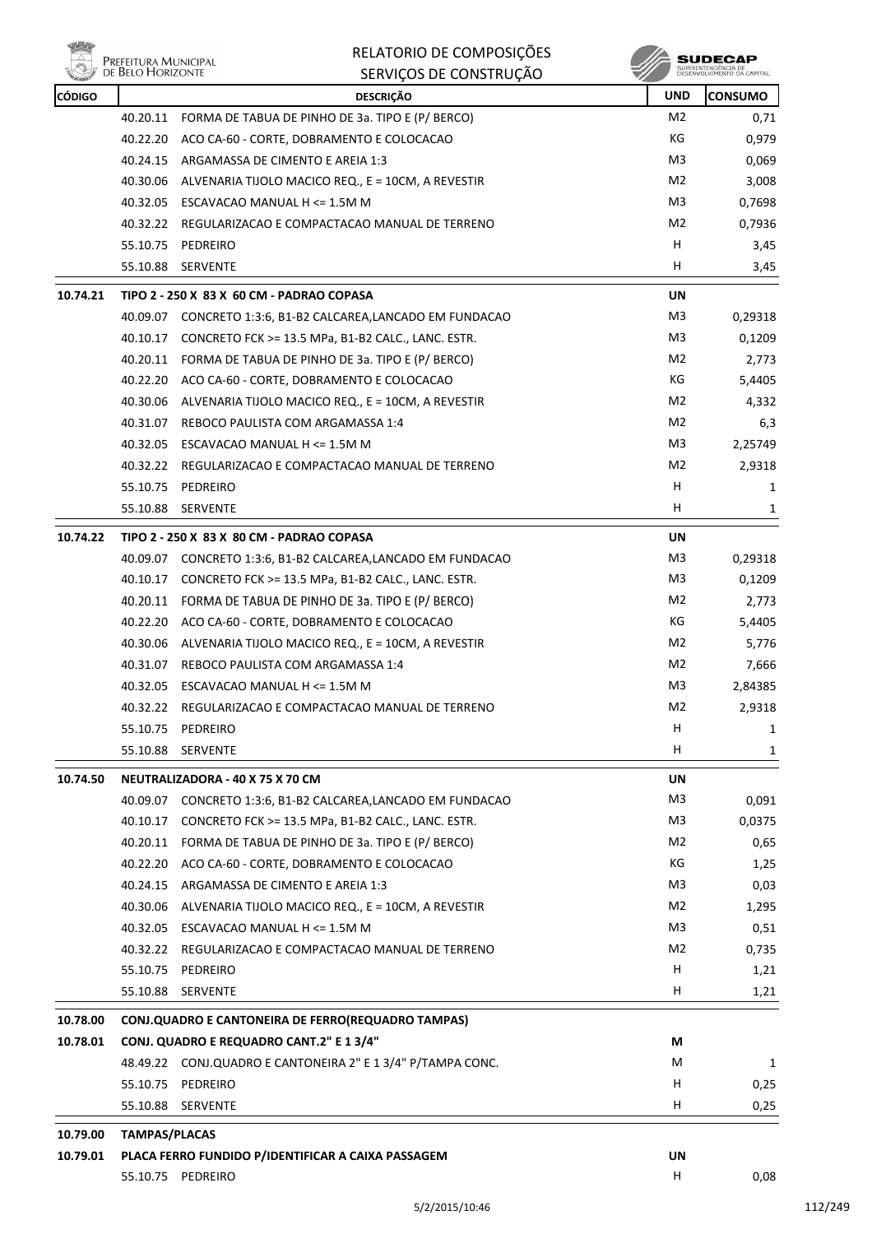

| RELATORIO DE COMPOSIÇÕES |
|--------------------------|
| SERVICOS DE CONSTRUÇÃO   |

| <b>CÓDIGO</b> |                      | <b>DESCRIÇÃO</b>                                             | <b>UND</b> | <b>CONSUMO</b> |
|---------------|----------------------|--------------------------------------------------------------|------------|----------------|
|               |                      | 40.20.11 FORMA DE TABUA DE PINHO DE 3a. TIPO E (P/ BERCO)    | M2         | 0,71           |
|               |                      | 40.22.20 ACO CA-60 - CORTE, DOBRAMENTO E COLOCACAO           | КG         | 0,979          |
|               |                      | 40.24.15 ARGAMASSA DE CIMENTO E AREIA 1:3                    | M3         | 0,069          |
|               |                      | 40.30.06 ALVENARIA TIJOLO MACICO REQ., E = 10CM, A REVESTIR  | M2         | 3,008          |
|               |                      | 40.32.05 ESCAVACAO MANUAL H <= 1.5M M                        | M3         | 0,7698         |
|               |                      | 40.32.22 REGULARIZACAO E COMPACTACAO MANUAL DE TERRENO       | M2         | 0,7936         |
|               |                      | 55.10.75 PEDREIRO                                            | н          | 3,45           |
|               |                      | 55.10.88 SERVENTE                                            | н          | 3,45           |
| 10.74.21      |                      | TIPO 2 - 250 X 83 X 60 CM - PADRAO COPASA                    | UN         |                |
|               |                      | 40.09.07 CONCRETO 1:3:6, B1-B2 CALCAREA, LANCADO EM FUNDACAO | M3         | 0,29318        |
|               |                      | 40.10.17 CONCRETO FCK >= 13.5 MPa, B1-B2 CALC., LANC. ESTR.  | M3         | 0,1209         |
|               |                      | 40.20.11 FORMA DE TABUA DE PINHO DE 3a. TIPO E (P/ BERCO)    | M2         | 2,773          |
|               |                      | 40.22.20 ACO CA-60 - CORTE, DOBRAMENTO E COLOCACAO           | КG         | 5,4405         |
|               | 40.30.06             | ALVENARIA TIJOLO MACICO REQ., E = 10CM, A REVESTIR           | M2         | 4,332          |
|               |                      | 40.31.07 REBOCO PAULISTA COM ARGAMASSA 1:4                   | M2         | 6,3            |
|               |                      | 40.32.05 ESCAVACAO MANUAL H <= 1.5M M                        | M3         | 2,25749        |
|               |                      | 40.32.22 REGULARIZACAO E COMPACTACAO MANUAL DE TERRENO       | M2         | 2,9318         |
|               |                      | 55.10.75 PEDREIRO                                            | н          | 1              |
|               | 55.10.88             | <b>SERVENTE</b>                                              | н          | 1              |
| 10.74.22      |                      | TIPO 2 - 250 X 83 X 80 CM - PADRAO COPASA                    | <b>UN</b>  |                |
|               |                      | 40.09.07 CONCRETO 1:3:6, B1-B2 CALCAREA, LANCADO EM FUNDACAO | M3         | 0,29318        |
|               |                      | 40.10.17 CONCRETO FCK >= 13.5 MPa, B1-B2 CALC., LANC. ESTR.  | M3         | 0,1209         |
|               |                      | 40.20.11 FORMA DE TABUA DE PINHO DE 3a. TIPO E (P/ BERCO)    | M2         | 2,773          |
|               |                      | 40.22.20 ACO CA-60 - CORTE, DOBRAMENTO E COLOCACAO           | КG         | 5,4405         |
|               |                      | 40.30.06 ALVENARIA TIJOLO MACICO REQ., E = 10CM, A REVESTIR  | M2         | 5,776          |
|               | 40.31.07             | REBOCO PAULISTA COM ARGAMASSA 1:4                            | M2         | 7,666          |
|               |                      | 40.32.05 ESCAVACAO MANUAL H <= 1.5M M                        | M3         | 2,84385        |
|               | 40.32.22             | REGULARIZACAO E COMPACTACAO MANUAL DE TERRENO                | M2         | 2,9318         |
|               | 55.10.75             | PEDREIRO                                                     | Н          | 1              |
|               | 55.10.88             | SERVENTE                                                     | н          | 1              |
| 10.74.50      |                      | NEUTRALIZADORA - 40 X 75 X 70 CM                             | UN         |                |
|               |                      | 40.09.07 CONCRETO 1:3:6, B1-B2 CALCAREA, LANCADO EM FUNDACAO | M3         | 0,091          |
|               | 40.10.17             | CONCRETO FCK >= 13.5 MPa, B1-B2 CALC., LANC. ESTR.           | M3         | 0,0375         |
|               |                      | 40.20.11 FORMA DE TABUA DE PINHO DE 3a. TIPO E (P/ BERCO)    | M2         | 0,65           |
|               | 40.22.20             | ACO CA-60 - CORTE, DOBRAMENTO E COLOCACAO                    | КG         | 1,25           |
|               | 40.24.15             | ARGAMASSA DE CIMENTO E AREIA 1:3                             | M3         | 0,03           |
|               |                      | 40.30.06 ALVENARIA TIJOLO MACICO REQ., E = 10CM, A REVESTIR  | M2         | 1,295          |
|               | 40.32.05             | ESCAVACAO MANUAL H <= 1.5M M                                 | M3         | 0,51           |
|               |                      | 40.32.22 REGULARIZACAO E COMPACTACAO MANUAL DE TERRENO       | M2         | 0,735          |
|               | 55.10.75             | PEDREIRO                                                     | н          | 1,21           |
|               | 55.10.88             | SERVENTE                                                     | н          | 1,21           |
| 10.78.00      |                      | CONJ.QUADRO E CANTONEIRA DE FERRO(REQUADRO TAMPAS)           |            |                |
| 10.78.01      |                      | CONJ. QUADRO E REQUADRO CANT.2" E 1 3/4"                     | М          |                |
|               |                      | 48.49.22 CONJ.QUADRO E CANTONEIRA 2" E 1 3/4" P/TAMPA CONC.  | M          | 1              |
|               |                      | 55.10.75 PEDREIRO                                            | н          | 0,25           |
|               | 55.10.88             | SERVENTE                                                     | н          | 0,25           |
| 10.79.00      | <b>TAMPAS/PLACAS</b> |                                                              |            |                |
| 10.79.01      |                      | PLACA FERRO FUNDIDO P/IDENTIFICAR A CAIXA PASSAGEM           | UN         |                |
|               |                      | 55.10.75 PEDREIRO                                            | н          | 0,08           |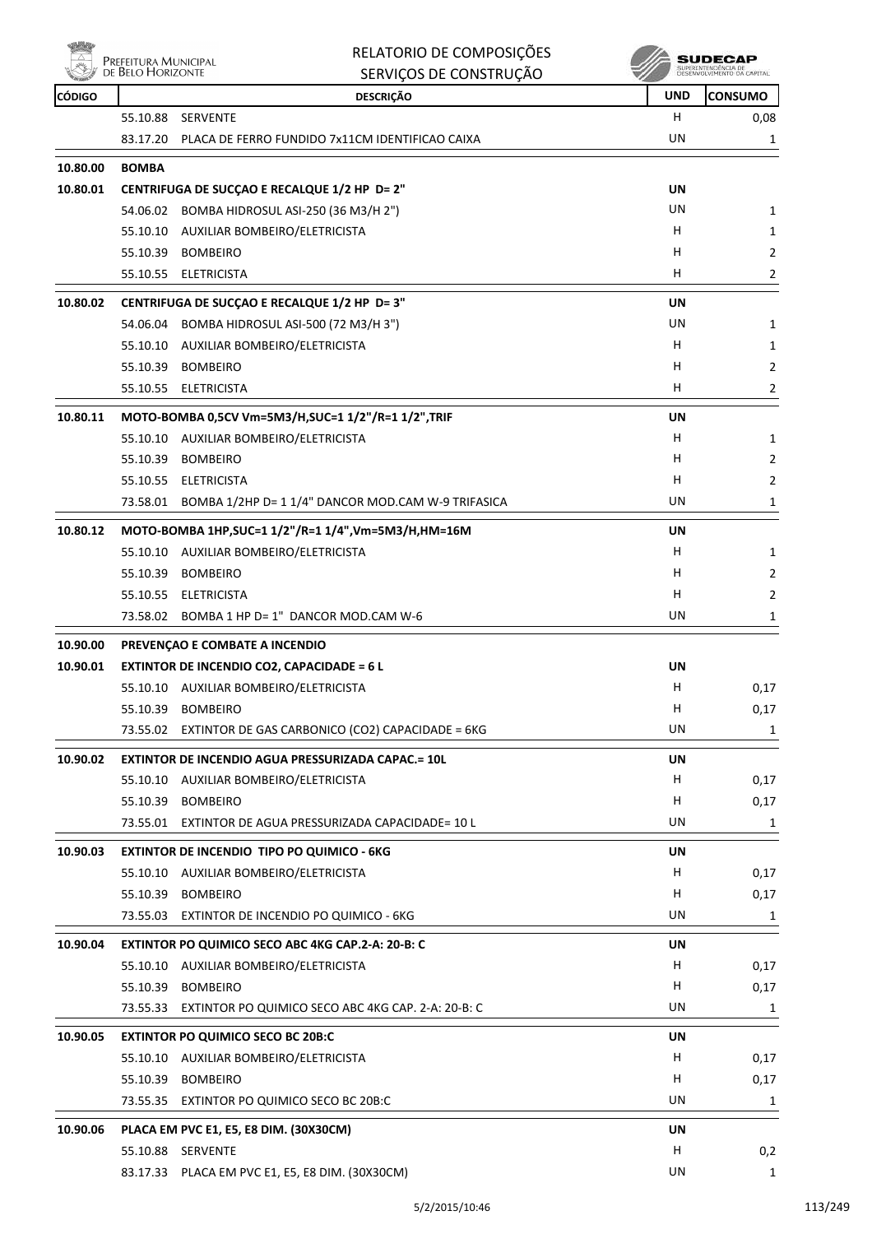

|               | Prefeitura Municipal<br>de Belo Horizonte | RELATORIO DE COMPOSIÇÕES                                  |            | SUDECAP<br>SUPERINTENDÊNCIA DE<br>DESENVOLVIMENTO DA CAPITAL |
|---------------|-------------------------------------------|-----------------------------------------------------------|------------|--------------------------------------------------------------|
| <b>CÓDIGO</b> |                                           | SERVIÇOS DE CONSTRUÇÃO<br><b>DESCRIÇÃO</b>                | <b>UND</b> | <b>CONSUMO</b>                                               |
|               | 55.10.88                                  | SERVENTE                                                  | H          | 0,08                                                         |
|               | 83.17.20                                  | PLACA DE FERRO FUNDIDO 7x11CM IDENTIFICAO CAIXA           | UN         | 1                                                            |
| 10.80.00      | <b>BOMBA</b>                              |                                                           |            |                                                              |
| 10.80.01      |                                           | CENTRIFUGA DE SUCÇAO E RECALQUE 1/2 HP D= 2"              | UN         |                                                              |
|               |                                           | 54.06.02 BOMBA HIDROSUL ASI-250 (36 M3/H 2")              | UN         | 1                                                            |
|               | 55.10.10                                  | AUXILIAR BOMBEIRO/ELETRICISTA                             | H          |                                                              |
|               | 55.10.39                                  | <b>BOMBEIRO</b>                                           | н          | 1<br>$\overline{2}$                                          |
|               | 55.10.55                                  | ELETRICISTA                                               | H          | $\overline{2}$                                               |
| 10.80.02      |                                           | CENTRIFUGA DE SUCÇAO E RECALQUE 1/2 HP D= 3"              | UN         |                                                              |
|               |                                           | 54.06.04 BOMBA HIDROSUL ASI-500 (72 M3/H 3")              | UN         | 1                                                            |
|               | 55.10.10                                  | AUXILIAR BOMBEIRO/ELETRICISTA                             | Н          | 1                                                            |
|               | 55.10.39                                  | <b>BOMBEIRO</b>                                           | н          | $\overline{2}$                                               |
|               |                                           | 55.10.55 ELETRICISTA                                      | H          | $\overline{2}$                                               |
| 10.80.11      |                                           | MOTO-BOMBA 0,5CV Vm=5M3/H, SUC=1 1/2"/R=1 1/2", TRIF      | UN         |                                                              |
|               | 55.10.10                                  | AUXILIAR BOMBEIRO/ELETRICISTA                             | H          | 1                                                            |
|               | 55.10.39                                  | <b>BOMBEIRO</b>                                           | н          | 2                                                            |
|               | 55.10.55                                  | ELETRICISTA                                               | H          | $\overline{2}$                                               |
|               | 73.58.01                                  | BOMBA 1/2HP D= 1 1/4" DANCOR MOD.CAM W-9 TRIFASICA        | UN         | 1                                                            |
| 10.80.12      |                                           | MOTO-BOMBA 1HP, SUC=1 1/2"/R=1 1/4", Vm=5M3/H, HM=16M     | UN         |                                                              |
|               | 55.10.10                                  | AUXILIAR BOMBEIRO/ELETRICISTA                             | H          | 1                                                            |
|               | 55.10.39                                  | <b>BOMBEIRO</b>                                           | н          | 2                                                            |
|               | 55.10.55                                  | ELETRICISTA                                               | н          | $\overline{2}$                                               |
|               |                                           | 73.58.02 BOMBA 1 HP D= 1" DANCOR MOD.CAM W-6              | UN         | 1                                                            |
| 10.90.00      |                                           | PREVENÇÃO E COMBATE A INCENDIO                            |            |                                                              |
| 10.90.01      |                                           | <b>EXTINTOR DE INCENDIO CO2, CAPACIDADE = 6 L</b>         | UN         |                                                              |
|               |                                           | 55.10.10 AUXILIAR BOMBEIRO/ELETRICISTA                    | H          | 0,17                                                         |
|               | 55.10.39                                  | <b>BOMBEIRO</b>                                           | Н          | 0,17                                                         |
|               | 73.55.02                                  | EXTINTOR DE GAS CARBONICO (CO2) CAPACIDADE = 6KG          | UN         | $\mathbf{1}$                                                 |
| 10.90.02      |                                           | <b>EXTINTOR DE INCENDIO AGUA PRESSURIZADA CAPAC.= 10L</b> | UN         |                                                              |
|               | 55.10.10                                  | AUXILIAR BOMBEIRO/ELETRICISTA                             | H.         | 0,17                                                         |
|               |                                           | 55.10.39 BOMBEIRO                                         | Н          | 0,17                                                         |
|               |                                           | 73.55.01 EXTINTOR DE AGUA PRESSURIZADA CAPACIDADE= 10 L   | UN         | 1                                                            |
| 10.90.03      |                                           | <b>EXTINTOR DE INCENDIO TIPO PO QUIMICO - 6KG</b>         | UN         |                                                              |
|               | 55.10.10                                  | AUXILIAR BOMBEIRO/ELETRICISTA                             | H.         | 0,17                                                         |
|               | 55.10.39                                  | <b>BOMBEIRO</b>                                           | H          | 0,17                                                         |
|               |                                           | 73.55.03 EXTINTOR DE INCENDIO PO QUIMICO - 6KG            | UN         | 1                                                            |
| 10.90.04      |                                           | EXTINTOR PO QUIMICO SECO ABC 4KG CAP.2-A: 20-B: C         | UN         |                                                              |
|               | 55.10.10                                  | AUXILIAR BOMBEIRO/ELETRICISTA                             | H.         | 0,17                                                         |
|               |                                           | 55.10.39 BOMBEIRO                                         | H          | 0,17                                                         |
|               | 73.55.33                                  | EXTINTOR PO QUIMICO SECO ABC 4KG CAP. 2-A: 20-B: C        | UN         | 1                                                            |
| 10.90.05      |                                           | <b>EXTINTOR PO QUIMICO SECO BC 20B:C</b>                  | UN         |                                                              |
|               | 55.10.10                                  | AUXILIAR BOMBEIRO/ELETRICISTA                             | H          | 0,17                                                         |
|               | 55.10.39                                  | <b>BOMBEIRO</b>                                           | H          | 0,17                                                         |
|               |                                           | 73.55.35 EXTINTOR PO QUIMICO SECO BC 20B:C                | UN         | 1                                                            |
| 10.90.06      |                                           | PLACA EM PVC E1, E5, E8 DIM. (30X30CM)                    | UN         |                                                              |

55.10.88 SERVENTE H 0,2

83.17.33 PLACA EM PVC E1, E5, E8 DIM. (30X30CM) UN UN 1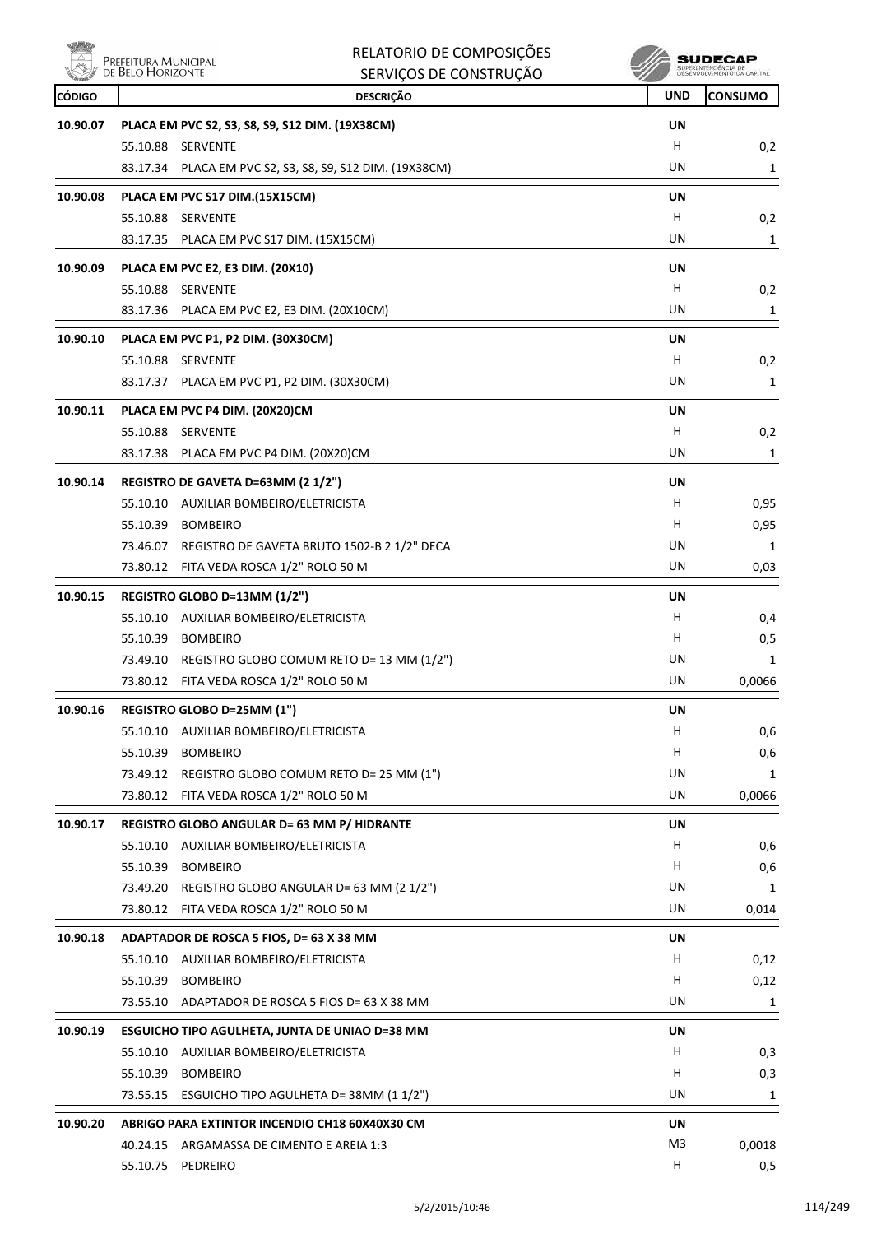

|               | Prefeitura Municipal                                              | RELATORIO DE COMPOSIÇÕES |            | SUDECAP                                           |
|---------------|-------------------------------------------------------------------|--------------------------|------------|---------------------------------------------------|
|               | DE BELO HORIZONTE                                                 | SERVIÇOS DE CONSTRUÇÃO   |            | SUPERINTENDÊNCIA DE<br>DESENVOLVIMENTO DA CAPITAL |
| <b>CÓDIGO</b> | <b>DESCRIÇÃO</b>                                                  |                          | <b>UND</b> | <b>CONSUMO</b>                                    |
| 10.90.07      | PLACA EM PVC S2, S3, S8, S9, S12 DIM. (19X38CM)                   |                          | UN         |                                                   |
|               | 55.10.88 SERVENTE                                                 |                          | н          | 0,2                                               |
|               | 83.17.34<br>PLACA EM PVC S2, S3, S8, S9, S12 DIM. (19X38CM)       |                          | UN         | 1                                                 |
| 10.90.08      | PLACA EM PVC S17 DIM.(15X15CM)                                    |                          | UN         |                                                   |
|               | 55.10.88 SERVENTE                                                 |                          | H          | 0,2                                               |
|               | 83.17.35 PLACA EM PVC S17 DIM. (15X15CM)                          |                          | UN         | 1                                                 |
| 10.90.09      | PLACA EM PVC E2, E3 DIM. (20X10)                                  |                          | UN         |                                                   |
|               | 55.10.88 SERVENTE                                                 |                          | H          | 0,2                                               |
|               | 83.17.36 PLACA EM PVC E2, E3 DIM. (20X10CM)                       |                          | UN         | 1                                                 |
|               |                                                                   |                          |            |                                                   |
| 10.90.10      | PLACA EM PVC P1, P2 DIM. (30X30CM)<br>55.10.88 SERVENTE           |                          | UN<br>н    | 0,2                                               |
|               | 83.17.37 PLACA EM PVC P1, P2 DIM. (30X30CM)                       |                          | UN         | 1                                                 |
|               |                                                                   |                          |            |                                                   |
| 10.90.11      | PLACA EM PVC P4 DIM. (20X20)CM                                    |                          | UN         |                                                   |
|               | 55.10.88 SERVENTE                                                 |                          | H          | 0,2                                               |
|               | 83.17.38 PLACA EM PVC P4 DIM. (20X20)CM                           |                          | UN         | 1                                                 |
| 10.90.14      | REGISTRO DE GAVETA D=63MM (2 1/2")                                |                          | UN         |                                                   |
|               | 55.10.10 AUXILIAR BOMBEIRO/ELETRICISTA                            |                          | H.         | 0,95                                              |
|               | 55.10.39 BOMBEIRO                                                 |                          | н          | 0,95                                              |
|               | 73.46.07 REGISTRO DE GAVETA BRUTO 1502-B 2 1/2" DECA              |                          | UN         | 1                                                 |
|               | FITA VEDA ROSCA 1/2" ROLO 50 M<br>73.80.12                        |                          | UN         | 0,03                                              |
| 10.90.15      | REGISTRO GLOBO D=13MM (1/2")                                      |                          | UN         |                                                   |
|               | 55.10.10 AUXILIAR BOMBEIRO/ELETRICISTA                            |                          | H          | 0,4                                               |
|               | 55.10.39 BOMBEIRO                                                 |                          | H          | 0,5                                               |
|               | 73.49.10 REGISTRO GLOBO COMUM RETO D= 13 MM (1/2")                |                          | UN         | 1                                                 |
|               | 73.80.12 FITA VEDA ROSCA 1/2" ROLO 50 M                           |                          | UN         | 0,0066                                            |
| 10.90.16      | REGISTRO GLOBO D=25MM (1")                                        |                          | UN         |                                                   |
|               | 55.10.10 AUXILIAR BOMBEIRO/ELETRICISTA                            |                          | H          | 0,6                                               |
|               | 55.10.39 BOMBEIRO                                                 |                          | H          | 0,6                                               |
|               | 73.49.12 REGISTRO GLOBO COMUM RETO D= 25 MM (1")                  |                          | UN         | 1                                                 |
|               | 73.80.12 FITA VEDA ROSCA 1/2" ROLO 50 M                           |                          | UN         | 0,0066                                            |
| 10.90.17      | REGISTRO GLOBO ANGULAR D= 63 MM P/ HIDRANTE                       |                          | UN         |                                                   |
|               | 55.10.10<br>AUXILIAR BOMBEIRO/ELETRICISTA                         |                          | Н.         | 0,6                                               |
|               | 55.10.39<br><b>BOMBEIRO</b>                                       |                          | H          | 0,6                                               |
|               | 73.49.20 REGISTRO GLOBO ANGULAR D= 63 MM (2 1/2")                 |                          | UN         | 1                                                 |
|               | 73.80.12 FITA VEDA ROSCA 1/2" ROLO 50 M                           |                          | UN         | 0,014                                             |
| 10.90.18      | ADAPTADOR DE ROSCA 5 FIOS, D= 63 X 38 MM                          |                          | UN         |                                                   |
|               | 55.10.10 AUXILIAR BOMBEIRO/ELETRICISTA                            |                          | H          | 0,12                                              |
|               | 55.10.39<br><b>BOMBEIRO</b>                                       |                          | H          | 0,12                                              |
|               | 73.55.10<br>ADAPTADOR DE ROSCA 5 FIOS D= 63 X 38 MM               |                          | UN         | 1                                                 |
| 10.90.19      | ESGUICHO TIPO AGULHETA, JUNTA DE UNIAO D=38 MM                    |                          | UN         |                                                   |
|               | 55.10.10 AUXILIAR BOMBEIRO/ELETRICISTA                            |                          | H          | 0,3                                               |
|               | 55.10.39 BOMBEIRO                                                 |                          | H          | 0,3                                               |
|               | ESGUICHO TIPO AGULHETA D= 38MM (1 1/2")<br>73.55.15               |                          | UN         | 1                                                 |
|               |                                                                   |                          |            |                                                   |
| 10.90.20      | ABRIGO PARA EXTINTOR INCENDIO CH18 60X40X30 CM                    |                          | UN         |                                                   |
|               | 40.24.15 ARGAMASSA DE CIMENTO E AREIA 1:3<br>55.10.75<br>PEDREIRO |                          | M3<br>н    | 0,0018                                            |
|               |                                                                   |                          |            | 0,5                                               |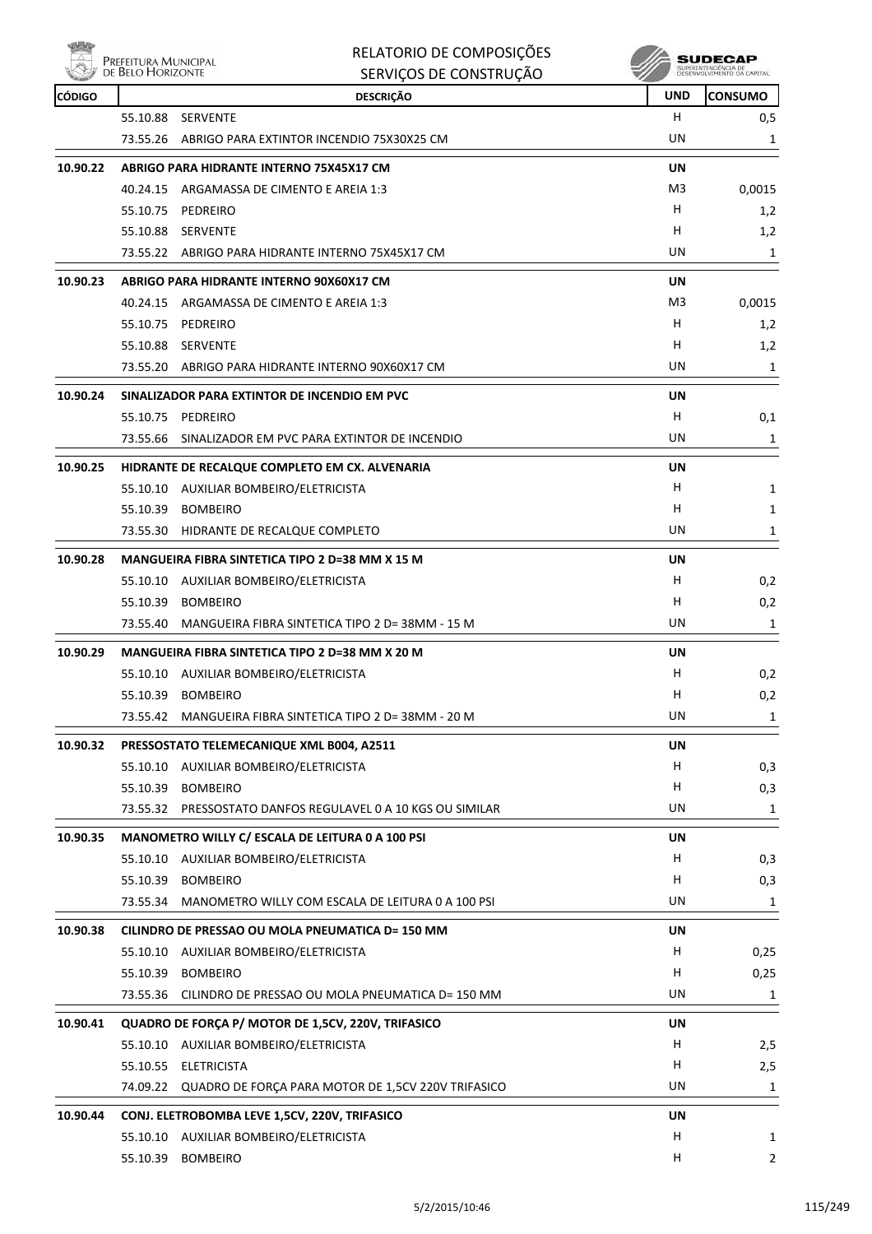

| <b>CÓDIGO</b> |          | <b>DESCRIÇÃO</b>                                                                         | <b>UND</b> | <b>CONSUMO</b> |
|---------------|----------|------------------------------------------------------------------------------------------|------------|----------------|
|               | 55.10.88 | SERVENTE                                                                                 | H          | 0,5            |
|               | 73.55.26 | ABRIGO PARA EXTINTOR INCENDIO 75X30X25 CM                                                | UN         | 1              |
| 10.90.22      |          | ABRIGO PARA HIDRANTE INTERNO 75X45X17 CM                                                 | UN         |                |
|               |          | 40.24.15 ARGAMASSA DE CIMENTO E AREIA 1:3                                                | M3         | 0,0015         |
|               | 55.10.75 | PEDREIRO                                                                                 | H          | 1,2            |
|               |          | 55.10.88 SERVENTE                                                                        | H          | 1,2            |
|               |          | 73.55.22 ABRIGO PARA HIDRANTE INTERNO 75X45X17 CM                                        | UN         | 1              |
| 10.90.23      |          | ABRIGO PARA HIDRANTE INTERNO 90X60X17 CM                                                 | UN         |                |
|               |          | 40.24.15 ARGAMASSA DE CIMENTO E AREIA 1:3                                                | M3         | 0,0015         |
|               |          | 55.10.75 PEDREIRO                                                                        | H          | 1,2            |
|               |          | 55.10.88 SERVENTE                                                                        | H          | 1,2            |
|               |          | 73.55.20 ABRIGO PARA HIDRANTE INTERNO 90X60X17 CM                                        | UN         | 1              |
| 10.90.24      |          | SINALIZADOR PARA EXTINTOR DE INCENDIO EM PVC                                             | <b>UN</b>  |                |
|               |          | 55.10.75 PEDREIRO                                                                        | H.         | 0,1            |
|               | 73.55.66 | SINALIZADOR EM PVC PARA EXTINTOR DE INCENDIO                                             | UN         | 1              |
|               |          |                                                                                          | UN         |                |
| 10.90.25      |          | HIDRANTE DE RECALQUE COMPLETO EM CX. ALVENARIA<br>55.10.10 AUXILIAR BOMBEIRO/ELETRICISTA | H          | 1              |
|               | 55.10.39 | <b>BOMBEIRO</b>                                                                          | н          | 1              |
|               |          | 73.55.30 HIDRANTE DE RECALQUE COMPLETO                                                   | UN         | 1              |
|               |          |                                                                                          |            |                |
| 10.90.28      |          | MANGUEIRA FIBRA SINTETICA TIPO 2 D=38 MM X 15 M                                          | UN         |                |
|               |          | 55.10.10 AUXILIAR BOMBEIRO/ELETRICISTA                                                   | H          | 0,2            |
|               | 55.10.39 | <b>BOMBEIRO</b>                                                                          | н          | 0,2            |
|               | 73.55.40 | MANGUEIRA FIBRA SINTETICA TIPO 2 D= 38MM - 15 M                                          | UN.        | 1              |
| 10.90.29      |          | MANGUEIRA FIBRA SINTETICA TIPO 2 D=38 MM X 20 M                                          | UN         |                |
|               |          | 55.10.10 AUXILIAR BOMBEIRO/ELETRICISTA                                                   | H          | 0,2            |
|               |          | 55.10.39 BOMBEIRO                                                                        | н          | 0,2            |
|               | 73.55.42 | MANGUEIRA FIBRA SINTETICA TIPO 2 D= 38MM - 20 M                                          | UN         | $\mathbf{1}$   |
| 10.90.32      |          | PRESSOSTATO TELEMECANIQUE XML B004, A2511                                                | UN         |                |
|               |          | 55.10.10 AUXILIAR BOMBEIRO/ELETRICISTA                                                   | H.         | 0,3            |
|               |          | 55.10.39 BOMBEIRO                                                                        | H          | 0,3            |
|               | 73.55.32 | PRESSOSTATO DANFOS REGULAVEL 0 A 10 KGS OU SIMILAR                                       | UN         | 1              |
| 10.90.35      |          | MANOMETRO WILLY C/ ESCALA DE LEITURA 0 A 100 PSI                                         | UN         |                |
|               |          | 55.10.10 AUXILIAR BOMBEIRO/ELETRICISTA                                                   | H.         | 0,3            |
|               |          | 55.10.39 BOMBEIRO                                                                        | H.         | 0,3            |
|               | 73.55.34 | MANOMETRO WILLY COM ESCALA DE LEITURA 0 A 100 PSI                                        | UN         | 1              |
| 10.90.38      |          | CILINDRO DE PRESSAO OU MOLA PNEUMATICA D= 150 MM                                         | UN         |                |
|               |          | 55.10.10 AUXILIAR BOMBEIRO/ELETRICISTA                                                   | H          | 0,25           |
|               |          | 55.10.39 BOMBEIRO                                                                        | H          | 0,25           |
|               |          | 73.55.36 CILINDRO DE PRESSAO OU MOLA PNEUMATICA D= 150 MM                                | UN         | 1              |
| 10.90.41      |          | QUADRO DE FORÇA P/ MOTOR DE 1,5CV, 220V, TRIFASICO                                       | UN         |                |
|               |          | 55.10.10 AUXILIAR BOMBEIRO/ELETRICISTA                                                   | H          | 2,5            |
|               |          | 55.10.55 ELETRICISTA                                                                     | H.         | 2,5            |
|               |          | 74.09.22 QUADRO DE FORÇA PARA MOTOR DE 1,5CV 220V TRIFASICO                              | UN         | 1              |
| 10.90.44      |          | CONJ. ELETROBOMBA LEVE 1,5CV, 220V, TRIFASICO                                            | UN         |                |
|               |          | 55.10.10 AUXILIAR BOMBEIRO/ELETRICISTA                                                   | н          | 1              |
|               | 55.10.39 | <b>BOMBEIRO</b>                                                                          | H          | 2              |
|               |          |                                                                                          |            |                |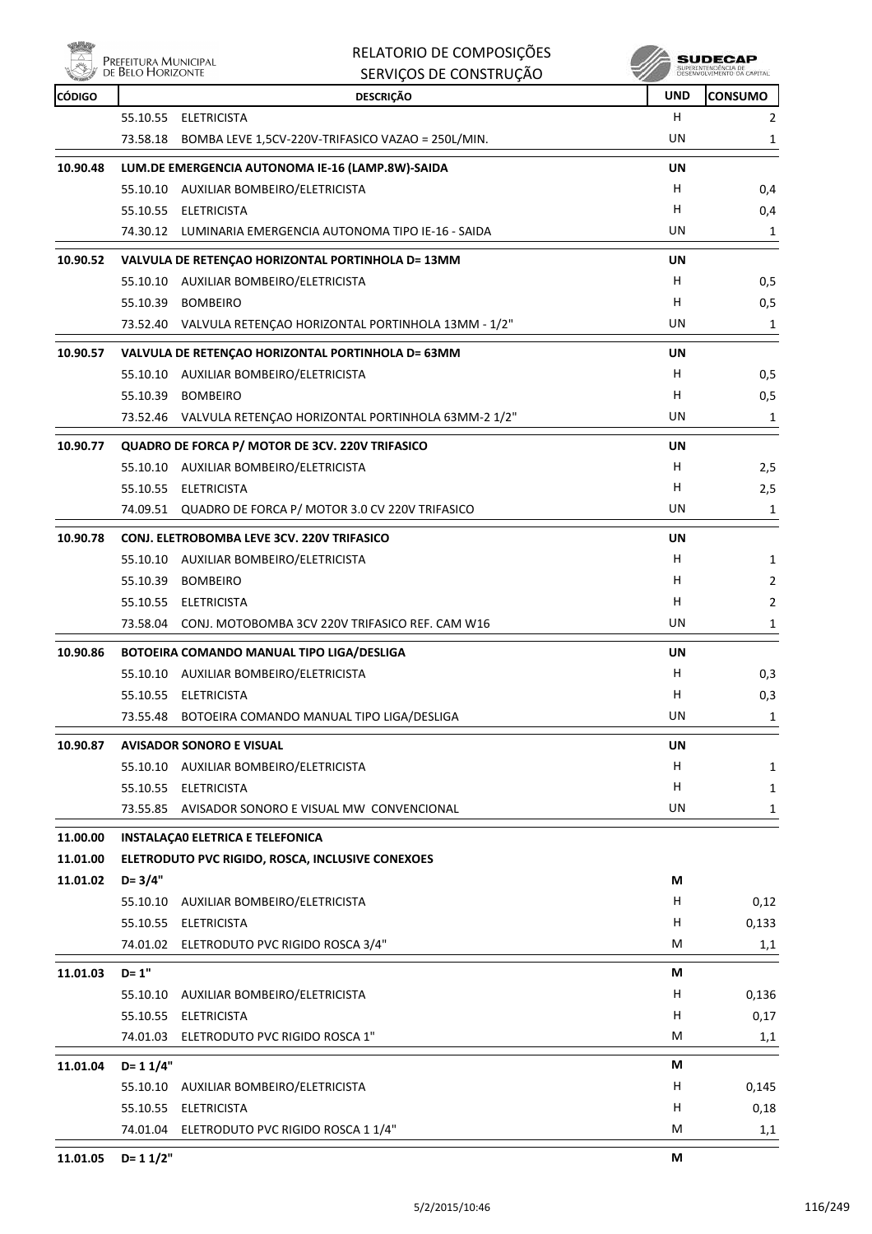

|               |                                           | RELATORIO DE COMPOSIÇÕES                                    |            | SUDECAP                                           |
|---------------|-------------------------------------------|-------------------------------------------------------------|------------|---------------------------------------------------|
|               | Prefeitura Municipal<br>de Belo Horizonte | SERVIÇOS DE CONSTRUÇÃO                                      |            | SUPERINTENDÊNCIA DE<br>DESENVOLVIMENTO DA CAPITAL |
| <b>CÓDIGO</b> |                                           | <b>DESCRIÇÃO</b>                                            | <b>UND</b> | <b>CONSUMO</b>                                    |
|               | 55.10.55                                  | ELETRICISTA                                                 | н          | 2                                                 |
|               | 73.58.18                                  | BOMBA LEVE 1,5CV-220V-TRIFASICO VAZAO = 250L/MIN.           | UN         | 1                                                 |
| 10.90.48      |                                           | LUM.DE EMERGENCIA AUTONOMA IE-16 (LAMP.8W)-SAIDA            | UN         |                                                   |
|               |                                           | 55.10.10 AUXILIAR BOMBEIRO/ELETRICISTA                      | н          | 0,4                                               |
|               |                                           | 55.10.55 ELETRICISTA                                        | н          | 0,4                                               |
|               |                                           | 74.30.12 LUMINARIA EMERGENCIA AUTONOMA TIPO IE-16 - SAIDA   | UN         | 1                                                 |
| 10.90.52      |                                           | VALVULA DE RETENÇÃO HORIZONTAL PORTINHOLA D= 13MM           | UN         |                                                   |
|               |                                           | 55.10.10 AUXILIAR BOMBEIRO/ELETRICISTA                      | н          | 0,5                                               |
|               |                                           | 55.10.39 BOMBEIRO                                           | н          | 0,5                                               |
|               |                                           | 73.52.40 VALVULA RETENÇAO HORIZONTAL PORTINHOLA 13MM - 1/2" | UN         | 1                                                 |
| 10.90.57      |                                           | VALVULA DE RETENÇÃO HORIZONTAL PORTINHOLA D= 63MM           | UN         |                                                   |
|               |                                           | 55.10.10 AUXILIAR BOMBEIRO/ELETRICISTA                      | н          | 0,5                                               |
|               |                                           | 55.10.39 BOMBEIRO                                           | н          | 0,5                                               |
|               |                                           | 73.52.46 VALVULA RETENÇAO HORIZONTAL PORTINHOLA 63MM-2 1/2" | UN         | 1                                                 |
|               |                                           |                                                             |            |                                                   |
| 10.90.77      |                                           | QUADRO DE FORCA P/ MOTOR DE 3CV. 220V TRIFASICO             | UN         |                                                   |
|               |                                           | 55.10.10 AUXILIAR BOMBEIRO/ELETRICISTA                      | н          | 2,5                                               |
|               |                                           | 55.10.55 ELETRICISTA                                        | н          | 2,5                                               |
|               |                                           | 74.09.51 QUADRO DE FORCA P/ MOTOR 3.0 CV 220V TRIFASICO     | UN         | 1                                                 |
| 10.90.78      |                                           | <b>CONJ. ELETROBOMBA LEVE 3CV. 220V TRIFASICO</b>           | UN         |                                                   |
|               |                                           | 55.10.10 AUXILIAR BOMBEIRO/ELETRICISTA                      | н          | 1                                                 |
|               | 55.10.39                                  | <b>BOMBEIRO</b>                                             | н          | 2                                                 |
|               |                                           | 55.10.55 ELETRICISTA                                        | н          | 2                                                 |
|               |                                           | 73.58.04 CONJ. MOTOBOMBA 3CV 220V TRIFASICO REF. CAM W16    | UN         | 1                                                 |
| 10.90.86      |                                           | BOTOEIRA COMANDO MANUAL TIPO LIGA/DESLIGA                   | UN         |                                                   |
|               |                                           | 55.10.10 AUXILIAR BOMBEIRO/ELETRICISTA                      | н          | 0,3                                               |
|               |                                           | 55.10.55 ELETRICISTA                                        | н          | 0,3                                               |
|               |                                           | 73.55.48 BOTOEIRA COMANDO MANUAL TIPO LIGA/DESLIGA          | <b>UN</b>  | 1                                                 |
| 10.90.87      |                                           | <b>AVISADOR SONORO E VISUAL</b>                             | <b>UN</b>  |                                                   |
|               |                                           | 55.10.10 AUXILIAR BOMBEIRO/ELETRICISTA                      | H          | 1                                                 |
|               |                                           | 55.10.55 ELETRICISTA                                        | н          | $\mathbf{1}$                                      |
|               | 73.55.85                                  | AVISADOR SONORO E VISUAL MW CONVENCIONAL                    | UN         | 1                                                 |
| 11.00.00      |                                           | <b>INSTALAÇÃO ELETRICA E TELEFONICA</b>                     |            |                                                   |
| 11.01.00      |                                           | ELETRODUTO PVC RIGIDO, ROSCA, INCLUSIVE CONEXOES            |            |                                                   |
| 11.01.02      | $D = 3/4"$                                |                                                             | М          |                                                   |
|               | 55.10.10                                  | AUXILIAR BOMBEIRO/ELETRICISTA                               | H.         | 0,12                                              |
|               |                                           | 55.10.55 ELETRICISTA                                        | H          | 0,133                                             |
|               |                                           | 74.01.02 ELETRODUTO PVC RIGIDO ROSCA 3/4"                   | М          | 1,1                                               |
|               |                                           |                                                             |            |                                                   |
| 11.01.03      | $D = 1"$                                  |                                                             | М          |                                                   |
|               | 55.10.10                                  | AUXILIAR BOMBEIRO/ELETRICISTA                               | H<br>Н     | 0,136                                             |
|               |                                           | 55.10.55 ELETRICISTA                                        | M          | 0,17                                              |
|               |                                           | 74.01.03 ELETRODUTO PVC RIGIDO ROSCA 1"                     |            | 1,1                                               |
| 11.01.04      | $D = 11/4"$                               |                                                             | М          |                                                   |
|               | 55.10.10                                  | AUXILIAR BOMBEIRO/ELETRICISTA                               | Н          | 0,145                                             |
|               |                                           | 55.10.55 ELETRICISTA                                        | н          | 0,18                                              |
|               |                                           | 74.01.04 ELETRODUTO PVC RIGIDO ROSCA 1 1/4"                 | M          | 1,1                                               |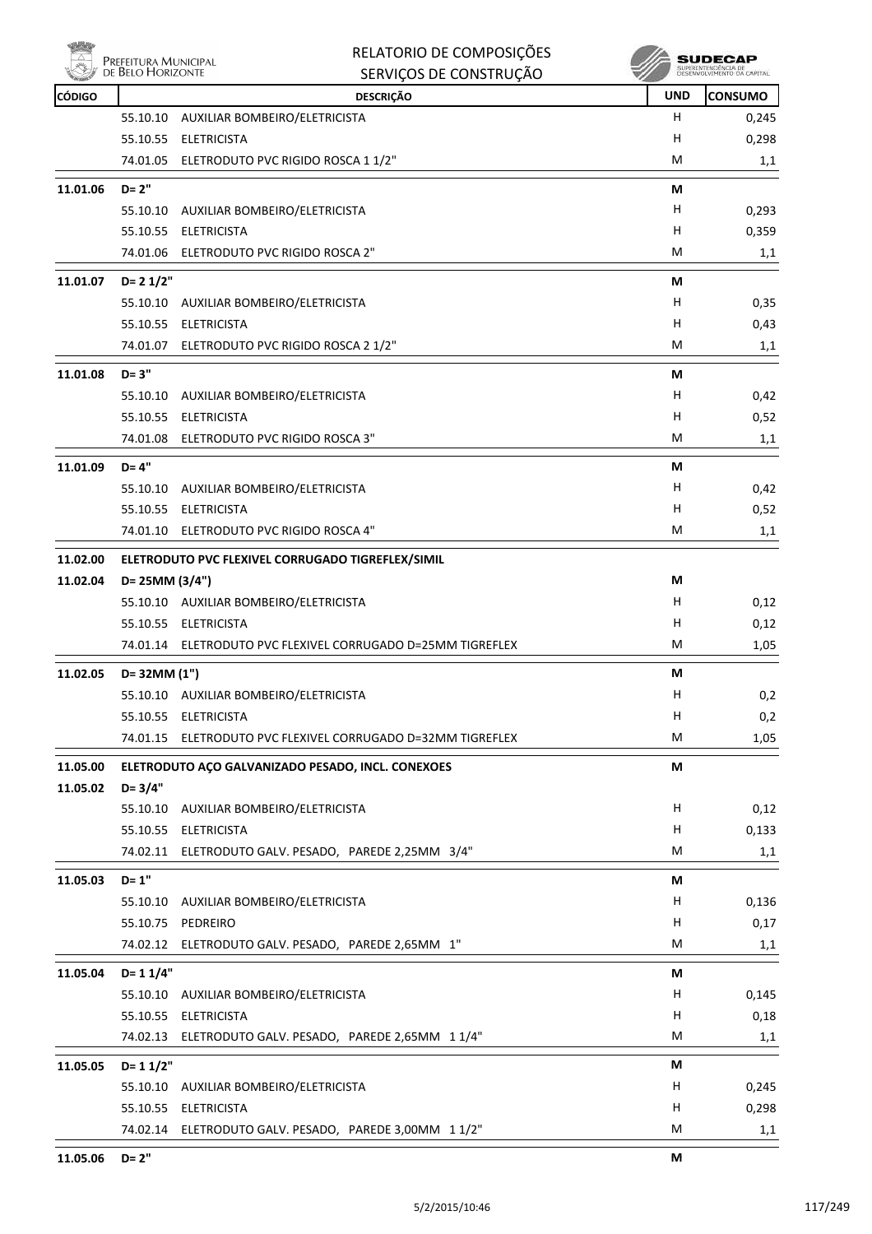|               | Prefeitura Municipal<br>de Belo Horizonte | RELATORIO DE COMPOSIÇÕES<br>SERVIÇOS DE CONSTRUÇÃO          |            | SUDECAP<br>SUPERINTENDÊNCIA DE<br>DESENVOLVIMENTO DA CAPITAL |
|---------------|-------------------------------------------|-------------------------------------------------------------|------------|--------------------------------------------------------------|
| <b>CÓDIGO</b> |                                           | <b>DESCRIÇÃO</b>                                            | <b>UND</b> | CONSUMO                                                      |
|               | 55.10.10                                  | AUXILIAR BOMBEIRO/ELETRICISTA                               | H          | 0,245                                                        |
|               | 55.10.55                                  | <b>ELETRICISTA</b>                                          | н          | 0,298                                                        |
|               |                                           | 74.01.05 ELETRODUTO PVC RIGIDO ROSCA 1 1/2"                 | M          | 1,1                                                          |
| 11.01.06      | $D = 2"$                                  |                                                             | М          |                                                              |
|               | 55.10.10                                  | AUXILIAR BOMBEIRO/ELETRICISTA                               | н          | 0,293                                                        |
|               | 55.10.55                                  | ELETRICISTA                                                 | н          | 0,359                                                        |
|               |                                           | 74.01.06 ELETRODUTO PVC RIGIDO ROSCA 2"                     | M          | 1,1                                                          |
| 11.01.07      | $D = 21/2"$                               |                                                             | М          |                                                              |
|               | 55.10.10                                  | AUXILIAR BOMBEIRO/ELETRICISTA                               | н          | 0,35                                                         |
|               |                                           | 55.10.55 ELETRICISTA                                        | н          | 0,43                                                         |
|               |                                           | 74.01.07 ELETRODUTO PVC RIGIDO ROSCA 2 1/2"                 | M          | 1,1                                                          |
| 11.01.08      | $D = 3"$                                  |                                                             | М          |                                                              |
|               | 55.10.10                                  | AUXILIAR BOMBEIRO/ELETRICISTA                               | н          | 0,42                                                         |
|               | 55.10.55                                  | ELETRICISTA                                                 | н          | 0,52                                                         |
|               |                                           | 74.01.08 ELETRODUTO PVC RIGIDO ROSCA 3"                     | M          | 1,1                                                          |
| 11.01.09      | $D = 4"$                                  |                                                             | М          |                                                              |
|               | 55.10.10                                  | AUXILIAR BOMBEIRO/ELETRICISTA                               | н          | 0,42                                                         |
|               |                                           | 55.10.55 ELETRICISTA                                        | н          | 0,52                                                         |
|               | 74.01.10                                  | ELETRODUTO PVC RIGIDO ROSCA 4"                              | М          | 1,1                                                          |
| 11.02.00      |                                           | ELETRODUTO PVC FLEXIVEL CORRUGADO TIGREFLEX/SIMIL           |            |                                                              |
| 11.02.04      | D= 25MM (3/4")                            |                                                             | М          |                                                              |
|               |                                           | 55.10.10 AUXILIAR BOMBEIRO/ELETRICISTA                      | н          | 0,12                                                         |
|               |                                           | 55.10.55 ELETRICISTA                                        | н          | 0,12                                                         |
|               |                                           | 74.01.14 ELETRODUTO PVC FLEXIVEL CORRUGADO D=25MM TIGREFLEX | M          | 1,05                                                         |
| 11.02.05      | D= 32MM (1")                              |                                                             | М          |                                                              |
|               |                                           | 55.10.10 AUXILIAR BOMBEIRO/ELETRICISTA                      | н          | 0,2                                                          |
|               |                                           | 55.10.55 ELETRICISTA                                        | H          | 0,2                                                          |
|               |                                           | 74.01.15 ELETRODUTO PVC FLEXIVEL CORRUGADO D=32MM TIGREFLEX | M          | 1,05                                                         |
| 11.05.00      |                                           | ELETRODUTO AÇO GALVANIZADO PESADO, INCL. CONEXOES           | M          |                                                              |
| 11.05.02      | $D = 3/4"$                                |                                                             |            |                                                              |
|               | 55.10.10                                  | AUXILIAR BOMBEIRO/ELETRICISTA                               | н          | 0,12                                                         |
|               |                                           | 55.10.55 ELETRICISTA                                        | н          | 0,133                                                        |
|               |                                           | 74.02.11 ELETRODUTO GALV. PESADO, PAREDE 2,25MM 3/4"        | M          | 1,1                                                          |
| 11.05.03      | $D = 1"$                                  |                                                             | М          |                                                              |
|               | 55.10.10                                  | AUXILIAR BOMBEIRO/ELETRICISTA                               | H          | 0,136                                                        |
|               |                                           | 55.10.75 PEDREIRO                                           | н          | 0,17                                                         |
|               | 74.02.12                                  | ELETRODUTO GALV. PESADO, PAREDE 2,65MM 1"                   | M          | 1,1                                                          |
| 11.05.04      | $D = 11/4"$                               |                                                             | М          |                                                              |
|               |                                           | 55.10.10 AUXILIAR BOMBEIRO/ELETRICISTA                      | H          | 0,145                                                        |
|               |                                           |                                                             |            |                                                              |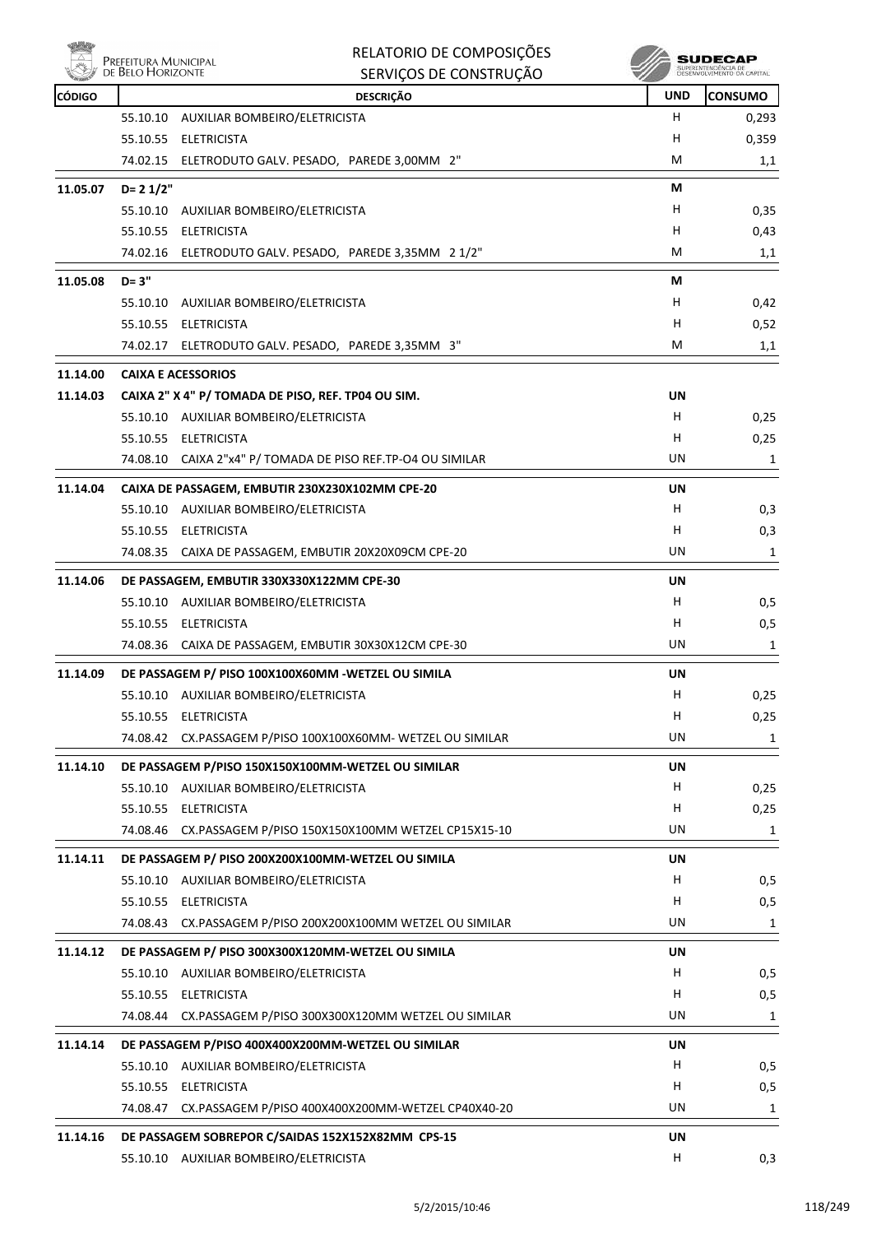

|               | RELATORIO DE COMPOSIÇÕES<br>Prefeitura Municipal<br>de Belo Horizonte                        |                 | SUDECAP<br>SUPERINTENDÊNCIA DE |
|---------------|----------------------------------------------------------------------------------------------|-----------------|--------------------------------|
|               | SERVIÇOS DE CONSTRUÇÃO                                                                       |                 |                                |
| <b>CÓDIGO</b> | <b>DESCRIÇÃO</b>                                                                             | <b>UND</b><br>н | <b>CONSUMO</b>                 |
|               | 55.10.10 AUXILIAR BOMBEIRO/ELETRICISTA<br>55.10.55 ELETRICISTA                               | н               | 0,293<br>0,359                 |
|               | 74.02.15 ELETRODUTO GALV. PESADO, PAREDE 3,00MM 2"                                           | M               | 1,1                            |
|               |                                                                                              |                 |                                |
| 11.05.07      | $D = 21/2"$                                                                                  | М               |                                |
|               | 55.10.10 AUXILIAR BOMBEIRO/ELETRICISTA                                                       | H               | 0,35                           |
|               | 55.10.55 ELETRICISTA                                                                         | H               | 0,43                           |
|               | 74.02.16 ELETRODUTO GALV. PESADO, PAREDE 3,35MM 2 1/2"                                       | M               | 1,1                            |
| 11.05.08      | $D = 3"$                                                                                     | М               |                                |
|               | 55.10.10 AUXILIAR BOMBEIRO/ELETRICISTA                                                       | н               | 0,42                           |
|               | 55.10.55 ELETRICISTA                                                                         | н               | 0,52                           |
|               | 74.02.17 ELETRODUTO GALV. PESADO, PAREDE 3,35MM 3"                                           | М               | 1,1                            |
| 11.14.00      | <b>CAIXA E ACESSORIOS</b>                                                                    |                 |                                |
| 11.14.03      | CAIXA 2" X 4" P/ TOMADA DE PISO, REF. TP04 OU SIM.                                           | UN              |                                |
|               | 55.10.10 AUXILIAR BOMBEIRO/ELETRICISTA                                                       | н               | 0,25                           |
|               | 55.10.55 ELETRICISTA                                                                         | H               | 0,25                           |
|               | 74.08.10 CAIXA 2"x4" P/ TOMADA DE PISO REF.TP-O4 OU SIMILAR                                  | UN              | 1                              |
| 11.14.04      | CAIXA DE PASSAGEM, EMBUTIR 230X230X102MM CPE-20                                              | UN              |                                |
|               | 55.10.10 AUXILIAR BOMBEIRO/ELETRICISTA                                                       | н               | 0,3                            |
|               | 55.10.55 ELETRICISTA                                                                         | н               | 0,3                            |
|               | 74.08.35<br>CAIXA DE PASSAGEM, EMBUTIR 20X20X09CM CPE-20                                     | UN.             | 1                              |
| 11.14.06      | DE PASSAGEM, EMBUTIR 330X330X122MM CPE-30                                                    | UN              |                                |
|               | 55.10.10 AUXILIAR BOMBEIRO/ELETRICISTA                                                       | н               | 0,5                            |
|               | 55.10.55 ELETRICISTA                                                                         | н               | 0,5                            |
|               | 74.08.36 CAIXA DE PASSAGEM, EMBUTIR 30X30X12CM CPE-30                                        | UN              | 1                              |
| 11.14.09      | DE PASSAGEM P/ PISO 100X100X60MM - WETZEL OU SIMILA                                          | UN              |                                |
|               | 55.10.10 AUXILIAR BOMBEIRO/ELETRICISTA                                                       | н               | 0,25                           |
|               | 55.10.55 ELETRICISTA                                                                         | H               | 0,25                           |
|               | 74.08.42<br>CX.PASSAGEM P/PISO 100X100X60MM- WETZEL OU SIMILAR                               | UN              | 1                              |
| 11.14.10      | DE PASSAGEM P/PISO 150X150X100MM-WETZEL OU SIMILAR                                           | UN              |                                |
|               | 55.10.10 AUXILIAR BOMBEIRO/ELETRICISTA                                                       | H.              | 0,25                           |
|               | 55.10.55 ELETRICISTA                                                                         | H               | 0,25                           |
|               | 74.08.46 CX.PASSAGEM P/PISO 150X150X100MM WETZEL CP15X15-10                                  | UN              | 1                              |
|               |                                                                                              |                 |                                |
| 11.14.11      | DE PASSAGEM P/ PISO 200X200X100MM-WETZEL OU SIMILA<br>55.10.10 AUXILIAR BOMBEIRO/ELETRICISTA | UN<br>H         |                                |
|               | 55.10.55 ELETRICISTA                                                                         | H               | 0,5<br>0,5                     |
|               | 74.08.43 CX.PASSAGEM P/PISO 200X200X100MM WETZEL OU SIMILAR                                  | UN              | 1                              |
|               |                                                                                              |                 |                                |
| 11.14.12      | DE PASSAGEM P/ PISO 300X300X120MM-WETZEL OU SIMILA                                           | UN              |                                |
|               | 55.10.10 AUXILIAR BOMBEIRO/ELETRICISTA                                                       | H               | 0,5                            |
|               | 55.10.55 ELETRICISTA                                                                         | H               | 0,5                            |
|               | 74.08.44<br>CX.PASSAGEM P/PISO 300X300X120MM WETZEL OU SIMILAR                               | UN              | 1                              |
| 11.14.14      | DE PASSAGEM P/PISO 400X400X200MM-WETZEL OU SIMILAR                                           | UN              |                                |
|               | 55.10.10 AUXILIAR BOMBEIRO/ELETRICISTA                                                       | H               | 0,5                            |
|               | 55.10.55 ELETRICISTA                                                                         | н               | 0,5                            |
|               | 74.08.47 CX.PASSAGEM P/PISO 400X400X200MM-WETZEL CP40X40-20                                  | UN              | 1                              |
| 11.14.16      | DE PASSAGEM SOBREPOR C/SAIDAS 152X152X82MM CPS-15                                            | UN              |                                |
|               | 55.10.10 AUXILIAR BOMBEIRO/ELETRICISTA                                                       | н               | 0,3                            |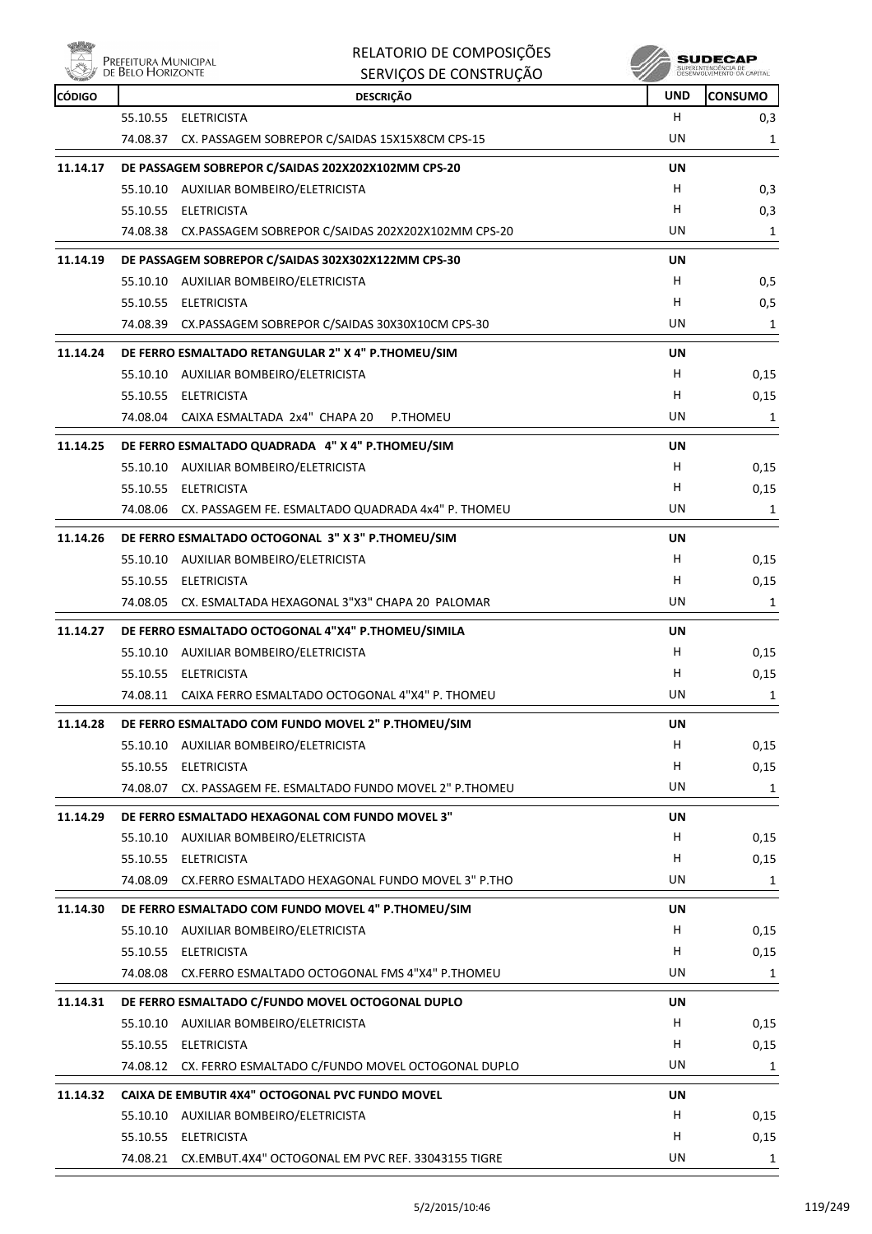

| RELATORIO DE COMPOSIÇÕES |
|--------------------------|
| SERVICOS DE CONSTRUÇÃO   |

| <b>REAL PROPERTY</b><br><b>CÓDIGO</b> | <b>JENVIÇOJ DE CONJINUÇAO</b><br><b>DESCRIÇÃO</b>           | ×<br><b>UND</b> | <b>CONSUMO</b> |
|---------------------------------------|-------------------------------------------------------------|-----------------|----------------|
|                                       | 55.10.55 ELETRICISTA                                        | н               | 0,3            |
|                                       | 74.08.37 CX. PASSAGEM SOBREPOR C/SAIDAS 15X15X8CM CPS-15    | UN              | $\mathbf{1}$   |
| 11.14.17                              | DE PASSAGEM SOBREPOR C/SAIDAS 202X202X102MM CPS-20          | UN              |                |
|                                       | 55.10.10 AUXILIAR BOMBEIRO/ELETRICISTA                      | H               | 0,3            |
|                                       | 55.10.55 ELETRICISTA                                        | H               | 0,3            |
|                                       | 74.08.38 CX.PASSAGEM SOBREPOR C/SAIDAS 202X202X102MM CPS-20 | UN              | 1              |
| 11.14.19                              | DE PASSAGEM SOBREPOR C/SAIDAS 302X302X122MM CPS-30          | UN              |                |
|                                       | 55.10.10 AUXILIAR BOMBEIRO/ELETRICISTA                      | H               | 0, 5           |
|                                       | 55.10.55 ELETRICISTA                                        | H               | 0,5            |
|                                       | 74.08.39 CX.PASSAGEM SOBREPOR C/SAIDAS 30X30X10CM CPS-30    | UN              | 1              |
| 11.14.24                              | DE FERRO ESMALTADO RETANGULAR 2" X 4" P.THOMEU/SIM          | UN              |                |
|                                       | 55.10.10 AUXILIAR BOMBEIRO/ELETRICISTA                      | н               | 0,15           |
|                                       | 55.10.55 ELETRICISTA                                        | н               | 0,15           |
|                                       | 74.08.04 CAIXA ESMALTADA 2x4" CHAPA 20<br>P.THOMEU          | UN              | 1              |
| 11.14.25                              | DE FERRO ESMALTADO QUADRADA 4" X 4" P.THOMEU/SIM            | UN              |                |
|                                       | 55.10.10 AUXILIAR BOMBEIRO/ELETRICISTA                      | н               | 0,15           |
|                                       | 55.10.55 ELETRICISTA                                        | н               | 0,15           |
|                                       | 74.08.06 CX. PASSAGEM FE. ESMALTADO QUADRADA 4x4" P. THOMEU | UN              | 1              |
| 11.14.26                              | DE FERRO ESMALTADO OCTOGONAL 3" X 3" P.THOMEU/SIM           | <b>UN</b>       |                |
|                                       | 55.10.10 AUXILIAR BOMBEIRO/ELETRICISTA                      | н               | 0,15           |
|                                       | 55.10.55 ELETRICISTA                                        | н               | 0,15           |
|                                       | 74.08.05 CX. ESMALTADA HEXAGONAL 3"X3" CHAPA 20 PALOMAR     | UN              | 1              |
| 11.14.27                              | DE FERRO ESMALTADO OCTOGONAL 4"X4" P.THOMEU/SIMILA          | UN              |                |
|                                       | 55.10.10 AUXILIAR BOMBEIRO/ELETRICISTA                      | н               | 0,15           |
|                                       | 55.10.55 ELETRICISTA                                        | н               | 0,15           |
|                                       | 74.08.11 CAIXA FERRO ESMALTADO OCTOGONAL 4"X4" P. THOMEU    | UN              | 1              |
| 11.14.28                              | DE FERRO ESMALTADO COM FUNDO MOVEL 2" P.THOMEU/SIM          | UN              |                |
|                                       | 55.10.10 AUXILIAR BOMBEIRO/ELETRICISTA                      | н               | 0,15           |
|                                       | 55.10.55 ELETRICISTA                                        | н               | 0,15           |
|                                       | 74.08.07 CX. PASSAGEM FE. ESMALTADO FUNDO MOVEL 2" P.THOMEU | UN              | 1              |
| 11.14.29                              | DE FERRO ESMALTADO HEXAGONAL COM FUNDO MOVEL 3"             | UN              |                |
|                                       | 55.10.10 AUXILIAR BOMBEIRO/ELETRICISTA                      | H               | 0,15           |
|                                       | 55.10.55 ELETRICISTA                                        | н               | 0,15           |
|                                       | 74.08.09 CX.FERRO ESMALTADO HEXAGONAL FUNDO MOVEL 3" P.THO  | UN              | 1              |
| 11.14.30                              | DE FERRO ESMALTADO COM FUNDO MOVEL 4" P.THOMEU/SIM          | UN              |                |
|                                       | 55.10.10 AUXILIAR BOMBEIRO/ELETRICISTA                      | H               | 0,15           |
|                                       | 55.10.55 ELETRICISTA                                        | н               | 0,15           |
|                                       | 74.08.08 CX.FERRO ESMALTADO OCTOGONAL FMS 4"X4" P.THOMEU    | UN              | 1              |
| 11.14.31                              | DE FERRO ESMALTADO C/FUNDO MOVEL OCTOGONAL DUPLO            | UN              |                |
|                                       | 55.10.10 AUXILIAR BOMBEIRO/ELETRICISTA                      | н               | 0,15           |
|                                       | 55.10.55 ELETRICISTA                                        | н               | 0,15           |
|                                       | 74.08.12 CX. FERRO ESMALTADO C/FUNDO MOVEL OCTOGONAL DUPLO  | UN              | 1              |
| 11.14.32                              | CAIXA DE EMBUTIR 4X4" OCTOGONAL PVC FUNDO MOVEL             | UN              |                |
|                                       | 55.10.10 AUXILIAR BOMBEIRO/ELETRICISTA                      | H               | 0,15           |
|                                       | 55.10.55 ELETRICISTA                                        | н               | 0,15           |
|                                       | 74.08.21 CX.EMBUT.4X4" OCTOGONAL EM PVC REF. 33043155 TIGRE | UN              | 1              |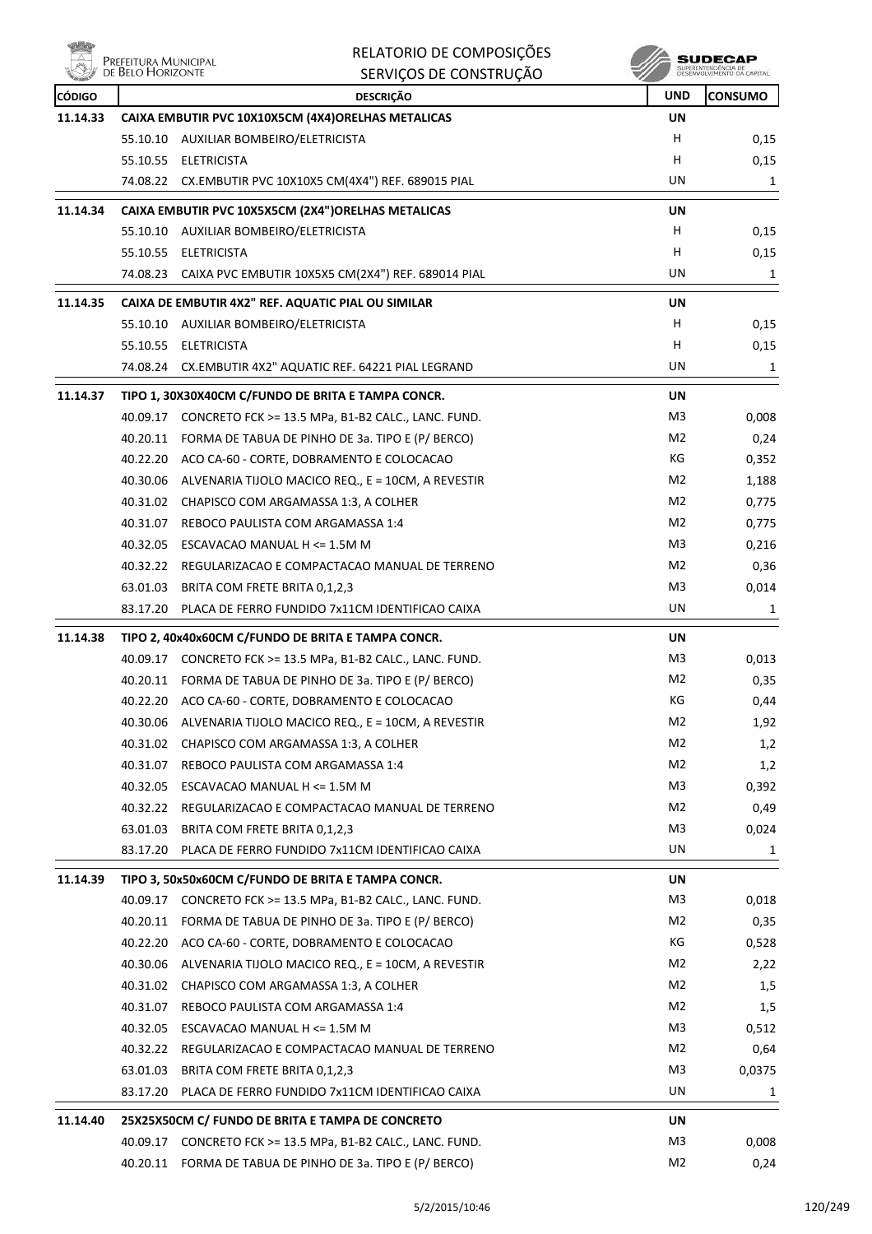|                           | Prefeitura Municipal<br>de Belo Horizonte | RELATORIO DE COMPOSIÇÕES<br>SERVIÇOS DE CONSTRUÇÃO                     |                | SUDECAP<br>SUPERINTENDÊNCIA DE<br>DESENVOLVIMENTO DA CAPITAL |
|---------------------------|-------------------------------------------|------------------------------------------------------------------------|----------------|--------------------------------------------------------------|
|                           |                                           |                                                                        | <b>UND</b>     |                                                              |
| <b>CÓDIGO</b><br>11.14.33 |                                           | <b>DESCRIÇÃO</b><br>CAIXA EMBUTIR PVC 10X10X5CM (4X4)ORELHAS METALICAS | UN             | <b>CONSUMO</b>                                               |
|                           |                                           | 55.10.10 AUXILIAR BOMBEIRO/ELETRICISTA                                 | H              | 0,15                                                         |
|                           | 55.10.55                                  | ELETRICISTA                                                            | H              | 0,15                                                         |
|                           |                                           | 74.08.22 CX.EMBUTIR PVC 10X10X5 CM(4X4") REF. 689015 PIAL              | UN             | 1                                                            |
|                           |                                           |                                                                        |                |                                                              |
| 11.14.34                  |                                           | CAIXA EMBUTIR PVC 10X5X5CM (2X4")ORELHAS METALICAS                     | UN             |                                                              |
|                           |                                           | 55.10.10 AUXILIAR BOMBEIRO/ELETRICISTA                                 | H              | 0,15                                                         |
|                           |                                           | 55.10.55 ELETRICISTA                                                   | H              | 0,15                                                         |
|                           | 74.08.23                                  | CAIXA PVC EMBUTIR 10X5X5 CM(2X4") REF. 689014 PIAL                     | UN             | 1                                                            |
| 11.14.35                  |                                           | CAIXA DE EMBUTIR 4X2" REF. AQUATIC PIAL OU SIMILAR                     | UN             |                                                              |
|                           |                                           | 55.10.10 AUXILIAR BOMBEIRO/ELETRICISTA                                 | н              | 0,15                                                         |
|                           | 55.10.55                                  | <b>ELETRICISTA</b>                                                     | Н              | 0,15                                                         |
|                           | 74.08.24                                  | CX.EMBUTIR 4X2" AQUATIC REF. 64221 PIAL LEGRAND                        | UN             | 1                                                            |
| 11.14.37                  |                                           | TIPO 1, 30X30X40CM C/FUNDO DE BRITA E TAMPA CONCR.                     | UN             |                                                              |
|                           | 40.09.17                                  | CONCRETO FCK >= 13.5 MPa, B1-B2 CALC., LANC. FUND.                     | M3             | 0,008                                                        |
|                           |                                           | 40.20.11 FORMA DE TABUA DE PINHO DE 3a. TIPO E (P/ BERCO)              | M2             | 0,24                                                         |
|                           |                                           | 40.22.20 ACO CA-60 - CORTE, DOBRAMENTO E COLOCACAO                     | КG             | 0,352                                                        |
|                           |                                           | 40.30.06 ALVENARIA TIJOLO MACICO REQ., E = 10CM, A REVESTIR            | M <sub>2</sub> | 1,188                                                        |
|                           |                                           | 40.31.02 CHAPISCO COM ARGAMASSA 1:3, A COLHER                          | M <sub>2</sub> | 0,775                                                        |
|                           | 40.31.07                                  | REBOCO PAULISTA COM ARGAMASSA 1:4                                      | M <sub>2</sub> | 0,775                                                        |
|                           | 40.32.05                                  | ESCAVACAO MANUAL H <= 1.5M M                                           | M3             | 0,216                                                        |
|                           |                                           | 40.32.22 REGULARIZACAO E COMPACTACAO MANUAL DE TERRENO                 | M2             | 0,36                                                         |
|                           |                                           | 63.01.03 BRITA COM FRETE BRITA 0,1,2,3                                 | M3             | 0,014                                                        |
|                           | 83.17.20                                  | PLACA DE FERRO FUNDIDO 7x11CM IDENTIFICAO CAIXA                        | UN             | 1                                                            |
| 11.14.38                  |                                           | TIPO 2, 40x40x60CM C/FUNDO DE BRITA E TAMPA CONCR.                     | UN             |                                                              |
|                           |                                           | 40.09.17 CONCRETO FCK >= 13.5 MPa, B1-B2 CALC., LANC. FUND.            | M3             | 0,013                                                        |
|                           |                                           | 40.20.11 FORMA DE TABUA DE PINHO DE 3a. TIPO E (P/ BERCO)              | M2             | 0,35                                                         |
|                           |                                           | 40.22.20 ACO CA-60 - CORTE, DOBRAMENTO E COLOCACAO                     | KG             | 0,44                                                         |
|                           | 40.30.06                                  | ALVENARIA TIJOLO MACICO REQ., E = 10CM, A REVESTIR                     | M2             | 1,92                                                         |
|                           |                                           | 40.31.02 CHAPISCO COM ARGAMASSA 1:3, A COLHER                          | M <sub>2</sub> | 1,2                                                          |
|                           |                                           | 40.31.07 REBOCO PAULISTA COM ARGAMASSA 1:4                             | M <sub>2</sub> | 1,2                                                          |
|                           |                                           | 40.32.05 ESCAVACAO MANUAL H <= 1.5M M                                  | M3             | 0,392                                                        |
|                           |                                           | 40.32.22 REGULARIZACAO E COMPACTACAO MANUAL DE TERRENO                 | M2             | 0,49                                                         |
|                           | 63.01.03                                  | BRITA COM FRETE BRITA 0,1,2,3                                          | M3             | 0,024                                                        |
|                           |                                           | 83.17.20 PLACA DE FERRO FUNDIDO 7x11CM IDENTIFICAO CAIXA               | UN             | 1                                                            |
| 11.14.39                  |                                           | TIPO 3, 50x50x60CM C/FUNDO DE BRITA E TAMPA CONCR.                     | UN             |                                                              |
|                           | 40.09.17                                  | CONCRETO FCK >= 13.5 MPa, B1-B2 CALC., LANC. FUND.                     | M3             | 0,018                                                        |
|                           |                                           | 40.20.11 FORMA DE TABUA DE PINHO DE 3a. TIPO E (P/ BERCO)              | M2             | 0,35                                                         |
|                           |                                           | 40.22.20 ACO CA-60 - CORTE, DOBRAMENTO E COLOCACAO                     | КG             | 0,528                                                        |
|                           |                                           | 40.30.06 ALVENARIA TIJOLO MACICO REQ., E = 10CM, A REVESTIR            | M2             | 2,22                                                         |
|                           |                                           | 40.31.02 CHAPISCO COM ARGAMASSA 1:3, A COLHER                          | M <sub>2</sub> | 1,5                                                          |
|                           | 40.31.07                                  | REBOCO PAULISTA COM ARGAMASSA 1:4                                      | M <sub>2</sub> | 1,5                                                          |
|                           |                                           | 40.32.05 ESCAVACAO MANUAL H <= 1.5M M                                  | M3             | 0,512                                                        |
|                           |                                           | 40.32.22 REGULARIZACAO E COMPACTACAO MANUAL DE TERRENO                 | M2             | 0,64                                                         |
|                           |                                           | 63.01.03 BRITA COM FRETE BRITA 0,1,2,3                                 | M3             | 0,0375                                                       |
|                           | 83.17.20                                  | PLACA DE FERRO FUNDIDO 7x11CM IDENTIFICAO CAIXA                        | UN             | 1                                                            |
| 11.14.40                  |                                           | 25X25X50CM C/ FUNDO DE BRITA E TAMPA DE CONCRETO                       | UN             |                                                              |
|                           |                                           | 40.09.17 CONCRETO FCK >= 13.5 MPa, B1-B2 CALC., LANC. FUND.            | M3             | 0,008                                                        |
|                           |                                           |                                                                        |                |                                                              |

40.20.11 FORMA DE TABUA DE PINHO DE 3a. TIPO E (P/ BERCO) M2 M2 0,24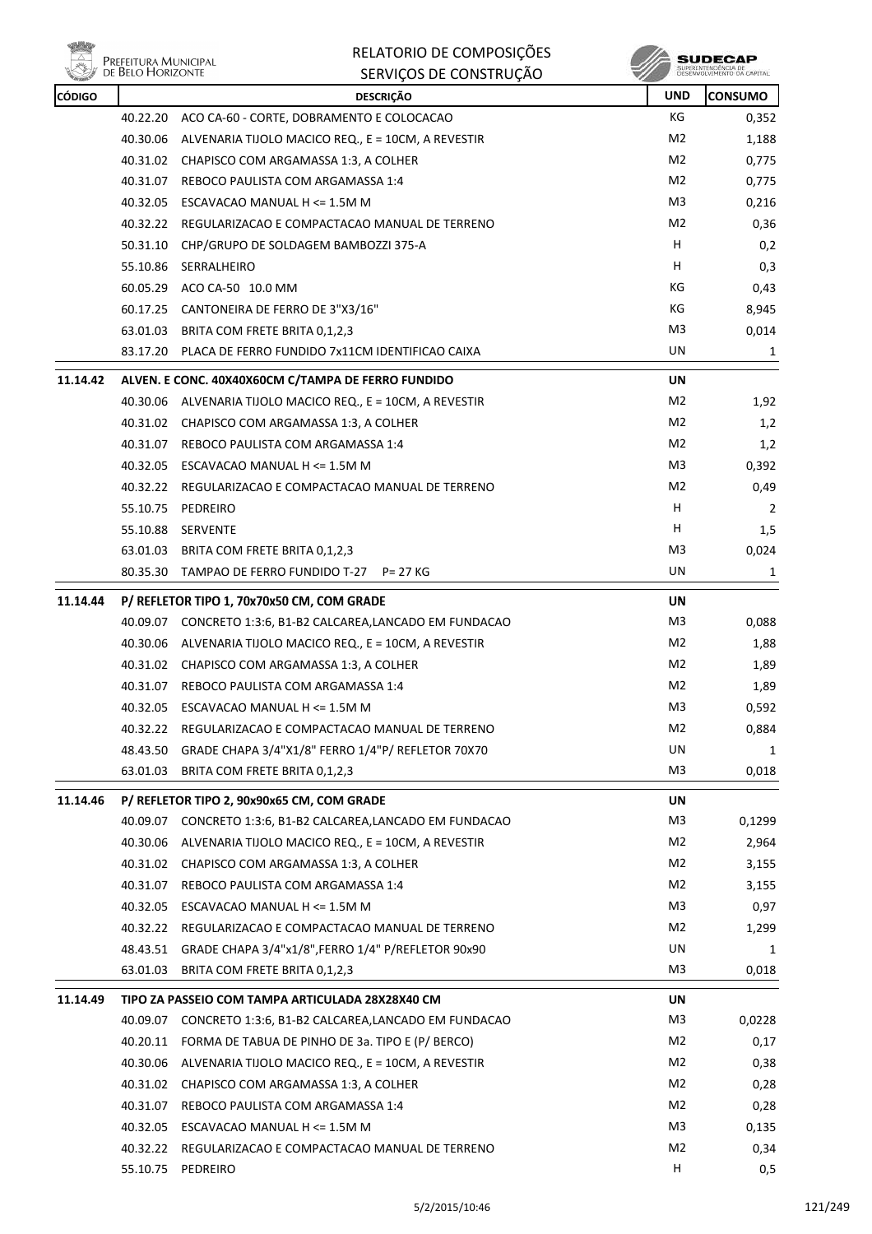

| RELATORIO DE COMPOSIÇÕES |
|--------------------------|
| SERVIÇOS DE CONSTRUÇÃO   |

 $\begin{array}{c} \textbf{SUBECAP} \\ \textbf{SUBREINTEROÉNCIA DE} \\ \textbf{DESEWOUNIENTO OA CAPTIAL} \end{array}$ 

| <b>CÓDIGO</b> |          | <b>DESCRIÇÃO</b>                                             | <b>UND</b>     | <b>CONSUMO</b> |
|---------------|----------|--------------------------------------------------------------|----------------|----------------|
|               |          | 40.22.20 ACO CA-60 - CORTE, DOBRAMENTO E COLOCACAO           | KG             | 0,352          |
|               |          | 40.30.06 ALVENARIA TIJOLO MACICO REQ., E = 10CM, A REVESTIR  | M2             | 1,188          |
|               |          | 40.31.02 CHAPISCO COM ARGAMASSA 1:3, A COLHER                | M2             | 0,775          |
|               | 40.31.07 | REBOCO PAULISTA COM ARGAMASSA 1:4                            | M2             | 0,775          |
|               |          | 40.32.05 ESCAVACAO MANUAL H <= 1.5M M                        | M3             | 0,216          |
|               |          | 40.32.22 REGULARIZACAO E COMPACTACAO MANUAL DE TERRENO       | M2             | 0,36           |
|               |          | 50.31.10 CHP/GRUPO DE SOLDAGEM BAMBOZZI 375-A                | H              | 0,2            |
|               |          | 55.10.86 SERRALHEIRO                                         | н              | 0,3            |
|               | 60.05.29 | ACO CA-50 10.0 MM                                            | КG             | 0,43           |
|               |          | 60.17.25 CANTONEIRA DE FERRO DE 3"X3/16"                     | КG             | 8,945          |
|               |          | 63.01.03 BRITA COM FRETE BRITA 0,1,2,3                       | M3             | 0,014          |
|               |          | 83.17.20 PLACA DE FERRO FUNDIDO 7x11CM IDENTIFICAO CAIXA     | UN             | 1              |
| 11.14.42      |          | ALVEN. E CONC. 40X40X60CM C/TAMPA DE FERRO FUNDIDO           | UN             |                |
|               |          | 40.30.06 ALVENARIA TIJOLO MACICO REQ., E = 10CM, A REVESTIR  | M2             | 1,92           |
|               |          | 40.31.02 CHAPISCO COM ARGAMASSA 1:3, A COLHER                | M2             | 1,2            |
|               | 40.31.07 | REBOCO PAULISTA COM ARGAMASSA 1:4                            | M2             | 1,2            |
|               |          | 40.32.05 ESCAVACAO MANUAL H <= 1.5M M                        | M3             | 0,392          |
|               |          | 40.32.22 REGULARIZACAO E COMPACTACAO MANUAL DE TERRENO       | M2             | 0,49           |
|               |          | 55.10.75 PEDREIRO                                            | H              | 2              |
|               | 55.10.88 | SERVENTE                                                     | н              | 1,5            |
|               | 63.01.03 | BRITA COM FRETE BRITA 0,1,2,3                                | M3             | 0,024          |
|               |          | 80.35.30 TAMPAO DE FERRO FUNDIDO T-27 P= 27 KG               | UN             | 1              |
| 11.14.44      |          | P/ REFLETOR TIPO 1, 70x70x50 CM, COM GRADE                   | UN             |                |
|               |          | 40.09.07 CONCRETO 1:3:6, B1-B2 CALCAREA, LANCADO EM FUNDACAO | M3             | 0,088          |
|               |          | 40.30.06 ALVENARIA TIJOLO MACICO REQ., E = 10CM, A REVESTIR  | M2             | 1,88           |
|               |          | 40.31.02 CHAPISCO COM ARGAMASSA 1:3, A COLHER                | M2             | 1,89           |
|               |          | 40.31.07 REBOCO PAULISTA COM ARGAMASSA 1:4                   | M2             | 1,89           |
|               | 40.32.05 | ESCAVACAO MANUAL H <= 1.5M M                                 | M3             | 0,592          |
|               |          | 40.32.22 REGULARIZACAO E COMPACTACAO MANUAL DE TERRENO       | M2             | 0,884          |
|               |          | 48.43.50 GRADE CHAPA 3/4"X1/8" FERRO 1/4"P/ REFLETOR 70X70   | UN             | 1              |
|               | 63.01.03 | BRITA COM FRETE BRITA 0,1,2,3                                | M3             | 0,018          |
| 11.14.46      |          | P/ REFLETOR TIPO 2, 90x90x65 CM, COM GRADE                   | UN             |                |
|               |          | 40.09.07 CONCRETO 1:3:6, B1-B2 CALCAREA, LANCADO EM FUNDACAO | M3             | 0,1299         |
|               | 40.30.06 | ALVENARIA TIJOLO MACICO REQ., E = 10CM, A REVESTIR           | M <sub>2</sub> | 2,964          |
|               | 40.31.02 | CHAPISCO COM ARGAMASSA 1:3, A COLHER                         | M2             | 3,155          |
|               | 40.31.07 | REBOCO PAULISTA COM ARGAMASSA 1:4                            | M2             | 3,155          |
|               | 40.32.05 | ESCAVACAO MANUAL H <= 1.5M M                                 | M3             | 0,97           |
|               | 40.32.22 | REGULARIZACAO E COMPACTACAO MANUAL DE TERRENO                | M2             | 1,299          |
|               |          | 48.43.51 GRADE CHAPA 3/4"x1/8", FERRO 1/4" P/REFLETOR 90x90  | UN             | 1              |
|               | 63.01.03 | BRITA COM FRETE BRITA 0,1,2,3                                | M <sub>3</sub> | 0,018          |
| 11.14.49      |          | TIPO ZA PASSEIO COM TAMPA ARTICULADA 28X28X40 CM             | UN             |                |
|               | 40.09.07 | CONCRETO 1:3:6, B1-B2 CALCAREA, LANCADO EM FUNDACAO          | M3             | 0,0228         |
|               |          | 40.20.11 FORMA DE TABUA DE PINHO DE 3a. TIPO E (P/ BERCO)    | M2             | 0,17           |
|               |          | 40.30.06 ALVENARIA TIJOLO MACICO REQ., E = 10CM, A REVESTIR  | M <sub>2</sub> | 0,38           |
|               | 40.31.02 | CHAPISCO COM ARGAMASSA 1:3, A COLHER                         | M <sub>2</sub> | 0,28           |
|               | 40.31.07 | REBOCO PAULISTA COM ARGAMASSA 1:4                            | M2             | 0,28           |
|               | 40.32.05 | ESCAVACAO MANUAL H <= 1.5M M                                 | M3             | 0,135          |
|               | 40.32.22 | REGULARIZACAO E COMPACTACAO MANUAL DE TERRENO                | M2             | 0,34           |
|               |          | 55.10.75 PEDREIRO                                            | н              | 0,5            |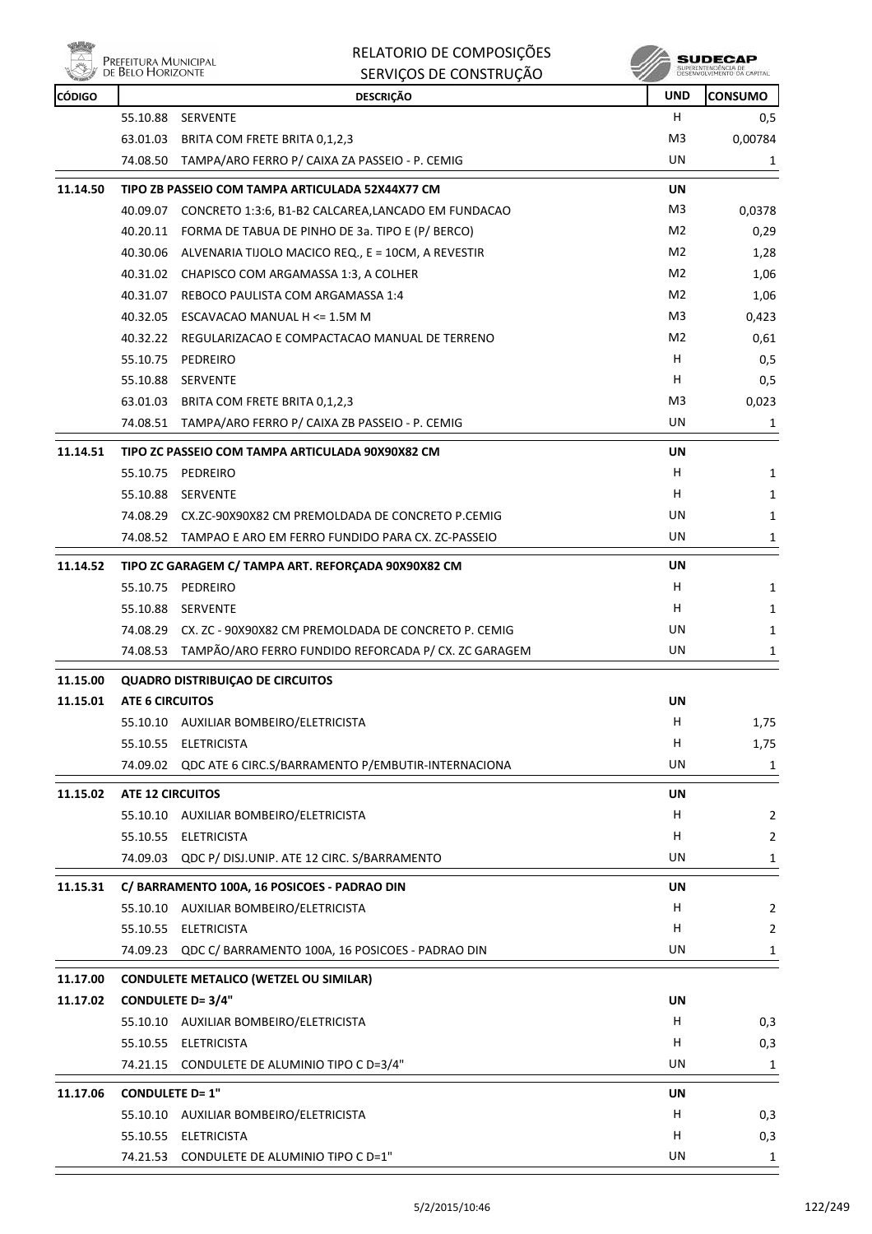

| <b>CÓDIGO</b> |                         | <b>DESCRIÇÃO</b>                                            | <b>UND</b>     | <b>CONSUMO</b> |
|---------------|-------------------------|-------------------------------------------------------------|----------------|----------------|
|               |                         | 55.10.88 SERVENTE                                           | H              | 0,5            |
|               | 63.01.03                | BRITA COM FRETE BRITA 0,1,2,3                               | M3             | 0,00784        |
|               | 74.08.50                | TAMPA/ARO FERRO P/ CAIXA ZA PASSEIO - P. CEMIG              | UN             | 1              |
| 11.14.50      |                         | TIPO ZB PASSEIO COM TAMPA ARTICULADA 52X44X77 CM            | UN             |                |
|               |                         | 40.09.07 CONCRETO 1:3:6, B1-B2 CALCAREA,LANCADO EM FUNDACAO | M3             | 0,0378         |
|               |                         | 40.20.11 FORMA DE TABUA DE PINHO DE 3a. TIPO E (P/ BERCO)   | M2             | 0,29           |
|               |                         | 40.30.06 ALVENARIA TIJOLO MACICO REQ., E = 10CM, A REVESTIR | M2             | 1,28           |
|               |                         | 40.31.02 CHAPISCO COM ARGAMASSA 1:3, A COLHER               | M2             | 1,06           |
|               | 40.31.07                | REBOCO PAULISTA COM ARGAMASSA 1:4                           | M2             | 1,06           |
|               |                         | 40.32.05 ESCAVACAO MANUAL H <= 1.5M M                       | M <sub>3</sub> | 0,423          |
|               |                         | 40.32.22 REGULARIZACAO E COMPACTACAO MANUAL DE TERRENO      | M2             | 0,61           |
|               |                         | 55.10.75 PEDREIRO                                           | H.             | 0,5            |
|               | 55.10.88                | <b>SERVENTE</b>                                             | H              | 0,5            |
|               | 63.01.03                | BRITA COM FRETE BRITA 0,1,2,3                               | M3             | 0,023          |
|               |                         | 74.08.51 TAMPA/ARO FERRO P/ CAIXA ZB PASSEIO - P. CEMIG     | UN             | 1              |
| 11.14.51      |                         | TIPO ZC PASSEIO COM TAMPA ARTICULADA 90X90X82 CM            | UN             |                |
|               |                         | 55.10.75 PEDREIRO                                           | H              | 1              |
|               |                         | 55.10.88 SERVENTE                                           | H              | 1              |
|               |                         | 74.08.29 CX.ZC-90X90X82 CM PREMOLDADA DE CONCRETO P.CEMIG   | UN             | 1              |
|               |                         | 74.08.52 TAMPAO E ARO EM FERRO FUNDIDO PARA CX. ZC-PASSEIO  | UN.            | 1              |
| 11.14.52      |                         | TIPO ZC GARAGEM C/ TAMPA ART. REFORÇADA 90X90X82 CM         | UN             |                |
|               |                         | 55.10.75 PEDREIRO                                           | H              | 1              |
|               | 55.10.88                | SERVENTE                                                    | н              | 1              |
|               | 74.08.29                | CX. ZC - 90X90X82 CM PREMOLDADA DE CONCRETO P. CEMIG        | UN             | 1              |
|               | 74.08.53                | TAMPÃO/ARO FERRO FUNDIDO REFORCADA P/ CX. ZC GARAGEM        | UN             | 1              |
| 11.15.00      |                         | <b>QUADRO DISTRIBUIÇAO DE CIRCUITOS</b>                     |                |                |
| 11.15.01      | <b>ATE 6 CIRCUITOS</b>  |                                                             | UN             |                |
|               |                         | 55.10.10 AUXILIAR BOMBEIRO/ELETRICISTA                      | н              | 1,75           |
|               | 55.10.55                | <b>ELETRICISTA</b>                                          | н              | 1,75           |
|               | 74.09.02                | QDC ATE 6 CIRC.S/BARRAMENTO P/EMBUTIR-INTERNACIONA          | UN             | $\mathbf{1}$   |
| 11.15.02      | <b>ATE 12 CIRCUITOS</b> |                                                             | UN             |                |
|               | 55.10.10                | AUXILIAR BOMBEIRO/ELETRICISTA                               | H              | $\overline{2}$ |
|               |                         | 55.10.55 ELETRICISTA                                        | H              | $\overline{2}$ |
|               | 74.09.03                | QDC P/ DISJ.UNIP. ATE 12 CIRC. S/BARRAMENTO                 | UN             | 1              |
| 11.15.31      |                         | C/ BARRAMENTO 100A, 16 POSICOES - PADRAO DIN                | UN             |                |
|               |                         | 55.10.10 AUXILIAR BOMBEIRO/ELETRICISTA                      | H.             | $\overline{2}$ |
|               |                         | 55.10.55 ELETRICISTA                                        | H              | $\overline{2}$ |
|               | 74.09.23                | QDC C/ BARRAMENTO 100A, 16 POSICOES - PADRAO DIN            | UN             | 1              |
| 11.17.00      |                         | <b>CONDULETE METALICO (WETZEL OU SIMILAR)</b>               |                |                |
| 11.17.02      |                         | <b>CONDULETE D= 3/4"</b>                                    | UN             |                |
|               |                         | 55.10.10 AUXILIAR BOMBEIRO/ELETRICISTA                      | H.             | 0,3            |
|               |                         | 55.10.55 ELETRICISTA                                        | H              | 0,3            |
|               |                         | 74.21.15 CONDULETE DE ALUMINIO TIPO C D=3/4"                | UN             | 1              |
| 11.17.06      | <b>CONDULETE D= 1"</b>  |                                                             | UN             |                |
|               |                         | 55.10.10 AUXILIAR BOMBEIRO/ELETRICISTA                      | H              | 0,3            |
|               |                         | 55.10.55 ELETRICISTA                                        | H              | 0,3            |
|               |                         | 74.21.53 CONDULETE DE ALUMINIO TIPO C D=1"                  | UN             | 1              |
|               |                         |                                                             |                |                |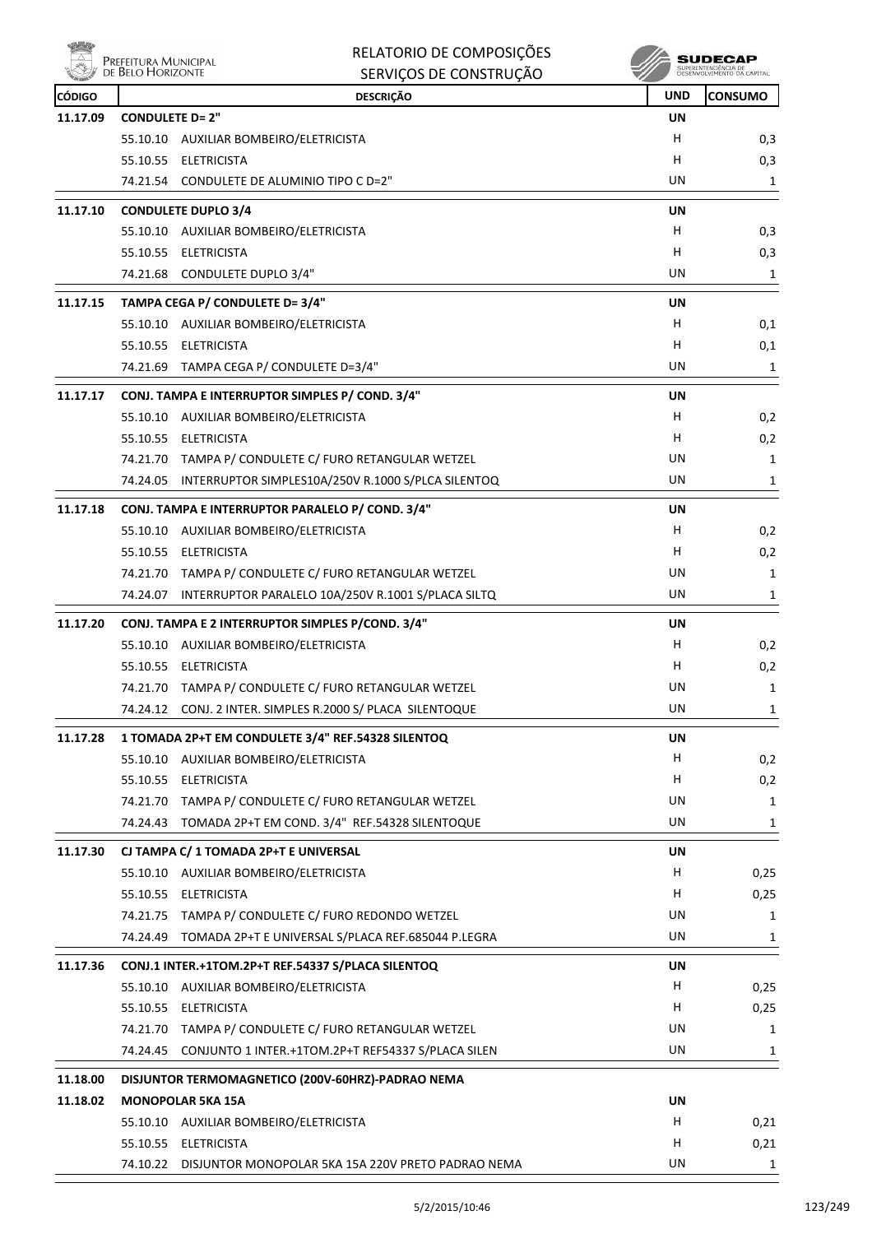|               | RELATORIO DE COMPOSIÇÕES<br>Prefeitura Municipal<br>de Belo Horizonte |            | SUDECAI                                           |
|---------------|-----------------------------------------------------------------------|------------|---------------------------------------------------|
|               | SERVIÇOS DE CONSTRUÇÃO                                                |            | SUPERINTENDÊNCIA DE<br>DESENVOLVIMENTO DA CAPITAJ |
| <b>CÓDIGO</b> | <b>DESCRIÇÃO</b>                                                      | <b>UND</b> | <b>CONSUMO</b>                                    |
| 11.17.09      | <b>CONDULETE D= 2"</b>                                                | UN         |                                                   |
|               | 55.10.10 AUXILIAR BOMBEIRO/ELETRICISTA                                | H          | 0,3                                               |
|               | 55.10.55 ELETRICISTA                                                  | н          | 0,3                                               |
|               | 74.21.54 CONDULETE DE ALUMINIO TIPO C D=2"                            | UN         | 1                                                 |
| 11.17.10      | <b>CONDULETE DUPLO 3/4</b>                                            | UN         |                                                   |
|               | 55.10.10 AUXILIAR BOMBEIRO/ELETRICISTA                                | н          | 0,3                                               |
|               | 55.10.55 ELETRICISTA                                                  | н          | 0,3                                               |
|               | 74.21.68 CONDULETE DUPLO 3/4"                                         | UN         | 1                                                 |
| 11.17.15      | TAMPA CEGA P/ CONDULETE D= 3/4"                                       | <b>UN</b>  |                                                   |
|               | 55.10.10 AUXILIAR BOMBEIRO/ELETRICISTA                                | н          | 0,1                                               |
|               | 55.10.55 ELETRICISTA                                                  | н          | 0,1                                               |
|               | 74.21.69 TAMPA CEGA P/ CONDULETE D=3/4"                               | UN         | 1                                                 |
| 11.17.17      | CONJ. TAMPA E INTERRUPTOR SIMPLES P/ COND. 3/4"                       | UN         |                                                   |
|               | 55.10.10 AUXILIAR BOMBEIRO/ELETRICISTA                                | н          | 0,2                                               |
|               | 55.10.55 ELETRICISTA                                                  | н          | 0,2                                               |
|               | 74.21.70 TAMPA P/ CONDULETE C/ FURO RETANGULAR WETZEL                 | UN         | 1                                                 |
|               | 74.24.05 INTERRUPTOR SIMPLES10A/250V R.1000 S/PLCA SILENTOQ           | UN         | 1                                                 |
|               |                                                                       |            |                                                   |
| 11.17.18      | CONJ. TAMPA E INTERRUPTOR PARALELO P/ COND. 3/4"                      | UN<br>н    |                                                   |
|               | 55.10.10 AUXILIAR BOMBEIRO/ELETRICISTA<br>55.10.55 ELETRICISTA        | н          | 0,2                                               |
|               |                                                                       | UN         | 0,2                                               |
|               | 74.21.70 TAMPA P/ CONDULETE C/ FURO RETANGULAR WETZEL                 | UN         | 1                                                 |
|               | 74.24.07 INTERRUPTOR PARALELO 10A/250V R.1001 S/PLACA SILTQ           |            | 1                                                 |
| 11.17.20      | CONJ. TAMPA E 2 INTERRUPTOR SIMPLES P/COND. 3/4"                      | UN         |                                                   |
|               | 55.10.10 AUXILIAR BOMBEIRO/ELETRICISTA                                | н          | 0,2                                               |
|               | 55.10.55 ELETRICISTA                                                  | н          | 0,2                                               |
|               | 74.21.70 TAMPA P/ CONDULETE C/ FURO RETANGULAR WETZEL                 | UN         | 1                                                 |
|               | 74.24.12 CONJ. 2 INTER. SIMPLES R.2000 S/ PLACA SILENTOQUE            | UN         | $\mathbf{1}$                                      |
| 11.17.28      | 1 TOMADA 2P+T EM CONDULETE 3/4" REF.54328 SILENTOQ                    | UN         |                                                   |
|               | 55.10.10 AUXILIAR BOMBEIRO/ELETRICISTA                                | H          | 0,2                                               |
|               | 55.10.55 ELETRICISTA                                                  | H.         | 0,2                                               |
|               | TAMPA P/ CONDULETE C/ FURO RETANGULAR WETZEL<br>74.21.70              | UN         | 1                                                 |
|               | TOMADA 2P+T EM COND. 3/4" REF.54328 SILENTOQUE<br>74.24.43            | UN         | 1                                                 |
| 11.17.30      | CJ TAMPA C/ 1 TOMADA 2P+T E UNIVERSAL                                 | UN         |                                                   |
|               | 55.10.10 AUXILIAR BOMBEIRO/ELETRICISTA                                | H.         | 0,25                                              |
|               | 55.10.55 ELETRICISTA                                                  | н          | 0,25                                              |
|               | 74.21.75 TAMPA P/ CONDULETE C/ FURO REDONDO WETZEL                    | UN         | 1                                                 |
|               | 74.24.49<br>TOMADA 2P+T E UNIVERSAL S/PLACA REF.685044 P.LEGRA        | UN         | 1                                                 |
| 11.17.36      | CONJ.1 INTER.+1TOM.2P+T REF.54337 S/PLACA SILENTOQ                    | UN         |                                                   |
|               | 55.10.10 AUXILIAR BOMBEIRO/ELETRICISTA                                | H          | 0,25                                              |
|               | 55.10.55 ELETRICISTA                                                  | H.         | 0,25                                              |
|               | 74.21.70 TAMPA P/ CONDULETE C/ FURO RETANGULAR WETZEL                 | UN         | 1                                                 |
|               | 74.24.45<br>CONJUNTO 1 INTER.+1TOM.2P+T REF54337 S/PLACA SILEN        | UN         | 1                                                 |
|               |                                                                       |            |                                                   |
| 11.18.00      | DISJUNTOR TERMOMAGNETICO (200V-60HRZ)-PADRAO NEMA                     |            |                                                   |
| 11.18.02      | <b>MONOPOLAR 5KA 15A</b>                                              | UN         |                                                   |
|               | AUXILIAR BOMBEIRO/ELETRICISTA<br>55.10.10                             | Н.         | 0,21                                              |
|               | 55.10.55 ELETRICISTA                                                  | н          | 0,21                                              |
|               | 74.10.22 DISJUNTOR MONOPOLAR 5KA 15A 220V PRETO PADRAO NEMA           | UN         | $\mathbf{1}$                                      |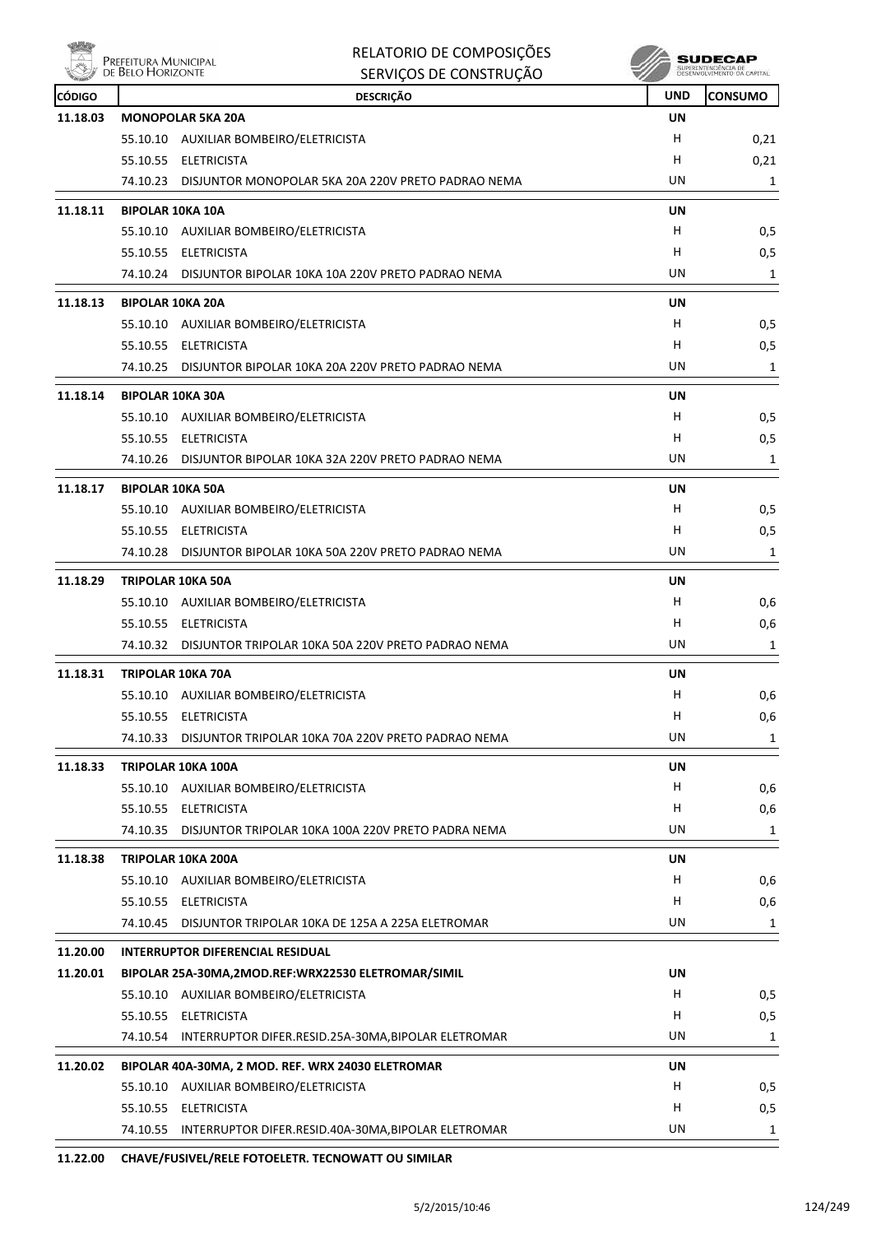

|               |                                           | RELATORIO DE COMPOSIÇÕES                                                  |            | <b>SUDECAP</b>      |
|---------------|-------------------------------------------|---------------------------------------------------------------------------|------------|---------------------|
|               | Prefeitura Municipal<br>de Belo Horizonte | SERVIÇOS DE CONSTRUÇÃO                                                    |            | SUPERINTENDÊNCIA DE |
| <b>CÓDIGO</b> |                                           | <b>DESCRIÇÃO</b>                                                          | <b>UND</b> | <b>CONSUMO</b>      |
| 11.18.03      |                                           | <b>MONOPOLAR 5KA 20A</b>                                                  | UN         |                     |
|               |                                           | 55.10.10 AUXILIAR BOMBEIRO/ELETRICISTA                                    | н          | 0,21                |
|               |                                           | 55.10.55 ELETRICISTA                                                      | н          | 0,21                |
|               |                                           | 74.10.23 DISJUNTOR MONOPOLAR 5KA 20A 220V PRETO PADRAO NEMA               | UN         | 1                   |
| 11.18.11      |                                           | <b>BIPOLAR 10KA 10A</b>                                                   | UN         |                     |
|               |                                           | 55.10.10 AUXILIAR BOMBEIRO/ELETRICISTA                                    | н          | 0,5                 |
|               |                                           | 55.10.55 ELETRICISTA                                                      | н          | 0,5                 |
|               |                                           | 74.10.24 DISJUNTOR BIPOLAR 10KA 10A 220V PRETO PADRAO NEMA                | UN         | 1                   |
| 11.18.13      |                                           | <b>BIPOLAR 10KA 20A</b>                                                   | UN         |                     |
|               |                                           | 55.10.10 AUXILIAR BOMBEIRO/ELETRICISTA                                    | н          | 0,5                 |
|               |                                           | 55.10.55 ELETRICISTA                                                      | н          | 0,5                 |
|               |                                           | 74.10.25 DISJUNTOR BIPOLAR 10KA 20A 220V PRETO PADRAO NEMA                | UN         | 1                   |
| 11.18.14      |                                           | <b>BIPOLAR 10KA 30A</b>                                                   | UN         |                     |
|               |                                           | 55.10.10 AUXILIAR BOMBEIRO/ELETRICISTA                                    | H          | 0,5                 |
|               |                                           | 55.10.55 ELETRICISTA                                                      | н          | 0,5                 |
|               |                                           | 74.10.26 DISJUNTOR BIPOLAR 10KA 32A 220V PRETO PADRAO NEMA                | UN         | 1                   |
|               |                                           |                                                                           |            |                     |
| 11.18.17      |                                           | <b>BIPOLAR 10KA 50A</b>                                                   | UN         |                     |
|               |                                           | 55.10.10 AUXILIAR BOMBEIRO/ELETRICISTA                                    | н<br>н     | 0,5                 |
|               | 74.10.28                                  | 55.10.55 ELETRICISTA<br>DISJUNTOR BIPOLAR 10KA 50A 220V PRETO PADRAO NEMA | UN         | 0,5<br>1            |
|               |                                           |                                                                           |            |                     |
| 11.18.29      |                                           | <b>TRIPOLAR 10KA 50A</b>                                                  | UN         |                     |
|               |                                           | 55.10.10 AUXILIAR BOMBEIRO/ELETRICISTA                                    | н          | 0,6                 |
|               |                                           | 55.10.55 ELETRICISTA                                                      | н          | 0,6                 |
|               |                                           | 74.10.32 DISJUNTOR TRIPOLAR 10KA 50A 220V PRETO PADRAO NEMA               | UN         | 1                   |
| 11.18.31      |                                           | <b>TRIPOLAR 10KA 70A</b>                                                  | UN         |                     |
|               |                                           | 55.10.10 AUXILIAR BOMBEIRO/ELETRICISTA                                    | н          | 0,6                 |
|               |                                           | 55.10.55 ELETRICISTA                                                      | н          | 0,6                 |
|               | 74.10.33                                  | DISJUNTOR TRIPOLAR 10KA 70A 220V PRETO PADRAO NEMA                        | UN         | 1                   |
| 11.18.33      |                                           | TRIPOLAR 10KA 100A                                                        | UN         |                     |
|               |                                           | 55.10.10 AUXILIAR BOMBEIRO/ELETRICISTA                                    | н          | 0,6                 |
|               |                                           | 55.10.55 ELETRICISTA                                                      | н          | 0,6                 |
|               |                                           | 74.10.35 DISJUNTOR TRIPOLAR 10KA 100A 220V PRETO PADRA NEMA               | UN         | 1                   |
| 11.18.38      |                                           | TRIPOLAR 10KA 200A                                                        | UN         |                     |
|               |                                           | 55.10.10 AUXILIAR BOMBEIRO/ELETRICISTA                                    | H          | 0,6                 |
|               |                                           | 55.10.55 ELETRICISTA                                                      | н          | 0,6                 |
|               |                                           | 74.10.45 DISJUNTOR TRIPOLAR 10KA DE 125A A 225A ELETROMAR                 | UN         | 1                   |
|               |                                           |                                                                           |            |                     |
| 11.20.00      |                                           | <b>INTERRUPTOR DIFERENCIAL RESIDUAL</b>                                   |            |                     |
| 11.20.01      |                                           | BIPOLAR 25A-30MA,2MOD.REF:WRX22530 ELETROMAR/SIMIL                        | UN         |                     |
|               |                                           | 55.10.10 AUXILIAR BOMBEIRO/ELETRICISTA<br>55.10.55 ELETRICISTA            | H<br>н     | 0,5                 |
|               |                                           |                                                                           | UN         | 0,5                 |
|               |                                           | 74.10.54 INTERRUPTOR DIFER.RESID.25A-30MA, BIPOLAR ELETROMAR              |            | 1                   |
| 11.20.02      |                                           | BIPOLAR 40A-30MA, 2 MOD. REF. WRX 24030 ELETROMAR                         | UN         |                     |
|               |                                           | 55.10.10 AUXILIAR BOMBEIRO/ELETRICISTA                                    | н          | 0,5                 |
|               |                                           | 55.10.55 ELETRICISTA                                                      | н          | 0,5                 |
|               |                                           | 74.10.55 INTERRUPTOR DIFER.RESID.40A-30MA, BIPOLAR ELETROMAR              | UN         | $\mathbf{1}$        |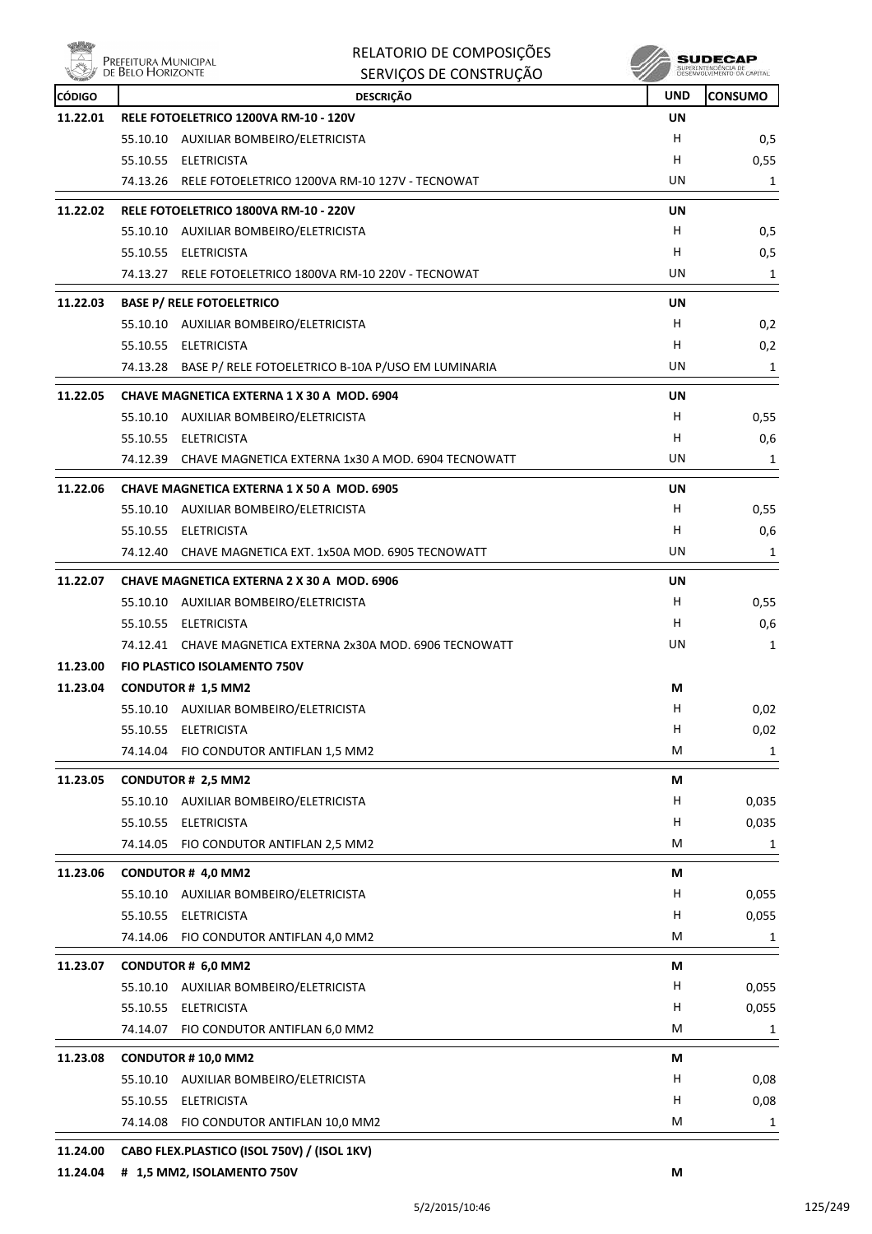

| 植物                 | Prefeitura Municipal<br>de Belo Horizonte | RELATORIO DE COMPOSIÇÕES<br>SERVIÇOS DE CONSTRUÇÃO                         |            | SUDECAF        |
|--------------------|-------------------------------------------|----------------------------------------------------------------------------|------------|----------------|
|                    |                                           |                                                                            | <b>UND</b> |                |
| CÓDIGO<br>11.22.01 |                                           | <b>DESCRIÇÃO</b><br>RELE FOTOELETRICO 1200VA RM-10 - 120V                  | UN         | <b>CONSUMO</b> |
|                    |                                           | 55.10.10 AUXILIAR BOMBEIRO/ELETRICISTA                                     | н          | 0,5            |
|                    |                                           | 55.10.55 ELETRICISTA                                                       | н          | 0,55           |
|                    |                                           | 74.13.26 RELE FOTOELETRICO 1200VA RM-10 127V - TECNOWAT                    | UN         | 1              |
| 11.22.02           |                                           | RELE FOTOELETRICO 1800VA RM-10 - 220V                                      | UN         |                |
|                    |                                           | 55.10.10 AUXILIAR BOMBEIRO/ELETRICISTA                                     | H          | 0,5            |
|                    |                                           | 55.10.55 ELETRICISTA                                                       | н          | 0,5            |
|                    | 74.13.27                                  | RELE FOTOELETRICO 1800VA RM-10 220V - TECNOWAT                             | UN         | 1              |
|                    |                                           |                                                                            |            |                |
| 11.22.03           |                                           | <b>BASE P/ RELE FOTOELETRICO</b><br>55.10.10 AUXILIAR BOMBEIRO/ELETRICISTA | UN<br>H.   |                |
|                    |                                           | 55.10.55 ELETRICISTA                                                       |            | 0,2            |
|                    |                                           |                                                                            | н          | 0,2            |
|                    |                                           | 74.13.28 BASE P/ RELE FOTOELETRICO B-10A P/USO EM LUMINARIA                | UN         | 1              |
| 11.22.05           |                                           | CHAVE MAGNETICA EXTERNA 1 X 30 A MOD, 6904                                 | UN         |                |
|                    |                                           | 55.10.10 AUXILIAR BOMBEIRO/ELETRICISTA                                     | H.         | 0,55           |
|                    |                                           | 55.10.55 ELETRICISTA                                                       | н          | 0,6            |
|                    | 74.12.39                                  | CHAVE MAGNETICA EXTERNA 1x30 A MOD. 6904 TECNOWATT                         | UN         | 1              |
| 11.22.06           |                                           | <b>CHAVE MAGNETICA EXTERNA 1 X 50 A MOD. 6905</b>                          | UN         |                |
|                    |                                           | 55.10.10 AUXILIAR BOMBEIRO/ELETRICISTA                                     | H.         | 0,55           |
|                    |                                           | 55.10.55 ELETRICISTA                                                       | н          | 0,6            |
|                    | 74.12.40                                  | CHAVE MAGNETICA EXT. 1x50A MOD. 6905 TECNOWATT                             | UN         | 1              |
| 11.22.07           |                                           | <b>CHAVE MAGNETICA EXTERNA 2 X 30 A MOD, 6906</b>                          | UN         |                |
|                    |                                           | 55.10.10 AUXILIAR BOMBEIRO/ELETRICISTA                                     | H          | 0,55           |
|                    | 55.10.55                                  | <b>ELETRICISTA</b>                                                         | H.         | 0,6            |
|                    |                                           | 74.12.41 CHAVE MAGNETICA EXTERNA 2x30A MOD. 6906 TECNOWATT                 | UN         | 1              |
| 11.23.00           |                                           | <b>FIO PLASTICO ISOLAMENTO 750V</b>                                        |            |                |
| 11.23.04           |                                           | <b>CONDUTOR # 1,5 MM2</b>                                                  | М          |                |
|                    | 55.10.10                                  | AUXILIAR BOMBEIRO/ELETRICISTA                                              | н          | 0,02           |
|                    | 55.10.55                                  | <b>ELETRICISTA</b>                                                         | н          | 0,02           |
|                    |                                           | 74.14.04 FIO CONDUTOR ANTIFLAN 1,5 MM2                                     | М          | $\mathbf{1}$   |
| 11.23.05           |                                           | <b>CONDUTOR # 2,5 MM2</b>                                                  | М          |                |
|                    |                                           | 55.10.10 AUXILIAR BOMBEIRO/ELETRICISTA                                     | H          | 0,035          |
|                    |                                           | 55.10.55 ELETRICISTA                                                       | н          | 0,035          |
|                    | 74.14.05                                  | FIO CONDUTOR ANTIFLAN 2,5 MM2                                              | М          | 1              |
| 11.23.06           |                                           | CONDUTOR # 4,0 MM2                                                         | M          |                |
|                    |                                           | 55.10.10 AUXILIAR BOMBEIRO/ELETRICISTA                                     | H          | 0,055          |
|                    | 55.10.55                                  | <b>ELETRICISTA</b>                                                         | н          | 0,055          |
|                    |                                           | 74.14.06 FIO CONDUTOR ANTIFLAN 4,0 MM2                                     | М          | 1              |
| 11.23.07           |                                           | <b>CONDUTOR # 6,0 MM2</b>                                                  | М          |                |
|                    |                                           | 55.10.10 AUXILIAR BOMBEIRO/ELETRICISTA                                     | H          | 0,055          |
|                    |                                           | 55.10.55 ELETRICISTA                                                       | н          | 0,055          |
|                    | 74.14.07                                  | FIO CONDUTOR ANTIFLAN 6,0 MM2                                              | М          | 1              |
|                    |                                           |                                                                            |            |                |
| 11.23.08           |                                           | <b>CONDUTOR #10,0 MM2</b><br>55.10.10 AUXILIAR BOMBEIRO/ELETRICISTA        | М<br>H     |                |
|                    |                                           | 55.10.55 ELETRICISTA                                                       | н          | 0,08           |
|                    | 74.14.08                                  | FIO CONDUTOR ANTIFLAN 10,0 MM2                                             | M          | 0,08           |
|                    |                                           |                                                                            |            | 1              |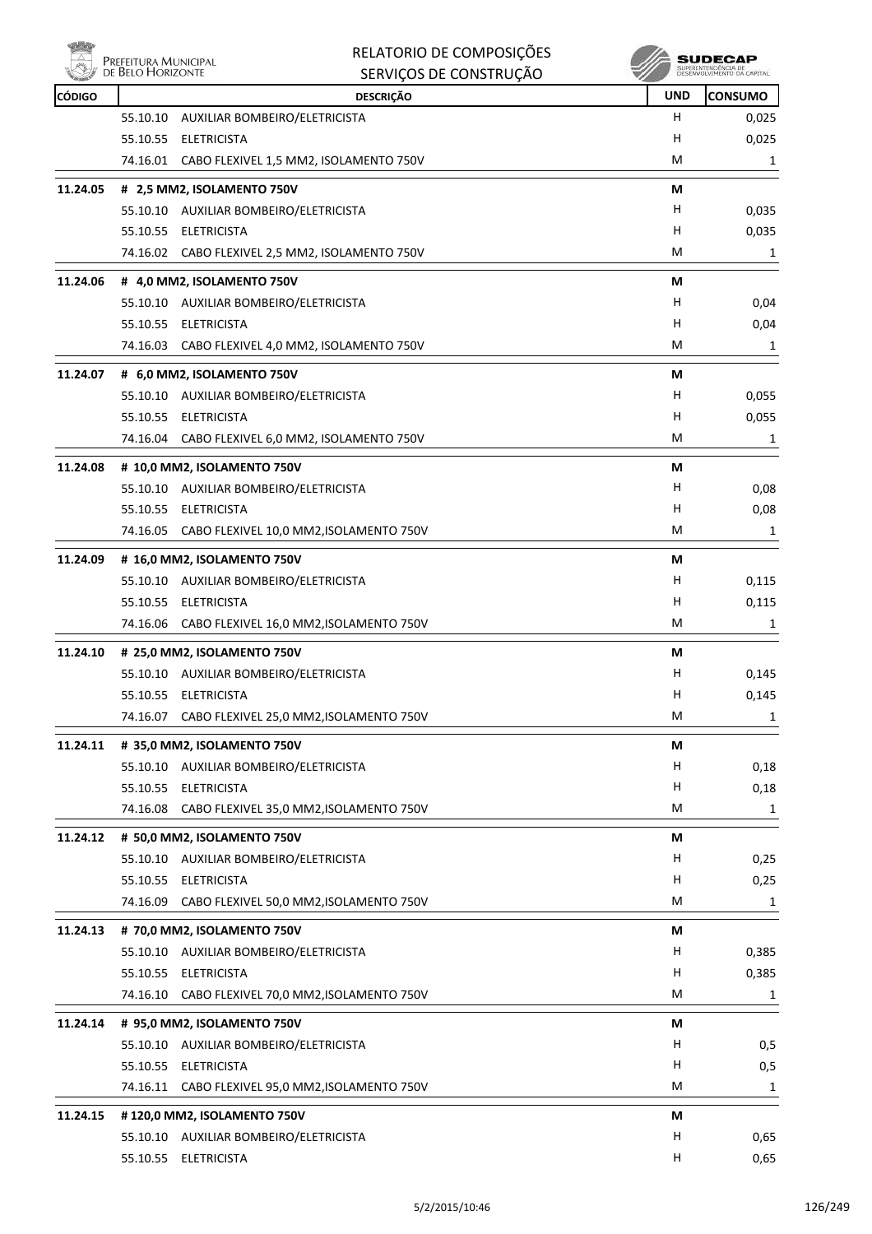

|               | Prefeitura Municipal<br>de Belo Horizonte | RELATORIO DE COMPOSIÇÕES                                              |            | SUDECAP                                           |
|---------------|-------------------------------------------|-----------------------------------------------------------------------|------------|---------------------------------------------------|
|               |                                           | SERVIÇOS DE CONSTRUÇÃO                                                |            | SUPERINTENDÊNCIA DE<br>DESENVOLVIMENTO DA CAPITAL |
| <b>CÓDIGO</b> |                                           | <b>DESCRIÇÃO</b>                                                      | <b>UND</b> | <b>CONSUMO</b>                                    |
|               | 55.10.10                                  | AUXILIAR BOMBEIRO/ELETRICISTA                                         | н          | 0,025                                             |
|               | 55.10.55                                  | ELETRICISTA                                                           | н          | 0,025                                             |
|               |                                           | 74.16.01 CABO FLEXIVEL 1,5 MM2, ISOLAMENTO 750V                       | M          | 1                                                 |
| 11.24.05      |                                           | # 2,5 MM2, ISOLAMENTO 750V                                            | М          |                                                   |
|               |                                           | 55.10.10 AUXILIAR BOMBEIRO/ELETRICISTA                                | н          | 0,035                                             |
|               |                                           | 55.10.55 ELETRICISTA                                                  | н          | 0,035                                             |
|               |                                           | 74.16.02 CABO FLEXIVEL 2,5 MM2, ISOLAMENTO 750V                       | М          | 1                                                 |
| 11.24.06      |                                           | # 4,0 MM2, ISOLAMENTO 750V                                            | М          |                                                   |
|               |                                           | 55.10.10 AUXILIAR BOMBEIRO/ELETRICISTA                                | н          | 0,04                                              |
|               |                                           | 55.10.55 ELETRICISTA                                                  | н          | 0,04                                              |
|               | 74.16.03                                  | CABO FLEXIVEL 4,0 MM2, ISOLAMENTO 750V                                | М          | 1                                                 |
| 11.24.07      |                                           | # 6,0 MM2, ISOLAMENTO 750V                                            | М          |                                                   |
|               |                                           | 55.10.10 AUXILIAR BOMBEIRO/ELETRICISTA                                | н          | 0,055                                             |
|               |                                           | 55.10.55 ELETRICISTA                                                  | н          | 0,055                                             |
|               |                                           | 74.16.04 CABO FLEXIVEL 6,0 MM2, ISOLAMENTO 750V                       | м          | 1                                                 |
| 11.24.08      |                                           | # 10,0 MM2, ISOLAMENTO 750V                                           | М          |                                                   |
|               |                                           | 55.10.10 AUXILIAR BOMBEIRO/ELETRICISTA                                | н          | 0,08                                              |
|               | 55.10.55                                  | ELETRICISTA                                                           | н          | 0,08                                              |
|               |                                           | 74.16.05 CABO FLEXIVEL 10,0 MM2, ISOLAMENTO 750V                      | М          | 1                                                 |
| 11.24.09      |                                           | # 16,0 MM2, ISOLAMENTO 750V                                           | М          |                                                   |
|               |                                           | 55.10.10 AUXILIAR BOMBEIRO/ELETRICISTA                                | н          | 0,115                                             |
|               |                                           | 55.10.55 ELETRICISTA                                                  | н          | 0,115                                             |
|               |                                           | 74.16.06 CABO FLEXIVEL 16,0 MM2, ISOLAMENTO 750V                      | M          | 1                                                 |
| 11.24.10      |                                           | # 25,0 MM2, ISOLAMENTO 750V                                           | М          |                                                   |
|               |                                           | 55.10.10 AUXILIAR BOMBEIRO/ELETRICISTA                                | н          | 0,145                                             |
|               |                                           | 55.10.55 ELETRICISTA                                                  | H          | 0,145                                             |
|               |                                           | 74.16.07 CABO FLEXIVEL 25,0 MM2, ISOLAMENTO 750V                      | M          | 1                                                 |
| 11.24.11      |                                           | # 35,0 MM2, ISOLAMENTO 750V                                           | M          |                                                   |
|               |                                           | 55.10.10 AUXILIAR BOMBEIRO/ELETRICISTA                                | H          | 0,18                                              |
|               |                                           | 55.10.55 ELETRICISTA                                                  | Н          | 0,18                                              |
|               | 74.16.08                                  | CABO FLEXIVEL 35,0 MM2, ISOLAMENTO 750V                               | М          | 1                                                 |
| 11.24.12      |                                           | # 50,0 MM2, ISOLAMENTO 750V                                           | М          |                                                   |
|               |                                           | 55.10.10 AUXILIAR BOMBEIRO/ELETRICISTA                                | H          | 0,25                                              |
|               |                                           | 55.10.55 ELETRICISTA                                                  | Н          | 0,25                                              |
|               |                                           | 74.16.09 CABO FLEXIVEL 50,0 MM2, ISOLAMENTO 750V                      | м          | 1                                                 |
| 11.24.13      |                                           | # 70,0 MM2, ISOLAMENTO 750V                                           | М          |                                                   |
|               |                                           | 55.10.10 AUXILIAR BOMBEIRO/ELETRICISTA                                | H          | 0,385                                             |
|               |                                           | 55.10.55 ELETRICISTA                                                  | Н          | 0,385                                             |
|               |                                           | 74.16.10 CABO FLEXIVEL 70,0 MM2, ISOLAMENTO 750V                      | М          | 1                                                 |
| 11.24.14      |                                           | # 95,0 MM2, ISOLAMENTO 750V                                           | М          |                                                   |
|               |                                           | 55.10.10 AUXILIAR BOMBEIRO/ELETRICISTA                                | H          | 0,5                                               |
|               |                                           | 55.10.55 ELETRICISTA                                                  | Н          | 0,5                                               |
|               |                                           | 74.16.11 CABO FLEXIVEL 95,0 MM2, ISOLAMENTO 750V                      | M          | 1                                                 |
|               |                                           |                                                                       |            |                                                   |
| 11.24.15      |                                           | #120,0 MM2, ISOLAMENTO 750V<br>55.10.10 AUXILIAR BOMBEIRO/ELETRICISTA | М<br>H     | 0,65                                              |
|               |                                           | 55.10.55 ELETRICISTA                                                  | Н          | 0,65                                              |
|               |                                           |                                                                       |            |                                                   |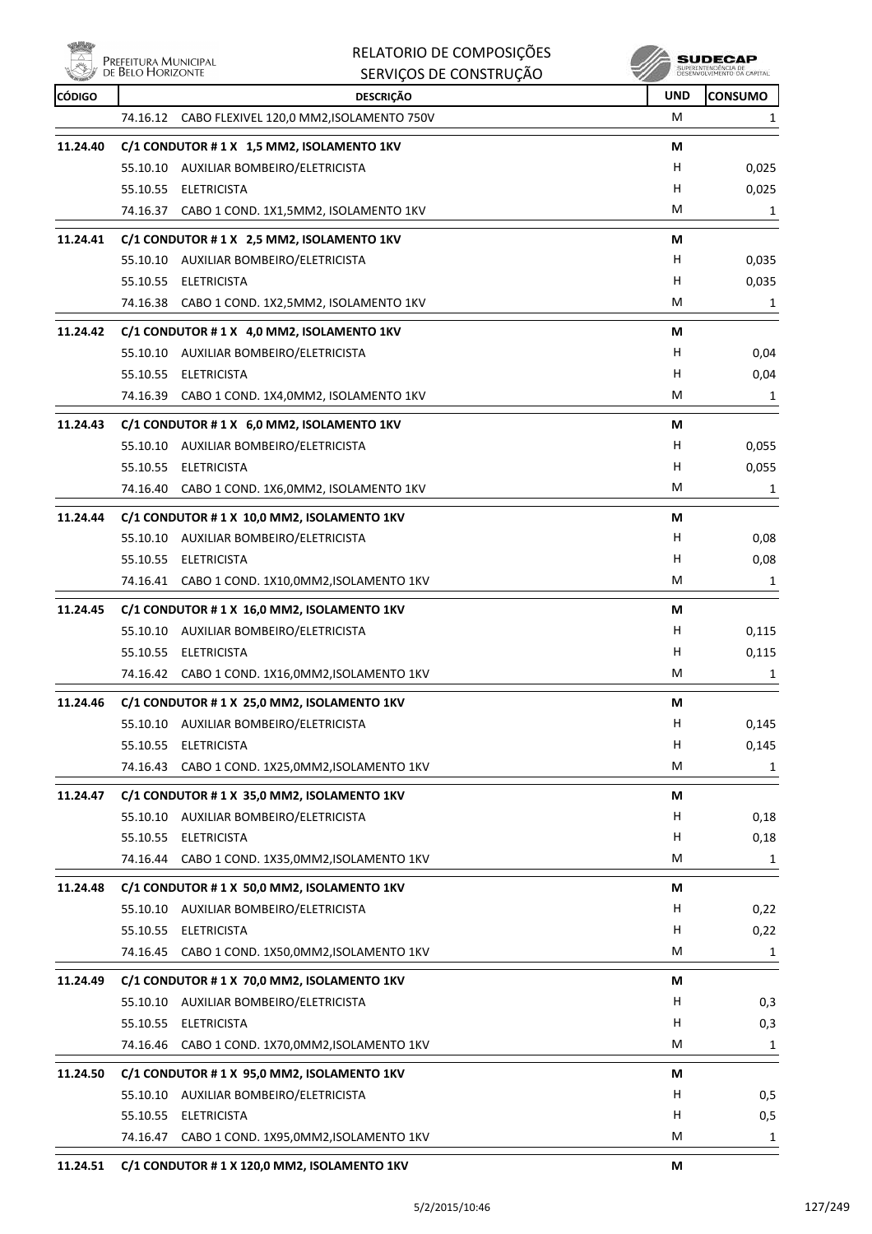ensi<br>Al Prefeitura Municipal<br>Al de Belo Horizonte 燃

| <b>CÓDIGO</b> | <b>DESCRIÇÃO</b>                                     | <b>UND</b> | <b>CONSUMO</b> |
|---------------|------------------------------------------------------|------------|----------------|
|               | CABO FLEXIVEL 120,0 MM2, ISOLAMENTO 750V<br>74.16.12 | м          | 1              |
| 11.24.40      | C/1 CONDUTOR #1X 1,5 MM2, ISOLAMENTO 1KV             | М          |                |
|               | 55.10.10 AUXILIAR BOMBEIRO/ELETRICISTA               | н          | 0,025          |
|               | 55.10.55 ELETRICISTA                                 | н          | 0,025          |
|               | 74.16.37<br>CABO 1 COND. 1X1,5MM2, ISOLAMENTO 1KV    | М          | 1              |
| 11.24.41      | C/1 CONDUTOR #1X 2,5 MM2, ISOLAMENTO 1KV             | М          |                |
|               | 55.10.10 AUXILIAR BOMBEIRO/ELETRICISTA               | н          | 0,035          |
|               | 55.10.55 ELETRICISTA                                 | H          | 0,035          |
|               | 74.16.38<br>CABO 1 COND. 1X2,5MM2, ISOLAMENTO 1KV    | м          | 1              |
| 11.24.42      | C/1 CONDUTOR #1X 4,0 MM2, ISOLAMENTO 1KV             | М          |                |
|               | 55.10.10 AUXILIAR BOMBEIRO/ELETRICISTA               | H          | 0,04           |
|               | <b>ELETRICISTA</b><br>55.10.55                       | н          | 0,04           |
|               | 74.16.39<br>CABO 1 COND. 1X4,0MM2, ISOLAMENTO 1KV    | м          | 1              |
| 11.24.43      | C/1 CONDUTOR #1X 6,0 MM2, ISOLAMENTO 1KV             | М          |                |
|               | 55.10.10 AUXILIAR BOMBEIRO/ELETRICISTA               | H          | 0,055          |
|               | 55.10.55 ELETRICISTA                                 | H          | 0,055          |
|               | CABO 1 COND. 1X6,0MM2, ISOLAMENTO 1KV<br>74.16.40    | м          | 1              |
| 11.24.44      | C/1 CONDUTOR #1X 10,0 MM2, ISOLAMENTO 1KV            | М          |                |
|               | 55.10.10 AUXILIAR BOMBEIRO/ELETRICISTA               | н          | 0,08           |
|               | 55.10.55 ELETRICISTA                                 | Н          | 0,08           |
|               | 74.16.41<br>CABO 1 COND. 1X10,0MM2, ISOLAMENTO 1KV   | м          | 1              |
| 11.24.45      | C/1 CONDUTOR #1X 16,0 MM2, ISOLAMENTO 1KV            | М          |                |
|               | 55.10.10 AUXILIAR BOMBEIRO/ELETRICISTA               | н          | 0,115          |
|               | 55.10.55 ELETRICISTA                                 | Н          | 0,115          |
|               | 74.16.42 CABO 1 COND. 1X16,0MM2, ISOLAMENTO 1KV      | М          | 1              |
| 11.24.46      | C/1 CONDUTOR #1X 25,0 MM2, ISOLAMENTO 1KV            | М          |                |
|               | 55.10.10 AUXILIAR BOMBEIRO/ELETRICISTA               | H.         | 0,145          |
|               | 55.10.55 ELETRICISTA                                 | H          | 0,145          |
|               | 74.16.43<br>CABO 1 COND. 1X25,0MM2, ISOLAMENTO 1KV   | M          | 1              |
| 11.24.47      | C/1 CONDUTOR #1X 35,0 MM2, ISOLAMENTO 1KV            | М          |                |
|               | 55.10.10 AUXILIAR BOMBEIRO/ELETRICISTA               | H          | 0,18           |
|               | 55.10.55 ELETRICISTA                                 | H          | 0,18           |
|               | 74.16.44 CABO 1 COND. 1X35,0MM2, ISOLAMENTO 1KV      | М          | 1              |
| 11.24.48      | C/1 CONDUTOR #1X 50,0 MM2, ISOLAMENTO 1KV            | М          |                |
|               | 55.10.10 AUXILIAR BOMBEIRO/ELETRICISTA               | H          | 0,22           |
|               | 55.10.55 ELETRICISTA                                 | H          | 0,22           |
|               | CABO 1 COND. 1X50,0MM2, ISOLAMENTO 1KV<br>74.16.45   | M          | 1              |
| 11.24.49      | C/1 CONDUTOR #1X 70,0 MM2, ISOLAMENTO 1KV            | М          |                |
|               | 55.10.10 AUXILIAR BOMBEIRO/ELETRICISTA               | H          | 0,3            |
|               | <b>ELETRICISTA</b><br>55.10.55                       | H          | 0,3            |
|               | CABO 1 COND. 1X70,0MM2, ISOLAMENTO 1KV<br>74.16.46   | M          | 1              |
| 11.24.50      | C/1 CONDUTOR # 1 X 95,0 MM2, ISOLAMENTO 1KV          | М          |                |
|               | 55.10.10 AUXILIAR BOMBEIRO/ELETRICISTA               | H          | 0,5            |
|               | 55.10.55 ELETRICISTA                                 | H          | 0,5            |
|               | 74.16.47 CABO 1 COND. 1X95,0MM2,ISOLAMENTO 1KV       | M          | 1              |
| 11.24.51      | C/1 CONDUTOR #1 X 120,0 MM2, ISOLAMENTO 1KV          | M          |                |
|               |                                                      |            |                |

RELATORIO DE COMPOSIÇÕES SERVIÇOS DE CONSTRUÇÃO

 $\begin{array}{c} \textbf{SUBECAP} \\ \textbf{SUBREINTEROÉNCIA DE} \\ \textbf{DESEWOUNIENTO OA CAPTIAL} \end{array}$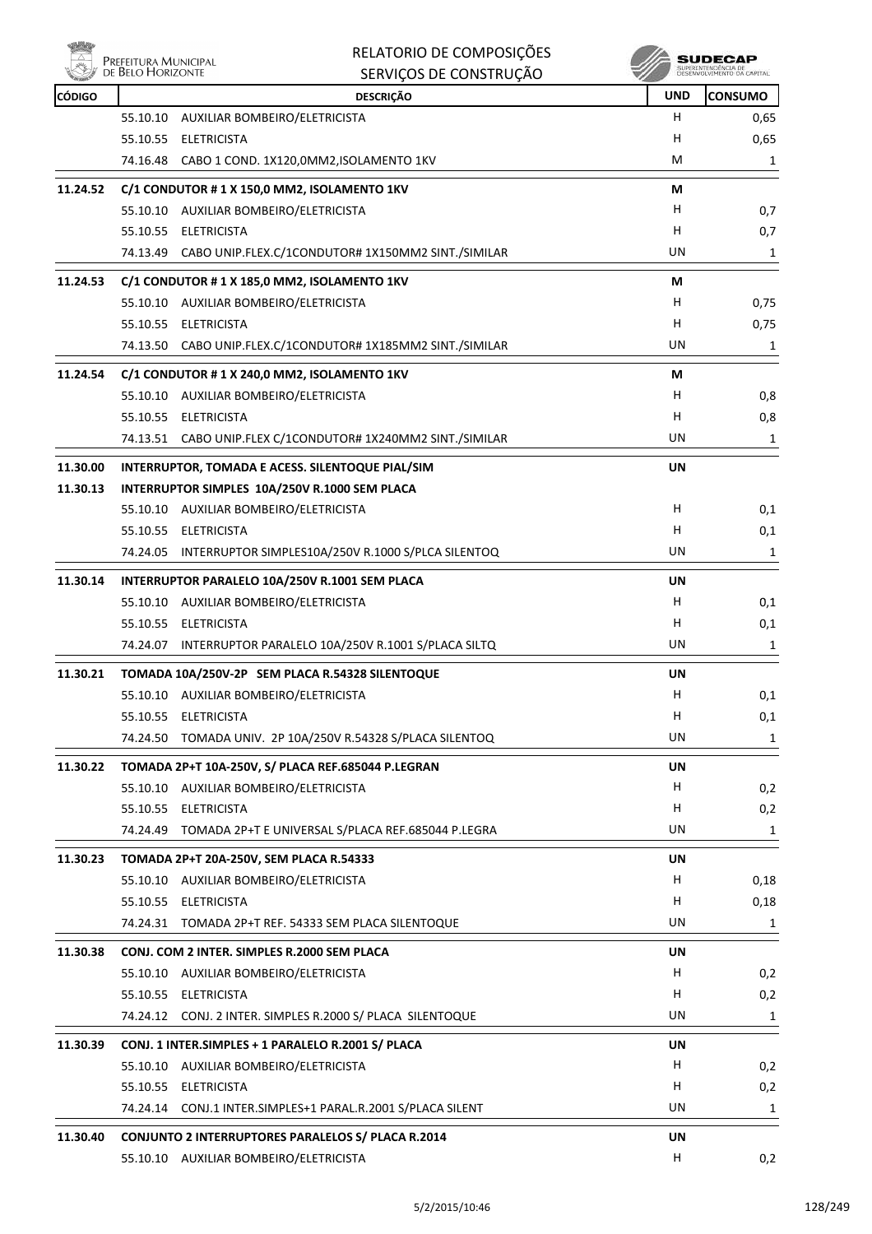

|               | Prefeitura Municipal<br>de Belo Horizonte | RELATORIO DE COMPOSIÇÕES                                    |            | SUDECAP<br>SUPERINTENDÊNCIA DE<br>DESENVOLVIMENTO DA CAPITAL |
|---------------|-------------------------------------------|-------------------------------------------------------------|------------|--------------------------------------------------------------|
|               |                                           | SERVIÇOS DE CONSTRUÇÃO                                      |            |                                                              |
| <b>CÓDIGO</b> |                                           | <b>DESCRIÇÃO</b>                                            | <b>UND</b> | <b>CONSUMO</b>                                               |
|               | 55.10.10                                  | AUXILIAR BOMBEIRO/ELETRICISTA                               | н<br>н     | 0,65                                                         |
|               | 55.10.55 ELETRICISTA                      | 74.16.48 CABO 1 COND. 1X120,0MM2, ISOLAMENTO 1KV            | M          | 0,65                                                         |
|               |                                           |                                                             |            | 1                                                            |
| 11.24.52      |                                           | C/1 CONDUTOR #1 X 150,0 MM2, ISOLAMENTO 1KV                 | М          |                                                              |
|               |                                           | 55.10.10 AUXILIAR BOMBEIRO/ELETRICISTA                      | H          | 0,7                                                          |
|               | 55.10.55 ELETRICISTA                      |                                                             | H          | 0,7                                                          |
|               |                                           | 74.13.49 CABO UNIP.FLEX.C/1CONDUTOR# 1X150MM2 SINT./SIMILAR | UN         | 1                                                            |
| 11.24.53      |                                           | C/1 CONDUTOR # 1 X 185,0 MM2, ISOLAMENTO 1KV                | М          |                                                              |
|               |                                           | 55.10.10 AUXILIAR BOMBEIRO/ELETRICISTA                      | H.         | 0,75                                                         |
|               | 55.10.55 ELETRICISTA                      |                                                             | H          | 0,75                                                         |
|               |                                           | 74.13.50 CABO UNIP.FLEX.C/1CONDUTOR# 1X185MM2 SINT./SIMILAR | UN         | 1                                                            |
| 11.24.54      |                                           | C/1 CONDUTOR # 1 X 240,0 MM2, ISOLAMENTO 1KV                | М          |                                                              |
|               |                                           | 55.10.10 AUXILIAR BOMBEIRO/ELETRICISTA                      | H          | 0,8                                                          |
|               | 55.10.55 ELETRICISTA                      |                                                             | H          | 0,8                                                          |
|               |                                           | 74.13.51 CABO UNIP.FLEX C/1CONDUTOR# 1X240MM2 SINT./SIMILAR | UN.        | 1                                                            |
| 11.30.00      |                                           | INTERRUPTOR, TOMADA E ACESS. SILENTOQUE PIAL/SIM            | UN         |                                                              |
| 11.30.13      |                                           | INTERRUPTOR SIMPLES 10A/250V R.1000 SEM PLACA               |            |                                                              |
|               |                                           | 55.10.10 AUXILIAR BOMBEIRO/ELETRICISTA                      | H.         | 0,1                                                          |
|               | 55.10.55 ELETRICISTA                      |                                                             | H          | 0,1                                                          |
|               |                                           | 74.24.05 INTERRUPTOR SIMPLES10A/250V R.1000 S/PLCA SILENTOQ | UN.        | 1                                                            |
| 11.30.14      |                                           | INTERRUPTOR PARALELO 10A/250V R.1001 SEM PLACA              | UN         |                                                              |
|               |                                           | 55.10.10 AUXILIAR BOMBEIRO/ELETRICISTA                      | н          | 0,1                                                          |
|               | 55.10.55 ELETRICISTA                      |                                                             | н          | 0,1                                                          |
|               |                                           | 74.24.07 INTERRUPTOR PARALELO 10A/250V R.1001 S/PLACA SILTQ | UN         | 1                                                            |
|               |                                           |                                                             |            |                                                              |
| 11.30.21      |                                           | TOMADA 10A/250V-2P SEM PLACA R.54328 SILENTOQUE             | UN<br>H    |                                                              |
|               | 55.10.55 ELETRICISTA                      | 55.10.10 AUXILIAR BOMBEIRO/ELETRICISTA                      | H          | 0,1<br>0,1                                                   |
|               | 74.24.50                                  | TOMADA UNIV. 2P 10A/250V R.54328 S/PLACA SILENTOQ           | UN         | 1                                                            |
|               |                                           |                                                             |            |                                                              |
| 11.30.22      |                                           | TOMADA 2P+T 10A-250V, S/ PLACA REF.685044 P.LEGRAN          | UN         |                                                              |
|               |                                           | 55.10.10 AUXILIAR BOMBEIRO/ELETRICISTA                      | H          | 0,2                                                          |
|               | 55.10.55 ELETRICISTA                      |                                                             | н          | 0,2                                                          |
|               |                                           | 74.24.49 TOMADA 2P+T E UNIVERSAL S/PLACA REF.685044 P.LEGRA | UN         | 1                                                            |
| 11.30.23      |                                           | TOMADA 2P+T 20A-250V, SEM PLACA R.54333                     | UN         |                                                              |
|               |                                           | 55.10.10 AUXILIAR BOMBEIRO/ELETRICISTA                      | H          | 0,18                                                         |
|               | 55.10.55 ELETRICISTA                      |                                                             | н          | 0,18                                                         |
|               |                                           | 74.24.31 TOMADA 2P+T REF. 54333 SEM PLACA SILENTOQUE        | UN         | 1                                                            |
| 11.30.38      |                                           | CONJ. COM 2 INTER. SIMPLES R.2000 SEM PLACA                 | UN         |                                                              |
|               |                                           | 55.10.10 AUXILIAR BOMBEIRO/ELETRICISTA                      | Н.         | 0,2                                                          |
|               | 55.10.55 ELETRICISTA                      |                                                             | H.         | 0,2                                                          |
|               |                                           | 74.24.12 CONJ. 2 INTER. SIMPLES R.2000 S/ PLACA SILENTOQUE  | UN         | 1                                                            |
| 11.30.39      |                                           | CONJ. 1 INTER.SIMPLES + 1 PARALELO R.2001 S/ PLACA          | UN         |                                                              |
|               |                                           | 55.10.10 AUXILIAR BOMBEIRO/ELETRICISTA                      | H.         | 0,2                                                          |
|               | 55.10.55 ELETRICISTA                      |                                                             | H          | 0,2                                                          |
|               |                                           | 74.24.14 CONJ.1 INTER.SIMPLES+1 PARAL.R.2001 S/PLACA SILENT | UN         | 1                                                            |
|               |                                           |                                                             |            |                                                              |
| 11.30.40      |                                           | CONJUNTO 2 INTERRUPTORES PARALELOS S/ PLACA R.2014          | UN<br>н    |                                                              |
|               |                                           | 55.10.10 AUXILIAR BOMBEIRO/ELETRICISTA                      |            | 0,2                                                          |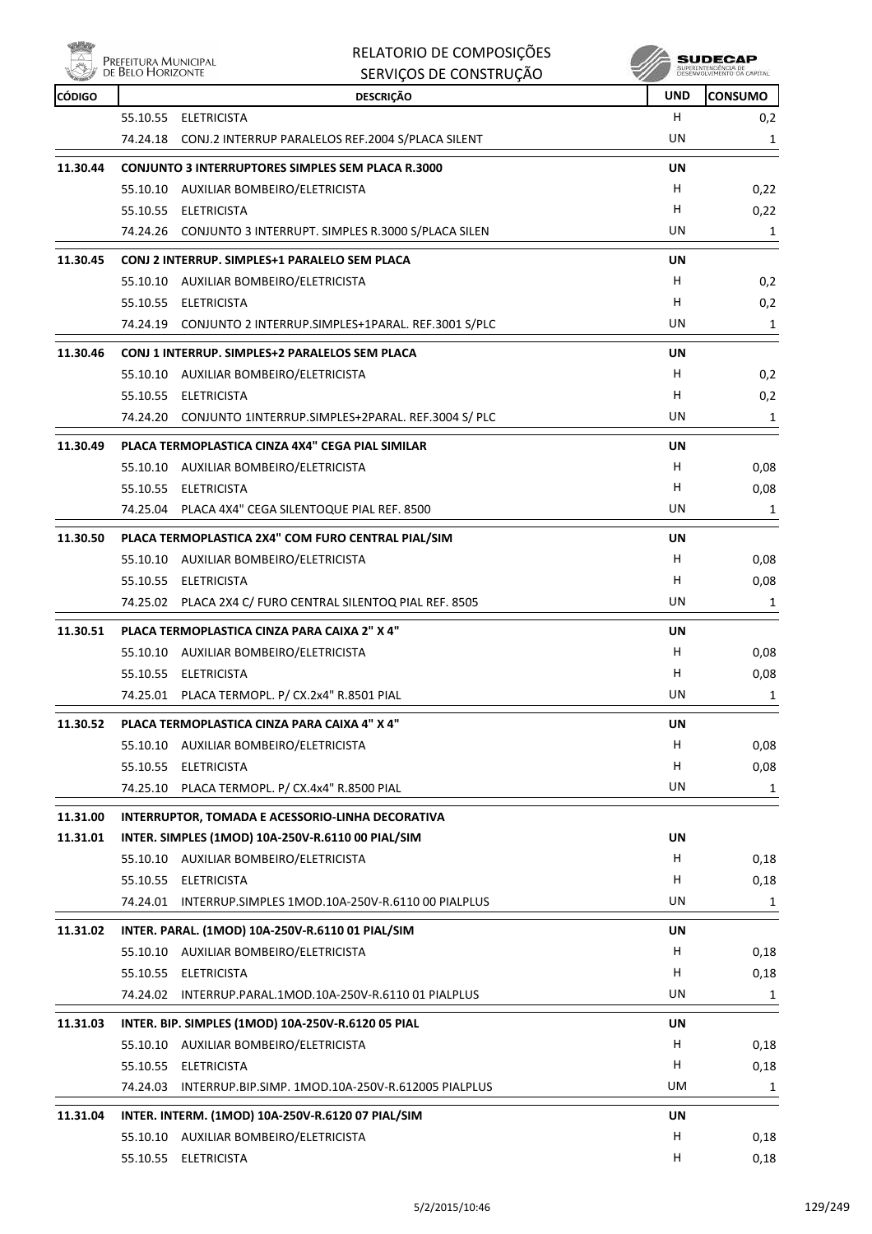| räh,          |                                           | RELATORIO DE COMPOSIÇÕES                                    |            | SUDECAP                                           |
|---------------|-------------------------------------------|-------------------------------------------------------------|------------|---------------------------------------------------|
|               | Prefeitura Municipal<br>de Belo Horizonte | SERVIÇOS DE CONSTRUÇÃO                                      |            | SUPERINTENDÊNCIA DE<br>DESENVOLVIMENTO DA CAPITAL |
| <b>CÓDIGO</b> |                                           | <b>DESCRIÇÃO</b>                                            | <b>UND</b> | <b>CONSUMO</b>                                    |
|               | 55.10.55                                  | ELETRICISTA                                                 | H          | 0,2                                               |
|               |                                           | 74.24.18 CONJ.2 INTERRUP PARALELOS REF.2004 S/PLACA SILENT  | UN         | 1                                                 |
| 11.30.44      |                                           | <b>CONJUNTO 3 INTERRUPTORES SIMPLES SEM PLACA R.3000</b>    | UN         |                                                   |
|               |                                           | 55.10.10 AUXILIAR BOMBEIRO/ELETRICISTA                      | н          | 0,22                                              |
|               |                                           | 55.10.55 ELETRICISTA                                        | н          | 0,22                                              |
|               |                                           | 74.24.26 CONJUNTO 3 INTERRUPT. SIMPLES R.3000 S/PLACA SILEN | UN         | 1                                                 |
| 11.30.45      |                                           | CONJ 2 INTERRUP. SIMPLES+1 PARALELO SEM PLACA               | UN         |                                                   |
|               |                                           | 55.10.10 AUXILIAR BOMBEIRO/ELETRICISTA                      | н          | 0,2                                               |
|               |                                           | 55.10.55 ELETRICISTA                                        | н          | 0,2                                               |
|               |                                           | 74.24.19 CONJUNTO 2 INTERRUP.SIMPLES+1PARAL. REF.3001 S/PLC | UN         | 1                                                 |
|               |                                           |                                                             |            |                                                   |
| 11.30.46      |                                           | CONJ 1 INTERRUP. SIMPLES+2 PARALELOS SEM PLACA              | UN         |                                                   |
|               |                                           | 55.10.10 AUXILIAR BOMBEIRO/ELETRICISTA                      | н          | 0,2                                               |
|               |                                           | 55.10.55 ELETRICISTA                                        | н          | 0,2                                               |
|               |                                           | 74.24.20 CONJUNTO 1INTERRUP.SIMPLES+2PARAL. REF.3004 S/ PLC | UN         | 1                                                 |
| 11.30.49      |                                           | PLACA TERMOPLASTICA CINZA 4X4" CEGA PIAL SIMILAR            | UN         |                                                   |
|               |                                           | 55.10.10 AUXILIAR BOMBEIRO/ELETRICISTA                      | н          | 0,08                                              |
|               |                                           | 55.10.55 ELETRICISTA                                        | н          | 0,08                                              |
|               |                                           | 74.25.04 PLACA 4X4" CEGA SILENTOQUE PIAL REF. 8500          | UN         | 1                                                 |
| 11.30.50      |                                           | PLACA TERMOPLASTICA 2X4" COM FURO CENTRAL PIAL/SIM          | UN         |                                                   |
|               |                                           | 55.10.10 AUXILIAR BOMBEIRO/ELETRICISTA                      | н          | 0,08                                              |
|               |                                           | 55.10.55 ELETRICISTA                                        | н          | 0,08                                              |
|               |                                           | 74.25.02 PLACA 2X4 C/ FURO CENTRAL SILENTOQ PIAL REF. 8505  | UN         | 1                                                 |
| 11.30.51      |                                           |                                                             |            |                                                   |
|               |                                           | PLACA TERMOPLASTICA CINZA PARA CAIXA 2" X 4"                | UN<br>н    |                                                   |
|               |                                           | 55.10.10 AUXILIAR BOMBEIRO/ELETRICISTA                      |            | 0,08                                              |
|               |                                           | 55.10.55 ELETRICISTA                                        | н          | 0,08                                              |
|               |                                           | 74.25.01 PLACA TERMOPL. P/ CX.2x4" R.8501 PIAL              | UN         | 1                                                 |
| 11.30.52      |                                           | PLACA TERMOPLASTICA CINZA PARA CAIXA 4" X 4"                | UN         |                                                   |
|               |                                           | 55.10.10 AUXILIAR BOMBEIRO/ELETRICISTA                      | Н          | 0,08                                              |
|               |                                           | 55.10.55 ELETRICISTA                                        | H          | 0,08                                              |
|               |                                           | 74.25.10 PLACA TERMOPL. P/ CX.4x4" R.8500 PIAL              | UN         | 1                                                 |
| 11.31.00      |                                           | INTERRUPTOR, TOMADA E ACESSORIO-LINHA DECORATIVA            |            |                                                   |
| 11.31.01      |                                           | INTER. SIMPLES (1MOD) 10A-250V-R.6110 00 PIAL/SIM           | UN         |                                                   |
|               |                                           | 55.10.10 AUXILIAR BOMBEIRO/ELETRICISTA                      | H          | 0,18                                              |
|               |                                           | 55.10.55 ELETRICISTA                                        | H          | 0,18                                              |
|               |                                           | 74.24.01 INTERRUP.SIMPLES 1MOD.10A-250V-R.6110 00 PIALPLUS  | UN         | 1                                                 |
| 11.31.02      |                                           | INTER. PARAL. (1MOD) 10A-250V-R.6110 01 PIAL/SIM            | UN         |                                                   |
|               |                                           | 55.10.10 AUXILIAR BOMBEIRO/ELETRICISTA                      | H          | 0,18                                              |
|               |                                           | 55.10.55 ELETRICISTA                                        | н          | 0,18                                              |
|               |                                           | 74.24.02 INTERRUP.PARAL.1MOD.10A-250V-R.6110 01 PIALPLUS    | UN         | 1                                                 |
|               |                                           |                                                             |            |                                                   |
| 11.31.03      |                                           | INTER. BIP. SIMPLES (1MOD) 10A-250V-R.6120 05 PIAL          | UN         |                                                   |
|               |                                           | 55.10.10 AUXILIAR BOMBEIRO/ELETRICISTA                      | H          | 0,18                                              |
|               |                                           | 55.10.55 ELETRICISTA                                        | н          | 0,18                                              |
|               |                                           | 74.24.03 INTERRUP.BIP.SIMP. 1MOD.10A-250V-R.612005 PIALPLUS | UM         | 1                                                 |
| 11.31.04      |                                           | INTER. INTERM. (1MOD) 10A-250V-R.6120 07 PIAL/SIM           | UN         |                                                   |
|               |                                           | 55.10.10 AUXILIAR BOMBEIRO/ELETRICISTA                      | н          | 0,18                                              |

55.10.55 ELETRICISTA H 0,18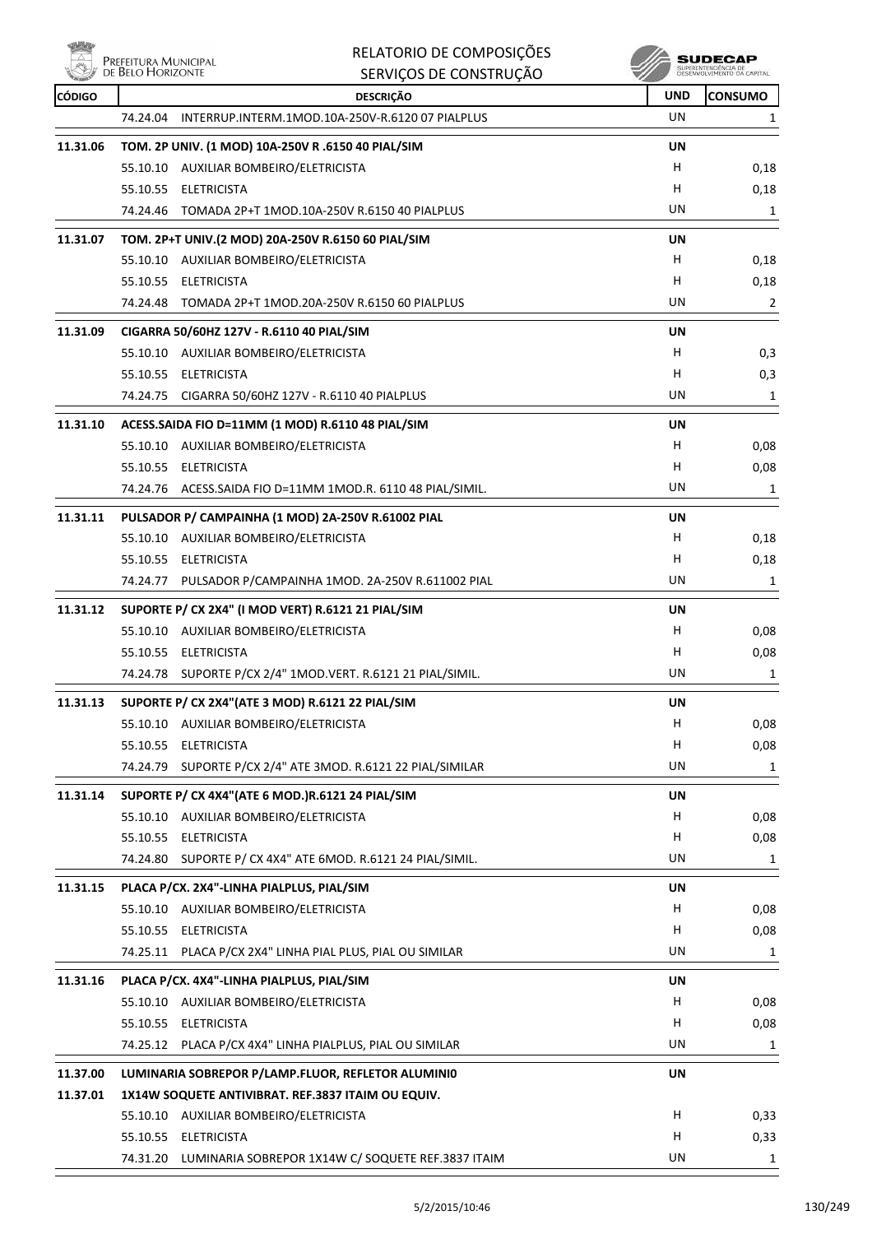$\mathbb{Z}$ .  $10 + M$ 

|               | Prefeitura Municipal<br>de Belo Horizonte | RELATORIO DE COMPOSIÇÕES                                    |            | SUDECAF                                           |
|---------------|-------------------------------------------|-------------------------------------------------------------|------------|---------------------------------------------------|
|               |                                           | SERVIÇOS DE CONSTRUÇÃO                                      |            | SUPERINTENDÊNCIA DE<br>DESENVOLVIMENTO DA CAPITAL |
| <b>CÓDIGO</b> |                                           | <b>DESCRIÇÃO</b>                                            | <b>UND</b> | <b>CONSUMO</b>                                    |
|               | 74.24.04                                  | INTERRUP.INTERM.1MOD.10A-250V-R.6120 07 PIALPLUS            | UN         | 1                                                 |
| 11.31.06      |                                           | TOM. 2P UNIV. (1 MOD) 10A-250V R .6150 40 PIAL/SIM          | UN         |                                                   |
|               |                                           | 55.10.10 AUXILIAR BOMBEIRO/ELETRICISTA                      | н          | 0,18                                              |
|               |                                           | 55.10.55 ELETRICISTA                                        | н          | 0,18                                              |
|               |                                           | 74.24.46 TOMADA 2P+T 1MOD.10A-250V R.6150 40 PIALPLUS       | UN         | 1                                                 |
| 11.31.07      |                                           | TOM. 2P+T UNIV.(2 MOD) 20A-250V R.6150 60 PIAL/SIM          | UN         |                                                   |
|               |                                           | 55.10.10 AUXILIAR BOMBEIRO/ELETRICISTA                      | н          | 0,18                                              |
|               |                                           | 55.10.55 ELETRICISTA                                        | н          | 0,18                                              |
|               |                                           | 74.24.48 TOMADA 2P+T 1MOD.20A-250V R.6150 60 PIALPLUS       | UN         | $\overline{2}$                                    |
| 11.31.09      |                                           | CIGARRA 50/60HZ 127V - R.6110 40 PIAL/SIM                   | UN         |                                                   |
|               |                                           | 55.10.10 AUXILIAR BOMBEIRO/ELETRICISTA                      | н          | 0,3                                               |
|               |                                           | 55.10.55 ELETRICISTA                                        | н          | 0,3                                               |
|               |                                           | 74.24.75 CIGARRA 50/60HZ 127V - R.6110 40 PIALPLUS          | UN         | 1                                                 |
| 11.31.10      |                                           | ACESS.SAIDA FIO D=11MM (1 MOD) R.6110 48 PIAL/SIM           | UN         |                                                   |
|               |                                           | 55.10.10 AUXILIAR BOMBEIRO/ELETRICISTA                      | н          | 0,08                                              |
|               |                                           | 55.10.55 ELETRICISTA                                        | н          | 0,08                                              |
|               |                                           | 74.24.76 ACESS.SAIDA FIO D=11MM 1MOD.R. 6110 48 PIAL/SIMIL. | UN         | 1                                                 |
| 11.31.11      |                                           | PULSADOR P/ CAMPAINHA (1 MOD) 2A-250V R.61002 PIAL          | UN         |                                                   |
|               |                                           | 55.10.10 AUXILIAR BOMBEIRO/ELETRICISTA                      | н          | 0,18                                              |
|               |                                           | 55.10.55 ELETRICISTA                                        | н          | 0,18                                              |
|               |                                           | 74.24.77 PULSADOR P/CAMPAINHA 1MOD. 2A-250V R.611002 PIAL   | UN         | 1                                                 |
| 11.31.12      |                                           | SUPORTE P/ CX 2X4" (I MOD VERT) R.6121 21 PIAL/SIM          | <b>UN</b>  |                                                   |
|               |                                           | 55.10.10 AUXILIAR BOMBEIRO/ELETRICISTA                      | н          | 0,08                                              |
|               |                                           | 55.10.55 ELETRICISTA                                        | н          | 0,08                                              |
|               |                                           | 74.24.78 SUPORTE P/CX 2/4" 1MOD.VERT. R.6121 21 PIAL/SIMIL. | UN         | 1                                                 |
| 11.31.13      |                                           | SUPORTE P/ CX 2X4"(ATE 3 MOD) R.6121 22 PIAL/SIM            | UN         |                                                   |
|               |                                           | 55.10.10 AUXILIAR BOMBEIRO/ELETRICISTA                      | H.         | 0,08                                              |
|               |                                           | 55.10.55 ELETRICISTA                                        | н          | 0,08                                              |
|               |                                           | 74.24.79 SUPORTE P/CX 2/4" ATE 3MOD. R.6121 22 PIAL/SIMILAR | UN         | 1                                                 |
| 11.31.14      |                                           | SUPORTE P/ CX 4X4" (ATE 6 MOD.)R.6121 24 PIAL/SIM           | UN         |                                                   |
|               |                                           | 55.10.10 AUXILIAR BOMBEIRO/ELETRICISTA                      | н          | 0,08                                              |
|               |                                           | 55.10.55 ELETRICISTA                                        | н          | 0,08                                              |
|               | 74.24.80                                  | SUPORTE P/ CX 4X4" ATE 6MOD. R.6121 24 PIAL/SIMIL.          | UN         | 1                                                 |
| 11.31.15      |                                           | PLACA P/CX. 2X4"-LINHA PIALPLUS, PIAL/SIM                   | UN         |                                                   |
|               |                                           | 55.10.10 AUXILIAR BOMBEIRO/ELETRICISTA                      | н          | 0,08                                              |
|               |                                           | 55.10.55 ELETRICISTA                                        | н          | 0,08                                              |
|               |                                           | 74.25.11 PLACA P/CX 2X4" LINHA PIAL PLUS, PIAL OU SIMILAR   | UN         | 1                                                 |
| 11.31.16      |                                           | PLACA P/CX. 4X4"-LINHA PIALPLUS, PIAL/SIM                   | UN         |                                                   |
|               |                                           | 55.10.10 AUXILIAR BOMBEIRO/ELETRICISTA                      | н          | 0,08                                              |
|               |                                           | 55.10.55 ELETRICISTA                                        | н          | 0,08                                              |
|               |                                           | 74.25.12 PLACA P/CX 4X4" LINHA PIALPLUS, PIAL OU SIMILAR    | UN         | 1                                                 |
| 11.37.00      |                                           | LUMINARIA SOBREPOR P/LAMP.FLUOR, REFLETOR ALUMINIO          | UN         |                                                   |
| 11.37.01      |                                           | 1X14W SOQUETE ANTIVIBRAT. REF.3837 ITAIM OU EQUIV.          |            |                                                   |
|               |                                           | 55.10.10 AUXILIAR BOMBEIRO/ELETRICISTA                      | н          | 0,33                                              |
|               |                                           | 55.10.55 ELETRICISTA                                        | н          | 0,33                                              |
|               |                                           | 74.31.20 LUMINARIA SOBREPOR 1X14W C/ SOQUETE REF.3837 ITAIM | UN         | 1                                                 |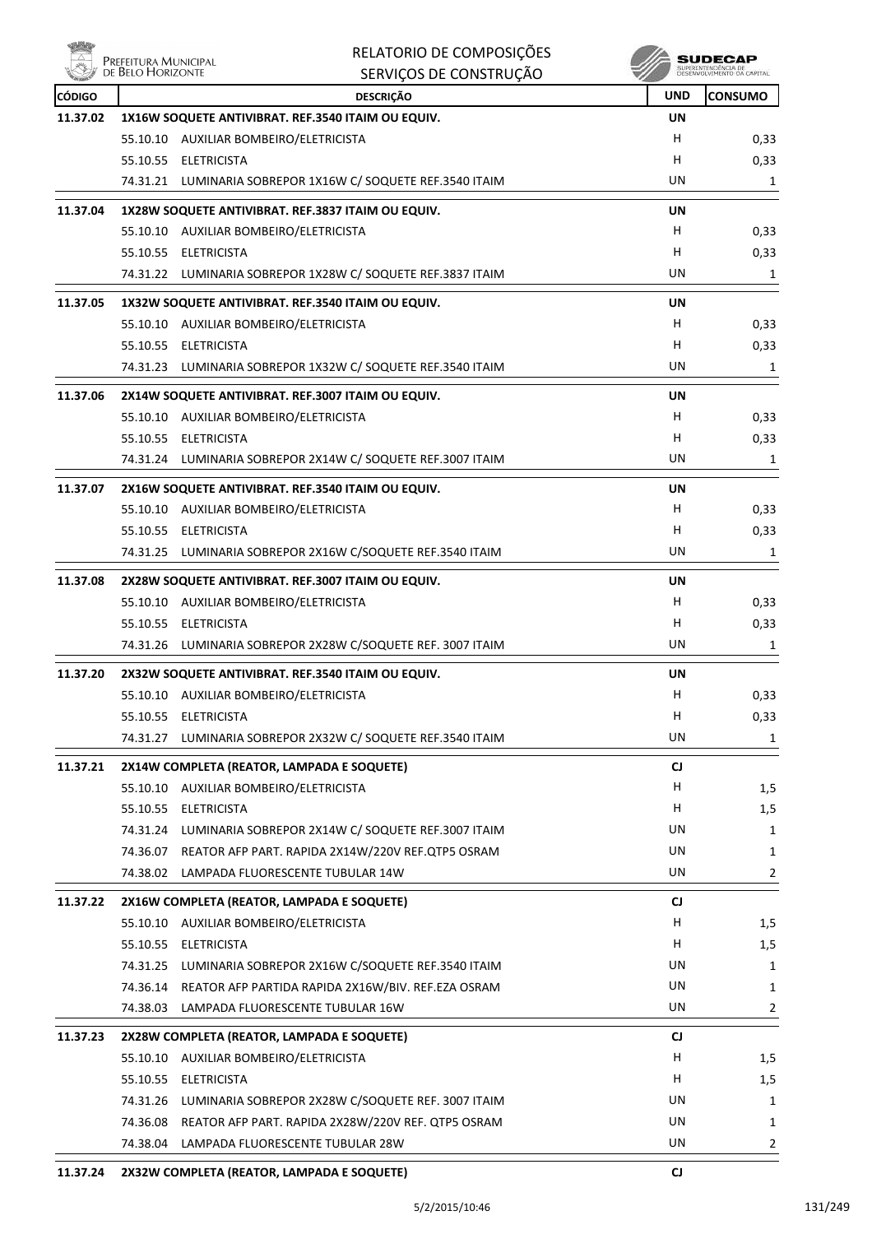

| Nil.          | Prefeitura Municipal<br>de Belo Horizonte | RELATORIO DE COMPOSIÇÕES                                       |            | SUDECAP<br>SUPERINTENDÊNCIA DE<br>DESENVIU VIMENTO OA CAPITAL |
|---------------|-------------------------------------------|----------------------------------------------------------------|------------|---------------------------------------------------------------|
|               |                                           | SERVIÇOS DE CONSTRUÇÃO                                         |            |                                                               |
| <b>CÓDIGO</b> |                                           | <b>DESCRIÇÃO</b>                                               | <b>UND</b> | <b>CONSUMO</b>                                                |
| 11.37.02      |                                           | 1X16W SOQUETE ANTIVIBRAT. REF.3540 ITAIM OU EQUIV.             | UN<br>H.   |                                                               |
|               |                                           | 55.10.10 AUXILIAR BOMBEIRO/ELETRICISTA<br>55.10.55 ELETRICISTA | H          | 0,33                                                          |
|               |                                           | 74.31.21 LUMINARIA SOBREPOR 1X16W C/ SOQUETE REF.3540 ITAIM    | UN         | 0,33<br>1                                                     |
| 11.37.04      |                                           | 1X28W SOQUETE ANTIVIBRAT. REF.3837 ITAIM OU EQUIV.             | UN         |                                                               |
|               |                                           | 55.10.10 AUXILIAR BOMBEIRO/ELETRICISTA                         | H.         | 0,33                                                          |
|               |                                           | 55.10.55 ELETRICISTA                                           | H          | 0,33                                                          |
|               |                                           | 74.31.22 LUMINARIA SOBREPOR 1X28W C/ SOQUETE REF.3837 ITAIM    | UN         | 1                                                             |
| 11.37.05      |                                           | 1X32W SOQUETE ANTIVIBRAT. REF.3540 ITAIM OU EQUIV.             | UN         |                                                               |
|               |                                           | 55.10.10 AUXILIAR BOMBEIRO/ELETRICISTA                         | H.         | 0,33                                                          |
|               | 55.10.55                                  | <b>ELETRICISTA</b>                                             | н          | 0,33                                                          |
|               |                                           | 74.31.23 LUMINARIA SOBREPOR 1X32W C/ SOQUETE REF.3540 ITAIM    | UN         | 1                                                             |
| 11.37.06      |                                           | 2X14W SOQUETE ANTIVIBRAT. REF.3007 ITAIM OU EQUIV.             | UN         |                                                               |
|               |                                           | 55.10.10 AUXILIAR BOMBEIRO/ELETRICISTA                         | H          | 0,33                                                          |
|               | 55.10.55                                  | ELETRICISTA                                                    | H          | 0,33                                                          |
|               | 74.31.24                                  | LUMINARIA SOBREPOR 2X14W C/ SOQUETE REF.3007 ITAIM             | UN         | 1                                                             |
| 11.37.07      |                                           | 2X16W SOQUETE ANTIVIBRAT. REF.3540 ITAIM OU EQUIV.             | UN         |                                                               |
|               |                                           | 55.10.10 AUXILIAR BOMBEIRO/ELETRICISTA                         | H          | 0,33                                                          |
|               |                                           | 55.10.55 ELETRICISTA                                           | H          | 0,33                                                          |
|               | 74.31.25                                  | LUMINARIA SOBREPOR 2X16W C/SOQUETE REF.3540 ITAIM              | UN         | 1                                                             |
| 11.37.08      |                                           | 2X28W SOQUETE ANTIVIBRAT. REF.3007 ITAIM OU EQUIV.             | UN         |                                                               |
|               |                                           | 55.10.10 AUXILIAR BOMBEIRO/ELETRICISTA                         | H          | 0,33                                                          |
|               |                                           | 55.10.55 ELETRICISTA                                           | H          | 0,33                                                          |
|               |                                           | 74.31.26 LUMINARIA SOBREPOR 2X28W C/SOQUETE REF. 3007 ITAIM    | UN         | 1                                                             |
| 11.37.20      |                                           | 2X32W SOQUETE ANTIVIBRAT. REF.3540 ITAIM OU EQUIV.             | UN         |                                                               |
|               |                                           | 55.10.10 AUXILIAR BOMBEIRO/ELETRICISTA                         | н          | 0,33                                                          |
|               |                                           | 55.10.55 ELETRICISTA                                           | Н          | 0,33                                                          |
|               |                                           | 74.31.27 LUMINARIA SOBREPOR 2X32W C/ SOQUETE REF.3540 ITAIM    | UN         | 1                                                             |
| 11.37.21      |                                           | 2X14W COMPLETA (REATOR, LAMPADA E SOQUETE)                     | CJ         |                                                               |
|               |                                           | 55.10.10 AUXILIAR BOMBEIRO/ELETRICISTA                         | H.         | 1,5                                                           |
|               |                                           | 55.10.55 ELETRICISTA                                           | H.         | 1,5                                                           |
|               |                                           | 74.31.24 LUMINARIA SOBREPOR 2X14W C/ SOQUETE REF.3007 ITAIM    | UN         | 1                                                             |
|               |                                           | 74.36.07 REATOR AFP PART. RAPIDA 2X14W/220V REF.QTP5 OSRAM     | UN         | 1                                                             |
|               | 74.38.02                                  | LAMPADA FLUORESCENTE TUBULAR 14W                               | UN         | 2                                                             |
| 11.37.22      |                                           | 2X16W COMPLETA (REATOR, LAMPADA E SOQUETE)                     | CJ.        |                                                               |
|               |                                           | 55.10.10 AUXILIAR BOMBEIRO/ELETRICISTA                         | H          | 1,5                                                           |
|               |                                           | 55.10.55 ELETRICISTA                                           | H          | 1,5                                                           |
|               |                                           | 74.31.25 LUMINARIA SOBREPOR 2X16W C/SOQUETE REF.3540 ITAIM     | UN         | 1                                                             |
|               | 74.36.14                                  | REATOR AFP PARTIDA RAPIDA 2X16W/BIV. REF.EZA OSRAM             | UN         | 1                                                             |
|               |                                           | 74.38.03 LAMPADA FLUORESCENTE TUBULAR 16W                      | UN         | $\mathbf{2}$                                                  |
| 11.37.23      |                                           | 2X28W COMPLETA (REATOR, LAMPADA E SOQUETE)                     | CJ         |                                                               |
|               |                                           | 55.10.10 AUXILIAR BOMBEIRO/ELETRICISTA                         | н          | 1,5                                                           |
|               |                                           | 55.10.55 ELETRICISTA                                           | H.         | 1,5                                                           |
|               |                                           | 74.31.26 LUMINARIA SOBREPOR 2X28W C/SOQUETE REF. 3007 ITAIM    | UN         | 1                                                             |
|               |                                           | 74.36.08 REATOR AFP PART. RAPIDA 2X28W/220V REF. QTP5 OSRAM    | UN         | 1                                                             |
|               | 74.38.04                                  | LAMPADA FLUORESCENTE TUBULAR 28W                               | UN         | 2                                                             |
| 11.37.24      |                                           | 2X32W COMPLETA (REATOR, LAMPADA E SOQUETE)                     | CJ         |                                                               |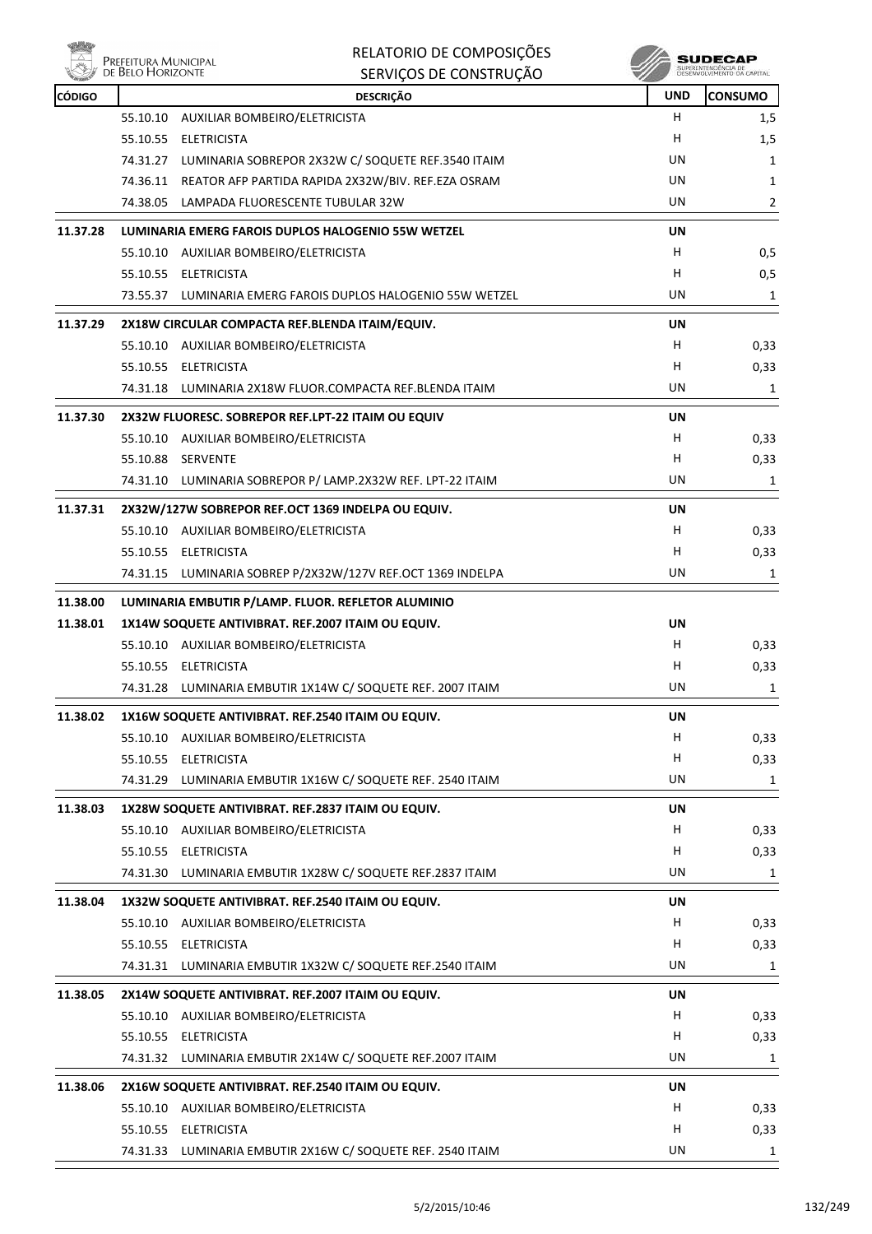

 $\begin{array}{c} \textbf{SUBECAP} \\ \textbf{SUBREINTEROÉNCIA DE} \\ \textbf{DESEWOUNIENTO OA CAPTIAL} \end{array}$ 

| <b>CÓDIGO</b> |          | <b>DESCRIÇÃO</b>                                            | <b>UND</b> | <b>CONSUMO</b> |
|---------------|----------|-------------------------------------------------------------|------------|----------------|
|               |          | 55.10.10 AUXILIAR BOMBEIRO/ELETRICISTA                      | H          | 1,5            |
|               |          | 55.10.55 ELETRICISTA                                        | н          | 1,5            |
|               | 74.31.27 | LUMINARIA SOBREPOR 2X32W C/ SOQUETE REF.3540 ITAIM          | UN         | 1              |
|               |          | 74.36.11 REATOR AFP PARTIDA RAPIDA 2X32W/BIV. REF.EZA OSRAM | UN         | 1              |
|               |          | 74.38.05 LAMPADA FLUORESCENTE TUBULAR 32W                   | UN         | $\overline{2}$ |
| 11.37.28      |          | LUMINARIA EMERG FAROIS DUPLOS HALOGENIO 55W WETZEL          | UN         |                |
|               |          | 55.10.10 AUXILIAR BOMBEIRO/ELETRICISTA                      | н          | 0,5            |
|               |          | 55.10.55 ELETRICISTA                                        | н          | 0,5            |
|               |          | 73.55.37 LUMINARIA EMERG FAROIS DUPLOS HALOGENIO 55W WETZEL | UN         | 1              |
| 11.37.29      |          | 2X18W CIRCULAR COMPACTA REF.BLENDA ITAIM/EQUIV.             | UN         |                |
|               |          | 55.10.10 AUXILIAR BOMBEIRO/ELETRICISTA                      | н          | 0,33           |
|               |          | 55.10.55 ELETRICISTA                                        | н          | 0,33           |
|               |          | 74.31.18 LUMINARIA 2X18W FLUOR.COMPACTA REF.BLENDA ITAIM    | UN         | 1              |
| 11.37.30      |          | 2X32W FLUORESC. SOBREPOR REF.LPT-22 ITAIM OU EQUIV          | UN         |                |
|               |          | 55.10.10 AUXILIAR BOMBEIRO/ELETRICISTA                      | н          | 0,33           |
|               | 55.10.88 | <b>SERVENTE</b>                                             | н          | 0,33           |
|               |          | 74.31.10 LUMINARIA SOBREPOR P/ LAMP.2X32W REF. LPT-22 ITAIM | UN         | 1              |
| 11.37.31      |          | 2X32W/127W SOBREPOR REF.OCT 1369 INDELPA OU EQUIV.          | UN         |                |
|               |          | 55.10.10 AUXILIAR BOMBEIRO/ELETRICISTA                      | н          | 0,33           |
|               |          | 55.10.55 ELETRICISTA                                        | н          | 0,33           |
|               |          | 74.31.15 LUMINARIA SOBREP P/2X32W/127V REF.OCT 1369 INDELPA | UN         | 1              |
| 11.38.00      |          | LUMINARIA EMBUTIR P/LAMP. FLUOR. REFLETOR ALUMINIO          |            |                |
| 11.38.01      |          | 1X14W SOQUETE ANTIVIBRAT. REF.2007 ITAIM OU EQUIV.          | UN         |                |
|               |          | 55.10.10 AUXILIAR BOMBEIRO/ELETRICISTA                      | н          | 0,33           |
|               |          | 55.10.55 ELETRICISTA                                        | н          | 0,33           |
|               |          | 74.31.28 LUMINARIA EMBUTIR 1X14W C/ SOQUETE REF. 2007 ITAIM | UN         | 1              |
| 11.38.02      |          | 1X16W SOQUETE ANTIVIBRAT. REF.2540 ITAIM OU EQUIV.          | UN         |                |
|               |          | 55.10.10 AUXILIAR BOMBEIRO/ELETRICISTA                      | н          | 0,33           |
|               |          | 55.10.55 ELETRICISTA                                        | н          | 0,33           |
|               | 74.31.29 | LUMINARIA EMBUTIR 1X16W C/ SOQUETE REF. 2540 ITAIM          | UN         | 1              |
| 11.38.03      |          | 1X28W SOQUETE ANTIVIBRAT. REF.2837 ITAIM OU EQUIV.          | UN         |                |
|               |          | 55.10.10 AUXILIAR BOMBEIRO/ELETRICISTA                      | н          | 0,33           |
|               |          | 55.10.55 ELETRICISTA                                        | н          | 0,33           |
|               | 74.31.30 | LUMINARIA EMBUTIR 1X28W C/ SOQUETE REF.2837 ITAIM           | UN         | 1              |
| 11.38.04      |          | 1X32W SOQUETE ANTIVIBRAT. REF.2540 ITAIM OU EQUIV.          | UN         |                |
|               |          | 55.10.10 AUXILIAR BOMBEIRO/ELETRICISTA                      | н          | 0,33           |
|               |          | 55.10.55 ELETRICISTA                                        | н          | 0,33           |
|               |          | 74.31.31 LUMINARIA EMBUTIR 1X32W C/ SOQUETE REF.2540 ITAIM  | UN         | 1              |
| 11.38.05      |          | 2X14W SOQUETE ANTIVIBRAT. REF.2007 ITAIM OU EQUIV.          | UN         |                |
|               |          | 55.10.10 AUXILIAR BOMBEIRO/ELETRICISTA                      | н          | 0,33           |
|               |          | 55.10.55 ELETRICISTA                                        | н          | 0,33           |
|               | 74.31.32 | LUMINARIA EMBUTIR 2X14W C/ SOQUETE REF.2007 ITAIM           | UN         | 1              |
| 11.38.06      |          | 2X16W SOQUETE ANTIVIBRAT. REF.2540 ITAIM OU EQUIV.          | UN         |                |
|               |          | 55.10.10 AUXILIAR BOMBEIRO/ELETRICISTA                      | н          | 0,33           |
|               |          | 55.10.55 ELETRICISTA                                        | н          | 0,33           |
|               | 74.31.33 | LUMINARIA EMBUTIR 2X16W C/ SOQUETE REF. 2540 ITAIM          | UN         | 1              |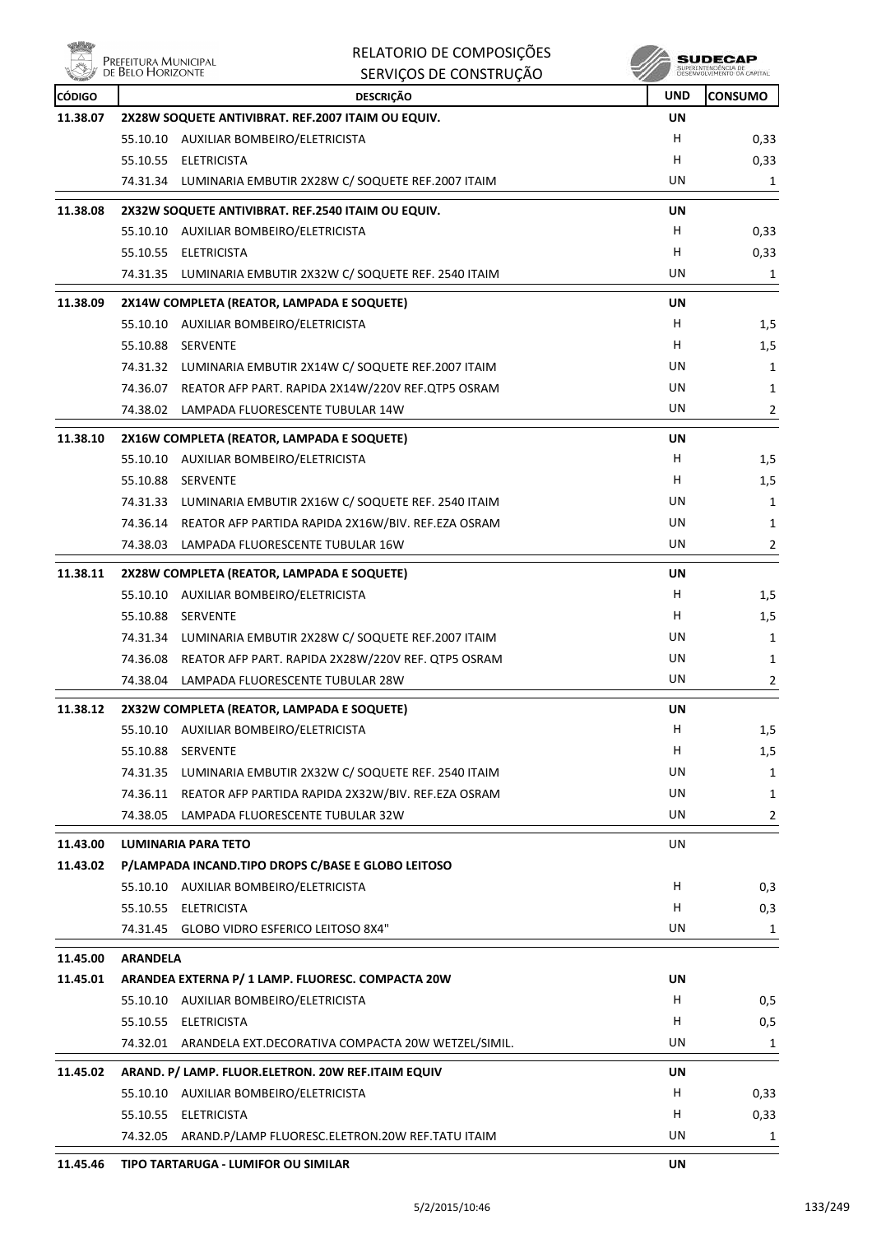

|               | Prefeitura Municipal<br>de Belo Horizonte | RELATORIO DE COMPOSIÇÕES                                    |            | SUDECAP                                           |
|---------------|-------------------------------------------|-------------------------------------------------------------|------------|---------------------------------------------------|
|               |                                           | SERVIÇOS DE CONSTRUÇÃO                                      |            | SUPERINTENDÊNCIA DE<br>DESENVOLVIMENTO DA CAPITAL |
| <b>CÓDIGO</b> |                                           | <b>DESCRIÇÃO</b>                                            | <b>UND</b> | <b>CONSUMO</b>                                    |
| 11.38.07      |                                           | 2X28W SOQUETE ANTIVIBRAT. REF.2007 ITAIM OU EQUIV.          | UN         |                                                   |
|               |                                           | 55.10.10 AUXILIAR BOMBEIRO/ELETRICISTA                      | H          | 0,33                                              |
|               |                                           | 55.10.55 ELETRICISTA                                        | н          | 0,33                                              |
|               |                                           | 74.31.34 LUMINARIA EMBUTIR 2X28W C/ SOQUETE REF.2007 ITAIM  | UN         | 1                                                 |
| 11.38.08      |                                           | 2X32W SOQUETE ANTIVIBRAT. REF.2540 ITAIM OU EQUIV.          | UN         |                                                   |
|               |                                           | 55.10.10 AUXILIAR BOMBEIRO/ELETRICISTA                      | H.         | 0,33                                              |
|               |                                           | 55.10.55 ELETRICISTA                                        | н          | 0,33                                              |
|               |                                           | 74.31.35 LUMINARIA EMBUTIR 2X32W C/ SOQUETE REF. 2540 ITAIM | UN         | 1                                                 |
| 11.38.09      |                                           | 2X14W COMPLETA (REATOR, LAMPADA E SOQUETE)                  | UN         |                                                   |
|               |                                           | 55.10.10 AUXILIAR BOMBEIRO/ELETRICISTA                      | H.         | 1,5                                               |
|               |                                           | 55.10.88 SERVENTE                                           | н          | 1,5                                               |
|               |                                           | 74.31.32 LUMINARIA EMBUTIR 2X14W C/ SOQUETE REF.2007 ITAIM  | UN         | 1                                                 |
|               |                                           | 74.36.07 REATOR AFP PART. RAPIDA 2X14W/220V REF.QTP5 OSRAM  | UN         | 1                                                 |
|               |                                           | 74.38.02 LAMPADA FLUORESCENTE TUBULAR 14W                   | UN         | 2                                                 |
| 11.38.10      |                                           | 2X16W COMPLETA (REATOR, LAMPADA E SOQUETE)                  | UN         |                                                   |
|               |                                           | 55.10.10 AUXILIAR BOMBEIRO/ELETRICISTA                      | H          | 1,5                                               |
|               |                                           | 55.10.88 SERVENTE                                           | H          | 1,5                                               |
|               |                                           | 74.31.33 LUMINARIA EMBUTIR 2X16W C/ SOQUETE REF. 2540 ITAIM | UN         | 1                                                 |
|               |                                           | 74.36.14 REATOR AFP PARTIDA RAPIDA 2X16W/BIV. REF.EZA OSRAM | UN         | 1                                                 |
|               |                                           | 74.38.03 LAMPADA FLUORESCENTE TUBULAR 16W                   | UN         | 2                                                 |
| 11.38.11      |                                           | 2X28W COMPLETA (REATOR, LAMPADA E SOQUETE)                  | UN         |                                                   |
|               |                                           | 55.10.10 AUXILIAR BOMBEIRO/ELETRICISTA                      | H.         | 1,5                                               |
|               |                                           | 55.10.88 SERVENTE                                           | H.         | 1,5                                               |
|               |                                           | 74.31.34 LUMINARIA EMBUTIR 2X28W C/ SOQUETE REF.2007 ITAIM  | UN         | 1                                                 |
|               |                                           | 74.36.08 REATOR AFP PART. RAPIDA 2X28W/220V REF. QTP5 OSRAM | UN         | 1                                                 |
|               |                                           | 74.38.04 LAMPADA FLUORESCENTE TUBULAR 28W                   | UN         | 2                                                 |
| 11.38.12      |                                           | 2X32W COMPLETA (REATOR, LAMPADA E SOQUETE)                  | UN         |                                                   |
|               |                                           | 55.10.10 AUXILIAR BOMBEIRO/ELETRICISTA                      | H.         | 1,5                                               |
|               |                                           | 55.10.88 SERVENTE                                           | H.         | 1,5                                               |
|               |                                           | 74.31.35 LUMINARIA EMBUTIR 2X32W C/ SOQUETE REF. 2540 ITAIM | UN         | 1                                                 |
|               |                                           | 74.36.11 REATOR AFP PARTIDA RAPIDA 2X32W/BIV. REF.EZA OSRAM | UN         | 1                                                 |
|               |                                           | 74.38.05 LAMPADA FLUORESCENTE TUBULAR 32W                   | UN         | $\mathbf{2}$                                      |
| 11.43.00      |                                           | <b>LUMINARIA PARA TETO</b>                                  | UN         |                                                   |
| 11.43.02      |                                           | P/LAMPADA INCAND.TIPO DROPS C/BASE E GLOBO LEITOSO          |            |                                                   |
|               |                                           | 55.10.10 AUXILIAR BOMBEIRO/ELETRICISTA                      | H.         | 0,3                                               |
|               |                                           | 55.10.55 ELETRICISTA                                        | H          | 0,3                                               |
|               |                                           | 74.31.45 GLOBO VIDRO ESFERICO LEITOSO 8X4"                  | UN         | 1                                                 |
| 11.45.00      | <b>ARANDELA</b>                           |                                                             |            |                                                   |
| 11.45.01      |                                           | ARANDEA EXTERNA P/ 1 LAMP. FLUORESC. COMPACTA 20W           | UN         |                                                   |
|               |                                           | 55.10.10 AUXILIAR BOMBEIRO/ELETRICISTA                      | H.         | 0,5                                               |
|               |                                           | 55.10.55 ELETRICISTA                                        | н          | 0,5                                               |
|               |                                           | 74.32.01 ARANDELA EXT.DECORATIVA COMPACTA 20W WETZEL/SIMIL. | UN         | 1                                                 |
| 11.45.02      |                                           | ARAND. P/ LAMP. FLUOR.ELETRON. 20W REF.ITAIM EQUIV          | UN         |                                                   |
|               |                                           | 55.10.10 AUXILIAR BOMBEIRO/ELETRICISTA                      | H          | 0,33                                              |
|               |                                           | 55.10.55 ELETRICISTA                                        | H          | 0,33                                              |
|               |                                           | 74.32.05 ARAND.P/LAMP FLUORESC.ELETRON.20W REF.TATU ITAIM   | UN         | 1                                                 |
| 11.45.46      |                                           | TIPO TARTARUGA - LUMIFOR OU SIMILAR                         | UN         |                                                   |
|               |                                           |                                                             |            |                                                   |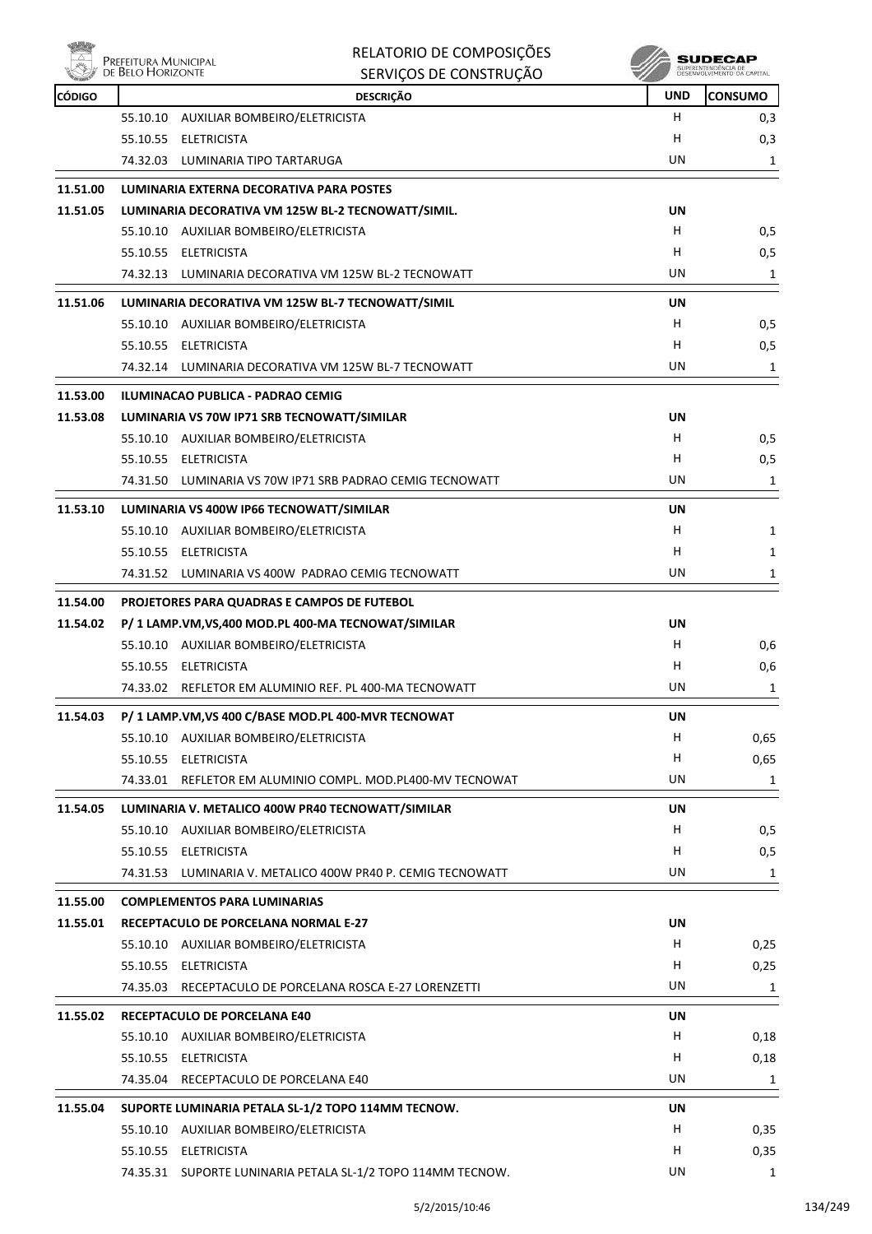

| <b>NOW!</b>   | Prefeitura Municipal<br>de Belo Horizonte | RELATORIO DE COMPOSIÇÕES                                    |            | SUDECAP                                           |
|---------------|-------------------------------------------|-------------------------------------------------------------|------------|---------------------------------------------------|
|               |                                           | SERVIÇOS DE CONSTRUÇÃO                                      |            | SUPERINTENDÊNCIA DE<br>DESENVOLVIMENTO DA CAPITAL |
| <b>CÓDIGO</b> |                                           | <b>DESCRIÇÃO</b>                                            | <b>UND</b> | <b>CONSUMO</b>                                    |
|               | 55.10.10                                  | AUXILIAR BOMBEIRO/ELETRICISTA                               | н          | 0,3                                               |
|               | 55.10.55<br>ELETRICISTA                   |                                                             | н          | 0,3                                               |
|               | 74.32.03 LUMINARIA TIPO TARTARUGA         |                                                             | UN         | 1                                                 |
| 11.51.00      |                                           | LUMINARIA EXTERNA DECORATIVA PARA POSTES                    |            |                                                   |
| 11.51.05      |                                           | LUMINARIA DECORATIVA VM 125W BL-2 TECNOWATT/SIMIL.          | UN         |                                                   |
|               |                                           | 55.10.10 AUXILIAR BOMBEIRO/ELETRICISTA                      | н          | 0,5                                               |
|               | 55.10.55 ELETRICISTA                      |                                                             | н          | 0,5                                               |
|               |                                           | 74.32.13 LUMINARIA DECORATIVA VM 125W BL-2 TECNOWATT        | UN         | 1                                                 |
| 11.51.06      |                                           | LUMINARIA DECORATIVA VM 125W BL-7 TECNOWATT/SIMIL           | UN         |                                                   |
|               |                                           | 55.10.10 AUXILIAR BOMBEIRO/ELETRICISTA                      | н          | 0,5                                               |
|               | 55.10.55<br>ELETRICISTA                   |                                                             | н          | 0,5                                               |
|               |                                           | 74.32.14 LUMINARIA DECORATIVA VM 125W BL-7 TECNOWATT        | UN         | 1                                                 |
| 11.53.00      | ILUMINACAO PUBLICA - PADRAO CEMIG         |                                                             |            |                                                   |
| 11.53.08      |                                           | LUMINARIA VS 70W IP71 SRB TECNOWATT/SIMILAR                 | UN         |                                                   |
|               |                                           | 55.10.10 AUXILIAR BOMBEIRO/ELETRICISTA                      | н          | 0,5                                               |
|               | 55.10.55 ELETRICISTA                      |                                                             | н          | 0,5                                               |
|               |                                           | 74.31.50 LUMINARIA VS 70W IP71 SRB PADRAO CEMIG TECNOWATT   | UN         | 1                                                 |
| 11.53.10      |                                           | LUMINARIA VS 400W IP66 TECNOWATT/SIMILAR                    | UN         |                                                   |
|               |                                           | 55.10.10 AUXILIAR BOMBEIRO/ELETRICISTA                      | н          | 1                                                 |
|               | 55.10.55 ELETRICISTA                      |                                                             | н          | 1                                                 |
|               |                                           | 74.31.52 LUMINARIA VS 400W PADRAO CEMIG TECNOWATT           | UN         | 1                                                 |
|               |                                           |                                                             |            |                                                   |
| 11.54.00      |                                           | PROJETORES PARA QUADRAS E CAMPOS DE FUTEBOL                 |            |                                                   |
| 11.54.02      |                                           | P/ 1 LAMP.VM, VS, 400 MOD.PL 400-MA TECNOWAT/SIMILAR        | UN         |                                                   |
|               |                                           | 55.10.10 AUXILIAR BOMBEIRO/ELETRICISTA                      | н<br>н     | 0,6                                               |
|               | 55.10.55<br>ELETRICISTA                   |                                                             | UN         | 0,6                                               |
|               |                                           | 74.33.02 REFLETOR EM ALUMINIO REF. PL 400-MA TECNOWATT      |            | 1                                                 |
| 11.54.03      |                                           | P/ 1 LAMP.VM, VS 400 C/BASE MOD.PL 400-MVR TECNOWAT         | UN         |                                                   |
|               |                                           | 55.10.10 AUXILIAR BOMBEIRO/ELETRICISTA                      | Н          | 0,65                                              |
|               | 55.10.55<br><b>ELETRICISTA</b>            |                                                             | Н          | 0,65                                              |
|               |                                           | 74.33.01 REFLETOR EM ALUMINIO COMPL. MOD.PL400-MV TECNOWAT  | UN         | $\mathbf{1}$                                      |
| 11.54.05      |                                           | LUMINARIA V. METALICO 400W PR40 TECNOWATT/SIMILAR           | UN         |                                                   |
|               | 55.10.10                                  | AUXILIAR BOMBEIRO/ELETRICISTA                               | H          | 0,5                                               |
|               | 55.10.55 ELETRICISTA                      |                                                             | Н          | 0,5                                               |
|               |                                           | 74.31.53 LUMINARIA V. METALICO 400W PR40 P. CEMIG TECNOWATT | UN         | 1                                                 |
| 11.55.00      | <b>COMPLEMENTOS PARA LUMINARIAS</b>       |                                                             |            |                                                   |
| 11.55.01      |                                           | RECEPTACULO DE PORCELANA NORMAL E-27                        | UN         |                                                   |
|               |                                           | 55.10.10 AUXILIAR BOMBEIRO/ELETRICISTA                      | H          | 0,25                                              |
|               | 55.10.55 ELETRICISTA                      |                                                             | Н          | 0,25                                              |
|               | 74.35.03                                  | RECEPTACULO DE PORCELANA ROSCA E-27 LORENZETTI              | UN         | 1                                                 |
| 11.55.02      | RECEPTACULO DE PORCELANA E40              |                                                             | UN         |                                                   |
|               |                                           | 55.10.10 AUXILIAR BOMBEIRO/ELETRICISTA                      | н          | 0,18                                              |
|               | 55.10.55<br><b>ELETRICISTA</b>            |                                                             | Н          | 0,18                                              |
|               |                                           | 74.35.04 RECEPTACULO DE PORCELANA E40                       | UN         | 1                                                 |
|               |                                           |                                                             |            |                                                   |
| 11.55.04      |                                           | SUPORTE LUMINARIA PETALA SL-1/2 TOPO 114MM TECNOW.          | UN         |                                                   |
|               |                                           | 55.10.10 AUXILIAR BOMBEIRO/ELETRICISTA                      | H          | 0,35                                              |
|               | 55.10.55 ELETRICISTA                      |                                                             | Н          | 0,35                                              |
|               |                                           | 74.35.31 SUPORTE LUNINARIA PETALA SL-1/2 TOPO 114MM TECNOW. | UN         | 1                                                 |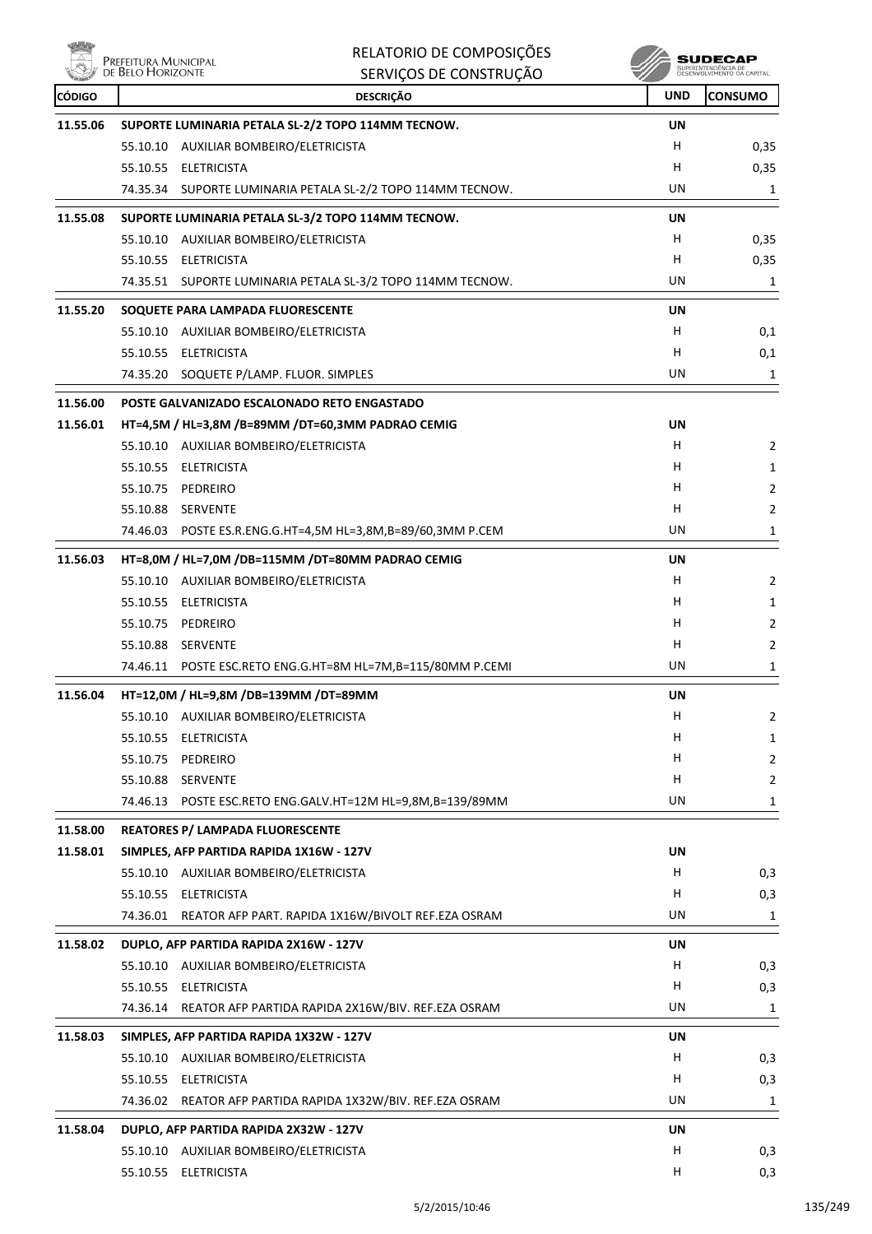

| Nöj           | Prefeitura Municipal<br>de Belo Horizonte | RELATORIO DE COMPOSIÇÕES                                    |            | SUDECAP<br>SUPERINTENDÊNCIA DE<br>DESENVOLVIMENTO DA CAPITAL |
|---------------|-------------------------------------------|-------------------------------------------------------------|------------|--------------------------------------------------------------|
|               |                                           | SERVIÇOS DE CONSTRUÇÃO                                      |            |                                                              |
| <b>CÓDIGO</b> |                                           | <b>DESCRIÇÃO</b>                                            | <b>UND</b> | <b>CONSUMO</b>                                               |
| 11.55.06      |                                           | SUPORTE LUMINARIA PETALA SL-2/2 TOPO 114MM TECNOW.          | UN         |                                                              |
|               |                                           | 55.10.10 AUXILIAR BOMBEIRO/ELETRICISTA                      | н          | 0,35                                                         |
|               |                                           | 55.10.55 ELETRICISTA                                        | н          | 0,35                                                         |
|               |                                           | 74.35.34 SUPORTE LUMINARIA PETALA SL-2/2 TOPO 114MM TECNOW. | UN         | 1                                                            |
| 11.55.08      |                                           | SUPORTE LUMINARIA PETALA SL-3/2 TOPO 114MM TECNOW.          | UN         |                                                              |
|               |                                           | 55.10.10 AUXILIAR BOMBEIRO/ELETRICISTA                      | H          | 0,35                                                         |
|               |                                           | 55.10.55 ELETRICISTA                                        | Н          | 0,35                                                         |
|               |                                           | 74.35.51 SUPORTE LUMINARIA PETALA SL-3/2 TOPO 114MM TECNOW. | UN         | 1                                                            |
| 11.55.20      |                                           | SOQUETE PARA LAMPADA FLUORESCENTE                           | UN         |                                                              |
|               |                                           | 55.10.10 AUXILIAR BOMBEIRO/ELETRICISTA                      | H          | 0,1                                                          |
|               |                                           | 55.10.55 ELETRICISTA                                        | н          | 0,1                                                          |
|               |                                           | 74.35.20 SOQUETE P/LAMP. FLUOR. SIMPLES                     | UN         | 1                                                            |
| 11.56.00      |                                           | POSTE GALVANIZADO ESCALONADO RETO ENGASTADO                 |            |                                                              |
| 11.56.01      |                                           | HT=4,5M / HL=3,8M /B=89MM /DT=60,3MM PADRAO CEMIG           | UN         |                                                              |
|               |                                           | 55.10.10 AUXILIAR BOMBEIRO/ELETRICISTA                      | H          | 2                                                            |
|               |                                           | 55.10.55 ELETRICISTA                                        | н          | 1                                                            |
|               |                                           | 55.10.75 PEDREIRO                                           | н          | 2                                                            |
|               |                                           | 55.10.88 SERVENTE                                           | н          | 2                                                            |
|               |                                           | 74.46.03 POSTE ES.R.ENG.G.HT=4,5M HL=3,8M,B=89/60,3MM P.CEM | UN         | 1                                                            |
| 11.56.03      |                                           | HT=8,0M / HL=7,0M /DB=115MM /DT=80MM PADRAO CEMIG           | UN         |                                                              |
|               |                                           | 55.10.10 AUXILIAR BOMBEIRO/ELETRICISTA                      | H          | 2                                                            |
|               |                                           | 55.10.55 ELETRICISTA                                        | н          | 1                                                            |
|               | 55.10.75                                  | PEDREIRO                                                    | н          | 2                                                            |
|               |                                           | 55.10.88 SERVENTE                                           | H          | 2                                                            |
|               |                                           | 74.46.11 POSTE ESC.RETO ENG.G.HT=8M HL=7M,B=115/80MM P.CEMI | UN         | 1                                                            |
| 11.56.04      |                                           | HT=12,0M / HL=9,8M /DB=139MM /DT=89MM                       | <b>UN</b>  |                                                              |
|               |                                           | 55.10.10 AUXILIAR BOMBEIRO/ELETRICISTA                      | н          | $\overline{2}$                                               |
|               |                                           | 55.10.55 ELETRICISTA                                        | Н          | 1                                                            |
|               |                                           | 55.10.75 PEDREIRO                                           | H          | 2                                                            |
|               |                                           | 55.10.88 SERVENTE                                           | H          | 2                                                            |
|               |                                           | 74.46.13 POSTE ESC.RETO ENG.GALV.HT=12M HL=9,8M,B=139/89MM  | UN         | 1                                                            |
| 11.58.00      |                                           | REATORES P/ LAMPADA FLUORESCENTE                            |            |                                                              |
| 11.58.01      |                                           | SIMPLES, AFP PARTIDA RAPIDA 1X16W - 127V                    | UN         |                                                              |
|               |                                           | 55.10.10 AUXILIAR BOMBEIRO/ELETRICISTA                      | H.         | 0,3                                                          |
|               |                                           | 55.10.55 ELETRICISTA                                        | H          | 0,3                                                          |
|               |                                           | 74.36.01 REATOR AFP PART. RAPIDA 1X16W/BIVOLT REF.EZA OSRAM | UN         | 1                                                            |
| 11.58.02      |                                           | DUPLO, AFP PARTIDA RAPIDA 2X16W - 127V                      | UN         |                                                              |
|               |                                           | 55.10.10 AUXILIAR BOMBEIRO/ELETRICISTA                      | H          | 0,3                                                          |
|               |                                           | 55.10.55 ELETRICISTA                                        | Н          | 0,3                                                          |
|               |                                           | 74.36.14 REATOR AFP PARTIDA RAPIDA 2X16W/BIV. REF.EZA OSRAM | UN         | 1                                                            |
| 11.58.03      |                                           | SIMPLES, AFP PARTIDA RAPIDA 1X32W - 127V                    | UN         |                                                              |
|               |                                           | 55.10.10 AUXILIAR BOMBEIRO/ELETRICISTA                      | H          | 0,3                                                          |
|               |                                           | 55.10.55 ELETRICISTA                                        | H          | 0,3                                                          |
|               |                                           | 74.36.02 REATOR AFP PARTIDA RAPIDA 1X32W/BIV. REF.EZA OSRAM | UN         | 1                                                            |
|               |                                           |                                                             |            |                                                              |
| 11.58.04      |                                           | DUPLO, AFP PARTIDA RAPIDA 2X32W - 127V                      | UN         |                                                              |
|               |                                           | 55.10.10 AUXILIAR BOMBEIRO/ELETRICISTA                      | H          | 0,3                                                          |
|               |                                           | 55.10.55 ELETRICISTA                                        | H          | 0,3                                                          |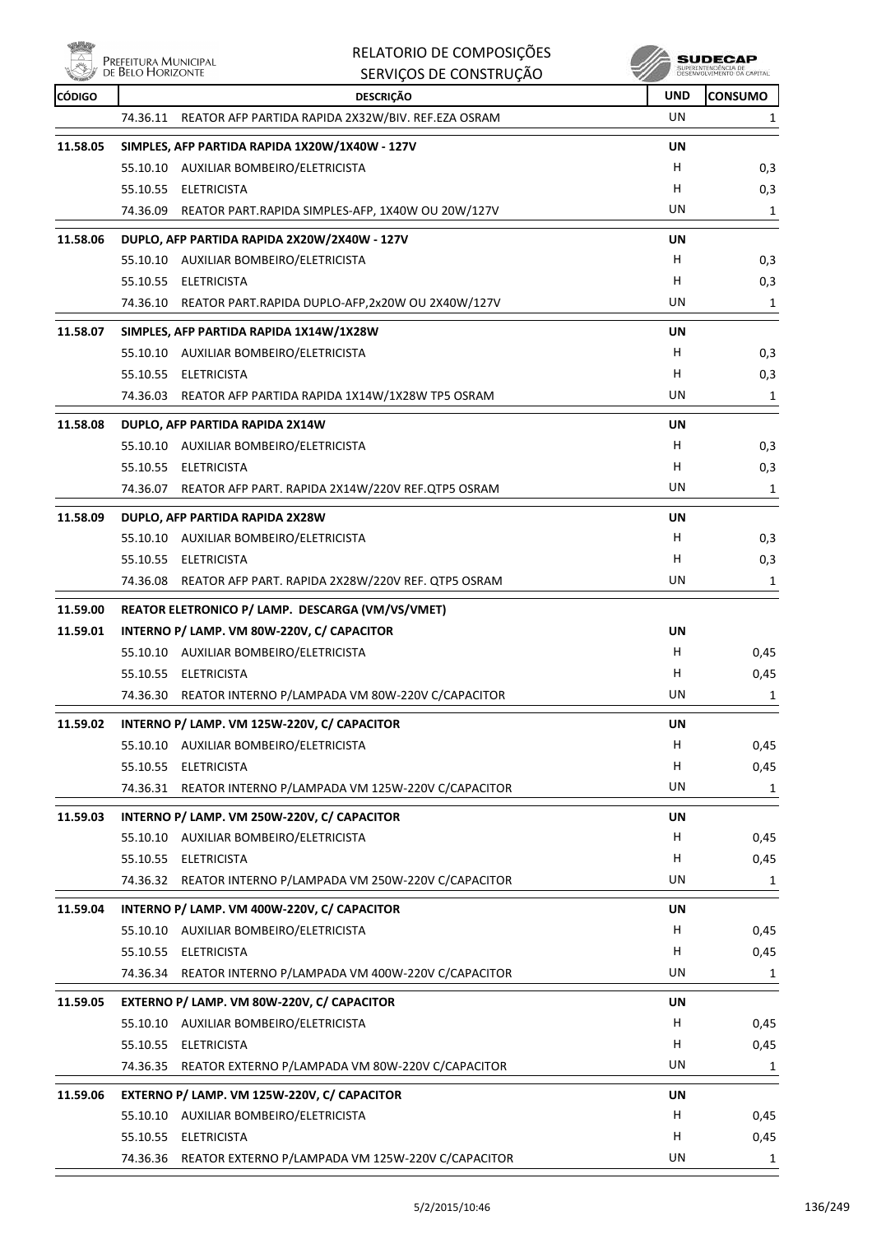**Willy** 

|               | Prefeitura Municipal<br>de Belo Horizonte | RELATORIO DE COMPOSIÇÕES                                    |     | <b>SUDECAP</b>                                    |
|---------------|-------------------------------------------|-------------------------------------------------------------|-----|---------------------------------------------------|
|               |                                           | SERVIÇOS DE CONSTRUÇÃO                                      |     | SUPERINTENDENCIA DE<br>DÉSENVOLVIMENTO DA CAPITAL |
| <b>CÓDIGO</b> |                                           | <b>DESCRIÇÃO</b>                                            | UND | <b>CONSUMO</b>                                    |
|               | 74.36.11                                  | REATOR AFP PARTIDA RAPIDA 2X32W/BIV. REF.EZA OSRAM          | UN  | 1                                                 |
| 11.58.05      |                                           | SIMPLES, AFP PARTIDA RAPIDA 1X20W/1X40W - 127V              | UN  |                                                   |
|               |                                           | 55.10.10 AUXILIAR BOMBEIRO/ELETRICISTA                      | н   | 0,3                                               |
|               |                                           | 55.10.55 ELETRICISTA                                        | н   | 0,3                                               |
|               | 74.36.09                                  | REATOR PART.RAPIDA SIMPLES-AFP, 1X40W OU 20W/127V           | UN  | 1                                                 |
| 11.58.06      |                                           | DUPLO, AFP PARTIDA RAPIDA 2X20W/2X40W - 127V                | UN  |                                                   |
|               |                                           | 55.10.10 AUXILIAR BOMBEIRO/ELETRICISTA                      | H   | 0,3                                               |
|               |                                           | 55.10.55 ELETRICISTA                                        | н   | 0,3                                               |
|               |                                           | 74.36.10 REATOR PART.RAPIDA DUPLO-AFP,2x20W OU 2X40W/127V   | UN  | 1                                                 |
| 11.58.07      |                                           | SIMPLES, AFP PARTIDA RAPIDA 1X14W/1X28W                     | UN  |                                                   |
|               |                                           | 55.10.10 AUXILIAR BOMBEIRO/ELETRICISTA                      | H   | 0,3                                               |
|               |                                           | 55.10.55 ELETRICISTA                                        | н   | 0,3                                               |
|               |                                           | 74.36.03 REATOR AFP PARTIDA RAPIDA 1X14W/1X28W TP5 OSRAM    | UN  | 1                                                 |
| 11.58.08      |                                           | DUPLO, AFP PARTIDA RAPIDA 2X14W                             | UN  |                                                   |
|               |                                           | 55.10.10 AUXILIAR BOMBEIRO/ELETRICISTA                      | н   | 0,3                                               |
|               |                                           | 55.10.55 ELETRICISTA                                        | н   | 0,3                                               |
|               |                                           | 74.36.07 REATOR AFP PART. RAPIDA 2X14W/220V REF.QTP5 OSRAM  | UN  | 1                                                 |
| 11.58.09      |                                           | DUPLO, AFP PARTIDA RAPIDA 2X28W                             | UN  |                                                   |
|               |                                           | 55.10.10 AUXILIAR BOMBEIRO/ELETRICISTA                      | н   | 0,3                                               |
|               |                                           | 55.10.55 ELETRICISTA                                        | н   | 0,3                                               |
|               |                                           | 74.36.08 REATOR AFP PART. RAPIDA 2X28W/220V REF. QTP5 OSRAM | UN  | 1                                                 |
| 11.59.00      |                                           | REATOR ELETRONICO P/ LAMP. DESCARGA (VM/VS/VMET)            |     |                                                   |
| 11.59.01      |                                           | INTERNO P/ LAMP. VM 80W-220V, C/ CAPACITOR                  | UN  |                                                   |
|               |                                           | 55.10.10 AUXILIAR BOMBEIRO/ELETRICISTA                      | H   | 0,45                                              |
|               |                                           | 55.10.55 ELETRICISTA                                        | н   | 0,45                                              |
|               |                                           | 74.36.30 REATOR INTERNO P/LAMPADA VM 80W-220V C/CAPACITOR   | UN  | 1                                                 |
| 11.59.02      |                                           | INTERNO P/ LAMP. VM 125W-220V, C/ CAPACITOR                 | UN  |                                                   |
|               |                                           | 55.10.10 AUXILIAR BOMBEIRO/ELETRICISTA                      | н   | 0,45                                              |
|               |                                           | 55.10.55 ELETRICISTA                                        | H   | 0,45                                              |
|               |                                           | 74.36.31 REATOR INTERNO P/LAMPADA VM 125W-220V C/CAPACITOR  | UN  | 1                                                 |
| 11.59.03      |                                           | INTERNO P/ LAMP. VM 250W-220V, C/ CAPACITOR                 | UN  |                                                   |
|               |                                           | 55.10.10 AUXILIAR BOMBEIRO/ELETRICISTA                      | H.  | 0,45                                              |
|               |                                           | 55.10.55 ELETRICISTA                                        | н   | 0,45                                              |
|               |                                           | 74.36.32 REATOR INTERNO P/LAMPADA VM 250W-220V C/CAPACITOR  | UN  | 1                                                 |
| 11.59.04      |                                           | INTERNO P/ LAMP. VM 400W-220V, C/ CAPACITOR                 | UN  |                                                   |
|               |                                           | 55.10.10 AUXILIAR BOMBEIRO/ELETRICISTA                      | н   | 0,45                                              |
|               | 55.10.55                                  | <b>ELETRICISTA</b>                                          | н   | 0,45                                              |
|               |                                           | 74.36.34 REATOR INTERNO P/LAMPADA VM 400W-220V C/CAPACITOR  | UN  | 1                                                 |
| 11.59.05      |                                           | EXTERNO P/ LAMP. VM 80W-220V, C/ CAPACITOR                  | UN  |                                                   |
|               |                                           | 55.10.10 AUXILIAR BOMBEIRO/ELETRICISTA                      | н   | 0,45                                              |
|               |                                           | 55.10.55 ELETRICISTA                                        | н   | 0,45                                              |
|               |                                           | 74.36.35 REATOR EXTERNO P/LAMPADA VM 80W-220V C/CAPACITOR   | UN  | 1                                                 |
| 11.59.06      |                                           | EXTERNO P/ LAMP. VM 125W-220V, C/ CAPACITOR                 | UN  |                                                   |
|               |                                           | 55.10.10 AUXILIAR BOMBEIRO/ELETRICISTA                      | н   | 0,45                                              |
|               |                                           | 55.10.55 ELETRICISTA                                        | H   | 0,45                                              |
|               |                                           | 74.36.36 REATOR EXTERNO P/LAMPADA VM 125W-220V C/CAPACITOR  | UN  | 1                                                 |
|               |                                           |                                                             |     |                                                   |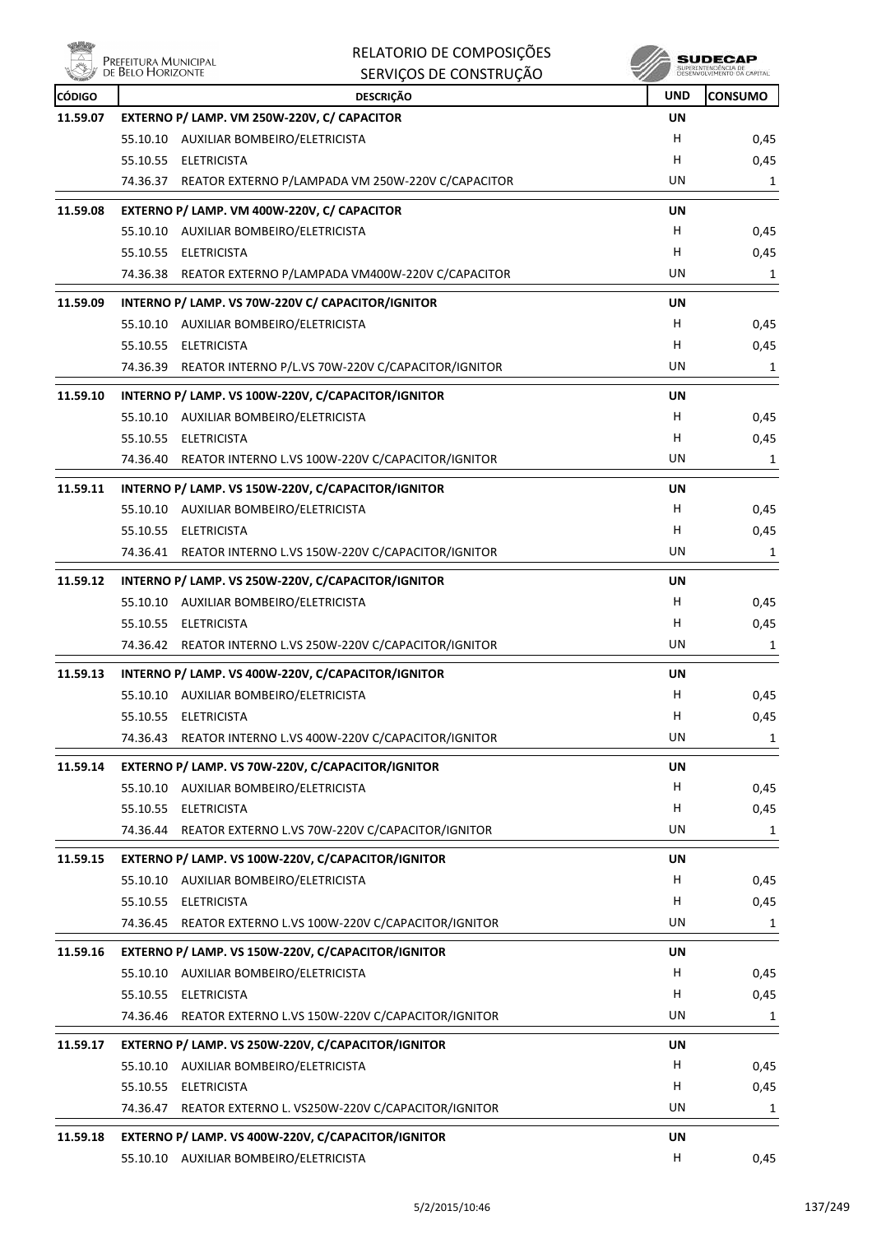

| 动物            | RELATORIO DE COMPOSIÇÕES<br>Prefeitura Municipal<br>de Belo Horizonte |            | SUDECAP        |
|---------------|-----------------------------------------------------------------------|------------|----------------|
| <b>CÓDIGO</b> | SERVIÇOS DE CONSTRUÇÃO                                                | <b>UND</b> | <b>CONSUMO</b> |
| 11.59.07      | <b>DESCRIÇÃO</b><br>EXTERNO P/ LAMP. VM 250W-220V, C/ CAPACITOR       | <b>UN</b>  |                |
|               | 55.10.10 AUXILIAR BOMBEIRO/ELETRICISTA                                | H          | 0,45           |
|               | 55.10.55 ELETRICISTA                                                  | H          | 0,45           |
|               | 74.36.37 REATOR EXTERNO P/LAMPADA VM 250W-220V C/CAPACITOR            | UN         | 1              |
| 11.59.08      | EXTERNO P/ LAMP. VM 400W-220V, C/ CAPACITOR                           | UN         |                |
|               | 55.10.10 AUXILIAR BOMBEIRO/ELETRICISTA                                | H          | 0,45           |
|               | 55.10.55 ELETRICISTA                                                  | н          | 0,45           |
|               | 74.36.38 REATOR EXTERNO P/LAMPADA VM400W-220V C/CAPACITOR             | UN         | 1              |
| 11.59.09      | INTERNO P/ LAMP. VS 70W-220V C/ CAPACITOR/IGNITOR                     | UN         |                |
|               | 55.10.10 AUXILIAR BOMBEIRO/ELETRICISTA                                | H          | 0,45           |
|               | 55.10.55 ELETRICISTA                                                  | н          | 0,45           |
|               | 74.36.39 REATOR INTERNO P/L.VS 70W-220V C/CAPACITOR/IGNITOR           | UN         | 1              |
| 11.59.10      | INTERNO P/ LAMP. VS 100W-220V, C/CAPACITOR/IGNITOR                    | UN         |                |
|               | 55.10.10 AUXILIAR BOMBEIRO/ELETRICISTA                                | H          | 0,45           |
|               | 55.10.55 ELETRICISTA                                                  | H          | 0,45           |
|               | 74.36.40 REATOR INTERNO L.VS 100W-220V C/CAPACITOR/IGNITOR            | UN         | 1              |
| 11.59.11      | INTERNO P/ LAMP. VS 150W-220V, C/CAPACITOR/IGNITOR                    | UN         |                |
|               | 55.10.10 AUXILIAR BOMBEIRO/ELETRICISTA                                | H          | 0,45           |
|               | 55.10.55 ELETRICISTA                                                  | H          | 0,45           |
|               | 74.36.41 REATOR INTERNO L.VS 150W-220V C/CAPACITOR/IGNITOR            | UN         | 1              |
| 11.59.12      | INTERNO P/ LAMP. VS 250W-220V, C/CAPACITOR/IGNITOR                    | UN         |                |
|               | 55.10.10 AUXILIAR BOMBEIRO/ELETRICISTA                                | н          | 0,45           |
|               | 55.10.55 ELETRICISTA                                                  | H          | 0,45           |
|               | 74.36.42 REATOR INTERNO L.VS 250W-220V C/CAPACITOR/IGNITOR            | UN         | 1              |
| 11.59.13      | INTERNO P/ LAMP. VS 400W-220V, C/CAPACITOR/IGNITOR                    | <b>UN</b>  |                |
|               | 55.10.10 AUXILIAR BOMBEIRO/ELETRICISTA                                | H.         | 0,45           |
|               | 55.10.55 ELETRICISTA                                                  | H          | 0,45           |
|               | 74.36.43 REATOR INTERNO L.VS 400W-220V C/CAPACITOR/IGNITOR            | UN         | 1              |
| 11.59.14      | EXTERNO P/ LAMP. VS 70W-220V, C/CAPACITOR/IGNITOR                     | UN         |                |
|               | 55.10.10 AUXILIAR BOMBEIRO/ELETRICISTA                                | н          | 0,45           |
|               | 55.10.55 ELETRICISTA                                                  | Н          | 0,45           |
|               | 74.36.44 REATOR EXTERNO L.VS 70W-220V C/CAPACITOR/IGNITOR             | UN         | 1              |
| 11.59.15      | EXTERNO P/ LAMP. VS 100W-220V, C/CAPACITOR/IGNITOR                    | UN         |                |
|               | 55.10.10 AUXILIAR BOMBEIRO/ELETRICISTA                                | H          | 0,45           |
|               | 55.10.55 ELETRICISTA                                                  | H          | 0,45           |
|               | 74.36.45 REATOR EXTERNO L.VS 100W-220V C/CAPACITOR/IGNITOR            | UN         | 1              |
| 11.59.16      | EXTERNO P/ LAMP. VS 150W-220V, C/CAPACITOR/IGNITOR                    | UN         |                |
|               | 55.10.10 AUXILIAR BOMBEIRO/ELETRICISTA                                | H          | 0,45           |
|               | 55.10.55 ELETRICISTA                                                  | H          | 0,45           |
|               | 74.36.46 REATOR EXTERNO L.VS 150W-220V C/CAPACITOR/IGNITOR            | UN         | 1              |
| 11.59.17      | EXTERNO P/ LAMP. VS 250W-220V, C/CAPACITOR/IGNITOR                    | UN         |                |
|               | 55.10.10 AUXILIAR BOMBEIRO/ELETRICISTA                                | H          | 0,45           |
|               | 55.10.55 ELETRICISTA                                                  | H          | 0,45           |
|               | 74.36.47 REATOR EXTERNO L. VS250W-220V C/CAPACITOR/IGNITOR            | UN         | 1              |
| 11.59.18      | EXTERNO P/ LAMP. VS 400W-220V, C/CAPACITOR/IGNITOR                    | UN         |                |
|               | 55.10.10 AUXILIAR BOMBEIRO/ELETRICISTA                                | H          | 0,45           |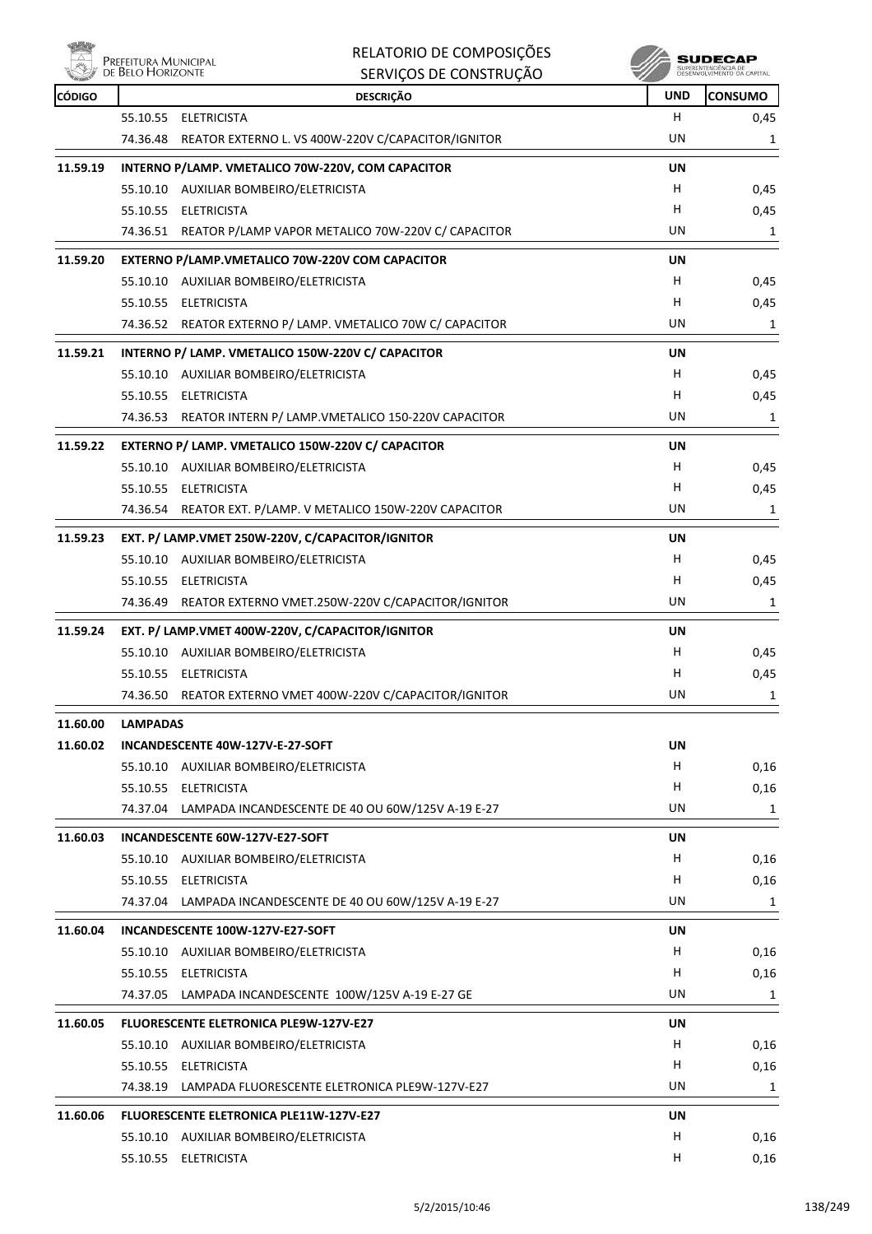|          | Prefeitura Municipal<br>de Belo Horizonte | RELATORIO DE COMPOSIÇÕES<br>SERVIÇOS DE CONSTRUÇÃO          |            | SUDECAF<br>SUPERINTENDÊNCIA DE<br>DESENVOLVIMENTO DA CAPITAL |
|----------|-------------------------------------------|-------------------------------------------------------------|------------|--------------------------------------------------------------|
| CÓDIGO   |                                           | <b>DESCRIÇÃO</b>                                            | <b>UND</b> | <b>CONSUMO</b>                                               |
|          | 55.10.55<br><b>ELETRICISTA</b>            |                                                             | H          | 0,45                                                         |
|          | 74.36.48                                  | REATOR EXTERNO L. VS 400W-220V C/CAPACITOR/IGNITOR          | UN         | 1                                                            |
| 11.59.19 |                                           | INTERNO P/LAMP. VMETALICO 70W-220V, COM CAPACITOR           | UN         |                                                              |
|          | 55.10.10 AUXILIAR BOMBEIRO/ELETRICISTA    |                                                             | H.         | 0,45                                                         |
|          | 55.10.55 ELETRICISTA                      |                                                             | H          | 0,45                                                         |
|          | 74.36.51                                  | REATOR P/LAMP VAPOR METALICO 70W-220V C/ CAPACITOR          | UN         | 1                                                            |
| 11.59.20 |                                           | EXTERNO P/LAMP.VMETALICO 70W-220V COM CAPACITOR             | UN         |                                                              |
|          | 55.10.10 AUXILIAR BOMBEIRO/ELETRICISTA    |                                                             | H.         | 0,45                                                         |
|          | 55.10.55 ELETRICISTA                      |                                                             | н          | 0,45                                                         |
|          |                                           | 74.36.52 REATOR EXTERNO P/ LAMP. VMETALICO 70W C/ CAPACITOR | UN         | 1                                                            |
| 11.59.21 |                                           | INTERNO P/ LAMP. VMETALICO 150W-220V C/ CAPACITOR           | UN         |                                                              |
|          | 55.10.10 AUXILIAR BOMBEIRO/ELETRICISTA    |                                                             | H.         | 0,45                                                         |
|          | 55.10.55 ELETRICISTA                      |                                                             | н          | 0,45                                                         |
|          | 74.36.53                                  | REATOR INTERN P/ LAMP.VMETALICO 150-220V CAPACITOR          | UN         | 1                                                            |
| 11.59.22 |                                           | EXTERNO P/ LAMP. VMETALICO 150W-220V C/ CAPACITOR           | UN         |                                                              |
|          | 55.10.10 AUXILIAR BOMBEIRO/ELETRICISTA    |                                                             | H.         | 0,45                                                         |
|          | 55.10.55 ELETRICISTA                      |                                                             | н          | 0,45                                                         |
|          |                                           | 74.36.54 REATOR EXT. P/LAMP. V METALICO 150W-220V CAPACITOR | UN         | 1                                                            |
| 11.59.23 |                                           | EXT. P/ LAMP.VMET 250W-220V, C/CAPACITOR/IGNITOR            | UN         |                                                              |
|          | 55.10.10 AUXILIAR BOMBEIRO/ELETRICISTA    |                                                             | H.         | 0,45                                                         |
|          | 55.10.55 ELETRICISTA                      |                                                             | н          | 0,45                                                         |
|          | 74.36.49                                  | REATOR EXTERNO VMET.250W-220V C/CAPACITOR/IGNITOR           | UN         | 1                                                            |
| 11.59.24 |                                           | EXT. P/ LAMP.VMET 400W-220V, C/CAPACITOR/IGNITOR            | UN         |                                                              |
|          | 55.10.10 AUXILIAR BOMBEIRO/ELETRICISTA    |                                                             | н          | 0,45                                                         |
|          | 55.10.55 ELETRICISTA                      |                                                             | н          | 0,45                                                         |
|          |                                           | 74.36.50 REATOR EXTERNO VMET 400W-220V C/CAPACITOR/IGNITOR  | UN         | 1                                                            |
| 11.60.00 | <b>LAMPADAS</b>                           |                                                             |            |                                                              |
| 11.60.02 | INCANDESCENTE 40W-127V-E-27-SOFT          |                                                             | UN         |                                                              |
|          | 55.10.10 AUXILIAR BOMBEIRO/ELETRICISTA    |                                                             | H          | 0,16                                                         |
|          | 55.10.55<br><b>ELETRICISTA</b>            |                                                             | н          | 0,16                                                         |
|          |                                           | 74.37.04 LAMPADA INCANDESCENTE DE 40 OU 60W/125V A-19 E-27  | UN         | 1                                                            |

|          |          | 74.37.04 LAMPADA INCANDESCENTE DE 40 OU 60W/125V A-19 E-27 | <b>UN</b> | 1    |
|----------|----------|------------------------------------------------------------|-----------|------|
| 11.60.03 |          | INCANDESCENTE 60W-127V-E27-SOFT                            | UN        |      |
|          | 55.10.10 | AUXILIAR BOMBEIRO/ELETRICISTA                              | H         | 0,16 |
|          | 55.10.55 | <b>ELETRICISTA</b>                                         | н         | 0,16 |
|          |          | 74.37.04 LAMPADA INCANDESCENTE DE 40 OU 60W/125V A-19 E-27 | UN        | 1    |
| 11.60.04 |          | INCANDESCENTE 100W-127V-E27-SOFT                           | <b>UN</b> |      |
|          | 55.10.10 | AUXILIAR BOMBEIRO/ELETRICISTA                              | н         | 0,16 |
|          | 55.10.55 | ELETRICISTA                                                | H         | 0,16 |
|          |          | 74.37.05 LAMPADA INCANDESCENTE 100W/125V A-19 E-27 GE      | UN        | 1    |
| 11.60.05 |          | <b>FLUORESCENTE ELETRONICA PLE9W-127V-E27</b>              | UN        |      |
|          | 55.10.10 | AUXILIAR BOMBEIRO/ELETRICISTA                              | H         | 0,16 |
|          | 55.10.55 | <b>ELETRICISTA</b>                                         | H         | 0,16 |
|          |          | 74.38.19 LAMPADA FLUORESCENTE ELETRONICA PLE9W-127V-E27    | UN        | 1    |
| 11.60.06 |          | <b>FLUORESCENTE ELETRONICA PLE11W-127V-E27</b>             | UN        |      |
|          | 55.10.10 | AUXILIAR BOMBEIRO/ELETRICISTA                              | н         | 0,16 |
|          |          | 55.10.55 ELETRICISTA                                       | Н         | 0,16 |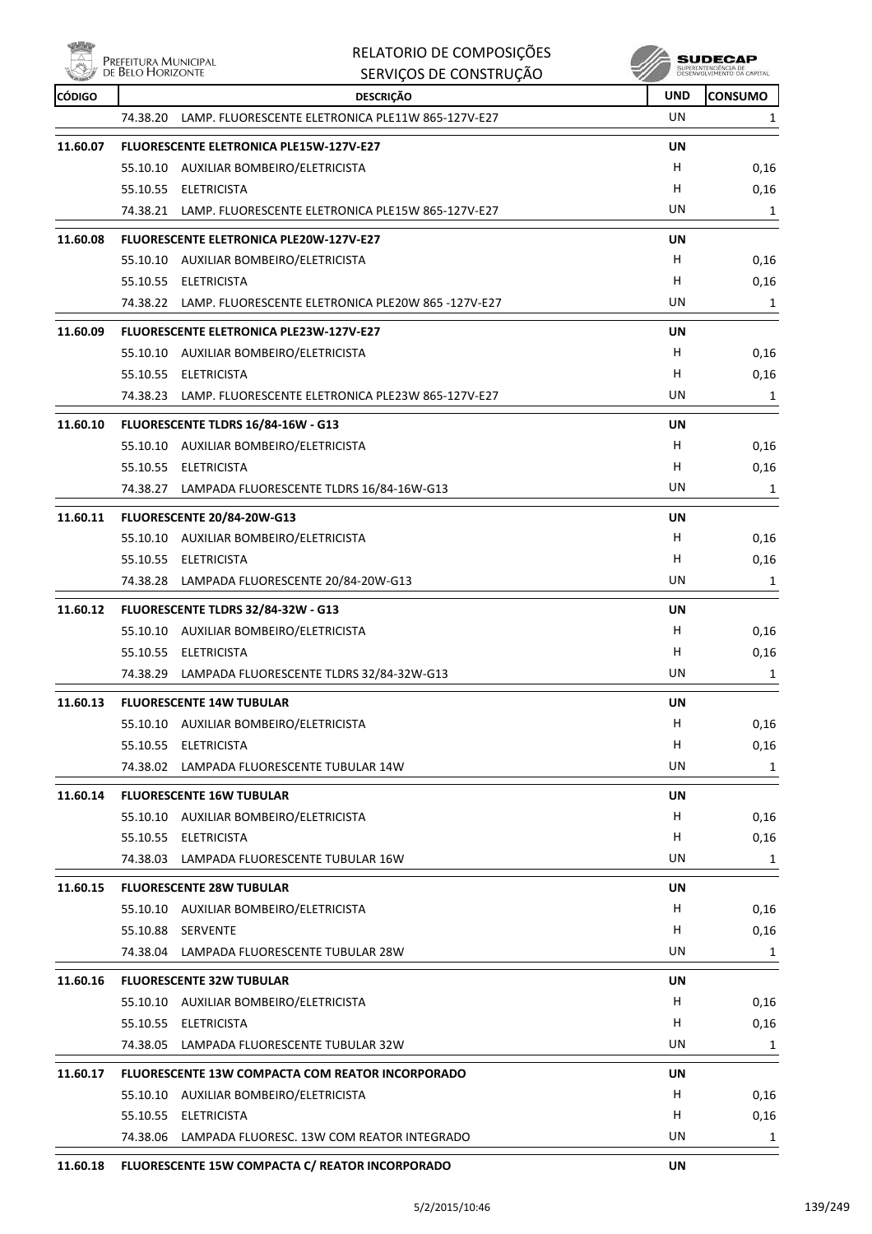**Willip** 

| <b>Moley</b> | Prefeitura Municipal<br>de Belo Horizonte | RELATORIO DE COMPOSIÇÕES                                       |            | SUDECAP<br>SUPERINTENDÊNCIA DE<br>DESENVOLVIMENTO DA CAPITAL |
|--------------|-------------------------------------------|----------------------------------------------------------------|------------|--------------------------------------------------------------|
|              |                                           | SERVIÇOS DE CONSTRUÇÃO                                         |            |                                                              |
| CÓDIGO       |                                           | <b>DESCRIÇÃO</b>                                               | <b>UND</b> | <b>CONSUMO</b>                                               |
|              | 74.38.20                                  | LAMP. FLUORESCENTE ELETRONICA PLE11W 865-127V-E27              | UN         | 1                                                            |
| 11.60.07     |                                           | <b>FLUORESCENTE ELETRONICA PLE15W-127V-E27</b>                 | UN         |                                                              |
|              |                                           | 55.10.10 AUXILIAR BOMBEIRO/ELETRICISTA                         | H          | 0,16                                                         |
|              |                                           | 55.10.55 ELETRICISTA                                           | H          | 0,16                                                         |
|              |                                           | 74.38.21 LAMP. FLUORESCENTE ELETRONICA PLE15W 865-127V-E27     | UN         | 1                                                            |
| 11.60.08     |                                           | <b>FLUORESCENTE ELETRONICA PLE20W-127V-E27</b>                 | UN         |                                                              |
|              |                                           | 55.10.10 AUXILIAR BOMBEIRO/ELETRICISTA                         | H.         | 0,16                                                         |
|              |                                           | 55.10.55 ELETRICISTA                                           | H          | 0,16                                                         |
|              |                                           | 74.38.22 LAMP. FLUORESCENTE ELETRONICA PLE20W 865-127V-E27     | UN         | 1                                                            |
| 11.60.09     |                                           | <b>FLUORESCENTE ELETRONICA PLE23W-127V-E27</b>                 | UN         |                                                              |
|              |                                           | 55.10.10 AUXILIAR BOMBEIRO/ELETRICISTA                         | H          | 0,16                                                         |
|              |                                           | 55.10.55 ELETRICISTA                                           | H          | 0,16                                                         |
|              |                                           | 74.38.23 LAMP. FLUORESCENTE ELETRONICA PLE23W 865-127V-E27     | UN         | 1                                                            |
| 11.60.10     |                                           | FLUORESCENTE TLDRS 16/84-16W - G13                             | UN         |                                                              |
|              |                                           | 55.10.10 AUXILIAR BOMBEIRO/ELETRICISTA                         | H          | 0,16                                                         |
|              |                                           | 55.10.55 ELETRICISTA                                           | н          | 0,16                                                         |
|              |                                           | 74.38.27 LAMPADA FLUORESCENTE TLDRS 16/84-16W-G13              | UN         | 1                                                            |
| 11.60.11     |                                           | FLUORESCENTE 20/84-20W-G13                                     | UN         |                                                              |
|              |                                           | 55.10.10 AUXILIAR BOMBEIRO/ELETRICISTA                         | H          | 0,16                                                         |
|              |                                           | 55.10.55 ELETRICISTA                                           | н          | 0,16                                                         |
|              |                                           | 74.38.28 LAMPADA FLUORESCENTE 20/84-20W-G13                    | UN         | 1                                                            |
| 11.60.12     |                                           | FLUORESCENTE TLDRS 32/84-32W - G13                             | UN         |                                                              |
|              |                                           | 55.10.10 AUXILIAR BOMBEIRO/ELETRICISTA                         | H          | 0,16                                                         |
|              |                                           | 55.10.55 ELETRICISTA                                           | н          | 0,16                                                         |
|              | 74.38.29                                  | LAMPADA FLUORESCENTE TLDRS 32/84-32W-G13                       | UN         | 1                                                            |
| 11.60.13     |                                           | <b>FLUORESCENTE 14W TUBULAR</b>                                | UN         |                                                              |
|              |                                           | 55.10.10 AUXILIAR BOMBEIRO/ELETRICISTA                         | H          | 0,16                                                         |
|              |                                           | 55.10.55 ELETRICISTA                                           | H          | 0,16                                                         |
|              |                                           | 74.38.02 LAMPADA FLUORESCENTE TUBULAR 14W                      | UN         | $\mathbf{1}$                                                 |
| 11.60.14     |                                           | <b>FLUORESCENTE 16W TUBULAR</b>                                | UN         |                                                              |
|              |                                           | 55.10.10 AUXILIAR BOMBEIRO/ELETRICISTA                         | H          | 0,16                                                         |
|              |                                           | 55.10.55 ELETRICISTA                                           | H.         | 0,16                                                         |
|              |                                           | 74.38.03 LAMPADA FLUORESCENTE TUBULAR 16W                      | UN         | 1                                                            |
| 11.60.15     |                                           | <b>FLUORESCENTE 28W TUBULAR</b>                                | UN         |                                                              |
|              |                                           | 55.10.10 AUXILIAR BOMBEIRO/ELETRICISTA                         | H          | 0,16                                                         |
|              | 55.10.88 SERVENTE                         |                                                                | H          | 0,16                                                         |
|              |                                           | 74.38.04 LAMPADA FLUORESCENTE TUBULAR 28W                      | UN         | 1                                                            |
| 11.60.16     |                                           | <b>FLUORESCENTE 32W TUBULAR</b>                                | UN         |                                                              |
|              |                                           | 55.10.10 AUXILIAR BOMBEIRO/ELETRICISTA                         | H          | 0,16                                                         |
|              |                                           | 55.10.55 ELETRICISTA                                           | Н          | 0,16                                                         |
|              |                                           | 74.38.05 LAMPADA FLUORESCENTE TUBULAR 32W                      | UN         | 1                                                            |
|              |                                           |                                                                |            |                                                              |
| 11.60.17     |                                           | FLUORESCENTE 13W COMPACTA COM REATOR INCORPORADO               | UN<br>H.   |                                                              |
|              |                                           | 55.10.10 AUXILIAR BOMBEIRO/ELETRICISTA<br>55.10.55 ELETRICISTA | H          | 0,16<br>0,16                                                 |
|              |                                           | 74.38.06 LAMPADA FLUORESC. 13W COM REATOR INTEGRADO            | UN         | 1                                                            |
|              |                                           |                                                                | i i Ki     |                                                              |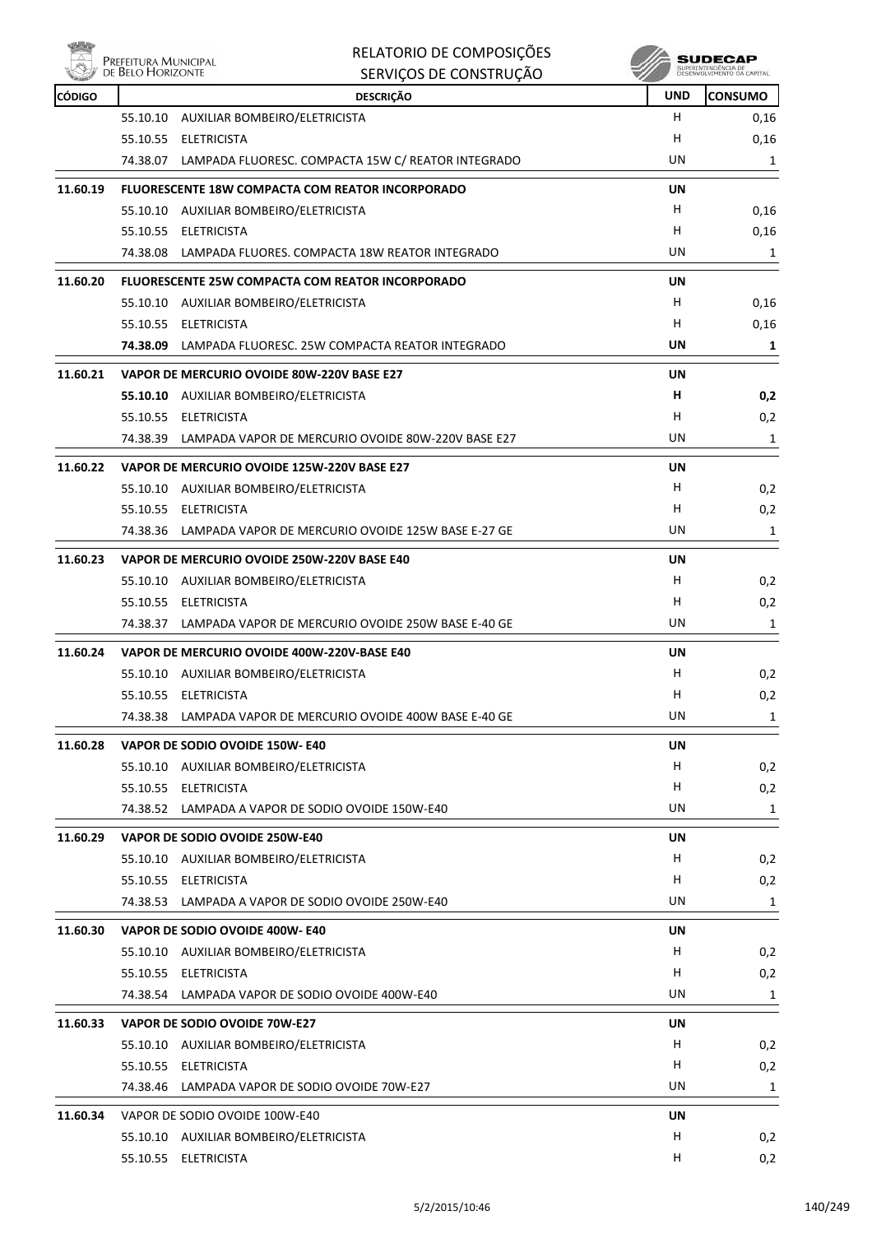

| RELATORIO DE COMPOSIÇÕES |
|--------------------------|
| SERVICOS DE CONSTRUÇÃO   |

| CÓDIGO   |          | <b>DESCRIÇÃO</b>                                            | <b>UND</b> | <b>CONSUMO</b> |
|----------|----------|-------------------------------------------------------------|------------|----------------|
|          |          | 55.10.10 AUXILIAR BOMBEIRO/ELETRICISTA                      | H.         | 0,16           |
|          |          | 55.10.55 ELETRICISTA                                        | н          | 0,16           |
|          |          | 74.38.07 LAMPADA FLUORESC. COMPACTA 15W C/ REATOR INTEGRADO | UN         | 1              |
| 11.60.19 |          | <b>FLUORESCENTE 18W COMPACTA COM REATOR INCORPORADO</b>     | UN         |                |
|          |          | 55.10.10 AUXILIAR BOMBEIRO/ELETRICISTA                      | H.         | 0,16           |
|          |          | 55.10.55 ELETRICISTA                                        | H          | 0,16           |
|          |          | 74.38.08 LAMPADA FLUORES. COMPACTA 18W REATOR INTEGRADO     | UN         | $\mathbf{1}$   |
| 11.60.20 |          | <b>FLUORESCENTE 25W COMPACTA COM REATOR INCORPORADO</b>     | <b>UN</b>  |                |
|          |          | 55.10.10 AUXILIAR BOMBEIRO/ELETRICISTA                      | H.         | 0,16           |
|          |          | 55.10.55 ELETRICISTA                                        | H.         | 0,16           |
|          |          | 74.38.09 LAMPADA FLUORESC. 25W COMPACTA REATOR INTEGRADO    | UN         | 1              |
| 11.60.21 |          | VAPOR DE MERCURIO OVOIDE 80W-220V BASE E27                  | UN         |                |
|          |          | 55.10.10 AUXILIAR BOMBEIRO/ELETRICISTA                      | н          | 0,2            |
|          |          | 55.10.55 ELETRICISTA                                        | н          | 0,2            |
|          |          | 74.38.39 LAMPADA VAPOR DE MERCURIO OVOIDE 80W-220V BASE E27 | UN         | 1              |
| 11.60.22 |          | VAPOR DE MERCURIO OVOIDE 125W-220V BASE E27                 | UN         |                |
|          |          | 55.10.10 AUXILIAR BOMBEIRO/ELETRICISTA                      | H.         | 0,2            |
|          |          | 55.10.55 ELETRICISTA                                        | H.         | 0,2            |
|          |          | 74.38.36 LAMPADA VAPOR DE MERCURIO OVOIDE 125W BASE E-27 GE | UN         | 1              |
| 11.60.23 |          | VAPOR DE MERCURIO OVOIDE 250W-220V BASE E40                 | UN         |                |
|          |          | 55.10.10 AUXILIAR BOMBEIRO/ELETRICISTA                      | H          | 0,2            |
|          |          | 55.10.55 ELETRICISTA                                        | H          | 0,2            |
|          |          | 74.38.37 LAMPADA VAPOR DE MERCURIO OVOIDE 250W BASE E-40 GE | UN.        | $\mathbf{1}$   |
| 11.60.24 |          | VAPOR DE MERCURIO OVOIDE 400W-220V-BASE E40                 | UN         |                |
|          |          | 55.10.10 AUXILIAR BOMBEIRO/ELETRICISTA                      | H.         | 0,2            |
|          |          | 55.10.55 ELETRICISTA                                        | H          | 0,2            |
|          |          | 74.38.38 LAMPADA VAPOR DE MERCURIO OVOIDE 400W BASE E-40 GE | UN         | $\mathbf{1}$   |
| 11.60.28 |          | VAPOR DE SODIO OVOIDE 150W- E40                             | UN         |                |
|          |          | 55.10.10 AUXILIAR BOMBEIRO/ELETRICISTA                      | H          | 0,2            |
|          |          | 55.10.55 ELETRICISTA                                        | H.         | 0,2            |
|          |          | 74.38.52 LAMPADA A VAPOR DE SODIO OVOIDE 150W-E40           | UN         | 1              |
| 11.60.29 |          | VAPOR DE SODIO OVOIDE 250W-E40                              | UN         |                |
|          |          | 55.10.10 AUXILIAR BOMBEIRO/ELETRICISTA                      | H.         | 0,2            |
|          |          | 55.10.55 ELETRICISTA                                        | н          | 0,2            |
|          |          | 74.38.53 LAMPADA A VAPOR DE SODIO OVOIDE 250W-E40           | UN         | 1              |
| 11.60.30 |          | VAPOR DE SODIO OVOIDE 400W- E40                             | UN         |                |
|          |          | 55.10.10 AUXILIAR BOMBEIRO/ELETRICISTA                      | Н.         | 0,2            |
|          |          | 55.10.55 ELETRICISTA                                        | H          | 0,2            |
|          |          | 74.38.54 LAMPADA VAPOR DE SODIO OVOIDE 400W-E40             | UN         | 1              |
| 11.60.33 |          | VAPOR DE SODIO OVOIDE 70W-E27                               | UN         |                |
|          |          | 55.10.10 AUXILIAR BOMBEIRO/ELETRICISTA                      | H          | 0,2            |
|          |          | 55.10.55 ELETRICISTA                                        | H          | 0,2            |
|          | 74.38.46 | LAMPADA VAPOR DE SODIO OVOIDE 70W-E27                       | UN         | 1              |
| 11.60.34 |          | VAPOR DE SODIO OVOIDE 100W-E40                              | UN         |                |
|          |          | 55.10.10 AUXILIAR BOMBEIRO/ELETRICISTA                      | H          | 0,2            |
|          |          | 55.10.55 ELETRICISTA                                        | H          | 0,2            |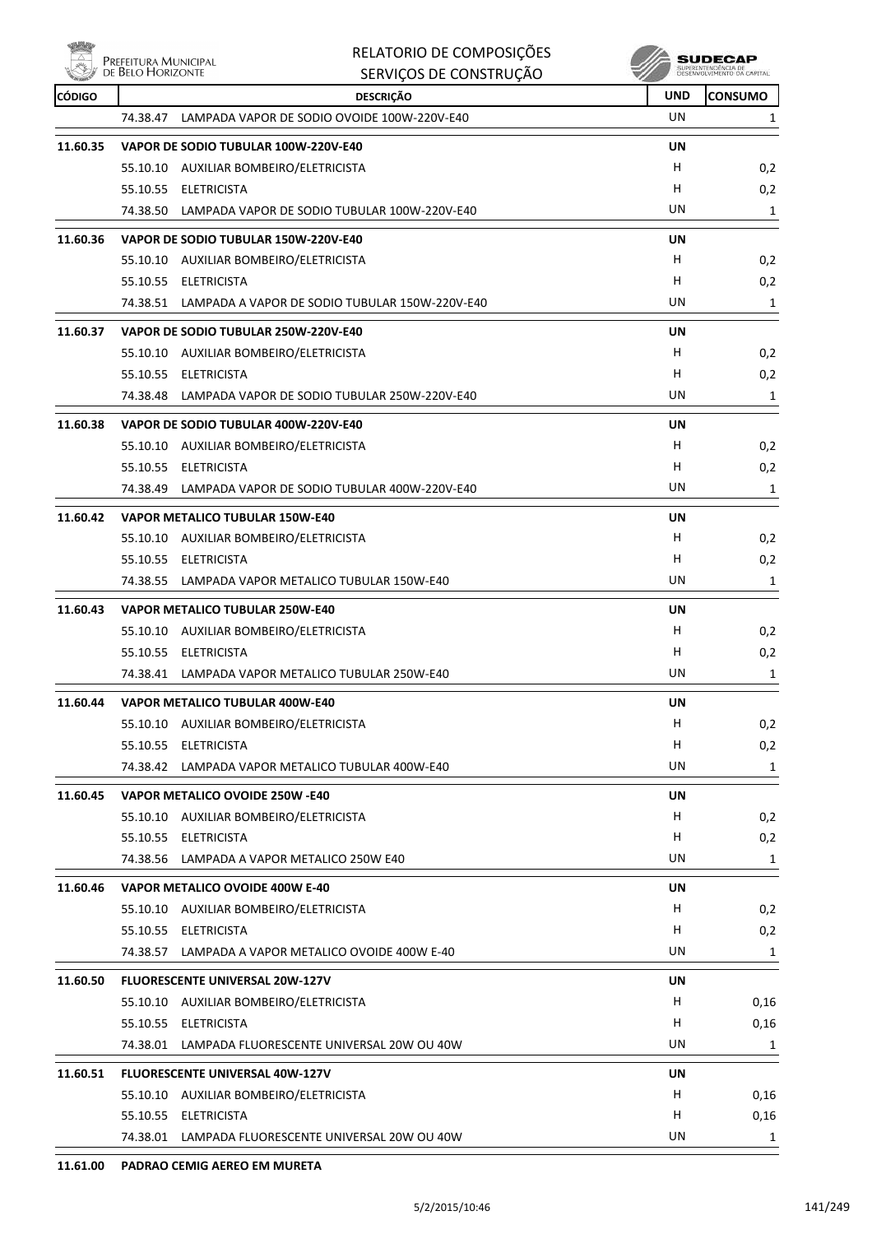**EXAMPLE PREFEITURA MUNICIPAL** 

|               | DE BELO HORIZONTE | SERVIÇOS DE CONSTRUÇÃO                                  |            | SUPERINTENDÊNCIA DE<br>DESENVOLVIMENTO DA CAPITAL |
|---------------|-------------------|---------------------------------------------------------|------------|---------------------------------------------------|
| <b>CÓDIGO</b> |                   | <b>DESCRIÇÃO</b>                                        | <b>UND</b> | <b>CONSUMO</b>                                    |
|               |                   | 74.38.47 LAMPADA VAPOR DE SODIO OVOIDE 100W-220V-E40    | UN         | 1                                                 |
| 11.60.35      |                   | VAPOR DE SODIO TUBULAR 100W-220V-E40                    | UN         |                                                   |
|               |                   | 55.10.10 AUXILIAR BOMBEIRO/ELETRICISTA                  | н          | 0,2                                               |
|               |                   | 55.10.55 ELETRICISTA                                    | н          | 0,2                                               |
|               |                   | 74.38.50 LAMPADA VAPOR DE SODIO TUBULAR 100W-220V-E40   | UN         | 1                                                 |
| 11.60.36      |                   | VAPOR DE SODIO TUBULAR 150W-220V-E40                    | UN         |                                                   |
|               |                   | 55.10.10 AUXILIAR BOMBEIRO/ELETRICISTA                  | н          | 0,2                                               |
|               |                   | 55.10.55 ELETRICISTA                                    | н          | 0,2                                               |
|               |                   | 74.38.51 LAMPADA A VAPOR DE SODIO TUBULAR 150W-220V-E40 | UN         | 1                                                 |
| 11.60.37      |                   | VAPOR DE SODIO TUBULAR 250W-220V-E40                    | UN         |                                                   |
|               |                   | 55.10.10 AUXILIAR BOMBEIRO/ELETRICISTA                  | H          | 0,2                                               |
|               |                   | 55.10.55 ELETRICISTA                                    | н          | 0,2                                               |
|               | 74.38.48          | LAMPADA VAPOR DE SODIO TUBULAR 250W-220V-E40            | UN         | 1                                                 |
| 11.60.38      |                   | VAPOR DE SODIO TUBULAR 400W-220V-E40                    | UN         |                                                   |
|               |                   | 55.10.10 AUXILIAR BOMBEIRO/ELETRICISTA                  | н          | 0,2                                               |
|               |                   | 55.10.55 ELETRICISTA                                    | н          | 0,2                                               |
|               | 74.38.49          | LAMPADA VAPOR DE SODIO TUBULAR 400W-220V-E40            | UN         | 1                                                 |
| 11.60.42      |                   | <b>VAPOR METALICO TUBULAR 150W-E40</b>                  | UN         |                                                   |
|               |                   | 55.10.10 AUXILIAR BOMBEIRO/ELETRICISTA                  | H          | 0,2                                               |
|               |                   | 55.10.55 ELETRICISTA                                    | н          | 0,2                                               |
|               |                   | 74.38.55 LAMPADA VAPOR METALICO TUBULAR 150W-E40        | UN         | 1                                                 |
| 11.60.43      |                   | <b>VAPOR METALICO TUBULAR 250W-E40</b>                  | UN         |                                                   |
|               |                   | 55.10.10 AUXILIAR BOMBEIRO/ELETRICISTA                  | н          | 0,2                                               |
|               |                   | 55.10.55 ELETRICISTA                                    | H          | 0,2                                               |
|               |                   | 74.38.41 LAMPADA VAPOR METALICO TUBULAR 250W-E40        | UN         | 1                                                 |
| 11.60.44      |                   | <b>VAPOR METALICO TUBULAR 400W-E40</b>                  | UN         |                                                   |
|               |                   | 55.10.10 AUXILIAR BOMBEIRO/ELETRICISTA                  | H          | 0,2                                               |
|               | 55.10.55          | <b>ELETRICISTA</b>                                      | н          | 0,2                                               |
|               |                   | 74.38.42 LAMPADA VAPOR METALICO TUBULAR 400W-E40        | UN         | 1                                                 |
| 11.60.45      |                   | VAPOR METALICO OVOIDE 250W -E40                         | <b>UN</b>  |                                                   |
|               |                   | 55.10.10 AUXILIAR BOMBEIRO/ELETRICISTA                  | н          | 0,2                                               |
|               |                   | 55.10.55 ELETRICISTA                                    | н          | 0,2                                               |
|               |                   | 74.38.56 LAMPADA A VAPOR METALICO 250W E40              | UN         | 1                                                 |
| 11.60.46      |                   | VAPOR METALICO OVOIDE 400W E-40                         | UN         |                                                   |
|               |                   | 55.10.10 AUXILIAR BOMBEIRO/ELETRICISTA                  | н          | 0,2                                               |
|               |                   | 55.10.55 ELETRICISTA                                    | н          | 0,2                                               |
|               |                   | 74.38.57 LAMPADA A VAPOR METALICO OVOIDE 400W E-40      | UN         | 1                                                 |
| 11.60.50      |                   | <b>FLUORESCENTE UNIVERSAL 20W-127V</b>                  | UN         |                                                   |
|               |                   | 55.10.10 AUXILIAR BOMBEIRO/ELETRICISTA                  | H          | 0,16                                              |
|               |                   | 55.10.55 ELETRICISTA                                    | н          | 0,16                                              |
|               |                   | 74.38.01 LAMPADA FLUORESCENTE UNIVERSAL 20W OU 40W      | UN         | 1                                                 |
| 11.60.51      |                   | <b>FLUORESCENTE UNIVERSAL 40W-127V</b>                  | UN         |                                                   |
|               |                   | 55.10.10 AUXILIAR BOMBEIRO/ELETRICISTA                  | H          | 0,16                                              |
|               | 55.10.55          | <b>ELETRICISTA</b>                                      | H          | 0,16                                              |
|               |                   | 74.38.01 LAMPADA FLUORESCENTE UNIVERSAL 20W OU 40W      | UN         | 1                                                 |

RELATORIO DE COMPOSIÇÕES

 $\mathscr{U}$  sudecap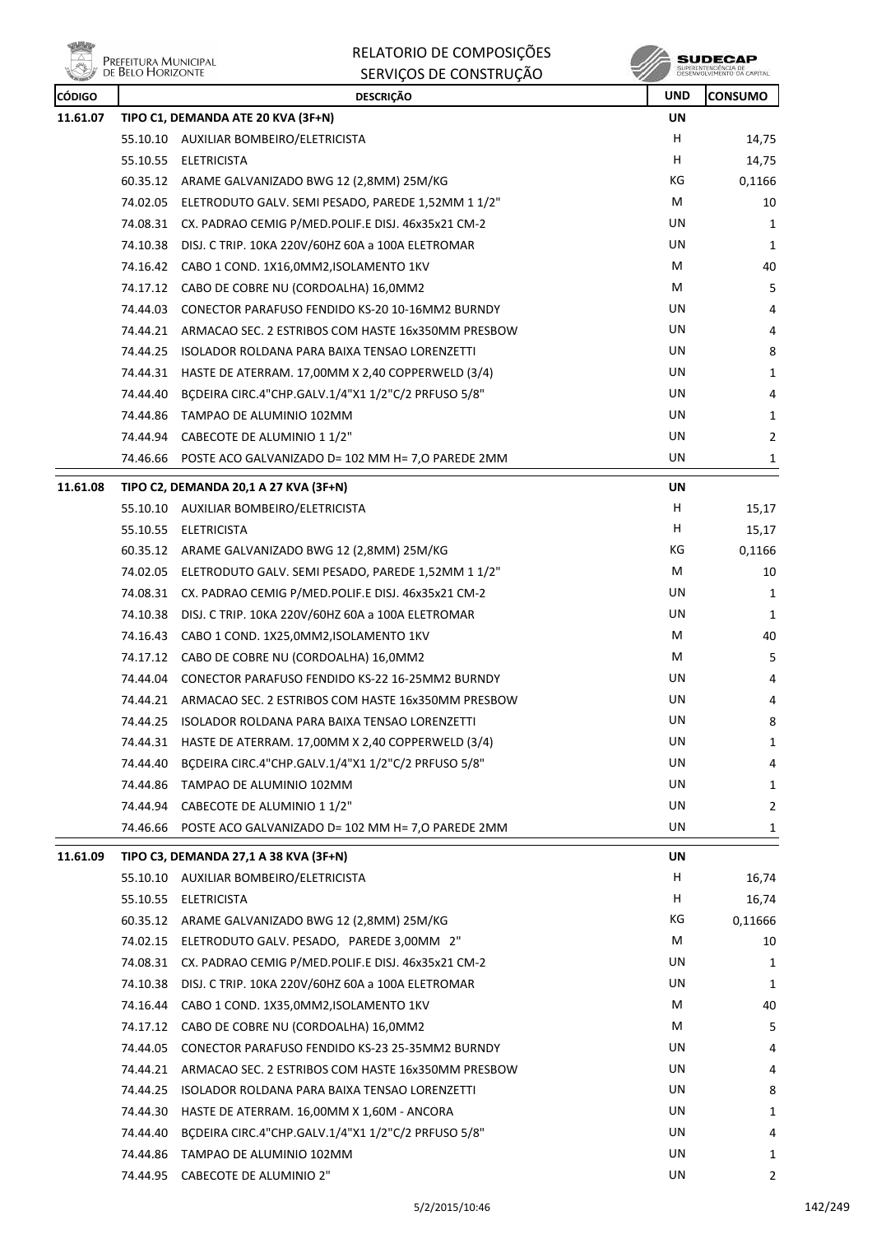**ville A PREFEITURA MUNICIPAL**<br>DE BELO HORIZONTE

RELATORIO DE COMPOSIÇÕES SERVIÇOS DE CONSTRUÇÃO

| <b>CÓDIGO</b> |          | <b>DESCRIÇÃO</b>                                                                | <b>UND</b> | <b>CONSUMO</b> |
|---------------|----------|---------------------------------------------------------------------------------|------------|----------------|
| 11.61.07      |          | TIPO C1, DEMANDA ATE 20 KVA (3F+N)                                              | UN         |                |
|               |          | 55.10.10 AUXILIAR BOMBEIRO/ELETRICISTA                                          | H          | 14,75          |
|               |          | 55.10.55 ELETRICISTA                                                            | H          | 14,75          |
|               |          | 60.35.12 ARAME GALVANIZADO BWG 12 (2,8MM) 25M/KG                                | ΚG         | 0,1166         |
|               |          | 74.02.05 ELETRODUTO GALV. SEMI PESADO, PAREDE 1,52MM 1 1/2"                     | М          | 10             |
|               | 74.08.31 | CX. PADRAO CEMIG P/MED.POLIF.E DISJ. 46x35x21 CM-2                              | UN         | 1              |
|               | 74.10.38 | DISJ. C TRIP. 10KA 220V/60HZ 60A a 100A ELETROMAR                               | UN         | 1              |
|               |          | 74.16.42 CABO 1 COND. 1X16,0MM2, ISOLAMENTO 1KV                                 | М          | 40             |
|               |          | 74.17.12 CABO DE COBRE NU (CORDOALHA) 16,0MM2                                   | М          | 5              |
|               | 74.44.03 | CONECTOR PARAFUSO FENDIDO KS-20 10-16MM2 BURNDY                                 | UN         | 4              |
|               | 74.44.21 | ARMACAO SEC. 2 ESTRIBOS COM HASTE 16x350MM PRESBOW                              | UN         | 4              |
|               | 74.44.25 | ISOLADOR ROLDANA PARA BAIXA TENSAO LORENZETTI                                   | UN.        | 8              |
|               |          | 74.44.31 HASTE DE ATERRAM. 17,00MM X 2,40 COPPERWELD (3/4)                      | UN         | 1              |
|               | 74.44.40 | BÇDEIRA CIRC.4"CHP.GALV.1/4"X1 1/2"C/2 PRFUSO 5/8"                              | UN         | 4              |
|               | 74.44.86 | TAMPAO DE ALUMINIO 102MM                                                        | UN         | 1              |
|               | 74.44.94 | CABECOTE DE ALUMINIO 1 1/2"                                                     | <b>UN</b>  | 2              |
|               |          | 74.46.66 POSTE ACO GALVANIZADO D= 102 MM H= 7,0 PAREDE 2MM                      | UN         | 1              |
|               |          |                                                                                 |            |                |
| 11.61.08      |          | TIPO C2, DEMANDA 20,1 A 27 KVA (3F+N)<br>55.10.10 AUXILIAR BOMBEIRO/ELETRICISTA | UN<br>н    | 15,17          |
|               |          |                                                                                 | H          |                |
|               |          | 55.10.55 ELETRICISTA                                                            | ΚG         | 15,17          |
|               |          | 60.35.12 ARAME GALVANIZADO BWG 12 (2,8MM) 25M/KG                                |            | 0,1166         |
|               |          | 74.02.05 ELETRODUTO GALV. SEMI PESADO, PAREDE 1,52MM 1 1/2"                     | М          | 10             |
|               | 74.08.31 | CX. PADRAO CEMIG P/MED.POLIF.E DISJ. 46x35x21 CM-2                              | UN         | 1              |
|               | 74.10.38 | DISJ. C TRIP. 10KA 220V/60HZ 60A a 100A ELETROMAR                               | UN         | 1              |
|               |          | 74.16.43 CABO 1 COND. 1X25,0MM2, ISOLAMENTO 1KV                                 | М          | 40             |
|               |          | 74.17.12 CABO DE COBRE NU (CORDOALHA) 16,0MM2                                   | М          | 5              |
|               |          | 74.44.04 CONECTOR PARAFUSO FENDIDO KS-22 16-25MM2 BURNDY                        | UN         | 4              |
|               | 74.44.21 | ARMACAO SEC. 2 ESTRIBOS COM HASTE 16x350MM PRESBOW                              | UN         | 4              |
|               |          | 74.44.25 ISOLADOR ROLDANA PARA BAIXA TENSAO LORENZETTI                          | UN         | 8              |
|               | 74.44.31 | HASTE DE ATERRAM. 17,00MM X 2,40 COPPERWELD (3/4)                               | UN         | 1              |
|               | 74.44.40 | BCDEIRA CIRC.4"CHP.GALV.1/4"X1 1/2"C/2 PRFUSO 5/8"                              | UN         | 4              |
|               | 74.44.86 | TAMPAO DE ALUMINIO 102MM                                                        | UN         | 1              |
|               | 74.44.94 | CABECOTE DE ALUMINIO 1 1/2"                                                     | UN         | $\overline{2}$ |
|               | 74.46.66 | POSTE ACO GALVANIZADO D= 102 MM H= 7,0 PAREDE 2MM                               | UN         | 1              |
| 11.61.09      |          | TIPO C3, DEMANDA 27,1 A 38 KVA (3F+N)                                           | UN         |                |
|               |          | 55.10.10 AUXILIAR BOMBEIRO/ELETRICISTA                                          | H          | 16,74          |
|               | 55.10.55 | <b>ELETRICISTA</b>                                                              | н          | 16,74          |
|               | 60.35.12 | ARAME GALVANIZADO BWG 12 (2,8MM) 25M/KG                                         | КG         | 0,11666        |
|               | 74.02.15 | ELETRODUTO GALV. PESADO, PAREDE 3,00MM 2"                                       | М          | 10             |
|               |          | 74.08.31 CX. PADRAO CEMIG P/MED.POLIF.E DISJ. 46x35x21 CM-2                     | UN         | 1              |
|               | 74.10.38 | DISJ. C TRIP. 10KA 220V/60HZ 60A a 100A ELETROMAR                               | UN         | 1              |
|               | 74.16.44 | CABO 1 COND. 1X35,0MM2, ISOLAMENTO 1KV                                          | М          | 40             |
|               | 74.17.12 | CABO DE COBRE NU (CORDOALHA) 16,0MM2                                            | М          | 5              |
|               | 74.44.05 | CONECTOR PARAFUSO FENDIDO KS-23 25-35MM2 BURNDY                                 | UN         | 4              |
|               | 74.44.21 | ARMACAO SEC. 2 ESTRIBOS COM HASTE 16x350MM PRESBOW                              | UN         | 4              |
|               | 74.44.25 | ISOLADOR ROLDANA PARA BAIXA TENSAO LORENZETTI                                   | UN         | 8              |
|               | 74.44.30 | HASTE DE ATERRAM. 16,00MM X 1,60M - ANCORA                                      | UN         | 1              |
|               | 74.44.40 | BCDEIRA CIRC.4"CHP.GALV.1/4"X1 1/2"C/2 PRFUSO 5/8"                              | UN         | 4              |
|               | 74.44.86 | TAMPAO DE ALUMINIO 102MM                                                        | UN         | 1              |
|               | 74.44.95 | CABECOTE DE ALUMINIO 2"                                                         | UN         | $\overline{2}$ |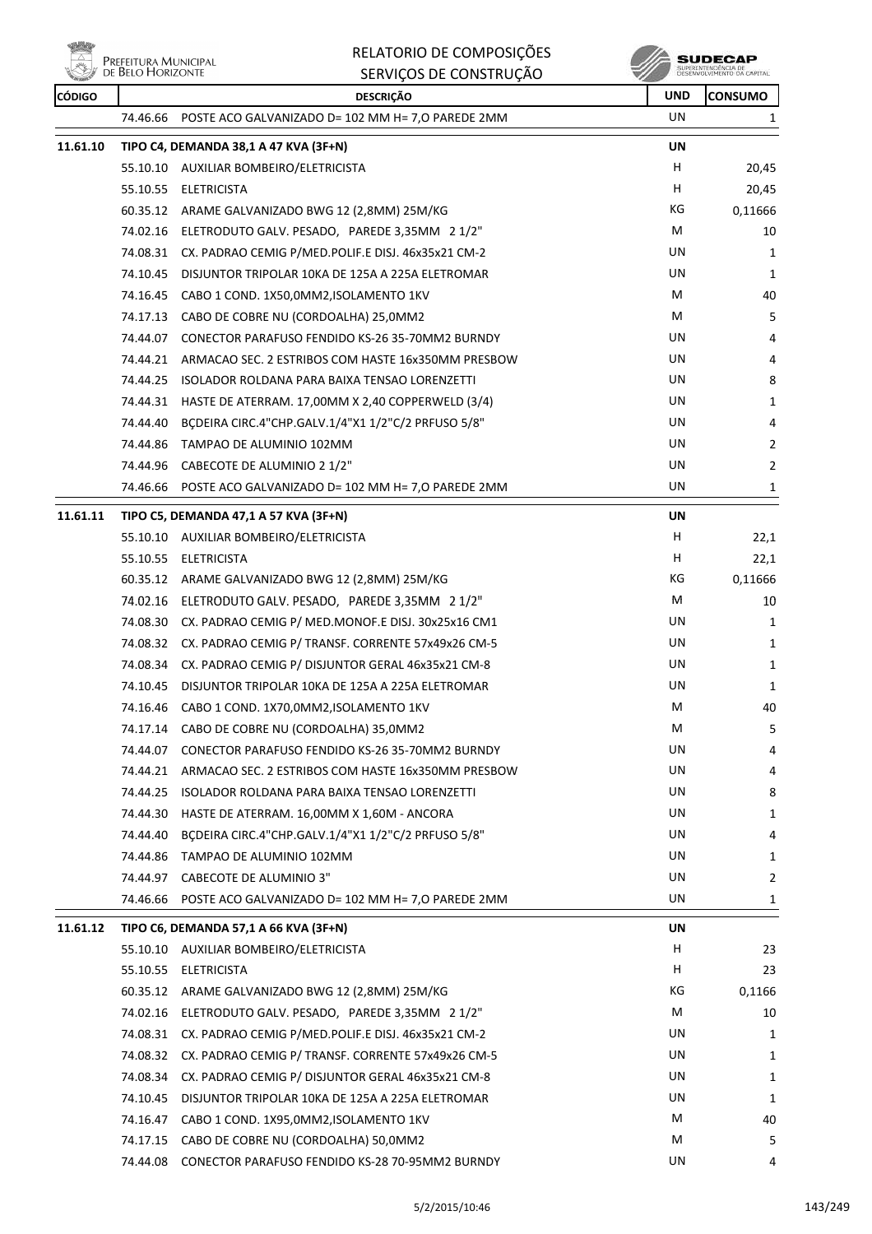

|          | Prefeitura Municipal<br>de Belo Horizonte | RELATORIO DE COMPOSIÇÕES                                    |            | SUDECAP                                           |
|----------|-------------------------------------------|-------------------------------------------------------------|------------|---------------------------------------------------|
|          |                                           | SERVIÇOS DE CONSTRUÇÃO                                      |            | SUPERINTENDÊNCIA DE<br>DESENVOLVIMENTO DA CAPITAL |
| CÓDIGO   |                                           | <b>DESCRIÇÃO</b>                                            | <b>UND</b> | <b>CONSUMO</b>                                    |
|          | 74.46.66                                  | POSTE ACO GALVANIZADO D= 102 MM H= 7,0 PAREDE 2MM           | UN         | 1                                                 |
| 11.61.10 |                                           | TIPO C4, DEMANDA 38,1 A 47 KVA (3F+N)                       | UN         |                                                   |
|          | 55.10.10                                  | AUXILIAR BOMBEIRO/ELETRICISTA                               | H.         | 20,45                                             |
|          | 55.10.55                                  | <b>ELETRICISTA</b>                                          | H          | 20,45                                             |
|          |                                           | 60.35.12 ARAME GALVANIZADO BWG 12 (2,8MM) 25M/KG            | КG         | 0,11666                                           |
|          |                                           | 74.02.16 ELETRODUTO GALV. PESADO, PAREDE 3,35MM 2 1/2"      | M          | 10                                                |
|          |                                           | 74.08.31 CX. PADRAO CEMIG P/MED.POLIF.E DISJ. 46x35x21 CM-2 | UN         | 1                                                 |
|          | 74.10.45                                  | DISJUNTOR TRIPOLAR 10KA DE 125A A 225A ELETROMAR            | UN         | 1                                                 |
|          | 74.16.45                                  | CABO 1 COND. 1X50,0MM2, ISOLAMENTO 1KV                      | M          | 40                                                |
|          | 74.17.13                                  | CABO DE COBRE NU (CORDOALHA) 25,0MM2                        | М          | 5                                                 |
|          | 74.44.07                                  | CONECTOR PARAFUSO FENDIDO KS-26 35-70MM2 BURNDY             | UN         | 4                                                 |
|          | 74.44.21                                  | ARMACAO SEC. 2 ESTRIBOS COM HASTE 16x350MM PRESBOW          | UN         | 4                                                 |
|          | 74.44.25                                  | ISOLADOR ROLDANA PARA BAIXA TENSAO LORENZETTI               | UN         | 8                                                 |
|          | 74.44.31                                  | HASTE DE ATERRAM. 17,00MM X 2,40 COPPERWELD (3/4)           | UN         | 1                                                 |
|          | 74.44.40                                  | BCDEIRA CIRC.4"CHP.GALV.1/4"X1 1/2"C/2 PRFUSO 5/8"          | UN         | 4                                                 |
|          | 74.44.86                                  | TAMPAO DE ALUMINIO 102MM                                    | UN         | 2                                                 |
|          | 74.44.96                                  | CABECOTE DE ALUMINIO 2 1/2"                                 | UN         | 2                                                 |
|          | 74.46.66                                  | POSTE ACO GALVANIZADO D= 102 MM H= 7,0 PAREDE 2MM           | UN         | 1                                                 |
| 11.61.11 |                                           | TIPO C5, DEMANDA 47,1 A 57 KVA (3F+N)                       | UN         |                                                   |
|          | 55.10.10                                  | AUXILIAR BOMBEIRO/ELETRICISTA                               | H.         | 22,1                                              |
|          | 55.10.55                                  | <b>ELETRICISTA</b>                                          | H          | 22,1                                              |
|          |                                           | 60.35.12 ARAME GALVANIZADO BWG 12 (2,8MM) 25M/KG            | КG         | 0,11666                                           |
|          |                                           | 74.02.16 ELETRODUTO GALV. PESADO, PAREDE 3,35MM 2 1/2"      | М          | 10                                                |
|          | 74.08.30                                  | CX. PADRAO CEMIG P/ MED.MONOF.E DISJ. 30x25x16 CM1          | UN         | 1                                                 |
|          | 74.08.32                                  | CX. PADRAO CEMIG P/ TRANSF. CORRENTE 57x49x26 CM-5          | UN         | 1                                                 |
|          | 74.08.34                                  | CX. PADRAO CEMIG P/ DISJUNTOR GERAL 46x35x21 CM-8           | UN         | 1                                                 |
|          | 74.10.45                                  | DISJUNTOR TRIPOLAR 10KA DE 125A A 225A ELETROMAR            | UN         | 1                                                 |
|          | 74.16.46                                  | CABO 1 COND. 1X70,0MM2,ISOLAMENTO 1KV                       | M          | 40                                                |
|          | 74.17.14                                  | CABO DE COBRE NU (CORDOALHA) 35,0MM2                        | М          | 5                                                 |
|          | 74.44.07                                  | CONECTOR PARAFUSO FENDIDO KS-26 35-70MM2 BURNDY             | UN         | 4                                                 |
|          | 74.44.21                                  | ARMACAO SEC. 2 ESTRIBOS COM HASTE 16x350MM PRESBOW          | UN         | 4                                                 |
|          | 74.44.25                                  | <b>ISOLADOR ROLDANA PARA BAIXA TENSAO LORENZETTI</b>        | UN         | 8                                                 |
|          | 74.44.30                                  | HASTE DE ATERRAM. 16,00MM X 1,60M - ANCORA                  | UN         | 1                                                 |
|          | 74.44.40                                  | BCDEIRA CIRC.4"CHP.GALV.1/4"X1 1/2"C/2 PRFUSO 5/8"          | UN         | 4                                                 |
|          | 74.44.86                                  | TAMPAO DE ALUMINIO 102MM                                    | UN         | 1                                                 |
|          | 74.44.97                                  | <b>CABECOTE DE ALUMINIO 3"</b>                              | UN         | $\overline{2}$                                    |
|          | 74.46.66                                  | POSTE ACO GALVANIZADO D= 102 MM H= 7,0 PAREDE 2MM           | UN         | 1                                                 |
| 11.61.12 |                                           | TIPO C6, DEMANDA 57,1 A 66 KVA (3F+N)                       | UN         |                                                   |
|          | 55.10.10                                  | AUXILIAR BOMBEIRO/ELETRICISTA                               | H          | 23                                                |
|          | 55.10.55                                  | <b>ELETRICISTA</b>                                          | H.         | 23                                                |
|          | 60.35.12                                  | ARAME GALVANIZADO BWG 12 (2,8MM) 25M/KG                     | КG         | 0,1166                                            |
|          | 74.02.16                                  | ELETRODUTO GALV. PESADO, PAREDE 3,35MM 2 1/2"               | M          | 10                                                |
|          | 74.08.31                                  | CX. PADRAO CEMIG P/MED.POLIF.E DISJ. 46x35x21 CM-2          | UN         | 1                                                 |
|          | 74.08.32                                  | CX. PADRAO CEMIG P/ TRANSF. CORRENTE 57x49x26 CM-5          | UN         | 1                                                 |
|          | 74.08.34                                  | CX. PADRAO CEMIG P/ DISJUNTOR GERAL 46x35x21 CM-8           | UN         | 1                                                 |
|          | 74.10.45                                  | DISJUNTOR TRIPOLAR 10KA DE 125A A 225A ELETROMAR            | UN         | 1                                                 |
|          | 74.16.47                                  | CABO 1 COND. 1X95,0MM2, ISOLAMENTO 1KV                      | М          | 40                                                |
|          | 74.17.15                                  | CABO DE COBRE NU (CORDOALHA) 50,0MM2                        | M          | 5                                                 |
|          |                                           |                                                             |            |                                                   |

74.44.08 CONECTOR PARAFUSO FENDIDO KS-28 70-95MM2 BURNDY UN UN 4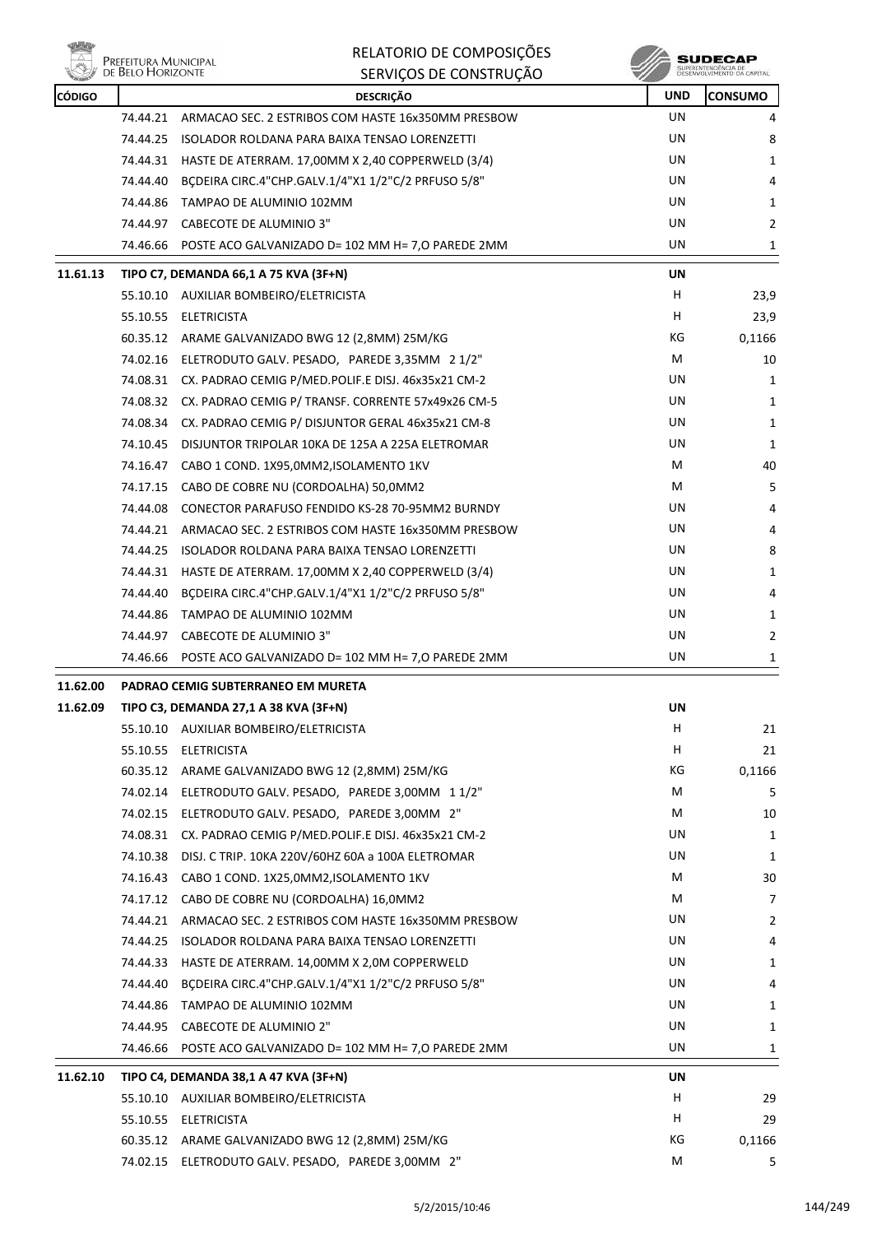

**SUDECAP**<br>SUPERNITHOENCIA DE<br>DESENVOLVIMENTO CA CAPITAL

| <b>CÓDIGO</b> |          | <b>DESCRIÇÃO</b>                                            | <b>UND</b> | <b>CONSUMO</b> |
|---------------|----------|-------------------------------------------------------------|------------|----------------|
|               | 74.44.21 | ARMACAO SEC. 2 ESTRIBOS COM HASTE 16x350MM PRESBOW          | UN.        | 4              |
|               | 74.44.25 | ISOLADOR ROLDANA PARA BAIXA TENSAO LORENZETTI               | UN         | 8              |
|               | 74.44.31 | HASTE DE ATERRAM. 17,00MM X 2,40 COPPERWELD (3/4)           | UN         | 1              |
|               | 74.44.40 | BCDEIRA CIRC.4"CHP.GALV.1/4"X1 1/2"C/2 PRFUSO 5/8"          | UN         | 4              |
|               |          | 74.44.86 TAMPAO DE ALUMINIO 102MM                           | UN         | 1              |
|               |          | 74.44.97 CABECOTE DE ALUMINIO 3"                            | UN         | 2              |
|               |          | 74.46.66 POSTE ACO GALVANIZADO D= 102 MM H= 7,0 PAREDE 2MM  | UN         | 1              |
| 11.61.13      |          | TIPO C7, DEMANDA 66,1 A 75 KVA (3F+N)                       | UN         |                |
|               |          | 55.10.10 AUXILIAR BOMBEIRO/ELETRICISTA                      | H          | 23,9           |
|               |          | 55.10.55 ELETRICISTA                                        | H          | 23,9           |
|               |          | 60.35.12 ARAME GALVANIZADO BWG 12 (2,8MM) 25M/KG            | КG         | 0,1166         |
|               |          | 74.02.16 ELETRODUTO GALV. PESADO, PAREDE 3,35MM 2 1/2"      | м          | 10             |
|               |          | 74.08.31 CX. PADRAO CEMIG P/MED.POLIF.E DISJ. 46x35x21 CM-2 | UN         | 1              |
|               |          | 74.08.32 CX. PADRAO CEMIG P/ TRANSF. CORRENTE 57x49x26 CM-5 | UN         | 1              |
|               |          | 74.08.34 CX. PADRAO CEMIG P/ DISJUNTOR GERAL 46x35x21 CM-8  | UN         | 1              |
|               | 74.10.45 | DISJUNTOR TRIPOLAR 10KA DE 125A A 225A ELETROMAR            | UN         | 1              |
|               |          | 74.16.47 CABO 1 COND. 1X95,0MM2, ISOLAMENTO 1KV             | м          | 40             |
|               | 74.17.15 | CABO DE COBRE NU (CORDOALHA) 50,0MM2                        | М          | 5              |
|               | 74.44.08 | CONECTOR PARAFUSO FENDIDO KS-28 70-95MM2 BURNDY             | UN         | 4              |
|               |          | 74.44.21 ARMACAO SEC. 2 ESTRIBOS COM HASTE 16x350MM PRESBOW | UN         | 4              |
|               | 74.44.25 | ISOLADOR ROLDANA PARA BAIXA TENSAO LORENZETTI               | UN         | 8              |
|               |          | 74.44.31 HASTE DE ATERRAM. 17,00MM X 2,40 COPPERWELD (3/4)  | UN         | 1              |
|               | 74.44.40 | BÇDEIRA CIRC.4"CHP.GALV.1/4"X1 1/2"C/2 PRFUSO 5/8"          | UN         | 4              |
|               |          | 74.44.86 TAMPAO DE ALUMINIO 102MM                           | UN         | 1              |
|               |          | 74.44.97 CABECOTE DE ALUMINIO 3"                            | UN         | 2              |
|               | 74.46.66 | POSTE ACO GALVANIZADO D= 102 MM H= 7,0 PAREDE 2MM           | UN         | 1              |
| 11.62.00      |          | PADRAO CEMIG SUBTERRANEO EM MURETA                          |            |                |
| 11.62.09      |          | TIPO C3, DEMANDA 27,1 A 38 KVA (3F+N)                       | UN         |                |
|               |          | 55.10.10 AUXILIAR BOMBEIRO/ELETRICISTA                      | H          | 21             |
|               | 55.10.55 | <b>ELETRICISTA</b>                                          | н          | 21             |
|               |          | 60.35.12 ARAME GALVANIZADO BWG 12 (2,8MM) 25M/KG            | КG         | 0,1166         |
|               | 74.02.14 | ELETRODUTO GALV. PESADO, PAREDE 3,00MM 11/2"                | М          | 5              |
|               | 74.02.15 | ELETRODUTO GALV. PESADO, PAREDE 3,00MM 2"                   | М          | 10             |
|               | 74.08.31 | CX. PADRAO CEMIG P/MED.POLIF.E DISJ. 46x35x21 CM-2          | UN         | 1              |
|               | 74.10.38 | DISJ. C TRIP. 10KA 220V/60HZ 60A a 100A ELETROMAR           | UN         | 1              |
|               | 74.16.43 | CABO 1 COND. 1X25,0MM2, ISOLAMENTO 1KV                      | М          | 30             |
|               | 74.17.12 | CABO DE COBRE NU (CORDOALHA) 16,0MM2                        | м          | 7              |
|               | 74.44.21 | ARMACAO SEC. 2 ESTRIBOS COM HASTE 16x350MM PRESBOW          | UN         | 2              |
|               | 74.44.25 | ISOLADOR ROLDANA PARA BAIXA TENSAO LORENZETTI               | UN         | 4              |
|               | 74.44.33 | HASTE DE ATERRAM. 14,00MM X 2,0M COPPERWELD                 | UN         | 1              |
|               | 74.44.40 | BÇDEIRA CIRC.4"CHP.GALV.1/4"X1 1/2"C/2 PRFUSO 5/8"          | UN         | 4              |
|               | 74.44.86 | TAMPAO DE ALUMINIO 102MM                                    | UN         | 1              |
|               | 74.44.95 | CABECOTE DE ALUMINIO 2"                                     | UN         | 1              |
|               | 74.46.66 | POSTE ACO GALVANIZADO D= 102 MM H= 7,0 PAREDE 2MM           | UN         | 1              |
| 11.62.10      |          | TIPO C4, DEMANDA 38,1 A 47 KVA (3F+N)                       | UN         |                |
|               |          | 55.10.10 AUXILIAR BOMBEIRO/ELETRICISTA                      | H.         | 29             |
|               |          | 55.10.55 ELETRICISTA                                        | H          | 29             |
|               |          | 60.35.12 ARAME GALVANIZADO BWG 12 (2,8MM) 25M/KG            | КG         | 0,1166         |
|               |          | 74.02.15 ELETRODUTO GALV. PESADO, PAREDE 3,00MM 2"          | M          | 5              |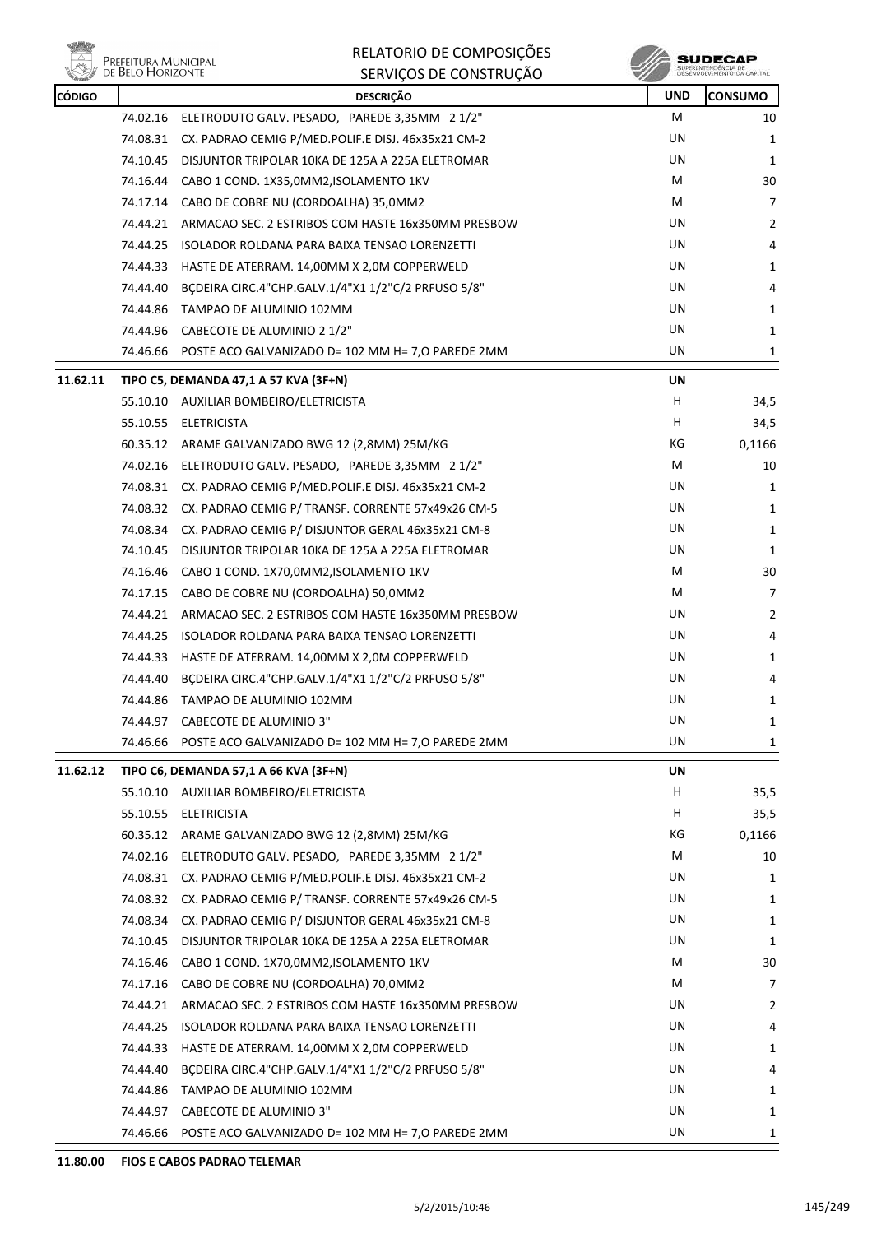

| <b>REAL PROPERTY</b> | DE DELO LIONIZON II | SERVIÇUS DE CUNSTRUÇÃO                                      |            | DESERVAPALIEM IA PALCHELIA |
|----------------------|---------------------|-------------------------------------------------------------|------------|----------------------------|
| <b>CÓDIGO</b>        |                     | <b>DESCRIÇÃO</b>                                            | <b>UND</b> | <b>CONSUMO</b>             |
|                      |                     | 74.02.16 ELETRODUTO GALV. PESADO, PAREDE 3,35MM 2 1/2"      | М          | 10                         |
|                      |                     | 74.08.31 CX. PADRAO CEMIG P/MED.POLIF.E DISJ. 46x35x21 CM-2 | UN         | 1                          |
|                      |                     | 74.10.45 DISJUNTOR TRIPOLAR 10KA DE 125A A 225A ELETROMAR   | UN         | $\mathbf{1}$               |
|                      |                     | 74.16.44 CABO 1 COND. 1X35,0MM2,ISOLAMENTO 1KV              | М          | 30                         |
|                      |                     | 74.17.14 CABO DE COBRE NU (CORDOALHA) 35,0MM2               | М          | $\overline{7}$             |
|                      |                     | 74.44.21 ARMACAO SEC. 2 ESTRIBOS COM HASTE 16x350MM PRESBOW | UN         | 2                          |
|                      |                     | 74.44.25 ISOLADOR ROLDANA PARA BAIXA TENSAO LORENZETTI      | UN         | 4                          |
|                      |                     | 74.44.33 HASTE DE ATERRAM. 14,00MM X 2,0M COPPERWELD        | UN         | 1                          |
|                      | 74.44.40            | BCDEIRA CIRC.4"CHP.GALV.1/4"X1 1/2"C/2 PRFUSO 5/8"          | UN         | 4                          |
|                      |                     | 74.44.86 TAMPAO DE ALUMINIO 102MM                           | UN         | 1                          |
|                      |                     | 74.44.96 CABECOTE DE ALUMINIO 2 1/2"                        | UN         | 1                          |
|                      |                     | 74.46.66 POSTE ACO GALVANIZADO D= 102 MM H= 7,0 PAREDE 2MM  | UN         | 1                          |
| 11.62.11             |                     | TIPO C5, DEMANDA 47,1 A 57 KVA (3F+N)                       | UN         |                            |
|                      |                     | 55.10.10 AUXILIAR BOMBEIRO/ELETRICISTA                      | H.         | 34,5                       |
|                      |                     | 55.10.55 ELETRICISTA                                        | H          | 34,5                       |
|                      |                     | 60.35.12 ARAME GALVANIZADO BWG 12 (2,8MM) 25M/KG            | КG         | 0,1166                     |
|                      |                     | 74.02.16 ELETRODUTO GALV. PESADO, PAREDE 3,35MM 2 1/2"      | М          | 10                         |
|                      |                     | 74.08.31 CX. PADRAO CEMIG P/MED.POLIF.E DISJ. 46x35x21 CM-2 | UN         | 1                          |
|                      |                     | 74.08.32 CX. PADRAO CEMIG P/ TRANSF. CORRENTE 57x49x26 CM-5 | UN         | 1                          |
|                      |                     | 74.08.34 CX. PADRAO CEMIG P/ DISJUNTOR GERAL 46x35x21 CM-8  | UN         | 1                          |
|                      | 74.10.45            | DISJUNTOR TRIPOLAR 10KA DE 125A A 225A ELETROMAR            | UN         | 1                          |
|                      |                     | 74.16.46 CABO 1 COND. 1X70,0MM2, ISOLAMENTO 1KV             | М          | 30                         |
|                      |                     | 74.17.15 CABO DE COBRE NU (CORDOALHA) 50,0MM2               | М          | 7                          |
|                      |                     | 74.44.21 ARMACAO SEC. 2 ESTRIBOS COM HASTE 16x350MM PRESBOW | UN         | 2                          |
|                      |                     | 74.44.25 ISOLADOR ROLDANA PARA BAIXA TENSAO LORENZETTI      | UN         | 4                          |
|                      |                     | 74.44.33 HASTE DE ATERRAM. 14,00MM X 2,0M COPPERWELD        | UN         | 1                          |
|                      |                     | 74.44.40 BÇDEIRA CIRC.4"CHP.GALV.1/4"X1 1/2"C/2 PRFUSO 5/8" | UN         | 4                          |
|                      |                     | 74.44.86 TAMPAO DE ALUMINIO 102MM                           | UN         | 1                          |
|                      |                     | 74.44.97 CABECOTE DE ALUMINIO 3"                            | UN         | 1                          |
|                      | 74.46.66            | POSTE ACO GALVANIZADO D= 102 MM H= 7,0 PAREDE 2MM           | UN         | 1                          |
|                      |                     |                                                             |            |                            |
| 11.62.12             |                     | TIPO C6, DEMANDA 57,1 A 66 KVA (3F+N)                       | UN         |                            |
|                      |                     | 55.10.10 AUXILIAR BOMBEIRO/ELETRICISTA                      | H          | 35,5                       |
|                      |                     | 55.10.55 ELETRICISTA                                        | H          | 35,5                       |
|                      |                     | 60.35.12 ARAME GALVANIZADO BWG 12 (2,8MM) 25M/KG            | КG         | 0,1166                     |
|                      |                     | 74.02.16 ELETRODUTO GALV. PESADO, PAREDE 3,35MM 2 1/2"      | М          | 10                         |
|                      | 74.08.31            | CX. PADRAO CEMIG P/MED.POLIF.E DISJ. 46x35x21 CM-2          | UN         | 1                          |
|                      |                     | 74.08.32 CX. PADRAO CEMIG P/ TRANSF. CORRENTE 57x49x26 CM-5 | UN         | 1                          |
|                      | 74.08.34            | CX. PADRAO CEMIG P/ DISJUNTOR GERAL 46x35x21 CM-8           | UN         | 1                          |
|                      | 74.10.45            | DISJUNTOR TRIPOLAR 10KA DE 125A A 225A ELETROMAR            | UN         | 1                          |
|                      |                     | 74.16.46 CABO 1 COND. 1X70,0MM2, ISOLAMENTO 1KV             | М          | 30                         |
|                      | 74.17.16            | CABO DE COBRE NU (CORDOALHA) 70,0MM2                        | М          | 7                          |
|                      |                     | 74.44.21 ARMACAO SEC. 2 ESTRIBOS COM HASTE 16x350MM PRESBOW | UN         | 2                          |
|                      | 74.44.25            | ISOLADOR ROLDANA PARA BAIXA TENSAO LORENZETTI               | UN         | 4                          |
|                      |                     | 74.44.33 HASTE DE ATERRAM. 14,00MM X 2,0M COPPERWELD        | UN         | 1                          |
|                      | 74.44.40            | BCDEIRA CIRC.4"CHP.GALV.1/4"X1 1/2"C/2 PRFUSO 5/8"          | UN         | 4                          |
|                      | 74.44.86            | TAMPAO DE ALUMINIO 102MM                                    | UN         | 1                          |
|                      |                     | 74.44.97 CABECOTE DE ALUMINIO 3"                            | UN         | 1                          |
|                      | 74.46.66            | POSTE ACO GALVANIZADO D= 102 MM H= 7,0 PAREDE 2MM           | UN         | 1                          |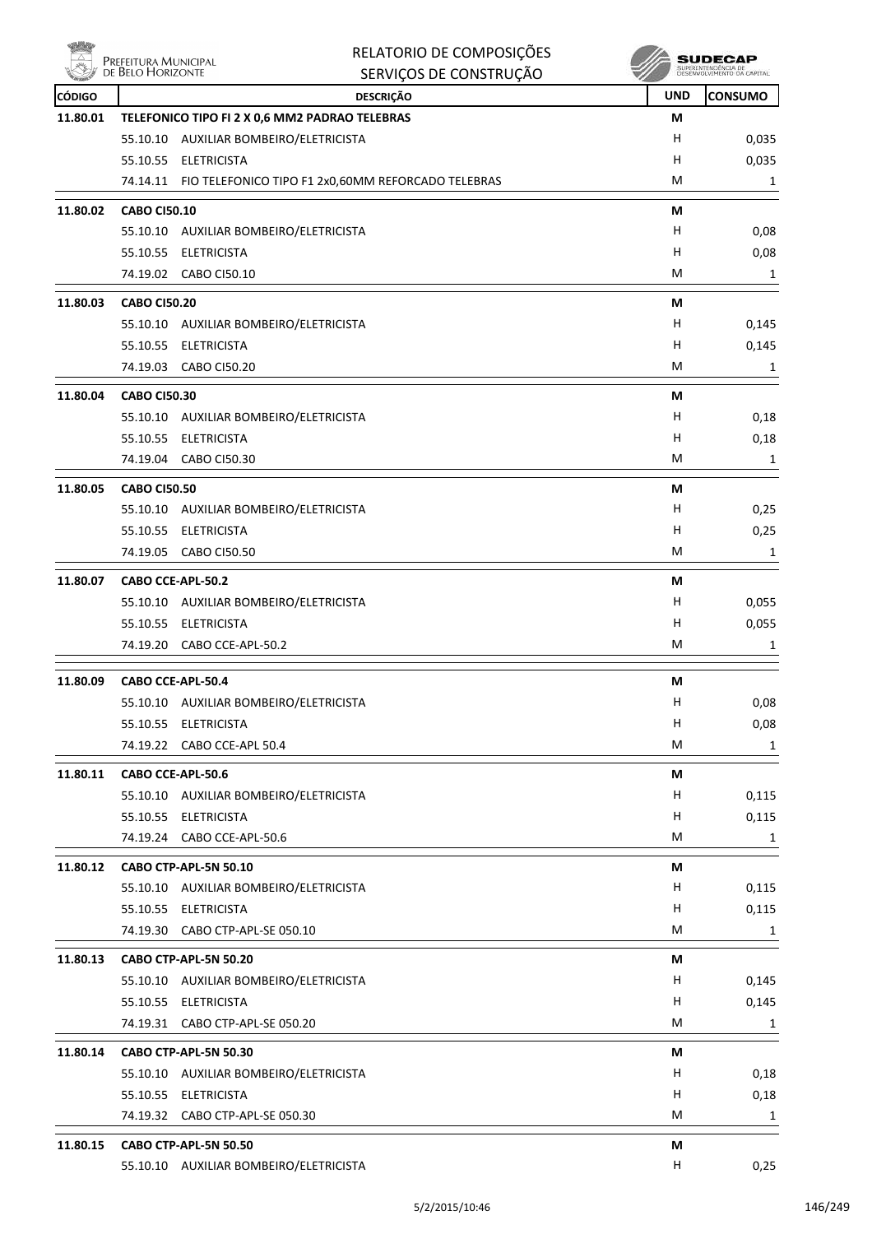

| Δ             | Prefeitura Municipal<br>de Belo Horizonte | RELATORIO DE COMPOSIÇÕES<br>SERVIÇOS DE CONSTRUÇÃO              |            | <b>SUDECAP</b><br>SUPERINTENDÊNCIA DE<br>DESENVOLVIMENTO DA CAPITAL |
|---------------|-------------------------------------------|-----------------------------------------------------------------|------------|---------------------------------------------------------------------|
| <b>CÓDIGO</b> |                                           | <b>DESCRIÇÃO</b>                                                | <b>UND</b> | CONSUMO                                                             |
| 11.80.01      |                                           | TELEFONICO TIPO FI 2 X 0,6 MM2 PADRAO TELEBRAS                  | М          |                                                                     |
|               |                                           | 55.10.10 AUXILIAR BOMBEIRO/ELETRICISTA                          | H          | 0,035                                                               |
|               |                                           | 55.10.55 ELETRICISTA                                            | н          | 0,035                                                               |
|               |                                           | 74.14.11 FIO TELEFONICO TIPO F1 2x0,60MM REFORCADO TELEBRAS     | M          | 1                                                                   |
| 11.80.02      | <b>CABO CI50.10</b>                       |                                                                 | М          |                                                                     |
|               |                                           | 55.10.10 AUXILIAR BOMBEIRO/ELETRICISTA                          | H          | 0,08                                                                |
|               | 55.10.55                                  | ELETRICISTA                                                     | н          | 0,08                                                                |
|               |                                           | 74.19.02 CABO CI50.10                                           | м          | 1                                                                   |
| 11.80.03      | <b>CABO CI50.20</b>                       |                                                                 | М          |                                                                     |
|               |                                           | 55.10.10 AUXILIAR BOMBEIRO/ELETRICISTA                          | н          | 0,145                                                               |
|               | 55.10.55                                  | ELETRICISTA                                                     | н          | 0,145                                                               |
|               |                                           | 74.19.03 CABO CI50.20                                           | M          | 1                                                                   |
| 11.80.04      | <b>CABO CI50.30</b>                       |                                                                 | М          |                                                                     |
|               | 55.10.10                                  | AUXILIAR BOMBEIRO/ELETRICISTA                                   | H          | 0,18                                                                |
|               | 55.10.55                                  | <b>ELETRICISTA</b>                                              | н          | 0,18                                                                |
|               |                                           | 74.19.04 CABO CI50.30                                           | M          | 1                                                                   |
| 11.80.05      | <b>CABO CI50.50</b>                       |                                                                 | М          |                                                                     |
|               |                                           | 55.10.10 AUXILIAR BOMBEIRO/ELETRICISTA                          | H          | 0,25                                                                |
|               | 55.10.55                                  | ELETRICISTA                                                     | н          | 0,25                                                                |
|               | 74.19.05                                  | <b>CABO CI50.50</b>                                             | M          | 1                                                                   |
| 11.80.07      |                                           | CABO CCE-APL-50.2                                               | М          |                                                                     |
|               |                                           | 55.10.10 AUXILIAR BOMBEIRO/ELETRICISTA                          | н          | 0,055                                                               |
|               | 55.10.55                                  | ELETRICISTA                                                     | H          | 0,055                                                               |
|               | 74.19.20                                  | CABO CCE-APL-50.2                                               | M          | 1                                                                   |
| 11.80.09      |                                           | CABO CCE-APL-50.4                                               | М          |                                                                     |
|               |                                           | 55.10.10 AUXILIAR BOMBEIRO/ELETRICISTA                          | Н          | 0,08                                                                |
|               |                                           | 55.10.55 ELETRICISTA                                            | H          | 0,08                                                                |
|               |                                           | 74.19.22 CABO CCE-APL 50.4                                      | M          | 1                                                                   |
| 11.80.11      |                                           | CABO CCE-APL-50.6                                               | М          |                                                                     |
|               |                                           | 55.10.10 AUXILIAR BOMBEIRO/ELETRICISTA                          | H          | 0,115                                                               |
|               |                                           | 55.10.55 ELETRICISTA                                            | H          | 0,115                                                               |
|               |                                           | 74.19.24 CABO CCE-APL-50.6                                      | М          | 1                                                                   |
| 11.80.12      |                                           | CABO CTP-APL-5N 50.10                                           | М          |                                                                     |
|               |                                           | 55.10.10 AUXILIAR BOMBEIRO/ELETRICISTA                          | H          | 0,115                                                               |
|               |                                           | 55.10.55 ELETRICISTA                                            | н          | 0,115                                                               |
|               |                                           | 74.19.30 CABO CTP-APL-SE 050.10                                 | М          | 1                                                                   |
|               |                                           |                                                                 |            |                                                                     |
| 11.80.13      |                                           | CABO CTP-APL-5N 50.20<br>55.10.10 AUXILIAR BOMBEIRO/ELETRICISTA | М<br>H     | 0,145                                                               |
|               |                                           |                                                                 | H          |                                                                     |
|               |                                           | 55.10.55 ELETRICISTA                                            | М          | 0,145                                                               |
|               |                                           | 74.19.31 CABO CTP-APL-SE 050.20                                 |            | 1                                                                   |
| 11.80.14      |                                           | CABO CTP-APL-5N 50.30                                           | М          |                                                                     |
|               |                                           | 55.10.10 AUXILIAR BOMBEIRO/ELETRICISTA                          | H          | 0,18                                                                |
|               |                                           | 55.10.55 ELETRICISTA                                            | H          | 0,18                                                                |
|               |                                           | 74.19.32 CABO CTP-APL-SE 050.30                                 | М          | 1                                                                   |
| 11.80.15      |                                           | CABO CTP-APL-5N 50.50                                           | М          |                                                                     |

55.10.10 AUXILIAR BOMBEIRO/ELETRICISTA H 0,25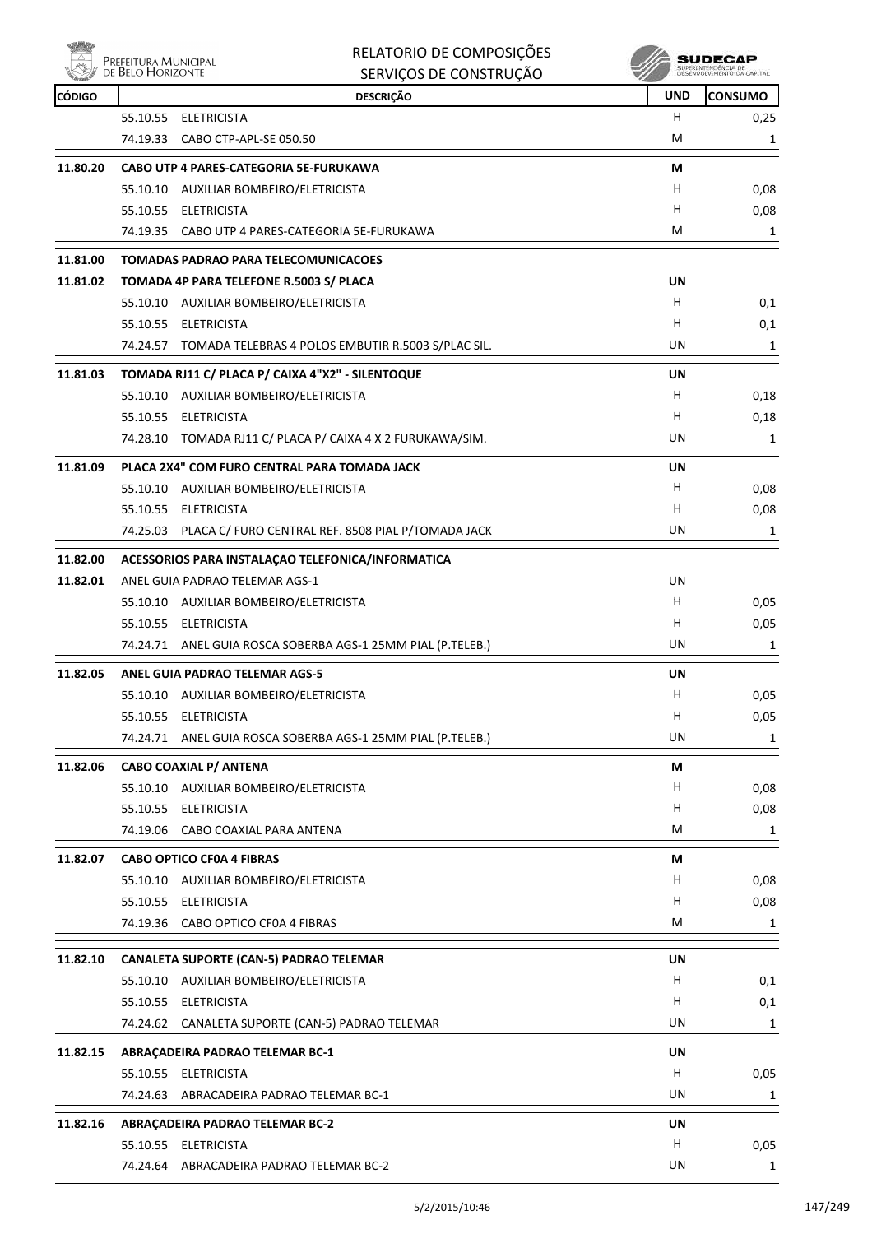

| RELATORIO DE COMPOSIÇÕES |
|--------------------------|
| SERVICOS DE CONSTRUÇÃO   |

| <b>CÓDIGO</b> | <b>DESCRIÇÃO</b>                                            | <b>UND</b> | <b>CONSUMO</b> |
|---------------|-------------------------------------------------------------|------------|----------------|
|               | 55.10.55<br>ELETRICISTA                                     | H          | 0,25           |
|               | 74.19.33 CABO CTP-APL-SE 050.50                             | М          | 1              |
| 11.80.20      | CABO UTP 4 PARES-CATEGORIA 5E-FURUKAWA                      | М          |                |
|               | 55.10.10 AUXILIAR BOMBEIRO/ELETRICISTA                      | н          | 0,08           |
|               | 55.10.55 ELETRICISTA                                        | H          | 0,08           |
|               | 74.19.35 CABO UTP 4 PARES-CATEGORIA 5E-FURUKAWA             | М          | 1              |
| 11.81.00      | <b>TOMADAS PADRAO PARA TELECOMUNICACOES</b>                 |            |                |
| 11.81.02      | TOMADA 4P PARA TELEFONE R.5003 S/ PLACA                     | UN         |                |
|               | 55.10.10 AUXILIAR BOMBEIRO/ELETRICISTA                      | н          | 0,1            |
|               | 55.10.55 ELETRICISTA                                        | н          | 0,1            |
|               | 74.24.57 TOMADA TELEBRAS 4 POLOS EMBUTIR R.5003 S/PLAC SIL. | UN         | 1              |
| 11.81.03      | TOMADA RJ11 C/ PLACA P/ CAIXA 4"X2" - SILENTOQUE            | UN         |                |
|               | 55.10.10 AUXILIAR BOMBEIRO/ELETRICISTA                      | н          | 0,18           |
|               | 55.10.55 ELETRICISTA                                        | н          | 0,18           |
|               | 74.28.10 TOMADA RJ11 C/ PLACA P/ CAIXA 4 X 2 FURUKAWA/SIM.  | UN         | 1              |
| 11.81.09      | PLACA 2X4" COM FURO CENTRAL PARA TOMADA JACK                | UN         |                |
|               | 55.10.10 AUXILIAR BOMBEIRO/ELETRICISTA                      | H          | 0,08           |
|               | 55.10.55 ELETRICISTA                                        | н          | 0,08           |
|               | 74.25.03 PLACA C/ FURO CENTRAL REF. 8508 PIAL P/TOMADA JACK | UN         | 1              |
| 11.82.00      | ACESSORIOS PARA INSTALAÇÃO TELEFONICA/INFORMATICA           |            |                |
| 11.82.01      | ANEL GUIA PADRAO TELEMAR AGS-1                              | UN         |                |
|               | 55.10.10 AUXILIAR BOMBEIRO/ELETRICISTA                      | H          | 0,05           |
|               | 55.10.55 ELETRICISTA                                        | H          | 0,05           |
|               | 74.24.71 ANEL GUIA ROSCA SOBERBA AGS-1 25MM PIAL (P.TELEB.) | UN         | 1              |
| 11.82.05      | <b>ANEL GUIA PADRAO TELEMAR AGS-5</b>                       | <b>UN</b>  |                |
|               | 55.10.10 AUXILIAR BOMBEIRO/ELETRICISTA                      | H          | 0,05           |
|               | 55.10.55 ELETRICISTA                                        | H.         | 0,05           |
|               | 74.24.71 ANEL GUIA ROSCA SOBERBA AGS-1 25MM PIAL (P.TELEB.) | UN         | $\mathbf{1}$   |
| 11.82.06      | <b>CABO COAXIAL P/ ANTENA</b>                               | М          |                |
|               | 55.10.10 AUXILIAR BOMBEIRO/ELETRICISTA                      | H          | 0,08           |
|               | 55.10.55 ELETRICISTA                                        | H          | 0,08           |
|               | 74.19.06 CABO COAXIAL PARA ANTENA                           | М          | 1              |
| 11.82.07      | <b>CABO OPTICO CF0A 4 FIBRAS</b>                            | М          |                |
|               | 55.10.10 AUXILIAR BOMBEIRO/ELETRICISTA                      | H          | 0,08           |
|               | 55.10.55 ELETRICISTA                                        | H          | 0,08           |
|               | 74.19.36 CABO OPTICO CF0A 4 FIBRAS                          | М          | $\mathbf{1}$   |
| 11.82.10      | <b>CANALETA SUPORTE (CAN-5) PADRAO TELEMAR</b>              | UN         |                |
|               | 55.10.10 AUXILIAR BOMBEIRO/ELETRICISTA                      | H          | 0,1            |
|               | 55.10.55 ELETRICISTA                                        | H          | 0,1            |
|               | 74.24.62 CANALETA SUPORTE (CAN-5) PADRAO TELEMAR            | UN         | 1              |
| 11.82.15      | ABRAÇADEIRA PADRAO TELEMAR BC-1                             | UN         |                |
|               | 55.10.55 ELETRICISTA                                        | H          | 0,05           |
|               | 74.24.63<br>ABRACADEIRA PADRAO TELEMAR BC-1                 | UN         | 1              |
| 11.82.16      | ABRAÇADEIRA PADRAO TELEMAR BC-2                             | UN         |                |
|               | 55.10.55 ELETRICISTA                                        | H          | 0,05           |
|               | 74.24.64 ABRACADEIRA PADRAO TELEMAR BC-2                    | UN         | $\mathbf{1}$   |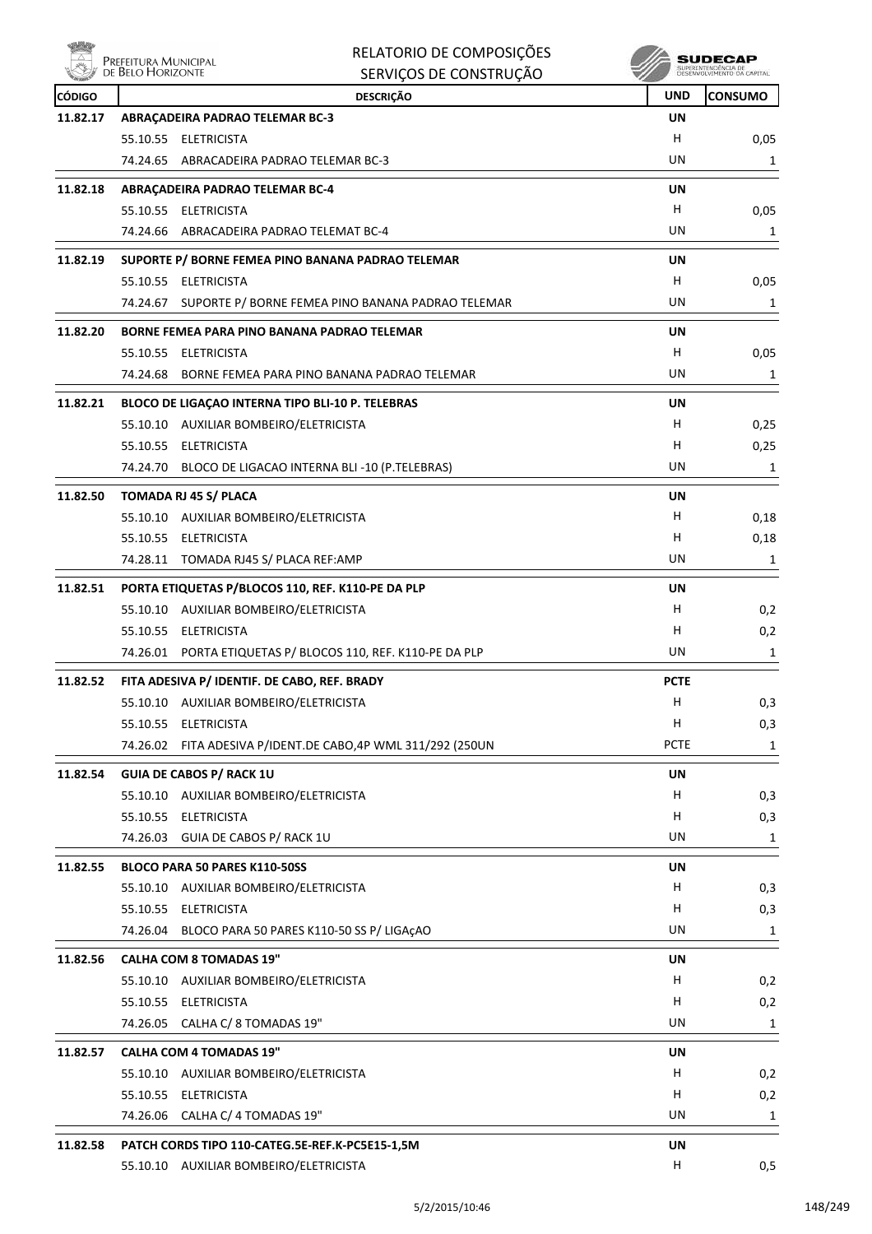

|               | RELATORIO DE COMPOSIÇÕES<br>Prefeitura Municipal<br>de Belo Horizonte |             | SUDECAP<br>SUPERINTENDÊNCIA DE<br>DESENVOLVIMENTO DA CAPITAL |
|---------------|-----------------------------------------------------------------------|-------------|--------------------------------------------------------------|
|               | SERVIÇOS DE CONSTRUÇÃO                                                |             |                                                              |
| <b>CÓDIGO</b> | <b>DESCRIÇÃO</b>                                                      | <b>UND</b>  | <b>CONSUMO</b>                                               |
| 11.82.17      | ABRAÇADEIRA PADRAO TELEMAR BC-3                                       | <b>UN</b>   |                                                              |
|               | 55.10.55 ELETRICISTA                                                  | н<br>UN     | 0,05                                                         |
|               | 74.24.65 ABRACADEIRA PADRAO TELEMAR BC-3                              |             | 1                                                            |
| 11.82.18      | ABRAÇADEIRA PADRAO TELEMAR BC-4                                       | UN          |                                                              |
|               | 55.10.55 ELETRICISTA                                                  | H           | 0,05                                                         |
|               | 74.24.66 ABRACADEIRA PADRAO TELEMAT BC-4                              | UN          | 1                                                            |
| 11.82.19      | SUPORTE P/ BORNE FEMEA PINO BANANA PADRAO TELEMAR                     | UN          |                                                              |
|               | 55.10.55 ELETRICISTA                                                  | H           | 0,05                                                         |
|               | SUPORTE P/ BORNE FEMEA PINO BANANA PADRAO TELEMAR<br>74.24.67         | UN          | 1                                                            |
| 11.82.20      | BORNE FEMEA PARA PINO BANANA PADRAO TELEMAR                           | UN          |                                                              |
|               | 55.10.55 ELETRICISTA                                                  | H.          | 0,05                                                         |
|               | BORNE FEMEA PARA PINO BANANA PADRAO TELEMAR<br>74.24.68               | UN          | 1                                                            |
| 11.82.21      | BLOCO DE LIGAÇÃO INTERNA TIPO BLI-10 P. TELEBRAS                      | UN          |                                                              |
|               | 55.10.10 AUXILIAR BOMBEIRO/ELETRICISTA                                | H.          | 0,25                                                         |
|               | 55.10.55 ELETRICISTA                                                  | H.          | 0,25                                                         |
|               | 74.24.70 BLOCO DE LIGACAO INTERNA BLI -10 (P.TELEBRAS)                | UN          | 1                                                            |
| 11.82.50      | TOMADA RJ 45 S/ PLACA                                                 | UN          |                                                              |
|               | 55.10.10 AUXILIAR BOMBEIRO/ELETRICISTA                                | H           | 0,18                                                         |
|               | 55.10.55 ELETRICISTA                                                  | н           | 0,18                                                         |
|               | 74.28.11 TOMADA RJ45 S/ PLACA REF:AMP                                 | UN          | 1                                                            |
|               |                                                                       |             |                                                              |
| 11.82.51      | PORTA ETIQUETAS P/BLOCOS 110, REF. K110-PE DA PLP                     | UN<br>H.    |                                                              |
|               | 55.10.10 AUXILIAR BOMBEIRO/ELETRICISTA<br>55.10.55 ELETRICISTA        | н           | 0,2                                                          |
|               | 74.26.01 PORTA ETIQUETAS P/ BLOCOS 110, REF. K110-PE DA PLP           | UN          | 0,2<br>1                                                     |
|               |                                                                       |             |                                                              |
| 11.82.52      | FITA ADESIVA P/ IDENTIF. DE CABO, REF. BRADY                          | <b>PCTE</b> |                                                              |
|               | 55.10.10<br>AUXILIAR BOMBEIRO/ELETRICISTA                             | H,          | 0,3                                                          |
|               | 55.10.55 ELETRICISTA                                                  | н           | 0,3                                                          |
|               | 74.26.02 FITA ADESIVA P/IDENT.DE CABO,4P WML 311/292 (250UN           | <b>PCTE</b> | 1                                                            |
| 11.82.54      | <b>GUIA DE CABOS P/ RACK 1U</b>                                       | UN          |                                                              |
|               | 55.10.10 AUXILIAR BOMBEIRO/ELETRICISTA                                | H           | 0,3                                                          |
|               | 55.10.55 ELETRICISTA                                                  | н           | 0,3                                                          |
|               | 74.26.03 GUIA DE CABOS P/ RACK 1U                                     | UN          | 1                                                            |
| 11.82.55      | BLOCO PARA 50 PARES K110-50SS                                         | UN          |                                                              |
|               | 55.10.10 AUXILIAR BOMBEIRO/ELETRICISTA                                | H           | 0,3                                                          |
|               | 55.10.55 ELETRICISTA                                                  | н           | 0,3                                                          |
|               | 74.26.04 BLOCO PARA 50 PARES K110-50 SS P/ LIGAÇAO                    | UN          | 1                                                            |
| 11.82.56      | <b>CALHA COM 8 TOMADAS 19"</b>                                        | UN          |                                                              |
|               | 55.10.10 AUXILIAR BOMBEIRO/ELETRICISTA                                | H           | 0,2                                                          |
|               | 55.10.55 ELETRICISTA                                                  | H           | 0,2                                                          |
|               | 74.26.05 CALHA C/ 8 TOMADAS 19"                                       | UN          | 1                                                            |
| 11.82.57      | <b>CALHA COM 4 TOMADAS 19"</b>                                        | UN          |                                                              |
|               | 55.10.10 AUXILIAR BOMBEIRO/ELETRICISTA                                | H           | 0,2                                                          |
|               | 55.10.55 ELETRICISTA                                                  | H           | 0,2                                                          |
|               | 74.26.06 CALHA C/ 4 TOMADAS 19"                                       | UN          | 1                                                            |
| 11.82.58      | PATCH CORDS TIPO 110-CATEG.5E-REF.K-PC5E15-1,5M                       | UN          |                                                              |
|               | 55.10.10 AUXILIAR BOMBEIRO/ELETRICISTA                                | H           | 0,5                                                          |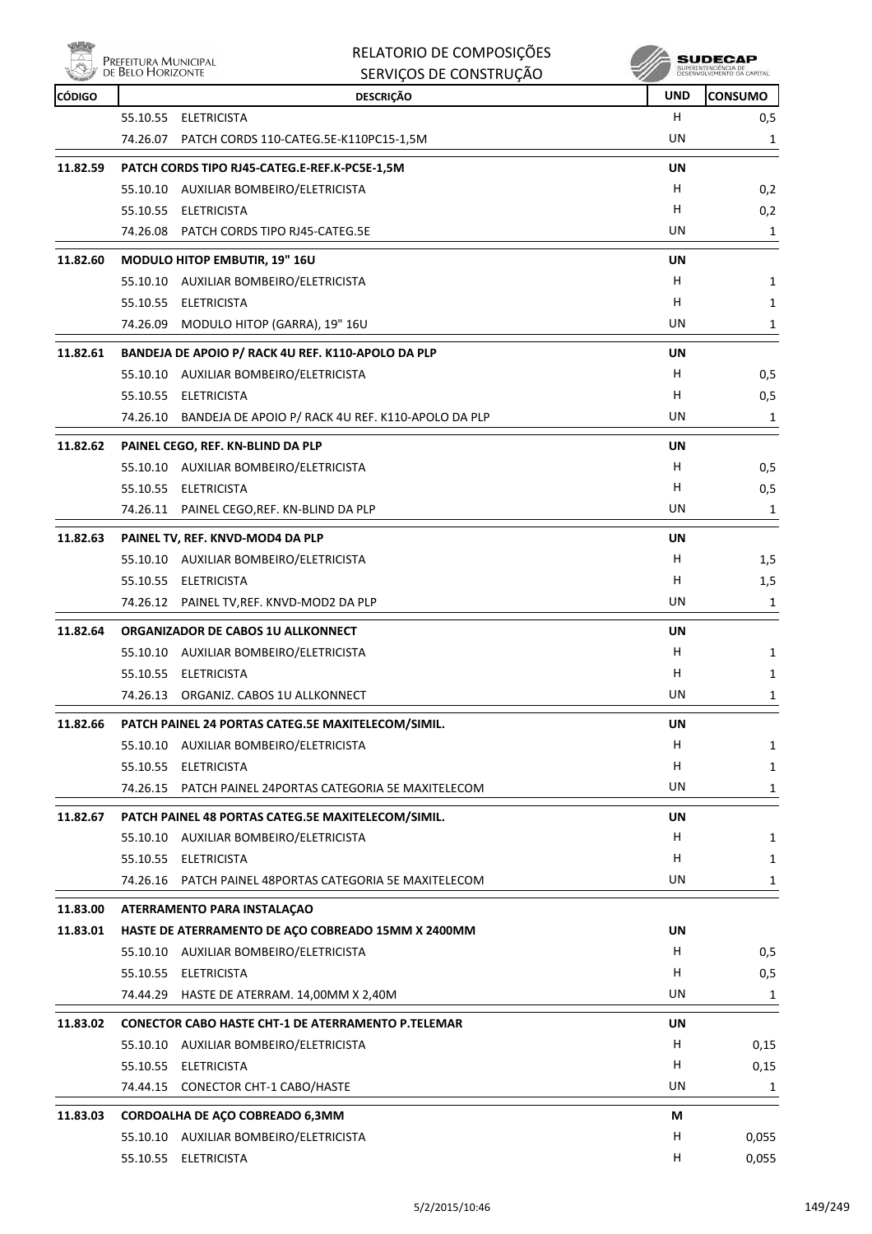

| RELATORIO DE COMPOSIÇÕES |
|--------------------------|
| SERVICOS DE CONSTRUIÇÃO  |

|               | <b>WE DELD LIONIZUNIE</b> | SERVIÇOS DE CONSTRUÇÃO                                         |            | DESEMADEATURE LA PACHATE |
|---------------|---------------------------|----------------------------------------------------------------|------------|--------------------------|
| <b>CÓDIGO</b> |                           | <b>DESCRIÇÃO</b>                                               | <b>UND</b> | <b>CONSUMO</b>           |
|               |                           | 55.10.55 ELETRICISTA                                           | H          | 0,5                      |
|               |                           | 74.26.07 PATCH CORDS 110-CATEG.5E-K110PC15-1,5M                | UN         | 1                        |
| 11.82.59      |                           | PATCH CORDS TIPO RJ45-CATEG.E-REF.K-PC5E-1,5M                  | UN         |                          |
|               |                           | 55.10.10 AUXILIAR BOMBEIRO/ELETRICISTA                         | H          | 0,2                      |
|               |                           | 55.10.55 ELETRICISTA                                           | H          | 0,2                      |
|               |                           | 74.26.08 PATCH CORDS TIPO RJ45-CATEG.5E                        | UN         | 1                        |
| 11.82.60      |                           | MODULO HITOP EMBUTIR, 19" 16U                                  | UN         |                          |
|               |                           | 55.10.10 AUXILIAR BOMBEIRO/ELETRICISTA                         | H          | 1                        |
|               |                           | 55.10.55 ELETRICISTA                                           | H          | 1                        |
|               |                           | 74.26.09 MODULO HITOP (GARRA), 19" 16U                         | UN         | 1                        |
| 11.82.61      |                           | BANDEJA DE APOIO P/ RACK 4U REF. K110-APOLO DA PLP             | UN         |                          |
|               |                           | 55.10.10 AUXILIAR BOMBEIRO/ELETRICISTA                         | H.         | 0,5                      |
|               |                           | 55.10.55 ELETRICISTA                                           | H          | 0,5                      |
|               |                           | 74.26.10 BANDEJA DE APOIO P/ RACK 4U REF. K110-APOLO DA PLP    | UN         | 1                        |
| 11.82.62      |                           | PAINEL CEGO, REF. KN-BLIND DA PLP                              | UN         |                          |
|               |                           | 55.10.10 AUXILIAR BOMBEIRO/ELETRICISTA                         | H.         | 0,5                      |
|               |                           | 55.10.55 ELETRICISTA                                           | H          | 0,5                      |
|               |                           | 74.26.11 PAINEL CEGO, REF. KN-BLIND DA PLP                     | UN         | 1                        |
| 11.82.63      |                           | PAINEL TV, REF. KNVD-MOD4 DA PLP                               | UN         |                          |
|               |                           | 55.10.10 AUXILIAR BOMBEIRO/ELETRICISTA                         | H.         | 1,5                      |
|               |                           | 55.10.55 ELETRICISTA                                           | H          | 1,5                      |
|               |                           | 74.26.12 PAINEL TV, REF. KNVD-MOD2 DA PLP                      | UN         | 1                        |
|               |                           |                                                                |            |                          |
| 11.82.64      |                           | ORGANIZADOR DE CABOS 1U ALLKONNECT                             | UN<br>H    |                          |
|               |                           | 55.10.10 AUXILIAR BOMBEIRO/ELETRICISTA<br>55.10.55 ELETRICISTA | H.         | $\mathbf{1}$             |
|               |                           | 74.26.13 ORGANIZ. CABOS 1U ALLKONNECT                          | UN         | 1<br>1                   |
|               |                           |                                                                |            |                          |
| 11.82.66      |                           | PATCH PAINEL 24 PORTAS CATEG.5E MAXITELECOM/SIMIL.             | UN         |                          |
|               |                           | 55.10.10 AUXILIAR BOMBEIRO/ELETRICISTA                         | H          | 1                        |
|               |                           | 55.10.55 ELETRICISTA                                           | H          | $\mathbf{1}$             |
|               |                           | 74.26.15 PATCH PAINEL 24PORTAS CATEGORIA 5E MAXITELECOM        | UN         | 1                        |
| 11.82.67      |                           | PATCH PAINEL 48 PORTAS CATEG.5E MAXITELECOM/SIMIL.             | UN         |                          |
|               |                           | 55.10.10 AUXILIAR BOMBEIRO/ELETRICISTA                         | H          | 1                        |
|               |                           | 55.10.55 ELETRICISTA                                           | H          | 1                        |
|               |                           | 74.26.16 PATCH PAINEL 48PORTAS CATEGORIA 5E MAXITELECOM        | UN         | $\mathbf{1}$             |
| 11.83.00      |                           | ATERRAMENTO PARA INSTALAÇÃO                                    |            |                          |
| 11.83.01      |                           | HASTE DE ATERRAMENTO DE AÇO COBREADO 15MM X 2400MM             | UN         |                          |
|               |                           | 55.10.10 AUXILIAR BOMBEIRO/ELETRICISTA                         | H          | 0,5                      |
|               |                           | 55.10.55 ELETRICISTA                                           | H.         | 0,5                      |
|               |                           | 74.44.29 HASTE DE ATERRAM. 14,00MM X 2,40M                     | UN         | 1                        |
| 11.83.02      |                           | <b>CONECTOR CABO HASTE CHT-1 DE ATERRAMENTO P.TELEMAR</b>      | UN         |                          |
|               |                           | 55.10.10 AUXILIAR BOMBEIRO/ELETRICISTA                         | H          | 0,15                     |
|               |                           | 55.10.55 ELETRICISTA                                           | H.         | 0,15                     |
|               |                           | 74.44.15 CONECTOR CHT-1 CABO/HASTE                             | UN         | 1                        |
| 11.83.03      |                           | CORDOALHA DE AÇO COBREADO 6,3MM                                | M          |                          |
|               |                           | 55.10.10 AUXILIAR BOMBEIRO/ELETRICISTA                         | H          | 0,055                    |
|               |                           | 55.10.55 ELETRICISTA                                           | н          | 0,055                    |
|               |                           |                                                                |            |                          |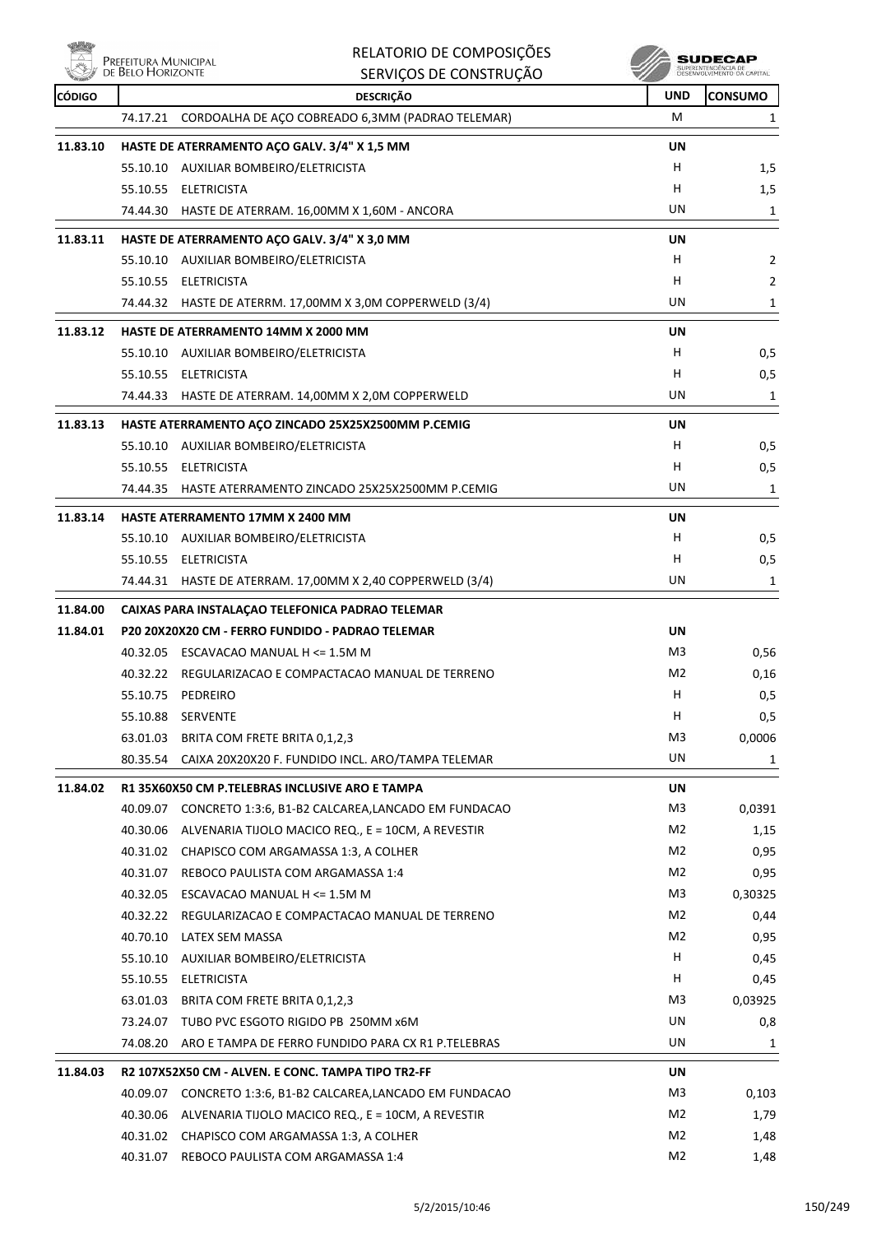

| Nölg          | Prefeitura Municipal<br>de Belo Horizonte | RELATORIO DE COMPOSIÇÕES                                             |                 | SUDECAF<br>SUPERINTENDÊNCIA DE<br>DESENVOLVIMENTO DA CAPITA |
|---------------|-------------------------------------------|----------------------------------------------------------------------|-----------------|-------------------------------------------------------------|
|               |                                           | SERVIÇOS DE CONSTRUÇÃO                                               |                 |                                                             |
| <b>CÓDIGO</b> |                                           | <b>DESCRIÇÃO</b><br>CORDOALHA DE AÇO COBREADO 6,3MM (PADRAO TELEMAR) | <b>UND</b><br>м | <b>CONSUMO</b>                                              |
|               | 74.17.21                                  |                                                                      |                 | 1                                                           |
| 11.83.10      |                                           | HASTE DE ATERRAMENTO AÇO GALV. 3/4" X 1,5 MM                         | UN              |                                                             |
|               |                                           | 55.10.10 AUXILIAR BOMBEIRO/ELETRICISTA                               | H.              | 1,5                                                         |
|               |                                           | 55.10.55 ELETRICISTA                                                 | н               | 1,5                                                         |
|               |                                           | 74.44.30 HASTE DE ATERRAM. 16,00MM X 1,60M - ANCORA                  | UN              | 1                                                           |
| 11.83.11      |                                           | HASTE DE ATERRAMENTO AÇO GALV. 3/4" X 3,0 MM                         | UN              |                                                             |
|               |                                           | 55.10.10 AUXILIAR BOMBEIRO/ELETRICISTA                               | н               | 2                                                           |
|               |                                           | 55.10.55 ELETRICISTA                                                 | н               | 2                                                           |
|               |                                           | 74.44.32 HASTE DE ATERRM. 17,00MM X 3,0M COPPERWELD (3/4)            | UN              | 1                                                           |
| 11.83.12      |                                           | HASTE DE ATERRAMENTO 14MM X 2000 MM                                  | UN              |                                                             |
|               |                                           | 55.10.10 AUXILIAR BOMBEIRO/ELETRICISTA                               | H               | 0,5                                                         |
|               |                                           | 55.10.55 ELETRICISTA                                                 | H               | 0,5                                                         |
|               |                                           | 74.44.33 HASTE DE ATERRAM. 14,00MM X 2,0M COPPERWELD                 | UN              | 1                                                           |
| 11.83.13      |                                           | HASTE ATERRAMENTO AÇO ZINCADO 25X25X2500MM P.CEMIG                   | UN              |                                                             |
|               |                                           | 55.10.10 AUXILIAR BOMBEIRO/ELETRICISTA                               | H               | 0,5                                                         |
|               |                                           | 55.10.55 ELETRICISTA                                                 | H               | 0,5                                                         |
|               |                                           | 74.44.35 HASTE ATERRAMENTO ZINCADO 25X25X2500MM P.CEMIG              | UN              | 1                                                           |
| 11.83.14      |                                           | <b>HASTE ATERRAMENTO 17MM X 2400 MM</b>                              | UN              |                                                             |
|               |                                           | 55.10.10 AUXILIAR BOMBEIRO/ELETRICISTA                               | H               | 0,5                                                         |
|               |                                           | 55.10.55 ELETRICISTA                                                 | H               | 0,5                                                         |
|               |                                           | 74.44.31 HASTE DE ATERRAM. 17,00MM X 2,40 COPPERWELD (3/4)           | UN              | 1                                                           |
| 11.84.00      |                                           | CAIXAS PARA INSTALAÇÃO TELEFONICA PADRÃO TELEMAR                     |                 |                                                             |
| 11.84.01      |                                           | P20 20X20X20 CM - FERRO FUNDIDO - PADRAO TELEMAR                     | UN              |                                                             |
|               |                                           | 40.32.05 ESCAVACAO MANUAL H <= 1.5M M                                | M3              | 0,56                                                        |
|               |                                           | 40.32.22 REGULARIZACAO E COMPACTACAO MANUAL DE TERRENO               | M <sub>2</sub>  | 0,16                                                        |
|               |                                           | 55.10.75 PEDREIRO                                                    | н               | 0,5                                                         |
|               |                                           | 55.10.88 SERVENTE                                                    | н               | 0,5                                                         |
|               | 63.01.03                                  | BRITA COM FRETE BRITA 0,1,2,3                                        | M <sub>3</sub>  | 0,0006                                                      |
|               |                                           | 80.35.54 CAIXA 20X20X20 F. FUNDIDO INCL. ARO/TAMPA TELEMAR           | UN              | 1                                                           |
| 11.84.02      |                                           | R1 35X60X50 CM P.TELEBRAS INCLUSIVE ARO E TAMPA                      | UN              |                                                             |
|               | 40.09.07                                  | CONCRETO 1:3:6, B1-B2 CALCAREA,LANCADO EM FUNDACAO                   | M <sub>3</sub>  | 0,0391                                                      |
|               |                                           | 40.30.06 ALVENARIA TIJOLO MACICO REQ., E = 10CM, A REVESTIR          | M2              | 1,15                                                        |
|               |                                           | 40.31.02 CHAPISCO COM ARGAMASSA 1:3, A COLHER                        | M2              | 0,95                                                        |
|               |                                           | 40.31.07 REBOCO PAULISTA COM ARGAMASSA 1:4                           | M2              | 0,95                                                        |
|               | 40.32.05                                  | ESCAVACAO MANUAL H <= 1.5M M                                         | M3              | 0,30325                                                     |
|               |                                           | 40.32.22 REGULARIZACAO E COMPACTACAO MANUAL DE TERRENO               | M2              | 0,44                                                        |
|               |                                           | 40.70.10 LATEX SEM MASSA                                             | M <sub>2</sub>  | 0,95                                                        |
|               |                                           | 55.10.10 AUXILIAR BOMBEIRO/ELETRICISTA                               | Н               | 0,45                                                        |
|               | 55.10.55                                  | ELETRICISTA                                                          | н               | 0,45                                                        |
|               | 63.01.03                                  | BRITA COM FRETE BRITA 0,1,2,3                                        | M3              | 0,03925                                                     |
|               |                                           | 73.24.07 TUBO PVC ESGOTO RIGIDO PB 250MM x6M                         | UN              | 0,8                                                         |
|               |                                           | 74.08.20  ARO E TAMPA DE FERRO FUNDIDO PARA CX R1 P.TELEBRAS         | UN              | 1                                                           |
| 11.84.03      |                                           | R2 107X52X50 CM - ALVEN. E CONC. TAMPA TIPO TR2-FF                   | UN              |                                                             |
|               |                                           | 40.09.07 CONCRETO 1:3:6, B1-B2 CALCAREA, LANCADO EM FUNDACAO         | M3              | 0,103                                                       |
|               | 40.30.06                                  | ALVENARIA TIJOLO MACICO REQ., E = 10CM, A REVESTIR                   | M <sub>2</sub>  | 1,79                                                        |
|               |                                           | 40.31.02 CHAPISCO COM ARGAMASSA 1:3, A COLHER                        | M2              | 1,48                                                        |
|               |                                           | 40.31.07 REBOCO PAULISTA COM ARGAMASSA 1:4                           | M2              | 1,48                                                        |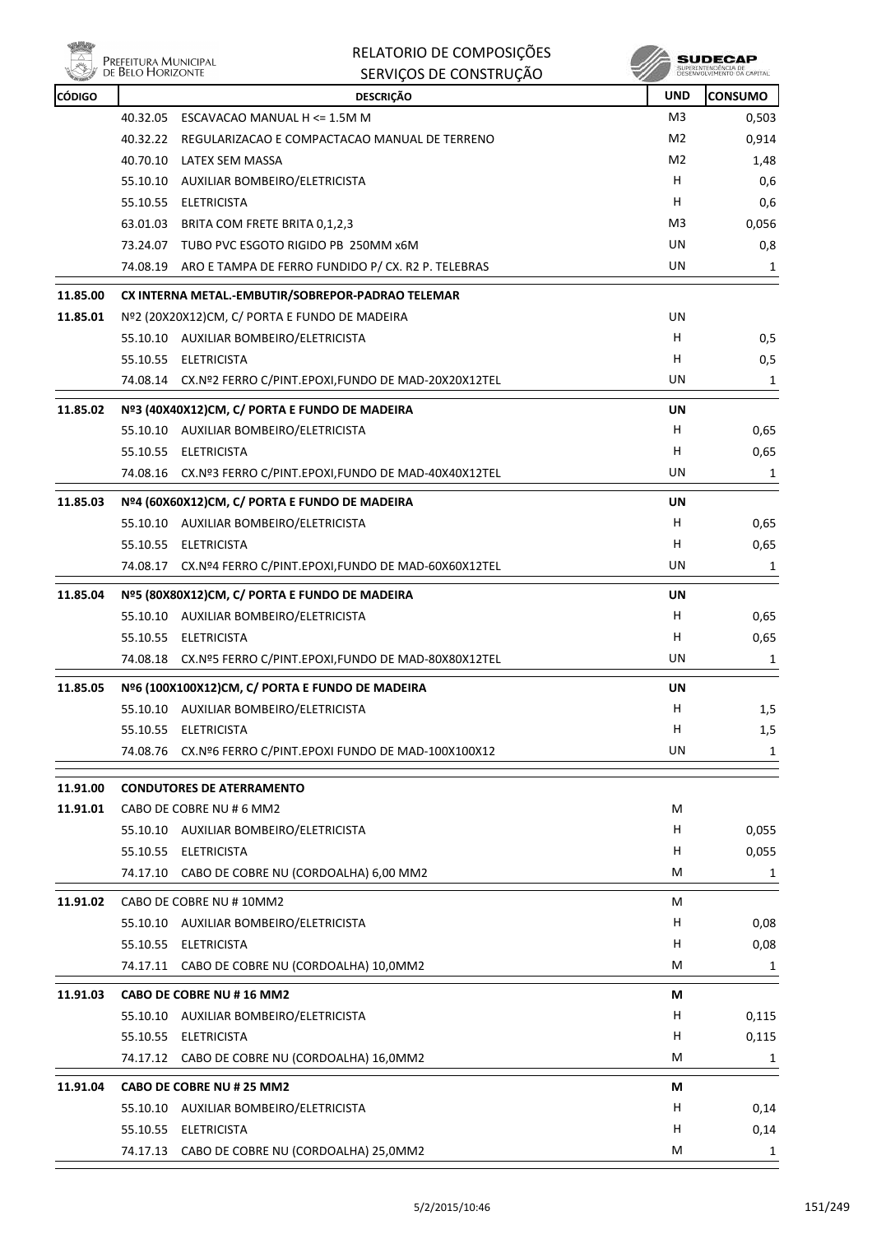

|               |                                           | RELATORIO DE COMPOSIÇÕES                                    |                | SUDECAP                                           |
|---------------|-------------------------------------------|-------------------------------------------------------------|----------------|---------------------------------------------------|
|               | Prefeitura Municipal<br>de Belo Horizonte | SERVIÇOS DE CONSTRUÇÃO                                      |                | SUPERINTENDÊNCIA DE<br>DESENVOLVIMENTO DA CAPITAL |
| <b>CÓDIGO</b> |                                           | <b>DESCRIÇÃO</b>                                            | <b>UND</b>     | <b>CONSUMO</b>                                    |
|               | 40.32.05                                  | ESCAVACAO MANUAL H <= 1.5M M                                | M <sub>3</sub> | 0,503                                             |
|               |                                           | 40.32.22 REGULARIZACAO E COMPACTACAO MANUAL DE TERRENO      | M2             | 0,914                                             |
|               | 40.70.10                                  | LATEX SEM MASSA                                             | M <sub>2</sub> | 1,48                                              |
|               |                                           | 55.10.10 AUXILIAR BOMBEIRO/ELETRICISTA                      | H.             | 0,6                                               |
|               |                                           | 55.10.55 ELETRICISTA                                        | H              | 0,6                                               |
|               | 63.01.03                                  | BRITA COM FRETE BRITA 0,1,2,3                               | M3             | 0,056                                             |
|               |                                           | 73.24.07 TUBO PVC ESGOTO RIGIDO PB 250MM x6M                | UN.            | 0,8                                               |
|               |                                           | 74.08.19 ARO E TAMPA DE FERRO FUNDIDO P/ CX. R2 P. TELEBRAS | UN             | 1                                                 |
| 11.85.00      |                                           | CX INTERNA METAL .- EMBUTIR/SOBREPOR-PADRAO TELEMAR         |                |                                                   |
| 11.85.01      |                                           | Nº2 (20X20X12)CM, C/ PORTA E FUNDO DE MADEIRA               | UN.            |                                                   |
|               |                                           | 55.10.10 AUXILIAR BOMBEIRO/ELETRICISTA                      | H              | 0,5                                               |
|               |                                           | 55.10.55 ELETRICISTA                                        | H              | 0,5                                               |
|               |                                           | 74.08.14 CX.Nº2 FERRO C/PINT.EPOXI,FUNDO DE MAD-20X20X12TEL | UN             | 1                                                 |
| 11.85.02      |                                           | Nº3 (40X40X12)CM, C/ PORTA E FUNDO DE MADEIRA               | UN             |                                                   |
|               |                                           | 55.10.10 AUXILIAR BOMBEIRO/ELETRICISTA                      | H              | 0,65                                              |
|               | 55.10.55                                  | ELETRICISTA                                                 | н              | 0,65                                              |
|               |                                           | 74.08.16 CX.Nº3 FERRO C/PINT.EPOXI,FUNDO DE MAD-40X40X12TEL | UN.            | 1                                                 |
|               |                                           |                                                             |                |                                                   |
| 11.85.03      |                                           | Nº4 (60X60X12)CM, C/ PORTA E FUNDO DE MADEIRA               | UN             |                                                   |
|               |                                           | 55.10.10 AUXILIAR BOMBEIRO/ELETRICISTA                      | H              | 0,65                                              |
|               | 55.10.55                                  | ELETRICISTA                                                 | н              | 0,65                                              |
|               |                                           | 74.08.17 CX.Nº4 FERRO C/PINT.EPOXI,FUNDO DE MAD-60X60X12TEL | UN             | 1                                                 |
| 11.85.04      |                                           | Nº5 (80X80X12)CM, C/ PORTA E FUNDO DE MADEIRA               | UN             |                                                   |
|               |                                           | 55.10.10 AUXILIAR BOMBEIRO/ELETRICISTA                      | H              | 0,65                                              |
|               |                                           | 55.10.55 ELETRICISTA                                        | H              | 0,65                                              |
|               | 74.08.18                                  | CX.Nº5 FERRO C/PINT.EPOXI,FUNDO DE MAD-80X80X12TEL          | UN.            | 1                                                 |
| 11.85.05      |                                           | Nº6 (100X100X12)CM, C/ PORTA E FUNDO DE MADEIRA             | UN             |                                                   |
|               | 55.10.10                                  | AUXILIAR BOMBEIRO/ELETRICISTA                               | H              | 1,5                                               |
|               | 55.10.55                                  | <b>ELETRICISTA</b>                                          | н              | 1,5                                               |
|               |                                           | 74.08.76 CX.Nº6 FERRO C/PINT.EPOXI FUNDO DE MAD-100X100X12  | UN             | 1                                                 |
|               |                                           |                                                             |                |                                                   |
| 11.91.00      |                                           | <b>CONDUTORES DE ATERRAMENTO</b>                            |                |                                                   |
| 11.91.01      |                                           | CABO DE COBRE NU # 6 MM2                                    | M              |                                                   |
|               |                                           | 55.10.10 AUXILIAR BOMBEIRO/ELETRICISTA                      | H              | 0,055                                             |
|               |                                           | 55.10.55 ELETRICISTA                                        | H              | 0,055                                             |
|               |                                           | 74.17.10 CABO DE COBRE NU (CORDOALHA) 6,00 MM2              | М              | 1                                                 |
| 11.91.02      |                                           | CABO DE COBRE NU #10MM2                                     | М              |                                                   |
|               |                                           | 55.10.10 AUXILIAR BOMBEIRO/ELETRICISTA                      | H              | 0,08                                              |
|               | 55.10.55                                  | ELETRICISTA                                                 | H              | 0,08                                              |
|               |                                           | 74.17.11 CABO DE COBRE NU (CORDOALHA) 10,0MM2               | М              | 1                                                 |
|               |                                           |                                                             |                |                                                   |
| 11.91.03      |                                           | CABO DE COBRE NU # 16 MM2                                   | M              |                                                   |
|               |                                           | 55.10.10 AUXILIAR BOMBEIRO/ELETRICISTA                      | H              | 0,115                                             |
|               |                                           | 55.10.55 ELETRICISTA                                        | н              | 0,115                                             |
|               |                                           | 74.17.12 CABO DE COBRE NU (CORDOALHA) 16,0MM2               | М              | 1                                                 |
| 11.91.04      |                                           | CABO DE COBRE NU # 25 MM2                                   | М              |                                                   |
|               | 55.10.10                                  | AUXILIAR BOMBEIRO/ELETRICISTA                               | H              | 0,14                                              |
|               |                                           | 55.10.55 ELETRICISTA                                        | H              | 0,14                                              |
|               |                                           | 74.17.13 CABO DE COBRE NU (CORDOALHA) 25,0MM2               | M              | 1                                                 |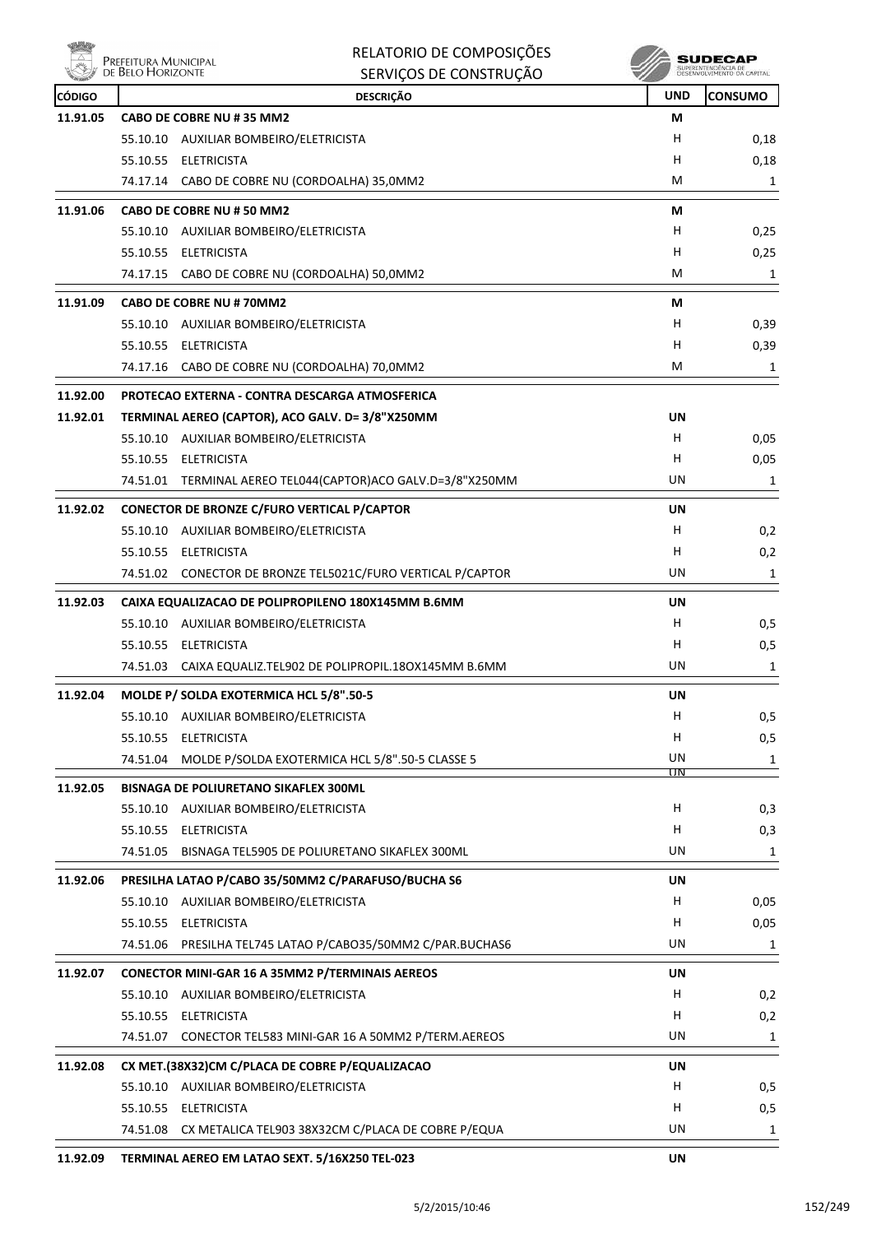

| Prefeitura Municipal<br>de Belo Horizonte<br>SUPERINTENDÊNCIA DE<br>DESENVOLVIMENTO DA CAPITAL<br><b>DESCRIÇÃO</b><br><b>UND</b><br><b>CONSUMO</b><br><b>CÓDIGO</b><br>11.91.05<br>CABO DE COBRE NU # 35 MM2<br>М<br>H<br>55.10.10 AUXILIAR BOMBEIRO/ELETRICISTA<br>H<br>55.10.55 ELETRICISTA<br>M<br>74.17.14 CABO DE COBRE NU (CORDOALHA) 35,0MM2<br>11.91.06<br>CABO DE COBRE NU # 50 MM2<br>М<br>H<br>55.10.10 AUXILIAR BOMBEIRO/ELETRICISTA<br>0,25<br>55.10.55 ELETRICISTA<br>н<br>M<br>74.17.15<br>CABO DE COBRE NU (CORDOALHA) 50,0MM2<br>11.91.09<br>CABO DE COBRE NU # 70MM2<br>М<br>55.10.10 AUXILIAR BOMBEIRO/ELETRICISTA<br>H<br>55.10.55 ELETRICISTA<br>н<br>M<br>74.17.16 CABO DE COBRE NU (CORDOALHA) 70,0MM2<br>11.92.00<br>PROTECAO EXTERNA - CONTRA DESCARGA ATMOSFERICA<br>11.92.01<br>TERMINAL AEREO (CAPTOR), ACO GALV. D= 3/8"X250MM<br>UN<br>H.<br>55.10.10 AUXILIAR BOMBEIRO/ELETRICISTA<br>55.10.55 ELETRICISTA<br>H<br>UN<br>74.51.01 TERMINAL AEREO TEL044(CAPTOR)ACO GALV.D=3/8"X250MM<br>11.92.02<br>CONECTOR DE BRONZE C/FURO VERTICAL P/CAPTOR<br>UN<br>н<br>55.10.10 AUXILIAR BOMBEIRO/ELETRICISTA<br>н<br>55.10.55 ELETRICISTA<br>UN<br>74.51.02 CONECTOR DE BRONZE TEL5021C/FURO VERTICAL P/CAPTOR<br>11.92.03<br>CAIXA EQUALIZACAO DE POLIPROPILENO 180X145MM B.6MM<br>UN<br>55.10.10 AUXILIAR BOMBEIRO/ELETRICISTA<br>H<br>55.10.55 ELETRICISTA<br>H.<br>UN<br>CAIXA EQUALIZ.TEL902 DE POLIPROPIL.180X145MM B.6MM<br>74.51.03<br>11.92.04<br>MOLDE P/ SOLDA EXOTERMICA HCL 5/8".50-5<br>UN<br>н<br>55.10.10 AUXILIAR BOMBEIRO/ELETRICISTA<br>55.10.55 ELETRICISTA<br>H<br>UN<br>74.51.04 MOLDE P/SOLDA EXOTERMICA HCL 5/8".50-5 CLASSE 5<br>ПN<br>BISNAGA DE POLIURETANO SIKAFLEX 300ML<br>11.92.05<br>H.<br>55.10.10 AUXILIAR BOMBEIRO/ELETRICISTA<br>55.10.55 ELETRICISTA<br>н<br>UN<br>74.51.05 BISNAGA TEL5905 DE POLIURETANO SIKAFLEX 300ML<br>PRESILHA LATAO P/CABO 35/50MM2 C/PARAFUSO/BUCHA S6<br>11.92.06<br>UN<br>55.10.10 AUXILIAR BOMBEIRO/ELETRICISTA<br>H<br>55.10.55 ELETRICISTA<br>H<br>UN<br>74.51.06 PRESILHA TEL745 LATAO P/CABO35/50MM2 C/PAR.BUCHAS6<br>11.92.07<br><b>CONECTOR MINI-GAR 16 A 35MM2 P/TERMINAIS AEREOS</b><br>UN<br>55.10.10 AUXILIAR BOMBEIRO/ELETRICISTA<br>Н.<br>H<br>55.10.55 ELETRICISTA<br>UN<br>74.51.07 CONECTOR TEL583 MINI-GAR 16 A 50MM2 P/TERM.AEREOS<br>CX MET.(38X32)CM C/PLACA DE COBRE P/EQUALIZACAO<br>11.92.08<br>UN<br>H<br>55.10.10 AUXILIAR BOMBEIRO/ELETRICISTA<br>55.10.55 ELETRICISTA<br>H<br>74.51.08 CX METALICA TEL903 38X32CM C/PLACA DE COBRE P/EQUA<br>UN | uiliy | RELATORIO DE COMPOSIÇÕES | SUDECAP   |
|-------------------------------------------------------------------------------------------------------------------------------------------------------------------------------------------------------------------------------------------------------------------------------------------------------------------------------------------------------------------------------------------------------------------------------------------------------------------------------------------------------------------------------------------------------------------------------------------------------------------------------------------------------------------------------------------------------------------------------------------------------------------------------------------------------------------------------------------------------------------------------------------------------------------------------------------------------------------------------------------------------------------------------------------------------------------------------------------------------------------------------------------------------------------------------------------------------------------------------------------------------------------------------------------------------------------------------------------------------------------------------------------------------------------------------------------------------------------------------------------------------------------------------------------------------------------------------------------------------------------------------------------------------------------------------------------------------------------------------------------------------------------------------------------------------------------------------------------------------------------------------------------------------------------------------------------------------------------------------------------------------------------------------------------------------------------------------------------------------------------------------------------------------------------------------------------------------------------------------------------------------------------------------------------------------------------------------------------------------------------------------------------------------------------------------------------------------------------------------------------------------------------------------------------------------------------|-------|--------------------------|-----------|
|                                                                                                                                                                                                                                                                                                                                                                                                                                                                                                                                                                                                                                                                                                                                                                                                                                                                                                                                                                                                                                                                                                                                                                                                                                                                                                                                                                                                                                                                                                                                                                                                                                                                                                                                                                                                                                                                                                                                                                                                                                                                                                                                                                                                                                                                                                                                                                                                                                                                                                                                                                   |       | SERVIÇOS DE CONSTRUÇÃO   |           |
|                                                                                                                                                                                                                                                                                                                                                                                                                                                                                                                                                                                                                                                                                                                                                                                                                                                                                                                                                                                                                                                                                                                                                                                                                                                                                                                                                                                                                                                                                                                                                                                                                                                                                                                                                                                                                                                                                                                                                                                                                                                                                                                                                                                                                                                                                                                                                                                                                                                                                                                                                                   |       |                          |           |
|                                                                                                                                                                                                                                                                                                                                                                                                                                                                                                                                                                                                                                                                                                                                                                                                                                                                                                                                                                                                                                                                                                                                                                                                                                                                                                                                                                                                                                                                                                                                                                                                                                                                                                                                                                                                                                                                                                                                                                                                                                                                                                                                                                                                                                                                                                                                                                                                                                                                                                                                                                   |       |                          |           |
|                                                                                                                                                                                                                                                                                                                                                                                                                                                                                                                                                                                                                                                                                                                                                                                                                                                                                                                                                                                                                                                                                                                                                                                                                                                                                                                                                                                                                                                                                                                                                                                                                                                                                                                                                                                                                                                                                                                                                                                                                                                                                                                                                                                                                                                                                                                                                                                                                                                                                                                                                                   |       |                          | 0,18      |
|                                                                                                                                                                                                                                                                                                                                                                                                                                                                                                                                                                                                                                                                                                                                                                                                                                                                                                                                                                                                                                                                                                                                                                                                                                                                                                                                                                                                                                                                                                                                                                                                                                                                                                                                                                                                                                                                                                                                                                                                                                                                                                                                                                                                                                                                                                                                                                                                                                                                                                                                                                   |       |                          | 0,18<br>1 |
|                                                                                                                                                                                                                                                                                                                                                                                                                                                                                                                                                                                                                                                                                                                                                                                                                                                                                                                                                                                                                                                                                                                                                                                                                                                                                                                                                                                                                                                                                                                                                                                                                                                                                                                                                                                                                                                                                                                                                                                                                                                                                                                                                                                                                                                                                                                                                                                                                                                                                                                                                                   |       |                          |           |
|                                                                                                                                                                                                                                                                                                                                                                                                                                                                                                                                                                                                                                                                                                                                                                                                                                                                                                                                                                                                                                                                                                                                                                                                                                                                                                                                                                                                                                                                                                                                                                                                                                                                                                                                                                                                                                                                                                                                                                                                                                                                                                                                                                                                                                                                                                                                                                                                                                                                                                                                                                   |       |                          |           |
|                                                                                                                                                                                                                                                                                                                                                                                                                                                                                                                                                                                                                                                                                                                                                                                                                                                                                                                                                                                                                                                                                                                                                                                                                                                                                                                                                                                                                                                                                                                                                                                                                                                                                                                                                                                                                                                                                                                                                                                                                                                                                                                                                                                                                                                                                                                                                                                                                                                                                                                                                                   |       |                          | 0,25      |
|                                                                                                                                                                                                                                                                                                                                                                                                                                                                                                                                                                                                                                                                                                                                                                                                                                                                                                                                                                                                                                                                                                                                                                                                                                                                                                                                                                                                                                                                                                                                                                                                                                                                                                                                                                                                                                                                                                                                                                                                                                                                                                                                                                                                                                                                                                                                                                                                                                                                                                                                                                   |       |                          | 1         |
|                                                                                                                                                                                                                                                                                                                                                                                                                                                                                                                                                                                                                                                                                                                                                                                                                                                                                                                                                                                                                                                                                                                                                                                                                                                                                                                                                                                                                                                                                                                                                                                                                                                                                                                                                                                                                                                                                                                                                                                                                                                                                                                                                                                                                                                                                                                                                                                                                                                                                                                                                                   |       |                          |           |
|                                                                                                                                                                                                                                                                                                                                                                                                                                                                                                                                                                                                                                                                                                                                                                                                                                                                                                                                                                                                                                                                                                                                                                                                                                                                                                                                                                                                                                                                                                                                                                                                                                                                                                                                                                                                                                                                                                                                                                                                                                                                                                                                                                                                                                                                                                                                                                                                                                                                                                                                                                   |       |                          | 0,39      |
|                                                                                                                                                                                                                                                                                                                                                                                                                                                                                                                                                                                                                                                                                                                                                                                                                                                                                                                                                                                                                                                                                                                                                                                                                                                                                                                                                                                                                                                                                                                                                                                                                                                                                                                                                                                                                                                                                                                                                                                                                                                                                                                                                                                                                                                                                                                                                                                                                                                                                                                                                                   |       |                          | 0,39      |
|                                                                                                                                                                                                                                                                                                                                                                                                                                                                                                                                                                                                                                                                                                                                                                                                                                                                                                                                                                                                                                                                                                                                                                                                                                                                                                                                                                                                                                                                                                                                                                                                                                                                                                                                                                                                                                                                                                                                                                                                                                                                                                                                                                                                                                                                                                                                                                                                                                                                                                                                                                   |       |                          | 1         |
|                                                                                                                                                                                                                                                                                                                                                                                                                                                                                                                                                                                                                                                                                                                                                                                                                                                                                                                                                                                                                                                                                                                                                                                                                                                                                                                                                                                                                                                                                                                                                                                                                                                                                                                                                                                                                                                                                                                                                                                                                                                                                                                                                                                                                                                                                                                                                                                                                                                                                                                                                                   |       |                          |           |
|                                                                                                                                                                                                                                                                                                                                                                                                                                                                                                                                                                                                                                                                                                                                                                                                                                                                                                                                                                                                                                                                                                                                                                                                                                                                                                                                                                                                                                                                                                                                                                                                                                                                                                                                                                                                                                                                                                                                                                                                                                                                                                                                                                                                                                                                                                                                                                                                                                                                                                                                                                   |       |                          |           |
|                                                                                                                                                                                                                                                                                                                                                                                                                                                                                                                                                                                                                                                                                                                                                                                                                                                                                                                                                                                                                                                                                                                                                                                                                                                                                                                                                                                                                                                                                                                                                                                                                                                                                                                                                                                                                                                                                                                                                                                                                                                                                                                                                                                                                                                                                                                                                                                                                                                                                                                                                                   |       |                          | 0,05      |
|                                                                                                                                                                                                                                                                                                                                                                                                                                                                                                                                                                                                                                                                                                                                                                                                                                                                                                                                                                                                                                                                                                                                                                                                                                                                                                                                                                                                                                                                                                                                                                                                                                                                                                                                                                                                                                                                                                                                                                                                                                                                                                                                                                                                                                                                                                                                                                                                                                                                                                                                                                   |       |                          | 0,05      |
|                                                                                                                                                                                                                                                                                                                                                                                                                                                                                                                                                                                                                                                                                                                                                                                                                                                                                                                                                                                                                                                                                                                                                                                                                                                                                                                                                                                                                                                                                                                                                                                                                                                                                                                                                                                                                                                                                                                                                                                                                                                                                                                                                                                                                                                                                                                                                                                                                                                                                                                                                                   |       |                          | 1         |
|                                                                                                                                                                                                                                                                                                                                                                                                                                                                                                                                                                                                                                                                                                                                                                                                                                                                                                                                                                                                                                                                                                                                                                                                                                                                                                                                                                                                                                                                                                                                                                                                                                                                                                                                                                                                                                                                                                                                                                                                                                                                                                                                                                                                                                                                                                                                                                                                                                                                                                                                                                   |       |                          |           |
|                                                                                                                                                                                                                                                                                                                                                                                                                                                                                                                                                                                                                                                                                                                                                                                                                                                                                                                                                                                                                                                                                                                                                                                                                                                                                                                                                                                                                                                                                                                                                                                                                                                                                                                                                                                                                                                                                                                                                                                                                                                                                                                                                                                                                                                                                                                                                                                                                                                                                                                                                                   |       |                          | 0,2       |
|                                                                                                                                                                                                                                                                                                                                                                                                                                                                                                                                                                                                                                                                                                                                                                                                                                                                                                                                                                                                                                                                                                                                                                                                                                                                                                                                                                                                                                                                                                                                                                                                                                                                                                                                                                                                                                                                                                                                                                                                                                                                                                                                                                                                                                                                                                                                                                                                                                                                                                                                                                   |       |                          | 0,2<br>1  |
|                                                                                                                                                                                                                                                                                                                                                                                                                                                                                                                                                                                                                                                                                                                                                                                                                                                                                                                                                                                                                                                                                                                                                                                                                                                                                                                                                                                                                                                                                                                                                                                                                                                                                                                                                                                                                                                                                                                                                                                                                                                                                                                                                                                                                                                                                                                                                                                                                                                                                                                                                                   |       |                          |           |
|                                                                                                                                                                                                                                                                                                                                                                                                                                                                                                                                                                                                                                                                                                                                                                                                                                                                                                                                                                                                                                                                                                                                                                                                                                                                                                                                                                                                                                                                                                                                                                                                                                                                                                                                                                                                                                                                                                                                                                                                                                                                                                                                                                                                                                                                                                                                                                                                                                                                                                                                                                   |       |                          | 0,5       |
|                                                                                                                                                                                                                                                                                                                                                                                                                                                                                                                                                                                                                                                                                                                                                                                                                                                                                                                                                                                                                                                                                                                                                                                                                                                                                                                                                                                                                                                                                                                                                                                                                                                                                                                                                                                                                                                                                                                                                                                                                                                                                                                                                                                                                                                                                                                                                                                                                                                                                                                                                                   |       |                          | 0,5       |
|                                                                                                                                                                                                                                                                                                                                                                                                                                                                                                                                                                                                                                                                                                                                                                                                                                                                                                                                                                                                                                                                                                                                                                                                                                                                                                                                                                                                                                                                                                                                                                                                                                                                                                                                                                                                                                                                                                                                                                                                                                                                                                                                                                                                                                                                                                                                                                                                                                                                                                                                                                   |       |                          | 1         |
|                                                                                                                                                                                                                                                                                                                                                                                                                                                                                                                                                                                                                                                                                                                                                                                                                                                                                                                                                                                                                                                                                                                                                                                                                                                                                                                                                                                                                                                                                                                                                                                                                                                                                                                                                                                                                                                                                                                                                                                                                                                                                                                                                                                                                                                                                                                                                                                                                                                                                                                                                                   |       |                          |           |
|                                                                                                                                                                                                                                                                                                                                                                                                                                                                                                                                                                                                                                                                                                                                                                                                                                                                                                                                                                                                                                                                                                                                                                                                                                                                                                                                                                                                                                                                                                                                                                                                                                                                                                                                                                                                                                                                                                                                                                                                                                                                                                                                                                                                                                                                                                                                                                                                                                                                                                                                                                   |       |                          | 0,5       |
|                                                                                                                                                                                                                                                                                                                                                                                                                                                                                                                                                                                                                                                                                                                                                                                                                                                                                                                                                                                                                                                                                                                                                                                                                                                                                                                                                                                                                                                                                                                                                                                                                                                                                                                                                                                                                                                                                                                                                                                                                                                                                                                                                                                                                                                                                                                                                                                                                                                                                                                                                                   |       |                          | 0,5       |
|                                                                                                                                                                                                                                                                                                                                                                                                                                                                                                                                                                                                                                                                                                                                                                                                                                                                                                                                                                                                                                                                                                                                                                                                                                                                                                                                                                                                                                                                                                                                                                                                                                                                                                                                                                                                                                                                                                                                                                                                                                                                                                                                                                                                                                                                                                                                                                                                                                                                                                                                                                   |       |                          | 1         |
|                                                                                                                                                                                                                                                                                                                                                                                                                                                                                                                                                                                                                                                                                                                                                                                                                                                                                                                                                                                                                                                                                                                                                                                                                                                                                                                                                                                                                                                                                                                                                                                                                                                                                                                                                                                                                                                                                                                                                                                                                                                                                                                                                                                                                                                                                                                                                                                                                                                                                                                                                                   |       |                          |           |
|                                                                                                                                                                                                                                                                                                                                                                                                                                                                                                                                                                                                                                                                                                                                                                                                                                                                                                                                                                                                                                                                                                                                                                                                                                                                                                                                                                                                                                                                                                                                                                                                                                                                                                                                                                                                                                                                                                                                                                                                                                                                                                                                                                                                                                                                                                                                                                                                                                                                                                                                                                   |       |                          | 0,3       |
|                                                                                                                                                                                                                                                                                                                                                                                                                                                                                                                                                                                                                                                                                                                                                                                                                                                                                                                                                                                                                                                                                                                                                                                                                                                                                                                                                                                                                                                                                                                                                                                                                                                                                                                                                                                                                                                                                                                                                                                                                                                                                                                                                                                                                                                                                                                                                                                                                                                                                                                                                                   |       |                          | 0,3       |
|                                                                                                                                                                                                                                                                                                                                                                                                                                                                                                                                                                                                                                                                                                                                                                                                                                                                                                                                                                                                                                                                                                                                                                                                                                                                                                                                                                                                                                                                                                                                                                                                                                                                                                                                                                                                                                                                                                                                                                                                                                                                                                                                                                                                                                                                                                                                                                                                                                                                                                                                                                   |       |                          | 1         |
|                                                                                                                                                                                                                                                                                                                                                                                                                                                                                                                                                                                                                                                                                                                                                                                                                                                                                                                                                                                                                                                                                                                                                                                                                                                                                                                                                                                                                                                                                                                                                                                                                                                                                                                                                                                                                                                                                                                                                                                                                                                                                                                                                                                                                                                                                                                                                                                                                                                                                                                                                                   |       |                          |           |
|                                                                                                                                                                                                                                                                                                                                                                                                                                                                                                                                                                                                                                                                                                                                                                                                                                                                                                                                                                                                                                                                                                                                                                                                                                                                                                                                                                                                                                                                                                                                                                                                                                                                                                                                                                                                                                                                                                                                                                                                                                                                                                                                                                                                                                                                                                                                                                                                                                                                                                                                                                   |       |                          | 0,05      |
|                                                                                                                                                                                                                                                                                                                                                                                                                                                                                                                                                                                                                                                                                                                                                                                                                                                                                                                                                                                                                                                                                                                                                                                                                                                                                                                                                                                                                                                                                                                                                                                                                                                                                                                                                                                                                                                                                                                                                                                                                                                                                                                                                                                                                                                                                                                                                                                                                                                                                                                                                                   |       |                          | 0,05<br>1 |
|                                                                                                                                                                                                                                                                                                                                                                                                                                                                                                                                                                                                                                                                                                                                                                                                                                                                                                                                                                                                                                                                                                                                                                                                                                                                                                                                                                                                                                                                                                                                                                                                                                                                                                                                                                                                                                                                                                                                                                                                                                                                                                                                                                                                                                                                                                                                                                                                                                                                                                                                                                   |       |                          |           |
|                                                                                                                                                                                                                                                                                                                                                                                                                                                                                                                                                                                                                                                                                                                                                                                                                                                                                                                                                                                                                                                                                                                                                                                                                                                                                                                                                                                                                                                                                                                                                                                                                                                                                                                                                                                                                                                                                                                                                                                                                                                                                                                                                                                                                                                                                                                                                                                                                                                                                                                                                                   |       |                          | 0,2       |
|                                                                                                                                                                                                                                                                                                                                                                                                                                                                                                                                                                                                                                                                                                                                                                                                                                                                                                                                                                                                                                                                                                                                                                                                                                                                                                                                                                                                                                                                                                                                                                                                                                                                                                                                                                                                                                                                                                                                                                                                                                                                                                                                                                                                                                                                                                                                                                                                                                                                                                                                                                   |       |                          | 0,2       |
|                                                                                                                                                                                                                                                                                                                                                                                                                                                                                                                                                                                                                                                                                                                                                                                                                                                                                                                                                                                                                                                                                                                                                                                                                                                                                                                                                                                                                                                                                                                                                                                                                                                                                                                                                                                                                                                                                                                                                                                                                                                                                                                                                                                                                                                                                                                                                                                                                                                                                                                                                                   |       |                          | 1         |
|                                                                                                                                                                                                                                                                                                                                                                                                                                                                                                                                                                                                                                                                                                                                                                                                                                                                                                                                                                                                                                                                                                                                                                                                                                                                                                                                                                                                                                                                                                                                                                                                                                                                                                                                                                                                                                                                                                                                                                                                                                                                                                                                                                                                                                                                                                                                                                                                                                                                                                                                                                   |       |                          |           |
|                                                                                                                                                                                                                                                                                                                                                                                                                                                                                                                                                                                                                                                                                                                                                                                                                                                                                                                                                                                                                                                                                                                                                                                                                                                                                                                                                                                                                                                                                                                                                                                                                                                                                                                                                                                                                                                                                                                                                                                                                                                                                                                                                                                                                                                                                                                                                                                                                                                                                                                                                                   |       |                          | 0,5       |
|                                                                                                                                                                                                                                                                                                                                                                                                                                                                                                                                                                                                                                                                                                                                                                                                                                                                                                                                                                                                                                                                                                                                                                                                                                                                                                                                                                                                                                                                                                                                                                                                                                                                                                                                                                                                                                                                                                                                                                                                                                                                                                                                                                                                                                                                                                                                                                                                                                                                                                                                                                   |       |                          | 0,5       |
|                                                                                                                                                                                                                                                                                                                                                                                                                                                                                                                                                                                                                                                                                                                                                                                                                                                                                                                                                                                                                                                                                                                                                                                                                                                                                                                                                                                                                                                                                                                                                                                                                                                                                                                                                                                                                                                                                                                                                                                                                                                                                                                                                                                                                                                                                                                                                                                                                                                                                                                                                                   |       |                          | 1         |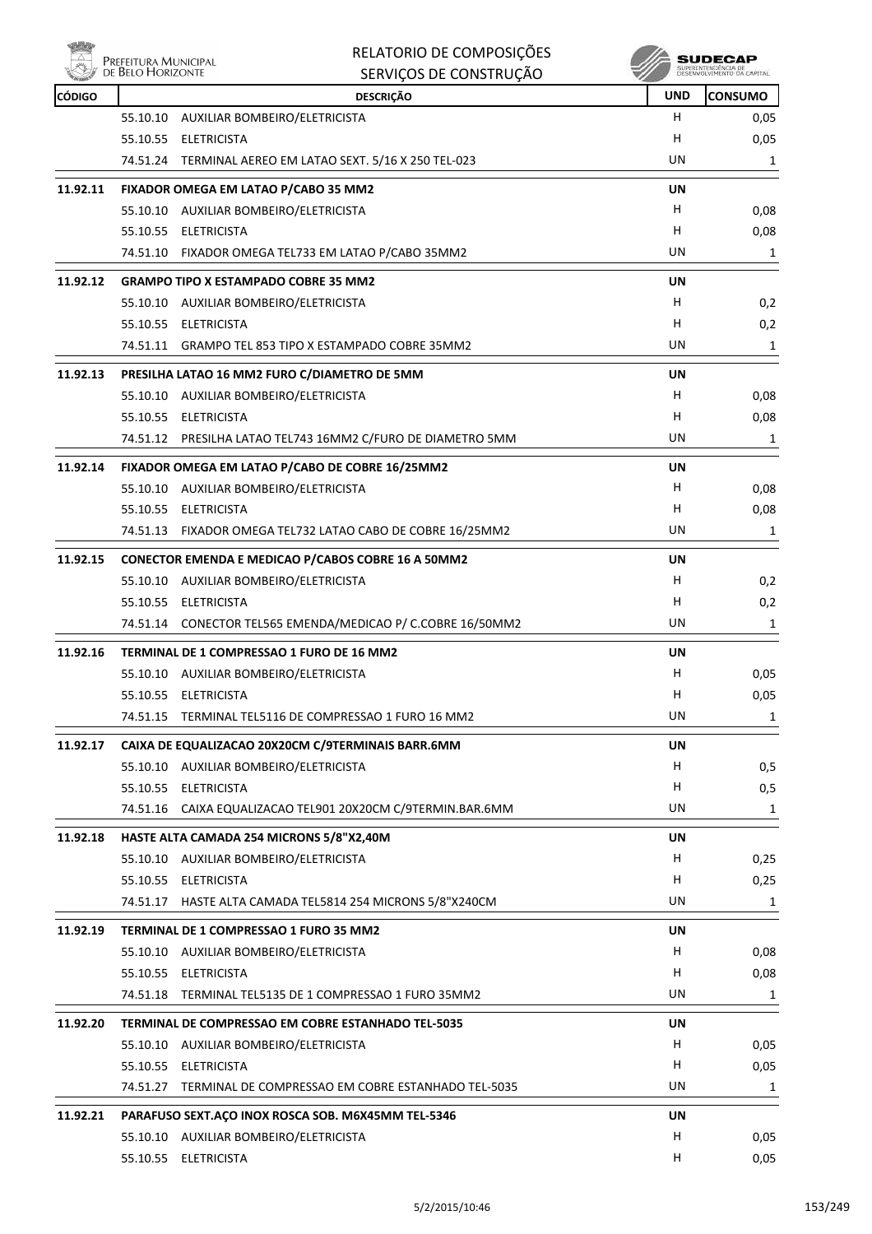

|               | Prefeitura Municipal<br>de Belo Horizonte | RELATORIO DE COMPOSIÇÕES<br>SERVIÇOS DE CONSTRUÇÃO          |            | SUDECAP<br>SUPERINTENDÊNCIA DE<br>DESENVOLVIMENTO DA CAPITAL |
|---------------|-------------------------------------------|-------------------------------------------------------------|------------|--------------------------------------------------------------|
| <b>CÓDIGO</b> |                                           | <b>DESCRIÇÃO</b>                                            | <b>UND</b> | <b>CONSUMO</b>                                               |
|               | 55.10.10                                  | AUXILIAR BOMBEIRO/ELETRICISTA                               | H.         | 0,05                                                         |
|               |                                           | 55.10.55 ELETRICISTA                                        | н          | 0,05                                                         |
|               |                                           | 74.51.24 TERMINAL AEREO EM LATAO SEXT. 5/16 X 250 TEL-023   | UN         | 1                                                            |
| 11.92.11      |                                           | FIXADOR OMEGA EM LATAO P/CABO 35 MM2                        | UN         |                                                              |
|               |                                           | 55.10.10 AUXILIAR BOMBEIRO/ELETRICISTA                      | H.         | 0,08                                                         |
|               |                                           | 55.10.55 ELETRICISTA                                        | H          | 0,08                                                         |
|               |                                           | 74.51.10 FIXADOR OMEGA TEL733 EM LATAO P/CABO 35MM2         | UN         | 1                                                            |
| 11.92.12      |                                           | <b>GRAMPO TIPO X ESTAMPADO COBRE 35 MM2</b>                 | UN         |                                                              |
|               |                                           | 55.10.10 AUXILIAR BOMBEIRO/ELETRICISTA                      | H          | 0,2                                                          |
|               |                                           | 55.10.55 ELETRICISTA                                        | H          | 0,2                                                          |
|               |                                           | 74.51.11 GRAMPO TEL 853 TIPO X ESTAMPADO COBRE 35MM2        | UN         | 1                                                            |
| 11.92.13      |                                           | PRESILHA LATAO 16 MM2 FURO C/DIAMETRO DE 5MM                | UN         |                                                              |
|               |                                           | 55.10.10 AUXILIAR BOMBEIRO/ELETRICISTA                      | H.         | 0,08                                                         |
|               |                                           | 55.10.55 ELETRICISTA                                        | н          | 0,08                                                         |
|               |                                           | 74.51.12 PRESILHA LATAO TEL743 16MM2 C/FURO DE DIAMETRO 5MM | UN         | 1                                                            |
| 11.92.14      |                                           | FIXADOR OMEGA EM LATAO P/CABO DE COBRE 16/25MM2             | UN         |                                                              |
|               |                                           | 55.10.10 AUXILIAR BOMBEIRO/ELETRICISTA                      | H          | 0,08                                                         |
|               |                                           | 55.10.55 ELETRICISTA                                        | H          | 0,08                                                         |
|               |                                           | 74.51.13 FIXADOR OMEGA TEL732 LATAO CABO DE COBRE 16/25MM2  | UN         | 1                                                            |
| 11.92.15      |                                           | <b>CONECTOR EMENDA E MEDICAO P/CABOS COBRE 16 A 50MM2</b>   | UN         |                                                              |
|               |                                           | 55.10.10 AUXILIAR BOMBEIRO/ELETRICISTA                      | H          | 0,2                                                          |
|               |                                           | 55.10.55 ELETRICISTA                                        | H          | 0,2                                                          |
|               |                                           | 74.51.14 CONECTOR TEL565 EMENDA/MEDICAO P/ C.COBRE 16/50MM2 | UN         | 1                                                            |
| 11.92.16      |                                           | TERMINAL DE 1 COMPRESSAO 1 FURO DE 16 MM2                   | UN         |                                                              |
|               |                                           | 55.10.10 AUXILIAR BOMBEIRO/ELETRICISTA                      | H          | 0,05                                                         |
|               |                                           | 55.10.55 ELETRICISTA                                        | Н          | 0,05                                                         |
|               | 74.51.15                                  | TERMINAL TEL5116 DE COMPRESSAO 1 FURO 16 MM2                | UN         | 1                                                            |
| 11.92.17      |                                           | CAIXA DE EQUALIZACAO 20X20CM C/9TERMINAIS BARR.6MM          | UN         |                                                              |
|               |                                           | 55.10.10 AUXILIAR BOMBEIRO/ELETRICISTA                      | H.         | 0,5                                                          |
|               |                                           | 55.10.55 ELETRICISTA                                        | H          | 0,5                                                          |
|               |                                           | 74.51.16 CAIXA EQUALIZACAO TEL901 20X20CM C/9TERMIN.BAR.6MM | UN         | 1                                                            |
| 11.92.18      |                                           | HASTE ALTA CAMADA 254 MICRONS 5/8"X2,40M                    | UN         |                                                              |
|               |                                           | 55.10.10 AUXILIAR BOMBEIRO/ELETRICISTA                      | H          | 0,25                                                         |
|               |                                           | 55.10.55 ELETRICISTA                                        | н          | 0,25                                                         |
|               |                                           | 74.51.17 HASTE ALTA CAMADA TEL5814 254 MICRONS 5/8"X240CM   | UN         | 1                                                            |
| 11.92.19      |                                           | TERMINAL DE 1 COMPRESSAO 1 FURO 35 MM2                      | UN         |                                                              |
|               |                                           | 55.10.10 AUXILIAR BOMBEIRO/ELETRICISTA                      | H          | 0,08                                                         |
|               |                                           | 55.10.55 ELETRICISTA                                        | н          | 0,08                                                         |
|               |                                           | 74.51.18 TERMINAL TEL5135 DE 1 COMPRESSAO 1 FURO 35MM2      | UN         | 1                                                            |
| 11.92.20      |                                           | TERMINAL DE COMPRESSAO EM COBRE ESTANHADO TEL-5035          | UN         |                                                              |
|               |                                           | 55.10.10 AUXILIAR BOMBEIRO/ELETRICISTA                      | H          | 0,05                                                         |
|               |                                           | 55.10.55 ELETRICISTA                                        | H          | 0,05                                                         |
|               | 74.51.27                                  | TERMINAL DE COMPRESSAO EM COBRE ESTANHADO TEL-5035          | UN         | 1                                                            |
| 11.92.21      |                                           | PARAFUSO SEXT.AÇO INOX ROSCA SOB. M6X45MM TEL-5346          | UN         |                                                              |
|               |                                           | 55.10.10 AUXILIAR BOMBEIRO/ELETRICISTA                      | H.         | 0,05                                                         |
|               |                                           | 55.10.55 ELETRICISTA                                        | H          | 0,05                                                         |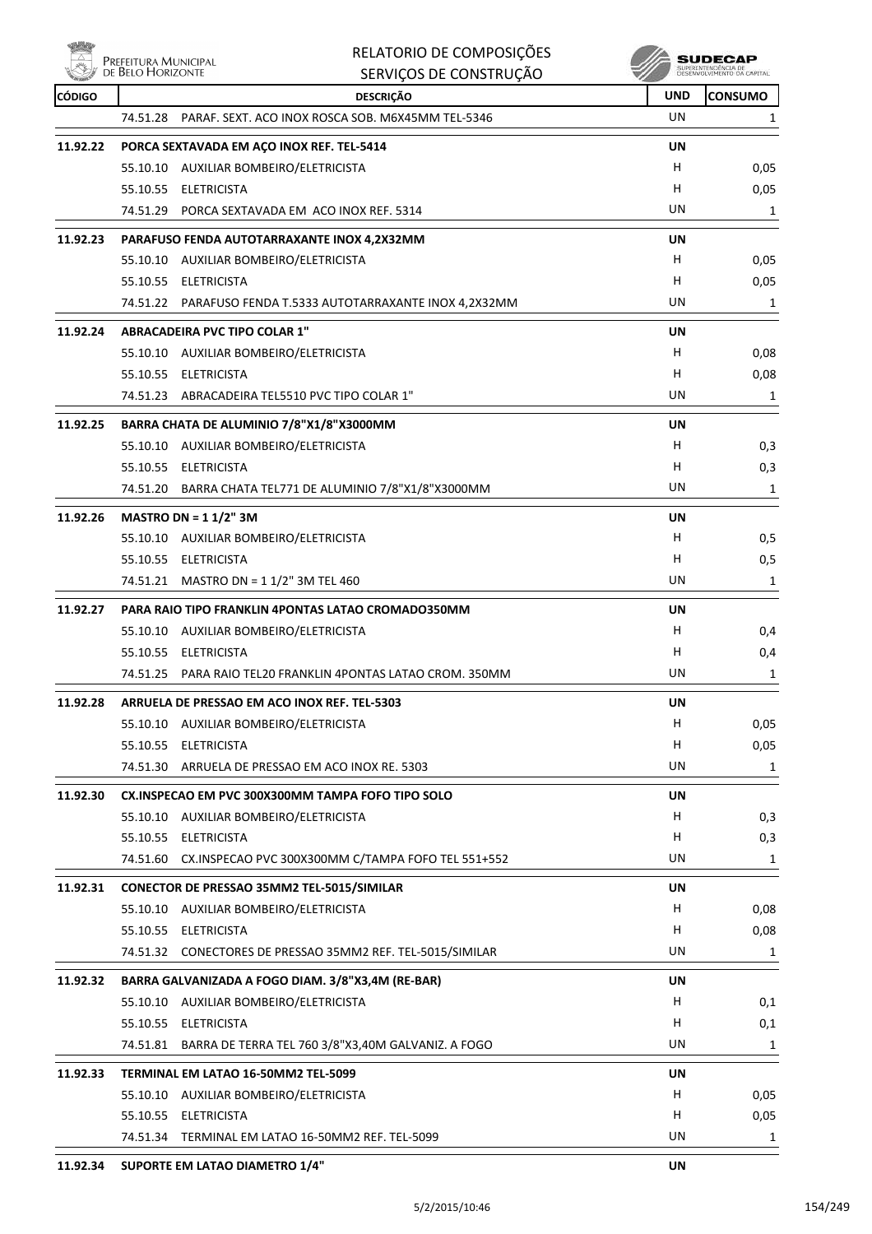**EXAMPLE PREFEITURA MUNICIPAL** 

|               | DE BELO HORIZONTE | SERVIÇOS DE CONSTRUÇÃO                                      |            | SUPERINTENDÊNCIA DE<br>DÉSÉNVOLVIMENTO DA CAPITAL |
|---------------|-------------------|-------------------------------------------------------------|------------|---------------------------------------------------|
| <b>CÓDIGO</b> |                   | <b>DESCRIÇÃO</b>                                            | <b>UND</b> | <b>CONSUMO</b>                                    |
|               |                   | 74.51.28 PARAF. SEXT. ACO INOX ROSCA SOB. M6X45MM TEL-5346  | UN         | 1                                                 |
| 11.92.22      |                   | PORCA SEXTAVADA EM AÇO INOX REF. TEL-5414                   | UN         |                                                   |
|               |                   | 55.10.10 AUXILIAR BOMBEIRO/ELETRICISTA                      | H          | 0,05                                              |
|               |                   | 55.10.55 ELETRICISTA                                        | н          | 0,05                                              |
|               |                   | 74.51.29 PORCA SEXTAVADA EM ACO INOX REF. 5314              | UN         | 1                                                 |
|               |                   |                                                             |            |                                                   |
| 11.92.23      |                   | PARAFUSO FENDA AUTOTARRAXANTE INOX 4,2X32MM                 | <b>UN</b>  |                                                   |
|               |                   | 55.10.10 AUXILIAR BOMBEIRO/ELETRICISTA                      | H          | 0,05                                              |
|               |                   | 55.10.55 ELETRICISTA                                        | н          | 0,05                                              |
|               |                   | 74.51.22 PARAFUSO FENDA T.5333 AUTOTARRAXANTE INOX 4,2X32MM | UN         | 1                                                 |
| 11.92.24      |                   | <b>ABRACADEIRA PVC TIPO COLAR 1"</b>                        | <b>UN</b>  |                                                   |
|               |                   | 55.10.10 AUXILIAR BOMBEIRO/ELETRICISTA                      | н          | 0,08                                              |
|               |                   | 55.10.55 ELETRICISTA                                        | н          | 0,08                                              |
|               |                   | 74.51.23 ABRACADEIRA TEL5510 PVC TIPO COLAR 1"              | UN         | 1                                                 |
| 11.92.25      |                   | BARRA CHATA DE ALUMINIO 7/8"X1/8"X3000MM                    | UN         |                                                   |
|               |                   | 55.10.10 AUXILIAR BOMBEIRO/ELETRICISTA                      | H          | 0,3                                               |
|               |                   | 55.10.55 ELETRICISTA                                        | н          | 0,3                                               |
|               |                   | 74.51.20 BARRA CHATA TEL771 DE ALUMINIO 7/8"X1/8"X3000MM    | UN         | 1                                                 |
|               |                   |                                                             |            |                                                   |
| 11.92.26      |                   | MASTRO DN = $11/2$ " 3M                                     | UN         |                                                   |
|               |                   | 55.10.10 AUXILIAR BOMBEIRO/ELETRICISTA                      | н          | 0,5                                               |
|               |                   | 55.10.55 ELETRICISTA                                        | н          | 0,5                                               |
|               |                   | 74.51.21 MASTRO DN = 1 1/2" 3M TEL 460                      | UN         | 1                                                 |
| 11.92.27      |                   | PARA RAIO TIPO FRANKLIN 4PONTAS LATAO CROMADO350MM          | UN         |                                                   |
|               |                   | 55.10.10 AUXILIAR BOMBEIRO/ELETRICISTA                      | н          | 0,4                                               |
|               |                   | 55.10.55 ELETRICISTA                                        | н          | 0,4                                               |
|               |                   | 74.51.25 PARA RAIO TEL20 FRANKLIN 4PONTAS LATAO CROM. 350MM | UN         | 1                                                 |
| 11.92.28      |                   | ARRUELA DE PRESSAO EM ACO INOX REF. TEL-5303                | UN         |                                                   |
|               |                   | 55.10.10 AUXILIAR BOMBEIRO/ELETRICISTA                      | H          | 0,05                                              |
|               | 55.10.55          | <b>ELETRICISTA</b>                                          | н          | 0,05                                              |
|               |                   | 74.51.30 ARRUELA DE PRESSAO EM ACO INOX RE. 5303            | UN         | 1                                                 |
|               |                   |                                                             |            |                                                   |
| 11.92.30      |                   | CX.INSPECAO EM PVC 300X300MM TAMPA FOFO TIPO SOLO           | <b>UN</b>  |                                                   |
|               |                   | 55.10.10 AUXILIAR BOMBEIRO/ELETRICISTA                      | н          | 0,3                                               |
|               |                   | 55.10.55 ELETRICISTA                                        | н          | 0,3                                               |
|               |                   | 74.51.60 CX.INSPECAO PVC 300X300MM C/TAMPA FOFO TEL 551+552 | UN         | 1                                                 |
| 11.92.31      |                   | CONECTOR DE PRESSAO 35MM2 TEL-5015/SIMILAR                  | UN         |                                                   |
|               |                   | 55.10.10 AUXILIAR BOMBEIRO/ELETRICISTA                      | н          | 0,08                                              |
|               |                   | 55.10.55 ELETRICISTA                                        | н          | 0,08                                              |
|               |                   | 74.51.32 CONECTORES DE PRESSAO 35MM2 REF. TEL-5015/SIMILAR  | UN         | 1                                                 |
| 11.92.32      |                   | BARRA GALVANIZADA A FOGO DIAM. 3/8"X3,4M (RE-BAR)           | UN         |                                                   |
|               |                   | 55.10.10 AUXILIAR BOMBEIRO/ELETRICISTA                      | н          |                                                   |
|               |                   | 55.10.55 ELETRICISTA                                        | н          | 0,1                                               |
|               |                   | 74.51.81 BARRA DE TERRA TEL 760 3/8"X3,40M GALVANIZ. A FOGO | UN         | 0,1                                               |
|               |                   |                                                             |            | 1                                                 |
| 11.92.33      |                   | TERMINAL EM LATAO 16-50MM2 TEL-5099                         | UN         |                                                   |
|               | 55.10.10          | AUXILIAR BOMBEIRO/ELETRICISTA                               | н          | 0,05                                              |
|               |                   | 55.10.55 ELETRICISTA                                        | н          | 0,05                                              |
|               |                   | 74.51.34 TERMINAL EM LATAO 16-50MM2 REF. TEL-5099           | UN         | 1                                                 |
| 11.92.34      |                   | SUPORTE EM LATAO DIAMETRO 1/4"                              | UN         |                                                   |

RELATORIO DE COMPOSIÇÕES

 $\mathscr{U}$  sudecap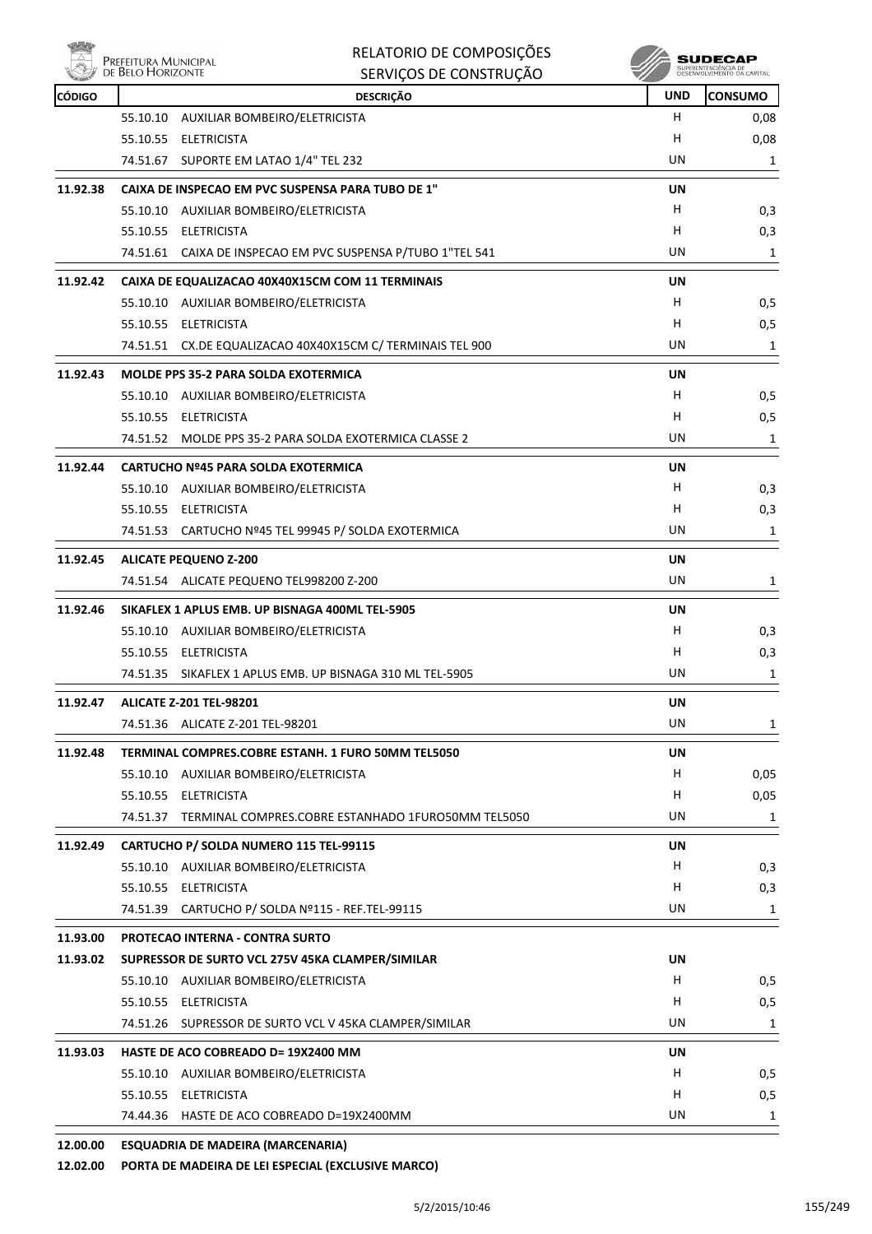

|          | PREFEITURA MUNICIPAL<br>DE BELO HORIZONTE | RELATORIO DE COMPOSIÇÕES<br>SERVIÇOS DE CONSTRUÇÃO          |            | SUDECAF        |
|----------|-------------------------------------------|-------------------------------------------------------------|------------|----------------|
| CÓDIGO   |                                           | <b>DESCRIÇÃO</b>                                            | <b>UND</b> | <b>CONSUMO</b> |
|          | 55.10.10                                  | AUXILIAR BOMBEIRO/ELETRICISTA                               | н          | 0,08           |
|          | 55.10.55                                  | <b>ELETRICISTA</b>                                          | H          | 0,08           |
|          | 74.51.67                                  | SUPORTE EM LATAO 1/4" TEL 232                               | UN         | 1              |
| 11.92.38 |                                           | CAIXA DE INSPECAO EM PVC SUSPENSA PARA TUBO DE 1"           | UN         |                |
|          | 55.10.10                                  | AUXILIAR BOMBEIRO/ELETRICISTA                               | Н          | 0,3            |
|          | 55.10.55                                  | <b>ELETRICISTA</b>                                          | н          | 0,3            |
|          |                                           | 74.51.61 CAIXA DE INSPECAO EM PVC SUSPENSA P/TUBO 1"TEL 541 | UN         | 1              |
| 11.92.42 |                                           | CAIXA DE EQUALIZACAO 40X40X15CM COM 11 TERMINAIS            | UN         |                |
|          | 55.10.10                                  | AUXILIAR BOMBEIRO/ELETRICISTA                               | н          | 0,5            |
|          | 55.10.55                                  | <b>ELETRICISTA</b>                                          | н          | 0,5            |
|          |                                           |                                                             |            |                |

| 11.92.43<br><b>MOLDE PPS 35-2 PARA SOLDA EXOTERMICA</b><br>UN<br>55.10.10 AUXILIAR BOMBEIRO/ELETRICISTA<br>н<br>н<br>55.10.55 ELETRICISTA<br>UN<br>74.51.52 MOLDE PPS 35-2 PARA SOLDA EXOTERMICA CLASSE 2<br>11.92.44<br><b>CARTUCHO Nº45 PARA SOLDA EXOTERMICA</b><br><b>UN</b><br>H<br>55.10.10 AUXILIAR BOMBEIRO/ELETRICISTA<br>55.10.55 ELETRICISTA<br>H<br>UN<br>74.51.53 CARTUCHO Nº45 TEL 99945 P/ SOLDA EXOTERMICA<br>11.92.45<br><b>ALICATE PEQUENO Z-200</b><br>UN<br>UN<br>74.51.54 ALICATE PEQUENO TEL998200 Z-200<br>11.92.46<br>SIKAFLEX 1 APLUS EMB. UP BISNAGA 400ML TEL-5905<br><b>UN</b><br>H<br>55.10.10 AUXILIAR BOMBEIRO/ELETRICISTA<br>55.10.55 ELETRICISTA<br>H<br>UN<br>74.51.35 SIKAFLEX 1 APLUS EMB. UP BISNAGA 310 ML TEL-5905<br><b>ALICATE Z-201 TEL-98201</b><br>UN<br>11.92.47<br>UN<br>74.51.36 ALICATE Z-201 TEL-98201<br>11.92.48<br>TERMINAL COMPRES.COBRE ESTANH. 1 FURO 50MM TEL5050<br>UN<br>н<br>55.10.10 AUXILIAR BOMBEIRO/ELETRICISTA<br>55.10.55 ELETRICISTA<br>н<br>UN<br>74.51.37 TERMINAL COMPRES.COBRE ESTANHADO 1FURO50MM TEL5050<br>CARTUCHO P/ SOLDA NUMERO 115 TEL-99115<br>UN<br>11.92.49<br>н<br>55.10.10 AUXILIAR BOMBEIRO/ELETRICISTA<br>55.10.55 ELETRICISTA<br>H<br>UN<br>74.51.39 CARTUCHO P/ SOLDA Nº115 - REF.TEL-99115<br>11.93.00<br><b>PROTECAO INTERNA - CONTRA SURTO</b><br><b>UN</b><br>11.93.02<br>SUPRESSOR DE SURTO VCL 275V 45KA CLAMPER/SIMILAR<br>55.10.10 AUXILIAR BOMBEIRO/ELETRICISTA<br>н<br>н<br>55.10.55 ELETRICISTA<br>UN<br>74.51.26 SUPRESSOR DE SURTO VCL V 45KA CLAMPER/SIMILAR | 74.51.51 CX.DE EQUALIZACAO 40X40X15CM C/ TERMINAIS TEL 900 |  | UN | 1    |
|-------------------------------------------------------------------------------------------------------------------------------------------------------------------------------------------------------------------------------------------------------------------------------------------------------------------------------------------------------------------------------------------------------------------------------------------------------------------------------------------------------------------------------------------------------------------------------------------------------------------------------------------------------------------------------------------------------------------------------------------------------------------------------------------------------------------------------------------------------------------------------------------------------------------------------------------------------------------------------------------------------------------------------------------------------------------------------------------------------------------------------------------------------------------------------------------------------------------------------------------------------------------------------------------------------------------------------------------------------------------------------------------------------------------------------------------------------------------------------------------------------------------------------------------------------------------|------------------------------------------------------------|--|----|------|
|                                                                                                                                                                                                                                                                                                                                                                                                                                                                                                                                                                                                                                                                                                                                                                                                                                                                                                                                                                                                                                                                                                                                                                                                                                                                                                                                                                                                                                                                                                                                                                   |                                                            |  |    |      |
|                                                                                                                                                                                                                                                                                                                                                                                                                                                                                                                                                                                                                                                                                                                                                                                                                                                                                                                                                                                                                                                                                                                                                                                                                                                                                                                                                                                                                                                                                                                                                                   |                                                            |  |    | 0, 5 |
|                                                                                                                                                                                                                                                                                                                                                                                                                                                                                                                                                                                                                                                                                                                                                                                                                                                                                                                                                                                                                                                                                                                                                                                                                                                                                                                                                                                                                                                                                                                                                                   |                                                            |  |    | 0, 5 |
|                                                                                                                                                                                                                                                                                                                                                                                                                                                                                                                                                                                                                                                                                                                                                                                                                                                                                                                                                                                                                                                                                                                                                                                                                                                                                                                                                                                                                                                                                                                                                                   |                                                            |  |    | 1    |
|                                                                                                                                                                                                                                                                                                                                                                                                                                                                                                                                                                                                                                                                                                                                                                                                                                                                                                                                                                                                                                                                                                                                                                                                                                                                                                                                                                                                                                                                                                                                                                   |                                                            |  |    |      |
|                                                                                                                                                                                                                                                                                                                                                                                                                                                                                                                                                                                                                                                                                                                                                                                                                                                                                                                                                                                                                                                                                                                                                                                                                                                                                                                                                                                                                                                                                                                                                                   |                                                            |  |    | 0,3  |
|                                                                                                                                                                                                                                                                                                                                                                                                                                                                                                                                                                                                                                                                                                                                                                                                                                                                                                                                                                                                                                                                                                                                                                                                                                                                                                                                                                                                                                                                                                                                                                   |                                                            |  |    | 0,3  |
|                                                                                                                                                                                                                                                                                                                                                                                                                                                                                                                                                                                                                                                                                                                                                                                                                                                                                                                                                                                                                                                                                                                                                                                                                                                                                                                                                                                                                                                                                                                                                                   |                                                            |  |    | 1    |
|                                                                                                                                                                                                                                                                                                                                                                                                                                                                                                                                                                                                                                                                                                                                                                                                                                                                                                                                                                                                                                                                                                                                                                                                                                                                                                                                                                                                                                                                                                                                                                   |                                                            |  |    |      |
|                                                                                                                                                                                                                                                                                                                                                                                                                                                                                                                                                                                                                                                                                                                                                                                                                                                                                                                                                                                                                                                                                                                                                                                                                                                                                                                                                                                                                                                                                                                                                                   |                                                            |  |    | 1    |
|                                                                                                                                                                                                                                                                                                                                                                                                                                                                                                                                                                                                                                                                                                                                                                                                                                                                                                                                                                                                                                                                                                                                                                                                                                                                                                                                                                                                                                                                                                                                                                   |                                                            |  |    |      |
|                                                                                                                                                                                                                                                                                                                                                                                                                                                                                                                                                                                                                                                                                                                                                                                                                                                                                                                                                                                                                                                                                                                                                                                                                                                                                                                                                                                                                                                                                                                                                                   |                                                            |  |    | 0,3  |
|                                                                                                                                                                                                                                                                                                                                                                                                                                                                                                                                                                                                                                                                                                                                                                                                                                                                                                                                                                                                                                                                                                                                                                                                                                                                                                                                                                                                                                                                                                                                                                   |                                                            |  |    | 0,3  |
|                                                                                                                                                                                                                                                                                                                                                                                                                                                                                                                                                                                                                                                                                                                                                                                                                                                                                                                                                                                                                                                                                                                                                                                                                                                                                                                                                                                                                                                                                                                                                                   |                                                            |  |    | 1    |
|                                                                                                                                                                                                                                                                                                                                                                                                                                                                                                                                                                                                                                                                                                                                                                                                                                                                                                                                                                                                                                                                                                                                                                                                                                                                                                                                                                                                                                                                                                                                                                   |                                                            |  |    |      |
|                                                                                                                                                                                                                                                                                                                                                                                                                                                                                                                                                                                                                                                                                                                                                                                                                                                                                                                                                                                                                                                                                                                                                                                                                                                                                                                                                                                                                                                                                                                                                                   |                                                            |  |    | 1    |
|                                                                                                                                                                                                                                                                                                                                                                                                                                                                                                                                                                                                                                                                                                                                                                                                                                                                                                                                                                                                                                                                                                                                                                                                                                                                                                                                                                                                                                                                                                                                                                   |                                                            |  |    |      |
|                                                                                                                                                                                                                                                                                                                                                                                                                                                                                                                                                                                                                                                                                                                                                                                                                                                                                                                                                                                                                                                                                                                                                                                                                                                                                                                                                                                                                                                                                                                                                                   |                                                            |  |    | 0,05 |
|                                                                                                                                                                                                                                                                                                                                                                                                                                                                                                                                                                                                                                                                                                                                                                                                                                                                                                                                                                                                                                                                                                                                                                                                                                                                                                                                                                                                                                                                                                                                                                   |                                                            |  |    | 0,05 |
|                                                                                                                                                                                                                                                                                                                                                                                                                                                                                                                                                                                                                                                                                                                                                                                                                                                                                                                                                                                                                                                                                                                                                                                                                                                                                                                                                                                                                                                                                                                                                                   |                                                            |  |    | 1    |
|                                                                                                                                                                                                                                                                                                                                                                                                                                                                                                                                                                                                                                                                                                                                                                                                                                                                                                                                                                                                                                                                                                                                                                                                                                                                                                                                                                                                                                                                                                                                                                   |                                                            |  |    |      |
|                                                                                                                                                                                                                                                                                                                                                                                                                                                                                                                                                                                                                                                                                                                                                                                                                                                                                                                                                                                                                                                                                                                                                                                                                                                                                                                                                                                                                                                                                                                                                                   |                                                            |  |    | 0,3  |
|                                                                                                                                                                                                                                                                                                                                                                                                                                                                                                                                                                                                                                                                                                                                                                                                                                                                                                                                                                                                                                                                                                                                                                                                                                                                                                                                                                                                                                                                                                                                                                   |                                                            |  |    | 0,3  |
|                                                                                                                                                                                                                                                                                                                                                                                                                                                                                                                                                                                                                                                                                                                                                                                                                                                                                                                                                                                                                                                                                                                                                                                                                                                                                                                                                                                                                                                                                                                                                                   |                                                            |  |    | 1    |
|                                                                                                                                                                                                                                                                                                                                                                                                                                                                                                                                                                                                                                                                                                                                                                                                                                                                                                                                                                                                                                                                                                                                                                                                                                                                                                                                                                                                                                                                                                                                                                   |                                                            |  |    |      |
|                                                                                                                                                                                                                                                                                                                                                                                                                                                                                                                                                                                                                                                                                                                                                                                                                                                                                                                                                                                                                                                                                                                                                                                                                                                                                                                                                                                                                                                                                                                                                                   |                                                            |  |    |      |
|                                                                                                                                                                                                                                                                                                                                                                                                                                                                                                                                                                                                                                                                                                                                                                                                                                                                                                                                                                                                                                                                                                                                                                                                                                                                                                                                                                                                                                                                                                                                                                   |                                                            |  |    | 0,5  |
|                                                                                                                                                                                                                                                                                                                                                                                                                                                                                                                                                                                                                                                                                                                                                                                                                                                                                                                                                                                                                                                                                                                                                                                                                                                                                                                                                                                                                                                                                                                                                                   |                                                            |  |    | 0,5  |
|                                                                                                                                                                                                                                                                                                                                                                                                                                                                                                                                                                                                                                                                                                                                                                                                                                                                                                                                                                                                                                                                                                                                                                                                                                                                                                                                                                                                                                                                                                                                                                   |                                                            |  |    | 1    |

## **11.93.03 HASTE DE ACO COBREADO D= 19X2400 MM UN** 55.10.10 AUXILIAR BOMBEIRO/ELETRICISTA H 0,5 55.10.55 ELETRICISTA H 0,5 74.44.36 HASTE DE ACO COBREADO D=19X2400MM de animal de animal de animal de animal de animal de animal de anim

## **12.00.00 ESQUADRIA DE MADEIRA (MARCENARIA)**

**12.02.00 PORTA DE MADEIRA DE LEI ESPECIAL (EXCLUSIVE MARCO)**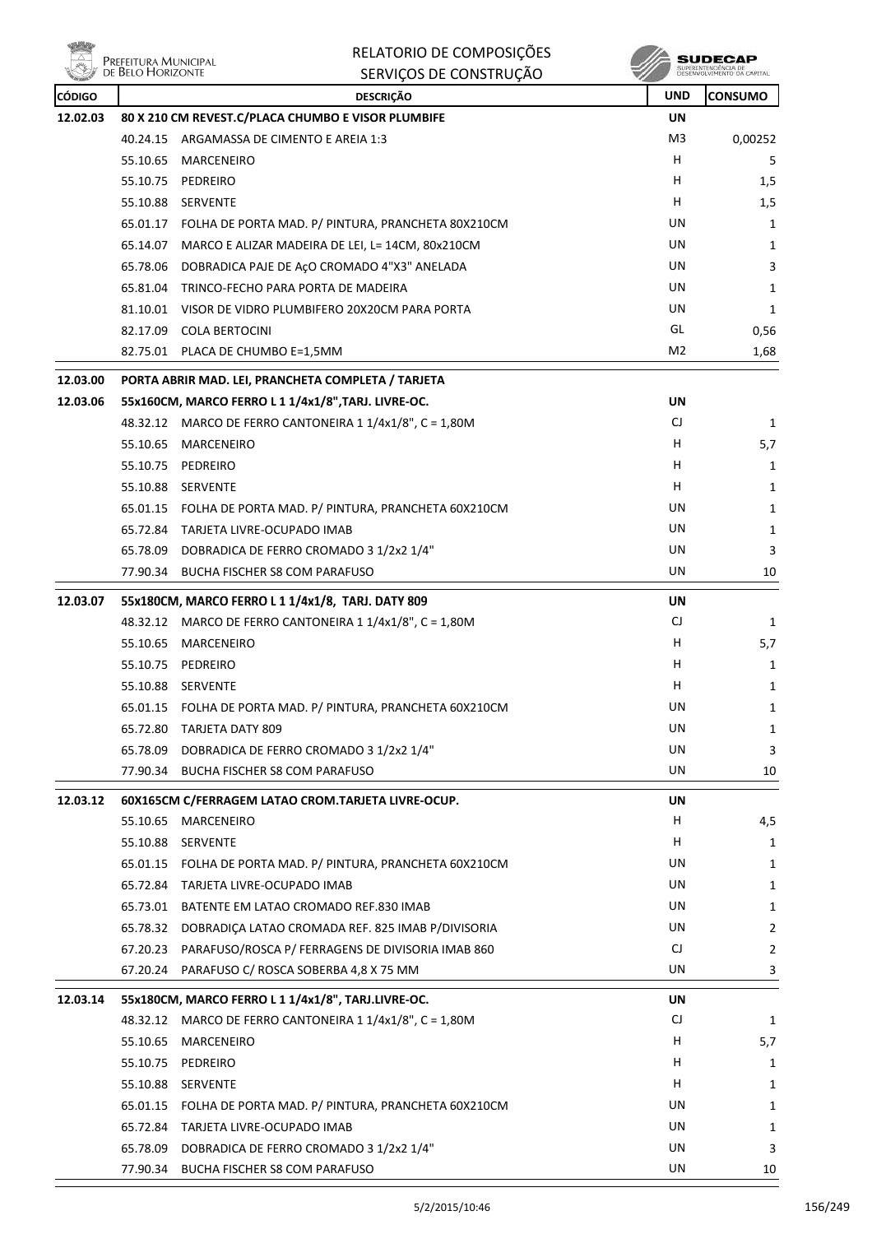

RELATORIO DE COMPOSIÇÕES SERVIÇOS DE CONSTRUÇÃO

**SUDECAP**<br>SUPERINTENDÉNCIA DE<br>DÉSENVOLVIMENTO OA CAPITAL

| <b>CÓDIGO</b> | <b>DESCRIÇÃO</b> |                                                             |           | <b>CONSUMO</b> |
|---------------|------------------|-------------------------------------------------------------|-----------|----------------|
| 12.02.03      |                  | 80 X 210 CM REVEST.C/PLACA CHUMBO E VISOR PLUMBIFE          | <b>UN</b> |                |
|               |                  | 40.24.15 ARGAMASSA DE CIMENTO E AREIA 1:3                   | M3        | 0,00252        |
|               | 55.10.65         | MARCENEIRO                                                  | H         | 5              |
|               |                  | 55.10.75 PEDREIRO                                           | H.        | 1,5            |
|               |                  | 55.10.88 SERVENTE                                           | H         | 1,5            |
|               |                  | 65.01.17 FOLHA DE PORTA MAD. P/ PINTURA, PRANCHETA 80X210CM | UN        | 1              |
|               |                  | 65.14.07 MARCO E ALIZAR MADEIRA DE LEI, L= 14CM, 80x210CM   | UN        | 1              |
|               |                  | 65.78.06 DOBRADICA PAJE DE AÇO CROMADO 4"X3" ANELADA        | UN        | 3              |
|               |                  | 65.81.04 TRINCO-FECHO PARA PORTA DE MADEIRA                 | UN        | 1              |
|               |                  | 81.10.01 VISOR DE VIDRO PLUMBIFERO 20X20CM PARA PORTA       | UN        | 1              |
|               |                  | 82.17.09 COLA BERTOCINI                                     | GL        | 0,56           |
|               |                  | 82.75.01 PLACA DE CHUMBO E=1,5MM                            | M2        | 1,68           |
| 12.03.00      |                  | PORTA ABRIR MAD. LEI, PRANCHETA COMPLETA / TARJETA          |           |                |
| 12.03.06      |                  | 55x160CM, MARCO FERRO L 1 1/4x1/8", TARJ. LIVRE-OC.         | UN        |                |
|               |                  | 48.32.12 MARCO DE FERRO CANTONEIRA 1 1/4x1/8", C = 1,80M    | CJ        | $\mathbf{1}$   |
|               |                  | 55.10.65 MARCENEIRO                                         | H.        | 5,7            |
|               |                  | 55.10.75 PEDREIRO                                           | H         | 1              |
|               |                  | 55.10.88 SERVENTE                                           | H         | 1              |
|               |                  | 65.01.15 FOLHA DE PORTA MAD. P/ PINTURA, PRANCHETA 60X210CM | UN        | 1              |
|               |                  | 65.72.84 TARJETA LIVRE-OCUPADO IMAB                         | UN        | 1              |
|               |                  | 65.78.09 DOBRADICA DE FERRO CROMADO 3 1/2x2 1/4"            | UN        | 3              |
|               |                  | 77.90.34 BUCHA FISCHER S8 COM PARAFUSO                      | UN        | 10             |
| 12.03.07      |                  | 55x180CM, MARCO FERRO L 1 1/4x1/8, TARJ. DATY 809           | UN        |                |
|               |                  | 48.32.12 MARCO DE FERRO CANTONEIRA 1 1/4x1/8", C = 1,80M    | CJ        | 1              |
|               | 55.10.65         | MARCENEIRO                                                  | H         | 5,7            |
|               |                  | 55.10.75 PEDREIRO                                           | H.        | 1              |
|               |                  | 55.10.88 SERVENTE                                           | H.        | $\mathbf{1}$   |
|               |                  | 65.01.15 FOLHA DE PORTA MAD. P/ PINTURA, PRANCHETA 60X210CM | UN        | 1              |
|               |                  | 65.72.80 TARJETA DATY 809                                   | UN        | 1              |
|               | 65.78.09         | DOBRADICA DE FERRO CROMADO 3 1/2x2 1/4"                     | UN        | 3              |
|               | 77.90.34         | BUCHA FISCHER S8 COM PARAFUSO                               | UN        | 10             |
| 12.03.12      |                  | 60X165CM C/FERRAGEM LATAO CROM.TARJETA LIVRE-OCUP.          | UN        |                |
|               | 55.10.65         | MARCENEIRO                                                  | H,        | 4,5            |
|               |                  | 55.10.88 SERVENTE                                           | H         | 1              |
|               |                  | 65.01.15 FOLHA DE PORTA MAD. P/ PINTURA, PRANCHETA 60X210CM | UN        | 1              |
|               |                  | 65.72.84 TARJETA LIVRE-OCUPADO IMAB                         | UN        | 1              |
|               |                  | 65.73.01 BATENTE EM LATAO CROMADO REF.830 IMAB              | UN        | $\mathbf{1}$   |
|               | 65.78.32         | DOBRADIÇA LATAO CROMADA REF. 825 IMAB P/DIVISORIA           | UN        | $\overline{2}$ |
|               |                  | 67.20.23 PARAFUSO/ROSCA P/ FERRAGENS DE DIVISORIA IMAB 860  | CJ        | $\overline{2}$ |
|               |                  | 67.20.24 PARAFUSO C/ ROSCA SOBERBA 4,8 X 75 MM              | UN        | 3              |
| 12.03.14      |                  | 55x180CM, MARCO FERRO L 1 1/4x1/8", TARJ.LIVRE-OC.          | UN        |                |
|               |                  | 48.32.12 MARCO DE FERRO CANTONEIRA 1 1/4x1/8", C = 1,80M    | CJ        | $\mathbf{1}$   |
|               | 55.10.65         | MARCENEIRO                                                  | H         | 5,7            |
|               |                  | 55.10.75 PEDREIRO                                           | H         | 1              |
|               |                  | 55.10.88 SERVENTE                                           | H         | 1              |
|               |                  | 65.01.15 FOLHA DE PORTA MAD. P/ PINTURA, PRANCHETA 60X210CM | UN        | 1              |
|               |                  | 65.72.84 TARJETA LIVRE-OCUPADO IMAB                         | UN        | 1              |
|               |                  | 65.78.09 DOBRADICA DE FERRO CROMADO 3 1/2x2 1/4"            | UN        | 3              |
|               |                  | 77.90.34 BUCHA FISCHER S8 COM PARAFUSO                      | UN        | 10             |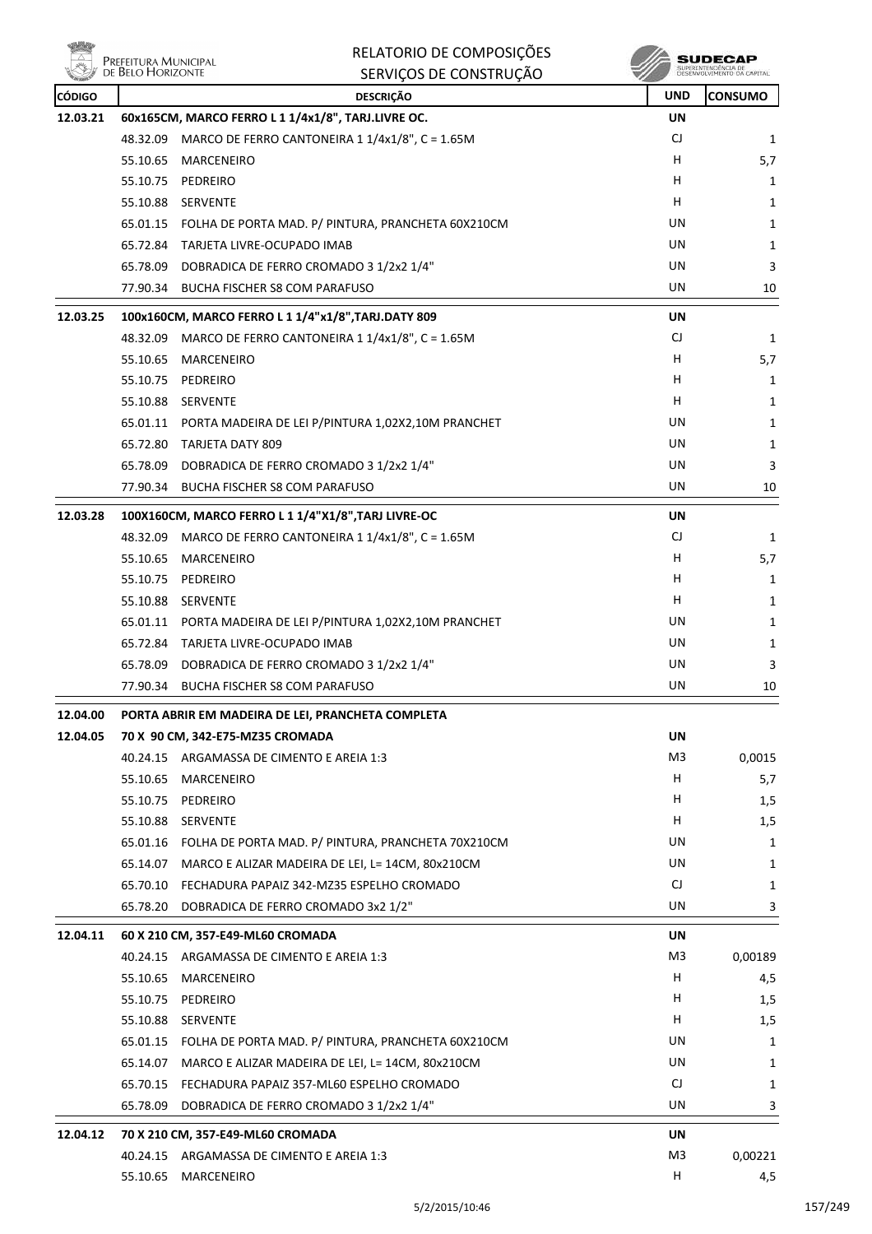| Prefeitura Municipal<br>de Belo Horizonte |                                                     | RELATORIO DE COMPOSIÇÕES                                    |            |                                                   |
|-------------------------------------------|-----------------------------------------------------|-------------------------------------------------------------|------------|---------------------------------------------------|
|                                           |                                                     | SERVIÇOS DE CONSTRUÇÃO                                      |            | SUPERINTENDÊNCIA DE<br>DESENVOLVIMENTO DA CAPITAL |
| <b>CÓDIGO</b>                             |                                                     | <b>DESCRIÇÃO</b>                                            | <b>UND</b> | <b>CONSUMO</b>                                    |
| 12.03.21                                  |                                                     | 60x165CM, MARCO FERRO L 1 1/4x1/8", TARJ.LIVRE OC.          | UN         |                                                   |
|                                           | 48.32.09                                            | MARCO DE FERRO CANTONEIRA 1 1/4x1/8", C = 1.65M             | CJ         | 1                                                 |
|                                           |                                                     | 55.10.65 MARCENEIRO                                         | H          | 5,7                                               |
|                                           |                                                     | 55.10.75 PEDREIRO                                           | H          | 1                                                 |
|                                           |                                                     | 55.10.88 SERVENTE                                           | н          | 1                                                 |
|                                           |                                                     | 65.01.15 FOLHA DE PORTA MAD. P/ PINTURA, PRANCHETA 60X210CM | UN         | 1                                                 |
|                                           |                                                     | 65.72.84 TARJETA LIVRE-OCUPADO IMAB                         | UN         | 1                                                 |
|                                           |                                                     | 65.78.09 DOBRADICA DE FERRO CROMADO 3 1/2x2 1/4"            | UN         | 3                                                 |
|                                           |                                                     | 77.90.34 BUCHA FISCHER S8 COM PARAFUSO                      | UN         | 10                                                |
| 12.03.25                                  |                                                     | 100x160CM, MARCO FERRO L 1 1/4"x1/8", TARJ.DATY 809         | UN         |                                                   |
|                                           |                                                     | 48.32.09 MARCO DE FERRO CANTONEIRA 1 1/4x1/8", C = 1.65M    | CJ         | 1                                                 |
|                                           | 55.10.65                                            | MARCENEIRO                                                  | н          | 5,7                                               |
|                                           |                                                     | 55.10.75 PEDREIRO                                           | Н          | 1                                                 |
|                                           |                                                     | 55.10.88 SERVENTE                                           | н          | 1                                                 |
|                                           |                                                     | 65.01.11 PORTA MADEIRA DE LEI P/PINTURA 1,02X2,10M PRANCHET | UN         | 1                                                 |
|                                           |                                                     | 65.72.80 TARJETA DATY 809                                   | UN         | 1                                                 |
|                                           |                                                     | 65.78.09 DOBRADICA DE FERRO CROMADO 3 1/2x2 1/4"            | UN         | 3                                                 |
|                                           |                                                     | 77.90.34 BUCHA FISCHER S8 COM PARAFUSO                      | UN         | 10                                                |
| 12.03.28                                  | 100X160CM, MARCO FERRO L 1 1/4"X1/8", TARJ LIVRE-OC |                                                             | UN         |                                                   |
|                                           | 48.32.09                                            | MARCO DE FERRO CANTONEIRA 1 1/4x1/8", C = 1.65M             | CJ         | 1                                                 |
|                                           |                                                     | 55.10.65 MARCENEIRO                                         | н          | 5,7                                               |
|                                           | 55.10.75                                            | PEDREIRO                                                    | н          | 1                                                 |
|                                           |                                                     | 55.10.88 SERVENTE                                           | н          | 1                                                 |
|                                           |                                                     | 65.01.11 PORTA MADEIRA DE LEI P/PINTURA 1,02X2,10M PRANCHET | UN         | 1                                                 |
|                                           |                                                     | 65.72.84 TARJETA LIVRE-OCUPADO IMAB                         | UN         | 1                                                 |
|                                           |                                                     | 65.78.09 DOBRADICA DE FERRO CROMADO 3 1/2x2 1/4"            | UN         | 3                                                 |
|                                           |                                                     | 77.90.34 BUCHA FISCHER S8 COM PARAFUSO                      | UN.        | 10                                                |
| 12.04.00                                  |                                                     | PORTA ABRIR EM MADEIRA DE LEI, PRANCHETA COMPLETA           |            |                                                   |
| 12.04.05                                  |                                                     | 70 X 90 CM, 342-E75-MZ35 CROMADA                            |            |                                                   |

|          | 40.24.15                          | ARGAMASSA DE CIMENTO E AREIA 1:3                   | M <sub>3</sub> | 0,0015       |
|----------|-----------------------------------|----------------------------------------------------|----------------|--------------|
|          | 55.10.65                          | <b>MARCENEIRO</b>                                  | H              | 5,7          |
|          | 55.10.75                          | PEDREIRO                                           | H              | 1,5          |
|          | 55.10.88                          | <b>SERVENTE</b>                                    | H              | 1,5          |
|          | 65.01.16                          | FOLHA DE PORTA MAD. P/ PINTURA, PRANCHETA 70X210CM | UN             | 1            |
|          | 65.14.07                          | MARCO E ALIZAR MADEIRA DE LEI, L= 14CM, 80x210CM   | UN             | $\mathbf{1}$ |
|          | 65.70.10                          | FECHADURA PAPAIZ 342-MZ35 ESPELHO CROMADO          | CJ             | 1            |
|          | 65.78.20                          | DOBRADICA DE FERRO CROMADO 3x2 1/2"                | <b>UN</b>      | 3            |
| 12.04.11 | 60 X 210 CM, 357-E49-ML60 CROMADA |                                                    | <b>UN</b>      |              |
|          | 40.24.15                          | ARGAMASSA DE CIMENTO E AREIA 1:3                   | M <sub>3</sub> | 0,00189      |
|          | 55.10.65                          | <b>MARCENEIRO</b>                                  | H              | 4,5          |
|          | 55.10.75                          | PEDREIRO                                           | H              | 1,5          |
|          | 55.10.88                          | <b>SERVENTE</b>                                    | H              | 1,5          |
|          | 65.01.15                          | FOLHA DE PORTA MAD. P/ PINTURA, PRANCHETA 60X210CM | UN             | $\mathbf{1}$ |
|          | 65.14.07                          | MARCO E ALIZAR MADEIRA DE LEI, L= 14CM, 80x210CM   | UN             | $\mathbf{1}$ |
|          | 65.70.15                          | FECHADURA PAPAIZ 357-ML60 ESPELHO CROMADO          | CJ             | 1            |
|          | 65.78.09                          | DOBRADICA DE FERRO CROMADO 3 1/2x2 1/4"            | UN             | 3            |
| 12.04.12 | 70 X 210 CM, 357-E49-ML60 CROMADA |                                                    | <b>UN</b>      |              |
|          | 40.24.15                          | ARGAMASSA DE CIMENTO E AREIA 1:3                   | M <sub>3</sub> | 0,00221      |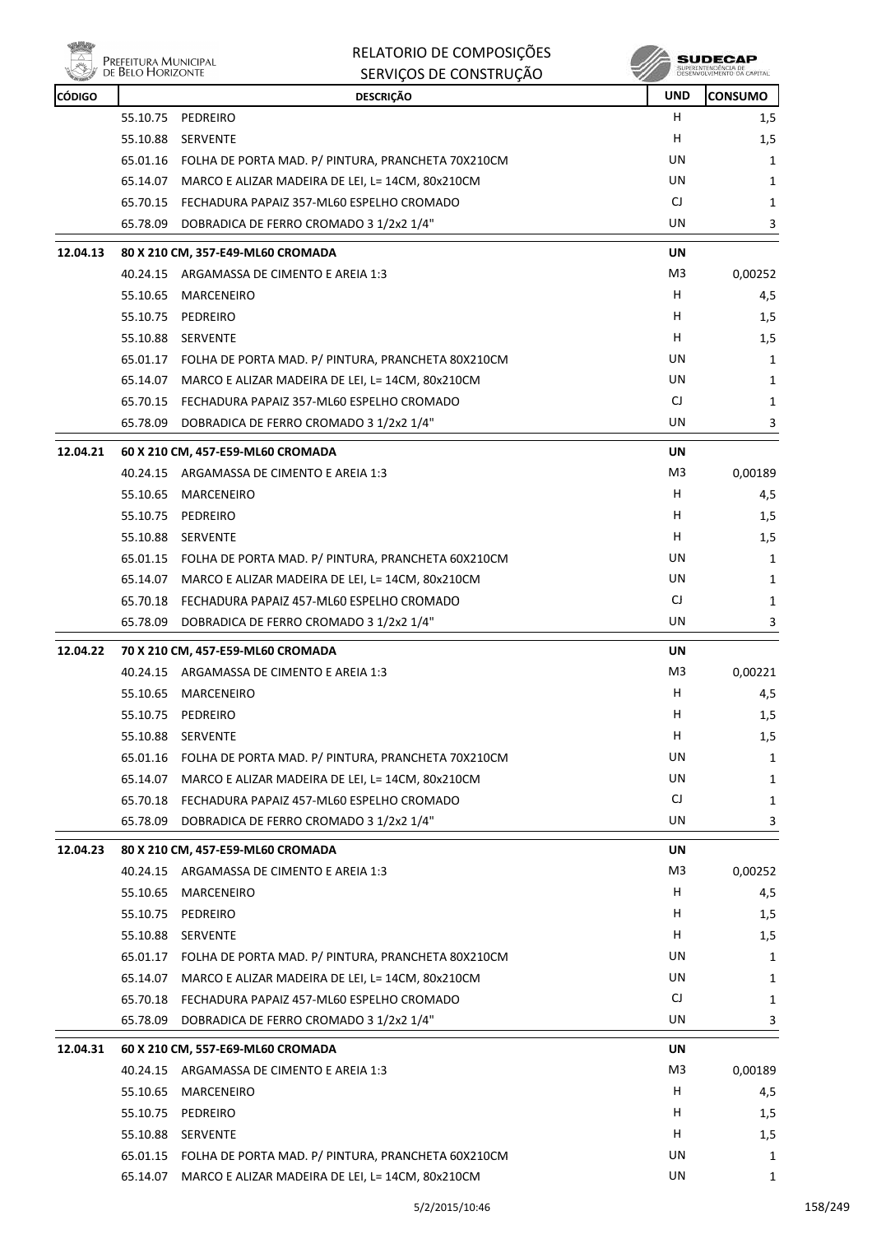

ensi<br>|-<br>|/ De Belo Horizonte

## RELATORIO DE COMPOSIÇÕES SERVIÇOS DE CONSTRUÇÃO

| <b>CÓDIGO</b> |          | <b>DESCRIÇÃO</b>                                            | <b>UND</b>     | CONSUMO |
|---------------|----------|-------------------------------------------------------------|----------------|---------|
|               |          | 55.10.75 PEDREIRO                                           | H.             | 1,5     |
|               | 55.10.88 | <b>SERVENTE</b>                                             | н              | 1,5     |
|               |          | 65.01.16 FOLHA DE PORTA MAD. P/ PINTURA, PRANCHETA 70X210CM | UN             | 1       |
|               | 65.14.07 | MARCO E ALIZAR MADEIRA DE LEI, L= 14CM, 80x210CM            | UN             | 1       |
|               | 65.70.15 | FECHADURA PAPAIZ 357-ML60 ESPELHO CROMADO                   | CJ             | 1       |
|               | 65.78.09 | DOBRADICA DE FERRO CROMADO 3 1/2x2 1/4"                     | UN.            | 3       |
| 12.04.13      |          | 80 X 210 CM, 357-E49-ML60 CROMADA                           | UN             |         |
|               |          | 40.24.15 ARGAMASSA DE CIMENTO E AREIA 1:3                   | M3             | 0,00252 |
|               | 55.10.65 | MARCENEIRO                                                  | н              | 4,5     |
|               | 55.10.75 | PEDREIRO                                                    | н              | 1,5     |
|               |          | 55.10.88 SERVENTE                                           | н              | 1,5     |
|               |          | 65.01.17 FOLHA DE PORTA MAD. P/ PINTURA, PRANCHETA 80X210CM | UN             | 1       |
|               |          | 65.14.07 MARCO E ALIZAR MADEIRA DE LEI, L= 14CM, 80x210CM   | UN             | 1       |
|               |          | 65.70.15 FECHADURA PAPAIZ 357-ML60 ESPELHO CROMADO          | CJ             | 1       |
|               | 65.78.09 | DOBRADICA DE FERRO CROMADO 3 1/2x2 1/4"                     | UN             | 3       |
| 12.04.21      |          | 60 X 210 CM, 457-E59-ML60 CROMADA                           | <b>UN</b>      |         |
|               |          | 40.24.15 ARGAMASSA DE CIMENTO E AREIA 1:3                   | M3             | 0,00189 |
|               | 55.10.65 | MARCENEIRO                                                  | H              | 4,5     |
|               | 55.10.75 | PEDREIRO                                                    | н              | 1,5     |
|               |          | 55.10.88 SERVENTE                                           | H              | 1,5     |
|               |          | 65.01.15 FOLHA DE PORTA MAD. P/ PINTURA, PRANCHETA 60X210CM | UN             | 1       |
|               | 65.14.07 | MARCO E ALIZAR MADEIRA DE LEI, L= 14CM, 80x210CM            | UN             | 1       |
|               | 65.70.18 | FECHADURA PAPAIZ 457-ML60 ESPELHO CROMADO                   | CJ             | 1       |
|               | 65.78.09 | DOBRADICA DE FERRO CROMADO 3 1/2x2 1/4"                     | UN             | 3       |
| 12.04.22      |          | 70 X 210 CM, 457-E59-ML60 CROMADA                           | UN             |         |
|               |          | 40.24.15 ARGAMASSA DE CIMENTO E AREIA 1:3                   | M3             | 0,00221 |
|               | 55.10.65 | MARCENEIRO                                                  | н              | 4,5     |
|               |          | 55.10.75 PEDREIRO                                           | н              | 1,5     |
|               |          | 55.10.88 SERVENTE                                           | н              | 1,5     |
|               |          | 65.01.16 FOLHA DE PORTA MAD. P/ PINTURA, PRANCHETA 70X210CM | UN             | 1       |
|               | 65.14.07 | MARCO E ALIZAR MADEIRA DE LEI, L= 14CM, 80x210CM            | UN             | 1       |
|               | 65.70.18 | FECHADURA PAPAIZ 457-ML60 ESPELHO CROMADO                   | CJ             | 1       |
|               | 65.78.09 | DOBRADICA DE FERRO CROMADO 3 1/2x2 1/4"                     | UN             | 3       |
| 12.04.23      |          | 80 X 210 CM, 457-E59-ML60 CROMADA                           | UN             |         |
|               | 40.24.15 | ARGAMASSA DE CIMENTO E AREIA 1:3                            | M3             | 0,00252 |
|               | 55.10.65 | <b>MARCENEIRO</b>                                           | H              | 4,5     |
|               | 55.10.75 | PEDREIRO                                                    | H              | 1,5     |
|               | 55.10.88 | SERVENTE                                                    | H              | 1,5     |
|               | 65.01.17 | FOLHA DE PORTA MAD. P/ PINTURA, PRANCHETA 80X210CM          | UN             | 1       |
|               | 65.14.07 | MARCO E ALIZAR MADEIRA DE LEI, L= 14CM, 80x210CM            | UN             | 1       |
|               | 65.70.18 | FECHADURA PAPAIZ 457-ML60 ESPELHO CROMADO                   | CJ             | 1       |
|               | 65.78.09 | DOBRADICA DE FERRO CROMADO 3 1/2x2 1/4"                     | UN             | 3       |
| 12.04.31      |          | 60 X 210 CM, 557-E69-ML60 CROMADA                           | <b>UN</b>      |         |
|               |          | 40.24.15 ARGAMASSA DE CIMENTO E AREIA 1:3                   | M <sub>3</sub> | 0,00189 |
|               | 55.10.65 | MARCENEIRO                                                  | Н              | 4,5     |
|               | 55.10.75 | PEDREIRO                                                    | H              | 1,5     |
|               | 55.10.88 | <b>SERVENTE</b>                                             | H              | 1,5     |
|               |          | 65.01.15 FOLHA DE PORTA MAD. P/ PINTURA, PRANCHETA 60X210CM | UN             | 1       |
|               |          | 65.14.07 MARCO E ALIZAR MADEIRA DE LEI, L= 14CM, 80x210CM   | UN             | 1       |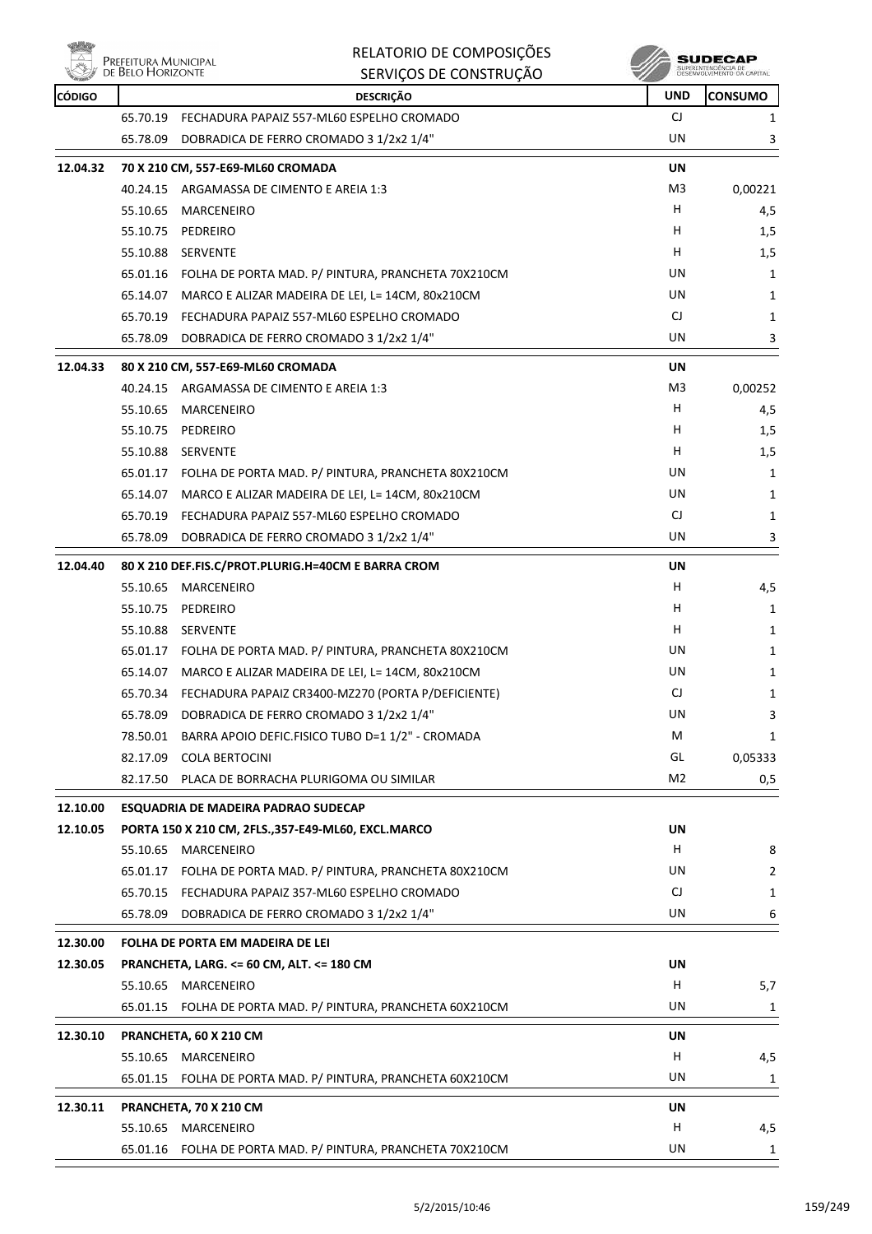

|               | Prefeitura Municipal<br>de Belo Horizonte | RELATORIO DE COMPOSIÇÕES<br>SERVIÇOS DE CONSTRUÇÃO          |            | SUDECAP<br>SUPERINTENDÊNCIA DE<br>DESENVOLVIMENTO DA CAPITAL |
|---------------|-------------------------------------------|-------------------------------------------------------------|------------|--------------------------------------------------------------|
| <b>CÓDIGO</b> |                                           | <b>DESCRIÇÃO</b>                                            | <b>UND</b> | <b>CONSUMO</b>                                               |
|               | 65.70.19                                  | FECHADURA PAPAIZ 557-ML60 ESPELHO CROMADO                   | CJ         | 1                                                            |
|               | 65.78.09                                  | DOBRADICA DE FERRO CROMADO 3 1/2x2 1/4"                     | UN         | 3                                                            |
| 12.04.32      |                                           | 70 X 210 CM, 557-E69-ML60 CROMADA                           | UN         |                                                              |
|               |                                           | 40.24.15 ARGAMASSA DE CIMENTO E AREIA 1:3                   | M3         | 0,00221                                                      |
|               | 55.10.65                                  | MARCENEIRO                                                  | H          | 4,5                                                          |
|               | 55.10.75                                  | PEDREIRO                                                    | н          | 1,5                                                          |
|               | 55.10.88                                  | SERVENTE                                                    | н          | 1,5                                                          |
|               |                                           | 65.01.16 FOLHA DE PORTA MAD. P/ PINTURA, PRANCHETA 70X210CM | UN         | 1                                                            |
|               |                                           | 65.14.07 MARCO E ALIZAR MADEIRA DE LEI, L= 14CM, 80x210CM   | UN         | 1                                                            |
|               |                                           | 65.70.19 FECHADURA PAPAIZ 557-ML60 ESPELHO CROMADO          | CJ         | 1                                                            |
|               | 65.78.09                                  | DOBRADICA DE FERRO CROMADO 3 1/2x2 1/4"                     | UN         | 3                                                            |
| 12.04.33      |                                           | 80 X 210 CM, 557-E69-ML60 CROMADA                           | UN         |                                                              |
|               |                                           | 40.24.15 ARGAMASSA DE CIMENTO E AREIA 1:3                   | M3         | 0,00252                                                      |
|               | 55.10.65                                  | MARCENEIRO                                                  | н          | 4,5                                                          |
|               | 55.10.75                                  | PEDREIRO                                                    | н          | 1,5                                                          |
|               |                                           | 55.10.88 SERVENTE                                           | н          | 1,5                                                          |
|               |                                           | 65.01.17 FOLHA DE PORTA MAD. P/ PINTURA, PRANCHETA 80X210CM | UN         | 1                                                            |
|               | 65.14.07                                  | MARCO E ALIZAR MADEIRA DE LEI, L= 14CM, 80x210CM            | UN         | 1                                                            |
|               |                                           | 65.70.19 FECHADURA PAPAIZ 557-ML60 ESPELHO CROMADO          | CJ         | 1                                                            |
|               | 65.78.09                                  | DOBRADICA DE FERRO CROMADO 3 1/2x2 1/4"                     | UN         | 3                                                            |
| 12.04.40      |                                           | 80 X 210 DEF.FIS.C/PROT.PLURIG.H=40CM E BARRA CROM          | UN         |                                                              |
|               | 55.10.65                                  | MARCENEIRO                                                  | н          | 4,5                                                          |
|               | 55.10.75                                  | PEDREIRO                                                    | н          | 1                                                            |
|               | 55.10.88                                  | SERVENTE                                                    | н          | 1                                                            |
|               |                                           | 65.01.17 FOLHA DE PORTA MAD. P/ PINTURA, PRANCHETA 80X210CM | UN         | 1                                                            |
|               |                                           | 65.14.07 MARCO E ALIZAR MADEIRA DE LEI, L= 14CM, 80x210CM   | UN         | 1                                                            |
|               |                                           | 65.70.34 FECHADURA PAPAIZ CR3400-MZ270 (PORTA P/DEFICIENTE) | CJ         | 1                                                            |
|               |                                           | 65.78.09 DOBRADICA DE FERRO CROMADO 3 1/2x2 1/4"            | UN         | 3                                                            |
|               |                                           | 78.50.01 BARRA APOIO DEFIC.FISICO TUBO D=1 1/2" - CROMADA   | М          | 1                                                            |
|               |                                           | 82.17.09 COLA BERTOCINI                                     | GL         | 0,05333                                                      |
|               |                                           | 82.17.50 PLACA DE BORRACHA PLURIGOMA OU SIMILAR             | M2         | 0,5                                                          |
| 12.10.00      |                                           | ESQUADRIA DE MADEIRA PADRAO SUDECAP                         |            |                                                              |
| 12.10.05      |                                           | PORTA 150 X 210 CM, 2FLS., 357-E49-ML60, EXCL.MARCO         | UN         |                                                              |
|               |                                           | 55.10.65 MARCENEIRO                                         | H          | 8                                                            |
|               |                                           | 65.01.17 FOLHA DE PORTA MAD. P/ PINTURA, PRANCHETA 80X210CM | UN         | 2                                                            |
|               |                                           | 65.70.15 FECHADURA PAPAIZ 357-ML60 ESPELHO CROMADO          | CJ         | 1                                                            |
|               |                                           | 65.78.09 DOBRADICA DE FERRO CROMADO 3 1/2x2 1/4"            | UN         | 6                                                            |
| 12.30.00      |                                           | FOLHA DE PORTA EM MADEIRA DE LEI                            |            |                                                              |
| 12.30.05      |                                           | <b>PRANCHETA, LARG. &lt;= 60 CM, ALT. &lt;= 180 CM</b>      | UN         |                                                              |
|               |                                           | 55.10.65 MARCENEIRO                                         | H          | 5,7                                                          |
|               |                                           | 65.01.15 FOLHA DE PORTA MAD. P/ PINTURA, PRANCHETA 60X210CM | UN         | 1                                                            |
| 12.30.10      |                                           | PRANCHETA, 60 X 210 CM                                      | UN         |                                                              |
|               |                                           | 55.10.65 MARCENEIRO                                         | H          | 4,5                                                          |
|               |                                           | 65.01.15 FOLHA DE PORTA MAD. P/ PINTURA, PRANCHETA 60X210CM | UN         | 1                                                            |
| 12.30.11      |                                           | PRANCHETA, 70 X 210 CM                                      | UN         |                                                              |
|               |                                           | 55.10.65 MARCENEIRO                                         | H          | 4,5                                                          |
|               |                                           | 65.01.16 FOLHA DE PORTA MAD. P/ PINTURA, PRANCHETA 70X210CM | UN         | 1                                                            |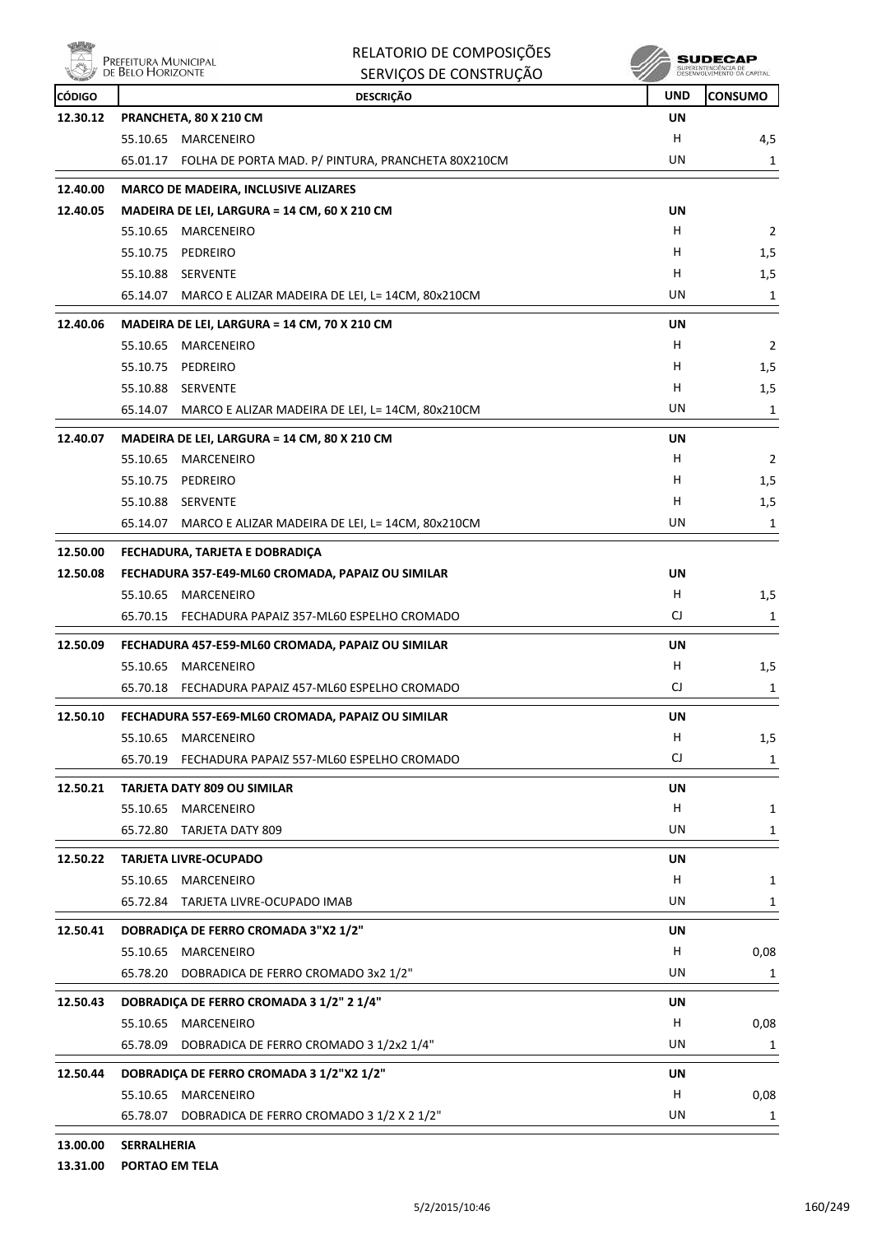

|                      | Prefeitura Municipal<br>de Belo Horizonte                                | RELATORIO DE COMPOSIÇÕES                                    |           | SUDECAI        |
|----------------------|--------------------------------------------------------------------------|-------------------------------------------------------------|-----------|----------------|
|                      |                                                                          | SERVIÇOS DE CONSTRUÇÃO                                      |           |                |
| <b>CÓDIGO</b>        |                                                                          | <b>DESCRIÇÃO</b>                                            | UND       | <b>CONSUMO</b> |
| 12.30.12             | PRANCHETA, 80 X 210 CM                                                   |                                                             | UN        |                |
|                      | 55.10.65 MARCENEIRO                                                      |                                                             | н         | 4,5            |
|                      |                                                                          | 65.01.17 FOLHA DE PORTA MAD. P/ PINTURA, PRANCHETA 80X210CM | UN        | 1              |
| 12.40.00             | <b>MARCO DE MADEIRA, INCLUSIVE ALIZARES</b>                              |                                                             |           |                |
| 12.40.05             | MADEIRA DE LEI, LARGURA = 14 CM, 60 X 210 CM                             |                                                             | UN        |                |
|                      | 55.10.65 MARCENEIRO                                                      |                                                             | н         | $\overline{2}$ |
|                      | 55.10.75 PEDREIRO                                                        |                                                             | H         | 1,5            |
|                      | 55.10.88 SERVENTE                                                        |                                                             | н         | 1,5            |
|                      | 65.14.07 MARCO E ALIZAR MADEIRA DE LEI, L= 14CM, 80x210CM                |                                                             | UN        | 1              |
| 12.40.06             | MADEIRA DE LEI, LARGURA = 14 CM, 70 X 210 CM                             |                                                             | UN        |                |
|                      | 55.10.65<br>MARCENEIRO                                                   |                                                             | н         | $\overline{2}$ |
|                      | 55.10.75<br>PEDREIRO                                                     |                                                             | H         | 1,5            |
|                      | 55.10.88 SERVENTE                                                        |                                                             | H         | 1,5            |
|                      | 65.14.07                                                                 | MARCO E ALIZAR MADEIRA DE LEI, L= 14CM, 80x210CM            | UN        | 1              |
| 12.40.07             | MADEIRA DE LEI, LARGURA = 14 CM, 80 X 210 CM                             |                                                             | UN        |                |
|                      | 55.10.65<br>MARCENEIRO                                                   |                                                             | н         | 2              |
|                      | 55.10.75<br>PEDREIRO                                                     |                                                             | H         | 1,5            |
|                      | 55.10.88 SERVENTE                                                        |                                                             | н         | 1,5            |
|                      | 65.14.07 MARCO E ALIZAR MADEIRA DE LEI, L= 14CM, 80x210CM                |                                                             | UN        | 1              |
|                      |                                                                          |                                                             |           |                |
| 12.50.00<br>12.50.08 | FECHADURA, TARJETA E DOBRADIÇA                                           |                                                             | UN        |                |
|                      | FECHADURA 357-E49-ML60 CROMADA, PAPAIZ OU SIMILAR<br>55.10.65 MARCENEIRO |                                                             | H         | 1,5            |
|                      | 65.70.15 FECHADURA PAPAIZ 357-ML60 ESPELHO CROMADO                       |                                                             | CJ        | 1              |
|                      |                                                                          |                                                             |           |                |
| 12.50.09             | FECHADURA 457-E59-ML60 CROMADA, PAPAIZ OU SIMILAR                        |                                                             | UN        |                |
|                      | 55.10.65<br>MARCENEIRO                                                   |                                                             | н         | 1,5            |
|                      | 65.70.18 FECHADURA PAPAIZ 457-ML60 ESPELHO CROMADO                       |                                                             | CJ        | 1              |
| 12.50.10             | FECHADURA 557-E69-ML60 CROMADA, PAPAIZ OU SIMILAR                        |                                                             | <b>UN</b> |                |
|                      | 55.10.65<br>MARCENEIRO                                                   |                                                             | H         | 1,5            |
|                      | 65.70.19 FECHADURA PAPAIZ 557-ML60 ESPELHO CROMADO                       |                                                             | CJ        | 1              |
| 12.50.21             | <b>TARJETA DATY 809 OU SIMILAR</b>                                       |                                                             | <b>UN</b> |                |
|                      | 55.10.65<br><b>MARCENEIRO</b>                                            |                                                             | H         | 1              |
|                      | 65.72.80 TARJETA DATY 809                                                |                                                             | UN        | $\mathbf{1}$   |
| 12.50.22             | <b>TARJETA LIVRE-OCUPADO</b>                                             |                                                             | <b>UN</b> |                |
|                      | 55.10.65 MARCENEIRO                                                      |                                                             | H         | 1              |
|                      | 65.72.84 TARJETA LIVRE-OCUPADO IMAB                                      |                                                             | UN        | 1              |
|                      |                                                                          |                                                             |           |                |
| 12.50.41             | DOBRADIÇA DE FERRO CROMADA 3"X2 1/2"                                     |                                                             | UN        |                |
|                      | 55.10.65 MARCENEIRO                                                      |                                                             | н         | 0,08           |
|                      | 65.78.20 DOBRADICA DE FERRO CROMADO 3x2 1/2"                             |                                                             | UN        | 1              |
| 12.50.43             | DOBRADIÇA DE FERRO CROMADA 3 1/2" 2 1/4"                                 |                                                             | UN        |                |
|                      | 55.10.65 MARCENEIRO                                                      |                                                             | н         | 0,08           |
|                      | DOBRADICA DE FERRO CROMADO 3 1/2x2 1/4"<br>65.78.09                      |                                                             | UN        | 1              |
| 12.50.44             | DOBRADIÇA DE FERRO CROMADA 3 1/2"X2 1/2"                                 |                                                             | UN        |                |
|                      | 55.10.65 MARCENEIRO                                                      |                                                             | н         | 0,08           |
|                      | 65.78.07 DOBRADICA DE FERRO CROMADO 3 1/2 X 2 1/2"                       |                                                             | UN        | 1              |
|                      |                                                                          |                                                             |           |                |

**13.00.00 SERRALHERIA**

**13.31.00 PORTAO EM TELA**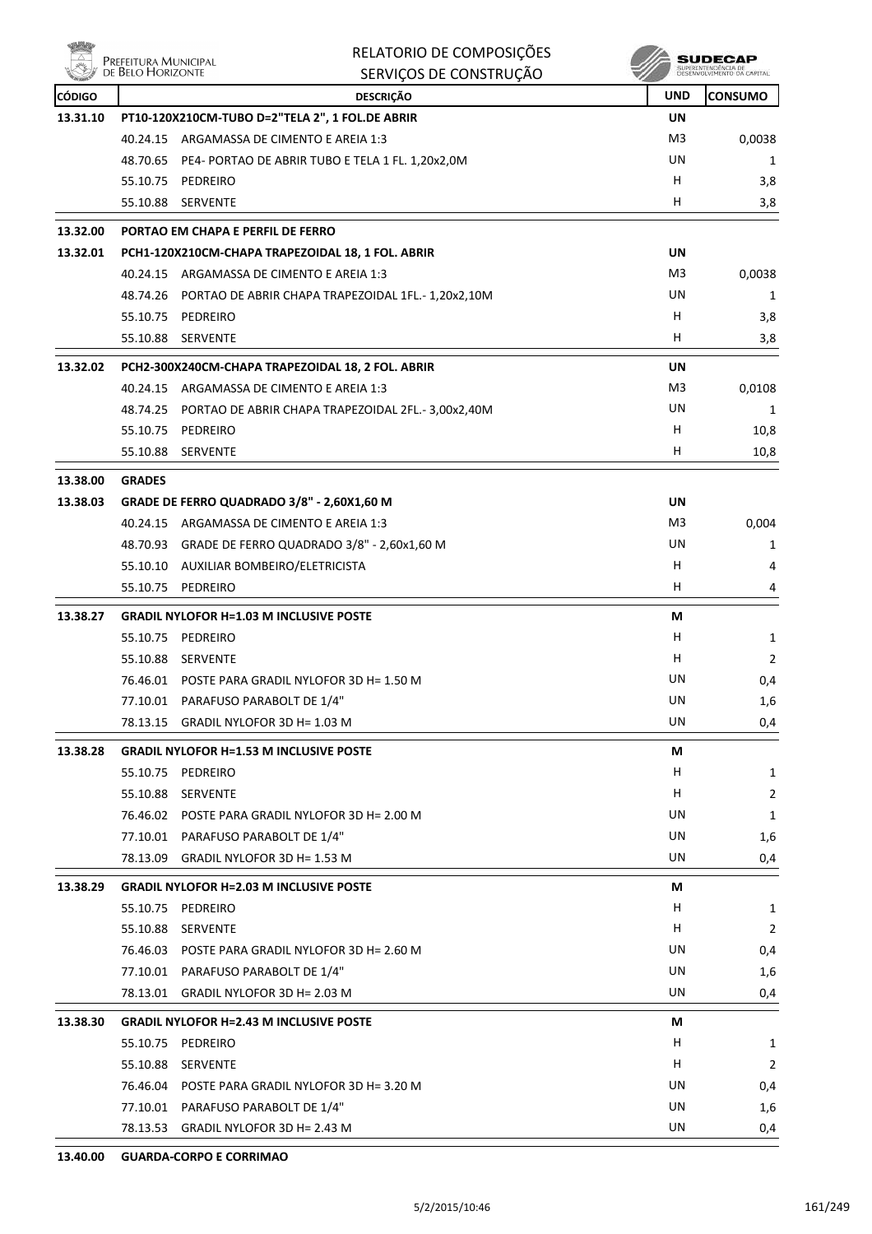|               | Prefeitura Municipal<br>de Belo Horizonte | RELATORIO DE COMPOSIÇÕES<br>SERVIÇOS DE CONSTRUÇÃO        |            | SUDEC<br>SUPERINTENDENCIA DE<br>DESENVOLVIMENTO DA CAPITAL |
|---------------|-------------------------------------------|-----------------------------------------------------------|------------|------------------------------------------------------------|
| <b>CÓDIGO</b> |                                           | <b>DESCRIÇÃO</b>                                          | <b>UND</b> | <b>CONSUMO</b>                                             |
| 13.31.10      |                                           | PT10-120X210CM-TUBO D=2"TELA 2", 1 FOL.DE ABRIR           | UN         |                                                            |
|               | 40.24.15                                  | ARGAMASSA DE CIMENTO E AREIA 1:3                          | M3         | 0,0038                                                     |
|               |                                           | 48.70.65 PE4- PORTAO DE ABRIR TUBO E TELA 1 FL. 1,20x2,0M | UN         | 1                                                          |
|               | 55.10.75                                  | PEDREIRO                                                  | н          | 3,8                                                        |
|               |                                           | 55.10.88 SERVENTE                                         | H.         | 3,8                                                        |
| 13.32.00      |                                           | PORTAO EM CHAPA E PERFIL DE FERRO                         |            |                                                            |
| 13.32.01      |                                           | PCH1-120X210CM-CHAPA TRAPEZOIDAL 18, 1 FOL. ABRIR         | UN         |                                                            |
|               | 40.24.15                                  | ARGAMASSA DE CIMENTO E AREIA 1:3                          | M3         | 0,0038                                                     |
|               | 48.74.26                                  | PORTAO DE ABRIR CHAPA TRAPEZOIDAL 1FL.- 1,20x2,10M        | UN         | 1                                                          |
|               |                                           | 55.10.75 PEDREIRO                                         | H          | 3,8                                                        |
|               | 55.10.88                                  | <b>SERVENTE</b>                                           | H          | 3,8                                                        |
| 13.32.02      |                                           | PCH2-300X240CM-CHAPA TRAPEZOIDAL 18, 2 FOL. ABRIR         | UN         |                                                            |
|               |                                           | 40.24.15 ARGAMASSA DE CIMENTO E AREIA 1:3                 | M3         | 0,0108                                                     |
|               | 48.74.25                                  | PORTAO DE ABRIR CHAPA TRAPEZOIDAL 2FL.- 3,00x2,40M        | UN         | 1                                                          |
|               | 55.10.75                                  | PEDREIRO                                                  | H.         | 10,8                                                       |
|               | 55.10.88                                  | <b>SERVENTE</b>                                           | н          | 10,8                                                       |
| 13.38.00      | <b>GRADES</b>                             |                                                           |            |                                                            |
| 13.38.03      |                                           | GRADE DE FERRO QUADRADO 3/8" - 2,60X1,60 M                | UN         |                                                            |
|               | 40.24.15                                  | ARGAMASSA DE CIMENTO E AREIA 1:3                          | M3         | 0,004                                                      |
|               |                                           | 48.70.93 GRADE DE FERRO QUADRADO 3/8" - 2,60x1,60 M       | UN         | 1                                                          |
|               | 55.10.10                                  | AUXILIAR BOMBEIRO/ELETRICISTA                             | н          | 4                                                          |
|               | 55.10.75                                  | PEDREIRO                                                  | н          | 4                                                          |
| 13.38.27      |                                           | <b>GRADIL NYLOFOR H=1.03 M INCLUSIVE POSTE</b>            | М          |                                                            |
|               | 55.10.75                                  | PEDREIRO                                                  | н          | 1                                                          |
|               |                                           | 55.10.88 SERVENTE                                         | н          | 2                                                          |
|               |                                           | 76.46.01 POSTE PARA GRADIL NYLOFOR 3D H= 1.50 M           | UN         | 0,4                                                        |
|               |                                           | 77.10.01 PARAFUSO PARABOLT DE 1/4"                        | UN         | 1,6                                                        |
|               | 78.13.15                                  | GRADIL NYLOFOR 3D H= 1.03 M                               | UN         | 0,4                                                        |
| 13.38.28      |                                           | <b>GRADIL NYLOFOR H=1.53 M INCLUSIVE POSTE</b>            | М          |                                                            |
|               | 55.10.75                                  | PEDREIRO                                                  | H          | 1                                                          |
|               | 55.10.88                                  | SERVENTE                                                  | H          | $\overline{2}$                                             |
|               |                                           | 76.46.02 POSTE PARA GRADIL NYLOFOR 3D H= 2.00 M           | UN         | 1                                                          |
|               |                                           | 77.10.01 PARAFUSO PARABOLT DE 1/4"                        | UN         | 1,6                                                        |
|               | 78.13.09                                  | GRADIL NYLOFOR 3D H= 1.53 M                               | UN         | 0,4                                                        |
| 13.38.29      |                                           | <b>GRADIL NYLOFOR H=2.03 M INCLUSIVE POSTE</b>            | M          |                                                            |
|               | 55.10.75                                  | PEDREIRO                                                  | H          | $\mathbf{1}$                                               |
|               | 55.10.88                                  | SERVENTE                                                  | H          | $\overline{2}$                                             |
|               |                                           | 76.46.03 POSTE PARA GRADIL NYLOFOR 3D H= 2.60 M           | UN         | 0,4                                                        |
|               |                                           | 77.10.01 PARAFUSO PARABOLT DE 1/4"                        | UN         | 1,6                                                        |
|               |                                           | 78.13.01 GRADIL NYLOFOR 3D H= 2.03 M                      | UN         | 0,4                                                        |
| 13.38.30      |                                           | <b>GRADIL NYLOFOR H=2.43 M INCLUSIVE POSTE</b>            | М          |                                                            |
|               | 55.10.75                                  | PEDREIRO                                                  | Н.         | 1                                                          |
|               |                                           | 55.10.88 SERVENTE                                         | H.         | $\overline{2}$                                             |
|               |                                           | 76.46.04 POSTE PARA GRADIL NYLOFOR 3D H= 3.20 M           | UN         | 0,4                                                        |
|               |                                           | 77.10.01 PARAFUSO PARABOLT DE 1/4"                        | UN         | 1,6                                                        |
|               |                                           | 78.13.53 GRADIL NYLOFOR 3D H= 2.43 M                      | UN         | 0,4                                                        |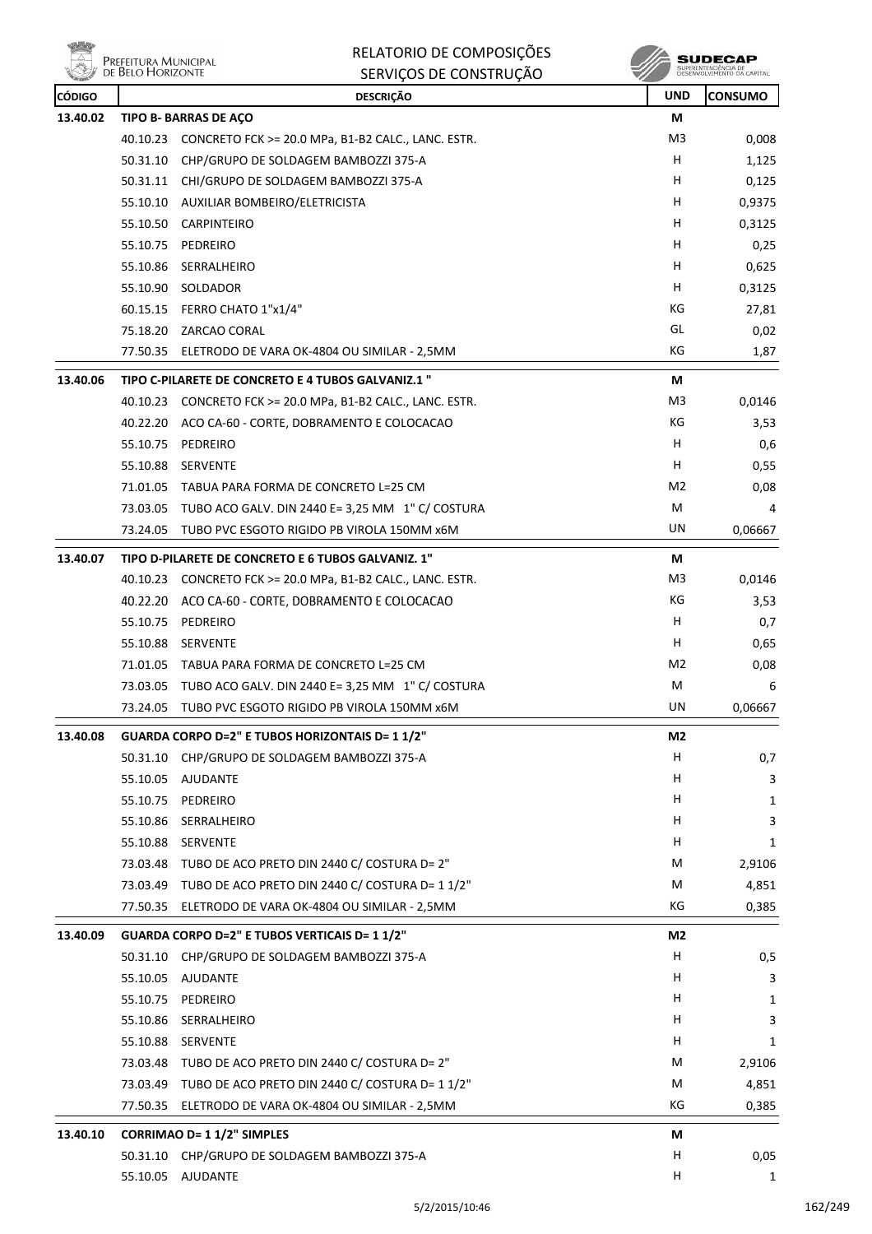**WELLY** PREFEITURA MUNICIPAL

RELATORIO DE COMPOSIÇÕES SERVIÇOS DE CONSTRUÇÃO

| <b><i>Alle madella</i></b><br><b>CÓDIGO</b> |          | טהעטוווטושט טבעעווווט<br><b>DESCRIÇÃO</b>                   | <b>UND</b>     | <b>CONSUMO</b> |
|---------------------------------------------|----------|-------------------------------------------------------------|----------------|----------------|
| 13.40.02                                    |          | TIPO B- BARRAS DE AÇO                                       | М              |                |
|                                             |          | 40.10.23 CONCRETO FCK >= 20.0 MPa, B1-B2 CALC., LANC. ESTR. | M3             | 0,008          |
|                                             | 50.31.10 | CHP/GRUPO DE SOLDAGEM BAMBOZZI 375-A                        | н              | 1,125          |
|                                             |          | 50.31.11 CHI/GRUPO DE SOLDAGEM BAMBOZZI 375-A               | н              | 0,125          |
|                                             |          | 55.10.10 AUXILIAR BOMBEIRO/ELETRICISTA                      | н              | 0,9375         |
|                                             | 55.10.50 | CARPINTEIRO                                                 | н              | 0,3125         |
|                                             | 55.10.75 | PEDREIRO                                                    | н              | 0,25           |
|                                             | 55.10.86 | SERRALHEIRO                                                 | н              | 0,625          |
|                                             | 55.10.90 | SOLDADOR                                                    | н              | 0,3125         |
|                                             | 60.15.15 | FERRO CHATO 1"x1/4"                                         | КG             | 27,81          |
|                                             | 75.18.20 | ZARCAO CORAL                                                | GL             | 0,02           |
|                                             |          | 77.50.35 ELETRODO DE VARA OK-4804 OU SIMILAR - 2,5MM        | KG             | 1,87           |
| 13.40.06                                    |          | TIPO C-PILARETE DE CONCRETO E 4 TUBOS GALVANIZ.1 "          | М              |                |
|                                             |          | 40.10.23 CONCRETO FCK >= 20.0 MPa, B1-B2 CALC., LANC. ESTR. | M <sub>3</sub> | 0,0146         |
|                                             |          | 40.22.20 ACO CA-60 - CORTE, DOBRAMENTO E COLOCACAO          | КG             | 3,53           |
|                                             |          | 55.10.75 PEDREIRO                                           | н              | 0,6            |
|                                             | 55.10.88 | SERVENTE                                                    | н              | 0,55           |
|                                             |          | 71.01.05 TABUA PARA FORMA DE CONCRETO L=25 CM               | M2             | 0,08           |
|                                             |          | 73.03.05 TUBO ACO GALV. DIN 2440 E= 3,25 MM 1" C/ COSTURA   | M              | 4              |
|                                             | 73.24.05 | TUBO PVC ESGOTO RIGIDO PB VIROLA 150MM x6M                  | UN             | 0,06667        |
| 13.40.07                                    |          | TIPO D-PILARETE DE CONCRETO E 6 TUBOS GALVANIZ. 1"          | М              |                |
|                                             |          | 40.10.23 CONCRETO FCK >= 20.0 MPa, B1-B2 CALC., LANC. ESTR. | M3             | 0,0146         |
|                                             |          | 40.22.20 ACO CA-60 - CORTE, DOBRAMENTO E COLOCACAO          | КG             | 3,53           |
|                                             | 55.10.75 | PEDREIRO                                                    | Н              | 0,7            |
|                                             | 55.10.88 | SERVENTE                                                    | H              | 0,65           |
|                                             |          | 71.01.05 TABUA PARA FORMA DE CONCRETO L=25 CM               | M2             | 0,08           |
|                                             |          | 73.03.05 TUBO ACO GALV. DIN 2440 E= 3,25 MM 1" C/ COSTURA   | M              | 6              |
|                                             | 73.24.05 | TUBO PVC ESGOTO RIGIDO PB VIROLA 150MM X6M                  | UN             | 0,06667        |
| 13.40.08                                    |          | GUARDA CORPO D=2" E TUBOS HORIZONTAIS D= 1 1/2"             | M <sub>2</sub> |                |
|                                             | 50.31.10 | CHP/GRUPO DE SOLDAGEM BAMBOZZI 375-A                        | H              | 0,7            |
|                                             | 55.10.05 | AJUDANTE                                                    | Н              | 3              |
|                                             | 55.10.75 | PEDREIRO                                                    | H              | 1              |
|                                             | 55.10.86 | SERRALHEIRO                                                 | H              | 3              |
|                                             | 55.10.88 | SERVENTE                                                    | H              | 1              |
|                                             | 73.03.48 | TUBO DE ACO PRETO DIN 2440 C/ COSTURA D= 2"                 | M              | 2,9106         |
|                                             |          | 73.03.49 TUBO DE ACO PRETO DIN 2440 C/ COSTURA D= 1 1/2"    | м              | 4,851          |
|                                             | 77.50.35 | ELETRODO DE VARA OK-4804 OU SIMILAR - 2,5MM                 | КG             | 0,385          |
| 13.40.09                                    |          | GUARDA CORPO D=2" E TUBOS VERTICAIS D= 1 1/2"               | M2             |                |
|                                             |          | 50.31.10 CHP/GRUPO DE SOLDAGEM BAMBOZZI 375-A               | н              | 0,5            |
|                                             | 55.10.05 | AJUDANTE                                                    | H              | 3              |
|                                             | 55.10.75 | PEDREIRO                                                    | н              | 1              |
|                                             | 55.10.86 | SERRALHEIRO                                                 | н              | 3              |
|                                             | 55.10.88 | SERVENTE                                                    | H              | 1              |
|                                             | 73.03.48 | TUBO DE ACO PRETO DIN 2440 C/ COSTURA D= 2"                 | M              | 2,9106         |
|                                             | 73.03.49 | TUBO DE ACO PRETO DIN 2440 C/ COSTURA D= 1 1/2"             | М              | 4,851          |
|                                             | 77.50.35 | ELETRODO DE VARA OK-4804 OU SIMILAR - 2,5MM                 | КG             | 0,385          |
| 13.40.10                                    |          | <b>CORRIMAO D= 1 1/2" SIMPLES</b>                           | М              |                |
|                                             |          | 50.31.10 CHP/GRUPO DE SOLDAGEM BAMBOZZI 375-A               | н              | 0,05           |
|                                             | 55.10.05 | AJUDANTE                                                    | н              | 1              |
|                                             |          |                                                             |                |                |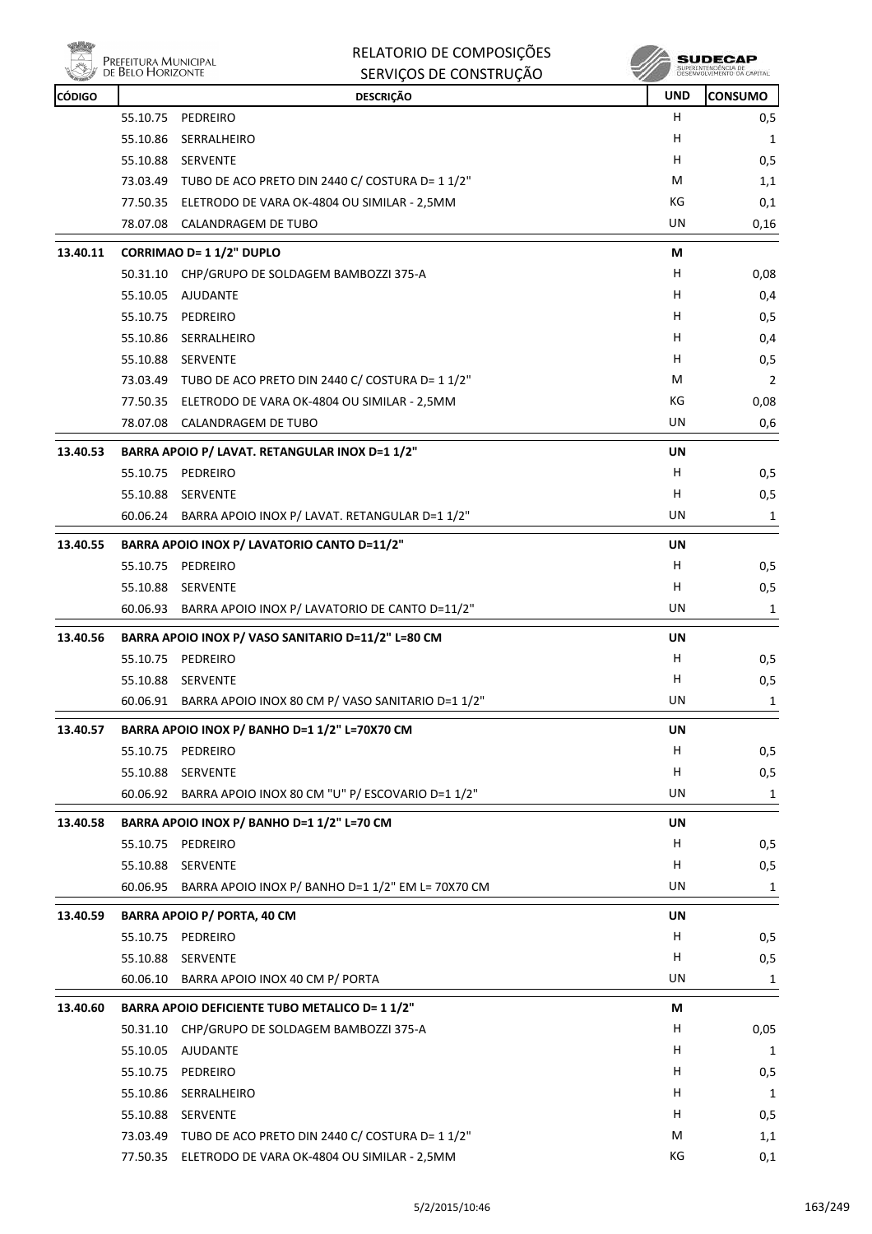

**PRECITURA MUNICIPAL** 

|               |                                               | RELATORIO DE COMPOSIÇÕES                                   |            | SUDECAP                                           |  |  |
|---------------|-----------------------------------------------|------------------------------------------------------------|------------|---------------------------------------------------|--|--|
|               | Prefeitura Municipal<br>de Belo Horizonte     | SERVIÇOS DE CONSTRUÇÃO                                     |            | SUPERINTENDÊNCIA DE<br>DESENVOLVIMENTO DA CAPITAL |  |  |
| <b>CÓDIGO</b> |                                               | <b>DESCRIÇÃO</b>                                           | <b>UND</b> | <b>CONSUMO</b>                                    |  |  |
|               | 55.10.75<br>PEDREIRO                          |                                                            | H          | 0,5                                               |  |  |
|               | 55.10.86<br>SERRALHEIRO                       |                                                            | H          | 1                                                 |  |  |
|               | 55.10.88<br><b>SERVENTE</b>                   |                                                            | H          | 0,5                                               |  |  |
|               |                                               | 73.03.49 TUBO DE ACO PRETO DIN 2440 C/ COSTURA D= 1 1/2"   | М          | 1,1                                               |  |  |
|               |                                               | 77.50.35 ELETRODO DE VARA OK-4804 OU SIMILAR - 2,5MM       | КG         | 0,1                                               |  |  |
|               | 78.07.08<br>CALANDRAGEM DE TUBO               |                                                            | UN         | 0,16                                              |  |  |
| 13.40.11      | CORRIMAO D= 1 1/2" DUPLO                      |                                                            | М          |                                                   |  |  |
|               | 50.31.10                                      | CHP/GRUPO DE SOLDAGEM BAMBOZZI 375-A                       | H          | 0,08                                              |  |  |
|               | <b>AJUDANTE</b><br>55.10.05                   |                                                            | н          | 0,4                                               |  |  |
|               | 55.10.75<br>PEDREIRO                          |                                                            | н          | 0,5                                               |  |  |
|               | 55.10.86<br>SERRALHEIRO                       |                                                            | H          | 0,4                                               |  |  |
|               | 55.10.88 SERVENTE                             |                                                            | H.         | 0,5                                               |  |  |
|               |                                               | 73.03.49 TUBO DE ACO PRETO DIN 2440 C/ COSTURA D= 1 1/2"   | М          | $\overline{2}$                                    |  |  |
|               |                                               | 77.50.35 ELETRODO DE VARA OK-4804 OU SIMILAR - 2,5MM       | КG         | 0,08                                              |  |  |
|               | 78.07.08 CALANDRAGEM DE TUBO                  |                                                            | UN         | 0,6                                               |  |  |
| 13.40.53      |                                               | BARRA APOIO P/ LAVAT. RETANGULAR INOX D=1 1/2"             | UN         |                                                   |  |  |
|               | PEDREIRO<br>55.10.75                          |                                                            | H.         | 0,5                                               |  |  |
|               | 55.10.88<br>SERVENTE                          |                                                            | н          | 0,5                                               |  |  |
|               | 60.06.24                                      | BARRA APOIO INOX P/ LAVAT. RETANGULAR D=1 1/2"             | UN         | 1                                                 |  |  |
| 13.40.55      |                                               | BARRA APOIO INOX P/ LAVATORIO CANTO D=11/2"                | UN         |                                                   |  |  |
|               | 55.10.75<br>PEDREIRO                          |                                                            | H          | 0,5                                               |  |  |
|               | 55.10.88<br>SERVENTE                          |                                                            | H          | 0,5                                               |  |  |
|               | 60.06.93                                      | BARRA APOIO INOX P/ LAVATORIO DE CANTO D=11/2"             | UN         | 1                                                 |  |  |
| 13.40.56      |                                               | BARRA APOIO INOX P/ VASO SANITARIO D=11/2" L=80 CM         | UN         |                                                   |  |  |
|               | PEDREIRO<br>55.10.75                          |                                                            | H          | 0,5                                               |  |  |
|               | 55.10.88 SERVENTE                             |                                                            | н          | 0,5                                               |  |  |
|               |                                               | 60.06.91 BARRA APOIO INOX 80 CM P/ VASO SANITARIO D=1 1/2" | UN         | 1                                                 |  |  |
| 13.40.57      | BARRA APOIO INOX P/ BANHO D=1 1/2" L=70X70 CM | UN                                                         |            |                                                   |  |  |
|               | 55.10.75 PEDREIRO                             |                                                            | H          | 0, 5                                              |  |  |
|               | 55.10.88<br>SERVENTE                          |                                                            | H          | 0,5                                               |  |  |
|               |                                               | 60.06.92 BARRA APOIO INOX 80 CM "U" P/ ESCOVARIO D=1 1/2"  | UN         | 1                                                 |  |  |
| 13.40.58      |                                               | BARRA APOIO INOX P/ BANHO D=1 1/2" L=70 CM                 | UN         |                                                   |  |  |
|               | 55.10.75 PEDREIRO                             |                                                            | H          | 0,5                                               |  |  |
|               | 55.10.88<br>SERVENTE                          |                                                            | H          | 0,5                                               |  |  |
|               |                                               | 60.06.95 BARRA APOIO INOX P/ BANHO D=1 1/2" EM L= 70X70 CM | UN         | $\mathbf{1}$                                      |  |  |
| 13.40.59      | BARRA APOIO P/ PORTA, 40 CM                   |                                                            | <b>UN</b>  |                                                   |  |  |
|               | 55.10.75<br>PEDREIRO                          |                                                            | H          | 0, 5                                              |  |  |
|               | 55.10.88<br>SERVENTE                          |                                                            | Н          | 0,5                                               |  |  |
|               | 60.06.10 BARRA APOIO INOX 40 CM P/ PORTA      |                                                            | UN         | 1                                                 |  |  |
| 13.40.60      |                                               | BARRA APOIO DEFICIENTE TUBO METALICO D= 1 1/2"             |            |                                                   |  |  |
|               | 50.31.10                                      | CHP/GRUPO DE SOLDAGEM BAMBOZZI 375-A                       | М<br>H     |                                                   |  |  |
|               | 55.10.05<br>AJUDANTE                          |                                                            | H          | 0,05<br>1                                         |  |  |
|               | 55.10.75 PEDREIRO                             |                                                            | H          | 0,5                                               |  |  |
|               | 55.10.86 SERRALHEIRO                          |                                                            | H          | 1                                                 |  |  |
|               | 55.10.88 SERVENTE                             |                                                            | H          | 0, 5                                              |  |  |
|               |                                               | 73.03.49 TUBO DE ACO PRETO DIN 2440 C/ COSTURA D= 1 1/2"   | M          | 1,1                                               |  |  |

77.50.35 ELETRODO DE VARA OK-4804 OU SIMILAR - 2,5MM KG KG 6 60,1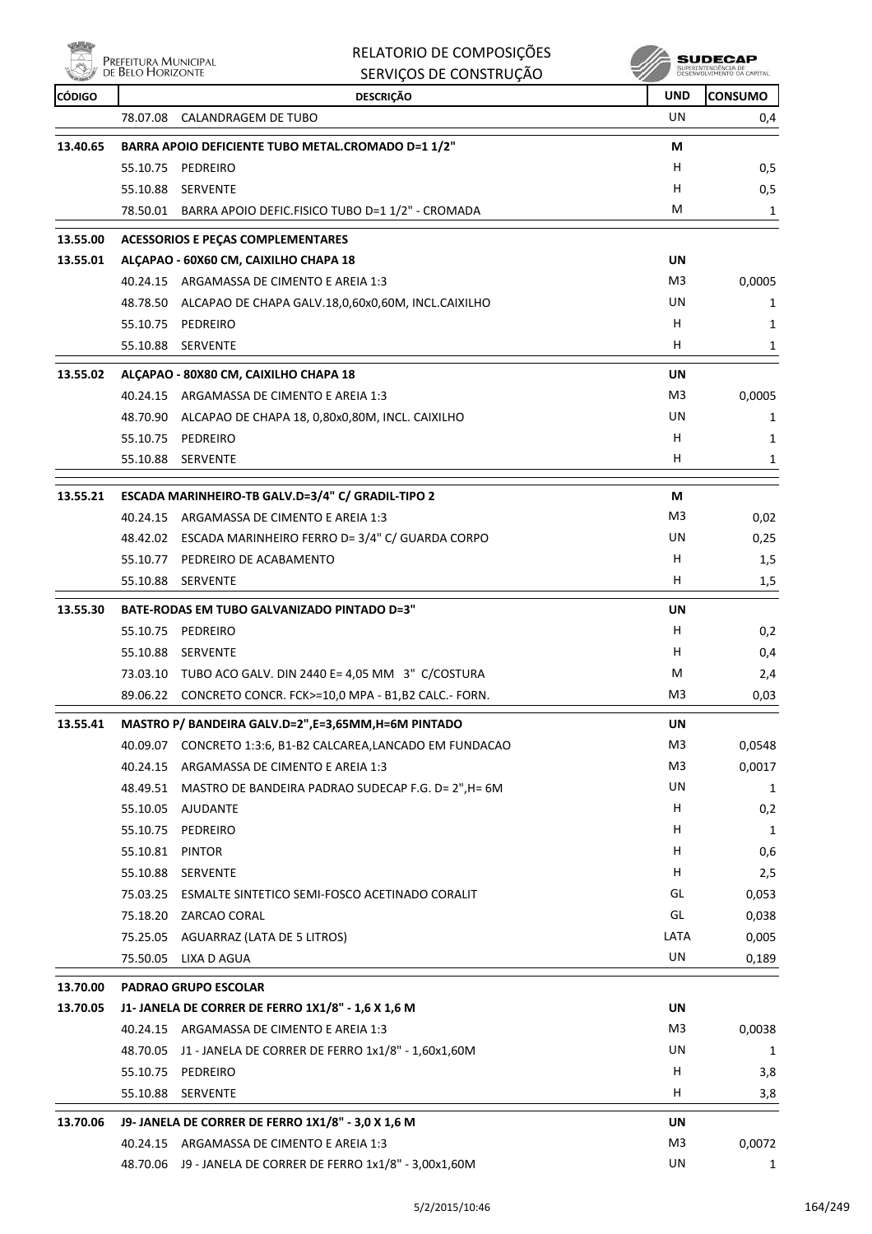|               | Prefeitura Municipal<br>de Belo Horizonte | RELATORIO DE COMPOSIÇÕES<br>SERVIÇOS DE CONSTRUÇÃO                                |                | <b>SUDECAF</b><br>SUPERINTENDENCIA DE<br>DÉSENVOLVIMENTO DA CAPITAL |
|---------------|-------------------------------------------|-----------------------------------------------------------------------------------|----------------|---------------------------------------------------------------------|
| <b>CÓDIGO</b> |                                           | <b>DESCRIÇÃO</b>                                                                  | <b>UND</b>     | <b>CONSUMO</b>                                                      |
|               | 78.07.08                                  | <b>CALANDRAGEM DE TUBO</b>                                                        | UN             | 0,4                                                                 |
| 13.40.65      |                                           | BARRA APOIO DEFICIENTE TUBO METAL.CROMADO D=1 1/2"                                | М              |                                                                     |
|               | 55.10.75                                  | PEDREIRO                                                                          | H.             | 0,5                                                                 |
|               | 55.10.88                                  | SERVENTE                                                                          | H              | 0,5                                                                 |
|               |                                           | 78.50.01 BARRA APOIO DEFIC.FISICO TUBO D=1 1/2" - CROMADA                         | м              | 1                                                                   |
| 13.55.00      |                                           | <b>ACESSORIOS E PECAS COMPLEMENTARES</b>                                          |                |                                                                     |
| 13.55.01      |                                           | ALCAPAO - 60X60 CM, CAIXILHO CHAPA 18                                             | UN             |                                                                     |
|               |                                           | 40.24.15 ARGAMASSA DE CIMENTO E AREIA 1:3                                         | M3             | 0,0005                                                              |
|               |                                           | 48.78.50 ALCAPAO DE CHAPA GALV.18,0,60x0,60M, INCL.CAIXILHO                       | UN             | 1                                                                   |
|               |                                           | 55.10.75 PEDREIRO                                                                 | н              | 1                                                                   |
|               |                                           | 55.10.88 SERVENTE                                                                 | H              | 1                                                                   |
| 13.55.02      |                                           | ALCAPAO - 80X80 CM, CAIXILHO CHAPA 18                                             | UN             |                                                                     |
|               |                                           | 40.24.15 ARGAMASSA DE CIMENTO E AREIA 1:3                                         | M3             | 0,0005                                                              |
|               | 48.70.90                                  | ALCAPAO DE CHAPA 18, 0,80x0,80M, INCL. CAIXILHO                                   | UN             | 1                                                                   |
|               |                                           | 55.10.75 PEDREIRO                                                                 | н              | 1                                                                   |
|               |                                           | 55.10.88 SERVENTE                                                                 | н              | 1                                                                   |
| 13.55.21      |                                           | ESCADA MARINHEIRO-TB GALV.D=3/4" C/ GRADIL-TIPO 2                                 | М              |                                                                     |
|               |                                           | 40.24.15 ARGAMASSA DE CIMENTO E AREIA 1:3                                         | M3             | 0,02                                                                |
|               |                                           | 48.42.02 ESCADA MARINHEIRO FERRO D= 3/4" C/ GUARDA CORPO                          | UN             | 0,25                                                                |
|               |                                           | 55.10.77 PEDREIRO DE ACABAMENTO                                                   | H              | 1,5                                                                 |
|               |                                           | 55.10.88 SERVENTE                                                                 | H.             | 1,5                                                                 |
|               |                                           |                                                                                   |                |                                                                     |
| 13.55.30      |                                           | <b>BATE-RODAS EM TUBO GALVANIZADO PINTADO D=3"</b><br>55.10.75 PEDREIRO           | UN             |                                                                     |
|               |                                           | 55.10.88 SERVENTE                                                                 | H.<br>н        | 0,2                                                                 |
|               |                                           | 73.03.10 TUBO ACO GALV. DIN 2440 E= 4,05 MM 3" C/COSTURA                          | м              | 0,4                                                                 |
|               |                                           | 89.06.22 CONCRETO CONCR. FCK>=10,0 MPA - B1,B2 CALC.- FORN.                       | M <sub>3</sub> | 2,4<br>0,03                                                         |
|               |                                           |                                                                                   |                |                                                                     |
| 13.55.41      |                                           | MASTRO P/ BANDEIRA GALV.D=2",E=3,65MM,H=6M PINTADO                                | <b>UN</b>      |                                                                     |
|               |                                           | 40.09.07 CONCRETO 1:3:6, B1-B2 CALCAREA,LANCADO EM FUNDACAO                       | M3             | 0,0548                                                              |
|               |                                           | 40.24.15 ARGAMASSA DE CIMENTO E AREIA 1:3                                         | M3<br>UN       | 0,0017                                                              |
|               |                                           | 48.49.51 MASTRO DE BANDEIRA PADRAO SUDECAP F.G. D= 2", H= 6M<br>55.10.05 AJUDANTE | H              | $\mathbf{1}$                                                        |
|               |                                           | 55.10.75 PEDREIRO                                                                 | H              | 0,2<br>1                                                            |
|               | 55.10.81 PINTOR                           |                                                                                   | H              | 0,6                                                                 |
|               |                                           | 55.10.88 SERVENTE                                                                 | H              | 2,5                                                                 |
|               |                                           | 75.03.25 ESMALTE SINTETICO SEMI-FOSCO ACETINADO CORALIT                           | GL             | 0,053                                                               |
|               |                                           | 75.18.20 ZARCAO CORAL                                                             | GL             | 0,038                                                               |
|               |                                           | 75.25.05 AGUARRAZ (LATA DE 5 LITROS)                                              | LATA           | 0,005                                                               |
|               |                                           | 75.50.05 LIXA D AGUA                                                              | UN             | 0,189                                                               |
| 13.70.00      |                                           | <b>PADRAO GRUPO ESCOLAR</b>                                                       |                |                                                                     |
| 13.70.05      |                                           | J1- JANELA DE CORRER DE FERRO 1X1/8" - 1,6 X 1,6 M                                | UN             |                                                                     |
|               |                                           | 40.24.15 ARGAMASSA DE CIMENTO E AREIA 1:3                                         | M <sub>3</sub> | 0,0038                                                              |
|               | 48.70.05                                  | J1 - JANELA DE CORRER DE FERRO 1x1/8" - 1,60x1,60M                                | UN             | 1                                                                   |
|               |                                           | 55.10.75 PEDREIRO                                                                 | н              | 3,8                                                                 |
|               | 55.10.88                                  | SERVENTE                                                                          | H              | 3,8                                                                 |
| 13.70.06      |                                           | J9- JANELA DE CORRER DE FERRO 1X1/8" - 3,0 X 1,6 M                                | UN             |                                                                     |
|               |                                           | 40.24.15 ARGAMASSA DE CIMENTO E AREIA 1:3                                         | M <sub>3</sub> | 0,0072                                                              |
|               |                                           | 48.70.06 J9 - JANELA DE CORRER DE FERRO 1x1/8" - 3,00x1,60M                       | UN             | $\mathbf{1}$                                                        |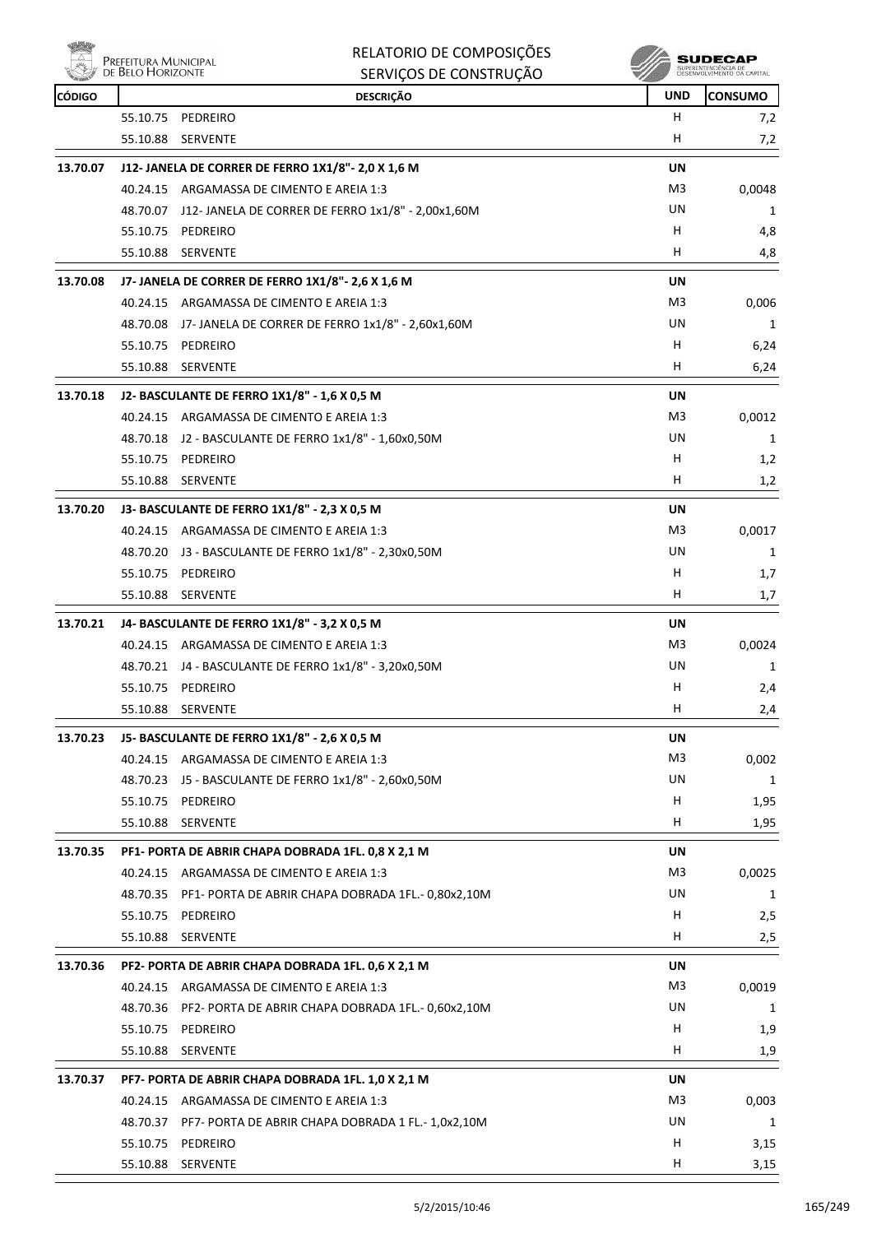

| RELATORIO DE COMPOSIÇÕES |
|--------------------------|
| SERVICOS DE CONSTRUÇÃO   |

| <b>CÓDIGO</b> | <b>WELL</b> DE DEED FRONTZON IL | SERVIÇUS DE CUNSTRUÇÃO<br><b>DESCRIÇÃO</b>                  | <b>UND</b>     | <b>CONSUMO</b> |
|---------------|---------------------------------|-------------------------------------------------------------|----------------|----------------|
|               | 55.10.75                        | PEDREIRO                                                    | H              | 7,2            |
|               | 55.10.88                        | SERVENTE                                                    | H              | 7,2            |
| 13.70.07      |                                 | J12- JANELA DE CORRER DE FERRO 1X1/8"- 2,0 X 1,6 M          | UN             |                |
|               |                                 | 40.24.15 ARGAMASSA DE CIMENTO E AREIA 1:3                   | M3             | 0,0048         |
|               |                                 | 48.70.07 J12- JANELA DE CORRER DE FERRO 1x1/8" - 2,00x1,60M | UN             | 1              |
|               |                                 | 55.10.75 PEDREIRO                                           | H              | 4,8            |
|               | 55.10.88                        | <b>SERVENTE</b>                                             | H              | 4,8            |
| 13.70.08      |                                 | J7- JANELA DE CORRER DE FERRO 1X1/8"- 2,6 X 1,6 M           | UN             |                |
|               |                                 | 40.24.15 ARGAMASSA DE CIMENTO E AREIA 1:3                   | M3             | 0,006          |
|               |                                 | 48.70.08 J7-JANELA DE CORRER DE FERRO 1x1/8" - 2,60x1,60M   | UN             | 1              |
|               |                                 | 55.10.75 PEDREIRO                                           | н              | 6,24           |
|               |                                 | 55.10.88 SERVENTE                                           | H              | 6,24           |
| 13.70.18      |                                 | J2- BASCULANTE DE FERRO 1X1/8" - 1,6 X 0,5 M                | UN             |                |
|               |                                 | 40.24.15 ARGAMASSA DE CIMENTO E AREIA 1:3                   | M3             | 0,0012         |
|               |                                 | 48.70.18 J2 - BASCULANTE DE FERRO 1x1/8" - 1,60x0,50M       | UN             | 1              |
|               |                                 | 55.10.75 PEDREIRO                                           | H              | 1,2            |
|               | 55.10.88                        | <b>SERVENTE</b>                                             | н              | 1,2            |
| 13.70.20      |                                 | J3- BASCULANTE DE FERRO 1X1/8" - 2,3 X 0,5 M                | UN             |                |
|               |                                 | 40.24.15 ARGAMASSA DE CIMENTO E AREIA 1:3                   | M3             | 0,0017         |
|               |                                 | 48.70.20 J3 - BASCULANTE DE FERRO 1x1/8" - 2,30x0,50M       | UN             | 1              |
|               |                                 | 55.10.75 PEDREIRO                                           | H              | 1,7            |
|               | 55.10.88                        | SERVENTE                                                    | H              | 1,7            |
| 13.70.21      |                                 | J4- BASCULANTE DE FERRO 1X1/8" - 3,2 X 0,5 M                | UN             |                |
|               |                                 | 40.24.15 ARGAMASSA DE CIMENTO E AREIA 1:3                   | M3             | 0,0024         |
|               |                                 | 48.70.21 J4 - BASCULANTE DE FERRO 1x1/8" - 3,20x0,50M       | UN             | 1              |
|               |                                 | 55.10.75 PEDREIRO                                           | H              | 2,4            |
|               | 55.10.88                        | SERVENTE                                                    | н              | 2,4            |
| 13.70.23      |                                 | J5- BASCULANTE DE FERRO 1X1/8" - 2,6 X 0,5 M                | UN             |                |
|               |                                 | 40.24.15 ARGAMASSA DE CIMENTO E AREIA 1:3                   | M <sub>3</sub> | 0,002          |
|               |                                 | 48.70.23 J5 - BASCULANTE DE FERRO 1x1/8" - 2,60x0,50M       | UN             | 1              |
|               |                                 | 55.10.75 PEDREIRO                                           | H              | 1,95           |
|               | 55.10.88                        | SERVENTE                                                    | н              | 1,95           |
| 13.70.35      |                                 | PF1- PORTA DE ABRIR CHAPA DOBRADA 1FL. 0,8 X 2,1 M          | UN             |                |
|               |                                 | 40.24.15 ARGAMASSA DE CIMENTO E AREIA 1:3                   | M3             | 0,0025         |
|               | 48.70.35                        | PF1- PORTA DE ABRIR CHAPA DOBRADA 1FL.- 0,80x2,10M          | UN             | 1              |
|               | 55.10.75                        | PEDREIRO                                                    | H              | 2,5            |
|               | 55.10.88                        | <b>SERVENTE</b>                                             | H              | 2,5            |
| 13.70.36      |                                 | PF2- PORTA DE ABRIR CHAPA DOBRADA 1FL. 0,6 X 2,1 M          | UN             |                |
|               |                                 | 40.24.15 ARGAMASSA DE CIMENTO E AREIA 1:3                   | M3             | 0,0019         |
|               | 48.70.36                        | PF2- PORTA DE ABRIR CHAPA DOBRADA 1FL.- 0,60x2,10M          | UN             | 1              |
|               | 55.10.75                        | PEDREIRO                                                    | н              | 1,9            |
|               | 55.10.88                        | SERVENTE                                                    | н              | 1,9            |
| 13.70.37      |                                 | PF7- PORTA DE ABRIR CHAPA DOBRADA 1FL. 1,0 X 2,1 M          | UN             |                |
|               |                                 | 40.24.15 ARGAMASSA DE CIMENTO E AREIA 1:3                   | M3             | 0,003          |
|               | 48.70.37                        | PF7- PORTA DE ABRIR CHAPA DOBRADA 1 FL.- 1,0x2,10M          | UN             | 1              |
|               | 55.10.75                        | PEDREIRO                                                    | H              | 3,15           |
|               | 55.10.88                        | <b>SERVENTE</b>                                             | H,             | 3,15           |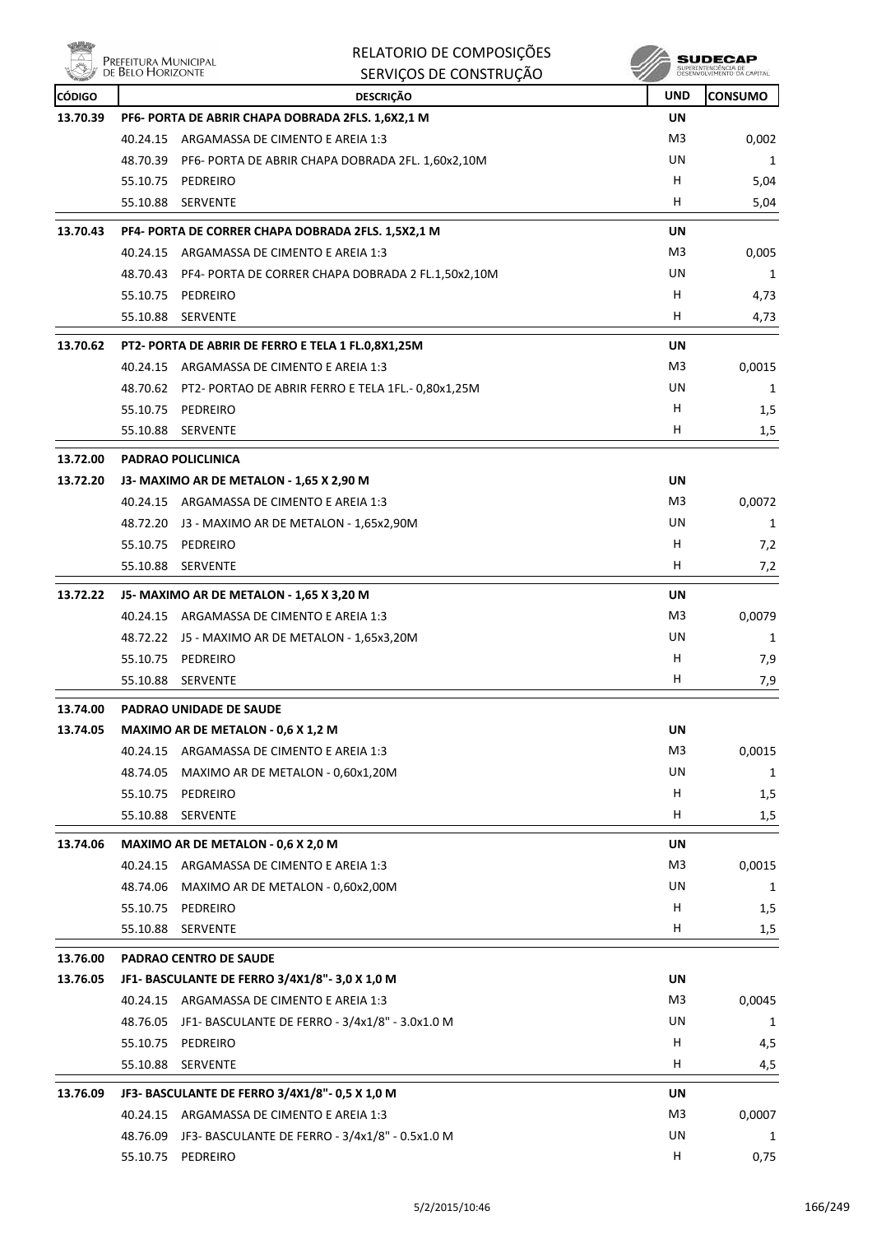|               | Prefeitura Municipal<br>de Belo Horizonte | RELATORIO DE COMPOSIÇÕES                                    |                | SUDECAP                                          |
|---------------|-------------------------------------------|-------------------------------------------------------------|----------------|--------------------------------------------------|
|               |                                           | SERVIÇOS DE CONSTRUÇÃO                                      |                | SUPERINTENDÊNCIA DE<br>DESENVOLVIMENTO DA CAPITA |
| <b>CÓDIGO</b> |                                           | <b>DESCRIÇÃO</b>                                            | <b>UND</b>     | <b>CONSUMO</b>                                   |
| 13.70.39      |                                           | PF6- PORTA DE ABRIR CHAPA DOBRADA 2FLS. 1,6X2,1 M           | <b>UN</b>      |                                                  |
|               | 40.24.15                                  | ARGAMASSA DE CIMENTO E AREIA 1:3                            | M3             | 0,002                                            |
|               | 48.70.39                                  | PF6- PORTA DE ABRIR CHAPA DOBRADA 2FL. 1,60x2,10M           | UN             | 1                                                |
|               | 55.10.75 PEDREIRO                         |                                                             | н              | 5,04                                             |
|               | 55.10.88                                  | SERVENTE                                                    | н              | 5,04                                             |
| 13.70.43      |                                           | PF4- PORTA DE CORRER CHAPA DOBRADA 2FLS. 1,5X2,1 M          | UN             |                                                  |
|               |                                           | 40.24.15 ARGAMASSA DE CIMENTO E AREIA 1:3                   | M3             | 0,005                                            |
|               |                                           | 48.70.43 PF4- PORTA DE CORRER CHAPA DOBRADA 2 FL.1,50x2,10M | UN             | 1                                                |
|               | 55.10.75                                  | PEDREIRO                                                    | н              | 4,73                                             |
|               | 55.10.88 SERVENTE                         |                                                             | н              | 4,73                                             |
| 13.70.62      |                                           | PT2- PORTA DE ABRIR DE FERRO E TELA 1 FL.0,8X1,25M          | UN             |                                                  |
|               |                                           | 40.24.15 ARGAMASSA DE CIMENTO E AREIA 1:3                   | M3             | 0,0015                                           |
|               |                                           | 48.70.62 PT2- PORTAO DE ABRIR FERRO E TELA 1FL.- 0,80x1,25M | UN             | 1                                                |
|               | 55.10.75 PEDREIRO                         |                                                             | н              | 1,5                                              |
|               | 55.10.88                                  | <b>SERVENTE</b>                                             | н              | 1,5                                              |
| 13.72.00      | <b>PADRAO POLICLINICA</b>                 |                                                             |                |                                                  |
| 13.72.20      |                                           | J3- MAXIMO AR DE METALON - 1,65 X 2,90 M                    | UN             |                                                  |
|               |                                           | 40.24.15 ARGAMASSA DE CIMENTO E AREIA 1:3                   | M3             | 0,0072                                           |
|               | 48.72.20                                  | J3 - MAXIMO AR DE METALON - 1,65x2,90M                      | UN             | 1                                                |
|               | 55.10.75                                  | PEDREIRO                                                    | н              | 7,2                                              |
|               | 55.10.88 SERVENTE                         |                                                             | н              | 7,2                                              |
|               |                                           |                                                             |                |                                                  |
| 13.72.22      |                                           | J5- MAXIMO AR DE METALON - 1,65 X 3,20 M                    | UN             |                                                  |
|               |                                           | 40.24.15 ARGAMASSA DE CIMENTO E AREIA 1:3                   | M3             | 0,0079                                           |
|               |                                           | 48.72.22 J5 - MAXIMO AR DE METALON - 1,65x3,20M             | UN             | 1                                                |
|               | 55.10.75                                  | PEDREIRO                                                    | н              | 7,9                                              |
|               | 55.10.88                                  | SERVENTE                                                    | н              | 7,9                                              |
| 13.74.00      |                                           | PADRAO UNIDADE DE SAUDE                                     |                |                                                  |
| 13.74.05      |                                           | MAXIMO AR DE METALON - 0,6 X 1,2 M                          | UN             |                                                  |
|               |                                           | 40.24.15 ARGAMASSA DE CIMENTO E AREIA 1:3                   | M <sub>3</sub> | 0,0015                                           |
|               | 48.74.05                                  | MAXIMO AR DE METALON - 0,60x1,20M                           | UN             | 1                                                |
|               | 55.10.75                                  | PEDREIRO                                                    | Н              | 1,5                                              |
|               | 55.10.88 SERVENTE                         |                                                             | H              | 1,5                                              |
| 13.74.06      |                                           | MAXIMO AR DE METALON - 0,6 X 2,0 M                          | UN             |                                                  |
|               | 40.24.15                                  | ARGAMASSA DE CIMENTO E AREIA 1:3                            | M3             | 0,0015                                           |
|               | 48.74.06                                  | MAXIMO AR DE METALON - 0,60x2,00M                           | UN             | 1                                                |
|               | 55.10.75                                  | PEDREIRO                                                    | H              | 1,5                                              |
|               | 55.10.88 SERVENTE                         |                                                             | H              | 1,5                                              |
| 13.76.00      |                                           | PADRAO CENTRO DE SAUDE                                      |                |                                                  |
| 13.76.05      |                                           | JF1- BASCULANTE DE FERRO 3/4X1/8"- 3,0 X 1,0 M              | UN             |                                                  |
|               |                                           | 40.24.15 ARGAMASSA DE CIMENTO E AREIA 1:3                   | M3             | 0,0045                                           |
|               | 48.76.05                                  | JF1- BASCULANTE DE FERRO - 3/4x1/8" - 3.0x1.0 M             | UN             | 1                                                |
|               | 55.10.75 PEDREIRO                         |                                                             | H              | 4,5                                              |
|               | 55.10.88                                  | SERVENTE                                                    | H              | 4,5                                              |
|               |                                           |                                                             |                |                                                  |
| 13.76.09      |                                           | JF3- BASCULANTE DE FERRO 3/4X1/8"- 0,5 X 1,0 M              | UN             |                                                  |
|               |                                           | 40.24.15 ARGAMASSA DE CIMENTO E AREIA 1:3                   | M3             | 0,0007                                           |
|               |                                           | 48.76.09 JF3- BASCULANTE DE FERRO - 3/4x1/8" - 0.5x1.0 M    | UN             | 1                                                |
|               | 55.10.75 PEDREIRO                         |                                                             | н              | 0,75                                             |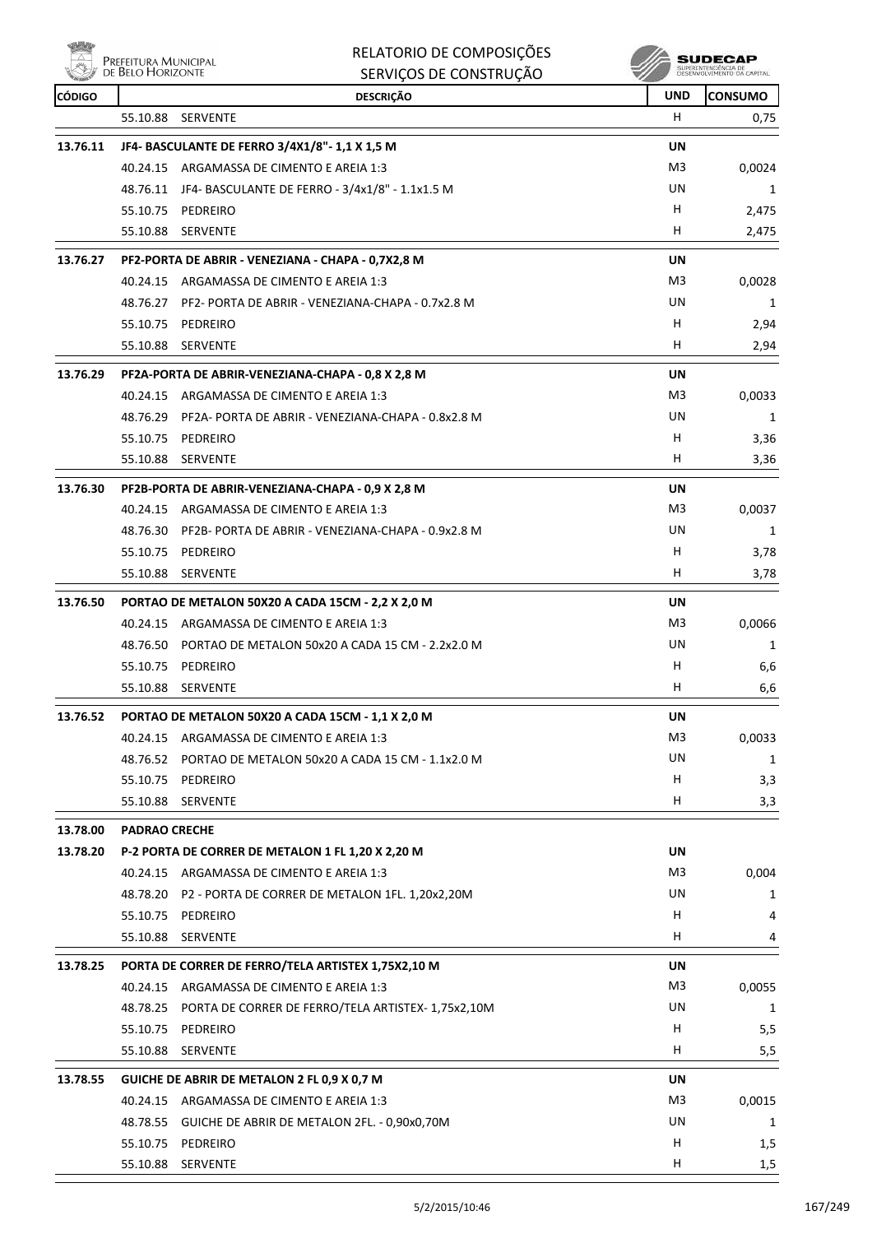**PREFEITURA MUNICIPAL** 

、温品の

RELATORIO DE COMPOSIÇÕES  $SFRVIBQSE E F QQV16T11QXQ$ 

 $\mathscr{M}$  SUDECAP

|               | $\mathbb{C}$ de Belo Horizon i e | SERVIÇOS DE CONSTRUÇÃO                                   |            | DESENVOLVIMENTO DA CAPITAL |
|---------------|----------------------------------|----------------------------------------------------------|------------|----------------------------|
| <b>CÓDIGO</b> |                                  | <b>DESCRIÇÃO</b>                                         | <b>UND</b> | <b>CONSUMO</b>             |
|               | 55.10.88                         | <b>SERVENTE</b>                                          | H.         | 0,75                       |
| 13.76.11      |                                  | JF4- BASCULANTE DE FERRO 3/4X1/8"- 1,1 X 1,5 M           | UN         |                            |
|               |                                  | 40.24.15 ARGAMASSA DE CIMENTO E AREIA 1:3                | M3         | 0,0024                     |
|               |                                  | 48.76.11 JF4- BASCULANTE DE FERRO - 3/4x1/8" - 1.1x1.5 M | UN         | 1                          |
|               |                                  | 55.10.75 PEDREIRO                                        | H          | 2,475                      |
|               | 55.10.88                         | SERVENTE                                                 | H          | 2,475                      |
| 13.76.27      |                                  | PF2-PORTA DE ABRIR - VENEZIANA - CHAPA - 0,7X2,8 M       | UN         |                            |
|               |                                  | 40.24.15 ARGAMASSA DE CIMENTO E AREIA 1:3                | M3         | 0,0028                     |
|               | 48.76.27                         | PF2- PORTA DE ABRIR - VENEZIANA-CHAPA - 0.7x2.8 M        | UN         | 1                          |
|               | 55.10.75                         | PEDREIRO                                                 | H          | 2,94                       |
|               | 55.10.88                         | <b>SERVENTE</b>                                          | H.         | 2,94                       |
| 13.76.29      |                                  | PF2A-PORTA DE ABRIR-VENEZIANA-CHAPA - 0,8 X 2,8 M        | UN         |                            |
|               |                                  | 40.24.15 ARGAMASSA DE CIMENTO E AREIA 1:3                | M3         | 0,0033                     |
|               | 48.76.29                         | PF2A- PORTA DE ABRIR - VENEZIANA-CHAPA - 0.8x2.8 M       | UN         | 1                          |
|               |                                  | 55.10.75 PEDREIRO                                        | H          | 3,36                       |
|               | 55.10.88                         | <b>SERVENTE</b>                                          | H          | 3,36                       |
| 13.76.30      |                                  | PF2B-PORTA DE ABRIR-VENEZIANA-CHAPA - 0,9 X 2,8 M        | UN         |                            |
|               |                                  | 40.24.15 ARGAMASSA DE CIMENTO E AREIA 1:3                | M3         | 0,0037                     |
|               | 48.76.30                         | PF2B- PORTA DE ABRIR - VENEZIANA-CHAPA - 0.9x2.8 M       | UN         | 1                          |
|               | 55.10.75                         | PEDREIRO                                                 | н          | 3,78                       |
|               | 55.10.88                         | <b>SERVENTE</b>                                          | H.         | 3,78                       |
| 13.76.50      |                                  | PORTAO DE METALON 50X20 A CADA 15CM - 2,2 X 2,0 M        | UN         |                            |
|               |                                  | 40.24.15 ARGAMASSA DE CIMENTO E AREIA 1:3                | M3         | 0,0066                     |
|               | 48.76.50                         | PORTAO DE METALON 50x20 A CADA 15 CM - 2.2x2.0 M         | UN         | 1                          |
|               |                                  | 55.10.75 PEDREIRO                                        | H          | 6,6                        |
|               | 55.10.88                         | SERVENTE                                                 | H          | 6,6                        |
|               |                                  |                                                          |            |                            |
| 13.76.52      |                                  | PORTAO DE METALON 50X20 A CADA 15CM - 1,1 X 2,0 M        | UN         |                            |
|               | 40.24.15                         | ARGAMASSA DE CIMENTO E AREIA 1:3                         | M3         | 0,0033                     |
|               | 48.76.52                         | PORTAO DE METALON 50x20 A CADA 15 CM - 1.1x2.0 M         | UN         | 1                          |
|               | 55.10.75                         | PEDREIRO                                                 | H          | 3,3                        |
|               | 55.10.88                         | <b>SERVENTE</b>                                          | н          | 3,3                        |
| 13.78.00      | <b>PADRAO CRECHE</b>             |                                                          |            |                            |
| 13.78.20      |                                  | P-2 PORTA DE CORRER DE METALON 1 FL 1,20 X 2,20 M        | UN         |                            |
|               |                                  | 40.24.15 ARGAMASSA DE CIMENTO E AREIA 1:3                | M3         | 0,004                      |
|               | 48.78.20                         | P2 - PORTA DE CORRER DE METALON 1FL. 1,20x2,20M          | UN         | 1                          |
|               | 55.10.75                         | PEDREIRO                                                 | H          | 4                          |
|               | 55.10.88                         | <b>SERVENTE</b>                                          | Н.         | 4                          |
| 13.78.25      |                                  | PORTA DE CORRER DE FERRO/TELA ARTISTEX 1,75X2,10 M       | UN         |                            |
|               |                                  | 40.24.15 ARGAMASSA DE CIMENTO E AREIA 1:3                | M3         | 0,0055                     |
|               | 48.78.25                         | PORTA DE CORRER DE FERRO/TELA ARTISTEX- 1,75x2,10M       | UN         | 1                          |
|               | 55.10.75                         | PEDREIRO                                                 | H          | 5,5                        |
|               | 55.10.88                         | SERVENTE                                                 | H          | 5,5                        |
| 13.78.55      |                                  | GUICHE DE ABRIR DE METALON 2 FL 0,9 X 0,7 M              | UN         |                            |
|               |                                  | 40.24.15 ARGAMASSA DE CIMENTO E AREIA 1:3                | M3         | 0,0015                     |
|               | 48.78.55                         | GUICHE DE ABRIR DE METALON 2FL. - 0,90x0,70M             | UN         | 1                          |
|               | 55.10.75                         | PEDREIRO                                                 | H          | 1,5                        |
|               | 55.10.88                         | <b>SERVENTE</b>                                          | Н.         | 1,5                        |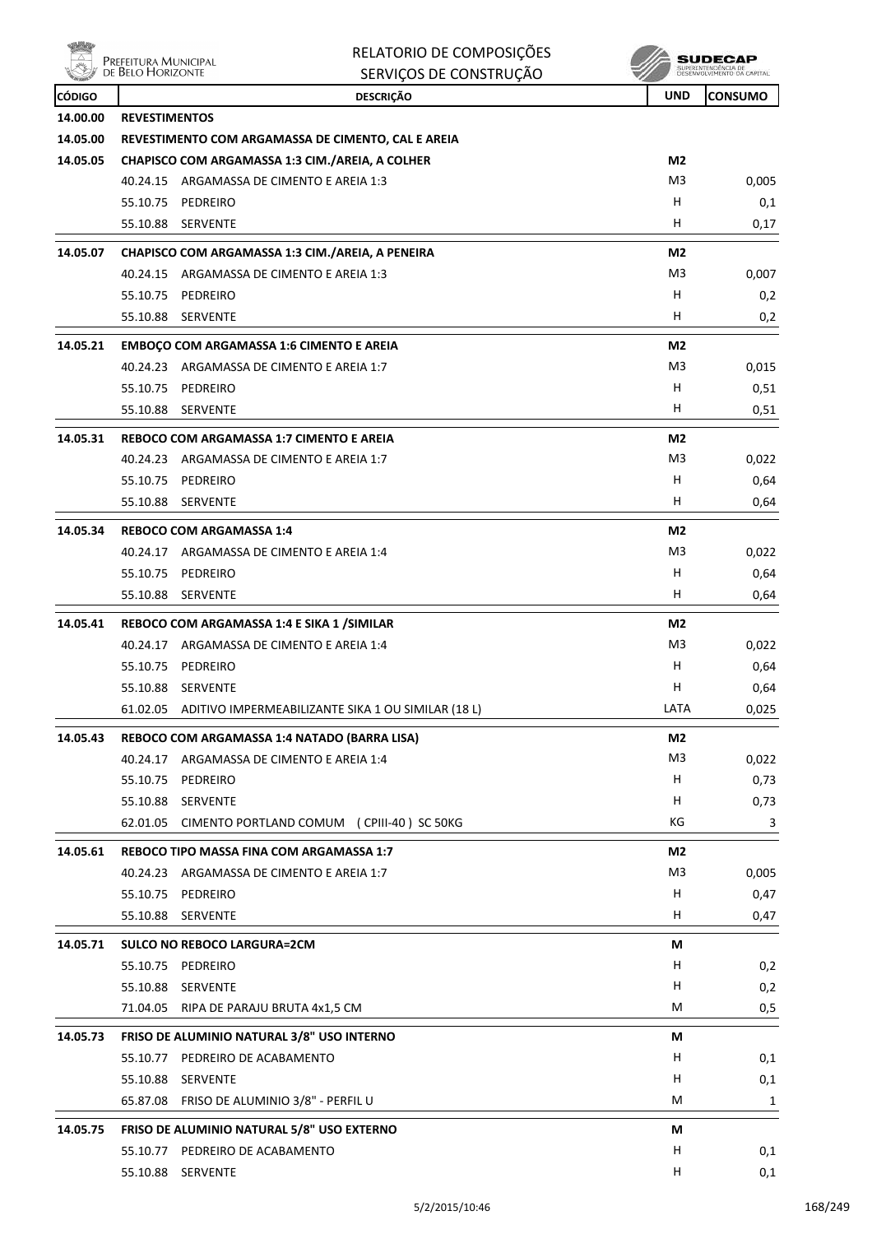|               | RELATORIO DE COMPOSIÇÕES<br>Prefeitura Municipal<br>de Belo Horizonte<br>SERVIÇOS DE CONSTRUÇÃO |                | SUPERINTENDÊNCIA DE<br>DESENVOLVIMENTO DA CAPITAL |
|---------------|-------------------------------------------------------------------------------------------------|----------------|---------------------------------------------------|
| <b>CÓDIGO</b> | <b>DESCRIÇÃO</b>                                                                                | <b>UND</b>     | <b>CONSUMO</b>                                    |
| 14.00.00      | <b>REVESTIMENTOS</b>                                                                            |                |                                                   |
| 14.05.00      | REVESTIMENTO COM ARGAMASSA DE CIMENTO, CAL E AREIA                                              |                |                                                   |
| 14.05.05      | CHAPISCO COM ARGAMASSA 1:3 CIM./AREIA, A COLHER                                                 | M2             |                                                   |
|               | 40.24.15 ARGAMASSA DE CIMENTO E AREIA 1:3                                                       | M <sub>3</sub> | 0,005                                             |
|               | 55.10.75<br>PEDREIRO                                                                            | н              | 0,1                                               |
|               | 55.10.88<br><b>SERVENTE</b>                                                                     | н              | 0,17                                              |
| 14.05.07      | CHAPISCO COM ARGAMASSA 1:3 CIM./AREIA, A PENEIRA                                                | M <sub>2</sub> |                                                   |
|               | 40.24.15<br>ARGAMASSA DE CIMENTO E AREIA 1:3                                                    | M <sub>3</sub> | 0,007                                             |
|               | 55.10.75<br>PEDREIRO                                                                            | н              | 0,2                                               |
|               | 55.10.88<br><b>SERVENTE</b>                                                                     | н              | 0,2                                               |
| 14.05.21      | <b>EMBOÇO COM ARGAMASSA 1:6 CIMENTO E AREIA</b>                                                 | M2             |                                                   |
|               | 40.24.23 ARGAMASSA DE CIMENTO E AREIA 1:7                                                       | M <sub>3</sub> | 0,015                                             |
|               | 55.10.75<br>PEDREIRO                                                                            | н              | 0,51                                              |
|               | 55.10.88<br><b>SERVENTE</b>                                                                     | н              | 0,51                                              |
| 14.05.31      | REBOCO COM ARGAMASSA 1:7 CIMENTO E AREIA                                                        | M2             |                                                   |
|               | 40.24.23 ARGAMASSA DE CIMENTO E AREIA 1:7                                                       | M <sub>3</sub> | 0,022                                             |
|               | 55.10.75 PEDREIRO                                                                               | н              | 0,64                                              |
|               | 55.10.88<br><b>SERVENTE</b>                                                                     | н              | 0,64                                              |
| 14.05.34      | <b>REBOCO COM ARGAMASSA 1:4</b>                                                                 | M2             |                                                   |
|               | 40.24.17 ARGAMASSA DE CIMENTO E AREIA 1:4                                                       | M <sub>3</sub> | 0,022                                             |
|               | 55.10.75<br>PEDREIRO                                                                            | н              | 0,64                                              |
|               | 55.10.88<br><b>SERVENTE</b>                                                                     | H.             | 0,64                                              |
| 14.05.41      | REBOCO COM ARGAMASSA 1:4 E SIKA 1 / SIMILAR                                                     | M2             |                                                   |
|               | 40.24.17 ARGAMASSA DE CIMENTO E AREIA 1:4                                                       | M <sub>3</sub> | 0,022                                             |
|               | 55.10.75 PEDREIRO                                                                               | н              | 0,64                                              |
|               | 55.10.88 SERVENTE                                                                               | H              | 0,64                                              |
|               | 61.02.05 ADITIVO IMPERMEABILIZANTE SIKA 1 OU SIMILAR (18 L)                                     | LATA           | 0,025                                             |
| 14.05.43      | REBOCO COM ARGAMASSA 1:4 NATADO (BARRA LISA)                                                    | M <sub>2</sub> |                                                   |
|               | 40.24.17 ARGAMASSA DE CIMENTO E AREIA 1:4                                                       | M <sub>3</sub> | 0,022                                             |
|               | 55.10.75 PEDREIRO                                                                               | H              | 0,73                                              |
|               | 55.10.88 SERVENTE                                                                               | н              | 0,73                                              |
|               | 62.01.05 CIMENTO PORTLAND COMUM (CPIII-40) SC 50KG                                              | KG             | 3                                                 |
| 14.05.61      | REBOCO TIPO MASSA FINA COM ARGAMASSA 1:7                                                        | M2             |                                                   |
|               | 40.24.23 ARGAMASSA DE CIMENTO E AREIA 1:7                                                       | M <sub>3</sub> | 0,005                                             |
|               | 55.10.75 PEDREIRO                                                                               | н              | 0,47                                              |
|               | 55.10.88 SERVENTE                                                                               | H              | 0,47                                              |
| 14.05.71      | <b>SULCO NO REBOCO LARGURA=2CM</b>                                                              | М              |                                                   |
|               | 55.10.75 PEDREIRO                                                                               | н              | 0,2                                               |
|               | 55.10.88 SERVENTE                                                                               | H              | 0,2                                               |
|               | 71.04.05<br>RIPA DE PARAJU BRUTA 4x1,5 CM                                                       | М              | 0,5                                               |
|               |                                                                                                 |                |                                                   |
| 14.05.73      | FRISO DE ALUMINIO NATURAL 3/8" USO INTERNO<br>55.10.77 PEDREIRO DE ACABAMENTO                   | М<br>H         |                                                   |
|               | 55.10.88 SERVENTE                                                                               | н              | 0,1                                               |
|               | 65.87.08 FRISO DE ALUMINIO 3/8" - PERFIL U                                                      | М              | 0,1<br>1                                          |
|               |                                                                                                 |                |                                                   |
| 14.05.75      | FRISO DE ALUMINIO NATURAL 5/8" USO EXTERNO                                                      | М              |                                                   |
|               | 55.10.77 PEDREIRO DE ACABAMENTO                                                                 | н              | 0,1                                               |
|               | 55.10.88 SERVENTE                                                                               | H              | 0,1                                               |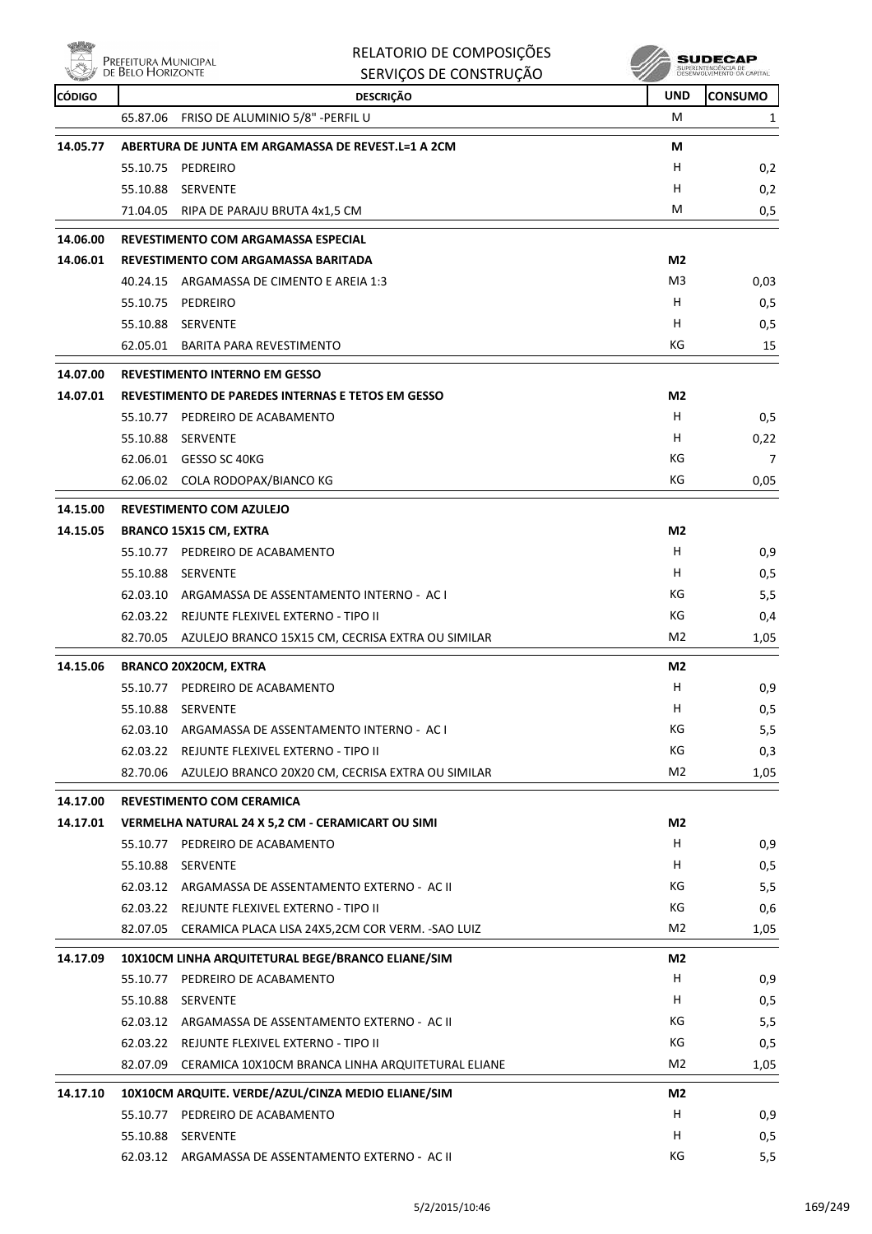

|                      |                                           | RELATORIO DE COMPOSIÇÕES                                                              |                | <b>SUDECAP</b>                                    |
|----------------------|-------------------------------------------|---------------------------------------------------------------------------------------|----------------|---------------------------------------------------|
|                      | Prefeitura Municipal<br>de Belo Horizonte | SERVIÇOS DE CONSTRUÇÃO                                                                |                | SUPERINTENDÊNCIA DE<br>DESENVOLVIMENTO DA CAPITAL |
| <b>CÓDIGO</b>        |                                           | <b>DESCRIÇÃO</b>                                                                      | <b>UND</b>     | <b>CONSUMO</b>                                    |
|                      | 65.87.06                                  | FRISO DE ALUMINIO 5/8" - PERFIL U                                                     | M              | 1                                                 |
| 14.05.77             |                                           | ABERTURA DE JUNTA EM ARGAMASSA DE REVEST.L=1 A 2CM                                    | М              |                                                   |
|                      | 55.10.75                                  | PEDREIRO                                                                              | н              | 0,2                                               |
|                      | 55.10.88                                  | SERVENTE                                                                              | H              | 0,2                                               |
|                      | 71.04.05                                  | RIPA DE PARAJU BRUTA 4x1,5 CM                                                         | M              | 0,5                                               |
| 14.06.00             |                                           | <b>REVESTIMENTO COM ARGAMASSA ESPECIAL</b>                                            |                |                                                   |
| 14.06.01             |                                           | REVESTIMENTO COM ARGAMASSA BARITADA                                                   | M <sub>2</sub> |                                                   |
|                      | 40.24.15                                  | ARGAMASSA DE CIMENTO E AREIA 1:3                                                      | M3             | 0,03                                              |
|                      | 55.10.75                                  | PEDREIRO                                                                              | H              | 0,5                                               |
|                      | 55.10.88                                  | SERVENTE                                                                              | н              | 0,5                                               |
|                      | 62.05.01                                  | <b>BARITA PARA REVESTIMENTO</b>                                                       | КG             | 15                                                |
| 14.07.00             |                                           | <b>REVESTIMENTO INTERNO EM GESSO</b>                                                  |                |                                                   |
| 14.07.01             |                                           | REVESTIMENTO DE PAREDES INTERNAS E TETOS EM GESSO                                     | M <sub>2</sub> |                                                   |
|                      | 55.10.77                                  | PEDREIRO DE ACABAMENTO                                                                | H              | 0,5                                               |
|                      | 55.10.88                                  | SERVENTE                                                                              | н              | 0,22                                              |
|                      |                                           | 62.06.01 GESSO SC 40KG                                                                | КG             | 7                                                 |
|                      |                                           | 62.06.02 COLA RODOPAX/BIANCO KG                                                       | КG             | 0,05                                              |
| 14.15.00             |                                           | <b>REVESTIMENTO COM AZULEJO</b>                                                       |                |                                                   |
| 14.15.05             |                                           | <b>BRANCO 15X15 CM, EXTRA</b>                                                         | M2             |                                                   |
|                      | 55.10.77                                  | PEDREIRO DE ACABAMENTO                                                                | н              | 0,9                                               |
|                      | 55.10.88                                  | SERVENTE                                                                              | н              | 0,5                                               |
|                      |                                           | 62.03.10 ARGAMASSA DE ASSENTAMENTO INTERNO - AC I                                     | КG             | 5,5                                               |
|                      |                                           | 62.03.22 REJUNTE FLEXIVEL EXTERNO - TIPO II                                           | КG             | 0,4                                               |
|                      | 82.70.05                                  | AZULEJO BRANCO 15X15 CM, CECRISA EXTRA OU SIMILAR                                     | M <sub>2</sub> | 1,05                                              |
| 14.15.06             |                                           | <b>BRANCO 20X20CM, EXTRA</b>                                                          | M2             |                                                   |
|                      |                                           | 55.10.77 PEDREIRO DE ACABAMENTO                                                       | н              | 0,9                                               |
|                      |                                           | 55.10.88 SERVENTE                                                                     | Н              | 0,5                                               |
|                      |                                           | 62.03.10 ARGAMASSA DE ASSENTAMENTO INTERNO - AC I                                     | КG             | 5,5                                               |
|                      |                                           | 62.03.22 REJUNTE FLEXIVEL EXTERNO - TIPO II                                           | КG             | 0,3                                               |
|                      |                                           | 82.70.06 AZULEJO BRANCO 20X20 CM, CECRISA EXTRA OU SIMILAR                            | M2             | 1,05                                              |
|                      |                                           |                                                                                       |                |                                                   |
| 14.17.00<br>14.17.01 |                                           | <b>REVESTIMENTO COM CERAMICA</b><br>VERMELHA NATURAL 24 X 5,2 CM - CERAMICART OU SIMI | M2             |                                                   |
|                      |                                           | 55.10.77 PEDREIRO DE ACABAMENTO                                                       | H.             | 0,9                                               |
|                      |                                           | 55.10.88 SERVENTE                                                                     | H.             | 0,5                                               |
|                      |                                           | 62.03.12 ARGAMASSA DE ASSENTAMENTO EXTERNO - AC II                                    | КG             | 5,5                                               |
|                      |                                           | 62.03.22 REJUNTE FLEXIVEL EXTERNO - TIPO II                                           | КG             | 0,6                                               |
|                      |                                           | 82.07.05 CERAMICA PLACA LISA 24X5,2CM COR VERM. - SAO LUIZ                            | M2             | 1,05                                              |
|                      |                                           |                                                                                       |                |                                                   |
| 14.17.09             |                                           | 10X10CM LINHA ARQUITETURAL BEGE/BRANCO ELIANE/SIM<br>55.10.77 PEDREIRO DE ACABAMENTO  | M2<br>Н        | 0,9                                               |
|                      |                                           | 55.10.88 SERVENTE                                                                     | H.             | 0,5                                               |
|                      |                                           | 62.03.12 ARGAMASSA DE ASSENTAMENTO EXTERNO - AC II                                    | КG             | 5,5                                               |
|                      |                                           | 62.03.22 REJUNTE FLEXIVEL EXTERNO - TIPO II                                           | КG             | 0,5                                               |
|                      |                                           | 82.07.09 CERAMICA 10X10CM BRANCA LINHA ARQUITETURAL ELIANE                            | M <sub>2</sub> | 1,05                                              |
|                      |                                           |                                                                                       |                |                                                   |
| 14.17.10             |                                           | 10X10CM ARQUITE. VERDE/AZUL/CINZA MEDIO ELIANE/SIM                                    | M2             |                                                   |
|                      |                                           | 55.10.77 PEDREIRO DE ACABAMENTO                                                       | H              | 0,9                                               |
|                      |                                           | 55.10.88 SERVENTE                                                                     | H              | 0,5                                               |
|                      |                                           | 62.03.12 ARGAMASSA DE ASSENTAMENTO EXTERNO - AC II                                    | ΚG             | 5,5                                               |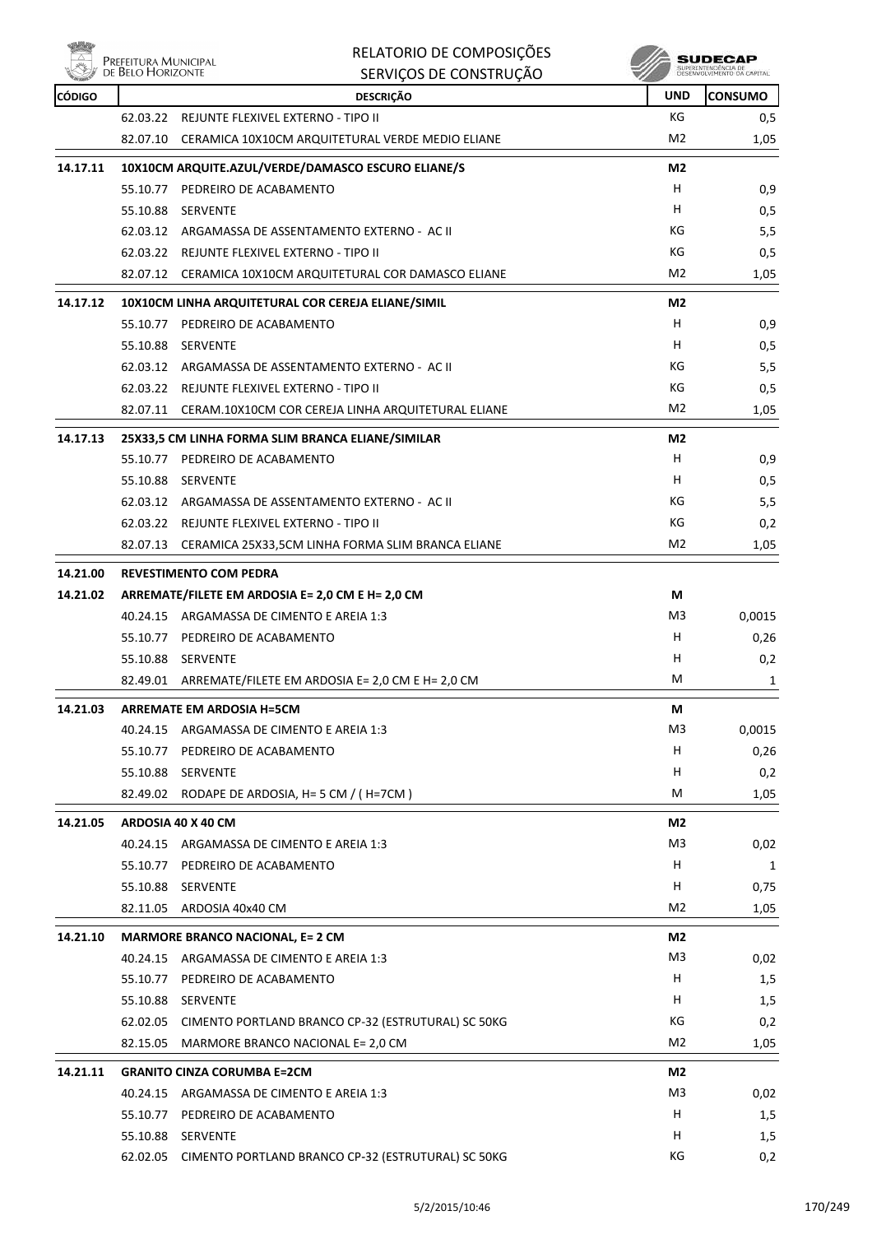

| $\wedge$ |                                           | RELATORIO DE COMPOSIÇÕES                                    |                | <b>SUDECAP</b>                                    |
|----------|-------------------------------------------|-------------------------------------------------------------|----------------|---------------------------------------------------|
|          | Prefeitura Municipal<br>de Belo Horizonte | SERVIÇOS DE CONSTRUÇÃO                                      |                | SUPERINTENDÊNCIA DE<br>DESENVOLVIMENTO DA CAPITAL |
| CÓDIGO   |                                           | <b>DESCRICÃO</b>                                            | <b>UND</b>     | <b>CONSUMO</b>                                    |
|          |                                           | 62.03.22 REJUNTE FLEXIVEL EXTERNO - TIPO II                 | КG             | 0,5                                               |
|          |                                           | 82.07.10 CERAMICA 10X10CM ARQUITETURAL VERDE MEDIO ELIANE   | M <sub>2</sub> | 1,05                                              |
| 14.17.11 |                                           | 10X10CM ARQUITE.AZUL/VERDE/DAMASCO ESCURO ELIANE/S          | M2             |                                                   |
|          |                                           | 55.10.77 PEDREIRO DE ACABAMENTO                             | H              | 0,9                                               |
|          | 55.10.88                                  | SERVENTE                                                    | н              | 0,5                                               |
|          |                                           | 62.03.12 ARGAMASSA DE ASSENTAMENTO EXTERNO - AC II          | КG             | 5,5                                               |
|          |                                           | 62.03.22 REJUNTE FLEXIVEL EXTERNO - TIPO II                 | КG             | 0,5                                               |
|          |                                           | 82.07.12 CERAMICA 10X10CM ARQUITETURAL COR DAMASCO ELIANE   | M2             | 1,05                                              |
| 14.17.12 |                                           | 10X10CM LINHA ARQUITETURAL COR CEREJA ELIANE/SIMIL          | M2             |                                                   |
|          |                                           | 55.10.77 PEDREIRO DE ACABAMENTO                             | H              | 0,9                                               |
|          | 55.10.88                                  | SERVENTE                                                    | н              | 0,5                                               |
|          |                                           | 62.03.12 ARGAMASSA DE ASSENTAMENTO EXTERNO - AC II          | КG             | 5,5                                               |
|          |                                           | 62.03.22 REJUNTE FLEXIVEL EXTERNO - TIPO II                 | КG             | 0,5                                               |
|          |                                           | 82.07.11 CERAM.10X10CM COR CEREJA LINHA ARQUITETURAL ELIANE | M2             | 1,05                                              |
| 14.17.13 |                                           | 25X33,5 CM LINHA FORMA SLIM BRANCA ELIANE/SIMILAR           | M2             |                                                   |
|          |                                           | 55.10.77 PEDREIRO DE ACABAMENTO                             | н              | 0,9                                               |
|          | 55.10.88 SERVENTE                         |                                                             | H              | 0,5                                               |
|          |                                           | 62.03.12 ARGAMASSA DE ASSENTAMENTO EXTERNO - AC II          | КG             | 5,5                                               |
|          |                                           | 62.03.22 REJUNTE FLEXIVEL EXTERNO - TIPO II                 | КG             | 0,2                                               |
|          |                                           | 82.07.13 CERAMICA 25X33,5CM LINHA FORMA SLIM BRANCA ELIANE  | M <sub>2</sub> | 1,05                                              |
|          |                                           |                                                             |                |                                                   |
| 14.21.00 |                                           | <b>REVESTIMENTO COM PEDRA</b>                               |                |                                                   |
| 14.21.02 |                                           | ARREMATE/FILETE EM ARDOSIA E= 2,0 CM E H= 2,0 CM            | М              |                                                   |
|          |                                           | 40.24.15 ARGAMASSA DE CIMENTO E AREIA 1:3                   | M3             | 0,0015                                            |
|          |                                           | 55.10.77 PEDREIRO DE ACABAMENTO                             | H              | 0,26                                              |
|          | 55.10.88 SERVENTE                         |                                                             | н              | 0,2                                               |
|          | 82.49.01                                  | ARREMATE/FILETE EM ARDOSIA E= 2,0 CM E H= 2,0 CM            | M              | 1                                                 |
| 14.21.03 |                                           | <b>ARREMATE EM ARDOSIA H=5CM</b>                            | M              |                                                   |
|          | 40.24.15                                  | ARGAMASSA DE CIMENTO E AREIA 1:3                            | M3             | 0,0015                                            |
|          | 55.10.77                                  | PEDREIRO DE ACABAMENTO                                      | Н              | 0,26                                              |
|          | 55.10.88 SERVENTE                         |                                                             | н              | 0,2                                               |
|          |                                           | 82.49.02 RODAPE DE ARDOSIA, H= 5 CM / (H=7CM)               | М              | 1,05                                              |
| 14.21.05 | ARDOSIA 40 X 40 CM                        |                                                             | M2             |                                                   |
|          |                                           | 40.24.15 ARGAMASSA DE CIMENTO E AREIA 1:3                   | M3             | 0,02                                              |
|          | 55.10.77                                  | PEDREIRO DE ACABAMENTO                                      | H              | 1                                                 |
|          | 55.10.88                                  | SERVENTE                                                    | н              | 0,75                                              |
|          |                                           | 82.11.05 ARDOSIA 40x40 CM                                   | M2             | 1,05                                              |
| 14.21.10 |                                           | <b>MARMORE BRANCO NACIONAL, E= 2 CM</b>                     | M2             |                                                   |
|          |                                           | 40.24.15 ARGAMASSA DE CIMENTO E AREIA 1:3                   | M <sub>3</sub> | 0,02                                              |
|          |                                           | 55.10.77 PEDREIRO DE ACABAMENTO                             | Н              | 1,5                                               |
|          | 55.10.88 SERVENTE                         |                                                             | н              | 1,5                                               |
|          |                                           | 62.02.05 CIMENTO PORTLAND BRANCO CP-32 (ESTRUTURAL) SC 50KG | КG             | 0,2                                               |
|          | 82.15.05                                  | MARMORE BRANCO NACIONAL E= 2,0 CM                           | M2             | 1,05                                              |
| 14.21.11 |                                           | <b>GRANITO CINZA CORUMBA E=2CM</b>                          | M2             |                                                   |
|          | 40.24.15                                  | ARGAMASSA DE CIMENTO E AREIA 1:3                            | M3             | 0,02                                              |
|          |                                           |                                                             |                |                                                   |

55.10.77 PEDREIRO DE ACABAMENTO **H** 1,5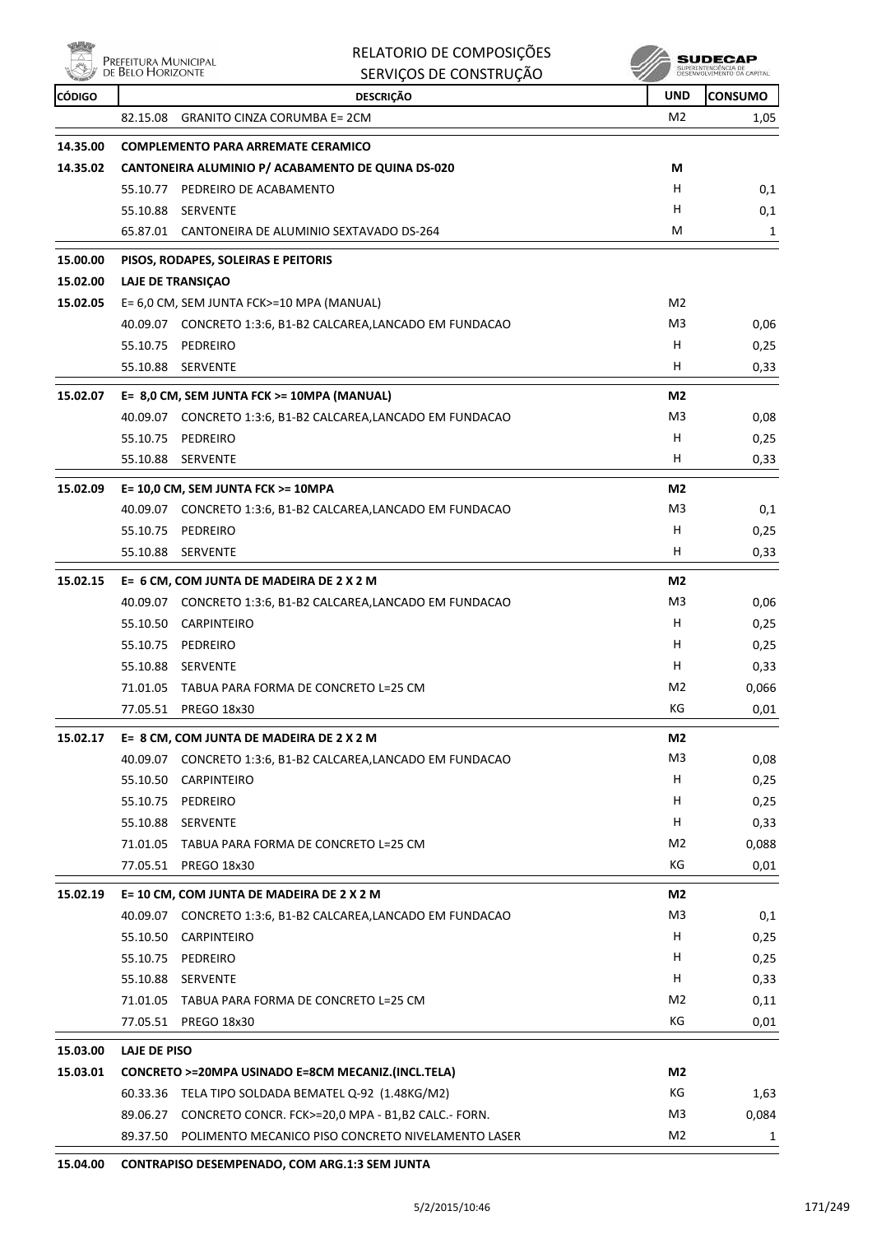

| Nia,          |                                           | RELATORIO DE COMPOSIÇÕES                                     |                | SUDECAP                                           |
|---------------|-------------------------------------------|--------------------------------------------------------------|----------------|---------------------------------------------------|
|               | Prefeitura Municipal<br>de Belo Horizonte | SERVIÇOS DE CONSTRUÇÃO                                       |                | SUPERINTENDÊNCIA DE<br>DESENVOLVIMENTO DA CAPITAL |
| <b>CÓDIGO</b> |                                           | <b>DESCRIÇÃO</b>                                             | <b>UND</b>     | <b>CONSUMO</b>                                    |
|               | 82.15.08                                  | <b>GRANITO CINZA CORUMBA E= 2CM</b>                          | M <sub>2</sub> | 1,05                                              |
| 14.35.00      |                                           | <b>COMPLEMENTO PARA ARREMATE CERAMICO</b>                    |                |                                                   |
| 14.35.02      |                                           | CANTONEIRA ALUMINIO P/ ACABAMENTO DE QUINA DS-020            | М              |                                                   |
|               |                                           | 55.10.77 PEDREIRO DE ACABAMENTO                              | H              | 0,1                                               |
|               | 55.10.88                                  | SERVENTE                                                     | н              | 0,1                                               |
|               | 65.87.01                                  | CANTONEIRA DE ALUMINIO SEXTAVADO DS-264                      | м              | 1                                                 |
| 15.00.00      |                                           | PISOS, RODAPES, SOLEIRAS E PEITORIS                          |                |                                                   |
| 15.02.00      |                                           | <b>LAJE DE TRANSIÇAO</b>                                     |                |                                                   |
| 15.02.05      |                                           | E= 6,0 CM, SEM JUNTA FCK>=10 MPA (MANUAL)                    | M <sub>2</sub> |                                                   |
|               |                                           | 40.09.07 CONCRETO 1:3:6, B1-B2 CALCAREA, LANCADO EM FUNDACAO | M3             | 0,06                                              |
|               | 55.10.75                                  | PEDREIRO                                                     | Н              | 0,25                                              |
|               |                                           | 55.10.88 SERVENTE                                            | н              | 0,33                                              |
| 15.02.07      |                                           | E= 8,0 CM, SEM JUNTA FCK >= 10MPA (MANUAL)                   | M <sub>2</sub> |                                                   |
|               |                                           | 40.09.07 CONCRETO 1:3:6, B1-B2 CALCAREA,LANCADO EM FUNDACAO  | M3             | 0,08                                              |
|               | 55.10.75                                  | PEDREIRO                                                     | н              | 0,25                                              |
|               |                                           | 55.10.88 SERVENTE                                            | н              | 0,33                                              |
|               |                                           |                                                              |                |                                                   |
| 15.02.09      |                                           | E= 10,0 CM, SEM JUNTA FCK >= 10MPA                           | M <sub>2</sub> |                                                   |
|               |                                           | 40.09.07 CONCRETO 1:3:6, B1-B2 CALCAREA, LANCADO EM FUNDACAO | M3             | 0,1                                               |
|               | 55.10.75                                  | PEDREIRO                                                     | H              | 0,25                                              |
|               | 55.10.88                                  | <b>SERVENTE</b>                                              | H              | 0,33                                              |
| 15.02.15      |                                           | E= 6 CM, COM JUNTA DE MADEIRA DE 2 X 2 M                     | M <sub>2</sub> |                                                   |
|               |                                           | 40.09.07 CONCRETO 1:3:6, B1-B2 CALCAREA,LANCADO EM FUNDACAO  | M3             | 0,06                                              |
|               | 55.10.50                                  | CARPINTEIRO                                                  | H              | 0,25                                              |
|               | 55.10.75                                  | PEDREIRO                                                     | H              | 0,25                                              |
|               | 55.10.88                                  | SERVENTE                                                     | н              | 0,33                                              |
|               |                                           | 71.01.05 TABUA PARA FORMA DE CONCRETO L=25 CM                | M2             | 0,066                                             |
|               | 77.05.51                                  | PREGO 18x30                                                  | КG             | 0,01                                              |
| 15.02.17      |                                           | E= 8 CM, COM JUNTA DE MADEIRA DE 2 X 2 M                     | M <sub>2</sub> |                                                   |
|               | 40.09.07                                  | CONCRETO 1:3:6, B1-B2 CALCAREA,LANCADO EM FUNDACAO           | M3             | 0,08                                              |
|               | 55.10.50                                  | CARPINTEIRO                                                  | H              | 0,25                                              |
|               | 55.10.75                                  | PEDREIRO                                                     | H              | 0,25                                              |
|               |                                           | 55.10.88 SERVENTE                                            | H              | 0,33                                              |
|               | 71.01.05                                  | TABUA PARA FORMA DE CONCRETO L=25 CM                         | M <sub>2</sub> | 0,088                                             |
|               | 77.05.51                                  | PREGO 18x30                                                  | КG             | 0,01                                              |
| 15.02.19      |                                           | E= 10 CM, COM JUNTA DE MADEIRA DE 2 X 2 M                    | M2             |                                                   |
|               |                                           | 40.09.07 CONCRETO 1:3:6, B1-B2 CALCAREA, LANCADO EM FUNDACAO | M3             | 0,1                                               |
|               |                                           | 55.10.50 CARPINTEIRO                                         | H              | 0,25                                              |
|               | 55.10.75                                  | PEDREIRO                                                     | H              | 0,25                                              |
|               |                                           | 55.10.88 SERVENTE                                            | H              | 0,33                                              |
|               |                                           | 71.01.05 TABUA PARA FORMA DE CONCRETO L=25 CM                | M <sub>2</sub> | 0,11                                              |
|               | 77.05.51                                  | PREGO 18x30                                                  | КG             | 0,01                                              |
| 15.03.00      | <b>LAJE DE PISO</b>                       |                                                              |                |                                                   |
| 15.03.01      |                                           | CONCRETO >=20MPA USINADO E=8CM MECANIZ.(INCL.TELA)           | M2             |                                                   |
|               | 60.33.36                                  | TELA TIPO SOLDADA BEMATEL Q-92 (1.48KG/M2)                   | КG             | 1,63                                              |
|               |                                           | 89.06.27 CONCRETO CONCR. FCK>=20,0 MPA - B1,B2 CALC.- FORN.  | M3             | 0,084                                             |
|               |                                           | 89.37.50 POLIMENTO MECANICO PISO CONCRETO NIVELAMENTO LASER  | M2             | 1                                                 |
|               |                                           |                                                              |                |                                                   |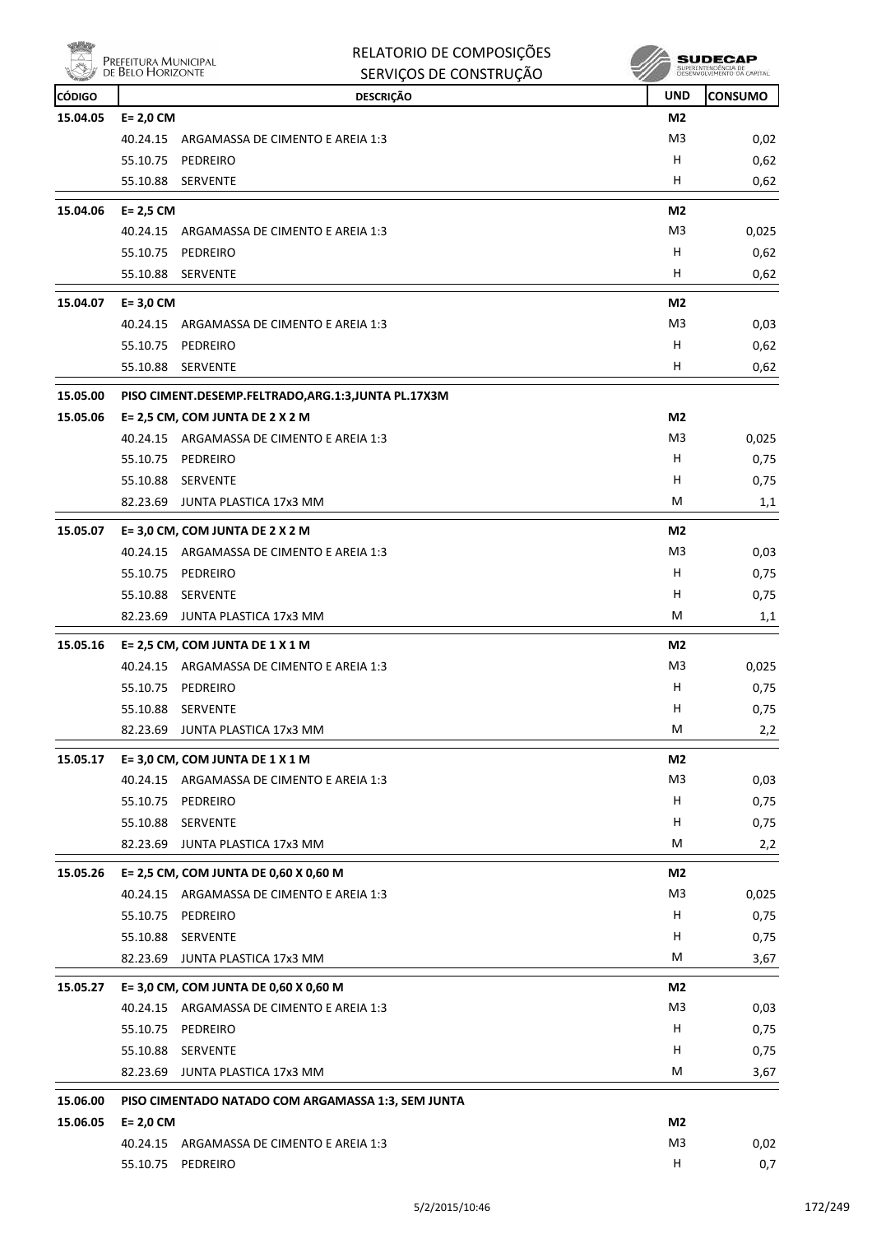

| Ning          | Prefeitura Municipal<br>de Belo Horizonte | RELATORIO DE COMPOSIÇÕES                                       |                | SUDECAP<br>SUPERINTENDÊNCIA DE<br>DESENVOLVIMENTO DA CAPITAL |
|---------------|-------------------------------------------|----------------------------------------------------------------|----------------|--------------------------------------------------------------|
|               |                                           | SERVIÇOS DE CONSTRUÇÃO                                         |                |                                                              |
| <b>CÓDIGO</b> |                                           | <b>DESCRIÇÃO</b>                                               | <b>UND</b>     | CONSUMO                                                      |
| 15.04.05      | $E = 2,0$ CM                              |                                                                | M <sub>2</sub> |                                                              |
|               | 40.24.15                                  | ARGAMASSA DE CIMENTO E AREIA 1:3                               | M3<br>н        | 0,02                                                         |
|               | 55.10.75<br>55.10.88                      | PEDREIRO<br><b>SERVENTE</b>                                    | н              | 0,62                                                         |
|               |                                           |                                                                |                | 0,62                                                         |
| 15.04.06      | $E = 2,5$ CM                              |                                                                | M2             |                                                              |
|               | 40.24.15                                  | ARGAMASSA DE CIMENTO E AREIA 1:3                               | M3             | 0,025                                                        |
|               | 55.10.75                                  | PEDREIRO                                                       | н              | 0,62                                                         |
|               | 55.10.88                                  | <b>SERVENTE</b>                                                | н              | 0,62                                                         |
| 15.04.07      | $E = 3,0$ CM                              |                                                                | M <sub>2</sub> |                                                              |
|               | 40.24.15                                  | ARGAMASSA DE CIMENTO E AREIA 1:3                               | M3             | 0,03                                                         |
|               | 55.10.75                                  | PEDREIRO                                                       | н              | 0,62                                                         |
|               | 55.10.88                                  | <b>SERVENTE</b>                                                | н              | 0,62                                                         |
| 15.05.00      |                                           | PISO CIMENT.DESEMP.FELTRADO,ARG.1:3,JUNTA PL.17X3M             |                |                                                              |
| 15.05.06      |                                           | E= 2,5 CM, COM JUNTA DE 2 X 2 M                                | M2             |                                                              |
|               |                                           | 40.24.15 ARGAMASSA DE CIMENTO E AREIA 1:3                      | M3             | 0,025                                                        |
|               | 55.10.75                                  | PEDREIRO                                                       | н              | 0,75                                                         |
|               | 55.10.88                                  | SERVENTE                                                       | н              | 0,75                                                         |
|               | 82.23.69                                  | JUNTA PLASTICA 17x3 MM                                         | м              | 1,1                                                          |
| 15.05.07      |                                           | E= 3,0 CM, COM JUNTA DE 2 X 2 M                                | M2             |                                                              |
|               | 40.24.15                                  | ARGAMASSA DE CIMENTO E AREIA 1:3                               | M3             | 0,03                                                         |
|               | 55.10.75                                  | PEDREIRO                                                       | н              | 0,75                                                         |
|               | 55.10.88                                  | <b>SERVENTE</b>                                                | н              | 0,75                                                         |
|               |                                           | 82.23.69 JUNTA PLASTICA 17x3 MM                                | М              | 1,1                                                          |
| 15.05.16      |                                           | E= 2,5 CM, COM JUNTA DE 1 X 1 M                                | M2             |                                                              |
|               | 40.24.15                                  | ARGAMASSA DE CIMENTO E AREIA 1:3                               | M3             | 0,025                                                        |
|               | 55.10.75                                  | PEDREIRO                                                       | н              | 0,75                                                         |
|               |                                           | 55.10.88 SERVENTE                                              | н              | 0,75                                                         |
|               |                                           | 82.23.69 JUNTA PLASTICA 17x3 MM                                | M              | 2,2                                                          |
| 15.05.17      |                                           | E= 3,0 CM, COM JUNTA DE 1 X 1 M                                | M <sub>2</sub> |                                                              |
|               |                                           | 40.24.15 ARGAMASSA DE CIMENTO E AREIA 1:3                      | M3             | 0,03                                                         |
|               |                                           | 55.10.75 PEDREIRO                                              | н              | 0,75                                                         |
|               |                                           | 55.10.88 SERVENTE                                              | H              | 0,75                                                         |
|               |                                           | 82.23.69 JUNTA PLASTICA 17x3 MM                                | М              | 2,2                                                          |
|               |                                           |                                                                |                |                                                              |
| 15.05.26      |                                           | E= 2,5 CM, COM JUNTA DE 0,60 X 0,60 M                          | M2<br>M3       |                                                              |
|               |                                           | 40.24.15 ARGAMASSA DE CIMENTO E AREIA 1:3<br>55.10.75 PEDREIRO | H              | 0,025<br>0,75                                                |
|               |                                           | 55.10.88 SERVENTE                                              | H              | 0,75                                                         |
|               |                                           | 82.23.69 JUNTA PLASTICA 17x3 MM                                | М              | 3,67                                                         |
|               |                                           |                                                                |                |                                                              |
| 15.05.27      |                                           | E= 3,0 CM, COM JUNTA DE 0,60 X 0,60 M                          | M2             |                                                              |
|               |                                           | 40.24.15 ARGAMASSA DE CIMENTO E AREIA 1:3                      | M <sub>3</sub> | 0,03                                                         |
|               |                                           | 55.10.75 PEDREIRO                                              | H.             | 0,75                                                         |
|               |                                           | 55.10.88 SERVENTE                                              | н              | 0,75                                                         |
|               |                                           | 82.23.69 JUNTA PLASTICA 17x3 MM                                | M              | 3,67                                                         |
| 15.06.00      |                                           | PISO CIMENTADO NATADO COM ARGAMASSA 1:3, SEM JUNTA             |                |                                                              |
| 15.06.05      | $E = 2,0$ CM                              |                                                                | M2             |                                                              |
|               |                                           | 40.24.15 ARGAMASSA DE CIMENTO E AREIA 1:3                      | M <sub>3</sub> | 0,02                                                         |
|               |                                           | 55.10.75 PEDREIRO                                              | н              | 0,7                                                          |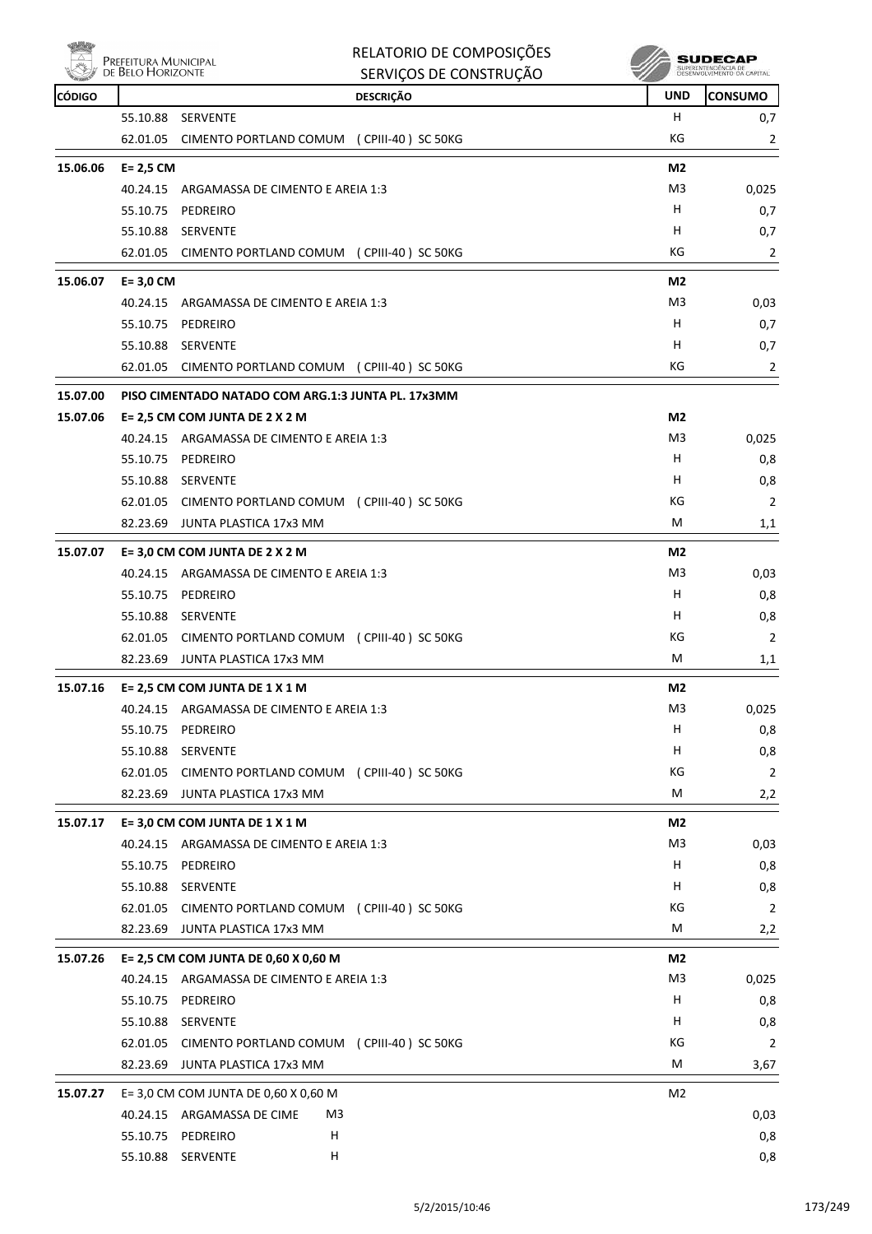

| RELATORIO DE COMPOSIÇÕES |  |
|--------------------------|--|
| SERVICOS DE CONSTRUÇÃO   |  |

| <b>Committee</b><br><b>CÓDIGO</b> |              | טהעטוונטוטט טבעעוויט<br><b>DESCRIÇÃO</b>           | ×.<br><b>UND</b> | <b>CONSUMO</b> |
|-----------------------------------|--------------|----------------------------------------------------|------------------|----------------|
|                                   | 55.10.88     | SERVENTE                                           | H                | 0,7            |
|                                   | 62.01.05     | CIMENTO PORTLAND COMUM (CPIII-40) SC 50KG          | КG               | $\overline{2}$ |
| 15.06.06                          | $E = 2,5$ CM |                                                    | M <sub>2</sub>   |                |
|                                   |              | 40.24.15 ARGAMASSA DE CIMENTO E AREIA 1:3          | M3               | 0,025          |
|                                   | 55.10.75     | PEDREIRO                                           | H                | 0,7            |
|                                   | 55.10.88     | <b>SERVENTE</b>                                    | н                | 0,7            |
|                                   |              | 62.01.05 CIMENTO PORTLAND COMUM (CPIII-40) SC 50KG | КG               | $\overline{2}$ |
| 15.06.07                          | $E = 3,0$ CM |                                                    | M <sub>2</sub>   |                |
|                                   |              | 40.24.15 ARGAMASSA DE CIMENTO E AREIA 1:3          | M <sub>3</sub>   | 0,03           |
|                                   |              | 55.10.75 PEDREIRO                                  | H                | 0,7            |
|                                   | 55.10.88     | <b>SERVENTE</b>                                    | н                | 0,7            |
|                                   |              | 62.01.05 CIMENTO PORTLAND COMUM (CPIII-40) SC 50KG | КG               | $\overline{2}$ |
| 15.07.00                          |              | PISO CIMENTADO NATADO COM ARG.1:3 JUNTA PL. 17x3MM |                  |                |
| 15.07.06                          |              | E= 2,5 CM COM JUNTA DE 2 X 2 M                     | M2               |                |
|                                   |              | 40.24.15 ARGAMASSA DE CIMENTO E AREIA 1:3          | M3               | 0,025          |
|                                   |              | 55.10.75 PEDREIRO                                  | H.               | 0,8            |
|                                   |              | 55.10.88 SERVENTE                                  | H                | 0,8            |
|                                   |              | 62.01.05 CIMENTO PORTLAND COMUM (CPIII-40) SC 50KG | КG               | $\overline{2}$ |
|                                   |              | 82.23.69 JUNTA PLASTICA 17x3 MM                    | М                | 1,1            |
| 15.07.07                          |              | E= 3,0 CM COM JUNTA DE 2 X 2 M                     | M <sub>2</sub>   |                |
|                                   |              | 40.24.15 ARGAMASSA DE CIMENTO E AREIA 1:3          | M3               | 0,03           |
|                                   |              | 55.10.75 PEDREIRO                                  | H                | 0,8            |
|                                   |              | 55.10.88 SERVENTE                                  | H.               | 0,8            |
|                                   |              | 62.01.05 CIMENTO PORTLAND COMUM (CPIII-40) SC 50KG | КG               | $\overline{2}$ |
|                                   | 82.23.69     | JUNTA PLASTICA 17x3 MM                             | М                | 1,1            |
| 15.07.16                          |              | E= 2,5 CM COM JUNTA DE 1 X 1 M                     | M <sub>2</sub>   |                |
|                                   |              | 40.24.15 ARGAMASSA DE CIMENTO E AREIA 1:3          | M <sub>3</sub>   | 0,025          |
|                                   |              | 55.10.75 PEDREIRO                                  | н                | 0,8            |
|                                   |              | 55.10.88 SERVENTE                                  | H                | 0,8            |
|                                   | 62.01.05     | CIMENTO PORTLAND COMUM (CPIII-40) SC 50KG          | KG               | $\overline{2}$ |
|                                   | 82.23.69     | JUNTA PLASTICA 17x3 MM                             | М                | 2,2            |
| 15.07.17                          |              | E= 3,0 CM COM JUNTA DE 1 X 1 M                     | M2               |                |
|                                   |              | 40.24.15 ARGAMASSA DE CIMENTO E AREIA 1:3          | M3               | 0,03           |
|                                   |              | 55.10.75 PEDREIRO                                  | н                | 0,8            |
|                                   | 55.10.88     | SERVENTE                                           | H                | 0,8            |
|                                   | 62.01.05     | CIMENTO PORTLAND COMUM (CPIII-40) SC 50KG          | КG               | $\overline{2}$ |
|                                   |              | 82.23.69 JUNTA PLASTICA 17x3 MM                    | M                | 2,2            |
| 15.07.26                          |              | E= 2,5 CM COM JUNTA DE 0,60 X 0,60 M               | M2               |                |
|                                   |              | 40.24.15 ARGAMASSA DE CIMENTO E AREIA 1:3          | M <sub>3</sub>   | 0,025          |
|                                   |              | 55.10.75 PEDREIRO                                  | H                | 0,8            |
|                                   | 55.10.88     | SERVENTE                                           | H                | 0,8            |
|                                   |              | 62.01.05 CIMENTO PORTLAND COMUM (CPIII-40) SC 50KG | КG               | $\overline{2}$ |
|                                   |              | 82.23.69 JUNTA PLASTICA 17x3 MM                    | М                | 3,67           |
| 15.07.27                          |              | E= 3,0 CM COM JUNTA DE 0,60 X 0,60 M               | M2               |                |
|                                   |              | M3<br>40.24.15 ARGAMASSA DE CIME                   |                  | 0,03           |
|                                   | 55.10.75     | PEDREIRO<br>H                                      |                  | 0,8            |
|                                   |              | н<br>55.10.88 SERVENTE                             |                  | 0,8            |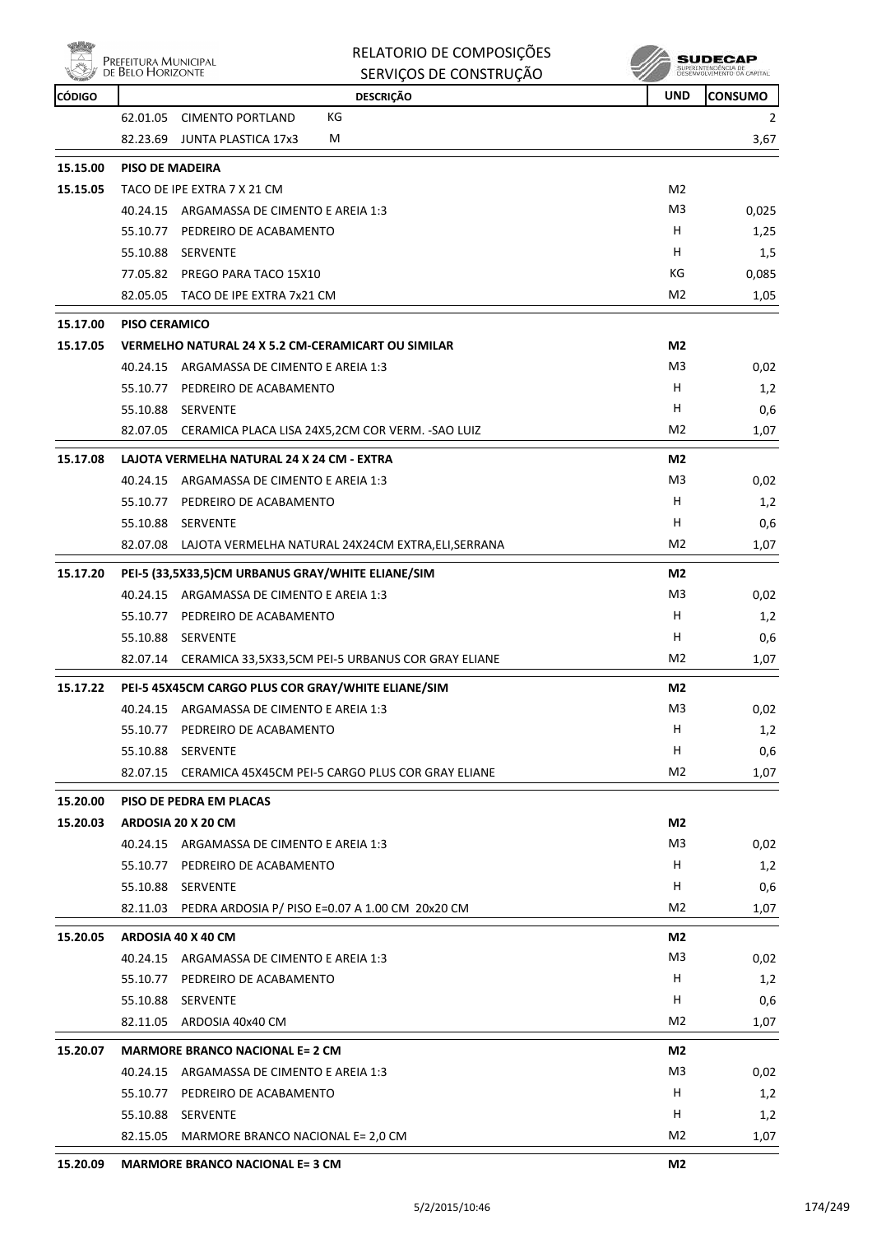

| RELATORIO DE COMPOSIÇÕES |
|--------------------------|
| SERVICOS DE CONSTRUÇÃO   |

| <b>CÓDIGO</b> |                                                    | <b>DESCRIÇÃO</b>                                             | <b>UND</b>     | <b>CONSUMO</b> |  |  |  |  |
|---------------|----------------------------------------------------|--------------------------------------------------------------|----------------|----------------|--|--|--|--|
|               | 62.01.05 CIMENTO PORTLAND                          | КG                                                           |                | 2              |  |  |  |  |
|               | 82.23.69                                           | М<br>JUNTA PLASTICA 17x3                                     |                | 3,67           |  |  |  |  |
| 15.15.00      | <b>PISO DE MADEIRA</b>                             |                                                              |                |                |  |  |  |  |
| 15.15.05      | TACO DE IPE EXTRA 7 X 21 CM                        |                                                              |                |                |  |  |  |  |
|               |                                                    | 40.24.15 ARGAMASSA DE CIMENTO E AREIA 1:3                    | M3             | 0,025          |  |  |  |  |
|               |                                                    | 55.10.77 PEDREIRO DE ACABAMENTO                              | H              | 1,25           |  |  |  |  |
|               | 55.10.88 SERVENTE                                  |                                                              | н              | 1,5            |  |  |  |  |
|               |                                                    | 77.05.82 PREGO PARA TACO 15X10                               | КG             | 0,085          |  |  |  |  |
|               |                                                    | 82.05.05 TACO DE IPE EXTRA 7x21 CM                           | M <sub>2</sub> | 1,05           |  |  |  |  |
| 15.17.00      | <b>PISO CERAMICO</b>                               |                                                              |                |                |  |  |  |  |
| 15.17.05      |                                                    | VERMELHO NATURAL 24 X 5.2 CM-CERAMICART OU SIMILAR           | M <sub>2</sub> |                |  |  |  |  |
|               |                                                    | 40.24.15 ARGAMASSA DE CIMENTO E AREIA 1:3                    | M3             | 0,02           |  |  |  |  |
|               |                                                    | 55.10.77 PEDREIRO DE ACABAMENTO                              | н              | 1,2            |  |  |  |  |
|               | 55.10.88 SERVENTE                                  |                                                              | н              | 0,6            |  |  |  |  |
|               |                                                    | 82.07.05 CERAMICA PLACA LISA 24X5,2CM COR VERM. - SAO LUIZ   | M2             | 1,07           |  |  |  |  |
| 15.17.08      |                                                    | LAJOTA VERMELHA NATURAL 24 X 24 CM - EXTRA                   | M <sub>2</sub> |                |  |  |  |  |
|               |                                                    | 40.24.15 ARGAMASSA DE CIMENTO E AREIA 1:3                    | M3             | 0,02           |  |  |  |  |
|               |                                                    | 55.10.77 PEDREIRO DE ACABAMENTO                              | н              | 1,2            |  |  |  |  |
|               | 55.10.88 SERVENTE                                  |                                                              | н              | 0,6            |  |  |  |  |
|               |                                                    | 82.07.08 LAJOTA VERMELHA NATURAL 24X24CM EXTRA, ELI, SERRANA | M2             | 1,07           |  |  |  |  |
| 15.17.20      | PEI-5 (33,5X33,5)CM URBANUS GRAY/WHITE ELIANE/SIM  |                                                              |                |                |  |  |  |  |
|               |                                                    | 40.24.15 ARGAMASSA DE CIMENTO E AREIA 1:3                    | M3             | 0,02           |  |  |  |  |
|               |                                                    | 55.10.77 PEDREIRO DE ACABAMENTO                              | н              | 1,2            |  |  |  |  |
|               | 55.10.88 SERVENTE                                  |                                                              | н              | 0,6            |  |  |  |  |
|               |                                                    | 82.07.14 CERAMICA 33,5X33,5CM PEI-5 URBANUS COR GRAY ELIANE  | M2             | 1,07           |  |  |  |  |
| 15.17.22      | PEI-5 45X45CM CARGO PLUS COR GRAY/WHITE ELIANE/SIM |                                                              |                |                |  |  |  |  |
|               |                                                    | 40.24.15 ARGAMASSA DE CIMENTO E AREIA 1:3                    | M3             | 0,02           |  |  |  |  |
|               |                                                    | 55.10.77 PEDREIRO DE ACABAMENTO                              | н              | 1,2            |  |  |  |  |
|               | 55.10.88 SERVENTE                                  |                                                              | н              | 0,6            |  |  |  |  |
|               | 82.07.15                                           | CERAMICA 45X45CM PEI-5 CARGO PLUS COR GRAY ELIANE            | M2             | 1,07           |  |  |  |  |
| 15.20.00      | PISO DE PEDRA EM PLACAS                            |                                                              |                |                |  |  |  |  |
| 15.20.03      | ARDOSIA 20 X 20 CM                                 |                                                              | M <sub>2</sub> |                |  |  |  |  |
|               |                                                    | 40.24.15 ARGAMASSA DE CIMENTO E AREIA 1:3                    | M <sub>3</sub> | 0,02           |  |  |  |  |
|               |                                                    | 55.10.77 PEDREIRO DE ACABAMENTO                              | H              | 1,2            |  |  |  |  |
|               | 55.10.88 SERVENTE                                  |                                                              | H              | 0,6            |  |  |  |  |
|               |                                                    | 82.11.03 PEDRA ARDOSIA P/ PISO E=0.07 A 1.00 CM 20x20 CM     | M <sub>2</sub> | 1,07           |  |  |  |  |
| 15.20.05      | ARDOSIA 40 X 40 CM                                 |                                                              | M2             |                |  |  |  |  |
|               |                                                    | 40.24.15 ARGAMASSA DE CIMENTO E AREIA 1:3                    | M3             | 0,02           |  |  |  |  |
|               |                                                    | 55.10.77 PEDREIRO DE ACABAMENTO                              | H              | 1,2            |  |  |  |  |
|               | 55.10.88 SERVENTE                                  |                                                              | H              | 0,6            |  |  |  |  |
|               | 82.11.05 ARDOSIA 40x40 CM                          |                                                              | M2             | 1,07           |  |  |  |  |
| 15.20.07      | <b>MARMORE BRANCO NACIONAL E= 2 CM</b>             |                                                              |                |                |  |  |  |  |
|               |                                                    | 40.24.15 ARGAMASSA DE CIMENTO E AREIA 1:3                    | M3             | 0,02           |  |  |  |  |
|               |                                                    | 55.10.77 PEDREIRO DE ACABAMENTO                              | H              | 1,2            |  |  |  |  |
|               | 55.10.88 SERVENTE                                  |                                                              | H              | 1,2            |  |  |  |  |
|               |                                                    | 82.15.05 MARMORE BRANCO NACIONAL E= 2,0 CM                   | M <sub>2</sub> | 1,07           |  |  |  |  |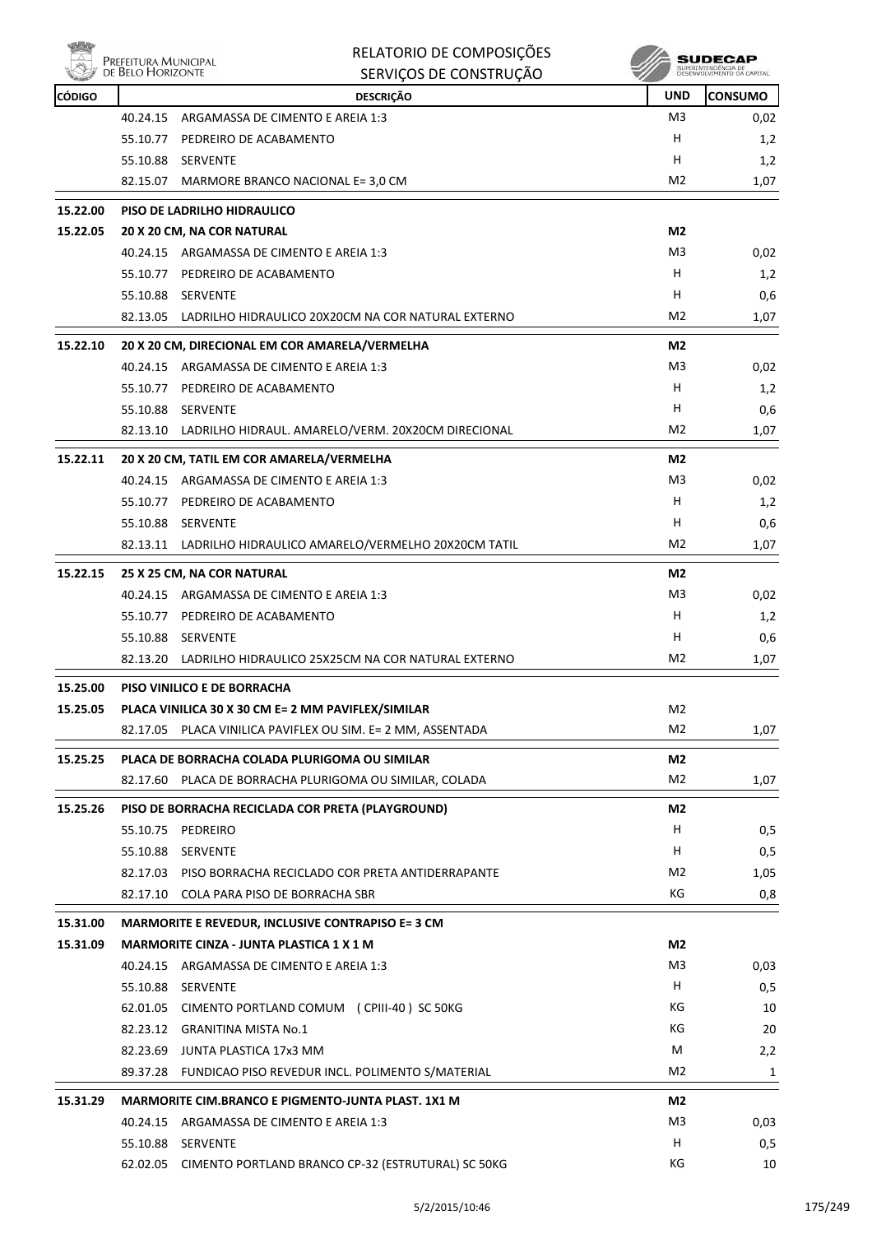|               | Prefeitura Municipal<br>de Belo Horizonte | RELATORIO DE COMPOSIÇÕES<br>SERVIÇOS DE CONSTRUÇÃO          |                | SUPERINTENDÊNCIA DE<br>DESENVOLVIMENTO DA CAPITAJ |
|---------------|-------------------------------------------|-------------------------------------------------------------|----------------|---------------------------------------------------|
| <b>CÓDIGO</b> |                                           | <b>DESCRIÇÃO</b>                                            | <b>UND</b>     | <b>CONSUMO</b>                                    |
|               | 40.24.15                                  | ARGAMASSA DE CIMENTO E AREIA 1:3                            | M3             | 0,02                                              |
|               |                                           | 55.10.77 PEDREIRO DE ACABAMENTO                             | H              | 1,2                                               |
|               | 55.10.88 SERVENTE                         |                                                             | H              | 1,2                                               |
|               |                                           | 82.15.07 MARMORE BRANCO NACIONAL E= 3,0 CM                  | M <sub>2</sub> | 1,07                                              |
| 15.22.00      |                                           | PISO DE LADRILHO HIDRAULICO                                 |                |                                                   |
| 15.22.05      |                                           | 20 X 20 CM, NA COR NATURAL                                  | M <sub>2</sub> |                                                   |
|               |                                           | 40.24.15 ARGAMASSA DE CIMENTO E AREIA 1:3                   | M3             | 0,02                                              |
|               |                                           | 55.10.77 PEDREIRO DE ACABAMENTO                             | н              | 1,2                                               |
|               | 55.10.88 SERVENTE                         |                                                             | н              | 0,6                                               |
|               |                                           | 82.13.05 LADRILHO HIDRAULICO 20X20CM NA COR NATURAL EXTERNO | M <sub>2</sub> | 1,07                                              |
| 15.22.10      |                                           | 20 X 20 CM, DIRECIONAL EM COR AMARELA/VERMELHA              | M2             |                                                   |
|               |                                           | 40.24.15 ARGAMASSA DE CIMENTO E AREIA 1:3                   | M <sub>3</sub> | 0,02                                              |
|               |                                           | 55.10.77 PEDREIRO DE ACABAMENTO                             | н              | 1,2                                               |
|               | 55.10.88 SERVENTE                         |                                                             | н              | 0,6                                               |
|               |                                           | 82.13.10 LADRILHO HIDRAUL. AMARELO/VERM. 20X20CM DIRECIONAL | M <sub>2</sub> | 1,07                                              |
| 15.22.11      |                                           | 20 X 20 CM, TATIL EM COR AMARELA/VERMELHA                   | M <sub>2</sub> |                                                   |
|               |                                           | 40.24.15 ARGAMASSA DE CIMENTO E AREIA 1:3                   | M <sub>3</sub> | 0,02                                              |
|               |                                           | 55.10.77 PEDREIRO DE ACABAMENTO                             | н              | 1,2                                               |
|               | 55.10.88 SERVENTE                         |                                                             | н              | 0,6                                               |
|               |                                           | 82.13.11 LADRILHO HIDRAULICO AMARELO/VERMELHO 20X20CM TATIL | M <sub>2</sub> | 1,07                                              |
| 15.22.15      |                                           | 25 X 25 CM, NA COR NATURAL                                  | M <sub>2</sub> |                                                   |
|               |                                           | 40.24.15 ARGAMASSA DE CIMENTO E AREIA 1:3                   | M3             | 0,02                                              |
|               |                                           | 55.10.77 PEDREIRO DE ACABAMENTO                             | н              | 1,2                                               |
|               | 55.10.88 SERVENTE                         |                                                             | н              | 0,6                                               |
|               |                                           | 82.13.20 LADRILHO HIDRAULICO 25X25CM NA COR NATURAL EXTERNO | M2             | 1,07                                              |
| 15.25.00      |                                           | PISO VINILICO E DE BORRACHA                                 |                |                                                   |
| 15.25.05      |                                           | PLACA VINILICA 30 X 30 CM E= 2 MM PAVIFLEX/SIMILAR          | M <sub>2</sub> |                                                   |
|               |                                           | 82.17.05 PLACA VINILICA PAVIFLEX OU SIM. E= 2 MM, ASSENTADA | M <sub>2</sub> | 1,07                                              |
| 15.25.25      |                                           | PLACA DE BORRACHA COLADA PLURIGOMA OU SIMILAR               | M2             |                                                   |
|               |                                           | 82.17.60 PLACA DE BORRACHA PLURIGOMA OU SIMILAR, COLADA     | M2             | 1,07                                              |
| 15.25.26      |                                           | PISO DE BORRACHA RECICLADA COR PRETA (PLAYGROUND)           | M2             |                                                   |
|               | 55.10.75 PEDREIRO                         |                                                             | H              | 0,5                                               |
|               | 55.10.88 SERVENTE                         |                                                             | н              | 0,5                                               |
|               |                                           | 82.17.03 PISO BORRACHA RECICLADO COR PRETA ANTIDERRAPANTE   | M2             | 1,05                                              |
|               |                                           | 82.17.10 COLA PARA PISO DE BORRACHA SBR                     | КG             | 0,8                                               |
| 15.31.00      |                                           | <b>MARMORITE E REVEDUR, INCLUSIVE CONTRAPISO E= 3 CM</b>    |                |                                                   |
| 15.31.09      |                                           | <b>MARMORITE CINZA - JUNTA PLASTICA 1 X 1 M</b>             | M2             |                                                   |
|               |                                           | 40.24.15 ARGAMASSA DE CIMENTO E AREIA 1:3                   | M3             | 0,03                                              |
|               | 55.10.88 SERVENTE                         |                                                             | H.             | 0,5                                               |
|               |                                           | 62.01.05 CIMENTO PORTLAND COMUM (CPIII-40) SC 50KG          | КG             | 10                                                |
|               |                                           | 82.23.12 GRANITINA MISTA No.1                               | КG             | 20                                                |
|               |                                           | 82.23.69 JUNTA PLASTICA 17x3 MM                             | м              | 2,2                                               |
|               |                                           | 89.37.28 FUNDICAO PISO REVEDUR INCL. POLIMENTO S/MATERIAL   | M2             | 1                                                 |
| 15.31.29      |                                           | MARMORITE CIM.BRANCO E PIGMENTO-JUNTA PLAST. 1X1 M          | M2             |                                                   |
|               |                                           | 40.24.15 ARGAMASSA DE CIMENTO E AREIA 1:3                   | M3             | 0,03                                              |
|               | 55.10.88 SERVENTE                         |                                                             | H              | 0,5                                               |
|               |                                           | 62.02.05 CIMENTO PORTLAND BRANCO CP-32 (ESTRUTURAL) SC 50KG | КG             | 10                                                |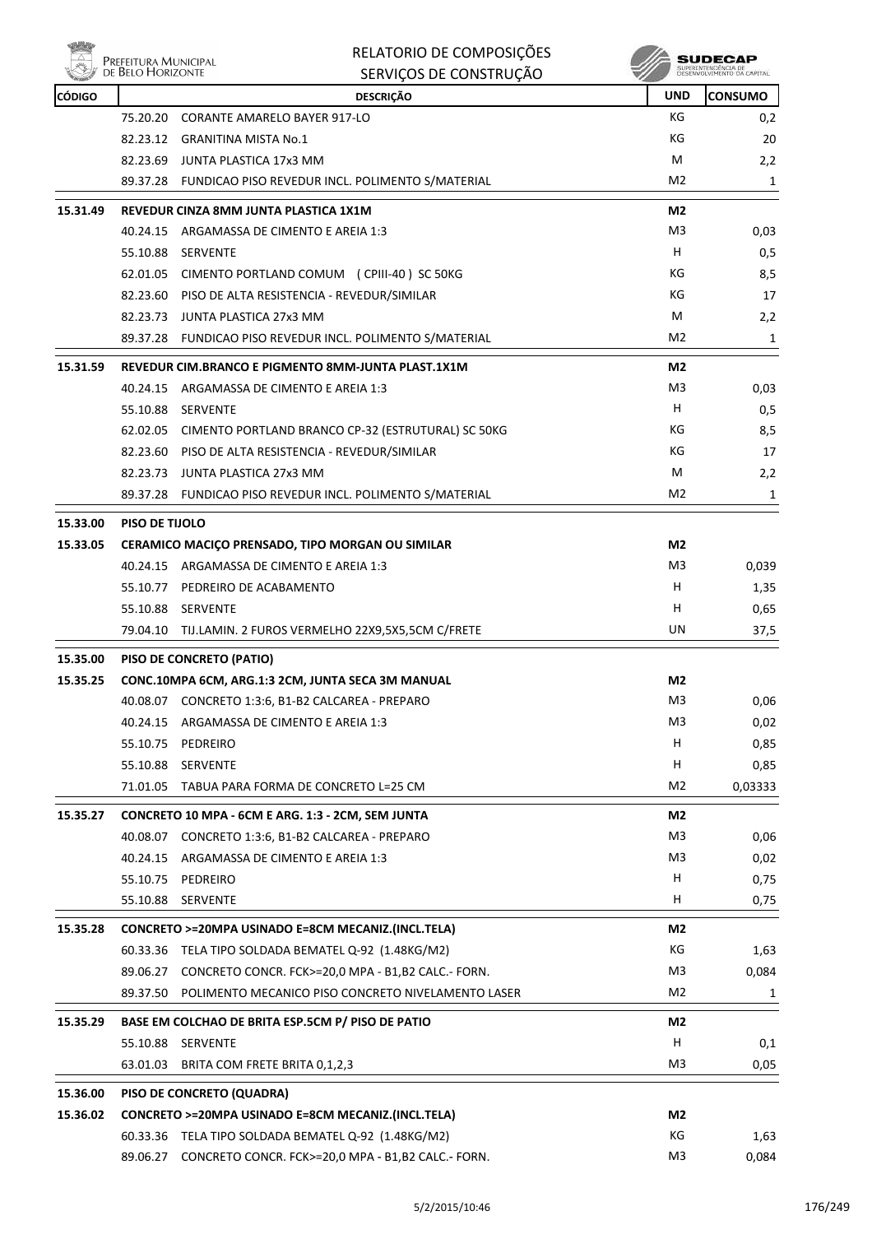

|               | Prefeitura Municipal<br>de Belo Horizonte | RELATORIO DE COMPOSIÇÕES                                    |                | SUDECAP             |  |
|---------------|-------------------------------------------|-------------------------------------------------------------|----------------|---------------------|--|
|               |                                           | SERVIÇOS DE CONSTRUÇÃO                                      |                | SUPERINTENDÊNCIA DE |  |
| <b>CÓDIGO</b> |                                           | <b>DESCRIÇÃO</b>                                            | <b>UND</b>     | <b>CONSUMO</b>      |  |
|               | 75.20.20                                  | <b>CORANTE AMARELO BAYER 917-LO</b>                         | КG             | 0,2                 |  |
|               |                                           | 82.23.12 GRANITINA MISTA No.1                               | КG             | 20                  |  |
|               | 82.23.69                                  | JUNTA PLASTICA 17x3 MM                                      | M              | 2,2                 |  |
|               |                                           | 89.37.28 FUNDICAO PISO REVEDUR INCL. POLIMENTO S/MATERIAL   | M <sub>2</sub> | 1                   |  |
| 15.31.49      |                                           | REVEDUR CINZA 8MM JUNTA PLASTICA 1X1M                       | M <sub>2</sub> |                     |  |
|               |                                           | 40.24.15 ARGAMASSA DE CIMENTO E AREIA 1:3                   | M <sub>3</sub> | 0,03                |  |
|               | 55.10.88                                  | SERVENTE                                                    | H              | 0,5                 |  |
|               | 62.01.05                                  | CIMENTO PORTLAND COMUM (CPIII-40) SC 50KG                   | КG             | 8,5                 |  |
|               |                                           | 82.23.60 PISO DE ALTA RESISTENCIA - REVEDUR/SIMILAR         | КG             | 17                  |  |
|               |                                           | 82.23.73 JUNTA PLASTICA 27x3 MM                             | M              | 2,2                 |  |
|               |                                           | 89.37.28 FUNDICAO PISO REVEDUR INCL. POLIMENTO S/MATERIAL   | M <sub>2</sub> | 1                   |  |
| 15.31.59      |                                           | <b>REVEDUR CIM.BRANCO E PIGMENTO 8MM-JUNTA PLAST.1X1M</b>   | M <sub>2</sub> |                     |  |
|               | 40.24.15                                  | ARGAMASSA DE CIMENTO E AREIA 1:3                            | M3             | 0,03                |  |
|               |                                           | 55.10.88 SERVENTE                                           | H              | 0,5                 |  |
|               |                                           | 62.02.05 CIMENTO PORTLAND BRANCO CP-32 (ESTRUTURAL) SC 50KG | КG             | 8,5                 |  |
|               |                                           | 82.23.60 PISO DE ALTA RESISTENCIA - REVEDUR/SIMILAR         | КG             | 17                  |  |
|               |                                           | 82.23.73 JUNTA PLASTICA 27x3 MM                             | M              | 2,2                 |  |
|               |                                           | 89.37.28 FUNDICAO PISO REVEDUR INCL. POLIMENTO S/MATERIAL   | M2             | 1                   |  |
| 15.33.00      | PISO DE TIJOLO                            |                                                             |                |                     |  |
| 15.33.05      |                                           | CERAMICO MACIÇO PRENSADO, TIPO MORGAN OU SIMILAR            | M <sub>2</sub> |                     |  |
|               |                                           | 40.24.15 ARGAMASSA DE CIMENTO E AREIA 1:3                   | M <sub>3</sub> | 0,039               |  |
|               |                                           | 55.10.77 PEDREIRO DE ACABAMENTO                             | н              | 1,35                |  |
|               |                                           | 55.10.88 SERVENTE                                           | н              | 0,65                |  |
|               |                                           | 79.04.10 TIJ.LAMIN. 2 FUROS VERMELHO 22X9,5X5,5CM C/FRETE   | UN             | 37,5                |  |
|               |                                           |                                                             |                |                     |  |
| 15.35.00      |                                           | PISO DE CONCRETO (PATIO)                                    |                |                     |  |
| 15.35.25      |                                           | CONC.10MPA 6CM, ARG.1:3 2CM, JUNTA SECA 3M MANUAL           | M2             |                     |  |
|               | 40.08.07                                  | CONCRETO 1:3:6, B1-B2 CALCAREA - PREPARO                    | M <sub>3</sub> | 0,06                |  |
|               | 40.24.15                                  | ARGAMASSA DE CIMENTO E AREIA 1:3                            | M3             | 0,02                |  |
|               |                                           | 55.10.75 PEDREIRO                                           | H              | 0,85                |  |
|               |                                           | 55.10.88 SERVENTE                                           | н              | 0,85                |  |
|               | 71.01.05                                  | TABUA PARA FORMA DE CONCRETO L=25 CM                        | M <sub>2</sub> | 0,03333             |  |
| 15.35.27      |                                           | CONCRETO 10 MPA - 6CM E ARG. 1:3 - 2CM, SEM JUNTA           | M2             |                     |  |
|               |                                           | 40.08.07 CONCRETO 1:3:6, B1-B2 CALCAREA - PREPARO           | M3             | 0,06                |  |
|               |                                           | 40.24.15 ARGAMASSA DE CIMENTO E AREIA 1:3                   | M3             | 0,02                |  |
|               | 55.10.75                                  | PEDREIRO                                                    | H              | 0,75                |  |
|               |                                           | 55.10.88 SERVENTE                                           | н              | 0,75                |  |
| 15.35.28      |                                           | CONCRETO >=20MPA USINADO E=8CM MECANIZ.(INCL.TELA)          | M2             |                     |  |
|               | 60.33.36                                  | TELA TIPO SOLDADA BEMATEL Q-92 (1.48KG/M2)                  | КG             | 1,63                |  |
|               |                                           | 89.06.27 CONCRETO CONCR. FCK>=20,0 MPA - B1,B2 CALC.- FORN. | M3             | 0,084               |  |
|               |                                           | 89.37.50 POLIMENTO MECANICO PISO CONCRETO NIVELAMENTO LASER | M2             | 1                   |  |
| 15.35.29      |                                           | BASE EM COLCHAO DE BRITA ESP.5CM P/ PISO DE PATIO           | M2             |                     |  |
|               |                                           | 55.10.88 SERVENTE                                           | н              | 0,1                 |  |
|               |                                           | 63.01.03 BRITA COM FRETE BRITA 0,1,2,3                      | M3             | 0,05                |  |
|               |                                           |                                                             |                |                     |  |
| 15.36.00      |                                           | PISO DE CONCRETO (QUADRA)                                   |                |                     |  |
| 15.36.02      |                                           | CONCRETO >=20MPA USINADO E=8CM MECANIZ.(INCL.TELA)          | M <sub>2</sub> |                     |  |
|               |                                           | 60.33.36 TELA TIPO SOLDADA BEMATEL Q-92 (1.48KG/M2)         | КG             | 1,63                |  |
|               |                                           | 89.06.27 CONCRETO CONCR. FCK>=20,0 MPA - B1,B2 CALC.- FORN. | M3             | 0,084               |  |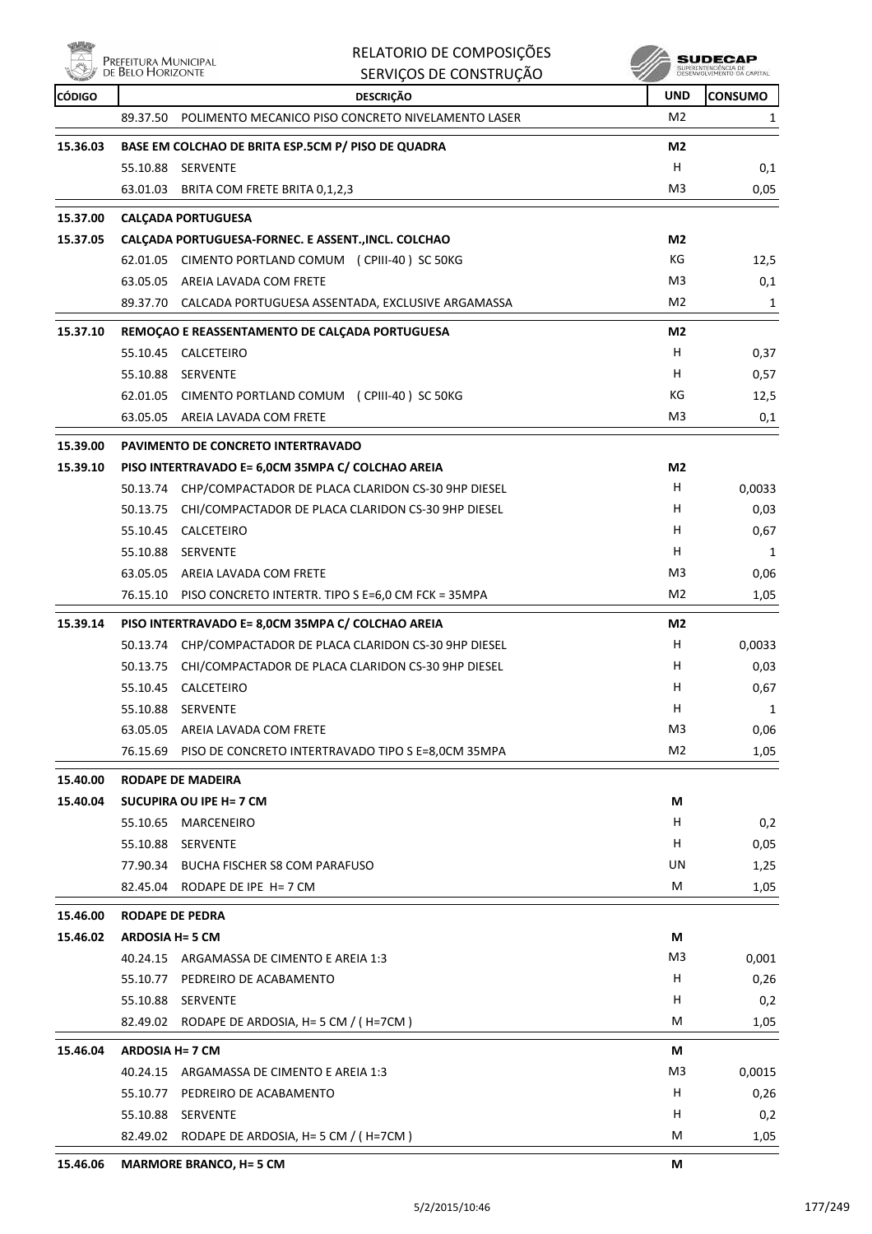|               | RELATORIO DE COMPOSIÇÕES<br>Prefeitura Municipal<br>de Belo Horizonte<br>SERVIÇOS DE CONSTRUÇÃO |                                                             |                | SUDECAI<br>SUPERINTENDENCIA DE<br>DESENVOLVIMENTO DA CAPITAL |  |
|---------------|-------------------------------------------------------------------------------------------------|-------------------------------------------------------------|----------------|--------------------------------------------------------------|--|
| <b>CÓDIGO</b> |                                                                                                 | <b>DESCRIÇÃO</b>                                            | <b>UND</b>     | <b>CONSUMO</b>                                               |  |
|               | 89.37.50                                                                                        | POLIMENTO MECANICO PISO CONCRETO NIVELAMENTO LASER          | M <sub>2</sub> | 1                                                            |  |
| 15.36.03      |                                                                                                 | BASE EM COLCHAO DE BRITA ESP.5CM P/ PISO DE QUADRA          | M <sub>2</sub> |                                                              |  |
|               |                                                                                                 | 55.10.88 SERVENTE                                           | H              | 0,1                                                          |  |
|               |                                                                                                 | 63.01.03 BRITA COM FRETE BRITA 0,1,2,3                      | M3             | 0,05                                                         |  |
| 15.37.00      |                                                                                                 | <b>CALCADA PORTUGUESA</b>                                   |                |                                                              |  |
| 15.37.05      |                                                                                                 | CALÇADA PORTUGUESA-FORNEC. E ASSENT., INCL. COLCHAO         | M <sub>2</sub> |                                                              |  |
|               |                                                                                                 | 62.01.05 CIMENTO PORTLAND COMUM (CPIII-40) SC 50KG          | КG             | 12,5                                                         |  |
|               |                                                                                                 | 63.05.05 AREIA LAVADA COM FRETE                             | M3             | 0,1                                                          |  |
|               |                                                                                                 | 89.37.70 CALCADA PORTUGUESA ASSENTADA, EXCLUSIVE ARGAMASSA  | M <sub>2</sub> | 1                                                            |  |
| 15.37.10      |                                                                                                 | REMOÇAO E REASSENTAMENTO DE CALÇADA PORTUGUESA              | M <sub>2</sub> |                                                              |  |
|               |                                                                                                 | 55.10.45 CALCETEIRO                                         | H              | 0,37                                                         |  |
|               |                                                                                                 | 55.10.88 SERVENTE                                           | H              | 0,57                                                         |  |
|               |                                                                                                 | 62.01.05 CIMENTO PORTLAND COMUM (CPIII-40) SC 50KG          | КG             | 12,5                                                         |  |
|               |                                                                                                 | 63.05.05 AREIA LAVADA COM FRETE                             | M3             | 0,1                                                          |  |
| 15.39.00      |                                                                                                 | PAVIMENTO DE CONCRETO INTERTRAVADO                          |                |                                                              |  |
| 15.39.10      |                                                                                                 | PISO INTERTRAVADO E= 6,0CM 35MPA C/ COLCHAO AREIA           | M <sub>2</sub> |                                                              |  |
|               | 50.13.74                                                                                        | CHP/COMPACTADOR DE PLACA CLARIDON CS-30 9HP DIESEL          | H.             | 0,0033                                                       |  |
|               |                                                                                                 | 50.13.75 CHI/COMPACTADOR DE PLACA CLARIDON CS-30 9HP DIESEL | н              | 0,03                                                         |  |
|               |                                                                                                 | 55.10.45 CALCETEIRO                                         | н              | 0,67                                                         |  |
|               |                                                                                                 | 55.10.88 SERVENTE                                           | H              | 1                                                            |  |
|               |                                                                                                 | 63.05.05 AREIA LAVADA COM FRETE                             | M3             | 0,06                                                         |  |
|               |                                                                                                 | 76.15.10 PISO CONCRETO INTERTR. TIPO S E=6,0 CM FCK = 35MPA | M2             | 1,05                                                         |  |
| 15.39.14      |                                                                                                 | PISO INTERTRAVADO E= 8,0CM 35MPA C/ COLCHAO AREIA           | M <sub>2</sub> |                                                              |  |
|               | 50.13.74                                                                                        | CHP/COMPACTADOR DE PLACA CLARIDON CS-30 9HP DIESEL          | H.             | 0,0033                                                       |  |
|               | 50.13.75                                                                                        | CHI/COMPACTADOR DE PLACA CLARIDON CS-30 9HP DIESEL          | H              | 0,03                                                         |  |
|               |                                                                                                 | 55.10.45 CALCETEIRO                                         | н              | 0,67                                                         |  |
|               |                                                                                                 | 55.10.88 SERVENTE                                           | н              | 1                                                            |  |
|               |                                                                                                 | 63.05.05 AREIA LAVADA COM FRETE                             | M3             | 0,06                                                         |  |
|               |                                                                                                 | 76.15.69 PISO DE CONCRETO INTERTRAVADO TIPO S E=8,0CM 35MPA | M <sub>2</sub> | 1,05                                                         |  |
| 15.40.00      |                                                                                                 | <b>RODAPE DE MADEIRA</b>                                    |                |                                                              |  |
| 15.40.04      |                                                                                                 | SUCUPIRA OU IPE H= 7 CM                                     | М              |                                                              |  |
|               | 55.10.65                                                                                        | MARCENEIRO                                                  | н              | 0,2                                                          |  |
|               |                                                                                                 | 55.10.88 SERVENTE                                           | H.             | 0,05                                                         |  |
|               |                                                                                                 | 77.90.34 BUCHA FISCHER S8 COM PARAFUSO                      | UN             | 1,25                                                         |  |
|               |                                                                                                 | 82.45.04 RODAPE DE IPE H= 7 CM                              | M              | 1,05                                                         |  |
| 15.46.00      |                                                                                                 | <b>RODAPE DE PEDRA</b>                                      |                |                                                              |  |
| 15.46.02      | <b>ARDOSIA H= 5 CM</b>                                                                          |                                                             | М              |                                                              |  |
|               |                                                                                                 | 40.24.15 ARGAMASSA DE CIMENTO E AREIA 1:3                   | M3             | 0,001                                                        |  |
|               |                                                                                                 | 55.10.77 PEDREIRO DE ACABAMENTO                             | H              | 0,26                                                         |  |
|               |                                                                                                 | 55.10.88 SERVENTE                                           | H              | 0,2                                                          |  |
|               |                                                                                                 | 82.49.02 RODAPE DE ARDOSIA, H= 5 CM / (H=7CM)               | м              | 1,05                                                         |  |
| 15.46.04      | <b>ARDOSIA H= 7 CM</b>                                                                          |                                                             | М              |                                                              |  |
|               |                                                                                                 | 40.24.15 ARGAMASSA DE CIMENTO E AREIA 1:3                   | M3             | 0,0015                                                       |  |
|               |                                                                                                 | 55.10.77 PEDREIRO DE ACABAMENTO                             | H              | 0,26                                                         |  |
|               |                                                                                                 | 55.10.88 SERVENTE                                           | н              | 0,2                                                          |  |
|               |                                                                                                 | 82.49.02 RODAPE DE ARDOSIA, H= 5 CM / (H=7CM)               | м              | 1,05                                                         |  |
| 15.46.06      |                                                                                                 | <b>MARMORE BRANCO, H= 5 CM</b>                              | М              |                                                              |  |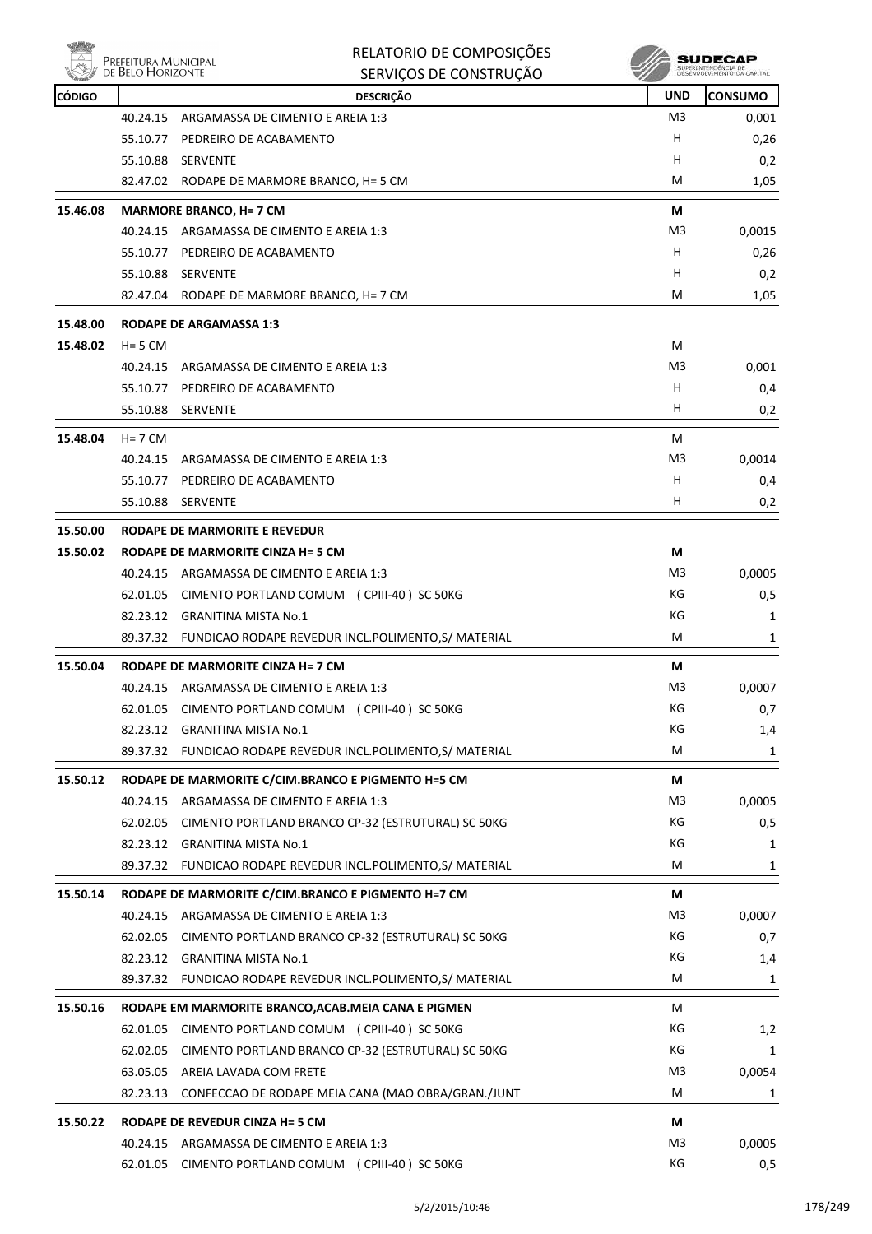

|               | Prefeitura Municipal | RELATORIO DE COMPOSIÇÕES                                                                          |                | SUDECAP<br>SUPERINTENDÊNCIA DE<br>DESENVOLVIMENTO DA CAPITAL |
|---------------|----------------------|---------------------------------------------------------------------------------------------------|----------------|--------------------------------------------------------------|
|               | DE BELO HORIZONTE    | SERVIÇOS DE CONSTRUÇÃO                                                                            |                |                                                              |
| <b>CÓDIGO</b> |                      | <b>DESCRIÇÃO</b>                                                                                  | UND            | <b>CONSUMO</b>                                               |
|               | 40.24.15             | ARGAMASSA DE CIMENTO E AREIA 1:3                                                                  | M <sub>3</sub> | 0,001                                                        |
|               | 55.10.77             | PEDREIRO DE ACABAMENTO                                                                            | н              | 0,26                                                         |
|               | 55.10.88             | SERVENTE                                                                                          | н              | 0,2                                                          |
|               |                      | 82.47.02 RODAPE DE MARMORE BRANCO, H= 5 CM                                                        | M              | 1,05                                                         |
| 15.46.08      |                      | <b>MARMORE BRANCO, H= 7 CM</b>                                                                    | М              |                                                              |
|               | 40.24.15             | ARGAMASSA DE CIMENTO E AREIA 1:3                                                                  | M3             | 0,0015                                                       |
|               |                      | 55.10.77 PEDREIRO DE ACABAMENTO                                                                   | н              | 0,26                                                         |
|               | 55.10.88             | SERVENTE                                                                                          | н              | 0,2                                                          |
|               |                      | 82.47.04 RODAPE DE MARMORE BRANCO, H= 7 CM                                                        | м              | 1,05                                                         |
| 15.48.00      |                      | <b>RODAPE DE ARGAMASSA 1:3</b>                                                                    |                |                                                              |
| 15.48.02      | $H = 5$ CM           |                                                                                                   | м              |                                                              |
|               | 40.24.15             | ARGAMASSA DE CIMENTO E AREIA 1:3                                                                  | M3             | 0,001                                                        |
|               | 55.10.77             | PEDREIRO DE ACABAMENTO                                                                            | н              | 0,4                                                          |
|               | 55.10.88             | SERVENTE                                                                                          | н              | 0,2                                                          |
| 15.48.04      | $H = 7$ CM           |                                                                                                   | м              |                                                              |
|               | 40.24.15             | ARGAMASSA DE CIMENTO E AREIA 1:3                                                                  | M3             | 0,0014                                                       |
|               | 55.10.77             | PEDREIRO DE ACABAMENTO                                                                            | н              | 0,4                                                          |
|               | 55.10.88             | <b>SERVENTE</b>                                                                                   | н              | 0,2                                                          |
| 15.50.00      |                      | RODAPE DE MARMORITE E REVEDUR                                                                     |                |                                                              |
| 15.50.02      |                      | RODAPE DE MARMORITE CINZA H= 5 CM                                                                 | М              |                                                              |
|               | 40.24.15             | ARGAMASSA DE CIMENTO E AREIA 1:3                                                                  | M3             | 0,0005                                                       |
|               | 62.01.05             | CIMENTO PORTLAND COMUM (CPIII-40) SC 50KG                                                         | КG             | 0,5                                                          |
|               |                      | 82.23.12 GRANITINA MISTA No.1                                                                     | КG             | 1                                                            |
|               |                      | 89.37.32 FUNDICAO RODAPE REVEDUR INCL.POLIMENTO,S/ MATERIAL                                       | М              | 1                                                            |
| 15.50.04      |                      | RODAPE DE MARMORITE CINZA H= 7 CM                                                                 | М              |                                                              |
|               |                      | 40.24.15 ARGAMASSA DE CIMENTO E AREIA 1:3                                                         | M3             | 0,0007                                                       |
|               | 62.01.05             | CIMENTO PORTLAND COMUM (CPIII-40) SC 50KG                                                         | КG             | 0,7                                                          |
|               | 82.23.12             | <b>GRANITINA MISTA No.1</b>                                                                       | КG             | 1,4                                                          |
|               |                      | 89.37.32 FUNDICAO RODAPE REVEDUR INCL.POLIMENTO,S/ MATERIAL                                       | М              | 1                                                            |
| 15.50.12      |                      | RODAPE DE MARMORITE C/CIM.BRANCO E PIGMENTO H=5 CM                                                | М              |                                                              |
|               |                      | 40.24.15 ARGAMASSA DE CIMENTO E AREIA 1:3                                                         | M3             | 0,0005                                                       |
|               | 62.02.05             | CIMENTO PORTLAND BRANCO CP-32 (ESTRUTURAL) SC 50KG                                                | КG             | 0,5                                                          |
|               |                      | 82.23.12 GRANITINA MISTA No.1                                                                     | КG             | 1                                                            |
|               |                      | 89.37.32 FUNDICAO RODAPE REVEDUR INCL.POLIMENTO,S/ MATERIAL                                       | М              | 1                                                            |
| 15.50.14      |                      | RODAPE DE MARMORITE C/CIM.BRANCO E PIGMENTO H=7 CM                                                | М              |                                                              |
|               | 40.24.15             | ARGAMASSA DE CIMENTO E AREIA 1:3                                                                  | M3             | 0,0007                                                       |
|               | 62.02.05             | CIMENTO PORTLAND BRANCO CP-32 (ESTRUTURAL) SC 50KG                                                | КG             | 0,7                                                          |
|               |                      | 82.23.12 GRANITINA MISTA No.1                                                                     | КG             | 1,4                                                          |
|               |                      | 89.37.32 FUNDICAO RODAPE REVEDUR INCL.POLIMENTO,S/ MATERIAL                                       | М              | 1                                                            |
|               |                      |                                                                                                   |                |                                                              |
| 15.50.16      | 62.01.05             | RODAPE EM MARMORITE BRANCO, ACAB. MEIA CANA E PIGMEN<br>CIMENTO PORTLAND COMUM (CPIII-40) SC 50KG | м<br>КG        |                                                              |
|               |                      |                                                                                                   |                | 1,2                                                          |
|               | 62.02.05             | CIMENTO PORTLAND BRANCO CP-32 (ESTRUTURAL) SC 50KG                                                | КG             | 1                                                            |
|               |                      | 63.05.05 AREIA LAVADA COM FRETE<br>CONFECCAO DE RODAPE MEIA CANA (MAO OBRA/GRAN./JUNT             | M3<br>М        | 0,0054                                                       |
|               | 82.23.13             |                                                                                                   |                | 1                                                            |
| 15.50.22      |                      | RODAPE DE REVEDUR CINZA H= 5 CM                                                                   | М              |                                                              |
|               |                      | 40.24.15 ARGAMASSA DE CIMENTO E AREIA 1:3                                                         | M <sub>3</sub> | 0,0005                                                       |

62.01.05 CIMENTO PORTLAND COMUM (CPIII-40) SC 50KG 62.01.05 KG KG 6 65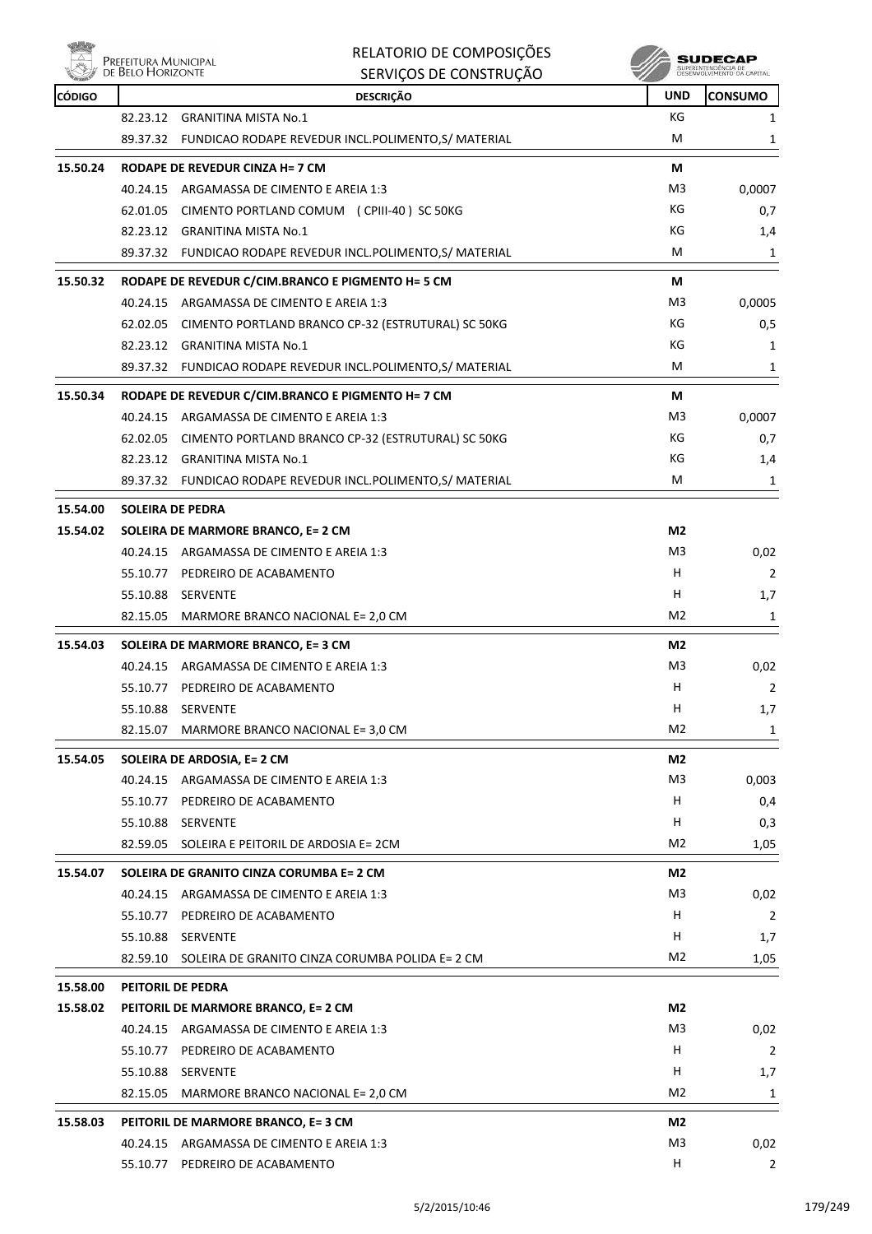

| RELATORIO DE COMPOSIÇÕES |
|--------------------------|
| SERVICOS DE CONSTRUÇÃO   |

| <b>CÓDIGO</b> |                                     | <b>DESCRIÇÃO</b>                                            | <b>UND</b>     | <b>CONSUMO</b> |
|---------------|-------------------------------------|-------------------------------------------------------------|----------------|----------------|
|               |                                     | 82.23.12 GRANITINA MISTA No.1                               | КG             | 1              |
|               |                                     | 89.37.32 FUNDICAO RODAPE REVEDUR INCL.POLIMENTO,S/ MATERIAL | М              | 1              |
| 15.50.24      |                                     | RODAPE DE REVEDUR CINZA H= 7 CM                             | М              |                |
|               |                                     | 40.24.15 ARGAMASSA DE CIMENTO E AREIA 1:3                   | M3             | 0,0007         |
|               |                                     | 62.01.05 CIMENTO PORTLAND COMUM (CPIII-40) SC 50KG          | КG             | 0,7            |
|               |                                     | 82.23.12 GRANITINA MISTA No.1                               | КG             | 1,4            |
|               |                                     | 89.37.32 FUNDICAO RODAPE REVEDUR INCL.POLIMENTO,S/ MATERIAL | М              | 1              |
| 15.50.32      |                                     | RODAPE DE REVEDUR C/CIM.BRANCO E PIGMENTO H= 5 CM           | М              |                |
|               | 40.24.15                            | ARGAMASSA DE CIMENTO E AREIA 1:3                            | M3             | 0,0005         |
|               |                                     | 62.02.05 CIMENTO PORTLAND BRANCO CP-32 (ESTRUTURAL) SC 50KG | КG             | 0,5            |
|               |                                     | 82.23.12 GRANITINA MISTA No.1                               | KG             | 1              |
|               |                                     | 89.37.32 FUNDICAO RODAPE REVEDUR INCL.POLIMENTO,S/ MATERIAL | М              | 1              |
| 15.50.34      |                                     | RODAPE DE REVEDUR C/CIM.BRANCO E PIGMENTO H= 7 CM           | М              |                |
|               |                                     | 40.24.15 ARGAMASSA DE CIMENTO E AREIA 1:3                   | M3             | 0,0007         |
|               |                                     | 62.02.05 CIMENTO PORTLAND BRANCO CP-32 (ESTRUTURAL) SC 50KG | КG             | 0,7            |
|               |                                     | 82.23.12 GRANITINA MISTA No.1                               | КG             | 1,4            |
|               |                                     | 89.37.32 FUNDICAO RODAPE REVEDUR INCL.POLIMENTO,S/ MATERIAL | М              | 1              |
| 15.54.00      |                                     | <b>SOLEIRA DE PEDRA</b>                                     |                |                |
| 15.54.02      |                                     | SOLEIRA DE MARMORE BRANCO, E= 2 CM                          | M <sub>2</sub> |                |
|               |                                     | 40.24.15 ARGAMASSA DE CIMENTO E AREIA 1:3                   | M3             | 0,02           |
|               |                                     | 55.10.77 PEDREIRO DE ACABAMENTO                             | н              | 2              |
|               |                                     | 55.10.88 SERVENTE                                           | н              | 1,7            |
|               |                                     | 82.15.05 MARMORE BRANCO NACIONAL E= 2,0 CM                  | M2             | 1              |
| 15.54.03      |                                     | SOLEIRA DE MARMORE BRANCO, E= 3 CM                          | M <sub>2</sub> |                |
|               |                                     | 40.24.15 ARGAMASSA DE CIMENTO E AREIA 1:3                   | M3             | 0,02           |
|               |                                     | 55.10.77 PEDREIRO DE ACABAMENTO                             | H.             | 2              |
|               |                                     | 55.10.88 SERVENTE                                           | H              | 1,7            |
|               |                                     | 82.15.07 MARMORE BRANCO NACIONAL E= 3,0 CM                  | M2             | 1              |
| 15.54.05      |                                     | SOLEIRA DE ARDOSIA, E= 2 CM                                 | M2             |                |
|               |                                     | 40.24.15 ARGAMASSA DE CIMENTO E AREIA 1:3                   | M <sub>3</sub> | 0,003          |
|               |                                     | 55.10.77 PEDREIRO DE ACABAMENTO                             | H.             | 0,4            |
|               |                                     | 55.10.88 SERVENTE                                           | H.             | 0,3            |
|               |                                     | 82.59.05 SOLEIRA E PEITORIL DE ARDOSIA E= 2CM               | M2             | 1,05           |
| 15.54.07      |                                     | SOLEIRA DE GRANITO CINZA CORUMBA E= 2 CM                    | M2             |                |
|               |                                     | 40.24.15 ARGAMASSA DE CIMENTO E AREIA 1:3                   | M <sub>3</sub> | 0,02           |
|               |                                     | 55.10.77 PEDREIRO DE ACABAMENTO                             | H.             | 2              |
|               |                                     | 55.10.88 SERVENTE                                           | H              | 1,7            |
|               |                                     | 82.59.10 SOLEIRA DE GRANITO CINZA CORUMBA POLIDA E= 2 CM    | M2             | 1,05           |
| 15.58.00      |                                     | PEITORIL DE PEDRA                                           |                |                |
| 15.58.02      |                                     | PEITORIL DE MARMORE BRANCO, E= 2 CM                         | M2             |                |
|               |                                     | 40.24.15 ARGAMASSA DE CIMENTO E AREIA 1:3                   | M3             | 0,02           |
|               |                                     | 55.10.77 PEDREIRO DE ACABAMENTO                             | H              | 2              |
|               |                                     | 55.10.88 SERVENTE                                           | H              | 1,7            |
|               |                                     | 82.15.05 MARMORE BRANCO NACIONAL E= 2,0 CM                  | M2             | 1              |
| 15.58.03      | PEITORIL DE MARMORE BRANCO, E= 3 CM | M2                                                          |                |                |
|               |                                     | 40.24.15 ARGAMASSA DE CIMENTO E AREIA 1:3                   | M3             | 0,02           |
|               |                                     | 55.10.77 PEDREIRO DE ACABAMENTO                             | H              | $\overline{2}$ |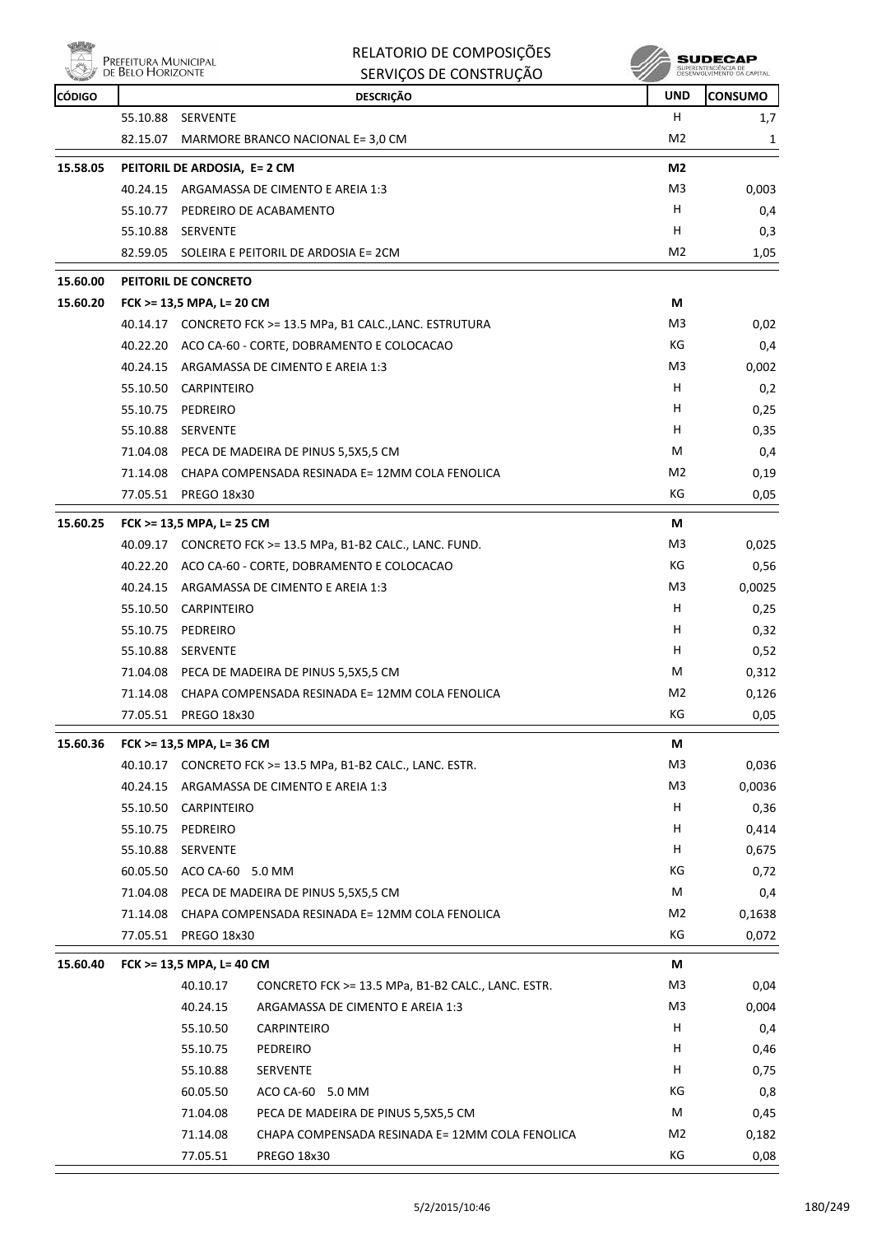| PREFEITURA MUNICIPAL |
|----------------------|
| DE BELO HORIZONTE    |
|                      |

| RELATORIO DE COMPOSIÇÕES |
|--------------------------|
| SERVICOS DE CONSTRUÇÃO   |

| <b>REGISTER</b> |          |                              | SENVIÇUS DE CUNSTNUÇAU                                       | w              |                |
|-----------------|----------|------------------------------|--------------------------------------------------------------|----------------|----------------|
| <b>CÓDIGO</b>   |          |                              | <b>DESCRIÇÃO</b>                                             | <b>UND</b>     | <b>CONSUMO</b> |
|                 | 55.10.88 | SERVENTE                     |                                                              | н              | 1,7            |
|                 | 82.15.07 |                              | MARMORE BRANCO NACIONAL E= 3,0 CM                            | M <sub>2</sub> | 1              |
| 15.58.05        |          | PEITORIL DE ARDOSIA, E= 2 CM | M <sub>2</sub>                                               |                |                |
|                 |          |                              | 40.24.15 ARGAMASSA DE CIMENTO E AREIA 1:3                    | M3             | 0,003          |
|                 | 55.10.77 |                              | PEDREIRO DE ACABAMENTO                                       | H              | 0,4            |
|                 |          | 55.10.88 SERVENTE            |                                                              | н              | 0,3            |
|                 |          |                              | 82.59.05 SOLEIRA E PEITORIL DE ARDOSIA E= 2CM                | M <sub>2</sub> | 1,05           |
| 15.60.00        |          | PEITORIL DE CONCRETO         |                                                              |                |                |
| 15.60.20        |          | FCK >= 13,5 MPA, L= 20 CM    |                                                              | М              |                |
|                 |          |                              | 40.14.17 CONCRETO FCK >= 13.5 MPa, B1 CALC., LANC. ESTRUTURA | M3             | 0,02           |
|                 |          |                              | 40.22.20 ACO CA-60 - CORTE, DOBRAMENTO E COLOCACAO           | КG             | 0,4            |
|                 |          |                              | 40.24.15 ARGAMASSA DE CIMENTO E AREIA 1:3                    | M3             | 0,002          |
|                 |          | 55.10.50 CARPINTEIRO         |                                                              | н              | 0,2            |
|                 | 55.10.75 | PEDREIRO                     |                                                              | н              | 0,25           |
|                 | 55.10.88 | <b>SERVENTE</b>              |                                                              | Н              | 0,35           |
|                 |          |                              | 71.04.08 PECA DE MADEIRA DE PINUS 5,5X5,5 CM                 | м              | 0,4            |
|                 | 71.14.08 |                              | CHAPA COMPENSADA RESINADA E= 12MM COLA FENOLICA              | M2             | 0,19           |
|                 | 77.05.51 | <b>PREGO 18x30</b>           |                                                              | КG             | 0,05           |
| 15.60.25        |          | FCK >= 13,5 MPA, L= 25 CM    |                                                              | М              |                |
|                 |          |                              | 40.09.17 CONCRETO FCK >= 13.5 MPa, B1-B2 CALC., LANC. FUND.  | M <sub>3</sub> | 0,025          |
|                 |          |                              | 40.22.20 ACO CA-60 - CORTE, DOBRAMENTO E COLOCACAO           | KG             | 0,56           |
|                 |          |                              | 40.24.15 ARGAMASSA DE CIMENTO E AREIA 1:3                    | M <sub>3</sub> | 0,0025         |
|                 |          | 55.10.50 CARPINTEIRO         |                                                              | Н              | 0,25           |
|                 | 55.10.75 | PEDREIRO                     |                                                              | H              | 0,32           |
|                 | 55.10.88 | <b>SERVENTE</b>              |                                                              | H              | 0,52           |
|                 |          |                              | 71.04.08 PECA DE MADEIRA DE PINUS 5,5X5,5 CM                 | М              | 0,312          |
|                 | 71.14.08 |                              | CHAPA COMPENSADA RESINADA E= 12MM COLA FENOLICA              | M <sub>2</sub> | 0,126          |
|                 |          | 77.05.51 PREGO 18x30         |                                                              | КG             | 0,05           |
| 15.60.36        |          | FCK >= 13,5 MPA, L= 36 CM    |                                                              | M              |                |
|                 |          |                              | 40.10.17 CONCRETO FCK >= 13.5 MPa, B1-B2 CALC., LANC. ESTR.  | M3             | 0,036          |
|                 |          |                              | 40.24.15 ARGAMASSA DE CIMENTO E AREIA 1:3                    | M <sub>3</sub> | 0,0036         |
|                 | 55.10.50 | <b>CARPINTEIRO</b>           |                                                              | н              | 0,36           |
|                 | 55.10.75 | PEDREIRO                     |                                                              | H              | 0,414          |
|                 | 55.10.88 | SERVENTE                     |                                                              | Н              | 0,675          |
|                 | 60.05.50 | ACO CA-60 5.0 MM             |                                                              | КG             | 0,72           |
|                 | 71.04.08 |                              | PECA DE MADEIRA DE PINUS 5,5X5,5 CM                          | М              | 0,4            |
|                 | 71.14.08 |                              | CHAPA COMPENSADA RESINADA E= 12MM COLA FENOLICA              | M <sub>2</sub> | 0,1638         |
|                 |          | 77.05.51 PREGO 18x30         |                                                              | КG             | 0,072          |
| 15.60.40        |          | FCK >= 13,5 MPA, L= 40 CM    |                                                              | М              |                |
|                 |          | 40.10.17                     | CONCRETO FCK >= 13.5 MPa, B1-B2 CALC., LANC. ESTR.           | M3             | 0,04           |
|                 |          | 40.24.15                     | ARGAMASSA DE CIMENTO E AREIA 1:3                             | M3             | 0,004          |
|                 |          | 55.10.50                     | CARPINTEIRO                                                  | H              | 0,4            |
|                 |          | 55.10.75                     | PEDREIRO                                                     | H              | 0,46           |
|                 |          | 55.10.88                     | SERVENTE                                                     | H              | 0,75           |
|                 |          | 60.05.50                     | ACO CA-60 5.0 MM                                             | КG             | 0,8            |
|                 |          | 71.04.08                     | PECA DE MADEIRA DE PINUS 5,5X5,5 CM                          | М              | 0,45           |
|                 |          | 71.14.08                     | CHAPA COMPENSADA RESINADA E= 12MM COLA FENOLICA              | M2             | 0,182          |
|                 |          | 77.05.51                     | PREGO 18x30                                                  | КG             | 0,08           |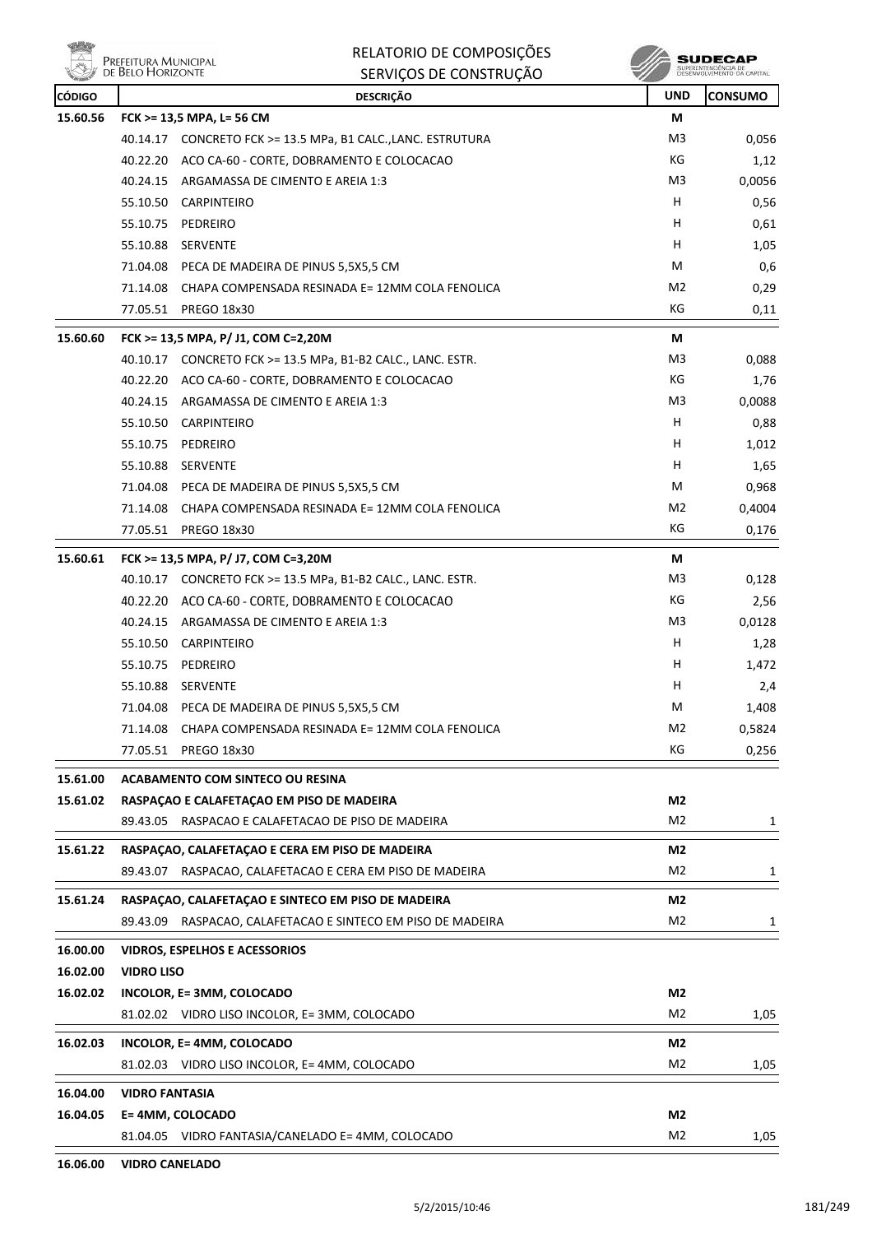|               | PREFEITURA MUNICIPAL<br>DE BELO HORIZONTE | RELATORIO DE COMPOSIÇÕES<br>SERVIÇOS DE CONSTRUÇÃO           |                |                |
|---------------|-------------------------------------------|--------------------------------------------------------------|----------------|----------------|
| <b>CÓDIGO</b> |                                           | <b>DESCRIÇÃO</b>                                             | <b>UND</b>     | <b>CONSUMO</b> |
| 15.60.56      |                                           | FCK >= 13,5 MPA, L= 56 CM                                    | М              |                |
|               |                                           | 40.14.17 CONCRETO FCK >= 13.5 MPa, B1 CALC., LANC. ESTRUTURA | M3             | 0,056          |
|               | 40.22.20                                  | ACO CA-60 - CORTE, DOBRAMENTO E COLOCACAO                    | КG             | 1,12           |
|               | 40.24.15                                  | ARGAMASSA DE CIMENTO E AREIA 1:3                             | M3             | 0,0056         |
|               | 55.10.50                                  | CARPINTEIRO                                                  | н              | 0,56           |
|               | 55.10.75                                  | PEDREIRO                                                     | H              | 0,61           |
|               | 55.10.88                                  | <b>SERVENTE</b>                                              | н              | 1,05           |
|               | 71.04.08                                  | PECA DE MADEIRA DE PINUS 5,5X5,5 CM                          | м              | 0,6            |
|               | 71.14.08                                  | CHAPA COMPENSADA RESINADA E= 12MM COLA FENOLICA              | M2             | 0,29           |
|               |                                           | 77.05.51 PREGO 18x30                                         | КG             | 0,11           |
| 15.60.60      |                                           | FCK >= 13,5 MPA, P/ J1, COM C=2,20M                          | М              |                |
|               | 40.10.17                                  | CONCRETO FCK >= 13.5 MPa, B1-B2 CALC., LANC. ESTR.           | M3             | 0,088          |
|               | 40.22.20                                  | ACO CA-60 - CORTE, DOBRAMENTO E COLOCACAO                    | КG             | 1,76           |
|               | 40.24.15                                  | ARGAMASSA DE CIMENTO E AREIA 1:3                             | M3             | 0,0088         |
|               | 55.10.50                                  | CARPINTEIRO                                                  | н              | 0,88           |
|               | 55.10.75                                  | PEDREIRO                                                     | н              | 1,012          |
|               | 55.10.88                                  | SERVENTE                                                     | H              | 1,65           |
|               | 71.04.08                                  | PECA DE MADEIRA DE PINUS 5,5X5,5 CM                          | М              | 0,968          |
|               | 71.14.08                                  | CHAPA COMPENSADA RESINADA E= 12MM COLA FENOLICA              | M2             | 0,4004         |
|               | 77.05.51                                  | <b>PREGO 18x30</b>                                           | КG             | 0,176          |
| 15.60.61      |                                           | FCK >= 13,5 MPA, P/ J7, COM C=3,20M                          | М              |                |
|               |                                           | 40.10.17 CONCRETO FCK >= 13.5 MPa, B1-B2 CALC., LANC. ESTR.  | M3             | 0,128          |
|               | 40.22.20                                  | ACO CA-60 - CORTE, DOBRAMENTO E COLOCACAO                    | КG             | 2,56           |
|               | 40.24.15                                  | ARGAMASSA DE CIMENTO E AREIA 1:3                             | M3             | 0,0128         |
|               | 55.10.50                                  | CARPINTEIRO                                                  | н              | 1,28           |
|               | 55.10.75                                  | PEDREIRO                                                     | н              | 1,472          |
|               | 55.10.88                                  | <b>SERVENTE</b>                                              | н              | 2,4            |
|               | 71.04.08                                  | PECA DE MADEIRA DE PINUS 5,5X5,5 CM                          | М              | 1,408          |
|               | 71.14.08                                  | CHAPA COMPENSADA RESINADA E= 12MM COLA FENOLICA              | M2             | 0,5824         |
|               | 77.05.51                                  | <b>PREGO 18x30</b>                                           | КG             | 0,256          |
| 15.61.00      |                                           | <b>ACABAMENTO COM SINTECO OU RESINA</b>                      |                |                |
| 15.61.02      |                                           | RASPAÇÃO E CALAFETAÇÃO EM PISO DE MADEIRA                    | M2             |                |
|               | 89.43.05                                  | RASPACAO E CALAFETACAO DE PISO DE MADEIRA                    | M <sub>2</sub> | 1              |
| 15.61.22      |                                           | RASPAÇÃO, CALAFETAÇÃO E CERA EM PISO DE MADEIRA              | M2             |                |
|               |                                           | 89.43.07 RASPACAO, CALAFETACAO E CERA EM PISO DE MADEIRA     | M <sub>2</sub> | 1              |
|               |                                           |                                                              |                |                |
| 15.61.24      |                                           | RASPAÇAO, CALAFETAÇAO E SINTECO EM PISO DE MADEIRA           | M2             |                |
|               | 89.43.09                                  | RASPACAO, CALAFETACAO E SINTECO EM PISO DE MADEIRA           | M <sub>2</sub> | 1              |
| 16.00.00      |                                           | <b>VIDROS, ESPELHOS E ACESSORIOS</b>                         |                |                |
| 16.02.00      | <b>VIDRO LISO</b>                         |                                                              |                |                |
| 16.02.02      |                                           | INCOLOR, E= 3MM, COLOCADO                                    | M2             |                |
|               |                                           | 81.02.02 VIDRO LISO INCOLOR, E= 3MM, COLOCADO                | M <sub>2</sub> | 1,05           |
| 16.02.03      |                                           | INCOLOR, E=4MM, COLOCADO                                     | M2             |                |
|               |                                           | 81.02.03 VIDRO LISO INCOLOR, E= 4MM, COLOCADO                | M2             | 1,05           |
| 16.04.00      | <b>VIDRO FANTASIA</b>                     |                                                              |                |                |
| 16.04.05      | E=4MM, COLOCADO                           |                                                              | M2             |                |
|               |                                           | 81.04.05 VIDRO FANTASIA/CANELADO E= 4MM, COLOCADO            | M <sub>2</sub> | 1,05           |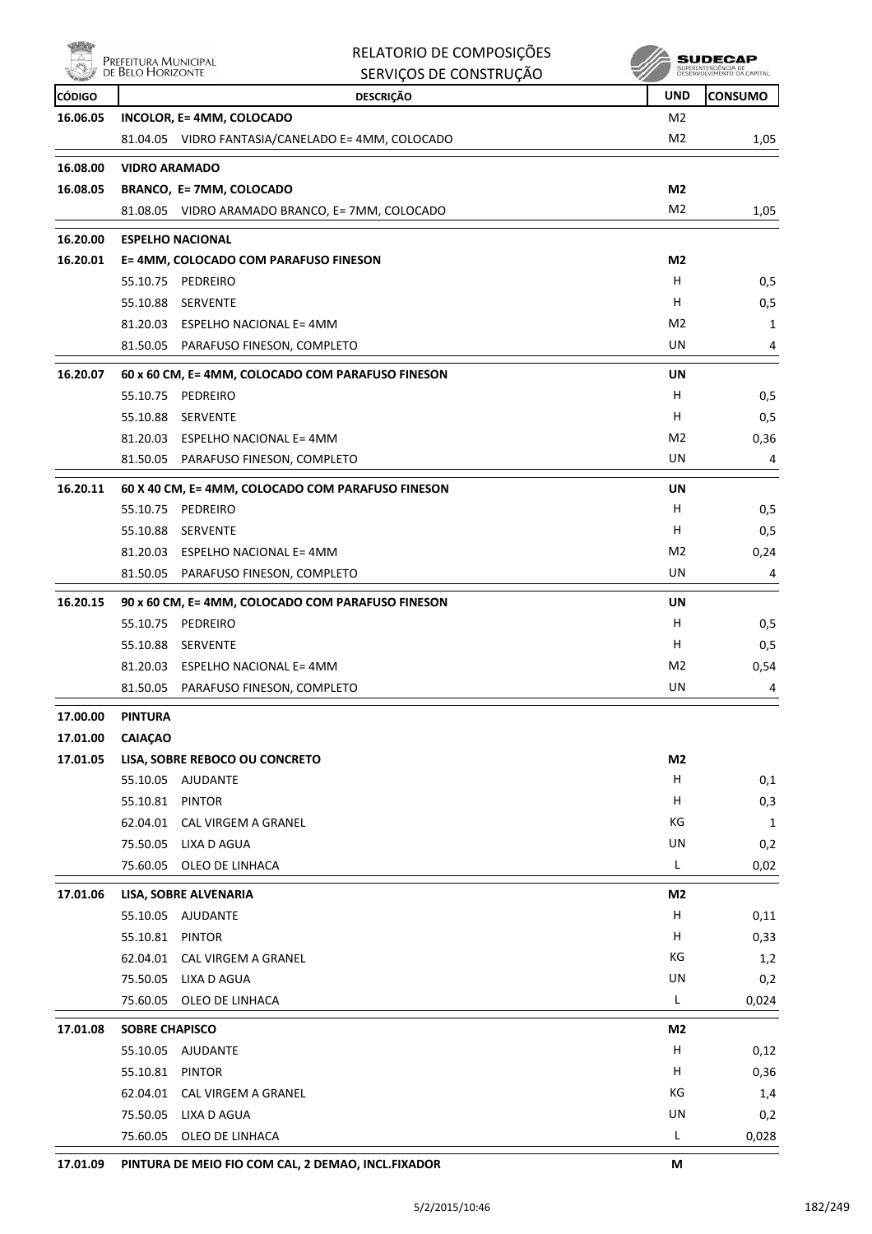

|               |                                           | RELATORIO DE COMPOSIÇÕES                                      | SUDECAF        |                                           |
|---------------|-------------------------------------------|---------------------------------------------------------------|----------------|-------------------------------------------|
|               | Prefeitura Municipal<br>de Belo Horizonte | SERVIÇOS DE CONSTRUÇÃO                                        |                | SUPERINTENDÊNCIA DE<br>DESENVOLVIMENTO DA |
| <b>CÓDIGO</b> |                                           | <b>DESCRIÇÃO</b>                                              | <b>UND</b>     | <b>CONSUMO</b>                            |
| 16.06.05      |                                           | INCOLOR, E= 4MM, COLOCADO                                     | M <sub>2</sub> |                                           |
|               |                                           | 81.04.05 VIDRO FANTASIA/CANELADO E= 4MM, COLOCADO             | M <sub>2</sub> | 1,05                                      |
| 16.08.00      | <b>VIDRO ARAMADO</b>                      |                                                               |                |                                           |
| 16.08.05      |                                           | BRANCO, E= 7MM, COLOCADO                                      | M <sub>2</sub> |                                           |
|               |                                           | 81.08.05 VIDRO ARAMADO BRANCO, E= 7MM, COLOCADO               | M <sub>2</sub> | 1,05                                      |
| 16.20.00      |                                           | <b>ESPELHO NACIONAL</b>                                       |                |                                           |
| 16.20.01      |                                           | E= 4MM, COLOCADO COM PARAFUSO FINESON                         | M2             |                                           |
|               | 55.10.75                                  | PEDREIRO                                                      | H              | 0,5                                       |
|               | 55.10.88                                  | SERVENTE                                                      | H              | 0,5                                       |
|               |                                           | 81.20.03 ESPELHO NACIONAL E= 4MM                              | M <sub>2</sub> | 1                                         |
|               | 81.50.05                                  | PARAFUSO FINESON, COMPLETO                                    | UN             | 4                                         |
| 16.20.07      |                                           | 60 x 60 CM, E= 4MM, COLOCADO COM PARAFUSO FINESON             | UN             |                                           |
|               | 55.10.75                                  | PEDREIRO                                                      | H              | 0,5                                       |
|               | 55.10.88                                  | SERVENTE                                                      | н              | 0,5                                       |
|               |                                           | 81.20.03 ESPELHO NACIONAL E= 4MM                              | M2             | 0,36                                      |
|               |                                           | 81.50.05 PARAFUSO FINESON, COMPLETO                           | UN             | 4                                         |
|               |                                           |                                                               |                |                                           |
| 16.20.11      | 55.10.75                                  | 60 X 40 CM, E= 4MM, COLOCADO COM PARAFUSO FINESON<br>PEDREIRO | UN<br>н        | 0,5                                       |
|               |                                           | 55.10.88 SERVENTE                                             | н              | 0,5                                       |
|               |                                           | 81.20.03 ESPELHO NACIONAL E= 4MM                              | M <sub>2</sub> | 0,24                                      |
|               | 81.50.05                                  | PARAFUSO FINESON, COMPLETO                                    | UN             | 4                                         |
|               |                                           |                                                               |                |                                           |
| 16.20.15      |                                           | 90 x 60 CM, E= 4MM, COLOCADO COM PARAFUSO FINESON             | <b>UN</b>      |                                           |
|               | 55.10.75                                  | PEDREIRO                                                      | н<br>н         | 0,5                                       |
|               | 55.10.88<br>81.20.03                      | SERVENTE<br>ESPELHO NACIONAL E= 4MM                           | M2             | 0,5<br>0,54                               |
|               | 81.50.05                                  | PARAFUSO FINESON, COMPLETO                                    | UN             | 4                                         |
|               |                                           |                                                               |                |                                           |
| 17.00.00      | <b>PINTURA</b>                            |                                                               |                |                                           |
| 17.01.00      | <b>CAIAÇAO</b>                            |                                                               |                |                                           |
| 17.01.05      |                                           | LISA, SOBRE REBOCO OU CONCRETO                                | M <sub>2</sub> |                                           |
|               |                                           | 55.10.05 AJUDANTE<br><b>PINTOR</b>                            | н<br>Н         | 0,1                                       |
|               | 55.10.81                                  | 62.04.01 CAL VIRGEM A GRANEL                                  | КG             | 0,3<br>$\mathbf{1}$                       |
|               |                                           | 75.50.05 LIXA D AGUA                                          | UN             | 0,2                                       |
|               | 75.60.05                                  | OLEO DE LINHACA                                               | L              | 0,02                                      |
|               |                                           |                                                               |                |                                           |
| 17.01.06      |                                           | LISA, SOBRE ALVENARIA                                         | M <sub>2</sub> |                                           |
|               |                                           | 55.10.05 AJUDANTE                                             | н              | 0,11                                      |
|               | 55.10.81 PINTOR                           |                                                               | H<br>КG        | 0,33                                      |
|               | 62.04.01                                  | CAL VIRGEM A GRANEL<br>75.50.05 LIXA D AGUA                   | UN             | 1,2                                       |
|               | 75.60.05                                  | OLEO DE LINHACA                                               | L              | 0,2<br>0,024                              |
|               |                                           |                                                               |                |                                           |
| 17.01.08      | <b>SOBRE CHAPISCO</b>                     |                                                               | M2             |                                           |
|               |                                           | 55.10.05 AJUDANTE                                             | н              | 0,12                                      |
|               | 55.10.81                                  | <b>PINTOR</b>                                                 | н              | 0,36                                      |
|               | 62.04.01                                  | CAL VIRGEM A GRANEL                                           | КG             | 1,4                                       |
|               | 75.60.05                                  | 75.50.05 LIXA D AGUA                                          | UN<br>L        | 0,2                                       |
|               |                                           | OLEO DE LINHACA                                               |                | 0,028                                     |

**17.01.09 PINTURA DE MEIO FIO COM CAL, 2 DEMAO, INCL.FIXADOR M**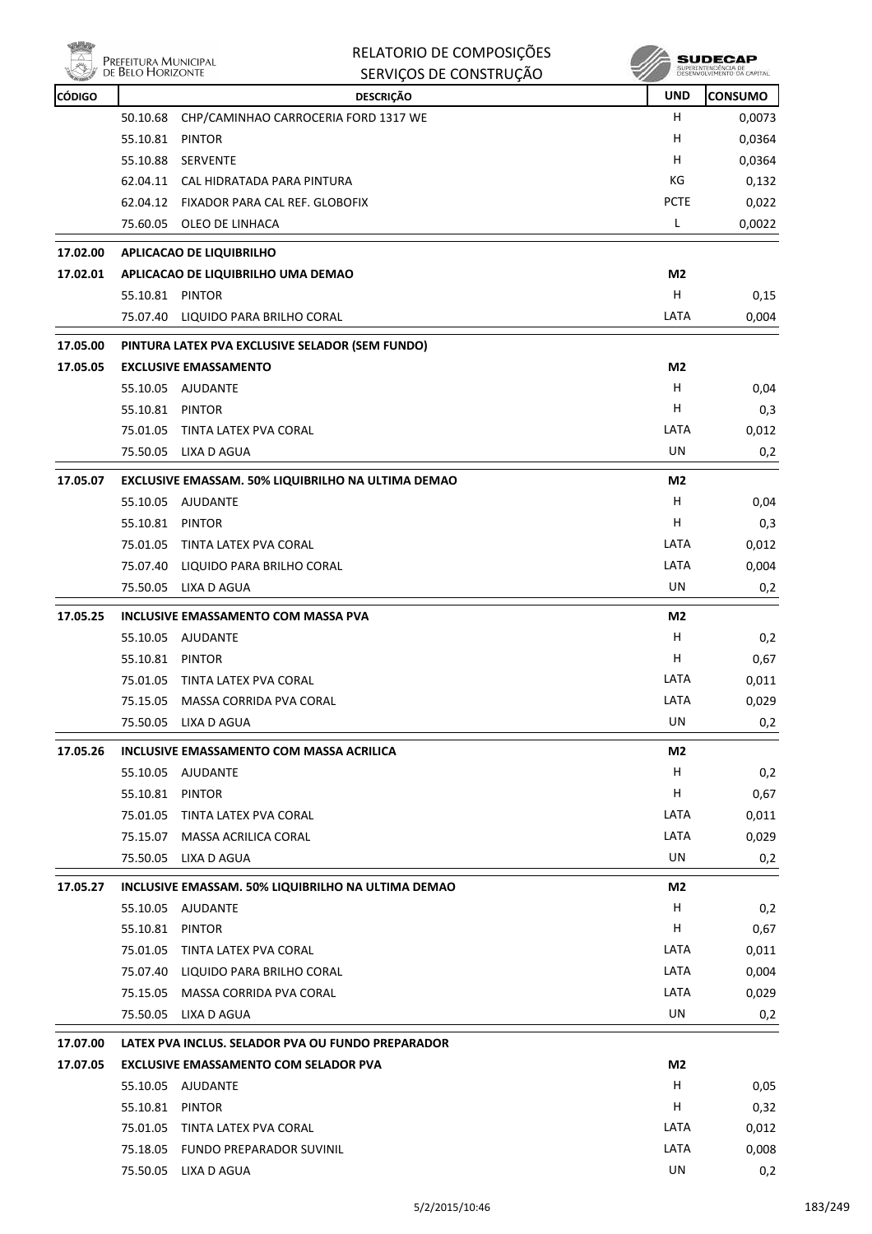| <b>MONEY</b> |                      | RELATORIO DE COMPOSIÇÕES<br>Prefeitura Municipal<br>de Belo Horizonte |                | SUDECAP<br>SUPERINTENDÊNCIA DE<br>DESENVOLVIMENTO DA CAPITAL |  |
|--------------|----------------------|-----------------------------------------------------------------------|----------------|--------------------------------------------------------------|--|
|              |                      | SERVIÇOS DE CONSTRUÇÃO                                                |                |                                                              |  |
| CÓDIGO       |                      | <b>DESCRIÇÃO</b>                                                      | <b>UND</b>     | <b>CONSUMO</b>                                               |  |
|              | 50.10.68             | CHP/CAMINHAO CARROCERIA FORD 1317 WE<br><b>PINTOR</b>                 | H<br>н         | 0,0073                                                       |  |
|              | 55.10.81<br>55.10.88 | <b>SERVENTE</b>                                                       | н              | 0,0364<br>0,0364                                             |  |
|              | 62.04.11             | CAL HIDRATADA PARA PINTURA                                            | КG             | 0,132                                                        |  |
|              | 62.04.12             | FIXADOR PARA CAL REF. GLOBOFIX                                        | <b>PCTE</b>    | 0,022                                                        |  |
|              | 75.60.05             | OLEO DE LINHACA                                                       | L              | 0,0022                                                       |  |
| 17.02.00     |                      | APLICACAO DE LIQUIBRILHO                                              |                |                                                              |  |
| 17.02.01     |                      | APLICACAO DE LIQUIBRILHO UMA DEMAO                                    | M <sub>2</sub> |                                                              |  |
|              | 55.10.81 PINTOR      |                                                                       | н              | 0,15                                                         |  |
|              |                      | 75.07.40 LIQUIDO PARA BRILHO CORAL                                    | LATA           | 0,004                                                        |  |
| 17.05.00     |                      | PINTURA LATEX PVA EXCLUSIVE SELADOR (SEM FUNDO)                       |                |                                                              |  |
| 17.05.05     |                      | <b>EXCLUSIVE EMASSAMENTO</b>                                          | M <sub>2</sub> |                                                              |  |
|              | 55.10.05             | AJUDANTE                                                              | H              | 0,04                                                         |  |
|              | 55.10.81 PINTOR      |                                                                       | H              | 0,3                                                          |  |
|              | 75.01.05             | TINTA LATEX PVA CORAL                                                 | LATA           | 0,012                                                        |  |
|              | 75.50.05             | LIXA D AGUA                                                           | UN             | 0,2                                                          |  |
| 17.05.07     |                      | EXCLUSIVE EMASSAM. 50% LIQUIBRILHO NA ULTIMA DEMAO                    | M <sub>2</sub> |                                                              |  |
|              | 55.10.05             | <b>AJUDANTE</b>                                                       | н              | 0,04                                                         |  |
|              | 55.10.81             | PINTOR                                                                | н              | 0,3                                                          |  |
|              | 75.01.05             | TINTA LATEX PVA CORAL                                                 | LATA           | 0,012                                                        |  |
|              | 75.07.40             | LIQUIDO PARA BRILHO CORAL                                             | LATA           | 0,004                                                        |  |
|              | 75.50.05             | LIXA D AGUA                                                           | UN             | 0,2                                                          |  |
| 17.05.25     |                      | <b>INCLUSIVE EMASSAMENTO COM MASSA PVA</b>                            | M <sub>2</sub> |                                                              |  |
|              | 55.10.05             | AJUDANTE                                                              | н              | 0,2                                                          |  |
|              | 55.10.81             | <b>PINTOR</b>                                                         | н              | 0,67                                                         |  |
|              |                      | 75.01.05 TINTA LATEX PVA CORAL                                        | LATA           | 0,011                                                        |  |
|              |                      | 75.15.05 MASSA CORRIDA PVA CORAL                                      | LATA           | 0,029                                                        |  |
|              | 75.50.05             | LIXA D AGUA                                                           | UN             | 0,2                                                          |  |
| 17.05.26     |                      | INCLUSIVE EMASSAMENTO COM MASSA ACRILICA                              | M2             |                                                              |  |
|              | 55.10.05 AJUDANTE    |                                                                       | H              | 0,2                                                          |  |
|              | 55.10.81             | PINTOR                                                                | н              | 0,67                                                         |  |
|              |                      | 75.01.05 TINTA LATEX PVA CORAL                                        | LATA           | 0,011                                                        |  |
|              | 75.15.07             | MASSA ACRILICA CORAL                                                  | LATA           | 0,029                                                        |  |
|              | 75.50.05             | LIXA D AGUA                                                           | UN             | 0,2                                                          |  |
| 17.05.27     |                      | INCLUSIVE EMASSAM. 50% LIQUIBRILHO NA ULTIMA DEMAO                    | M2             |                                                              |  |
|              | 55.10.05 AJUDANTE    |                                                                       | H              | 0,2                                                          |  |
|              | 55.10.81 PINTOR      |                                                                       | H.             | 0,67                                                         |  |
|              | 75.01.05             | TINTA LATEX PVA CORAL                                                 | LATA           | 0,011                                                        |  |
|              |                      | 75.07.40 LIQUIDO PARA BRILHO CORAL                                    | LATA           | 0,004                                                        |  |
|              |                      | 75.15.05 MASSA CORRIDA PVA CORAL                                      | LATA           | 0,029                                                        |  |
|              |                      | 75.50.05 LIXA D AGUA                                                  | UN             | 0,2                                                          |  |
| 17.07.00     |                      | LATEX PVA INCLUS. SELADOR PVA OU FUNDO PREPARADOR                     |                |                                                              |  |
| 17.07.05     |                      | <b>EXCLUSIVE EMASSAMENTO COM SELADOR PVA</b>                          | M2             |                                                              |  |
|              | 55.10.05 AJUDANTE    |                                                                       | H              | 0,05                                                         |  |
|              | 55.10.81 PINTOR      |                                                                       | H              | 0,32                                                         |  |
|              | 75.01.05             | TINTA LATEX PVA CORAL                                                 | LATA           | 0,012                                                        |  |
|              |                      | 75.18.05 FUNDO PREPARADOR SUVINIL                                     | LATA           | 0,008                                                        |  |
|              |                      | 75.50.05 LIXA D AGUA                                                  | UN             | 0,2                                                          |  |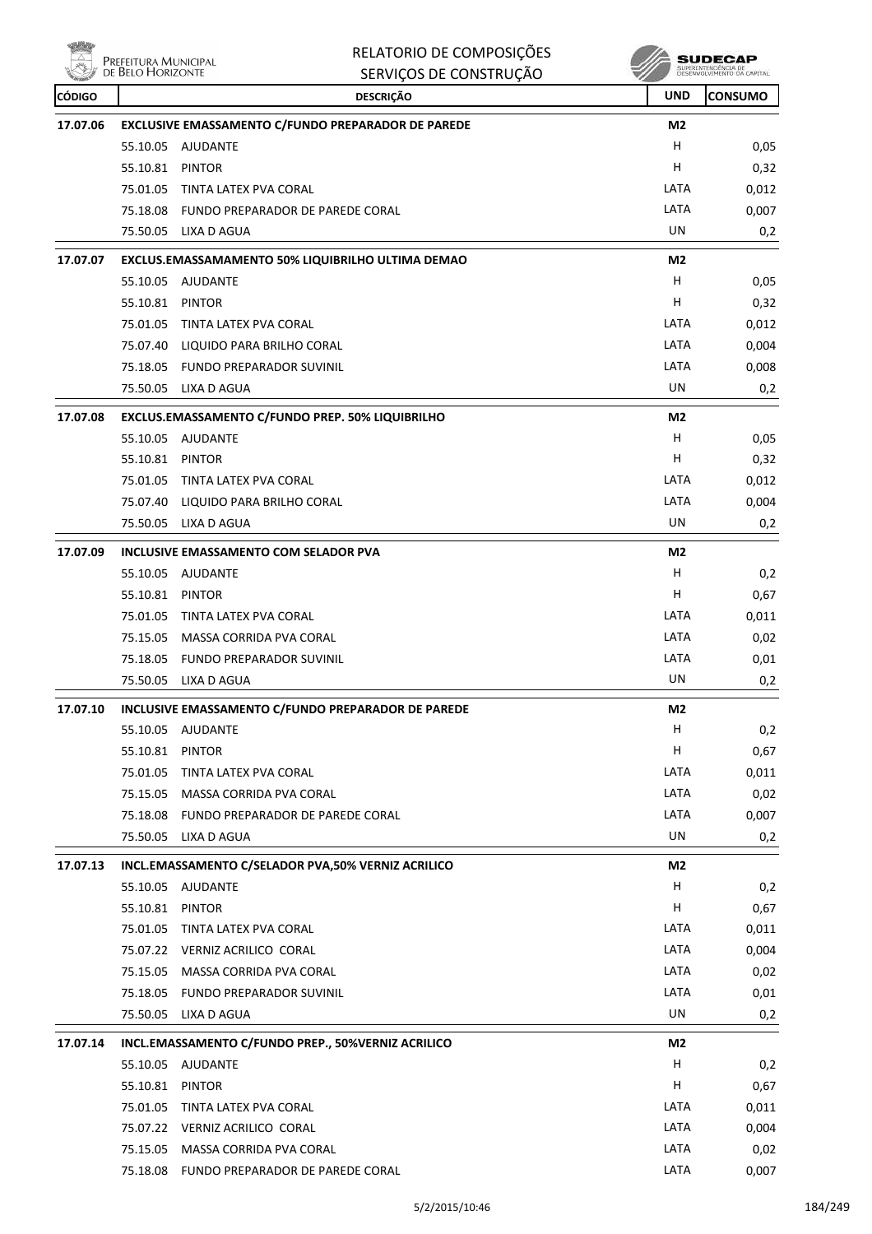

| No. 6         | Prefeitura Municipal<br>de Belo Horizonte | RELATORIO DE COMPOSIÇÕES                           | <b>SUDECAP</b><br>SUPERINTENDÊNCIA DE<br>DESENVOLVIMENTO DA CAPITAL |                |
|---------------|-------------------------------------------|----------------------------------------------------|---------------------------------------------------------------------|----------------|
|               |                                           | SERVIÇOS DE CONSTRUÇÃO                             |                                                                     |                |
| <b>CÓDIGO</b> |                                           | <b>DESCRIÇÃO</b>                                   | <b>UND</b>                                                          | <b>CONSUMO</b> |
| 17.07.06      |                                           | EXCLUSIVE EMASSAMENTO C/FUNDO PREPARADOR DE PAREDE | M2                                                                  |                |
|               | 55.10.05                                  | AJUDANTE                                           | н                                                                   | 0,05           |
|               | 55.10.81                                  | <b>PINTOR</b>                                      | н                                                                   | 0,32           |
|               | 75.01.05                                  | TINTA LATEX PVA CORAL                              | LATA                                                                | 0,012          |
|               | 75.18.08                                  | FUNDO PREPARADOR DE PAREDE CORAL                   | LATA                                                                | 0,007          |
|               | 75.50.05                                  | LIXA D AGUA                                        | UN                                                                  | 0,2            |
| 17.07.07      |                                           | EXCLUS.EMASSAMAMENTO 50% LIQUIBRILHO ULTIMA DEMAO  | M <sub>2</sub>                                                      |                |
|               | 55.10.05                                  | AJUDANTE                                           | н                                                                   | 0,05           |
|               | 55.10.81                                  | <b>PINTOR</b>                                      | н                                                                   | 0,32           |
|               | 75.01.05                                  | TINTA LATEX PVA CORAL                              | LATA                                                                | 0,012          |
|               | 75.07.40                                  | LIQUIDO PARA BRILHO CORAL                          | LATA                                                                | 0,004          |
|               | 75.18.05                                  | FUNDO PREPARADOR SUVINIL                           | LATA                                                                | 0,008          |
|               | 75.50.05                                  | LIXA D AGUA                                        | UN                                                                  | 0,2            |
| 17.07.08      |                                           | EXCLUS.EMASSAMENTO C/FUNDO PREP. 50% LIQUIBRILHO   | M2                                                                  |                |
|               | 55.10.05                                  | AJUDANTE                                           | н                                                                   | 0,05           |
|               | 55.10.81                                  | <b>PINTOR</b>                                      | н                                                                   | 0,32           |
|               | 75.01.05                                  | TINTA LATEX PVA CORAL                              | LATA                                                                | 0,012          |
|               | 75.07.40                                  | LIQUIDO PARA BRILHO CORAL                          | LATA                                                                | 0,004          |
|               | 75.50.05                                  | LIXA D AGUA                                        | UN                                                                  | 0,2            |
| 17.07.09      |                                           | <b>INCLUSIVE EMASSAMENTO COM SELADOR PVA</b>       | M2                                                                  |                |
|               | 55.10.05                                  | <b>AJUDANTE</b>                                    | н                                                                   | 0,2            |
|               | 55.10.81                                  | PINTOR                                             | н                                                                   | 0,67           |
|               | 75.01.05                                  | TINTA LATEX PVA CORAL                              | LATA                                                                | 0,011          |
|               | 75.15.05                                  | MASSA CORRIDA PVA CORAL                            | LATA                                                                | 0,02           |
|               | 75.18.05                                  | <b>FUNDO PREPARADOR SUVINIL</b>                    | LATA                                                                | 0,01           |
|               | 75.50.05                                  | LIXA D AGUA                                        | UN                                                                  | 0,2            |
| 17.07.10      |                                           | INCLUSIVE EMASSAMENTO C/FUNDO PREPARADOR DE PAREDE | M2                                                                  |                |
|               |                                           | 55.10.05 AJUDANTE                                  | н                                                                   | 0,2            |
|               | 55.10.81 PINTOR                           |                                                    | н                                                                   | 0,67           |
|               | 75.01.05                                  | TINTA LATEX PVA CORAL                              | LATA                                                                | 0,011          |
|               |                                           | 75.15.05 MASSA CORRIDA PVA CORAL                   | LATA                                                                | 0,02           |
|               |                                           | 75.18.08 FUNDO PREPARADOR DE PAREDE CORAL          | LATA                                                                | 0,007          |
|               |                                           | 75.50.05 LIXA D AGUA                               | UN                                                                  | 0,2            |
| 17.07.13      |                                           | INCL.EMASSAMENTO C/SELADOR PVA,50% VERNIZ ACRILICO | M2                                                                  |                |
|               |                                           | 55.10.05 AJUDANTE                                  | Н                                                                   | 0,2            |
|               | 55.10.81                                  | PINTOR                                             | н                                                                   | 0,67           |
|               |                                           | 75.01.05 TINTA LATEX PVA CORAL                     | LATA                                                                | 0,011          |
|               |                                           | 75.07.22 VERNIZ ACRILICO CORAL                     | LATA                                                                | 0,004          |
|               |                                           | 75.15.05 MASSA CORRIDA PVA CORAL                   | LATA                                                                | 0,02           |
|               | 75.18.05                                  | FUNDO PREPARADOR SUVINIL                           | LATA                                                                | 0,01           |
|               |                                           | 75.50.05 LIXA D AGUA                               | UN                                                                  | 0,2            |
| 17.07.14      |                                           | INCL.EMASSAMENTO C/FUNDO PREP., 50%VERNIZ ACRILICO | M <sub>2</sub>                                                      |                |
|               | 55.10.05                                  | AJUDANTE                                           | Н                                                                   | 0,2            |
|               | 55.10.81 PINTOR                           |                                                    | н                                                                   | 0,67           |
|               | 75.01.05                                  | TINTA LATEX PVA CORAL                              | LATA                                                                | 0,011          |
|               |                                           | 75.07.22 VERNIZ ACRILICO CORAL                     | LATA                                                                | 0,004          |
|               |                                           | 75.15.05 MASSA CORRIDA PVA CORAL                   | LATA                                                                | 0,02           |
|               |                                           | 75.18.08 FUNDO PREPARADOR DE PAREDE CORAL          | LATA                                                                | 0,007          |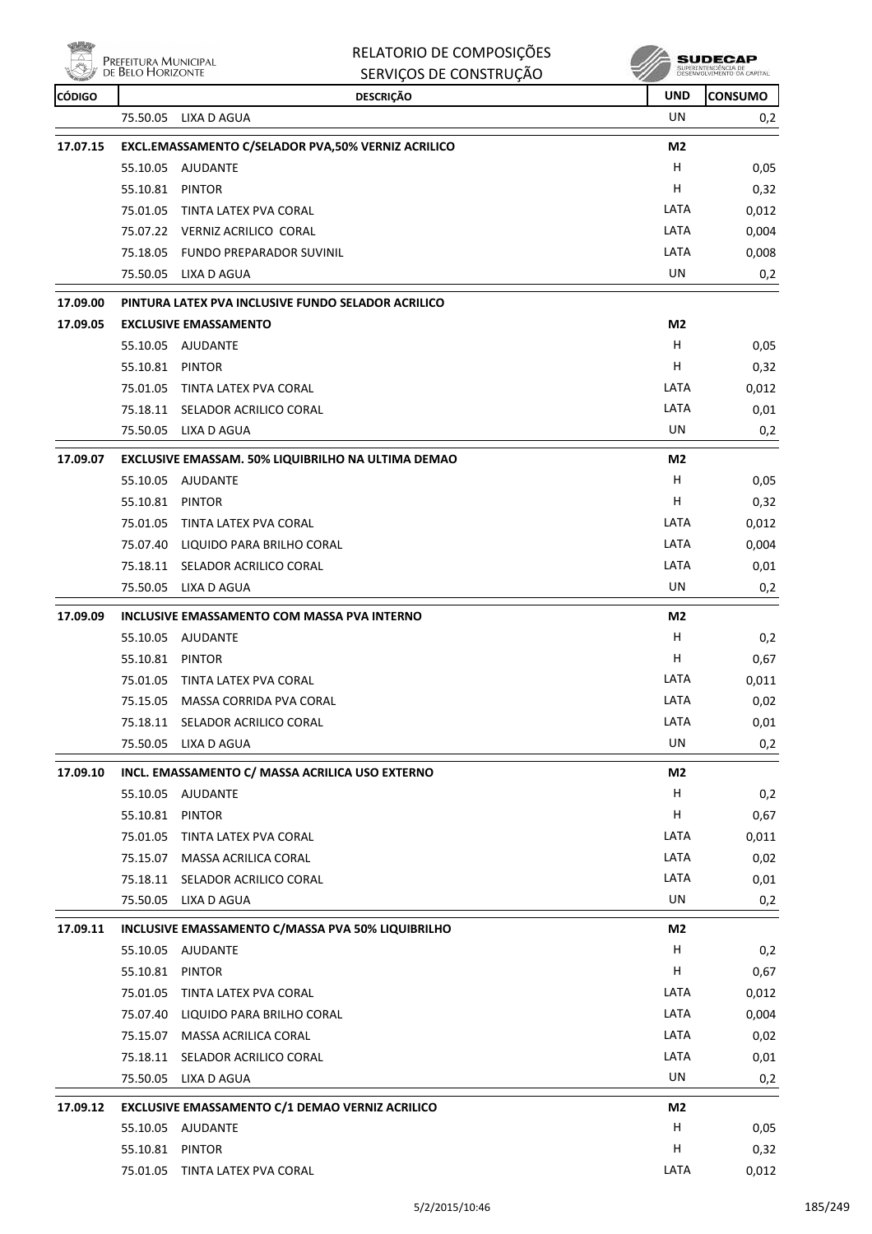$\overline{\overset{\triangle}{\sum}}$  Prefeitura Municipal<br> $\overset{\triangle}{\sum}$  de Belo Horizonte

**ville** 

| RELATORIO DE COMPOSIÇÕES |
|--------------------------|
| SERVICOS DE CONSTRUÇÃO   |

**SUDECAP**<br>SUPERNITHOENCIA DE<br>DESENVOLVIMENTO CA CAPITAL

| <b>CÓDIGO</b> |                                             | <b>DESCRIÇÃO</b>                                   | <b>UND</b>     | <b>CONSUMO</b> |
|---------------|---------------------------------------------|----------------------------------------------------|----------------|----------------|
|               | 75.50.05                                    | LIXA D AGUA                                        | UN.            | 0,2            |
| 17.07.15      |                                             | EXCL.EMASSAMENTO C/SELADOR PVA,50% VERNIZ ACRILICO | M <sub>2</sub> |                |
|               |                                             | 55.10.05 AJUDANTE                                  | H              | 0,05           |
|               | 55.10.81                                    | <b>PINTOR</b>                                      | Н              | 0,32           |
|               | 75.01.05                                    | TINTA LATEX PVA CORAL                              | LATA           | 0,012          |
|               |                                             | 75.07.22 VERNIZ ACRILICO CORAL                     | LATA           | 0,004          |
|               |                                             | 75.18.05 FUNDO PREPARADOR SUVINIL                  | LATA           | 0,008          |
|               |                                             | 75.50.05 LIXA D AGUA                               | UN             | 0,2            |
| 17.09.00      |                                             | PINTURA LATEX PVA INCLUSIVE FUNDO SELADOR ACRILICO |                |                |
| 17.09.05      |                                             | <b>EXCLUSIVE EMASSAMENTO</b>                       | M <sub>2</sub> |                |
|               |                                             | 55.10.05 AJUDANTE                                  | H              | 0,05           |
|               | 55.10.81                                    | PINTOR                                             | н              | 0,32           |
|               | 75.01.05                                    | TINTA LATEX PVA CORAL                              | LATA           | 0,012          |
|               |                                             | 75.18.11 SELADOR ACRILICO CORAL                    | LATA           | 0,01           |
|               |                                             | 75.50.05 LIXA D AGUA                               | <b>UN</b>      | 0,2            |
| 17.09.07      |                                             | EXCLUSIVE EMASSAM. 50% LIQUIBRILHO NA ULTIMA DEMAO | M2             |                |
|               |                                             | 55.10.05 AJUDANTE                                  | H              | 0,05           |
|               | 55.10.81                                    | PINTOR                                             | н              | 0,32           |
|               | 75.01.05                                    | TINTA LATEX PVA CORAL                              | LATA           | 0,012          |
|               |                                             | 75.07.40 LIQUIDO PARA BRILHO CORAL                 | LATA           | 0,004          |
|               |                                             | 75.18.11 SELADOR ACRILICO CORAL                    | LATA           | 0,01           |
|               | 75.50.05                                    | LIXA D AGUA                                        | UN             | 0,2            |
| 17.09.09      | INCLUSIVE EMASSAMENTO COM MASSA PVA INTERNO |                                                    | M <sub>2</sub> |                |
|               |                                             | 55.10.05 AJUDANTE                                  | н              | 0,2            |
|               | 55.10.81 PINTOR                             |                                                    | H              | 0,67           |
|               | 75.01.05                                    | TINTA LATEX PVA CORAL                              | LATA           | 0,011          |
|               | 75.15.05                                    | MASSA CORRIDA PVA CORAL                            | LATA           | 0,02           |
|               |                                             | 75.18.11 SELADOR ACRILICO CORAL                    | LATA           | 0,01           |
|               | 75.50.05                                    | LIXA D AGUA                                        | UN             | 0,2            |
| 17.09.10      |                                             | INCL. EMASSAMENTO C/ MASSA ACRILICA USO EXTERNO    | M <sub>2</sub> |                |
|               |                                             | 55.10.05 AJUDANTE                                  | H              | 0,2            |
|               | 55.10.81                                    | PINTOR                                             | н              | 0,67           |
|               | 75.01.05                                    | TINTA LATEX PVA CORAL                              | LATA           | 0,011          |
|               | 75.15.07                                    | MASSA ACRILICA CORAL                               | LATA           | 0,02           |
|               | 75.18.11                                    | SELADOR ACRILICO CORAL                             | LATA           | 0,01           |
|               | 75.50.05                                    | LIXA D AGUA                                        | UN             | 0,2            |
| 17.09.11      |                                             | INCLUSIVE EMASSAMENTO C/MASSA PVA 50% LIQUIBRILHO  | M <sub>2</sub> |                |
|               |                                             | 55.10.05 AJUDANTE                                  | H              | 0,2            |
|               | 55.10.81                                    | <b>PINTOR</b>                                      | н              | 0,67           |
|               | 75.01.05                                    | TINTA LATEX PVA CORAL                              | LATA           | 0,012          |
|               | 75.07.40                                    | LIQUIDO PARA BRILHO CORAL                          | LATA           | 0,004          |
|               | 75.15.07                                    | MASSA ACRILICA CORAL                               | LATA           | 0,02           |
|               | 75.18.11                                    | SELADOR ACRILICO CORAL                             | LATA           | 0,01           |
|               | 75.50.05                                    | LIXA D AGUA                                        | UN             | 0,2            |
| 17.09.12      |                                             | EXCLUSIVE EMASSAMENTO C/1 DEMAO VERNIZ ACRILICO    | M <sub>2</sub> |                |
|               |                                             | 55.10.05 AJUDANTE                                  | н              | 0,05           |
|               | 55.10.81                                    | <b>PINTOR</b>                                      | н              | 0,32           |
|               |                                             | 75.01.05 TINTA LATEX PVA CORAL                     | LATA           | 0,012          |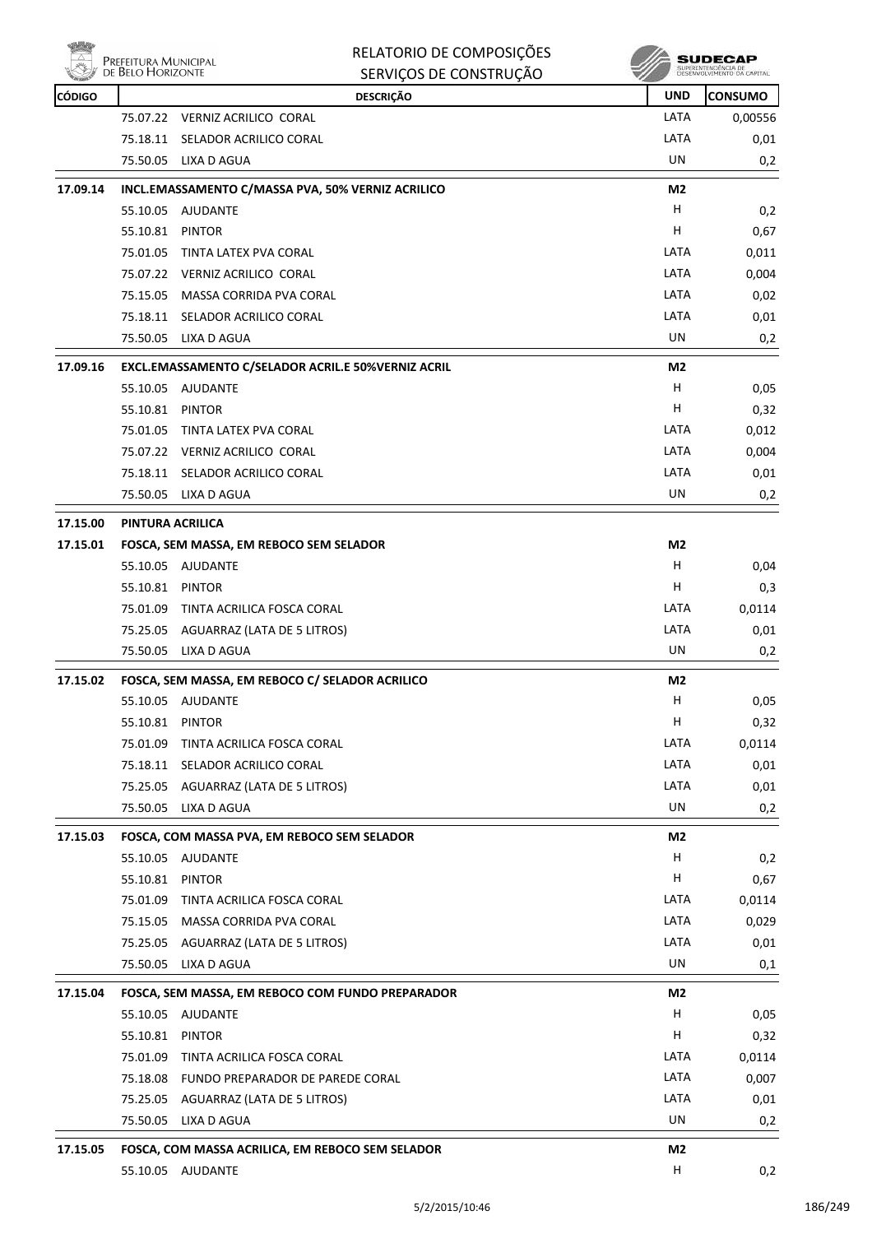

| RELATORIO DE COMPOSIÇÕES |
|--------------------------|
|--------------------------|



|               | <b>LIVEL ELLOINA DOLORICIL AL</b><br>DE BELO HORIZONTE | SERVIÇOS DE CONSTRUÇÃO                             |                | SUPERINTENDÊNCIA DE<br>DESENVOLVIMENTO DA CAPITAL |
|---------------|--------------------------------------------------------|----------------------------------------------------|----------------|---------------------------------------------------|
| <b>CÓDIGO</b> |                                                        | <b>DESCRIÇÃO</b>                                   | <b>UND</b>     | <b>CONSUMO</b>                                    |
|               |                                                        | 75.07.22 VERNIZ ACRILICO CORAL                     | LATA           | 0,00556                                           |
|               | 75.18.11                                               | SELADOR ACRILICO CORAL                             | LATA           | 0,01                                              |
|               | 75.50.05                                               | LIXA D AGUA                                        | UN             | 0,2                                               |
| 17.09.14      |                                                        | INCL.EMASSAMENTO C/MASSA PVA, 50% VERNIZ ACRILICO  | M2             |                                                   |
|               | 55.10.05                                               | AJUDANTE                                           | н              | 0,2                                               |
|               | 55.10.81                                               | <b>PINTOR</b>                                      | н              | 0,67                                              |
|               | 75.01.05                                               | TINTA LATEX PVA CORAL                              | LATA           | 0,011                                             |
|               |                                                        | 75.07.22 VERNIZ ACRILICO CORAL                     | LATA           | 0,004                                             |
|               | 75.15.05                                               | MASSA CORRIDA PVA CORAL                            | LATA           | 0,02                                              |
|               | 75.18.11                                               | SELADOR ACRILICO CORAL                             | LATA           | 0,01                                              |
|               | 75.50.05                                               | LIXA D AGUA                                        | UN             | 0,2                                               |
| 17.09.16      |                                                        | EXCL.EMASSAMENTO C/SELADOR ACRIL.E 50%VERNIZ ACRIL | M2             |                                                   |
|               |                                                        | 55.10.05 AJUDANTE                                  | н              | 0,05                                              |
|               | 55.10.81                                               | <b>PINTOR</b>                                      | н              | 0,32                                              |
|               | 75.01.05                                               | TINTA LATEX PVA CORAL                              | LATA           | 0,012                                             |
|               |                                                        | 75.07.22 VERNIZ ACRILICO CORAL                     | LATA           | 0,004                                             |
|               | 75.18.11                                               | SELADOR ACRILICO CORAL                             | LATA           | 0,01                                              |
|               | 75.50.05                                               | LIXA D AGUA                                        | UN             | 0,2                                               |
| 17.15.00      |                                                        | PINTURA ACRILICA                                   |                |                                                   |
| 17.15.01      |                                                        | FOSCA, SEM MASSA, EM REBOCO SEM SELADOR            | M2             |                                                   |
|               |                                                        | 55.10.05 AJUDANTE                                  | н              | 0,04                                              |
|               | 55.10.81                                               | <b>PINTOR</b>                                      | н              | 0,3                                               |
|               | 75.01.09                                               | TINTA ACRILICA FOSCA CORAL                         | LATA           | 0,0114                                            |
|               | 75.25.05                                               | AGUARRAZ (LATA DE 5 LITROS)                        | LATA           | 0,01                                              |
|               | 75.50.05                                               | LIXA D AGUA                                        | UN             | 0,2                                               |
| 17.15.02      |                                                        | FOSCA, SEM MASSA, EM REBOCO C/ SELADOR ACRILICO    | M2             |                                                   |
|               |                                                        | 55.10.05 AJUDANTE                                  | н              | 0,05                                              |
|               | 55.10.81 PINTOR                                        |                                                    | н              | 0,32                                              |
|               | 75.01.09                                               | TINTA ACRILICA FOSCA CORAL                         | LATA           | 0,0114                                            |
|               | 75.18.11                                               | SELADOR ACRILICO CORAL                             | LATA           | 0,01                                              |
|               |                                                        | 75.25.05 AGUARRAZ (LATA DE 5 LITROS)               | LATA           | 0,01                                              |
|               | 75.50.05                                               | LIXA D AGUA                                        | UN             | 0,2                                               |
| 17.15.03      |                                                        | FOSCA, COM MASSA PVA, EM REBOCO SEM SELADOR        | M <sub>2</sub> |                                                   |
|               |                                                        | 55.10.05 AJUDANTE                                  | н              | 0,2                                               |
|               | 55.10.81 PINTOR                                        |                                                    | н              | 0,67                                              |
|               | 75.01.09                                               | TINTA ACRILICA FOSCA CORAL                         | LATA           | 0,0114                                            |
|               | 75.15.05                                               | MASSA CORRIDA PVA CORAL                            | LATA           | 0,029                                             |
|               | 75.25.05                                               | AGUARRAZ (LATA DE 5 LITROS)                        | LATA           | 0,01                                              |
|               | 75.50.05                                               | LIXA D AGUA                                        | UN             | 0,1                                               |
| 17.15.04      |                                                        | FOSCA, SEM MASSA, EM REBOCO COM FUNDO PREPARADOR   | M2             |                                                   |
|               |                                                        | 55.10.05 AJUDANTE                                  | н              | 0,05                                              |
|               | 55.10.81                                               | <b>PINTOR</b>                                      | н              | 0,32                                              |
|               | 75.01.09                                               | TINTA ACRILICA FOSCA CORAL                         | LATA           | 0,0114                                            |
|               | 75.18.08                                               | FUNDO PREPARADOR DE PAREDE CORAL                   | LATA           | 0,007                                             |
|               | 75.25.05                                               | AGUARRAZ (LATA DE 5 LITROS)                        | LATA           | 0,01                                              |
|               | 75.50.05                                               | LIXA D AGUA                                        | UN             | 0,2                                               |
| 17.15.05      |                                                        | FOSCA, COM MASSA ACRILICA, EM REBOCO SEM SELADOR   | M2             |                                                   |
|               |                                                        | 55.10.05 AJUDANTE                                  | н              | 0,2                                               |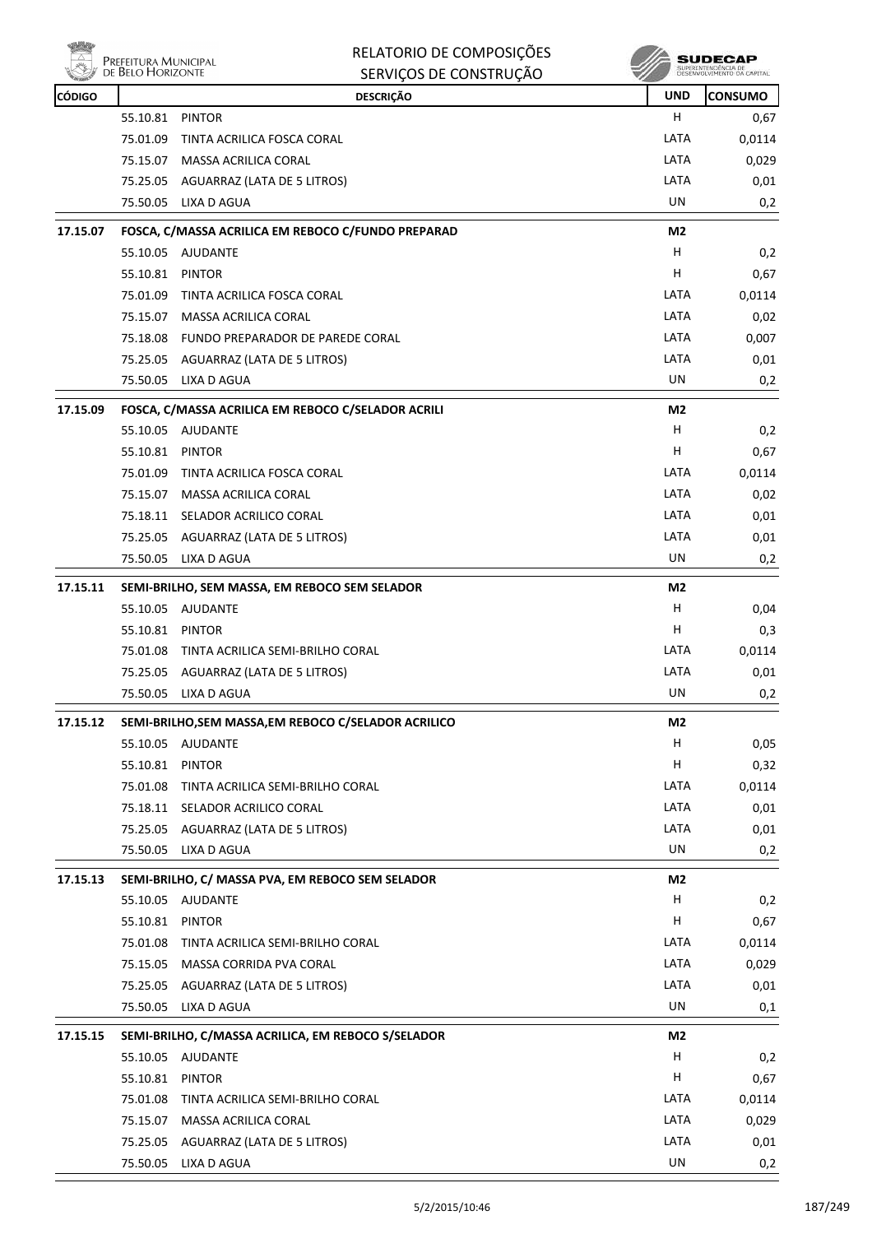|               | Prefeitura Municipal<br>de Belo Horizonte | RELATORIO DE COMPOSIÇÕES<br>SERVIÇOS DE CONSTRUÇÃO   | sı             | SUPERINTENDÊNCIA DE<br>DESENVOLVIMENTO DA CAPITAL |
|---------------|-------------------------------------------|------------------------------------------------------|----------------|---------------------------------------------------|
| <b>CÓDIGO</b> |                                           | <b>DESCRIÇÃO</b>                                     | <b>UND</b>     | <b>CONSUMO</b>                                    |
|               | 55.10.81                                  | <b>PINTOR</b>                                        | н              | 0,67                                              |
|               | 75.01.09                                  | TINTA ACRILICA FOSCA CORAL                           | LATA           | 0,0114                                            |
|               |                                           | 75.15.07 MASSA ACRILICA CORAL                        | LATA           | 0,029                                             |
|               |                                           | 75.25.05 AGUARRAZ (LATA DE 5 LITROS)                 | LATA           | 0,01                                              |
|               | 75.50.05                                  | LIXA D AGUA                                          | UN             | 0,2                                               |
| 17.15.07      |                                           | FOSCA, C/MASSA ACRILICA EM REBOCO C/FUNDO PREPARAD   | M2             |                                                   |
|               |                                           | 55.10.05 AJUDANTE                                    | н              | 0,2                                               |
|               | 55.10.81                                  | PINTOR                                               | н              | 0,67                                              |
|               | 75.01.09                                  | TINTA ACRILICA FOSCA CORAL                           | LATA           | 0,0114                                            |
|               | 75.15.07                                  | MASSA ACRILICA CORAL                                 | LATA           | 0,02                                              |
|               | 75.18.08                                  | FUNDO PREPARADOR DE PAREDE CORAL                     | LATA           | 0,007                                             |
|               |                                           | 75.25.05 AGUARRAZ (LATA DE 5 LITROS)                 | LATA           | 0,01                                              |
|               |                                           | 75.50.05 LIXA D AGUA                                 | UN             | 0,2                                               |
| 17.15.09      |                                           | FOSCA, C/MASSA ACRILICA EM REBOCO C/SELADOR ACRILI   | M <sub>2</sub> |                                                   |
|               |                                           | 55.10.05 AJUDANTE                                    | н              | 0,2                                               |
|               | 55.10.81                                  | PINTOR                                               | н              | 0,67                                              |
|               | 75.01.09                                  | TINTA ACRILICA FOSCA CORAL                           | LATA           | 0,0114                                            |
|               |                                           | 75.15.07 MASSA ACRILICA CORAL                        | LATA           | 0,02                                              |
|               |                                           | 75.18.11 SELADOR ACRILICO CORAL                      | LATA           | 0,01                                              |
|               |                                           | 75.25.05 AGUARRAZ (LATA DE 5 LITROS)                 | LATA           | 0,01                                              |
|               |                                           | 75.50.05 LIXA D AGUA                                 | UN             | 0,2                                               |
| 17.15.11      |                                           | SEMI-BRILHO, SEM MASSA, EM REBOCO SEM SELADOR        | M2             |                                                   |
|               |                                           | 55.10.05 AJUDANTE                                    | н              | 0,04                                              |
|               | 55.10.81 PINTOR                           |                                                      | н              | 0,3                                               |
|               | 75.01.08                                  | TINTA ACRILICA SEMI-BRILHO CORAL                     | LATA           | 0,0114                                            |
|               |                                           | 75.25.05 AGUARRAZ (LATA DE 5 LITROS)                 | LATA           | 0,01                                              |
|               |                                           | 75.50.05 LIXA D AGUA                                 | UN             | 0,2                                               |
| 17.15.12      |                                           | SEMI-BRILHO, SEM MASSA, EM REBOCO C/SELADOR ACRILICO | M2             |                                                   |
|               |                                           | 55.10.05 AJUDANTE                                    | H              | 0,05                                              |
|               | 55.10.81 PINTOR                           |                                                      | Н              | 0,32                                              |
|               | 75.01.08                                  | TINTA ACRILICA SEMI-BRILHO CORAL                     | LATA           | 0,0114                                            |
|               |                                           | 75.18.11 SELADOR ACRILICO CORAL                      | LATA           | 0,01                                              |
|               |                                           | 75.25.05 AGUARRAZ (LATA DE 5 LITROS)                 | LATA           | 0,01                                              |
|               |                                           | 75.50.05 LIXA D AGUA                                 | UN             | 0,2                                               |
| 17.15.13      |                                           | SEMI-BRILHO, C/ MASSA PVA, EM REBOCO SEM SELADOR     | M <sub>2</sub> |                                                   |
|               | 55.10.05                                  | AJUDANTE                                             | H              | 0,2                                               |
|               | 55.10.81 PINTOR                           |                                                      | н              | 0,67                                              |
|               | 75.01.08                                  | TINTA ACRILICA SEMI-BRILHO CORAL                     | LATA           | 0,0114                                            |
|               |                                           | 75.15.05 MASSA CORRIDA PVA CORAL                     | LATA           | 0,029                                             |
|               |                                           | 75.25.05 AGUARRAZ (LATA DE 5 LITROS)                 | LATA           | 0,01                                              |
|               |                                           | 75.50.05 LIXA D AGUA                                 | UN             | 0,1                                               |
| 17.15.15      |                                           | SEMI-BRILHO, C/MASSA ACRILICA, EM REBOCO S/SELADOR   | M2             |                                                   |
|               |                                           | 55.10.05 AJUDANTE                                    | Н              | 0,2                                               |
|               | 55.10.81 PINTOR                           |                                                      | н              | 0,67                                              |
|               | 75.01.08                                  | TINTA ACRILICA SEMI-BRILHO CORAL                     | LATA           | 0,0114                                            |
|               |                                           | 75.15.07 MASSA ACRILICA CORAL                        | LATA           | 0,029                                             |
|               |                                           | 75.25.05 AGUARRAZ (LATA DE 5 LITROS)                 | LATA           | 0,01                                              |
|               |                                           | 75.50.05 LIXA D AGUA                                 | UN             | 0,2                                               |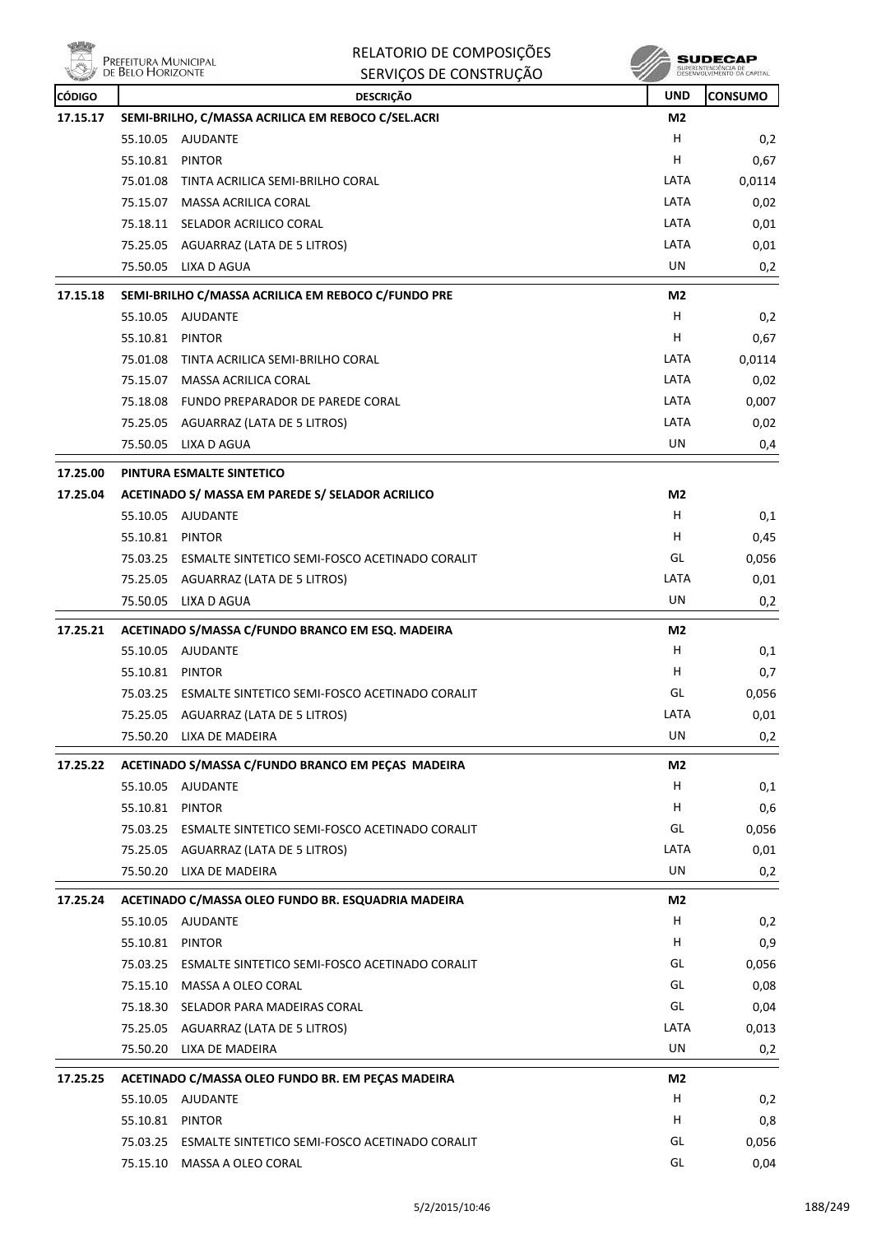**Willip** 

| <b>Reday</b>  |                                           | RELATORIO DE COMPOSIÇÕES                                      |                | SUDECAP                                           |  |
|---------------|-------------------------------------------|---------------------------------------------------------------|----------------|---------------------------------------------------|--|
|               | Prefeitura Municipal<br>de Belo Horizonte | SERVIÇOS DE CONSTRUÇÃO                                        |                | SUPERINTENDÊNCIA DE<br>DESENVOLVIMENTO DA CAPITAL |  |
| <b>CÓDIGO</b> |                                           | <b>DESCRIÇÃO</b>                                              | <b>UND</b>     | <b>CONSUMO</b>                                    |  |
| 17.15.17      |                                           | SEMI-BRILHO, C/MASSA ACRILICA EM REBOCO C/SEL.ACRI            | M <sub>2</sub> |                                                   |  |
|               | 55.10.05                                  | AJUDANTE                                                      | н              | 0,2                                               |  |
|               | 55.10.81                                  | PINTOR                                                        | н              | 0,67                                              |  |
|               | 75.01.08                                  | TINTA ACRILICA SEMI-BRILHO CORAL                              | LATA           | 0,0114                                            |  |
|               |                                           | 75.15.07 MASSA ACRILICA CORAL                                 | LATA           | 0,02                                              |  |
|               |                                           | 75.18.11 SELADOR ACRILICO CORAL                               | LATA           | 0,01                                              |  |
|               |                                           | 75.25.05 AGUARRAZ (LATA DE 5 LITROS)                          | LATA           | 0,01                                              |  |
|               |                                           | 75.50.05 LIXA D AGUA                                          | UN             | 0,2                                               |  |
| 17.15.18      |                                           | SEMI-BRILHO C/MASSA ACRILICA EM REBOCO C/FUNDO PRE            | M2             |                                                   |  |
|               | 55.10.05                                  | AJUDANTE                                                      | H              | 0,2                                               |  |
|               | 55.10.81 PINTOR                           |                                                               | н              | 0,67                                              |  |
|               | 75.01.08                                  | TINTA ACRILICA SEMI-BRILHO CORAL                              | LATA           | 0,0114                                            |  |
|               |                                           | 75.15.07 MASSA ACRILICA CORAL                                 | LATA           | 0,02                                              |  |
|               |                                           | 75.18.08 FUNDO PREPARADOR DE PAREDE CORAL                     | LATA           | 0,007                                             |  |
|               |                                           | 75.25.05 AGUARRAZ (LATA DE 5 LITROS)                          | LATA           | 0,02                                              |  |
|               | 75.50.05                                  | LIXA D AGUA                                                   | UN             | 0,4                                               |  |
| 17.25.00      |                                           | PINTURA ESMALTE SINTETICO                                     |                |                                                   |  |
| 17.25.04      |                                           | ACETINADO S/ MASSA EM PAREDE S/ SELADOR ACRILICO              | M2             |                                                   |  |
|               |                                           | 55.10.05 AJUDANTE                                             | н              | 0,1                                               |  |
|               | 55.10.81 PINTOR                           |                                                               | н              | 0,45                                              |  |
|               |                                           | 75.03.25 ESMALTE SINTETICO SEMI-FOSCO ACETINADO CORALIT       | GL             | 0,056                                             |  |
|               |                                           | 75.25.05 AGUARRAZ (LATA DE 5 LITROS)                          | LATA           | 0,01                                              |  |
|               |                                           | 75.50.05 LIXA D AGUA                                          | UN             | 0,2                                               |  |
| 17.25.21      |                                           | ACETINADO S/MASSA C/FUNDO BRANCO EM ESQ. MADEIRA              | M2             |                                                   |  |
|               | 55.10.05                                  | AJUDANTE                                                      | н              | 0,1                                               |  |
|               | 55.10.81 PINTOR                           |                                                               | н              | 0,7                                               |  |
|               |                                           | 75.03.25 ESMALTE SINTETICO SEMI-FOSCO ACETINADO CORALIT       | GL             | 0,056                                             |  |
|               |                                           | 75.25.05 AGUARRAZ (LATA DE 5 LITROS)                          | LATA           | 0,01                                              |  |
|               |                                           | 75.50.20 LIXA DE MADEIRA                                      | UN             | 0,2                                               |  |
| 17.25.22      |                                           | ACETINADO S/MASSA C/FUNDO BRANCO EM PEÇAS MADEIRA             | M2             |                                                   |  |
|               |                                           | 55.10.05 AJUDANTE                                             | н              | 0,1                                               |  |
|               | 55.10.81 PINTOR                           |                                                               | н              | 0,6                                               |  |
|               |                                           | 75.03.25 ESMALTE SINTETICO SEMI-FOSCO ACETINADO CORALIT       | GL             | 0,056                                             |  |
|               |                                           | 75.25.05 AGUARRAZ (LATA DE 5 LITROS)                          | LATA           | 0,01                                              |  |
|               |                                           | 75.50.20 LIXA DE MADEIRA                                      | UN             | 0,2                                               |  |
| 17.25.24      |                                           | ACETINADO C/MASSA OLEO FUNDO BR. ESQUADRIA MADEIRA            | M2             |                                                   |  |
|               |                                           | 55.10.05 AJUDANTE                                             | Н              | 0,2                                               |  |
|               | 55.10.81 PINTOR                           |                                                               | H.             | 0,9                                               |  |
|               |                                           | 75.03.25 ESMALTE SINTETICO SEMI-FOSCO ACETINADO CORALIT       | GL             | 0,056                                             |  |
|               |                                           | 75.15.10 MASSA A OLEO CORAL                                   | GL             | 0,08                                              |  |
|               |                                           | 75.18.30 SELADOR PARA MADEIRAS CORAL                          | GL             | 0,04                                              |  |
|               |                                           | 75.25.05 AGUARRAZ (LATA DE 5 LITROS)                          | LATA           | 0,013                                             |  |
|               |                                           | 75.50.20 LIXA DE MADEIRA                                      | UN             | 0,2                                               |  |
| 17.25.25      |                                           |                                                               | M2             |                                                   |  |
|               | 55.10.05                                  | ACETINADO C/MASSA OLEO FUNDO BR. EM PEÇAS MADEIRA<br>AJUDANTE | H              | 0,2                                               |  |
|               | 55.10.81 PINTOR                           |                                                               | н              | 0,8                                               |  |
|               |                                           | 75.03.25 ESMALTE SINTETICO SEMI-FOSCO ACETINADO CORALIT       | GL             | 0,056                                             |  |
|               |                                           | 75.15.10 MASSA A OLEO CORAL                                   | GL             | 0,04                                              |  |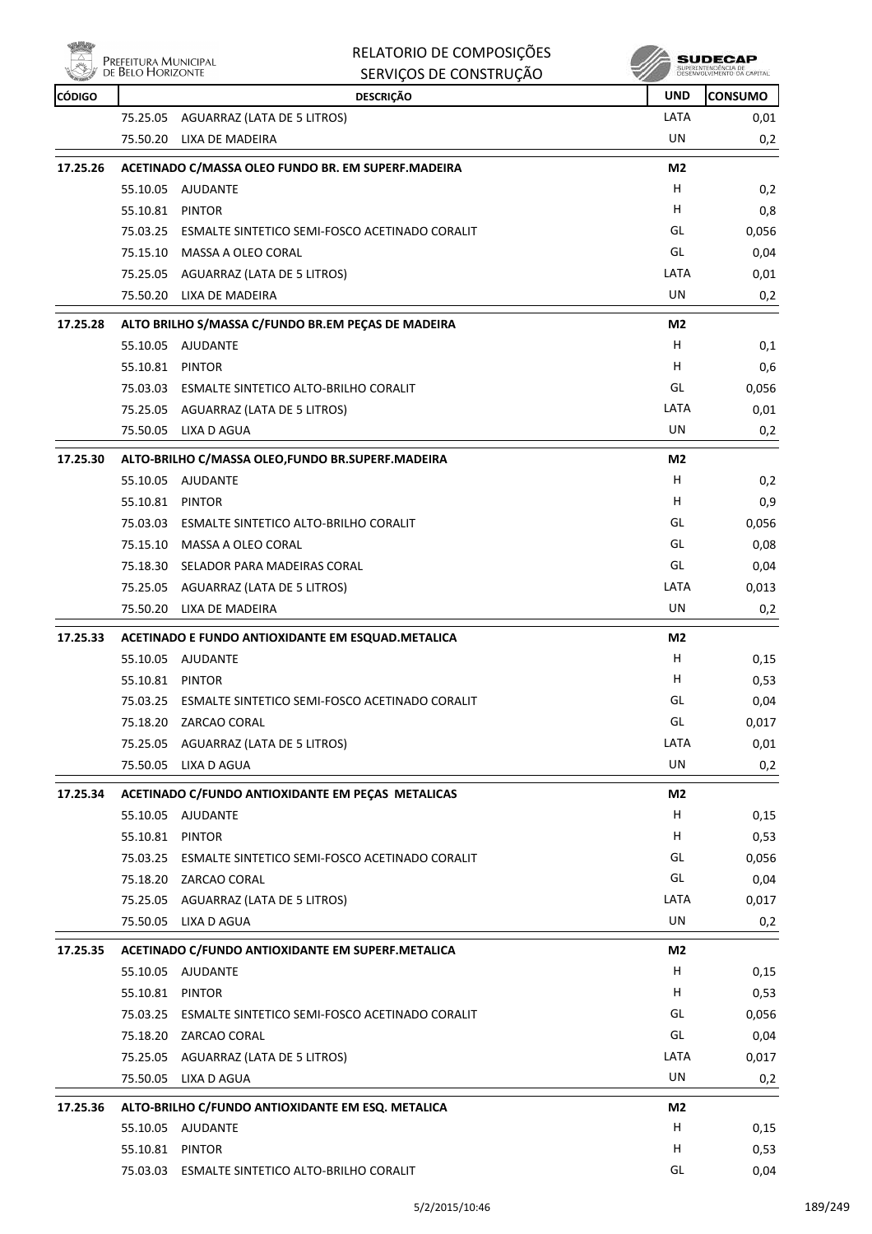

| RELATORIO DE COMPOSIÇÕES |
|--------------------------|
| SERVICOS DE CONSTRUÇÃO   |

| <b>RETAILLE</b><br><b>CÓDIGO</b> |                 | טאטאונטאטט טבעטוונטר<br><b>DESCRIÇÃO</b>                         | <b>UND</b>     | <b>CONSUMO</b> |
|----------------------------------|-----------------|------------------------------------------------------------------|----------------|----------------|
|                                  |                 | 75.25.05 AGUARRAZ (LATA DE 5 LITROS)                             | LATA           | 0,01           |
|                                  | 75.50.20        | LIXA DE MADEIRA                                                  | UN             | 0,2            |
|                                  |                 |                                                                  |                |                |
| 17.25.26                         |                 | ACETINADO C/MASSA OLEO FUNDO BR. EM SUPERF.MADEIRA               | M2<br>H.       |                |
|                                  |                 | 55.10.05 AJUDANTE                                                | Н              | 0,2            |
|                                  | 55.10.81 PINTOR |                                                                  | GL             | 0,8            |
|                                  |                 | 75.03.25 ESMALTE SINTETICO SEMI-FOSCO ACETINADO CORALIT          | GL             | 0,056          |
|                                  |                 | 75.15.10 MASSA A OLEO CORAL                                      | LATA           | 0,04           |
|                                  |                 | 75.25.05 AGUARRAZ (LATA DE 5 LITROS)<br>75.50.20 LIXA DE MADEIRA | UN             | 0,01           |
|                                  |                 |                                                                  |                | 0,2            |
| 17.25.28                         |                 | ALTO BRILHO S/MASSA C/FUNDO BR.EM PEÇAS DE MADEIRA               | M2<br>H        |                |
|                                  |                 | 55.10.05 AJUDANTE                                                | H              | 0,1            |
|                                  | 55.10.81        | PINTOR                                                           |                | 0,6            |
|                                  |                 | 75.03.03 ESMALTE SINTETICO ALTO-BRILHO CORALIT                   | GL             | 0,056          |
|                                  |                 | 75.25.05 AGUARRAZ (LATA DE 5 LITROS)                             | LATA<br>UN     | 0,01           |
|                                  | 75.50.05        | LIXA D AGUA                                                      |                | 0,2            |
| 17.25.30                         |                 | ALTO-BRILHO C/MASSA OLEO, FUNDO BR. SUPERF. MADEIRA              | M2             |                |
|                                  |                 | 55.10.05 AJUDANTE                                                | H              | 0,2            |
|                                  | 55.10.81        | <b>PINTOR</b>                                                    | H              | 0,9            |
|                                  |                 | 75.03.03 ESMALTE SINTETICO ALTO-BRILHO CORALIT                   | GL             | 0,056          |
|                                  |                 | 75.15.10 MASSA A OLEO CORAL                                      | GL             | 0,08           |
|                                  |                 | 75.18.30 SELADOR PARA MADEIRAS CORAL                             | GL             | 0,04           |
|                                  |                 | 75.25.05 AGUARRAZ (LATA DE 5 LITROS)                             | LATA           | 0,013          |
|                                  | 75.50.20        | LIXA DE MADEIRA                                                  | UN             | 0,2            |
| 17.25.33                         |                 | ACETINADO E FUNDO ANTIOXIDANTE EM ESQUAD.METALICA                | M <sub>2</sub> |                |
|                                  |                 | 55.10.05 AJUDANTE                                                | H              | 0,15           |
|                                  | 55.10.81 PINTOR |                                                                  | H              | 0,53           |
|                                  | 75.03.25        | ESMALTE SINTETICO SEMI-FOSCO ACETINADO CORALIT                   | GL             | 0,04           |
|                                  |                 | 75.18.20 ZARCAO CORAL                                            | GL             | 0,017          |
|                                  |                 | 75.25.05 AGUARRAZ (LATA DE 5 LITROS)                             | LATA           | 0,01           |
|                                  | 75.50.05        | LIXA D AGUA                                                      | UN             | 0,2            |
| 17.25.34                         |                 | ACETINADO C/FUNDO ANTIOXIDANTE EM PECAS METALICAS                | M2             |                |
|                                  |                 | 55.10.05 AJUDANTE                                                | H              | 0,15           |
|                                  | 55.10.81        | <b>PINTOR</b>                                                    | H              | 0,53           |
|                                  |                 | 75.03.25 ESMALTE SINTETICO SEMI-FOSCO ACETINADO CORALIT          | GL             | 0,056          |
|                                  |                 | 75.18.20 ZARCAO CORAL                                            | GL             | 0,04           |
|                                  |                 | 75.25.05 AGUARRAZ (LATA DE 5 LITROS)                             | LATA           | 0,017          |
|                                  |                 | 75.50.05 LIXA D AGUA                                             | UN             | 0,2            |
| 17.25.35                         |                 | ACETINADO C/FUNDO ANTIOXIDANTE EM SUPERF.METALICA                | M2             |                |
|                                  |                 | 55.10.05 AJUDANTE                                                | H              | 0,15           |
|                                  | 55.10.81 PINTOR |                                                                  | н              | 0,53           |
|                                  |                 | 75.03.25 ESMALTE SINTETICO SEMI-FOSCO ACETINADO CORALIT          | GL             | 0,056          |
|                                  |                 | 75.18.20 ZARCAO CORAL                                            | GL             | 0,04           |
|                                  |                 | 75.25.05 AGUARRAZ (LATA DE 5 LITROS)                             | LATA           | 0,017          |
|                                  |                 | 75.50.05 LIXA D AGUA                                             | UN             | 0,2            |
| 17.25.36                         |                 | ALTO-BRILHO C/FUNDO ANTIOXIDANTE EM ESQ. METALICA                | M2             |                |
|                                  |                 | 55.10.05 AJUDANTE                                                | H              | 0,15           |
|                                  |                 | 55.10.81 PINTOR                                                  | H              | 0,53           |
|                                  |                 | 75.03.03 ESMALTE SINTETICO ALTO-BRILHO CORALIT                   | GL             | 0,04           |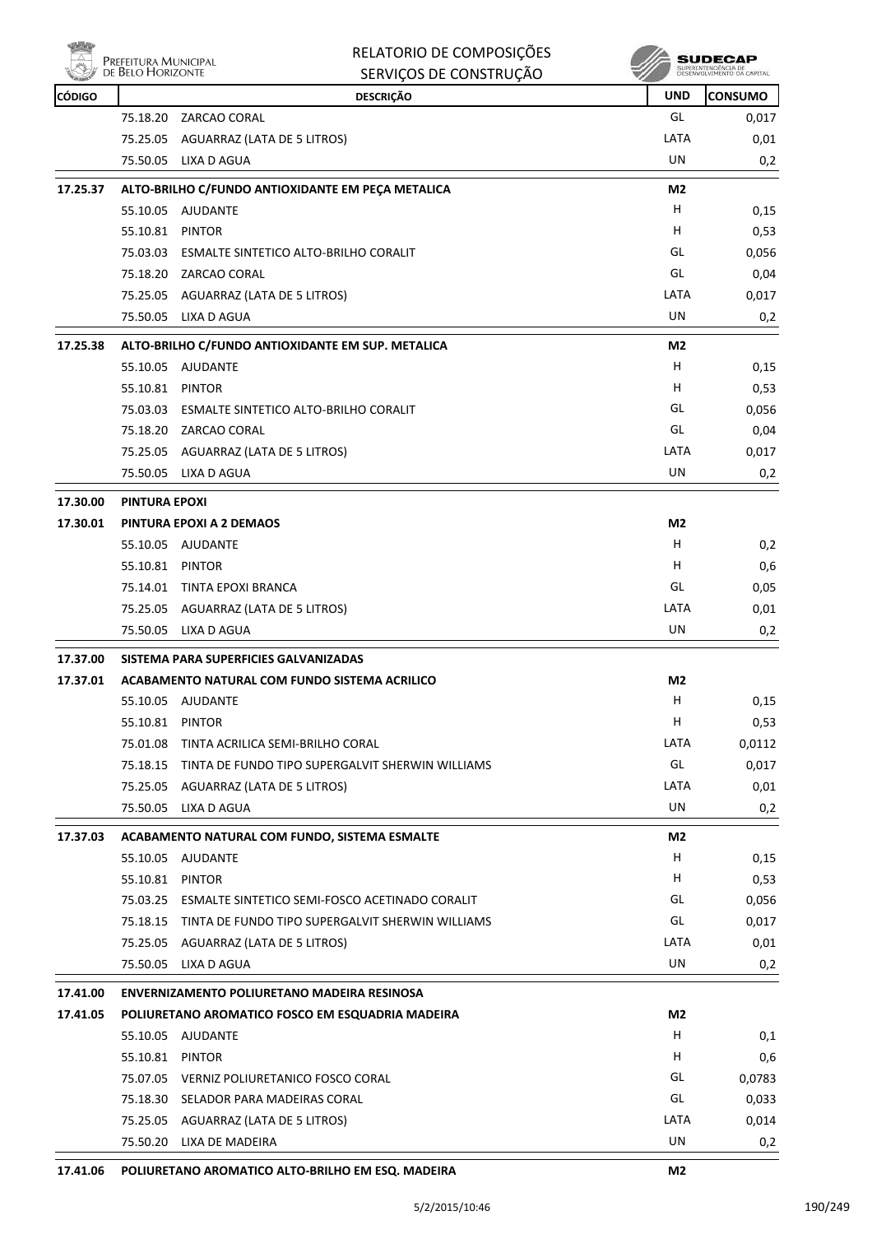

| RELATORIO DE COMPOSIÇÕES |
|--------------------------|
| SERVICOS DE CONSTRUÇÃO   |

**SUDECAP**<br>SUPERNITHOENCIA DE<br>DESENVOLVIMENTO CA CAPITAL

| <b><i>COLLEGE</i></b><br><b>CÓDIGO</b> |                      | <u>senviços de constru</u><br><b>DESCRIÇÃO</b>     | <b>UND</b>     | <b>CONSUMO</b> |
|----------------------------------------|----------------------|----------------------------------------------------|----------------|----------------|
|                                        | 75.18.20             | ZARCAO CORAL                                       | GL             | 0,017          |
|                                        |                      | 75.25.05 AGUARRAZ (LATA DE 5 LITROS)               | LATA           | 0,01           |
|                                        | 75.50.05             | LIXA D AGUA                                        | UN             | 0,2            |
| 17.25.37                               |                      | ALTO-BRILHO C/FUNDO ANTIOXIDANTE EM PEÇA METALICA  | M <sub>2</sub> |                |
|                                        |                      | 55.10.05 AJUDANTE                                  | н              | 0,15           |
|                                        | 55.10.81             | <b>PINTOR</b>                                      | н              | 0,53           |
|                                        |                      | 75.03.03 ESMALTE SINTETICO ALTO-BRILHO CORALIT     | GL             | 0,056          |
|                                        | 75.18.20             | ZARCAO CORAL                                       | GL             | 0,04           |
|                                        |                      | 75.25.05 AGUARRAZ (LATA DE 5 LITROS)               | LATA           | 0,017          |
|                                        |                      | 75.50.05 LIXA D AGUA                               | UN             | 0,2            |
| 17.25.38                               |                      | ALTO-BRILHO C/FUNDO ANTIOXIDANTE EM SUP. METALICA  | M <sub>2</sub> |                |
|                                        |                      | 55.10.05 AJUDANTE                                  | H              | 0,15           |
|                                        | 55.10.81 PINTOR      |                                                    | н              | 0,53           |
|                                        |                      | 75.03.03 ESMALTE SINTETICO ALTO-BRILHO CORALIT     | GL             | 0,056          |
|                                        |                      | 75.18.20 ZARCAO CORAL                              | GL             | 0,04           |
|                                        | 75.25.05             | AGUARRAZ (LATA DE 5 LITROS)                        | LATA           | 0,017          |
|                                        |                      | 75.50.05 LIXA D AGUA                               | UN             | 0,2            |
| 17.30.00                               | <b>PINTURA EPOXI</b> |                                                    |                |                |
| 17.30.01                               |                      | PINTURA EPOXI A 2 DEMAOS                           | M2             |                |
|                                        |                      | 55.10.05 AJUDANTE                                  | H              | 0,2            |
|                                        | 55.10.81 PINTOR      |                                                    | н              | 0,6            |
|                                        |                      | 75.14.01 TINTA EPOXI BRANCA                        | GL             | 0,05           |
|                                        | 75.25.05             | AGUARRAZ (LATA DE 5 LITROS)                        | LATA           | 0,01           |
|                                        | 75.50.05             | LIXA D AGUA                                        | UN             | 0,2            |
| 17.37.00                               |                      | SISTEMA PARA SUPERFICIES GALVANIZADAS              |                |                |
| 17.37.01                               |                      | ACABAMENTO NATURAL COM FUNDO SISTEMA ACRILICO      | M2             |                |
|                                        |                      | 55.10.05 AJUDANTE                                  | H              | 0,15           |
|                                        | 55.10.81 PINTOR      |                                                    | н              | 0,53           |
|                                        | 75.01.08             | TINTA ACRILICA SEMI-BRILHO CORAL                   | LATA           | 0,0112         |
|                                        | 75.18.15             | TINTA DE FUNDO TIPO SUPERGALVIT SHERWIN WILLIAMS   | GL             | 0,017          |
|                                        | 75.25.05             | AGUARRAZ (LATA DE 5 LITROS)                        | LATA           | 0,01           |
|                                        | 75.50.05             | LIXA D AGUA                                        | UN             | 0,2            |
| 17.37.03                               |                      | ACABAMENTO NATURAL COM FUNDO, SISTEMA ESMALTE      | M2             |                |
|                                        |                      | 55.10.05 AJUDANTE                                  | H.             | 0,15           |
|                                        | 55.10.81             | <b>PINTOR</b>                                      | H.             | 0,53           |
|                                        | 75.03.25             | ESMALTE SINTETICO SEMI-FOSCO ACETINADO CORALIT     | GL             | 0,056          |
|                                        | 75.18.15             | TINTA DE FUNDO TIPO SUPERGALVIT SHERWIN WILLIAMS   | GL             | 0,017          |
|                                        | 75.25.05             | AGUARRAZ (LATA DE 5 LITROS)                        | LATA           | 0,01           |
|                                        | 75.50.05             | LIXA D AGUA                                        | <b>UN</b>      | 0,2            |
| 17.41.00                               |                      | <b>ENVERNIZAMENTO POLIURETANO MADEIRA RESINOSA</b> |                |                |
| 17.41.05                               |                      | POLIURETANO AROMATICO FOSCO EM ESQUADRIA MADEIRA   | M2             |                |
|                                        |                      | 55.10.05 AJUDANTE                                  | H.             | 0,1            |
|                                        | 55.10.81             | <b>PINTOR</b>                                      | H              | 0,6            |
|                                        |                      | 75.07.05 VERNIZ POLIURETANICO FOSCO CORAL          | GL             | 0,0783         |
|                                        | 75.18.30             | SELADOR PARA MADEIRAS CORAL                        | GL             | 0,033          |
|                                        | 75.25.05             | AGUARRAZ (LATA DE 5 LITROS)                        | LATA           | 0,014          |
|                                        |                      | 75.50.20 LIXA DE MADEIRA                           | UN             | 0,2            |
|                                        |                      |                                                    |                |                |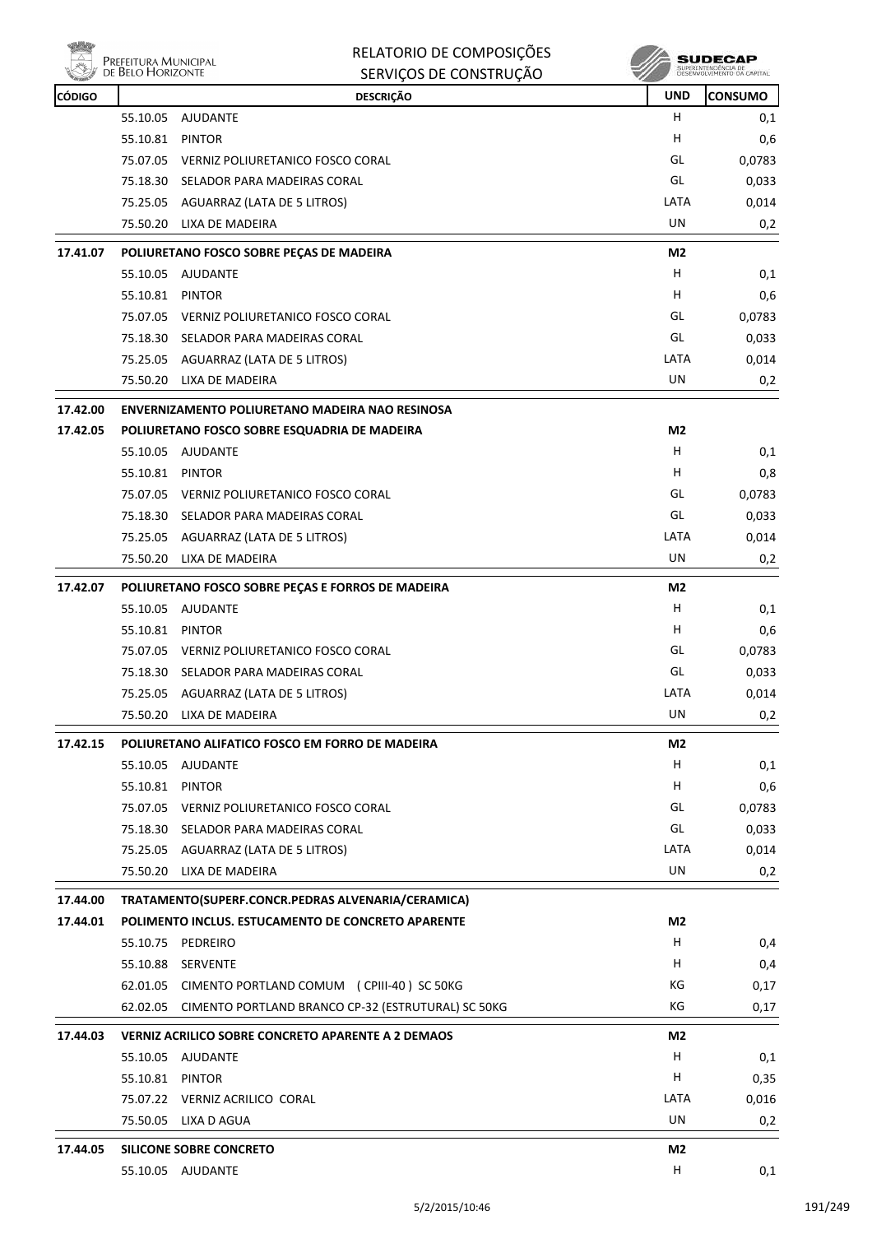

|               | PREFEITURA MUNICIPAL<br>DE BELO HORIZONTE | RELATORIO DE COMPOSIÇÕES<br>SERVIÇOS DE CONSTRUÇÃO          |                | SUDECAP<br>SUPERINTENDÊNCIA DE<br>DÉSÉNVOLVIMENTO DA CAPITAL |
|---------------|-------------------------------------------|-------------------------------------------------------------|----------------|--------------------------------------------------------------|
| <b>CÓDIGO</b> |                                           | <b>DESCRIÇÃO</b>                                            | <b>UND</b>     | <b>CONSUMO</b>                                               |
|               | 55.10.05                                  | <b>AJUDANTE</b>                                             | н              | 0,1                                                          |
|               | 55.10.81                                  | <b>PINTOR</b>                                               | н              | 0,6                                                          |
|               | 75.07.05                                  | VERNIZ POLIURETANICO FOSCO CORAL                            | GL             | 0,0783                                                       |
|               | 75.18.30                                  | SELADOR PARA MADEIRAS CORAL                                 | GL             | 0,033                                                        |
|               | 75.25.05                                  | AGUARRAZ (LATA DE 5 LITROS)                                 | LATA           | 0,014                                                        |
|               | 75.50.20                                  | LIXA DE MADEIRA                                             | UN             | 0,2                                                          |
| 17.41.07      |                                           | POLIURETANO FOSCO SOBRE PEÇAS DE MADEIRA                    | M <sub>2</sub> |                                                              |
|               | 55.10.05                                  | AJUDANTE                                                    | н              | 0,1                                                          |
|               | 55.10.81                                  | <b>PINTOR</b>                                               | н              | 0,6                                                          |
|               |                                           | 75.07.05 VERNIZ POLIURETANICO FOSCO CORAL                   | GL             | 0,0783                                                       |
|               | 75.18.30                                  | SELADOR PARA MADEIRAS CORAL                                 | GL             | 0,033                                                        |
|               | 75.25.05                                  | AGUARRAZ (LATA DE 5 LITROS)                                 | LATA           | 0,014                                                        |
|               |                                           | 75.50.20 LIXA DE MADEIRA                                    | UN             | 0,2                                                          |
| 17.42.00      |                                           | ENVERNIZAMENTO POLIURETANO MADEIRA NAO RESINOSA             |                |                                                              |
| 17.42.05      |                                           | POLIURETANO FOSCO SOBRE ESQUADRIA DE MADEIRA                | M2             |                                                              |
|               |                                           | 55.10.05 AJUDANTE                                           | н              | 0,1                                                          |
|               | 55.10.81                                  | <b>PINTOR</b>                                               | н              | 0,8                                                          |
|               | 75.07.05                                  | VERNIZ POLIURETANICO FOSCO CORAL                            | GL             | 0,0783                                                       |
|               | 75.18.30                                  | SELADOR PARA MADEIRAS CORAL                                 | GL             | 0,033                                                        |
|               |                                           | 75.25.05 AGUARRAZ (LATA DE 5 LITROS)                        | LATA           | 0,014                                                        |
|               | 75.50.20                                  | LIXA DE MADEIRA                                             | UN             | 0,2                                                          |
| 17.42.07      |                                           | POLIURETANO FOSCO SOBRE PEÇAS E FORROS DE MADEIRA           | M2             |                                                              |
|               | 55.10.05                                  | AJUDANTE                                                    | н              | 0,1                                                          |
|               | 55.10.81                                  | <b>PINTOR</b>                                               | н              | 0,6                                                          |
|               |                                           | 75.07.05 VERNIZ POLIURETANICO FOSCO CORAL                   | GL             | 0,0783                                                       |
|               |                                           | 75.18.30 SELADOR PARA MADEIRAS CORAL                        | GL             | 0,033                                                        |
|               |                                           | 75.25.05 AGUARRAZ (LATA DE 5 LITROS)                        | LATA           | 0,014                                                        |
|               |                                           | 75.50.20 LIXA DE MADEIRA                                    | UN             | 0,2                                                          |
| 17.42.15      |                                           | POLIURETANO ALIFATICO FOSCO EM FORRO DE MADEIRA             | M2             |                                                              |
|               |                                           | 55.10.05 AJUDANTE                                           | H              | 0,1                                                          |
|               | 55.10.81 PINTOR                           |                                                             | H              | 0,6                                                          |
|               |                                           | 75.07.05 VERNIZ POLIURETANICO FOSCO CORAL                   | GL             | 0,0783                                                       |
|               |                                           | 75.18.30 SELADOR PARA MADEIRAS CORAL                        | GL             | 0,033                                                        |
|               |                                           | 75.25.05 AGUARRAZ (LATA DE 5 LITROS)                        | LATA           | 0,014                                                        |
|               |                                           | 75.50.20 LIXA DE MADEIRA                                    | <b>UN</b>      | 0,2                                                          |
| 17.44.00      |                                           | TRATAMENTO(SUPERF.CONCR.PEDRAS ALVENARIA/CERAMICA)          |                |                                                              |
| 17.44.01      |                                           | POLIMENTO INCLUS. ESTUCAMENTO DE CONCRETO APARENTE          | M2             |                                                              |
|               |                                           | 55.10.75 PEDREIRO                                           | H.             | 0,4                                                          |
|               |                                           | 55.10.88 SERVENTE                                           | H              | 0,4                                                          |
|               |                                           | 62.01.05 CIMENTO PORTLAND COMUM (CPIII-40) SC 50KG          | КG             | 0,17                                                         |
|               |                                           | 62.02.05 CIMENTO PORTLAND BRANCO CP-32 (ESTRUTURAL) SC 50KG | KG             | 0,17                                                         |
| 17.44.03      |                                           | <b>VERNIZ ACRILICO SOBRE CONCRETO APARENTE A 2 DEMAOS</b>   | M2             |                                                              |
|               |                                           | 55.10.05 AJUDANTE                                           | H.             | 0,1                                                          |
|               | 55.10.81 PINTOR                           |                                                             | H              | 0,35                                                         |
|               |                                           | 75.07.22 VERNIZ ACRILICO CORAL                              | LATA           | 0,016                                                        |
|               |                                           | 75.50.05 LIXA D AGUA                                        | UN             | 0,2                                                          |
| 17.44.05      |                                           | SILICONE SOBRE CONCRETO                                     | M2             |                                                              |
|               |                                           | 55.10.05 AJUDANTE                                           | H              | 0,1                                                          |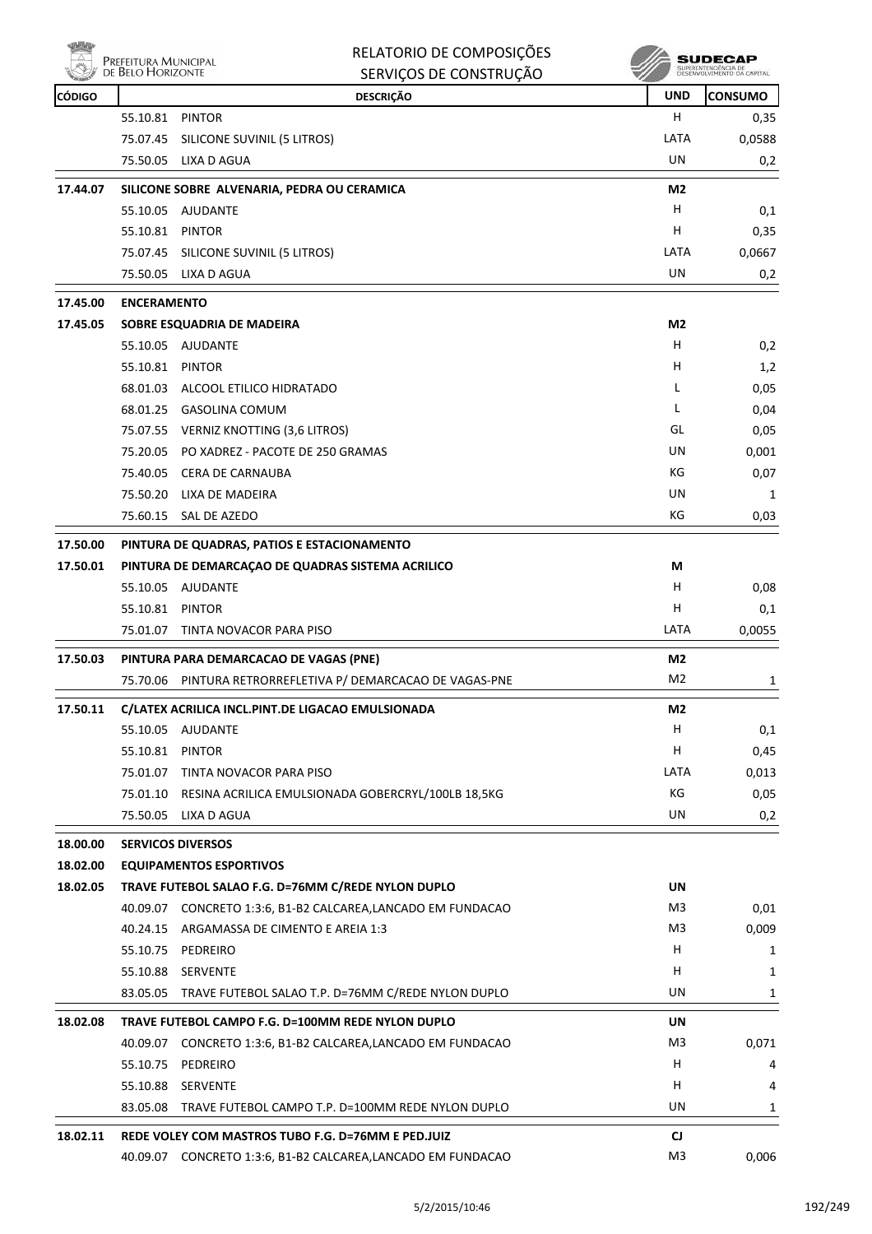| PREFEITURA MUNICIPAL<br>DE BELO HORIZONTE |
|-------------------------------------------|
|                                           |

| RELATORIO DE COMPOSIÇÕES |
|--------------------------|
| SERVIÇOS DE CONSTRUÇÃO   |

| <b>CÓDIGO</b> |                    | <b>DESCRIÇÃO</b>                                             | <b>UND</b>            | <b>CONSUMO</b> |
|---------------|--------------------|--------------------------------------------------------------|-----------------------|----------------|
|               | 55.10.81 PINTOR    |                                                              | H.                    | 0,35           |
|               | 75.07.45           | SILICONE SUVINIL (5 LITROS)                                  | LATA                  | 0,0588         |
|               | 75.50.05           | LIXA D AGUA                                                  | UN                    | 0,2            |
| 17.44.07      |                    | SILICONE SOBRE ALVENARIA, PEDRA OU CERAMICA                  | M <sub>2</sub>        |                |
|               | 55.10.05           | AJUDANTE                                                     | н                     | 0,1            |
|               | 55.10.81 PINTOR    |                                                              | н                     | 0,35           |
|               |                    | 75.07.45 SILICONE SUVINIL (5 LITROS)                         | LATA                  | 0,0667         |
|               |                    | 75.50.05 LIXA D AGUA                                         | <b>UN</b>             | 0,2            |
| 17.45.00      | <b>ENCERAMENTO</b> |                                                              |                       |                |
| 17.45.05      |                    | SOBRE ESQUADRIA DE MADEIRA                                   | M <sub>2</sub>        |                |
|               |                    | 55.10.05 AJUDANTE                                            | Н                     | 0,2            |
|               | 55.10.81 PINTOR    |                                                              | н                     | 1,2            |
|               |                    | 68.01.03 ALCOOL ETILICO HIDRATADO                            | L                     | 0,05           |
|               |                    | 68.01.25 GASOLINA COMUM                                      | L                     | 0,04           |
|               |                    | 75.07.55 VERNIZ KNOTTING (3,6 LITROS)                        | GL                    | 0,05           |
|               |                    | 75.20.05 PO XADREZ - PACOTE DE 250 GRAMAS                    | UN                    | 0,001          |
|               |                    | 75.40.05 CERA DE CARNAUBA                                    | КG                    | 0,07           |
|               |                    | 75.50.20 LIXA DE MADEIRA                                     | UN                    | 1              |
|               |                    | 75.60.15 SAL DE AZEDO                                        | КG                    | 0,03           |
| 17.50.00      |                    | PINTURA DE QUADRAS, PATIOS E ESTACIONAMENTO                  |                       |                |
| 17.50.01      |                    | PINTURA DE DEMARCAÇÃO DE QUADRAS SISTEMA ACRILICO            | M                     |                |
|               |                    | 55.10.05 AJUDANTE                                            | н                     | 0,08           |
|               | 55.10.81 PINTOR    |                                                              | н                     | 0,1            |
|               | 75.01.07           | TINTA NOVACOR PARA PISO                                      | LATA                  | 0,0055         |
| 17.50.03      |                    | PINTURA PARA DEMARCACAO DE VAGAS (PNE)                       | M2                    |                |
|               | 75.70.06           | PINTURA RETRORREFLETIVA P/ DEMARCACAO DE VAGAS-PNE           | M2                    | 1              |
| 17.50.11      |                    | C/LATEX ACRILICA INCL.PINT.DE LIGACAO EMULSIONADA            | M2                    |                |
|               |                    | 55.10.05 AJUDANTE                                            | Н                     | 0,1            |
|               | 55.10.81 PINTOR    |                                                              | Н                     | 0,45           |
|               | 75.01.07           | TINTA NOVACOR PARA PISO                                      | LATA                  | 0,013          |
|               |                    | 75.01.10 RESINA ACRILICA EMULSIONADA GOBERCRYL/100LB 18,5KG  | КG                    | 0,05           |
|               | 75.50.05           | LIXA D AGUA                                                  | UN                    | 0,2            |
| 18.00.00      |                    | <b>SERVICOS DIVERSOS</b>                                     |                       |                |
| 18.02.00      |                    | <b>EQUIPAMENTOS ESPORTIVOS</b>                               |                       |                |
| 18.02.05      |                    | TRAVE FUTEBOL SALAO F.G. D=76MM C/REDE NYLON DUPLO           | <b>UN</b>             |                |
|               |                    | 40.09.07 CONCRETO 1:3:6, B1-B2 CALCAREA, LANCADO EM FUNDACAO | M3                    | 0,01           |
|               |                    | 40.24.15 ARGAMASSA DE CIMENTO E AREIA 1:3                    | M3                    | 0,009          |
|               |                    | 55.10.75 PEDREIRO                                            | н                     | 1              |
|               | 55.10.88           | SERVENTE                                                     | н                     | 1              |
|               | 83.05.05           | TRAVE FUTEBOL SALAO T.P. D=76MM C/REDE NYLON DUPLO           | UN                    | 1              |
| 18.02.08      |                    | TRAVE FUTEBOL CAMPO F.G. D=100MM REDE NYLON DUPLO            | UN                    |                |
|               |                    | 40.09.07 CONCRETO 1:3:6, B1-B2 CALCAREA, LANCADO EM FUNDACAO | M3                    | 0,071          |
|               | 55.10.75           | PEDREIRO                                                     | н                     | 4              |
|               | 55.10.88           | SERVENTE                                                     | н                     | 4              |
|               |                    | 83.05.08 TRAVE FUTEBOL CAMPO T.P. D=100MM REDE NYLON DUPLO   | UN                    | 1              |
|               |                    | REDE VOLEY COM MASTROS TUBO F.G. D=76MM E PED.JUIZ           |                       |                |
| 18.02.11      |                    | 40.09.07 CONCRETO 1:3:6, B1-B2 CALCAREA, LANCADO EM FUNDACAO | CJ.<br>M <sub>3</sub> |                |
|               |                    |                                                              |                       | 0,006          |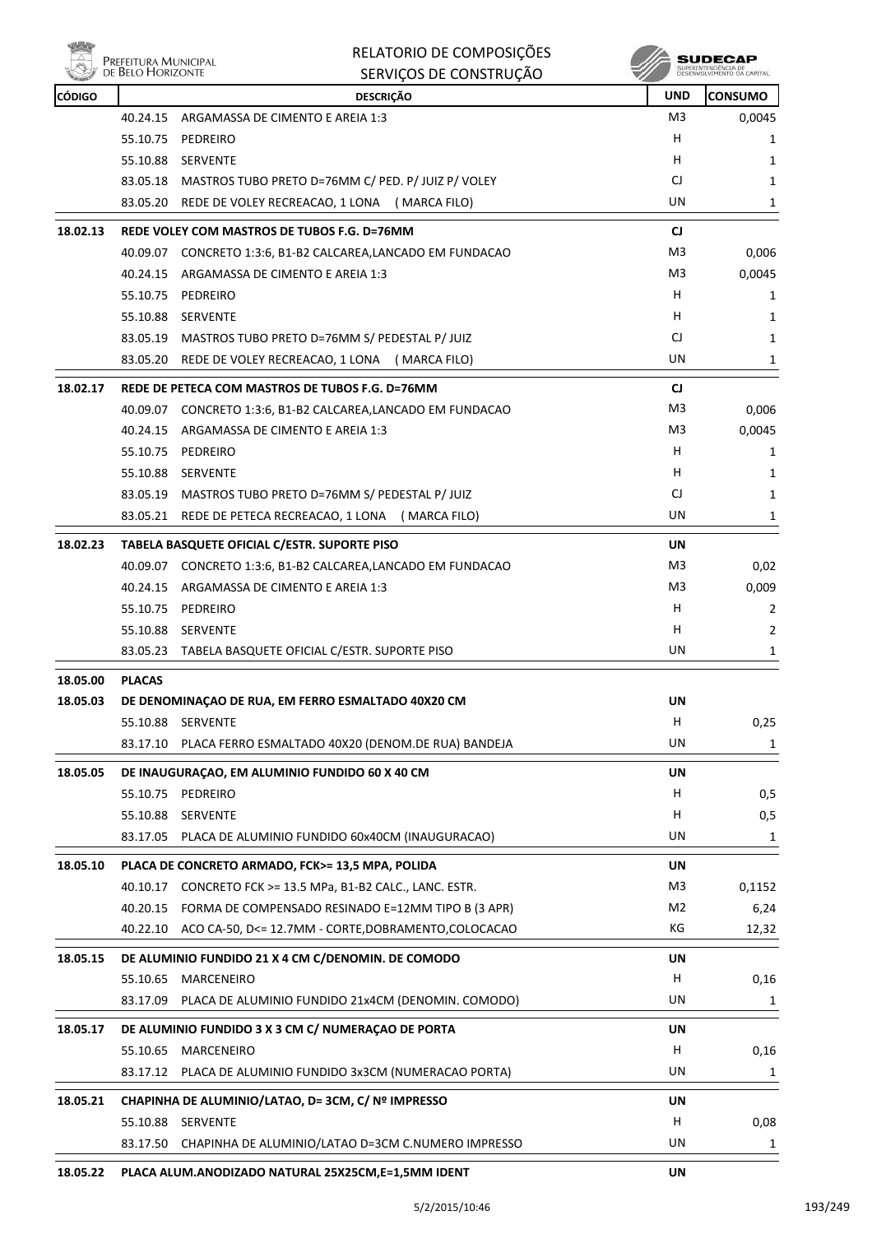

**SUDECAP**<br>SUPERNITHOENCIA DE<br>DESENVOLVIMENTO CA CAPITAL

| <b>CÓDIGO</b> |               | <b>DESCRIÇÃO</b>                                                        | <b>UND</b>     | <b>CONSUMO</b> |
|---------------|---------------|-------------------------------------------------------------------------|----------------|----------------|
|               | 40.24.15      | ARGAMASSA DE CIMENTO E AREIA 1:3                                        | M <sub>3</sub> | 0,0045         |
|               | 55.10.75      | PEDREIRO                                                                | н              | 1              |
|               | 55.10.88      | <b>SERVENTE</b>                                                         | н              | 1              |
|               | 83.05.18      | MASTROS TUBO PRETO D=76MM C/ PED. P/ JUIZ P/ VOLEY                      | CJ             | 1              |
|               | 83.05.20      | REDE DE VOLEY RECREACAO, 1 LONA (MARCA FILO)                            | UN             | 1              |
| 18.02.13      |               | REDE VOLEY COM MASTROS DE TUBOS F.G. D=76MM                             | <b>CJ</b>      |                |
|               |               | 40.09.07 CONCRETO 1:3:6, B1-B2 CALCAREA,LANCADO EM FUNDACAO             | M3             | 0,006          |
|               |               | 40.24.15 ARGAMASSA DE CIMENTO E AREIA 1:3                               | M3             | 0,0045         |
|               |               | 55.10.75 PEDREIRO                                                       | н              | 1              |
|               | 55.10.88      | <b>SERVENTE</b>                                                         | н              | 1              |
|               |               | 83.05.19 MASTROS TUBO PRETO D=76MM S/ PEDESTAL P/ JUIZ                  | CJ             | 1              |
|               | 83.05.20      | REDE DE VOLEY RECREACAO, 1 LONA (MARCA FILO)                            | UN             | 1              |
| 18.02.17      |               | REDE DE PETECA COM MASTROS DE TUBOS F.G. D=76MM                         | <b>CJ</b>      |                |
|               |               | 40.09.07 CONCRETO 1:3:6, B1-B2 CALCAREA,LANCADO EM FUNDACAO             | M3             | 0,006          |
|               | 40.24.15      | ARGAMASSA DE CIMENTO E AREIA 1:3                                        | M3             | 0,0045         |
|               |               | 55.10.75 PEDREIRO                                                       | H.             | 1              |
|               |               | 55.10.88 SERVENTE                                                       | н              | 1              |
|               | 83.05.19      | MASTROS TUBO PRETO D=76MM S/ PEDESTAL P/ JUIZ                           | CJ             | 1              |
|               | 83.05.21      | REDE DE PETECA RECREACAO, 1 LONA (MARCA FILO)                           | UN             | 1              |
| 18.02.23      |               | TABELA BASQUETE OFICIAL C/ESTR. SUPORTE PISO                            | UN             |                |
|               |               | 40.09.07 CONCRETO 1:3:6, B1-B2 CALCAREA,LANCADO EM FUNDACAO             | M3             | 0,02           |
|               | 40.24.15      | ARGAMASSA DE CIMENTO E AREIA 1:3                                        | M3             | 0,009          |
|               |               | 55.10.75 PEDREIRO                                                       | н              | 2              |
|               | 55.10.88      | <b>SERVENTE</b>                                                         | н              | 2              |
|               |               | 83.05.23 TABELA BASQUETE OFICIAL C/ESTR. SUPORTE PISO                   | UN             | 1              |
|               |               |                                                                         |                |                |
| 18.05.00      | <b>PLACAS</b> |                                                                         |                |                |
| 18.05.03      |               | DE DENOMINAÇÃO DE RUA, EM FERRO ESMALTADO 40X20 CM<br>55.10.88 SERVENTE | UN<br>H        | 0,25           |
|               | 83.17.10      | PLACA FERRO ESMALTADO 40X20 (DENOM.DE RUA) BANDEJA                      | UN             | 1              |
|               |               |                                                                         |                |                |
| 18.05.05      |               | DE INAUGURAÇÃO, EM ALUMINIO FUNDIDO 60 X 40 CM                          | UN             |                |
|               |               | 55.10.75 PEDREIRO                                                       | H              | 0,5            |
|               | 55.10.88      | SERVENTE                                                                | н              | 0,5            |
|               | 83.17.05      | PLACA DE ALUMINIO FUNDIDO 60x40CM (INAUGURACAO)                         | UN             | 1              |
| 18.05.10      |               | PLACA DE CONCRETO ARMADO, FCK>= 13,5 MPA, POLIDA                        | <b>UN</b>      |                |
|               | 40.10.17      | CONCRETO FCK >= 13.5 MPa, B1-B2 CALC., LANC. ESTR.                      | M <sub>3</sub> | 0,1152         |
|               | 40.20.15      | FORMA DE COMPENSADO RESINADO E=12MM TIPO B (3 APR)                      | M <sub>2</sub> | 6,24           |
|               | 40.22.10      | ACO CA-50, D<= 12.7MM - CORTE, DOBRAMENTO, COLOCACAO                    | КG             | 12,32          |
| 18.05.15      |               | DE ALUMINIO FUNDIDO 21 X 4 CM C/DENOMIN. DE COMODO                      | UN             |                |
|               | 55.10.65      | MARCENEIRO                                                              | н              | 0,16           |
|               | 83.17.09      | PLACA DE ALUMINIO FUNDIDO 21x4CM (DENOMIN. COMODO)                      | UN             | 1              |
| 18.05.17      |               | DE ALUMINIO FUNDIDO 3 X 3 CM C/ NUMERAÇÃO DE PORTA                      | UN             |                |
|               | 55.10.65      | <b>MARCENEIRO</b>                                                       | н              | 0,16           |
|               | 83.17.12      | PLACA DE ALUMINIO FUNDIDO 3x3CM (NUMERACAO PORTA)                       | UN             | 1              |
|               |               |                                                                         |                |                |
| 18.05.21      |               | CHAPINHA DE ALUMINIO/LATAO, D= 3CM, C/ Nº IMPRESSO                      | UN             |                |
|               |               | 55.10.88 SERVENTE                                                       | H              | 0,08           |
|               | 83.17.50      | CHAPINHA DE ALUMINIO/LATAO D=3CM C.NUMERO IMPRESSO                      | UN             | 1              |
|               |               | NODIZADO NATURAL OFVOECNA F                                             |                |                |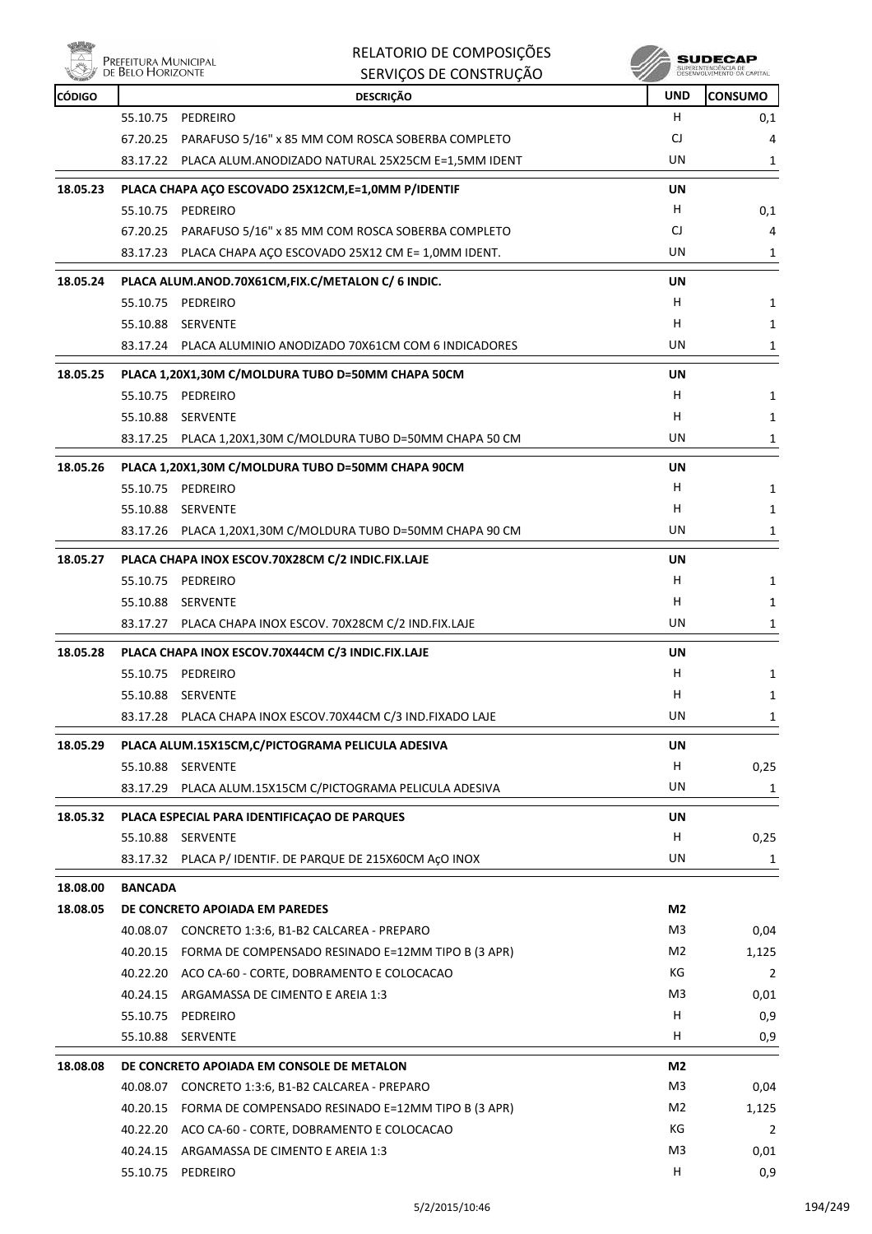

| <b>CÓDIGO</b> |                | <b>DESCRIÇÃO</b>                                            | <b>UND</b> | <b>CONSUMO</b> |
|---------------|----------------|-------------------------------------------------------------|------------|----------------|
|               |                | 55.10.75 PEDREIRO                                           | H.         | 0,1            |
|               | 67.20.25       | PARAFUSO 5/16" x 85 MM COM ROSCA SOBERBA COMPLETO           | CJ         | 4              |
|               | 83.17.22       | PLACA ALUM.ANODIZADO NATURAL 25X25CM E=1,5MM IDENT          | UN         | 1              |
| 18.05.23      |                | PLACA CHAPA AÇO ESCOVADO 25X12CM, E=1,0MM P/IDENTIF         | UN         |                |
|               |                | 55.10.75 PEDREIRO                                           | H.         | 0,1            |
|               |                | 67.20.25 PARAFUSO 5/16" x 85 MM COM ROSCA SOBERBA COMPLETO  | CJ         | 4              |
|               |                | 83.17.23 PLACA CHAPA AÇO ESCOVADO 25X12 CM E= 1,0MM IDENT.  | UN         | 1              |
| 18.05.24      |                | PLACA ALUM.ANOD.70X61CM, FIX.C/METALON C/ 6 INDIC.          | UN         |                |
|               |                | 55.10.75 PEDREIRO                                           | H          | 1              |
|               |                | 55.10.88 SERVENTE                                           | H.         | 1              |
|               |                | 83.17.24 PLACA ALUMINIO ANODIZADO 70X61CM COM 6 INDICADORES | UN         | 1              |
| 18.05.25      |                | PLACA 1,20X1,30M C/MOLDURA TUBO D=50MM CHAPA 50CM           | UN         |                |
|               |                | 55.10.75 PEDREIRO                                           | H.         | 1              |
|               |                | 55.10.88 SERVENTE                                           | H.         | 1              |
|               |                | 83.17.25 PLACA 1,20X1,30M C/MOLDURA TUBO D=50MM CHAPA 50 CM | UN         | 1              |
| 18.05.26      |                | PLACA 1,20X1,30M C/MOLDURA TUBO D=50MM CHAPA 90CM           | UN         |                |
|               |                | 55.10.75 PEDREIRO                                           | H          | 1              |
|               | 55.10.88       | SERVENTE                                                    | H          | 1              |
|               |                | 83.17.26 PLACA 1,20X1,30M C/MOLDURA TUBO D=50MM CHAPA 90 CM | UN         | 1              |
| 18.05.27      |                | PLACA CHAPA INOX ESCOV.70X28CM C/2 INDIC.FIX.LAJE           | <b>UN</b>  |                |
|               |                | 55.10.75 PEDREIRO                                           | H          | 1              |
|               |                | 55.10.88 SERVENTE                                           | H          | 1              |
|               |                | 83.17.27 PLACA CHAPA INOX ESCOV. 70X28CM C/2 IND.FIX.LAJE   | UN         | 1              |
| 18.05.28      |                | PLACA CHAPA INOX ESCOV.70X44CM C/3 INDIC.FIX.LAJE           | UN         |                |
|               |                | 55.10.75 PEDREIRO                                           | H.         | 1              |
|               | 55.10.88       | <b>SERVENTE</b>                                             | H.         | 1              |
|               |                | 83.17.28 PLACA CHAPA INOX ESCOV.70X44CM C/3 IND.FIXADO LAJE | UN         | 1              |
| 18.05.29      |                | PLACA ALUM.15X15CM,C/PICTOGRAMA PELICULA ADESIVA            | UN         |                |
|               | 55.10.88       | SERVENTE                                                    | Н          | 0,25           |
|               | 83.17.29       | PLACA ALUM.15X15CM C/PICTOGRAMA PELICULA ADESIVA            | UN         | 1              |
| 18.05.32      |                | PLACA ESPECIAL PARA IDENTIFICAÇÃO DE PARQUES                | UN         |                |
|               |                | 55.10.88 SERVENTE                                           | H.         | 0,25           |
|               |                | 83.17.32 PLACA P/ IDENTIF. DE PARQUE DE 215X60CM AçO INOX   | UN         | 1              |
| 18.08.00      | <b>BANCADA</b> |                                                             |            |                |
| 18.08.05      |                | DE CONCRETO APOIADA EM PAREDES                              | M2         |                |
|               |                | 40.08.07 CONCRETO 1:3:6, B1-B2 CALCAREA - PREPARO           | M3         | 0,04           |
|               |                | 40.20.15 FORMA DE COMPENSADO RESINADO E=12MM TIPO B (3 APR) | M2         | 1,125          |
|               |                | 40.22.20 ACO CA-60 - CORTE, DOBRAMENTO E COLOCACAO          | КG         | $\overline{2}$ |
|               | 40.24.15       | ARGAMASSA DE CIMENTO E AREIA 1:3                            | M3         | 0,01           |
|               |                | 55.10.75 PEDREIRO                                           | H          | 0,9            |
|               |                | 55.10.88 SERVENTE                                           | Н.         | 0,9            |
| 18.08.08      |                | DE CONCRETO APOIADA EM CONSOLE DE METALON                   | M2         |                |
|               |                | 40.08.07 CONCRETO 1:3:6, B1-B2 CALCAREA - PREPARO           | M3         | 0,04           |
|               | 40.20.15       | FORMA DE COMPENSADO RESINADO E=12MM TIPO B (3 APR)          | M2         | 1,125          |
|               |                | 40.22.20 ACO CA-60 - CORTE, DOBRAMENTO E COLOCACAO          | КG         | $\overline{2}$ |
|               | 40.24.15       | ARGAMASSA DE CIMENTO E AREIA 1:3                            | M3         | 0,01           |
|               |                | 55.10.75 PEDREIRO                                           | H          | 0,9            |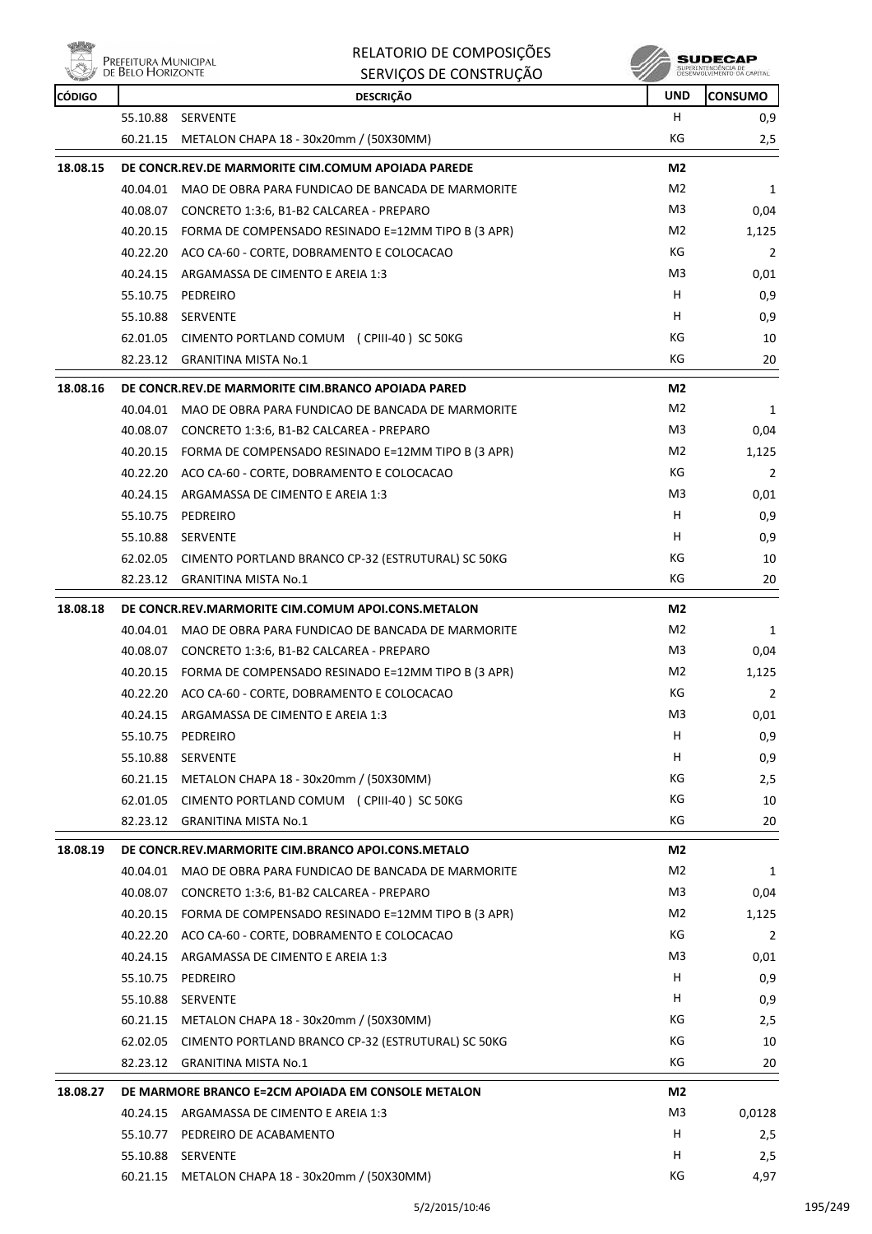



| <b>REAL FRANCH</b> | <b>DE DELO LIONIZONIE</b> | SERVIÇUS DE CUNSTRUÇAU                                      |                |                |
|--------------------|---------------------------|-------------------------------------------------------------|----------------|----------------|
| <b>CÓDIGO</b>      |                           | <b>DESCRIÇÃO</b>                                            | <b>UND</b>     | <b>CONSUMO</b> |
|                    |                           | 55.10.88 SERVENTE                                           | H              | 0,9            |
|                    |                           | 60.21.15 METALON CHAPA 18 - 30x20mm / (50X30MM)             | КG             | 2,5            |
| 18.08.15           |                           | DE CONCR.REV.DE MARMORITE CIM.COMUM APOIADA PAREDE          | M <sub>2</sub> |                |
|                    |                           | 40.04.01 MAO DE OBRA PARA FUNDICAO DE BANCADA DE MARMORITE  | M2             | 1              |
|                    |                           | 40.08.07 CONCRETO 1:3:6, B1-B2 CALCAREA - PREPARO           | M <sub>3</sub> | 0,04           |
|                    |                           | 40.20.15 FORMA DE COMPENSADO RESINADO E=12MM TIPO B (3 APR) | M2             | 1,125          |
|                    |                           | 40.22.20 ACO CA-60 - CORTE, DOBRAMENTO E COLOCACAO          | КG             | 2              |
|                    |                           | 40.24.15 ARGAMASSA DE CIMENTO E AREIA 1:3                   | M3             | 0,01           |
|                    | 55.10.75                  | PEDREIRO                                                    | H              | 0,9            |
|                    |                           | 55.10.88 SERVENTE                                           | H.             | 0,9            |
|                    |                           | 62.01.05 CIMENTO PORTLAND COMUM (CPIII-40) SC 50KG          | КG             | 10             |
|                    |                           | 82.23.12 GRANITINA MISTA No.1                               | KG             | 20             |
|                    |                           |                                                             |                |                |
| 18.08.16           |                           | DE CONCR.REV.DE MARMORITE CIM.BRANCO APOIADA PARED          | M2             |                |
|                    |                           | 40.04.01 MAO DE OBRA PARA FUNDICAO DE BANCADA DE MARMORITE  | M2             | 1              |
|                    |                           | 40.08.07 CONCRETO 1:3:6, B1-B2 CALCAREA - PREPARO           | M3             | 0,04           |
|                    |                           | 40.20.15 FORMA DE COMPENSADO RESINADO E=12MM TIPO B (3 APR) | M2             | 1,125          |
|                    |                           | 40.22.20 ACO CA-60 - CORTE, DOBRAMENTO E COLOCACAO          | КG             | 2              |
|                    |                           | 40.24.15 ARGAMASSA DE CIMENTO E AREIA 1:3                   | M3             | 0,01           |
|                    | 55.10.75                  | PEDREIRO                                                    | н              | 0,9            |
|                    |                           | 55.10.88 SERVENTE                                           | H              | 0,9            |
|                    |                           | 62.02.05 CIMENTO PORTLAND BRANCO CP-32 (ESTRUTURAL) SC 50KG | КG             | 10             |
|                    |                           | 82.23.12 GRANITINA MISTA No.1                               | КG             | 20             |
| 18.08.18           |                           | DE CONCR.REV.MARMORITE CIM.COMUM APOI.CONS.METALON          | M <sub>2</sub> |                |
|                    |                           | 40.04.01 MAO DE OBRA PARA FUNDICAO DE BANCADA DE MARMORITE  | M <sub>2</sub> | 1              |
|                    |                           | 40.08.07 CONCRETO 1:3:6, B1-B2 CALCAREA - PREPARO           | M3             | 0,04           |
|                    |                           | 40.20.15 FORMA DE COMPENSADO RESINADO E=12MM TIPO B (3 APR) | M2             | 1,125          |
|                    |                           | 40.22.20 ACO CA-60 - CORTE, DOBRAMENTO E COLOCACAO          | КG             | 2              |
|                    |                           | 40.24.15 ARGAMASSA DE CIMENTO E AREIA 1:3                   | M3             | 0,01           |
|                    | 55.10.75                  | PEDREIRO                                                    | H              | 0,9            |
|                    | 55.10.88                  | <b>SERVENTE</b>                                             | н              | 0,9            |
|                    |                           | 60.21.15 METALON CHAPA 18 - 30x20mm / (50X30MM)             | КG             | 2,5            |
|                    |                           | 62.01.05 CIMENTO PORTLAND COMUM (CPIII-40) SC 50KG          | КG             | 10             |
|                    |                           | 82.23.12 GRANITINA MISTA No.1                               | КG             | 20             |
| 18.08.19           |                           | DE CONCR.REV.MARMORITE CIM.BRANCO APOI.CONS.METALO          | M2             |                |
|                    |                           | 40.04.01 MAO DE OBRA PARA FUNDICAO DE BANCADA DE MARMORITE  | M2             | 1              |
|                    |                           | 40.08.07 CONCRETO 1:3:6, B1-B2 CALCAREA - PREPARO           | M3             | 0,04           |
|                    |                           | 40.20.15 FORMA DE COMPENSADO RESINADO E=12MM TIPO B (3 APR) | M2             | 1,125          |
|                    |                           | 40.22.20 ACO CA-60 - CORTE, DOBRAMENTO E COLOCACAO          | КG             | $\overline{2}$ |
|                    |                           | 40.24.15 ARGAMASSA DE CIMENTO E AREIA 1:3                   | M3             | 0,01           |
|                    |                           | 55.10.75 PEDREIRO                                           | H              | 0,9            |
|                    |                           | 55.10.88 SERVENTE                                           | H              | 0,9            |
|                    |                           | 60.21.15 METALON CHAPA 18 - 30x20mm / (50X30MM)             | КG             | 2,5            |
|                    |                           | 62.02.05 CIMENTO PORTLAND BRANCO CP-32 (ESTRUTURAL) SC 50KG | КG             | 10             |
|                    |                           | 82.23.12 GRANITINA MISTA No.1                               | КG             | 20             |
|                    |                           |                                                             |                |                |
| 18.08.27           |                           | DE MARMORE BRANCO E=2CM APOIADA EM CONSOLE METALON          | M2             |                |
|                    |                           | 40.24.15 ARGAMASSA DE CIMENTO E AREIA 1:3                   | M3             | 0,0128         |
|                    |                           | 55.10.77 PEDREIRO DE ACABAMENTO                             | н              | 2,5            |
|                    |                           | 55.10.88 SERVENTE                                           | н              | 2,5            |
|                    |                           | 60.21.15 METALON CHAPA 18 - 30x20mm / (50X30MM)             | KG             | 4,97           |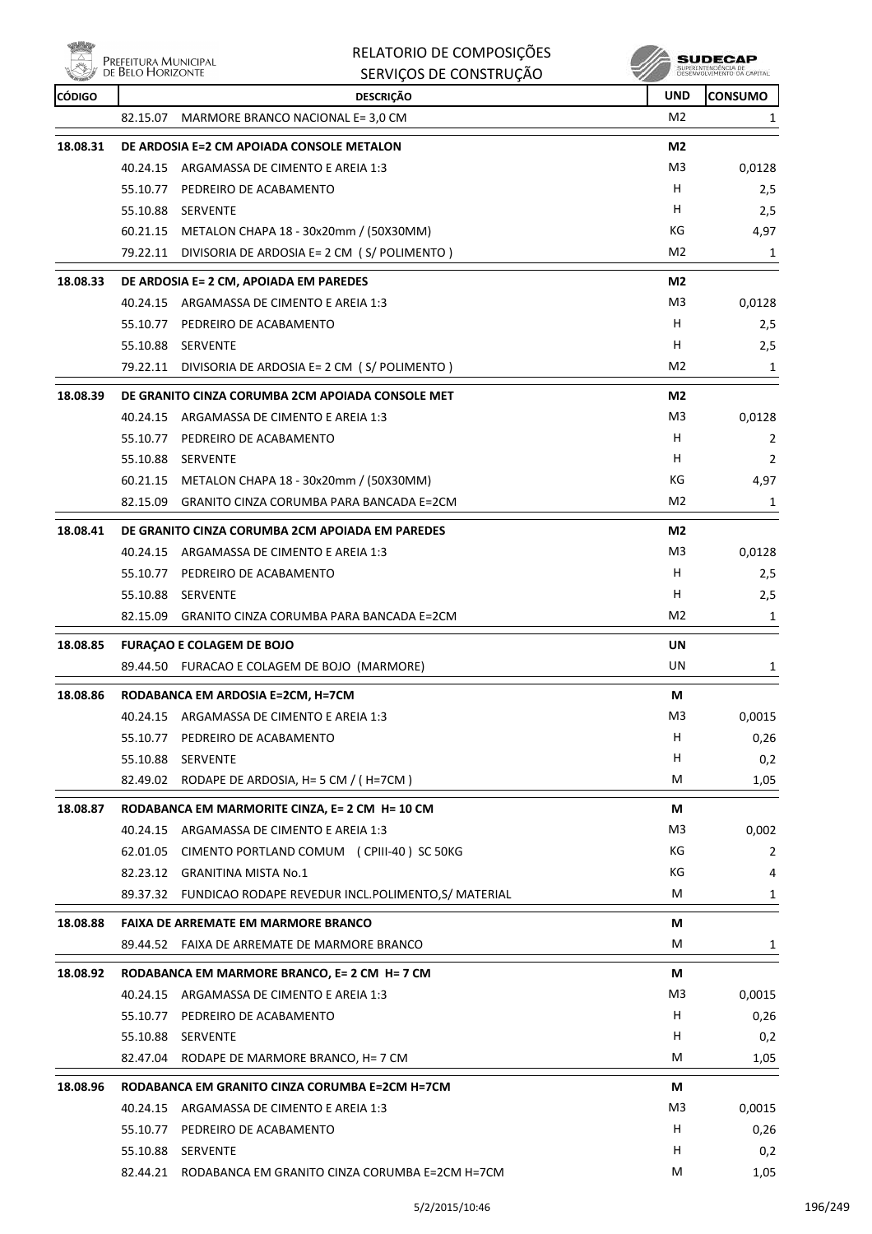| Nöh           | PREFEITURA MUNICIPAL | RELATORIO DE COMPOSIÇÕES                                                                        |                | SUDECAP<br>SUPERINTENDÊNCIA DE<br>DÉSÉNVOLVIMENTO DA CAPITA |
|---------------|----------------------|-------------------------------------------------------------------------------------------------|----------------|-------------------------------------------------------------|
|               | DE BELO HORIZONTE    | SERVIÇOS DE CONSTRUÇÃO                                                                          |                |                                                             |
| <b>CÓDIGO</b> |                      | <b>DESCRIÇÃO</b>                                                                                | <b>UND</b>     | <b>CONSUMO</b>                                              |
|               | 82.15.07             | MARMORE BRANCO NACIONAL E= 3,0 CM                                                               | M <sub>2</sub> | 1                                                           |
| 18.08.31      |                      | DE ARDOSIA E=2 CM APOIADA CONSOLE METALON                                                       | M <sub>2</sub> |                                                             |
|               | 40.24.15             | ARGAMASSA DE CIMENTO E AREIA 1:3                                                                | M <sub>3</sub> | 0,0128                                                      |
|               | 55.10.77             | PEDREIRO DE ACABAMENTO                                                                          | H              | 2,5                                                         |
|               | 55.10.88             | SERVENTE                                                                                        | H              | 2,5                                                         |
|               |                      | 60.21.15 METALON CHAPA 18 - 30x20mm / (50X30MM)                                                 | КG             | 4,97                                                        |
|               | 79.22.11             | DIVISORIA DE ARDOSIA E= 2 CM (S/POLIMENTO)                                                      | M <sub>2</sub> | 1                                                           |
| 18.08.33      |                      | DE ARDOSIA E= 2 CM, APOIADA EM PAREDES                                                          | M2             |                                                             |
|               | 40.24.15             | ARGAMASSA DE CIMENTO E AREIA 1:3                                                                | M3             | 0,0128                                                      |
|               | 55.10.77             | PEDREIRO DE ACABAMENTO                                                                          | H              | 2,5                                                         |
|               | 55.10.88             | SERVENTE                                                                                        | H              | 2,5                                                         |
|               |                      | 79.22.11 DIVISORIA DE ARDOSIA E= 2 CM (S/POLIMENTO)                                             | M2             | 1                                                           |
| 18.08.39      |                      | DE GRANITO CINZA CORUMBA 2CM APOIADA CONSOLE MET                                                | M2             |                                                             |
|               | 40.24.15             | ARGAMASSA DE CIMENTO E AREIA 1:3                                                                | M3             | 0,0128                                                      |
|               | 55.10.77             | PEDREIRO DE ACABAMENTO                                                                          | H              | 2                                                           |
|               | 55.10.88             | SERVENTE                                                                                        | H              | $\overline{2}$                                              |
|               |                      | 60.21.15 METALON CHAPA 18 - 30x20mm / (50X30MM)                                                 | КG             | 4,97                                                        |
|               | 82.15.09             | GRANITO CINZA CORUMBA PARA BANCADA E=2CM                                                        | M <sub>2</sub> | 1                                                           |
| 18.08.41      |                      | DE GRANITO CINZA CORUMBA 2CM APOIADA EM PAREDES                                                 | M2             |                                                             |
|               | 40.24.15             | ARGAMASSA DE CIMENTO E AREIA 1:3                                                                | M3             | 0,0128                                                      |
|               |                      | 55.10.77 PEDREIRO DE ACABAMENTO                                                                 | н              | 2,5                                                         |
|               | 55.10.88             | SERVENTE                                                                                        | н              | 2,5                                                         |
|               | 82.15.09             | GRANITO CINZA CORUMBA PARA BANCADA E=2CM                                                        | M <sub>2</sub> | 1                                                           |
| 18.08.85      |                      | <b>FURAÇÃO E COLAGEM DE BOJO</b>                                                                | UN             |                                                             |
|               |                      | 89.44.50 FURACAO E COLAGEM DE BOJO (MARMORE)                                                    | UN             | 1                                                           |
| 18.08.86      |                      | RODABANCA EM ARDOSIA E=2CM, H=7CM                                                               |                |                                                             |
|               |                      | 40.24.15 ARGAMASSA DE CIMENTO E AREIA 1:3                                                       | М<br>M3        | 0,0015                                                      |
|               |                      | 55.10.77 PEDREIRO DE ACABAMENTO                                                                 | H              | 0,26                                                        |
|               |                      | 55.10.88 SERVENTE                                                                               | H.             | 0,2                                                         |
|               |                      | 82.49.02 RODAPE DE ARDOSIA, H= 5 CM / (H=7CM)                                                   | M              | 1,05                                                        |
|               |                      |                                                                                                 |                |                                                             |
| 18.08.87      |                      | RODABANCA EM MARMORITE CINZA, E= 2 CM H= 10 CM                                                  | М              |                                                             |
|               |                      | 40.24.15 ARGAMASSA DE CIMENTO E AREIA 1:3<br>62.01.05 CIMENTO PORTLAND COMUM (CPIII-40) SC 50KG | M3<br>КG       | 0,002                                                       |
|               |                      |                                                                                                 | КG             | 2                                                           |
|               |                      | 82.23.12 GRANITINA MISTA No.1<br>89.37.32 FUNDICAO RODAPE REVEDUR INCL.POLIMENTO,S/ MATERIAL    | M              | 4<br>1                                                      |
|               |                      |                                                                                                 |                |                                                             |
| 18.08.88      |                      | <b>FAIXA DE ARREMATE EM MARMORE BRANCO</b><br>89.44.52 FAIXA DE ARREMATE DE MARMORE BRANCO      | М<br>М         |                                                             |
|               |                      |                                                                                                 |                | 1                                                           |
| 18.08.92      |                      | RODABANCA EM MARMORE BRANCO, E= 2 CM H= 7 CM                                                    | М              |                                                             |
|               |                      | 40.24.15 ARGAMASSA DE CIMENTO E AREIA 1:3                                                       | M3             | 0,0015                                                      |
|               |                      | 55.10.77 PEDREIRO DE ACABAMENTO                                                                 | H              | 0,26                                                        |
|               |                      | 55.10.88 SERVENTE                                                                               | H              | 0,2                                                         |
|               |                      | 82.47.04 RODAPE DE MARMORE BRANCO, H= 7 CM                                                      | М              | 1,05                                                        |
| 18.08.96      |                      | RODABANCA EM GRANITO CINZA CORUMBA E=2CM H=7CM                                                  | М              |                                                             |
|               |                      | 40.24.15 ARGAMASSA DE CIMENTO E AREIA 1:3                                                       | M3             | 0,0015                                                      |
|               |                      | 55.10.77 PEDREIRO DE ACABAMENTO                                                                 | H.             | 0,26                                                        |
|               |                      | 55.10.88 SERVENTE                                                                               | Н.             | 0,2                                                         |
|               |                      | 82.44.21 RODABANCA EM GRANITO CINZA CORUMBA E=2CM H=7CM                                         | М              | 1,05                                                        |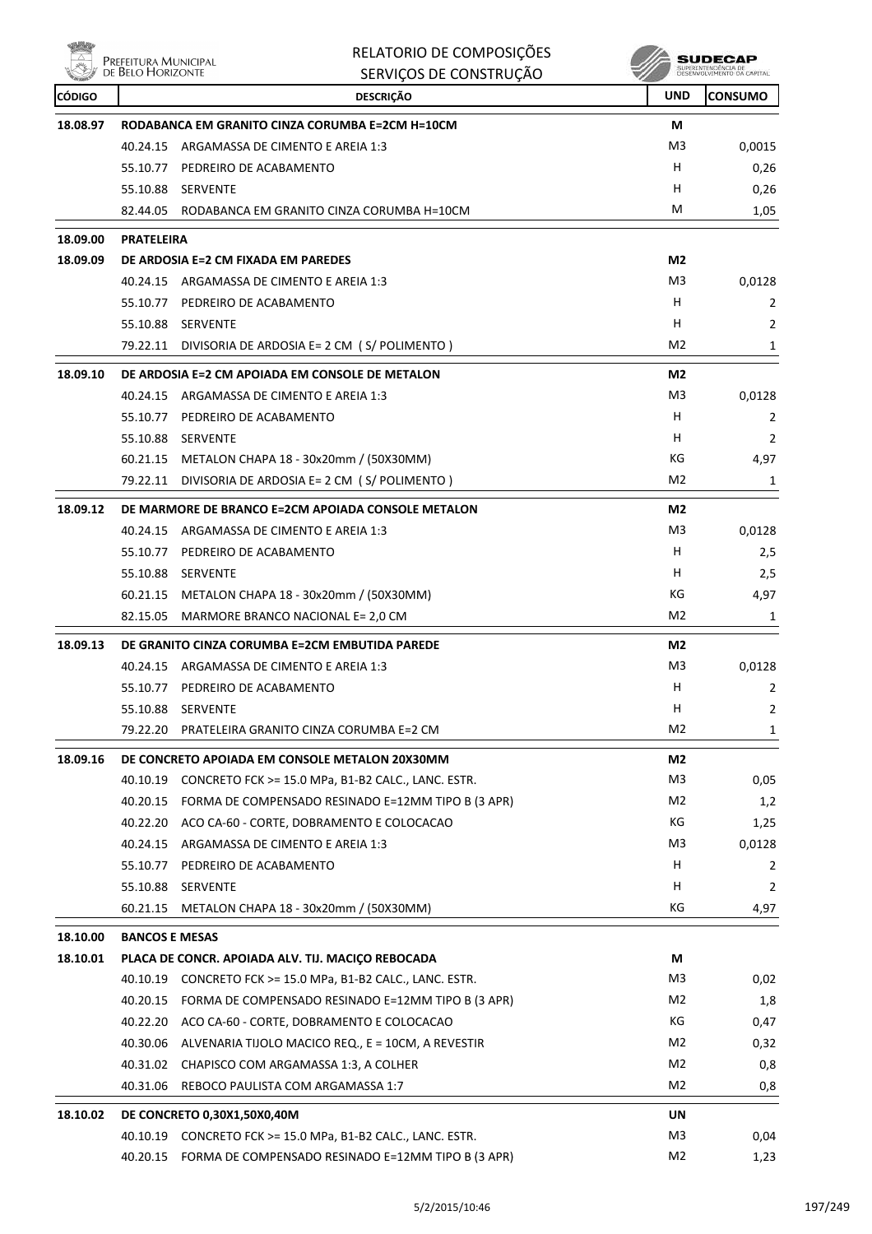**Willip** 

|               | Prefeitura Municipal<br>de Belo Horizonte | RELATORIO DE COMPOSIÇÕES                                    |                | SUDECAP                                          |
|---------------|-------------------------------------------|-------------------------------------------------------------|----------------|--------------------------------------------------|
|               |                                           | SERVIÇOS DE CONSTRUÇÃO                                      |                | SUPERINTENDÊNCIA DE<br>DESENVOLVIMENTO DA CAPITA |
| <b>CÓDIGO</b> |                                           | <b>DESCRIÇÃO</b>                                            | UND            | <b>CONSUMO</b>                                   |
| 18.08.97      |                                           | RODABANCA EM GRANITO CINZA CORUMBA E=2CM H=10CM             | М              |                                                  |
|               | 40.24.15                                  | ARGAMASSA DE CIMENTO E AREIA 1:3                            | M3             | 0,0015                                           |
|               | 55.10.77                                  | PEDREIRO DE ACABAMENTO                                      | н              | 0,26                                             |
|               | 55.10.88                                  | <b>SERVENTE</b>                                             | н              | 0,26                                             |
|               | 82.44.05                                  | RODABANCA EM GRANITO CINZA CORUMBA H=10CM                   | M              | 1,05                                             |
| 18.09.00      | <b>PRATELEIRA</b>                         |                                                             |                |                                                  |
| 18.09.09      |                                           | DE ARDOSIA E=2 CM FIXADA EM PAREDES                         | M2             |                                                  |
|               | 40.24.15                                  | ARGAMASSA DE CIMENTO E AREIA 1:3                            | M3             | 0,0128                                           |
|               | 55.10.77                                  | PEDREIRO DE ACABAMENTO                                      | н              | 2                                                |
|               | 55.10.88                                  | SERVENTE                                                    | н              | 2                                                |
|               | 79.22.11                                  | DIVISORIA DE ARDOSIA E= 2 CM (S/POLIMENTO)                  | M2             | 1                                                |
| 18.09.10      |                                           | DE ARDOSIA E=2 CM APOIADA EM CONSOLE DE METALON             | M2             |                                                  |
|               | 40.24.15                                  | ARGAMASSA DE CIMENTO E AREIA 1:3                            | M3             | 0,0128                                           |
|               | 55.10.77                                  | PEDREIRO DE ACABAMENTO                                      | н              | 2                                                |
|               | 55.10.88                                  | <b>SERVENTE</b>                                             | н              | 2                                                |
|               |                                           | 60.21.15 METALON CHAPA 18 - 30x20mm / (50X30MM)             | КG             | 4,97                                             |
|               | 79.22.11                                  | DIVISORIA DE ARDOSIA E= 2 CM (S/POLIMENTO)                  | M <sub>2</sub> | 1                                                |
| 18.09.12      |                                           | DE MARMORE DE BRANCO E=2CM APOIADA CONSOLE METALON          | M <sub>2</sub> |                                                  |
|               | 40.24.15                                  | ARGAMASSA DE CIMENTO E AREIA 1:3                            | M3             | 0,0128                                           |
|               | 55.10.77                                  | PEDREIRO DE ACABAMENTO                                      | н              | 2,5                                              |
|               | 55.10.88                                  | <b>SERVENTE</b>                                             | н              | 2,5                                              |
|               |                                           | 60.21.15 METALON CHAPA 18 - 30x20mm / (50X30MM)             | КG             | 4,97                                             |
|               | 82.15.05                                  | MARMORE BRANCO NACIONAL E= 2,0 CM                           | M <sub>2</sub> | 1                                                |
| 18.09.13      |                                           | DE GRANITO CINZA CORUMBA E=2CM EMBUTIDA PAREDE              | M2             |                                                  |
|               | 40.24.15                                  | ARGAMASSA DE CIMENTO E AREIA 1:3                            | M3             | 0,0128                                           |
|               | 55.10.77                                  | PEDREIRO DE ACABAMENTO                                      | н              | 2                                                |
|               |                                           | 55.10.88 SERVENTE                                           | н              | $\mathbf{2}$                                     |
|               | 79.22.20                                  | PRATELEIRA GRANITO CINZA CORUMBA E=2 CM                     | M <sub>2</sub> | 1                                                |
| 18.09.16      |                                           | DE CONCRETO APOIADA EM CONSOLE METALON 20X30MM              | M2             |                                                  |
|               |                                           | 40.10.19 CONCRETO FCK >= 15.0 MPa, B1-B2 CALC., LANC. ESTR. | M <sub>3</sub> | 0,05                                             |
|               |                                           | 40.20.15 FORMA DE COMPENSADO RESINADO E=12MM TIPO B (3 APR) | M2             | 1,2                                              |
|               |                                           | 40.22.20 ACO CA-60 - CORTE, DOBRAMENTO E COLOCACAO          | KG             | 1,25                                             |
|               |                                           | 40.24.15 ARGAMASSA DE CIMENTO E AREIA 1:3                   | M <sub>3</sub> | 0,0128                                           |
|               |                                           | 55.10.77 PEDREIRO DE ACABAMENTO                             | H              | 2                                                |
|               |                                           | 55.10.88 SERVENTE                                           | H.             | 2                                                |
|               |                                           | 60.21.15 METALON CHAPA 18 - 30x20mm / (50X30MM)             | КG             | 4,97                                             |
| 18.10.00      | <b>BANCOS E MESAS</b>                     |                                                             |                |                                                  |
| 18.10.01      |                                           | PLACA DE CONCR. APOIADA ALV. TIJ. MACIÇO REBOCADA           | М              |                                                  |
|               |                                           | 40.10.19 CONCRETO FCK >= 15.0 MPa, B1-B2 CALC., LANC. ESTR. | M <sub>3</sub> | 0,02                                             |
|               |                                           | 40.20.15 FORMA DE COMPENSADO RESINADO E=12MM TIPO B (3 APR) | M2             | 1,8                                              |
|               |                                           | 40.22.20 ACO CA-60 - CORTE, DOBRAMENTO E COLOCACAO          | КG             | 0,47                                             |
|               |                                           | 40.30.06 ALVENARIA TIJOLO MACICO REQ., E = 10CM, A REVESTIR | M2             | 0,32                                             |
|               |                                           | 40.31.02 CHAPISCO COM ARGAMASSA 1:3, A COLHER               | M2             | 0,8                                              |
|               | 40.31.06                                  | REBOCO PAULISTA COM ARGAMASSA 1:7                           | M2             | 0,8                                              |
| 18.10.02      |                                           | DE CONCRETO 0,30X1,50X0,40M                                 | UN             |                                                  |
|               |                                           | 40.10.19 CONCRETO FCK >= 15.0 MPa, B1-B2 CALC., LANC. ESTR. | M3             | 0,04                                             |
|               |                                           | 40.20.15 FORMA DE COMPENSADO RESINADO E=12MM TIPO B (3 APR) | M <sub>2</sub> | 1,23                                             |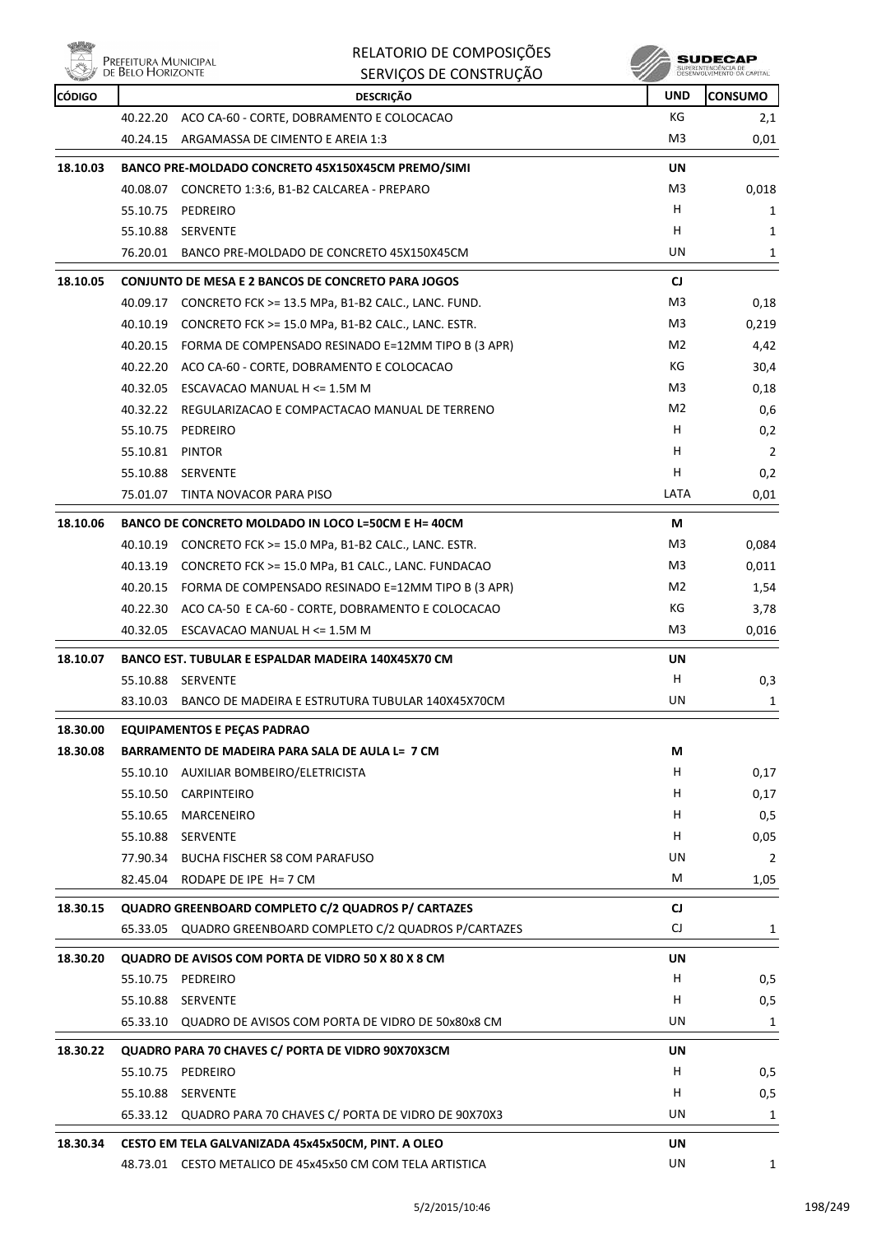

| <b>Corners</b><br><b>CÓDIGO</b> |                 | סהעטוויטא את האושר<br><b>DESCRIÇÃO</b>                      | $\sim$<br><b>UND</b> | <b>CONSUMO</b> |
|---------------------------------|-----------------|-------------------------------------------------------------|----------------------|----------------|
|                                 | 40.22.20        | ACO CA-60 - CORTE, DOBRAMENTO E COLOCACAO                   | КG                   | 2,1            |
|                                 |                 | 40.24.15 ARGAMASSA DE CIMENTO E AREIA 1:3                   | M3                   | 0,01           |
| 18.10.03                        |                 | BANCO PRE-MOLDADO CONCRETO 45X150X45CM PREMO/SIMI           | UN                   |                |
|                                 |                 | 40.08.07 CONCRETO 1:3:6, B1-B2 CALCAREA - PREPARO           | M3                   | 0,018          |
|                                 |                 | 55.10.75 PEDREIRO                                           | H.                   | 1              |
|                                 |                 | 55.10.88 SERVENTE                                           | H                    | 1              |
|                                 |                 | 76.20.01 BANCO PRE-MOLDADO DE CONCRETO 45X150X45CM          | UN                   | 1              |
| 18.10.05                        |                 | <b>CONJUNTO DE MESA E 2 BANCOS DE CONCRETO PARA JOGOS</b>   | CJ                   |                |
|                                 |                 | 40.09.17 CONCRETO FCK >= 13.5 MPa, B1-B2 CALC., LANC. FUND. | M3                   | 0,18           |
|                                 |                 | 40.10.19 CONCRETO FCK >= 15.0 MPa, B1-B2 CALC., LANC. ESTR. | M3                   | 0,219          |
|                                 |                 | 40.20.15 FORMA DE COMPENSADO RESINADO E=12MM TIPO B (3 APR) | M2                   | 4,42           |
|                                 |                 | 40.22.20 ACO CA-60 - CORTE, DOBRAMENTO E COLOCACAO          | КG                   | 30,4           |
|                                 |                 | 40.32.05 ESCAVACAO MANUAL H <= 1.5M M                       | M3                   | 0,18           |
|                                 |                 | 40.32.22 REGULARIZACAO E COMPACTACAO MANUAL DE TERRENO      | M2                   | 0,6            |
|                                 | 55.10.75        | PEDREIRO                                                    | H                    | 0,2            |
|                                 | 55.10.81 PINTOR |                                                             | H.                   | 2              |
|                                 |                 | 55.10.88 SERVENTE                                           | н                    | 0,2            |
|                                 |                 | 75.01.07 TINTA NOVACOR PARA PISO                            | LATA                 | 0,01           |
| 18.10.06                        |                 | BANCO DE CONCRETO MOLDADO IN LOCO L=50CM E H= 40CM          | М                    |                |
|                                 |                 | 40.10.19 CONCRETO FCK >= 15.0 MPa, B1-B2 CALC., LANC. ESTR. | M3                   | 0,084          |
|                                 |                 | 40.13.19 CONCRETO FCK >= 15.0 MPa, B1 CALC., LANC. FUNDACAO | M3                   | 0,011          |
|                                 |                 | 40.20.15 FORMA DE COMPENSADO RESINADO E=12MM TIPO B (3 APR) | M2                   | 1,54           |
|                                 |                 | 40.22.30 ACO CA-50 E CA-60 - CORTE, DOBRAMENTO E COLOCACAO  | КG                   | 3,78           |
|                                 |                 | 40.32.05 ESCAVACAO MANUAL H <= 1.5M M                       | M3                   | 0,016          |
| 18.10.07                        |                 | BANCO EST. TUBULAR E ESPALDAR MADEIRA 140X45X70 CM          | UN                   |                |
|                                 |                 | 55.10.88 SERVENTE                                           | н                    | 0,3            |
|                                 | 83.10.03        | BANCO DE MADEIRA E ESTRUTURA TUBULAR 140X45X70CM            | UN                   | 1              |
| 18.30.00                        |                 | <b>EQUIPAMENTOS E PEÇAS PADRAO</b>                          |                      |                |
| 18.30.08                        |                 | BARRAMENTO DE MADEIRA PARA SALA DE AULA L= 7 CM             | M                    |                |
|                                 |                 | 55.10.10 AUXILIAR BOMBEIRO/ELETRICISTA                      | H.                   | 0,17           |
|                                 |                 | 55.10.50 CARPINTEIRO                                        | H                    | 0,17           |
|                                 |                 | 55.10.65 MARCENEIRO                                         | H.                   | 0,5            |
|                                 |                 | 55.10.88 SERVENTE                                           | H.                   | 0,05           |
|                                 |                 | 77.90.34 BUCHA FISCHER S8 COM PARAFUSO                      | UN                   | 2              |
|                                 |                 | 82.45.04 RODAPE DE IPE H= 7 CM                              | M                    | 1,05           |
| 18.30.15                        |                 | QUADRO GREENBOARD COMPLETO C/2 QUADROS P/ CARTAZES          | CJ                   |                |
|                                 |                 | 65.33.05 QUADRO GREENBOARD COMPLETO C/2 QUADROS P/CARTAZES  | CJ                   | 1              |
| 18.30.20                        |                 | QUADRO DE AVISOS COM PORTA DE VIDRO 50 X 80 X 8 CM          | UN                   |                |
|                                 |                 | 55.10.75 PEDREIRO                                           | H                    | 0,5            |
|                                 |                 | 55.10.88 SERVENTE                                           | н                    | 0,5            |
|                                 |                 | 65.33.10 QUADRO DE AVISOS COM PORTA DE VIDRO DE 50x80x8 CM  | UN                   | 1              |
| 18.30.22                        |                 | QUADRO PARA 70 CHAVES C/ PORTA DE VIDRO 90X70X3CM           | UN                   |                |
|                                 |                 | 55.10.75 PEDREIRO                                           | н                    | 0,5            |
|                                 |                 | 55.10.88 SERVENTE                                           | H                    | 0,5            |
|                                 |                 | 65.33.12 QUADRO PARA 70 CHAVES C/ PORTA DE VIDRO DE 90X70X3 | UN                   | 1              |
| 18.30.34                        |                 | CESTO EM TELA GALVANIZADA 45x45x50CM, PINT. A OLEO          | UN                   |                |
|                                 |                 | 48.73.01 CESTO METALICO DE 45x45x50 CM COM TELA ARTISTICA   | UN                   | 1              |
|                                 |                 |                                                             |                      |                |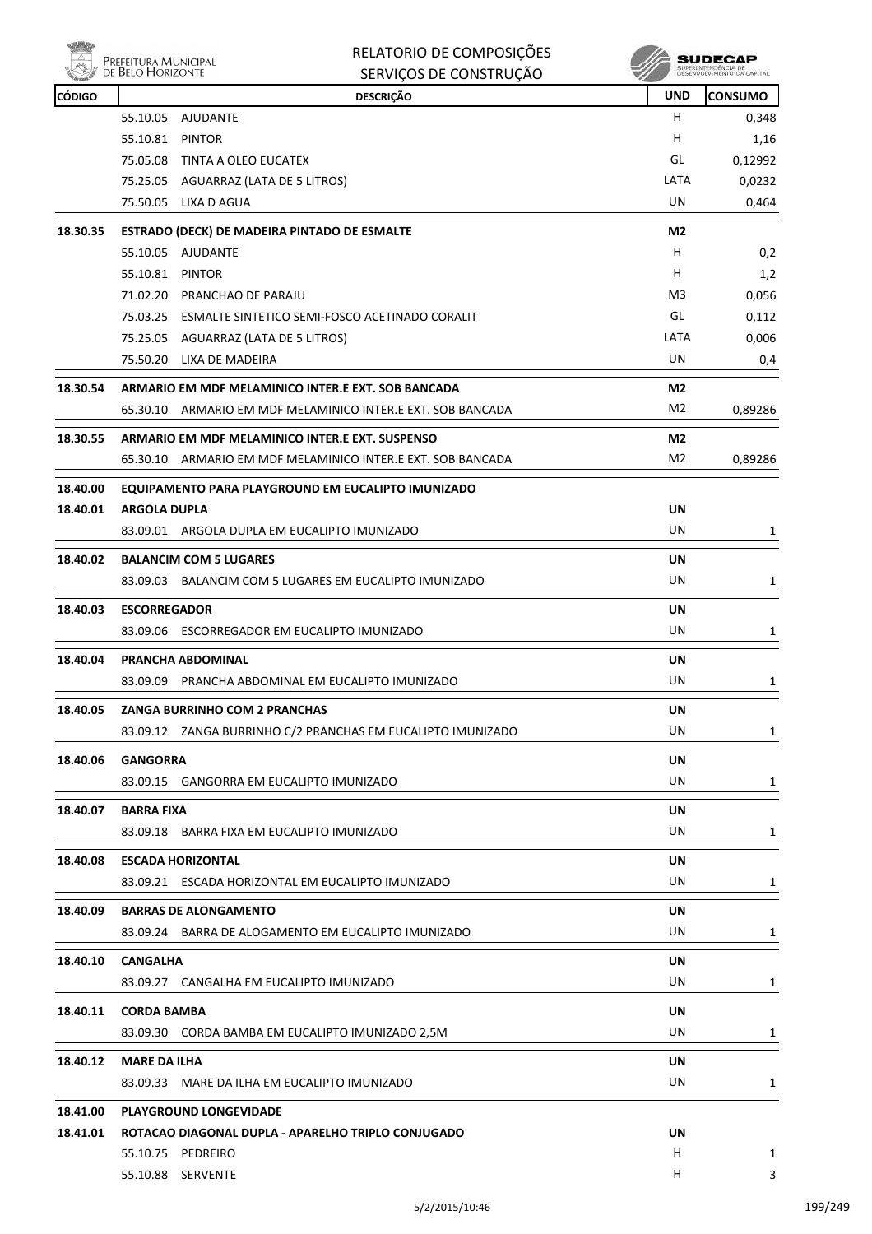)<br>Prefeitura Municipal<br>de Relo Horizonite

| RELATORIO DE COMPOSIÇÕES |
|--------------------------|
|                          |

|               | DE BELO HORIZONTE                                   | SERVIÇOS DE CONSTRUÇÃO                                      |                | SUPERINTENDENCIA DE<br>DESENVOLVIMENTO DA CAPITAL |
|---------------|-----------------------------------------------------|-------------------------------------------------------------|----------------|---------------------------------------------------|
| <b>CÓDIGO</b> |                                                     | <b>DESCRIÇÃO</b>                                            | UND            | CONSUMO                                           |
|               | 55.10.05 AJUDANTE                                   |                                                             | н              | 0,348                                             |
|               | 55.10.81<br><b>PINTOR</b>                           |                                                             | н              | 1,16                                              |
|               | 75.05.08<br>TINTA A OLEO EUCATEX                    |                                                             | GL             | 0,12992                                           |
|               | 75.25.05 AGUARRAZ (LATA DE 5 LITROS)                |                                                             | LATA           | 0,0232                                            |
|               | 75.50.05 LIXA D AGUA                                |                                                             | UN             | 0,464                                             |
| 18.30.35      | <b>ESTRADO (DECK) DE MADEIRA PINTADO DE ESMALTE</b> |                                                             | M <sub>2</sub> |                                                   |
|               | 55.10.05<br>AJUDANTE                                |                                                             | н              | 0,2                                               |
|               | 55.10.81<br><b>PINTOR</b>                           |                                                             | н              | 1,2                                               |
|               | 71.02.20<br>PRANCHAO DE PARAJU                      |                                                             | M3             | 0,056                                             |
|               |                                                     | 75.03.25 ESMALTE SINTETICO SEMI-FOSCO ACETINADO CORALIT     | GL             | 0,112                                             |
|               | 75.25.05 AGUARRAZ (LATA DE 5 LITROS)                |                                                             | LATA           | 0,006                                             |
|               | 75.50.20 LIXA DE MADEIRA                            |                                                             | UN             | 0,4                                               |
| 18.30.54      | ARMARIO EM MDF MELAMINICO INTER.E EXT. SOB BANCADA  |                                                             | M <sub>2</sub> |                                                   |
|               |                                                     | 65.30.10 ARMARIO EM MDF MELAMINICO INTER.E EXT. SOB BANCADA | M <sub>2</sub> | 0,89286                                           |
| 18.30.55      | ARMARIO EM MDF MELAMINICO INTER.E EXT. SUSPENSO     |                                                             | M2             |                                                   |
|               |                                                     | 65.30.10 ARMARIO EM MDF MELAMINICO INTER.E EXT. SOB BANCADA | M2             | 0,89286                                           |
| 18.40.00      |                                                     | EQUIPAMENTO PARA PLAYGROUND EM EUCALIPTO IMUNIZADO          |                |                                                   |
| 18.40.01      | <b>ARGOLA DUPLA</b>                                 |                                                             | <b>UN</b>      |                                                   |
|               | 83.09.01 ARGOLA DUPLA EM EUCALIPTO IMUNIZADO        |                                                             | UN             | 1                                                 |
|               |                                                     |                                                             |                |                                                   |
| 18.40.02      | <b>BALANCIM COM 5 LUGARES</b>                       |                                                             | UN             |                                                   |
|               |                                                     | 83.09.03 BALANCIM COM 5 LUGARES EM EUCALIPTO IMUNIZADO      | UN             | 1                                                 |
| 18.40.03      | <b>ESCORREGADOR</b>                                 |                                                             | UN             |                                                   |
|               | 83.09.06                                            | ESCORREGADOR EM EUCALIPTO IMUNIZADO                         | UN             | 1                                                 |
| 18.40.04      | <b>PRANCHA ABDOMINAL</b>                            |                                                             | UN             |                                                   |
|               | 83.09.09                                            | PRANCHA ABDOMINAL EM EUCALIPTO IMUNIZADO                    | UN             | 1                                                 |
| 18.40.05      | <b>ZANGA BURRINHO COM 2 PRANCHAS</b>                |                                                             | UN             |                                                   |
|               |                                                     | 83.09.12 ZANGA BURRINHO C/2 PRANCHAS EM EUCALIPTO IMUNIZADO | UN             | 1                                                 |
|               |                                                     |                                                             |                |                                                   |
| 18.40.06      | <b>GANGORRA</b>                                     |                                                             | <b>UN</b>      |                                                   |
|               | 83.09.15 GANGORRA EM EUCALIPTO IMUNIZADO            |                                                             | UN             | 1                                                 |
| 18.40.07      | <b>BARRA FIXA</b>                                   |                                                             | UN             |                                                   |
|               | 83.09.18 BARRA FIXA EM EUCALIPTO IMUNIZADO          |                                                             | UN             | 1                                                 |
| 18.40.08      | <b>ESCADA HORIZONTAL</b>                            |                                                             | UN             |                                                   |
|               | 83.09.21 ESCADA HORIZONTAL EM EUCALIPTO IMUNIZADO   |                                                             | UN             | 1                                                 |
| 18.40.09      | <b>BARRAS DE ALONGAMENTO</b>                        |                                                             | UN             |                                                   |
|               |                                                     | 83.09.24 BARRA DE ALOGAMENTO EM EUCALIPTO IMUNIZADO         | UN             | 1                                                 |
| 18.40.10      | <b>CANGALHA</b>                                     |                                                             | UN             |                                                   |
|               | 83.09.27 CANGALHA EM EUCALIPTO IMUNIZADO            |                                                             | UN             | 1                                                 |
| 18.40.11      | <b>CORDA BAMBA</b>                                  |                                                             | UN             |                                                   |
|               | 83.09.30 CORDA BAMBA EM EUCALIPTO IMUNIZADO 2,5M    |                                                             | UN             | 1                                                 |
|               |                                                     |                                                             |                |                                                   |
| 18.40.12      | <b>MARE DA ILHA</b>                                 |                                                             | <b>UN</b>      |                                                   |
|               | 83.09.33 MARE DA ILHA EM EUCALIPTO IMUNIZADO        |                                                             | UN             | 1                                                 |
| 18.41.00      | <b>PLAYGROUND LONGEVIDADE</b>                       |                                                             |                |                                                   |
| 18.41.01      | ROTACAO DIAGONAL DUPLA - APARELHO TRIPLO CONJUGADO  |                                                             | UN             |                                                   |
|               | 55.10.75 PEDREIRO                                   |                                                             | H              | 1                                                 |
|               | 55.10.88 SERVENTE                                   |                                                             | H.             | 3                                                 |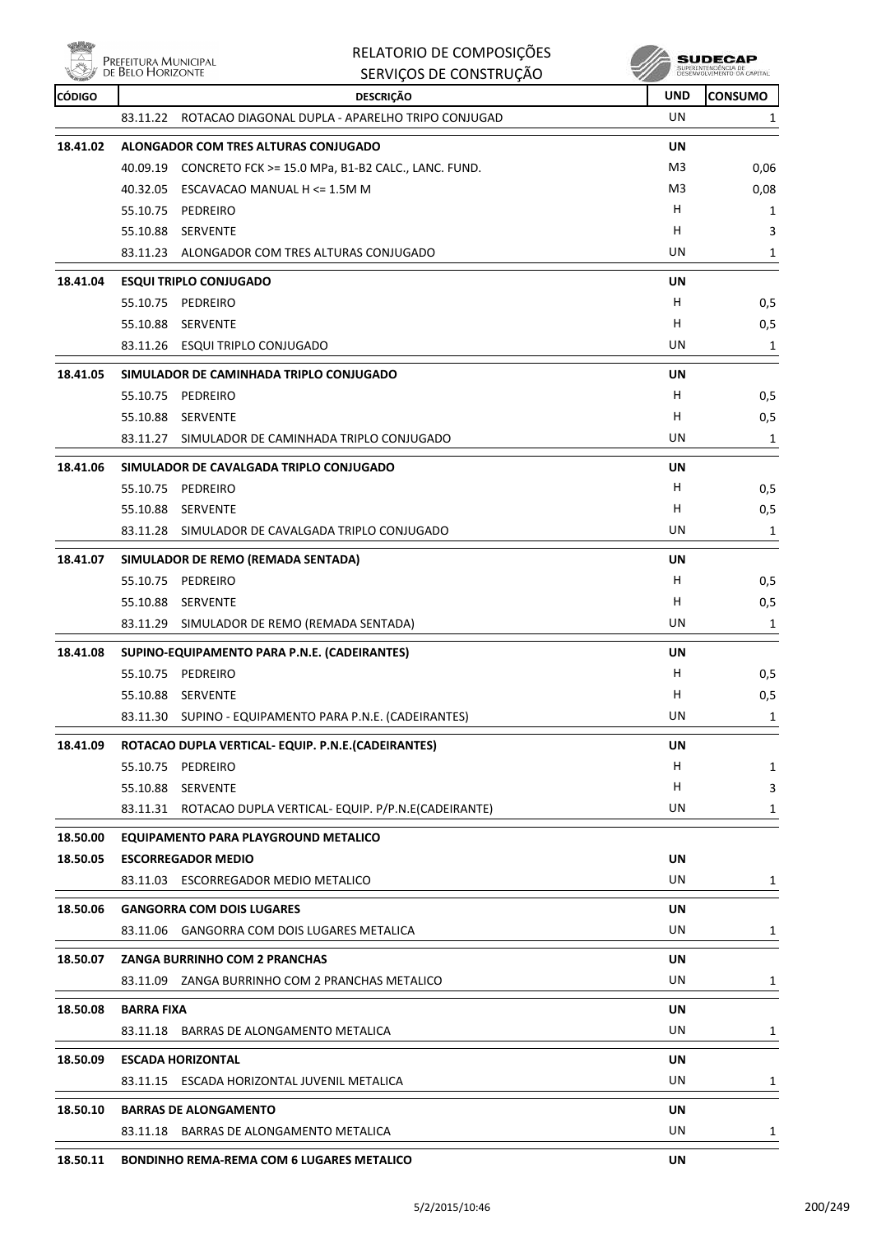● 電話 **PREFEITURA MUNICIPAL**<br>
DE BELO HORIZONTE

|               | PREFEITURA MUNICIPAL<br>DE BELO HORIZONTE                    | RELATORIO DE COMPOSIÇÕES<br>SERVIÇOS DE CONSTRUÇÃO          |            | SUDECAP<br>SUPERINTENDÊNCIA DE<br>DESENVOLVIMENTO DA CAPITAL |
|---------------|--------------------------------------------------------------|-------------------------------------------------------------|------------|--------------------------------------------------------------|
| <b>CÓDIGO</b> |                                                              | <b>DESCRIÇÃO</b>                                            | <b>UND</b> | <b>CONSUMO</b>                                               |
|               | 83.11.22                                                     | ROTACAO DIAGONAL DUPLA - APARELHO TRIPO CONJUGAD            | UN         | 1                                                            |
| 18.41.02      | ALONGADOR COM TRES ALTURAS CONJUGADO                         |                                                             | <b>UN</b>  |                                                              |
|               |                                                              | 40.09.19 CONCRETO FCK >= 15.0 MPa, B1-B2 CALC., LANC. FUND. | M3         | 0,06                                                         |
|               | 40.32.05<br>ESCAVACAO MANUAL H <= 1.5M M                     |                                                             | M3         | 0,08                                                         |
|               | 55.10.75<br>PEDREIRO                                         |                                                             | н          | 1                                                            |
|               | 55.10.88 SERVENTE                                            |                                                             | H          | 3                                                            |
|               | 83.11.23 ALONGADOR COM TRES ALTURAS CONJUGADO                |                                                             | UN         | 1                                                            |
| 18.41.04      | <b>ESQUI TRIPLO CONJUGADO</b>                                |                                                             | UN         |                                                              |
|               | 55.10.75 PEDREIRO                                            |                                                             | н          | 0,5                                                          |
|               | 55.10.88 SERVENTE                                            |                                                             | н          | 0,5                                                          |
|               | 83.11.26 ESQUI TRIPLO CONJUGADO                              |                                                             | UN         | 1                                                            |
| 18.41.05      | SIMULADOR DE CAMINHADA TRIPLO CONJUGADO                      |                                                             | UN         |                                                              |
|               | 55.10.75 PEDREIRO                                            |                                                             | н          | 0,5                                                          |
|               | 55.10.88 SERVENTE                                            |                                                             | н          | 0,5                                                          |
|               | 83.11.27 SIMULADOR DE CAMINHADA TRIPLO CONJUGADO             |                                                             | UN         | 1                                                            |
| 18.41.06      | SIMULADOR DE CAVALGADA TRIPLO CONJUGADO                      |                                                             | UN         |                                                              |
|               | 55.10.75<br>PEDREIRO                                         |                                                             | н          | 0,5                                                          |
|               | 55.10.88 SERVENTE                                            |                                                             | н          | 0,5                                                          |
|               | 83.11.28 SIMULADOR DE CAVALGADA TRIPLO CONJUGADO             |                                                             | UN         | 1                                                            |
| 18.41.07      | SIMULADOR DE REMO (REMADA SENTADA)                           |                                                             | UN         |                                                              |
|               | 55.10.75 PEDREIRO                                            |                                                             | н          | 0,5                                                          |
|               | 55.10.88<br>SERVENTE                                         |                                                             | н          | 0,5                                                          |
|               | 83.11.29                                                     | SIMULADOR DE REMO (REMADA SENTADA)                          | UN         | 1                                                            |
| 18.41.08      | SUPINO-EQUIPAMENTO PARA P.N.E. (CADEIRANTES)                 |                                                             | <b>UN</b>  |                                                              |
|               | PEDREIRO<br>55.10.75                                         |                                                             | H          | 0,5                                                          |
|               | 55.10.88 SERVENTE                                            |                                                             | н          | 0,5                                                          |
|               |                                                              | 83.11.30 SUPINO - EQUIPAMENTO PARA P.N.E. (CADEIRANTES)     | UN         | 1                                                            |
| 18.41.09      | ROTACAO DUPLA VERTICAL- EQUIP. P.N.E. (CADEIRANTES)          |                                                             | UN         |                                                              |
|               | 55.10.75 PEDREIRO                                            |                                                             | H          | 1                                                            |
|               | 55.10.88 SERVENTE                                            |                                                             | н          | 3                                                            |
|               |                                                              | 83.11.31 ROTACAO DUPLA VERTICAL-EQUIP. P/P.N.E(CADEIRANTE)  | UN         | 1                                                            |
| 18.50.00      | EQUIPAMENTO PARA PLAYGROUND METALICO                         |                                                             |            |                                                              |
| 18.50.05      | <b>ESCORREGADOR MEDIO</b>                                    |                                                             | UN         |                                                              |
|               | 83.11.03 ESCORREGADOR MEDIO METALICO                         |                                                             | UN         | 1                                                            |
| 18.50.06      | <b>GANGORRA COM DOIS LUGARES</b>                             |                                                             | UN         |                                                              |
|               | 83.11.06 GANGORRA COM DOIS LUGARES METALICA                  |                                                             | UN         | 1                                                            |
| 18.50.07      | <b>ZANGA BURRINHO COM 2 PRANCHAS</b>                         |                                                             | UN         |                                                              |
|               | 83.11.09 ZANGA BURRINHO COM 2 PRANCHAS METALICO              |                                                             | UN         | 1                                                            |
|               |                                                              |                                                             |            |                                                              |
| 18.50.08      | <b>BARRA FIXA</b><br>83.11.18 BARRAS DE ALONGAMENTO METALICA |                                                             | UN<br>UN   | 1                                                            |
|               |                                                              |                                                             |            |                                                              |
| 18.50.09      | <b>ESCADA HORIZONTAL</b>                                     |                                                             | UN         |                                                              |
|               | 83.11.15 ESCADA HORIZONTAL JUVENIL METALICA                  |                                                             | UN         | 1                                                            |
| 18.50.10      | <b>BARRAS DE ALONGAMENTO</b>                                 |                                                             | <b>UN</b>  |                                                              |
|               | 83.11.18 BARRAS DE ALONGAMENTO METALICA                      |                                                             | UN         | 1                                                            |
| 18.50.11      | <b>BONDINHO REMA-REMA COM 6 LUGARES METALICO</b>             |                                                             | <b>UN</b>  |                                                              |

RELATORIO DE COMPOSIÇÕES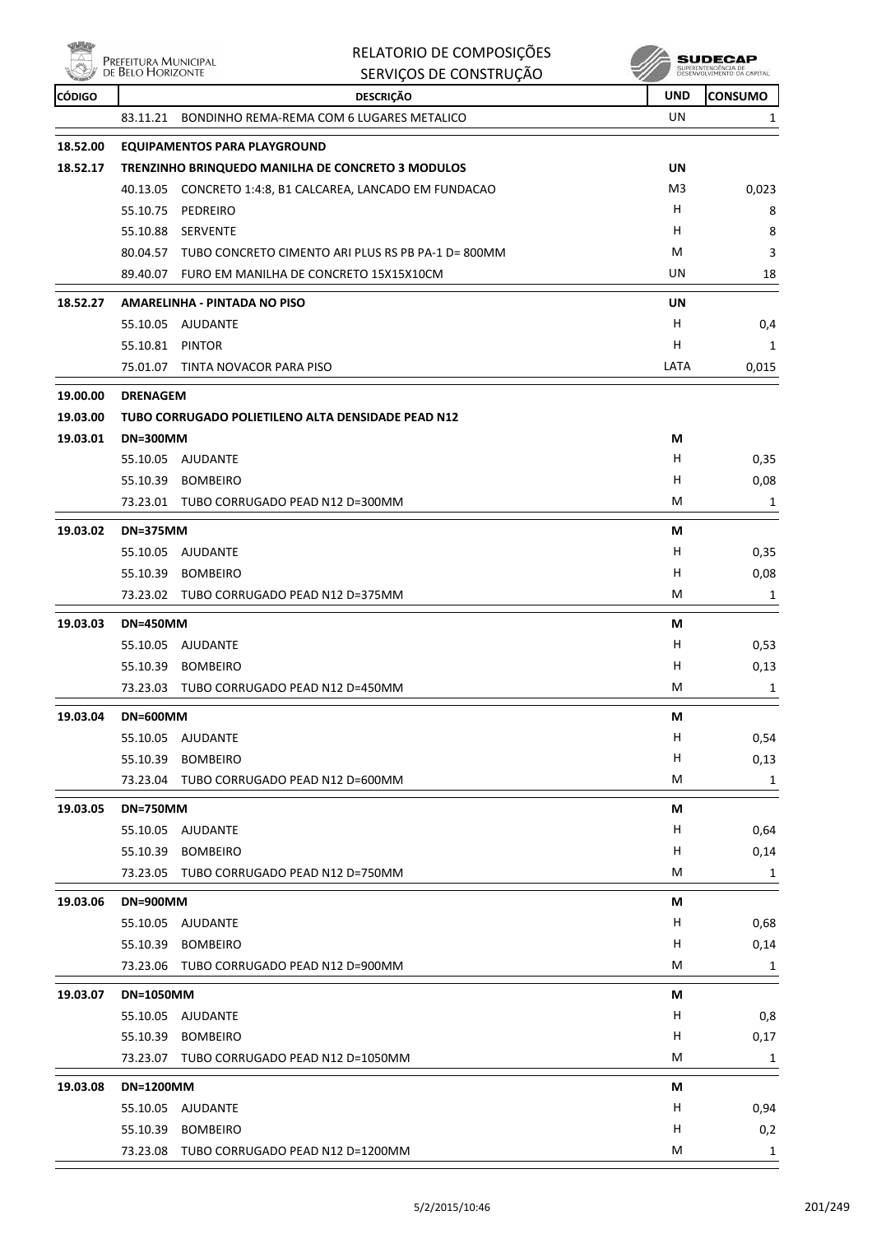

### RELATORIO DE COMPOSIÇÕES Prefeitura Municipal<br>de Belo Horizonte **SUDECAP TENDÊNCIA DE**<br>DI VEMENTO CA CARITAL SUPER SERVIÇOS DE CONSTRUÇÃO **CÓDIGO DESCRIÇÃO UND CONSUMO** 83.11.21 BONDINHO REMA-REMA COM 6 LUGARES METALICO UN UN 1 **18.52.00 EQUIPAMENTOS PARA PLAYGROUND 18.52.17 TRENZINHO BRINQUEDO MANILHA DE CONCRETO 3 MODULOS UN** 40.13.05 CONCRETO 1:4:8, B1 CALCAREA, LANCADO EM FUNDACAO M3 M3 0,023 55.10.75 PEDREIRO H 8 55.10.88 SERVENTE H 8 80.04.57 TUBO CONCRETO CIMENTO ARI PLUS RS PB PA-1 D= 800MM M 3 89.40.07 FURO EM MANILHA DE CONCRETO 15X15X10CM **18** and 18 **18.52.27 AMARELINHA - PINTADA NO PISO UN** 55.10.05 AJUDANTE H 0,4 55.10.81 PINTOR H 1 75.01.07 TINTA NOVACOR PARA PISO LATA 0,015 **19.00.00 DRENAGEM 19.03.00 TUBO CORRUGADO POLIETILENO ALTA DENSIDADE PEAD N12 19.03.01 DN=300MM M** 55.10.05 AJUDANTE H 0,35 55.10.39 BOMBEIRO H 0,08 73.23.01 TUBO CORRUGADO PEAD N12 D=300MM M 1 **19.03.02 DN=375MM M** 55.10.05 AJUDANTE H 0,35 55.10.39 BOMBEIRO H 0,08 73.23.02 TUBO CORRUGADO PEAD N12 D=375MM M 1 **19.03.03 DN=450MM M** 55.10.05 AJUDANTE H 0,53 55.10.39 BOMBEIRO H 0,13 73.23.03 TUBO CORRUGADO PEAD N12 D=450MM M 1 **19.03.04 DN=600MM M** 55.10.05 AJUDANTE H 0,54 55.10.39 BOMBEIRO H 0,13 73.23.04 TUBO CORRUGADO PEAD N12 D=600MM 1 1 1 1 2 23.04 TUBO CORRUGADO PEAD N12 D=600MM **19.03.05 DN=750MM M** 55.10.05 AJUDANTE H 0,64 55.10.39 BOMBEIRO H 0,14 73.23.05 TUBO CORRUGADO PEAD N12 D=750MM M 1 **19.03.06 DN=900MM M** 55.10.05 AJUDANTE H 0,68 55.10.39 BOMBEIRO H 0,14 73.23.06 TUBO CORRUGADO PEAD N12 D=900MM M 1 **19.03.07 DN=1050MM M** 55.10.05 AJUDANTE H 0,8 55.10.39 BOMBEIRO H 0,17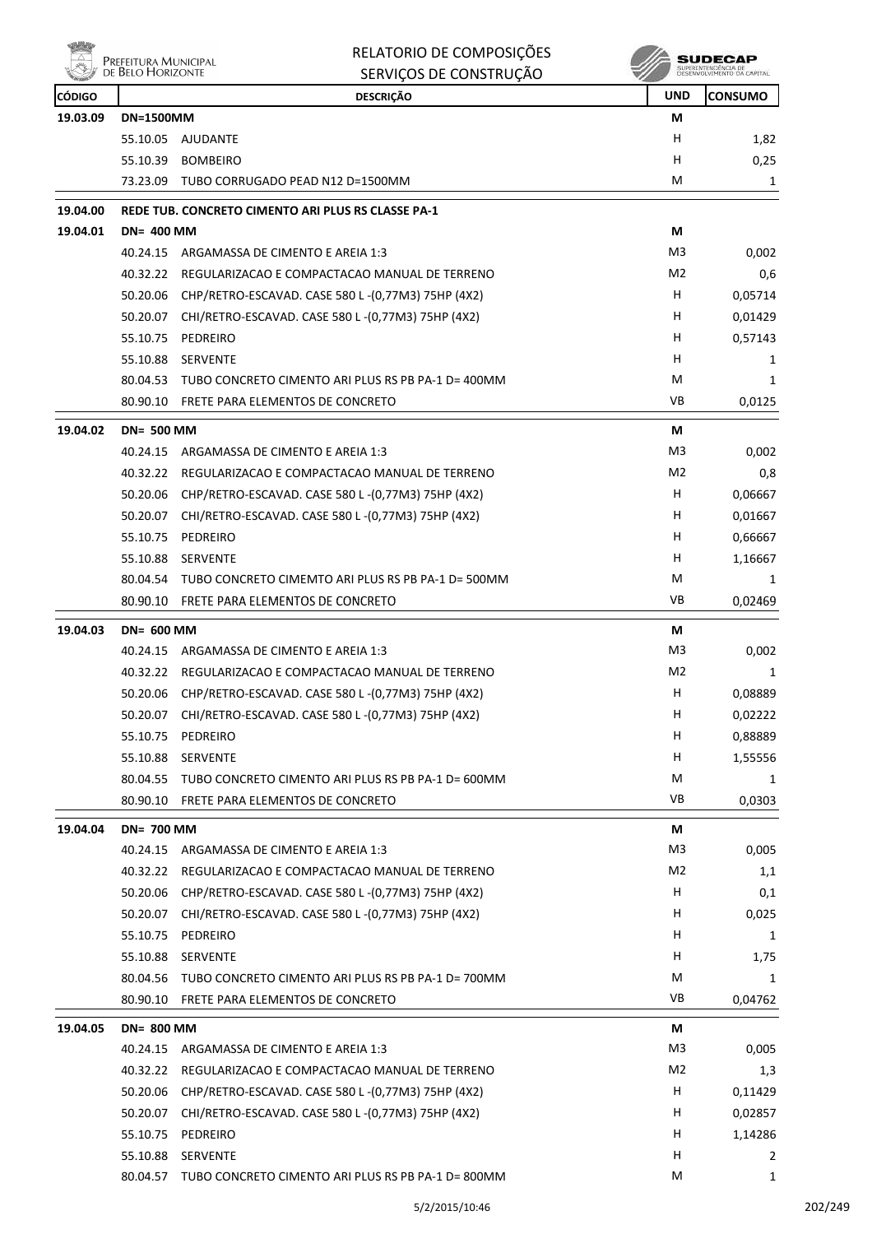|          | Prefeitura Municipal<br>de Belo Horizonte | RELATORIO DE COMPOSIÇÕES<br>SERVIÇOS DE CONSTRUÇÃO          |                | <b>SUDECAP</b><br>SUPERINTENDÊNCIA DE<br>DESENVOLVIMENTO DA CAPITAL |
|----------|-------------------------------------------|-------------------------------------------------------------|----------------|---------------------------------------------------------------------|
| CÓDIGO   |                                           | <b>DESCRIÇÃO</b>                                            | <b>UND</b>     | <b>CONSUMO</b>                                                      |
| 19.03.09 | <b>DN=1500MM</b>                          |                                                             | М              |                                                                     |
|          |                                           | 55.10.05 AJUDANTE                                           | н              | 1,82                                                                |
|          |                                           | 55.10.39 BOMBEIRO                                           | H              | 0,25                                                                |
|          |                                           | 73.23.09 TUBO CORRUGADO PEAD N12 D=1500MM                   | M              | 1                                                                   |
| 19.04.00 |                                           | REDE TUB. CONCRETO CIMENTO ARI PLUS RS CLASSE PA-1          |                |                                                                     |
| 19.04.01 | <b>DN= 400 MM</b>                         |                                                             | М              |                                                                     |
|          |                                           | 40.24.15 ARGAMASSA DE CIMENTO E AREIA 1:3                   | M <sub>3</sub> | 0,002                                                               |
|          | 40.32.22                                  | REGULARIZACAO E COMPACTACAO MANUAL DE TERRENO               | M <sub>2</sub> | 0,6                                                                 |
|          | 50.20.06                                  | CHP/RETRO-ESCAVAD. CASE 580 L-(0,77M3) 75HP (4X2)           | H              | 0,05714                                                             |
|          | 50.20.07                                  | CHI/RETRO-ESCAVAD. CASE 580 L-(0,77M3) 75HP (4X2)           | H              | 0,01429                                                             |
|          | 55.10.75                                  | PEDREIRO                                                    | H              | 0,57143                                                             |
|          | 55.10.88                                  | SERVENTE                                                    | н              | 1                                                                   |
|          |                                           | 80.04.53 TUBO CONCRETO CIMENTO ARI PLUS RS PB PA-1 D= 400MM | M              | $\mathbf{1}$                                                        |
|          |                                           | 80.90.10 FRETE PARA ELEMENTOS DE CONCRETO                   | <b>VB</b>      | 0,0125                                                              |
| 19.04.02 | <b>DN= 500 MM</b>                         |                                                             | М              |                                                                     |
|          | 40.24.15                                  | ARGAMASSA DE CIMENTO E AREIA 1:3                            | M <sub>3</sub> | 0,002                                                               |
|          |                                           | 40.32.22 REGULARIZACAO E COMPACTACAO MANUAL DE TERRENO      | M <sub>2</sub> | 0,8                                                                 |
|          | 50.20.06                                  | CHP/RETRO-ESCAVAD. CASE 580 L -(0,77M3) 75HP (4X2)          | H              | 0,06667                                                             |
|          | 50.20.07                                  | CHI/RETRO-ESCAVAD. CASE 580 L - (0,77M3) 75HP (4X2)         | н              | 0,01667                                                             |
|          | 55.10.75                                  | PEDREIRO                                                    | н              | 0,66667                                                             |
|          | 55.10.88                                  | <b>SERVENTE</b>                                             | н              | 1,16667                                                             |
|          | 80.04.54                                  | TUBO CONCRETO CIMEMTO ARI PLUS RS PB PA-1 D= 500MM          | M              | 1                                                                   |
|          |                                           | 80.90.10 FRETE PARA ELEMENTOS DE CONCRETO                   | <b>VB</b>      | 0,02469                                                             |
| 19.04.03 | <b>DN= 600 MM</b>                         |                                                             | М              |                                                                     |
|          | 40.24.15                                  | ARGAMASSA DE CIMENTO E AREIA 1:3                            | M <sub>3</sub> | 0,002                                                               |
|          |                                           | 40.32.22 REGULARIZACAO E COMPACTACAO MANUAL DE TERRENO      | M <sub>2</sub> | $\mathbf{1}$                                                        |
|          |                                           | 50.20.06 CHP/RETRO-ESCAVAD. CASE 580 L-(0,77M3) 75HP (4X2)  | H              | 0,08889                                                             |
|          |                                           | 50.20.07 CHI/RETRO-ESCAVAD. CASE 580 L-(0,77M3) 75HP (4X2)  | H              | 0,02222                                                             |
|          |                                           | 55.10.75 PEDREIRO                                           | н              | 0,88889                                                             |
|          |                                           | 55.10.88 SERVENTE                                           | н              | 1,55556                                                             |
|          |                                           |                                                             |                |                                                                     |

|          | 80.04.55          | TUBO CONCRETO CIMENTO ARI PLUS RS PB PA-1 D= 600MM | M              | 1       |
|----------|-------------------|----------------------------------------------------|----------------|---------|
|          | 80.90.10          | FRETE PARA ELEMENTOS DE CONCRETO                   | <b>VB</b>      | 0,0303  |
| 19.04.04 | <b>DN= 700 MM</b> |                                                    | М              |         |
|          | 40.24.15          | ARGAMASSA DE CIMENTO E AREIA 1:3                   | M <sub>3</sub> | 0,005   |
|          | 40.32.22          | REGULARIZACAO E COMPACTACAO MANUAL DE TERRENO      | M <sub>2</sub> | 1,1     |
|          | 50.20.06          | CHP/RETRO-ESCAVAD. CASE 580 L-(0,77M3) 75HP (4X2)  | H              | 0,1     |
|          | 50.20.07          | CHI/RETRO-ESCAVAD. CASE 580 L-(0,77M3) 75HP (4X2)  | H              | 0,025   |
|          | 55.10.75          | PEDREIRO                                           | H              | 1       |
|          | 55.10.88          | <b>SERVENTE</b>                                    | H              | 1,75    |
|          | 80.04.56          | TUBO CONCRETO CIMENTO ARI PLUS RS PB PA-1 D= 700MM | M              | 1       |
|          | 80.90.10          | FRETE PARA ELEMENTOS DE CONCRETO                   | <b>VB</b>      | 0,04762 |
| 19.04.05 | <b>DN= 800 MM</b> |                                                    | М              |         |
|          | 40.24.15          | ARGAMASSA DE CIMENTO E AREIA 1:3                   | M <sub>3</sub> | 0,005   |
|          | 40.32.22          | REGULARIZACAO E COMPACTACAO MANUAL DE TERRENO      | M <sub>2</sub> | 1,3     |
|          | 50.20.06          | CHP/RETRO-ESCAVAD. CASE 580 L-(0,77M3) 75HP (4X2)  | н              | 0,11429 |
|          | 50.20.07          | CHI/RETRO-ESCAVAD. CASE 580 L-(0,77M3) 75HP (4X2)  | H              | 0,02857 |
|          | 55.10.75          | PEDREIRO                                           | H              | 1,14286 |
|          | 55.10.88          | <b>SERVENTE</b>                                    | H              | 2       |
|          | 80.04.57          | TUBO CONCRETO CIMENTO ARI PLUS RS PB PA-1 D= 800MM | M              | 1       |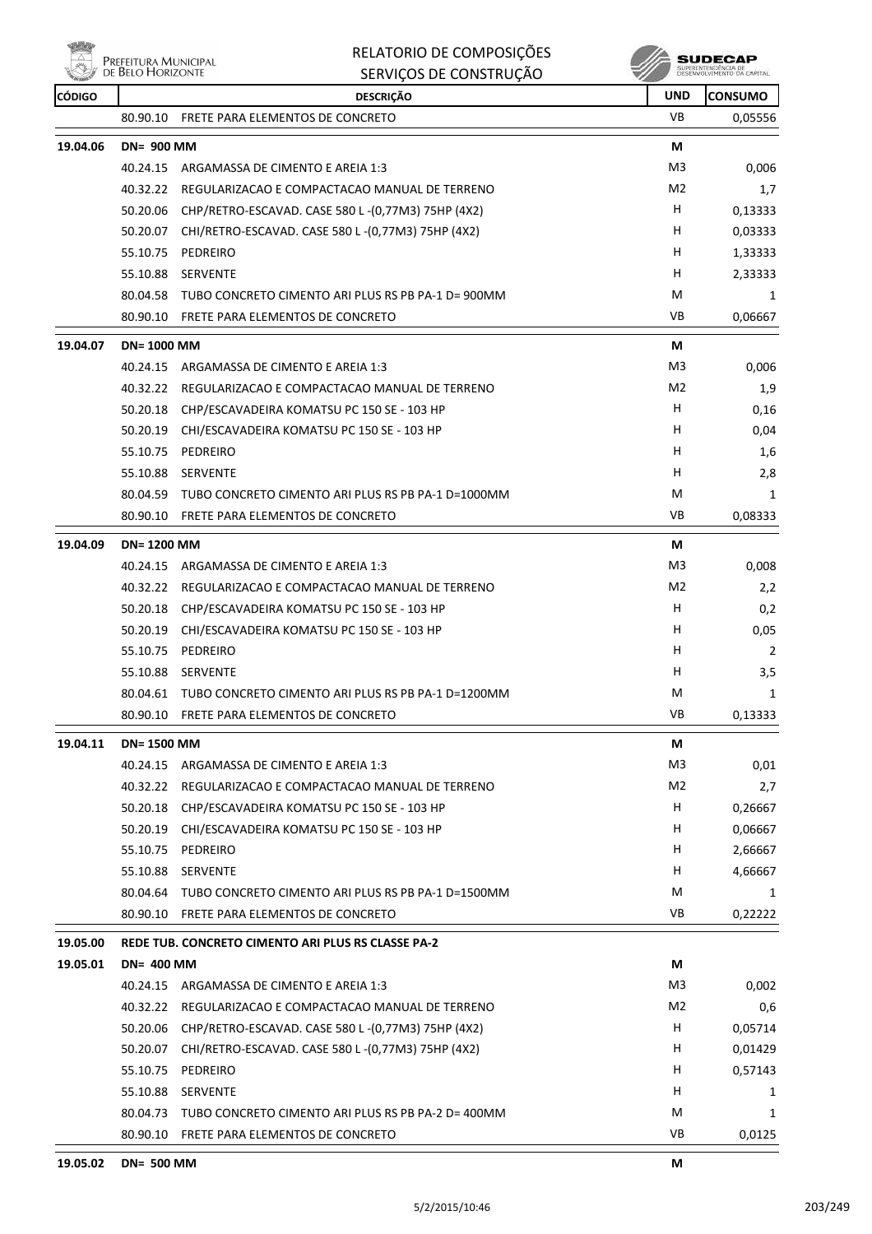

| RELATORIO DE COMPOSIÇÕES |  |  |
|--------------------------|--|--|
|                          |  |  |

|               | de Belo Horizonte | SERVIÇOS DE CONSTRUÇÃO                                      |                | SUPERINTENDENCIA DE<br>DESENVOLVIMENTO DA CAPITAL |
|---------------|-------------------|-------------------------------------------------------------|----------------|---------------------------------------------------|
| <b>CÓDIGO</b> |                   | <b>DESCRIÇÃO</b>                                            | UND            | CONSUMO                                           |
|               | 80.90.10          | FRETE PARA ELEMENTOS DE CONCRETO                            | VB             | 0,05556                                           |
| 19.04.06      | <b>DN= 900 MM</b> |                                                             | М              |                                                   |
|               | 40.24.15          | ARGAMASSA DE CIMENTO E AREIA 1:3                            | M <sub>3</sub> | 0.006                                             |
|               | 40.32.22          | REGULARIZACAO E COMPACTACAO MANUAL DE TERRENO               | M <sub>2</sub> | 1,7                                               |
|               | 50.20.06          | CHP/RETRO-ESCAVAD. CASE 580 L-(0,77M3) 75HP (4X2)           | н              | 0,13333                                           |
|               | 50.20.07          | CHI/RETRO-ESCAVAD. CASE 580 L-(0,77M3) 75HP (4X2)           | H              | 0,03333                                           |
|               | 55.10.75          | PEDREIRO                                                    | н              | 1,33333                                           |
|               | 55.10.88          | <b>SERVENTE</b>                                             | H              | 2,33333                                           |
|               | 80.04.58          | TUBO CONCRETO CIMENTO ARI PLUS RS PB PA-1 D= 900MM          | M              | 1                                                 |
|               | 80.90.10          | FRETE PARA ELEMENTOS DE CONCRETO                            | VB             | 0,06667                                           |
| 19.04.07      | <b>DN=1000 MM</b> |                                                             | М              |                                                   |
|               | 40.24.15          | ARGAMASSA DE CIMENTO E AREIA 1:3                            | M <sub>3</sub> | 0,006                                             |
|               | 40.32.22          | REGULARIZACAO E COMPACTACAO MANUAL DE TERRENO               | M2             | 1,9                                               |
|               | 50.20.18          | CHP/ESCAVADEIRA KOMATSU PC 150 SE - 103 HP                  | н              | 0,16                                              |
|               | 50.20.19          | CHI/ESCAVADEIRA KOMATSU PC 150 SE - 103 HP                  | н              | 0,04                                              |
|               | 55.10.75          | PEDREIRO                                                    | н              | 1,6                                               |
|               | 55.10.88          | <b>SERVENTE</b>                                             | н              | 2,8                                               |
|               | 80.04.59          | TUBO CONCRETO CIMENTO ARI PLUS RS PB PA-1 D=1000MM          | M              | 1                                                 |
|               | 80.90.10          | FRETE PARA ELEMENTOS DE CONCRETO                            | VB             | 0,08333                                           |
| 19.04.09      | <b>DN=1200 MM</b> |                                                             | М              |                                                   |
|               | 40.24.15          | ARGAMASSA DE CIMENTO E AREIA 1:3                            | M3             | 0,008                                             |
|               | 40.32.22          | REGULARIZACAO E COMPACTACAO MANUAL DE TERRENO               | M <sub>2</sub> | 2,2                                               |
|               | 50.20.18          | CHP/ESCAVADEIRA KOMATSU PC 150 SE - 103 HP                  | н              | 0,2                                               |
|               | 50.20.19          | CHI/ESCAVADEIRA KOMATSU PC 150 SE - 103 HP                  | н              | 0,05                                              |
|               | 55.10.75          | PEDREIRO                                                    | н              | $\overline{2}$                                    |
|               | 55.10.88          | SERVENTE                                                    | н              | 3,5                                               |
|               | 80.04.61          | TUBO CONCRETO CIMENTO ARI PLUS RS PB PA-1 D=1200MM          | М              | 1                                                 |
|               | 80.90.10          | FRETE PARA ELEMENTOS DE CONCRETO                            | VB             | 0,13333                                           |
| 19.04.11      | <b>DN=1500 MM</b> |                                                             | М              |                                                   |
|               | 40.24.15          | ARGAMASSA DE CIMENTO E AREIA 1:3                            | M <sub>3</sub> | 0,01                                              |
|               |                   | 40.32.22 REGULARIZACAO E COMPACTACAO MANUAL DE TERRENO      | M <sub>2</sub> | 2,7                                               |
|               | 50.20.18          | CHP/ESCAVADEIRA KOMATSU PC 150 SE - 103 HP                  | H              | 0,26667                                           |
|               | 50.20.19          | CHI/ESCAVADEIRA KOMATSU PC 150 SE - 103 HP                  | н              | 0,06667                                           |
|               | 55.10.75          | PEDREIRO                                                    | н              | 2,66667                                           |
|               | 55.10.88          | SERVENTE                                                    | н              | 4,66667                                           |
|               |                   | 80.04.64 TUBO CONCRETO CIMENTO ARI PLUS RS PB PA-1 D=1500MM | М              | 1                                                 |
|               | 80.90.10          | FRETE PARA ELEMENTOS DE CONCRETO                            | VB             | 0,22222                                           |
| 19.05.00      |                   | REDE TUB. CONCRETO CIMENTO ARI PLUS RS CLASSE PA-2          |                |                                                   |
| 19.05.01      | <b>DN= 400 MM</b> |                                                             | М              |                                                   |
|               |                   | 40.24.15 ARGAMASSA DE CIMENTO E AREIA 1:3                   | M3             | 0,002                                             |
|               | 40.32.22          | REGULARIZACAO E COMPACTACAO MANUAL DE TERRENO               | M <sub>2</sub> | 0,6                                               |
|               | 50.20.06          | CHP/RETRO-ESCAVAD. CASE 580 L -(0,77M3) 75HP (4X2)          | H              | 0,05714                                           |
|               | 50.20.07          | CHI/RETRO-ESCAVAD. CASE 580 L-(0,77M3) 75HP (4X2)           | H              | 0,01429                                           |
|               | 55.10.75          | PEDREIRO                                                    | H              | 0,57143                                           |
|               | 55.10.88          | SERVENTE                                                    | H              | 1                                                 |
|               |                   | 80.04.73 TUBO CONCRETO CIMENTO ARI PLUS RS PB PA-2 D= 400MM | М              | 1                                                 |
|               |                   | 80.90.10 FRETE PARA ELEMENTOS DE CONCRETO                   | VB             | 0,0125                                            |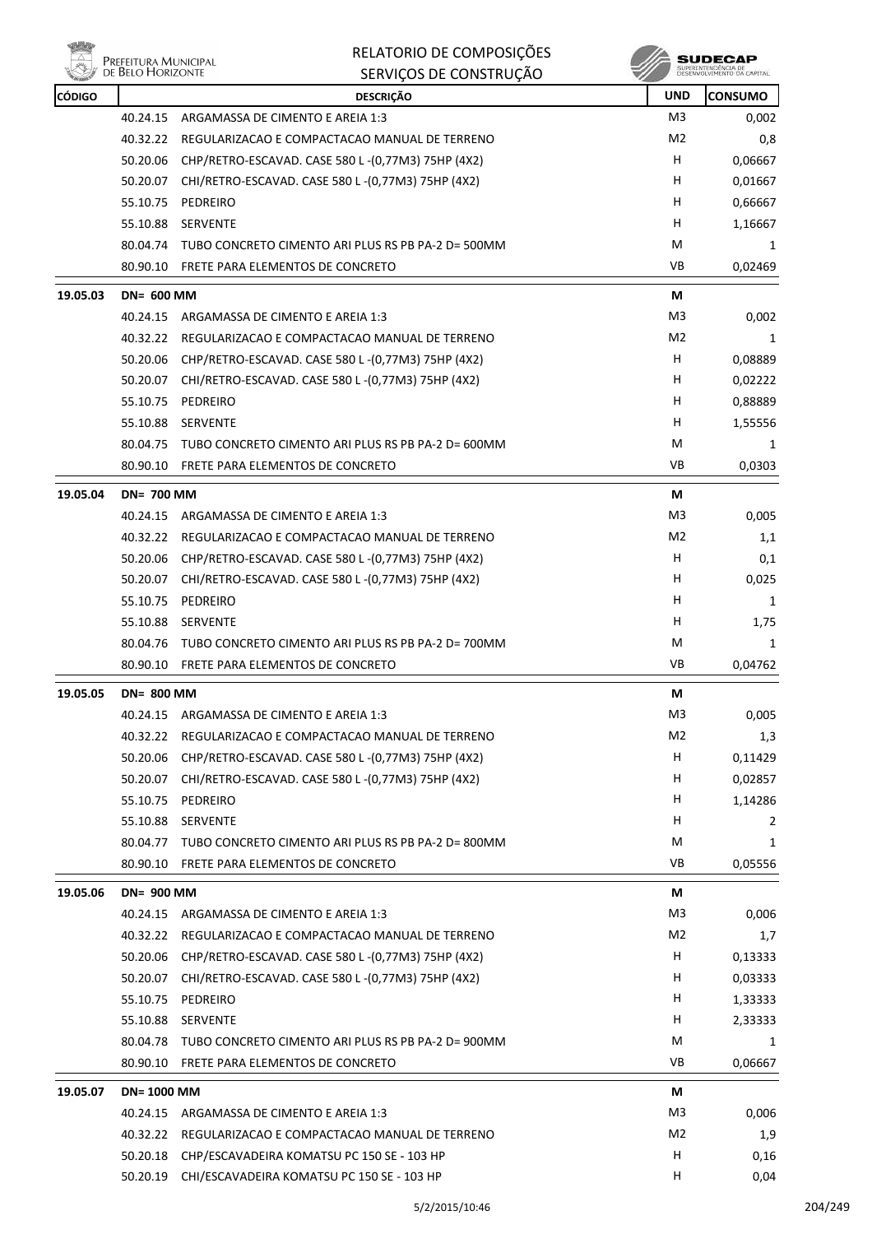

| <b>CÓDIGO</b> |                   | <b>DESCRIÇÃO</b>                                           | <b>UND</b>     | <b>CONSUMO</b> |
|---------------|-------------------|------------------------------------------------------------|----------------|----------------|
|               | 40.24.15          | ARGAMASSA DE CIMENTO E AREIA 1:3                           | M3             | 0,002          |
|               | 40.32.22          | REGULARIZACAO E COMPACTACAO MANUAL DE TERRENO              | M <sub>2</sub> | 0,8            |
|               | 50.20.06          | CHP/RETRO-ESCAVAD. CASE 580 L-(0,77M3) 75HP (4X2)          | H.             | 0,06667        |
|               | 50.20.07          | CHI/RETRO-ESCAVAD. CASE 580 L-(0,77M3) 75HP (4X2)          | H.             | 0,01667        |
|               | 55.10.75          | PEDREIRO                                                   | н              | 0,66667        |
|               | 55.10.88          | <b>SERVENTE</b>                                            | H.             | 1,16667        |
|               | 80.04.74          | TUBO CONCRETO CIMENTO ARI PLUS RS PB PA-2 D= 500MM         | М              | 1              |
|               | 80.90.10          | FRETE PARA ELEMENTOS DE CONCRETO                           | VB             | 0,02469        |
| 19.05.03      | <b>DN= 600 MM</b> |                                                            | М              |                |
|               | 40.24.15          | ARGAMASSA DE CIMENTO E AREIA 1:3                           | M3             | 0,002          |
|               | 40.32.22          | REGULARIZACAO E COMPACTACAO MANUAL DE TERRENO              | M2             | 1              |
|               | 50.20.06          | CHP/RETRO-ESCAVAD. CASE 580 L-(0,77M3) 75HP (4X2)          | H              | 0,08889        |
|               | 50.20.07          | CHI/RETRO-ESCAVAD. CASE 580 L-(0,77M3) 75HP (4X2)          | H              | 0,02222        |
|               | 55.10.75          | PEDREIRO                                                   | H.             | 0,88889        |
|               | 55.10.88          | SERVENTE                                                   | H.             | 1,55556        |
|               | 80.04.75          | TUBO CONCRETO CIMENTO ARI PLUS RS PB PA-2 D= 600MM         | М              | 1              |
|               | 80.90.10          | FRETE PARA ELEMENTOS DE CONCRETO                           | VB             | 0,0303         |
| 19.05.04      | <b>DN= 700 MM</b> |                                                            | M              |                |
|               | 40.24.15          | ARGAMASSA DE CIMENTO E AREIA 1:3                           | M3             | 0,005          |
|               | 40.32.22          | REGULARIZACAO E COMPACTACAO MANUAL DE TERRENO              | M2             | 1,1            |
|               | 50.20.06          | CHP/RETRO-ESCAVAD. CASE 580 L-(0,77M3) 75HP (4X2)          | H              | 0,1            |
|               | 50.20.07          | CHI/RETRO-ESCAVAD. CASE 580 L-(0,77M3) 75HP (4X2)          | H              | 0,025          |
|               | 55.10.75          | PEDREIRO                                                   | н              | 1              |
|               | 55.10.88          | <b>SERVENTE</b>                                            | H              | 1,75           |
|               | 80.04.76          | TUBO CONCRETO CIMENTO ARI PLUS RS PB PA-2 D= 700MM         | М              | 1              |
|               | 80.90.10          | FRETE PARA ELEMENTOS DE CONCRETO                           | VB             | 0,04762        |
| 19.05.05      | <b>DN= 800 MM</b> |                                                            | М              |                |
|               |                   | 40.24.15 ARGAMASSA DE CIMENTO E AREIA 1:3                  | M3             | 0,005          |
|               |                   | 40.32.22 REGULARIZACAO E COMPACTACAO MANUAL DE TERRENO     | M <sub>2</sub> | 1,3            |
|               |                   | 50.20.06 CHP/RETRO-ESCAVAD. CASE 580 L-(0,77M3) 75HP (4X2) | н              | 0,11429        |
|               | 50.20.07          | CHI/RETRO-ESCAVAD. CASE 580 L-(0,77M3) 75HP (4X2)          | н              | 0,02857        |
|               | 55.10.75          | PEDREIRO                                                   | H              | 1,14286        |
|               | 55.10.88          | SERVENTE                                                   | H.             | 2              |
|               | 80.04.77          | TUBO CONCRETO CIMENTO ARI PLUS RS PB PA-2 D= 800MM         | М              | 1              |
|               | 80.90.10          | FRETE PARA ELEMENTOS DE CONCRETO                           | VB             | 0,05556        |
| 19.05.06      | <b>DN= 900 MM</b> |                                                            | М              |                |
|               |                   | 40.24.15 ARGAMASSA DE CIMENTO E AREIA 1:3                  | M3             | 0,006          |
|               | 40.32.22          | REGULARIZACAO E COMPACTACAO MANUAL DE TERRENO              | M <sub>2</sub> | 1,7            |
|               | 50.20.06          | CHP/RETRO-ESCAVAD. CASE 580 L-(0,77M3) 75HP (4X2)          | н              | 0,13333        |
|               |                   | 50.20.07 CHI/RETRO-ESCAVAD. CASE 580 L-(0,77M3) 75HP (4X2) | H              | 0,03333        |
|               | 55.10.75          | PEDREIRO                                                   | H              | 1,33333        |
|               | 55.10.88          | SERVENTE                                                   | H              | 2,33333        |
|               | 80.04.78          | TUBO CONCRETO CIMENTO ARI PLUS RS PB PA-2 D= 900MM         | М              | 1              |
|               | 80.90.10          | FRETE PARA ELEMENTOS DE CONCRETO                           | VB             | 0,06667        |
| 19.05.07      | <b>DN=1000 MM</b> |                                                            | М              |                |
|               | 40.24.15          | ARGAMASSA DE CIMENTO E AREIA 1:3                           | M3             | 0,006          |
|               | 40.32.22          | REGULARIZACAO E COMPACTACAO MANUAL DE TERRENO              | M2             | 1,9            |
|               | 50.20.18          | CHP/ESCAVADEIRA KOMATSU PC 150 SE - 103 HP                 | H              | 0,16           |
|               | 50.20.19          | CHI/ESCAVADEIRA KOMATSU PC 150 SE - 103 HP                 | H              | 0,04           |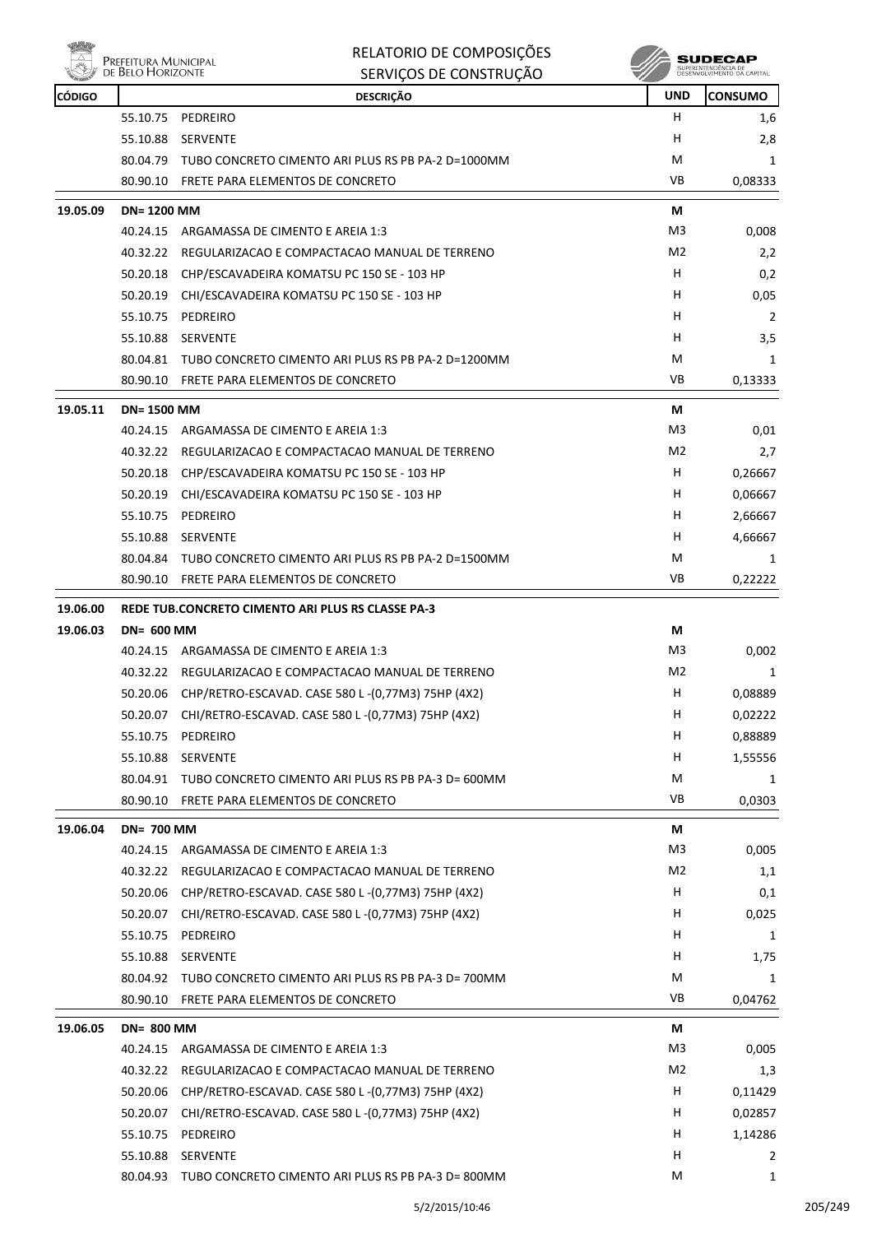

**PREFEITURA MUNICIPAL**<br>DE BELO HORIZONTE

## RELATORIO DE COMPOSIÇÕES

|               | <b>LINELEH OIVA PHOPHULLAL</b><br>DE BELO HORIZONTE | SERVIÇOS DE CONSTRUÇÃO                                      |                | SUPERINTENDÊNCIA DE<br>DESENVOLVIMENTO DA CAPITAL |
|---------------|-----------------------------------------------------|-------------------------------------------------------------|----------------|---------------------------------------------------|
| <b>CÓDIGO</b> |                                                     | <b>DESCRIÇÃO</b>                                            | <b>UND</b>     | <b>CONSUMO</b>                                    |
|               | 55.10.75                                            | PEDREIRO                                                    | н              | 1,6                                               |
|               | 55.10.88                                            | <b>SERVENTE</b>                                             | н              | 2,8                                               |
|               | 80.04.79                                            | TUBO CONCRETO CIMENTO ARI PLUS RS PB PA-2 D=1000MM          | Μ              | 1                                                 |
|               | 80.90.10                                            | FRETE PARA ELEMENTOS DE CONCRETO                            | VB             | 0,08333                                           |
| 19.05.09      | <b>DN=1200 MM</b>                                   |                                                             | М              |                                                   |
|               | 40.24.15                                            | ARGAMASSA DE CIMENTO E AREIA 1:3                            | M <sub>3</sub> | 0,008                                             |
|               | 40.32.22                                            | REGULARIZACAO E COMPACTACAO MANUAL DE TERRENO               | M2             | 2,2                                               |
|               | 50.20.18                                            | CHP/ESCAVADEIRA KOMATSU PC 150 SE - 103 HP                  | н              | 0,2                                               |
|               | 50.20.19                                            | CHI/ESCAVADEIRA KOMATSU PC 150 SE - 103 HP                  | н              | 0,05                                              |
|               | 55.10.75                                            | PEDREIRO                                                    | н              | 2                                                 |
|               | 55.10.88                                            | <b>SERVENTE</b>                                             | н              | 3,5                                               |
|               | 80.04.81                                            | TUBO CONCRETO CIMENTO ARI PLUS RS PB PA-2 D=1200MM          | M              | 1                                                 |
|               | 80.90.10                                            | FRETE PARA ELEMENTOS DE CONCRETO                            | VB             | 0,13333                                           |
| 19.05.11      | <b>DN=1500 MM</b>                                   |                                                             | М              |                                                   |
|               | 40.24.15                                            | ARGAMASSA DE CIMENTO E AREIA 1:3                            | M3             | 0,01                                              |
|               | 40.32.22                                            | REGULARIZACAO E COMPACTACAO MANUAL DE TERRENO               | M <sub>2</sub> | 2,7                                               |
|               | 50.20.18                                            | CHP/ESCAVADEIRA KOMATSU PC 150 SE - 103 HP                  | н              | 0,26667                                           |
|               | 50.20.19                                            | CHI/ESCAVADEIRA KOMATSU PC 150 SE - 103 HP                  | н              | 0,06667                                           |
|               | 55.10.75                                            | PEDREIRO                                                    | H              | 2,66667                                           |
|               | 55.10.88                                            | SERVENTE                                                    | н              | 4,66667                                           |
|               | 80.04.84                                            | TUBO CONCRETO CIMENTO ARI PLUS RS PB PA-2 D=1500MM          | Μ              | 1                                                 |
|               | 80.90.10                                            | FRETE PARA ELEMENTOS DE CONCRETO                            | VB             | 0,22222                                           |
| 19.06.00      |                                                     | REDE TUB.CONCRETO CIMENTO ARI PLUS RS CLASSE PA-3           |                |                                                   |
| 19.06.03      | <b>DN= 600 MM</b>                                   |                                                             | М              |                                                   |
|               | 40.24.15                                            | ARGAMASSA DE CIMENTO E AREIA 1:3                            | M3             | 0,002                                             |
|               | 40.32.22                                            | REGULARIZACAO E COMPACTACAO MANUAL DE TERRENO               | M2             | 1                                                 |
|               | 50.20.06                                            | CHP/RETRO-ESCAVAD. CASE 580 L-(0,77M3) 75HP (4X2)           | н              | 0,08889                                           |
|               | 50.20.07                                            | CHI/RETRO-ESCAVAD. CASE 580 L-(0,77M3) 75HP (4X2)           | н              | 0,02222                                           |
|               | 55.10.75                                            | PEDREIRO                                                    | н              | 0,88889                                           |
|               | 55.10.88                                            | SERVENTE                                                    | н              | 1,55556                                           |
|               |                                                     | 80.04.91 TUBO CONCRETO CIMENTO ARI PLUS RS PB PA-3 D= 600MM | M              | 1                                                 |
|               | 80.90.10                                            | FRETE PARA ELEMENTOS DE CONCRETO                            | VB             | 0,0303                                            |
| 19.06.04      | <b>DN= 700 MM</b>                                   |                                                             | М              |                                                   |
|               | 40.24.15                                            | ARGAMASSA DE CIMENTO E AREIA 1:3                            | M3             | 0,005                                             |
|               | 40.32.22                                            | REGULARIZACAO E COMPACTACAO MANUAL DE TERRENO               | M2             | 1,1                                               |
|               | 50.20.06                                            | CHP/RETRO-ESCAVAD. CASE 580 L-(0,77M3) 75HP (4X2)           | H              | 0,1                                               |
|               |                                                     | 50.20.07 CHI/RETRO-ESCAVAD. CASE 580 L-(0,77M3) 75HP (4X2)  | н              | 0,025                                             |
|               | 55.10.75                                            | PEDREIRO                                                    | н              | 1                                                 |
|               | 55.10.88                                            | <b>SERVENTE</b>                                             | н              | 1,75                                              |
|               |                                                     | 80.04.92 TUBO CONCRETO CIMENTO ARI PLUS RS PB PA-3 D= 700MM | М              | 1                                                 |
|               | 80.90.10                                            | FRETE PARA ELEMENTOS DE CONCRETO                            | VB             | 0,04762                                           |
| 19.06.05      | <b>DN= 800 MM</b>                                   |                                                             | М              |                                                   |
|               |                                                     | 40.24.15 ARGAMASSA DE CIMENTO E AREIA 1:3                   | M3             | 0,005                                             |
|               | 40.32.22                                            | REGULARIZACAO E COMPACTACAO MANUAL DE TERRENO               | M2             | 1,3                                               |
|               | 50.20.06                                            | CHP/RETRO-ESCAVAD. CASE 580 L -(0,77M3) 75HP (4X2)          | н              | 0,11429                                           |
|               | 50.20.07                                            | CHI/RETRO-ESCAVAD. CASE 580 L-(0,77M3) 75HP (4X2)           | н              | 0,02857                                           |
|               | 55.10.75                                            | PEDREIRO                                                    | H.             | 1,14286                                           |
|               | 55.10.88                                            | SERVENTE                                                    | H              | 2                                                 |
|               |                                                     | 80.04.93 TUBO CONCRETO CIMENTO ARI PLUS RS PB PA-3 D= 800MM | м              | 1                                                 |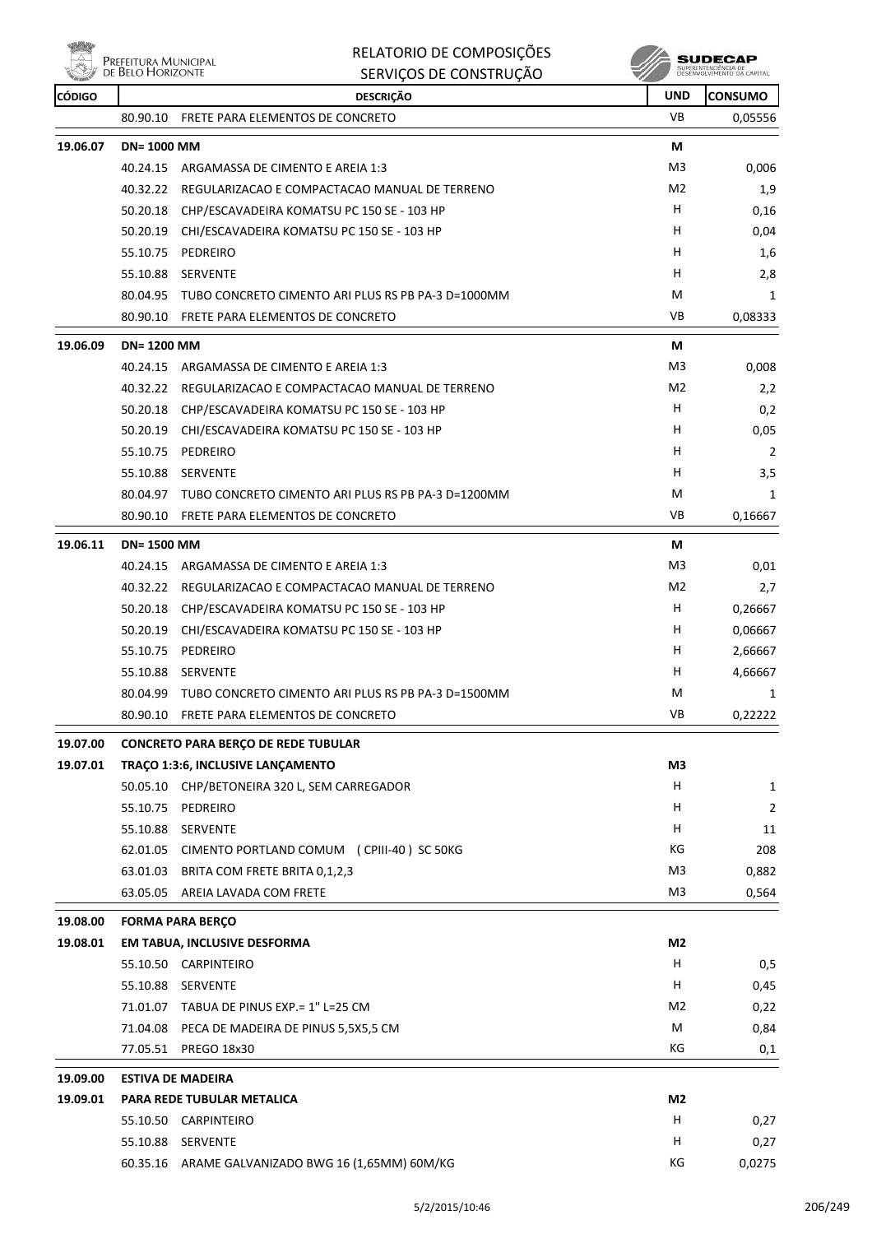

| RELATORIO DE COMPOSIÇÕES |  |
|--------------------------|--|
| SERVICOS DE CONSTRUÇÃO   |  |



| <b>REAL PROPERTY</b><br><b>CÓDIGO</b> |                   | <b>SENVIÇUS DE CUNSTNUÇAU</b><br><b>DESCRIÇÃO</b>  | w<br><b>UND</b> | <b>CONSUMO</b> |
|---------------------------------------|-------------------|----------------------------------------------------|-----------------|----------------|
|                                       | 80.90.10          | FRETE PARA ELEMENTOS DE CONCRETO                   | VB              | 0,05556        |
| 19.06.07                              | <b>DN=1000 MM</b> |                                                    | М               |                |
|                                       | 40.24.15          | ARGAMASSA DE CIMENTO E AREIA 1:3                   | M3              | 0,006          |
|                                       | 40.32.22          | REGULARIZACAO E COMPACTACAO MANUAL DE TERRENO      | M2              | 1,9            |
|                                       | 50.20.18          | CHP/ESCAVADEIRA KOMATSU PC 150 SE - 103 HP         | H.              | 0,16           |
|                                       | 50.20.19          | CHI/ESCAVADEIRA KOMATSU PC 150 SE - 103 HP         | H               | 0,04           |
|                                       | 55.10.75          | PEDREIRO                                           | н               | 1,6            |
|                                       | 55.10.88          | <b>SERVENTE</b>                                    | н               | 2,8            |
|                                       | 80.04.95          | TUBO CONCRETO CIMENTO ARI PLUS RS PB PA-3 D=1000MM | M               | 1              |
|                                       | 80.90.10          | FRETE PARA ELEMENTOS DE CONCRETO                   | VB              | 0,08333        |
| 19.06.09                              | <b>DN=1200 MM</b> |                                                    | М               |                |
|                                       | 40.24.15          | ARGAMASSA DE CIMENTO E AREIA 1:3                   | M3              | 0,008          |
|                                       | 40.32.22          | REGULARIZACAO E COMPACTACAO MANUAL DE TERRENO      | M <sub>2</sub>  | 2,2            |
|                                       | 50.20.18          | CHP/ESCAVADEIRA KOMATSU PC 150 SE - 103 HP         | н               | 0,2            |
|                                       | 50.20.19          | CHI/ESCAVADEIRA KOMATSU PC 150 SE - 103 HP         | H               | 0,05           |
|                                       | 55.10.75          | PEDREIRO                                           | н               | 2              |
|                                       | 55.10.88          | <b>SERVENTE</b>                                    | н               | 3,5            |
|                                       | 80.04.97          | TUBO CONCRETO CIMENTO ARI PLUS RS PB PA-3 D=1200MM | M               | 1              |
|                                       | 80.90.10          | FRETE PARA ELEMENTOS DE CONCRETO                   | VB              | 0,16667        |
| 19.06.11                              | <b>DN=1500 MM</b> |                                                    | М               |                |
|                                       | 40.24.15          | ARGAMASSA DE CIMENTO E AREIA 1:3                   | M3              | 0,01           |
|                                       | 40.32.22          | REGULARIZACAO E COMPACTACAO MANUAL DE TERRENO      | M2              | 2,7            |
|                                       | 50.20.18          | CHP/ESCAVADEIRA KOMATSU PC 150 SE - 103 HP         | н               | 0,26667        |
|                                       | 50.20.19          | CHI/ESCAVADEIRA KOMATSU PC 150 SE - 103 HP         | H               | 0,06667        |
|                                       | 55.10.75          | PEDREIRO                                           | H               | 2,66667        |
|                                       | 55.10.88          | <b>SERVENTE</b>                                    | н               | 4,66667        |
|                                       | 80.04.99          | TUBO CONCRETO CIMENTO ARI PLUS RS PB PA-3 D=1500MM | M               | 1              |
|                                       | 80.90.10          | FRETE PARA ELEMENTOS DE CONCRETO                   | VB              | 0,22222        |
| 19.07.00                              |                   | <b>CONCRETO PARA BERÇO DE REDE TUBULAR</b>         |                 |                |
| 19.07.01                              |                   | TRACO 1:3:6, INCLUSIVE LANCAMENTO                  | M3              |                |
|                                       |                   | 50.05.10 CHP/BETONEIRA 320 L, SEM CARREGADOR       | H               | $\mathbf{1}$   |
|                                       | 55.10.75          | PEDREIRO                                           | H               | 2              |
|                                       | 55.10.88          | SERVENTE                                           | н               | 11             |
|                                       | 62.01.05          | CIMENTO PORTLAND COMUM (CPIII-40) SC 50KG          | КG              | 208            |
|                                       | 63.01.03          | BRITA COM FRETE BRITA 0,1,2,3                      | M <sub>3</sub>  | 0,882          |
|                                       | 63.05.05          | AREIA LAVADA COM FRETE                             | M3              | 0,564          |
| 19.08.00                              |                   | <b>FORMA PARA BERÇO</b>                            |                 |                |
| 19.08.01                              |                   | EM TABUA, INCLUSIVE DESFORMA                       | M2              |                |
|                                       |                   | 55.10.50 CARPINTEIRO                               | H               | 0,5            |
|                                       | 55.10.88          | <b>SERVENTE</b>                                    | H               | 0,45           |
|                                       |                   | 71.01.07 TABUA DE PINUS EXP.= 1" L=25 CM           | M2              | 0,22           |
|                                       |                   | 71.04.08 PECA DE MADEIRA DE PINUS 5,5X5,5 CM       | М               | 0,84           |
|                                       | 77.05.51          | <b>PREGO 18x30</b>                                 | КG              | 0,1            |
| 19.09.00                              |                   | <b>ESTIVA DE MADEIRA</b>                           |                 |                |
| 19.09.01                              |                   | PARA REDE TUBULAR METALICA                         | M2              |                |
|                                       |                   | 55.10.50 CARPINTEIRO                               | н               | 0,27           |
|                                       | 55.10.88          | SERVENTE                                           | H               | 0,27           |
|                                       |                   | 60.35.16 ARAME GALVANIZADO BWG 16 (1,65MM) 60M/KG  | КG              | 0,0275         |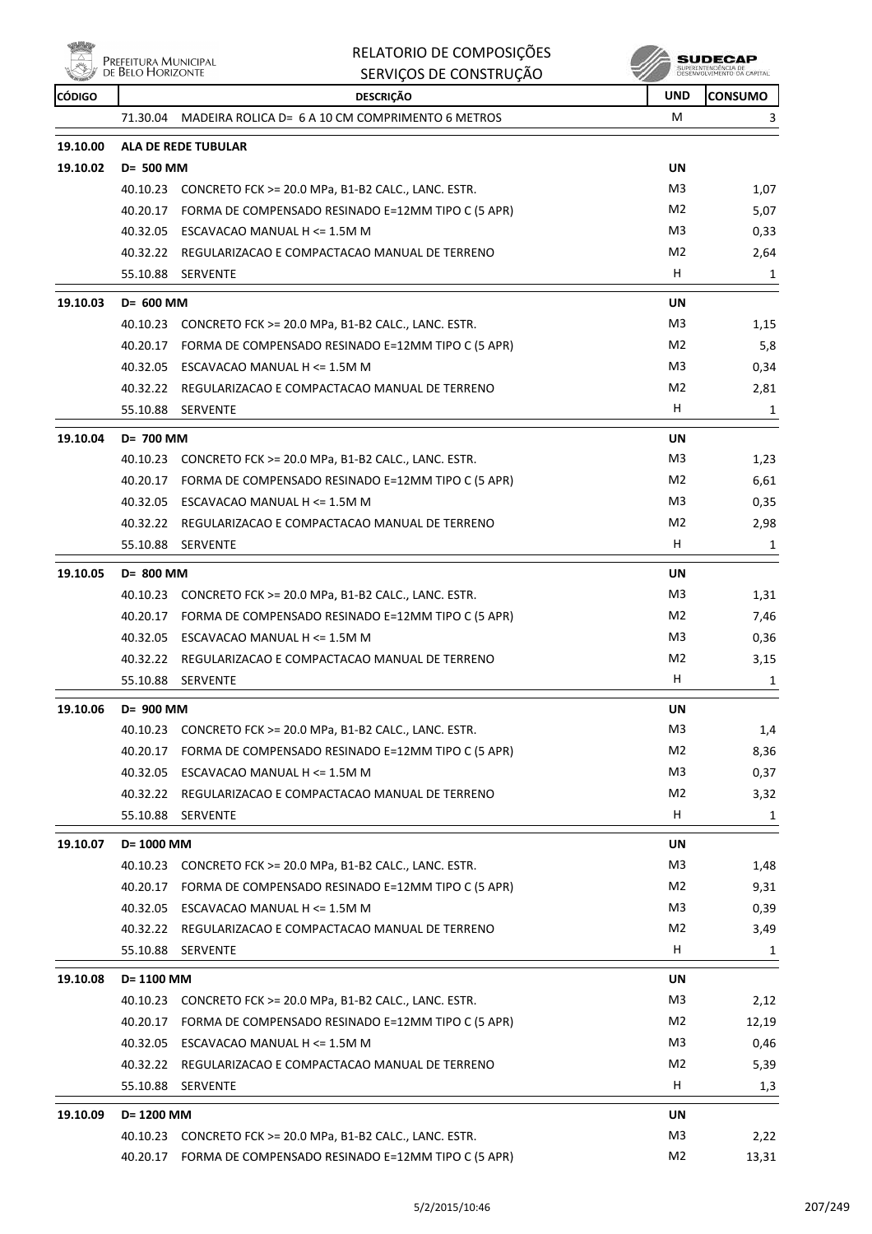

**SUDECAP**<br>SUPERINTENDÉNCIA DE<br>DÉSERVOLVIMENTO OA CAPITAL

| <b>CÓDIGO</b> |                      | <b>DESCRIÇÃO</b>                                                                   | <b>UND</b>     | <b>CONSUMO</b> |
|---------------|----------------------|------------------------------------------------------------------------------------|----------------|----------------|
|               | 71.30.04             | MADEIRA ROLICA D= 6 A 10 CM COMPRIMENTO 6 METROS                                   | м              | 3              |
| 19.10.00      |                      | <b>ALA DE REDE TUBULAR</b>                                                         |                |                |
| 19.10.02      | D= 500 MM            |                                                                                    | <b>UN</b>      |                |
|               |                      | 40.10.23 CONCRETO FCK >= 20.0 MPa, B1-B2 CALC., LANC. ESTR.                        | M3             | 1,07           |
|               |                      | 40.20.17 FORMA DE COMPENSADO RESINADO E=12MM TIPO C (5 APR)                        | M <sub>2</sub> | 5,07           |
|               |                      | 40.32.05 ESCAVACAO MANUAL H <= 1.5M M                                              | M3             | 0,33           |
|               |                      | 40.32.22 REGULARIZACAO E COMPACTACAO MANUAL DE TERRENO                             | M <sub>2</sub> | 2,64           |
|               |                      | 55.10.88 SERVENTE                                                                  | H.             | 1              |
| 19.10.03      | D= 600 MM            |                                                                                    | <b>UN</b>      |                |
|               | 40.10.23             | CONCRETO FCK >= 20.0 MPa, B1-B2 CALC., LANC. ESTR.                                 | M3             | 1,15           |
|               | 40.20.17             | FORMA DE COMPENSADO RESINADO E=12MM TIPO C (5 APR)                                 | M2             | 5,8            |
|               | 40.32.05             | ESCAVACAO MANUAL H <= 1.5M M                                                       | M3             | 0,34           |
|               |                      | 40.32.22 REGULARIZACAO E COMPACTACAO MANUAL DE TERRENO                             | M <sub>2</sub> | 2,81           |
|               | 55.10.88             | SERVENTE                                                                           | H              | 1              |
| 19.10.04      | D= 700 MM            |                                                                                    | <b>UN</b>      |                |
|               |                      | 40.10.23 CONCRETO FCK >= 20.0 MPa, B1-B2 CALC., LANC. ESTR.                        | M3             | 1,23           |
|               | 40.20.17             | FORMA DE COMPENSADO RESINADO E=12MM TIPO C (5 APR)                                 | M <sub>2</sub> | 6,61           |
|               |                      | 40.32.05 ESCAVACAO MANUAL H <= 1.5M M                                              | M3             | 0,35           |
|               |                      | 40.32.22 REGULARIZACAO E COMPACTACAO MANUAL DE TERRENO                             | M <sub>2</sub> | 2,98           |
|               | 55.10.88             | <b>SERVENTE</b>                                                                    | H.             | 1              |
| 19.10.05      | D= 800 MM            |                                                                                    | <b>UN</b>      |                |
|               |                      | 40.10.23 CONCRETO FCK >= 20.0 MPa, B1-B2 CALC., LANC. ESTR.                        | M3             | 1,31           |
|               |                      | 40.20.17 FORMA DE COMPENSADO RESINADO E=12MM TIPO C (5 APR)                        | M <sub>2</sub> | 7,46           |
|               | 40.32.05             | ESCAVACAO MANUAL H <= 1.5M M                                                       | M3             | 0,36           |
|               | 40.32.22             | REGULARIZACAO E COMPACTACAO MANUAL DE TERRENO                                      | M <sub>2</sub> | 3,15           |
|               | 55.10.88             | <b>SERVENTE</b>                                                                    | H.             | 1              |
| 19.10.06      | D= 900 MM            |                                                                                    | <b>UN</b>      |                |
|               |                      | 40.10.23 CONCRETO FCK >= 20.0 MPa, B1-B2 CALC., LANC. ESTR.                        | M3             | 1,4            |
|               |                      |                                                                                    | M <sub>2</sub> |                |
|               | 40.20.17<br>40.32.05 | FORMA DE COMPENSADO RESINADO E=12MM TIPO C (5 APR)<br>ESCAVACAO MANUAL H <= 1.5M M | M <sub>3</sub> | 8,36           |
|               | 40.32.22             | REGULARIZACAO E COMPACTACAO MANUAL DE TERRENO                                      | M <sub>2</sub> | 0,37<br>3,32   |
|               | 55.10.88             | SERVENTE                                                                           | н              | 1              |
|               |                      |                                                                                    |                |                |
| 19.10.07      | D= 1000 MM           |                                                                                    | <b>UN</b>      |                |
|               |                      | 40.10.23 CONCRETO FCK >= 20.0 MPa, B1-B2 CALC., LANC. ESTR.                        | M3             | 1,48           |
|               | 40.20.17             | FORMA DE COMPENSADO RESINADO E=12MM TIPO C (5 APR)                                 | M <sub>2</sub> | 9,31           |
|               | 40.32.05             | ESCAVACAO MANUAL H <= 1.5M M                                                       | M3             | 0,39           |
|               | 40.32.22             | REGULARIZACAO E COMPACTACAO MANUAL DE TERRENO                                      | M <sub>2</sub> | 3,49           |
|               | 55.10.88             | SERVENTE                                                                           | н              | 1              |
| 19.10.08      | D= 1100 MM           |                                                                                    | UN             |                |
|               | 40.10.23             | CONCRETO FCK >= 20.0 MPa, B1-B2 CALC., LANC. ESTR.                                 | M <sub>3</sub> | 2,12           |
|               | 40.20.17             | FORMA DE COMPENSADO RESINADO E=12MM TIPO C (5 APR)                                 | M <sub>2</sub> | 12,19          |
|               | 40.32.05             | ESCAVACAO MANUAL H <= 1.5M M                                                       | M <sub>3</sub> | 0,46           |
|               |                      | 40.32.22 REGULARIZACAO E COMPACTACAO MANUAL DE TERRENO                             | M <sub>2</sub> | 5,39           |
|               | 55.10.88             | <b>SERVENTE</b>                                                                    | н              | 1,3            |
| 19.10.09      | D= 1200 MM           |                                                                                    | UN             |                |
|               |                      | 40.10.23 CONCRETO FCK >= 20.0 MPa, B1-B2 CALC., LANC. ESTR.                        | M3             | 2,22           |
|               |                      | 40.20.17 FORMA DE COMPENSADO RESINADO E=12MM TIPO C (5 APR)                        | M <sub>2</sub> | 13,31          |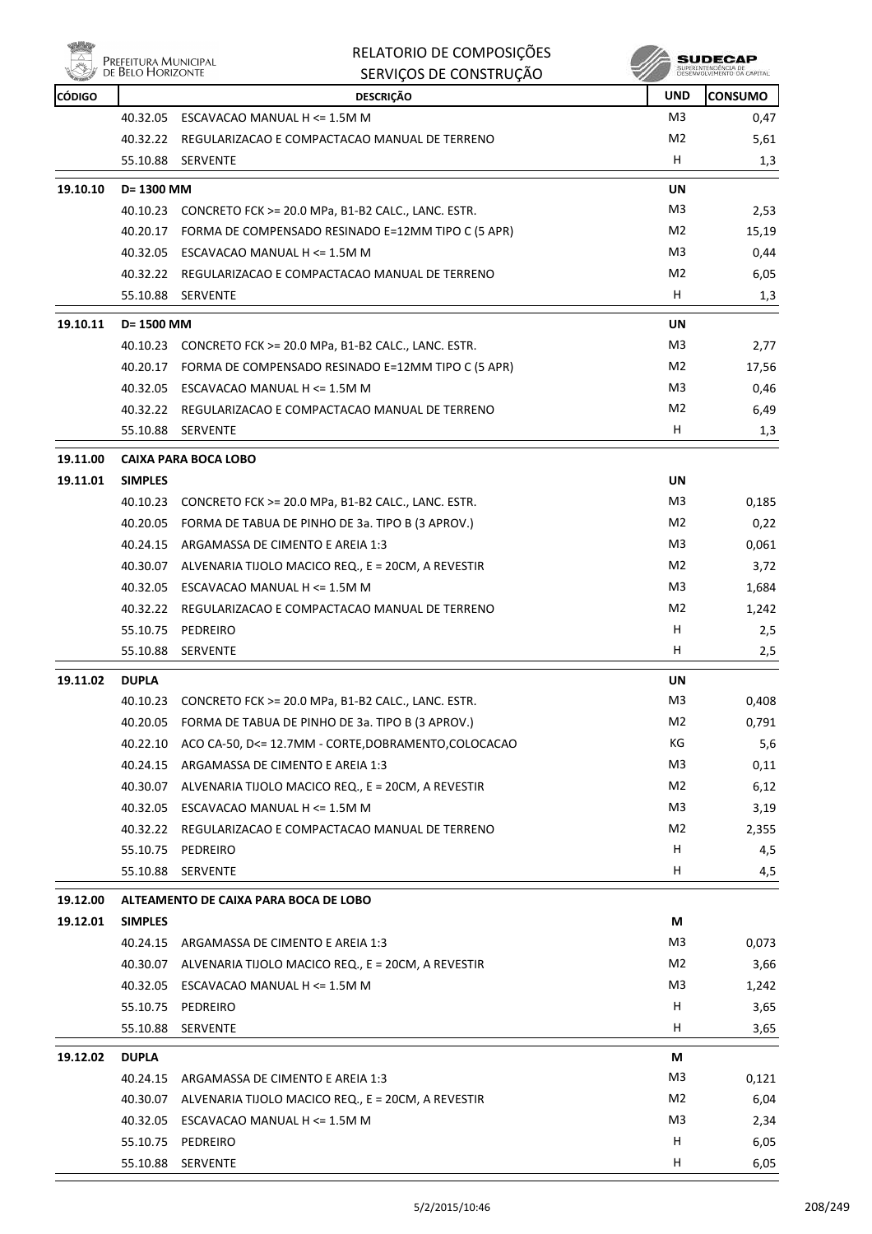

|          | PREFEITURA MUNICIPAL<br>DE BELO HORIZONTE | RELATORIO DE COMPOSIÇÕES<br>SERVIÇOS DE CONSTRUÇÃO |                |                |
|----------|-------------------------------------------|----------------------------------------------------|----------------|----------------|
| CÓDIGO   |                                           | <b>DESCRIÇÃO</b>                                   | <b>UND</b>     | <b>CONSUMO</b> |
|          | 40.32.05                                  | ESCAVACAO MANUAL H <= 1.5M M                       | M <sub>3</sub> | 0,47           |
|          | 40.32.22                                  | REGULARIZACAO E COMPACTACAO MANUAL DE TERRENO      | M2             | 5,61           |
|          | 55.10.88                                  | <b>SERVENTE</b>                                    | н              | 1,3            |
| 19.10.10 | $D = 1300$ MM                             |                                                    | UN             |                |
|          | 40.10.23                                  | CONCRETO FCK >= 20.0 MPa, B1-B2 CALC., LANC. ESTR. | M <sub>3</sub> | 2,53           |
|          | 40.20.17                                  | FORMA DE COMPENSADO RESINADO E=12MM TIPO C (5 APR) | M <sub>2</sub> | 15,19          |
|          | 40.32.05                                  | ESCAVACAO MANUAL H <= 1.5M M                       | M <sub>3</sub> | 0,44           |
|          | 40.32.22                                  | REGULARIZACAO E COMPACTACAO MANUAL DE TERRENO      | M <sub>2</sub> | 6,05           |
|          | 55.10.88                                  | <b>SERVENTE</b>                                    | н              | 1,3            |

| 19.10.11 | D= 1500 MM     |                                                    | <b>UN</b>      |       |
|----------|----------------|----------------------------------------------------|----------------|-------|
|          | 40.10.23       | CONCRETO FCK >= 20.0 MPa, B1-B2 CALC., LANC. ESTR. | M <sub>3</sub> | 2,77  |
|          | 40.20.17       | FORMA DE COMPENSADO RESINADO E=12MM TIPO C (5 APR) | M <sub>2</sub> | 17,56 |
|          | 40.32.05       | ESCAVACAO MANUAL $H \le 1.5M$ M                    | M <sub>3</sub> | 0,46  |
|          | 40.32.22       | REGULARIZACAO E COMPACTACAO MANUAL DE TERRENO      | M <sub>2</sub> | 6,49  |
|          | 55.10.88       | <b>SERVENTE</b>                                    | н              | 1,3   |
| 19.11.00 |                | CAIXA PARA BOCA LOBO                               |                |       |
| 19.11.01 | <b>SIMPLES</b> |                                                    | UN             |       |
|          | 40.10.23       | CONCRETO FCK >= 20.0 MPa, B1-B2 CALC., LANC. ESTR. | M3             | 0,185 |
|          | 40.20.05       | FORMA DE TABUA DE PINHO DE 3a. TIPO B (3 APROV.)   | M <sub>2</sub> | 0,22  |
|          | 40.24.15       | ARGAMASSA DE CIMENTO E AREIA 1:3                   | M <sub>3</sub> | 0,061 |
|          | 40.30.07       | ALVENARIA TIJOLO MACICO REQ., E = 20CM, A REVESTIR | M <sub>2</sub> | 3,72  |
|          | 40.32.05       | ESCAVACAO MANUAL H <= 1.5M M                       | M <sub>3</sub> | 1,684 |
|          | 40.32.22       | REGULARIZACAO E COMPACTACAO MANUAL DE TERRENO      | M <sub>2</sub> | 1,242 |
|          | 55.10.75       | PEDREIRO                                           | н              | 2,5   |
|          |                |                                                    |                |       |

|          | 55.10.88     | <b>SERVENTE</b>                                      | н              | 2,5   |
|----------|--------------|------------------------------------------------------|----------------|-------|
| 19.11.02 | <b>DUPLA</b> |                                                      | UN             |       |
|          | 40.10.23     | CONCRETO FCK >= 20.0 MPa, B1-B2 CALC., LANC. ESTR.   | M3             | 0.408 |
|          | 40.20.05     | FORMA DE TABUA DE PINHO DE 3a. TIPO B (3 APROV.)     | M2             | 0.791 |
|          | 40.22.10     | ACO CA-50, D<= 12.7MM - CORTE, DOBRAMENTO, COLOCACAO | КG             | 5,6   |
|          | 40.24.15     | ARGAMASSA DE CIMENTO E AREIA 1:3                     | M3             | 0,11  |
|          | 40.30.07     | ALVENARIA TIJOLO MACICO REQ., E = 20CM, A REVESTIR   | M <sub>2</sub> | 6,12  |
|          | 40.32.05     | ESCAVACAO MANUAL H <= 1.5M M                         | M <sub>3</sub> | 3,19  |
|          | 40.32.22     | REGULARIZACAO E COMPACTACAO MANUAL DE TERRENO        | M <sub>2</sub> | 2,355 |
|          | 55.10.75     | PEDREIRO                                             | н              | 4,5   |
|          | 55.10.88     | <b>SERVENTE</b>                                      | н              | 4,5   |

# **19.12.00 ALTEAMENTO DE CAIXA PARA BOCA DE LOBO**

| 19.12.01 | <b>SIMPLES</b> |                                                    | М              |       |
|----------|----------------|----------------------------------------------------|----------------|-------|
|          | 40.24.15       | ARGAMASSA DE CIMENTO E AREIA 1:3                   | M <sub>3</sub> | 0,073 |
|          | 40.30.07       | ALVENARIA TIJOLO MACICO REQ., E = 20CM, A REVESTIR | M <sub>2</sub> | 3,66  |
|          | 40.32.05       | ESCAVACAO MANUAL H <= 1.5M M                       | M <sub>3</sub> | 1,242 |
|          | 55.10.75       | PEDREIRO                                           | н              | 3,65  |
|          | 55.10.88       | <b>SERVENTE</b>                                    | н              | 3,65  |
|          |                |                                                    |                |       |
| 19.12.02 | <b>DUPLA</b>   |                                                    | М              |       |
|          | 40.24.15       | ARGAMASSA DE CIMENTO E AREIA 1:3                   | M <sub>3</sub> | 0,121 |
|          | 40.30.07       | ALVENARIA TIJOLO MACICO REQ., E = 20CM, A REVESTIR | M <sub>2</sub> | 6,04  |
|          | 40.32.05       | ESCAVACAO MANUAL H <= 1.5M M                       | M <sub>3</sub> | 2,34  |
|          | 55.10.75       | PEDREIRO                                           | H              | 6,05  |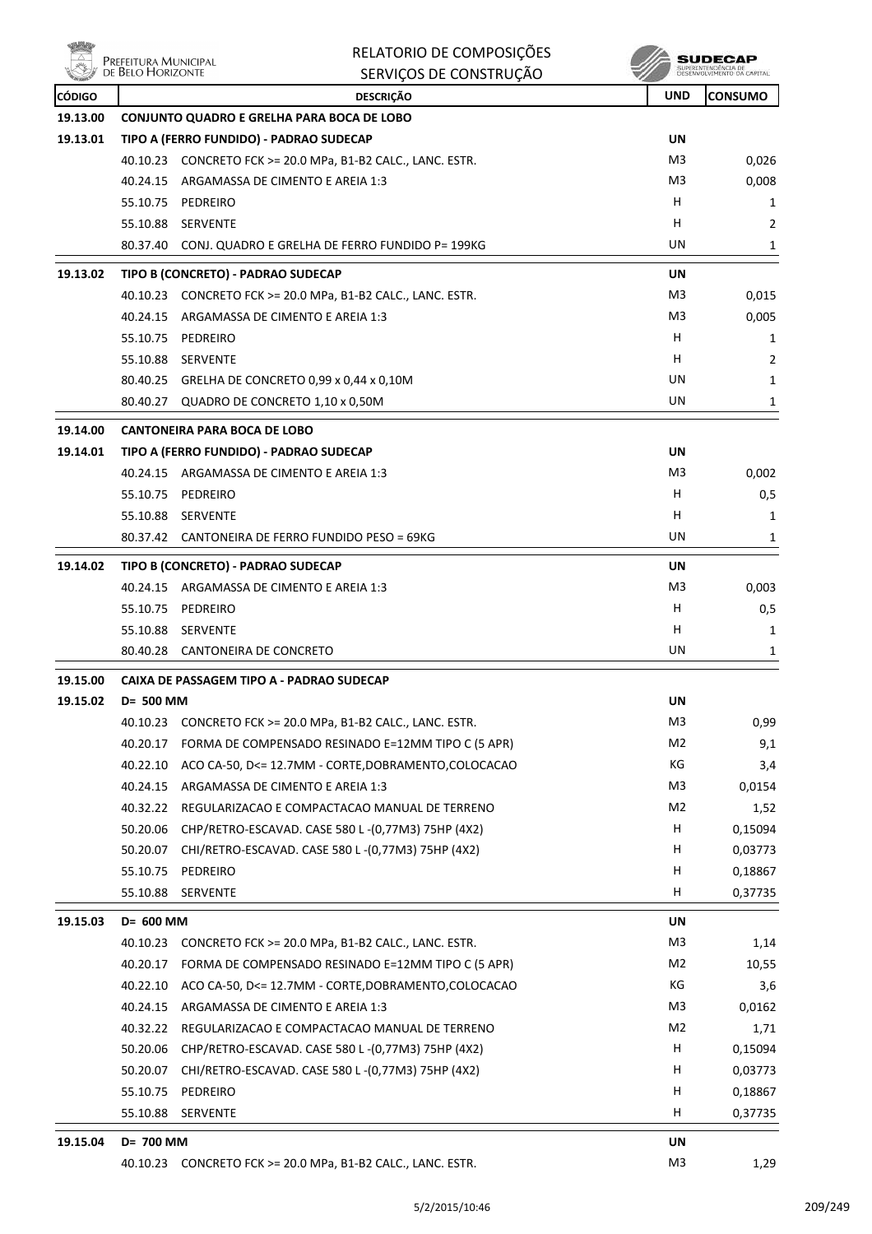| NÖ6           | Prefeitura Municipal<br>de Belo Horizonte | RELATORIO DE COMPOSIÇÕES                                    |                      | SUDECAP<br>SUPERINTENDÊNCIA DE<br>DESENVOLVIMENTO DA CAPIT |
|---------------|-------------------------------------------|-------------------------------------------------------------|----------------------|------------------------------------------------------------|
|               |                                           | SERVIÇOS DE CONSTRUÇÃO                                      |                      |                                                            |
| <b>CÓDIGO</b> |                                           | <b>DESCRIÇÃO</b>                                            | <b>UND</b>           | <b>CONSUMO</b>                                             |
| 19.13.00      |                                           | <b>CONJUNTO QUADRO E GRELHA PARA BOCA DE LOBO</b>           |                      |                                                            |
| 19.13.01      |                                           | TIPO A (FERRO FUNDIDO) - PADRAO SUDECAP                     | UN                   |                                                            |
|               |                                           | 40.10.23 CONCRETO FCK >= 20.0 MPa, B1-B2 CALC., LANC. ESTR. | M3                   | 0,026                                                      |
|               | 40.24.15                                  | ARGAMASSA DE CIMENTO E AREIA 1:3                            | M3                   | 0,008                                                      |
|               | 55.10.75                                  | PEDREIRO                                                    | н                    | 1                                                          |
|               | 55.10.88                                  | <b>SERVENTE</b>                                             | н                    | 2                                                          |
|               | 80.37.40                                  | CONJ. QUADRO E GRELHA DE FERRO FUNDIDO P= 199KG             | UN                   | 1                                                          |
| 19.13.02      |                                           | TIPO B (CONCRETO) - PADRAO SUDECAP                          | UN                   |                                                            |
|               |                                           | 40.10.23 CONCRETO FCK >= 20.0 MPa, B1-B2 CALC., LANC. ESTR. | M3                   | 0,015                                                      |
|               | 40.24.15                                  | ARGAMASSA DE CIMENTO E AREIA 1:3                            | M3                   | 0,005                                                      |
|               | 55.10.75                                  | PEDREIRO                                                    | н                    | 1                                                          |
|               | 55.10.88                                  | <b>SERVENTE</b>                                             | н                    | 2                                                          |
|               |                                           | 80.40.25 GRELHA DE CONCRETO 0,99 x 0,44 x 0,10M             | UN                   | 1                                                          |
|               | 80.40.27                                  | QUADRO DE CONCRETO 1,10 x 0,50M                             | UN                   | 1                                                          |
| 19.14.00      |                                           | <b>CANTONEIRA PARA BOCA DE LOBO</b>                         |                      |                                                            |
| 19.14.01      |                                           | TIPO A (FERRO FUNDIDO) - PADRAO SUDECAP                     | UN                   |                                                            |
|               | 40.24.15                                  | ARGAMASSA DE CIMENTO E AREIA 1:3                            | M3                   | 0,002                                                      |
|               | 55.10.75                                  | PEDREIRO                                                    | н                    | 0,5                                                        |
|               | 55.10.88                                  | SERVENTE                                                    | н                    | 1                                                          |
|               | 80.37.42                                  | CANTONEIRA DE FERRO FUNDIDO PESO = 69KG                     | UN                   | 1                                                          |
| 19.14.02      |                                           | TIPO B (CONCRETO) - PADRAO SUDECAP                          | UN                   |                                                            |
|               | 40.24.15                                  | ARGAMASSA DE CIMENTO E AREIA 1:3                            | M3                   | 0,003                                                      |
|               | 55.10.75                                  | PEDREIRO                                                    | н                    | 0,5                                                        |
|               | 55.10.88                                  | SERVENTE                                                    | н                    | 1                                                          |
|               | 80.40.28                                  | CANTONEIRA DE CONCRETO                                      | UN                   | 1                                                          |
| 19.15.00      |                                           | CAIXA DE PASSAGEM TIPO A - PADRAO SUDECAP                   |                      |                                                            |
| 19.15.02      | D= 500 MM                                 |                                                             | UN                   |                                                            |
|               | 40.10.23                                  | CONCRETO FCK >= 20.0 MPa, B1-B2 CALC., LANC. ESTR.          | M3                   | 0,99                                                       |
|               | 40.20.17                                  | FORMA DE COMPENSADO RESINADO E=12MM TIPO C (5 APR)          | M <sub>2</sub>       | 9,1                                                        |
|               | 40.22.10                                  | ACO CA-50, D<= 12.7MM - CORTE, DOBRAMENTO, COLOCACAO        | КG                   | 3,4                                                        |
|               | 40.24.15                                  | ARGAMASSA DE CIMENTO E AREIA 1:3                            | M3                   | 0,0154                                                     |
|               | 40.32.22                                  | REGULARIZACAO E COMPACTACAO MANUAL DE TERRENO               | M2                   | 1,52                                                       |
|               | 50.20.06                                  | CHP/RETRO-ESCAVAD. CASE 580 L-(0,77M3) 75HP (4X2)           | H                    | 0,15094                                                    |
|               | 50.20.07                                  | CHI/RETRO-ESCAVAD. CASE 580 L-(0,77M3) 75HP (4X2)           | H                    | 0,03773                                                    |
|               | 55.10.75                                  | PEDREIRO                                                    | H                    | 0,18867                                                    |
|               | 55.10.88                                  | <b>SERVENTE</b>                                             | н                    | 0,37735                                                    |
| 19.15.03      | D= 600 MM                                 |                                                             | UN                   |                                                            |
|               |                                           | 40.10.23 CONCRETO FCK >= 20.0 MPa, B1-B2 CALC., LANC. ESTR. | M3                   | 1,14                                                       |
|               | 40.20.17                                  | FORMA DE COMPENSADO RESINADO E=12MM TIPO C (5 APR)          | M2                   | 10,55                                                      |
|               | 40.22.10                                  | ACO CA-50, D<= 12.7MM - CORTE, DOBRAMENTO, COLOCACAO        | КG                   | 3,6                                                        |
|               | 40.24.15                                  | ARGAMASSA DE CIMENTO E AREIA 1:3                            | M3                   | 0,0162                                                     |
|               | 40.32.22                                  | REGULARIZACAO E COMPACTACAO MANUAL DE TERRENO               | M2                   | 1,71                                                       |
|               | 50.20.06                                  | CHP/RETRO-ESCAVAD. CASE 580 L-(0,77M3) 75HP (4X2)           | н                    | 0,15094                                                    |
|               | 50.20.07                                  | CHI/RETRO-ESCAVAD. CASE 580 L-(0,77M3) 75HP (4X2)           | н                    | 0,03773                                                    |
|               | 55.10.75                                  | PEDREIRO                                                    | н                    | 0,18867                                                    |
|               | 55.10.88                                  | <b>SERVENTE</b>                                             | H.                   | 0,37735                                                    |
| 19.15.04      | D= 700 MM                                 |                                                             |                      |                                                            |
|               |                                           | 40.10.23 CONCRETO FCK >= 20.0 MPa, B1-B2 CALC., LANC. ESTR. | UN<br>M <sub>3</sub> | 1,29                                                       |
|               |                                           |                                                             |                      |                                                            |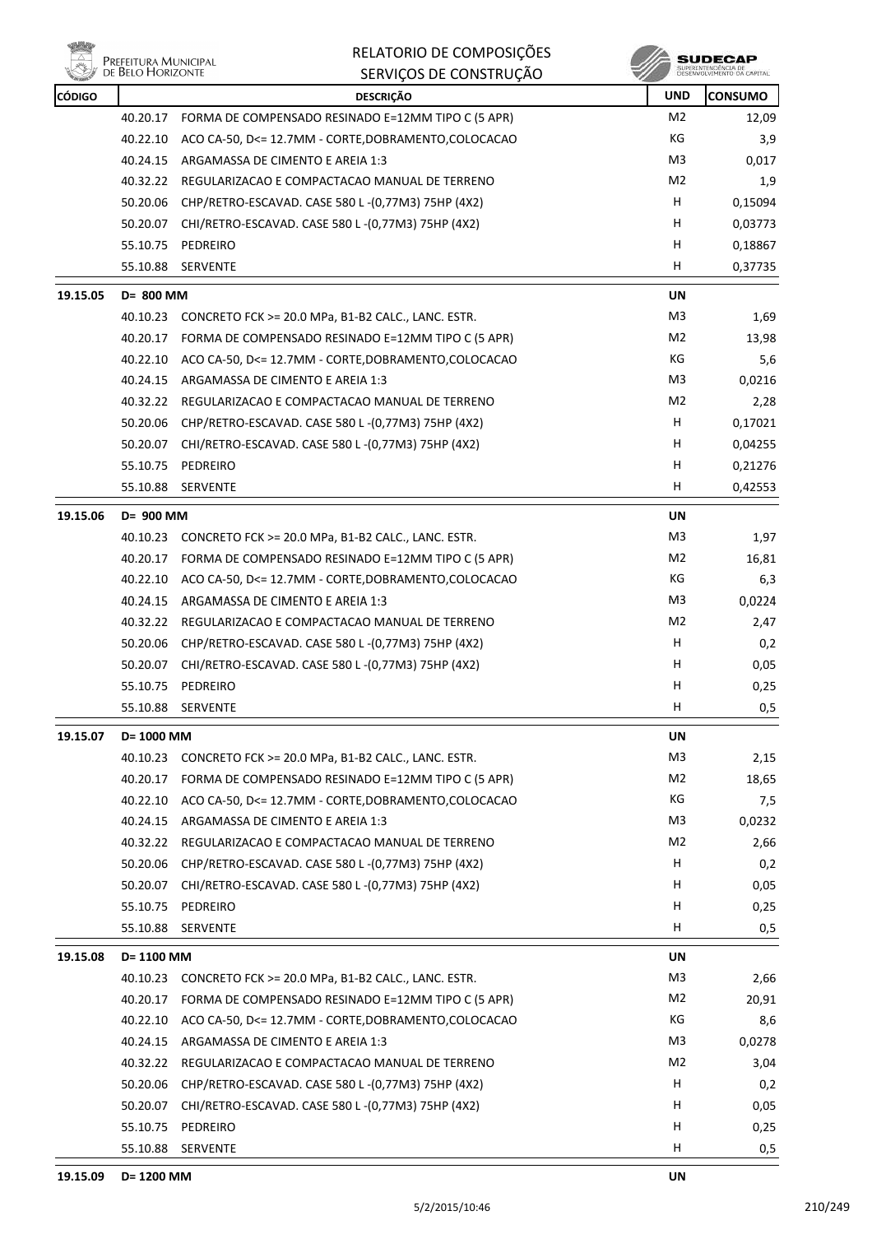

**SUDECAP**<br>SUPERNITHOENCIA DE<br>DESENVOLVIMENTO CA CAPITAL

| <b>CÓDIGO</b> |            | <b>DESCRIÇÃO</b>                                            | <b>UND</b>     | <b>CONSUMO</b> |
|---------------|------------|-------------------------------------------------------------|----------------|----------------|
|               |            | 40.20.17 FORMA DE COMPENSADO RESINADO E=12MM TIPO C (5 APR) | M <sub>2</sub> | 12,09          |
|               | 40.22.10   | ACO CA-50, D<= 12.7MM - CORTE, DOBRAMENTO, COLOCACAO        | КG             | 3,9            |
|               | 40.24.15   | ARGAMASSA DE CIMENTO E AREIA 1:3                            | M3             | 0,017          |
|               | 40.32.22   | REGULARIZACAO E COMPACTACAO MANUAL DE TERRENO               | M2             | 1,9            |
|               | 50.20.06   | CHP/RETRO-ESCAVAD. CASE 580 L-(0,77M3) 75HP (4X2)           | н              | 0,15094        |
|               | 50.20.07   | CHI/RETRO-ESCAVAD. CASE 580 L-(0,77M3) 75HP (4X2)           | н              | 0,03773        |
|               | 55.10.75   | PEDREIRO                                                    | н              | 0,18867        |
|               | 55.10.88   | SERVENTE                                                    | н              | 0,37735        |
| 19.15.05      | D= 800 MM  |                                                             | <b>UN</b>      |                |
|               | 40.10.23   | CONCRETO FCK >= 20.0 MPa, B1-B2 CALC., LANC. ESTR.          | M <sub>3</sub> | 1,69           |
|               |            | 40.20.17 FORMA DE COMPENSADO RESINADO E=12MM TIPO C (5 APR) | M2             | 13,98          |
|               | 40.22.10   | ACO CA-50, D<= 12.7MM - CORTE, DOBRAMENTO, COLOCACAO        | КG             | 5,6            |
|               |            | 40.24.15 ARGAMASSA DE CIMENTO E AREIA 1:3                   | M3             | 0,0216         |
|               | 40.32.22   | REGULARIZACAO E COMPACTACAO MANUAL DE TERRENO               | M <sub>2</sub> | 2,28           |
|               | 50.20.06   | CHP/RETRO-ESCAVAD. CASE 580 L-(0,77M3) 75HP (4X2)           | н              | 0,17021        |
|               |            | 50.20.07 CHI/RETRO-ESCAVAD. CASE 580 L-(0,77M3) 75HP (4X2)  | н              | 0,04255        |
|               | 55.10.75   | PEDREIRO                                                    | н              | 0,21276        |
|               | 55.10.88   | SERVENTE                                                    | н              | 0,42553        |
| 19.15.06      | D= 900 MM  |                                                             | UN             |                |
|               |            | 40.10.23 CONCRETO FCK >= 20.0 MPa, B1-B2 CALC., LANC. ESTR. | M3             | 1,97           |
|               | 40.20.17   | FORMA DE COMPENSADO RESINADO E=12MM TIPO C (5 APR)          | M2             | 16,81          |
|               | 40.22.10   | ACO CA-50, D<= 12.7MM - CORTE, DOBRAMENTO, COLOCACAO        | КG             | 6,3            |
|               | 40.24.15   | ARGAMASSA DE CIMENTO E AREIA 1:3                            | M3             | 0,0224         |
|               | 40.32.22   | REGULARIZACAO E COMPACTACAO MANUAL DE TERRENO               | M <sub>2</sub> | 2,47           |
|               | 50.20.06   | CHP/RETRO-ESCAVAD. CASE 580 L-(0,77M3) 75HP (4X2)           | н              | 0,2            |
|               | 50.20.07   | CHI/RETRO-ESCAVAD. CASE 580 L-(0,77M3) 75HP (4X2)           | н              | 0,05           |
|               | 55.10.75   | PEDREIRO                                                    | Н              | 0,25           |
|               | 55.10.88   | SERVENTE                                                    | н              | 0,5            |
| 19.15.07      | D= 1000 MM |                                                             | UN             |                |
|               |            | 40.10.23 CONCRETO FCK >= 20.0 MPa, B1-B2 CALC., LANC. ESTR. | M3             | 2,15           |
|               | 40.20.17   | FORMA DE COMPENSADO RESINADO E=12MM TIPO C (5 APR)          | M2             | 18,65          |
|               | 40.22.10   | ACO CA-50, D<= 12.7MM - CORTE, DOBRAMENTO, COLOCACAO        | КG             | 7,5            |
|               | 40.24.15   | ARGAMASSA DE CIMENTO E AREIA 1:3                            | M3             | 0,0232         |
|               | 40.32.22   | REGULARIZACAO E COMPACTACAO MANUAL DE TERRENO               | M2             | 2,66           |
|               | 50.20.06   | CHP/RETRO-ESCAVAD. CASE 580 L-(0,77M3) 75HP (4X2)           | н              | 0,2            |
|               | 50.20.07   | CHI/RETRO-ESCAVAD. CASE 580 L-(0,77M3) 75HP (4X2)           | н              | 0,05           |
|               | 55.10.75   | PEDREIRO                                                    | н              | 0,25           |
|               | 55.10.88   | SERVENTE                                                    | н              | 0,5            |
| 19.15.08      | D= 1100 MM |                                                             | UN             |                |
|               | 40.10.23   | CONCRETO FCK >= 20.0 MPa, B1-B2 CALC., LANC. ESTR.          | M <sub>3</sub> | 2,66           |
|               | 40.20.17   | FORMA DE COMPENSADO RESINADO E=12MM TIPO C (5 APR)          | M2             | 20,91          |
|               | 40.22.10   | ACO CA-50, D<= 12.7MM - CORTE, DOBRAMENTO, COLOCACAO        | КG             | 8,6            |
|               | 40.24.15   | ARGAMASSA DE CIMENTO E AREIA 1:3                            | M <sub>3</sub> | 0,0278         |
|               | 40.32.22   | REGULARIZACAO E COMPACTACAO MANUAL DE TERRENO               | M2             | 3,04           |
|               | 50.20.06   | CHP/RETRO-ESCAVAD. CASE 580 L-(0,77M3) 75HP (4X2)           | н              | 0,2            |
|               | 50.20.07   | CHI/RETRO-ESCAVAD. CASE 580 L-(0,77M3) 75HP (4X2)           | H              | 0,05           |
|               | 55.10.75   | PEDREIRO                                                    | н              | 0,25           |
|               | 55.10.88   | <b>SERVENTE</b>                                             | н              | 0,5            |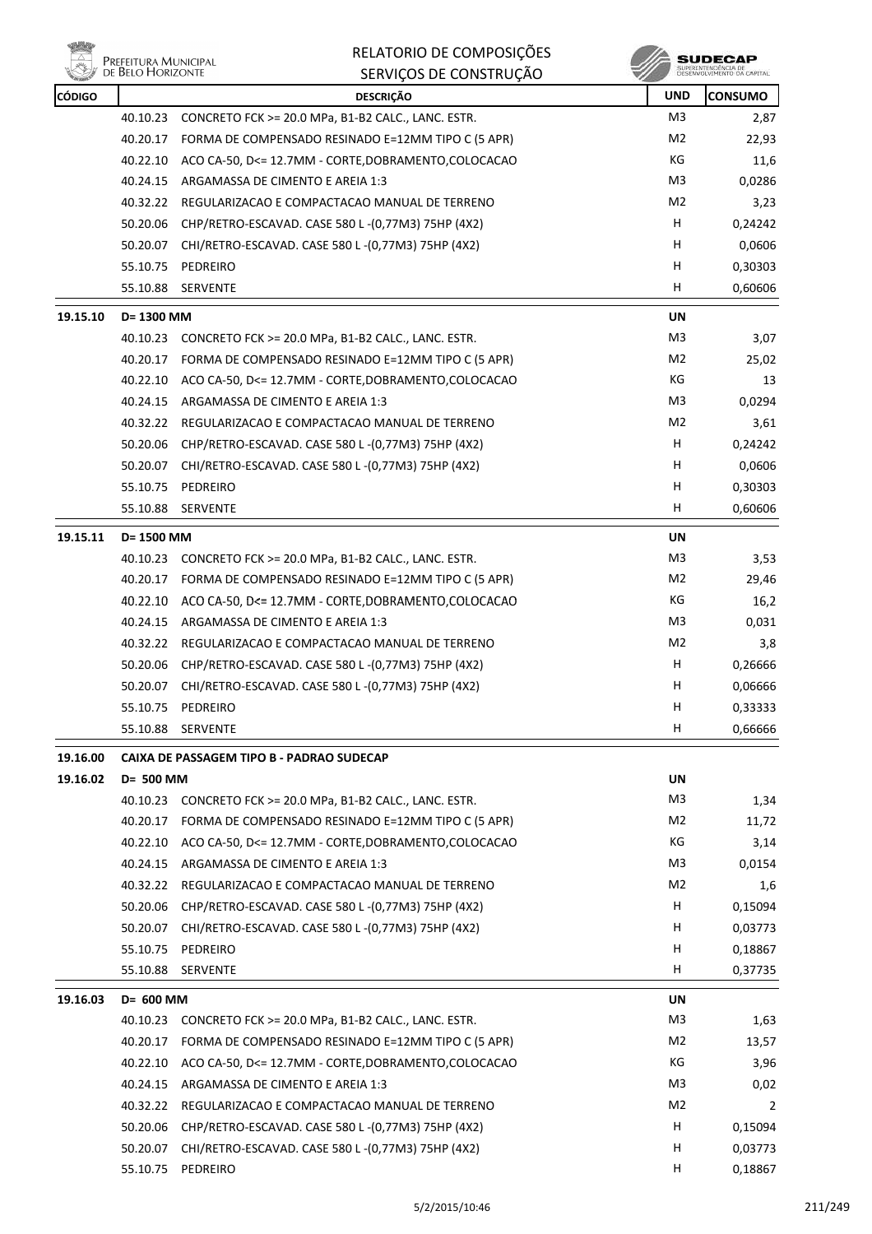

|               | <b>LINELLITOIVA IVIOINICII AL</b><br>DE BELO HORIZONTE | SERVIÇOS DE CONSTRUÇÃO                               |                | SUPERINTENDÊNCIA DE<br>DESENVOLVIMENTO DA CAPITAL |
|---------------|--------------------------------------------------------|------------------------------------------------------|----------------|---------------------------------------------------|
| <b>CÓDIGO</b> |                                                        | <b>DESCRIÇÃO</b>                                     | <b>UND</b>     | <b>CONSUMO</b>                                    |
|               | 40.10.23                                               | CONCRETO FCK >= 20.0 MPa, B1-B2 CALC., LANC. ESTR.   | M <sub>3</sub> | 2,87                                              |
|               | 40.20.17                                               | FORMA DE COMPENSADO RESINADO E=12MM TIPO C (5 APR)   | M2             | 22,93                                             |
|               | 40.22.10                                               | ACO CA-50, D<= 12.7MM - CORTE, DOBRAMENTO, COLOCACAO | КG             | 11,6                                              |
|               | 40.24.15                                               | ARGAMASSA DE CIMENTO E AREIA 1:3                     | M3             | 0,0286                                            |
|               | 40.32.22                                               | REGULARIZACAO E COMPACTACAO MANUAL DE TERRENO        | M2             | 3,23                                              |
|               | 50.20.06                                               | CHP/RETRO-ESCAVAD. CASE 580 L-(0,77M3) 75HP (4X2)    | н              | 0,24242                                           |
|               | 50.20.07                                               | CHI/RETRO-ESCAVAD. CASE 580 L-(0,77M3) 75HP (4X2)    | H              | 0,0606                                            |
|               | 55.10.75                                               | PEDREIRO                                             | H              | 0,30303                                           |
|               | 55.10.88                                               | SERVENTE                                             | H              | 0,60606                                           |
| 19.15.10      | D= 1300 MM                                             |                                                      | UN             |                                                   |
|               | 40.10.23                                               | CONCRETO FCK >= 20.0 MPa, B1-B2 CALC., LANC. ESTR.   | M3             | 3,07                                              |
|               | 40.20.17                                               | FORMA DE COMPENSADO RESINADO E=12MM TIPO C (5 APR)   | M2             | 25,02                                             |
|               | 40.22.10                                               | ACO CA-50, D<= 12.7MM - CORTE, DOBRAMENTO, COLOCACAO | КG             | 13                                                |
|               | 40.24.15                                               | ARGAMASSA DE CIMENTO E AREIA 1:3                     | M3             | 0,0294                                            |
|               | 40.32.22                                               | REGULARIZACAO E COMPACTACAO MANUAL DE TERRENO        | M2             | 3,61                                              |
|               | 50.20.06                                               | CHP/RETRO-ESCAVAD. CASE 580 L-(0,77M3) 75HP (4X2)    | H.             | 0,24242                                           |
|               | 50.20.07                                               | CHI/RETRO-ESCAVAD. CASE 580 L-(0,77M3) 75HP (4X2)    | н              | 0,0606                                            |
|               | 55.10.75                                               | PEDREIRO                                             | н              | 0,30303                                           |
|               | 55.10.88                                               | <b>SERVENTE</b>                                      | H              | 0,60606                                           |
| 19.15.11      | D= 1500 MM                                             |                                                      | UN             |                                                   |
|               | 40.10.23                                               | CONCRETO FCK >= 20.0 MPa, B1-B2 CALC., LANC. ESTR.   | M3             | 3,53                                              |
|               | 40.20.17                                               | FORMA DE COMPENSADO RESINADO E=12MM TIPO C (5 APR)   | M2             | 29,46                                             |
|               | 40.22.10                                               | ACO CA-50, D<= 12.7MM - CORTE, DOBRAMENTO, COLOCACAO | КG             | 16,2                                              |
|               | 40.24.15                                               | ARGAMASSA DE CIMENTO E AREIA 1:3                     | M3             | 0,031                                             |
|               | 40.32.22                                               | REGULARIZACAO E COMPACTACAO MANUAL DE TERRENO        | M <sub>2</sub> | 3,8                                               |
|               | 50.20.06                                               | CHP/RETRO-ESCAVAD. CASE 580 L-(0,77M3) 75HP (4X2)    | н              | 0,26666                                           |
|               | 50.20.07                                               | CHI/RETRO-ESCAVAD. CASE 580 L -(0,77M3) 75HP (4X2)   | H.             | 0,06666                                           |
|               | 55.10.75                                               | PEDREIRO                                             | H              | 0,33333                                           |
|               | 55.10.88                                               | SERVENTE                                             | н              | 0,66666                                           |
| 19.16.00      |                                                        | CAIXA DE PASSAGEM TIPO B - PADRAO SUDECAP            |                |                                                   |
| 19.16.02      | D= 500 MM                                              |                                                      | UN             |                                                   |
|               | 40.10.23                                               | CONCRETO FCK >= 20.0 MPa, B1-B2 CALC., LANC. ESTR.   | M3             | 1,34                                              |
|               | 40.20.17                                               | FORMA DE COMPENSADO RESINADO E=12MM TIPO C (5 APR)   | M2             | 11,72                                             |
|               | 40.22.10                                               | ACO CA-50, D<= 12.7MM - CORTE, DOBRAMENTO, COLOCACAO | КG             | 3,14                                              |
|               | 40.24.15                                               | ARGAMASSA DE CIMENTO E AREIA 1:3                     | M3             | 0,0154                                            |
|               | 40.32.22                                               | REGULARIZACAO E COMPACTACAO MANUAL DE TERRENO        | M2             | 1,6                                               |
|               | 50.20.06                                               | CHP/RETRO-ESCAVAD. CASE 580 L-(0,77M3) 75HP (4X2)    | H.             | 0,15094                                           |
|               | 50.20.07                                               | CHI/RETRO-ESCAVAD. CASE 580 L-(0,77M3) 75HP (4X2)    | H              | 0,03773                                           |
|               | 55.10.75                                               | PEDREIRO                                             | н              | 0,18867                                           |
|               | 55.10.88                                               | SERVENTE                                             | н              | 0,37735                                           |
| 19.16.03      | D= 600 MM                                              |                                                      | UN             |                                                   |
|               | 40.10.23                                               | CONCRETO FCK >= 20.0 MPa, B1-B2 CALC., LANC. ESTR.   | M3             | 1,63                                              |
|               | 40.20.17                                               | FORMA DE COMPENSADO RESINADO E=12MM TIPO C (5 APR)   | M2             | 13,57                                             |
|               | 40.22.10                                               | ACO CA-50, D<= 12.7MM - CORTE, DOBRAMENTO, COLOCACAO | КG             | 3,96                                              |
|               | 40.24.15                                               | ARGAMASSA DE CIMENTO E AREIA 1:3                     | M3             | 0,02                                              |
|               | 40.32.22                                               | REGULARIZACAO E COMPACTACAO MANUAL DE TERRENO        | M2             | 2                                                 |
|               | 50.20.06                                               | CHP/RETRO-ESCAVAD. CASE 580 L -(0,77M3) 75HP (4X2)   | н              | 0,15094                                           |
|               | 50.20.07                                               | CHI/RETRO-ESCAVAD. CASE 580 L-(0,77M3) 75HP (4X2)    | H              | 0,03773                                           |
|               |                                                        | 55.10.75 PEDREIRO                                    | H              | 0,18867                                           |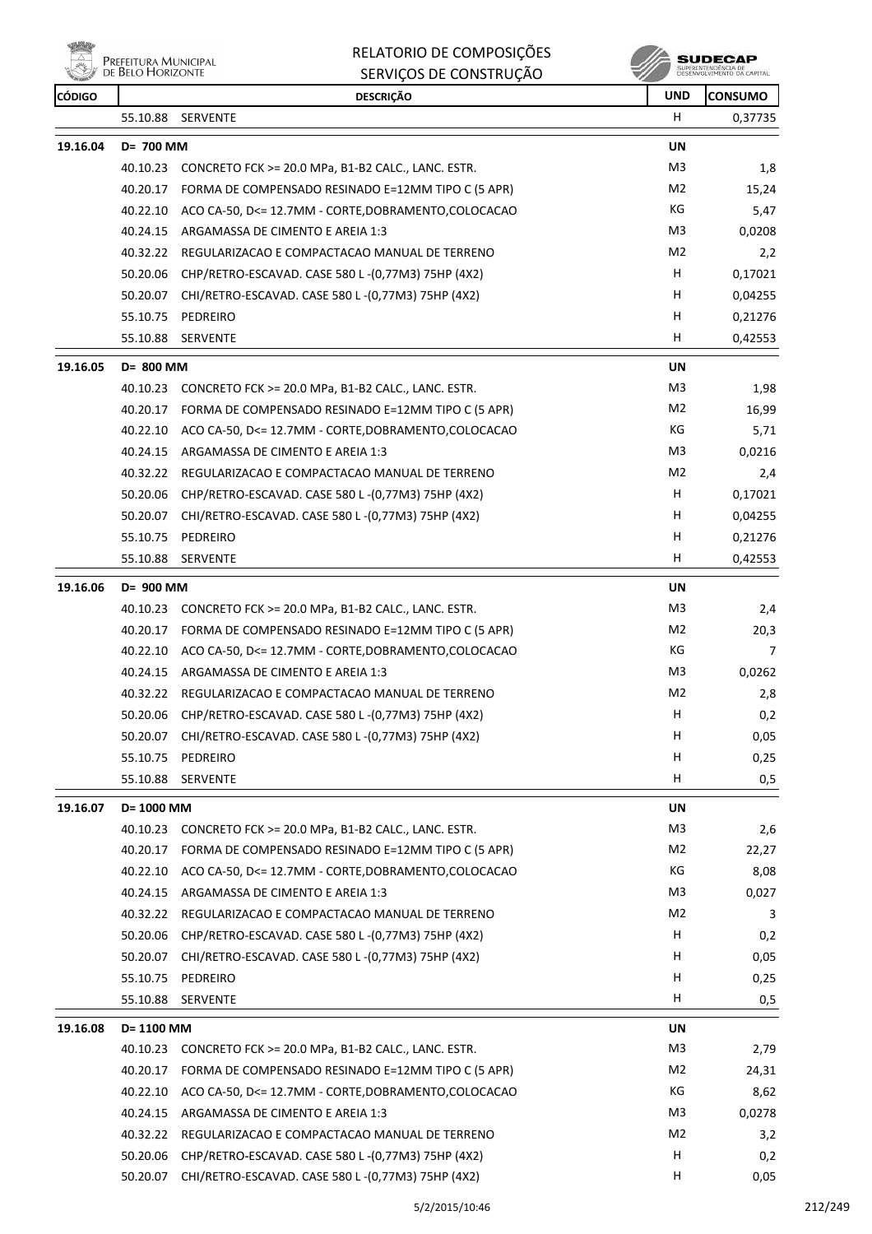

| RELATORIO DE COMPOSIÇÕES |
|--------------------------|
| SERVICOS DE CONSTRUÇÃO   |

| <b>CONTROL</b><br>CÓDIGO |            | טו ושיטו וכורטים בכסף וואס<br><b>DESCRIÇÃO</b>                | <b>UND</b>     | <b>CONSUMO</b> |
|--------------------------|------------|---------------------------------------------------------------|----------------|----------------|
|                          | 55.10.88   | SERVENTE                                                      | H.             | 0,37735        |
| 19.16.04                 | D= 700 MM  |                                                               | <b>UN</b>      |                |
|                          |            | 40.10.23 CONCRETO FCK >= 20.0 MPa, B1-B2 CALC., LANC. ESTR.   | M3             | 1,8            |
|                          |            | 40.20.17 FORMA DE COMPENSADO RESINADO E=12MM TIPO C (5 APR)   | M2             | 15,24          |
|                          |            | 40.22.10 ACO CA-50, D<= 12.7MM - CORTE, DOBRAMENTO, COLOCACAO | КG             | 5,47           |
|                          | 40.24.15   | ARGAMASSA DE CIMENTO E AREIA 1:3                              | M3             | 0,0208         |
|                          |            | 40.32.22 REGULARIZACAO E COMPACTACAO MANUAL DE TERRENO        | M2             | 2,2            |
|                          | 50.20.06   | CHP/RETRO-ESCAVAD. CASE 580 L-(0,77M3) 75HP (4X2)             | н              | 0,17021        |
|                          | 50.20.07   | CHI/RETRO-ESCAVAD. CASE 580 L-(0,77M3) 75HP (4X2)             | н              | 0,04255        |
|                          | 55.10.75   | PEDREIRO                                                      | Н              | 0,21276        |
|                          | 55.10.88   | <b>SERVENTE</b>                                               | H              | 0,42553        |
| 19.16.05                 | D= 800 MM  |                                                               | <b>UN</b>      |                |
|                          |            | 40.10.23 CONCRETO FCK >= 20.0 MPa, B1-B2 CALC., LANC. ESTR.   | M3             | 1,98           |
|                          |            | 40.20.17 FORMA DE COMPENSADO RESINADO E=12MM TIPO C (5 APR)   | M2             | 16,99          |
|                          |            | 40.22.10 ACO CA-50, D<= 12.7MM - CORTE, DOBRAMENTO, COLOCACAO | КG             | 5,71           |
|                          | 40.24.15   | ARGAMASSA DE CIMENTO E AREIA 1:3                              | M3             | 0,0216         |
|                          |            | 40.32.22 REGULARIZACAO E COMPACTACAO MANUAL DE TERRENO        | M <sub>2</sub> | 2,4            |
|                          |            | 50.20.06 CHP/RETRO-ESCAVAD. CASE 580 L-(0,77M3) 75HP (4X2)    | Н              | 0,17021        |
|                          |            | 50.20.07 CHI/RETRO-ESCAVAD. CASE 580 L-(0,77M3) 75HP (4X2)    | H              | 0,04255        |
|                          | 55.10.75   | PEDREIRO                                                      | н              | 0,21276        |
|                          | 55.10.88   | <b>SERVENTE</b>                                               | н              | 0,42553        |
| 19.16.06                 | D= 900 MM  |                                                               | UN             |                |
|                          | 40.10.23   | CONCRETO FCK >= 20.0 MPa, B1-B2 CALC., LANC. ESTR.            | M3             | 2,4            |
|                          |            | 40.20.17 FORMA DE COMPENSADO RESINADO E=12MM TIPO C (5 APR)   | M2             | 20,3           |
|                          |            | 40.22.10 ACO CA-50, D<= 12.7MM - CORTE, DOBRAMENTO, COLOCACAO | КG             | 7              |
|                          |            | 40.24.15 ARGAMASSA DE CIMENTO E AREIA 1:3                     | M3             | 0,0262         |
|                          |            | 40.32.22 REGULARIZACAO E COMPACTACAO MANUAL DE TERRENO        | M2             | 2,8            |
|                          | 50.20.06   | CHP/RETRO-ESCAVAD. CASE 580 L-(0,77M3) 75HP (4X2)             | H              | 0,2            |
|                          |            | 50.20.07 CHI/RETRO-ESCAVAD. CASE 580 L-(0,77M3) 75HP (4X2)    | Н              | 0,05           |
|                          | 55.10.75   | PEDREIRO                                                      | н              | 0,25           |
|                          | 55.10.88   | <b>SERVENTE</b>                                               | H              | 0,5            |
| 19.16.07                 | D= 1000 MM |                                                               | <b>UN</b>      |                |
|                          | 40.10.23   | CONCRETO FCK >= 20.0 MPa, B1-B2 CALC., LANC. ESTR.            | M3             | 2,6            |
|                          | 40.20.17   | FORMA DE COMPENSADO RESINADO E=12MM TIPO C (5 APR)            | M2             | 22,27          |
|                          | 40.22.10   | ACO CA-50, D<= 12.7MM - CORTE, DOBRAMENTO, COLOCACAO          | КG             | 8,08           |
|                          | 40.24.15   | ARGAMASSA DE CIMENTO E AREIA 1:3                              | M3             | 0,027          |
|                          | 40.32.22   | REGULARIZACAO E COMPACTACAO MANUAL DE TERRENO                 | M2             | 3              |
|                          | 50.20.06   | CHP/RETRO-ESCAVAD. CASE 580 L-(0,77M3) 75HP (4X2)             | н              | 0,2            |
|                          | 50.20.07   | CHI/RETRO-ESCAVAD. CASE 580 L-(0,77M3) 75HP (4X2)             | H              | 0,05           |
|                          | 55.10.75   | PEDREIRO                                                      | H              | 0,25           |
|                          | 55.10.88   | SERVENTE                                                      | Н              | 0,5            |
| 19.16.08                 | D= 1100 MM |                                                               | UN             |                |
|                          | 40.10.23   | CONCRETO FCK >= 20.0 MPa, B1-B2 CALC., LANC. ESTR.            | M <sub>3</sub> | 2,79           |
|                          | 40.20.17   | FORMA DE COMPENSADO RESINADO E=12MM TIPO C (5 APR)            | M2             | 24,31          |
|                          | 40.22.10   | ACO CA-50, D<= 12.7MM - CORTE, DOBRAMENTO, COLOCACAO          | КG             | 8,62           |
|                          | 40.24.15   | ARGAMASSA DE CIMENTO E AREIA 1:3                              | M3             | 0,0278         |
|                          | 40.32.22   | REGULARIZACAO E COMPACTACAO MANUAL DE TERRENO                 | M <sub>2</sub> | 3,2            |
|                          | 50.20.06   | CHP/RETRO-ESCAVAD. CASE 580 L-(0,77M3) 75HP (4X2)             | н              | 0,2            |
|                          |            | 50.20.07 CHI/RETRO-ESCAVAD. CASE 580 L-(0,77M3) 75HP (4X2)    | Н              | 0,05           |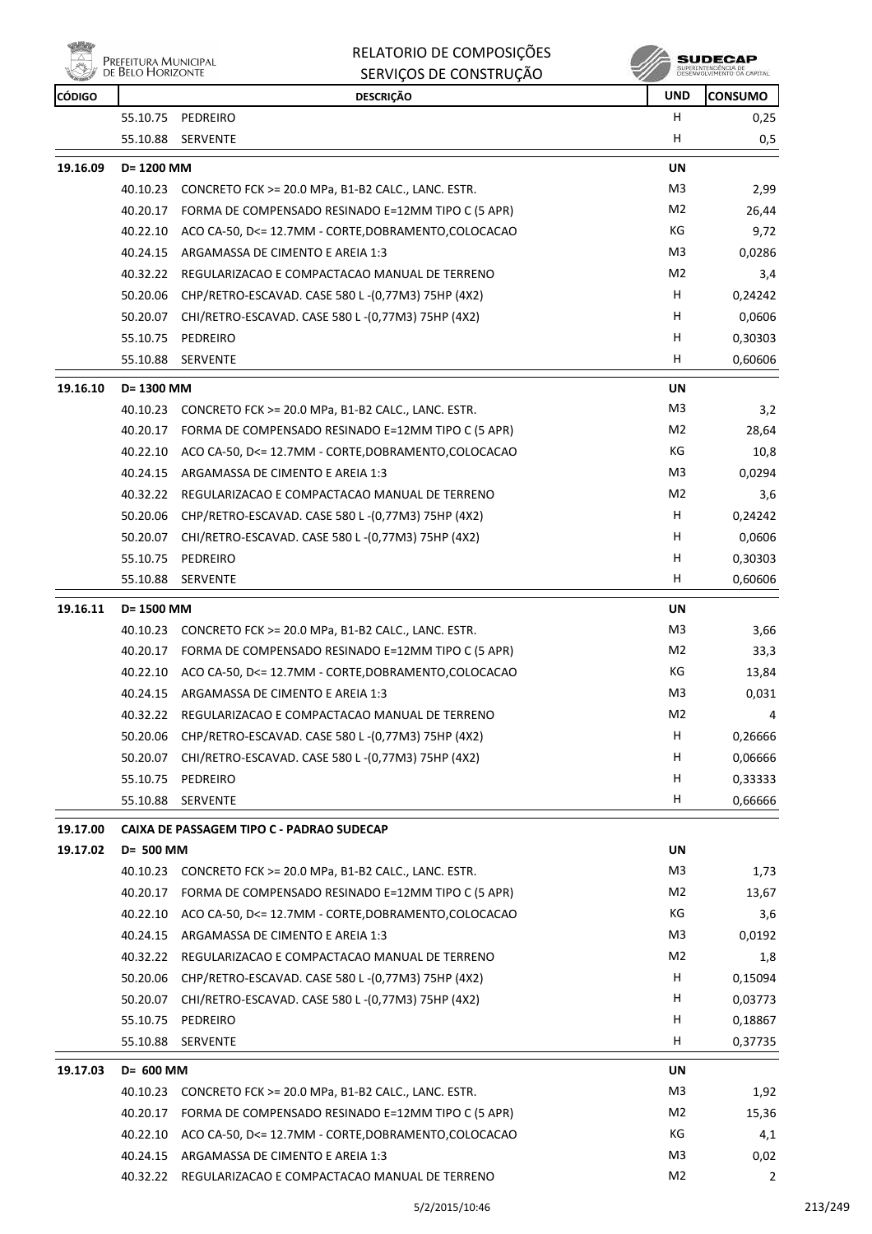

| <b>CONTROL</b><br>CÓDIGO |            | טהעטוווטווסט טב פעראיוווט<br><b>DESCRIÇÃO</b>                 | <b>UND</b>     | <b>CONSUMO</b> |
|--------------------------|------------|---------------------------------------------------------------|----------------|----------------|
|                          | 55.10.75   | PEDREIRO                                                      | H              | 0,25           |
|                          | 55.10.88   | SERVENTE                                                      | н              | 0,5            |
| 19.16.09                 | D= 1200 MM |                                                               | UN             |                |
|                          | 40.10.23   | CONCRETO FCK >= 20.0 MPa, B1-B2 CALC., LANC. ESTR.            | M3             | 2,99           |
|                          | 40.20.17   | FORMA DE COMPENSADO RESINADO E=12MM TIPO C (5 APR)            | M2             | 26,44          |
|                          | 40.22.10   | ACO CA-50, D<= 12.7MM - CORTE, DOBRAMENTO, COLOCACAO          | КG             | 9,72           |
|                          | 40.24.15   | ARGAMASSA DE CIMENTO E AREIA 1:3                              | M3             | 0,0286         |
|                          | 40.32.22   | REGULARIZACAO E COMPACTACAO MANUAL DE TERRENO                 | M2             | 3,4            |
|                          |            | 50.20.06 CHP/RETRO-ESCAVAD. CASE 580 L-(0,77M3) 75HP (4X2)    | H.             | 0,24242        |
|                          | 50.20.07   | CHI/RETRO-ESCAVAD. CASE 580 L -(0,77M3) 75HP (4X2)            | н              | 0,0606         |
|                          | 55.10.75   | PEDREIRO                                                      | н              | 0,30303        |
|                          | 55.10.88   | <b>SERVENTE</b>                                               | н              | 0,60606        |
| 19.16.10                 | D= 1300 MM |                                                               | UN             |                |
|                          |            | 40.10.23 CONCRETO FCK >= 20.0 MPa, B1-B2 CALC., LANC. ESTR.   | M3             | 3,2            |
|                          | 40.20.17   | FORMA DE COMPENSADO RESINADO E=12MM TIPO C (5 APR)            | M2             | 28,64          |
|                          | 40.22.10   | ACO CA-50, D<= 12.7MM - CORTE, DOBRAMENTO, COLOCACAO          | КG             | 10,8           |
|                          | 40.24.15   | ARGAMASSA DE CIMENTO E AREIA 1:3                              | M3             | 0,0294         |
|                          | 40.32.22   | REGULARIZACAO E COMPACTACAO MANUAL DE TERRENO                 | M <sub>2</sub> | 3,6            |
|                          |            | 50.20.06 CHP/RETRO-ESCAVAD. CASE 580 L-(0,77M3) 75HP (4X2)    | H              | 0,24242        |
|                          | 50.20.07   | CHI/RETRO-ESCAVAD. CASE 580 L-(0,77M3) 75HP (4X2)             | H.             | 0,0606         |
|                          | 55.10.75   | PEDREIRO                                                      | н              | 0,30303        |
|                          | 55.10.88   | <b>SERVENTE</b>                                               | H              | 0,60606        |
| 19.16.11                 | D= 1500 MM |                                                               | UN             |                |
|                          |            | 40.10.23 CONCRETO FCK >= 20.0 MPa, B1-B2 CALC., LANC. ESTR.   | M3             | 3,66           |
|                          |            | 40.20.17 FORMA DE COMPENSADO RESINADO E=12MM TIPO C (5 APR)   | M2             | 33,3           |
|                          |            | 40.22.10 ACO CA-50, D<= 12.7MM - CORTE, DOBRAMENTO, COLOCACAO | КG             | 13,84          |
|                          | 40.24.15   | ARGAMASSA DE CIMENTO E AREIA 1:3                              | M3             | 0,031          |
|                          |            | 40.32.22 REGULARIZACAO E COMPACTACAO MANUAL DE TERRENO        | M <sub>2</sub> | 4              |
|                          |            | 50.20.06 CHP/RETRO-ESCAVAD. CASE 580 L-(0,77M3) 75HP (4X2)    | H              | 0,26666        |
|                          | 50.20.07   | CHI/RETRO-ESCAVAD. CASE 580 L-(0,77M3) 75HP (4X2)             | H              | 0,06666        |
|                          | 55.10.75   | PEDREIRO                                                      | н              | 0,33333        |
|                          | 55.10.88   | SERVENTE                                                      | н              | 0,66666        |
| 19.17.00                 |            | CAIXA DE PASSAGEM TIPO C - PADRAO SUDECAP                     |                |                |
| 19.17.02                 | D= 500 MM  |                                                               | <b>UN</b>      |                |
|                          |            | 40.10.23 CONCRETO FCK >= 20.0 MPa, B1-B2 CALC., LANC. ESTR.   | M3             | 1,73           |
|                          | 40.20.17   | FORMA DE COMPENSADO RESINADO E=12MM TIPO C (5 APR)            | M2             | 13,67          |
|                          | 40.22.10   | ACO CA-50, D<= 12.7MM - CORTE, DOBRAMENTO, COLOCACAO          | KG             | 3,6            |
|                          | 40.24.15   | ARGAMASSA DE CIMENTO E AREIA 1:3                              | M3             | 0,0192         |
|                          | 40.32.22   | REGULARIZACAO E COMPACTACAO MANUAL DE TERRENO                 | M2             | 1,8            |
|                          | 50.20.06   | CHP/RETRO-ESCAVAD. CASE 580 L-(0,77M3) 75HP (4X2)             | н              | 0,15094        |
|                          | 50.20.07   | CHI/RETRO-ESCAVAD. CASE 580 L-(0,77M3) 75HP (4X2)             | H              | 0,03773        |
|                          | 55.10.75   | PEDREIRO                                                      | н              | 0,18867        |
|                          | 55.10.88   | <b>SERVENTE</b>                                               | н              | 0,37735        |
| 19.17.03                 | D= 600 MM  |                                                               | UN             |                |
|                          | 40.10.23   | CONCRETO FCK >= 20.0 MPa, B1-B2 CALC., LANC. ESTR.            | M3             | 1,92           |
|                          |            | 40.20.17 FORMA DE COMPENSADO RESINADO E=12MM TIPO C (5 APR)   | M2             | 15,36          |
|                          | 40.22.10   | ACO CA-50, D<= 12.7MM - CORTE, DOBRAMENTO, COLOCACAO          | KG             | 4,1            |
|                          |            | 40.24.15 ARGAMASSA DE CIMENTO E AREIA 1:3                     | M3             | 0,02           |
|                          |            | 40.32.22 REGULARIZACAO E COMPACTACAO MANUAL DE TERRENO        | M <sub>2</sub> | 2              |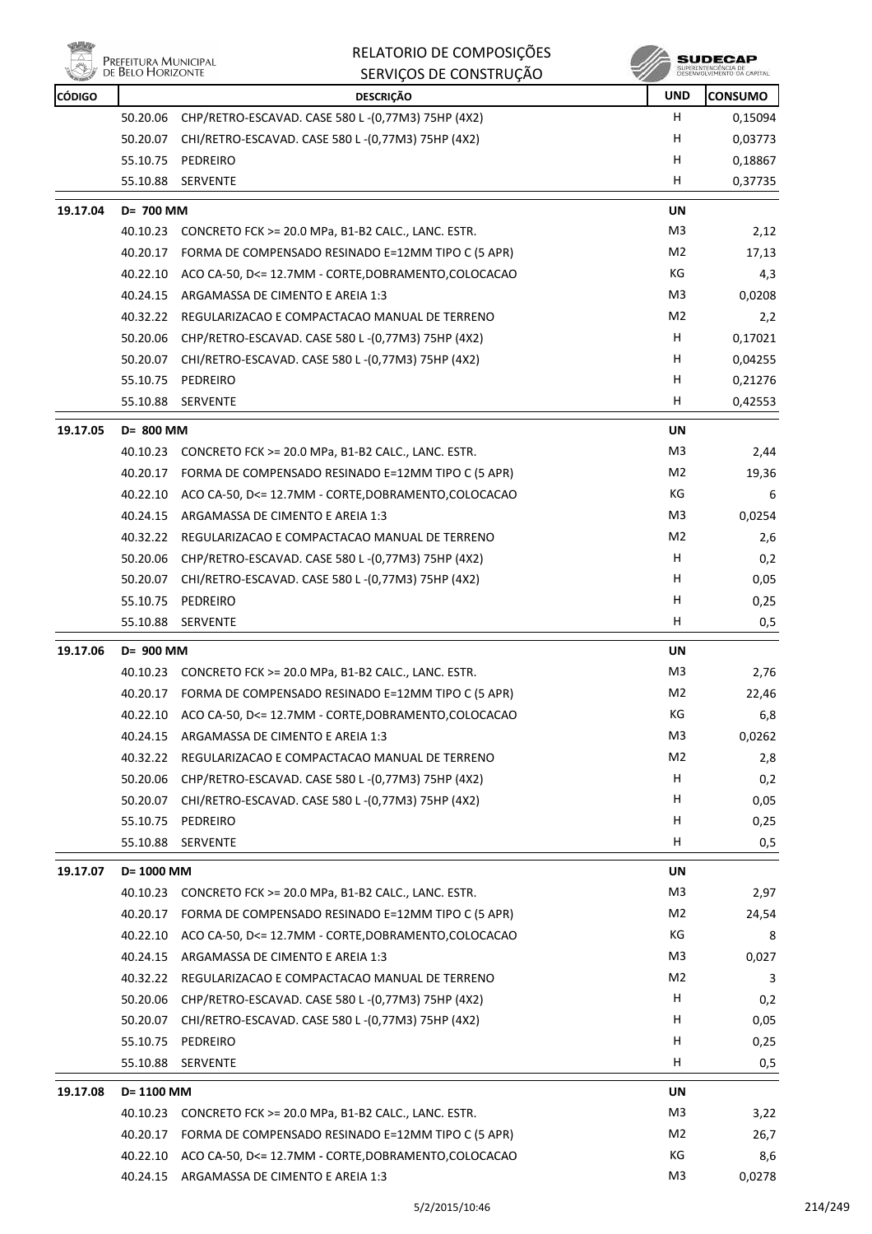|          | Prefeitura Municipal<br>de Belo Horizonte | RELATORIO DE COMPOSIÇÕES                                      |                | SUDECAP                                           |
|----------|-------------------------------------------|---------------------------------------------------------------|----------------|---------------------------------------------------|
|          |                                           | SERVIÇOS DE CONSTRUÇÃO                                        |                | SUPERINTENDÊNCIA DE<br>DESENVOLVIMENTO DA CAPITAL |
| CÓDIGO   |                                           | <b>DESCRIÇÃO</b>                                              | <b>UND</b>     | <b>CONSUMO</b>                                    |
|          | 50.20.06                                  | CHP/RETRO-ESCAVAD. CASE 580 L-(0,77M3) 75HP (4X2)             | Н              | 0,15094                                           |
|          | 50.20.07                                  | CHI/RETRO-ESCAVAD. CASE 580 L-(0,77M3) 75HP (4X2)             | н              | 0,03773                                           |
|          | 55.10.75                                  | PEDREIRO                                                      | н              | 0,18867                                           |
|          | 55.10.88                                  | <b>SERVENTE</b>                                               | н              | 0,37735                                           |
| 19.17.04 | D= 700 MM                                 |                                                               | UN             |                                                   |
|          |                                           | 40.10.23 CONCRETO FCK >= 20.0 MPa, B1-B2 CALC., LANC. ESTR.   | M3             | 2,12                                              |
|          | 40.20.17                                  | FORMA DE COMPENSADO RESINADO E=12MM TIPO C (5 APR)            | M <sub>2</sub> | 17,13                                             |
|          | 40.22.10                                  | ACO CA-50, D<= 12.7MM - CORTE, DOBRAMENTO, COLOCACAO          | КG             | 4,3                                               |
|          | 40.24.15                                  | ARGAMASSA DE CIMENTO E AREIA 1:3                              | M3             | 0,0208                                            |
|          | 40.32.22                                  | REGULARIZACAO E COMPACTACAO MANUAL DE TERRENO                 | M <sub>2</sub> | 2,2                                               |
|          | 50.20.06                                  | CHP/RETRO-ESCAVAD. CASE 580 L-(0,77M3) 75HP (4X2)             | н              | 0,17021                                           |
|          | 50.20.07                                  | CHI/RETRO-ESCAVAD. CASE 580 L-(0,77M3) 75HP (4X2)             | н              | 0,04255                                           |
|          | 55.10.75                                  | PEDREIRO                                                      | н              | 0,21276                                           |
|          | 55.10.88                                  | <b>SERVENTE</b>                                               | н              | 0,42553                                           |
| 19.17.05 | D= 800 MM                                 |                                                               | UN             |                                                   |
|          | 40.10.23                                  | CONCRETO FCK >= 20.0 MPa, B1-B2 CALC., LANC. ESTR.            | M3             | 2,44                                              |
|          | 40.20.17                                  | FORMA DE COMPENSADO RESINADO E=12MM TIPO C (5 APR)            | M <sub>2</sub> | 19,36                                             |
|          | 40.22.10                                  | ACO CA-50, D<= 12.7MM - CORTE, DOBRAMENTO, COLOCACAO          | КG             | 6                                                 |
|          | 40.24.15                                  | ARGAMASSA DE CIMENTO E AREIA 1:3                              | M3             | 0,0254                                            |
|          | 40.32.22                                  | REGULARIZACAO E COMPACTACAO MANUAL DE TERRENO                 | M <sub>2</sub> | 2,6                                               |
|          | 50.20.06                                  | CHP/RETRO-ESCAVAD. CASE 580 L-(0,77M3) 75HP (4X2)             | H              | 0,2                                               |
|          | 50.20.07                                  | CHI/RETRO-ESCAVAD. CASE 580 L-(0,77M3) 75HP (4X2)             | н              | 0,05                                              |
|          |                                           | 55.10.75 PEDREIRO                                             | н              | 0,25                                              |
|          | 55.10.88                                  | <b>SERVENTE</b>                                               | н              | 0,5                                               |
| 19.17.06 | D= 900 MM                                 |                                                               | UN             |                                                   |
|          |                                           | 40.10.23 CONCRETO FCK >= 20.0 MPa, B1-B2 CALC., LANC. ESTR.   | M3             | 2,76                                              |
|          |                                           | 40.20.17 FORMA DE COMPENSADO RESINADO E=12MM TIPO C (5 APR)   | M2             | 22,46                                             |
|          |                                           | 40.22.10 ACO CA-50, D<= 12.7MM - CORTE, DOBRAMENTO, COLOCACAO | КG             | 6,8                                               |
|          | 40.24.15                                  | ARGAMASSA DE CIMENTO E AREIA 1:3                              | M <sub>3</sub> | 0,0262                                            |
|          | 40.32.22                                  | REGULARIZACAO E COMPACTACAO MANUAL DE TERRENO                 | M <sub>2</sub> | 2,8                                               |
|          | 50.20.06                                  | CHP/RETRO-ESCAVAD. CASE 580 L-(0,77M3) 75HP (4X2)             | Н              | 0,2                                               |
|          | 50.20.07                                  | CHI/RETRO-ESCAVAD. CASE 580 L -(0,77M3) 75HP (4X2)            | н              | 0,05                                              |
|          |                                           | 55.10.75 PEDREIRO                                             | н              | 0,25                                              |
|          | 55.10.88                                  | SERVENTE                                                      | н              | 0,5                                               |
| 19.17.07 | D= 1000 MM                                |                                                               | UN             |                                                   |
|          | 40.10.23                                  | CONCRETO FCK >= 20.0 MPa, B1-B2 CALC., LANC. ESTR.            | M3             | 2,97                                              |
|          | 40.20.17                                  | FORMA DE COMPENSADO RESINADO E=12MM TIPO C (5 APR)            | M <sub>2</sub> | 24,54                                             |
|          | 40.22.10                                  | ACO CA-50, D<= 12.7MM - CORTE, DOBRAMENTO, COLOCACAO          | КG             | 8                                                 |
|          | 40.24.15                                  | ARGAMASSA DE CIMENTO E AREIA 1:3                              | M <sub>3</sub> | 0,027                                             |
|          | 40.32.22                                  | REGULARIZACAO E COMPACTACAO MANUAL DE TERRENO                 | M2             | 3                                                 |
|          | 50.20.06                                  | CHP/RETRO-ESCAVAD. CASE 580 L-(0,77M3) 75HP (4X2)             | H              | 0,2                                               |
|          | 50.20.07                                  | CHI/RETRO-ESCAVAD. CASE 580 L-(0,77M3) 75HP (4X2)             | н              | 0,05                                              |
|          |                                           | 55.10.75 PEDREIRO                                             | н              | 0,25                                              |
|          | 55.10.88                                  | SERVENTE                                                      | H              | 0,5                                               |
|          |                                           |                                                               |                |                                                   |
| 19.17.08 | D= 1100 MM                                |                                                               | UN             |                                                   |
|          |                                           | 40.10.23 CONCRETO FCK >= 20.0 MPa, B1-B2 CALC., LANC. ESTR.   | M3             | 3,22                                              |
|          | 40.20.17                                  | FORMA DE COMPENSADO RESINADO E=12MM TIPO C (5 APR)            | M <sub>2</sub> | 26,7                                              |
|          |                                           | 40.22.10 ACO CA-50, D<= 12.7MM - CORTE, DOBRAMENTO, COLOCACAO | КG             | 8,6                                               |
|          |                                           | 40.24.15 ARGAMASSA DE CIMENTO E AREIA 1:3                     | M <sub>3</sub> | 0,0278                                            |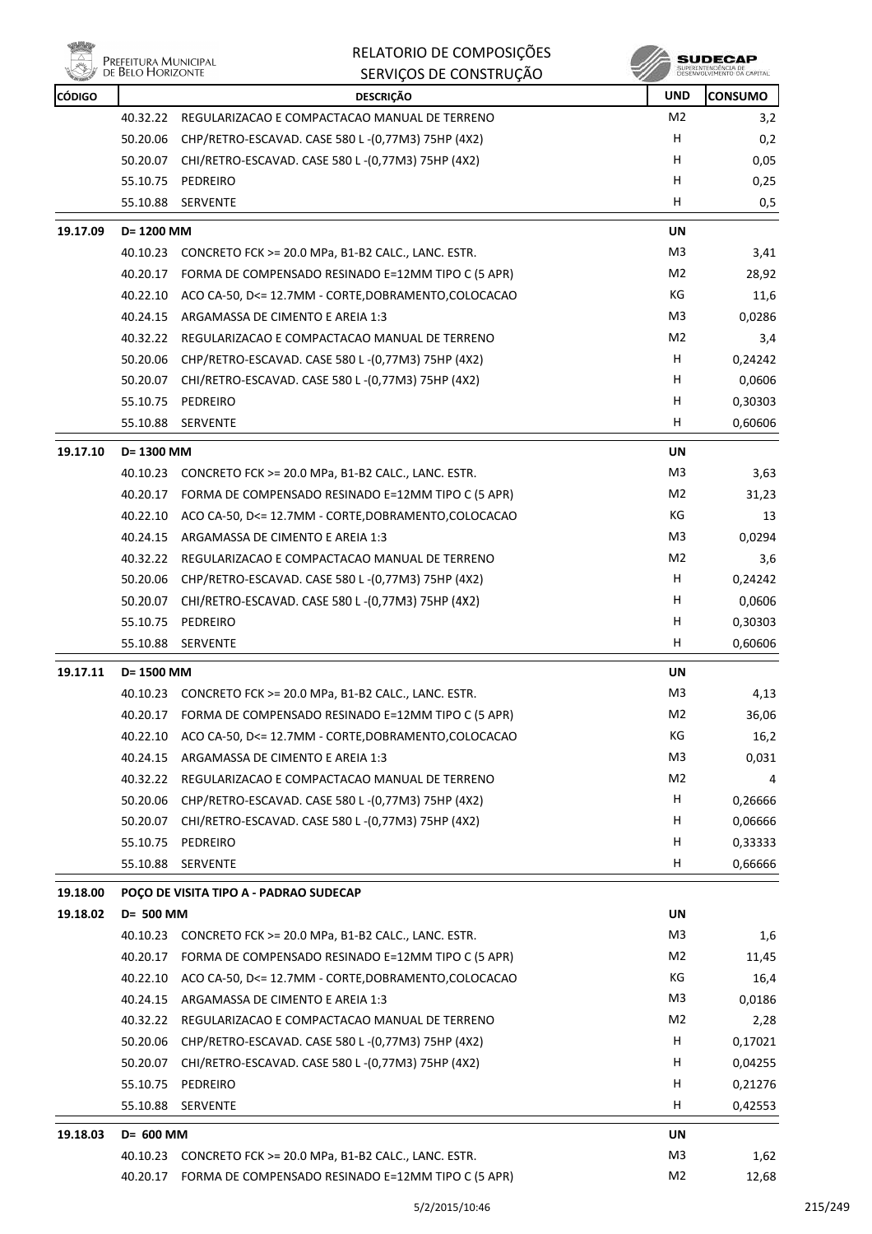₩

### RELATORIO DE COMPOSIÇÕES SERVIÇOS DE CONSTRUÇÃO

**SUDECAP**<br>SUPERINTENDÉNCIA DE<br>DÉSERVOLVIMENTO OA CAPITAL

| <b>CÓDIGO</b> |                                        | <b>DESCRIÇÃO</b>                                              | <b>UND</b>     | <b>CONSUMO</b> |
|---------------|----------------------------------------|---------------------------------------------------------------|----------------|----------------|
|               | 40.32.22                               | REGULARIZACAO E COMPACTACAO MANUAL DE TERRENO                 | M2             | 3,2            |
|               | 50.20.06                               | CHP/RETRO-ESCAVAD. CASE 580 L-(0,77M3) 75HP (4X2)             | H              | 0,2            |
|               | 50.20.07                               | CHI/RETRO-ESCAVAD. CASE 580 L -(0,77M3) 75HP (4X2)            | H.             | 0,05           |
|               | 55.10.75                               | PEDREIRO                                                      | н              | 0,25           |
|               | 55.10.88                               | SERVENTE                                                      | H              | 0,5            |
| 19.17.09      |                                        | D= 1200 MM                                                    |                |                |
|               |                                        | 40.10.23 CONCRETO FCK >= 20.0 MPa, B1-B2 CALC., LANC. ESTR.   | M3             | 3,41           |
|               |                                        | 40.20.17 FORMA DE COMPENSADO RESINADO E=12MM TIPO C (5 APR)   | M2             | 28,92          |
|               | 40.22.10                               | ACO CA-50, D<= 12.7MM - CORTE, DOBRAMENTO, COLOCACAO          | КG             | 11,6           |
|               | 40.24.15                               | ARGAMASSA DE CIMENTO E AREIA 1:3                              | M3             | 0,0286         |
|               | 40.32.22                               | REGULARIZACAO E COMPACTACAO MANUAL DE TERRENO                 | M2             | 3,4            |
|               | 50.20.06                               | CHP/RETRO-ESCAVAD. CASE 580 L-(0,77M3) 75HP (4X2)             | н              | 0,24242        |
|               | 50.20.07                               | CHI/RETRO-ESCAVAD. CASE 580 L-(0,77M3) 75HP (4X2)             | H.             | 0,0606         |
|               | 55.10.75                               | PEDREIRO                                                      | H              | 0,30303        |
|               | 55.10.88                               | <b>SERVENTE</b>                                               | H              | 0,60606        |
| 19.17.10      |                                        | D= 1300 MM                                                    |                |                |
|               |                                        | 40.10.23 CONCRETO FCK >= 20.0 MPa, B1-B2 CALC., LANC. ESTR.   | M3             | 3,63           |
|               | 40.20.17                               | FORMA DE COMPENSADO RESINADO E=12MM TIPO C (5 APR)            | M2             | 31,23          |
|               | 40.22.10                               | ACO CA-50, D<= 12.7MM - CORTE,DOBRAMENTO,COLOCACAO            | KG             | 13             |
|               | 40.24.15                               | ARGAMASSA DE CIMENTO E AREIA 1:3                              | M3             | 0,0294         |
|               | 40.32.22                               | REGULARIZACAO E COMPACTACAO MANUAL DE TERRENO                 | M2             | 3,6            |
|               | 50.20.06                               | CHP/RETRO-ESCAVAD. CASE 580 L-(0,77M3) 75HP (4X2)             | н              | 0,24242        |
|               | 50.20.07                               | CHI/RETRO-ESCAVAD. CASE 580 L-(0,77M3) 75HP (4X2)             | н              | 0,0606         |
|               | 55.10.75                               | PEDREIRO                                                      | H              | 0,30303        |
|               |                                        | 55.10.88 SERVENTE                                             | H.             | 0,60606        |
| 19.17.11      | D= 1500 MM                             |                                                               |                |                |
|               |                                        | 40.10.23 CONCRETO FCK >= 20.0 MPa, B1-B2 CALC., LANC. ESTR.   | M3             | 4,13           |
|               | 40.20.17                               | FORMA DE COMPENSADO RESINADO E=12MM TIPO C (5 APR)            | M2             | 36,06          |
|               |                                        | 40.22.10 ACO CA-50, D<= 12.7MM - CORTE, DOBRAMENTO, COLOCACAO | КG             | 16,2           |
|               | 40.24.15                               | ARGAMASSA DE CIMENTO E AREIA 1:3                              | M <sub>3</sub> | 0,031          |
|               | 40.32.22                               | REGULARIZACAO E COMPACTACAO MANUAL DE TERRENO                 | M <sub>2</sub> | 4              |
|               | 50.20.06                               | CHP/RETRO-ESCAVAD. CASE 580 L-(0,77M3) 75HP (4X2)             | н              | 0,26666        |
|               | 50.20.07                               | CHI/RETRO-ESCAVAD. CASE 580 L-(0,77M3) 75HP (4X2)             | H              | 0,06666        |
|               | 55.10.75                               | PEDREIRO                                                      | н              | 0,33333        |
|               | 55.10.88                               | SERVENTE                                                      | H              | 0,66666        |
| 19.18.00      | POCO DE VISITA TIPO A - PADRAO SUDECAP |                                                               |                |                |
| 19.18.02      | D= 500 MM                              |                                                               |                |                |
|               |                                        | 40.10.23 CONCRETO FCK >= 20.0 MPa, B1-B2 CALC., LANC. ESTR.   | M3             | 1,6            |
|               | 40.20.17                               | FORMA DE COMPENSADO RESINADO E=12MM TIPO C (5 APR)            | M2             | 11,45          |
|               | 40.22.10                               | ACO CA-50, D<= 12.7MM - CORTE, DOBRAMENTO, COLOCACAO          | КG             | 16,4           |
|               | 40.24.15                               | ARGAMASSA DE CIMENTO E AREIA 1:3                              | M3             | 0,0186         |
|               | 40.32.22                               | REGULARIZACAO E COMPACTACAO MANUAL DE TERRENO                 | M <sub>2</sub> | 2,28           |
|               | 50.20.06                               | CHP/RETRO-ESCAVAD. CASE 580 L -(0,77M3) 75HP (4X2)            | н              | 0,17021        |
|               | 50.20.07                               | CHI/RETRO-ESCAVAD. CASE 580 L-(0,77M3) 75HP (4X2)             | H              | 0,04255        |
|               | 55.10.75                               | PEDREIRO                                                      | н              | 0,21276        |
|               | 55.10.88                               | SERVENTE                                                      | H              | 0,42553        |
| 19.18.03      | D= 600 MM                              |                                                               |                |                |
|               |                                        | 40.10.23 CONCRETO FCK >= 20.0 MPa, B1-B2 CALC., LANC. ESTR.   | UN<br>M3       | 1,62           |
|               |                                        | 40.20.17 FORMA DE COMPENSADO RESINADO E=12MM TIPO C (5 APR)   | M <sub>2</sub> | 12,68          |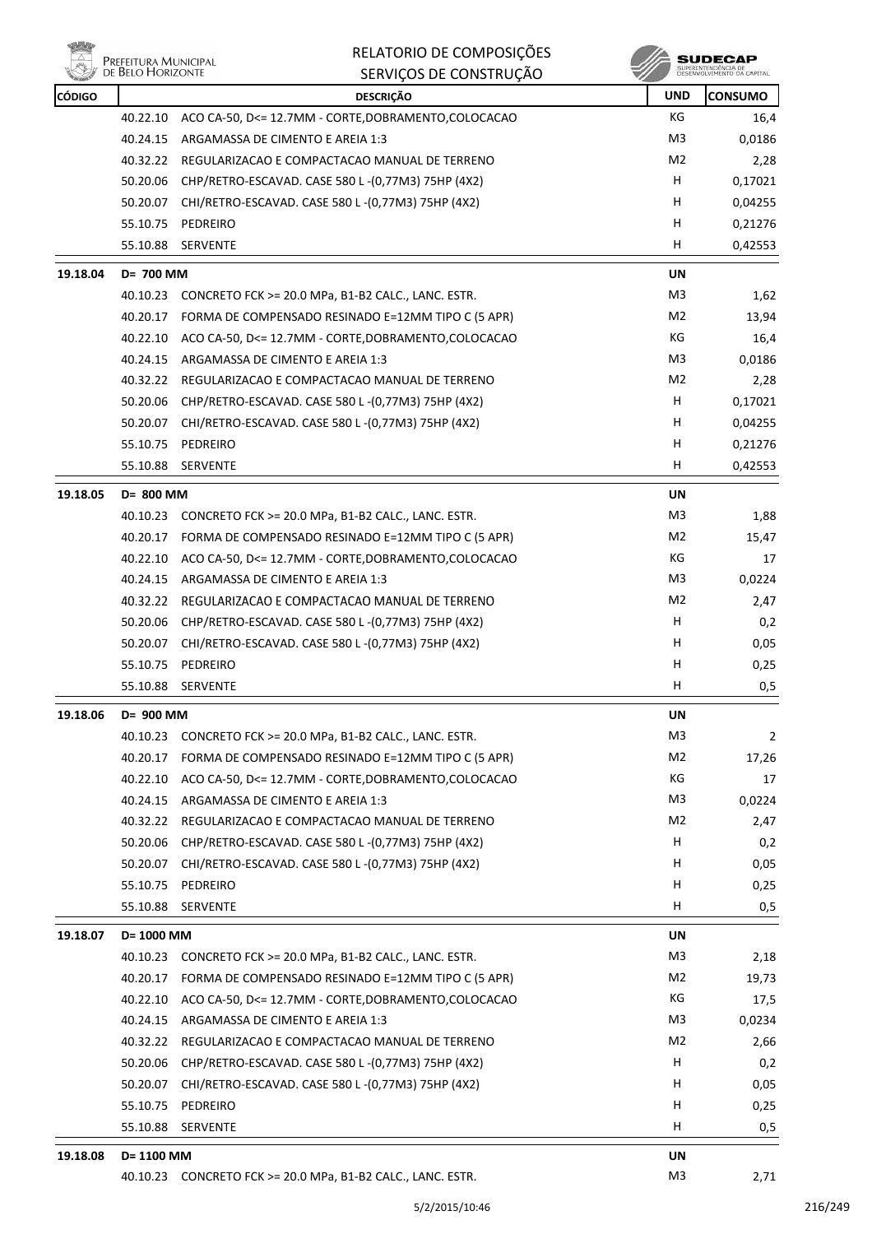

| RELATORIO DE COMPOSIÇÕES |
|--------------------------|
| SERVIÇOS DE CONSTRUÇÃO   |

**SUDECAP**<br>SUPERINTENDÉNCIA DE<br>DESERVOLVIMENTO OA CAPITAL

| <b>CÓDIGO</b> |            | <b>DESCRIÇÃO</b>                                            | <b>UND</b>     | <b>CONSUMO</b> |
|---------------|------------|-------------------------------------------------------------|----------------|----------------|
|               | 40.22.10   | ACO CA-50, D<= 12.7MM - CORTE, DOBRAMENTO, COLOCACAO        | КG             | 16,4           |
|               | 40.24.15   | ARGAMASSA DE CIMENTO E AREIA 1:3                            | M3             | 0,0186         |
|               | 40.32.22   | REGULARIZACAO E COMPACTACAO MANUAL DE TERRENO               | M2             | 2,28           |
|               | 50.20.06   | CHP/RETRO-ESCAVAD. CASE 580 L-(0,77M3) 75HP (4X2)           | H              | 0,17021        |
|               | 50.20.07   | CHI/RETRO-ESCAVAD. CASE 580 L -(0,77M3) 75HP (4X2)          | H.             | 0,04255        |
|               | 55.10.75   | PEDREIRO                                                    | Н              | 0,21276        |
|               | 55.10.88   | <b>SERVENTE</b>                                             | H              | 0,42553        |
| 19.18.04      | D= 700 MM  |                                                             | <b>UN</b>      |                |
|               | 40.10.23   | CONCRETO FCK >= 20.0 MPa, B1-B2 CALC., LANC. ESTR.          | M <sub>3</sub> | 1,62           |
|               | 40.20.17   | FORMA DE COMPENSADO RESINADO E=12MM TIPO C (5 APR)          | M2             | 13,94          |
|               | 40.22.10   | ACO CA-50, D<= 12.7MM - CORTE, DOBRAMENTO, COLOCACAO        | КG             | 16,4           |
|               | 40.24.15   | ARGAMASSA DE CIMENTO E AREIA 1:3                            | M3             | 0,0186         |
|               |            | 40.32.22 REGULARIZACAO E COMPACTACAO MANUAL DE TERRENO      | M2             | 2,28           |
|               | 50.20.06   | CHP/RETRO-ESCAVAD. CASE 580 L -(0,77M3) 75HP (4X2)          | H              | 0,17021        |
|               | 50.20.07   | CHI/RETRO-ESCAVAD. CASE 580 L-(0,77M3) 75HP (4X2)           | H              | 0,04255        |
|               | 55.10.75   | PEDREIRO                                                    | н              | 0,21276        |
|               | 55.10.88   | <b>SERVENTE</b>                                             | н              | 0,42553        |
| 19.18.05      | D= 800 MM  |                                                             | <b>UN</b>      |                |
|               | 40.10.23   | CONCRETO FCK >= 20.0 MPa, B1-B2 CALC., LANC. ESTR.          | M3             | 1,88           |
|               | 40.20.17   | FORMA DE COMPENSADO RESINADO E=12MM TIPO C (5 APR)          | M <sub>2</sub> | 15,47          |
|               | 40.22.10   | ACO CA-50, D<= 12.7MM - CORTE, DOBRAMENTO, COLOCACAO        | КG             | 17             |
|               | 40.24.15   | ARGAMASSA DE CIMENTO E AREIA 1:3                            | M3             | 0,0224         |
|               | 40.32.22   | REGULARIZACAO E COMPACTACAO MANUAL DE TERRENO               | M2             | 2,47           |
|               | 50.20.06   | CHP/RETRO-ESCAVAD. CASE 580 L-(0,77M3) 75HP (4X2)           | H              | 0,2            |
|               | 50.20.07   | CHI/RETRO-ESCAVAD. CASE 580 L-(0,77M3) 75HP (4X2)           | н              | 0,05           |
|               | 55.10.75   | PEDREIRO                                                    | н              | 0,25           |
|               | 55.10.88   | <b>SERVENTE</b>                                             | H              | 0,5            |
| 19.18.06      | D= 900 MM  |                                                             | UN             |                |
|               |            | 40.10.23 CONCRETO FCK >= 20.0 MPa, B1-B2 CALC., LANC. ESTR. | M3             | $\overline{2}$ |
|               | 40.20.17   | FORMA DE COMPENSADO RESINADO E=12MM TIPO C (5 APR)          | M <sub>2</sub> | 17,26          |
|               | 40.22.10   | ACO CA-50, D<= 12.7MM - CORTE, DOBRAMENTO, COLOCACAO        | KG             | 17             |
|               | 40.24.15   | ARGAMASSA DE CIMENTO E AREIA 1:3                            | M3             | 0,0224         |
|               | 40.32.22   | REGULARIZACAO E COMPACTACAO MANUAL DE TERRENO               | M <sub>2</sub> | 2,47           |
|               | 50.20.06   | CHP/RETRO-ESCAVAD. CASE 580 L-(0,77M3) 75HP (4X2)           | H              | 0,2            |
|               | 50.20.07   | CHI/RETRO-ESCAVAD. CASE 580 L-(0,77M3) 75HP (4X2)           | H              | 0,05           |
|               | 55.10.75   | PEDREIRO                                                    | H              | 0,25           |
|               | 55.10.88   | <b>SERVENTE</b>                                             | н              | 0,5            |
| 19.18.07      | D= 1000 MM |                                                             | UN             |                |
|               |            | 40.10.23 CONCRETO FCK >= 20.0 MPa, B1-B2 CALC., LANC. ESTR. | M <sub>3</sub> | 2,18           |
|               | 40.20.17   | FORMA DE COMPENSADO RESINADO E=12MM TIPO C (5 APR)          | M <sub>2</sub> | 19,73          |
|               | 40.22.10   | ACO CA-50, D<= 12.7MM - CORTE, DOBRAMENTO, COLOCACAO        | КG             | 17,5           |
|               | 40.24.15   | ARGAMASSA DE CIMENTO E AREIA 1:3                            | M3             | 0,0234         |
|               | 40.32.22   | REGULARIZACAO E COMPACTACAO MANUAL DE TERRENO               | M <sub>2</sub> | 2,66           |
|               | 50.20.06   | CHP/RETRO-ESCAVAD. CASE 580 L-(0,77M3) 75HP (4X2)           | H              | 0,2            |
|               | 50.20.07   | CHI/RETRO-ESCAVAD. CASE 580 L-(0,77M3) 75HP (4X2)           | н              | 0,05           |
|               | 55.10.75   | PEDREIRO                                                    | н              | 0,25           |
|               | 55.10.88   | SERVENTE                                                    | н              | 0,5            |
| 19.18.08      | D= 1100 MM |                                                             | UN             |                |
|               |            | 40.10.23 CONCRETO FCK >= 20.0 MPa, B1-B2 CALC., LANC. ESTR. | M3             | 2,71           |
|               |            |                                                             |                |                |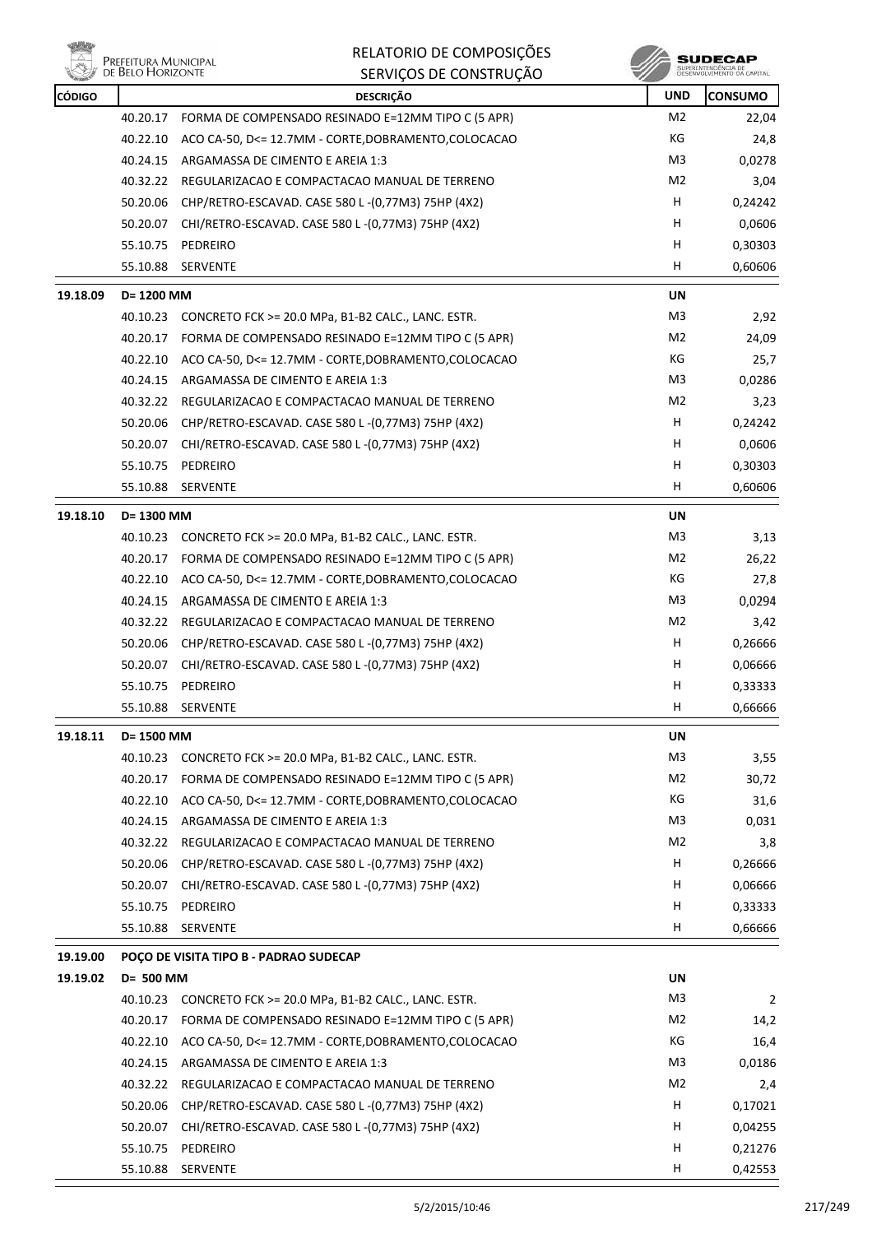

|          | <b>LINELEH OIVA PHOPHULLAL</b><br>DE BELO HORIZONTE | SERVIÇOS DE CONSTRUÇÃO                                      |                | SUPERINTENDÊNCIA DE<br>DESENVOLVIMENTO DA CAPITAL |
|----------|-----------------------------------------------------|-------------------------------------------------------------|----------------|---------------------------------------------------|
| CÓDIGO   |                                                     | <b>DESCRIÇÃO</b>                                            | <b>UND</b>     | <b>CONSUMO</b>                                    |
|          | 40.20.17                                            | FORMA DE COMPENSADO RESINADO E=12MM TIPO C (5 APR)          | M <sub>2</sub> | 22,04                                             |
|          | 40.22.10                                            | ACO CA-50, D<= 12.7MM - CORTE, DOBRAMENTO, COLOCACAO        | КG             | 24,8                                              |
|          | 40.24.15                                            | ARGAMASSA DE CIMENTO E AREIA 1:3                            | M3             | 0,0278                                            |
|          | 40.32.22                                            | REGULARIZACAO E COMPACTACAO MANUAL DE TERRENO               | M2             | 3,04                                              |
|          | 50.20.06                                            | CHP/RETRO-ESCAVAD. CASE 580 L-(0,77M3) 75HP (4X2)           | H              | 0,24242                                           |
|          | 50.20.07                                            | CHI/RETRO-ESCAVAD. CASE 580 L-(0,77M3) 75HP (4X2)           | H              | 0,0606                                            |
|          | 55.10.75                                            | PEDREIRO                                                    | н              | 0,30303                                           |
|          | 55.10.88                                            | SERVENTE                                                    | H              | 0,60606                                           |
| 19.18.09 | D= 1200 MM                                          |                                                             | UN             |                                                   |
|          | 40.10.23                                            | CONCRETO FCK >= 20.0 MPa, B1-B2 CALC., LANC. ESTR.          | M3             | 2,92                                              |
|          | 40.20.17                                            | FORMA DE COMPENSADO RESINADO E=12MM TIPO C (5 APR)          | M <sub>2</sub> | 24,09                                             |
|          | 40.22.10                                            | ACO CA-50, D<= 12.7MM - CORTE, DOBRAMENTO, COLOCACAO        | КG             | 25,7                                              |
|          | 40.24.15                                            | ARGAMASSA DE CIMENTO E AREIA 1:3                            | M3             | 0,0286                                            |
|          | 40.32.22                                            | REGULARIZACAO E COMPACTACAO MANUAL DE TERRENO               | M <sub>2</sub> | 3,23                                              |
|          | 50.20.06                                            | CHP/RETRO-ESCAVAD. CASE 580 L-(0,77M3) 75HP (4X2)           | н              | 0,24242                                           |
|          | 50.20.07                                            | CHI/RETRO-ESCAVAD. CASE 580 L-(0,77M3) 75HP (4X2)           | H              | 0,0606                                            |
|          | 55.10.75                                            | PEDREIRO                                                    | н              | 0,30303                                           |
|          | 55.10.88                                            | <b>SERVENTE</b>                                             | н              | 0,60606                                           |
| 19.18.10 | D= 1300 MM                                          |                                                             | UN             |                                                   |
|          | 40.10.23                                            | CONCRETO FCK >= 20.0 MPa, B1-B2 CALC., LANC. ESTR.          | M3             | 3,13                                              |
|          | 40.20.17                                            | FORMA DE COMPENSADO RESINADO E=12MM TIPO C (5 APR)          | M <sub>2</sub> | 26,22                                             |
|          | 40.22.10                                            | ACO CA-50, D<= 12.7MM - CORTE, DOBRAMENTO, COLOCACAO        | КG             | 27,8                                              |
|          | 40.24.15                                            | ARGAMASSA DE CIMENTO E AREIA 1:3                            | M3             | 0,0294                                            |
|          | 40.32.22                                            | REGULARIZACAO E COMPACTACAO MANUAL DE TERRENO               | M2             | 3,42                                              |
|          | 50.20.06                                            | CHP/RETRO-ESCAVAD. CASE 580 L-(0,77M3) 75HP (4X2)           | н              | 0,26666                                           |
|          | 50.20.07                                            | CHI/RETRO-ESCAVAD. CASE 580 L-(0,77M3) 75HP (4X2)           | H              | 0,06666                                           |
|          | 55.10.75                                            | PEDREIRO                                                    | H              | 0,33333                                           |
|          | 55.10.88                                            | SERVENTE                                                    | H              | 0,66666                                           |
|          |                                                     |                                                             |                |                                                   |
| 19.18.11 | D= 1500 MM                                          |                                                             | UN             |                                                   |
|          |                                                     | 40.10.23 CONCRETO FCK >= 20.0 MPa, B1-B2 CALC., LANC. ESTR. | M <sub>3</sub> | 3,55                                              |
|          | 40.20.17                                            | FORMA DE COMPENSADO RESINADO E=12MM TIPO C (5 APR)          | M2             | 30,72                                             |
|          | 40.22.10                                            | ACO CA-50, D<= 12.7MM - CORTE, DOBRAMENTO, COLOCACAO        | КG             | 31,6                                              |
|          | 40.24.15                                            | ARGAMASSA DE CIMENTO E AREIA 1:3                            | M <sub>3</sub> | 0,031                                             |
|          | 40.32.22                                            | REGULARIZACAO E COMPACTACAO MANUAL DE TERRENO               | M <sub>2</sub> | 3,8                                               |
|          | 50.20.06                                            | CHP/RETRO-ESCAVAD. CASE 580 L-(0,77M3) 75HP (4X2)           | H              | 0,26666                                           |
|          | 50.20.07                                            | CHI/RETRO-ESCAVAD. CASE 580 L-(0,77M3) 75HP (4X2)           | H              | 0,06666                                           |
|          | 55.10.75                                            | PEDREIRO                                                    | H              | 0,33333                                           |
|          | 55.10.88                                            | SERVENTE                                                    | н              | 0,66666                                           |
| 19.19.00 |                                                     | POÇO DE VISITA TIPO B - PADRAO SUDECAP                      |                |                                                   |
| 19.19.02 | D= 500 MM                                           |                                                             | UN             |                                                   |
|          |                                                     | 40.10.23 CONCRETO FCK >= 20.0 MPa, B1-B2 CALC., LANC. ESTR. | M3             | 2                                                 |
|          | 40.20.17                                            | FORMA DE COMPENSADO RESINADO E=12MM TIPO C (5 APR)          | M2             | 14,2                                              |
|          | 40.22.10                                            | ACO CA-50, D<= 12.7MM - CORTE, DOBRAMENTO, COLOCACAO        | КG             | 16,4                                              |
|          | 40.24.15                                            | ARGAMASSA DE CIMENTO E AREIA 1:3                            | M3             | 0,0186                                            |
|          | 40.32.22                                            | REGULARIZACAO E COMPACTACAO MANUAL DE TERRENO               | M2             | 2,4                                               |
|          | 50.20.06                                            | CHP/RETRO-ESCAVAD. CASE 580 L-(0,77M3) 75HP (4X2)           | H              | 0,17021                                           |
|          | 50.20.07                                            | CHI/RETRO-ESCAVAD. CASE 580 L-(0,77M3) 75HP (4X2)           | H              | 0,04255                                           |
|          | 55.10.75                                            | PEDREIRO                                                    | H              | 0,21276                                           |
|          | 55.10.88                                            | SERVENTE                                                    | H              | 0,42553                                           |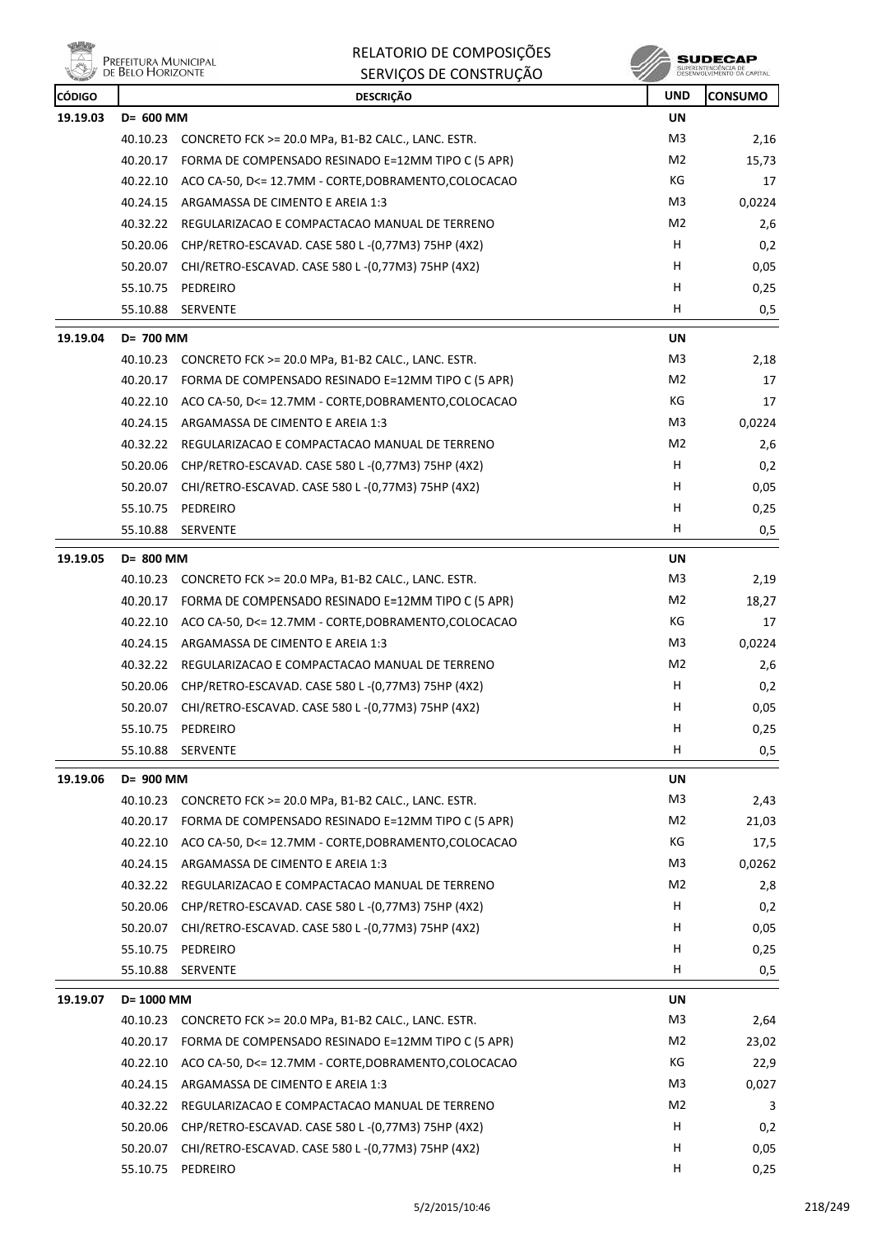**WELLY** PREFEITURA MUNICIPAL

RELATORIO DE COMPOSIÇÕES SERVIÇOS DE CONSTRUÇÃO

| <b>Company</b><br><b>CÓDIGO</b> |            | טהעטוווטושט טבעעווווט<br><b>DESCRIÇÃO</b>                     | $\sim$<br><b>UND</b> | <b>CONSUMO</b> |
|---------------------------------|------------|---------------------------------------------------------------|----------------------|----------------|
| 19.19.03                        | D= 600 MM  |                                                               | <b>UN</b>            |                |
|                                 |            | 40.10.23 CONCRETO FCK >= 20.0 MPa, B1-B2 CALC., LANC. ESTR.   | M <sub>3</sub>       | 2,16           |
|                                 | 40.20.17   | FORMA DE COMPENSADO RESINADO E=12MM TIPO C (5 APR)            | M <sub>2</sub>       | 15,73          |
|                                 | 40.22.10   | ACO CA-50, D<= 12.7MM - CORTE,DOBRAMENTO,COLOCACAO            | КG                   | 17             |
|                                 | 40.24.15   | ARGAMASSA DE CIMENTO E AREIA 1:3                              | M <sub>3</sub>       | 0,0224         |
|                                 | 40.32.22   | REGULARIZACAO E COMPACTACAO MANUAL DE TERRENO                 | M <sub>2</sub>       | 2,6            |
|                                 |            | 50.20.06 CHP/RETRO-ESCAVAD. CASE 580 L-(0,77M3) 75HP (4X2)    | H.                   | 0,2            |
|                                 | 50.20.07   | CHI/RETRO-ESCAVAD. CASE 580 L -(0,77M3) 75HP (4X2)            | H                    | 0,05           |
|                                 | 55.10.75   | PEDREIRO                                                      | н                    | 0,25           |
|                                 | 55.10.88   | SERVENTE                                                      | H                    | 0,5            |
| 19.19.04                        | D= 700 MM  |                                                               | <b>UN</b>            |                |
|                                 |            | 40.10.23 CONCRETO FCK >= 20.0 MPa, B1-B2 CALC., LANC. ESTR.   | M3                   | 2,18           |
|                                 | 40.20.17   | FORMA DE COMPENSADO RESINADO E=12MM TIPO C (5 APR)            | M2                   | 17             |
|                                 |            | 40.22.10 ACO CA-50, D<= 12.7MM - CORTE, DOBRAMENTO, COLOCACAO | KG                   | 17             |
|                                 |            | 40.24.15 ARGAMASSA DE CIMENTO E AREIA 1:3                     | M3                   | 0,0224         |
|                                 |            | 40.32.22 REGULARIZACAO E COMPACTACAO MANUAL DE TERRENO        | M <sub>2</sub>       | 2,6            |
|                                 | 50.20.06   | CHP/RETRO-ESCAVAD. CASE 580 L-(0,77M3) 75HP (4X2)             | н                    | 0,2            |
|                                 | 50.20.07   | CHI/RETRO-ESCAVAD. CASE 580 L-(0,77M3) 75HP (4X2)             | H                    | 0,05           |
|                                 | 55.10.75   | PEDREIRO                                                      | н                    | 0,25           |
|                                 |            | 55.10.88 SERVENTE                                             | H                    | 0,5            |
| 19.19.05                        | D= 800 MM  |                                                               | UN                   |                |
|                                 |            | 40.10.23 CONCRETO FCK >= 20.0 MPa, B1-B2 CALC., LANC. ESTR.   | M <sub>3</sub>       | 2,19           |
|                                 | 40.20.17   | FORMA DE COMPENSADO RESINADO E=12MM TIPO C (5 APR)            | M2                   | 18,27          |
|                                 | 40.22.10   | ACO CA-50, D<= 12.7MM - CORTE, DOBRAMENTO, COLOCACAO          | КG                   | 17             |
|                                 | 40.24.15   | ARGAMASSA DE CIMENTO E AREIA 1:3                              | M <sub>3</sub>       | 0,0224         |
|                                 |            | 40.32.22 REGULARIZACAO E COMPACTACAO MANUAL DE TERRENO        | M <sub>2</sub>       | 2,6            |
|                                 | 50.20.06   | CHP/RETRO-ESCAVAD. CASE 580 L -(0,77M3) 75HP (4X2)            | H                    | 0,2            |
|                                 | 50.20.07   | CHI/RETRO-ESCAVAD. CASE 580 L-(0,77M3) 75HP (4X2)             | H                    | 0,05           |
|                                 | 55.10.75   | PEDREIRO                                                      | н                    | 0,25           |
|                                 |            | 55.10.88 SERVENTE                                             | Н.                   | 0,5            |
| 19.19.06                        | D= 900 MM  |                                                               | <b>UN</b>            |                |
|                                 |            | 40.10.23 CONCRETO FCK >= 20.0 MPa, B1-B2 CALC., LANC. ESTR.   | M <sub>3</sub>       | 2,43           |
|                                 | 40.20.17   | FORMA DE COMPENSADO RESINADO E=12MM TIPO C (5 APR)            | M <sub>2</sub>       | 21,03          |
|                                 | 40.22.10   | ACO CA-50, D<= 12.7MM - CORTE, DOBRAMENTO, COLOCACAO          | КG                   | 17,5           |
|                                 | 40.24.15   | ARGAMASSA DE CIMENTO E AREIA 1:3                              | M3                   | 0,0262         |
|                                 |            | 40.32.22 REGULARIZACAO E COMPACTACAO MANUAL DE TERRENO        | M2                   | 2,8            |
|                                 | 50.20.06   | CHP/RETRO-ESCAVAD. CASE 580 L-(0,77M3) 75HP (4X2)             | H                    | 0,2            |
|                                 |            | 50.20.07 CHI/RETRO-ESCAVAD. CASE 580 L-(0,77M3) 75HP (4X2)    | H                    | 0,05           |
|                                 | 55.10.75   | PEDREIRO                                                      | н                    | 0,25           |
|                                 | 55.10.88   | SERVENTE                                                      | н                    | 0,5            |
| 19.19.07                        | D= 1000 MM |                                                               | <b>UN</b>            |                |
|                                 | 40.10.23   | CONCRETO FCK >= 20.0 MPa, B1-B2 CALC., LANC. ESTR.            | M3                   | 2,64           |
|                                 | 40.20.17   | FORMA DE COMPENSADO RESINADO E=12MM TIPO C (5 APR)            | M <sub>2</sub>       | 23,02          |
|                                 | 40.22.10   | ACO CA-50, D<= 12.7MM - CORTE, DOBRAMENTO, COLOCACAO          | КG                   | 22,9           |
|                                 | 40.24.15   | ARGAMASSA DE CIMENTO E AREIA 1:3                              | M3                   | 0,027          |
|                                 | 40.32.22   | REGULARIZACAO E COMPACTACAO MANUAL DE TERRENO                 | M <sub>2</sub>       | 3              |
|                                 | 50.20.06   | CHP/RETRO-ESCAVAD. CASE 580 L-(0,77M3) 75HP (4X2)             | H                    | 0,2            |
|                                 | 50.20.07   | CHI/RETRO-ESCAVAD. CASE 580 L-(0,77M3) 75HP (4X2)             | H                    | 0,05           |
|                                 | 55.10.75   | PEDREIRO                                                      | H                    | 0,25           |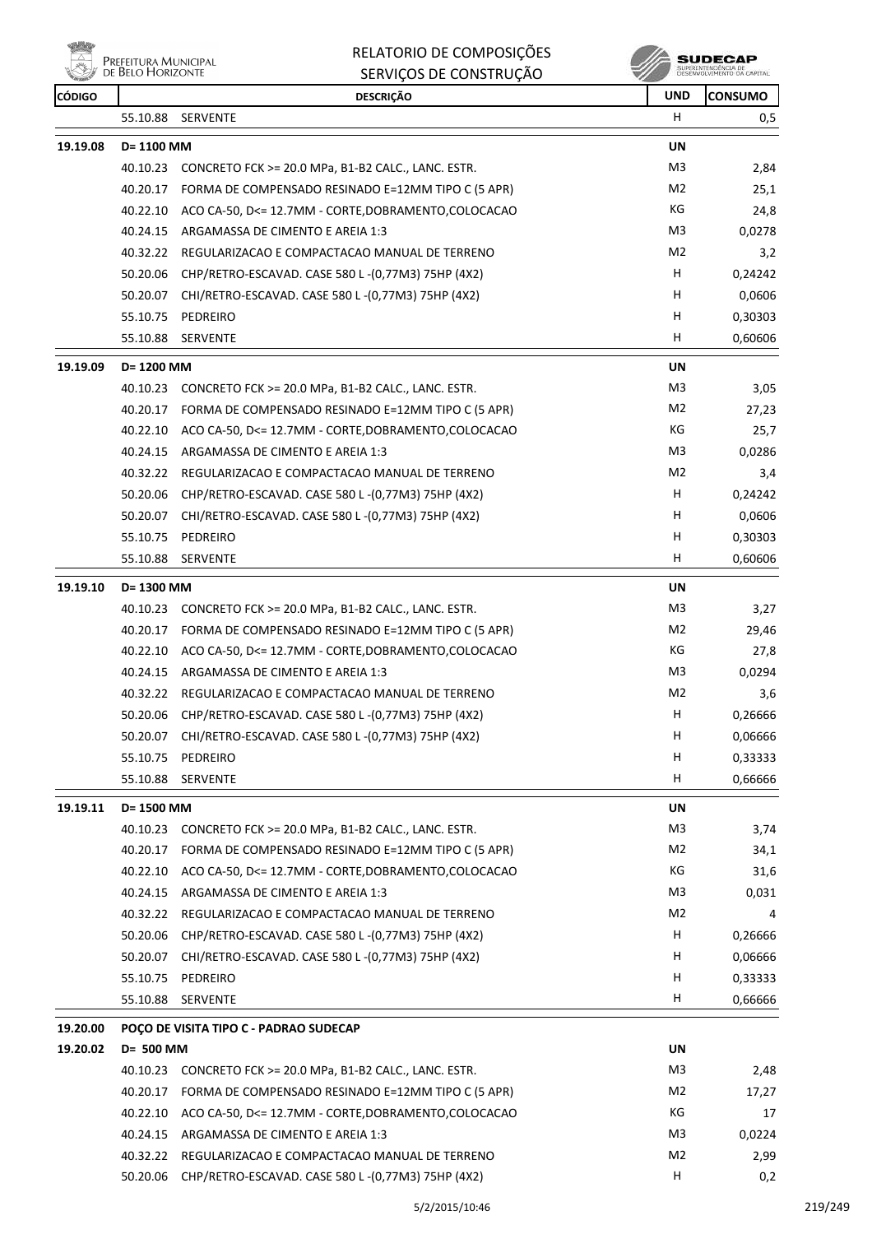

RELATORIO DE COMPOSIÇÕES

|               | <b>I REFEITURA IVIUNICIFAL</b><br><b>DE BELO HORIZONTE</b> | SERVIÇOS DE CONSTRUÇÃO                                      |                | SUPERINTENDÊNCIA DE<br>DESENVOLVIMENTO DA CAPITAL |
|---------------|------------------------------------------------------------|-------------------------------------------------------------|----------------|---------------------------------------------------|
| <b>CÓDIGO</b> |                                                            | <b>DESCRIÇÃO</b>                                            | <b>UND</b>     | <b>CONSUMO</b>                                    |
|               | 55.10.88                                                   | <b>SERVENTE</b>                                             | H              | 0,5                                               |
| 19.19.08      | D= 1100 MM                                                 |                                                             | UN             |                                                   |
|               | 40.10.23                                                   | CONCRETO FCK >= 20.0 MPa, B1-B2 CALC., LANC. ESTR.          | M3             | 2,84                                              |
|               | 40.20.17                                                   | FORMA DE COMPENSADO RESINADO E=12MM TIPO C (5 APR)          | M <sub>2</sub> | 25,1                                              |
|               | 40.22.10                                                   | ACO CA-50, D<= 12.7MM - CORTE, DOBRAMENTO, COLOCACAO        | КG             | 24,8                                              |
|               | 40.24.15                                                   | ARGAMASSA DE CIMENTO E AREIA 1:3                            | M <sub>3</sub> | 0,0278                                            |
|               | 40.32.22                                                   | REGULARIZACAO E COMPACTACAO MANUAL DE TERRENO               | M <sub>2</sub> | 3,2                                               |
|               | 50.20.06                                                   | CHP/RETRO-ESCAVAD. CASE 580 L-(0,77M3) 75HP (4X2)           | н              | 0,24242                                           |
|               | 50.20.07                                                   | CHI/RETRO-ESCAVAD. CASE 580 L-(0,77M3) 75HP (4X2)           | н              | 0,0606                                            |
|               | 55.10.75                                                   | PEDREIRO                                                    | Н              | 0,30303                                           |
|               | 55.10.88                                                   | <b>SERVENTE</b>                                             | H              | 0,60606                                           |
| 19.19.09      | D= 1200 MM                                                 |                                                             | UN             |                                                   |
|               | 40.10.23                                                   | CONCRETO FCK >= 20.0 MPa, B1-B2 CALC., LANC. ESTR.          | M3             | 3,05                                              |
|               | 40.20.17                                                   | FORMA DE COMPENSADO RESINADO E=12MM TIPO C (5 APR)          | M <sub>2</sub> | 27,23                                             |
|               | 40.22.10                                                   | ACO CA-50, D<= 12.7MM - CORTE, DOBRAMENTO, COLOCACAO        | КG             | 25,7                                              |
|               | 40.24.15                                                   | ARGAMASSA DE CIMENTO E AREIA 1:3                            | M3             | 0,0286                                            |
|               | 40.32.22                                                   | REGULARIZACAO E COMPACTACAO MANUAL DE TERRENO               | M <sub>2</sub> | 3,4                                               |
|               | 50.20.06                                                   | CHP/RETRO-ESCAVAD. CASE 580 L-(0,77M3) 75HP (4X2)           | н              | 0,24242                                           |
|               | 50.20.07                                                   | CHI/RETRO-ESCAVAD. CASE 580 L-(0,77M3) 75HP (4X2)           | н              | 0,0606                                            |
|               | 55.10.75                                                   | PEDREIRO                                                    | н              | 0,30303                                           |
|               | 55.10.88                                                   | <b>SERVENTE</b>                                             | H              | 0,60606                                           |
| 19.19.10      | D= 1300 MM                                                 |                                                             | UN             |                                                   |
|               | 40.10.23                                                   | CONCRETO FCK >= 20.0 MPa, B1-B2 CALC., LANC. ESTR.          | M3             | 3,27                                              |
|               | 40.20.17                                                   | FORMA DE COMPENSADO RESINADO E=12MM TIPO C (5 APR)          | M2             | 29,46                                             |
|               | 40.22.10                                                   | ACO CA-50, D<= 12.7MM - CORTE, DOBRAMENTO, COLOCACAO        | КG             | 27,8                                              |
|               | 40.24.15                                                   | ARGAMASSA DE CIMENTO E AREIA 1:3                            | M3             | 0,0294                                            |
|               | 40.32.22                                                   | REGULARIZACAO E COMPACTACAO MANUAL DE TERRENO               | M <sub>2</sub> | 3,6                                               |
|               | 50.20.06                                                   | CHP/RETRO-ESCAVAD. CASE 580 L-(0,77M3) 75HP (4X2)           | н              | 0,26666                                           |
|               | 50.20.07                                                   | CHI/RETRO-ESCAVAD. CASE 580 L-(0,77M3) 75HP (4X2)           | H              | 0,06666                                           |
|               | 55.10.75                                                   | PEDREIRO                                                    | Н              | 0,33333                                           |
|               | 55.10.88                                                   | SERVENTE                                                    | H              | 0,66666                                           |
| 19.19.11      | D= 1500 MM                                                 |                                                             | UN             |                                                   |
|               | 40.10.23                                                   | CONCRETO FCK >= 20.0 MPa, B1-B2 CALC., LANC. ESTR.          | M3             | 3,74                                              |
|               | 40.20.17                                                   | FORMA DE COMPENSADO RESINADO E=12MM TIPO C (5 APR)          | M2             | 34,1                                              |
|               | 40.22.10                                                   | ACO CA-50, D<= 12.7MM - CORTE, DOBRAMENTO, COLOCACAO        | КG             | 31,6                                              |
|               | 40.24.15                                                   | ARGAMASSA DE CIMENTO E AREIA 1:3                            | M <sub>3</sub> | 0,031                                             |
|               | 40.32.22                                                   | REGULARIZACAO E COMPACTACAO MANUAL DE TERRENO               | M <sub>2</sub> | 4                                                 |
|               | 50.20.06                                                   | CHP/RETRO-ESCAVAD. CASE 580 L-(0,77M3) 75HP (4X2)           | н              | 0,26666                                           |
|               | 50.20.07                                                   | CHI/RETRO-ESCAVAD. CASE 580 L -(0,77M3) 75HP (4X2)          | H              | 0,06666                                           |
|               | 55.10.75                                                   | PEDREIRO                                                    | н              | 0,33333                                           |
|               | 55.10.88                                                   | SERVENTE                                                    | H              | 0,66666                                           |
| 19.20.00      |                                                            | POÇO DE VISITA TIPO C - PADRAO SUDECAP                      |                |                                                   |
| 19.20.02      | D= 500 MM                                                  |                                                             | UN             |                                                   |
|               |                                                            | 40.10.23 CONCRETO FCK >= 20.0 MPa, B1-B2 CALC., LANC. ESTR. | M <sub>3</sub> | 2,48                                              |
|               | 40.20.17                                                   | FORMA DE COMPENSADO RESINADO E=12MM TIPO C (5 APR)          | M <sub>2</sub> | 17,27                                             |
|               | 40.22.10                                                   | ACO CA-50, D<= 12.7MM - CORTE, DOBRAMENTO, COLOCACAO        | КG             | 17                                                |
|               | 40.24.15                                                   | ARGAMASSA DE CIMENTO E AREIA 1:3                            | M <sub>3</sub> | 0,0224                                            |
|               | 40.32.22                                                   | REGULARIZACAO E COMPACTACAO MANUAL DE TERRENO               | M <sub>2</sub> | 2,99                                              |
|               | 50.20.06                                                   | CHP/RETRO-ESCAVAD. CASE 580 L-(0,77M3) 75HP (4X2)           | H              | 0,2                                               |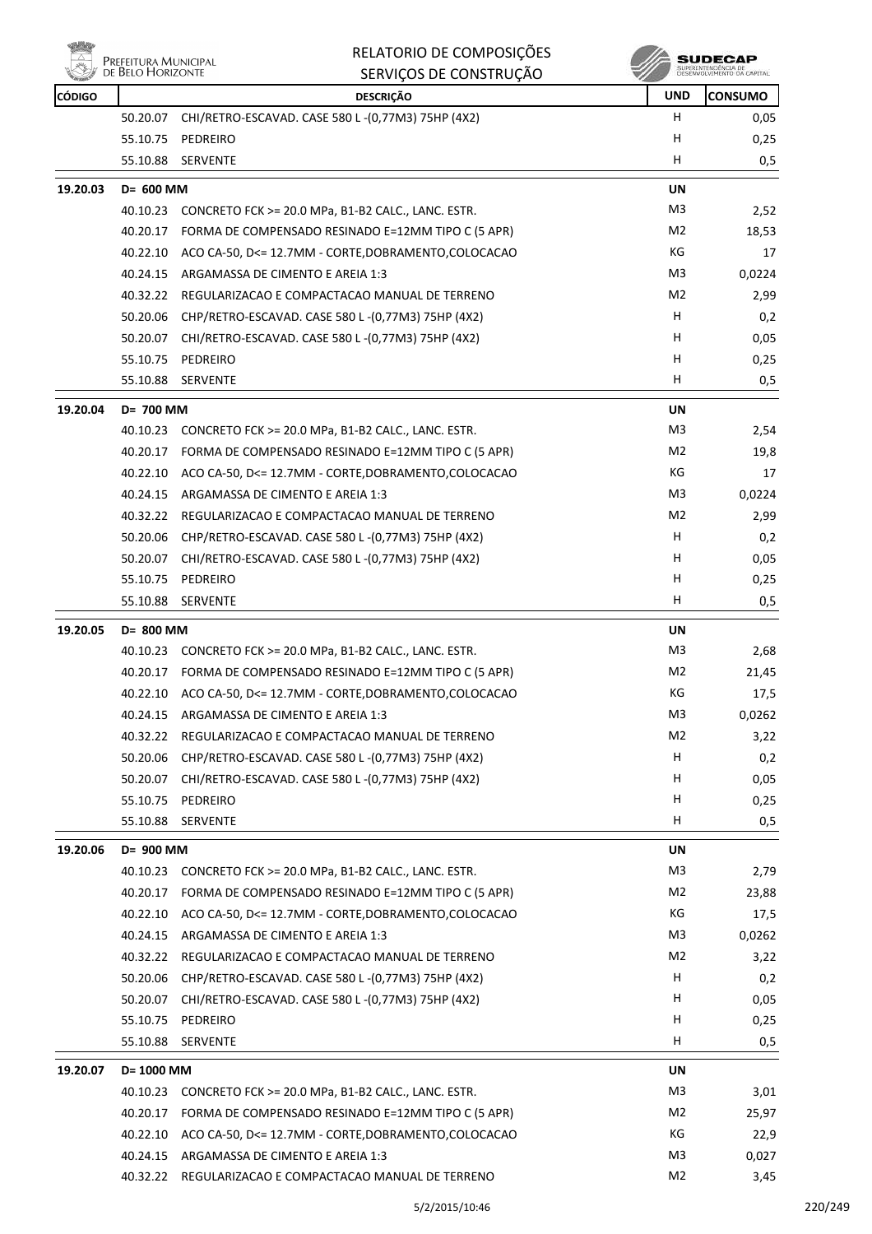

**SUDECAP**<br>SUPERINTENDÉNCIA DE<br>DÉSERVOLVIMENTO OA CAPITAL

| <b>CÓDIGO</b> |            | <b>DESCRIÇÃO</b>                                              | <b>UND</b>     | <b>CONSUMO</b> |
|---------------|------------|---------------------------------------------------------------|----------------|----------------|
|               |            | 50.20.07 CHI/RETRO-ESCAVAD. CASE 580 L-(0,77M3) 75HP (4X2)    | H              | 0,05           |
|               | 55.10.75   | PEDREIRO                                                      | H              | 0,25           |
|               | 55.10.88   | SERVENTE                                                      | н              | 0,5            |
| 19.20.03      | D= 600 MM  |                                                               | UN             |                |
|               |            | 40.10.23 CONCRETO FCK >= 20.0 MPa, B1-B2 CALC., LANC. ESTR.   | M3             | 2,52           |
|               | 40.20.17   | FORMA DE COMPENSADO RESINADO E=12MM TIPO C (5 APR)            | M2             | 18,53          |
|               | 40.22.10   | ACO CA-50, D<= 12.7MM - CORTE, DOBRAMENTO, COLOCACAO          | КG             | 17             |
|               | 40.24.15   | ARGAMASSA DE CIMENTO E AREIA 1:3                              | M3             | 0,0224         |
|               |            | 40.32.22 REGULARIZACAO E COMPACTACAO MANUAL DE TERRENO        | M2             | 2,99           |
|               |            | 50.20.06 CHP/RETRO-ESCAVAD. CASE 580 L-(0,77M3) 75HP (4X2)    | H              | 0,2            |
|               | 50.20.07   | CHI/RETRO-ESCAVAD. CASE 580 L -(0,77M3) 75HP (4X2)            | н              | 0,05           |
|               | 55.10.75   | PEDREIRO                                                      | н              | 0,25           |
|               | 55.10.88   | <b>SERVENTE</b>                                               | H              | 0,5            |
| 19.20.04      | D= 700 MM  |                                                               | UN             |                |
|               | 40.10.23   | CONCRETO FCK >= 20.0 MPa, B1-B2 CALC., LANC. ESTR.            | M3             | 2,54           |
|               | 40.20.17   | FORMA DE COMPENSADO RESINADO E=12MM TIPO C (5 APR)            | M2             | 19,8           |
|               | 40.22.10   | ACO CA-50, D<= 12.7MM - CORTE, DOBRAMENTO, COLOCACAO          | КG             | 17             |
|               | 40.24.15   | ARGAMASSA DE CIMENTO E AREIA 1:3                              | M3             | 0,0224         |
|               | 40.32.22   | REGULARIZACAO E COMPACTACAO MANUAL DE TERRENO                 | M2             | 2,99           |
|               | 50.20.06   | CHP/RETRO-ESCAVAD. CASE 580 L-(0,77M3) 75HP (4X2)             | H              | 0,2            |
|               |            | 50.20.07 CHI/RETRO-ESCAVAD. CASE 580 L-(0,77M3) 75HP (4X2)    | H.             | 0,05           |
|               | 55.10.75   | PEDREIRO                                                      | н              | 0,25           |
|               | 55.10.88   | <b>SERVENTE</b>                                               | н              | 0,5            |
| 19.20.05      | D= 800 MM  |                                                               | UN             |                |
|               |            | 40.10.23 CONCRETO FCK >= 20.0 MPa, B1-B2 CALC., LANC. ESTR.   | M3             | 2,68           |
|               | 40.20.17   | FORMA DE COMPENSADO RESINADO E=12MM TIPO C (5 APR)            | M2             | 21,45          |
|               |            | 40.22.10 ACO CA-50, D<= 12.7MM - CORTE, DOBRAMENTO, COLOCACAO | КG             | 17,5           |
|               | 40.24.15   | ARGAMASSA DE CIMENTO E AREIA 1:3                              | M3             | 0,0262         |
|               |            | 40.32.22 REGULARIZACAO E COMPACTACAO MANUAL DE TERRENO        | M2             | 3,22           |
|               | 50.20.06   | CHP/RETRO-ESCAVAD. CASE 580 L-(0,77M3) 75HP (4X2)             | н              | 0,2            |
|               | 50.20.07   | CHI/RETRO-ESCAVAD. CASE 580 L-(0,77M3) 75HP (4X2)             | H              | 0,05           |
|               | 55.10.75   | PEDREIRO                                                      | н              | 0,25           |
|               | 55.10.88   | <b>SERVENTE</b>                                               | н              | 0,5            |
| 19.20.06      | D= 900 MM  |                                                               | UN             |                |
|               |            | 40.10.23 CONCRETO FCK >= 20.0 MPa, B1-B2 CALC., LANC. ESTR.   | M3             | 2,79           |
|               | 40.20.17   | FORMA DE COMPENSADO RESINADO E=12MM TIPO C (5 APR)            | M2             | 23,88          |
|               | 40.22.10   | ACO CA-50, D<= 12.7MM - CORTE, DOBRAMENTO, COLOCACAO          | КG             | 17,5           |
|               | 40.24.15   | ARGAMASSA DE CIMENTO E AREIA 1:3                              | M3             | 0,0262         |
|               | 40.32.22   | REGULARIZACAO E COMPACTACAO MANUAL DE TERRENO                 | M2             | 3,22           |
|               | 50.20.06   | CHP/RETRO-ESCAVAD. CASE 580 L-(0,77M3) 75HP (4X2)             | н              | 0,2            |
|               | 50.20.07   | CHI/RETRO-ESCAVAD. CASE 580 L-(0,77M3) 75HP (4X2)             | H              | 0,05           |
|               | 55.10.75   | PEDREIRO                                                      | H              | 0,25           |
|               | 55.10.88   | <b>SERVENTE</b>                                               | н              | 0,5            |
| 19.20.07      | D= 1000 MM |                                                               | UN             |                |
|               | 40.10.23   | CONCRETO FCK >= 20.0 MPa, B1-B2 CALC., LANC. ESTR.            | M3             | 3,01           |
|               | 40.20.17   | FORMA DE COMPENSADO RESINADO E=12MM TIPO C (5 APR)            | M <sub>2</sub> | 25,97          |
|               | 40.22.10   | ACO CA-50, D<= 12.7MM - CORTE, DOBRAMENTO, COLOCACAO          | КG             | 22,9           |
|               | 40.24.15   | ARGAMASSA DE CIMENTO E AREIA 1:3                              | M3             | 0,027          |
|               | 40.32.22   | REGULARIZACAO E COMPACTACAO MANUAL DE TERRENO                 | M2             | 3,45           |
|               |            |                                                               |                |                |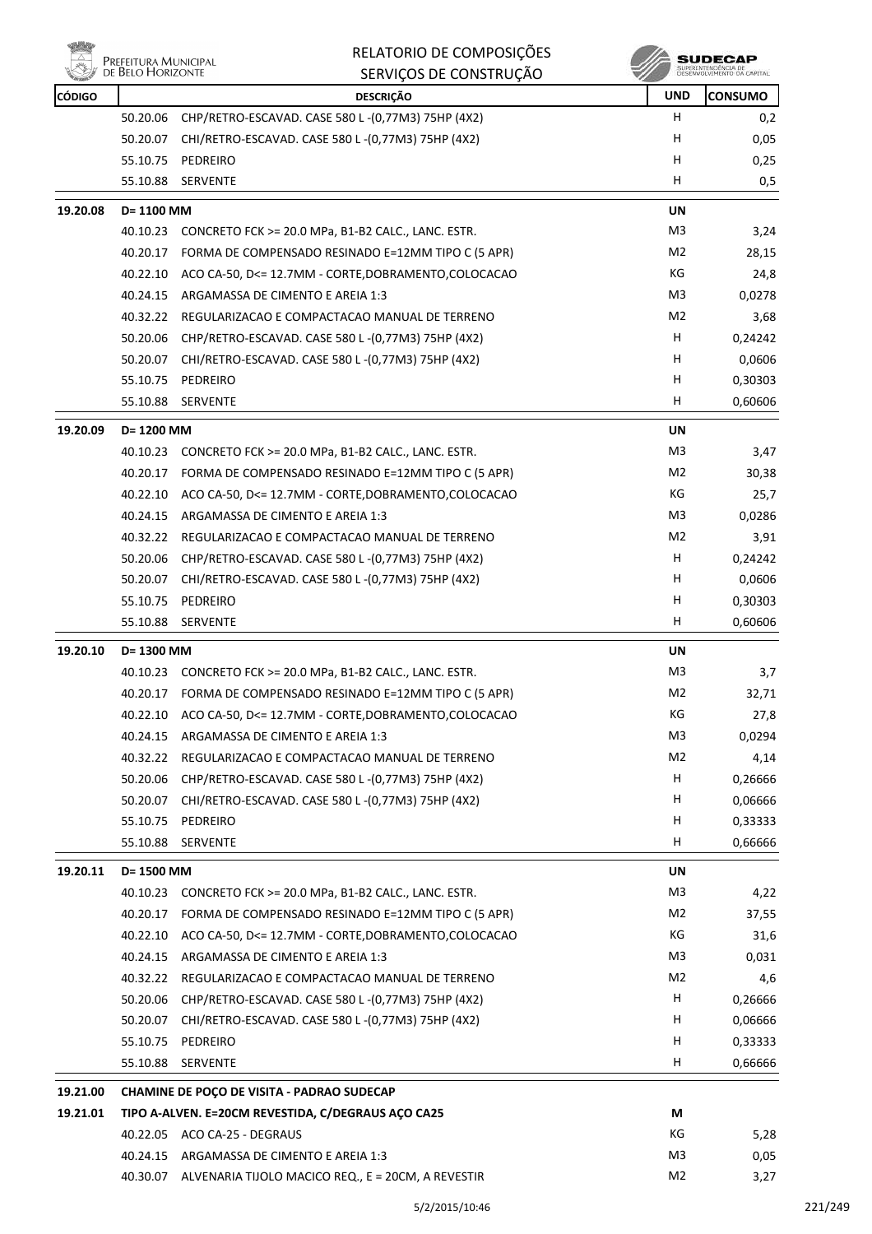| 出力            | Prefeitura Municipal<br>de Belo Horizonte | RELATORIO DE COMPOSIÇÕES                                      |                | SUDECAP                                           |
|---------------|-------------------------------------------|---------------------------------------------------------------|----------------|---------------------------------------------------|
|               |                                           | SERVIÇOS DE CONSTRUÇÃO                                        |                | SUPERINTENDÊNCIA DE<br>DESENVOLVIMENTO DA CAPITAL |
| <b>CÓDIGO</b> |                                           | <b>DESCRIÇÃO</b>                                              | <b>UND</b>     | <b>CONSUMO</b>                                    |
|               | 50.20.06                                  | CHP/RETRO-ESCAVAD. CASE 580 L-(0,77M3) 75HP (4X2)             | H              | 0,2                                               |
|               | 50.20.07                                  | CHI/RETRO-ESCAVAD. CASE 580 L-(0,77M3) 75HP (4X2)             | н              | 0,05                                              |
|               |                                           | 55.10.75 PEDREIRO                                             | н              | 0,25                                              |
|               | 55.10.88                                  | <b>SERVENTE</b>                                               | н              | 0,5                                               |
| 19.20.08      | D= 1100 MM                                |                                                               | UN             |                                                   |
|               | 40.10.23                                  | CONCRETO FCK >= 20.0 MPa, B1-B2 CALC., LANC. ESTR.            | M3             | 3,24                                              |
|               | 40.20.17                                  | FORMA DE COMPENSADO RESINADO E=12MM TIPO C (5 APR)            | M2             | 28,15                                             |
|               | 40.22.10                                  | ACO CA-50, D<= 12.7MM - CORTE, DOBRAMENTO, COLOCACAO          | КG             | 24,8                                              |
|               | 40.24.15                                  | ARGAMASSA DE CIMENTO E AREIA 1:3                              | M3             | 0,0278                                            |
|               | 40.32.22                                  | REGULARIZACAO E COMPACTACAO MANUAL DE TERRENO                 | M2             | 3,68                                              |
|               | 50.20.06                                  | CHP/RETRO-ESCAVAD. CASE 580 L-(0,77M3) 75HP (4X2)             | н              | 0,24242                                           |
|               | 50.20.07                                  | CHI/RETRO-ESCAVAD. CASE 580 L-(0,77M3) 75HP (4X2)             | н              | 0,0606                                            |
|               | 55.10.75                                  | PEDREIRO                                                      | H              | 0,30303                                           |
|               | 55.10.88                                  | <b>SERVENTE</b>                                               | н              | 0,60606                                           |
| 19.20.09      | D= 1200 MM                                |                                                               | <b>UN</b>      |                                                   |
|               | 40.10.23                                  | CONCRETO FCK >= 20.0 MPa, B1-B2 CALC., LANC. ESTR.            | M3             | 3,47                                              |
|               |                                           | 40.20.17 FORMA DE COMPENSADO RESINADO E=12MM TIPO C (5 APR)   | M <sub>2</sub> | 30,38                                             |
|               | 40.22.10                                  | ACO CA-50, D<= 12.7MM - CORTE, DOBRAMENTO, COLOCACAO          | КG             | 25,7                                              |
|               | 40.24.15                                  | ARGAMASSA DE CIMENTO E AREIA 1:3                              | M3             | 0,0286                                            |
|               | 40.32.22                                  | REGULARIZACAO E COMPACTACAO MANUAL DE TERRENO                 | M2             | 3,91                                              |
|               | 50.20.06                                  | CHP/RETRO-ESCAVAD. CASE 580 L-(0,77M3) 75HP (4X2)             | н              | 0,24242                                           |
|               | 50.20.07                                  | CHI/RETRO-ESCAVAD. CASE 580 L-(0,77M3) 75HP (4X2)             | H              | 0,0606                                            |
|               | 55.10.75                                  | PEDREIRO                                                      | н              | 0,30303                                           |
|               | 55.10.88                                  | <b>SERVENTE</b>                                               | н              | 0,60606                                           |
| 19.20.10      | D= 1300 MM                                |                                                               | UN             |                                                   |
|               |                                           | 40.10.23 CONCRETO FCK >= 20.0 MPa, B1-B2 CALC., LANC. ESTR.   | M3             | 3,7                                               |
|               |                                           | 40.20.17 FORMA DE COMPENSADO RESINADO E=12MM TIPO C (5 APR)   | M2             | 32,71                                             |
|               |                                           | 40.22.10 ACO CA-50, D<= 12.7MM - CORTE, DOBRAMENTO, COLOCACAO | КG             | 27,8                                              |
|               |                                           | 40.24.15 ARGAMASSA DE CIMENTO E AREIA 1:3                     | M3             | 0,0294                                            |
|               | 40.32.22                                  | REGULARIZACAO E COMPACTACAO MANUAL DE TERRENO                 | M <sub>2</sub> | 4,14                                              |
|               | 50.20.06                                  | CHP/RETRO-ESCAVAD. CASE 580 L-(0,77M3) 75HP (4X2)             | H              | 0,26666                                           |
|               | 50.20.07                                  | CHI/RETRO-ESCAVAD. CASE 580 L-(0,77M3) 75HP (4X2)             | H              | 0,06666                                           |
|               |                                           | 55.10.75 PEDREIRO                                             | Н              | 0,33333                                           |
|               | 55.10.88                                  | SERVENTE                                                      | н              | 0,66666                                           |
|               |                                           |                                                               |                |                                                   |
| 19.20.11      | D= 1500 MM                                |                                                               | UN             |                                                   |
|               |                                           | 40.10.23 CONCRETO FCK >= 20.0 MPa, B1-B2 CALC., LANC. ESTR.   | M3             | 4,22                                              |
|               | 40.20.17                                  | FORMA DE COMPENSADO RESINADO E=12MM TIPO C (5 APR)            | M2             | 37,55                                             |
|               |                                           | 40.22.10 ACO CA-50, D<= 12.7MM - CORTE, DOBRAMENTO, COLOCACAO | КG             | 31,6                                              |
|               |                                           | 40.24.15 ARGAMASSA DE CIMENTO E AREIA 1:3                     | M3             | 0,031                                             |
|               |                                           | 40.32.22 REGULARIZACAO E COMPACTACAO MANUAL DE TERRENO        | M <sub>2</sub> | 4,6                                               |
|               | 50.20.06                                  | CHP/RETRO-ESCAVAD. CASE 580 L-(0,77M3) 75HP (4X2)             | H              | 0,26666                                           |
|               | 50.20.07                                  | CHI/RETRO-ESCAVAD. CASE 580 L-(0,77M3) 75HP (4X2)             | H              | 0,06666                                           |
|               | 55.10.75                                  | PEDREIRO                                                      | н              | 0,33333                                           |
|               | 55.10.88                                  | SERVENTE                                                      | H              | 0,66666                                           |
| 19.21.00      |                                           | <b>CHAMINE DE POÇO DE VISITA - PADRAO SUDECAP</b>             |                |                                                   |
| 19.21.01      |                                           | TIPO A-ALVEN. E=20CM REVESTIDA, C/DEGRAUS AÇO CA25            | M              |                                                   |
|               |                                           | 40.22.05 ACO CA-25 - DEGRAUS                                  | КG             | 5,28                                              |
|               |                                           | 40.24.15 ARGAMASSA DE CIMENTO E AREIA 1:3                     | M3             | 0,05                                              |
|               |                                           | 40.30.07 ALVENARIA TIJOLO MACICO REQ., E = 20CM, A REVESTIR   | M2             | 3,27                                              |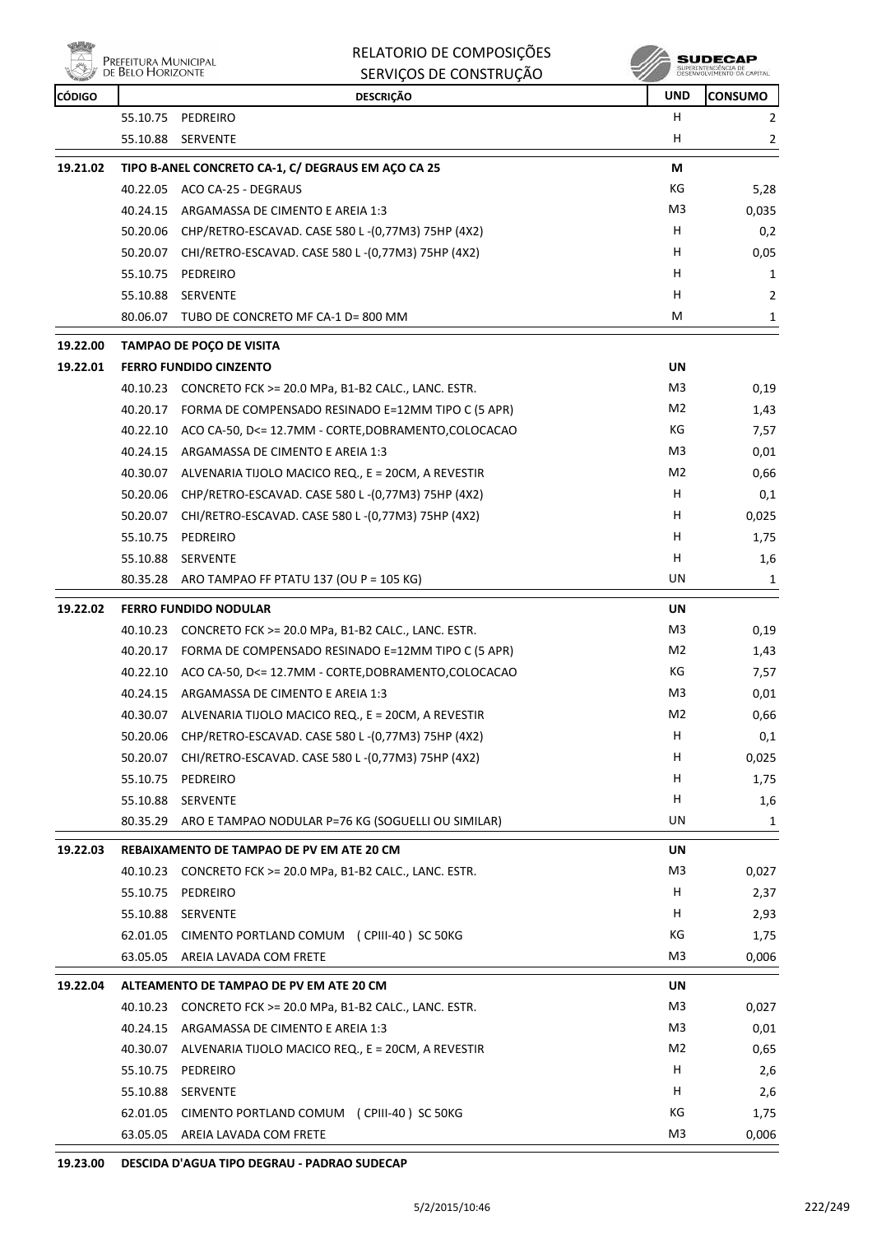

| RELATORIO DE COMPOSIÇÕES |
|--------------------------|
| SERVIÇOS DE CONSTRUÇÃO   |

**SUDECAP**<br>SUPERINTENDÉNCIA DE<br>DESENVOLVIMENTO OA CAPITAL

| <b>CÓDIGO</b> |          | <b>DESCRIÇÃO</b>                                              | <b>UND</b>     | <b>CONSUMO</b> |
|---------------|----------|---------------------------------------------------------------|----------------|----------------|
|               |          | 55.10.75 PEDREIRO                                             | H.             | 2              |
|               | 55.10.88 | <b>SERVENTE</b>                                               | н              | 2              |
| 19.21.02      |          | TIPO B-ANEL CONCRETO CA-1, C/ DEGRAUS EM AÇO CA 25            | М              |                |
|               |          | 40.22.05 ACO CA-25 - DEGRAUS                                  | КG             | 5,28           |
|               | 40.24.15 | ARGAMASSA DE CIMENTO E AREIA 1:3                              | M3             | 0,035          |
|               |          | 50.20.06 CHP/RETRO-ESCAVAD. CASE 580 L-(0,77M3) 75HP (4X2)    | H              | 0,2            |
|               |          | 50.20.07 CHI/RETRO-ESCAVAD. CASE 580 L-(0,77M3) 75HP (4X2)    | н              | 0,05           |
|               |          | 55.10.75 PEDREIRO                                             | н              | 1              |
|               | 55.10.88 | <b>SERVENTE</b>                                               | н              | $\overline{2}$ |
|               |          | 80.06.07 TUBO DE CONCRETO MF CA-1 D= 800 MM                   | М              | 1              |
| 19.22.00      |          | TAMPAO DE POÇO DE VISITA                                      |                |                |
| 19.22.01      |          | <b>FERRO FUNDIDO CINZENTO</b>                                 | UN             |                |
|               |          | 40.10.23 CONCRETO FCK >= 20.0 MPa, B1-B2 CALC., LANC. ESTR.   | M3             | 0,19           |
|               |          | 40.20.17 FORMA DE COMPENSADO RESINADO E=12MM TIPO C (5 APR)   | M2             | 1,43           |
|               |          | 40.22.10 ACO CA-50, D<= 12.7MM - CORTE, DOBRAMENTO, COLOCACAO | КG             | 7,57           |
|               |          | 40.24.15 ARGAMASSA DE CIMENTO E AREIA 1:3                     | M3             | 0,01           |
|               | 40.30.07 | ALVENARIA TIJOLO MACICO REQ., E = 20CM, A REVESTIR            | M2             | 0,66           |
|               |          | 50.20.06 CHP/RETRO-ESCAVAD. CASE 580 L-(0,77M3) 75HP (4X2)    | н              | 0,1            |
|               |          | 50.20.07 CHI/RETRO-ESCAVAD. CASE 580 L-(0,77M3) 75HP (4X2)    | н              | 0,025          |
|               | 55.10.75 | PEDREIRO                                                      | н              | 1,75           |
|               | 55.10.88 | SERVENTE                                                      | н              | 1,6            |
|               |          | 80.35.28 ARO TAMPAO FF PTATU 137 (OU P = 105 KG)              | UN             | 1              |
|               |          |                                                               |                |                |
| 19.22.02      |          | <b>FERRO FUNDIDO NODULAR</b>                                  | UN             |                |
|               | 40.10.23 | CONCRETO FCK >= 20.0 MPa, B1-B2 CALC., LANC. ESTR.            | M3             | 0,19           |
|               | 40.20.17 | FORMA DE COMPENSADO RESINADO E=12MM TIPO C (5 APR)            | M2             | 1,43           |
|               |          | 40.22.10 ACO CA-50, D<= 12.7MM - CORTE, DOBRAMENTO, COLOCACAO | КG             | 7,57           |
|               |          | 40.24.15 ARGAMASSA DE CIMENTO E AREIA 1:3                     | M3             | 0,01           |
|               |          | 40.30.07 ALVENARIA TIJOLO MACICO REQ., E = 20CM, A REVESTIR   | M2             | 0,66           |
|               |          | 50.20.06 CHP/RETRO-ESCAVAD. CASE 580 L-(0,77M3) 75HP (4X2)    | н              | 0,1            |
|               | 50.20.07 | CHI/RETRO-ESCAVAD. CASE 580 L-(0,77M3) 75HP (4X2)             | н              | 0,025          |
|               | 55.10.75 | PEDREIRO                                                      | н              | 1,75           |
|               | 55.10.88 | SERVENTE                                                      | н              | 1,6            |
|               | 80.35.29 | ARO E TAMPAO NODULAR P=76 KG (SOGUELLI OU SIMILAR)            | UN             | 1              |
| 19.22.03      |          | REBAIXAMENTO DE TAMPAO DE PV EM ATE 20 CM                     | UN             |                |
|               | 40.10.23 | CONCRETO FCK >= 20.0 MPa, B1-B2 CALC., LANC. ESTR.            | M3             | 0,027          |
|               | 55.10.75 | PEDREIRO                                                      | н              | 2,37           |
|               | 55.10.88 | SERVENTE                                                      | н              | 2,93           |
|               | 62.01.05 | CIMENTO PORTLAND COMUM (CPIII-40) SC 50KG                     | KG             | 1,75           |
|               | 63.05.05 | AREIA LAVADA COM FRETE                                        | M <sub>3</sub> | 0,006          |
| 19.22.04      |          | ALTEAMENTO DE TAMPAO DE PV EM ATE 20 CM                       | UN             |                |
|               | 40.10.23 | CONCRETO FCK >= 20.0 MPa, B1-B2 CALC., LANC. ESTR.            | M3             | 0,027          |
|               | 40.24.15 | ARGAMASSA DE CIMENTO E AREIA 1:3                              | M3             | 0,01           |
|               | 40.30.07 | ALVENARIA TIJOLO MACICO REQ., E = 20CM, A REVESTIR            | M2             | 0,65           |
|               | 55.10.75 | PEDREIRO                                                      | н              | 2,6            |
|               | 55.10.88 | SERVENTE                                                      | н              | 2,6            |
|               | 62.01.05 | CIMENTO PORTLAND COMUM (CPIII-40) SC 50KG                     | KG             | 1,75           |
|               | 63.05.05 | AREIA LAVADA COM FRETE                                        | M3             | 0,006          |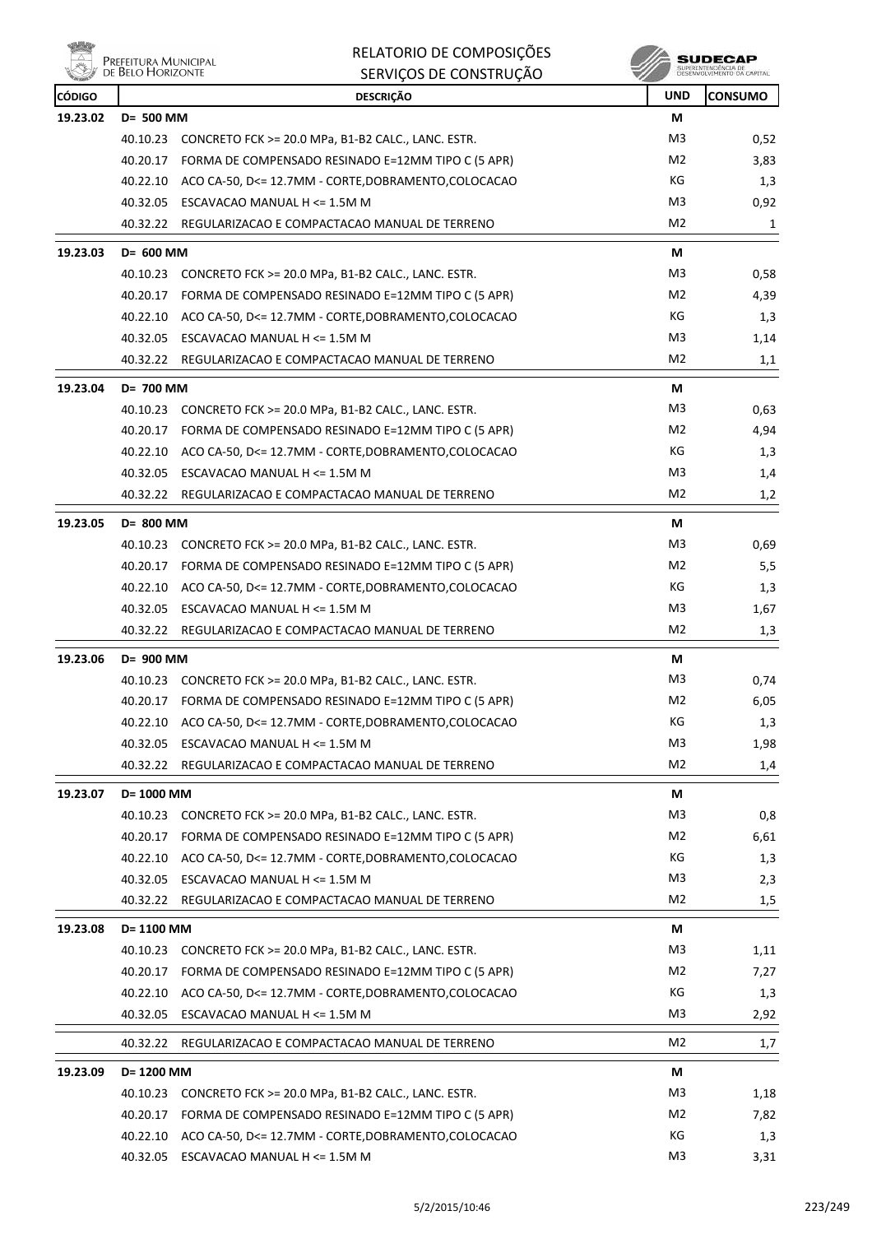|               | Prefeitura Municipal<br>de Belo Horizonte | RELATORIO DE COMPOSIÇÕES<br>SERVIÇOS DE CONSTRUÇÃO            |                | SUDECAI<br>SUPERINTENDENCIA DE<br>DÉSENVOLVIMENTO DA CAPITAL |
|---------------|-------------------------------------------|---------------------------------------------------------------|----------------|--------------------------------------------------------------|
| <b>CÓDIGO</b> |                                           | <b>DESCRIÇÃO</b>                                              | <b>UND</b>     | <b>CONSUMO</b>                                               |
| 19.23.02      | D= 500 MM                                 |                                                               | М              |                                                              |
|               |                                           | 40.10.23 CONCRETO FCK >= 20.0 MPa, B1-B2 CALC., LANC. ESTR.   | M3             | 0,52                                                         |
|               |                                           | 40.20.17 FORMA DE COMPENSADO RESINADO E=12MM TIPO C (5 APR)   | M <sub>2</sub> | 3,83                                                         |
|               |                                           | 40.22.10 ACO CA-50, D<= 12.7MM - CORTE, DOBRAMENTO, COLOCACAO | КG             | 1,3                                                          |
|               | 40.32.05                                  | ESCAVACAO MANUAL H <= 1.5M M                                  | M <sub>3</sub> | 0,92                                                         |
|               |                                           | 40.32.22 REGULARIZACAO E COMPACTACAO MANUAL DE TERRENO        | M2             | 1                                                            |
| 19.23.03      | $D = 600$ MM                              |                                                               | М              |                                                              |
|               | 40.10.23                                  | CONCRETO FCK >= 20.0 MPa, B1-B2 CALC., LANC. ESTR.            | M3             | 0,58                                                         |
|               | 40.20.17                                  | FORMA DE COMPENSADO RESINADO E=12MM TIPO C (5 APR)            | M <sub>2</sub> | 4,39                                                         |
|               |                                           | 40.22.10 ACO CA-50, D<= 12.7MM - CORTE, DOBRAMENTO, COLOCACAO | КG             | 1,3                                                          |
|               | 40.32.05                                  | ESCAVACAO MANUAL H <= 1.5M M                                  | M3             | 1,14                                                         |
|               | 40.32.22                                  | REGULARIZACAO E COMPACTACAO MANUAL DE TERRENO                 | M2             | 1,1                                                          |
| 19.23.04      | D= 700 MM                                 |                                                               | М              |                                                              |
|               | 40.10.23                                  | CONCRETO FCK >= 20.0 MPa, B1-B2 CALC., LANC. ESTR.            | M3             | 0,63                                                         |
|               |                                           | 40.20.17 FORMA DE COMPENSADO RESINADO E=12MM TIPO C (5 APR)   | M <sub>2</sub> | 4,94                                                         |
|               |                                           | 40.22.10 ACO CA-50, D<= 12.7MM - CORTE, DOBRAMENTO, COLOCACAO | КG             | 1,3                                                          |
|               | 40.32.05                                  | ESCAVACAO MANUAL H <= 1.5M M                                  | M <sub>3</sub> | 1,4                                                          |
|               | 40.32.22                                  | REGULARIZACAO E COMPACTACAO MANUAL DE TERRENO                 | M <sub>2</sub> | 1,2                                                          |
| 19.23.05      | D= 800 MM                                 |                                                               | М              |                                                              |
|               |                                           | 40.10.23 CONCRETO FCK >= 20.0 MPa, B1-B2 CALC., LANC. ESTR.   | M3             | 0,69                                                         |
|               |                                           | 40.20.17 FORMA DE COMPENSADO RESINADO E=12MM TIPO C (5 APR)   | M2             | 5,5                                                          |
|               | 40.22.10                                  | ACO CA-50, D<= 12.7MM - CORTE, DOBRAMENTO, COLOCACAO          | КG             | 1,3                                                          |
|               | 40.32.05                                  | ESCAVACAO MANUAL H <= 1.5M M                                  | M3             | 1,67                                                         |
|               | 40.32.22                                  | REGULARIZACAO E COMPACTACAO MANUAL DE TERRENO                 | M <sub>2</sub> | 1,3                                                          |
| 19.23.06      | D= 900 MM                                 |                                                               | М              |                                                              |
|               |                                           | 40.10.23 CONCRETO FCK >= 20.0 MPa, B1-B2 CALC., LANC. ESTR.   | M3             | 0,74                                                         |
|               | 40.20.17                                  | FORMA DE COMPENSADO RESINADO E=12MM TIPO C (5 APR)            | M <sub>2</sub> | 6,05                                                         |
|               | 40.22.10                                  | ACO CA-50, D<= 12.7MM - CORTE, DOBRAMENTO, COLOCACAO          | КG             | 1,3                                                          |
|               | 40.32.05                                  | ESCAVACAO MANUAL H <= 1.5M M                                  | M3             | 1,98                                                         |
|               | 40.32.22                                  | REGULARIZACAO E COMPACTACAO MANUAL DE TERRENO                 | M2             | 1,4                                                          |
| 19.23.07      | D= 1000 MM                                |                                                               | М              |                                                              |
|               | 40.10.23                                  | CONCRETO FCK >= 20.0 MPa, B1-B2 CALC., LANC. ESTR.            | M3             | 0,8                                                          |
|               | 40.20.17                                  | FORMA DE COMPENSADO RESINADO E=12MM TIPO C (5 APR)            | M2             | 6,61                                                         |
|               | 40.22.10                                  | ACO CA-50, D<= 12.7MM - CORTE, DOBRAMENTO, COLOCACAO          | КG             | 1,3                                                          |
|               | 40.32.05                                  | ESCAVACAO MANUAL H <= 1.5M M                                  | M3             | 2,3                                                          |
|               | 40.32.22                                  | REGULARIZACAO E COMPACTACAO MANUAL DE TERRENO                 | M <sub>2</sub> | 1,5                                                          |
| 19.23.08      | D= 1100 MM                                |                                                               | М              |                                                              |
|               | 40.10.23                                  | CONCRETO FCK >= 20.0 MPa, B1-B2 CALC., LANC. ESTR.            | M3             | 1,11                                                         |
|               | 40.20.17                                  | FORMA DE COMPENSADO RESINADO E=12MM TIPO C (5 APR)            | M2             | 7,27                                                         |
|               | 40.22.10                                  | ACO CA-50, D<= 12.7MM - CORTE, DOBRAMENTO, COLOCACAO          | КG             | 1,3                                                          |
|               | 40.32.05                                  | ESCAVACAO MANUAL H <= 1.5M M                                  | M <sub>3</sub> | 2,92                                                         |
|               | 40.32.22                                  | REGULARIZACAO E COMPACTACAO MANUAL DE TERRENO                 | M2             | 1,7                                                          |
| 19.23.09      | D= 1200 MM                                |                                                               | М              |                                                              |
|               | 40.10.23                                  | CONCRETO FCK >= 20.0 MPa, B1-B2 CALC., LANC. ESTR.            | M3             | 1,18                                                         |
|               | 40.20.17                                  | FORMA DE COMPENSADO RESINADO E=12MM TIPO C (5 APR)            | M2             | 7,82                                                         |
|               | 40.22.10                                  | ACO CA-50, D<= 12.7MM - CORTE, DOBRAMENTO, COLOCACAO          | КG             | 1,3                                                          |

40.32.05 ESCAVACAO MANUAL H <= 1.5M M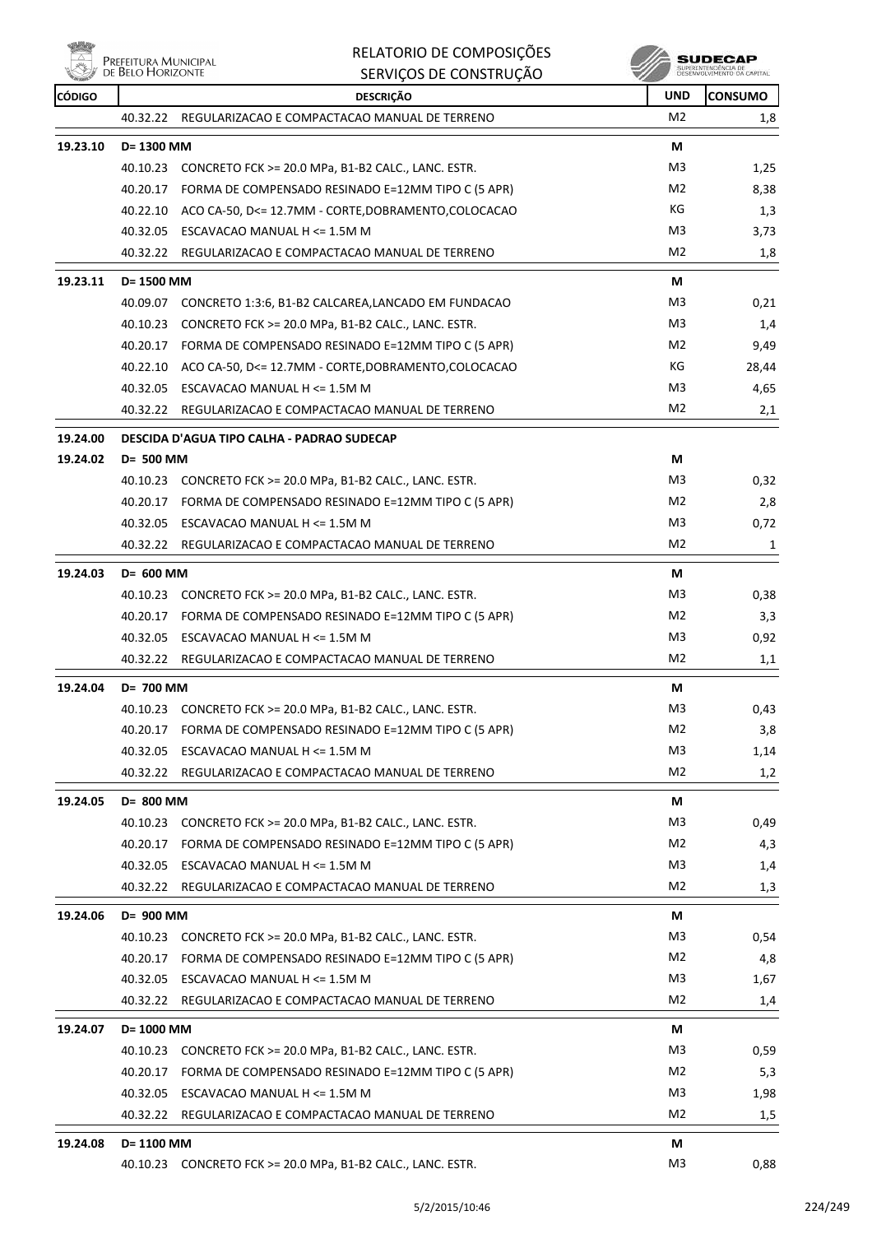es<br>Alprefeitura Municipal<br>Alpression Horizonte ₩

# RELATORIO DE COMPOSIÇÕES SERVIÇOS DE CONSTRUÇÃO

**SUDECAP**<br> **SUPRINTERGÉNCIA DE**<br>
DÉSERVOLVIMENTO CA CAPITAL

| <b>CÓDIGO</b> |            | <b>DESCRIÇÃO</b>                                              | <b>UND</b>     | <b>CONSUMO</b> |
|---------------|------------|---------------------------------------------------------------|----------------|----------------|
|               | 40.32.22   | REGULARIZACAO E COMPACTACAO MANUAL DE TERRENO                 | M <sub>2</sub> | 1,8            |
| 19.23.10      | D= 1300 MM |                                                               | М              |                |
|               |            | 40.10.23 CONCRETO FCK >= 20.0 MPa, B1-B2 CALC., LANC. ESTR.   | M <sub>3</sub> | 1,25           |
|               |            | 40.20.17 FORMA DE COMPENSADO RESINADO E=12MM TIPO C (5 APR)   | M <sub>2</sub> | 8,38           |
|               |            | 40.22.10 ACO CA-50, D<= 12.7MM - CORTE, DOBRAMENTO, COLOCACAO | КG             | 1,3            |
|               |            | 40.32.05 ESCAVACAO MANUAL H <= 1.5M M                         | M <sub>3</sub> | 3,73           |
|               | 40.32.22   | REGULARIZACAO E COMPACTACAO MANUAL DE TERRENO                 | M <sub>2</sub> | 1,8            |
| 19.23.11      | D= 1500 MM |                                                               | М              |                |
|               |            | 40.09.07 CONCRETO 1:3:6, B1-B2 CALCAREA, LANCADO EM FUNDACAO  | M3             | 0,21           |
|               | 40.10.23   | CONCRETO FCK >= 20.0 MPa, B1-B2 CALC., LANC. ESTR.            | M <sub>3</sub> | 1,4            |
|               |            | 40.20.17 FORMA DE COMPENSADO RESINADO E=12MM TIPO C (5 APR)   | M2             | 9,49           |
|               |            | 40.22.10 ACO CA-50, D<= 12.7MM - CORTE, DOBRAMENTO, COLOCACAO | КG             | 28,44          |
|               |            | 40.32.05 ESCAVACAO MANUAL H <= 1.5M M                         | M <sub>3</sub> | 4,65           |
|               |            | 40.32.22 REGULARIZACAO E COMPACTACAO MANUAL DE TERRENO        | M <sub>2</sub> | 2,1            |
| 19.24.00      |            | DESCIDA D'AGUA TIPO CALHA - PADRAO SUDECAP                    |                |                |
| 19.24.02      | D= 500 MM  |                                                               | М              |                |
|               |            | 40.10.23 CONCRETO FCK >= 20.0 MPa, B1-B2 CALC., LANC. ESTR.   | M3             | 0,32           |
|               |            | 40.20.17 FORMA DE COMPENSADO RESINADO E=12MM TIPO C (5 APR)   | M <sub>2</sub> | 2,8            |
|               |            | 40.32.05 ESCAVACAO MANUAL H <= 1.5M M                         | M3             | 0,72           |
|               |            | 40.32.22 REGULARIZACAO E COMPACTACAO MANUAL DE TERRENO        | M <sub>2</sub> | 1              |
| 19.24.03      | D= 600 MM  |                                                               | М              |                |
|               |            | 40.10.23 CONCRETO FCK >= 20.0 MPa, B1-B2 CALC., LANC. ESTR.   | M3             | 0,38           |
|               |            | 40.20.17 FORMA DE COMPENSADO RESINADO E=12MM TIPO C (5 APR)   | M <sub>2</sub> | 3,3            |
|               |            | 40.32.05 ESCAVACAO MANUAL H <= 1.5M M                         | M3             | 0,92           |
|               | 40.32.22   | REGULARIZACAO E COMPACTACAO MANUAL DE TERRENO                 | M <sub>2</sub> | 1,1            |
| 19.24.04      | D= 700 MM  |                                                               | М              |                |
|               |            | 40.10.23 CONCRETO FCK >= 20.0 MPa, B1-B2 CALC., LANC. ESTR.   | M3             | 0,43           |
|               |            | 40.20.17 FORMA DE COMPENSADO RESINADO E=12MM TIPO C (5 APR)   | M <sub>2</sub> | 3,8            |
|               | 40.32.05   | ESCAVACAO MANUAL H <= 1.5M M                                  | M3             | 1,14           |
|               | 40.32.22   | REGULARIZACAO E COMPACTACAO MANUAL DE TERRENO                 | M <sub>2</sub> | 1,2            |
| 19.24.05      | D= 800 MM  |                                                               | М              |                |
|               | 40.10.23   | CONCRETO FCK >= 20.0 MPa, B1-B2 CALC., LANC. ESTR.            | M3             | 0,49           |
|               |            | 40.20.17 FORMA DE COMPENSADO RESINADO E=12MM TIPO C (5 APR)   | M2             | 4,3            |
|               |            | 40.32.05 ESCAVACAO MANUAL H <= 1.5M M                         | M3             | 1,4            |
|               | 40.32.22   | REGULARIZACAO E COMPACTACAO MANUAL DE TERRENO                 | M <sub>2</sub> | 1,3            |
| 19.24.06      | D= 900 MM  |                                                               | М              |                |
|               |            | 40.10.23 CONCRETO FCK >= 20.0 MPa, B1-B2 CALC., LANC. ESTR.   | M3             | 0,54           |
|               |            | 40.20.17 FORMA DE COMPENSADO RESINADO E=12MM TIPO C (5 APR)   | M <sub>2</sub> | 4,8            |
|               | 40.32.05   | ESCAVACAO MANUAL H <= 1.5M M                                  | M <sub>3</sub> | 1,67           |
|               | 40.32.22   | REGULARIZACAO E COMPACTACAO MANUAL DE TERRENO                 | M <sub>2</sub> | 1,4            |
|               |            |                                                               |                |                |
| 19.24.07      | D= 1000 MM |                                                               | М<br>M3        |                |
|               | 40.10.23   | CONCRETO FCK >= 20.0 MPa, B1-B2 CALC., LANC. ESTR.            |                | 0,59           |
|               |            | 40.20.17 FORMA DE COMPENSADO RESINADO E=12MM TIPO C (5 APR)   | M <sub>2</sub> | 5,3            |
|               |            | 40.32.05 ESCAVACAO MANUAL H <= 1.5M M                         | M3             | 1,98           |
|               | 40.32.22   | REGULARIZACAO E COMPACTACAO MANUAL DE TERRENO                 | M2             | 1,5            |
| 19.24.08      | D= 1100 MM |                                                               | М              |                |
|               |            | 40.10.23 CONCRETO FCK >= 20.0 MPa, B1-B2 CALC., LANC. ESTR.   | M3             | 0,88           |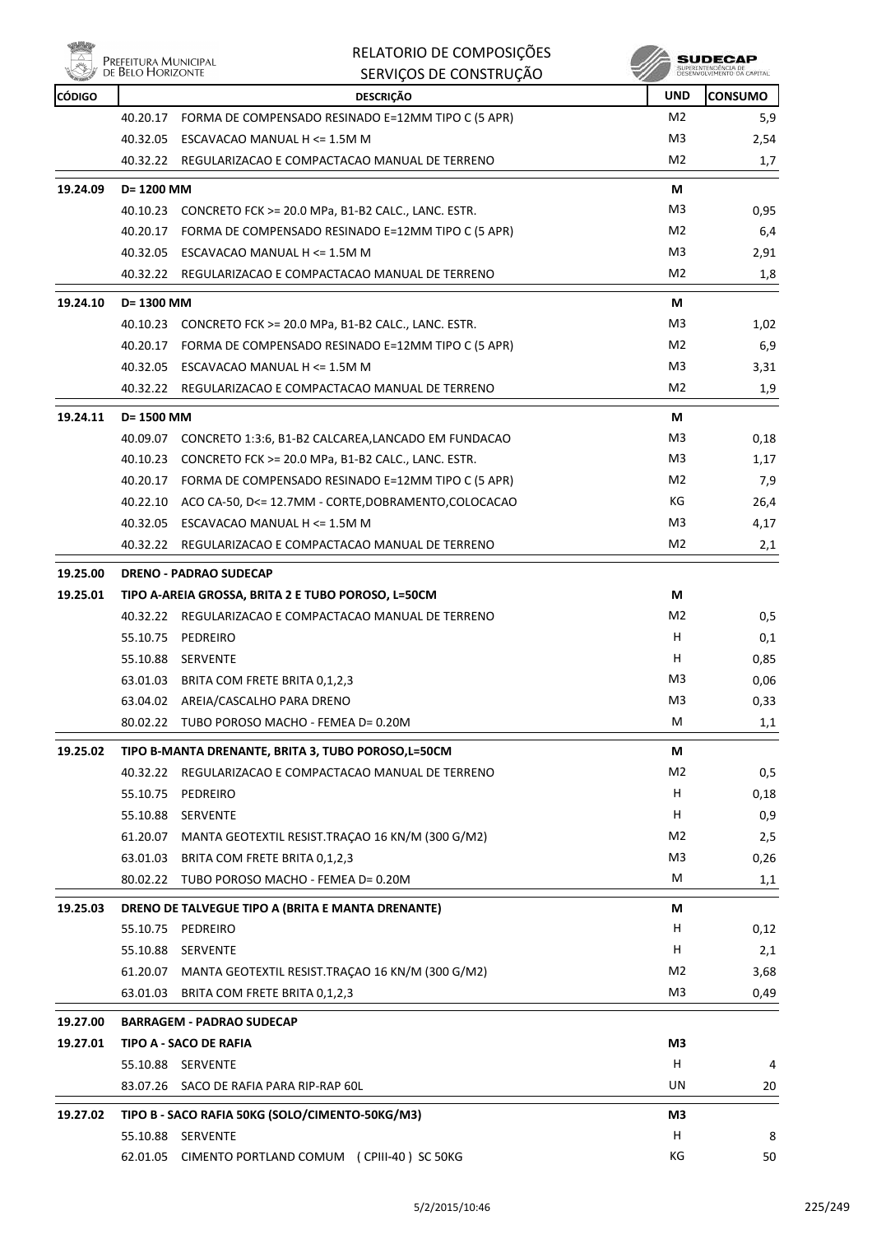

es<br>Al Prefeitura Municipal<br>Al de Belo Horizonte

## RELATORIO DE COMPOSIÇÕES SERVIÇOS DE CONSTRUÇÃO

| <b>CÓDIGO</b> |            | <b>DESCRIÇÃO</b>                                                       | <b>UND</b>     | <b>CONSUMO</b> |
|---------------|------------|------------------------------------------------------------------------|----------------|----------------|
|               |            | 40.20.17 FORMA DE COMPENSADO RESINADO E=12MM TIPO C (5 APR)            | M2             | 5,9            |
|               | 40.32.05   | ESCAVACAO MANUAL H <= 1.5M M                                           | M3             | 2,54           |
|               |            | 40.32.22 REGULARIZACAO E COMPACTACAO MANUAL DE TERRENO                 | M2             | 1,7            |
| 19.24.09      | D= 1200 MM |                                                                        | М              |                |
|               |            | 40.10.23 CONCRETO FCK >= 20.0 MPa, B1-B2 CALC., LANC. ESTR.            | M3             | 0,95           |
|               |            | 40.20.17 FORMA DE COMPENSADO RESINADO E=12MM TIPO C (5 APR)            | M2             | 6,4            |
|               |            | 40.32.05 ESCAVACAO MANUAL H <= 1.5M M                                  | M3             | 2,91           |
|               |            | 40.32.22 REGULARIZACAO E COMPACTACAO MANUAL DE TERRENO                 | M2             | 1,8            |
| 19.24.10      | D= 1300 MM |                                                                        | М              |                |
|               |            | 40.10.23 CONCRETO FCK >= 20.0 MPa, B1-B2 CALC., LANC. ESTR.            | M3             | 1,02           |
|               |            | 40.20.17 FORMA DE COMPENSADO RESINADO E=12MM TIPO C (5 APR)            | M2             | 6,9            |
|               | 40.32.05   | ESCAVACAO MANUAL H <= 1.5M M                                           | M3             | 3,31           |
|               |            | 40.32.22 REGULARIZACAO E COMPACTACAO MANUAL DE TERRENO                 | M2             | 1,9            |
| 19.24.11      | D= 1500 MM |                                                                        | М              |                |
|               |            | 40.09.07 CONCRETO 1:3:6, B1-B2 CALCAREA,LANCADO EM FUNDACAO            | M3             | 0,18           |
|               |            | 40.10.23 CONCRETO FCK >= 20.0 MPa, B1-B2 CALC., LANC. ESTR.            | M3             | 1,17           |
|               |            | 40.20.17 FORMA DE COMPENSADO RESINADO E=12MM TIPO C (5 APR)            | M2             | 7,9            |
|               |            | 40.22.10 ACO CA-50, D<= 12.7MM - CORTE, DOBRAMENTO, COLOCACAO          | КG             | 26,4           |
|               | 40.32.05   | ESCAVACAO MANUAL H <= 1.5M M                                           | M3             | 4,17           |
|               |            | 40.32.22 REGULARIZACAO E COMPACTACAO MANUAL DE TERRENO                 | M2             | 2,1            |
| 19.25.00      |            | <b>DRENO - PADRAO SUDECAP</b>                                          |                |                |
| 19.25.01      |            | TIPO A-AREIA GROSSA, BRITA 2 E TUBO POROSO, L=50CM                     | М              |                |
|               |            | 40.32.22 REGULARIZACAO E COMPACTACAO MANUAL DE TERRENO                 | M2             | 0,5            |
|               |            | 55.10.75 PEDREIRO                                                      | H.             | 0,1            |
|               |            | 55.10.88 SERVENTE                                                      | H.             | 0,85           |
|               |            | 63.01.03 BRITA COM FRETE BRITA 0,1,2,3                                 | M3             | 0,06           |
|               |            | 63.04.02 AREIA/CASCALHO PARA DRENO                                     | M3             | 0,33           |
|               |            | 80.02.22 TUBO POROSO MACHO - FEMEA D= 0.20M                            | М              | 1,1            |
| 19.25.02      |            | TIPO B-MANTA DRENANTE, BRITA 3, TUBO POROSO,L=50CM                     | М              |                |
|               |            | 40.32.22 REGULARIZACAO E COMPACTACAO MANUAL DE TERRENO                 | M <sub>2</sub> | 0,5            |
|               |            | 55.10.75 PEDREIRO                                                      | H.             | 0,18           |
|               | 55.10.88   | <b>SERVENTE</b>                                                        | H              | 0,9            |
|               | 61.20.07   | MANTA GEOTEXTIL RESIST.TRAÇÃO 16 KN/M (300 G/M2)                       | M2             | 2,5            |
|               | 63.01.03   | BRITA COM FRETE BRITA 0,1,2,3                                          | M <sub>3</sub> | 0,26           |
|               |            | 80.02.22 TUBO POROSO MACHO - FEMEA D= 0.20M                            | М              | 1,1            |
| 19.25.03      |            |                                                                        | М              |                |
|               |            | DRENO DE TALVEGUE TIPO A (BRITA E MANTA DRENANTE)<br>55.10.75 PEDREIRO | H              | 0,12           |
|               |            | 55.10.88 SERVENTE                                                      | H              | 2,1            |
|               | 61.20.07   | MANTA GEOTEXTIL RESIST.TRAÇÃO 16 KN/M (300 G/M2)                       | M <sub>2</sub> | 3,68           |
|               | 63.01.03   | BRITA COM FRETE BRITA 0,1,2,3                                          | M3             | 0,49           |
|               |            |                                                                        |                |                |
| 19.27.00      |            | <b>BARRAGEM - PADRAO SUDECAP</b>                                       |                |                |
| 19.27.01      |            | TIPO A - SACO DE RAFIA                                                 | M3             |                |
|               |            | 55.10.88 SERVENTE                                                      | н              | 4              |
|               |            | 83.07.26 SACO DE RAFIA PARA RIP-RAP 60L                                | UN             | 20             |
| 19.27.02      |            | TIPO B - SACO RAFIA 50KG (SOLO/CIMENTO-50KG/M3)                        | M3             |                |
|               |            | 55.10.88 SERVENTE                                                      | н              | 8              |
|               |            | 62.01.05 CIMENTO PORTLAND COMUM (CPIII-40) SC 50KG                     | ΚG             | 50             |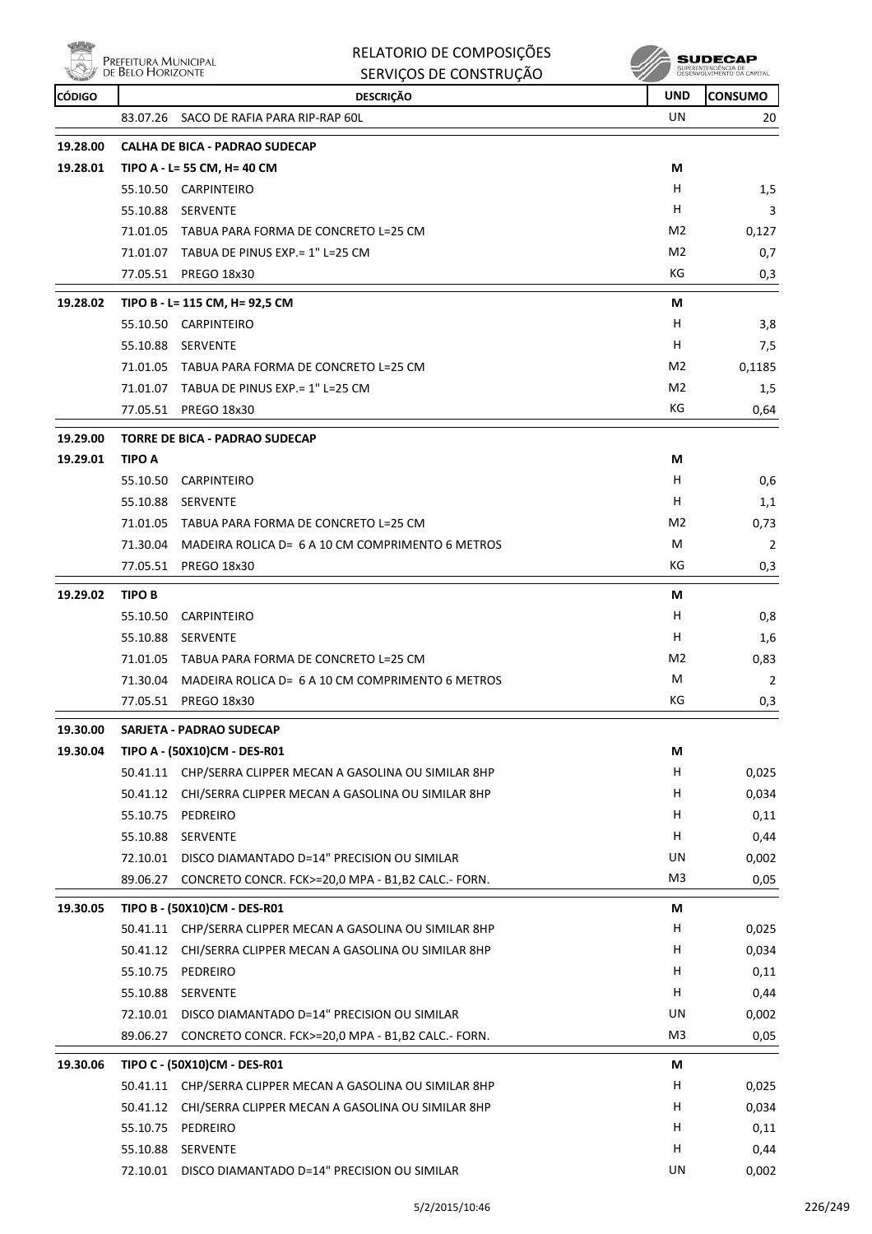

| Nöh           | PREFEITURA MUNICIPAL | RELATORIO DE COMPOSIÇÕES                                   |                | SUDECAP                                           |
|---------------|----------------------|------------------------------------------------------------|----------------|---------------------------------------------------|
|               | DE BELO HORIZONTE    | SERVIÇOS DE CONSTRUÇÃO                                     |                | SUPERINTENDÊNCIA DE<br>DESENVOLVIMENTO DA CAPITAL |
| <b>CÓDIGO</b> |                      | <b>DESCRIÇÃO</b>                                           | UND            | <b>CONSUMO</b>                                    |
|               | 83.07.26             | SACO DE RAFIA PARA RIP-RAP 60L                             | UN             | 20                                                |
| 19.28.00      |                      | <b>CALHA DE BICA - PADRAO SUDECAP</b>                      |                |                                                   |
| 19.28.01      |                      | TIPO A - L= 55 CM, H= 40 CM                                | М              |                                                   |
|               |                      | 55.10.50 CARPINTEIRO                                       | н              | 1,5                                               |
|               | 55.10.88             | SERVENTE                                                   | H              | 3                                                 |
|               |                      | 71.01.05 TABUA PARA FORMA DE CONCRETO L=25 CM              | M2             | 0,127                                             |
|               |                      | 71.01.07 TABUA DE PINUS EXP. = 1" L=25 CM                  | M <sub>2</sub> | 0,7                                               |
|               | 77.05.51             | PREGO 18x30                                                | КG             | 0,3                                               |
| 19.28.02      |                      | TIPO B - L= 115 CM, H= 92,5 CM                             | M              |                                                   |
|               |                      | 55.10.50 CARPINTEIRO                                       | H              | 3,8                                               |
|               | 55.10.88             | SERVENTE                                                   | н              | 7,5                                               |
|               |                      | 71.01.05 TABUA PARA FORMA DE CONCRETO L=25 CM              | M <sub>2</sub> | 0,1185                                            |
|               |                      | 71.01.07 TABUA DE PINUS EXP. = 1" L=25 CM                  | M2             | 1,5                                               |
|               | 77.05.51             | <b>PREGO 18x30</b>                                         | КG             | 0,64                                              |
| 19.29.00      |                      | <b>TORRE DE BICA - PADRAO SUDECAP</b>                      |                |                                                   |
| 19.29.01      | <b>TIPO A</b>        |                                                            | М              |                                                   |
|               | 55.10.50             | <b>CARPINTEIRO</b>                                         | H              | 0,6                                               |
|               | 55.10.88             | <b>SERVENTE</b>                                            | н              | 1,1                                               |
|               | 71.01.05             | TABUA PARA FORMA DE CONCRETO L=25 CM                       | M <sub>2</sub> | 0,73                                              |
|               | 71.30.04             | MADEIRA ROLICA D= 6 A 10 CM COMPRIMENTO 6 METROS           | M              | 2                                                 |
|               | 77.05.51             | <b>PREGO 18x30</b>                                         | КG             | 0,3                                               |
| 19.29.02      | TIPO B               |                                                            | М              |                                                   |
|               | 55.10.50             | <b>CARPINTEIRO</b>                                         | н              | 0,8                                               |
|               | 55.10.88             | <b>SERVENTE</b>                                            | н              | 1,6                                               |
|               | 71.01.05             | TABUA PARA FORMA DE CONCRETO L=25 CM                       | M2             | 0,83                                              |
|               |                      | 71.30.04 MADEIRA ROLICA D= 6 A 10 CM COMPRIMENTO 6 METROS  | M              | 2                                                 |
|               | 77.05.51             | <b>PREGO 18x30</b>                                         | KG             | 0,3                                               |
| 19.30.00      |                      | SARJETA - PADRAO SUDECAP                                   |                |                                                   |
| 19.30.04      |                      | TIPO A - (50X10)CM - DES-R01                               | М              |                                                   |
|               |                      | 50.41.11 CHP/SERRA CLIPPER MECAN A GASOLINA OU SIMILAR 8HP | H              | 0,025                                             |
|               |                      | 50.41.12 CHI/SERRA CLIPPER MECAN A GASOLINA OU SIMILAR 8HP | H              | 0,034                                             |
|               |                      | 55.10.75 PEDREIRO                                          | H              | 0,11                                              |
|               |                      | 55.10.88 SERVENTE                                          | H.             | 0,44                                              |
|               |                      | 72.10.01 DISCO DIAMANTADO D=14" PRECISION OU SIMILAR       | UN             | 0,002                                             |
|               | 89.06.27             | CONCRETO CONCR. FCK>=20,0 MPA - B1,B2 CALC.- FORN.         | M3             | 0,05                                              |
| 19.30.05      |                      | TIPO B - (50X10)CM - DES-R01                               | М              |                                                   |
|               |                      | 50.41.11 CHP/SERRA CLIPPER MECAN A GASOLINA OU SIMILAR 8HP | H              | 0,025                                             |
|               | 50.41.12             | CHI/SERRA CLIPPER MECAN A GASOLINA OU SIMILAR 8HP          | H              | 0,034                                             |
|               |                      | 55.10.75 PEDREIRO                                          | н              | 0,11                                              |
|               |                      | 55.10.88 SERVENTE                                          | H.             | 0,44                                              |
|               |                      | 72.10.01 DISCO DIAMANTADO D=14" PRECISION OU SIMILAR       | UN             | 0,002                                             |
|               | 89.06.27             | CONCRETO CONCR. FCK>=20,0 MPA - B1,B2 CALC.- FORN.         | M3             | 0,05                                              |
| 19.30.06      |                      | TIPO C - (50X10)CM - DES-R01                               | М              |                                                   |
|               |                      | 50.41.11 CHP/SERRA CLIPPER MECAN A GASOLINA OU SIMILAR 8HP | H              | 0,025                                             |
|               | 50.41.12             | CHI/SERRA CLIPPER MECAN A GASOLINA OU SIMILAR 8HP          | H              | 0,034                                             |
|               |                      | 55.10.75 PEDREIRO                                          | н              | 0,11                                              |
|               |                      | 55.10.88 SERVENTE                                          | H              | 0,44                                              |

72.10.01 DISCO DIAMANTADO D=14" PRECISION OU SIMILAR UN UN 0,002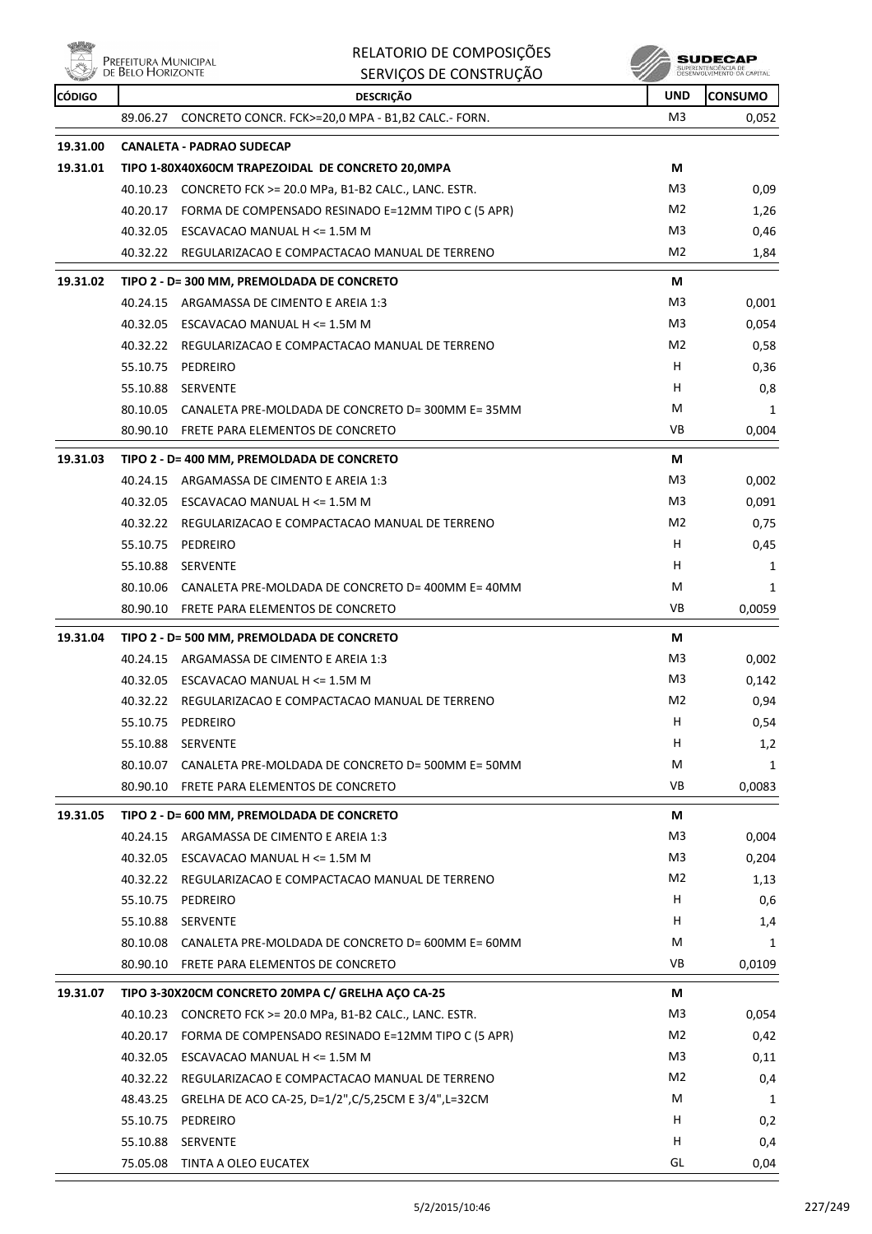| täh           | Prefeitura Municipal<br>de Belo Horizonte | RELATORIO DE COMPOSIÇÕES                                    |                | SUDECAF                                           |
|---------------|-------------------------------------------|-------------------------------------------------------------|----------------|---------------------------------------------------|
|               |                                           | SERVIÇOS DE CONSTRUÇÃO                                      |                | SUPERINTENDÊNCIA DE<br>DESENVOLVIMENTO DA CAPITAL |
| <b>CÓDIGO</b> |                                           | <b>DESCRIÇÃO</b>                                            | <b>UND</b>     | <b>CONSUMO</b>                                    |
|               | 89.06.27                                  | CONCRETO CONCR. FCK>=20,0 MPA - B1,B2 CALC.- FORN.          | M <sub>3</sub> | 0,052                                             |
| 19.31.00      |                                           | <b>CANALETA - PADRAO SUDECAP</b>                            |                |                                                   |
| 19.31.01      |                                           | TIPO 1-80X40X60CM TRAPEZOIDAL DE CONCRETO 20,0MPA           | М              |                                                   |
|               |                                           | 40.10.23 CONCRETO FCK >= 20.0 MPa, B1-B2 CALC., LANC. ESTR. | M3             | 0,09                                              |
|               | 40.20.17                                  | FORMA DE COMPENSADO RESINADO E=12MM TIPO C (5 APR)          | M2             | 1,26                                              |
|               |                                           | 40.32.05 ESCAVACAO MANUAL H <= 1.5M M                       | M <sub>3</sub> | 0,46                                              |
|               | 40.32.22                                  | REGULARIZACAO E COMPACTACAO MANUAL DE TERRENO               | M <sub>2</sub> | 1,84                                              |
| 19.31.02      |                                           | TIPO 2 - D= 300 MM, PREMOLDADA DE CONCRETO                  | М              |                                                   |
|               | 40.24.15                                  | ARGAMASSA DE CIMENTO E AREIA 1:3                            | M3             | 0,001                                             |
|               | 40.32.05                                  | ESCAVACAO MANUAL H <= 1.5M M                                | M <sub>3</sub> | 0,054                                             |
|               |                                           | 40.32.22 REGULARIZACAO E COMPACTACAO MANUAL DE TERRENO      | M <sub>2</sub> | 0,58                                              |
|               | 55.10.75                                  | PEDREIRO                                                    | H              | 0,36                                              |
|               |                                           | 55.10.88 SERVENTE                                           | н              | 0,8                                               |
|               |                                           | 80.10.05 CANALETA PRE-MOLDADA DE CONCRETO D= 300MM E= 35MM  | M              | 1                                                 |
|               |                                           | 80.90.10 FRETE PARA ELEMENTOS DE CONCRETO                   | VB             | 0,004                                             |
| 19.31.03      |                                           | TIPO 2 - D= 400 MM, PREMOLDADA DE CONCRETO                  | М              |                                                   |
|               | 40.24.15                                  | ARGAMASSA DE CIMENTO E AREIA 1:3                            | M3             | 0,002                                             |
|               | 40.32.05                                  | ESCAVACAO MANUAL H <= 1.5M M                                | M <sub>3</sub> | 0,091                                             |
|               | 40.32.22                                  | REGULARIZACAO E COMPACTACAO MANUAL DE TERRENO               | M <sub>2</sub> | 0,75                                              |
|               | 55.10.75                                  | PEDREIRO                                                    | H              | 0,45                                              |
|               | 55.10.88                                  | SERVENTE                                                    | H              | 1                                                 |
|               |                                           | 80.10.06 CANALETA PRE-MOLDADA DE CONCRETO D= 400MM E= 40MM  | M              | 1                                                 |
|               |                                           | 80.90.10 FRETE PARA ELEMENTOS DE CONCRETO                   | <b>VB</b>      | 0,0059                                            |
| 19.31.04      |                                           | TIPO 2 - D= 500 MM, PREMOLDADA DE CONCRETO                  | М              |                                                   |
|               | 40.24.15                                  | ARGAMASSA DE CIMENTO E AREIA 1:3                            | M3             | 0,002                                             |
|               |                                           | 40.32.05 ESCAVACAO MANUAL H <= 1.5M M                       | M <sub>3</sub> | 0,142                                             |
|               | 40.32.22                                  | REGULARIZACAO E COMPACTACAO MANUAL DE TERRENO               | M2             | 0,94                                              |
|               | 55.10.75                                  | PEDREIRO                                                    | н              | 0,54                                              |
|               |                                           | 55.10.88 SERVENTE                                           | н              | 1,2                                               |
|               |                                           | 80.10.07 CANALETA PRE-MOLDADA DE CONCRETO D= 500MM E= 50MM  | М              | 1                                                 |
|               |                                           | 80.90.10 FRETE PARA ELEMENTOS DE CONCRETO                   | VB             | 0,0083                                            |
| 19.31.05      |                                           | TIPO 2 - D= 600 MM, PREMOLDADA DE CONCRETO                  | М              |                                                   |
|               |                                           | 40.24.15 ARGAMASSA DE CIMENTO E AREIA 1:3                   | M <sub>3</sub> | 0,004                                             |
|               |                                           | 40.32.05 ESCAVACAO MANUAL H <= 1.5M M                       | M <sub>3</sub> | 0,204                                             |
|               |                                           | 40.32.22 REGULARIZACAO E COMPACTACAO MANUAL DE TERRENO      | M <sub>2</sub> | 1,13                                              |
|               |                                           | 55.10.75 PEDREIRO                                           | н              | 0,6                                               |
|               |                                           | 55.10.88 SERVENTE                                           | H.             | 1,4                                               |
|               |                                           | 80.10.08 CANALETA PRE-MOLDADA DE CONCRETO D= 600MM E= 60MM  | М              | 1                                                 |
|               |                                           | 80.90.10 FRETE PARA ELEMENTOS DE CONCRETO                   | VB             | 0,0109                                            |
| 19.31.07      |                                           | TIPO 3-30X20CM CONCRETO 20MPA C/ GRELHA AÇO CA-25           | М              |                                                   |
|               |                                           | 40.10.23 CONCRETO FCK >= 20.0 MPa, B1-B2 CALC., LANC. ESTR. | M3             | 0,054                                             |
|               |                                           | 40.20.17 FORMA DE COMPENSADO RESINADO E=12MM TIPO C (5 APR) | M2             | 0,42                                              |
|               |                                           | 40.32.05 ESCAVACAO MANUAL H <= 1.5M M                       | M3             | 0,11                                              |
|               |                                           | 40.32.22 REGULARIZACAO E COMPACTACAO MANUAL DE TERRENO      | M2             | 0,4                                               |
|               |                                           | 48.43.25 GRELHA DE ACO CA-25, D=1/2",C/5,25CM E 3/4",L=32CM | М              | 1                                                 |
|               |                                           | 55.10.75 PEDREIRO                                           | н              | 0,2                                               |
|               |                                           | 55.10.88 SERVENTE                                           | н              | 0,4                                               |
|               |                                           | 75.05.08 TINTA A OLEO EUCATEX                               | GL             | 0,04                                              |
|               |                                           |                                                             |                |                                                   |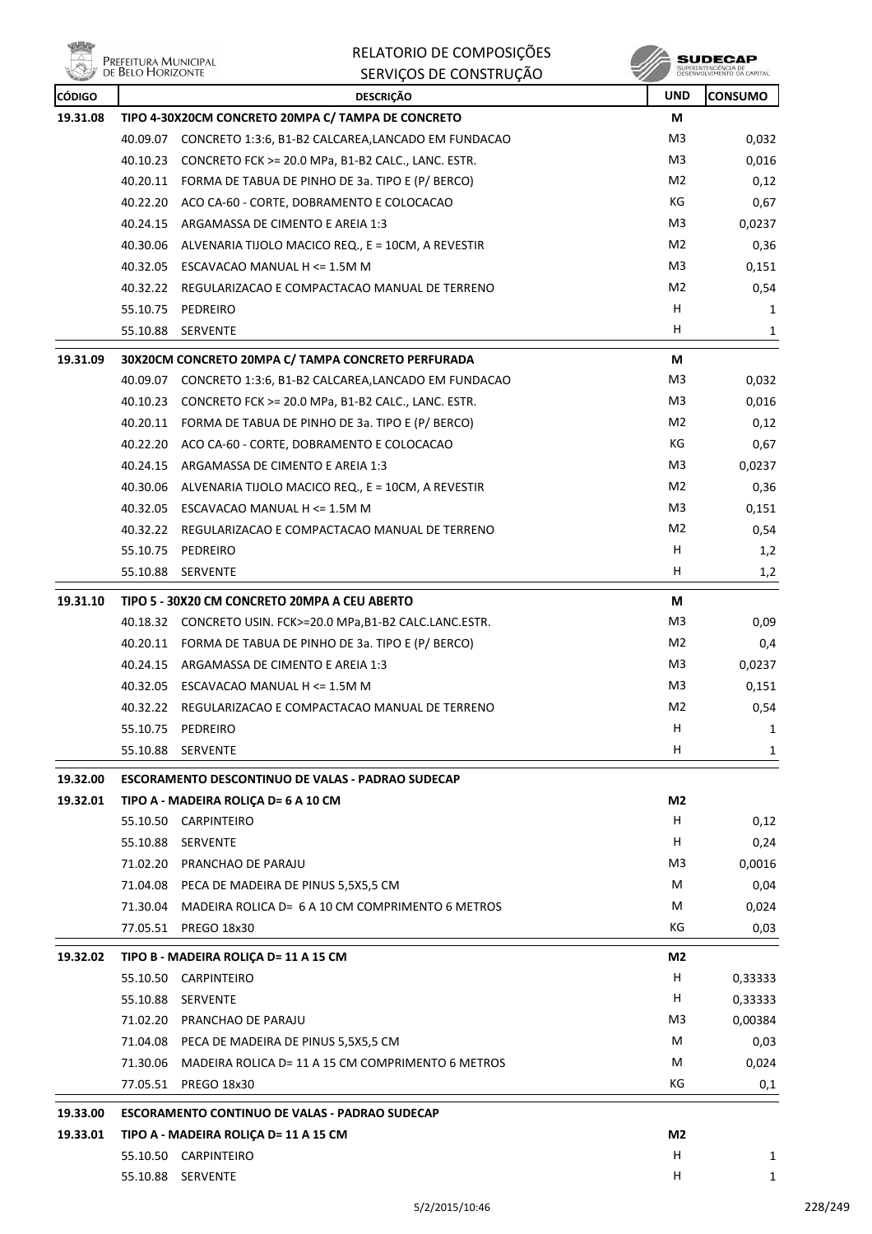**Willip PREFEITURA MUNICIPAL**<br>DE BELO HORIZONTE

RELATORIO DE COMPOSIÇÕES SERVIÇOS DE CONSTRUÇÃO

| <b>REAL PROPERTY</b> |          | SENVIÇUS DE CUNSTNUÇAU                                      | ×              |                |
|----------------------|----------|-------------------------------------------------------------|----------------|----------------|
| <b>CÓDIGO</b>        |          | <b>DESCRIÇÃO</b>                                            | <b>UND</b>     | <b>CONSUMO</b> |
| 19.31.08             |          | TIPO 4-30X20CM CONCRETO 20MPA C/ TAMPA DE CONCRETO          | М              |                |
|                      |          | 40.09.07 CONCRETO 1:3:6, B1-B2 CALCAREA,LANCADO EM FUNDACAO | M <sub>3</sub> | 0,032          |
|                      |          | 40.10.23 CONCRETO FCK >= 20.0 MPa, B1-B2 CALC., LANC. ESTR. | M3             | 0,016          |
|                      |          | 40.20.11 FORMA DE TABUA DE PINHO DE 3a. TIPO E (P/ BERCO)   | M2             | 0,12           |
|                      |          | 40.22.20 ACO CA-60 - CORTE, DOBRAMENTO E COLOCACAO          | КG             | 0,67           |
|                      |          | 40.24.15 ARGAMASSA DE CIMENTO E AREIA 1:3                   | M3             | 0,0237         |
|                      |          | 40.30.06 ALVENARIA TIJOLO MACICO REQ., E = 10CM, A REVESTIR | M2             | 0,36           |
|                      |          | 40.32.05 ESCAVACAO MANUAL H $\leq$ 1.5M M                   | M3             | 0,151          |
|                      |          | 40.32.22 REGULARIZACAO E COMPACTACAO MANUAL DE TERRENO      | M <sub>2</sub> | 0,54           |
|                      |          | 55.10.75 PEDREIRO                                           | н              | 1              |
|                      |          | 55.10.88 SERVENTE                                           | H.             | 1              |
| 19.31.09             |          | 30X20CM CONCRETO 20MPA C/ TAMPA CONCRETO PERFURADA          | М              |                |
|                      |          | 40.09.07 CONCRETO 1:3:6, B1-B2 CALCAREA,LANCADO EM FUNDACAO | M3             | 0,032          |
|                      |          | 40.10.23 CONCRETO FCK >= 20.0 MPa, B1-B2 CALC., LANC. ESTR. | M <sub>3</sub> | 0,016          |
|                      |          | 40.20.11 FORMA DE TABUA DE PINHO DE 3a. TIPO E (P/ BERCO)   | M2             | 0,12           |
|                      |          | 40.22.20 ACO CA-60 - CORTE, DOBRAMENTO E COLOCACAO          | КG             | 0,67           |
|                      |          | 40.24.15 ARGAMASSA DE CIMENTO E AREIA 1:3                   | M <sub>3</sub> | 0,0237         |
|                      |          | 40.30.06 ALVENARIA TIJOLO MACICO REQ., E = 10CM, A REVESTIR | M2             | 0,36           |
|                      |          | 40.32.05 ESCAVACAO MANUAL H <= 1.5M M                       | M3             | 0,151          |
|                      |          | 40.32.22 REGULARIZACAO E COMPACTACAO MANUAL DE TERRENO      | M2             | 0,54           |
|                      |          | 55.10.75 PEDREIRO                                           | H              | 1,2            |
|                      | 55.10.88 | <b>SERVENTE</b>                                             | H              | 1,2            |
| 19.31.10             |          | TIPO 5 - 30X20 CM CONCRETO 20MPA A CEU ABERTO               | М              |                |
|                      |          | 40.18.32 CONCRETO USIN. FCK>=20.0 MPa,B1-B2 CALC.LANC.ESTR. | M3             | 0,09           |
|                      |          | 40.20.11 FORMA DE TABUA DE PINHO DE 3a. TIPO E (P/ BERCO)   | M2             | 0,4            |
|                      |          | 40.24.15 ARGAMASSA DE CIMENTO E AREIA 1:3                   | M3             | 0,0237         |
|                      |          | 40.32.05 ESCAVACAO MANUAL H <= 1.5M M                       | M3             | 0,151          |
|                      |          | 40.32.22 REGULARIZACAO E COMPACTACAO MANUAL DE TERRENO      | M2             | 0,54           |
|                      | 55.10.75 | PEDREIRO                                                    | н              | 1              |
|                      |          | 55.10.88 SERVENTE                                           | H.             | 1              |
| 19.32.00             |          | <b>ESCORAMENTO DESCONTINUO DE VALAS - PADRAO SUDECAP</b>    |                |                |
| 19.32.01             |          | TIPO A - MADEIRA ROLICA D= 6 A 10 CM                        | M2             |                |
|                      |          | 55.10.50 CARPINTEIRO                                        | H.             | 0,12           |
|                      |          | 55.10.88 SERVENTE                                           | H.             | 0,24           |
|                      |          | 71.02.20 PRANCHAO DE PARAJU                                 | M3             | 0,0016         |
|                      |          | 71.04.08 PECA DE MADEIRA DE PINUS 5,5X5,5 CM                | М              | 0,04           |
|                      |          | 71.30.04 MADEIRA ROLICA D= 6 A 10 CM COMPRIMENTO 6 METROS   | М              | 0,024          |
|                      |          | 77.05.51 PREGO 18x30                                        | КG             | 0,03           |
| 19.32.02             |          | TIPO B - MADEIRA ROLIÇA D= 11 A 15 CM                       | M2             |                |
|                      |          | 55.10.50 CARPINTEIRO                                        | H              | 0,33333        |
|                      |          | 55.10.88 SERVENTE                                           | H              | 0,33333        |
|                      |          | 71.02.20 PRANCHAO DE PARAJU                                 | M3             | 0,00384        |
|                      |          | 71.04.08 PECA DE MADEIRA DE PINUS 5,5X5,5 CM                | М              | 0,03           |
|                      |          | 71.30.06 MADEIRA ROLICA D= 11 A 15 CM COMPRIMENTO 6 METROS  | М              | 0,024          |
|                      |          | 77.05.51 PREGO 18x30                                        | КG             | 0,1            |
|                      |          |                                                             |                |                |
| 19.33.00             |          | <b>ESCORAMENTO CONTINUO DE VALAS - PADRAO SUDECAP</b>       |                |                |
| 19.33.01             |          | TIPO A - MADEIRA ROLIÇA D= 11 A 15 CM                       | M2             |                |
|                      |          | 55.10.50 CARPINTEIRO                                        | H              | 1              |
|                      |          | 55.10.88 SERVENTE                                           | H              | 1              |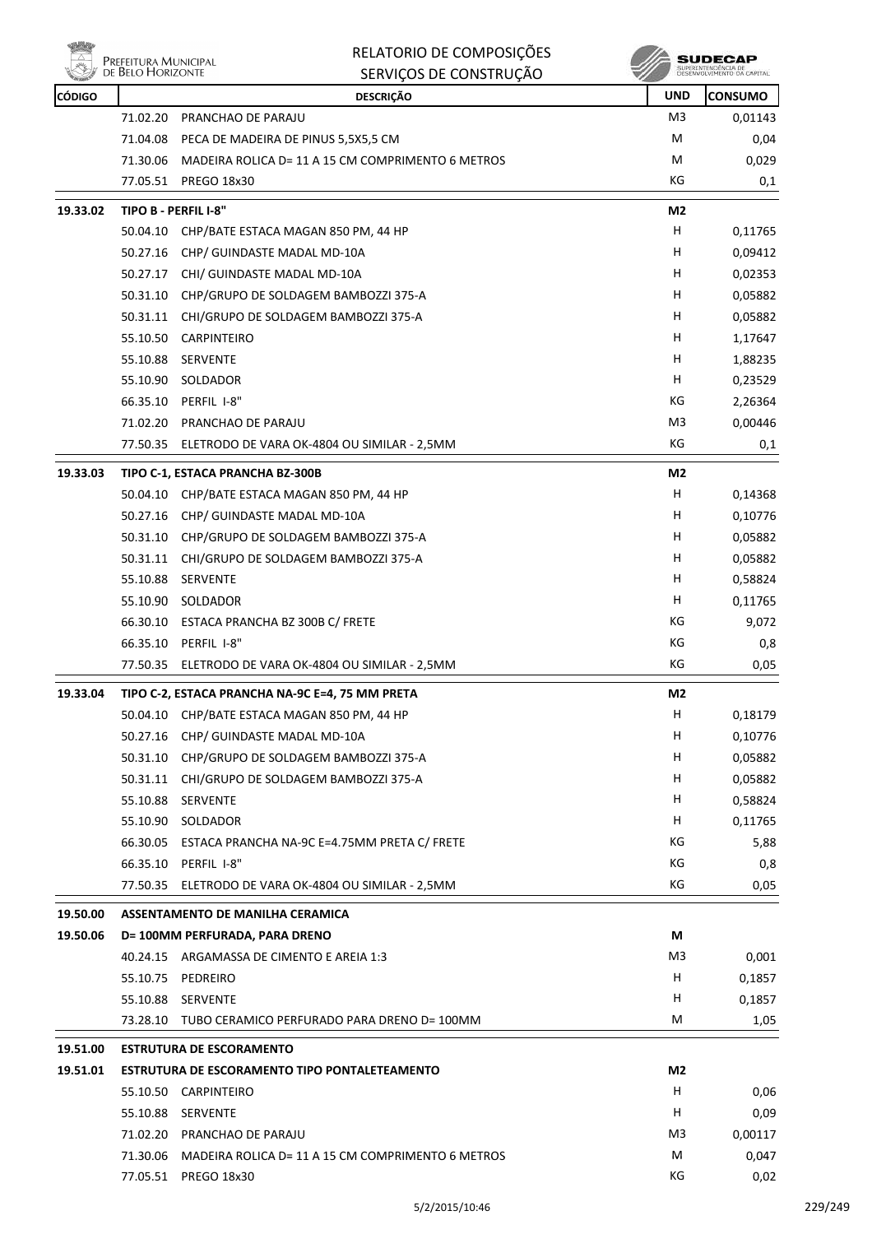

|               | Prefeitura Municipal<br>de Belo Horizonte | RELATORIO DE COMPOSIÇÕES<br>SERVIÇOS DE CONSTRUÇÃO   |                | SUDECAP<br>SUPERINTENDÊNCIA DE<br>DESENVOLVIMENTO DA CAPITAL |
|---------------|-------------------------------------------|------------------------------------------------------|----------------|--------------------------------------------------------------|
| <b>CÓDIGO</b> |                                           | <b>DESCRIÇÃO</b>                                     | <b>UND</b>     | <b>CONSUMO</b>                                               |
|               | 71.02.20                                  | PRANCHAO DE PARAJU                                   | M3             | 0,01143                                                      |
|               | 71.04.08                                  | PECA DE MADEIRA DE PINUS 5,5X5,5 CM                  | M              | 0,04                                                         |
|               | 71.30.06                                  | MADEIRA ROLICA D= 11 A 15 CM COMPRIMENTO 6 METROS    | M              | 0,029                                                        |
|               | 77.05.51                                  | <b>PREGO 18x30</b>                                   | КG             | 0,1                                                          |
| 19.33.02      |                                           | TIPO B - PERFIL I-8"                                 | M2             |                                                              |
|               | 50.04.10                                  | CHP/BATE ESTACA MAGAN 850 PM, 44 HP                  | н              | 0,11765                                                      |
|               | 50.27.16                                  | CHP/ GUINDASTE MADAL MD-10A                          | н              | 0,09412                                                      |
|               | 50.27.17                                  | CHI/ GUINDASTE MADAL MD-10A                          | H              | 0,02353                                                      |
|               | 50.31.10                                  | CHP/GRUPO DE SOLDAGEM BAMBOZZI 375-A                 | H              | 0,05882                                                      |
|               | 50.31.11                                  | CHI/GRUPO DE SOLDAGEM BAMBOZZI 375-A                 | H              | 0,05882                                                      |
|               | 55.10.50                                  | <b>CARPINTEIRO</b>                                   | H              | 1,17647                                                      |
|               | 55.10.88                                  | <b>SERVENTE</b>                                      | н              | 1,88235                                                      |
|               | 55.10.90                                  | SOLDADOR                                             | H              | 0,23529                                                      |
|               | 66.35.10                                  | PERFIL I-8"                                          | КG             | 2,26364                                                      |
|               | 71.02.20                                  | PRANCHAO DE PARAJU                                   | M3             | 0,00446                                                      |
|               | 77.50.35                                  | ELETRODO DE VARA OK-4804 OU SIMILAR - 2,5MM          | КG             | 0,1                                                          |
| 19.33.03      |                                           | TIPO C-1, ESTACA PRANCHA BZ-300B                     | M2             |                                                              |
|               | 50.04.10                                  | CHP/BATE ESTACA MAGAN 850 PM, 44 HP                  | H.             | 0,14368                                                      |
|               | 50.27.16                                  | CHP/ GUINDASTE MADAL MD-10A                          | н              | 0,10776                                                      |
|               | 50.31.10                                  | CHP/GRUPO DE SOLDAGEM BAMBOZZI 375-A                 | H              | 0,05882                                                      |
|               | 50.31.11                                  | CHI/GRUPO DE SOLDAGEM BAMBOZZI 375-A                 | H              | 0,05882                                                      |
|               | 55.10.88                                  | <b>SERVENTE</b>                                      | H              | 0,58824                                                      |
|               | 55.10.90                                  | SOLDADOR                                             | н              | 0,11765                                                      |
|               | 66.30.10                                  | ESTACA PRANCHA BZ 300B C/ FRETE                      | КG             | 9,072                                                        |
|               | 66.35.10                                  | PERFIL I-8"                                          | КG             | 0,8                                                          |
|               | 77.50.35                                  | ELETRODO DE VARA OK-4804 OU SIMILAR - 2,5MM          | КG             | 0,05                                                         |
| 19.33.04      |                                           | TIPO C-2, ESTACA PRANCHA NA-9C E=4, 75 MM PRETA      | M2             |                                                              |
|               | 50.04.10                                  | CHP/BATE ESTACA MAGAN 850 PM, 44 HP                  | н              | 0,18179                                                      |
|               | 50.27.16                                  | CHP/ GUINDASTE MADAL MD-10A                          | н              | 0,10776                                                      |
|               | 50.31.10                                  | CHP/GRUPO DE SOLDAGEM BAMBOZZI 375-A                 | н              | 0,05882                                                      |
|               | 50.31.11                                  | CHI/GRUPO DE SOLDAGEM BAMBOZZI 375-A                 | н              | 0,05882                                                      |
|               | 55.10.88                                  | SERVENTE                                             | H              | 0,58824                                                      |
|               | 55.10.90                                  | SOLDADOR                                             | H              | 0,11765                                                      |
|               | 66.30.05                                  | ESTACA PRANCHA NA-9C E=4.75MM PRETA C/ FRETE         | КG             | 5,88                                                         |
|               | 66.35.10                                  | PERFIL I-8"                                          | KG             | 0,8                                                          |
|               |                                           | 77.50.35 ELETRODO DE VARA OK-4804 OU SIMILAR - 2,5MM | KG             | 0,05                                                         |
| 19.50.00      |                                           | ASSENTAMENTO DE MANILHA CERAMICA                     |                |                                                              |
| 19.50.06      |                                           | D= 100MM PERFURADA, PARA DRENO                       | M              |                                                              |
|               |                                           | 40.24.15 ARGAMASSA DE CIMENTO E AREIA 1:3            | M3             | 0,001                                                        |
|               | 55.10.75                                  | PEDREIRO                                             | H              | 0,1857                                                       |
|               | 55.10.88                                  | SERVENTE                                             | н              | 0,1857                                                       |
|               | 73.28.10                                  | TUBO CERAMICO PERFURADO PARA DRENO D= 100MM          | М              | 1,05                                                         |
| 19.51.00      |                                           | <b>ESTRUTURA DE ESCORAMENTO</b>                      |                |                                                              |
| 19.51.01      |                                           | ESTRUTURA DE ESCORAMENTO TIPO PONTALETEAMENTO        | M <sub>2</sub> |                                                              |
|               | 55.10.50                                  | <b>CARPINTEIRO</b>                                   | H              | 0,06                                                         |
|               | 55.10.88                                  | SERVENTE                                             | н              | 0,09                                                         |
|               | 71.02.20                                  | PRANCHAO DE PARAJU                                   | M3             | 0,00117                                                      |
|               | 71.30.06                                  | MADEIRA ROLICA D= 11 A 15 CM COMPRIMENTO 6 METROS    | M              | 0,047                                                        |
|               | 77.05.51                                  | <b>PREGO 18x30</b>                                   | KG             | 0,02                                                         |

ú. - 2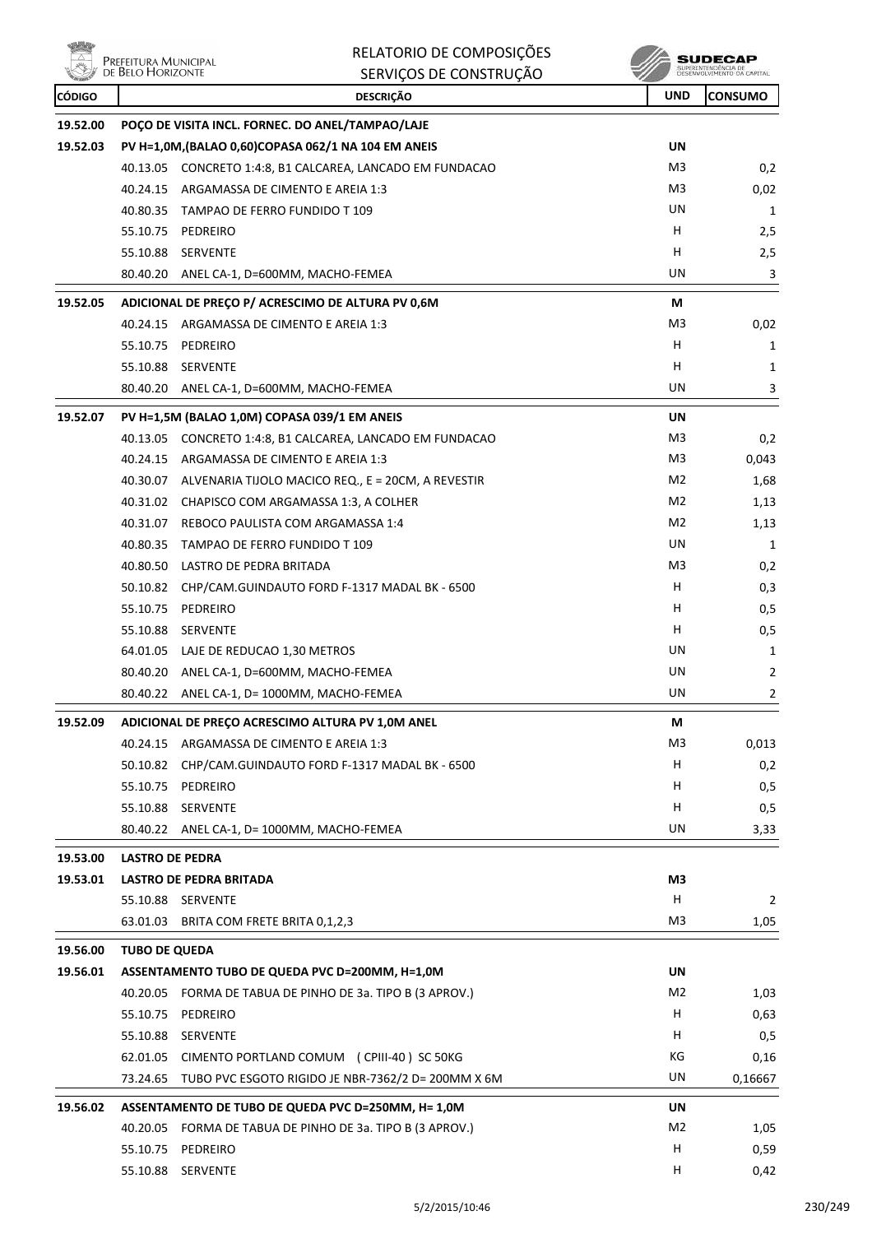**The Contract** 

| 植物            | Prefeitura Municipal<br>de Belo Horizonte | RELATORIO DE COMPOSIÇÕES                                    |                | <b>SUDECAP</b>                                    |
|---------------|-------------------------------------------|-------------------------------------------------------------|----------------|---------------------------------------------------|
|               |                                           | SERVIÇOS DE CONSTRUÇÃO                                      |                | SUPERINTENDÊNCIA DE<br>DESENVOLVIMENTO DA CAPITAL |
| <b>CÓDIGO</b> |                                           | <b>DESCRIÇÃO</b>                                            | <b>UND</b>     | <b>CONSUMO</b>                                    |
| 19.52.00      |                                           | POÇO DE VISITA INCL. FORNEC. DO ANEL/TAMPAO/LAJE            |                |                                                   |
| 19.52.03      |                                           | PV H=1,0M, (BALAO 0,60)COPASA 062/1 NA 104 EM ANEIS         | UN             |                                                   |
|               |                                           | 40.13.05 CONCRETO 1:4:8, B1 CALCAREA, LANCADO EM FUNDACAO   | M <sub>3</sub> | 0,2                                               |
|               |                                           | 40.24.15 ARGAMASSA DE CIMENTO E AREIA 1:3                   | M3             | 0,02                                              |
|               |                                           | 40.80.35 TAMPAO DE FERRO FUNDIDO T 109                      | UN             | 1                                                 |
|               |                                           | 55.10.75 PEDREIRO                                           | H              | 2,5                                               |
|               |                                           | 55.10.88 SERVENTE                                           | н              | 2,5                                               |
|               | 80.40.20                                  | ANEL CA-1, D=600MM, MACHO-FEMEA                             | UN             | 3                                                 |
| 19.52.05      |                                           | ADICIONAL DE PREÇO P/ ACRESCIMO DE ALTURA PV 0,6M           | М              |                                                   |
|               |                                           | 40.24.15 ARGAMASSA DE CIMENTO E AREIA 1:3                   | M <sub>3</sub> | 0,02                                              |
|               | 55.10.75                                  | PEDREIRO                                                    | н              | 1                                                 |
|               |                                           | 55.10.88 SERVENTE                                           | н              | 1                                                 |
|               |                                           | 80.40.20 ANEL CA-1, D=600MM, MACHO-FEMEA                    | UN             | 3                                                 |
| 19.52.07      |                                           | PV H=1,5M (BALAO 1,0M) COPASA 039/1 EM ANEIS                | UN             |                                                   |
|               |                                           | 40.13.05 CONCRETO 1:4:8, B1 CALCAREA, LANCADO EM FUNDACAO   | M3             | 0,2                                               |
|               |                                           | 40.24.15 ARGAMASSA DE CIMENTO E AREIA 1:3                   | M3             | 0,043                                             |
|               |                                           | 40.30.07 ALVENARIA TIJOLO MACICO REQ., E = 20CM, A REVESTIR | M <sub>2</sub> | 1,68                                              |
|               |                                           | 40.31.02 CHAPISCO COM ARGAMASSA 1:3, A COLHER               | M <sub>2</sub> | 1,13                                              |
|               |                                           | 40.31.07 REBOCO PAULISTA COM ARGAMASSA 1:4                  | M <sub>2</sub> | 1,13                                              |
|               |                                           | 40.80.35 TAMPAO DE FERRO FUNDIDO T 109                      | UN             | 1                                                 |
|               |                                           | 40.80.50 LASTRO DE PEDRA BRITADA                            | M <sub>3</sub> | 0,2                                               |
|               | 50.10.82                                  | CHP/CAM.GUINDAUTO FORD F-1317 MADAL BK - 6500               | н              | 0,3                                               |
|               | 55.10.75                                  | PEDREIRO                                                    | н              | 0,5                                               |
|               | 55.10.88                                  | SERVENTE                                                    | н              | 0,5                                               |
|               |                                           | 64.01.05 LAJE DE REDUCAO 1,30 METROS                        | UN             | 1                                                 |
|               |                                           | 80.40.20 ANEL CA-1, D=600MM, MACHO-FEMEA                    | UN             | 2                                                 |
|               |                                           | 80.40.22 ANEL CA-1, D= 1000MM, MACHO-FEMEA                  | UN             | 2                                                 |
| 19.52.09      |                                           | ADICIONAL DE PREÇO ACRESCIMO ALTURA PV 1,0M ANEL            | М              |                                                   |
|               |                                           | 40.24.15 ARGAMASSA DE CIMENTO E AREIA 1:3                   | M <sub>3</sub> | 0,013                                             |
|               | 50.10.82                                  | CHP/CAM.GUINDAUTO FORD F-1317 MADAL BK - 6500               | H              | 0,2                                               |
|               |                                           | 55.10.75 PEDREIRO                                           | H              | 0,5                                               |
|               |                                           | 55.10.88 SERVENTE                                           | Н              | 0,5                                               |
|               |                                           | 80.40.22 ANEL CA-1, D= 1000MM, MACHO-FEMEA                  | UN             | 3,33                                              |
| 19.53.00      | <b>LASTRO DE PEDRA</b>                    |                                                             |                |                                                   |
| 19.53.01      |                                           | <b>LASTRO DE PEDRA BRITADA</b>                              | M3             |                                                   |
|               |                                           | 55.10.88 SERVENTE                                           | Н              | 2                                                 |
|               |                                           | 63.01.03 BRITA COM FRETE BRITA 0,1,2,3                      | M <sub>3</sub> | 1,05                                              |
| 19.56.00      | <b>TUBO DE QUEDA</b>                      |                                                             |                |                                                   |
| 19.56.01      |                                           | ASSENTAMENTO TUBO DE QUEDA PVC D=200MM, H=1,0M              | <b>UN</b>      |                                                   |
|               |                                           | 40.20.05 FORMA DE TABUA DE PINHO DE 3a. TIPO B (3 APROV.)   | M <sub>2</sub> | 1,03                                              |
|               |                                           | 55.10.75 PEDREIRO                                           | Н              | 0,63                                              |
|               |                                           | 55.10.88 SERVENTE                                           | H              | 0,5                                               |
|               | 62.01.05                                  | CIMENTO PORTLAND COMUM (CPIII-40) SC 50KG                   | KG             | 0,16                                              |
|               |                                           | 73.24.65 TUBO PVC ESGOTO RIGIDO JE NBR-7362/2 D= 200MM X 6M | UN             | 0,16667                                           |
| 19.56.02      |                                           | ASSENTAMENTO DE TUBO DE QUEDA PVC D=250MM, H= 1,0M          | UN             |                                                   |
|               |                                           | 40.20.05 FORMA DE TABUA DE PINHO DE 3a. TIPO B (3 APROV.)   | M <sub>2</sub> | 1,05                                              |
|               |                                           | 55.10.75 PEDREIRO                                           | H              | 0,59                                              |
|               |                                           | 55.10.88 SERVENTE                                           | H              | 0,42                                              |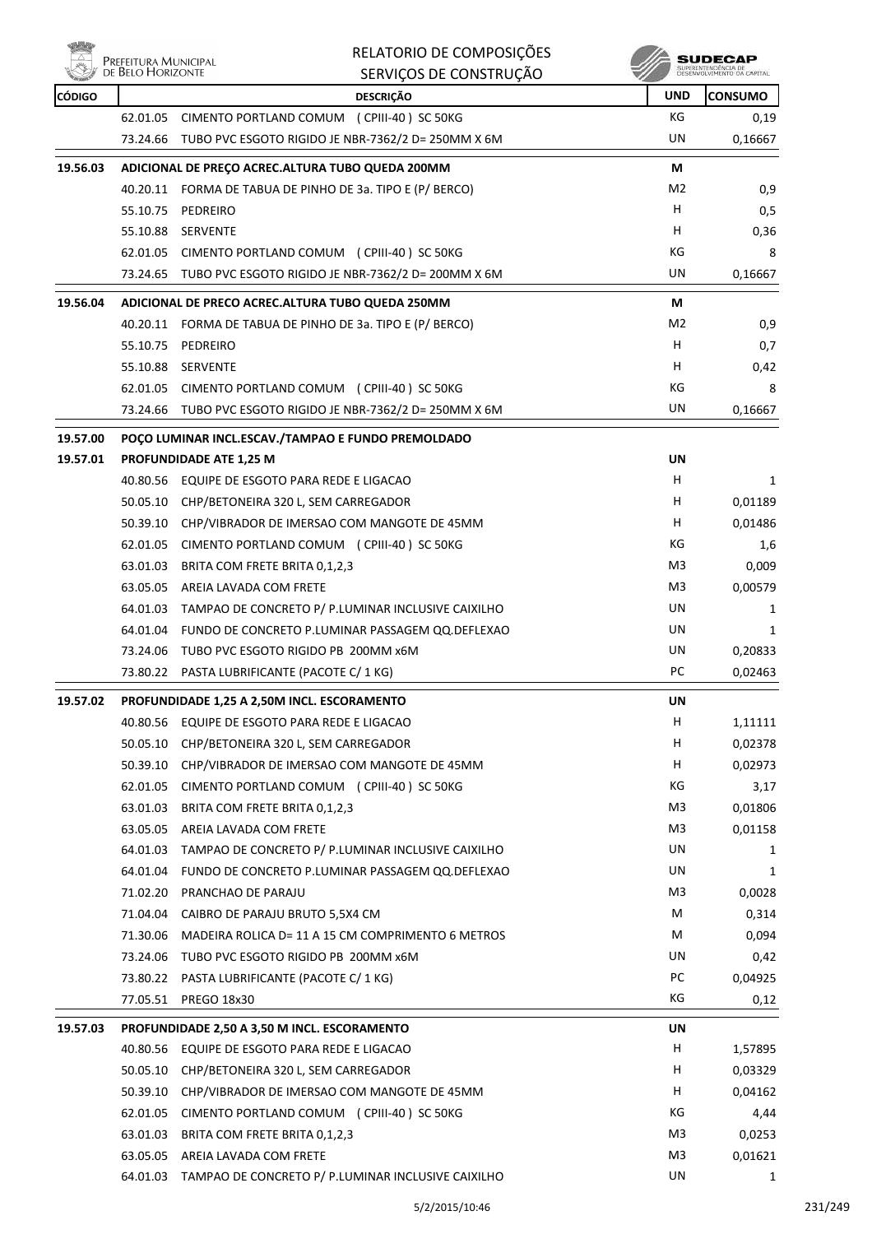

|               | Prefeitura Municipal<br>DE BELO HORIZONTE | RELATORIO DE COMPOSIÇÕES                                    |            | <b>SUDECAP</b><br>SUPERINTENDÊNCIA DE<br>DESENVOLVIMENTO DA CAPITAL |
|---------------|-------------------------------------------|-------------------------------------------------------------|------------|---------------------------------------------------------------------|
|               |                                           | SERVIÇOS DE CONSTRUÇÃO                                      |            |                                                                     |
| <b>CÓDIGO</b> |                                           | <b>DESCRIÇÃO</b>                                            | <b>UND</b> | <b>CONSUMO</b>                                                      |
|               | 62.01.05                                  | CIMENTO PORTLAND COMUM (CPIII-40) SC 50KG                   | КG         | 0,19                                                                |
|               | 73.24.66                                  | TUBO PVC ESGOTO RIGIDO JE NBR-7362/2 D= 250MM X 6M          | UN         | 0,16667                                                             |
| 19.56.03      |                                           | ADICIONAL DE PREÇO ACREC. ALTURA TUBO QUEDA 200MM           | М          |                                                                     |
|               |                                           | 40.20.11 FORMA DE TABUA DE PINHO DE 3a. TIPO E (P/ BERCO)   | M2         | 0,9                                                                 |
|               |                                           | 55.10.75 PEDREIRO                                           | H          | 0,5                                                                 |
|               | 55.10.88                                  | SERVENTE                                                    | н          | 0,36                                                                |
|               |                                           | 62.01.05 CIMENTO PORTLAND COMUM (CPIII-40) SC 50KG          | КG         | 8                                                                   |
|               |                                           | 73.24.65 TUBO PVC ESGOTO RIGIDO JE NBR-7362/2 D= 200MM X 6M | UN         | 0,16667                                                             |
| 19.56.04      |                                           | ADICIONAL DE PRECO ACREC. ALTURA TUBO QUEDA 250MM           | М          |                                                                     |
|               |                                           | 40.20.11 FORMA DE TABUA DE PINHO DE 3a. TIPO E (P/ BERCO)   | M2         | 0,9                                                                 |
|               |                                           | 55.10.75 PEDREIRO                                           | н          | 0,7                                                                 |
|               |                                           | 55.10.88 SERVENTE                                           | н          | 0,42                                                                |
|               |                                           | 62.01.05 CIMENTO PORTLAND COMUM (CPIII-40) SC 50KG          | КG         | 8                                                                   |
|               |                                           | 73.24.66 TUBO PVC ESGOTO RIGIDO JE NBR-7362/2 D= 250MM X 6M | UN         | 0,16667                                                             |
| 19.57.00      |                                           | POÇO LUMINAR INCL.ESCAV./TAMPAO E FUNDO PREMOLDADO          |            |                                                                     |
| 19.57.01      |                                           | PROFUNDIDADE ATE 1,25 M                                     | UN         |                                                                     |
|               |                                           | 40.80.56 EQUIPE DE ESGOTO PARA REDE E LIGACAO               | H          | 1                                                                   |
|               | 50.05.10                                  | CHP/BETONEIRA 320 L, SEM CARREGADOR                         | н          | 0,01189                                                             |
|               | 50.39.10                                  | CHP/VIBRADOR DE IMERSAO COM MANGOTE DE 45MM                 | н          | 0,01486                                                             |
|               | 62.01.05                                  | CIMENTO PORTLAND COMUM (CPIII-40) SC 50KG                   | КG         | 1,6                                                                 |
|               | 63.01.03                                  | BRITA COM FRETE BRITA 0,1,2,3                               | M3         | 0,009                                                               |
|               |                                           | 63.05.05 AREIA LAVADA COM FRETE                             | M3         | 0,00579                                                             |
|               | 64.01.03                                  | TAMPAO DE CONCRETO P/ P.LUMINAR INCLUSIVE CAIXILHO          | UN         | 1                                                                   |
|               | 64.01.04                                  | FUNDO DE CONCRETO P.LUMINAR PASSAGEM QQ.DEFLEXAO            | UN         | 1                                                                   |
|               | 73.24.06                                  | TUBO PVC ESGOTO RIGIDO PB 200MM x6M                         | UN         | 0,20833                                                             |
|               |                                           | 73.80.22 PASTA LUBRIFICANTE (PACOTE C/ 1 KG)                | PC         | 0,02463                                                             |
| 19.57.02      |                                           | PROFUNDIDADE 1,25 A 2,50M INCL. ESCORAMENTO                 | UN         |                                                                     |
|               | 40.80.56                                  | EQUIPE DE ESGOTO PARA REDE E LIGACAO                        | H          | 1,11111                                                             |
|               | 50.05.10                                  | CHP/BETONEIRA 320 L, SEM CARREGADOR                         | H.         | 0,02378                                                             |
|               |                                           | 50.39.10 CHP/VIBRADOR DE IMERSAO COM MANGOTE DE 45MM        | Н          | 0,02973                                                             |
|               |                                           | 62.01.05 CIMENTO PORTLAND COMUM (CPIII-40) SC 50KG          | КG         | 3,17                                                                |
|               |                                           | 63.01.03 BRITA COM FRETE BRITA 0,1,2,3                      | M3         | 0,01806                                                             |
|               | 63.05.05                                  | AREIA LAVADA COM FRETE                                      | M3         | 0,01158                                                             |
|               |                                           | 64.01.03 TAMPAO DE CONCRETO P/ P.LUMINAR INCLUSIVE CAIXILHO | UN         | 1                                                                   |
|               |                                           | 64.01.04 FUNDO DE CONCRETO P.LUMINAR PASSAGEM QQ.DEFLEXAO   | UN         | 1                                                                   |
|               |                                           | 71.02.20 PRANCHAO DE PARAJU                                 | M3         | 0,0028                                                              |
|               |                                           | 71.04.04 CAIBRO DE PARAJU BRUTO 5,5X4 CM                    | М          | 0,314                                                               |
|               | 71.30.06                                  | MADEIRA ROLICA D= 11 A 15 CM COMPRIMENTO 6 METROS           | М          | 0,094                                                               |
|               |                                           | 73.24.06 TUBO PVC ESGOTO RIGIDO PB 200MM x6M                | UN         | 0,42                                                                |
|               |                                           | 73.80.22 PASTA LUBRIFICANTE (PACOTE C/ 1 KG)                | PC         | 0,04925                                                             |
|               |                                           | 77.05.51 PREGO 18x30                                        | КG         | 0,12                                                                |
| 19.57.03      |                                           | PROFUNDIDADE 2,50 A 3,50 M INCL. ESCORAMENTO                | UN         |                                                                     |
|               |                                           | 40.80.56 EQUIPE DE ESGOTO PARA REDE E LIGACAO               | H.         | 1,57895                                                             |
|               |                                           |                                                             |            |                                                                     |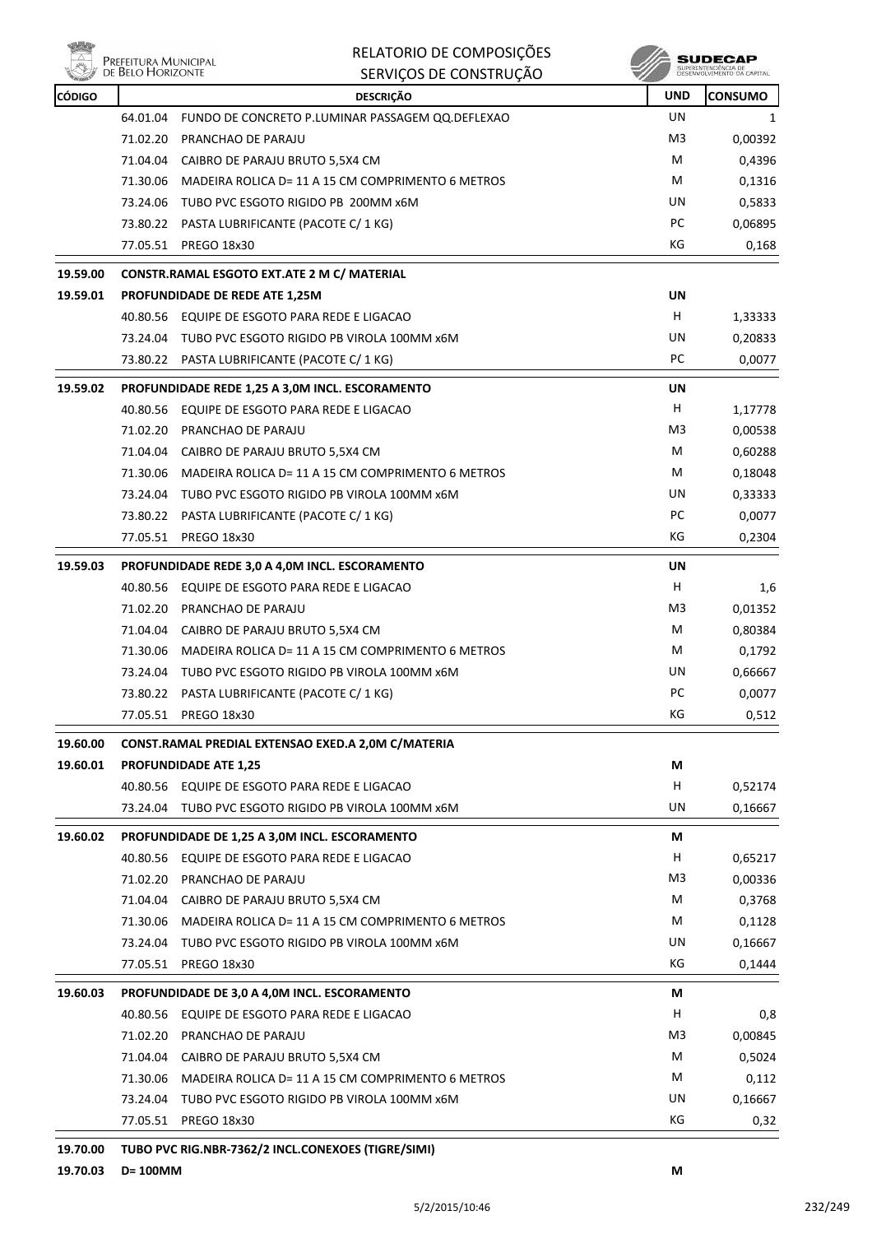

| RELATORIO DE COMPOSIÇÕES |  |
|--------------------------|--|
| SERVIÇOS DE CONSTRUÇÃO   |  |

**SUDECAP** 

| <b>CÓDIGO</b> |          | <b>DESCRIÇÃO</b>                                     | <b>UND</b>     | <b>CONSUMO</b> |
|---------------|----------|------------------------------------------------------|----------------|----------------|
|               | 64.01.04 | FUNDO DE CONCRETO P.LUMINAR PASSAGEM QQ.DEFLEXAO     | UN             | 1              |
|               | 71.02.20 | PRANCHAO DE PARAJU                                   | M3             | 0,00392        |
|               | 71.04.04 | CAIBRO DE PARAJU BRUTO 5,5X4 CM                      | M              | 0,4396         |
|               | 71.30.06 | MADEIRA ROLICA D= 11 A 15 CM COMPRIMENTO 6 METROS    | M              | 0,1316         |
|               |          | 73.24.06 TUBO PVC ESGOTO RIGIDO PB 200MM x6M         | UN             | 0,5833         |
|               |          | 73.80.22 PASTA LUBRIFICANTE (PACOTE C/ 1 KG)         | PC             | 0,06895        |
|               | 77.05.51 | PREGO 18x30                                          | КG             | 0,168          |
| 19.59.00      |          | CONSTR.RAMAL ESGOTO EXT.ATE 2 M C/ MATERIAL          |                |                |
| 19.59.01      |          | PROFUNDIDADE DE REDE ATE 1,25M                       | UN             |                |
|               |          | 40.80.56 EQUIPE DE ESGOTO PARA REDE E LIGACAO        | H              | 1,33333        |
|               |          | 73.24.04 TUBO PVC ESGOTO RIGIDO PB VIROLA 100MM x6M  | UN             | 0,20833        |
|               |          | 73.80.22 PASTA LUBRIFICANTE (PACOTE C/ 1 KG)         | PC             | 0,0077         |
| 19.59.02      |          | PROFUNDIDADE REDE 1,25 A 3,0M INCL. ESCORAMENTO      | UN             |                |
|               |          | 40.80.56 EQUIPE DE ESGOTO PARA REDE E LIGACAO        | H              | 1,17778        |
|               | 71.02.20 | PRANCHAO DE PARAJU                                   | M3             | 0,00538        |
|               | 71.04.04 | CAIBRO DE PARAJU BRUTO 5,5X4 CM                      | M              | 0,60288        |
|               | 71.30.06 | MADEIRA ROLICA D= 11 A 15 CM COMPRIMENTO 6 METROS    | M              | 0,18048        |
|               |          | 73.24.04 TUBO PVC ESGOTO RIGIDO PB VIROLA 100MM x6M  | UN             | 0,33333        |
|               |          | 73.80.22 PASTA LUBRIFICANTE (PACOTE C/ 1 KG)         | PC             | 0,0077         |
|               |          | 77.05.51 PREGO 18x30                                 | КG             | 0,2304         |
| 19.59.03      |          | PROFUNDIDADE REDE 3,0 A 4,0M INCL. ESCORAMENTO       | <b>UN</b>      |                |
|               |          | 40.80.56 EQUIPE DE ESGOTO PARA REDE E LIGACAO        | н              | 1,6            |
|               | 71.02.20 | PRANCHAO DE PARAJU                                   | M3             | 0,01352        |
|               | 71.04.04 | CAIBRO DE PARAJU BRUTO 5,5X4 CM                      | M              | 0,80384        |
|               | 71.30.06 | MADEIRA ROLICA D= 11 A 15 CM COMPRIMENTO 6 METROS    | M              | 0,1792         |
|               | 73.24.04 | TUBO PVC ESGOTO RIGIDO PB VIROLA 100MM x6M           | UN             | 0,66667        |
|               |          | 73.80.22 PASTA LUBRIFICANTE (PACOTE C/ 1 KG)         | PC             | 0,0077         |
|               | 77.05.51 | PREGO 18x30                                          | КG             | 0,512          |
| 19.60.00      |          | CONST.RAMAL PREDIAL EXTENSAO EXED.A 2,0M C/MATERIA   |                |                |
| 19.60.01      |          | <b>PROFUNDIDADE ATE 1,25</b>                         | М              |                |
|               |          | 40.80.56 EQUIPE DE ESGOTO PARA REDE E LIGACAO        | н              | 0,52174        |
|               | 73.24.04 | TUBO PVC ESGOTO RIGIDO PB VIROLA 100MM x6M           | UN             | 0,16667        |
| 19.60.02      |          | <b>PROFUNDIDADE DE 1,25 A 3,0M INCL. ESCORAMENTO</b> | М              |                |
|               |          | 40.80.56 EQUIPE DE ESGOTO PARA REDE E LIGACAO        | H              | 0,65217        |
|               | 71.02.20 | PRANCHAO DE PARAJU                                   | M <sub>3</sub> | 0,00336        |
|               | 71.04.04 | CAIBRO DE PARAJU BRUTO 5,5X4 CM                      | м              | 0,3768         |
|               | 71.30.06 | MADEIRA ROLICA D= 11 A 15 CM COMPRIMENTO 6 METROS    | M              | 0,1128         |
|               |          | 73.24.04 TUBO PVC ESGOTO RIGIDO PB VIROLA 100MM x6M  | UN             | 0,16667        |
|               |          | 77.05.51 PREGO 18x30                                 | KG             | 0,1444         |
| 19.60.03      |          | PROFUNDIDADE DE 3,0 A 4,0M INCL. ESCORAMENTO         | М              |                |
|               |          | 40.80.56 EQUIPE DE ESGOTO PARA REDE E LIGACAO        | H              | 0,8            |
|               | 71.02.20 | PRANCHAO DE PARAJU                                   | M3             | 0,00845        |
|               | 71.04.04 | CAIBRO DE PARAJU BRUTO 5,5X4 CM                      | M              | 0,5024         |
|               | 71.30.06 | MADEIRA ROLICA D= 11 A 15 CM COMPRIMENTO 6 METROS    | M              | 0,112          |
|               | 73.24.04 | TUBO PVC ESGOTO RIGIDO PB VIROLA 100MM x6M           | UN             | 0,16667        |
|               | 77.05.51 | <b>PREGO 18x30</b>                                   | KG             | 0,32           |
|               |          |                                                      |                |                |

**19.70.00 TUBO PVC RIG.NBR-7362/2 INCL.CONEXOES (TIGRE/SIMI)**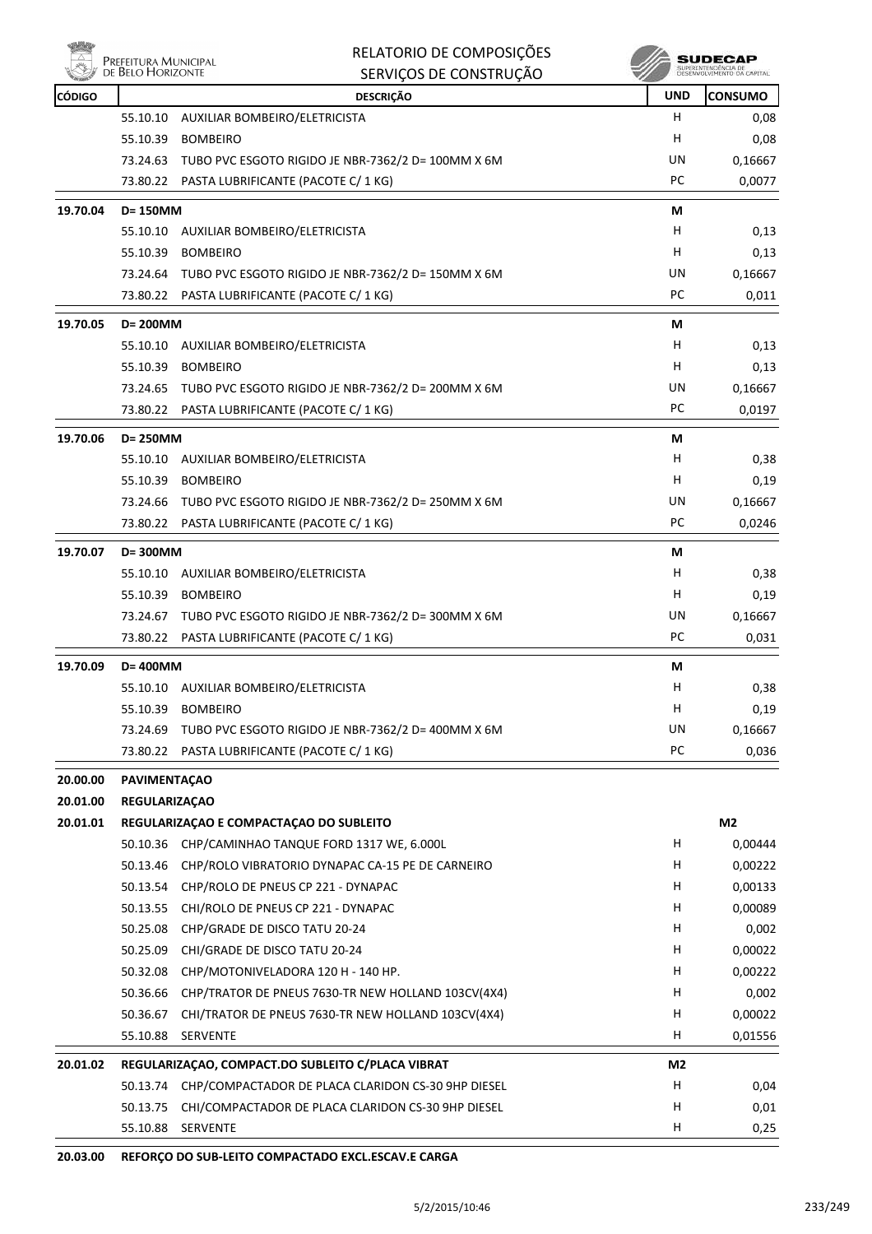

| RELATORIO DE COMPOSIÇÕES |  |
|--------------------------|--|
| SERVIÇOS DE CONSTRUÇÃO   |  |

 $\begin{array}{c} \textbf{SUBECAP} \\ \textbf{SUBREINTEROECLA DE} \\ \textbf{DESEWOUNIENTO CA CAPTIAL} \end{array}$ 

| <b>CÓDIGO</b> |                      | <b>DESCRIÇÃO</b>                                            | <b>UND</b> | <b>CONSUMO</b> |
|---------------|----------------------|-------------------------------------------------------------|------------|----------------|
|               | 55.10.10             | AUXILIAR BOMBEIRO/ELETRICISTA                               | H          | 0,08           |
|               | 55.10.39             | <b>BOMBEIRO</b>                                             | н          | 0,08           |
|               | 73.24.63             | TUBO PVC ESGOTO RIGIDO JE NBR-7362/2 D= 100MM X 6M          | UN         | 0,16667        |
|               | 73.80.22             | PASTA LUBRIFICANTE (PACOTE C/ 1 KG)                         | PC         | 0,0077         |
| 19.70.04      | D= 150MM             |                                                             | M          |                |
|               | 55.10.10             | AUXILIAR BOMBEIRO/ELETRICISTA                               | н          | 0,13           |
|               | 55.10.39             | <b>BOMBEIRO</b>                                             | н          | 0,13           |
|               | 73.24.64             | TUBO PVC ESGOTO RIGIDO JE NBR-7362/2 D= 150MM X 6M          | UN         | 0,16667        |
|               | 73.80.22             | PASTA LUBRIFICANTE (PACOTE C/ 1 KG)                         | PC         | 0,011          |
| 19.70.05      | D= 200MM             |                                                             | М          |                |
|               | 55.10.10             | AUXILIAR BOMBEIRO/ELETRICISTA                               | н          | 0,13           |
|               | 55.10.39             | <b>BOMBEIRO</b>                                             | н          | 0,13           |
|               | 73.24.65             | TUBO PVC ESGOTO RIGIDO JE NBR-7362/2 D= 200MM X 6M          | UN         | 0,16667        |
|               | 73.80.22             | PASTA LUBRIFICANTE (PACOTE C/ 1 KG)                         | PC         | 0,0197         |
| 19.70.06      | D= 250MM             |                                                             | М          |                |
|               | 55.10.10             | AUXILIAR BOMBEIRO/ELETRICISTA                               | н          | 0,38           |
|               | 55.10.39             | <b>BOMBEIRO</b>                                             | н          | 0,19           |
|               | 73.24.66             | TUBO PVC ESGOTO RIGIDO JE NBR-7362/2 D= 250MM X 6M          | UN         | 0,16667        |
|               |                      | 73.80.22 PASTA LUBRIFICANTE (PACOTE C/ 1 KG)                | PC         | 0,0246         |
|               |                      |                                                             |            |                |
| 19.70.07      | D=300MM              |                                                             | М          |                |
|               | 55.10.10             | AUXILIAR BOMBEIRO/ELETRICISTA                               | н          | 0,38           |
|               | 55.10.39             | <b>BOMBEIRO</b>                                             | H          | 0,19           |
|               | 73.24.67             | TUBO PVC ESGOTO RIGIDO JE NBR-7362/2 D= 300MM X 6M          | UN         | 0,16667        |
|               |                      | 73.80.22 PASTA LUBRIFICANTE (PACOTE C/ 1 KG)                | PC         | 0,031          |
| 19.70.09      | D= 400MM             |                                                             | M          |                |
|               | 55.10.10             | AUXILIAR BOMBEIRO/ELETRICISTA                               | н          | 0,38           |
|               | 55.10.39             | <b>BOMBEIRO</b>                                             | H          | 0,19           |
|               |                      | 73.24.69 TUBO PVC ESGOTO RIGIDO JE NBR-7362/2 D= 400MM X 6M | UN         | 0,16667        |
|               | 73.80.22             | PASTA LUBRIFICANTE (PACOTE C/ 1 KG)                         | PC         | 0,036          |
| 20.00.00      | PAVIMENTAÇÃO         |                                                             |            |                |
| 20.01.00      | <b>REGULARIZAÇÃO</b> |                                                             |            |                |
| 20.01.01      |                      | REGULARIZAÇÃO E COMPACTAÇÃO DO SUBLEITO                     |            | M <sub>2</sub> |
|               |                      | 50.10.36 CHP/CAMINHAO TANQUE FORD 1317 WE, 6.000L           | н          | 0,00444        |
|               | 50.13.46             | CHP/ROLO VIBRATORIO DYNAPAC CA-15 PE DE CARNEIRO            | н          | 0,00222        |
|               | 50.13.54             | CHP/ROLO DE PNEUS CP 221 - DYNAPAC                          | н          | 0,00133        |
|               | 50.13.55             | CHI/ROLO DE PNEUS CP 221 - DYNAPAC                          | н          | 0,00089        |
|               | 50.25.08             | CHP/GRADE DE DISCO TATU 20-24                               | н          | 0,002          |
|               | 50.25.09             | CHI/GRADE DE DISCO TATU 20-24                               | н          | 0,00022        |
|               | 50.32.08             | CHP/MOTONIVELADORA 120 H - 140 HP.                          | H          | 0,00222        |
|               | 50.36.66             | CHP/TRATOR DE PNEUS 7630-TR NEW HOLLAND 103CV(4X4)          | H          | 0,002          |
|               | 50.36.67             | CHI/TRATOR DE PNEUS 7630-TR NEW HOLLAND 103CV(4X4)          | н          | 0,00022        |
|               | 55.10.88             | SERVENTE                                                    | н          | 0,01556        |
| 20.01.02      |                      | REGULARIZAÇÃO, COMPACT.DO SUBLEITO C/PLACA VIBRAT           | M2         |                |
|               | 50.13.74             | CHP/COMPACTADOR DE PLACA CLARIDON CS-30 9HP DIESEL          | н          | 0,04           |
|               | 50.13.75             | CHI/COMPACTADOR DE PLACA CLARIDON CS-30 9HP DIESEL          | H          | 0,01           |
|               | 55.10.88             | SERVENTE                                                    | н          | 0,25           |
|               |                      |                                                             |            |                |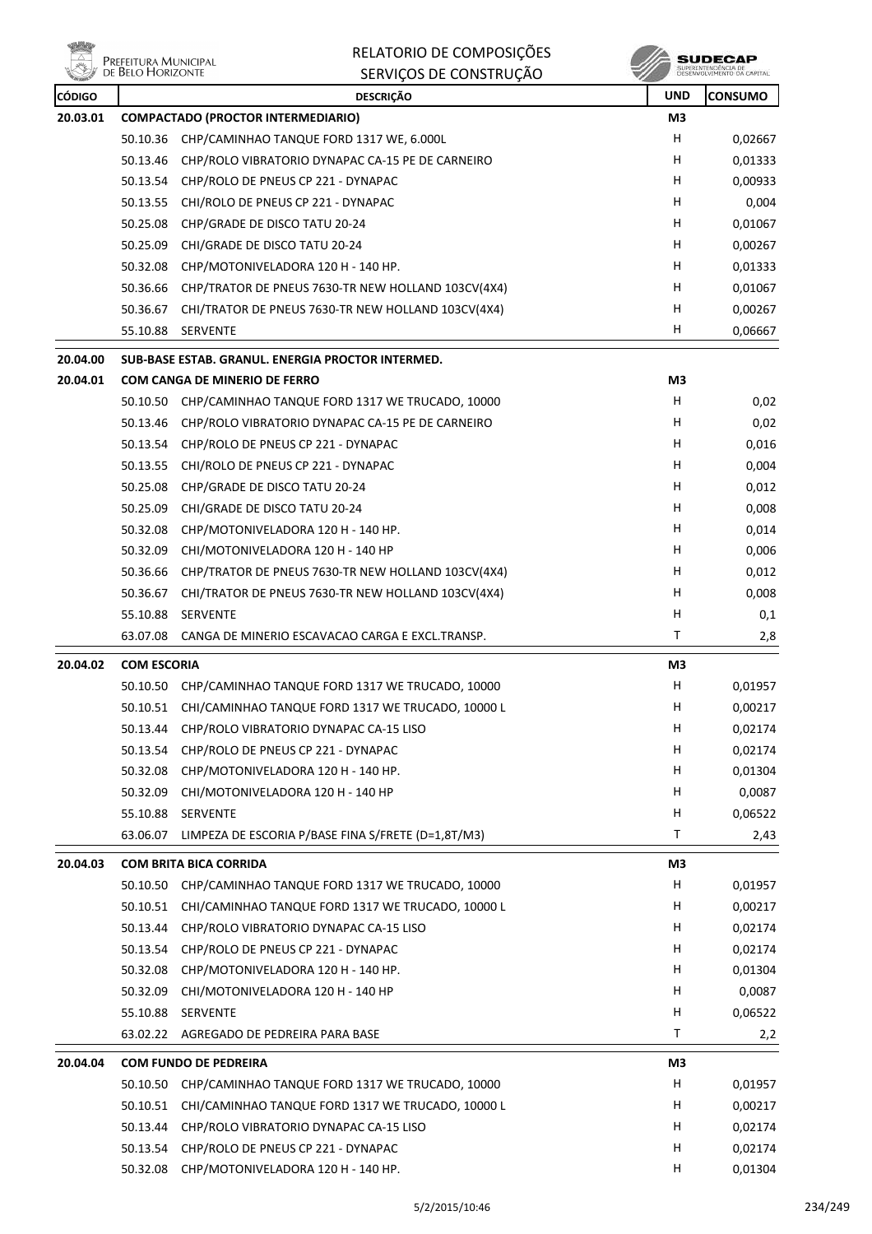

| RELATORIO DE COMPOSIÇÕES |
|--------------------------|
| SERVICOS DE CONSTRUIÇÃO  |



|               | <b>DE DELO I IONIZON IE</b> | SERVIÇOS DE CONSTRUÇÃO                                    |            | DESENVOLVEMENTO DA CAPITAL |
|---------------|-----------------------------|-----------------------------------------------------------|------------|----------------------------|
| <b>CÓDIGO</b> |                             | <b>DESCRIÇÃO</b>                                          | <b>UND</b> | <b>CONSUMO</b>             |
| 20.03.01      |                             | <b>COMPACTADO (PROCTOR INTERMEDIARIO)</b>                 | M3         |                            |
|               |                             | 50.10.36 CHP/CAMINHAO TANQUE FORD 1317 WE, 6.000L         | н          | 0,02667                    |
|               | 50.13.46                    | CHP/ROLO VIBRATORIO DYNAPAC CA-15 PE DE CARNEIRO          | н          | 0,01333                    |
|               | 50.13.54                    | CHP/ROLO DE PNEUS CP 221 - DYNAPAC                        | H          | 0,00933                    |
|               | 50.13.55                    | CHI/ROLO DE PNEUS CP 221 - DYNAPAC                        | н          | 0,004                      |
|               | 50.25.08                    | CHP/GRADE DE DISCO TATU 20-24                             | н          | 0,01067                    |
|               | 50.25.09                    | CHI/GRADE DE DISCO TATU 20-24                             | н          | 0,00267                    |
|               | 50.32.08                    | CHP/MOTONIVELADORA 120 H - 140 HP.                        | н          | 0,01333                    |
|               | 50.36.66                    | CHP/TRATOR DE PNEUS 7630-TR NEW HOLLAND 103CV(4X4)        | н          | 0,01067                    |
|               | 50.36.67                    | CHI/TRATOR DE PNEUS 7630-TR NEW HOLLAND 103CV(4X4)        | н          | 0,00267                    |
|               | 55.10.88                    | SERVENTE                                                  | H.         | 0,06667                    |
| 20.04.00      |                             | SUB-BASE ESTAB, GRANUL, ENERGIA PROCTOR INTERMED.         |            |                            |
| 20.04.01      |                             | <b>COM CANGA DE MINERIO DE FERRO</b>                      | M3         |                            |
|               |                             | 50.10.50 CHP/CAMINHAO TANQUE FORD 1317 WE TRUCADO, 10000  | H          | 0,02                       |
|               |                             | 50.13.46 CHP/ROLO VIBRATORIO DYNAPAC CA-15 PE DE CARNEIRO | H          | 0,02                       |
|               | 50.13.54                    | CHP/ROLO DE PNEUS CP 221 - DYNAPAC                        | н          | 0,016                      |
|               | 50.13.55                    | CHI/ROLO DE PNEUS CP 221 - DYNAPAC                        | н          | 0,004                      |
|               | 50.25.08                    | CHP/GRADE DE DISCO TATU 20-24                             | н          | 0,012                      |
|               | 50.25.09                    | CHI/GRADE DE DISCO TATU 20-24                             | H          | 0,008                      |
|               | 50.32.08                    | CHP/MOTONIVELADORA 120 H - 140 HP.                        | H          | 0,014                      |
|               | 50.32.09                    | CHI/MOTONIVELADORA 120 H - 140 HP                         | н          | 0,006                      |
|               | 50.36.66                    | CHP/TRATOR DE PNEUS 7630-TR NEW HOLLAND 103CV(4X4)        | н          | 0,012                      |
|               | 50.36.67                    | CHI/TRATOR DE PNEUS 7630-TR NEW HOLLAND 103CV(4X4)        | н          | 0,008                      |
|               | 55.10.88                    | SERVENTE                                                  | н          | 0,1                        |
|               | 63.07.08                    | CANGA DE MINERIO ESCAVACAO CARGA E EXCL.TRANSP.           | T          | 2,8                        |
|               |                             |                                                           |            |                            |
| 20.04.02      | <b>COM ESCORIA</b>          |                                                           | M3         |                            |
|               |                             | 50.10.50 CHP/CAMINHAO TANQUE FORD 1317 WE TRUCADO, 10000  | н          | 0,01957                    |
|               | 50.10.51                    | CHI/CAMINHAO TANQUE FORD 1317 WE TRUCADO, 10000 L         | H          | 0,00217                    |
|               |                             | 50.13.44 CHP/ROLO VIBRATORIO DYNAPAC CA-15 LISO           | н          | 0,02174                    |
|               | 50.13.54                    | CHP/ROLO DE PNEUS CP 221 - DYNAPAC                        | H          | 0,02174                    |
|               | 50.32.08                    | CHP/MOTONIVELADORA 120 H - 140 HP.                        | н          | 0,01304                    |
|               | 50.32.09                    | CHI/MOTONIVELADORA 120 H - 140 HP                         | н          | 0,0087                     |
|               | 55.10.88                    | SERVENTE                                                  | H          | 0,06522                    |
|               | 63.06.07                    | LIMPEZA DE ESCORIA P/BASE FINA S/FRETE (D=1,8T/M3)        | Τ          | 2,43                       |
| 20.04.03      |                             | <b>COM BRITA BICA CORRIDA</b>                             | M3         |                            |
|               | 50.10.50                    | CHP/CAMINHAO TANQUE FORD 1317 WE TRUCADO, 10000           | H          | 0,01957                    |
|               | 50.10.51                    | CHI/CAMINHAO TANQUE FORD 1317 WE TRUCADO, 10000 L         | H          | 0,00217                    |
|               | 50.13.44                    | CHP/ROLO VIBRATORIO DYNAPAC CA-15 LISO                    | н          | 0,02174                    |
|               | 50.13.54                    | CHP/ROLO DE PNEUS CP 221 - DYNAPAC                        | H          | 0,02174                    |
|               | 50.32.08                    | CHP/MOTONIVELADORA 120 H - 140 HP.                        | H          | 0,01304                    |
|               | 50.32.09                    | CHI/MOTONIVELADORA 120 H - 140 HP                         | H          | 0,0087                     |
|               | 55.10.88                    | SERVENTE                                                  | н          | 0,06522                    |
|               | 63.02.22                    | AGREGADO DE PEDREIRA PARA BASE                            | Τ          | 2,2                        |
| 20.04.04      |                             | <b>COM FUNDO DE PEDREIRA</b>                              | M3         |                            |
|               | 50.10.50                    | CHP/CAMINHAO TANQUE FORD 1317 WE TRUCADO, 10000           | H          | 0,01957                    |
|               | 50.10.51                    | CHI/CAMINHAO TANQUE FORD 1317 WE TRUCADO, 10000 L         | H          | 0,00217                    |
|               | 50.13.44                    | CHP/ROLO VIBRATORIO DYNAPAC CA-15 LISO                    | H          | 0,02174                    |
|               | 50.13.54                    | CHP/ROLO DE PNEUS CP 221 - DYNAPAC                        | H          | 0,02174                    |
|               | 50.32.08                    | CHP/MOTONIVELADORA 120 H - 140 HP.                        | H          | 0,01304                    |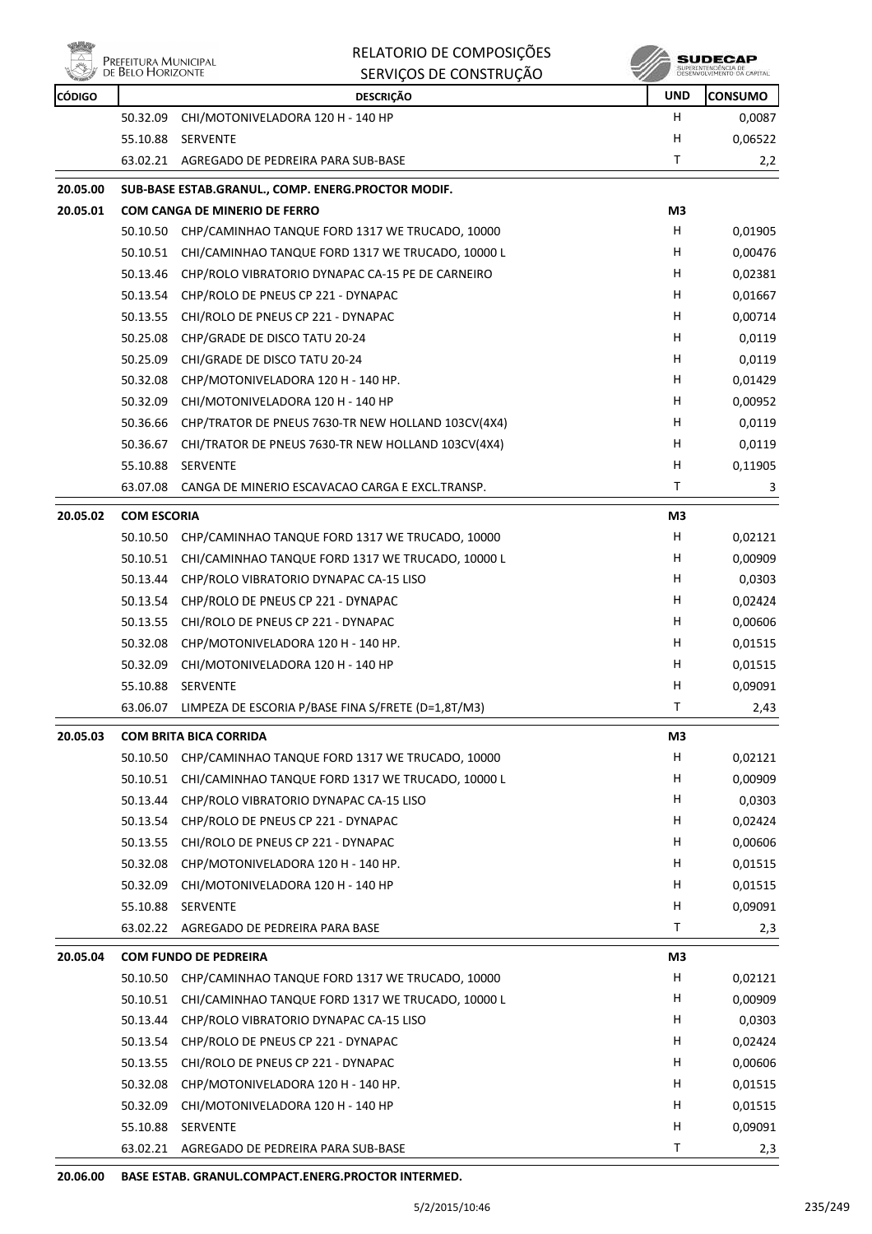

| <b>CÓDIGO</b> |                    | <b>DESCRIÇÃO</b>                                          | <b>UND</b> | <b>CONSUMO</b>                |
|---------------|--------------------|-----------------------------------------------------------|------------|-------------------------------|
|               | 50.32.09           | CHI/MOTONIVELADORA 120 H - 140 HP                         | H          | 0,0087                        |
|               | 55.10.88           | <b>SERVENTE</b>                                           | н          | 0,06522                       |
|               |                    | 63.02.21 AGREGADO DE PEDREIRA PARA SUB-BASE               | Τ          | 2,2                           |
| 20.05.00      |                    | SUB-BASE ESTAB.GRANUL., COMP. ENERG.PROCTOR MODIF.        |            |                               |
| 20.05.01      |                    | COM CANGA DE MINERIO DE FERRO                             | M3         |                               |
|               | 50.10.50           | CHP/CAMINHAO TANQUE FORD 1317 WE TRUCADO, 10000           | н          | 0,01905                       |
|               | 50.10.51           | CHI/CAMINHAO TANQUE FORD 1317 WE TRUCADO, 10000 L         | н          | 0,00476                       |
|               |                    | 50.13.46 CHP/ROLO VIBRATORIO DYNAPAC CA-15 PE DE CARNEIRO | н          | 0,02381                       |
|               |                    | 50.13.54 CHP/ROLO DE PNEUS CP 221 - DYNAPAC               | н          | 0,01667                       |
|               |                    | 50.13.55 CHI/ROLO DE PNEUS CP 221 - DYNAPAC               | н          | 0,00714                       |
|               | 50.25.08           | CHP/GRADE DE DISCO TATU 20-24                             | Н          | 0,0119                        |
|               | 50.25.09           | CHI/GRADE DE DISCO TATU 20-24                             | н          | 0,0119                        |
|               | 50.32.08           | CHP/MOTONIVELADORA 120 H - 140 HP.                        | н          | 0,01429                       |
|               | 50.32.09           | CHI/MOTONIVELADORA 120 H - 140 HP                         | H          | 0,00952                       |
|               | 50.36.66           | CHP/TRATOR DE PNEUS 7630-TR NEW HOLLAND 103CV(4X4)        | н          | 0,0119                        |
|               | 50.36.67           | CHI/TRATOR DE PNEUS 7630-TR NEW HOLLAND 103CV(4X4)        | н          | 0,0119                        |
|               | 55.10.88           | <b>SERVENTE</b>                                           | Н          | 0,11905                       |
|               | 63.07.08           | CANGA DE MINERIO ESCAVACAO CARGA E EXCL.TRANSP.           | т          | 3                             |
| 20.05.02      | <b>COM ESCORIA</b> |                                                           | M3         |                               |
|               | 50.10.50           | CHP/CAMINHAO TANQUE FORD 1317 WE TRUCADO, 10000           | H          | 0,02121                       |
|               | 50.10.51           | CHI/CAMINHAO TANQUE FORD 1317 WE TRUCADO, 10000 L         | н          | 0,00909                       |
|               | 50.13.44           | CHP/ROLO VIBRATORIO DYNAPAC CA-15 LISO                    | н          | 0,0303                        |
|               | 50.13.54           | CHP/ROLO DE PNEUS CP 221 - DYNAPAC                        | н          | 0,02424                       |
|               | 50.13.55           | CHI/ROLO DE PNEUS CP 221 - DYNAPAC                        | н          | 0,00606                       |
|               | 50.32.08           | CHP/MOTONIVELADORA 120 H - 140 HP.                        | н          | 0,01515                       |
|               | 50.32.09           | CHI/MOTONIVELADORA 120 H - 140 HP                         | н          | 0,01515                       |
|               |                    | 55.10.88 SERVENTE                                         | Н          | 0,09091                       |
|               | 63.06.07           | LIMPEZA DE ESCORIA P/BASE FINA S/FRETE (D=1,8T/M3)        | т          | 2,43                          |
| 20.05.03      |                    | <b>COM BRITA BICA CORRIDA</b>                             | M3         |                               |
|               | 50.10.50           | CHP/CAMINHAO TANQUE FORD 1317 WE TRUCADO, 10000           | Н          | 0,02121                       |
|               | 50.10.51           | CHI/CAMINHAO TANQUE FORD 1317 WE TRUCADO, 10000 L         | н          | 0,00909                       |
|               |                    | 50.13.44 CHP/ROLO VIBRATORIO DYNAPAC CA-15 LISO           | н          | 0,0303                        |
|               | 50.13.54           | CHP/ROLO DE PNEUS CP 221 - DYNAPAC                        | Н          | 0,02424                       |
|               | 50.13.55           | CHI/ROLO DE PNEUS CP 221 - DYNAPAC                        | н          | 0,00606                       |
|               | 50.32.08           | CHP/MOTONIVELADORA 120 H - 140 HP.                        | н          | 0,01515                       |
|               | 50.32.09           | CHI/MOTONIVELADORA 120 H - 140 HP                         | н          | 0,01515                       |
|               | 55.10.88           | SERVENTE                                                  | н          | 0,09091                       |
|               | 63.02.22           | AGREGADO DE PEDREIRA PARA BASE                            | T          | 2,3                           |
| 20.05.04      |                    | <b>COM FUNDO DE PEDREIRA</b>                              | M3         |                               |
|               | 50.10.50           | CHP/CAMINHAO TANQUE FORD 1317 WE TRUCADO, 10000           | н          | 0,02121                       |
|               | 50.10.51           | CHI/CAMINHAO TANQUE FORD 1317 WE TRUCADO, 10000 L         | н          | 0,00909                       |
|               | 50.13.44           | CHP/ROLO VIBRATORIO DYNAPAC CA-15 LISO                    | н          | 0,0303                        |
|               |                    |                                                           | н          | 0,02424                       |
|               | 50.13.54           | CHP/ROLO DE PNEUS CP 221 - DYNAPAC                        |            |                               |
|               | 50.13.55           | CHI/ROLO DE PNEUS CP 221 - DYNAPAC                        | н          |                               |
|               | 50.32.08           | CHP/MOTONIVELADORA 120 H - 140 HP.                        | н          |                               |
|               | 50.32.09           | CHI/MOTONIVELADORA 120 H - 140 HP                         | н          | 0,00606<br>0,01515<br>0,01515 |
|               | 55.10.88           | SERVENTE                                                  | н          | 0,09091                       |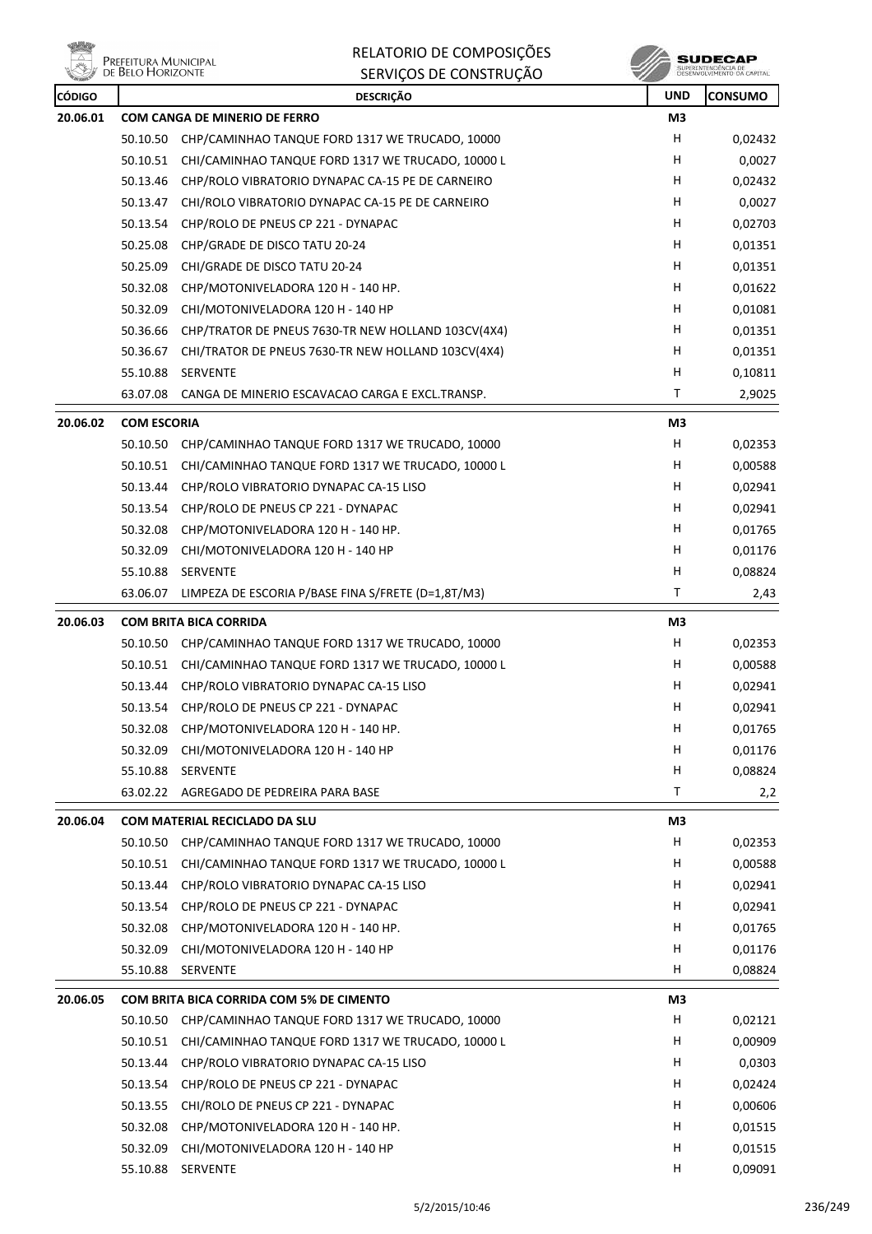**Will** e<br>Prefeitura Municipal<br>// de Belo Horizonte 糝

RELATORIO DE COMPOSIÇÕES SERVIÇOS DE CONSTRUÇÃO

| <b>CÓDIGO</b> |                    | <b>DESCRIÇÃO</b>                                          | <b>UND</b>     | <b>CONSUMO</b> |
|---------------|--------------------|-----------------------------------------------------------|----------------|----------------|
| 20.06.01      |                    | <b>COM CANGA DE MINERIO DE FERRO</b>                      | M <sub>3</sub> |                |
|               | 50.10.50           | CHP/CAMINHAO TANQUE FORD 1317 WE TRUCADO, 10000           | н              | 0,02432        |
|               | 50.10.51           | CHI/CAMINHAO TANQUE FORD 1317 WE TRUCADO, 10000 L         | н              | 0,0027         |
|               | 50.13.46           | CHP/ROLO VIBRATORIO DYNAPAC CA-15 PE DE CARNEIRO          | H              | 0,02432        |
|               |                    | 50.13.47 CHI/ROLO VIBRATORIO DYNAPAC CA-15 PE DE CARNEIRO | н              | 0,0027         |
|               | 50.13.54           | CHP/ROLO DE PNEUS CP 221 - DYNAPAC                        | н              | 0,02703        |
|               | 50.25.08           | CHP/GRADE DE DISCO TATU 20-24                             | н              | 0,01351        |
|               | 50.25.09           | CHI/GRADE DE DISCO TATU 20-24                             | н              | 0,01351        |
|               | 50.32.08           | CHP/MOTONIVELADORA 120 H - 140 HP.                        | H              | 0,01622        |
|               | 50.32.09           | CHI/MOTONIVELADORA 120 H - 140 HP                         | H              | 0,01081        |
|               | 50.36.66           | CHP/TRATOR DE PNEUS 7630-TR NEW HOLLAND 103CV(4X4)        | н              | 0,01351        |
|               | 50.36.67           | CHI/TRATOR DE PNEUS 7630-TR NEW HOLLAND 103CV(4X4)        | н              | 0,01351        |
|               | 55.10.88           | <b>SERVENTE</b>                                           | н              | 0,10811        |
|               | 63.07.08           | CANGA DE MINERIO ESCAVACAO CARGA E EXCL.TRANSP.           | т              | 2,9025         |
| 20.06.02      | <b>COM ESCORIA</b> |                                                           | M3             |                |
|               | 50.10.50           | CHP/CAMINHAO TANQUE FORD 1317 WE TRUCADO, 10000           | H              | 0,02353        |
|               | 50.10.51           | CHI/CAMINHAO TANQUE FORD 1317 WE TRUCADO, 10000 L         | н              | 0,00588        |
|               | 50.13.44           | CHP/ROLO VIBRATORIO DYNAPAC CA-15 LISO                    | н              | 0,02941        |
|               | 50.13.54           | CHP/ROLO DE PNEUS CP 221 - DYNAPAC                        | н              | 0,02941        |
|               | 50.32.08           | CHP/MOTONIVELADORA 120 H - 140 HP.                        | н              | 0,01765        |
|               | 50.32.09           | CHI/MOTONIVELADORA 120 H - 140 HP                         | H              | 0,01176        |
|               | 55.10.88           | SERVENTE                                                  | H              | 0,08824        |
|               | 63.06.07           | LIMPEZA DE ESCORIA P/BASE FINA S/FRETE (D=1,8T/M3)        | T              | 2,43           |
| 20.06.03      |                    | <b>COM BRITA BICA CORRIDA</b>                             | M3             |                |
|               | 50.10.50           | CHP/CAMINHAO TANQUE FORD 1317 WE TRUCADO, 10000           | н              | 0,02353        |
|               | 50.10.51           | CHI/CAMINHAO TANQUE FORD 1317 WE TRUCADO, 10000 L         | н              | 0,00588        |
|               |                    | 50.13.44 CHP/ROLO VIBRATORIO DYNAPAC CA-15 LISO           | H              | 0,02941        |
|               | 50.13.54           | CHP/ROLO DE PNEUS CP 221 - DYNAPAC                        | H              | 0,02941        |
|               |                    | 50.32.08 CHP/MOTONIVELADORA 120 H - 140 HP.               | н              | 0,01765        |
|               | 50.32.09           | CHI/MOTONIVELADORA 120 H - 140 HP                         | н              | 0,01176        |
|               | 55.10.88           | SERVENTE                                                  | н              | 0,08824        |
|               | 63.02.22           | AGREGADO DE PEDREIRA PARA BASE                            | Τ              | 2,2            |
| 20.06.04      |                    | COM MATERIAL RECICLADO DA SLU                             | M3             |                |
|               | 50.10.50           | CHP/CAMINHAO TANQUE FORD 1317 WE TRUCADO, 10000           | H              | 0,02353        |
|               | 50.10.51           | CHI/CAMINHAO TANQUE FORD 1317 WE TRUCADO, 10000 L         | H              | 0,00588        |
|               | 50.13.44           | CHP/ROLO VIBRATORIO DYNAPAC CA-15 LISO                    | H              | 0,02941        |
|               | 50.13.54           | CHP/ROLO DE PNEUS CP 221 - DYNAPAC                        | H              | 0,02941        |
|               | 50.32.08           | CHP/MOTONIVELADORA 120 H - 140 HP.                        | H              | 0,01765        |
|               | 50.32.09           | CHI/MOTONIVELADORA 120 H - 140 HP                         | H              | 0,01176        |
|               | 55.10.88           | SERVENTE                                                  | н              | 0,08824        |
| 20.06.05      |                    | COM BRITA BICA CORRIDA COM 5% DE CIMENTO                  | M3             |                |
|               | 50.10.50           | CHP/CAMINHAO TANQUE FORD 1317 WE TRUCADO, 10000           | H              | 0,02121        |
|               | 50.10.51           | CHI/CAMINHAO TANQUE FORD 1317 WE TRUCADO, 10000 L         | H              | 0,00909        |
|               | 50.13.44           | CHP/ROLO VIBRATORIO DYNAPAC CA-15 LISO                    | H              | 0,0303         |
|               | 50.13.54           | CHP/ROLO DE PNEUS CP 221 - DYNAPAC                        | H              | 0,02424        |
|               | 50.13.55           | CHI/ROLO DE PNEUS CP 221 - DYNAPAC                        | H              | 0,00606        |
|               | 50.32.08           | CHP/MOTONIVELADORA 120 H - 140 HP.                        | н              | 0,01515        |
|               | 50.32.09           | CHI/MOTONIVELADORA 120 H - 140 HP                         | H              | 0,01515        |
|               |                    | 55.10.88 SERVENTE                                         | H              | 0,09091        |
|               |                    |                                                           |                |                |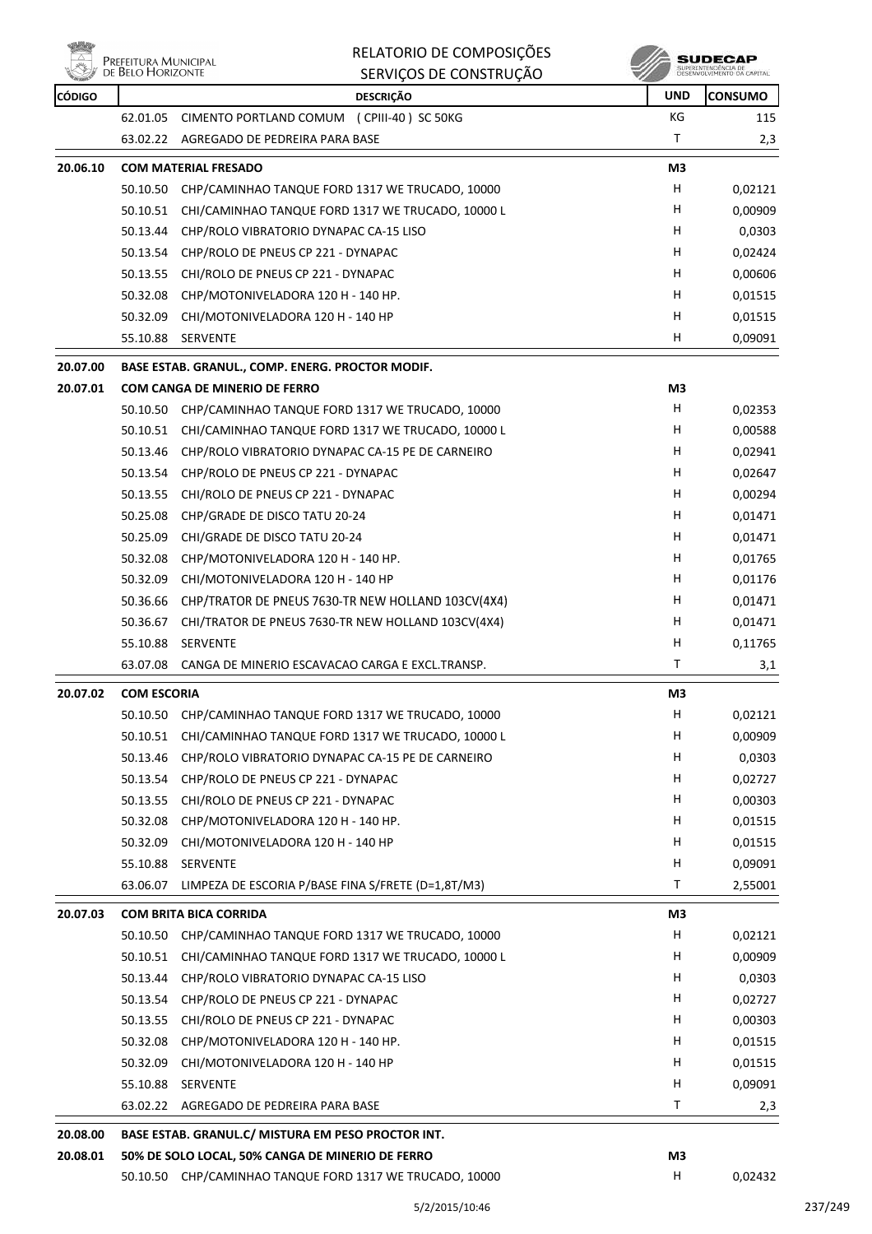



| <b>REAL PROPERTY</b> |                    | <b>JENVIÇUJ DE CUNJINUÇAU</b>                                                                          | w          |                |
|----------------------|--------------------|--------------------------------------------------------------------------------------------------------|------------|----------------|
| <b>CÓDIGO</b>        |                    | <b>DESCRIÇÃO</b>                                                                                       | <b>UND</b> | <b>CONSUMO</b> |
|                      | 62.01.05           | CIMENTO PORTLAND COMUM (CPIII-40) SC 50KG                                                              | KG         | 115            |
|                      | 63.02.22           | AGREGADO DE PEDREIRA PARA BASE                                                                         | т          | 2,3            |
| 20.06.10             |                    | <b>COM MATERIAL FRESADO</b>                                                                            | M3         |                |
|                      | 50.10.50           | CHP/CAMINHAO TANQUE FORD 1317 WE TRUCADO, 10000                                                        | Н          | 0,02121        |
|                      | 50.10.51           | CHI/CAMINHAO TANQUE FORD 1317 WE TRUCADO, 10000 L                                                      | H          | 0,00909        |
|                      | 50.13.44           | CHP/ROLO VIBRATORIO DYNAPAC CA-15 LISO                                                                 | н          | 0,0303         |
|                      | 50.13.54           | CHP/ROLO DE PNEUS CP 221 - DYNAPAC                                                                     | н          | 0,02424        |
|                      | 50.13.55           | CHI/ROLO DE PNEUS CP 221 - DYNAPAC                                                                     | н          | 0,00606        |
|                      | 50.32.08           | CHP/MOTONIVELADORA 120 H - 140 HP.                                                                     | Н          | 0,01515        |
|                      | 50.32.09           | CHI/MOTONIVELADORA 120 H - 140 HP                                                                      | н          | 0,01515        |
|                      | 55.10.88           | SERVENTE                                                                                               | H          | 0,09091        |
| 20.07.00             |                    | BASE ESTAB. GRANUL., COMP. ENERG. PROCTOR MODIF.                                                       |            |                |
| 20.07.01             |                    | <b>COM CANGA DE MINERIO DE FERRO</b>                                                                   | M3         |                |
|                      | 50.10.50           | CHP/CAMINHAO TANQUE FORD 1317 WE TRUCADO, 10000                                                        | Н          | 0,02353        |
|                      | 50.10.51           | CHI/CAMINHAO TANQUE FORD 1317 WE TRUCADO, 10000 L                                                      | н          | 0,00588        |
|                      | 50.13.46           | CHP/ROLO VIBRATORIO DYNAPAC CA-15 PE DE CARNEIRO                                                       | н          | 0,02941        |
|                      | 50.13.54           | CHP/ROLO DE PNEUS CP 221 - DYNAPAC                                                                     | Н          | 0,02647        |
|                      | 50.13.55           | CHI/ROLO DE PNEUS CP 221 - DYNAPAC                                                                     | Н          | 0,00294        |
|                      | 50.25.08           | CHP/GRADE DE DISCO TATU 20-24                                                                          | H          | 0,01471        |
|                      | 50.25.09           | CHI/GRADE DE DISCO TATU 20-24                                                                          | н          | 0,01471        |
|                      | 50.32.08           | CHP/MOTONIVELADORA 120 H - 140 HP.                                                                     | Н          | 0,01765        |
|                      | 50.32.09           | CHI/MOTONIVELADORA 120 H - 140 HP                                                                      | H          | 0,01176        |
|                      | 50.36.66           | CHP/TRATOR DE PNEUS 7630-TR NEW HOLLAND 103CV(4X4)                                                     | н          | 0,01471        |
|                      | 50.36.67           | CHI/TRATOR DE PNEUS 7630-TR NEW HOLLAND 103CV(4X4)                                                     | н          | 0,01471        |
|                      | 55.10.88           | <b>SERVENTE</b>                                                                                        | н          | 0,11765        |
|                      | 63.07.08           | CANGA DE MINERIO ESCAVACAO CARGA E EXCL.TRANSP.                                                        | Τ          | 3,1            |
| 20.07.02             | <b>COM ESCORIA</b> |                                                                                                        | M3         |                |
|                      |                    | 50.10.50 CHP/CAMINHAO TANQUE FORD 1317 WE TRUCADO, 10000                                               | н          | 0,02121        |
|                      | 50.10.51           | CHI/CAMINHAO TANQUE FORD 1317 WE TRUCADO, 10000 L                                                      | H,         | 0,00909        |
|                      | 50.13.46           | CHP/ROLO VIBRATORIO DYNAPAC CA-15 PE DE CARNEIRO                                                       | н          | 0,0303         |
|                      | 50.13.54           | CHP/ROLO DE PNEUS CP 221 - DYNAPAC                                                                     | H          | 0,02727        |
|                      | 50.13.55           | CHI/ROLO DE PNEUS CP 221 - DYNAPAC                                                                     | H          | 0,00303        |
|                      | 50.32.08           | CHP/MOTONIVELADORA 120 H - 140 HP.                                                                     | H          | 0,01515        |
|                      | 50.32.09           | CHI/MOTONIVELADORA 120 H - 140 HP                                                                      | н          | 0,01515        |
|                      | 55.10.88           | SERVENTE                                                                                               | н          | 0,09091        |
|                      | 63.06.07           | LIMPEZA DE ESCORIA P/BASE FINA S/FRETE (D=1,8T/M3)                                                     | Τ          | 2,55001        |
| 20.07.03             |                    | <b>COM BRITA BICA CORRIDA</b>                                                                          | M3         |                |
|                      | 50.10.50           | CHP/CAMINHAO TANQUE FORD 1317 WE TRUCADO, 10000                                                        | H          | 0,02121        |
|                      | 50.10.51           | CHI/CAMINHAO TANQUE FORD 1317 WE TRUCADO, 10000 L                                                      | н          | 0,00909        |
|                      | 50.13.44           | CHP/ROLO VIBRATORIO DYNAPAC CA-15 LISO                                                                 | H          | 0,0303         |
|                      | 50.13.54           | CHP/ROLO DE PNEUS CP 221 - DYNAPAC                                                                     | н          | 0,02727        |
|                      | 50.13.55           | CHI/ROLO DE PNEUS CP 221 - DYNAPAC                                                                     | H          | 0,00303        |
|                      | 50.32.08           | CHP/MOTONIVELADORA 120 H - 140 HP.                                                                     | н          | 0,01515        |
|                      | 50.32.09           | CHI/MOTONIVELADORA 120 H - 140 HP                                                                      | H          | 0,01515        |
|                      | 55.10.88           | SERVENTE                                                                                               | H          | 0,09091        |
|                      | 63.02.22           | AGREGADO DE PEDREIRA PARA BASE                                                                         | Τ          | 2,3            |
|                      |                    |                                                                                                        |            |                |
| 20.08.00<br>20.08.01 |                    | BASE ESTAB. GRANUL.C/ MISTURA EM PESO PROCTOR INT.<br>50% DE SOLO LOCAL, 50% CANGA DE MINERIO DE FERRO | M3         |                |
|                      |                    | 50.10.50 CHP/CAMINHAO TANQUE FORD 1317 WE TRUCADO, 10000                                               | н          | 0,02432        |
|                      |                    |                                                                                                        |            |                |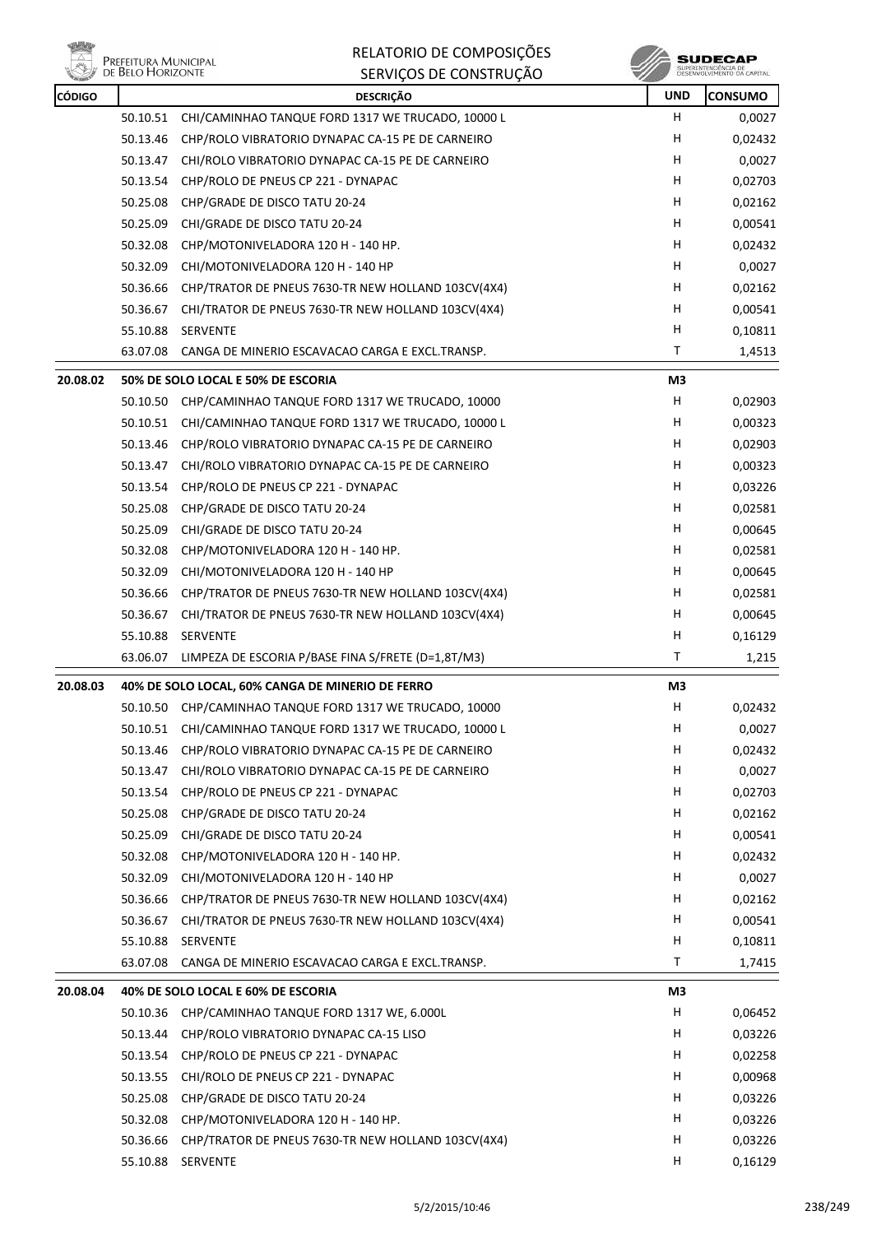

| RELATORIO DE COMPOSIÇÕES |
|--------------------------|
| SERVIÇOS DE CONSTRUÇÃO   |

**SUDECAP**<br>SUPERINTENDÉNCIA DE<br>DÉSERVOLVIMENTO OA CAPITAL

| <b>CÓDIGO</b> |                      | <b>DESCRIÇÃO</b>                                                               | <b>UND</b> | <b>CONSUMO</b> |
|---------------|----------------------|--------------------------------------------------------------------------------|------------|----------------|
|               |                      | 50.10.51 CHI/CAMINHAO TANQUE FORD 1317 WE TRUCADO, 10000 L                     | H.         | 0,0027         |
|               | 50.13.46             | CHP/ROLO VIBRATORIO DYNAPAC CA-15 PE DE CARNEIRO                               | н          | 0,02432        |
|               | 50.13.47             | CHI/ROLO VIBRATORIO DYNAPAC CA-15 PE DE CARNEIRO                               | H          | 0,0027         |
|               | 50.13.54             | CHP/ROLO DE PNEUS CP 221 - DYNAPAC                                             | H          | 0,02703        |
|               | 50.25.08             | CHP/GRADE DE DISCO TATU 20-24                                                  | н          | 0,02162        |
|               | 50.25.09             | CHI/GRADE DE DISCO TATU 20-24                                                  | H          | 0,00541        |
|               | 50.32.08             | CHP/MOTONIVELADORA 120 H - 140 HP.                                             | н          | 0,02432        |
|               | 50.32.09             | CHI/MOTONIVELADORA 120 H - 140 HP                                              | н          | 0,0027         |
|               | 50.36.66             | CHP/TRATOR DE PNEUS 7630-TR NEW HOLLAND 103CV(4X4)                             | H          | 0,02162        |
|               | 50.36.67             | CHI/TRATOR DE PNEUS 7630-TR NEW HOLLAND 103CV(4X4)                             | H          | 0,00541        |
|               | 55.10.88             | SERVENTE                                                                       | H          | 0,10811        |
|               | 63.07.08             | CANGA DE MINERIO ESCAVACAO CARGA E EXCL.TRANSP.                                | T          | 1,4513         |
| 20.08.02      |                      | 50% DE SOLO LOCAL E 50% DE ESCORIA                                             | M3         |                |
|               |                      | 50.10.50 CHP/CAMINHAO TANQUE FORD 1317 WE TRUCADO, 10000                       | H          | 0,02903        |
|               | 50.10.51             | CHI/CAMINHAO TANQUE FORD 1317 WE TRUCADO, 10000 L                              | H          | 0,00323        |
|               | 50.13.46             | CHP/ROLO VIBRATORIO DYNAPAC CA-15 PE DE CARNEIRO                               | н          | 0,02903        |
|               | 50.13.47             | CHI/ROLO VIBRATORIO DYNAPAC CA-15 PE DE CARNEIRO                               | H          | 0,00323        |
|               | 50.13.54             | CHP/ROLO DE PNEUS CP 221 - DYNAPAC                                             | H.         | 0,03226        |
|               | 50.25.08             | CHP/GRADE DE DISCO TATU 20-24                                                  | н          | 0,02581        |
|               | 50.25.09             | CHI/GRADE DE DISCO TATU 20-24                                                  | H          | 0,00645        |
|               | 50.32.08             | CHP/MOTONIVELADORA 120 H - 140 HP.                                             | H          | 0,02581        |
|               | 50.32.09             | CHI/MOTONIVELADORA 120 H - 140 HP                                              | н          | 0,00645        |
|               | 50.36.66             | CHP/TRATOR DE PNEUS 7630-TR NEW HOLLAND 103CV(4X4)                             | H          | 0,02581        |
|               | 50.36.67             | CHI/TRATOR DE PNEUS 7630-TR NEW HOLLAND 103CV(4X4)                             | н          | 0,00645        |
|               | 55.10.88             | SERVENTE                                                                       | н          | 0,16129        |
|               | 63.06.07             | LIMPEZA DE ESCORIA P/BASE FINA S/FRETE (D=1,8T/M3)                             | Τ          | 1,215          |
| 20.08.03      |                      | 40% DE SOLO LOCAL, 60% CANGA DE MINERIO DE FERRO                               | M3         |                |
|               |                      | 50.10.50 CHP/CAMINHAO TANQUE FORD 1317 WE TRUCADO, 10000                       | н          | 0,02432        |
|               |                      | 50.10.51 CHI/CAMINHAO TANQUE FORD 1317 WE TRUCADO, 10000 L                     | н          | 0,0027         |
|               | 50.13.46             | CHP/ROLO VIBRATORIO DYNAPAC CA-15 PE DE CARNEIRO                               | н          | 0,02432        |
|               | 50.13.47             | CHI/ROLO VIBRATORIO DYNAPAC CA-15 PE DE CARNEIRO                               | н          | 0,0027         |
|               | 50.13.54             | CHP/ROLO DE PNEUS CP 221 - DYNAPAC                                             | н          | 0,02703        |
|               | 50.25.08             | CHP/GRADE DE DISCO TATU 20-24                                                  | н          | 0,02162        |
|               | 50.25.09             | CHI/GRADE DE DISCO TATU 20-24                                                  | н          | 0,00541        |
|               | 50.32.08             | CHP/MOTONIVELADORA 120 H - 140 HP.                                             | H          | 0,02432        |
|               | 50.32.09             | CHI/MOTONIVELADORA 120 H - 140 HP                                              | н          | 0,0027         |
|               | 50.36.66             | CHP/TRATOR DE PNEUS 7630-TR NEW HOLLAND 103CV(4X4)                             | H          | 0,02162        |
|               | 50.36.67             | CHI/TRATOR DE PNEUS 7630-TR NEW HOLLAND 103CV(4X4)                             | н          | 0,00541        |
|               | 55.10.88             | <b>SERVENTE</b>                                                                | н          | 0,10811        |
|               | 63.07.08             | CANGA DE MINERIO ESCAVACAO CARGA E EXCL.TRANSP.                                | T          | 1,7415         |
|               |                      |                                                                                |            |                |
| 20.08.04      | 50.10.36             | 40% DE SOLO LOCAL E 60% DE ESCORIA<br>CHP/CAMINHAO TANQUE FORD 1317 WE, 6.000L | M3<br>н    | 0,06452        |
|               | 50.13.44             | CHP/ROLO VIBRATORIO DYNAPAC CA-15 LISO                                         | H          |                |
|               | 50.13.54             | CHP/ROLO DE PNEUS CP 221 - DYNAPAC                                             | н          | 0,03226        |
|               |                      |                                                                                | H          | 0,02258        |
|               | 50.13.55             | CHI/ROLO DE PNEUS CP 221 - DYNAPAC                                             | н          | 0,00968        |
|               | 50.25.08<br>50.32.08 | CHP/GRADE DE DISCO TATU 20-24<br>CHP/MOTONIVELADORA 120 H - 140 HP.            | H          | 0,03226        |
|               |                      |                                                                                | н          | 0,03226        |
|               | 50.36.66             | CHP/TRATOR DE PNEUS 7630-TR NEW HOLLAND 103CV(4X4)                             |            | 0,03226        |
|               |                      | 55.10.88 SERVENTE                                                              | H          | 0,16129        |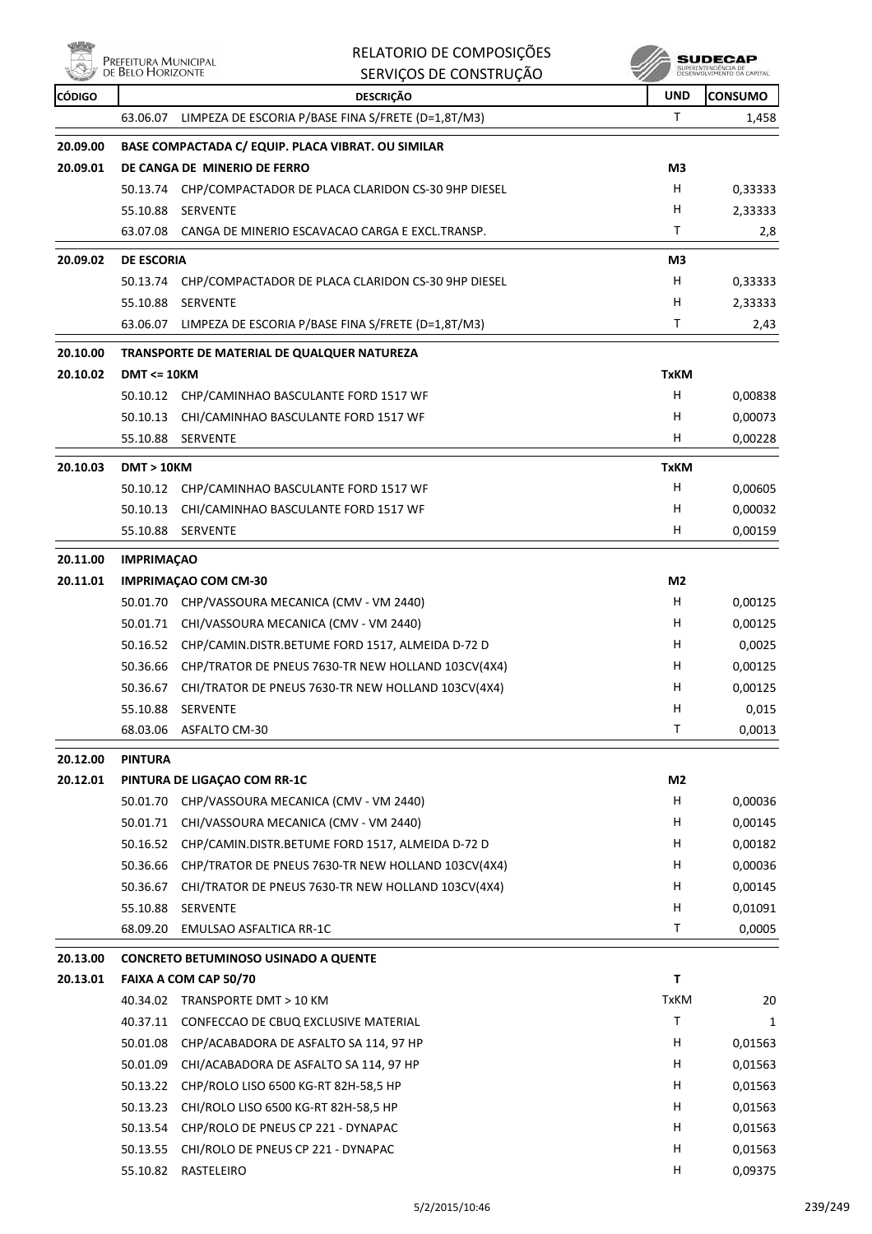| واقال                |                                           | RELATORIO DE COMPOSIÇÕES                                             |                | <b>SUDECAP</b>                                    |
|----------------------|-------------------------------------------|----------------------------------------------------------------------|----------------|---------------------------------------------------|
|                      | Prefeitura Municipal<br>de Belo Horizonte | SERVIÇOS DE CONSTRUÇÃO                                               |                | SUPERINTENDÊNCIA DE<br>DESENVOLVIMENTO DA CAPITAL |
| <b>CÓDIGO</b>        |                                           | <b>DESCRIÇÃO</b>                                                     | <b>UND</b>     | <b>CONSUMO</b>                                    |
|                      | 63.06.07                                  | LIMPEZA DE ESCORIA P/BASE FINA S/FRETE (D=1,8T/M3)                   | Т              | 1,458                                             |
| 20.09.00             |                                           | BASE COMPACTADA C/ EQUIP. PLACA VIBRAT. OU SIMILAR                   |                |                                                   |
| 20.09.01             |                                           | DE CANGA DE MINERIO DE FERRO                                         | M3             |                                                   |
|                      | 50.13.74                                  | CHP/COMPACTADOR DE PLACA CLARIDON CS-30 9HP DIESEL                   | н              | 0,33333                                           |
|                      | 55.10.88                                  | <b>SERVENTE</b>                                                      | н              | 2,33333                                           |
|                      | 63.07.08                                  | CANGA DE MINERIO ESCAVACAO CARGA E EXCL.TRANSP.                      | Τ              | 2,8                                               |
| 20.09.02             | <b>DE ESCORIA</b>                         |                                                                      | M <sub>3</sub> |                                                   |
|                      | 50.13.74                                  | CHP/COMPACTADOR DE PLACA CLARIDON CS-30 9HP DIESEL                   | н              | 0,33333                                           |
|                      | 55.10.88                                  | <b>SERVENTE</b>                                                      | н              | 2,33333                                           |
|                      | 63.06.07                                  | LIMPEZA DE ESCORIA P/BASE FINA S/FRETE (D=1,8T/M3)                   | Τ              | 2,43                                              |
| 20.10.00             |                                           | TRANSPORTE DE MATERIAL DE QUALQUER NATUREZA                          |                |                                                   |
| 20.10.02             | $DMT \leq 10KM$                           |                                                                      | <b>TxKM</b>    |                                                   |
|                      | 50.10.12                                  | CHP/CAMINHAO BASCULANTE FORD 1517 WF                                 | н              | 0,00838                                           |
|                      | 50.10.13                                  | CHI/CAMINHAO BASCULANTE FORD 1517 WF                                 | н              | 0,00073                                           |
|                      | 55.10.88                                  | <b>SERVENTE</b>                                                      | н              | 0,00228                                           |
| 20.10.03             | DMT > 10KM                                |                                                                      | <b>TxKM</b>    |                                                   |
|                      | 50.10.12                                  | CHP/CAMINHAO BASCULANTE FORD 1517 WF                                 | н              | 0,00605                                           |
|                      | 50.10.13                                  | CHI/CAMINHAO BASCULANTE FORD 1517 WF                                 | н              | 0,00032                                           |
|                      | 55.10.88                                  | <b>SERVENTE</b>                                                      | н              | 0,00159                                           |
| 20.11.00             | <b>IMPRIMAÇAO</b>                         |                                                                      |                |                                                   |
| 20.11.01             |                                           | <b>IMPRIMAÇÃO COM CM-30</b>                                          | M <sub>2</sub> |                                                   |
|                      |                                           | 50.01.70 CHP/VASSOURA MECANICA (CMV - VM 2440)                       | н              | 0,00125                                           |
|                      | 50.01.71                                  | CHI/VASSOURA MECANICA (CMV - VM 2440)                                | н              | 0,00125                                           |
|                      | 50.16.52                                  | CHP/CAMIN.DISTR.BETUME FORD 1517, ALMEIDA D-72 D                     | н              | 0,0025                                            |
|                      | 50.36.66                                  | CHP/TRATOR DE PNEUS 7630-TR NEW HOLLAND 103CV(4X4)                   | н              | 0,00125                                           |
|                      | 50.36.67                                  | CHI/TRATOR DE PNEUS 7630-TR NEW HOLLAND 103CV(4X4)                   | н              | 0,00125                                           |
|                      | 55.10.88                                  | SERVENTE                                                             | Н              | 0,015                                             |
|                      | 68.03.06                                  | ASFALTO CM-30                                                        | т              | 0,0013                                            |
|                      |                                           |                                                                      |                |                                                   |
| 20.12.00<br>20.12.01 | <b>PINTURA</b>                            | PINTURA DE LIGAÇÃO COM RR-1C                                         | M2             |                                                   |
|                      | 50.01.70                                  | CHP/VASSOURA MECANICA (CMV - VM 2440)                                | H.             | 0,00036                                           |
|                      | 50.01.71                                  | CHI/VASSOURA MECANICA (CMV - VM 2440)                                | Н              | 0,00145                                           |
|                      | 50.16.52                                  | CHP/CAMIN.DISTR.BETUME FORD 1517, ALMEIDA D-72 D                     | Н              | 0,00182                                           |
|                      | 50.36.66                                  | CHP/TRATOR DE PNEUS 7630-TR NEW HOLLAND 103CV(4X4)                   | H              | 0,00036                                           |
|                      | 50.36.67                                  | CHI/TRATOR DE PNEUS 7630-TR NEW HOLLAND 103CV(4X4)                   | H              | 0,00145                                           |
|                      | 55.10.88                                  | <b>SERVENTE</b>                                                      | Н              | 0,01091                                           |
|                      | 68.09.20                                  | EMULSAO ASFALTICA RR-1C                                              | т              | 0,0005                                            |
|                      |                                           |                                                                      |                |                                                   |
| 20.13.00<br>20.13.01 |                                           | <b>CONCRETO BETUMINOSO USINADO A QUENTE</b><br>FAIXA A COM CAP 50/70 | T              |                                                   |
|                      | 40.34.02                                  | TRANSPORTE DMT > 10 KM                                               | <b>TxKM</b>    | 20                                                |
|                      | 40.37.11                                  | CONFECCAO DE CBUQ EXCLUSIVE MATERIAL                                 | Τ              | 1                                                 |
|                      | 50.01.08                                  | CHP/ACABADORA DE ASFALTO SA 114, 97 HP                               | H              | 0,01563                                           |
|                      | 50.01.09                                  | CHI/ACABADORA DE ASFALTO SA 114, 97 HP                               | H              | 0,01563                                           |
|                      |                                           | 50.13.22 CHP/ROLO LISO 6500 KG-RT 82H-58,5 HP                        | н              | 0,01563                                           |
|                      |                                           |                                                                      |                |                                                   |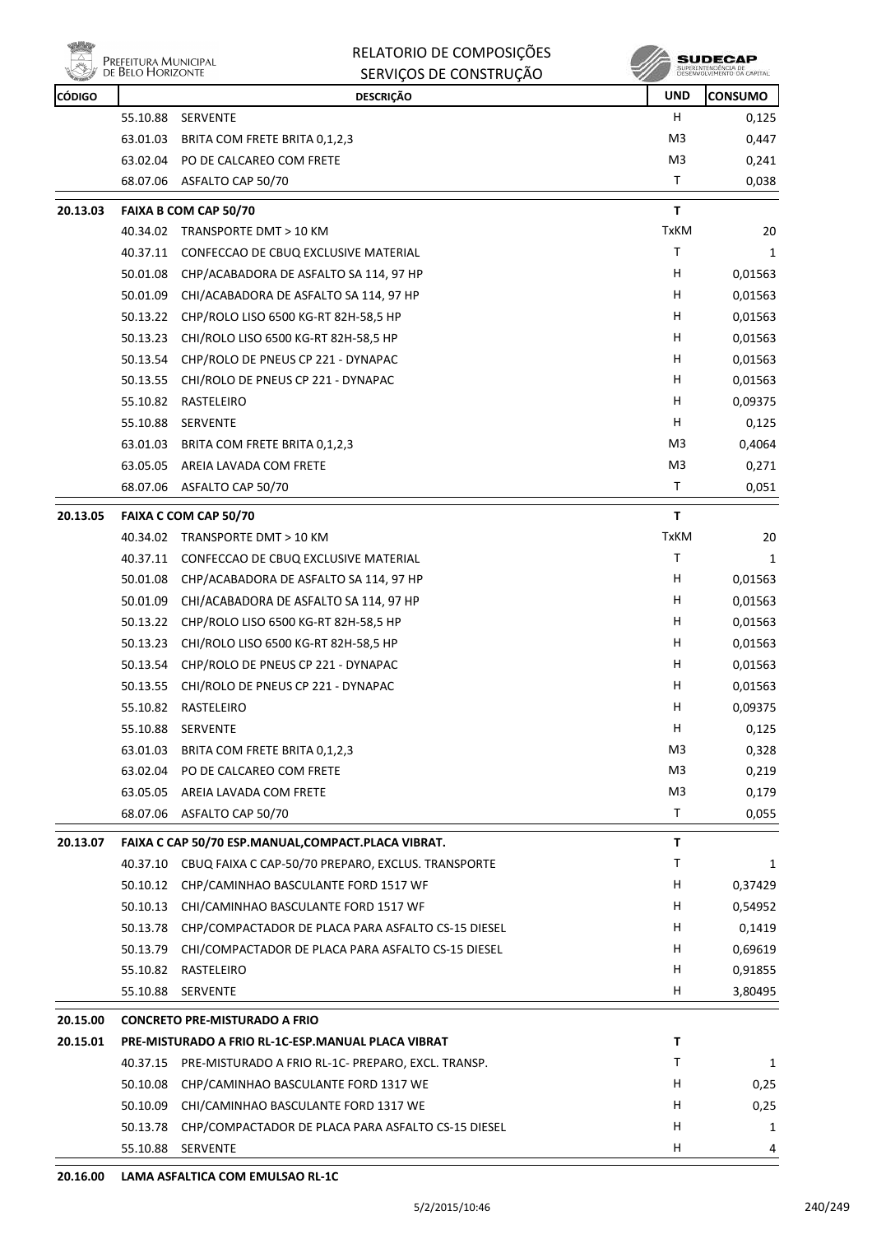

| <b>CÓDIGO</b> |          | <b>DESCRIÇÃO</b>                                     | <b>UND</b>     | <b>CONSUMO</b> |
|---------------|----------|------------------------------------------------------|----------------|----------------|
|               | 55.10.88 | SERVENTE                                             | H.             | 0,125          |
|               | 63.01.03 | BRITA COM FRETE BRITA 0,1,2,3                        | M3             | 0,447          |
|               | 63.02.04 | PO DE CALCAREO COM FRETE                             | M3             | 0,241          |
|               | 68.07.06 | ASFALTO CAP 50/70                                    | T              | 0,038          |
| 20.13.03      |          | FAIXA B COM CAP 50/70                                | T.             |                |
|               | 40.34.02 | TRANSPORTE DMT > 10 KM                               | <b>TxKM</b>    | 20             |
|               | 40.37.11 | CONFECCAO DE CBUQ EXCLUSIVE MATERIAL                 | T              | 1              |
|               | 50.01.08 | CHP/ACABADORA DE ASFALTO SA 114, 97 HP               | Н              | 0,01563        |
|               | 50.01.09 | CHI/ACABADORA DE ASFALTO SA 114, 97 HP               | н              | 0,01563        |
|               | 50.13.22 | CHP/ROLO LISO 6500 KG-RT 82H-58,5 HP                 | H.             | 0,01563        |
|               | 50.13.23 | CHI/ROLO LISO 6500 KG-RT 82H-58,5 HP                 | н              | 0,01563        |
|               | 50.13.54 | CHP/ROLO DE PNEUS CP 221 - DYNAPAC                   | н              | 0,01563        |
|               | 50.13.55 | CHI/ROLO DE PNEUS CP 221 - DYNAPAC                   | н              | 0,01563        |
|               | 55.10.82 | RASTELEIRO                                           | н              | 0,09375        |
|               | 55.10.88 | <b>SERVENTE</b>                                      | Н              | 0,125          |
|               | 63.01.03 | BRITA COM FRETE BRITA 0,1,2,3                        | M <sub>3</sub> | 0,4064         |
|               | 63.05.05 | AREIA LAVADA COM FRETE                               | M3             | 0,271          |
|               | 68.07.06 | ASFALTO CAP 50/70                                    | т              | 0,051          |
| 20.13.05      |          | FAIXA C COM CAP 50/70                                | T              |                |
|               | 40.34.02 | TRANSPORTE DMT > 10 KM                               | <b>TxKM</b>    | 20             |
|               | 40.37.11 | CONFECCAO DE CBUQ EXCLUSIVE MATERIAL                 | Τ              | 1              |
|               | 50.01.08 | CHP/ACABADORA DE ASFALTO SA 114, 97 HP               | н              | 0,01563        |
|               | 50.01.09 | CHI/ACABADORA DE ASFALTO SA 114, 97 HP               | н              | 0,01563        |
|               | 50.13.22 | CHP/ROLO LISO 6500 KG-RT 82H-58,5 HP                 | H              | 0,01563        |
|               | 50.13.23 | CHI/ROLO LISO 6500 KG-RT 82H-58,5 HP                 | Н              | 0,01563        |
|               | 50.13.54 | CHP/ROLO DE PNEUS CP 221 - DYNAPAC                   | н              | 0,01563        |
|               | 50.13.55 | CHI/ROLO DE PNEUS CP 221 - DYNAPAC                   | н              | 0,01563        |
|               | 55.10.82 | RASTELEIRO                                           | H              | 0,09375        |
|               | 55.10.88 | <b>SERVENTE</b>                                      | н              | 0,125          |
|               | 63.01.03 | BRITA COM FRETE BRITA 0,1,2,3                        | M <sub>3</sub> | 0,328          |
|               | 63.02.04 | PO DE CALCAREO COM FRETE                             | M3             | 0,219          |
|               | 63.05.05 | AREIA LAVADA COM FRETE                               | M3             | 0,179          |
|               | 68.07.06 | ASFALTO CAP 50/70                                    | Τ              | 0,055          |
| 20.13.07      |          | FAIXA C CAP 50/70 ESP.MANUAL, COMPACT. PLACA VIBRAT. | T              |                |
|               | 40.37.10 | CBUQ FAIXA C CAP-50/70 PREPARO, EXCLUS. TRANSPORTE   | Τ              | 1              |
|               | 50.10.12 | CHP/CAMINHAO BASCULANTE FORD 1517 WF                 | H              | 0,37429        |
|               | 50.10.13 | CHI/CAMINHAO BASCULANTE FORD 1517 WF                 | H              | 0,54952        |
|               | 50.13.78 | CHP/COMPACTADOR DE PLACA PARA ASFALTO CS-15 DIESEL   | H              | 0,1419         |
|               | 50.13.79 | CHI/COMPACTADOR DE PLACA PARA ASFALTO CS-15 DIESEL   | H              | 0,69619        |
|               | 55.10.82 | RASTELEIRO                                           | н              | 0,91855        |
|               | 55.10.88 | SERVENTE                                             | H              | 3,80495        |
| 20.15.00      |          | <b>CONCRETO PRE-MISTURADO A FRIO</b>                 |                |                |
| 20.15.01      |          | PRE-MISTURADO A FRIO RL-1C-ESP.MANUAL PLACA VIBRAT   | Τ              |                |
|               | 40.37.15 | PRE-MISTURADO A FRIO RL-1C- PREPARO, EXCL. TRANSP.   | Τ              | 1              |
|               | 50.10.08 | CHP/CAMINHAO BASCULANTE FORD 1317 WE                 | H              | 0,25           |
|               | 50.10.09 | CHI/CAMINHAO BASCULANTE FORD 1317 WE                 | H              | 0,25           |
|               | 50.13.78 | CHP/COMPACTADOR DE PLACA PARA ASFALTO CS-15 DIESEL   | н              | 1              |
|               | 55.10.88 | SERVENTE                                             | н              | 4              |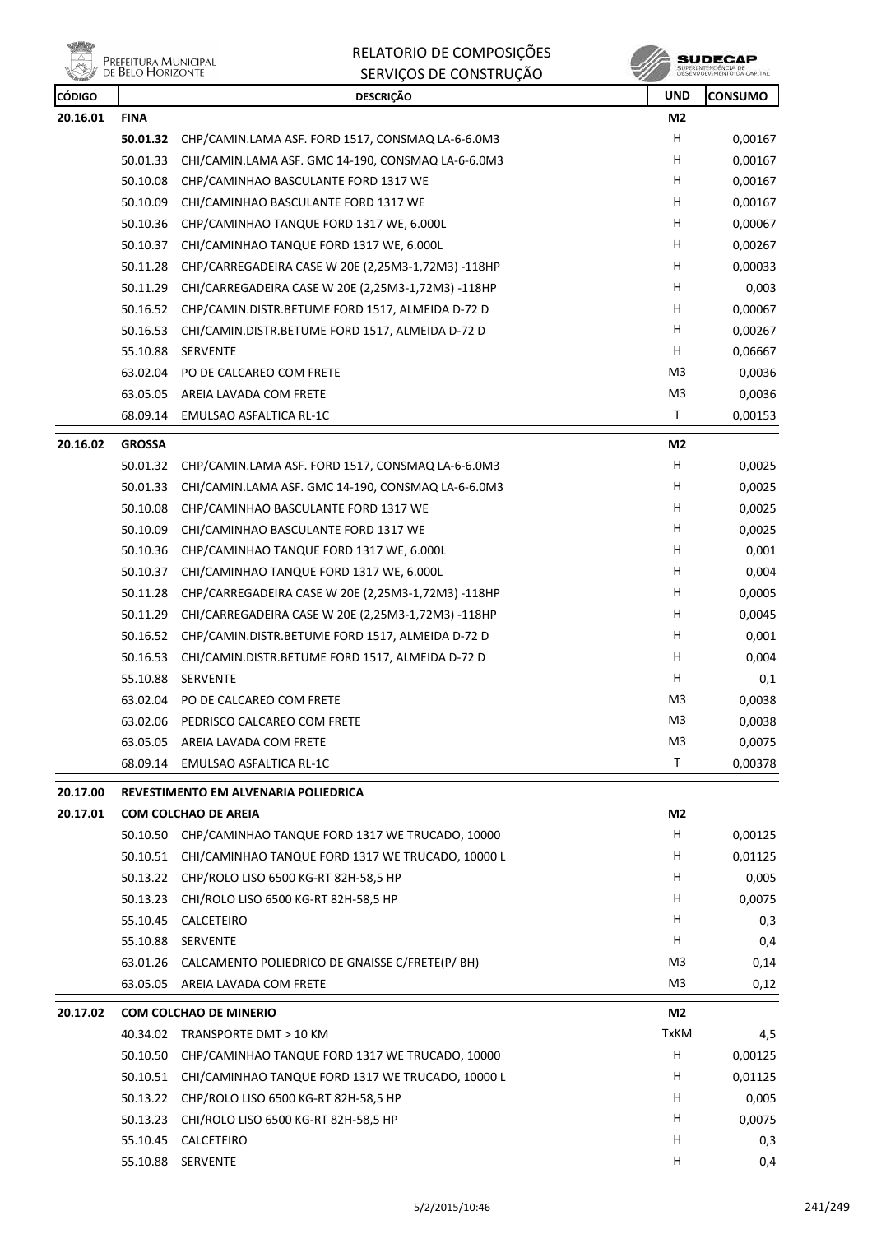



| <b>REAL PROPERTY</b><br><b>CÓDIGO</b> |               | SENVIÇOS DE CONSTNUÇÃO<br><b>DESCRIÇÃO</b>               | ×<br><b>UND</b> | <b>CONSUMO</b> |
|---------------------------------------|---------------|----------------------------------------------------------|-----------------|----------------|
| 20.16.01                              | <b>FINA</b>   |                                                          | M2              |                |
|                                       | 50.01.32      | CHP/CAMIN.LAMA ASF. FORD 1517, CONSMAQ LA-6-6.0M3        | н               | 0,00167        |
|                                       | 50.01.33      | CHI/CAMIN.LAMA ASF. GMC 14-190, CONSMAQ LA-6-6.0M3       | н               | 0,00167        |
|                                       | 50.10.08      | CHP/CAMINHAO BASCULANTE FORD 1317 WE                     | н               | 0,00167        |
|                                       | 50.10.09      | CHI/CAMINHAO BASCULANTE FORD 1317 WE                     | н               | 0,00167        |
|                                       | 50.10.36      | CHP/CAMINHAO TANQUE FORD 1317 WE, 6.000L                 | н               | 0,00067        |
|                                       | 50.10.37      | CHI/CAMINHAO TANQUE FORD 1317 WE, 6.000L                 | H               | 0,00267        |
|                                       | 50.11.28      | CHP/CARREGADEIRA CASE W 20E (2,25M3-1,72M3) -118HP       | H               | 0,00033        |
|                                       | 50.11.29      | CHI/CARREGADEIRA CASE W 20E (2,25M3-1,72M3) -118HP       | н               | 0,003          |
|                                       | 50.16.52      | CHP/CAMIN.DISTR.BETUME FORD 1517, ALMEIDA D-72 D         | н               | 0,00067        |
|                                       | 50.16.53      | CHI/CAMIN.DISTR.BETUME FORD 1517, ALMEIDA D-72 D         | н               | 0,00267        |
|                                       | 55.10.88      | SERVENTE                                                 | H.              | 0,06667        |
|                                       | 63.02.04      | PO DE CALCAREO COM FRETE                                 | M <sub>3</sub>  | 0,0036         |
|                                       | 63.05.05      | AREIA LAVADA COM FRETE                                   | M <sub>3</sub>  | 0,0036         |
|                                       | 68.09.14      | <b>EMULSAO ASFALTICA RL-1C</b>                           | Τ               | 0,00153        |
| 20.16.02                              | <b>GROSSA</b> |                                                          | M <sub>2</sub>  |                |
|                                       | 50.01.32      | CHP/CAMIN.LAMA ASF. FORD 1517, CONSMAQ LA-6-6.0M3        | H               | 0,0025         |
|                                       | 50.01.33      | CHI/CAMIN.LAMA ASF. GMC 14-190, CONSMAQ LA-6-6.0M3       | н               | 0,0025         |
|                                       | 50.10.08      | CHP/CAMINHAO BASCULANTE FORD 1317 WE                     | H               | 0,0025         |
|                                       | 50.10.09      | CHI/CAMINHAO BASCULANTE FORD 1317 WE                     | H               | 0,0025         |
|                                       | 50.10.36      | CHP/CAMINHAO TANQUE FORD 1317 WE, 6.000L                 | н               | 0,001          |
|                                       | 50.10.37      | CHI/CAMINHAO TANQUE FORD 1317 WE, 6.000L                 | H               | 0,004          |
|                                       | 50.11.28      | CHP/CARREGADEIRA CASE W 20E (2,25M3-1,72M3) -118HP       | н               | 0,0005         |
|                                       | 50.11.29      | CHI/CARREGADEIRA CASE W 20E (2,25M3-1,72M3) -118HP       | H               | 0,0045         |
|                                       | 50.16.52      | CHP/CAMIN.DISTR.BETUME FORD 1517, ALMEIDA D-72 D         | н               | 0,001          |
|                                       | 50.16.53      | CHI/CAMIN.DISTR.BETUME FORD 1517, ALMEIDA D-72 D         | н               | 0,004          |
|                                       | 55.10.88      | SERVENTE                                                 | н               | 0,1            |
|                                       | 63.02.04      | PO DE CALCAREO COM FRETE                                 | M <sub>3</sub>  | 0,0038         |
|                                       | 63.02.06      | PEDRISCO CALCAREO COM FRETE                              | M3              | 0,0038         |
|                                       |               | 63.05.05 AREIA LAVADA COM FRETE                          | M <sub>3</sub>  | 0,0075         |
|                                       | 68.09.14      | EMULSAO ASFALTICA RL-1C                                  | Τ               | 0,00378        |
| 20.17.00                              |               | REVESTIMENTO EM ALVENARIA POLIEDRICA                     |                 |                |
| 20.17.01                              |               | <b>COM COLCHAO DE AREIA</b>                              | M2              |                |
|                                       |               | 50.10.50 CHP/CAMINHAO TANQUE FORD 1317 WE TRUCADO, 10000 | H.              | 0,00125        |
|                                       | 50.10.51      | CHI/CAMINHAO TANQUE FORD 1317 WE TRUCADO, 10000 L        | H               | 0,01125        |
|                                       | 50.13.22      | CHP/ROLO LISO 6500 KG-RT 82H-58,5 HP                     | H               | 0,005          |
|                                       | 50.13.23      | CHI/ROLO LISO 6500 KG-RT 82H-58,5 HP                     | H               | 0,0075         |
|                                       | 55.10.45      | CALCETEIRO                                               | H               | 0,3            |
|                                       | 55.10.88      | SERVENTE                                                 | H.              | 0,4            |
|                                       | 63.01.26      | CALCAMENTO POLIEDRICO DE GNAISSE C/FRETE(P/ BH)          | M3              | 0,14           |
|                                       | 63.05.05      | AREIA LAVADA COM FRETE                                   | M3              | 0,12           |
| 20.17.02                              |               | <b>COM COLCHAO DE MINERIO</b>                            | M2              |                |
|                                       |               | 40.34.02 TRANSPORTE DMT > 10 KM                          | <b>TxKM</b>     | 4,5            |
|                                       | 50.10.50      | CHP/CAMINHAO TANQUE FORD 1317 WE TRUCADO, 10000          | н               | 0,00125        |
|                                       | 50.10.51      | CHI/CAMINHAO TANQUE FORD 1317 WE TRUCADO, 10000 L        | H               | 0,01125        |
|                                       | 50.13.22      | CHP/ROLO LISO 6500 KG-RT 82H-58,5 HP                     | H               | 0,005          |
|                                       | 50.13.23      | CHI/ROLO LISO 6500 KG-RT 82H-58,5 HP                     | H               | 0,0075         |
|                                       | 55.10.45      | CALCETEIRO                                               | H               | 0,3            |
|                                       |               | 55.10.88 SERVENTE                                        | H               | 0,4            |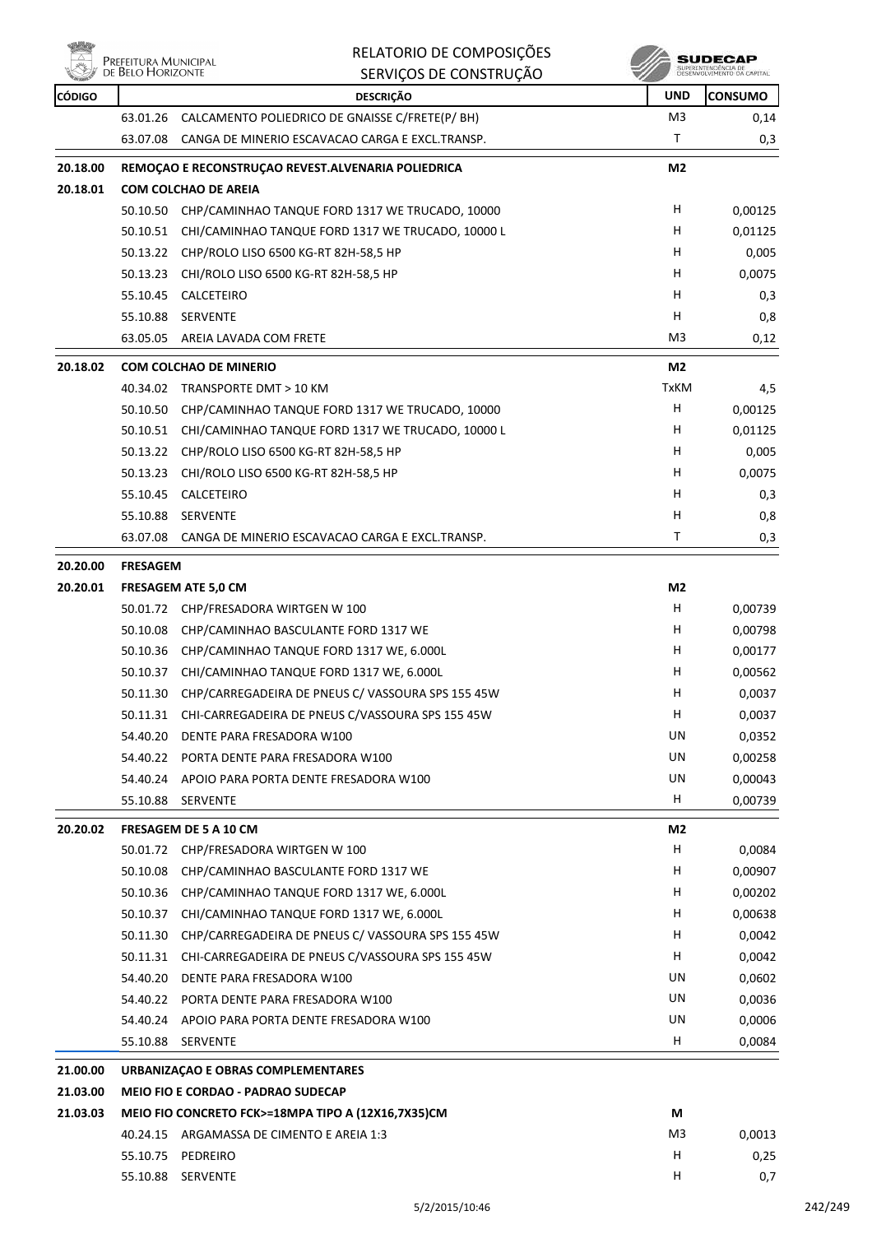

| alib                 |                                           | RELATORIO DE COMPOSIÇÕES                                                        |                | SUDECAP                                          |
|----------------------|-------------------------------------------|---------------------------------------------------------------------------------|----------------|--------------------------------------------------|
|                      | Prefeitura Municipal<br>de Belo Horizonte | SERVIÇOS DE CONSTRUÇÃO                                                          |                | SUPERINTENDÊNCIA DE<br>DESENVOLVIMENTO DA CAPITA |
| <b>CÓDIGO</b>        |                                           | <b>DESCRIÇÃO</b>                                                                | UND            | <b>CONSUMO</b>                                   |
|                      | 63.01.26                                  | CALCAMENTO POLIEDRICO DE GNAISSE C/FRETE(P/ BH)                                 | M <sub>3</sub> | 0,14                                             |
|                      | 63.07.08                                  | CANGA DE MINERIO ESCAVACAO CARGA E EXCL.TRANSP.                                 | Τ              | 0,3                                              |
| 20.18.00             |                                           | REMOÇÃO E RECONSTRUÇÃO REVEST. ALVENARIA POLIEDRICA                             | M <sub>2</sub> |                                                  |
| 20.18.01             |                                           | <b>COM COLCHAO DE AREIA</b>                                                     |                |                                                  |
|                      | 50.10.50                                  | CHP/CAMINHAO TANQUE FORD 1317 WE TRUCADO, 10000                                 | н              | 0,00125                                          |
|                      |                                           | 50.10.51 CHI/CAMINHAO TANQUE FORD 1317 WE TRUCADO, 10000 L                      | н              | 0,01125                                          |
|                      | 50.13.22                                  | CHP/ROLO LISO 6500 KG-RT 82H-58,5 HP                                            | н              | 0,005                                            |
|                      | 50.13.23                                  | CHI/ROLO LISO 6500 KG-RT 82H-58,5 HP                                            | н              | 0,0075                                           |
|                      | 55.10.45                                  | CALCETEIRO                                                                      | н              | 0,3                                              |
|                      | 55.10.88                                  | <b>SERVENTE</b>                                                                 | н              | 0,8                                              |
|                      | 63.05.05                                  | AREIA LAVADA COM FRETE                                                          | M3             | 0,12                                             |
| 20.18.02             |                                           | <b>COM COLCHAO DE MINERIO</b>                                                   | M2             |                                                  |
|                      |                                           | 40.34.02 TRANSPORTE DMT > 10 KM                                                 | <b>TxKM</b>    | 4,5                                              |
|                      | 50.10.50                                  | CHP/CAMINHAO TANQUE FORD 1317 WE TRUCADO, 10000                                 | н              | 0,00125                                          |
|                      | 50.10.51                                  | CHI/CAMINHAO TANQUE FORD 1317 WE TRUCADO, 10000 L                               | н              | 0,01125                                          |
|                      | 50.13.22                                  | CHP/ROLO LISO 6500 KG-RT 82H-58,5 HP                                            | н              | 0,005                                            |
|                      | 50.13.23                                  | CHI/ROLO LISO 6500 KG-RT 82H-58,5 HP                                            | н              | 0,0075                                           |
|                      | 55.10.45                                  | CALCETEIRO                                                                      | н              | 0,3                                              |
|                      | 55.10.88                                  | <b>SERVENTE</b>                                                                 | н              | 0,8                                              |
|                      | 63.07.08                                  | CANGA DE MINERIO ESCAVACAO CARGA E EXCL.TRANSP.                                 | Τ              | 0,3                                              |
| 20.20.00             | <b>FRESAGEM</b>                           |                                                                                 |                |                                                  |
| 20.20.01             |                                           | <b>FRESAGEM ATE 5,0 CM</b>                                                      | M <sub>2</sub> |                                                  |
|                      |                                           | 50.01.72 CHP/FRESADORA WIRTGEN W 100                                            | н              | 0,00739                                          |
|                      | 50.10.08                                  | CHP/CAMINHAO BASCULANTE FORD 1317 WE                                            | н              | 0,00798                                          |
|                      |                                           | 50.10.36 CHP/CAMINHAO TANQUE FORD 1317 WE, 6.000L                               | н              | 0,00177                                          |
|                      |                                           | 50.10.37 CHI/CAMINHAO TANQUE FORD 1317 WE, 6.000L                               | н              | 0,00562                                          |
|                      |                                           | 50.11.30 CHP/CARREGADEIRA DE PNEUS C/ VASSOURA SPS 155 45W                      | н              | 0,0037                                           |
|                      |                                           | 50.11.31 CHI-CARREGADEIRA DE PNEUS C/VASSOURA SPS 155 45W                       | н              | 0,0037                                           |
|                      |                                           | 54.40.20 DENTE PARA FRESADORA W100                                              | UN             | 0,0352                                           |
|                      |                                           | 54.40.22 PORTA DENTE PARA FRESADORA W100                                        | UN             | 0,00258                                          |
|                      |                                           | 54.40.24 APOIO PARA PORTA DENTE FRESADORA W100                                  | UN             | 0,00043                                          |
|                      |                                           | 55.10.88 SERVENTE                                                               | H              | 0,00739                                          |
| 20.20.02             |                                           | FRESAGEM DE 5 A 10 CM                                                           | M2             |                                                  |
|                      |                                           | 50.01.72 CHP/FRESADORA WIRTGEN W 100                                            | н              | 0,0084                                           |
|                      | 50.10.08                                  | CHP/CAMINHAO BASCULANTE FORD 1317 WE                                            | н              | 0,00907                                          |
|                      | 50.10.36                                  | CHP/CAMINHAO TANQUE FORD 1317 WE, 6.000L                                        | н              | 0,00202                                          |
|                      | 50.10.37                                  | CHI/CAMINHAO TANQUE FORD 1317 WE, 6.000L                                        | H              | 0,00638                                          |
|                      |                                           | 50.11.30 CHP/CARREGADEIRA DE PNEUS C/ VASSOURA SPS 155 45W                      | H              | 0,0042                                           |
|                      |                                           | 50.11.31 CHI-CARREGADEIRA DE PNEUS C/VASSOURA SPS 155 45W                       | H.             | 0,0042                                           |
|                      |                                           | 54.40.20 DENTE PARA FRESADORA W100                                              | UN             | 0,0602                                           |
|                      |                                           | 54.40.22 PORTA DENTE PARA FRESADORA W100                                        | UN             | 0,0036                                           |
|                      |                                           | 54.40.24 APOIO PARA PORTA DENTE FRESADORA W100                                  | UN             | 0,0006                                           |
|                      |                                           | 55.10.88 SERVENTE                                                               | H              | 0,0084                                           |
|                      |                                           |                                                                                 |                |                                                  |
| 21.00.00<br>21.03.00 |                                           | URBANIZAÇÃO E OBRAS COMPLEMENTARES<br><b>MEIO FIO E CORDAO - PADRAO SUDECAP</b> |                |                                                  |
| 21.03.03             |                                           | MEIO FIO CONCRETO FCK>=18MPA TIPO A (12X16,7X35)CM                              | М              |                                                  |
|                      |                                           | 40.24.15 ARGAMASSA DE CIMENTO E AREIA 1:3                                       | M3             | 0,0013                                           |
|                      |                                           | 55.10.75 PEDREIRO                                                               | н              | 0,25                                             |
|                      |                                           | 55.10.88 SERVENTE                                                               | H              | 0,7                                              |
|                      |                                           |                                                                                 |                |                                                  |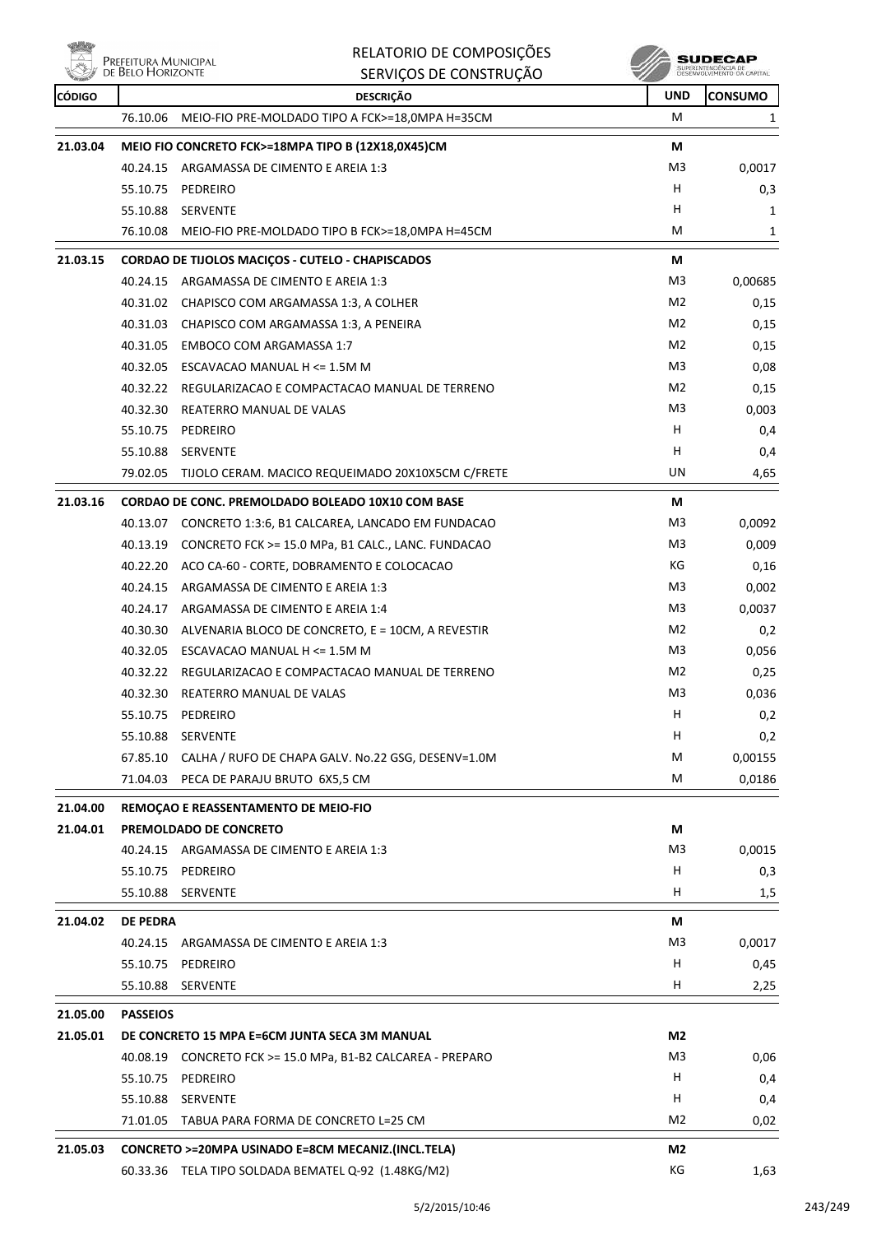| 全国の<br>$\overline{\mathbb{Z}}$ | RELATORIO DE COMPOSIÇÕES<br>PREFEITURA MUNICIPAL<br>DE BELO HORIZONTE<br>SERVIÇOS DE CONSTRUÇÃO |            | <b>SUDECAP</b><br>SUPERINTENDÊNCIA DE<br>DÉSENVOLVIMENTO DA CAPITAL |
|--------------------------------|-------------------------------------------------------------------------------------------------|------------|---------------------------------------------------------------------|
| <b>CÓDIGO</b>                  | <b>DESCRICÃO</b>                                                                                | <b>UND</b> | <b>ICONSUMO</b>                                                     |
|                                | MEIO-FIO PRE-MOLDADO TIPO A FCK>=18,0MPA H=35CM<br>76.10.06                                     | M          |                                                                     |

| <b>CODIGO</b> |                 | DESCRIÇAO                                                   | טויט           | LUNSUMU |
|---------------|-----------------|-------------------------------------------------------------|----------------|---------|
|               | 76.10.06        | MEIO-FIO PRE-MOLDADO TIPO A FCK>=18,0MPA H=35CM             | М              | 1       |
| 21.03.04      |                 | MEIO FIO CONCRETO FCK>=18MPA TIPO B (12X18,0X45)CM          | М              |         |
|               |                 | 40.24.15 ARGAMASSA DE CIMENTO E AREIA 1:3                   | M <sub>3</sub> | 0,0017  |
|               | 55.10.75        | PEDREIRO                                                    | H              | 0,3     |
|               |                 | 55.10.88 SERVENTE                                           | н              | 1       |
|               |                 | 76.10.08 MEIO-FIO PRE-MOLDADO TIPO B FCK>=18,0MPA H=45CM    | М              | 1       |
| 21.03.15      |                 | <b>CORDAO DE TIJOLOS MACIÇOS - CUTELO - CHAPISCADOS</b>     | М              |         |
|               |                 | 40.24.15 ARGAMASSA DE CIMENTO E AREIA 1:3                   | M3             | 0,00685 |
|               |                 | 40.31.02 CHAPISCO COM ARGAMASSA 1:3, A COLHER               | M2             | 0,15    |
|               |                 | 40.31.03 CHAPISCO COM ARGAMASSA 1:3, A PENEIRA              | M2             | 0,15    |
|               | 40.31.05        | <b>EMBOCO COM ARGAMASSA 1:7</b>                             | M2             | 0,15    |
|               |                 | 40.32.05 ESCAVACAO MANUAL H <= 1.5M M                       | M3             | 0,08    |
|               |                 | 40.32.22 REGULARIZACAO E COMPACTACAO MANUAL DE TERRENO      | M2             | 0,15    |
|               |                 | 40.32.30 REATERRO MANUAL DE VALAS                           | M3             | 0,003   |
|               | 55.10.75        | PEDREIRO                                                    | H              | 0,4     |
|               |                 | 55.10.88 SERVENTE                                           | н              | 0,4     |
|               |                 | 79.02.05 TIJOLO CERAM. MACICO REQUEIMADO 20X10X5CM C/FRETE  | UN             | 4,65    |
| 21.03.16      |                 | CORDAO DE CONC. PREMOLDADO BOLEADO 10X10 COM BASE           | М              |         |
|               |                 | 40.13.07 CONCRETO 1:3:6, B1 CALCAREA, LANCADO EM FUNDACAO   | M3             | 0,0092  |
|               |                 | 40.13.19 CONCRETO FCK >= 15.0 MPa, B1 CALC., LANC. FUNDACAO | M3             | 0,009   |
|               |                 | 40.22.20 ACO CA-60 - CORTE, DOBRAMENTO E COLOCACAO          | КG             | 0,16    |
|               |                 | 40.24.15 ARGAMASSA DE CIMENTO E AREIA 1:3                   | M3             | 0,002   |
|               |                 | 40.24.17 ARGAMASSA DE CIMENTO E AREIA 1:4                   | M3             | 0,0037  |
|               |                 | 40.30.30 ALVENARIA BLOCO DE CONCRETO, E = 10CM, A REVESTIR  | M2             | 0,2     |
|               |                 | 40.32.05 ESCAVACAO MANUAL H <= 1.5M M                       | M3             | 0,056   |
|               |                 | 40.32.22 REGULARIZACAO E COMPACTACAO MANUAL DE TERRENO      | M2             | 0,25    |
|               |                 | 40.32.30 REATERRO MANUAL DE VALAS                           | M3             | 0,036   |
|               | 55.10.75        | PEDREIRO                                                    | н              | 0,2     |
|               |                 | 55.10.88 SERVENTE                                           | H              | 0,2     |
|               | 67.85.10        | CALHA / RUFO DE CHAPA GALV. No.22 GSG, DESENV=1.0M          | M              | 0,00155 |
|               | 71.04.03        | PECA DE PARAJU BRUTO 6X5,5 CM                               | M              | 0,0186  |
| 21.04.00      |                 | REMOÇÃO E REASSENTAMENTO DE MEIO-FIO                        |                |         |
| 21.04.01      |                 | PREMOLDADO DE CONCRETO                                      | М              |         |
|               |                 | 40.24.15 ARGAMASSA DE CIMENTO E AREIA 1:3                   | M3             | 0,0015  |
|               | 55.10.75        | PEDREIRO                                                    | н              | 0,3     |
|               | 55.10.88        | SERVENTE                                                    | H              | 1,5     |
| 21.04.02      | <b>DE PEDRA</b> |                                                             | М              |         |
|               |                 | 40.24.15 ARGAMASSA DE CIMENTO E AREIA 1:3                   | M <sub>3</sub> | 0,0017  |
|               | 55.10.75        | PEDREIRO                                                    | н              | 0,45    |
|               | 55.10.88        | SERVENTE                                                    | н              | 2,25    |
| 21.05.00      | <b>PASSEIOS</b> |                                                             |                |         |
| 21.05.01      |                 | DE CONCRETO 15 MPA E=6CM JUNTA SECA 3M MANUAL               | M2             |         |
|               | 40.08.19        | CONCRETO FCK >= 15.0 MPa, B1-B2 CALCAREA - PREPARO          | M3             | 0,06    |
|               |                 | 55.10.75 PEDREIRO                                           | н              | 0,4     |
|               | 55.10.88        | SERVENTE                                                    | н              | 0,4     |
|               |                 | 71.01.05 TABUA PARA FORMA DE CONCRETO L=25 CM               | M2             | 0,02    |
| 21.05.03      |                 | CONCRETO >=20MPA USINADO E=8CM MECANIZ.(INCL.TELA)          | M2             |         |
|               |                 | 60.33.36 TELA TIPO SOLDADA BEMATEL Q-92 (1.48KG/M2)         | KG             | 1,63    |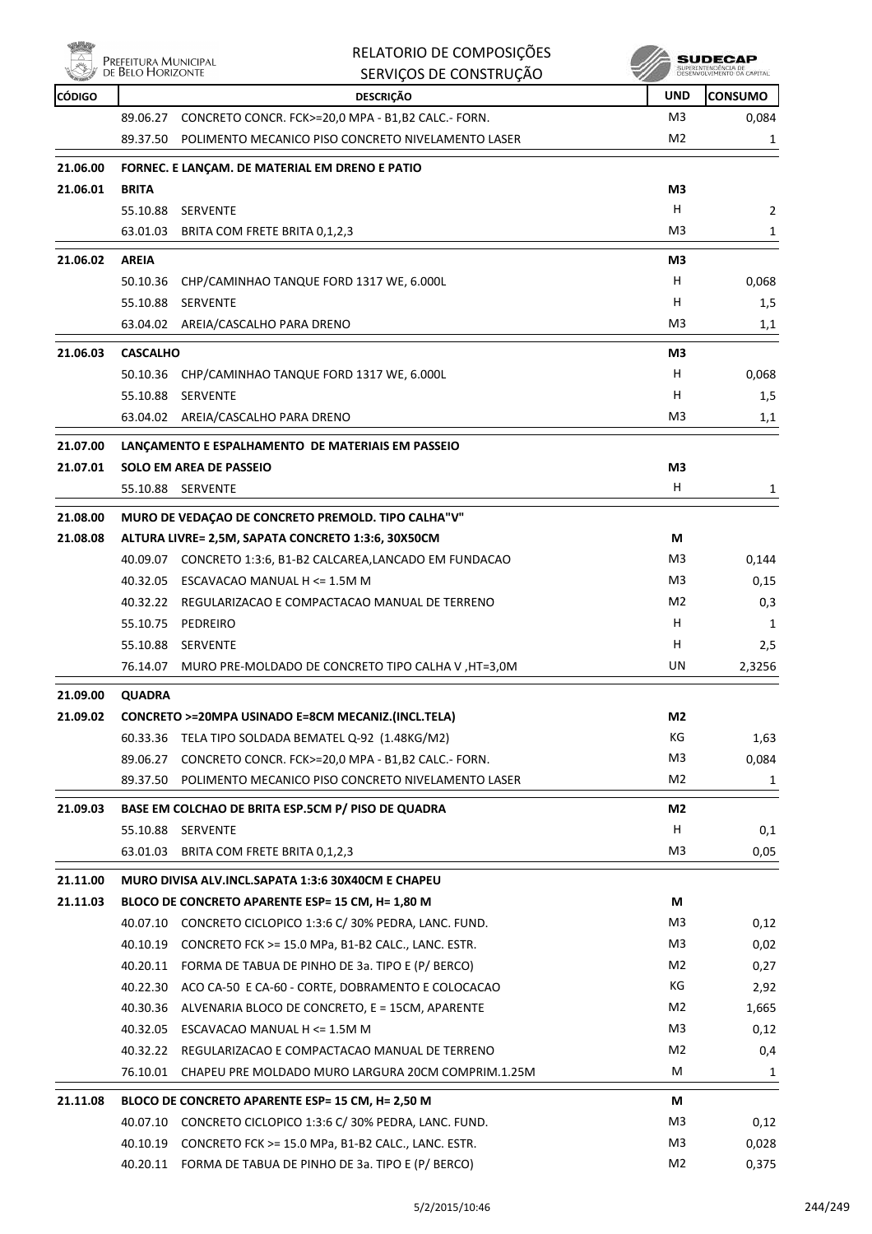

|               | PREFEITURA MUNICIPAL | RELATORIO DE COMPOSIÇÕES                                     |                | SUDECAP                                           |
|---------------|----------------------|--------------------------------------------------------------|----------------|---------------------------------------------------|
|               | DE BELO HORIZONTE    | SERVIÇOS DE CONSTRUÇÃO                                       |                | SUPERINTENDÊNCIA DE<br>DESENVOLVIMENTO DA CAPITAL |
| <b>CÓDIGO</b> |                      | <b>DESCRIÇÃO</b>                                             | <b>UND</b>     | <b>CONSUMO</b>                                    |
|               | 89.06.27             | CONCRETO CONCR. FCK>=20,0 MPA - B1,B2 CALC.- FORN.           | M3             | 0,084                                             |
|               | 89.37.50             | POLIMENTO MECANICO PISO CONCRETO NIVELAMENTO LASER           | M <sub>2</sub> | 1                                                 |
| 21.06.00      |                      | FORNEC. E LANÇAM. DE MATERIAL EM DRENO E PATIO               |                |                                                   |
| 21.06.01      | <b>BRITA</b>         |                                                              | M3             |                                                   |
|               | 55.10.88             | <b>SERVENTE</b>                                              | н              | 2                                                 |
|               |                      | 63.01.03 BRITA COM FRETE BRITA 0,1,2,3                       | M3             | 1                                                 |
| 21.06.02      | <b>AREIA</b>         |                                                              | M3             |                                                   |
|               | 50.10.36             | CHP/CAMINHAO TANQUE FORD 1317 WE, 6.000L                     | H              | 0,068                                             |
|               | 55.10.88             | <b>SERVENTE</b>                                              | н              | 1,5                                               |
|               |                      | 63.04.02 AREIA/CASCALHO PARA DRENO                           | M3             | 1,1                                               |
|               |                      |                                                              |                |                                                   |
| 21.06.03      | <b>CASCALHO</b>      |                                                              | M3             |                                                   |
|               |                      | 50.10.36 CHP/CAMINHAO TANQUE FORD 1317 WE, 6.000L            | н              | 0,068                                             |
|               |                      | 55.10.88 SERVENTE                                            | н              | 1,5                                               |
|               |                      | 63.04.02 AREIA/CASCALHO PARA DRENO                           | M3             | 1,1                                               |
| 21.07.00      |                      | LANÇAMENTO E ESPALHAMENTO DE MATERIAIS EM PASSEIO            |                |                                                   |
| 21.07.01      |                      | <b>SOLO EM AREA DE PASSEIO</b>                               | M3             |                                                   |
|               | 55.10.88             | <b>SERVENTE</b>                                              | н              | 1                                                 |
| 21.08.00      |                      | MURO DE VEDAÇÃO DE CONCRETO PREMOLD. TIPO CALHA "V"          |                |                                                   |
| 21.08.08      |                      | ALTURA LIVRE= 2,5M, SAPATA CONCRETO 1:3:6, 30X50CM           | М              |                                                   |
|               |                      | 40.09.07 CONCRETO 1:3:6, B1-B2 CALCAREA, LANCADO EM FUNDACAO | M3             | 0,144                                             |
|               | 40.32.05             | ESCAVACAO MANUAL H <= 1.5M M                                 | M3             | 0,15                                              |
|               |                      | 40.32.22 REGULARIZACAO E COMPACTACAO MANUAL DE TERRENO       | M <sub>2</sub> | 0,3                                               |
|               | 55.10.75             | PEDREIRO                                                     | H              | 1                                                 |
|               |                      | 55.10.88 SERVENTE                                            | н              | 2,5                                               |
|               | 76.14.07             | MURO PRE-MOLDADO DE CONCRETO TIPO CALHA V, HT=3,0M           | UN             | 2,3256                                            |
| 21.09.00      | QUADRA               |                                                              |                |                                                   |
| 21.09.02      |                      | CONCRETO >=20MPA USINADO E=8CM MECANIZ.(INCL.TELA)           | M2             |                                                   |
|               |                      | 60.33.36 TELA TIPO SOLDADA BEMATEL Q-92 (1.48KG/M2)          | КG             | 1,63                                              |
|               | 89.06.27             | CONCRETO CONCR. FCK>=20,0 MPA - B1,B2 CALC.- FORN.           | M <sub>3</sub> | 0,084                                             |
|               |                      | 89.37.50 POLIMENTO MECANICO PISO CONCRETO NIVELAMENTO LASER  | M2             | 1                                                 |
|               |                      |                                                              |                |                                                   |
| 21.09.03      |                      | BASE EM COLCHAO DE BRITA ESP.5CM P/ PISO DE QUADRA           | M2             |                                                   |
|               |                      | 55.10.88 SERVENTE                                            | Н              | 0,1                                               |
|               | 63.01.03             | BRITA COM FRETE BRITA 0,1,2,3                                | M3             | 0,05                                              |
| 21.11.00      |                      | MURO DIVISA ALV.INCL.SAPATA 1:3:6 30X40CM E CHAPEU           |                |                                                   |
| 21.11.03      |                      | BLOCO DE CONCRETO APARENTE ESP= 15 CM, H= 1,80 M             | М              |                                                   |
|               |                      | 40.07.10 CONCRETO CICLOPICO 1:3:6 C/ 30% PEDRA, LANC. FUND.  | M <sub>3</sub> | 0,12                                              |
|               | 40.10.19             | CONCRETO FCK >= 15.0 MPa, B1-B2 CALC., LANC. ESTR.           | M <sub>3</sub> | 0,02                                              |
|               |                      | 40.20.11 FORMA DE TABUA DE PINHO DE 3a. TIPO E (P/ BERCO)    | M2             | 0,27                                              |
|               |                      | 40.22.30 ACO CA-50 E CA-60 - CORTE, DOBRAMENTO E COLOCACAO   | КG             | 2,92                                              |
|               |                      | 40.30.36 ALVENARIA BLOCO DE CONCRETO, E = 15CM, APARENTE     | M2             | 1,665                                             |
|               |                      | 40.32.05 ESCAVACAO MANUAL H <= 1.5M M                        | M <sub>3</sub> | 0,12                                              |
|               |                      | 40.32.22 REGULARIZACAO E COMPACTACAO MANUAL DE TERRENO       | M <sub>2</sub> | 0,4                                               |
|               | 76.10.01             | CHAPEU PRE MOLDADO MURO LARGURA 20CM COMPRIM.1.25M           | M              | 1                                                 |
| 21.11.08      |                      | BLOCO DE CONCRETO APARENTE ESP= 15 CM, H= 2,50 M             | М              |                                                   |
|               |                      | 40.07.10 CONCRETO CICLOPICO 1:3:6 C/ 30% PEDRA, LANC. FUND.  | M3             | 0,12                                              |
|               | 40.10.19             | CONCRETO FCK >= 15.0 MPa, B1-B2 CALC., LANC. ESTR.           | M <sub>3</sub> | 0,028                                             |
|               |                      | 40.20.11 FORMA DE TABUA DE PINHO DE 3a. TIPO E (P/ BERCO)    | M2             | 0,375                                             |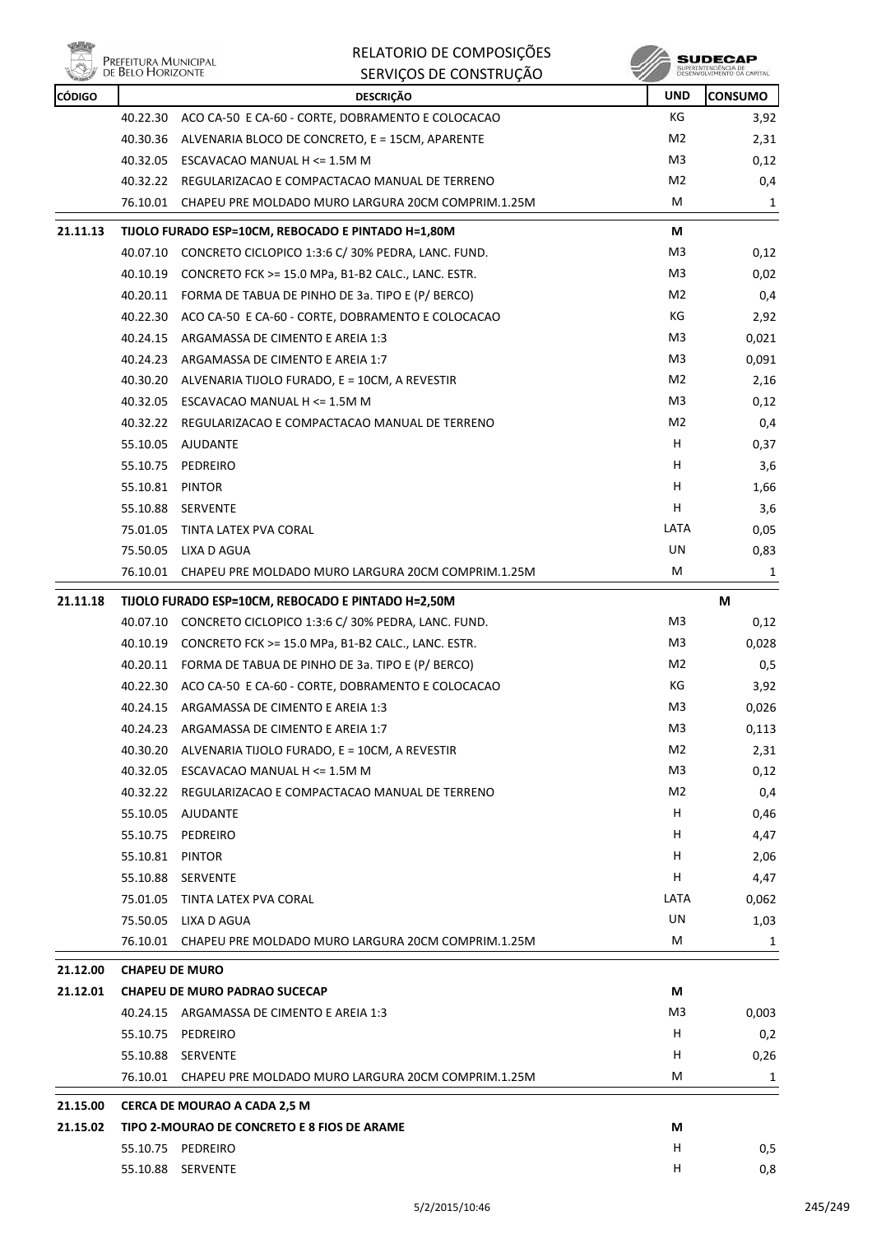

| PREFEITURA MUNICIPAL<br>DE BELO HORIZONTE |          | RELATORIO DE COMPOSIÇÕES<br>SERVIÇOS DE CONSTRUÇÃO |                | <b>SUDECAP</b><br>SUPERINTENDÊNCIA DE<br>DESENVOLVIMENTO DA CAPITAL |
|-------------------------------------------|----------|----------------------------------------------------|----------------|---------------------------------------------------------------------|
| CÓDIGO                                    |          | <b>DESCRICÃO</b>                                   | <b>UND</b>     | ICONSUMO                                                            |
|                                           | 40.22.30 | ACO CA-50 E CA-60 - CORTE, DOBRAMENTO E COLOCACAO  | КG             | 3,92                                                                |
|                                           | 40.30.36 | ALVENARIA BLOCO DE CONCRETO, E = 15CM, APARENTE    | M <sub>2</sub> | 2,31                                                                |
|                                           | 40.32.05 | ESCAVACAO MANUAL H <= 1.5M M                       | M <sub>3</sub> | 0,12                                                                |
|                                           | 40.32.22 | REGULARIZACAO E COMPACTACAO MANUAL DE TERRENO      | M <sub>2</sub> | 0,4                                                                 |
|                                           |          |                                                    |                |                                                                     |

|          |                                                    | 76.10.01 CHAPEU PRE MOLDADO MURO LARGURA 20CM COMPRIM.1.25M | М    | 1     |
|----------|----------------------------------------------------|-------------------------------------------------------------|------|-------|
| 21.11.13 |                                                    | TIJOLO FURADO ESP=10CM, REBOCADO E PINTADO H=1,80M          | М    |       |
|          |                                                    | 40.07.10 CONCRETO CICLOPICO 1:3:6 C/ 30% PEDRA, LANC. FUND. | M3   | 0,12  |
|          |                                                    | 40.10.19 CONCRETO FCK >= 15.0 MPa, B1-B2 CALC., LANC. ESTR. | M3   | 0,02  |
|          |                                                    | 40.20.11 FORMA DE TABUA DE PINHO DE 3a. TIPO E (P/ BERCO)   | M2   | 0,4   |
|          |                                                    | 40.22.30 ACO CA-50 E CA-60 - CORTE, DOBRAMENTO E COLOCACAO  | КG   | 2,92  |
|          |                                                    | 40.24.15 ARGAMASSA DE CIMENTO E AREIA 1:3                   | M3   | 0,021 |
|          |                                                    | 40.24.23 ARGAMASSA DE CIMENTO E AREIA 1:7                   | M3   | 0,091 |
|          |                                                    | 40.30.20 ALVENARIA TIJOLO FURADO, E = 10CM, A REVESTIR      | M2   | 2,16  |
|          |                                                    | 40.32.05 ESCAVACAO MANUAL H <= 1.5M M                       | M3   | 0,12  |
|          |                                                    | 40.32.22 REGULARIZACAO E COMPACTACAO MANUAL DE TERRENO      | M2   | 0,4   |
|          | 55.10.05                                           | AJUDANTE                                                    | H.   | 0,37  |
|          |                                                    | 55.10.75 PEDREIRO                                           | H.   | 3,6   |
|          | 55.10.81 PINTOR                                    |                                                             | H    | 1,66  |
|          |                                                    | 55.10.88 SERVENTE                                           | H    | 3,6   |
|          |                                                    | 75.01.05 TINTA LATEX PVA CORAL                              | LATA | 0,05  |
|          |                                                    | 75.50.05 LIXA D AGUA                                        | UN   | 0,83  |
|          |                                                    | 76.10.01 CHAPEU PRE MOLDADO MURO LARGURA 20CM COMPRIM.1.25M | М    | 1     |
| 21.11.18 | TIJOLO FURADO ESP=10CM, REBOCADO E PINTADO H=2,50M |                                                             |      | M     |
|          |                                                    | 40.07.10 CONCRETO CICLOPICO 1:3:6 C/ 30% PEDRA, LANC. FUND. | M3   | 0,12  |
|          |                                                    | 40.10.19 CONCRETO FCK >= 15.0 MPa, B1-B2 CALC., LANC. ESTR. | M3   | 0,028 |
|          |                                                    | 40.20.11 FORMA DE TABUA DE PINHO DE 3a. TIPO E (P/ BERCO)   | M2   | 0,5   |
|          |                                                    | 40.22.30 ACO CA-50 E CA-60 - CORTE, DOBRAMENTO E COLOCACAO  | КG   | 3,92  |
|          | 40.24.15                                           | ARGAMASSA DE CIMENTO E AREIA 1:3                            | M3   | 0,026 |
|          |                                                    | 40.24.23 ARGAMASSA DE CIMENTO E AREIA 1:7                   | M3   | 0,113 |
|          |                                                    | 40.30.20 ALVENARIA TIJOLO FURADO, E = 10CM, A REVESTIR      | M2   | 2,31  |
|          |                                                    | 40.32.05 ESCAVACAO MANUAL H <= 1.5M M                       | M3   | 0,12  |
|          |                                                    | 40.32.22 REGULARIZACAO E COMPACTACAO MANUAL DE TERRENO      | M2   | 0,4   |
|          |                                                    | 55.10.05 AJUDANTE                                           | H    | 0,46  |
|          |                                                    | 55.10.75 PEDREIRO                                           | H    | 4,47  |
|          | 55.10.81                                           | <b>PINTOR</b>                                               | H,   | 2,06  |
|          | 55.10.88                                           | SERVENTE                                                    | Н    | 4,47  |
|          | 75.01.05                                           | TINTA LATEX PVA CORAL                                       | LATA | 0,062 |
|          |                                                    | 75.50.05 LIXA D AGUA                                        | UN   | 1,03  |
|          | 76.10.01                                           | CHAPEU PRE MOLDADO MURO LARGURA 20CM COMPRIM.1.25M          | M    | 1     |
| 21.12.00 |                                                    | <b>CHAPEU DE MURO</b>                                       |      |       |
| 21.12.01 |                                                    | <b>CHAPEU DE MURO PADRAO SUCECAP</b>                        | М    |       |
|          |                                                    | 40.24.15 ARGAMASSA DE CIMENTO E AREIA 1:3                   | M3   | 0,003 |
|          | 55.10.75                                           | PEDREIRO                                                    | H    | 0,2   |
|          |                                                    | 55.10.88 SERVENTE                                           | H    | 0,26  |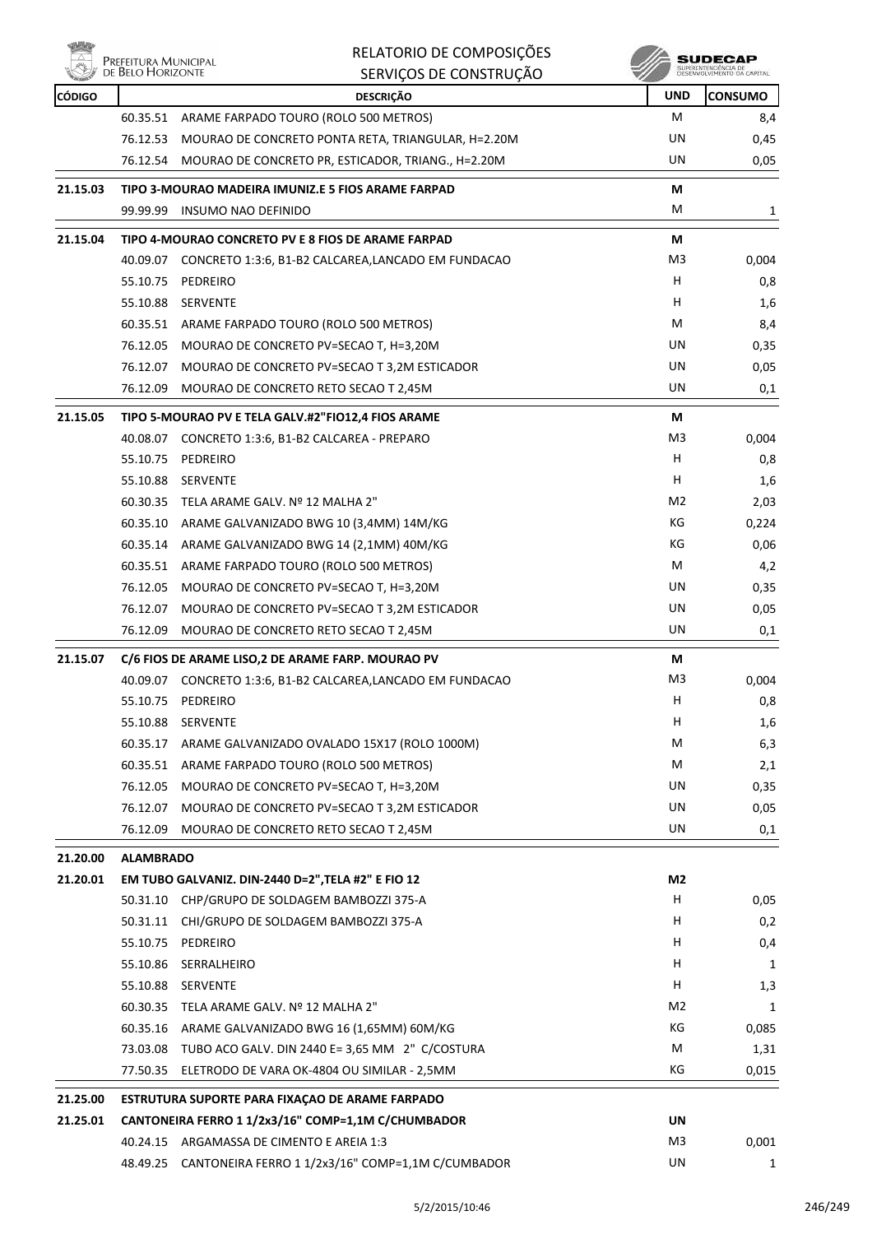

| RELATORIO DE COMPOSIÇÕES |
|--------------------------|
| SERVICOS DE CONSTRUÇÃO   |

| <b>RETAIL</b> |                                                                              | חלאמוניוניות במאווניר ב                                                                         |                |                |  |
|---------------|------------------------------------------------------------------------------|-------------------------------------------------------------------------------------------------|----------------|----------------|--|
| <b>CÓDIGO</b> |                                                                              | <b>DESCRIÇÃO</b>                                                                                | <b>UND</b>     | <b>CONSUMO</b> |  |
|               | 60.35.51                                                                     | ARAME FARPADO TOURO (ROLO 500 METROS)                                                           | М              | 8,4            |  |
|               | 76.12.53                                                                     | MOURAO DE CONCRETO PONTA RETA, TRIANGULAR, H=2.20M                                              | UN             | 0,45           |  |
|               | 76.12.54                                                                     | MOURAO DE CONCRETO PR, ESTICADOR, TRIANG., H=2.20M                                              | UN             | 0,05           |  |
| 21.15.03      |                                                                              | TIPO 3-MOURAO MADEIRA IMUNIZ.E 5 FIOS ARAME FARPAD                                              | М              |                |  |
|               |                                                                              | 99.99.99 INSUMO NAO DEFINIDO                                                                    | M              | 1              |  |
| 21.15.04      |                                                                              | TIPO 4-MOURAO CONCRETO PV E 8 FIOS DE ARAME FARPAD                                              | М              |                |  |
|               |                                                                              | 40.09.07 CONCRETO 1:3:6, B1-B2 CALCAREA,LANCADO EM FUNDACAO                                     | M3             | 0,004          |  |
|               | 55.10.75                                                                     | PEDREIRO                                                                                        | н              | 0,8            |  |
|               |                                                                              | 55.10.88 SERVENTE                                                                               | н              | 1,6            |  |
|               |                                                                              | 60.35.51 ARAME FARPADO TOURO (ROLO 500 METROS)                                                  | М              | 8,4            |  |
|               | 76.12.05                                                                     | MOURAO DE CONCRETO PV=SECAO T, H=3,20M                                                          | UN             | 0,35           |  |
|               | 76.12.07                                                                     | MOURAO DE CONCRETO PV=SECAO T 3,2M ESTICADOR                                                    | UN             | 0,05           |  |
|               | 76.12.09                                                                     | MOURAO DE CONCRETO RETO SECAO T 2,45M                                                           | UN             | 0,1            |  |
| 21.15.05      |                                                                              | TIPO 5-MOURAO PV E TELA GALV.#2"FIO12,4 FIOS ARAME                                              | М              |                |  |
|               |                                                                              | 40.08.07 CONCRETO 1:3:6, B1-B2 CALCAREA - PREPARO                                               | M <sub>3</sub> | 0,004          |  |
|               | 55.10.75                                                                     | PEDREIRO                                                                                        | н              | 0,8            |  |
|               | 55.10.88                                                                     | <b>SERVENTE</b>                                                                                 | н              | 1,6            |  |
|               |                                                                              | 60.30.35 TELA ARAME GALV. Nº 12 MALHA 2"                                                        | M2             | 2,03           |  |
|               |                                                                              | 60.35.10 ARAME GALVANIZADO BWG 10 (3,4MM) 14M/KG                                                | КG             | 0,224          |  |
|               |                                                                              | 60.35.14 ARAME GALVANIZADO BWG 14 (2,1MM) 40M/KG                                                | КG             | 0,06           |  |
|               |                                                                              | 60.35.51 ARAME FARPADO TOURO (ROLO 500 METROS)                                                  | М              | 4,2            |  |
|               | 76.12.05                                                                     | MOURAO DE CONCRETO PV=SECAO T, H=3,20M                                                          | UN             | 0,35           |  |
|               | 76.12.07                                                                     | MOURAO DE CONCRETO PV=SECAO T 3,2M ESTICADOR                                                    | UN             | 0,05           |  |
|               | 76.12.09                                                                     | MOURAO DE CONCRETO RETO SECAO T 2,45M                                                           | UN             | 0,1            |  |
| 21.15.07      |                                                                              | C/6 FIOS DE ARAME LISO, 2 DE ARAME FARP. MOURAO PV                                              | М              |                |  |
|               |                                                                              | 40.09.07 CONCRETO 1:3:6, B1-B2 CALCAREA,LANCADO EM FUNDACAO                                     | M3             | 0,004          |  |
|               | 55.10.75                                                                     | PEDREIRO                                                                                        | н              | 0,8            |  |
|               | 55.10.88                                                                     | SERVENTE                                                                                        | н              | 1,6            |  |
|               | 60.35.17                                                                     | ARAME GALVANIZADO OVALADO 15X17 (ROLO 1000M)                                                    | M              | 6,3            |  |
|               | 60.35.51                                                                     | ARAME FARPADO TOURO (ROLO 500 METROS)                                                           | М              | 2,1            |  |
|               | 76.12.05                                                                     | MOURAO DE CONCRETO PV=SECAO T, H=3,20M                                                          | UN             | 0,35           |  |
|               | 76.12.07                                                                     | MOURAO DE CONCRETO PV=SECAO T 3,2M ESTICADOR                                                    | UN             | 0,05           |  |
|               | 76.12.09                                                                     | MOURAO DE CONCRETO RETO SECAO T 2,45M                                                           | UN             | 0,1            |  |
| 21.20.00      |                                                                              |                                                                                                 |                |                |  |
| 21.20.01      | <b>ALAMBRADO</b><br>EM TUBO GALVANIZ. DIN-2440 D=2", TELA #2" E FIO 12<br>M2 |                                                                                                 |                |                |  |
|               | 50.31.10                                                                     | CHP/GRUPO DE SOLDAGEM BAMBOZZI 375-A                                                            | H              | 0,05           |  |
|               | 50.31.11                                                                     | CHI/GRUPO DE SOLDAGEM BAMBOZZI 375-A                                                            | H              | 0,2            |  |
|               | 55.10.75                                                                     | PEDREIRO                                                                                        | H              | 0,4            |  |
|               | 55.10.86                                                                     | SERRALHEIRO                                                                                     | н              | 1              |  |
|               | 55.10.88                                                                     | SERVENTE                                                                                        | н              | 1,3            |  |
|               |                                                                              | 60.30.35 TELA ARAME GALV. Nº 12 MALHA 2"                                                        | M2             | 1              |  |
|               |                                                                              | 60.35.16 ARAME GALVANIZADO BWG 16 (1,65MM) 60M/KG                                               | КG             | 0,085          |  |
|               |                                                                              | 73.03.08 TUBO ACO GALV. DIN 2440 E= 3,65 MM 2" C/COSTURA                                        | м              | 1,31           |  |
|               | 77.50.35                                                                     | ELETRODO DE VARA OK-4804 OU SIMILAR - 2,5MM                                                     | КG             | 0,015          |  |
|               |                                                                              |                                                                                                 |                |                |  |
| 21.25.00      |                                                                              | ESTRUTURA SUPORTE PARA FIXAÇÃO DE ARAME FARPADO                                                 | UN             |                |  |
| 21.25.01      |                                                                              | CANTONEIRA FERRO 1 1/2x3/16" COMP=1,1M C/CHUMBADOR<br>40.24.15 ARGAMASSA DE CIMENTO E AREIA 1:3 | M <sub>3</sub> |                |  |
|               | 48.49.25                                                                     | CANTONEIRA FERRO 1 1/2x3/16" COMP=1,1M C/CUMBADOR                                               | UN             | 0,001          |  |
|               |                                                                              |                                                                                                 |                | 1              |  |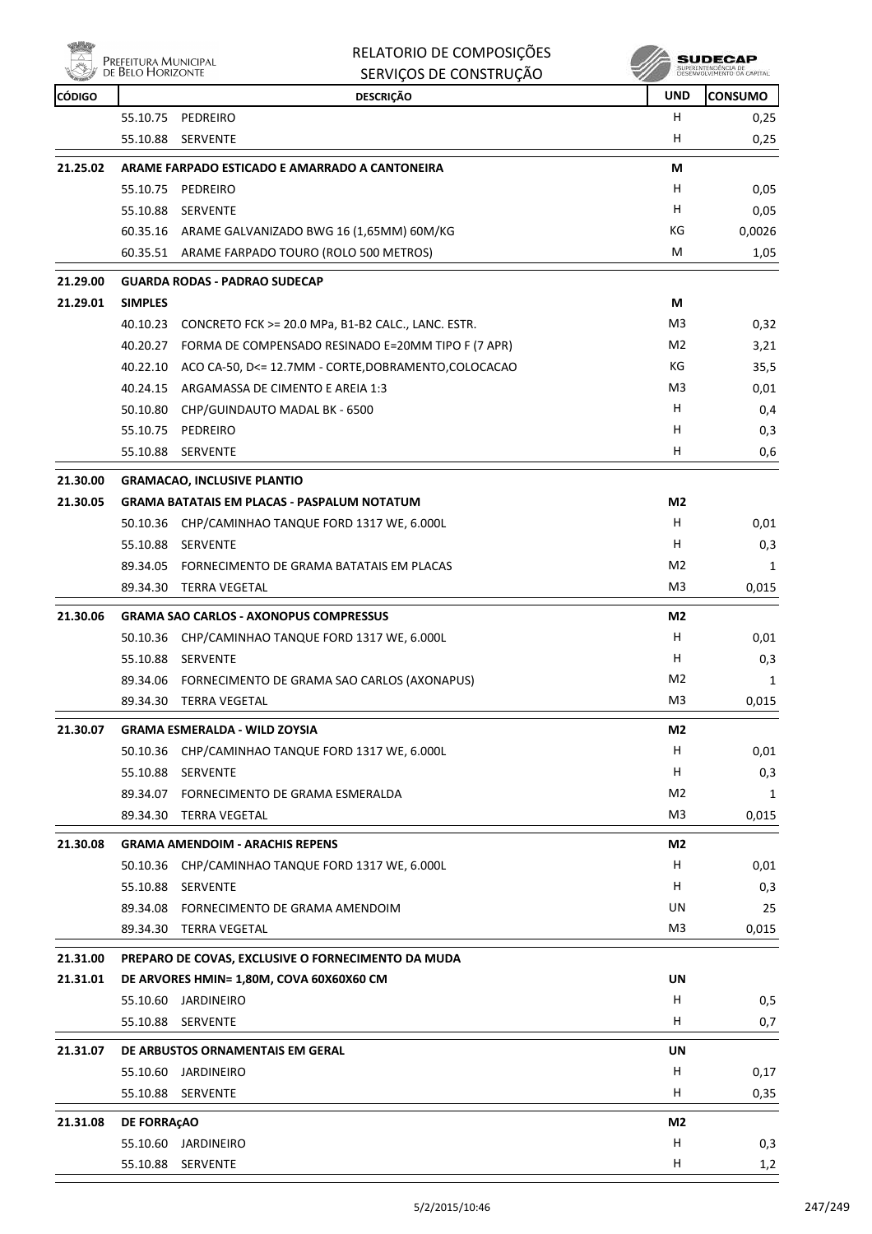

| RELATORIO DE COMPOSIÇÕES |
|--------------------------|
| CEDUICOS DE CONSTRUIÇÃO  |

|                      | <b>DE DELO I IONIZON IE</b> | SERVIÇOS DE CONSTRUÇÃO                                                                   |                | DESENVOLVEMENTO DA CAPITAL |
|----------------------|-----------------------------|------------------------------------------------------------------------------------------|----------------|----------------------------|
| <b>CÓDIGO</b>        |                             | <b>DESCRIÇÃO</b>                                                                         | <b>UND</b>     | <b>CONSUMO</b>             |
|                      | 55.10.75                    | PEDREIRO                                                                                 | Н              | 0,25                       |
|                      | 55.10.88                    | SERVENTE                                                                                 | H              | 0,25                       |
| 21.25.02             |                             | ARAME FARPADO ESTICADO E AMARRADO A CANTONEIRA                                           | М              |                            |
|                      | 55.10.75                    | PEDREIRO                                                                                 | H              | 0,05                       |
|                      | 55.10.88                    | <b>SERVENTE</b>                                                                          | H              | 0,05                       |
|                      |                             | 60.35.16 ARAME GALVANIZADO BWG 16 (1,65MM) 60M/KG                                        | КG             | 0,0026                     |
|                      |                             | 60.35.51 ARAME FARPADO TOURO (ROLO 500 METROS)                                           | М              | 1,05                       |
| 21.29.00             |                             | <b>GUARDA RODAS - PADRAO SUDECAP</b>                                                     |                |                            |
| 21.29.01             | <b>SIMPLES</b>              |                                                                                          | М              |                            |
|                      | 40.10.23                    | CONCRETO FCK >= 20.0 MPa, B1-B2 CALC., LANC. ESTR.                                       | M3             | 0,32                       |
|                      |                             | 40.20.27 FORMA DE COMPENSADO RESINADO E=20MM TIPO F (7 APR)                              | M <sub>2</sub> | 3,21                       |
|                      |                             | 40.22.10 ACO CA-50, D<= 12.7MM - CORTE, DOBRAMENTO, COLOCACAO                            | КG             | 35,5                       |
|                      |                             | 40.24.15 ARGAMASSA DE CIMENTO E AREIA 1:3                                                | M3             | 0,01                       |
|                      | 50.10.80                    | CHP/GUINDAUTO MADAL BK - 6500                                                            | н              | 0,4                        |
|                      |                             | 55.10.75 PEDREIRO                                                                        | н              | 0,3                        |
|                      | 55.10.88                    | <b>SERVENTE</b>                                                                          | н              | 0,6                        |
|                      |                             |                                                                                          |                |                            |
| 21.30.00<br>21.30.05 |                             | <b>GRAMACAO, INCLUSIVE PLANTIO</b><br><b>GRAMA BATATAIS EM PLACAS - PASPALUM NOTATUM</b> | M <sub>2</sub> |                            |
|                      |                             | 50.10.36 CHP/CAMINHAO TANQUE FORD 1317 WE, 6.000L                                        | н              | 0,01                       |
|                      |                             | 55.10.88 SERVENTE                                                                        | н              | 0,3                        |
|                      |                             | 89.34.05 FORNECIMENTO DE GRAMA BATATAIS EM PLACAS                                        | M <sub>2</sub> | 1                          |
|                      | 89.34.30                    | <b>TERRA VEGETAL</b>                                                                     | M3             |                            |
|                      |                             |                                                                                          |                | 0,015                      |
| 21.30.06             |                             | <b>GRAMA SAO CARLOS - AXONOPUS COMPRESSUS</b>                                            | M <sub>2</sub> |                            |
|                      |                             | 50.10.36 CHP/CAMINHAO TANQUE FORD 1317 WE, 6.000L                                        | н              | 0,01                       |
|                      | 55.10.88                    | <b>SERVENTE</b>                                                                          | н              | 0,3                        |
|                      |                             | 89.34.06 FORNECIMENTO DE GRAMA SAO CARLOS (AXONAPUS)                                     | M2             | 1                          |
|                      |                             | 89.34.30 TERRA VEGETAL                                                                   | M3             | 0,015                      |
| 21.30.07             |                             | <b>GRAMA ESMERALDA - WILD ZOYSIA</b>                                                     | M <sub>2</sub> |                            |
|                      |                             | 50.10.36 CHP/CAMINHAO TANQUE FORD 1317 WE, 6.000L                                        | н              | 0,01                       |
|                      | 55.10.88                    | SERVENTE                                                                                 | н              | 0,3                        |
|                      |                             | 89.34.07 FORNECIMENTO DE GRAMA ESMERALDA                                                 | M2             | 1                          |
|                      |                             | 89.34.30 TERRA VEGETAL                                                                   | M3             | 0,015                      |
| 21.30.08             |                             | <b>GRAMA AMENDOIM - ARACHIS REPENS</b>                                                   | M2             |                            |
|                      |                             | 50.10.36 CHP/CAMINHAO TANQUE FORD 1317 WE, 6.000L                                        | н              | 0,01                       |
|                      | 55.10.88                    | <b>SERVENTE</b>                                                                          | н              | 0,3                        |
|                      |                             | 89.34.08 FORNECIMENTO DE GRAMA AMENDOIM                                                  | UN             | 25                         |
|                      |                             | 89.34.30 TERRA VEGETAL                                                                   | M3             | 0,015                      |
| 21.31.00             |                             | PREPARO DE COVAS, EXCLUSIVE O FORNECIMENTO DA MUDA                                       |                |                            |
| 21.31.01             |                             | DE ARVORES HMIN= 1,80M, COVA 60X60X60 CM                                                 | UN             |                            |
|                      |                             | 55.10.60 JARDINEIRO                                                                      | H              | 0,5                        |
|                      |                             | 55.10.88 SERVENTE                                                                        | H              | 0,7                        |
|                      |                             |                                                                                          |                |                            |
| 21.31.07             |                             | DE ARBUSTOS ORNAMENTAIS EM GERAL                                                         | UN             |                            |
|                      |                             | 55.10.60 JARDINEIRO                                                                      | н<br>H         | 0,17                       |
|                      |                             | 55.10.88 SERVENTE                                                                        |                | 0,35                       |
| 21.31.08             | DE FORRAÇÃO                 |                                                                                          | M2             |                            |
|                      |                             | 55.10.60 JARDINEIRO                                                                      | н              | 0,3                        |
|                      |                             | 55.10.88 SERVENTE                                                                        | н              | 1,2                        |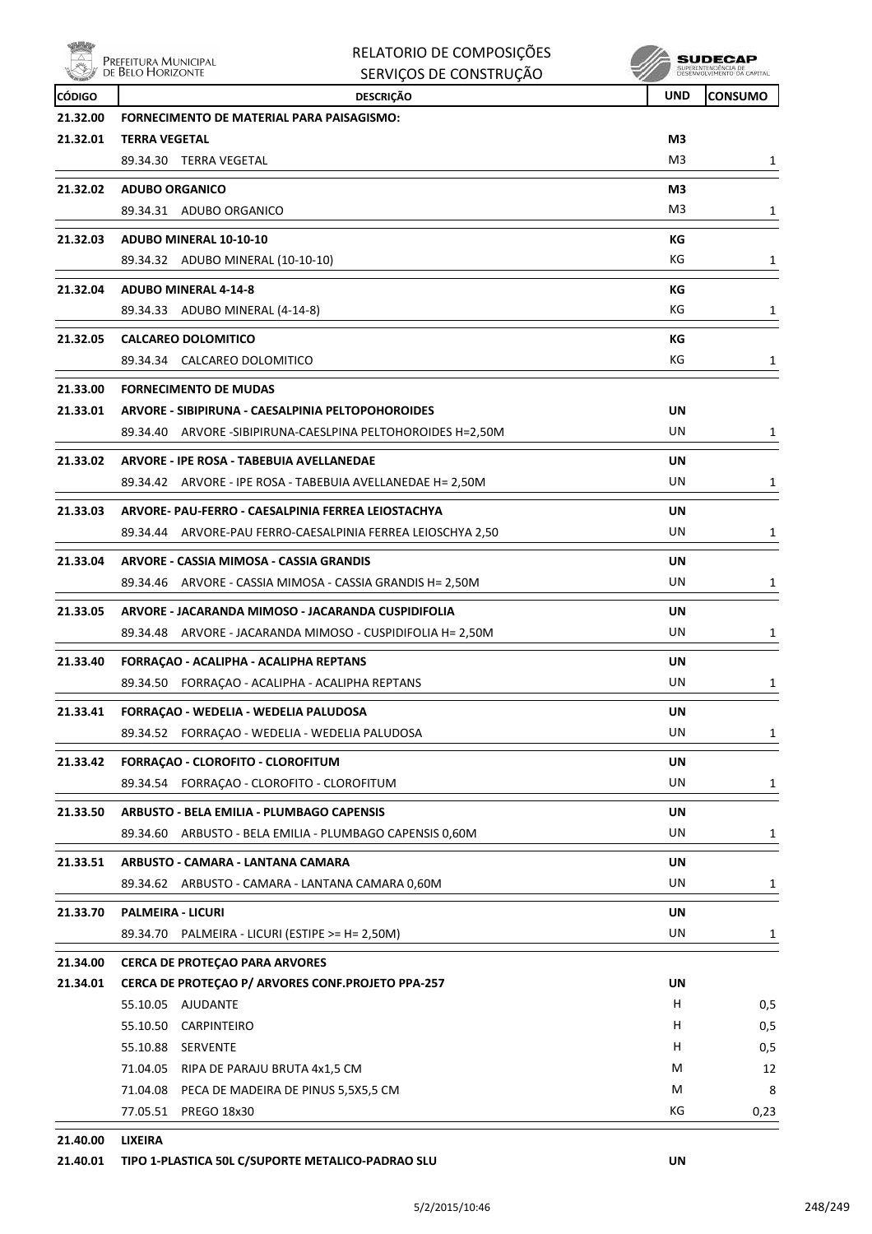

| RELATORIO DE COMPOSIÇÕES |
|--------------------------|
| SERVIÇOS DE CONSTRUÇÃO   |

 $\begin{array}{c} \textbf{SUBECAP} \\ \textbf{SUBREINTEROECLA DE} \\ \textbf{DESEWOUNIENTO CA CAPTIAL} \end{array}$ 

| <b>CÓDIGO</b> | <b>DESCRIÇÃO</b>                                            | <b>UND</b> | <b>CONSUMO</b> |
|---------------|-------------------------------------------------------------|------------|----------------|
| 21.32.00      | <b>FORNECIMENTO DE MATERIAL PARA PAISAGISMO:</b>            |            |                |
| 21.32.01      | <b>TERRA VEGETAL</b>                                        | M3         |                |
|               | 89.34.30 TERRA VEGETAL                                      | M3         | 1              |
| 21.32.02      | <b>ADUBO ORGANICO</b>                                       | MЗ         |                |
|               | 89.34.31 ADUBO ORGANICO                                     | M3         | 1              |
| 21.32.03      | ADUBO MINERAL 10-10-10                                      | КG         |                |
|               | 89.34.32 ADUBO MINERAL (10-10-10)                           | КG         | 1              |
| 21.32.04      | <b>ADUBO MINERAL 4-14-8</b>                                 | КG         |                |
|               | 89.34.33 ADUBO MINERAL (4-14-8)                             | КG         | 1              |
| 21.32.05      | <b>CALCAREO DOLOMITICO</b>                                  | КG         |                |
|               | 89.34.34 CALCAREO DOLOMITICO                                | КG         | 1              |
| 21.33.00      | <b>FORNECIMENTO DE MUDAS</b>                                |            |                |
| 21.33.01      | ARVORE - SIBIPIRUNA - CAESALPINIA PELTOPOHOROIDES           | UN         |                |
|               | 89.34.40 ARVORE -SIBIPIRUNA-CAESLPINA PELTOHOROIDES H=2,50M | UN         | 1              |
| 21.33.02      | ARVORE - IPE ROSA - TABEBUIA AVELLANEDAE                    | UN         |                |
|               | 89.34.42 ARVORE - IPE ROSA - TABEBUIA AVELLANEDAE H= 2,50M  | UN         | $\mathbf{1}$   |
| 21.33.03      | ARVORE- PAU-FERRO - CAESALPINIA FERREA LEIOSTACHYA          | UN         |                |
|               | 89.34.44 ARVORE-PAU FERRO-CAESALPINIA FERREA LEIOSCHYA 2,50 | UN         | $\mathbf{1}$   |
| 21.33.04      | ARVORE - CASSIA MIMOSA - CASSIA GRANDIS                     | UN         |                |
|               | 89.34.46 ARVORE - CASSIA MIMOSA - CASSIA GRANDIS H= 2,50M   | UN         | 1              |
| 21.33.05      | ARVORE - JACARANDA MIMOSO - JACARANDA CUSPIDIFOLIA          | UN         |                |
|               | 89.34.48 ARVORE - JACARANDA MIMOSO - CUSPIDIFOLIA H= 2,50M  | UN         | 1              |
| 21.33.40      | FORRAÇÃO - ACALIPHA - ACALIPHA REPTANS                      | UN         |                |
|               | 89.34.50 FORRACAO - ACALIPHA - ACALIPHA REPTANS             | UN         | 1              |
| 21.33.41      | FORRAÇÃO - WEDELIA - WEDELIA PALUDOSA                       | UN         |                |
|               | 89.34.52 FORRAÇÃO - WEDELIA - WEDELIA PALUDOSA              | UN         | 1              |
| 21.33.42      | FORRACAO - CLOROFITO - CLOROFITUM                           | UN         |                |
|               | 89.34.54 FORRAÇAO - CLOROFITO - CLOROFITUM                  | UN         | 1              |
| 21.33.50      | ARBUSTO - BELA EMILIA - PLUMBAGO CAPENSIS                   | UN         |                |
|               | ARBUSTO - BELA EMILIA - PLUMBAGO CAPENSIS 0,60M<br>89.34.60 | UN         | 1              |
| 21.33.51      | ARBUSTO - CAMARA - LANTANA CAMARA                           | <b>UN</b>  |                |
|               | 89.34.62 ARBUSTO - CAMARA - LANTANA CAMARA 0,60M            | UN         | 1              |
| 21.33.70      | <b>PALMEIRA - LICURI</b>                                    | UN         |                |
|               | 89.34.70 PALMEIRA - LICURI (ESTIPE >= H= 2,50M)             | UN         | 1              |
| 21.34.00      | <b>CERCA DE PROTEÇAO PARA ARVORES</b>                       |            |                |
| 21.34.01      | CERCA DE PROTEÇAO P/ ARVORES CONF.PROJETO PPA-257           | UN         |                |
|               | 55.10.05 AJUDANTE                                           | H          | 0,5            |
|               | 55.10.50<br>CARPINTEIRO                                     | H          | 0,5            |
|               | 55.10.88 SERVENTE                                           | н          | 0,5            |
|               | 71.04.05 RIPA DE PARAJU BRUTA 4x1,5 CM                      | M          | 12             |
|               | 71.04.08 PECA DE MADEIRA DE PINUS 5,5X5,5 CM                | M          | 8              |
|               | 77.05.51 PREGO 18x30                                        | ΚG         | 0,23           |
|               |                                                             |            |                |

**21.40.00 LIXEIRA**

### **21.40.01 TIPO 1-PLASTICA 50L C/SUPORTE METALICO-PADRAO SLU UN**